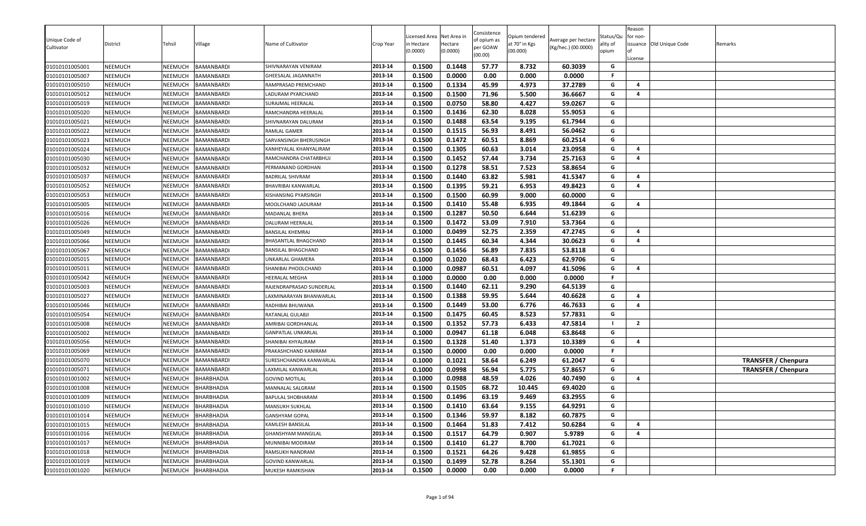| Unique Code of<br>Cultivator | District       | Tehsil         | Village           | Name of Cultivator        | Crop Year | icensed Area<br>n Hectare<br>(0.0000) | Net Area in<br>Hectare<br>(0.0000) | Consistence<br>of opium as<br>per GOAW<br>(00.00) | Opium tendered<br>at 70° in Kgs<br>(00.000) | Average per hectare<br>(Kg/hec.) (00.0000) | Status/Qu<br>ality of<br>opium | Reason<br>for non-<br>License | issuance Old Unique Code | Remarks                    |
|------------------------------|----------------|----------------|-------------------|---------------------------|-----------|---------------------------------------|------------------------------------|---------------------------------------------------|---------------------------------------------|--------------------------------------------|--------------------------------|-------------------------------|--------------------------|----------------------------|
| 01010101005001               | <b>NEEMUCH</b> | <b>NEEMUCH</b> | BAMANBARDI        | SHIVNARAYAN VENIRAM       | 2013-14   | 0.1500                                | 0.1448                             | 57.77                                             | 8.732                                       | 60.3039                                    | G                              |                               |                          |                            |
| 01010101005007               | <b>NEEMUCH</b> | <b>NEEMUCH</b> | BAMANBARDI        | GHEESALAL JAGANNATH       | 2013-14   | 0.1500                                | 0.0000                             | 0.00                                              | 0.000                                       | 0.0000                                     | F.                             |                               |                          |                            |
| 01010101005010               | <b>NEEMUCH</b> | <b>NEEMUCH</b> | BAMANBARDI        | RAMPRASAD PREMCHAND       | 2013-14   | 0.1500                                | 0.1334                             | 45.99                                             | 4.973                                       | 37.2789                                    | G                              | $\overline{a}$                |                          |                            |
| 01010101005012               | <b>NEEMUCH</b> | <b>NEEMUCH</b> | BAMANBARDI        | LADURAM PYARCHAND         | 2013-14   | 0.1500                                | 0.1500                             | 71.96                                             | 5.500                                       | 36.6667                                    | G                              | $\overline{a}$                |                          |                            |
| 01010101005019               | <b>NEEMUCH</b> | <b>NEEMUCH</b> | BAMANBARDI        | SURAJMAL HEERALAL         | 2013-14   | 0.1500                                | 0.0750                             | 58.80                                             | 4.427                                       | 59.0267                                    | G                              |                               |                          |                            |
| 01010101005020               | <b>NEEMUCH</b> | NEEMUCH        | BAMANBARDI        | RAMCHANDRA HEERALAL       | 2013-14   | 0.1500                                | 0.1436                             | 62.30                                             | 8.028                                       | 55.9053                                    | G                              |                               |                          |                            |
| 01010101005021               | <b>NEEMUCH</b> | <b>NEEMUCH</b> | BAMANBARDI        | SHIVNARAYAN DALURAM       | 2013-14   | 0.1500                                | 0.1488                             | 63.54                                             | 9.195                                       | 61.7944                                    | G                              |                               |                          |                            |
| 01010101005022               | <b>NEEMUCH</b> | <b>NEEMUCH</b> | BAMANBARDI        | RAMLAL GAMER              | 2013-14   | 0.1500                                | 0.1515                             | 56.93                                             | 8.491                                       | 56.0462                                    | G                              |                               |                          |                            |
| 01010101005023               | <b>NEEMUCH</b> | <b>NEEMUCH</b> | BAMANBARDI        | SARVANSINGH BHERUSINGH    | 2013-14   | 0.1500                                | 0.1472                             | 60.51                                             | 8.869                                       | 60.2514                                    | G                              |                               |                          |                            |
| 01010101005024               | <b>NEEMUCH</b> | <b>NEEMUCH</b> | BAMANBARDI        | KANHEYALAL KHANYALIRAM    | 2013-14   | 0.1500                                | 0.1305                             | 60.63                                             | 3.014                                       | 23.0958                                    | G                              | $\overline{a}$                |                          |                            |
| 01010101005030               | NEEMUCH        | <b>NEEMUCH</b> | BAMANBARDI        | RAMCHANDRA CHATARBHUJ     | 2013-14   | 0.1500                                | 0.1452                             | 57.44                                             | 3.734                                       | 25.7163                                    | G                              | $\overline{a}$                |                          |                            |
| 01010101005032               | <b>NEEMUCH</b> | NEEMUCH        | BAMANBARDI        | PERMANAND GORDHAN         | 2013-14   | 0.1500                                | 0.1278                             | 58.51                                             | 7.523                                       | 58.8654                                    | G                              |                               |                          |                            |
| 01010101005037               | <b>NEEMUCH</b> | NEEMUCH        | BAMANBARDI        | BADRILAL SHIVRAM          | 2013-14   | 0.1500                                | 0.1440                             | 63.82                                             | 5.981                                       | 41.5347                                    | G                              | $\overline{a}$                |                          |                            |
| 01010101005052               | <b>NEEMUCH</b> | NEEMUCH        | BAMANBARDI        | BHAVRIBAI KANWARLAL       | 2013-14   | 0.1500                                | 0.1395                             | 59.21                                             | 6.953                                       | 49.8423                                    | G                              | $\overline{a}$                |                          |                            |
| 01010101005053               | <b>NEEMUCH</b> | NEEMUCH        | BAMANBARDI        | KISHANSING PYARSINGH      | 2013-14   | 0.1500                                | 0.1500                             | 60.99                                             | 9.000                                       | 60.0000                                    | G                              |                               |                          |                            |
| 01010101005005               | <b>NEEMUCH</b> | <b>NEEMUCH</b> | BAMANBARDI        | MOOLCHAND LADURAM         | 2013-14   | 0.1500                                | 0.1410                             | 55.48                                             | 6.935                                       | 49.1844                                    | G                              | $\overline{4}$                |                          |                            |
| 01010101005016               | <b>NEEMUCH</b> | <b>NEEMUCH</b> | BAMANBARDI        | MADANLAL BHERA            | 2013-14   | 0.1500                                | 0.1287                             | 50.50                                             | 6.644                                       | 51.6239                                    | G                              |                               |                          |                            |
| 01010101005026               | <b>NEEMUCH</b> | <b>NEEMUCH</b> | BAMANBARDI        | DALURAM HEERALAL          | 2013-14   | 0.1500                                | 0.1472                             | 53.09                                             | 7.910                                       | 53.7364                                    | G                              |                               |                          |                            |
| 01010101005049               | <b>NEEMUCH</b> | NEEMUCH        | BAMANBARDI        | BANSILAL KHEMRAJ          | 2013-14   | 0.1000                                | 0.0499                             | 52.75                                             | 2.359                                       | 47.2745                                    | G                              | $\overline{a}$                |                          |                            |
| 01010101005066               | <b>NEEMUCH</b> | NEEMUCH        | BAMANBARDI        | BHASANTLAL BHAGCHAND      | 2013-14   | 0.1500                                | 0.1445                             | 60.34                                             | 4.344                                       | 30.0623                                    | G                              | $\overline{a}$                |                          |                            |
| 01010101005067               | <b>NEEMUCH</b> | <b>NEEMUCH</b> | BAMANBARDI        | BANSILAL BHAGCHAND        | 2013-14   | 0.1500                                | 0.1456                             | 56.89                                             | 7.835                                       | 53.8118                                    | G                              |                               |                          |                            |
| 01010101005015               | <b>NEEMUCH</b> | <b>NEEMUCH</b> | BAMANBARDI        | JNKARLAL GHAMERA          | 2013-14   | 0.1000                                | 0.1020                             | 68.43                                             | 6.423                                       | 62.9706                                    | G                              |                               |                          |                            |
| 01010101005011               | <b>NEEMUCH</b> | <b>NEEMUCH</b> | BAMANBARDI        | SHANIBAI PHOOLCHAND       | 2013-14   | 0.1000                                | 0.0987                             | 60.51                                             | 4.097                                       | 41.5096                                    | G                              | 4                             |                          |                            |
| 01010101005042               | <b>NEEMUCH</b> | <b>NEEMUCH</b> | BAMANBARDI        | <b>IEERALAL MEGHA</b>     | 2013-14   | 0.1000                                | 0.0000                             | 0.00                                              | 0.000                                       | 0.0000                                     | F.                             |                               |                          |                            |
| 01010101005003               | <b>NEEMUCH</b> | <b>NEEMUCH</b> | BAMANBARDI        | RAJENDRAPRASAD SUNDERLAL  | 2013-14   | 0.1500                                | 0.1440                             | 62.11                                             | 9.290                                       | 64.5139                                    | G                              |                               |                          |                            |
| 01010101005027               | <b>NEEMUCH</b> | <b>NEEMUCH</b> | BAMANBARDI        | LAXMINARAYAN BHANWARLAL   | 2013-14   | 0.1500                                | 0.1388                             | 59.95                                             | 5.644                                       | 40.6628                                    | G                              | $\overline{a}$                |                          |                            |
| 01010101005046               | <b>NEEMUCH</b> | <b>NEEMUCH</b> | BAMANBARDI        | RADHIBAI BHUWANA          | 2013-14   | 0.1500                                | 0.1449                             | 53.00                                             | 6.776                                       | 46.7633                                    | G                              | 4                             |                          |                            |
| 01010101005054               | <b>NEEMUCH</b> | NEEMUCH        | BAMANBARDI        | RATANLAL GULABJI          | 2013-14   | 0.1500                                | 0.1475                             | 60.45                                             | 8.523                                       | 57.7831                                    | G                              |                               |                          |                            |
| 01010101005008               | <b>NEEMUCH</b> | NEEMUCH        | BAMANBARDI        | AMRIBAI GORDHANLAL        | 2013-14   | 0.1500                                | 0.1352                             | 57.73                                             | 6.433                                       | 47.5814                                    |                                | $\overline{2}$                |                          |                            |
| 01010101005002               | <b>NEEMUCH</b> | <b>NEEMUCH</b> | BAMANBARDI        | <b>GANPATLAL UNKARLAL</b> | 2013-14   | 0.1000                                | 0.0947                             | 61.18                                             | 6.048                                       | 63.8648                                    | G                              |                               |                          |                            |
| 01010101005056               | <b>NEEMUCH</b> | <b>NEEMUCH</b> | BAMANBARDI        | SHANIBAI KHYALIRAM        | 2013-14   | 0.1500                                | 0.1328                             | 51.40                                             | 1.373                                       | 10.3389                                    | G                              | $\overline{a}$                |                          |                            |
| 01010101005069               | <b>NEEMUCH</b> | <b>NEEMUCH</b> | BAMANBARDI        | PRAKASHCHAND KANIRAM      | 2013-14   | 0.1500                                | 0.0000                             | 0.00                                              | 0.000                                       | 0.0000                                     | F.                             |                               |                          |                            |
| 01010101005070               | <b>NEEMUCH</b> | <b>NEEMUCH</b> | BAMANBARDI        | SURESHCHANDRA KANWARLAL   | 2013-14   | 0.1000                                | 0.1021                             | 58.64                                             | 6.249                                       | 61.2047                                    | G                              |                               |                          | <b>TRANSFER / Chenpura</b> |
| 01010101005071               | <b>NEEMUCH</b> | <b>NEEMUCH</b> | BAMANBARDI        | AXMILAL KANWARLAL         | 2013-14   | 0.1000                                | 0.0998                             | 56.94                                             | 5.775                                       | 57.8657                                    | G                              |                               |                          | <b>TRANSFER / Chenpura</b> |
| 01010101001002               | <b>NEEMUCH</b> | <b>NEEMUCH</b> | BHARBHADIA        | <b>GOVIND MOTILAL</b>     | 2013-14   | 0.1000                                | 0.0988                             | 48.59                                             | 4.026                                       | 40.7490                                    | G                              | $\overline{4}$                |                          |                            |
| 01010101001008               | <b>NEEMUCH</b> | <b>NEEMUCH</b> | <b>BHARBHADIA</b> | MANNALAL SALGRAM          | 2013-14   | 0.1500                                | 0.1505                             | 68.72                                             | 10.445                                      | 69.4020                                    | G                              |                               |                          |                            |
| 01010101001009               | <b>NEEMUCH</b> | NEEMUCH        | BHARBHADIA        | BAPULAL SHOBHARAM         | 2013-14   | 0.1500                                | 0.1496                             | 63.19                                             | 9.469                                       | 63.2955                                    | G                              |                               |                          |                            |
| 01010101001010               | <b>NEEMUCH</b> | NEEMUCH        | <b>BHARBHADIA</b> | MANSUKH SUKHLAL           | 2013-14   | 0.1500                                | 0.1410                             | 63.64                                             | 9.155                                       | 64.9291                                    | G                              |                               |                          |                            |
| 01010101001014               | <b>NEEMUCH</b> | <b>NEEMUCH</b> | <b>BHARBHADIA</b> | GANSHYAM GOPAL            | 2013-14   | 0.1500                                | 0.1346                             | 59.97                                             | 8.182                                       | 60.7875                                    | G                              |                               |                          |                            |
| 01010101001015               | <b>NEEMUCH</b> | <b>NEEMUCH</b> | BHARBHADIA        | KAMLESH BANSILAL          | 2013-14   | 0.1500                                | 0.1464                             | 51.83                                             | 7.412                                       | 50.6284                                    | G                              | 4                             |                          |                            |
| 01010101001016               | <b>NEEMUCH</b> | <b>NEEMUCH</b> | BHARBHADIA        | GHANSHYAM MANGILAL        | 2013-14   | 0.1500                                | 0.1517                             | 64.79                                             | 0.907                                       | 5.9789                                     | G                              | 4                             |                          |                            |
| 01010101001017               | <b>NEEMUCH</b> | <b>NEEMUCH</b> | BHARBHADIA        | MUNNIBAI MODIRAM          | 2013-14   | 0.1500                                | 0.1410                             | 61.27                                             | 8.700                                       | 61.7021                                    | G                              |                               |                          |                            |
| 01010101001018               | <b>NEEMUCH</b> | <b>NEEMUCH</b> | BHARBHADIA        | RAMSUKH NANDRAM           | 2013-14   | 0.1500                                | 0.1521                             | 64.26                                             | 9.428                                       | 61.9855                                    | G                              |                               |                          |                            |
| 01010101001019               | <b>NEEMUCH</b> | <b>NEEMUCH</b> | BHARBHADIA        | GOVIND KANWARLAL          | 2013-14   | 0.1500                                | 0.1499                             | 52.78                                             | 8.264                                       | 55.1301                                    | G                              |                               |                          |                            |
| 01010101001020               | <b>NEEMUCH</b> | NEEMUCH        | BHARBHADIA        | MUKESH RAMKISHAN          | 2013-14   | 0.1500                                | 0.0000                             | 0.00                                              | 0.000                                       | 0.0000                                     | F                              |                               |                          |                            |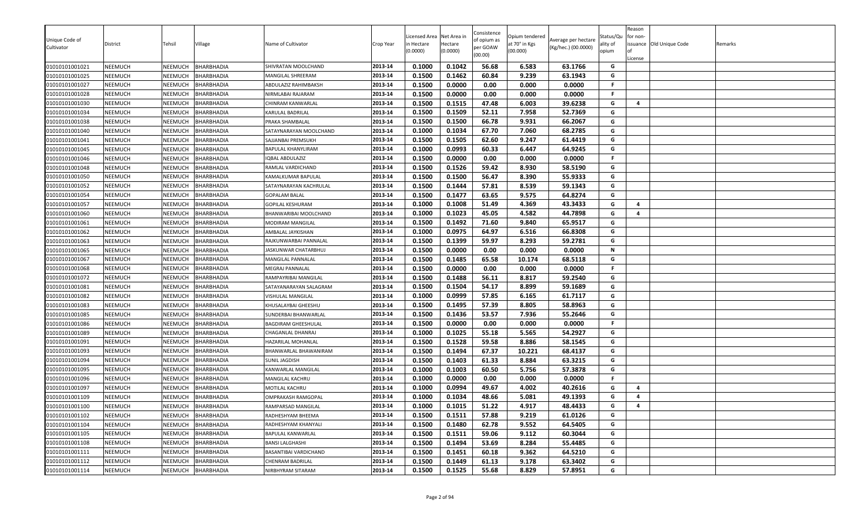|                              |                |                |                   |                            |           | icensed Area | Net Area in | Consistence             | Opium tendered |                                            | Status/Qu | Reason<br>for non- |                          |         |
|------------------------------|----------------|----------------|-------------------|----------------------------|-----------|--------------|-------------|-------------------------|----------------|--------------------------------------------|-----------|--------------------|--------------------------|---------|
| Unique Code of<br>Cultivator | District       | Tehsil         | Village           | Name of Cultivator         | Crop Year | n Hectare    | Hectare     | of opium as<br>per GOAW | at 70° in Kgs  | Average per hectare<br>(Kg/hec.) (00.0000) | ality of  |                    | issuance Old Unique Code | Remarks |
|                              |                |                |                   |                            |           | (0.0000)     | (0.0000)    | (00.00)                 | (00.000)       |                                            | opium     |                    |                          |         |
| 01010101001021               | <b>NEEMUCH</b> | NEEMUCH        | <b>BHARBHADIA</b> | SHIVRATAN MOOLCHAND        | 2013-14   | 0.1000       | 0.1042      | 56.68                   | 6.583          | 63.1766                                    | G         | License            |                          |         |
| 01010101001025               | NEEMUCH        | NEEMUCH        | <b>BHARBHADIA</b> | MANGILAL SHREERAM          | 2013-14   | 0.1500       | 0.1462      | 60.84                   | 9.239          | 63.1943                                    | G         |                    |                          |         |
| 01010101001027               | <b>NEEMUCH</b> | <b>NEEMUCH</b> | <b>BHARBHADIA</b> | ABDULAZIZ RAHIMBAKSH       | 2013-14   | 0.1500       | 0.0000      | 0.00                    | 0.000          | 0.0000                                     | F.        |                    |                          |         |
| 01010101001028               | NEEMUCH        | NEEMUCH        | BHARBHADIA        | NIRMLABAI RAJARAM          | 2013-14   | 0.1500       | 0.0000      | 0.00                    | 0.000          | 0.0000                                     | F.        |                    |                          |         |
| 01010101001030               | <b>NEEMUCH</b> | NEEMUCH        | BHARBHADIA        | CHINRAM KANWARLAL          | 2013-14   | 0.1500       | 0.1515      | 47.48                   | 6.003          | 39.6238                                    | G         | 4                  |                          |         |
| 01010101001034               | <b>NEEMUCH</b> | NEEMUCH        | <b>BHARBHADIA</b> | KARULAL BADRILAL           | 2013-14   | 0.1500       | 0.1509      | 52.11                   | 7.958          | 52.7369                                    | G         |                    |                          |         |
| 01010101001038               | <b>NEEMUCH</b> | NEEMUCH        | <b>BHARBHADIA</b> | PRAKA SHAMBALAL            | 2013-14   | 0.1500       | 0.1500      | 66.78                   | 9.931          | 66.2067                                    | G         |                    |                          |         |
| 01010101001040               | <b>NEEMUCH</b> | NEEMUCH        | <b>BHARBHADIA</b> | SATAYNARAYAN MOOLCHAND     | 2013-14   | 0.1000       | 0.1034      | 67.70                   | 7.060          | 68.2785                                    | G         |                    |                          |         |
| 01010101001041               | <b>NEEMUCH</b> | NEEMUCH        | BHARBHADIA        | SAJJANBAI PREMSUKH         | 2013-14   | 0.1500       | 0.1505      | 62.60                   | 9.247          | 61.4419                                    | G         |                    |                          |         |
| 01010101001045               | NEEMUCH        | NEEMUCH        | <b>BHARBHADIA</b> | BAPULAL KHANYLIRAM         | 2013-14   | 0.1000       | 0.0993      | 60.33                   | 6.447          | 64.9245                                    | G         |                    |                          |         |
| 01010101001046               | <b>NEEMUCH</b> | NEEMUCH        | BHARBHADIA        | IQBAL ABDULAZIZ            | 2013-14   | 0.1500       | 0.0000      | 0.00                    | 0.000          | 0.0000                                     | F.        |                    |                          |         |
| 01010101001048               | <b>NEEMUCH</b> | NEEMUCH        | <b>BHARBHADIA</b> | RAMLAL VARDICHAND          | 2013-14   | 0.1500       | 0.1526      | 59.42                   | 8.930          | 58.5190                                    | G         |                    |                          |         |
| 01010101001050               | NEEMUCH        | NEEMUCH        | BHARBHADIA        | KAMALKUMAR BAPULAL         | 2013-14   | 0.1500       | 0.1500      | 56.47                   | 8.390          | 55.9333                                    | G         |                    |                          |         |
| 01010101001052               | NEEMUCH        | NEEMUCH        | BHARBHADIA        | SATAYNARAYAN KACHRULAL     | 2013-14   | 0.1500       | 0.1444      | 57.81                   | 8.539          | 59.1343                                    | G         |                    |                          |         |
| 01010101001054               | <b>NEEMUCH</b> | NEEMUCH        | <b>BHARBHADIA</b> | <b>GOPALAM BALAL</b>       | 2013-14   | 0.1500       | 0.1477      | 63.65                   | 9.575          | 64.8274                                    | G         |                    |                          |         |
| 01010101001057               | <b>NEEMUCH</b> | NEEMUCH        | BHARBHADIA        | <b>GOPILAL KESHURAM</b>    | 2013-14   | 0.1000       | 0.1008      | 51.49                   | 4.369          | 43.3433                                    | G         | -4                 |                          |         |
| 01010101001060               | <b>NEEMUCH</b> | NEEMUCH        | <b>BHARBHADIA</b> | BHANWARIBAI MOOLCHAND      | 2013-14   | 0.1000       | 0.1023      | 45.05                   | 4.582          | 44.7898                                    | G         | 4                  |                          |         |
| 01010101001061               | <b>NEEMUCH</b> | NEEMUCH        | BHARBHADIA        | MODIRAM MANGILAL           | 2013-14   | 0.1500       | 0.1492      | 71.60                   | 9.840          | 65.9517                                    | G         |                    |                          |         |
| 01010101001062               | <b>NEEMUCH</b> | NEEMUCH        | <b>BHARBHADIA</b> | AMBALAL JAYKISHAN          | 2013-14   | 0.1000       | 0.0975      | 64.97                   | 6.516          | 66.8308                                    | G         |                    |                          |         |
| 01010101001063               | NEEMUCH        | NEEMUCH        | BHARBHADIA        | RAJKUNWARBAI PANNALAL      | 2013-14   | 0.1500       | 0.1399      | 59.97                   | 8.293          | 59.2781                                    | G         |                    |                          |         |
| 01010101001065               | <b>NEEMUCH</b> | NEEMUCH        | <b>BHARBHADIA</b> | JASKUNWAR CHATARBHUJ       | 2013-14   | 0.1500       | 0.0000      | 0.00                    | 0.000          | 0.0000                                     | N         |                    |                          |         |
| 01010101001067               | <b>NEEMUCH</b> | NEEMUCH        | <b>BHARBHADIA</b> | <b>MANGILAL PANNALAL</b>   | 2013-14   | 0.1500       | 0.1485      | 65.58                   | 10.174         | 68.5118                                    | G         |                    |                          |         |
| 01010101001068               | NEEMUCH        | NEEMUCH        | BHARBHADIA        | <b>MEGRAJ PANNALAL</b>     | 2013-14   | 0.1500       | 0.0000      | 0.00                    | 0.000          | 0.0000                                     | .F        |                    |                          |         |
| 01010101001072               | <b>NEEMUCH</b> | NEEMUCH        | BHARBHADIA        | RAMPAYRIBAI MANGILAL       | 2013-14   | 0.1500       | 0.1488      | 56.11                   | 8.817          | 59.2540                                    | G         |                    |                          |         |
| 01010101001081               | <b>NEEMUCH</b> | NEEMUCH        | BHARBHADIA        | SATAYANARAYAN SALAGRAM     | 2013-14   | 0.1500       | 0.1504      | 54.17                   | 8.899          | 59.1689                                    | G         |                    |                          |         |
| 01010101001082               | <b>NEEMUCH</b> | NEEMUCH        | <b>BHARBHADIA</b> | VISHULAL MANGILAL          | 2013-14   | 0.1000       | 0.0999      | 57.85                   | 6.165          | 61.7117                                    | G         |                    |                          |         |
| 01010101001083               | <b>NEEMUCH</b> | NEEMUCH        | BHARBHADIA        | KHUSALAYBAI GHEESHU        | 2013-14   | 0.1500       | 0.1495      | 57.39                   | 8.805          | 58.8963                                    | G         |                    |                          |         |
| 01010101001085               | NEEMUCH        | NEEMUCH        | BHARBHADIA        | SUNDERBAI BHANWARLAL       | 2013-14   | 0.1500       | 0.1436      | 53.57                   | 7.936          | 55.2646                                    | G         |                    |                          |         |
| 01010101001086               | NEEMUCH        | NEEMUCH        | BHARBHADIA        | <b>BAGDIRAM GHEESHULAL</b> | 2013-14   | 0.1500       | 0.0000      | 0.00                    | 0.000          | 0.0000                                     | F.        |                    |                          |         |
| 01010101001089               | <b>NEEMUCH</b> | NEEMUCH        | <b>BHARBHADIA</b> | CHAGANLAL DHANRAJ          | 2013-14   | 0.1000       | 0.1025      | 55.18                   | 5.565          | 54.2927                                    | G         |                    |                          |         |
| 01010101001091               | <b>NEEMUCH</b> | NEEMUCH        | <b>BHARBHADIA</b> | HAZARILAL MOHANLAL         | 2013-14   | 0.1500       | 0.1528      | 59.58                   | 8.886          | 58.1545                                    | G         |                    |                          |         |
| 01010101001093               | <b>NEEMUCH</b> | NEEMUCH        | BHARBHADIA        | BHANWARLAL BHAWANIRAM      | 2013-14   | 0.1500       | 0.1494      | 67.37                   | 10.221         | 68.4137                                    | G         |                    |                          |         |
| 01010101001094               | <b>NEEMUCH</b> | NEEMUCH        | BHARBHADIA        | SUNIL JAGDISH              | 2013-14   | 0.1500       | 0.1403      | 61.33                   | 8.884          | 63.3215                                    | G         |                    |                          |         |
| 01010101001095               | <b>NEEMUCH</b> | NEEMUCH        | BHARBHADIA        | KANWARLAL MANGILAL         | 2013-14   | 0.1000       | 0.1003      | 60.50                   | 5.756          | 57.3878                                    | G         |                    |                          |         |
| 01010101001096               | <b>NEEMUCH</b> | NEEMUCH        | <b>BHARBHADIA</b> | MANGILAL KACHRU            | 2013-14   | 0.1000       | 0.0000      | 0.00                    | 0.000          | 0.0000                                     | F.        |                    |                          |         |
| 01010101001097               | NEEMUCH        | NEEMUCH        | <b>BHARBHADIA</b> | MOTILAL KACHRU             | 2013-14   | 0.1000       | 0.0994      | 49.67                   | 4.002          | 40.2616                                    | G         | 4                  |                          |         |
| 01010101001109               | NEEMUCH        | NEEMUCH        | BHARBHADIA        | OMPRAKASH RAMGOPAL         | 2013-14   | 0.1000       | 0.1034      | 48.66                   | 5.081          | 49.1393                                    | G         | 4                  |                          |         |
| 01010101001100               | <b>NEEMUCH</b> | NEEMUCH        | <b>BHARBHADIA</b> | RAMPARSAD MANGILAL         | 2013-14   | 0.1000       | 0.1015      | 51.22                   | 4.917          | 48.4433                                    | G         | $\overline{a}$     |                          |         |
| 01010101001102               | <b>NEEMUCH</b> | NEEMUCH        | BHARBHADIA        | RADHESHYAM BHEEMA          | 2013-14   | 0.1500       | 0.1511      | 57.88                   | 9.219          | 61.0126                                    | G         |                    |                          |         |
| 01010101001104               | <b>NEEMUCH</b> | NEEMUCH        | <b>BHARBHADIA</b> | RADHESHYAM KHANYALI        | 2013-14   | 0.1500       | 0.1480      | 62.78                   | 9.552          | 64.5405                                    | G         |                    |                          |         |
| 01010101001105               | <b>NEEMUCH</b> | NEEMUCH        | <b>BHARBHADIA</b> | BAPULAL KANWARLAL          | 2013-14   | 0.1500       | 0.1511      | 59.06                   | 9.112          | 60.3044                                    | G         |                    |                          |         |
| 01010101001108               | <b>NEEMUCH</b> | NEEMUCH        | BHARBHADIA        | <b>BANSI LALGHASHI</b>     | 2013-14   | 0.1500       | 0.1494      | 53.69                   | 8.284          | 55.4485                                    | G         |                    |                          |         |
| 01010101001111               | <b>NEEMUCH</b> | NEEMUCH        | <b>BHARBHADIA</b> | BASANTIBAI VARDICHAND      | 2013-14   | 0.1500       | 0.1451      | 60.18                   | 9.362          | 64.5210                                    | G         |                    |                          |         |
| 01010101001112               | <b>NEEMUCH</b> | NEEMUCH        | <b>BHARBHADIA</b> | CHENRAM BADRILAL           | 2013-14   | 0.1500       | 0.1449      | 61.13                   | 9.178          | 63.3402                                    | G         |                    |                          |         |
| 01010101001114               | <b>NEEMUCH</b> | NEEMUCH        | <b>BHARBHADIA</b> | NIRBHYRAM SITARAM          | 2013-14   | 0.1500       | 0.1525      | 55.68                   | 8.829          | 57.8951                                    | G         |                    |                          |         |
|                              |                |                |                   |                            |           |              |             |                         |                |                                            |           |                    |                          |         |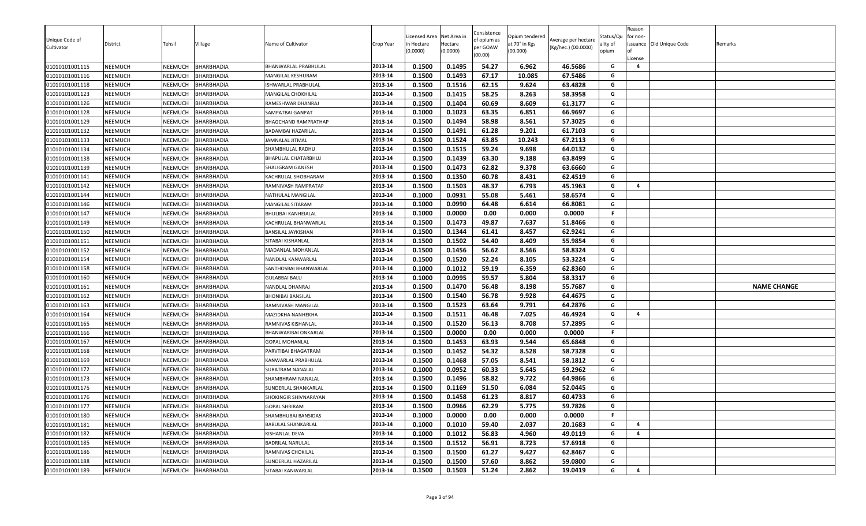| 2013-14<br>0.1500<br>0.1493<br>67.17<br>10.085<br>67.5486<br>G<br>NEEMUCH<br><b>BHARBHADIA</b><br>01010101001116<br>NEEMUCH<br>MANGILAL KESHURAM<br>63.4828<br>01010101001118<br>NEEMUCH<br>2013-14<br>0.1500<br>0.1516<br>62.15<br>9.624<br>NEEMUCH<br>BHARBHADIA<br>G<br>ISHWARLAL PRABHULAL<br>58.25<br>2013-14<br>0.1500<br>0.1415<br>8.263<br>58.3958<br>G<br>01010101001123<br>NEEMUCH<br>NEEMUCH<br>BHARBHADIA<br>MANGILAL CHOKHILAL<br>0.1500<br>60.69<br>61.3177<br>01010101001126<br>NEEMUCH<br>NEEMUCH<br>0.1404<br>8.609<br>G<br>BHARBHADIA<br>2013-14<br>RAMESHWAR DHANRAJ<br>0.1023<br>G<br>2013-14<br>0.1000<br>63.35<br>6.851<br>66.9697<br>01010101001128<br>NEEMUCH<br>NEEMUCH<br>BHARBHADIA<br>SAMPATBAI GANPAT<br>58.98<br>NEEMUCH<br>0.1500<br>0.1494<br>8.561<br>57.3025<br>G<br>01010101001129<br>NEEMUCH<br><b>BHARBHADIA</b><br>2013-14<br>BHAGCHAND RAMPRATHAP<br>0.1500<br>0.1491<br>61.28<br>9.201<br>61.7103<br>G<br>NEEMUCH<br>NEEMUCH<br>2013-14<br>01010101001132<br>BHARBHADIA<br>BADAMBAI HAZARILAL<br>01010101001133<br>NEEMUCH<br>0.1500<br>0.1524<br>63.85<br>10.243<br>67.2113<br>NEEMUCH<br>BHARBHADIA<br>2013-14<br>G<br>JAMNALAL JITMAL<br>0.1500<br>0.1515<br>59.24<br>9.698<br>64.0132<br>01010101001134<br>NEEMUCH<br>NEEMUCH<br><b>BHARBHADIA</b><br>2013-14<br>G<br>SHAMBHULAL RADHU<br>63.30<br>0.1500<br>0.1439<br>9.188<br>63.8499<br>01010101001138<br>NEEMUCH<br>BHARBHADIA<br>2013-14<br>G<br>NEEMUCH<br>BHAPULAL CHATARBHUJ<br>62.82<br>9.378<br>2013-14<br>0.1500<br>0.1473<br>63.6660<br>G<br>01010101001139<br>NEEMUCH<br>NEEMUCH<br>BHARBHADIA<br>SHALIGRAM GANESH<br>0.1350<br>60.78<br>0.1500<br>8.431<br>62.4519<br>G<br>01010101001141<br>NEEMUCH<br>NEEMUCH<br>BHARBHADIA<br>2013-14<br>KACHRULAL SHOBHARAM<br>0.1503<br>48.37<br>2013-14<br>0.1500<br>6.793<br>45.1963<br>G<br>4<br>01010101001142<br>NEEMUCH<br>NEEMUCH<br>BHARBHADIA<br>RAMNIVASH RAMPRATAP<br>0.1000<br>0.0931<br>55.08<br>58.6574<br>G<br>01010101001144<br>NEEMUCH<br>NEEMUCH<br>BHARBHADIA<br>2013-14<br>5.461<br>NATHULAL MANGILAL<br>0.0990<br>0.1000<br>64.48<br>6.614<br>66.8081<br>G<br>2013-14<br>01010101001146<br>NEEMUCH<br>NEEMUCH<br><b>BHARBHADIA</b><br>MANGILAL SITARAM<br>01010101001147<br>NEEMUCH<br>NEEMUCH<br>2013-14<br>0.1000<br>0.0000<br>0.00<br>0.000<br>0.0000<br><b>BHARBHADIA</b><br><b>BHULIBAI KANHEIALAL</b><br>F.<br>0.1500<br>0.1473<br>49.87<br>7.637<br>51.8466<br>2013-14<br>G<br>01010101001149<br>NEEMUCH<br>NEEMUCH<br>BHARBHADIA<br>KACHRULAL BHANWARLAL<br>62.9241<br>01010101001150<br>NEEMUCH<br>BHARBHADIA<br>2013-14<br>0.1500<br>0.1344<br>61.41<br>8.457<br>NEEMUCH<br>G<br>BANSILAL JAYKISHAN<br>0.1500<br>0.1502<br>54.40<br>8.409<br>55.9854<br>G<br>2013-14<br>NEEMUCH<br>NEEMUCH<br><b>BHARBHADIA</b><br>SITABAI KISHANLAL<br>01010101001151<br>NEEMUCH<br>0.1500<br>0.1456<br>56.62<br>8.566<br>58.8324<br>G<br>01010101001152<br>NEEMUCH<br>BHARBHADIA<br>2013-14<br>MADANLAL MOHANLAL<br>0.1520<br>52.24<br>53.3224<br>2013-14<br>0.1500<br>8.105<br>G<br>01010101001154<br>NEEMUCH<br><b>NEEMUCH</b><br>BHARBHADIA<br>NANDLAL KANWARLAL<br>0.1012<br>59.19<br>NEEMUCH<br>2013-14<br>0.1000<br>6.359<br>62.8360<br>G<br>01010101001158<br>NEEMUCH<br>BHARBHADIA<br>SANTHOSBAI BHANWARLAL<br>0.1000<br>0.0995<br>59.57<br>5.804<br>58.3317<br>NEEMUCH<br>2013-14<br>G<br>01010101001160<br>NEEMUCH<br>BHARBHADIA<br>GULABBAI BALU<br>NEEMUCH<br>0.1500<br>0.1470<br>56.48<br>8.198<br>55.7687<br>01010101001161<br>NEEMUCH<br><b>BHARBHADIA</b><br>2013-14<br>G<br><b>NAME CHANGE</b><br>NANDLAL DHANRAJ<br>2013-14<br>0.1500<br>0.1540<br>56.78<br>9.928<br>64.4675<br>01010101001162<br>NEEMUCH<br>NEEMUCH<br><b>BHARBHADIA</b><br>BHONIBAI BANSILAL<br>G<br>2013-14<br>0.1523<br>63.64<br>0.1500<br>9.791<br>64.2876<br>G<br>01010101001163<br>NEEMUCH<br>NEEMUCH<br>BHARBHADIA<br>RAMNIVASH MANGILAL<br>2013-14<br>0.1500<br>0.1511<br>46.48<br>7.025<br>46.4924<br>G<br>NEEMUCH<br>NEEMUCH<br>$\overline{a}$<br>01010101001164<br>BHARBHADIA<br>MAZIDKHA NANHEKHA<br>0.1520<br>56.13<br>57.2895<br>G<br>2013-14<br>0.1500<br>8.708<br>NEEMUCH<br>NEEMUCH<br>BHARBHADIA<br>01010101001165<br>RAMNIVAS KISHANLAL<br>0.0000<br>2013-14<br>0.1500<br>0.00<br>0.000<br>0.0000<br>F.<br>01010101001166<br>NEEMUCH<br>NEEMUCH<br><b>BHARBHADIA</b><br>3HANWARIBAI ONKARLAL<br>G<br>2013-14<br>0.1500<br>0.1453<br>63.93<br>9.544<br>01010101001167<br>NEEMUCH<br>NEEMUCH<br>BHARBHADIA<br>65.6848<br><b>GOPAL MOHANLAL</b><br>0.1452<br>54.32<br>58.7328<br>0.1500<br>8.528<br>G<br>NEEMUCH<br>PARVTIBAI BHAGATRAM<br>2013-14<br>01010101001168<br>NEEMUCH<br>BHARBHADIA<br>2013-14<br>0.1500<br>0.1468<br>57.05<br>8.541<br>58.1812<br>G<br>01010101001169<br>NEEMUCH<br>NEEMUCH<br>BHARBHADIA<br>KANWARLAL PRABHULAL<br>0.1000<br>0.0952<br>60.33<br>5.645<br>59.2962<br>01010101001172<br>NEEMUCH<br>NEEMUCH<br><b>BHARBHADIA</b><br>2013-14<br>G<br>SURATRAM NANALAL<br>2013-14<br>58.82<br>9.722<br>01010101001173<br>NEEMUCH<br>BHARBHADIA<br>0.1500<br>0.1496<br>64.9866<br>G<br>NEEMUCH<br>SHAMBHRAM NANALAL<br>0.1500<br>0.1169<br>51.50<br>52.0445<br>01010101001175<br>NEEMUCH<br>NEEMUCH<br>BHARBHADIA<br>2013-14<br>6.084<br>G<br>SUNDERLAL SHANKARLAL<br>0.1500<br>0.1458<br>61.23<br>60.4733<br>G<br>NEEMUCH<br><b>NEEMUCH</b><br>2013-14<br>8.817<br>01010101001176<br>BHARBHADIA<br>SHOKINGIR SHIVNARAYAN<br>0.0966<br>62.29<br>NEEMUCH<br>NEEMUCH<br>0.1500<br>5.775<br>59.7826<br>01010101001177<br><b>BHARBHADIA</b><br>2013-14<br>G<br><b>GOPAL SHRIRAM</b><br>2013-14<br>01010101001180<br>NEEMUCH<br>NEEMUCH<br>BHARBHADIA<br>0.0000<br>0.0000<br>F.<br>SHAMBHUBAI BANSIDAS<br>0.1000<br>0.00<br>0.000<br>0.1010<br>59.40<br>2.037<br>01010101001181<br>NEEMUCH<br>NEEMUCH<br><b>BHARBHADIA</b><br>2013-14<br>0.1000<br>20.1683<br>G<br>$\overline{\mathbf{4}}$<br><b>BABULAL SHANKARLAL</b><br>2013-14<br>0.1012<br>56.83<br>4.960<br>G<br>$\overline{\mathbf{4}}$<br>01010101001182<br>NEEMUCH<br>NEEMUCH<br><b>BHARBHADIA</b><br>0.1000<br>49.0119<br>KISHANLAL DEVA<br>0.1512<br>56.91<br>01010101001185<br>NEEMUCH<br>BHARBHADIA<br>2013-14<br>0.1500<br>8.723<br>57.6918<br>NEEMUCH<br><b>BADRILAL NARULAL</b><br>G<br>2013-14<br>0.1500<br>0.1500<br>61.27<br>9.427<br>62.8467<br>NEEMUCH<br>G<br>01010101001186<br>NEEMUCH<br><b>BHARBHADIA</b><br>RAMNIVAS CHOKILAL | Unique Code of<br>Cultivator | District | Tehsil  | Village    | Name of Cultivator   | Crop Year | Licensed Area<br>า Hectare<br>(0.0000) | Net Area in<br>Hectare<br>(0.0000) | Consistence<br>of opium as<br>per GOAW<br>(00.00) | Opium tendered<br>at 70° in Kgs<br>(00.000) | Average per hectare<br>(Kg/hec.) (00.0000) | Status/Qu<br>ality of<br>opium | Reason<br>for non-<br>.icense | issuance Old Unique Code | Remarks |
|---------------------------------------------------------------------------------------------------------------------------------------------------------------------------------------------------------------------------------------------------------------------------------------------------------------------------------------------------------------------------------------------------------------------------------------------------------------------------------------------------------------------------------------------------------------------------------------------------------------------------------------------------------------------------------------------------------------------------------------------------------------------------------------------------------------------------------------------------------------------------------------------------------------------------------------------------------------------------------------------------------------------------------------------------------------------------------------------------------------------------------------------------------------------------------------------------------------------------------------------------------------------------------------------------------------------------------------------------------------------------------------------------------------------------------------------------------------------------------------------------------------------------------------------------------------------------------------------------------------------------------------------------------------------------------------------------------------------------------------------------------------------------------------------------------------------------------------------------------------------------------------------------------------------------------------------------------------------------------------------------------------------------------------------------------------------------------------------------------------------------------------------------------------------------------------------------------------------------------------------------------------------------------------------------------------------------------------------------------------------------------------------------------------------------------------------------------------------------------------------------------------------------------------------------------------------------------------------------------------------------------------------------------------------------------------------------------------------------------------------------------------------------------------------------------------------------------------------------------------------------------------------------------------------------------------------------------------------------------------------------------------------------------------------------------------------------------------------------------------------------------------------------------------------------------------------------------------------------------------------------------------------------------------------------------------------------------------------------------------------------------------------------------------------------------------------------------------------------------------------------------------------------------------------------------------------------------------------------------------------------------------------------------------------------------------------------------------------------------------------------------------------------------------------------------------------------------------------------------------------------------------------------------------------------------------------------------------------------------------------------------------------------------------------------------------------------------------------------------------------------------------------------------------------------------------------------------------------------------------------------------------------------------------------------------------------------------------------------------------------------------------------------------------------------------------------------------------------------------------------------------------------------------------------------------------------------------------------------------------------------------------------------------------------------------------------------------------------------------------------------------------------------------------------------------------------------------------------------------------------------------------------------------------------------------------------------------------------------------------------------------------------------------------------------------------------------------------------------------------------------------------------------------------------------------------------------------------------------------------------------------------------------------------------------------------------------------------------------------------------------------------------------------------------------------------------------------------------------------------------------------------------------------------------------------------------------------------------------------------------------------------------------------------------------------------------------------------------------------------------------------------------------------------------------------------------------------------------------------------------------------------------------------------------------------------------------------------------------------------------------------------------------------------------------------------------------------------------------------------------------------------------------------------------------------------------------------------------------------------------------------------------------------------------------------------------------------------------------------------------------------------------|------------------------------|----------|---------|------------|----------------------|-----------|----------------------------------------|------------------------------------|---------------------------------------------------|---------------------------------------------|--------------------------------------------|--------------------------------|-------------------------------|--------------------------|---------|
|                                                                                                                                                                                                                                                                                                                                                                                                                                                                                                                                                                                                                                                                                                                                                                                                                                                                                                                                                                                                                                                                                                                                                                                                                                                                                                                                                                                                                                                                                                                                                                                                                                                                                                                                                                                                                                                                                                                                                                                                                                                                                                                                                                                                                                                                                                                                                                                                                                                                                                                                                                                                                                                                                                                                                                                                                                                                                                                                                                                                                                                                                                                                                                                                                                                                                                                                                                                                                                                                                                                                                                                                                                                                                                                                                                                                                                                                                                                                                                                                                                                                                                                                                                                                                                                                                                                                                                                                                                                                                                                                                                                                                                                                                                                                                                                                                                                                                                                                                                                                                                                                                                                                                                                                                                                                                                                                                                                                                                                                                                                                                                                                                                                                                                                                                                                                                                                                                                                                                                                                                                                                                                                                                                                                                                                                                                                                                                                             | 01010101001115               | NEEMUCH  | NEEMUCH | BHARBHADIA | BHANWARLAL PRABHULAL | 2013-14   | 0.1500                                 | 0.1495                             | 54.27                                             | 6.962                                       | 46.5686                                    | G                              | 4                             |                          |         |
|                                                                                                                                                                                                                                                                                                                                                                                                                                                                                                                                                                                                                                                                                                                                                                                                                                                                                                                                                                                                                                                                                                                                                                                                                                                                                                                                                                                                                                                                                                                                                                                                                                                                                                                                                                                                                                                                                                                                                                                                                                                                                                                                                                                                                                                                                                                                                                                                                                                                                                                                                                                                                                                                                                                                                                                                                                                                                                                                                                                                                                                                                                                                                                                                                                                                                                                                                                                                                                                                                                                                                                                                                                                                                                                                                                                                                                                                                                                                                                                                                                                                                                                                                                                                                                                                                                                                                                                                                                                                                                                                                                                                                                                                                                                                                                                                                                                                                                                                                                                                                                                                                                                                                                                                                                                                                                                                                                                                                                                                                                                                                                                                                                                                                                                                                                                                                                                                                                                                                                                                                                                                                                                                                                                                                                                                                                                                                                                             |                              |          |         |            |                      |           |                                        |                                    |                                                   |                                             |                                            |                                |                               |                          |         |
|                                                                                                                                                                                                                                                                                                                                                                                                                                                                                                                                                                                                                                                                                                                                                                                                                                                                                                                                                                                                                                                                                                                                                                                                                                                                                                                                                                                                                                                                                                                                                                                                                                                                                                                                                                                                                                                                                                                                                                                                                                                                                                                                                                                                                                                                                                                                                                                                                                                                                                                                                                                                                                                                                                                                                                                                                                                                                                                                                                                                                                                                                                                                                                                                                                                                                                                                                                                                                                                                                                                                                                                                                                                                                                                                                                                                                                                                                                                                                                                                                                                                                                                                                                                                                                                                                                                                                                                                                                                                                                                                                                                                                                                                                                                                                                                                                                                                                                                                                                                                                                                                                                                                                                                                                                                                                                                                                                                                                                                                                                                                                                                                                                                                                                                                                                                                                                                                                                                                                                                                                                                                                                                                                                                                                                                                                                                                                                                             |                              |          |         |            |                      |           |                                        |                                    |                                                   |                                             |                                            |                                |                               |                          |         |
|                                                                                                                                                                                                                                                                                                                                                                                                                                                                                                                                                                                                                                                                                                                                                                                                                                                                                                                                                                                                                                                                                                                                                                                                                                                                                                                                                                                                                                                                                                                                                                                                                                                                                                                                                                                                                                                                                                                                                                                                                                                                                                                                                                                                                                                                                                                                                                                                                                                                                                                                                                                                                                                                                                                                                                                                                                                                                                                                                                                                                                                                                                                                                                                                                                                                                                                                                                                                                                                                                                                                                                                                                                                                                                                                                                                                                                                                                                                                                                                                                                                                                                                                                                                                                                                                                                                                                                                                                                                                                                                                                                                                                                                                                                                                                                                                                                                                                                                                                                                                                                                                                                                                                                                                                                                                                                                                                                                                                                                                                                                                                                                                                                                                                                                                                                                                                                                                                                                                                                                                                                                                                                                                                                                                                                                                                                                                                                                             |                              |          |         |            |                      |           |                                        |                                    |                                                   |                                             |                                            |                                |                               |                          |         |
|                                                                                                                                                                                                                                                                                                                                                                                                                                                                                                                                                                                                                                                                                                                                                                                                                                                                                                                                                                                                                                                                                                                                                                                                                                                                                                                                                                                                                                                                                                                                                                                                                                                                                                                                                                                                                                                                                                                                                                                                                                                                                                                                                                                                                                                                                                                                                                                                                                                                                                                                                                                                                                                                                                                                                                                                                                                                                                                                                                                                                                                                                                                                                                                                                                                                                                                                                                                                                                                                                                                                                                                                                                                                                                                                                                                                                                                                                                                                                                                                                                                                                                                                                                                                                                                                                                                                                                                                                                                                                                                                                                                                                                                                                                                                                                                                                                                                                                                                                                                                                                                                                                                                                                                                                                                                                                                                                                                                                                                                                                                                                                                                                                                                                                                                                                                                                                                                                                                                                                                                                                                                                                                                                                                                                                                                                                                                                                                             |                              |          |         |            |                      |           |                                        |                                    |                                                   |                                             |                                            |                                |                               |                          |         |
|                                                                                                                                                                                                                                                                                                                                                                                                                                                                                                                                                                                                                                                                                                                                                                                                                                                                                                                                                                                                                                                                                                                                                                                                                                                                                                                                                                                                                                                                                                                                                                                                                                                                                                                                                                                                                                                                                                                                                                                                                                                                                                                                                                                                                                                                                                                                                                                                                                                                                                                                                                                                                                                                                                                                                                                                                                                                                                                                                                                                                                                                                                                                                                                                                                                                                                                                                                                                                                                                                                                                                                                                                                                                                                                                                                                                                                                                                                                                                                                                                                                                                                                                                                                                                                                                                                                                                                                                                                                                                                                                                                                                                                                                                                                                                                                                                                                                                                                                                                                                                                                                                                                                                                                                                                                                                                                                                                                                                                                                                                                                                                                                                                                                                                                                                                                                                                                                                                                                                                                                                                                                                                                                                                                                                                                                                                                                                                                             |                              |          |         |            |                      |           |                                        |                                    |                                                   |                                             |                                            |                                |                               |                          |         |
|                                                                                                                                                                                                                                                                                                                                                                                                                                                                                                                                                                                                                                                                                                                                                                                                                                                                                                                                                                                                                                                                                                                                                                                                                                                                                                                                                                                                                                                                                                                                                                                                                                                                                                                                                                                                                                                                                                                                                                                                                                                                                                                                                                                                                                                                                                                                                                                                                                                                                                                                                                                                                                                                                                                                                                                                                                                                                                                                                                                                                                                                                                                                                                                                                                                                                                                                                                                                                                                                                                                                                                                                                                                                                                                                                                                                                                                                                                                                                                                                                                                                                                                                                                                                                                                                                                                                                                                                                                                                                                                                                                                                                                                                                                                                                                                                                                                                                                                                                                                                                                                                                                                                                                                                                                                                                                                                                                                                                                                                                                                                                                                                                                                                                                                                                                                                                                                                                                                                                                                                                                                                                                                                                                                                                                                                                                                                                                                             |                              |          |         |            |                      |           |                                        |                                    |                                                   |                                             |                                            |                                |                               |                          |         |
|                                                                                                                                                                                                                                                                                                                                                                                                                                                                                                                                                                                                                                                                                                                                                                                                                                                                                                                                                                                                                                                                                                                                                                                                                                                                                                                                                                                                                                                                                                                                                                                                                                                                                                                                                                                                                                                                                                                                                                                                                                                                                                                                                                                                                                                                                                                                                                                                                                                                                                                                                                                                                                                                                                                                                                                                                                                                                                                                                                                                                                                                                                                                                                                                                                                                                                                                                                                                                                                                                                                                                                                                                                                                                                                                                                                                                                                                                                                                                                                                                                                                                                                                                                                                                                                                                                                                                                                                                                                                                                                                                                                                                                                                                                                                                                                                                                                                                                                                                                                                                                                                                                                                                                                                                                                                                                                                                                                                                                                                                                                                                                                                                                                                                                                                                                                                                                                                                                                                                                                                                                                                                                                                                                                                                                                                                                                                                                                             |                              |          |         |            |                      |           |                                        |                                    |                                                   |                                             |                                            |                                |                               |                          |         |
|                                                                                                                                                                                                                                                                                                                                                                                                                                                                                                                                                                                                                                                                                                                                                                                                                                                                                                                                                                                                                                                                                                                                                                                                                                                                                                                                                                                                                                                                                                                                                                                                                                                                                                                                                                                                                                                                                                                                                                                                                                                                                                                                                                                                                                                                                                                                                                                                                                                                                                                                                                                                                                                                                                                                                                                                                                                                                                                                                                                                                                                                                                                                                                                                                                                                                                                                                                                                                                                                                                                                                                                                                                                                                                                                                                                                                                                                                                                                                                                                                                                                                                                                                                                                                                                                                                                                                                                                                                                                                                                                                                                                                                                                                                                                                                                                                                                                                                                                                                                                                                                                                                                                                                                                                                                                                                                                                                                                                                                                                                                                                                                                                                                                                                                                                                                                                                                                                                                                                                                                                                                                                                                                                                                                                                                                                                                                                                                             |                              |          |         |            |                      |           |                                        |                                    |                                                   |                                             |                                            |                                |                               |                          |         |
|                                                                                                                                                                                                                                                                                                                                                                                                                                                                                                                                                                                                                                                                                                                                                                                                                                                                                                                                                                                                                                                                                                                                                                                                                                                                                                                                                                                                                                                                                                                                                                                                                                                                                                                                                                                                                                                                                                                                                                                                                                                                                                                                                                                                                                                                                                                                                                                                                                                                                                                                                                                                                                                                                                                                                                                                                                                                                                                                                                                                                                                                                                                                                                                                                                                                                                                                                                                                                                                                                                                                                                                                                                                                                                                                                                                                                                                                                                                                                                                                                                                                                                                                                                                                                                                                                                                                                                                                                                                                                                                                                                                                                                                                                                                                                                                                                                                                                                                                                                                                                                                                                                                                                                                                                                                                                                                                                                                                                                                                                                                                                                                                                                                                                                                                                                                                                                                                                                                                                                                                                                                                                                                                                                                                                                                                                                                                                                                             |                              |          |         |            |                      |           |                                        |                                    |                                                   |                                             |                                            |                                |                               |                          |         |
|                                                                                                                                                                                                                                                                                                                                                                                                                                                                                                                                                                                                                                                                                                                                                                                                                                                                                                                                                                                                                                                                                                                                                                                                                                                                                                                                                                                                                                                                                                                                                                                                                                                                                                                                                                                                                                                                                                                                                                                                                                                                                                                                                                                                                                                                                                                                                                                                                                                                                                                                                                                                                                                                                                                                                                                                                                                                                                                                                                                                                                                                                                                                                                                                                                                                                                                                                                                                                                                                                                                                                                                                                                                                                                                                                                                                                                                                                                                                                                                                                                                                                                                                                                                                                                                                                                                                                                                                                                                                                                                                                                                                                                                                                                                                                                                                                                                                                                                                                                                                                                                                                                                                                                                                                                                                                                                                                                                                                                                                                                                                                                                                                                                                                                                                                                                                                                                                                                                                                                                                                                                                                                                                                                                                                                                                                                                                                                                             |                              |          |         |            |                      |           |                                        |                                    |                                                   |                                             |                                            |                                |                               |                          |         |
|                                                                                                                                                                                                                                                                                                                                                                                                                                                                                                                                                                                                                                                                                                                                                                                                                                                                                                                                                                                                                                                                                                                                                                                                                                                                                                                                                                                                                                                                                                                                                                                                                                                                                                                                                                                                                                                                                                                                                                                                                                                                                                                                                                                                                                                                                                                                                                                                                                                                                                                                                                                                                                                                                                                                                                                                                                                                                                                                                                                                                                                                                                                                                                                                                                                                                                                                                                                                                                                                                                                                                                                                                                                                                                                                                                                                                                                                                                                                                                                                                                                                                                                                                                                                                                                                                                                                                                                                                                                                                                                                                                                                                                                                                                                                                                                                                                                                                                                                                                                                                                                                                                                                                                                                                                                                                                                                                                                                                                                                                                                                                                                                                                                                                                                                                                                                                                                                                                                                                                                                                                                                                                                                                                                                                                                                                                                                                                                             |                              |          |         |            |                      |           |                                        |                                    |                                                   |                                             |                                            |                                |                               |                          |         |
|                                                                                                                                                                                                                                                                                                                                                                                                                                                                                                                                                                                                                                                                                                                                                                                                                                                                                                                                                                                                                                                                                                                                                                                                                                                                                                                                                                                                                                                                                                                                                                                                                                                                                                                                                                                                                                                                                                                                                                                                                                                                                                                                                                                                                                                                                                                                                                                                                                                                                                                                                                                                                                                                                                                                                                                                                                                                                                                                                                                                                                                                                                                                                                                                                                                                                                                                                                                                                                                                                                                                                                                                                                                                                                                                                                                                                                                                                                                                                                                                                                                                                                                                                                                                                                                                                                                                                                                                                                                                                                                                                                                                                                                                                                                                                                                                                                                                                                                                                                                                                                                                                                                                                                                                                                                                                                                                                                                                                                                                                                                                                                                                                                                                                                                                                                                                                                                                                                                                                                                                                                                                                                                                                                                                                                                                                                                                                                                             |                              |          |         |            |                      |           |                                        |                                    |                                                   |                                             |                                            |                                |                               |                          |         |
|                                                                                                                                                                                                                                                                                                                                                                                                                                                                                                                                                                                                                                                                                                                                                                                                                                                                                                                                                                                                                                                                                                                                                                                                                                                                                                                                                                                                                                                                                                                                                                                                                                                                                                                                                                                                                                                                                                                                                                                                                                                                                                                                                                                                                                                                                                                                                                                                                                                                                                                                                                                                                                                                                                                                                                                                                                                                                                                                                                                                                                                                                                                                                                                                                                                                                                                                                                                                                                                                                                                                                                                                                                                                                                                                                                                                                                                                                                                                                                                                                                                                                                                                                                                                                                                                                                                                                                                                                                                                                                                                                                                                                                                                                                                                                                                                                                                                                                                                                                                                                                                                                                                                                                                                                                                                                                                                                                                                                                                                                                                                                                                                                                                                                                                                                                                                                                                                                                                                                                                                                                                                                                                                                                                                                                                                                                                                                                                             |                              |          |         |            |                      |           |                                        |                                    |                                                   |                                             |                                            |                                |                               |                          |         |
|                                                                                                                                                                                                                                                                                                                                                                                                                                                                                                                                                                                                                                                                                                                                                                                                                                                                                                                                                                                                                                                                                                                                                                                                                                                                                                                                                                                                                                                                                                                                                                                                                                                                                                                                                                                                                                                                                                                                                                                                                                                                                                                                                                                                                                                                                                                                                                                                                                                                                                                                                                                                                                                                                                                                                                                                                                                                                                                                                                                                                                                                                                                                                                                                                                                                                                                                                                                                                                                                                                                                                                                                                                                                                                                                                                                                                                                                                                                                                                                                                                                                                                                                                                                                                                                                                                                                                                                                                                                                                                                                                                                                                                                                                                                                                                                                                                                                                                                                                                                                                                                                                                                                                                                                                                                                                                                                                                                                                                                                                                                                                                                                                                                                                                                                                                                                                                                                                                                                                                                                                                                                                                                                                                                                                                                                                                                                                                                             |                              |          |         |            |                      |           |                                        |                                    |                                                   |                                             |                                            |                                |                               |                          |         |
|                                                                                                                                                                                                                                                                                                                                                                                                                                                                                                                                                                                                                                                                                                                                                                                                                                                                                                                                                                                                                                                                                                                                                                                                                                                                                                                                                                                                                                                                                                                                                                                                                                                                                                                                                                                                                                                                                                                                                                                                                                                                                                                                                                                                                                                                                                                                                                                                                                                                                                                                                                                                                                                                                                                                                                                                                                                                                                                                                                                                                                                                                                                                                                                                                                                                                                                                                                                                                                                                                                                                                                                                                                                                                                                                                                                                                                                                                                                                                                                                                                                                                                                                                                                                                                                                                                                                                                                                                                                                                                                                                                                                                                                                                                                                                                                                                                                                                                                                                                                                                                                                                                                                                                                                                                                                                                                                                                                                                                                                                                                                                                                                                                                                                                                                                                                                                                                                                                                                                                                                                                                                                                                                                                                                                                                                                                                                                                                             |                              |          |         |            |                      |           |                                        |                                    |                                                   |                                             |                                            |                                |                               |                          |         |
|                                                                                                                                                                                                                                                                                                                                                                                                                                                                                                                                                                                                                                                                                                                                                                                                                                                                                                                                                                                                                                                                                                                                                                                                                                                                                                                                                                                                                                                                                                                                                                                                                                                                                                                                                                                                                                                                                                                                                                                                                                                                                                                                                                                                                                                                                                                                                                                                                                                                                                                                                                                                                                                                                                                                                                                                                                                                                                                                                                                                                                                                                                                                                                                                                                                                                                                                                                                                                                                                                                                                                                                                                                                                                                                                                                                                                                                                                                                                                                                                                                                                                                                                                                                                                                                                                                                                                                                                                                                                                                                                                                                                                                                                                                                                                                                                                                                                                                                                                                                                                                                                                                                                                                                                                                                                                                                                                                                                                                                                                                                                                                                                                                                                                                                                                                                                                                                                                                                                                                                                                                                                                                                                                                                                                                                                                                                                                                                             |                              |          |         |            |                      |           |                                        |                                    |                                                   |                                             |                                            |                                |                               |                          |         |
|                                                                                                                                                                                                                                                                                                                                                                                                                                                                                                                                                                                                                                                                                                                                                                                                                                                                                                                                                                                                                                                                                                                                                                                                                                                                                                                                                                                                                                                                                                                                                                                                                                                                                                                                                                                                                                                                                                                                                                                                                                                                                                                                                                                                                                                                                                                                                                                                                                                                                                                                                                                                                                                                                                                                                                                                                                                                                                                                                                                                                                                                                                                                                                                                                                                                                                                                                                                                                                                                                                                                                                                                                                                                                                                                                                                                                                                                                                                                                                                                                                                                                                                                                                                                                                                                                                                                                                                                                                                                                                                                                                                                                                                                                                                                                                                                                                                                                                                                                                                                                                                                                                                                                                                                                                                                                                                                                                                                                                                                                                                                                                                                                                                                                                                                                                                                                                                                                                                                                                                                                                                                                                                                                                                                                                                                                                                                                                                             |                              |          |         |            |                      |           |                                        |                                    |                                                   |                                             |                                            |                                |                               |                          |         |
|                                                                                                                                                                                                                                                                                                                                                                                                                                                                                                                                                                                                                                                                                                                                                                                                                                                                                                                                                                                                                                                                                                                                                                                                                                                                                                                                                                                                                                                                                                                                                                                                                                                                                                                                                                                                                                                                                                                                                                                                                                                                                                                                                                                                                                                                                                                                                                                                                                                                                                                                                                                                                                                                                                                                                                                                                                                                                                                                                                                                                                                                                                                                                                                                                                                                                                                                                                                                                                                                                                                                                                                                                                                                                                                                                                                                                                                                                                                                                                                                                                                                                                                                                                                                                                                                                                                                                                                                                                                                                                                                                                                                                                                                                                                                                                                                                                                                                                                                                                                                                                                                                                                                                                                                                                                                                                                                                                                                                                                                                                                                                                                                                                                                                                                                                                                                                                                                                                                                                                                                                                                                                                                                                                                                                                                                                                                                                                                             |                              |          |         |            |                      |           |                                        |                                    |                                                   |                                             |                                            |                                |                               |                          |         |
|                                                                                                                                                                                                                                                                                                                                                                                                                                                                                                                                                                                                                                                                                                                                                                                                                                                                                                                                                                                                                                                                                                                                                                                                                                                                                                                                                                                                                                                                                                                                                                                                                                                                                                                                                                                                                                                                                                                                                                                                                                                                                                                                                                                                                                                                                                                                                                                                                                                                                                                                                                                                                                                                                                                                                                                                                                                                                                                                                                                                                                                                                                                                                                                                                                                                                                                                                                                                                                                                                                                                                                                                                                                                                                                                                                                                                                                                                                                                                                                                                                                                                                                                                                                                                                                                                                                                                                                                                                                                                                                                                                                                                                                                                                                                                                                                                                                                                                                                                                                                                                                                                                                                                                                                                                                                                                                                                                                                                                                                                                                                                                                                                                                                                                                                                                                                                                                                                                                                                                                                                                                                                                                                                                                                                                                                                                                                                                                             |                              |          |         |            |                      |           |                                        |                                    |                                                   |                                             |                                            |                                |                               |                          |         |
|                                                                                                                                                                                                                                                                                                                                                                                                                                                                                                                                                                                                                                                                                                                                                                                                                                                                                                                                                                                                                                                                                                                                                                                                                                                                                                                                                                                                                                                                                                                                                                                                                                                                                                                                                                                                                                                                                                                                                                                                                                                                                                                                                                                                                                                                                                                                                                                                                                                                                                                                                                                                                                                                                                                                                                                                                                                                                                                                                                                                                                                                                                                                                                                                                                                                                                                                                                                                                                                                                                                                                                                                                                                                                                                                                                                                                                                                                                                                                                                                                                                                                                                                                                                                                                                                                                                                                                                                                                                                                                                                                                                                                                                                                                                                                                                                                                                                                                                                                                                                                                                                                                                                                                                                                                                                                                                                                                                                                                                                                                                                                                                                                                                                                                                                                                                                                                                                                                                                                                                                                                                                                                                                                                                                                                                                                                                                                                                             |                              |          |         |            |                      |           |                                        |                                    |                                                   |                                             |                                            |                                |                               |                          |         |
|                                                                                                                                                                                                                                                                                                                                                                                                                                                                                                                                                                                                                                                                                                                                                                                                                                                                                                                                                                                                                                                                                                                                                                                                                                                                                                                                                                                                                                                                                                                                                                                                                                                                                                                                                                                                                                                                                                                                                                                                                                                                                                                                                                                                                                                                                                                                                                                                                                                                                                                                                                                                                                                                                                                                                                                                                                                                                                                                                                                                                                                                                                                                                                                                                                                                                                                                                                                                                                                                                                                                                                                                                                                                                                                                                                                                                                                                                                                                                                                                                                                                                                                                                                                                                                                                                                                                                                                                                                                                                                                                                                                                                                                                                                                                                                                                                                                                                                                                                                                                                                                                                                                                                                                                                                                                                                                                                                                                                                                                                                                                                                                                                                                                                                                                                                                                                                                                                                                                                                                                                                                                                                                                                                                                                                                                                                                                                                                             |                              |          |         |            |                      |           |                                        |                                    |                                                   |                                             |                                            |                                |                               |                          |         |
|                                                                                                                                                                                                                                                                                                                                                                                                                                                                                                                                                                                                                                                                                                                                                                                                                                                                                                                                                                                                                                                                                                                                                                                                                                                                                                                                                                                                                                                                                                                                                                                                                                                                                                                                                                                                                                                                                                                                                                                                                                                                                                                                                                                                                                                                                                                                                                                                                                                                                                                                                                                                                                                                                                                                                                                                                                                                                                                                                                                                                                                                                                                                                                                                                                                                                                                                                                                                                                                                                                                                                                                                                                                                                                                                                                                                                                                                                                                                                                                                                                                                                                                                                                                                                                                                                                                                                                                                                                                                                                                                                                                                                                                                                                                                                                                                                                                                                                                                                                                                                                                                                                                                                                                                                                                                                                                                                                                                                                                                                                                                                                                                                                                                                                                                                                                                                                                                                                                                                                                                                                                                                                                                                                                                                                                                                                                                                                                             |                              |          |         |            |                      |           |                                        |                                    |                                                   |                                             |                                            |                                |                               |                          |         |
|                                                                                                                                                                                                                                                                                                                                                                                                                                                                                                                                                                                                                                                                                                                                                                                                                                                                                                                                                                                                                                                                                                                                                                                                                                                                                                                                                                                                                                                                                                                                                                                                                                                                                                                                                                                                                                                                                                                                                                                                                                                                                                                                                                                                                                                                                                                                                                                                                                                                                                                                                                                                                                                                                                                                                                                                                                                                                                                                                                                                                                                                                                                                                                                                                                                                                                                                                                                                                                                                                                                                                                                                                                                                                                                                                                                                                                                                                                                                                                                                                                                                                                                                                                                                                                                                                                                                                                                                                                                                                                                                                                                                                                                                                                                                                                                                                                                                                                                                                                                                                                                                                                                                                                                                                                                                                                                                                                                                                                                                                                                                                                                                                                                                                                                                                                                                                                                                                                                                                                                                                                                                                                                                                                                                                                                                                                                                                                                             |                              |          |         |            |                      |           |                                        |                                    |                                                   |                                             |                                            |                                |                               |                          |         |
|                                                                                                                                                                                                                                                                                                                                                                                                                                                                                                                                                                                                                                                                                                                                                                                                                                                                                                                                                                                                                                                                                                                                                                                                                                                                                                                                                                                                                                                                                                                                                                                                                                                                                                                                                                                                                                                                                                                                                                                                                                                                                                                                                                                                                                                                                                                                                                                                                                                                                                                                                                                                                                                                                                                                                                                                                                                                                                                                                                                                                                                                                                                                                                                                                                                                                                                                                                                                                                                                                                                                                                                                                                                                                                                                                                                                                                                                                                                                                                                                                                                                                                                                                                                                                                                                                                                                                                                                                                                                                                                                                                                                                                                                                                                                                                                                                                                                                                                                                                                                                                                                                                                                                                                                                                                                                                                                                                                                                                                                                                                                                                                                                                                                                                                                                                                                                                                                                                                                                                                                                                                                                                                                                                                                                                                                                                                                                                                             |                              |          |         |            |                      |           |                                        |                                    |                                                   |                                             |                                            |                                |                               |                          |         |
|                                                                                                                                                                                                                                                                                                                                                                                                                                                                                                                                                                                                                                                                                                                                                                                                                                                                                                                                                                                                                                                                                                                                                                                                                                                                                                                                                                                                                                                                                                                                                                                                                                                                                                                                                                                                                                                                                                                                                                                                                                                                                                                                                                                                                                                                                                                                                                                                                                                                                                                                                                                                                                                                                                                                                                                                                                                                                                                                                                                                                                                                                                                                                                                                                                                                                                                                                                                                                                                                                                                                                                                                                                                                                                                                                                                                                                                                                                                                                                                                                                                                                                                                                                                                                                                                                                                                                                                                                                                                                                                                                                                                                                                                                                                                                                                                                                                                                                                                                                                                                                                                                                                                                                                                                                                                                                                                                                                                                                                                                                                                                                                                                                                                                                                                                                                                                                                                                                                                                                                                                                                                                                                                                                                                                                                                                                                                                                                             |                              |          |         |            |                      |           |                                        |                                    |                                                   |                                             |                                            |                                |                               |                          |         |
|                                                                                                                                                                                                                                                                                                                                                                                                                                                                                                                                                                                                                                                                                                                                                                                                                                                                                                                                                                                                                                                                                                                                                                                                                                                                                                                                                                                                                                                                                                                                                                                                                                                                                                                                                                                                                                                                                                                                                                                                                                                                                                                                                                                                                                                                                                                                                                                                                                                                                                                                                                                                                                                                                                                                                                                                                                                                                                                                                                                                                                                                                                                                                                                                                                                                                                                                                                                                                                                                                                                                                                                                                                                                                                                                                                                                                                                                                                                                                                                                                                                                                                                                                                                                                                                                                                                                                                                                                                                                                                                                                                                                                                                                                                                                                                                                                                                                                                                                                                                                                                                                                                                                                                                                                                                                                                                                                                                                                                                                                                                                                                                                                                                                                                                                                                                                                                                                                                                                                                                                                                                                                                                                                                                                                                                                                                                                                                                             |                              |          |         |            |                      |           |                                        |                                    |                                                   |                                             |                                            |                                |                               |                          |         |
|                                                                                                                                                                                                                                                                                                                                                                                                                                                                                                                                                                                                                                                                                                                                                                                                                                                                                                                                                                                                                                                                                                                                                                                                                                                                                                                                                                                                                                                                                                                                                                                                                                                                                                                                                                                                                                                                                                                                                                                                                                                                                                                                                                                                                                                                                                                                                                                                                                                                                                                                                                                                                                                                                                                                                                                                                                                                                                                                                                                                                                                                                                                                                                                                                                                                                                                                                                                                                                                                                                                                                                                                                                                                                                                                                                                                                                                                                                                                                                                                                                                                                                                                                                                                                                                                                                                                                                                                                                                                                                                                                                                                                                                                                                                                                                                                                                                                                                                                                                                                                                                                                                                                                                                                                                                                                                                                                                                                                                                                                                                                                                                                                                                                                                                                                                                                                                                                                                                                                                                                                                                                                                                                                                                                                                                                                                                                                                                             |                              |          |         |            |                      |           |                                        |                                    |                                                   |                                             |                                            |                                |                               |                          |         |
|                                                                                                                                                                                                                                                                                                                                                                                                                                                                                                                                                                                                                                                                                                                                                                                                                                                                                                                                                                                                                                                                                                                                                                                                                                                                                                                                                                                                                                                                                                                                                                                                                                                                                                                                                                                                                                                                                                                                                                                                                                                                                                                                                                                                                                                                                                                                                                                                                                                                                                                                                                                                                                                                                                                                                                                                                                                                                                                                                                                                                                                                                                                                                                                                                                                                                                                                                                                                                                                                                                                                                                                                                                                                                                                                                                                                                                                                                                                                                                                                                                                                                                                                                                                                                                                                                                                                                                                                                                                                                                                                                                                                                                                                                                                                                                                                                                                                                                                                                                                                                                                                                                                                                                                                                                                                                                                                                                                                                                                                                                                                                                                                                                                                                                                                                                                                                                                                                                                                                                                                                                                                                                                                                                                                                                                                                                                                                                                             |                              |          |         |            |                      |           |                                        |                                    |                                                   |                                             |                                            |                                |                               |                          |         |
|                                                                                                                                                                                                                                                                                                                                                                                                                                                                                                                                                                                                                                                                                                                                                                                                                                                                                                                                                                                                                                                                                                                                                                                                                                                                                                                                                                                                                                                                                                                                                                                                                                                                                                                                                                                                                                                                                                                                                                                                                                                                                                                                                                                                                                                                                                                                                                                                                                                                                                                                                                                                                                                                                                                                                                                                                                                                                                                                                                                                                                                                                                                                                                                                                                                                                                                                                                                                                                                                                                                                                                                                                                                                                                                                                                                                                                                                                                                                                                                                                                                                                                                                                                                                                                                                                                                                                                                                                                                                                                                                                                                                                                                                                                                                                                                                                                                                                                                                                                                                                                                                                                                                                                                                                                                                                                                                                                                                                                                                                                                                                                                                                                                                                                                                                                                                                                                                                                                                                                                                                                                                                                                                                                                                                                                                                                                                                                                             |                              |          |         |            |                      |           |                                        |                                    |                                                   |                                             |                                            |                                |                               |                          |         |
|                                                                                                                                                                                                                                                                                                                                                                                                                                                                                                                                                                                                                                                                                                                                                                                                                                                                                                                                                                                                                                                                                                                                                                                                                                                                                                                                                                                                                                                                                                                                                                                                                                                                                                                                                                                                                                                                                                                                                                                                                                                                                                                                                                                                                                                                                                                                                                                                                                                                                                                                                                                                                                                                                                                                                                                                                                                                                                                                                                                                                                                                                                                                                                                                                                                                                                                                                                                                                                                                                                                                                                                                                                                                                                                                                                                                                                                                                                                                                                                                                                                                                                                                                                                                                                                                                                                                                                                                                                                                                                                                                                                                                                                                                                                                                                                                                                                                                                                                                                                                                                                                                                                                                                                                                                                                                                                                                                                                                                                                                                                                                                                                                                                                                                                                                                                                                                                                                                                                                                                                                                                                                                                                                                                                                                                                                                                                                                                             |                              |          |         |            |                      |           |                                        |                                    |                                                   |                                             |                                            |                                |                               |                          |         |
|                                                                                                                                                                                                                                                                                                                                                                                                                                                                                                                                                                                                                                                                                                                                                                                                                                                                                                                                                                                                                                                                                                                                                                                                                                                                                                                                                                                                                                                                                                                                                                                                                                                                                                                                                                                                                                                                                                                                                                                                                                                                                                                                                                                                                                                                                                                                                                                                                                                                                                                                                                                                                                                                                                                                                                                                                                                                                                                                                                                                                                                                                                                                                                                                                                                                                                                                                                                                                                                                                                                                                                                                                                                                                                                                                                                                                                                                                                                                                                                                                                                                                                                                                                                                                                                                                                                                                                                                                                                                                                                                                                                                                                                                                                                                                                                                                                                                                                                                                                                                                                                                                                                                                                                                                                                                                                                                                                                                                                                                                                                                                                                                                                                                                                                                                                                                                                                                                                                                                                                                                                                                                                                                                                                                                                                                                                                                                                                             |                              |          |         |            |                      |           |                                        |                                    |                                                   |                                             |                                            |                                |                               |                          |         |
|                                                                                                                                                                                                                                                                                                                                                                                                                                                                                                                                                                                                                                                                                                                                                                                                                                                                                                                                                                                                                                                                                                                                                                                                                                                                                                                                                                                                                                                                                                                                                                                                                                                                                                                                                                                                                                                                                                                                                                                                                                                                                                                                                                                                                                                                                                                                                                                                                                                                                                                                                                                                                                                                                                                                                                                                                                                                                                                                                                                                                                                                                                                                                                                                                                                                                                                                                                                                                                                                                                                                                                                                                                                                                                                                                                                                                                                                                                                                                                                                                                                                                                                                                                                                                                                                                                                                                                                                                                                                                                                                                                                                                                                                                                                                                                                                                                                                                                                                                                                                                                                                                                                                                                                                                                                                                                                                                                                                                                                                                                                                                                                                                                                                                                                                                                                                                                                                                                                                                                                                                                                                                                                                                                                                                                                                                                                                                                                             |                              |          |         |            |                      |           |                                        |                                    |                                                   |                                             |                                            |                                |                               |                          |         |
|                                                                                                                                                                                                                                                                                                                                                                                                                                                                                                                                                                                                                                                                                                                                                                                                                                                                                                                                                                                                                                                                                                                                                                                                                                                                                                                                                                                                                                                                                                                                                                                                                                                                                                                                                                                                                                                                                                                                                                                                                                                                                                                                                                                                                                                                                                                                                                                                                                                                                                                                                                                                                                                                                                                                                                                                                                                                                                                                                                                                                                                                                                                                                                                                                                                                                                                                                                                                                                                                                                                                                                                                                                                                                                                                                                                                                                                                                                                                                                                                                                                                                                                                                                                                                                                                                                                                                                                                                                                                                                                                                                                                                                                                                                                                                                                                                                                                                                                                                                                                                                                                                                                                                                                                                                                                                                                                                                                                                                                                                                                                                                                                                                                                                                                                                                                                                                                                                                                                                                                                                                                                                                                                                                                                                                                                                                                                                                                             |                              |          |         |            |                      |           |                                        |                                    |                                                   |                                             |                                            |                                |                               |                          |         |
|                                                                                                                                                                                                                                                                                                                                                                                                                                                                                                                                                                                                                                                                                                                                                                                                                                                                                                                                                                                                                                                                                                                                                                                                                                                                                                                                                                                                                                                                                                                                                                                                                                                                                                                                                                                                                                                                                                                                                                                                                                                                                                                                                                                                                                                                                                                                                                                                                                                                                                                                                                                                                                                                                                                                                                                                                                                                                                                                                                                                                                                                                                                                                                                                                                                                                                                                                                                                                                                                                                                                                                                                                                                                                                                                                                                                                                                                                                                                                                                                                                                                                                                                                                                                                                                                                                                                                                                                                                                                                                                                                                                                                                                                                                                                                                                                                                                                                                                                                                                                                                                                                                                                                                                                                                                                                                                                                                                                                                                                                                                                                                                                                                                                                                                                                                                                                                                                                                                                                                                                                                                                                                                                                                                                                                                                                                                                                                                             |                              |          |         |            |                      |           |                                        |                                    |                                                   |                                             |                                            |                                |                               |                          |         |
|                                                                                                                                                                                                                                                                                                                                                                                                                                                                                                                                                                                                                                                                                                                                                                                                                                                                                                                                                                                                                                                                                                                                                                                                                                                                                                                                                                                                                                                                                                                                                                                                                                                                                                                                                                                                                                                                                                                                                                                                                                                                                                                                                                                                                                                                                                                                                                                                                                                                                                                                                                                                                                                                                                                                                                                                                                                                                                                                                                                                                                                                                                                                                                                                                                                                                                                                                                                                                                                                                                                                                                                                                                                                                                                                                                                                                                                                                                                                                                                                                                                                                                                                                                                                                                                                                                                                                                                                                                                                                                                                                                                                                                                                                                                                                                                                                                                                                                                                                                                                                                                                                                                                                                                                                                                                                                                                                                                                                                                                                                                                                                                                                                                                                                                                                                                                                                                                                                                                                                                                                                                                                                                                                                                                                                                                                                                                                                                             |                              |          |         |            |                      |           |                                        |                                    |                                                   |                                             |                                            |                                |                               |                          |         |
|                                                                                                                                                                                                                                                                                                                                                                                                                                                                                                                                                                                                                                                                                                                                                                                                                                                                                                                                                                                                                                                                                                                                                                                                                                                                                                                                                                                                                                                                                                                                                                                                                                                                                                                                                                                                                                                                                                                                                                                                                                                                                                                                                                                                                                                                                                                                                                                                                                                                                                                                                                                                                                                                                                                                                                                                                                                                                                                                                                                                                                                                                                                                                                                                                                                                                                                                                                                                                                                                                                                                                                                                                                                                                                                                                                                                                                                                                                                                                                                                                                                                                                                                                                                                                                                                                                                                                                                                                                                                                                                                                                                                                                                                                                                                                                                                                                                                                                                                                                                                                                                                                                                                                                                                                                                                                                                                                                                                                                                                                                                                                                                                                                                                                                                                                                                                                                                                                                                                                                                                                                                                                                                                                                                                                                                                                                                                                                                             |                              |          |         |            |                      |           |                                        |                                    |                                                   |                                             |                                            |                                |                               |                          |         |
|                                                                                                                                                                                                                                                                                                                                                                                                                                                                                                                                                                                                                                                                                                                                                                                                                                                                                                                                                                                                                                                                                                                                                                                                                                                                                                                                                                                                                                                                                                                                                                                                                                                                                                                                                                                                                                                                                                                                                                                                                                                                                                                                                                                                                                                                                                                                                                                                                                                                                                                                                                                                                                                                                                                                                                                                                                                                                                                                                                                                                                                                                                                                                                                                                                                                                                                                                                                                                                                                                                                                                                                                                                                                                                                                                                                                                                                                                                                                                                                                                                                                                                                                                                                                                                                                                                                                                                                                                                                                                                                                                                                                                                                                                                                                                                                                                                                                                                                                                                                                                                                                                                                                                                                                                                                                                                                                                                                                                                                                                                                                                                                                                                                                                                                                                                                                                                                                                                                                                                                                                                                                                                                                                                                                                                                                                                                                                                                             |                              |          |         |            |                      |           |                                        |                                    |                                                   |                                             |                                            |                                |                               |                          |         |
|                                                                                                                                                                                                                                                                                                                                                                                                                                                                                                                                                                                                                                                                                                                                                                                                                                                                                                                                                                                                                                                                                                                                                                                                                                                                                                                                                                                                                                                                                                                                                                                                                                                                                                                                                                                                                                                                                                                                                                                                                                                                                                                                                                                                                                                                                                                                                                                                                                                                                                                                                                                                                                                                                                                                                                                                                                                                                                                                                                                                                                                                                                                                                                                                                                                                                                                                                                                                                                                                                                                                                                                                                                                                                                                                                                                                                                                                                                                                                                                                                                                                                                                                                                                                                                                                                                                                                                                                                                                                                                                                                                                                                                                                                                                                                                                                                                                                                                                                                                                                                                                                                                                                                                                                                                                                                                                                                                                                                                                                                                                                                                                                                                                                                                                                                                                                                                                                                                                                                                                                                                                                                                                                                                                                                                                                                                                                                                                             |                              |          |         |            |                      |           |                                        |                                    |                                                   |                                             |                                            |                                |                               |                          |         |
|                                                                                                                                                                                                                                                                                                                                                                                                                                                                                                                                                                                                                                                                                                                                                                                                                                                                                                                                                                                                                                                                                                                                                                                                                                                                                                                                                                                                                                                                                                                                                                                                                                                                                                                                                                                                                                                                                                                                                                                                                                                                                                                                                                                                                                                                                                                                                                                                                                                                                                                                                                                                                                                                                                                                                                                                                                                                                                                                                                                                                                                                                                                                                                                                                                                                                                                                                                                                                                                                                                                                                                                                                                                                                                                                                                                                                                                                                                                                                                                                                                                                                                                                                                                                                                                                                                                                                                                                                                                                                                                                                                                                                                                                                                                                                                                                                                                                                                                                                                                                                                                                                                                                                                                                                                                                                                                                                                                                                                                                                                                                                                                                                                                                                                                                                                                                                                                                                                                                                                                                                                                                                                                                                                                                                                                                                                                                                                                             |                              |          |         |            |                      |           |                                        |                                    |                                                   |                                             |                                            |                                |                               |                          |         |
|                                                                                                                                                                                                                                                                                                                                                                                                                                                                                                                                                                                                                                                                                                                                                                                                                                                                                                                                                                                                                                                                                                                                                                                                                                                                                                                                                                                                                                                                                                                                                                                                                                                                                                                                                                                                                                                                                                                                                                                                                                                                                                                                                                                                                                                                                                                                                                                                                                                                                                                                                                                                                                                                                                                                                                                                                                                                                                                                                                                                                                                                                                                                                                                                                                                                                                                                                                                                                                                                                                                                                                                                                                                                                                                                                                                                                                                                                                                                                                                                                                                                                                                                                                                                                                                                                                                                                                                                                                                                                                                                                                                                                                                                                                                                                                                                                                                                                                                                                                                                                                                                                                                                                                                                                                                                                                                                                                                                                                                                                                                                                                                                                                                                                                                                                                                                                                                                                                                                                                                                                                                                                                                                                                                                                                                                                                                                                                                             |                              |          |         |            |                      |           |                                        |                                    |                                                   |                                             |                                            |                                |                               |                          |         |
|                                                                                                                                                                                                                                                                                                                                                                                                                                                                                                                                                                                                                                                                                                                                                                                                                                                                                                                                                                                                                                                                                                                                                                                                                                                                                                                                                                                                                                                                                                                                                                                                                                                                                                                                                                                                                                                                                                                                                                                                                                                                                                                                                                                                                                                                                                                                                                                                                                                                                                                                                                                                                                                                                                                                                                                                                                                                                                                                                                                                                                                                                                                                                                                                                                                                                                                                                                                                                                                                                                                                                                                                                                                                                                                                                                                                                                                                                                                                                                                                                                                                                                                                                                                                                                                                                                                                                                                                                                                                                                                                                                                                                                                                                                                                                                                                                                                                                                                                                                                                                                                                                                                                                                                                                                                                                                                                                                                                                                                                                                                                                                                                                                                                                                                                                                                                                                                                                                                                                                                                                                                                                                                                                                                                                                                                                                                                                                                             |                              |          |         |            |                      |           |                                        |                                    |                                                   |                                             |                                            |                                |                               |                          |         |
| 2013-14<br>57.60<br>01010101001188<br>NEEMUCH<br>NEEMUCH<br><b>BHARBHADIA</b><br>0.1500<br>0.1500<br>8.862<br>59.0800<br>G<br>SUNDERLAL HAZARILAL                                                                                                                                                                                                                                                                                                                                                                                                                                                                                                                                                                                                                                                                                                                                                                                                                                                                                                                                                                                                                                                                                                                                                                                                                                                                                                                                                                                                                                                                                                                                                                                                                                                                                                                                                                                                                                                                                                                                                                                                                                                                                                                                                                                                                                                                                                                                                                                                                                                                                                                                                                                                                                                                                                                                                                                                                                                                                                                                                                                                                                                                                                                                                                                                                                                                                                                                                                                                                                                                                                                                                                                                                                                                                                                                                                                                                                                                                                                                                                                                                                                                                                                                                                                                                                                                                                                                                                                                                                                                                                                                                                                                                                                                                                                                                                                                                                                                                                                                                                                                                                                                                                                                                                                                                                                                                                                                                                                                                                                                                                                                                                                                                                                                                                                                                                                                                                                                                                                                                                                                                                                                                                                                                                                                                                           |                              |          |         |            |                      |           |                                        |                                    |                                                   |                                             |                                            |                                |                               |                          |         |
| 0.1503<br>51.24<br>2.862<br>2013-14<br>0.1500<br>19.0419<br>G<br>$\overline{a}$<br>01010101001189<br>NEEMUCH<br>NEEMUCH<br><b>BHARBHADIA</b><br>SITABAI KANWARLAL                                                                                                                                                                                                                                                                                                                                                                                                                                                                                                                                                                                                                                                                                                                                                                                                                                                                                                                                                                                                                                                                                                                                                                                                                                                                                                                                                                                                                                                                                                                                                                                                                                                                                                                                                                                                                                                                                                                                                                                                                                                                                                                                                                                                                                                                                                                                                                                                                                                                                                                                                                                                                                                                                                                                                                                                                                                                                                                                                                                                                                                                                                                                                                                                                                                                                                                                                                                                                                                                                                                                                                                                                                                                                                                                                                                                                                                                                                                                                                                                                                                                                                                                                                                                                                                                                                                                                                                                                                                                                                                                                                                                                                                                                                                                                                                                                                                                                                                                                                                                                                                                                                                                                                                                                                                                                                                                                                                                                                                                                                                                                                                                                                                                                                                                                                                                                                                                                                                                                                                                                                                                                                                                                                                                                           |                              |          |         |            |                      |           |                                        |                                    |                                                   |                                             |                                            |                                |                               |                          |         |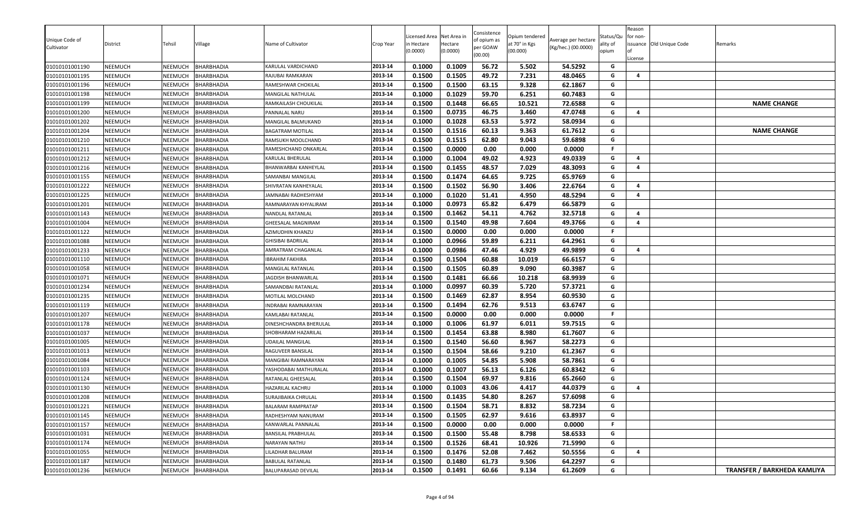| Unique Code of<br>Cultivator     | District                         | Tehsil                    | Village                         | Name of Cultivator                          | Crop Year          | icensed Area<br>n Hectare<br>0.0000) | Net Area in<br>Hectare<br>(0.0000) | Consistence<br>of opium as<br>per GOAW<br>(00.00) | Opium tendered<br>at 70° in Kgs<br>(00.000) | Average per hectare<br>(Kg/hec.) (00.0000) | Status/Qu<br>ality of<br>opium | Reason<br>for non-<br>issuance Old Unique Code<br>License | Remarks                     |
|----------------------------------|----------------------------------|---------------------------|---------------------------------|---------------------------------------------|--------------------|--------------------------------------|------------------------------------|---------------------------------------------------|---------------------------------------------|--------------------------------------------|--------------------------------|-----------------------------------------------------------|-----------------------------|
| 01010101001190                   | <b>NEEMUCH</b>                   | NEEMUCH                   | <b>BHARBHADIA</b>               | KARULAL VARDICHAND                          | 2013-14            | 0.1000                               | 0.1009                             | 56.72                                             | 5.502                                       | 54.5292                                    | G                              |                                                           |                             |
| 01010101001195                   | <b>NEEMUCH</b>                   | NEEMUCH                   | BHARBHADIA                      | RAJUBAI RAMKARAN                            | 2013-14            | 0.1500                               | 0.1505                             | 49.72                                             | 7.231                                       | 48.0465                                    | G                              | 4                                                         |                             |
| 01010101001196                   | <b>NEEMUCH</b>                   | <b>NEEMUCH</b>            | <b>BHARBHADIA</b>               | RAMESHWAR CHOKILAL                          | 2013-14            | 0.1500                               | 0.1500                             | 63.15                                             | 9.328                                       | 62.1867                                    | G                              |                                                           |                             |
| 01010101001198                   | <b>NEEMUCH</b>                   | NEEMUCH                   | BHARBHADIA                      | MANGILAL NATHULAL                           | 2013-14            | 0.1000                               | 0.1029                             | 59.70                                             | 6.251                                       | 60.7483                                    | G                              |                                                           |                             |
| 01010101001199                   | <b>NEEMUCH</b>                   | NEEMUCH                   | BHARBHADIA                      | RAMKAILASH CHOUKILAL                        | 2013-14            | 0.1500                               | 0.1448                             | 66.65                                             | 10.521                                      | 72.6588                                    | G                              |                                                           | <b>NAME CHANGE</b>          |
| 01010101001200                   | <b>NEEMUCH</b>                   | NEEMUCH                   | <b>BHARBHADIA</b>               | PANNALAL NARU                               | 2013-14            | 0.1500                               | 0.0735                             | 46.75                                             | 3.460                                       | 47.0748                                    | G                              | 4                                                         |                             |
| 01010101001202                   | <b>NEEMUCH</b>                   | NEEMUCH                   | <b>BHARBHADIA</b>               | MANGILAL BALMUKAND                          | 2013-14            | 0.1000                               | 0.1028                             | 63.53                                             | 5.972                                       | 58.0934                                    | G                              |                                                           |                             |
| 01010101001204                   | <b>NEEMUCH</b>                   | NEEMUCH                   | <b>BHARBHADIA</b>               | <b>BAGATRAM MOTILAL</b>                     | 2013-14            | 0.1500                               | 0.1516                             | 60.13                                             | 9.363                                       | 61.7612                                    | G                              |                                                           | <b>NAME CHANGE</b>          |
| 01010101001210                   | <b>NEEMUCH</b>                   | NEEMUCH                   | BHARBHADIA                      | RAMSUKH MOOLCHAND                           | 2013-14            | 0.1500                               | 0.1515                             | 62.80                                             | 9.043                                       | 59.6898                                    | G                              |                                                           |                             |
| 01010101001211                   | NEEMUCH                          | NEEMUCH                   | BHARBHADIA                      | RAMESHCHAND ONKARLAL                        | 2013-14            | 0.1500                               | 0.0000                             | 0.00                                              | 0.000                                       | 0.0000                                     | F                              |                                                           |                             |
| 01010101001212                   | <b>NEEMUCH</b>                   | NEEMUCH                   | BHARBHADIA                      | KARULAL BHERULAL                            | 2013-14            | 0.1000                               | 0.1004                             | 49.02                                             | 4.923                                       | 49.0339                                    | G                              | 4                                                         |                             |
| 01010101001216                   | <b>NEEMUCH</b>                   | <b>NEEMUCH</b>            | <b>BHARBHADIA</b>               | BHANWARBAI KANHEYLAL                        | 2013-14            | 0.1500                               | 0.1455                             | 48.57                                             | 7.029                                       | 48.3093                                    | G                              | $\overline{4}$                                            |                             |
| 01010101001155                   | <b>NEEMUCH</b>                   | NEEMUCH                   | BHARBHADIA                      | SAMANBAI MANGILAL                           | 2013-14<br>2013-14 | 0.1500                               | 0.1474<br>0.1502                   | 64.65<br>56.90                                    | 9.725<br>3.406                              | 65.9769                                    | G<br>G                         | $\overline{4}$                                            |                             |
| 01010101001222                   | <b>NEEMUCH</b>                   | NEEMUCH                   | BHARBHADIA<br><b>BHARBHADIA</b> | SHIVRATAN KANHEYALAL                        |                    | 0.1500<br>0.1000                     | 0.1020                             | 51.41                                             |                                             | 22.6764<br>48.5294                         | G                              | 4                                                         |                             |
| 01010101001225                   | <b>NEEMUCH</b><br><b>NEEMUCH</b> | NEEMUCH<br><b>NEEMUCH</b> | <b>BHARBHADIA</b>               | IAMNABAI RADHESHYAM<br>RAMNARAYAN KHYALIRAM | 2013-14<br>2013-14 | 0.1000                               | 0.0973                             | 65.82                                             | 4.950<br>6.479                              | 66.5879                                    | G                              |                                                           |                             |
| 01010101001201<br>01010101001143 | <b>NEEMUCH</b>                   | NEEMUCH                   | <b>BHARBHADIA</b>               | NANDLAL RATANLAL                            | 2013-14            | 0.1500                               | 0.1462                             | 54.11                                             | 4.762                                       | 32.5718                                    | G                              | $\overline{4}$                                            |                             |
| 01010101001004                   | NEEMUCH                          | <b>NEEMUCH</b>            | BHARBHADIA                      | GHEESALAL MAGNIRAM                          | 2013-14            | 0.1500                               | 0.1540                             | 49.98                                             | 7.604                                       | 49.3766                                    | G                              | 4                                                         |                             |
| 01010101001122                   | <b>NEEMUCH</b>                   | NEEMUCH                   | BHARBHADIA                      | AZIMUDHIN KHANZU                            | 2013-14            | 0.1500                               | 0.0000                             | 0.00                                              | 0.000                                       | 0.0000                                     | F                              |                                                           |                             |
| 01010101001088                   | <b>NEEMUCH</b>                   | NEEMUCH                   | BHARBHADIA                      | GHISIBAI BADRILAL                           | 2013-14            | 0.1000                               | 0.0966                             | 59.89                                             | 6.211                                       | 64.2961                                    | G                              |                                                           |                             |
| 01010101001233                   | <b>NEEMUCH</b>                   | <b>NEEMUCH</b>            | <b>BHARBHADIA</b>               | <b>AMRATRAM CHAGANLAL</b>                   | 2013-14            | 0.1000                               | 0.0986                             | 47.46                                             | 4.929                                       | 49.9899                                    | G                              | 4                                                         |                             |
| 01010101001110                   | <b>NEEMUCH</b>                   | NEEMUCH                   | BHARBHADIA                      | IBRAHIM FAKHIRA                             | 2013-14            | 0.1500                               | 0.1504                             | 60.88                                             | 10.019                                      | 66.6157                                    | G                              |                                                           |                             |
| 01010101001058                   | <b>NEEMUCH</b>                   | NEEMUCH                   | <b>BHARBHADIA</b>               | MANGILAL RATANLAL                           | 2013-14            | 0.1500                               | 0.1505                             | 60.89                                             | 9.090                                       | 60.3987                                    | G                              |                                                           |                             |
| 01010101001071                   | <b>NEEMUCH</b>                   | NEEMUCH                   | <b>BHARBHADIA</b>               | IAGDISH BHANWARLAL                          | 2013-14            | 0.1500                               | 0.1481                             | 66.66                                             | 10.218                                      | 68.9939                                    | G                              |                                                           |                             |
| 01010101001234                   | <b>NEEMUCH</b>                   | NEEMUCH                   | BHARBHADIA                      | SAMANDBAI RATANLAL                          | 2013-14            | 0.1000                               | 0.0997                             | 60.39                                             | 5.720                                       | 57.3721                                    | G                              |                                                           |                             |
| 01010101001235                   | <b>NEEMUCH</b>                   | <b>NEEMUCH</b>            | <b>BHARBHADIA</b>               | MOTILAL MOLCHAND                            | 2013-14            | 0.1500                               | 0.1469                             | 62.87                                             | 8.954                                       | 60.9530                                    | G                              |                                                           |                             |
| 01010101001119                   | <b>NEEMUCH</b>                   | <b>NEEMUCH</b>            | BHARBHADIA                      | INDRABAI RAMNARAYAN                         | 2013-14            | 0.1500                               | 0.1494                             | 62.76                                             | 9.513                                       | 63.6747                                    | G                              |                                                           |                             |
| 01010101001207                   | <b>NEEMUCH</b>                   | <b>NEEMUCH</b>            | BHARBHADIA                      | KAMLABAI RATANLAL                           | 2013-14            | 0.1500                               | 0.0000                             | 0.00                                              | 0.000                                       | 0.0000                                     | F.                             |                                                           |                             |
| 01010101001178                   | <b>NEEMUCH</b>                   | NEEMUCH                   | BHARBHADIA                      | DINESHCHANDRA BHERULAL                      | 2013-14            | 0.1000                               | 0.1006                             | 61.97                                             | 6.011                                       | 59.7515                                    | G                              |                                                           |                             |
| 01010101001037                   | <b>NEEMUCH</b>                   | NEEMUCH                   | <b>BHARBHADIA</b>               | SHOBHARAM HAZARILAL                         | 2013-14            | 0.1500                               | 0.1454                             | 63.88                                             | 8.980                                       | 61.7607                                    | G                              |                                                           |                             |
| 01010101001005                   | <b>NEEMUCH</b>                   | NEEMUCH                   | BHARBHADIA                      | UDAILAL MANGILAL                            | 2013-14            | 0.1500                               | 0.1540                             | 56.60                                             | 8.967                                       | 58.2273                                    | G                              |                                                           |                             |
| 01010101001013                   | <b>NEEMUCH</b>                   | <b>NEEMUCH</b>            | BHARBHADIA                      | RAGUVEER BANSILAL                           | 2013-14            | 0.1500                               | 0.1504                             | 58.66                                             | 9.210                                       | 61.2367                                    | G                              |                                                           |                             |
| 01010101001084                   | <b>NEEMUCH</b>                   | NEEMUCH                   | <b>BHARBHADIA</b>               | MANGIBAI RAMNARAYAN                         | 2013-14            | 0.1000                               | 0.1005                             | 54.85                                             | 5.908                                       | 58.7861                                    | G                              |                                                           |                             |
| 01010101001103                   | <b>NEEMUCH</b>                   | NEEMUCH                   | <b>BHARBHADIA</b>               | YASHODABAI MATHURALAL                       | 2013-14            | 0.1000                               | 0.1007                             | 56.13                                             | 6.126                                       | 60.8342                                    | G                              |                                                           |                             |
| 01010101001124                   | <b>NEEMUCH</b>                   | <b>NEEMUCH</b>            | <b>BHARBHADIA</b>               | RATANLAL GHEESALAL                          | 2013-14            | 0.1500                               | 0.1504                             | 69.97                                             | 9.816                                       | 65.2660                                    | G                              |                                                           |                             |
| 01010101001130                   | <b>NEEMUCH</b>                   | <b>NEEMUCH</b>            | <b>BHARBHADIA</b>               | HAZARILAL KACHRU                            | 2013-14            | 0.1000                               | 0.1003                             | 43.06                                             | 4.417                                       | 44.0379                                    | G                              | $\overline{a}$                                            |                             |
| 01010101001208                   | <b>NEEMUCH</b>                   | <b>NEEMUCH</b>            | BHARBHADIA                      | SURAJIBAIKA CHRULAL                         | 2013-14            | 0.1500                               | 0.1435                             | 54.80                                             | 8.267                                       | 57.6098                                    | G                              |                                                           |                             |
| 01010101001221                   | <b>NEEMUCH</b>                   | NEEMUCH                   | <b>BHARBHADIA</b>               | BALARAM RAMPRATAP                           | 2013-14            | 0.1500                               | 0.1504                             | 58.71                                             | 8.832                                       | 58.7234                                    | G                              |                                                           |                             |
| 01010101001145                   | <b>NEEMUCH</b>                   | NEEMUCH                   | <b>BHARBHADIA</b>               | RADHESHYAM NANURAM                          | 2013-14            | 0.1500                               | 0.1505                             | 62.97                                             | 9.616                                       | 63.8937                                    | G                              |                                                           |                             |
| 01010101001157                   | <b>NEEMUCH</b>                   | NEEMUCH                   | BHARBHADIA                      | KANWARLAL PANNALAL                          | 2013-14            | 0.1500                               | 0.0000                             | 0.00                                              | 0.000                                       | 0.0000                                     | F                              |                                                           |                             |
| 01010101001031                   | <b>NEEMUCH</b>                   | NEEMUCH                   | BHARBHADIA                      | BANSILAL PRABHULAL                          | 2013-14            | 0.1500                               | 0.1500                             | 55.48                                             | 8.798                                       | 58.6533                                    | G                              |                                                           |                             |
| 01010101001174                   | <b>NEEMUCH</b>                   | NEEMUCH                   | <b>BHARBHADIA</b>               | NARAYAN NATHU                               | 2013-14            | 0.1500                               | 0.1526                             | 68.41                                             | 10.926                                      | 71.5990                                    | G                              |                                                           |                             |
| 01010101001055                   | <b>NEEMUCH</b>                   | NEEMUCH                   | <b>BHARBHADIA</b>               | LILADHAR BALURAM                            | 2013-14            | 0.1500                               | 0.1476                             | 52.08                                             | 7.462                                       | 50.5556                                    | G                              | 4                                                         |                             |
| 01010101001187                   | <b>NEEMUCH</b>                   | <b>NEEMUCH</b>            | <b>BHARBHADIA</b>               | <b>BABULAL RATANLAL</b>                     | 2013-14            | 0.1500                               | 0.1480                             | 61.73                                             | 9.506                                       | 64.2297                                    | G                              |                                                           |                             |
| 01010101001236                   | <b>NEEMUCH</b>                   | NEEMUCH                   | <b>BHARBHADIA</b>               | BALUPARASAD DEVILAL                         | 2013-14            | 0.1500                               | 0.1491                             | 60.66                                             | 9.134                                       | 61.2609                                    | G                              |                                                           | TRANSFER / BARKHEDA KAMLIYA |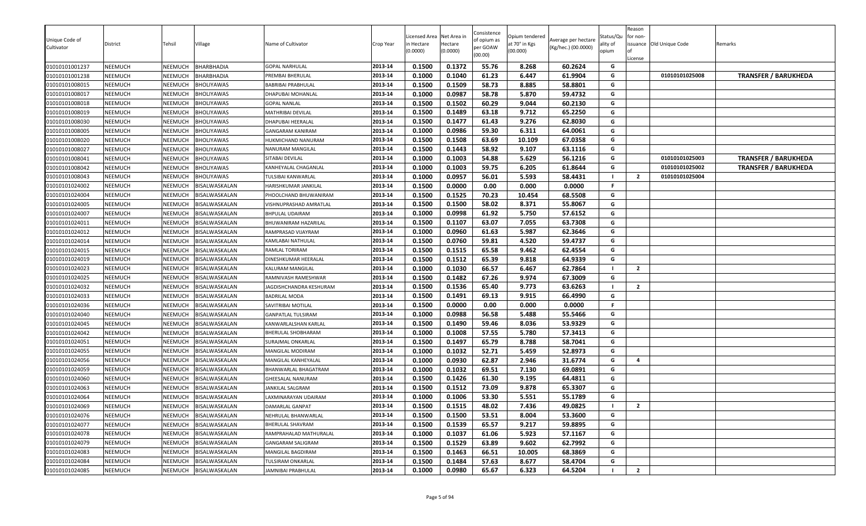| 61.23<br><b>BHARBHADIA</b><br>2013-14<br>0.1000<br>0.1040<br>6.447<br>61.9904<br>G<br>01010101025008<br><b>TRANSFER / BARUKHEDA</b><br>01010101001238<br>NEEMUCH<br>NEEMUCH<br>PREMBAI BHERULAL<br>0.1500<br>0.1509<br>58.73<br>8.885<br>58.8801<br>01010101008015<br>NEEMUCH<br><b>BHOLIYAWAS</b><br>2013-14<br>G<br>NEEMUCH<br>BABRIBAI PRABHULAL<br>2013-14<br>0.1000<br>0.0987<br>58.78<br>G<br>5.870<br>59.4732<br>01010101008017<br>NEEMUCH<br>NEEMUCH<br><b>BHOLIYAWAS</b><br>DHAPUBAI MOHANLAL<br>0.1500<br>0.1502<br>60.29<br>60.2130<br>G<br>01010101008018<br>NEEMUCH<br>NEEMUCH<br><b>BHOLIYAWAS</b><br>2013-14<br>9.044<br><b>GOPAL NANLAL</b><br>2013-14<br>0.1489<br>G<br>0.1500<br>63.18<br>9.712<br>65.2250<br>01010101008019<br>NEEMUCH<br>NEEMUCH<br><b>BHOLIYAWAS</b><br>MATHRIBAI DEVILAL<br>0.1477<br>NEEMUCH<br>2013-14<br>0.1500<br>61.43<br>9.276<br>62.8030<br>G<br>01010101008030<br>NEEMUCH<br><b>BHOLIYAWAS</b><br>DHAPUBAI HEERALAL<br>0.0986<br>59.30<br>2013-14<br>0.1000<br>6.311<br>64.0061<br>G<br>01010101008005<br><b>NEEMUCH</b><br>NEEMUCH<br><b>BHOLIYAWAS</b><br>GANGARAM KANIRAM<br>63.69<br>0.1500<br>0.1508<br>01010101008020<br>NEEMUCH<br><b>NEEMUCH</b><br>BHOLIYAWAS<br>2013-14<br>10.109<br>67.0358<br>G<br>HUKMICHAND NANURAM<br>2013-14<br>0.1500<br>0.1443<br>58.92<br>9.107<br>63.1116<br>01010101008027<br>NEEMUCH<br><b>BHOLIYAWAS</b><br>G<br>NEEMUCH<br>NANURAM MANGILAL<br>54.88<br>2013-14<br>0.1000<br>0.1003<br>5.629<br>56.1216<br>G<br><b>TRANSFER / BARUKHEDA</b><br>01010101008041<br>NEEMUCH<br><b>NEEMUCH</b><br>BHOLIYAWAS<br>01010101025003<br>SITABAI DEVILAL<br>59.75<br>6.205<br>61.8644<br>2013-14<br>0.1000<br>0.1003<br>G<br>01010101025002<br><b>TRANSFER / BARUKHEDA</b><br>01010101008042<br><b>NEEMUCH</b><br>NEEMUCH<br><b>BHOLIYAWAS</b><br>KANHEYALAL CHAGANLAL<br>0.0957<br>2013-14<br>0.1000<br>56.01<br>5.593<br>58.4431<br>$\overline{2}$<br>01010101008043<br>NEEMUCH<br>NEEMUCH<br><b>BHOLIYAWAS</b><br>01010101025004<br>TULSIBAI KANWARLAL<br>0.1500<br>0.0000<br>0.00<br>2013-14<br>0.000<br>0.0000<br>F<br>01010101024002<br>NEEMUCH<br>NEEMUCH<br>BISALWASKALAN<br>HARISHKUMAR JANKILAL<br>0.1525<br>70.23<br>2013-14<br>0.1500<br>10.454<br>68.5508<br>G<br>01010101024004<br>NEEMUCH<br>NEEMUCH<br>BISALWASKALAN<br>PHOOLCHAND BHUWANIRAM<br>0.1500<br>58.02<br>2013-14<br>0.1500<br>8.371<br>55.8067<br>G<br>NEEMUCH<br>BISALWASKALAN<br>01010101024005<br>NEEMUCH<br>VISHNUPRASHAD AMRATLAL<br>0.0998<br>61.92<br>01010101024007<br><b>NEEMUCH</b><br>NEEMUCH<br>BISALWASKALAN<br>2013-14<br>0.1000<br>5.750<br>57.6152<br>G<br><b>BHPULAL UDAIRAM</b><br>63.07<br>2013-14<br>0.1500<br>0.1107<br>7.055<br>63.7308<br>G<br>01010101024011<br>NEEMUCH<br>NEEMUCH<br>BISALWASKALAN<br>BHUWANIRAM HAZARILAL<br>0.0960<br>62.3646<br>01010101024012<br>NEEMUCH<br>NEEMUCH<br>BISALWASKALAN<br>2013-14<br>0.1000<br>61.63<br>5.987<br>G<br>RAMPRASAD VIJAYRAM<br>0.0760<br>59.81<br>4.520<br>59.4737<br>2013-14<br>0.1500<br>G<br>01010101024014<br>NEEMUCH<br>NEEMUCH<br>BISALWASKALAN<br>KAMLABAI NATHULAL<br>0.1500<br>0.1515<br>65.58<br>9.462<br>62.4554<br>01010101024015<br><b>NEEMUCH</b><br>NEEMUCH<br>BISALWASKALAN<br>2013-14<br>G<br>RAMLAL TORIRAM<br>0.1500<br>0.1512<br>65.39<br>64.9339<br>2013-14<br>9.818<br>G<br>01010101024019<br>DINESHKUMAR HEERALAL<br>NEEMUCH<br>NEEMUCH<br>BISALWASKALAN<br>2013-14<br>0.1000<br>0.1030<br>66.57<br>$\overline{2}$<br>01010101024023<br>NEEMUCH<br><b>NEEMUCH</b><br>6.467<br>62.7864<br>BISALWASKALAN<br>KALURAM MANGILAL<br>2013-14<br>0.1500<br>0.1482<br>67.26<br>9.974<br>67.3009<br>G<br>BISALWASKALAN<br>01010101024025<br><b>NEEMUCH</b><br>NEEMUCH<br>RAMNIVASH RAMESHWAR<br>0.1536<br>65.40<br>01010101024032<br>NEEMUCH<br>NEEMUCH<br>BISALWASKALAN<br>2013-14<br>0.1500<br>9.773<br>63.6263<br>$\overline{2}$<br>JAGDISHCHANDRA KESHURAM<br>69.13<br>2013-14<br>0.1500<br>0.1491<br>9.915<br>66.4990<br>01010101024033<br>NEEMUCH<br>NEEMUCH<br>BISALWASKALAN<br><b>BADRILAL MODA</b><br>G<br>2013-14<br>01010101024036<br>NEEMUCH<br>0.1500<br>0.0000<br>0.00<br>0.000<br>0.0000<br>F.<br>NEEMUCH<br>BISALWASKALAN<br>SAVITRIBAI MOTILAL<br>0.0988<br>56.58<br>5.488<br>55.5466<br>2013-14<br>0.1000<br>G<br>01010101024040<br>NEEMUCH<br>NEEMUCH<br>BISALWASKALAN<br><b>GANPATLAL TULSIRAM</b><br>2013-14<br>0.1500<br>0.1490<br>59.46<br>53.9329<br>G<br>8.036<br>NEEMUCH<br>NEEMUCH<br>01010101024045<br>BISALWASKALAN<br>KANWARLALSHAN KARLAL<br>0.1000<br>0.1008<br>57.55<br>5.780<br>57.3413<br>2013-14<br>G<br>01010101024042<br>NEEMUCH<br>NEEMUCH<br>BISALWASKALAN<br>BHERULAL SHOBHARAM<br>2013-14<br>65.79<br>G<br>01010101024051<br>0.1500<br>0.1497<br>8.788<br>58.7041<br>NEEMUCH<br>NEEMUCH<br>BISALWASKALAN<br>SURAJMAL ONKARLAL<br>0.1032<br>52.71<br>2013-14<br>0.1000<br>5.459<br>52.8973<br>G<br>01010101024055<br>NEEMUCH<br>NEEMUCH<br>BISALWASKALAN<br>MANGILAL MODIRAM<br>2013-14<br>01010101024056<br><b>NEEMUCH</b><br>NEEMUCH<br>BISALWASKALAN<br>0.1000<br>0.0930<br>62.87<br>2.946<br>31.6774<br>G<br>$\overline{a}$<br>MANGILAL KANHEYALAL<br>0.1032<br>69.51<br>7.130<br>0.1000<br>69.0891<br>01010101024059<br>NEEMUCH<br>NEEMUCH<br>BISALWASKALAN<br>2013-14<br>G<br>BHANWARLAL BHAGATRAM<br>2013-14<br>0.1426<br>9.195<br>64.4811<br>01010101024060<br>NEEMUCH<br>NEEMUCH<br>BISALWASKALAN<br>0.1500<br>61.30<br>G<br><b>GHEESALAL NANURAM</b><br>01010101024063<br>0.1500<br>0.1512<br>73.09<br>9.878<br>65.3307<br>G<br>NEEMUCH<br>NEEMUCH<br>BISALWASKALAN<br>2013-14<br>JANKILAL SALGRAM<br>2013-14<br>0.1000<br>0.1006<br>53.30<br>5.551<br>55.1789<br>G<br>01010101024064<br>NEEMUCH<br><b>NEEMUCH</b><br>BISALWASKALAN<br>LAXMINARAYAN UDAIRAM<br>0.1515<br>NEEMUCH<br>BISALWASKALAN<br>2013-14<br>0.1500<br>48.02<br>7.436<br>49.0825<br>$\overline{2}$<br>01010101024069<br>NEEMUCH<br>DAMARLAL GANPAT<br>2013-14<br>0.1500<br>G<br>01010101024076<br><b>NEEMUCH</b><br>NEEMUCH<br>BISALWASKALAN<br>0.1500<br>53.51<br>53.3600<br>NEHRULAL BHANWARLAL<br>8.004<br>0.1539<br>65.57<br>9.217<br>01010101024077<br>BISALWASKALAN<br>2013-14<br>0.1500<br>59.8895<br>G<br><b>NEEMUCH</b><br>NEEMUCH<br><b>BHERULAL SHAVRAM</b><br>2013-14<br>0.1037<br>61.06<br>5.923<br>G<br>01010101024078<br><b>NEEMUCH</b><br>NEEMUCH<br>BISALWASKALAN<br>0.1000<br>57.1167<br>RAMPRAHALAD MATHURALAL<br>01010101024079<br>BISALWASKALAN<br>2013-14<br>0.1500<br>0.1529<br>63.89<br>9.602<br>62.7992<br><b>NEEMUCH</b><br>NEEMUCH<br>GANGARAM SALIGRAM<br>G<br>2013-14<br>0.1500<br>0.1463<br>66.51<br>68.3869<br>10.005<br>G<br>01010101024083<br><b>NEEMUCH</b><br>NEEMUCH<br>BISALWASKALAN<br>MANGILAL BAGDIRAM<br>01010101024084<br><b>NEEMUCH</b><br>NEEMUCH<br>BISALWASKALAN<br>2013-14<br>0.1500<br>0.1484<br>57.63<br>8.677<br>58.4704<br>G<br>TULSIRAM ONKARLAL | Unique Code of<br>Cultivator | District       | Tehsil  | Village           | Name of Cultivator    | Crop Year | icensed Area<br>n Hectare<br>0.0000) | Net Area in<br>Hectare<br>(0.0000) | Consistence<br>of opium as<br>per GOAW<br>(00.00) | Opium tendered<br>at 70° in Kgs<br>(00.000) | Average per hectare<br>(Kg/hec.) (00.0000) | Status/Qu<br>ality of<br>opium | Reason<br>for non-<br>License | issuance Old Unique Code | Remarks |
|-----------------------------------------------------------------------------------------------------------------------------------------------------------------------------------------------------------------------------------------------------------------------------------------------------------------------------------------------------------------------------------------------------------------------------------------------------------------------------------------------------------------------------------------------------------------------------------------------------------------------------------------------------------------------------------------------------------------------------------------------------------------------------------------------------------------------------------------------------------------------------------------------------------------------------------------------------------------------------------------------------------------------------------------------------------------------------------------------------------------------------------------------------------------------------------------------------------------------------------------------------------------------------------------------------------------------------------------------------------------------------------------------------------------------------------------------------------------------------------------------------------------------------------------------------------------------------------------------------------------------------------------------------------------------------------------------------------------------------------------------------------------------------------------------------------------------------------------------------------------------------------------------------------------------------------------------------------------------------------------------------------------------------------------------------------------------------------------------------------------------------------------------------------------------------------------------------------------------------------------------------------------------------------------------------------------------------------------------------------------------------------------------------------------------------------------------------------------------------------------------------------------------------------------------------------------------------------------------------------------------------------------------------------------------------------------------------------------------------------------------------------------------------------------------------------------------------------------------------------------------------------------------------------------------------------------------------------------------------------------------------------------------------------------------------------------------------------------------------------------------------------------------------------------------------------------------------------------------------------------------------------------------------------------------------------------------------------------------------------------------------------------------------------------------------------------------------------------------------------------------------------------------------------------------------------------------------------------------------------------------------------------------------------------------------------------------------------------------------------------------------------------------------------------------------------------------------------------------------------------------------------------------------------------------------------------------------------------------------------------------------------------------------------------------------------------------------------------------------------------------------------------------------------------------------------------------------------------------------------------------------------------------------------------------------------------------------------------------------------------------------------------------------------------------------------------------------------------------------------------------------------------------------------------------------------------------------------------------------------------------------------------------------------------------------------------------------------------------------------------------------------------------------------------------------------------------------------------------------------------------------------------------------------------------------------------------------------------------------------------------------------------------------------------------------------------------------------------------------------------------------------------------------------------------------------------------------------------------------------------------------------------------------------------------------------------------------------------------------------------------------------------------------------------------------------------------------------------------------------------------------------------------------------------------------------------------------------------------------------------------------------------------------------------------------------------------------------------------------------------------------------------------------------------------------------------------------------------------------------------------------------------------------------------------------------------------------------------------------------------------------------------------------------------------------------------------------------------------------------------------------------------------------------------------------------------------------------------------------------------------------------------------------------------------------------------------------------------------------------------------------------------------------------------------------------------------------------------------------------------------------------------------------------------------------------------------------------------------------------------------------------------------------------------------------------------------------------------------------------------------------------------------------------------------------------------------------------------------------------------------|------------------------------|----------------|---------|-------------------|-----------------------|-----------|--------------------------------------|------------------------------------|---------------------------------------------------|---------------------------------------------|--------------------------------------------|--------------------------------|-------------------------------|--------------------------|---------|
|                                                                                                                                                                                                                                                                                                                                                                                                                                                                                                                                                                                                                                                                                                                                                                                                                                                                                                                                                                                                                                                                                                                                                                                                                                                                                                                                                                                                                                                                                                                                                                                                                                                                                                                                                                                                                                                                                                                                                                                                                                                                                                                                                                                                                                                                                                                                                                                                                                                                                                                                                                                                                                                                                                                                                                                                                                                                                                                                                                                                                                                                                                                                                                                                                                                                                                                                                                                                                                                                                                                                                                                                                                                                                                                                                                                                                                                                                                                                                                                                                                                                                                                                                                                                                                                                                                                                                                                                                                                                                                                                                                                                                                                                                                                                                                                                                                                                                                                                                                                                                                                                                                                                                                                                                                                                                                                                                                                                                                                                                                                                                                                                                                                                                                                                                                                                                                                                                                                                                                                                                                                                                                                                                                                                                                                                                                                                                                                                                                                                                                                                                                                                                                                                                                                                                                                                                                                                       | 01010101001237               | NEEMUCH        | NEEMUCH | <b>BHARBHADIA</b> | <b>GOPAL NARHULAL</b> | 2013-14   | 0.1500                               | 0.1372                             | 55.76                                             | 8.268                                       | 60.2624                                    | G                              |                               |                          |         |
|                                                                                                                                                                                                                                                                                                                                                                                                                                                                                                                                                                                                                                                                                                                                                                                                                                                                                                                                                                                                                                                                                                                                                                                                                                                                                                                                                                                                                                                                                                                                                                                                                                                                                                                                                                                                                                                                                                                                                                                                                                                                                                                                                                                                                                                                                                                                                                                                                                                                                                                                                                                                                                                                                                                                                                                                                                                                                                                                                                                                                                                                                                                                                                                                                                                                                                                                                                                                                                                                                                                                                                                                                                                                                                                                                                                                                                                                                                                                                                                                                                                                                                                                                                                                                                                                                                                                                                                                                                                                                                                                                                                                                                                                                                                                                                                                                                                                                                                                                                                                                                                                                                                                                                                                                                                                                                                                                                                                                                                                                                                                                                                                                                                                                                                                                                                                                                                                                                                                                                                                                                                                                                                                                                                                                                                                                                                                                                                                                                                                                                                                                                                                                                                                                                                                                                                                                                                                       |                              |                |         |                   |                       |           |                                      |                                    |                                                   |                                             |                                            |                                |                               |                          |         |
|                                                                                                                                                                                                                                                                                                                                                                                                                                                                                                                                                                                                                                                                                                                                                                                                                                                                                                                                                                                                                                                                                                                                                                                                                                                                                                                                                                                                                                                                                                                                                                                                                                                                                                                                                                                                                                                                                                                                                                                                                                                                                                                                                                                                                                                                                                                                                                                                                                                                                                                                                                                                                                                                                                                                                                                                                                                                                                                                                                                                                                                                                                                                                                                                                                                                                                                                                                                                                                                                                                                                                                                                                                                                                                                                                                                                                                                                                                                                                                                                                                                                                                                                                                                                                                                                                                                                                                                                                                                                                                                                                                                                                                                                                                                                                                                                                                                                                                                                                                                                                                                                                                                                                                                                                                                                                                                                                                                                                                                                                                                                                                                                                                                                                                                                                                                                                                                                                                                                                                                                                                                                                                                                                                                                                                                                                                                                                                                                                                                                                                                                                                                                                                                                                                                                                                                                                                                                       |                              |                |         |                   |                       |           |                                      |                                    |                                                   |                                             |                                            |                                |                               |                          |         |
|                                                                                                                                                                                                                                                                                                                                                                                                                                                                                                                                                                                                                                                                                                                                                                                                                                                                                                                                                                                                                                                                                                                                                                                                                                                                                                                                                                                                                                                                                                                                                                                                                                                                                                                                                                                                                                                                                                                                                                                                                                                                                                                                                                                                                                                                                                                                                                                                                                                                                                                                                                                                                                                                                                                                                                                                                                                                                                                                                                                                                                                                                                                                                                                                                                                                                                                                                                                                                                                                                                                                                                                                                                                                                                                                                                                                                                                                                                                                                                                                                                                                                                                                                                                                                                                                                                                                                                                                                                                                                                                                                                                                                                                                                                                                                                                                                                                                                                                                                                                                                                                                                                                                                                                                                                                                                                                                                                                                                                                                                                                                                                                                                                                                                                                                                                                                                                                                                                                                                                                                                                                                                                                                                                                                                                                                                                                                                                                                                                                                                                                                                                                                                                                                                                                                                                                                                                                                       |                              |                |         |                   |                       |           |                                      |                                    |                                                   |                                             |                                            |                                |                               |                          |         |
|                                                                                                                                                                                                                                                                                                                                                                                                                                                                                                                                                                                                                                                                                                                                                                                                                                                                                                                                                                                                                                                                                                                                                                                                                                                                                                                                                                                                                                                                                                                                                                                                                                                                                                                                                                                                                                                                                                                                                                                                                                                                                                                                                                                                                                                                                                                                                                                                                                                                                                                                                                                                                                                                                                                                                                                                                                                                                                                                                                                                                                                                                                                                                                                                                                                                                                                                                                                                                                                                                                                                                                                                                                                                                                                                                                                                                                                                                                                                                                                                                                                                                                                                                                                                                                                                                                                                                                                                                                                                                                                                                                                                                                                                                                                                                                                                                                                                                                                                                                                                                                                                                                                                                                                                                                                                                                                                                                                                                                                                                                                                                                                                                                                                                                                                                                                                                                                                                                                                                                                                                                                                                                                                                                                                                                                                                                                                                                                                                                                                                                                                                                                                                                                                                                                                                                                                                                                                       |                              |                |         |                   |                       |           |                                      |                                    |                                                   |                                             |                                            |                                |                               |                          |         |
|                                                                                                                                                                                                                                                                                                                                                                                                                                                                                                                                                                                                                                                                                                                                                                                                                                                                                                                                                                                                                                                                                                                                                                                                                                                                                                                                                                                                                                                                                                                                                                                                                                                                                                                                                                                                                                                                                                                                                                                                                                                                                                                                                                                                                                                                                                                                                                                                                                                                                                                                                                                                                                                                                                                                                                                                                                                                                                                                                                                                                                                                                                                                                                                                                                                                                                                                                                                                                                                                                                                                                                                                                                                                                                                                                                                                                                                                                                                                                                                                                                                                                                                                                                                                                                                                                                                                                                                                                                                                                                                                                                                                                                                                                                                                                                                                                                                                                                                                                                                                                                                                                                                                                                                                                                                                                                                                                                                                                                                                                                                                                                                                                                                                                                                                                                                                                                                                                                                                                                                                                                                                                                                                                                                                                                                                                                                                                                                                                                                                                                                                                                                                                                                                                                                                                                                                                                                                       |                              |                |         |                   |                       |           |                                      |                                    |                                                   |                                             |                                            |                                |                               |                          |         |
|                                                                                                                                                                                                                                                                                                                                                                                                                                                                                                                                                                                                                                                                                                                                                                                                                                                                                                                                                                                                                                                                                                                                                                                                                                                                                                                                                                                                                                                                                                                                                                                                                                                                                                                                                                                                                                                                                                                                                                                                                                                                                                                                                                                                                                                                                                                                                                                                                                                                                                                                                                                                                                                                                                                                                                                                                                                                                                                                                                                                                                                                                                                                                                                                                                                                                                                                                                                                                                                                                                                                                                                                                                                                                                                                                                                                                                                                                                                                                                                                                                                                                                                                                                                                                                                                                                                                                                                                                                                                                                                                                                                                                                                                                                                                                                                                                                                                                                                                                                                                                                                                                                                                                                                                                                                                                                                                                                                                                                                                                                                                                                                                                                                                                                                                                                                                                                                                                                                                                                                                                                                                                                                                                                                                                                                                                                                                                                                                                                                                                                                                                                                                                                                                                                                                                                                                                                                                       |                              |                |         |                   |                       |           |                                      |                                    |                                                   |                                             |                                            |                                |                               |                          |         |
|                                                                                                                                                                                                                                                                                                                                                                                                                                                                                                                                                                                                                                                                                                                                                                                                                                                                                                                                                                                                                                                                                                                                                                                                                                                                                                                                                                                                                                                                                                                                                                                                                                                                                                                                                                                                                                                                                                                                                                                                                                                                                                                                                                                                                                                                                                                                                                                                                                                                                                                                                                                                                                                                                                                                                                                                                                                                                                                                                                                                                                                                                                                                                                                                                                                                                                                                                                                                                                                                                                                                                                                                                                                                                                                                                                                                                                                                                                                                                                                                                                                                                                                                                                                                                                                                                                                                                                                                                                                                                                                                                                                                                                                                                                                                                                                                                                                                                                                                                                                                                                                                                                                                                                                                                                                                                                                                                                                                                                                                                                                                                                                                                                                                                                                                                                                                                                                                                                                                                                                                                                                                                                                                                                                                                                                                                                                                                                                                                                                                                                                                                                                                                                                                                                                                                                                                                                                                       |                              |                |         |                   |                       |           |                                      |                                    |                                                   |                                             |                                            |                                |                               |                          |         |
|                                                                                                                                                                                                                                                                                                                                                                                                                                                                                                                                                                                                                                                                                                                                                                                                                                                                                                                                                                                                                                                                                                                                                                                                                                                                                                                                                                                                                                                                                                                                                                                                                                                                                                                                                                                                                                                                                                                                                                                                                                                                                                                                                                                                                                                                                                                                                                                                                                                                                                                                                                                                                                                                                                                                                                                                                                                                                                                                                                                                                                                                                                                                                                                                                                                                                                                                                                                                                                                                                                                                                                                                                                                                                                                                                                                                                                                                                                                                                                                                                                                                                                                                                                                                                                                                                                                                                                                                                                                                                                                                                                                                                                                                                                                                                                                                                                                                                                                                                                                                                                                                                                                                                                                                                                                                                                                                                                                                                                                                                                                                                                                                                                                                                                                                                                                                                                                                                                                                                                                                                                                                                                                                                                                                                                                                                                                                                                                                                                                                                                                                                                                                                                                                                                                                                                                                                                                                       |                              |                |         |                   |                       |           |                                      |                                    |                                                   |                                             |                                            |                                |                               |                          |         |
|                                                                                                                                                                                                                                                                                                                                                                                                                                                                                                                                                                                                                                                                                                                                                                                                                                                                                                                                                                                                                                                                                                                                                                                                                                                                                                                                                                                                                                                                                                                                                                                                                                                                                                                                                                                                                                                                                                                                                                                                                                                                                                                                                                                                                                                                                                                                                                                                                                                                                                                                                                                                                                                                                                                                                                                                                                                                                                                                                                                                                                                                                                                                                                                                                                                                                                                                                                                                                                                                                                                                                                                                                                                                                                                                                                                                                                                                                                                                                                                                                                                                                                                                                                                                                                                                                                                                                                                                                                                                                                                                                                                                                                                                                                                                                                                                                                                                                                                                                                                                                                                                                                                                                                                                                                                                                                                                                                                                                                                                                                                                                                                                                                                                                                                                                                                                                                                                                                                                                                                                                                                                                                                                                                                                                                                                                                                                                                                                                                                                                                                                                                                                                                                                                                                                                                                                                                                                       |                              |                |         |                   |                       |           |                                      |                                    |                                                   |                                             |                                            |                                |                               |                          |         |
|                                                                                                                                                                                                                                                                                                                                                                                                                                                                                                                                                                                                                                                                                                                                                                                                                                                                                                                                                                                                                                                                                                                                                                                                                                                                                                                                                                                                                                                                                                                                                                                                                                                                                                                                                                                                                                                                                                                                                                                                                                                                                                                                                                                                                                                                                                                                                                                                                                                                                                                                                                                                                                                                                                                                                                                                                                                                                                                                                                                                                                                                                                                                                                                                                                                                                                                                                                                                                                                                                                                                                                                                                                                                                                                                                                                                                                                                                                                                                                                                                                                                                                                                                                                                                                                                                                                                                                                                                                                                                                                                                                                                                                                                                                                                                                                                                                                                                                                                                                                                                                                                                                                                                                                                                                                                                                                                                                                                                                                                                                                                                                                                                                                                                                                                                                                                                                                                                                                                                                                                                                                                                                                                                                                                                                                                                                                                                                                                                                                                                                                                                                                                                                                                                                                                                                                                                                                                       |                              |                |         |                   |                       |           |                                      |                                    |                                                   |                                             |                                            |                                |                               |                          |         |
|                                                                                                                                                                                                                                                                                                                                                                                                                                                                                                                                                                                                                                                                                                                                                                                                                                                                                                                                                                                                                                                                                                                                                                                                                                                                                                                                                                                                                                                                                                                                                                                                                                                                                                                                                                                                                                                                                                                                                                                                                                                                                                                                                                                                                                                                                                                                                                                                                                                                                                                                                                                                                                                                                                                                                                                                                                                                                                                                                                                                                                                                                                                                                                                                                                                                                                                                                                                                                                                                                                                                                                                                                                                                                                                                                                                                                                                                                                                                                                                                                                                                                                                                                                                                                                                                                                                                                                                                                                                                                                                                                                                                                                                                                                                                                                                                                                                                                                                                                                                                                                                                                                                                                                                                                                                                                                                                                                                                                                                                                                                                                                                                                                                                                                                                                                                                                                                                                                                                                                                                                                                                                                                                                                                                                                                                                                                                                                                                                                                                                                                                                                                                                                                                                                                                                                                                                                                                       |                              |                |         |                   |                       |           |                                      |                                    |                                                   |                                             |                                            |                                |                               |                          |         |
|                                                                                                                                                                                                                                                                                                                                                                                                                                                                                                                                                                                                                                                                                                                                                                                                                                                                                                                                                                                                                                                                                                                                                                                                                                                                                                                                                                                                                                                                                                                                                                                                                                                                                                                                                                                                                                                                                                                                                                                                                                                                                                                                                                                                                                                                                                                                                                                                                                                                                                                                                                                                                                                                                                                                                                                                                                                                                                                                                                                                                                                                                                                                                                                                                                                                                                                                                                                                                                                                                                                                                                                                                                                                                                                                                                                                                                                                                                                                                                                                                                                                                                                                                                                                                                                                                                                                                                                                                                                                                                                                                                                                                                                                                                                                                                                                                                                                                                                                                                                                                                                                                                                                                                                                                                                                                                                                                                                                                                                                                                                                                                                                                                                                                                                                                                                                                                                                                                                                                                                                                                                                                                                                                                                                                                                                                                                                                                                                                                                                                                                                                                                                                                                                                                                                                                                                                                                                       |                              |                |         |                   |                       |           |                                      |                                    |                                                   |                                             |                                            |                                |                               |                          |         |
|                                                                                                                                                                                                                                                                                                                                                                                                                                                                                                                                                                                                                                                                                                                                                                                                                                                                                                                                                                                                                                                                                                                                                                                                                                                                                                                                                                                                                                                                                                                                                                                                                                                                                                                                                                                                                                                                                                                                                                                                                                                                                                                                                                                                                                                                                                                                                                                                                                                                                                                                                                                                                                                                                                                                                                                                                                                                                                                                                                                                                                                                                                                                                                                                                                                                                                                                                                                                                                                                                                                                                                                                                                                                                                                                                                                                                                                                                                                                                                                                                                                                                                                                                                                                                                                                                                                                                                                                                                                                                                                                                                                                                                                                                                                                                                                                                                                                                                                                                                                                                                                                                                                                                                                                                                                                                                                                                                                                                                                                                                                                                                                                                                                                                                                                                                                                                                                                                                                                                                                                                                                                                                                                                                                                                                                                                                                                                                                                                                                                                                                                                                                                                                                                                                                                                                                                                                                                       |                              |                |         |                   |                       |           |                                      |                                    |                                                   |                                             |                                            |                                |                               |                          |         |
|                                                                                                                                                                                                                                                                                                                                                                                                                                                                                                                                                                                                                                                                                                                                                                                                                                                                                                                                                                                                                                                                                                                                                                                                                                                                                                                                                                                                                                                                                                                                                                                                                                                                                                                                                                                                                                                                                                                                                                                                                                                                                                                                                                                                                                                                                                                                                                                                                                                                                                                                                                                                                                                                                                                                                                                                                                                                                                                                                                                                                                                                                                                                                                                                                                                                                                                                                                                                                                                                                                                                                                                                                                                                                                                                                                                                                                                                                                                                                                                                                                                                                                                                                                                                                                                                                                                                                                                                                                                                                                                                                                                                                                                                                                                                                                                                                                                                                                                                                                                                                                                                                                                                                                                                                                                                                                                                                                                                                                                                                                                                                                                                                                                                                                                                                                                                                                                                                                                                                                                                                                                                                                                                                                                                                                                                                                                                                                                                                                                                                                                                                                                                                                                                                                                                                                                                                                                                       |                              |                |         |                   |                       |           |                                      |                                    |                                                   |                                             |                                            |                                |                               |                          |         |
|                                                                                                                                                                                                                                                                                                                                                                                                                                                                                                                                                                                                                                                                                                                                                                                                                                                                                                                                                                                                                                                                                                                                                                                                                                                                                                                                                                                                                                                                                                                                                                                                                                                                                                                                                                                                                                                                                                                                                                                                                                                                                                                                                                                                                                                                                                                                                                                                                                                                                                                                                                                                                                                                                                                                                                                                                                                                                                                                                                                                                                                                                                                                                                                                                                                                                                                                                                                                                                                                                                                                                                                                                                                                                                                                                                                                                                                                                                                                                                                                                                                                                                                                                                                                                                                                                                                                                                                                                                                                                                                                                                                                                                                                                                                                                                                                                                                                                                                                                                                                                                                                                                                                                                                                                                                                                                                                                                                                                                                                                                                                                                                                                                                                                                                                                                                                                                                                                                                                                                                                                                                                                                                                                                                                                                                                                                                                                                                                                                                                                                                                                                                                                                                                                                                                                                                                                                                                       |                              |                |         |                   |                       |           |                                      |                                    |                                                   |                                             |                                            |                                |                               |                          |         |
|                                                                                                                                                                                                                                                                                                                                                                                                                                                                                                                                                                                                                                                                                                                                                                                                                                                                                                                                                                                                                                                                                                                                                                                                                                                                                                                                                                                                                                                                                                                                                                                                                                                                                                                                                                                                                                                                                                                                                                                                                                                                                                                                                                                                                                                                                                                                                                                                                                                                                                                                                                                                                                                                                                                                                                                                                                                                                                                                                                                                                                                                                                                                                                                                                                                                                                                                                                                                                                                                                                                                                                                                                                                                                                                                                                                                                                                                                                                                                                                                                                                                                                                                                                                                                                                                                                                                                                                                                                                                                                                                                                                                                                                                                                                                                                                                                                                                                                                                                                                                                                                                                                                                                                                                                                                                                                                                                                                                                                                                                                                                                                                                                                                                                                                                                                                                                                                                                                                                                                                                                                                                                                                                                                                                                                                                                                                                                                                                                                                                                                                                                                                                                                                                                                                                                                                                                                                                       |                              |                |         |                   |                       |           |                                      |                                    |                                                   |                                             |                                            |                                |                               |                          |         |
|                                                                                                                                                                                                                                                                                                                                                                                                                                                                                                                                                                                                                                                                                                                                                                                                                                                                                                                                                                                                                                                                                                                                                                                                                                                                                                                                                                                                                                                                                                                                                                                                                                                                                                                                                                                                                                                                                                                                                                                                                                                                                                                                                                                                                                                                                                                                                                                                                                                                                                                                                                                                                                                                                                                                                                                                                                                                                                                                                                                                                                                                                                                                                                                                                                                                                                                                                                                                                                                                                                                                                                                                                                                                                                                                                                                                                                                                                                                                                                                                                                                                                                                                                                                                                                                                                                                                                                                                                                                                                                                                                                                                                                                                                                                                                                                                                                                                                                                                                                                                                                                                                                                                                                                                                                                                                                                                                                                                                                                                                                                                                                                                                                                                                                                                                                                                                                                                                                                                                                                                                                                                                                                                                                                                                                                                                                                                                                                                                                                                                                                                                                                                                                                                                                                                                                                                                                                                       |                              |                |         |                   |                       |           |                                      |                                    |                                                   |                                             |                                            |                                |                               |                          |         |
|                                                                                                                                                                                                                                                                                                                                                                                                                                                                                                                                                                                                                                                                                                                                                                                                                                                                                                                                                                                                                                                                                                                                                                                                                                                                                                                                                                                                                                                                                                                                                                                                                                                                                                                                                                                                                                                                                                                                                                                                                                                                                                                                                                                                                                                                                                                                                                                                                                                                                                                                                                                                                                                                                                                                                                                                                                                                                                                                                                                                                                                                                                                                                                                                                                                                                                                                                                                                                                                                                                                                                                                                                                                                                                                                                                                                                                                                                                                                                                                                                                                                                                                                                                                                                                                                                                                                                                                                                                                                                                                                                                                                                                                                                                                                                                                                                                                                                                                                                                                                                                                                                                                                                                                                                                                                                                                                                                                                                                                                                                                                                                                                                                                                                                                                                                                                                                                                                                                                                                                                                                                                                                                                                                                                                                                                                                                                                                                                                                                                                                                                                                                                                                                                                                                                                                                                                                                                       |                              |                |         |                   |                       |           |                                      |                                    |                                                   |                                             |                                            |                                |                               |                          |         |
|                                                                                                                                                                                                                                                                                                                                                                                                                                                                                                                                                                                                                                                                                                                                                                                                                                                                                                                                                                                                                                                                                                                                                                                                                                                                                                                                                                                                                                                                                                                                                                                                                                                                                                                                                                                                                                                                                                                                                                                                                                                                                                                                                                                                                                                                                                                                                                                                                                                                                                                                                                                                                                                                                                                                                                                                                                                                                                                                                                                                                                                                                                                                                                                                                                                                                                                                                                                                                                                                                                                                                                                                                                                                                                                                                                                                                                                                                                                                                                                                                                                                                                                                                                                                                                                                                                                                                                                                                                                                                                                                                                                                                                                                                                                                                                                                                                                                                                                                                                                                                                                                                                                                                                                                                                                                                                                                                                                                                                                                                                                                                                                                                                                                                                                                                                                                                                                                                                                                                                                                                                                                                                                                                                                                                                                                                                                                                                                                                                                                                                                                                                                                                                                                                                                                                                                                                                                                       |                              |                |         |                   |                       |           |                                      |                                    |                                                   |                                             |                                            |                                |                               |                          |         |
|                                                                                                                                                                                                                                                                                                                                                                                                                                                                                                                                                                                                                                                                                                                                                                                                                                                                                                                                                                                                                                                                                                                                                                                                                                                                                                                                                                                                                                                                                                                                                                                                                                                                                                                                                                                                                                                                                                                                                                                                                                                                                                                                                                                                                                                                                                                                                                                                                                                                                                                                                                                                                                                                                                                                                                                                                                                                                                                                                                                                                                                                                                                                                                                                                                                                                                                                                                                                                                                                                                                                                                                                                                                                                                                                                                                                                                                                                                                                                                                                                                                                                                                                                                                                                                                                                                                                                                                                                                                                                                                                                                                                                                                                                                                                                                                                                                                                                                                                                                                                                                                                                                                                                                                                                                                                                                                                                                                                                                                                                                                                                                                                                                                                                                                                                                                                                                                                                                                                                                                                                                                                                                                                                                                                                                                                                                                                                                                                                                                                                                                                                                                                                                                                                                                                                                                                                                                                       |                              |                |         |                   |                       |           |                                      |                                    |                                                   |                                             |                                            |                                |                               |                          |         |
|                                                                                                                                                                                                                                                                                                                                                                                                                                                                                                                                                                                                                                                                                                                                                                                                                                                                                                                                                                                                                                                                                                                                                                                                                                                                                                                                                                                                                                                                                                                                                                                                                                                                                                                                                                                                                                                                                                                                                                                                                                                                                                                                                                                                                                                                                                                                                                                                                                                                                                                                                                                                                                                                                                                                                                                                                                                                                                                                                                                                                                                                                                                                                                                                                                                                                                                                                                                                                                                                                                                                                                                                                                                                                                                                                                                                                                                                                                                                                                                                                                                                                                                                                                                                                                                                                                                                                                                                                                                                                                                                                                                                                                                                                                                                                                                                                                                                                                                                                                                                                                                                                                                                                                                                                                                                                                                                                                                                                                                                                                                                                                                                                                                                                                                                                                                                                                                                                                                                                                                                                                                                                                                                                                                                                                                                                                                                                                                                                                                                                                                                                                                                                                                                                                                                                                                                                                                                       |                              |                |         |                   |                       |           |                                      |                                    |                                                   |                                             |                                            |                                |                               |                          |         |
|                                                                                                                                                                                                                                                                                                                                                                                                                                                                                                                                                                                                                                                                                                                                                                                                                                                                                                                                                                                                                                                                                                                                                                                                                                                                                                                                                                                                                                                                                                                                                                                                                                                                                                                                                                                                                                                                                                                                                                                                                                                                                                                                                                                                                                                                                                                                                                                                                                                                                                                                                                                                                                                                                                                                                                                                                                                                                                                                                                                                                                                                                                                                                                                                                                                                                                                                                                                                                                                                                                                                                                                                                                                                                                                                                                                                                                                                                                                                                                                                                                                                                                                                                                                                                                                                                                                                                                                                                                                                                                                                                                                                                                                                                                                                                                                                                                                                                                                                                                                                                                                                                                                                                                                                                                                                                                                                                                                                                                                                                                                                                                                                                                                                                                                                                                                                                                                                                                                                                                                                                                                                                                                                                                                                                                                                                                                                                                                                                                                                                                                                                                                                                                                                                                                                                                                                                                                                       |                              |                |         |                   |                       |           |                                      |                                    |                                                   |                                             |                                            |                                |                               |                          |         |
|                                                                                                                                                                                                                                                                                                                                                                                                                                                                                                                                                                                                                                                                                                                                                                                                                                                                                                                                                                                                                                                                                                                                                                                                                                                                                                                                                                                                                                                                                                                                                                                                                                                                                                                                                                                                                                                                                                                                                                                                                                                                                                                                                                                                                                                                                                                                                                                                                                                                                                                                                                                                                                                                                                                                                                                                                                                                                                                                                                                                                                                                                                                                                                                                                                                                                                                                                                                                                                                                                                                                                                                                                                                                                                                                                                                                                                                                                                                                                                                                                                                                                                                                                                                                                                                                                                                                                                                                                                                                                                                                                                                                                                                                                                                                                                                                                                                                                                                                                                                                                                                                                                                                                                                                                                                                                                                                                                                                                                                                                                                                                                                                                                                                                                                                                                                                                                                                                                                                                                                                                                                                                                                                                                                                                                                                                                                                                                                                                                                                                                                                                                                                                                                                                                                                                                                                                                                                       |                              |                |         |                   |                       |           |                                      |                                    |                                                   |                                             |                                            |                                |                               |                          |         |
|                                                                                                                                                                                                                                                                                                                                                                                                                                                                                                                                                                                                                                                                                                                                                                                                                                                                                                                                                                                                                                                                                                                                                                                                                                                                                                                                                                                                                                                                                                                                                                                                                                                                                                                                                                                                                                                                                                                                                                                                                                                                                                                                                                                                                                                                                                                                                                                                                                                                                                                                                                                                                                                                                                                                                                                                                                                                                                                                                                                                                                                                                                                                                                                                                                                                                                                                                                                                                                                                                                                                                                                                                                                                                                                                                                                                                                                                                                                                                                                                                                                                                                                                                                                                                                                                                                                                                                                                                                                                                                                                                                                                                                                                                                                                                                                                                                                                                                                                                                                                                                                                                                                                                                                                                                                                                                                                                                                                                                                                                                                                                                                                                                                                                                                                                                                                                                                                                                                                                                                                                                                                                                                                                                                                                                                                                                                                                                                                                                                                                                                                                                                                                                                                                                                                                                                                                                                                       |                              |                |         |                   |                       |           |                                      |                                    |                                                   |                                             |                                            |                                |                               |                          |         |
|                                                                                                                                                                                                                                                                                                                                                                                                                                                                                                                                                                                                                                                                                                                                                                                                                                                                                                                                                                                                                                                                                                                                                                                                                                                                                                                                                                                                                                                                                                                                                                                                                                                                                                                                                                                                                                                                                                                                                                                                                                                                                                                                                                                                                                                                                                                                                                                                                                                                                                                                                                                                                                                                                                                                                                                                                                                                                                                                                                                                                                                                                                                                                                                                                                                                                                                                                                                                                                                                                                                                                                                                                                                                                                                                                                                                                                                                                                                                                                                                                                                                                                                                                                                                                                                                                                                                                                                                                                                                                                                                                                                                                                                                                                                                                                                                                                                                                                                                                                                                                                                                                                                                                                                                                                                                                                                                                                                                                                                                                                                                                                                                                                                                                                                                                                                                                                                                                                                                                                                                                                                                                                                                                                                                                                                                                                                                                                                                                                                                                                                                                                                                                                                                                                                                                                                                                                                                       |                              |                |         |                   |                       |           |                                      |                                    |                                                   |                                             |                                            |                                |                               |                          |         |
|                                                                                                                                                                                                                                                                                                                                                                                                                                                                                                                                                                                                                                                                                                                                                                                                                                                                                                                                                                                                                                                                                                                                                                                                                                                                                                                                                                                                                                                                                                                                                                                                                                                                                                                                                                                                                                                                                                                                                                                                                                                                                                                                                                                                                                                                                                                                                                                                                                                                                                                                                                                                                                                                                                                                                                                                                                                                                                                                                                                                                                                                                                                                                                                                                                                                                                                                                                                                                                                                                                                                                                                                                                                                                                                                                                                                                                                                                                                                                                                                                                                                                                                                                                                                                                                                                                                                                                                                                                                                                                                                                                                                                                                                                                                                                                                                                                                                                                                                                                                                                                                                                                                                                                                                                                                                                                                                                                                                                                                                                                                                                                                                                                                                                                                                                                                                                                                                                                                                                                                                                                                                                                                                                                                                                                                                                                                                                                                                                                                                                                                                                                                                                                                                                                                                                                                                                                                                       |                              |                |         |                   |                       |           |                                      |                                    |                                                   |                                             |                                            |                                |                               |                          |         |
|                                                                                                                                                                                                                                                                                                                                                                                                                                                                                                                                                                                                                                                                                                                                                                                                                                                                                                                                                                                                                                                                                                                                                                                                                                                                                                                                                                                                                                                                                                                                                                                                                                                                                                                                                                                                                                                                                                                                                                                                                                                                                                                                                                                                                                                                                                                                                                                                                                                                                                                                                                                                                                                                                                                                                                                                                                                                                                                                                                                                                                                                                                                                                                                                                                                                                                                                                                                                                                                                                                                                                                                                                                                                                                                                                                                                                                                                                                                                                                                                                                                                                                                                                                                                                                                                                                                                                                                                                                                                                                                                                                                                                                                                                                                                                                                                                                                                                                                                                                                                                                                                                                                                                                                                                                                                                                                                                                                                                                                                                                                                                                                                                                                                                                                                                                                                                                                                                                                                                                                                                                                                                                                                                                                                                                                                                                                                                                                                                                                                                                                                                                                                                                                                                                                                                                                                                                                                       |                              |                |         |                   |                       |           |                                      |                                    |                                                   |                                             |                                            |                                |                               |                          |         |
|                                                                                                                                                                                                                                                                                                                                                                                                                                                                                                                                                                                                                                                                                                                                                                                                                                                                                                                                                                                                                                                                                                                                                                                                                                                                                                                                                                                                                                                                                                                                                                                                                                                                                                                                                                                                                                                                                                                                                                                                                                                                                                                                                                                                                                                                                                                                                                                                                                                                                                                                                                                                                                                                                                                                                                                                                                                                                                                                                                                                                                                                                                                                                                                                                                                                                                                                                                                                                                                                                                                                                                                                                                                                                                                                                                                                                                                                                                                                                                                                                                                                                                                                                                                                                                                                                                                                                                                                                                                                                                                                                                                                                                                                                                                                                                                                                                                                                                                                                                                                                                                                                                                                                                                                                                                                                                                                                                                                                                                                                                                                                                                                                                                                                                                                                                                                                                                                                                                                                                                                                                                                                                                                                                                                                                                                                                                                                                                                                                                                                                                                                                                                                                                                                                                                                                                                                                                                       |                              |                |         |                   |                       |           |                                      |                                    |                                                   |                                             |                                            |                                |                               |                          |         |
|                                                                                                                                                                                                                                                                                                                                                                                                                                                                                                                                                                                                                                                                                                                                                                                                                                                                                                                                                                                                                                                                                                                                                                                                                                                                                                                                                                                                                                                                                                                                                                                                                                                                                                                                                                                                                                                                                                                                                                                                                                                                                                                                                                                                                                                                                                                                                                                                                                                                                                                                                                                                                                                                                                                                                                                                                                                                                                                                                                                                                                                                                                                                                                                                                                                                                                                                                                                                                                                                                                                                                                                                                                                                                                                                                                                                                                                                                                                                                                                                                                                                                                                                                                                                                                                                                                                                                                                                                                                                                                                                                                                                                                                                                                                                                                                                                                                                                                                                                                                                                                                                                                                                                                                                                                                                                                                                                                                                                                                                                                                                                                                                                                                                                                                                                                                                                                                                                                                                                                                                                                                                                                                                                                                                                                                                                                                                                                                                                                                                                                                                                                                                                                                                                                                                                                                                                                                                       |                              |                |         |                   |                       |           |                                      |                                    |                                                   |                                             |                                            |                                |                               |                          |         |
|                                                                                                                                                                                                                                                                                                                                                                                                                                                                                                                                                                                                                                                                                                                                                                                                                                                                                                                                                                                                                                                                                                                                                                                                                                                                                                                                                                                                                                                                                                                                                                                                                                                                                                                                                                                                                                                                                                                                                                                                                                                                                                                                                                                                                                                                                                                                                                                                                                                                                                                                                                                                                                                                                                                                                                                                                                                                                                                                                                                                                                                                                                                                                                                                                                                                                                                                                                                                                                                                                                                                                                                                                                                                                                                                                                                                                                                                                                                                                                                                                                                                                                                                                                                                                                                                                                                                                                                                                                                                                                                                                                                                                                                                                                                                                                                                                                                                                                                                                                                                                                                                                                                                                                                                                                                                                                                                                                                                                                                                                                                                                                                                                                                                                                                                                                                                                                                                                                                                                                                                                                                                                                                                                                                                                                                                                                                                                                                                                                                                                                                                                                                                                                                                                                                                                                                                                                                                       |                              |                |         |                   |                       |           |                                      |                                    |                                                   |                                             |                                            |                                |                               |                          |         |
|                                                                                                                                                                                                                                                                                                                                                                                                                                                                                                                                                                                                                                                                                                                                                                                                                                                                                                                                                                                                                                                                                                                                                                                                                                                                                                                                                                                                                                                                                                                                                                                                                                                                                                                                                                                                                                                                                                                                                                                                                                                                                                                                                                                                                                                                                                                                                                                                                                                                                                                                                                                                                                                                                                                                                                                                                                                                                                                                                                                                                                                                                                                                                                                                                                                                                                                                                                                                                                                                                                                                                                                                                                                                                                                                                                                                                                                                                                                                                                                                                                                                                                                                                                                                                                                                                                                                                                                                                                                                                                                                                                                                                                                                                                                                                                                                                                                                                                                                                                                                                                                                                                                                                                                                                                                                                                                                                                                                                                                                                                                                                                                                                                                                                                                                                                                                                                                                                                                                                                                                                                                                                                                                                                                                                                                                                                                                                                                                                                                                                                                                                                                                                                                                                                                                                                                                                                                                       |                              |                |         |                   |                       |           |                                      |                                    |                                                   |                                             |                                            |                                |                               |                          |         |
|                                                                                                                                                                                                                                                                                                                                                                                                                                                                                                                                                                                                                                                                                                                                                                                                                                                                                                                                                                                                                                                                                                                                                                                                                                                                                                                                                                                                                                                                                                                                                                                                                                                                                                                                                                                                                                                                                                                                                                                                                                                                                                                                                                                                                                                                                                                                                                                                                                                                                                                                                                                                                                                                                                                                                                                                                                                                                                                                                                                                                                                                                                                                                                                                                                                                                                                                                                                                                                                                                                                                                                                                                                                                                                                                                                                                                                                                                                                                                                                                                                                                                                                                                                                                                                                                                                                                                                                                                                                                                                                                                                                                                                                                                                                                                                                                                                                                                                                                                                                                                                                                                                                                                                                                                                                                                                                                                                                                                                                                                                                                                                                                                                                                                                                                                                                                                                                                                                                                                                                                                                                                                                                                                                                                                                                                                                                                                                                                                                                                                                                                                                                                                                                                                                                                                                                                                                                                       |                              |                |         |                   |                       |           |                                      |                                    |                                                   |                                             |                                            |                                |                               |                          |         |
|                                                                                                                                                                                                                                                                                                                                                                                                                                                                                                                                                                                                                                                                                                                                                                                                                                                                                                                                                                                                                                                                                                                                                                                                                                                                                                                                                                                                                                                                                                                                                                                                                                                                                                                                                                                                                                                                                                                                                                                                                                                                                                                                                                                                                                                                                                                                                                                                                                                                                                                                                                                                                                                                                                                                                                                                                                                                                                                                                                                                                                                                                                                                                                                                                                                                                                                                                                                                                                                                                                                                                                                                                                                                                                                                                                                                                                                                                                                                                                                                                                                                                                                                                                                                                                                                                                                                                                                                                                                                                                                                                                                                                                                                                                                                                                                                                                                                                                                                                                                                                                                                                                                                                                                                                                                                                                                                                                                                                                                                                                                                                                                                                                                                                                                                                                                                                                                                                                                                                                                                                                                                                                                                                                                                                                                                                                                                                                                                                                                                                                                                                                                                                                                                                                                                                                                                                                                                       |                              |                |         |                   |                       |           |                                      |                                    |                                                   |                                             |                                            |                                |                               |                          |         |
|                                                                                                                                                                                                                                                                                                                                                                                                                                                                                                                                                                                                                                                                                                                                                                                                                                                                                                                                                                                                                                                                                                                                                                                                                                                                                                                                                                                                                                                                                                                                                                                                                                                                                                                                                                                                                                                                                                                                                                                                                                                                                                                                                                                                                                                                                                                                                                                                                                                                                                                                                                                                                                                                                                                                                                                                                                                                                                                                                                                                                                                                                                                                                                                                                                                                                                                                                                                                                                                                                                                                                                                                                                                                                                                                                                                                                                                                                                                                                                                                                                                                                                                                                                                                                                                                                                                                                                                                                                                                                                                                                                                                                                                                                                                                                                                                                                                                                                                                                                                                                                                                                                                                                                                                                                                                                                                                                                                                                                                                                                                                                                                                                                                                                                                                                                                                                                                                                                                                                                                                                                                                                                                                                                                                                                                                                                                                                                                                                                                                                                                                                                                                                                                                                                                                                                                                                                                                       |                              |                |         |                   |                       |           |                                      |                                    |                                                   |                                             |                                            |                                |                               |                          |         |
|                                                                                                                                                                                                                                                                                                                                                                                                                                                                                                                                                                                                                                                                                                                                                                                                                                                                                                                                                                                                                                                                                                                                                                                                                                                                                                                                                                                                                                                                                                                                                                                                                                                                                                                                                                                                                                                                                                                                                                                                                                                                                                                                                                                                                                                                                                                                                                                                                                                                                                                                                                                                                                                                                                                                                                                                                                                                                                                                                                                                                                                                                                                                                                                                                                                                                                                                                                                                                                                                                                                                                                                                                                                                                                                                                                                                                                                                                                                                                                                                                                                                                                                                                                                                                                                                                                                                                                                                                                                                                                                                                                                                                                                                                                                                                                                                                                                                                                                                                                                                                                                                                                                                                                                                                                                                                                                                                                                                                                                                                                                                                                                                                                                                                                                                                                                                                                                                                                                                                                                                                                                                                                                                                                                                                                                                                                                                                                                                                                                                                                                                                                                                                                                                                                                                                                                                                                                                       |                              |                |         |                   |                       |           |                                      |                                    |                                                   |                                             |                                            |                                |                               |                          |         |
|                                                                                                                                                                                                                                                                                                                                                                                                                                                                                                                                                                                                                                                                                                                                                                                                                                                                                                                                                                                                                                                                                                                                                                                                                                                                                                                                                                                                                                                                                                                                                                                                                                                                                                                                                                                                                                                                                                                                                                                                                                                                                                                                                                                                                                                                                                                                                                                                                                                                                                                                                                                                                                                                                                                                                                                                                                                                                                                                                                                                                                                                                                                                                                                                                                                                                                                                                                                                                                                                                                                                                                                                                                                                                                                                                                                                                                                                                                                                                                                                                                                                                                                                                                                                                                                                                                                                                                                                                                                                                                                                                                                                                                                                                                                                                                                                                                                                                                                                                                                                                                                                                                                                                                                                                                                                                                                                                                                                                                                                                                                                                                                                                                                                                                                                                                                                                                                                                                                                                                                                                                                                                                                                                                                                                                                                                                                                                                                                                                                                                                                                                                                                                                                                                                                                                                                                                                                                       |                              |                |         |                   |                       |           |                                      |                                    |                                                   |                                             |                                            |                                |                               |                          |         |
|                                                                                                                                                                                                                                                                                                                                                                                                                                                                                                                                                                                                                                                                                                                                                                                                                                                                                                                                                                                                                                                                                                                                                                                                                                                                                                                                                                                                                                                                                                                                                                                                                                                                                                                                                                                                                                                                                                                                                                                                                                                                                                                                                                                                                                                                                                                                                                                                                                                                                                                                                                                                                                                                                                                                                                                                                                                                                                                                                                                                                                                                                                                                                                                                                                                                                                                                                                                                                                                                                                                                                                                                                                                                                                                                                                                                                                                                                                                                                                                                                                                                                                                                                                                                                                                                                                                                                                                                                                                                                                                                                                                                                                                                                                                                                                                                                                                                                                                                                                                                                                                                                                                                                                                                                                                                                                                                                                                                                                                                                                                                                                                                                                                                                                                                                                                                                                                                                                                                                                                                                                                                                                                                                                                                                                                                                                                                                                                                                                                                                                                                                                                                                                                                                                                                                                                                                                                                       |                              |                |         |                   |                       |           |                                      |                                    |                                                   |                                             |                                            |                                |                               |                          |         |
|                                                                                                                                                                                                                                                                                                                                                                                                                                                                                                                                                                                                                                                                                                                                                                                                                                                                                                                                                                                                                                                                                                                                                                                                                                                                                                                                                                                                                                                                                                                                                                                                                                                                                                                                                                                                                                                                                                                                                                                                                                                                                                                                                                                                                                                                                                                                                                                                                                                                                                                                                                                                                                                                                                                                                                                                                                                                                                                                                                                                                                                                                                                                                                                                                                                                                                                                                                                                                                                                                                                                                                                                                                                                                                                                                                                                                                                                                                                                                                                                                                                                                                                                                                                                                                                                                                                                                                                                                                                                                                                                                                                                                                                                                                                                                                                                                                                                                                                                                                                                                                                                                                                                                                                                                                                                                                                                                                                                                                                                                                                                                                                                                                                                                                                                                                                                                                                                                                                                                                                                                                                                                                                                                                                                                                                                                                                                                                                                                                                                                                                                                                                                                                                                                                                                                                                                                                                                       |                              |                |         |                   |                       |           |                                      |                                    |                                                   |                                             |                                            |                                |                               |                          |         |
|                                                                                                                                                                                                                                                                                                                                                                                                                                                                                                                                                                                                                                                                                                                                                                                                                                                                                                                                                                                                                                                                                                                                                                                                                                                                                                                                                                                                                                                                                                                                                                                                                                                                                                                                                                                                                                                                                                                                                                                                                                                                                                                                                                                                                                                                                                                                                                                                                                                                                                                                                                                                                                                                                                                                                                                                                                                                                                                                                                                                                                                                                                                                                                                                                                                                                                                                                                                                                                                                                                                                                                                                                                                                                                                                                                                                                                                                                                                                                                                                                                                                                                                                                                                                                                                                                                                                                                                                                                                                                                                                                                                                                                                                                                                                                                                                                                                                                                                                                                                                                                                                                                                                                                                                                                                                                                                                                                                                                                                                                                                                                                                                                                                                                                                                                                                                                                                                                                                                                                                                                                                                                                                                                                                                                                                                                                                                                                                                                                                                                                                                                                                                                                                                                                                                                                                                                                                                       |                              |                |         |                   |                       |           |                                      |                                    |                                                   |                                             |                                            |                                |                               |                          |         |
|                                                                                                                                                                                                                                                                                                                                                                                                                                                                                                                                                                                                                                                                                                                                                                                                                                                                                                                                                                                                                                                                                                                                                                                                                                                                                                                                                                                                                                                                                                                                                                                                                                                                                                                                                                                                                                                                                                                                                                                                                                                                                                                                                                                                                                                                                                                                                                                                                                                                                                                                                                                                                                                                                                                                                                                                                                                                                                                                                                                                                                                                                                                                                                                                                                                                                                                                                                                                                                                                                                                                                                                                                                                                                                                                                                                                                                                                                                                                                                                                                                                                                                                                                                                                                                                                                                                                                                                                                                                                                                                                                                                                                                                                                                                                                                                                                                                                                                                                                                                                                                                                                                                                                                                                                                                                                                                                                                                                                                                                                                                                                                                                                                                                                                                                                                                                                                                                                                                                                                                                                                                                                                                                                                                                                                                                                                                                                                                                                                                                                                                                                                                                                                                                                                                                                                                                                                                                       |                              |                |         |                   |                       |           |                                      |                                    |                                                   |                                             |                                            |                                |                               |                          |         |
|                                                                                                                                                                                                                                                                                                                                                                                                                                                                                                                                                                                                                                                                                                                                                                                                                                                                                                                                                                                                                                                                                                                                                                                                                                                                                                                                                                                                                                                                                                                                                                                                                                                                                                                                                                                                                                                                                                                                                                                                                                                                                                                                                                                                                                                                                                                                                                                                                                                                                                                                                                                                                                                                                                                                                                                                                                                                                                                                                                                                                                                                                                                                                                                                                                                                                                                                                                                                                                                                                                                                                                                                                                                                                                                                                                                                                                                                                                                                                                                                                                                                                                                                                                                                                                                                                                                                                                                                                                                                                                                                                                                                                                                                                                                                                                                                                                                                                                                                                                                                                                                                                                                                                                                                                                                                                                                                                                                                                                                                                                                                                                                                                                                                                                                                                                                                                                                                                                                                                                                                                                                                                                                                                                                                                                                                                                                                                                                                                                                                                                                                                                                                                                                                                                                                                                                                                                                                       |                              |                |         |                   |                       |           |                                      |                                    |                                                   |                                             |                                            |                                |                               |                          |         |
|                                                                                                                                                                                                                                                                                                                                                                                                                                                                                                                                                                                                                                                                                                                                                                                                                                                                                                                                                                                                                                                                                                                                                                                                                                                                                                                                                                                                                                                                                                                                                                                                                                                                                                                                                                                                                                                                                                                                                                                                                                                                                                                                                                                                                                                                                                                                                                                                                                                                                                                                                                                                                                                                                                                                                                                                                                                                                                                                                                                                                                                                                                                                                                                                                                                                                                                                                                                                                                                                                                                                                                                                                                                                                                                                                                                                                                                                                                                                                                                                                                                                                                                                                                                                                                                                                                                                                                                                                                                                                                                                                                                                                                                                                                                                                                                                                                                                                                                                                                                                                                                                                                                                                                                                                                                                                                                                                                                                                                                                                                                                                                                                                                                                                                                                                                                                                                                                                                                                                                                                                                                                                                                                                                                                                                                                                                                                                                                                                                                                                                                                                                                                                                                                                                                                                                                                                                                                       |                              |                |         |                   |                       |           |                                      |                                    |                                                   |                                             |                                            |                                |                               |                          |         |
|                                                                                                                                                                                                                                                                                                                                                                                                                                                                                                                                                                                                                                                                                                                                                                                                                                                                                                                                                                                                                                                                                                                                                                                                                                                                                                                                                                                                                                                                                                                                                                                                                                                                                                                                                                                                                                                                                                                                                                                                                                                                                                                                                                                                                                                                                                                                                                                                                                                                                                                                                                                                                                                                                                                                                                                                                                                                                                                                                                                                                                                                                                                                                                                                                                                                                                                                                                                                                                                                                                                                                                                                                                                                                                                                                                                                                                                                                                                                                                                                                                                                                                                                                                                                                                                                                                                                                                                                                                                                                                                                                                                                                                                                                                                                                                                                                                                                                                                                                                                                                                                                                                                                                                                                                                                                                                                                                                                                                                                                                                                                                                                                                                                                                                                                                                                                                                                                                                                                                                                                                                                                                                                                                                                                                                                                                                                                                                                                                                                                                                                                                                                                                                                                                                                                                                                                                                                                       | 01010101024085               | <b>NEEMUCH</b> | NEEMUCH | BISALWASKALAN     | JAMNIBAI PRABHULAL    | 2013-14   | 0.1000                               | 0.0980                             | 65.67                                             | 6.323                                       | 64.5204                                    |                                | $\overline{2}$                |                          |         |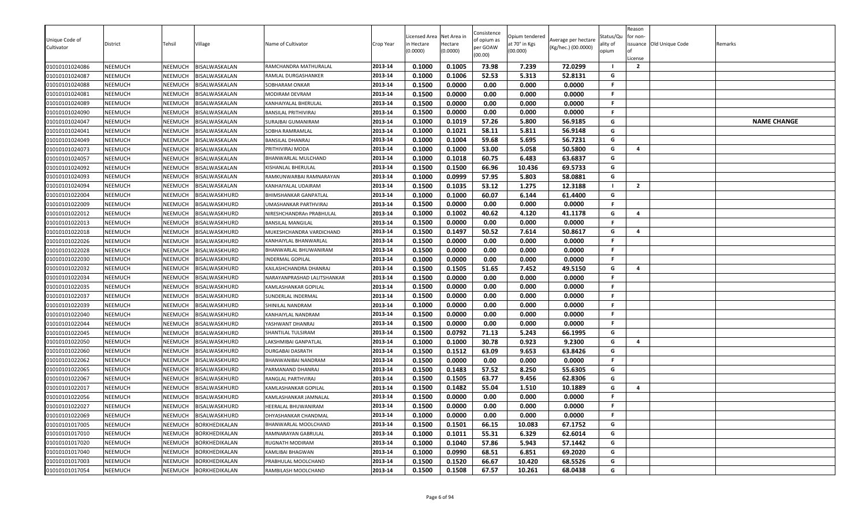| Unique Code of<br>Cultivator     | District           | Tehsil             | Village                        | Name of Cultivator                     | Crop Year          | Licensed Area<br>n Hectare<br>(0.0000) | Net Area in<br>Hectare<br>(0.0000) | Consistence<br>of opium as<br>per GOAW<br>(00.00) | Opium tendered<br>at 70° in Kgs<br>(00.000) | Average per hectare<br>(Kg/hec.) (00.0000) | Status/Qu<br>ality of<br>opium | Reason<br>for non-<br>.icense<br>$\overline{2}$ | issuance Old Unique Code | Remarks            |
|----------------------------------|--------------------|--------------------|--------------------------------|----------------------------------------|--------------------|----------------------------------------|------------------------------------|---------------------------------------------------|---------------------------------------------|--------------------------------------------|--------------------------------|-------------------------------------------------|--------------------------|--------------------|
| 01010101024086                   | NEEMUCH            | NEEMUCH            | BISALWASKALAN                  | RAMCHANDRA MATHURALAL                  | 2013-14<br>2013-14 | 0.1000                                 | 0.1005                             | 73.98                                             | 7.239                                       | 72.0299                                    | G                              |                                                 |                          |                    |
| 01010101024087<br>01010101024088 | NEEMUCH<br>NEEMUCH | NEEMUCH<br>NEEMUCH | BISALWASKALAN<br>BISALWASKALAN | RAMLAL DURGASHANKER<br>SOBHARAM ONKAR  | 2013-14            | 0.1000<br>0.1500                       | 0.1006<br>0.0000                   | 52.53<br>0.00                                     | 5.313<br>0.000                              | 52.8131<br>0.0000                          | F.                             |                                                 |                          |                    |
|                                  | NEEMUCH            | NEEMUCH            | BISALWASKALAN                  |                                        | 2013-14            | 0.1500                                 | 0.0000                             | 0.00                                              | 0.000                                       |                                            | F.                             |                                                 |                          |                    |
| 01010101024081<br>01010101024089 | NEEMUCH            | NEEMUCH            | BISALWASKALAN                  | MODIRAM DEVRAM<br>KANHAIYALAL BHERULAL | 2013-14            | 0.1500                                 | 0.0000                             | 0.00                                              | 0.000                                       | 0.0000<br>0.0000                           | F.                             |                                                 |                          |                    |
| 01010101024090                   | NEEMUCH            | NEEMUCH            | BISALWASKALAN                  | BANSILAL PRITHIVIRAJ                   | 2013-14            | 0.1500                                 | 0.0000                             | 0.00                                              | 0.000                                       | 0.0000                                     | F.                             |                                                 |                          |                    |
| 01010101024047                   | NEEMUCH            | NEEMUCH            | BISALWASKALAN                  | SURAJBAI GUMANIRAM                     | 2013-14            | 0.1000                                 | 0.1019                             | 57.26                                             | 5.800                                       | 56.9185                                    | G                              |                                                 |                          | <b>NAME CHANGE</b> |
| 01010101024041                   | NEEMUCH            | NEEMUCH            | BISALWASKALAN                  | SOBHA RAMRAMLAL                        | 2013-14            | 0.1000                                 | 0.1021                             | 58.11                                             | 5.811                                       | 56.9148                                    | G                              |                                                 |                          |                    |
| 01010101024049                   | NEEMUCH            | NEEMUCH            | BISALWASKALAN                  | <b>BANSILAL DHANRAJ</b>                | 2013-14            | 0.1000                                 | 0.1004                             | 59.68                                             | 5.695                                       | 56.7231                                    | G                              |                                                 |                          |                    |
| 01010101024073                   | NEEMUCH            | NEEMUCH            | BISALWASKALAN                  | PRITHIVIRAJ MODA                       | 2013-14            | 0.1000                                 | 0.1000                             | 53.00                                             | 5.058                                       | 50.5800                                    | G                              | $\overline{4}$                                  |                          |                    |
| 01010101024057                   | NEEMUCH            | NEEMUCH            | BISALWASKALAN                  | BHANWARLAL MULCHAND                    | 2013-14            | 0.1000                                 | 0.1018                             | 60.75                                             | 6.483                                       | 63.6837                                    | G                              |                                                 |                          |                    |
| 01010101024092                   | NEEMUCH            | NEEMUCH            | BISALWASKALAN                  | KISHANLAL BHERULAL                     | 2013-14            | 0.1500                                 | 0.1500                             | 66.96                                             | 10.436                                      | 69.5733                                    | G                              |                                                 |                          |                    |
| 01010101024093                   | NEEMUCH            | NEEMUCH            | BISALWASKALAN                  | RAMKUNWARBAI RAMNARAYAN                | 2013-14            | 0.1000                                 | 0.0999                             | 57.95                                             | 5.803                                       | 58.0881                                    | G                              |                                                 |                          |                    |
| 01010101024094                   | NEEMUCH            | NEEMUCH            | BISALWASKALAN                  | KANHAIYALAL UDAIRAM                    | 2013-14            | 0.1500                                 | 0.1035                             | 53.12                                             | 1.275                                       | 12.3188                                    |                                | $\overline{2}$                                  |                          |                    |
| 01010101022004                   | NEEMUCH            | NEEMUCH            | BISALWASKHURD                  | BHIMSHANKAR GANPATLAL                  | 2013-14            | 0.1000                                 | 0.1000                             | 60.07                                             | 6.144                                       | 61.4400                                    | G                              |                                                 |                          |                    |
| 01010101022009                   | NEEMUCH            | NEEMUCH            | BISALWASKHURD                  | UMASHANKAR PARTHVIRAJ                  | 2013-14            | 0.1500                                 | 0.0000                             | 0.00                                              | 0.000                                       | 0.0000                                     | F                              |                                                 |                          |                    |
| 01010101022012                   | NEEMUCH            | NEEMUCH            | BISALWASKHURD                  | NIRESHCHANDRAn PRABHULAL               | 2013-14            | 0.1000                                 | 0.1002                             | 40.62                                             | 4.120                                       | 41.1178                                    | G                              | $\overline{a}$                                  |                          |                    |
| 01010101022013                   | NEEMUCH            | NEEMUCH            | BISALWASKHURD                  | BANSILAL MANGILAL                      | 2013-14            | 0.1500                                 | 0.0000                             | 0.00                                              | 0.000                                       | 0.0000                                     | F.                             |                                                 |                          |                    |
| 01010101022018                   | NEEMUCH            | NEEMUCH            | BISALWASKHURD                  | MUKESHCHANDRA VARDICHAND               | 2013-14            | 0.1500                                 | 0.1497                             | 50.52                                             | 7.614                                       | 50.8617                                    | G                              | $\overline{a}$                                  |                          |                    |
| 01010101022026                   | NEEMUCH            | NEEMUCH            | BISALWASKHURD                  | KANHAIYLAL BHANWARLAL                  | 2013-14            | 0.1500                                 | 0.0000                             | 0.00                                              | 0.000                                       | 0.0000                                     | F.                             |                                                 |                          |                    |
| 01010101022028                   | NEEMUCH            | NEEMUCH            | BISALWASKHURD                  | BHANWARLAL BHUWANIRAM                  | 2013-14            | 0.1500                                 | 0.0000                             | 0.00                                              | 0.000                                       | 0.0000                                     | F.                             |                                                 |                          |                    |
| 01010101022030                   | NEEMUCH            | NEEMUCH            | BISALWASKHURD                  | INDERMAL GOPILAL                       | 2013-14            | 0.1000                                 | 0.0000                             | 0.00                                              | 0.000                                       | 0.0000                                     | F.                             |                                                 |                          |                    |
| 01010101022032                   | NEEMUCH            | NEEMUCH            | BISALWASKHURD                  | KAILASHCHANDRA DHANRAJ                 | 2013-14            | 0.1500                                 | 0.1505                             | 51.65                                             | 7.452                                       | 49.5150                                    | G                              | 4                                               |                          |                    |
| 01010101022034                   | NEEMUCH            | NEEMUCH            | BISALWASKHURD                  | NARAYANPRASHAD LALITSHANKAR            | 2013-14            | 0.1500                                 | 0.0000                             | 0.00                                              | 0.000                                       | 0.0000                                     | F                              |                                                 |                          |                    |
| 01010101022035                   | NEEMUCH            | NEEMUCH            | BISALWASKHURD                  | KAMLASHANKAR GOPILAL                   | 2013-14            | 0.1500                                 | 0.0000                             | 0.00                                              | 0.000                                       | 0.0000                                     | F                              |                                                 |                          |                    |
| 01010101022037                   | NEEMUCH            | NEEMUCH            | BISALWASKHURD                  | SUNDERLAL INDERMAL                     | 2013-14            | 0.1500                                 | 0.0000                             | 0.00                                              | 0.000                                       | 0.0000                                     | F.                             |                                                 |                          |                    |
| 01010101022039                   | NEEMUCH            | NEEMUCH            | BISALWASKHURD                  | SHINILAL NANDRAM                       | 2013-14            | 0.1000                                 | 0.0000                             | 0.00                                              | 0.000                                       | 0.0000                                     | F.                             |                                                 |                          |                    |
| 01010101022040                   | NEEMUCH            | NEEMUCH            | BISALWASKHURD                  | KANHAIYLAL NANDRAM                     | 2013-14            | 0.1500                                 | 0.0000                             | 0.00                                              | 0.000                                       | 0.0000                                     | F.                             |                                                 |                          |                    |
| 01010101022044                   | NEEMUCH            | NEEMUCH            | BISALWASKHURD                  | YASHWANT DHANRAJ                       | 2013-14            | 0.1500                                 | 0.0000                             | 0.00                                              | 0.000                                       | 0.0000                                     | F.                             |                                                 |                          |                    |
| 01010101022045                   | NEEMUCH            | NEEMUCH            | BISALWASKHURD                  | SHANTILAL TULSIRAM                     | 2013-14            | 0.1500                                 | 0.0792                             | 71.13                                             | 5.243                                       | 66.1995                                    | G                              |                                                 |                          |                    |
| 01010101022050                   | NEEMUCH            | NEEMUCH            | BISALWASKHURD                  | LAKSHMIBAI GANPATLAL                   | 2013-14            | 0.1000                                 | 0.1000                             | 30.78                                             | 0.923                                       | 9.2300                                     | G                              | $\overline{a}$                                  |                          |                    |
| 01010101022060                   | NEEMUCH            | NEEMUCH            | BISALWASKHURD                  | DURGABAI DASRATH                       | 2013-14            | 0.1500                                 | 0.1512                             | 63.09                                             | 9.653                                       | 63.8426                                    | G                              |                                                 |                          |                    |
| 01010101022062                   | NEEMUCH            | NEEMUCH            | BISALWASKHURD                  | BHANWANIBAI NANDRAM                    | 2013-14            | 0.1500                                 | 0.0000                             | 0.00                                              | 0.000                                       | 0.0000                                     | F.                             |                                                 |                          |                    |
| 01010101022065                   | NEEMUCH            | NEEMUCH            | BISALWASKHURD                  | PARMANAND DHANRAJ                      | 2013-14            | 0.1500                                 | 0.1483                             | 57.52                                             | 8.250                                       | 55.6305                                    | G                              |                                                 |                          |                    |
| 01010101022067                   | NEEMUCH            | NEEMUCH            | BISALWASKHURD                  | RANGLAL PARTHVIRAJ                     | 2013-14            | 0.1500                                 | 0.1505                             | 63.77                                             | 9.456                                       | 62.8306                                    | G                              |                                                 |                          |                    |
| 01010101022017                   | NEEMUCH            | NEEMUCH            | BISALWASKHURD                  | KAMLASHANKAR GOPILAL                   | 2013-14            | 0.1500                                 | 0.1482                             | 55.04                                             | 1.510                                       | 10.1889                                    | G                              | 4                                               |                          |                    |
| 01010101022056                   | NEEMUCH            | <b>NEEMUCH</b>     | BISALWASKHURD                  | KAMLASHANKAR JAMNALAL                  | 2013-14            | 0.1500                                 | 0.0000                             | 0.00                                              | 0.000                                       | 0.0000                                     | F.                             |                                                 |                          |                    |
| 01010101022027                   | NEEMUCH            | NEEMUCH            | <b>BISALWASKHURD</b>           | HEERALAL BHUWANIRAM                    | 2013-14            | 0.1500                                 | 0.0000                             | 0.00                                              | 0.000                                       | 0.0000                                     | F.                             |                                                 |                          |                    |
| 01010101022069                   | NEEMUCH            | NEEMUCH            | BISALWASKHURD                  | DHYASHANKAR CHANDMAL                   | 2013-14            | 0.1000                                 | 0.0000                             | 0.00                                              | 0.000                                       | 0.0000                                     | F.                             |                                                 |                          |                    |
| 01010101017005                   | NEEMUCH            | NEEMUCH            | <b>BORKHEDIKALAN</b>           | BHANWARLAL MOOLCHAND                   | 2013-14            | 0.1500                                 | 0.1501                             | 66.15                                             | 10.083                                      | 67.1752                                    | G                              |                                                 |                          |                    |
| 01010101017010                   | NEEMUCH            | NEEMUCH            | <b>BORKHEDIKALAN</b>           | RAMNARAYAN GABRULAL                    | 2013-14            | 0.1000                                 | 0.1011                             | 55.31                                             | 6.329                                       | 62.6014                                    | G                              |                                                 |                          |                    |
| 01010101017020                   | NEEMUCH            | NEEMUCH            | BORKHEDIKALAN                  | RUGNATH MODIRAM                        | 2013-14            | 0.1000                                 | 0.1040                             | 57.86                                             | 5.943                                       | 57.1442                                    | G                              |                                                 |                          |                    |
| 01010101017040                   | NEEMUCH            | NEEMUCH            | BORKHEDIKALAN                  | KAMLIBAI BHAGWAN                       | 2013-14            | 0.1000                                 | 0.0990                             | 68.51                                             | 6.851                                       | 69.2020                                    | G                              |                                                 |                          |                    |
| 01010101017003                   | NEEMUCH            | NEEMUCH            | BORKHEDIKALAN                  | PRABHULAL MOOLCHAND                    | 2013-14            | 0.1500                                 | 0.1520                             | 66.67                                             | 10.420                                      | 68.5526                                    | G                              |                                                 |                          |                    |
| 01010101017054                   | NEEMUCH            | NEEMUCH            | <b>BORKHEDIKALAN</b>           | RAMBILASH MOOLCHAND                    | 2013-14            | 0.1500                                 | 0.1508                             | 67.57                                             | 10.261                                      | 68.0438                                    | G                              |                                                 |                          |                    |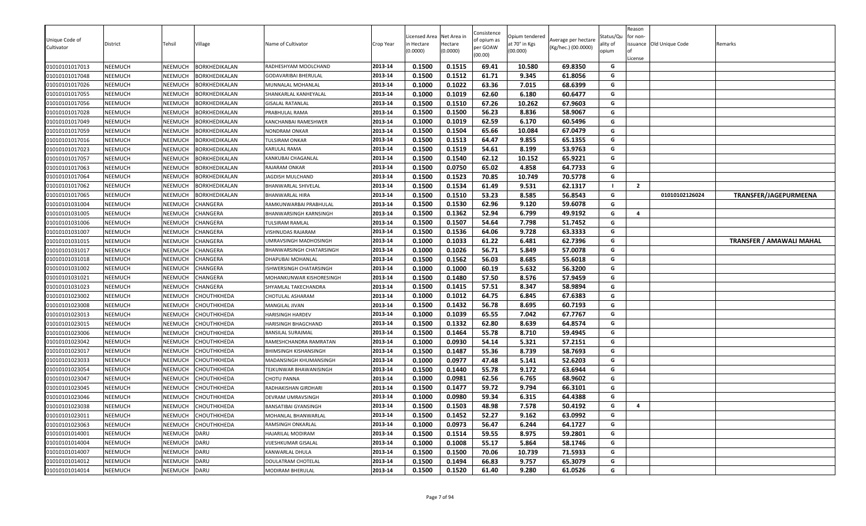| Unique Code of<br>Cultivator<br>01010101017013 | District<br>NEEMUCH | Tehsil<br>NEEMUCH  | Village<br>BORKHEDIKALAN   | Name of Cultivator<br>RADHESHYAM MOOLCHAND      | Crop Year<br>2013-14 | Licensed Area<br>า Hectare<br>(0.0000)<br>0.1500 | Net Area in<br>Hectare<br>(0.0000)<br>0.1515 | Consistence<br>of opium as<br>per GOAW<br>(00.00)<br>69.41 | Opium tendered<br>at 70° in Kgs<br>(00.000)<br>10.580 | Average per hectare<br>(Kg/hec.) (00.0000)<br>69.8350 | Status/Qu<br>ality of<br>opium<br>G | Reason<br>for non-<br>License | issuance Old Unique Code | Remarks                         |
|------------------------------------------------|---------------------|--------------------|----------------------------|-------------------------------------------------|----------------------|--------------------------------------------------|----------------------------------------------|------------------------------------------------------------|-------------------------------------------------------|-------------------------------------------------------|-------------------------------------|-------------------------------|--------------------------|---------------------------------|
| 01010101017048                                 | NEEMUCH             | NEEMUCH            | <b>BORKHEDIKALAN</b>       |                                                 | 2013-14              | 0.1500                                           | 0.1512                                       | 61.71                                                      | 9.345                                                 | 61.8056                                               | G                                   |                               |                          |                                 |
| 01010101017026                                 | NEEMUCH             | NEEMUCH            | BORKHEDIKALAN              | GODAVARIBAI BHERULAL<br>MUNNALAL MOHANLAL       | 2013-14              | 0.1000                                           | 0.1022                                       | 63.36                                                      | 7.015                                                 | 68.6399                                               | G                                   |                               |                          |                                 |
| 01010101017055                                 | NEEMUCH             | NEEMUCH            | BORKHEDIKALAN              | SHANKARLAL KANHEYALAL                           | 2013-14              | 0.1000                                           | 0.1019                                       | 62.60                                                      | 6.180                                                 | 60.6477                                               | G                                   |                               |                          |                                 |
| 01010101017056                                 | NEEMUCH             | NEEMUCH            | BORKHEDIKALAN              | GISALAL RATANLAL                                | 2013-14              | 0.1500                                           | 0.1510                                       | 67.26                                                      | 10.262                                                | 67.9603                                               | G                                   |                               |                          |                                 |
| 01010101017028                                 | NEEMUCH             | NEEMUCH            | BORKHEDIKALAN              | PRABHULAL RAMA                                  | 2013-14              | 0.1500                                           | 0.1500                                       | 56.23                                                      | 8.836                                                 | 58.9067                                               | G                                   |                               |                          |                                 |
| 01010101017049                                 | NEEMUCH             | NEEMUCH            | BORKHEDIKALAN              | KANCHANBAI RAMESHWER                            | 2013-14              | 0.1000                                           | 0.1019                                       | 62.59                                                      | 6.170                                                 | 60.5496                                               | G                                   |                               |                          |                                 |
| 01010101017059                                 | NEEMUCH             | NEEMUCH            | BORKHEDIKALAN              | NONDRAM ONKAR                                   | 2013-14              | 0.1500                                           | 0.1504                                       | 65.66                                                      | 10.084                                                | 67.0479                                               | G                                   |                               |                          |                                 |
| 01010101017016                                 | NEEMUCH             | NEEMUCH            | BORKHEDIKALAN              | TULSIRAM ONKAR                                  | 2013-14              | 0.1500                                           | 0.1513                                       | 64.47                                                      | 9.855                                                 | 65.1355                                               | G                                   |                               |                          |                                 |
| 01010101017023                                 | NEEMUCH             | NEEMUCH            | BORKHEDIKALAN              | KARULAL RAMA                                    | 2013-14              | 0.1500                                           | 0.1519                                       | 54.61                                                      | 8.199                                                 | 53.9763                                               | G                                   |                               |                          |                                 |
| 01010101017057                                 | NEEMUCH             | NEEMUCH            | BORKHEDIKALAN              | KANKUBAI CHAGANLAL                              | 2013-14              | 0.1500                                           | 0.1540                                       | 62.12                                                      | 10.152                                                | 65.9221                                               | G                                   |                               |                          |                                 |
| 01010101017063                                 | <b>NEEMUCH</b>      | NEEMUCH            | BORKHEDIKALAN              | RAJARAM ONKAR                                   | 2013-14              | 0.1500                                           | 0.0750                                       | 65.02                                                      | 4.858                                                 | 64.7733                                               | G                                   |                               |                          |                                 |
| 01010101017064                                 | NEEMUCH             | NEEMUCH            | BORKHEDIKALAN              | JAGDISH MULCHAND                                | 2013-14              | 0.1500                                           | 0.1523                                       | 70.85                                                      | 10.749                                                | 70.5778                                               | G                                   |                               |                          |                                 |
| 01010101017062                                 | NEEMUCH             | NEEMUCH            | BORKHEDIKALAN              | 3HANWARLAL SHIVELAL                             | 2013-14              | 0.1500                                           | 0.1534                                       | 61.49                                                      | 9.531                                                 | 62.1317                                               |                                     | $\overline{2}$                |                          |                                 |
| 01010101017065                                 | NEEMUCH             | NEEMUCH            | BORKHEDIKALAN              | BHANWARLAL HIRA                                 | 2013-14              | 0.1500                                           | 0.1510                                       | 53.23                                                      | 8.585                                                 | 56.8543                                               | G                                   |                               | 01010102126024           | TRANSFER/JAGEPURMEENA           |
| 01010101031004                                 | NEEMUCH             | NEEMUCH            | CHANGERA                   | RAMKUNWARBAI PRABHULAL                          | 2013-14              | 0.1500                                           | 0.1530                                       | 62.96                                                      | 9.120                                                 | 59.6078                                               | G                                   |                               |                          |                                 |
| 01010101031005                                 | NEEMUCH             | NEEMUCH            | CHANGERA                   | BHANWARSINGH KARNSINGH                          | 2013-14              | 0.1500                                           | 0.1362                                       | 52.94                                                      | 6.799                                                 | 49.9192                                               | G                                   | $\overline{4}$                |                          |                                 |
| 01010101031006                                 | NEEMUCH             | NEEMUCH            | CHANGERA                   | TULSIRAM RAMLAL                                 | 2013-14              | 0.1500                                           | 0.1507                                       | 54.64                                                      | 7.798                                                 | 51.7452                                               | G                                   |                               |                          |                                 |
| 01010101031007                                 | NEEMUCH             | NEEMUCH            | CHANGERA                   | <b>VISHNUDAS RAJARAM</b>                        | 2013-14              | 0.1500                                           | 0.1536                                       | 64.06                                                      | 9.728                                                 | 63.3333                                               | G                                   |                               |                          |                                 |
| 01010101031015                                 | NEEMUCH             | NEEMUCH            | CHANGERA                   | JMRAVSINGH MADHOSINGH                           | 2013-14              | 0.1000                                           | 0.1033                                       | 61.22                                                      | 6.481                                                 | 62.7396                                               | G                                   |                               |                          | <b>TRANSFER / AMAWALI MAHAL</b> |
| 01010101031017                                 | NEEMUCH             | NEEMUCH            | CHANGERA                   | BHANWARSINGH CHATARSINGH                        | 2013-14              | 0.1000                                           | 0.1026                                       | 56.71                                                      | 5.849                                                 | 57.0078                                               | G                                   |                               |                          |                                 |
| 01010101031018                                 | NEEMUCH             | NEEMUCH            | CHANGERA                   | DHAPUBAI MOHANLAL                               | 2013-14              | 0.1500                                           | 0.1562                                       | 56.03                                                      | 8.685                                                 | 55.6018                                               | G                                   |                               |                          |                                 |
| 01010101031002                                 | NEEMUCH             | NEEMUCH            | CHANGERA                   | <b>ISHWERSINGH CHATARSINGH</b>                  | 2013-14              | 0.1000                                           | 0.1000                                       | 60.19                                                      | 5.632                                                 | 56.3200                                               | G                                   |                               |                          |                                 |
| 01010101031021                                 | NEEMUCH             | NEEMUCH            | CHANGERA                   | MOHANKUNWAR KISHORESINGH                        | 2013-14              | 0.1500                                           | 0.1480                                       | 57.50                                                      | 8.576                                                 | 57.9459                                               | G                                   |                               |                          |                                 |
| 01010101031023                                 | <b>NEEMUCH</b>      | NEEMUCH            | CHANGERA                   | SHYAMLAL TAKECHANDRA                            | 2013-14              | 0.1500                                           | 0.1415                                       | 57.51                                                      | 8.347                                                 | 58.9894                                               | G                                   |                               |                          |                                 |
| 01010101023002                                 | NEEMUCH             | NEEMUCH            | CHOUTHKHEDA                | CHOTULAL ASHARAM                                | 2013-14              | 0.1000                                           | 0.1012                                       | 64.75                                                      | 6.845                                                 | 67.6383                                               | G                                   |                               |                          |                                 |
| 01010101023008                                 | NEEMUCH             | NEEMUCH            | CHOUTHKHEDA                | MANGILAL JIVAN                                  | 2013-14              | 0.1500                                           | 0.1432                                       | 56.78                                                      | 8.695                                                 | 60.7193                                               | G                                   |                               |                          |                                 |
| 01010101023013                                 | NEEMUCH             | NEEMUCH            | CHOUTHKHEDA                | HARISINGH HARDEV                                | 2013-14              | 0.1000                                           | 0.1039                                       | 65.55                                                      | 7.042                                                 | 67.7767                                               | G                                   |                               |                          |                                 |
| 01010101023015                                 | NEEMUCH             | NEEMUCH            | CHOUTHKHEDA                | HARISINGH BHAGCHAND                             | 2013-14              | 0.1500                                           | 0.1332                                       | 62.80                                                      | 8.639                                                 | 64.8574                                               | G                                   |                               |                          |                                 |
| 01010101023006                                 | NEEMUCH             | NEEMUCH            | CHOUTHKHEDA                | BANSILAL SURAJMAL                               | 2013-14              | 0.1500                                           | 0.1464                                       | 55.78                                                      | 8.710                                                 | 59.4945                                               | G<br>G                              |                               |                          |                                 |
| 01010101023042                                 | NEEMUCH             | NEEMUCH            | CHOUTHKHEDA                | RAMESHCHANDRA RAMRATAN                          | 2013-14<br>2013-14   | 0.1000<br>0.1500                                 | 0.0930<br>0.1487                             | 54.14<br>55.36                                             | 5.321<br>8.739                                        | 57.2151<br>58.7693                                    | G                                   |                               |                          |                                 |
| 01010101023017<br>01010101023033               | NEEMUCH<br>NEEMUCH  | NEEMUCH<br>NEEMUCH | CHOUTHKHEDA<br>CHOUTHKHEDA | BHIMSINGH KISHANSINGH<br>MADANSINGH KHUMANSINGH | 2013-14              | 0.1000                                           | 0.0977                                       | 47.48                                                      | 5.141                                                 | 52.6203                                               | G                                   |                               |                          |                                 |
| 01010101023054                                 | NEEMUCH             | NEEMUCH            | CHOUTHKHEDA                | TEJKUNWAR BHAWANISINGH                          | 2013-14              | 0.1500                                           | 0.1440                                       | 55.78                                                      | 9.172                                                 | 63.6944                                               | G                                   |                               |                          |                                 |
| 01010101023047                                 | NEEMUCH             | NEEMUCH            | CHOUTHKHEDA                | <b>CHOTU PANNA</b>                              | 2013-14              | 0.1000                                           | 0.0981                                       | 62.56                                                      | 6.765                                                 | 68.9602                                               | G                                   |                               |                          |                                 |
| 01010101023045                                 | NEEMUCH             | NEEMUCH            | CHOUTHKHEDA                | RADHAKISHAN GIRDHARI                            | 2013-14              | 0.1500                                           | 0.1477                                       | 59.72                                                      | 9.794                                                 | 66.3101                                               | G                                   |                               |                          |                                 |
| 01010101023046                                 | NEEMUCH             | <b>NEEMUCH</b>     | CHOUTHKHEDA                | DEVRAM UMRAVSINGH                               | 2013-14              | 0.1000                                           | 0.0980                                       | 59.34                                                      | 6.315                                                 | 64.4388                                               | G                                   |                               |                          |                                 |
| 01010101023038                                 | NEEMUCH             | NEEMUCH            | CHOUTHKHEDA                | BANSATIBAI GYANSINGH                            | 2013-14              | 0.1500                                           | 0.1503                                       | 48.98                                                      | 7.578                                                 | 50.4192                                               | G                                   | $\overline{a}$                |                          |                                 |
| 01010101023011                                 | NEEMUCH             |                    | NEEMUCH CHOUTHKHEDA        | MOHANLAL BHANWARLAL                             | 2013-14              | 0.1500                                           | 0.1452                                       | 52.27                                                      | 9.162                                                 | 63.0992                                               | G                                   |                               |                          |                                 |
| 01010101023063                                 | NEEMUCH             | NEEMUCH            | CHOUTHKHEDA                | RAMSINGH ONKARLAL                               | 2013-14              | 0.1000                                           | 0.0973                                       | 56.47                                                      | 6.244                                                 | 64.1727                                               | G                                   |                               |                          |                                 |
| 01010101014001                                 | NEEMUCH             | NEEMUCH            | DARU                       | HAJARILAL MODIRAM                               | 2013-14              | 0.1500                                           | 0.1514                                       | 59.55                                                      | 8.975                                                 | 59.2801                                               | G                                   |                               |                          |                                 |
| 01010101014004                                 | NEEMUCH             | NEEMUCH            | DARU                       | VIJESHKUMAR GISALAL                             | 2013-14              | 0.1000                                           | 0.1008                                       | 55.17                                                      | 5.864                                                 | 58.1746                                               | G                                   |                               |                          |                                 |
| 01010101014007                                 | NEEMUCH             | NEEMUCH            | DARU                       | KANWARLAL DHULA                                 | 2013-14              | 0.1500                                           | 0.1500                                       | 70.06                                                      | 10.739                                                | 71.5933                                               | G                                   |                               |                          |                                 |
| 01010101014012                                 | NEEMUCH             | NEEMUCH            | DARU                       | DOULATRAM CHOTELAL                              | 2013-14              | 0.1500                                           | 0.1494                                       | 66.83                                                      | 9.757                                                 | 65.3079                                               | G                                   |                               |                          |                                 |
| 01010101014014                                 | NEEMUCH             | NEEMUCH            | DARU                       | MODIRAM BHERULAL                                | 2013-14              | 0.1500                                           | 0.1520                                       | 61.40                                                      | 9.280                                                 | 61.0526                                               | G                                   |                               |                          |                                 |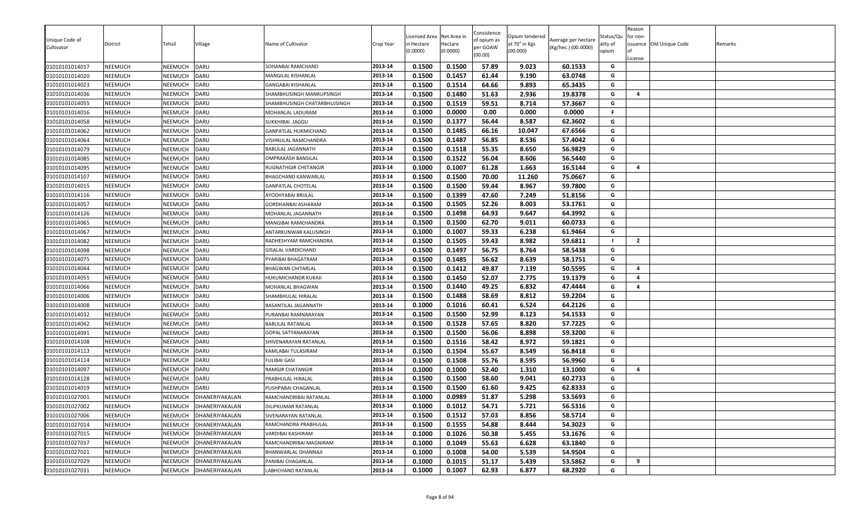| Unique Code of<br>Cultivator | District       | Tehsil         | Village        | Name of Cultivator           | Crop Year | Licensed Area<br>in Hectare<br>(0.0000) | Net Area in<br>Hectare<br>(0.0000) | Consistence<br>of opium as<br>per GOAW<br>(00.00) | Opium tendered<br>at 70° in Kgs<br>(00.000) | Average per hectare<br>(Kg/hec.) (00.0000) | Status/Qu<br>ality of<br>opium | Reason<br>for non-<br>License | issuance Old Unique Code | Remarks |
|------------------------------|----------------|----------------|----------------|------------------------------|-----------|-----------------------------------------|------------------------------------|---------------------------------------------------|---------------------------------------------|--------------------------------------------|--------------------------------|-------------------------------|--------------------------|---------|
| 01010101014017               | NEEMUCH        | NEEMUCH        | <b>DARU</b>    | SOHANBAI RAMCHAND            | 2013-14   | 0.1500                                  | 0.1500                             | 57.89                                             | 9.023                                       | 60.1533                                    | G                              |                               |                          |         |
| 01010101014020               | NEEMUCH        | NEEMUCH        | DARU           | MANGILAL KISHANLAL           | 2013-14   | 0.1500                                  | 0.1457                             | 61.44                                             | 9.190                                       | 63.0748                                    | G                              |                               |                          |         |
| 01010101014023               | NEEMUCH        | NEEMUCH        | DARU           | GANGABAI KISHANLAL           | 2013-14   | 0.1500                                  | 0.1514                             | 64.66                                             | 9.893                                       | 65.3435                                    | G                              |                               |                          |         |
| 01010101014036               | NEEMUCH        | NEEMUCH        | DARU           | SHAMBHUSINGH MANRUPSINGH     | 2013-14   | 0.1500                                  | 0.1480                             | 51.63                                             | 2.936                                       | 19.8378                                    | G                              | $\overline{\mathbf{a}}$       |                          |         |
| 01010101014055               | NEEMUCH        | <b>NEEMUCH</b> | DARU           | SHAMBHUSINGH CHATARBHUJSINGH | 2013-14   | 0.1500                                  | 0.1519                             | 59.51                                             | 8.714                                       | 57.3667                                    | G                              |                               |                          |         |
| 01010101014016               | NEEMUCH        | NEEMUCH        | DARU           | MOHANLAL LADURAM             | 2013-14   | 0.1000                                  | 0.0000                             | 0.00                                              | 0.000                                       | 0.0000                                     | F.                             |                               |                          |         |
| 01010101014058               | NEEMUCH        | NEEMUCH        | DARU           | SUKKHIBAI .JAGGU             | 2013-14   | 0.1500                                  | 0.1377                             | 56.44                                             | 8.587                                       | 62.3602                                    | G                              |                               |                          |         |
| 01010101014062               | NEEMUCH        | <b>NEEMUCH</b> | DARU           | GANPATLAL HUKMICHAND         | 2013-14   | 0.1500                                  | 0.1485                             | 66.16                                             | 10.047                                      | 67.6566                                    | G                              |                               |                          |         |
| 01010101014064               | NEEMUCH        | NEEMUCH        | DARU           | VISHNULAL RAMCHANDRA         | 2013-14   | 0.1500                                  | 0.1487                             | 56.85                                             | 8.536                                       | 57.4042                                    | G                              |                               |                          |         |
| 01010101014079               | NEEMUCH        | NEEMUCH        | DARU           | BABULAL JAGANNATH            | 2013-14   | 0.1500                                  | 0.1518                             | 55.35                                             | 8.650                                       | 56.9829                                    | G                              |                               |                          |         |
| 01010101014085               | NEEMUCH        | <b>NEEMUCH</b> | DARU           | OMPRAKASH BANSILAL           | 2013-14   | 0.1500                                  | 0.1522                             | 56.04                                             | 8.606                                       | 56.5440                                    | G                              |                               |                          |         |
| 01010101014095               | NEEMUCH        | NEEMUCH        | DARU           | RUGNATHGIR CHETANGIR         | 2013-14   | 0.1000                                  | 0.1007                             | 61.28                                             | 1.663                                       | 16.5144                                    | G                              | $\overline{a}$                |                          |         |
| 01010101014107               | NEEMUCH        | NEEMUCH        | DARU           | BHAGCHAND KANWARLAL          | 2013-14   | 0.1500                                  | 0.1500                             | 70.00                                             | 11.260                                      | 75.0667                                    | G                              |                               |                          |         |
| 01010101014015               | NEEMUCH        | NEEMUCH        | DARU           | GANPATLAL CHOTELAL           | 2013-14   | 0.1500                                  | 0.1500                             | 59.44                                             | 8.967                                       | 59.7800                                    | G                              |                               |                          |         |
| 01010101014116               | NEEMUCH        | NEEMUCH        | DARU           | AYODHYABAI BRIJLAL           | 2013-14   | 0.1500                                  | 0.1399                             | 47.60                                             | 7.249                                       | 51.8156                                    | G                              |                               |                          |         |
| 01010101014057               | NEEMUCH        | NEEMUCH        | DARU           | GORDHANBAI ASHARAM           | 2013-14   | 0.1500                                  | 0.1505                             | 52.26                                             | 8.003                                       | 53.1761                                    | G                              |                               |                          |         |
| 01010101014126               | NEEMUCH        | NEEMUCH        | DARU           | MOHANLAL JAGANNATH           | 2013-14   | 0.1500                                  | 0.1498                             | 64.93                                             | 9.647                                       | 64.3992                                    | G                              |                               |                          |         |
| 01010101014065               | NEEMUCH        | NEEMUCH        | DARU           | MANGIBAI RAMCHANDRA          | 2013-14   | 0.1500                                  | 0.1500                             | 62.70                                             | 9.011                                       | 60.0733                                    | G                              |                               |                          |         |
| 01010101014067               | NEEMUCH        | NEEMUCH        | DARU           | ANTARKUNWAR KALUSINGH        | 2013-14   | 0.1000                                  | 0.1007                             | 59.33                                             | 6.238                                       | 61.9464                                    | G                              |                               |                          |         |
| 01010101014082               | NEEMUCH        | NEEMUCH        | DARU           | RADHESHYAM RAMCHANDRA        | 2013-14   | 0.1500                                  | 0.1505                             | 59.43                                             | 8.982                                       | 59.6811                                    | - 1                            | $\overline{2}$                |                          |         |
| 01010101014098               | NEEMUCH        | NEEMUCH        | DARU           | <b>GISALAL VARDICHAND</b>    | 2013-14   | 0.1500                                  | 0.1497                             | 56.75                                             | 8.764                                       | 58.5438                                    | G                              |                               |                          |         |
| 01010101014075               | NEEMUCH        | <b>NEEMUCH</b> | DARU           | PYARIBAI BHAGATRAM           | 2013-14   | 0.1500                                  | 0.1485                             | 56.62                                             | 8.639                                       | 58.1751                                    | G                              |                               |                          |         |
| 01010101014044               | NEEMUCH        | NEEMUCH        | DARU           | <b>BHAGWAN CHITARLAL</b>     | 2013-14   | 0.1500                                  | 0.1412                             | 49.87                                             | 7.139                                       | 50.5595                                    | G                              | -4                            |                          |         |
| 01010101014051               | NEEMUCH        | <b>NEEMUCH</b> | DARU           | HUKUMICHANDR KUKAJI          | 2013-14   | 0.1500                                  | 0.1450                             | 52.07                                             | 2.775                                       | 19.1379                                    | G                              | 4                             |                          |         |
| 01010101014066               | NEEMUCH        | NEEMUCH        | DARU           | MOHANLAL BHAGWAN             | 2013-14   | 0.1500                                  | 0.1440                             | 49.25                                             | 6.832                                       | 47.4444                                    | G                              | $\overline{\mathbf{4}}$       |                          |         |
| 01010101014006               | NEEMUCH        | NEEMUCH        | DARU           | SHAMBHULAL HIRALAL           | 2013-14   | 0.1500                                  | 0.1488                             | 58.69                                             | 8.812                                       | 59.2204                                    | G                              |                               |                          |         |
| 01010101014008               | NEEMUCH        | NEEMUCH        | DARU           | BASANTILAL JAGANNATH         | 2013-14   | 0.1000                                  | 0.1016                             | 60.41                                             | 6.524                                       | 64.2126                                    | G                              |                               |                          |         |
| 01010101014032               | NEEMUCH        | <b>NEEMUCH</b> | DARU           | PURANBAI RAMNARAYAN          | 2013-14   | 0.1500                                  | 0.1500                             | 52.99                                             | 8.123                                       | 54.1533                                    | G                              |                               |                          |         |
| 01010101014042               | NEEMUCH        | NEEMUCH        | DARU           | BABULAL RATANLAL             | 2013-14   | 0.1500                                  | 0.1528                             | 57.65                                             | 8.820                                       | 57.7225                                    | G                              |                               |                          |         |
| 01010101014091               | NEEMUCH        | NEEMUCH        | DARU           | GOPAL SATYANARAYAN           | 2013-14   | 0.1500                                  | 0.1500                             | 56.06                                             | 8.898                                       | 59.3200                                    | G                              |                               |                          |         |
| 01010101014108               | NEEMUCH        | <b>NEEMUCH</b> | DARU           | SHIVENARAYAN RATANLAL        | 2013-14   | 0.1500                                  | 0.1516                             | 58.42                                             | 8.972                                       | 59.1821                                    | G                              |                               |                          |         |
| 01010101014113               | NEEMUCH        | NEEMUCH        | DARU           | KAMLABAI TULASIRAM           | 2013-14   | 0.1500                                  | 0.1504                             | 55.67                                             | 8.549                                       | 56.8418                                    | G                              |                               |                          |         |
| 01010101014114               | <b>NEEMUCH</b> | NEEMUCH        | DARU           | <b>FULIBAI GASI</b>          | 2013-14   | 0.1500                                  | 0.1508                             | 55.76                                             | 8.595                                       | 56.9960                                    | G                              |                               |                          |         |
| 01010101014097               | NEEMUCH        | NEEMUCH        | DARU           | RAMGIR CHATANGIR             | 2013-14   | 0.1000                                  | 0.1000                             | 52.40                                             | 1.310                                       | 13.1000                                    | G                              | $\overline{4}$                |                          |         |
| 01010101014128               | NEEMUCH        | NEEMUCH        | DARU           | PRABHULAL HIRALAL            | 2013-14   | 0.1500                                  | 0.1500                             | 58.60                                             | 9.041                                       | 60.2733                                    | G                              |                               |                          |         |
| 01010101014019               | NEEMUCH        | NEEMUCH        | DARU           | PUSHPABAI CHAGANLAL          | 2013-14   | 0.1500                                  | 0.1500                             | 61.60                                             | 9.425                                       | 62.8333                                    | G                              |                               |                          |         |
| 01010101027001               | NEEMUCH        | <b>NEEMUCH</b> | DHANERIYAKALAN | RAMCHANDRIBAI RATANLAL       | 2013-14   | 0.1000                                  | 0.0989                             | 51.87                                             | 5.298                                       | 53.5693                                    | G                              |                               |                          |         |
| 01010101027002               | NEEMUCH        | <b>NEEMUCH</b> | DHANERIYAKALAN | DILIPKUMAR RATANLAL          | 2013-14   | 0.1000                                  | 0.1012                             | 54.71                                             | 5.721                                       | 56.5316                                    | G                              |                               |                          |         |
| 01010101027006               | <b>NEEMUCH</b> | <b>NEEMUCH</b> | DHANERIYAKALAN | SIVENARAYAN RATANLAL         | 2013-14   | 0.1500                                  | 0.1512                             | 57.03                                             | 8.856                                       | 58.5714                                    | G                              |                               |                          |         |
| 01010101027014               | <b>NEEMUCH</b> | <b>NEEMUCH</b> | DHANERIYAKALAN | RAMCHANDRA PRABHULAL         | 2013-14   | 0.1500                                  | 0.1555                             | 54.88                                             | 8.444                                       | 54.3023                                    | G                              |                               |                          |         |
| 01010101027015               | <b>NEEMUCH</b> | NEEMUCH        | DHANERIYAKALAN | VARDIBAI KASHIRAM            | 2013-14   | 0.1000                                  | 0.1026                             | 50.38                                             | 5.455                                       | 53.1676                                    | G                              |                               |                          |         |
| 01010101027017               | <b>NEEMUCH</b> | NEEMUCH        | DHANERIYAKALAN | RAMCHANDRIBAI MAGNIRAM       | 2013-14   | 0.1000                                  | 0.1049                             | 55.63                                             | 6.628                                       | 63.1840                                    | G                              |                               |                          |         |
| 01010101027021               | NEEMUCH        | NEEMUCH        | DHANERIYAKALAN | BHANWARLAL DHANNAJI          | 2013-14   | 0.1000                                  | 0.1008                             | 54.00                                             | 5.539                                       | 54.9504                                    | G                              |                               |                          |         |
| 01010101027029               | <b>NEEMUCH</b> | <b>NEEMUCH</b> | DHANERIYAKALAN | PANIBAI CHAGANLAL            | 2013-14   | 0.1000                                  | 0.1015                             | 51.17                                             | 5.439                                       | 53.5862                                    | G                              | 9                             |                          |         |
| 01010101027031               | NEEMUCH        | NEEMUCH        | DHANERIYAKALAN | LABHCHAND RATANLAL           | 2013-14   | 0.1000                                  | 0.1007                             | 62.93                                             | 6.877                                       | 68.2920                                    | G                              |                               |                          |         |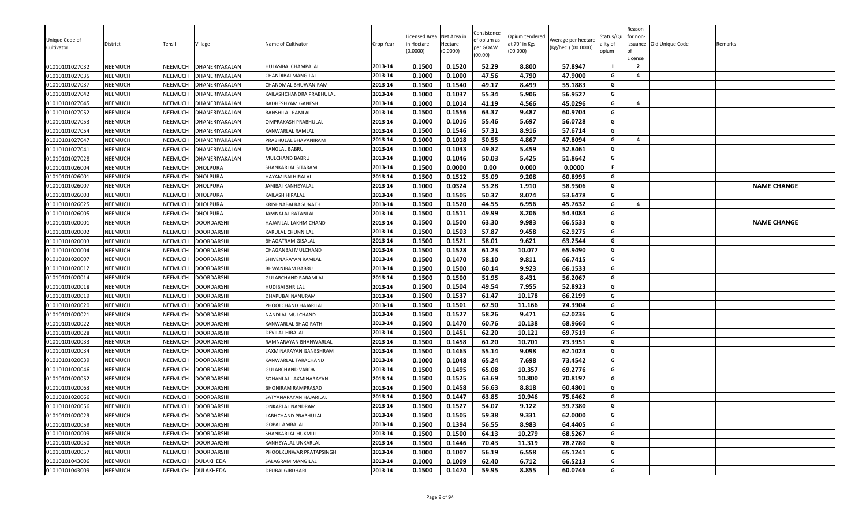| Unique Code of<br>Cultivator     | District           | Tehsil             | Village                            | Name of Cultivator                             | Crop Year          | Licensed Area<br>า Hectare<br>(0.0000) | Net Area in<br>Hectare<br>(0.0000) | Consistence<br>of opium as<br>per GOAW<br>(00.00) | Opium tendered<br>at 70° in Kgs<br>(00.000) | Average per hectare<br>(Kg/hec.) (00.0000) | Status/Qu<br>ality of<br>opium | Reason<br>for non-<br>.icense<br>$\overline{2}$ | issuance Old Unique Code | Remarks            |
|----------------------------------|--------------------|--------------------|------------------------------------|------------------------------------------------|--------------------|----------------------------------------|------------------------------------|---------------------------------------------------|---------------------------------------------|--------------------------------------------|--------------------------------|-------------------------------------------------|--------------------------|--------------------|
| 01010101027032                   | NEEMUCH            | NEEMUCH            | DHANERIYAKALAN                     | HULASIBAI CHAMPALAL                            | 2013-14            | 0.1500                                 | 0.1520                             | 52.29                                             | 8.800                                       | 57.8947                                    | G                              | $\overline{a}$                                  |                          |                    |
| 01010101027035<br>01010101027037 | NEEMUCH<br>NEEMUCH | NEEMUCH<br>NEEMUCH | DHANERIYAKALAN<br>DHANERIYAKALAN   | CHANDIBAI MANGILAL                             | 2013-14<br>2013-14 | 0.1000<br>0.1500                       | 0.1000                             | 47.56<br>49.17                                    | 4.790<br>8.499                              | 47.9000<br>55.1883                         | G                              |                                                 |                          |                    |
|                                  |                    |                    |                                    | CHANDMAL BHUWANIRAM                            |                    |                                        | 0.1540                             |                                                   |                                             |                                            | G                              |                                                 |                          |                    |
| 01010101027042                   | NEEMUCH            | NEEMUCH            | DHANERIYAKALAN                     | KAILASHCHANDRA PRABHULAL                       | 2013-14            | 0.1000                                 | 0.1037<br>0.1014                   | 55.34<br>41.19                                    | 5.906<br>4.566                              | 56.9527<br>45.0296                         | G                              | $\overline{4}$                                  |                          |                    |
| 01010101027045                   | NEEMUCH            | NEEMUCH            | DHANERIYAKALAN                     | RADHESHYAM GANESH                              | 2013-14<br>2013-14 | 0.1000                                 |                                    | 63.37                                             |                                             |                                            | G                              |                                                 |                          |                    |
| 01010101027052                   | NEEMUCH<br>NEEMUCH | NEEMUCH            | DHANERIYAKALAN                     | BANSHILAL RAMLAL                               |                    | 0.1500<br>0.1000                       | 0.1556<br>0.1016                   | 55.46                                             | 9.487<br>5.697                              | 60.9704<br>56.0728                         | G                              |                                                 |                          |                    |
| 01010101027053                   |                    | NEEMUCH            | DHANERIYAKALAN                     | OMPRAKASH PRABHULAL                            | 2013-14<br>2013-14 | 0.1500                                 | 0.1546                             | 57.31                                             | 8.916                                       | 57.6714                                    | G                              |                                                 |                          |                    |
| 01010101027054<br>01010101027047 | NEEMUCH<br>NEEMUCH | NEEMUCH<br>NEEMUCH | DHANERIYAKALAN                     | KANWARLAL RAMLAL                               |                    |                                        |                                    |                                                   |                                             |                                            |                                | $\overline{4}$                                  |                          |                    |
|                                  |                    |                    | DHANERIYAKALAN                     | PRABHULAL BHAVANIRAM<br>RANGLAL BABRU          | 2013-14            | 0.1000<br>0.1000                       | 0.1018<br>0.1033                   | 50.55<br>49.82                                    | 4.867<br>5.459                              | 47.8094<br>52.8461                         | G<br>G                         |                                                 |                          |                    |
| 01010101027041                   | NEEMUCH            | NEEMUCH            | DHANERIYAKALAN                     |                                                | 2013-14            |                                        |                                    |                                                   |                                             |                                            | G                              |                                                 |                          |                    |
| 01010101027028                   | NEEMUCH            | NEEMUCH            | DHANERIYAKALAN                     | MULCHAND BABRU                                 | 2013-14            | 0.1000                                 | 0.1046                             | 50.03                                             | 5.425                                       | 51.8642                                    | F.                             |                                                 |                          |                    |
| 01010101026004                   | <b>NEEMUCH</b>     | NEEMUCH            | <b>DHOLPURA</b>                    | SHANKARLAL SITARAM                             | 2013-14            | 0.1500                                 | 0.0000                             | 0.00                                              | 0.000                                       | 0.0000                                     |                                |                                                 |                          |                    |
| 01010101026001                   | NEEMUCH            | NEEMUCH            | <b>DHOLPURA</b>                    | HAYAMIBAI HIRALAL                              | 2013-14<br>2013-14 | 0.1500                                 | 0.1512<br>0.0324                   | 55.09<br>53.28                                    | 9.208                                       | 60.8995                                    | G<br>G                         |                                                 |                          |                    |
| 01010101026007                   | NEEMUCH            | NEEMUCH            | DHOLPURA                           | JANIBAI KANHEYALAL                             |                    | 0.1000                                 |                                    |                                                   | 1.910                                       | 58.9506                                    |                                |                                                 |                          | <b>NAME CHANGE</b> |
| 01010101026003                   | NEEMUCH            | NEEMUCH            | <b>DHOLPURA</b>                    | KAILASH HIRALAL                                | 2013-14            | 0.1500<br>0.1500                       | 0.1505<br>0.1520                   | 50.37<br>44.55                                    | 8.074                                       | 53.6478<br>45.7632                         | G<br>G                         | 4                                               |                          |                    |
| 01010101026025<br>01010101026005 | NEEMUCH<br>NEEMUCH | NEEMUCH<br>NEEMUCH | <b>DHOLPURA</b><br><b>DHOLPURA</b> | KRISHNABAI RAGUNATH<br><b>AMNALAL RATANLAL</b> | 2013-14<br>2013-14 |                                        |                                    |                                                   | 6.956                                       |                                            |                                |                                                 |                          |                    |
|                                  |                    | NEEMUCH            | <b>DOORDARSHI</b>                  | HAJARILAL LAKHMICHAND                          | 2013-14            | 0.1500<br>0.1500                       | 0.1511<br>0.1500                   | 49.99<br>63.30                                    | 8.206<br>9.983                              | 54.3084<br>66.5533                         | G<br>G                         |                                                 |                          | <b>NAME CHANGE</b> |
| 01010101020001<br>01010101020002 | NEEMUCH<br>NEEMUCH | NEEMUCH            | <b>DOORDARSHI</b>                  | KARULAL CHUNNILAL                              | 2013-14            | 0.1500                                 | 0.1503                             | 57.87                                             | 9.458                                       | 62.9275                                    | G                              |                                                 |                          |                    |
|                                  |                    | NEEMUCH            | <b>DOORDARSHI</b>                  | BHAGATRAM GISALAL                              | 2013-14            | 0.1500                                 | 0.1521                             | 58.01                                             | 9.621                                       | 63.2544                                    | G                              |                                                 |                          |                    |
| 01010101020003<br>01010101020004 | NEEMUCH<br>NEEMUCH | NEEMUCH            | <b>DOORDARSHI</b>                  | CHAGANBAI MULCHAND                             | 2013-14            | 0.1500                                 | 0.1528                             | 61.23                                             | 10.077                                      | 65.9490                                    | G                              |                                                 |                          |                    |
| 01010101020007                   | NEEMUCH            | NEEMUCH            | DOORDARSHI                         | SHIVENARAYAN RAMLAL                            | 2013-14            | 0.1500                                 | 0.1470                             | 58.10                                             | 9.811                                       | 66.7415                                    | G                              |                                                 |                          |                    |
| 01010101020012                   | NEEMUCH            | NEEMUCH            | <b>DOORDARSHI</b>                  | BHWANIRAM BABRU                                | 2013-14            | 0.1500                                 | 0.1500                             | 60.14                                             | 9.923                                       | 66.1533                                    | G                              |                                                 |                          |                    |
| 01010101020014                   | NEEMUCH            | NEEMUCH            | <b>DOORDARSHI</b>                  | GULABCHAND RARAMLAL                            | 2013-14            | 0.1500                                 | 0.1500                             | 51.95                                             | 8.431                                       | 56.2067                                    | G                              |                                                 |                          |                    |
| 01010101020018                   | NEEMUCH            | NEEMUCH            | <b>DOORDARSHI</b>                  | HUDIBAI SHRILAL                                | 2013-14            | 0.1500                                 | 0.1504                             | 49.54                                             | 7.955                                       | 52.8923                                    | G                              |                                                 |                          |                    |
| 01010101020019                   | NEEMUCH            | NEEMUCH            | <b>DOORDARSHI</b>                  | DHAPUBAI NANURAM                               | 2013-14            | 0.1500                                 | 0.1537                             | 61.47                                             | 10.178                                      | 66.2199                                    | G                              |                                                 |                          |                    |
| 01010101020020                   | NEEMUCH            | NEEMUCH            | <b>DOORDARSHI</b>                  | PHOOLCHAND HAJARILAL                           | 2013-14            | 0.1500                                 | 0.1501                             | 67.50                                             | 11.166                                      | 74.3904                                    | G                              |                                                 |                          |                    |
| 01010101020021                   | NEEMUCH            | NEEMUCH            | <b>DOORDARSHI</b>                  | NANDLAL MULCHAND                               | 2013-14            | 0.1500                                 | 0.1527                             | 58.26                                             | 9.471                                       | 62.0236                                    | G                              |                                                 |                          |                    |
| 01010101020022                   | NEEMUCH            | NEEMUCH            | <b>DOORDARSHI</b>                  | KANWARLAL BHAGIRATH                            | 2013-14            | 0.1500                                 | 0.1470                             | 60.76                                             | 10.138                                      | 68.9660                                    | G                              |                                                 |                          |                    |
| 01010101020028                   | NEEMUCH            | NEEMUCH            | DOORDARSHI                         | DEVILAL HIRALAL                                | 2013-14            | 0.1500                                 | 0.1451                             | 62.20                                             | 10.121                                      | 69.7519                                    | G                              |                                                 |                          |                    |
| 01010101020033                   | NEEMUCH            | NEEMUCH            | DOORDARSHI                         | RAMNARAYAN BHANWARLAL                          | 2013-14            | 0.1500                                 | 0.1458                             | 61.20                                             | 10.701                                      | 73.3951                                    | G                              |                                                 |                          |                    |
| 01010101020034                   | NEEMUCH            | NEEMUCH            | DOORDARSHI                         | LAXMINARAYAN GANESHRAM                         | 2013-14            | 0.1500                                 | 0.1465                             | 55.14                                             | 9.098                                       | 62.1024                                    | G                              |                                                 |                          |                    |
| 01010101020039                   | NEEMUCH            | NEEMUCH            | <b>DOORDARSHI</b>                  | KANWARLAL TARACHAND                            | 2013-14            | 0.1000                                 | 0.1048                             | 65.24                                             | 7.698                                       | 73.4542                                    | G                              |                                                 |                          |                    |
| 01010101020046                   | NEEMUCH            | NEEMUCH            | <b>DOORDARSHI</b>                  | GULABCHAND VARDA                               | 2013-14            | 0.1500                                 | 0.1495                             | 65.08                                             | 10.357                                      | 69.2776                                    | G                              |                                                 |                          |                    |
| 01010101020052                   | NEEMUCH            | NEEMUCH            | <b>DOORDARSHI</b>                  | SOHANLAL LAXMINARAYAN                          | 2013-14            | 0.1500                                 | 0.1525                             | 63.69                                             | 10.800                                      | 70.8197                                    | G                              |                                                 |                          |                    |
| 01010101020063                   | NEEMUCH            | NEEMUCH            | <b>DOORDARSHI</b>                  | <b>BHONIRAM RAMPRASAD</b>                      | 2013-14            | 0.1500                                 | 0.1458                             | 56.63                                             | 8.818                                       | 60.4801                                    | G                              |                                                 |                          |                    |
| 01010101020066                   | NEEMUCH            | <b>NEEMUCH</b>     | <b>DOORDARSHI</b>                  | SATYANARAYAN HAJARILAL                         | 2013-14            | 0.1500                                 | 0.1447                             | 63.85                                             | 10.946                                      | 75.6462                                    | G                              |                                                 |                          |                    |
| 01010101020056                   | NEEMUCH            | NEEMUCH            | <b>DOORDARSHI</b>                  | ONKARLAL NANDRAM                               | 2013-14            | 0.1500                                 | 0.1527                             | 54.07                                             | 9.122                                       | 59.7380                                    | G                              |                                                 |                          |                    |
| 01010101020029                   | NEEMUCH            |                    | NEEMUCH DOORDARSHI                 | LABHCHAND PRABHULAL                            | 2013-14            | 0.1500                                 | 0.1505                             | 59.38                                             | 9.331                                       | 62.0000                                    | G                              |                                                 |                          |                    |
| 01010101020059                   | NEEMUCH            | NEEMUCH            | <b>DOORDARSHI</b>                  | <b>GOPAL AMBALAL</b>                           | 2013-14            | 0.1500                                 | 0.1394                             | 56.55                                             | 8.983                                       | 64.4405                                    | G                              |                                                 |                          |                    |
| 01010101020009                   | NEEMUCH            | NEEMUCH            | <b>DOORDARSHI</b>                  | SHANKARLAL HUKMIJI                             | 2013-14            | 0.1500                                 | 0.1500                             | 64.13                                             | 10.279                                      | 68.5267                                    | G                              |                                                 |                          |                    |
| 01010101020050                   | NEEMUCH            | NEEMUCH            | <b>DOORDARSHI</b>                  | KANHEYALAL UNKARLAL                            | 2013-14            | 0.1500                                 | 0.1446                             | 70.43                                             | 11.319                                      | 78.2780                                    | G                              |                                                 |                          |                    |
| 01010101020057                   | NEEMUCH            | NEEMUCH            | <b>DOORDARSHI</b>                  | PHOOLKUNWAR PRATAPSINGH                        | 2013-14            | 0.1000                                 | 0.1007                             | 56.19                                             | 6.558                                       | 65.1241                                    | G                              |                                                 |                          |                    |
| 01010101043006                   | NEEMUCH            | NEEMUCH            | DULAKHEDA                          | SALAGRAM MANGILAL                              | 2013-14            | 0.1000                                 | 0.1009                             | 62.40                                             | 6.712                                       | 66.5213                                    | G                              |                                                 |                          |                    |
| 01010101043009                   | NEEMUCH            | NEEMUCH            | DULAKHEDA                          | DEUBAI GIRDHARI                                | 2013-14            | 0.1500                                 | 0.1474                             | 59.95                                             | 8.855                                       | 60.0746                                    | G                              |                                                 |                          |                    |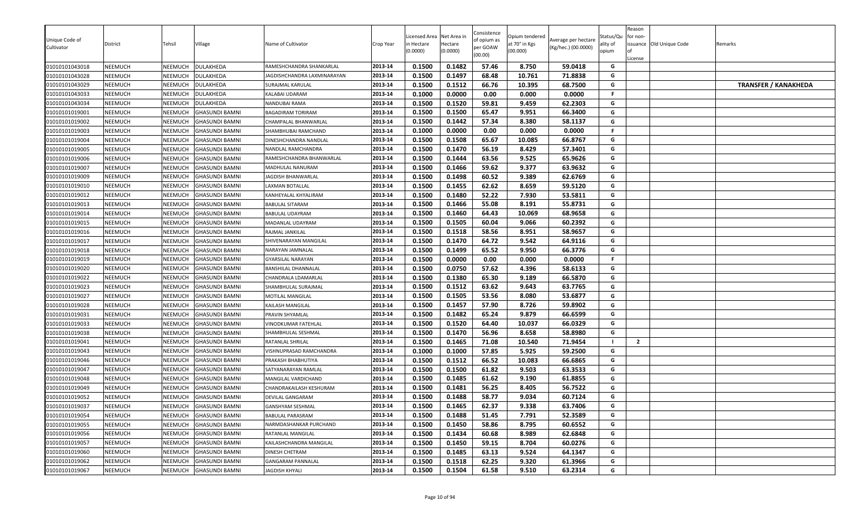| Unique Code of<br>Cultivator     | District           | Tehsil             | Village                | Name of Cultivator                             | Crop Year          | Licensed Area<br>า Hectare<br>(0.0000) | Net Area in<br>Hectare<br>(0.0000) | Consistence<br>of opium as<br>per GOAW<br>(00.00) | Opium tendered<br>at 70° in Kgs<br>(00.000) | Average per hectare<br>(Kg/hec.) (00.0000) | Status/Qu<br>ality of<br>opium | Reason<br>for non-<br>License | issuance Old Unique Code | Remarks                     |
|----------------------------------|--------------------|--------------------|------------------------|------------------------------------------------|--------------------|----------------------------------------|------------------------------------|---------------------------------------------------|---------------------------------------------|--------------------------------------------|--------------------------------|-------------------------------|--------------------------|-----------------------------|
| 01010101043018                   | NEEMUCH            | NEEMUCH            | <b>DULAKHEDA</b>       | RAMESHCHANDRA SHANKARLAL                       | 2013-14            | 0.1500                                 | 0.1482                             | 57.46                                             | 8.750                                       | 59.0418                                    | G<br>G                         |                               |                          |                             |
| 01010101043028                   | NEEMUCH<br>NEEMUCH | NEEMUCH<br>NEEMUCH | DULAKHEDA<br>DULAKHEDA | AGDISHCHANDRA LAXMINARAYAN<br>SURAJMAL KARULAL | 2013-14<br>2013-14 | 0.1500<br>0.1500                       | 0.1497<br>0.1512                   | 68.48<br>66.76                                    | 10.761<br>10.395                            | 71.8838<br>68.7500                         | G                              |                               |                          | <b>TRANSFER / KANAKHEDA</b> |
| 01010101043029                   | NEEMUCH            | NEEMUCH            | DULAKHEDA              |                                                | 2013-14            | 0.1000                                 | 0.0000                             | 0.00                                              | 0.000                                       | 0.0000                                     | F.                             |                               |                          |                             |
| 01010101043033<br>01010101043034 | NEEMUCH            | NEEMUCH            | DULAKHEDA              | KALABAI UDARAM<br>NANDUBAI RAMA                | 2013-14            | 0.1500                                 | 0.1520                             | 59.81                                             | 9.459                                       | 62.2303                                    | G                              |                               |                          |                             |
| 01010101019001                   | NEEMUCH            | NEEMUCH            | <b>GHASUNDI BAMNI</b>  | BAGADIRAM TORIRAM                              | 2013-14            | 0.1500                                 | 0.1500                             | 65.47                                             | 9.951                                       | 66.3400                                    | G                              |                               |                          |                             |
| 01010101019002                   | <b>NEEMUCH</b>     | NEEMUCH            | <b>GHASUNDI BAMNI</b>  | CHAMPALAL BHANWARLAL                           | 2013-14            | 0.1500                                 | 0.1442                             | 57.34                                             | 8.380                                       | 58.1137                                    | G                              |                               |                          |                             |
| 01010101019003                   | NEEMUCH            | NEEMUCH            | <b>GHASUNDI BAMNI</b>  | SHAMBHUBAI RAMCHAND                            | 2013-14            | 0.1000                                 | 0.0000                             | 0.00                                              | 0.000                                       | 0.0000                                     | F.                             |                               |                          |                             |
| 01010101019004                   | NEEMUCH            | NEEMUCH            | <b>GHASUNDI BAMNI</b>  | DINESHCHANDRA NANDLAL                          | 2013-14            | 0.1500                                 | 0.1508                             | 65.67                                             | 10.085                                      | 66.8767                                    | G                              |                               |                          |                             |
| 01010101019005                   | NEEMUCH            | NEEMUCH            | <b>GHASUNDI BAMNI</b>  | NANDLAL RAMCHANDRA                             | 2013-14            | 0.1500                                 | 0.1470                             | 56.19                                             | 8.429                                       | 57.3401                                    | G                              |                               |                          |                             |
| 01010101019006                   | NEEMUCH            | NEEMUCH            | <b>GHASUNDI BAMNI</b>  | RAMESHCHANDRA BHANWARLAL                       | 2013-14            | 0.1500                                 | 0.1444                             | 63.56                                             | 9.525                                       | 65.9626                                    | G                              |                               |                          |                             |
| 01010101019007                   | NEEMUCH            | NEEMUCH            | <b>GHASUNDI BAMNI</b>  | MADHULAL NANURAM                               | 2013-14            | 0.1500                                 | 0.1466                             | 59.62                                             | 9.377                                       | 63.9632                                    | G                              |                               |                          |                             |
| 01010101019009                   | <b>NEEMUCH</b>     | NEEMUCH            | <b>GHASUNDI BAMNI</b>  | JAGDISH BHANWARLAI                             | 2013-14            | 0.1500                                 | 0.1498                             | 60.52                                             | 9.389                                       | 62.6769                                    | G                              |                               |                          |                             |
| 01010101019010                   | <b>NEEMUCH</b>     | NEEMUCH            | <b>GHASUNDI BAMNI</b>  | LAXMAN BOTALLAL                                | 2013-14            | 0.1500                                 | 0.1455                             | 62.62                                             | 8.659                                       | 59.5120                                    | G                              |                               |                          |                             |
| 01010101019012                   | <b>NEEMUCH</b>     | NEEMUCH            | <b>GHASUNDI BAMNI</b>  | KANHEYALAL KHYALIRAM                           | 2013-14            | 0.1500                                 | 0.1480                             | 52.22                                             | 7.930                                       | 53.5811                                    | G                              |                               |                          |                             |
| 01010101019013                   | NEEMUCH            | NEEMUCH            | <b>GHASUNDI BAMNI</b>  | BABULAL SITARAM                                | 2013-14            | 0.1500                                 | 0.1466                             | 55.08                                             | 8.191                                       | 55.8731                                    | G                              |                               |                          |                             |
| 01010101019014                   | NEEMUCH            | NEEMUCH            | <b>GHASUNDI BAMNI</b>  | BABULAL UDAYRAM                                | 2013-14            | 0.1500                                 | 0.1460                             | 64.43                                             | 10.069                                      | 68.9658                                    | G                              |                               |                          |                             |
| 01010101019015                   | NEEMUCH            | NEEMUCH            | <b>GHASUNDI BAMNI</b>  | <b>MADANLAL UDAYRAM</b>                        | 2013-14            | 0.1500                                 | 0.1505                             | 60.04                                             | 9.066                                       | 60.2392                                    | G                              |                               |                          |                             |
| 01010101019016                   | NEEMUCH            | NEEMUCH            | <b>GHASUNDI BAMNI</b>  | RAJMAL JANKILAL                                | 2013-14            | 0.1500                                 | 0.1518                             | 58.56                                             | 8.951                                       | 58.9657                                    | G                              |                               |                          |                             |
| 01010101019017                   | NEEMUCH            | NEEMUCH            | <b>GHASUNDI BAMNI</b>  | SHIVENARAYAN MANGILAL                          | 2013-14            | 0.1500                                 | 0.1470                             | 64.72                                             | 9.542                                       | 64.9116                                    | G                              |                               |                          |                             |
| 01010101019018                   | NEEMUCH            | NEEMUCH            | <b>GHASUNDI BAMNI</b>  | NARAYAN JAMNALAL                               | 2013-14            | 0.1500                                 | 0.1499                             | 65.52                                             | 9.950                                       | 66.3776                                    | G                              |                               |                          |                             |
| 01010101019019                   | NEEMUCH            | NEEMUCH            | <b>GHASUNDI BAMNI</b>  | GYARSILAL NARAYAN                              | 2013-14            | 0.1500                                 | 0.0000                             | 0.00                                              | 0.000                                       | 0.0000                                     | F.                             |                               |                          |                             |
| 01010101019020                   | <b>NEEMUCH</b>     | NEEMUCH            | <b>GHASUNDI BAMNI</b>  | BANSHILAL DHANNALAL                            | 2013-14            | 0.1500                                 | 0.0750                             | 57.62                                             | 4.396                                       | 58.6133                                    | G                              |                               |                          |                             |
| 01010101019022                   | NEEMUCH            | NEEMUCH            | <b>GHASUNDI BAMNI</b>  | CHANDRALA LDAMARLAL                            | 2013-14            | 0.1500                                 | 0.1380                             | 65.30                                             | 9.189                                       | 66.5870                                    | G                              |                               |                          |                             |
| 01010101019023                   | NEEMUCH            | NEEMUCH            | <b>GHASUNDI BAMNI</b>  | SHAMBHULAL SURAJMAL                            | 2013-14            | 0.1500                                 | 0.1512                             | 63.62                                             | 9.643                                       | 63.7765                                    | G                              |                               |                          |                             |
| 01010101019027                   | NEEMUCH            | NEEMUCH            | <b>GHASUNDI BAMNI</b>  | MOTILAL MANGILAL                               | 2013-14            | 0.1500                                 | 0.1505                             | 53.56                                             | 8.080                                       | 53.6877                                    | G                              |                               |                          |                             |
| 01010101019028                   | <b>NEEMUCH</b>     | NEEMUCH            | <b>GHASUNDI BAMNI</b>  | KAILASH MANGILAL                               | 2013-14            | 0.1500                                 | 0.1457                             | 57.90                                             | 8.726                                       | 59.8902                                    | G                              |                               |                          |                             |
| 01010101019031                   | NEEMUCH            | NEEMUCH            | <b>GHASUNDI BAMNI</b>  | PRAVIN SHYAMLAI                                | 2013-14            | 0.1500                                 | 0.1482                             | 65.24                                             | 9.879                                       | 66.6599                                    | G                              |                               |                          |                             |
| 01010101019033                   | NEEMUCH            | NEEMUCH            | <b>GHASUNDI BAMNI</b>  | VINODKUMAR FATEHLAL                            | 2013-14            | 0.1500                                 | 0.1520                             | 64.40                                             | 10.037                                      | 66.0329                                    | G                              |                               |                          |                             |
| 01010101019038                   | NEEMUCH            | NEEMUCH            | <b>GHASUNDI BAMNI</b>  | SHAMBHULAL SESHMAL                             | 2013-14            | 0.1500                                 | 0.1470                             | 56.96                                             | 8.658                                       | 58.8980                                    | G                              |                               |                          |                             |
| 01010101019041                   | <b>NEEMUCH</b>     | NEEMUCH            | <b>GHASUNDI BAMNI</b>  | RATANLAL SHRILAL                               | 2013-14            | 0.1500                                 | 0.1465                             | 71.08                                             | 10.540                                      | 71.9454                                    |                                | $\overline{2}$                |                          |                             |
| 01010101019043                   | <b>NEEMUCH</b>     | NEEMUCH            | <b>GHASUNDI BAMNI</b>  | VISHNUPRASAD RAMCHANDRA                        | 2013-14            | 0.1000                                 | 0.1000                             | 57.85                                             | 5.925                                       | 59.2500                                    | G                              |                               |                          |                             |
| 01010101019046                   | NEEMUCH            | NEEMUCH            | <b>GHASUNDI BAMNI</b>  | PRAKASH BHABHUTIYA                             | 2013-14            | 0.1500                                 | 0.1512                             | 66.52                                             | 10.083                                      | 66.6865                                    | G                              |                               |                          |                             |
| 01010101019047                   | NEEMUCH            | NEEMUCH            | <b>GHASUNDI BAMNI</b>  | SATYANARAYAN RAMLAL                            | 2013-14            | 0.1500                                 | 0.1500                             | 61.82                                             | 9.503                                       | 63.3533                                    | G                              |                               |                          |                             |
| 01010101019048                   | NEEMUCH            | NEEMUCH            | <b>GHASUNDI BAMNI</b>  | MANGILAL VARDICHAND                            | 2013-14            | 0.1500                                 | 0.1485                             | 61.62                                             | 9.190                                       | 61.8855                                    | G                              |                               |                          |                             |
| 01010101019049                   | NEEMUCH            | NEEMUCH            | <b>GHASUNDI BAMNI</b>  | CHANDRAKAILASH KESHURAM                        | 2013-14            | 0.1500                                 | 0.1481                             | 56.25                                             | 8.405                                       | 56.7522                                    | G                              |                               |                          |                             |
| 01010101019052                   | NEEMUCH            | NEEMUCH            | <b>GHASUNDI BAMNI</b>  | DEVILAL GANGARAM                               | 2013-14            | 0.1500                                 | 0.1488                             | 58.77                                             | 9.034                                       | 60.7124                                    | G                              |                               |                          |                             |
| 01010101019037                   | NEEMUCH            | NEEMUCH            | <b>GHASUNDI BAMNI</b>  | GANSHYAM SESHMAL                               | 2013-14            | 0.1500                                 | 0.1465                             | 62.37                                             | 9.338                                       | 63.7406                                    | G                              |                               |                          |                             |
| 01010101019054                   | <b>NEEMUCH</b>     |                    | NEEMUCH GHASUNDI BAMNI | BABULAL PARASRAM                               | 2013-14            | 0.1500                                 | 0.1488                             | 51.45                                             | 7.791                                       | 52.3589                                    | G                              |                               |                          |                             |
| 01010101019055                   | NEEMUCH            | NEEMUCH            | <b>GHASUNDI BAMNI</b>  | NARMDASHANKAR PURCHAND                         | 2013-14            | 0.1500                                 | 0.1450                             | 58.86                                             | 8.795                                       | 60.6552                                    | G                              |                               |                          |                             |
| 01010101019056                   | NEEMUCH            | NEEMUCH            | <b>GHASUNDI BAMNI</b>  | RATANLAL MANGILAL                              | 2013-14            | 0.1500                                 | 0.1434                             | 60.68                                             | 8.989                                       | 62.6848                                    | G                              |                               |                          |                             |
| 01010101019057                   | NEEMUCH            | NEEMUCH            | <b>GHASUNDI BAMNI</b>  | KAILASHCHANDRA MANGILAL                        | 2013-14            | 0.1500                                 | 0.1450                             | 59.15                                             | 8.704                                       | 60.0276                                    | G                              |                               |                          |                             |
| 01010101019060                   | NEEMUCH            | NEEMUCH            | <b>GHASUNDI BAMNI</b>  | DINESH CHETRAM                                 | 2013-14            | 0.1500                                 | 0.1485                             | 63.13                                             | 9.524                                       | 64.1347                                    | G                              |                               |                          |                             |
| 01010101019062                   | NEEMUCH            | NEEMUCH            | <b>GHASUNDI BAMNI</b>  | <b>GANGARAM PANNALAL</b>                       | 2013-14            | 0.1500                                 | 0.1518                             | 62.25                                             | 9.320                                       | 61.3966                                    | G                              |                               |                          |                             |
| 01010101019067                   | NEEMUCH            | NEEMUCH            | <b>GHASUNDI BAMNI</b>  | JAGDISH KHYALI                                 | 2013-14            | 0.1500                                 | 0.1504                             | 61.58                                             | 9.510                                       | 63.2314                                    | G                              |                               |                          |                             |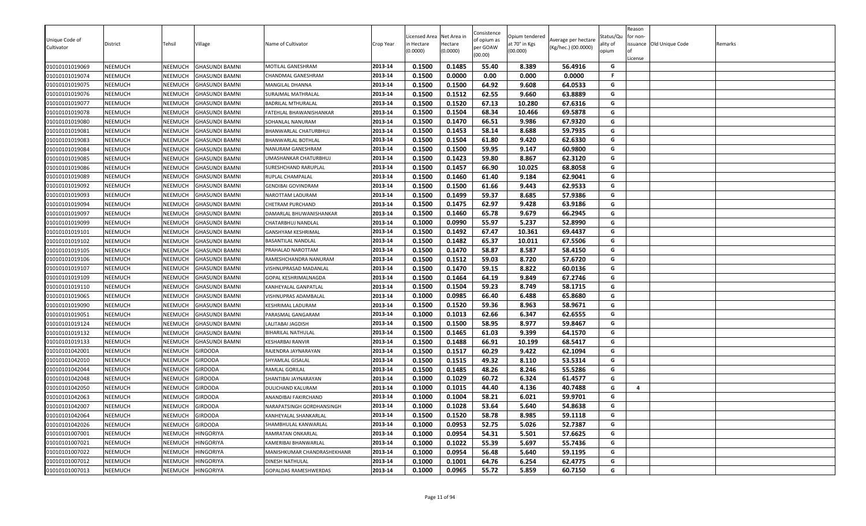| Unique Code of |                |                |                       |                             |           | icensed Area          | Net Area in         | Consistence<br>of opium as | Opium tendered            | Average per hectare | Status/Qu         | Reason<br>for non- |                          |         |
|----------------|----------------|----------------|-----------------------|-----------------------------|-----------|-----------------------|---------------------|----------------------------|---------------------------|---------------------|-------------------|--------------------|--------------------------|---------|
| Cultivator     | District       | Tehsil         | ∕illage               | Name of Cultivator          | Crop Year | n Hectare<br>(0.0000) | Hectare<br>(0.0000) | per GOAW                   | at 70° in Kgs<br>(00.000) | (Kg/hec.) (00.0000) | ality of<br>opium |                    | issuance Old Unique Code | Remarks |
|                |                |                |                       |                             |           |                       |                     | (00.00)                    |                           |                     |                   | License            |                          |         |
| 01010101019069 | <b>NEEMUCH</b> | NEEMUCH        | <b>GHASUNDI BAMNI</b> | MOTILAL GANESHRAM           | 2013-14   | 0.1500                | 0.1485              | 55.40                      | 8.389                     | 56.4916             | G                 |                    |                          |         |
| 01010101019074 | <b>NEEMUCH</b> | NEEMUCH        | <b>GHASUNDI BAMNI</b> | CHANDMAL GANESHRAM          | 2013-14   | 0.1500                | 0.0000              | 0.00                       | 0.000                     | 0.0000              | -F                |                    |                          |         |
| 01010101019075 | <b>NEEMUCH</b> | NEEMUCH        | <b>GHASUNDI BAMNI</b> | MANGILAL DHANNA             | 2013-14   | 0.1500                | 0.1500              | 64.92                      | 9.608                     | 64.0533             | G                 |                    |                          |         |
| 01010101019076 | <b>NEEMUCH</b> | NEEMUCH        | <b>GHASUNDI BAMNI</b> | SURAJMAL MATHRALAL          | 2013-14   | 0.1500                | 0.1512              | 62.55                      | 9.660                     | 63.8889             | G                 |                    |                          |         |
| 01010101019077 | <b>NEEMUCH</b> | <b>NEEMUCH</b> | <b>GHASUNDI BAMNI</b> | BADRILAL MTHURALAL          | 2013-14   | 0.1500                | 0.1520              | 67.13                      | 10.280                    | 67.6316             | G                 |                    |                          |         |
| 01010101019078 | <b>NEEMUCH</b> | NEEMUCH        | <b>GHASUNDI BAMNI</b> | FATEHLAL BHAWANISHANKAR     | 2013-14   | 0.1500                | 0.1504              | 68.34                      | 10.466                    | 69.5878             | G                 |                    |                          |         |
| 01010101019080 | <b>NEEMUCH</b> | NEEMUCH        | <b>GHASUNDI BAMNI</b> | SOHANLAL NANURAM            | 2013-14   | 0.1500                | 0.1470              | 66.51                      | 9.986                     | 67.9320             | G                 |                    |                          |         |
| 01010101019081 | <b>NEEMUCH</b> | NEEMUCH        | <b>GHASUNDI BAMNI</b> | BHANWARLAL CHATURBHUJ       | 2013-14   | 0.1500                | 0.1453              | 58.14                      | 8.688                     | 59.7935             | G                 |                    |                          |         |
| 01010101019083 | <b>NEEMUCH</b> | NEEMUCH        | <b>GHASUNDI BAMNI</b> | BHANWARLAL BOTHLAL          | 2013-14   | 0.1500                | 0.1504              | 61.80                      | 9.420                     | 62.6330             | G                 |                    |                          |         |
| 01010101019084 | <b>NEEMUCH</b> | NEEMUCH        | <b>GHASUNDI BAMNI</b> | NANURAM GANESHRAM           | 2013-14   | 0.1500                | 0.1500              | 59.95                      | 9.147                     | 60.9800             | G                 |                    |                          |         |
| 01010101019085 | <b>NEEMUCH</b> | NEEMUCH        | <b>GHASUNDI BAMNI</b> | UMASHANKAR CHATURBHUJ       | 2013-14   | 0.1500                | 0.1423              | 59.80                      | 8.867                     | 62.3120             | G                 |                    |                          |         |
| 01010101019086 | <b>NEEMUCH</b> | NEEMUCH        | <b>GHASUNDI BAMNI</b> | SURESHCHAND RARUPLAL        | 2013-14   | 0.1500                | 0.1457              | 66.90                      | 10.025                    | 68.8058             | G                 |                    |                          |         |
| 01010101019089 | <b>NEEMUCH</b> | NEEMUCH        | <b>GHASUNDI BAMNI</b> | RUPLAL CHAMPALAL            | 2013-14   | 0.1500                | 0.1460              | 61.40                      | 9.184                     | 62.9041             | G                 |                    |                          |         |
| 01010101019092 | <b>NEEMUCH</b> | NEEMUCH        | <b>GHASUNDI BAMNI</b> | GENDIBAI GOVINDRAM          | 2013-14   | 0.1500                | 0.1500              | 61.66                      | 9.443                     | 62.9533             | G                 |                    |                          |         |
| 01010101019093 | <b>NEEMUCH</b> | NEEMUCH        | <b>GHASUNDI BAMNI</b> | NAROTTAM LADURAM            | 2013-14   | 0.1500                | 0.1499              | 59.37                      | 8.685                     | 57.9386             | G                 |                    |                          |         |
| 01010101019094 | <b>NEEMUCH</b> | NEEMUCH        | <b>GHASUNDI BAMNI</b> | CHETRAM PURCHAND            | 2013-14   | 0.1500                | 0.1475              | 62.97                      | 9.428                     | 63.9186             | G                 |                    |                          |         |
| 01010101019097 | <b>NEEMUCH</b> | NEEMUCH        | <b>GHASUNDI BAMNI</b> | DAMARLAL BHUWANISHANKAR     | 2013-14   | 0.1500                | 0.1460              | 65.78                      | 9.679                     | 66.2945             | G                 |                    |                          |         |
| 01010101019099 | <b>NEEMUCH</b> | NEEMUCH        | <b>GHASUNDI BAMNI</b> | CHATARBHUJ NANDLAL          | 2013-14   | 0.1000                | 0.0990              | 55.97                      | 5.237                     | 52.8990             | G                 |                    |                          |         |
| 01010101019101 | <b>NEEMUCH</b> | <b>NEEMUCH</b> | <b>GHASUNDI BAMNI</b> | GANSHYAM KESHRIMAL          | 2013-14   | 0.1500                | 0.1492              | 67.47                      | 10.361                    | 69.4437             | G                 |                    |                          |         |
| 01010101019102 | <b>NEEMUCH</b> | NEEMUCH        | <b>GHASUNDI BAMNI</b> | BASANTILAL NANDLAL          | 2013-14   | 0.1500                | 0.1482              | 65.37                      | 10.011                    | 67.5506             | G                 |                    |                          |         |
| 01010101019105 | <b>NEEMUCH</b> | NEEMUCH        | <b>GHASUNDI BAMNI</b> | PRAHALAD NAROTTAM           | 2013-14   | 0.1500                | 0.1470              | 58.87                      | 8.587                     | 58.4150             | G                 |                    |                          |         |
| 01010101019106 | <b>NEEMUCH</b> | NEEMUCH        | <b>GHASUNDI BAMNI</b> | RAMESHCHANDRA NANURAM       | 2013-14   | 0.1500                | 0.1512              | 59.03                      | 8.720                     | 57.6720             | G                 |                    |                          |         |
| 01010101019107 | <b>NEEMUCH</b> | <b>NEEMUCH</b> | <b>GHASUNDI BAMNI</b> | VISHNUPRASAD MADANLAL       | 2013-14   | 0.1500                | 0.1470              | 59.15                      | 8.822                     | 60.0136             | G                 |                    |                          |         |
| 01010101019109 | <b>NEEMUCH</b> | <b>NEEMUCH</b> | <b>GHASUNDI BAMNI</b> | GOPAL KESHRIMALNAGDA        | 2013-14   | 0.1500                | 0.1464              | 64.19                      | 9.849                     | 67.2746             | G                 |                    |                          |         |
| 01010101019110 | <b>NEEMUCH</b> | NEEMUCH        | <b>GHASUNDI BAMNI</b> | KANHEYALAL GANPATLAL        | 2013-14   | 0.1500                | 0.1504              | 59.23                      | 8.749                     | 58.1715             | G                 |                    |                          |         |
| 01010101019065 | <b>NEEMUCH</b> | <b>NEEMUCH</b> | <b>GHASUNDI BAMNI</b> | VISHNUPRAS ADAMBALAL        | 2013-14   | 0.1000                | 0.0985              | 66.40                      | 6.488                     | 65.8680             | G                 |                    |                          |         |
| 01010101019090 | <b>NEEMUCH</b> | NEEMUCH        | <b>GHASUNDI BAMNI</b> | KESHRIMAL LADURAM           | 2013-14   | 0.1500                | 0.1520              | 59.36                      | 8.963                     | 58.9671             | G                 |                    |                          |         |
| 01010101019051 | <b>NEEMUCH</b> | <b>NEEMUCH</b> | <b>GHASUNDI BAMNI</b> | PARASMAL GANGARAM           | 2013-14   | 0.1000                | 0.1013              | 62.66                      | 6.347                     | 62.6555             | G                 |                    |                          |         |
| 01010101019124 | <b>NEEMUCH</b> | NEEMUCH        | <b>GHASUNDI BAMNI</b> | LALITABAI JAGDISH           | 2013-14   | 0.1500                | 0.1500              | 58.95                      | 8.977                     | 59.8467             | G                 |                    |                          |         |
| 01010101019132 | <b>NEEMUCH</b> | NEEMUCH        | <b>GHASUNDI BAMNI</b> | BIHARILAL NATHULAL          | 2013-14   | 0.1500                | 0.1465              | 61.03                      | 9.399                     | 64.1570             | G                 |                    |                          |         |
| 01010101019133 | <b>NEEMUCH</b> | <b>NEEMUCH</b> | <b>GHASUNDI BAMNI</b> | KESHARBAI RANVIR            | 2013-14   | 0.1500                | 0.1488              | 66.91                      | 10.199                    | 68.5417             | G                 |                    |                          |         |
| 01010101042001 | <b>NEEMUCH</b> | <b>NEEMUCH</b> | <b>GIRDODA</b>        | RAJENDRA JAYNARAYAN         | 2013-14   | 0.1500                | 0.1517              | 60.29                      | 9.422                     | 62.1094             | G                 |                    |                          |         |
| 01010101042010 | <b>NEEMUCH</b> | <b>NEEMUCH</b> | <b>GIRDODA</b>        | SHYAMLAL GISALAL            | 2013-14   | 0.1500                | 0.1515              | 49.32                      | 8.110                     | 53.5314             | G                 |                    |                          |         |
| 01010101042044 | <b>NEEMUCH</b> | NEEMUCH        | <b>GIRDODA</b>        | RAMLAL GORILAL              | 2013-14   | 0.1500                | 0.1485              | 48.26                      | 8.246                     | 55.5286             | G                 |                    |                          |         |
| 01010101042048 | <b>NEEMUCH</b> | <b>NEEMUCH</b> | <b>GIRDODA</b>        | SHANTIBAI JAYNARAYAN        | 2013-14   | 0.1000                | 0.1029              | 60.72                      | 6.324                     | 61.4577             | G                 |                    |                          |         |
| 01010101042050 | <b>NEEMUCH</b> | NEEMUCH        | <b>GIRDODA</b>        | DULICHAND KALURAM           | 2013-14   | 0.1000                | 0.1015              | 44.40                      | 4.136                     | 40.7488             | G                 | $\overline{a}$     |                          |         |
| 01010101042063 | <b>NEEMUCH</b> | NEEMUCH        | <b>GIRDODA</b>        | ANANDIBAI FAKIRCHAND        | 2013-14   | 0.1000                | 0.1004              | 58.21                      | 6.021                     | 59.9701             | G                 |                    |                          |         |
| 01010101042007 | <b>NEEMUCH</b> | NEEMUCH        | <b>GIRDODA</b>        | NARAPATSINGH GORDHANSINGH   | 2013-14   | 0.1000                | 0.1028              | 53.64                      | 5.640                     | 54.8638             | G                 |                    |                          |         |
| 01010101042064 | <b>NEEMUCH</b> | <b>NEEMUCH</b> | <b>GIRDODA</b>        | KANHEYALAL SHANKARLAL       | 2013-14   | 0.1500                | 0.1520              | 58.78                      | 8.985                     | 59.1118             | G                 |                    |                          |         |
| 01010101042026 | NEEMUCH        | NEEMUCH        | <b>GIRDODA</b>        | SHAMBHULAL KANWARLAL        | 2013-14   | 0.1000                | 0.0953              | 52.75                      | 5.026                     | 52.7387             | G                 |                    |                          |         |
| 01010101007001 | NEEMUCH        | NEEMUCH        | <b>HINGORIYA</b>      | RAMRATAN ONKARLAL           | 2013-14   | 0.1000                | 0.0954              | 54.31                      | 5.501                     | 57.6625             | G                 |                    |                          |         |
| 01010101007021 | <b>NEEMUCH</b> | NEEMUCH        | <b>HINGORIYA</b>      | KAMERIBAI BHANWARLAL        | 2013-14   | 0.1000                | 0.1022              | 55.39                      | 5.697                     | 55.7436             | G                 |                    |                          |         |
| 01010101007022 | NEEMUCH        | NEEMUCH        | <b>HINGORIYA</b>      | MANISHKUMAR CHANDRASHEKHANR | 2013-14   | 0.1000                | 0.0954              | 56.48                      | 5.640                     | 59.1195             | G                 |                    |                          |         |
| 01010101007012 | NEEMUCH        | <b>NEEMUCH</b> | <b>HINGORIYA</b>      | DINESH NATHULAL             | 2013-14   | 0.1000                | 0.1001              | 64.76                      | 6.254                     | 62.4775             | G                 |                    |                          |         |
| 01010101007013 | NEEMUCH        | NEEMUCH        | <b>HINGORIYA</b>      | GOPALDAS RAMESHWERDAS       | 2013-14   | 0.1000                | 0.0965              | 55.72                      | 5.859                     | 60.7150             | G                 |                    |                          |         |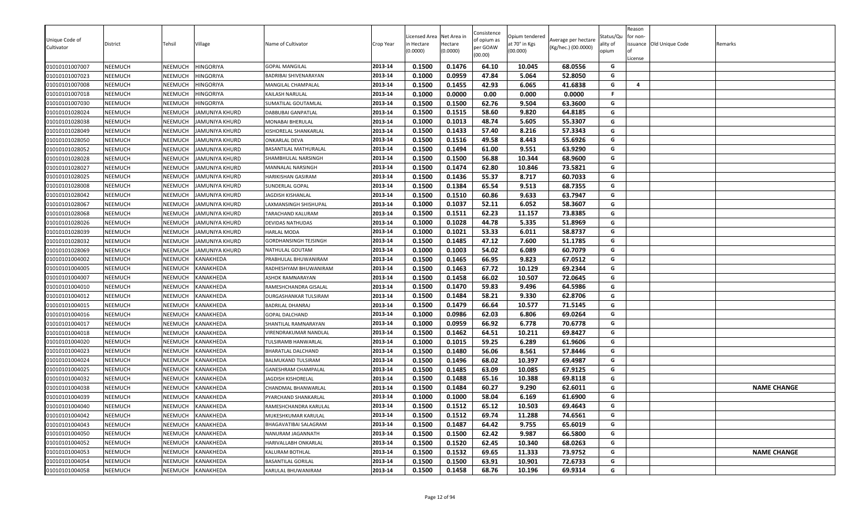| Unique Code of<br>Cultivator | District       | Tehsil  | Village               | Name of Cultivator        | Crop Year | icensed Area<br>n Hectare<br>0.0000 | Net Area in<br>Hectare<br>(0.0000) | Consistence<br>of opium as<br>per GOAW<br>(00.00) | Opium tendered<br>at 70° in Kgs<br>(00.000) | Average per hectare<br>(Kg/hec.) (00.0000) | Status/Qu<br>ality of<br>opium | Reason<br>for non-<br>Ωf<br>License | issuance Old Unique Code | Remarks            |
|------------------------------|----------------|---------|-----------------------|---------------------------|-----------|-------------------------------------|------------------------------------|---------------------------------------------------|---------------------------------------------|--------------------------------------------|--------------------------------|-------------------------------------|--------------------------|--------------------|
| 01010101007007               | NEEMUCH        | NEEMUCH | <b>HINGORIYA</b>      | <b>GOPAL MANGILAL</b>     | 2013-14   | 0.1500                              | 0.1476                             | 64.10                                             | 10.045                                      | 68.0556                                    | G                              |                                     |                          |                    |
| 01010101007023               | <b>NEEMUCH</b> | NEEMUCH | <b>HINGORIYA</b>      | BADRIBAI SHIVENARAYAN     | 2013-14   | 0.1000                              | 0.0959                             | 47.84                                             | 5.064                                       | 52.8050                                    | G                              |                                     |                          |                    |
| 01010101007008               | NEEMUCH        | NEEMUCH | <b>HINGORIYA</b>      | MANGILAL CHAMPALAL        | 2013-14   | 0.1500                              | 0.1455                             | 42.93                                             | 6.065                                       | 41.6838                                    | G                              | 4                                   |                          |                    |
| 01010101007018               | <b>NEEMUCH</b> | NEEMUCH | <b>HINGORIYA</b>      | KAILASH NARULAL           | 2013-14   | 0.1000                              | 0.0000                             | 0.00                                              | 0.000                                       | 0.0000                                     | F.                             |                                     |                          |                    |
| 01010101007030               | <b>NEEMUCH</b> | NEEMUCH | <b>HINGORIYA</b>      | SUMATILAL GOUTAMLAL       | 2013-14   | 0.1500                              | 0.1500                             | 62.76                                             | 9.504                                       | 63.3600                                    | G                              |                                     |                          |                    |
| 01010101028024               | NEEMUCH        | NEEMUCH | <b>JAMUNIYA KHURD</b> | DABBUBAI GANPATLAL        | 2013-14   | 0.1500                              | 0.1515                             | 58.60                                             | 9.820                                       | 64.8185                                    | G                              |                                     |                          |                    |
| 01010101028038               | <b>NEEMUCH</b> | NEEMUCH | <b>JAMUNIYA KHURD</b> | MONABAI BHERULAL          | 2013-14   | 0.1000                              | 0.1013                             | 48.74                                             | 5.605                                       | 55.3307                                    | G                              |                                     |                          |                    |
| 01010101028049               | <b>NEEMUCH</b> | NEEMUCH | <b>JAMUNIYA KHURD</b> | KISHORELAL SHANKARLAL     | 2013-14   | 0.1500                              | 0.1433                             | 57.40                                             | 8.216                                       | 57.3343                                    | G                              |                                     |                          |                    |
| 01010101028050               | <b>NEEMUCH</b> | NEEMUCH | <b>JAMUNIYA KHURD</b> | ONKARLAL DEVA             | 2013-14   | 0.1500                              | 0.1516                             | 49.58                                             | 8.443                                       | 55.6926                                    | G                              |                                     |                          |                    |
| 01010101028052               | <b>NEEMUCH</b> | NEEMUCH | <b>JAMUNIYA KHURD</b> | BASANTILAL MATHURALAL     | 2013-14   | 0.1500                              | 0.1494                             | 61.00                                             | 9.551                                       | 63.9290                                    | G                              |                                     |                          |                    |
| 01010101028028               | <b>NEEMUCH</b> | NEEMUCH | <b>JAMUNIYA KHURD</b> | SHAMBHULAL NARSINGH       | 2013-14   | 0.1500                              | 0.1500                             | 56.88                                             | 10.344                                      | 68.9600                                    | G                              |                                     |                          |                    |
| 01010101028027               | <b>NEEMUCH</b> | NEEMUCH | <b>JAMUNIYA KHURD</b> | MANNALAL NARSINGH         | 2013-14   | 0.1500                              | 0.1474                             | 62.80                                             | 10.846                                      | 73.5821                                    | G                              |                                     |                          |                    |
| 01010101028025               | <b>NEEMUCH</b> | NEEMUCH | <b>JAMUNIYA KHURD</b> | HARIKISHAN GASIRAM        | 2013-14   | 0.1500                              | 0.1436                             | 55.37                                             | 8.717                                       | 60.7033                                    | G                              |                                     |                          |                    |
| 01010101028008               | <b>NEEMUCH</b> | NEEMUCH | <b>JAMUNIYA KHURD</b> | SUNDERLAL GOPAL           | 2013-14   | 0.1500                              | 0.1384                             | 65.54                                             | 9.513                                       | 68.7355                                    | G                              |                                     |                          |                    |
| 01010101028042               | <b>NEEMUCH</b> | NEEMUCH | <b>JAMUNIYA KHURD</b> | <b>JAGDISH KISHANLAL</b>  | 2013-14   | 0.1500                              | 0.1510                             | 60.86                                             | 9.633                                       | 63.7947                                    | G                              |                                     |                          |                    |
| 01010101028067               | <b>NEEMUCH</b> | NEEMUCH | <b>JAMUNIYA KHURD</b> | LAXMANSINGH SHISHUPAL     | 2013-14   | 0.1000                              | 0.1037                             | 52.11                                             | 6.052                                       | 58.3607                                    | G                              |                                     |                          |                    |
| 01010101028068               | <b>NEEMUCH</b> | NEEMUCH | <b>JAMUNIYA KHURD</b> | TARACHAND KALURAM         | 2013-14   | 0.1500                              | 0.1511                             | 62.23                                             | 11.157                                      | 73.8385                                    | G                              |                                     |                          |                    |
| 01010101028026               | <b>NEEMUCH</b> | NEEMUCH | <b>JAMUNIYA KHURD</b> | DEVIDAS NATHUDAS          | 2013-14   | 0.1000                              | 0.1028                             | 44.78                                             | 5.335                                       | 51.8969                                    | G                              |                                     |                          |                    |
| 01010101028039               | <b>NEEMUCH</b> | NEEMUCH | <b>JAMUNIYA KHURD</b> | HARLAL MODA               | 2013-14   | 0.1000                              | 0.1021                             | 53.33                                             | 6.011                                       | 58.8737                                    | G                              |                                     |                          |                    |
| 01010101028032               | <b>NEEMUCH</b> | NEEMUCH | <b>JAMUNIYA KHURD</b> | GORDHANSINGH TEJSINGH     | 2013-14   | 0.1500                              | 0.1485                             | 47.12                                             | 7.600                                       | 51.1785                                    | G                              |                                     |                          |                    |
| 01010101028069               | <b>NEEMUCH</b> | NEEMUCH | <b>JAMUNIYA KHURD</b> | NATHULAL GOUTAM           | 2013-14   | 0.1000                              | 0.1003                             | 54.02                                             | 6.089                                       | 60.7079                                    | G                              |                                     |                          |                    |
| 01010101004002               | NEEMUCH        | NEEMUCH | <b>KANAKHEDA</b>      | PRABHULAL BHUWANIRAM      | 2013-14   | 0.1500                              | 0.1465                             | 66.95                                             | 9.823                                       | 67.0512                                    | G                              |                                     |                          |                    |
| 01010101004005               | <b>NEEMUCH</b> | NEEMUCH | KANAKHEDA             | RADHESHYAM BHUWANIRAM     | 2013-14   | 0.1500                              | 0.1463                             | 67.72                                             | 10.129                                      | 69.2344                                    | G                              |                                     |                          |                    |
| 01010101004007               | <b>NEEMUCH</b> | NEEMUCH | KANAKHEDA             | ASHOK RAMNARAYAN          | 2013-14   | 0.1500                              | 0.1458                             | 66.02                                             | 10.507                                      | 72.0645                                    | G                              |                                     |                          |                    |
| 01010101004010               | <b>NEEMUCH</b> | NEEMUCH | KANAKHEDA             | RAMESHCHANDRA GISALAL     | 2013-14   | 0.1500                              | 0.1470                             | 59.83                                             | 9.496                                       | 64.5986                                    | G                              |                                     |                          |                    |
| 01010101004012               | NEEMUCH        | NEEMUCH | KANAKHEDA             | DURGASHANKAR TULSIRAM     | 2013-14   | 0.1500                              | 0.1484                             | 58.21                                             | 9.330                                       | 62.8706                                    | G                              |                                     |                          |                    |
| 01010101004015               | <b>NEEMUCH</b> | NEEMUCH | KANAKHEDA             | BADRILAL DHANRAJ          | 2013-14   | 0.1500                              | 0.1479                             | 66.64                                             | 10.577                                      | 71.5145                                    | G                              |                                     |                          |                    |
| 01010101004016               | <b>NEEMUCH</b> | NEEMUCH | KANAKHEDA             | <b>GOPAL DALCHAND</b>     | 2013-14   | 0.1000                              | 0.0986                             | 62.03                                             | 6.806                                       | 69.0264                                    | G                              |                                     |                          |                    |
| 01010101004017               | <b>NEEMUCH</b> | NEEMUCH | KANAKHEDA             | SHANTILAL RAMNARAYAN      | 2013-14   | 0.1000                              | 0.0959                             | 66.92                                             | 6.778                                       | 70.6778                                    | G                              |                                     |                          |                    |
| 01010101004018               | <b>NEEMUCH</b> | NEEMUCH | KANAKHEDA             | VIRENDRAKUMAR NANDLAL     | 2013-14   | 0.1500                              | 0.1462                             | 64.51                                             | 10.211                                      | 69.8427                                    | G                              |                                     |                          |                    |
| 01010101004020               | <b>NEEMUCH</b> | NEEMUCH | KANAKHEDA             | TULSIRAMB HANWARLAL       | 2013-14   | 0.1000                              | 0.1015                             | 59.25                                             | 6.289                                       | 61.9606                                    | G                              |                                     |                          |                    |
| 01010101004023               | <b>NEEMUCH</b> | NEEMUCH | KANAKHEDA             | BHARATLAL DALCHAND        | 2013-14   | 0.1500                              | 0.1480                             | 56.06                                             | 8.561                                       | 57.8446                                    | G                              |                                     |                          |                    |
| 01010101004024               | NEEMUCH        | NEEMUCH | KANAKHEDA             | BALMUKAND TULSIRAM        | 2013-14   | 0.1500                              | 0.1496                             | 68.02                                             | 10.397                                      | 69.4987                                    | G                              |                                     |                          |                    |
| 01010101004025               | <b>NEEMUCH</b> | NEEMUCH | KANAKHEDA             | GANESHRAM CHAMPALAL       | 2013-14   | 0.1500                              | 0.1485                             | 63.09                                             | 10.085                                      | 67.9125                                    | G                              |                                     |                          |                    |
| 01010101004032               | NEEMUCH        | NEEMUCH | KANAKHEDA             | JAGDISH KISHORELAL        | 2013-14   | 0.1500                              | 0.1488                             | 65.16                                             | 10.388                                      | 69.8118                                    | G                              |                                     |                          |                    |
| 01010101004038               | <b>NEEMUCH</b> | NEEMUCH | KANAKHEDA             | CHANDMAL BHANWARLAL       | 2013-14   | 0.1500                              | 0.1484                             | 60.27                                             | 9.290                                       | 62.6011                                    | G                              |                                     |                          | <b>NAME CHANGE</b> |
| 01010101004039               | <b>NEEMUCH</b> | NEEMUCH | KANAKHEDA             | PYARCHAND SHANKARLAL      | 2013-14   | 0.1000                              | 0.1000                             | 58.04                                             | 6.169                                       | 61.6900                                    | G                              |                                     |                          |                    |
| 01010101004040               | NEEMUCH        | NEEMUCH | KANAKHEDA             | RAMESHCHANDRA KARULAL     | 2013-14   | 0.1500                              | 0.1512                             | 65.12                                             | 10.503                                      | 69.4643                                    | G                              |                                     |                          |                    |
| 01010101004042               | <b>NEEMUCH</b> | NEEMUCH | KANAKHEDA             | MUKESHKUMAR KARULAL       | 2013-14   | 0.1500                              | 0.1512                             | 69.74                                             | 11.288                                      | 74.6561                                    | G                              |                                     |                          |                    |
| 01010101004043               | <b>NEEMUCH</b> | NEEMUCH | KANAKHEDA             | BHAGAVATIBAI SALAGRAM     | 2013-14   | 0.1500                              | 0.1487                             | 64.42                                             | 9.755                                       | 65.6019                                    | G                              |                                     |                          |                    |
| 01010101004050               | <b>NEEMUCH</b> | NEEMUCH | KANAKHEDA             | NANURAM JAGANNATH         | 2013-14   | 0.1500                              | 0.1500                             | 62.42                                             | 9.987                                       | 66.5800                                    | G                              |                                     |                          |                    |
| 01010101004052               | NEEMUCH        | NEEMUCH | KANAKHEDA             | HARIVALLABH ONKARLAL      | 2013-14   | 0.1500                              | 0.1520                             | 62.45                                             | 10.340                                      | 68.0263                                    | G                              |                                     |                          |                    |
| 01010101004053               | NEEMUCH        | NEEMUCH | KANAKHEDA             | KALURAM BOTHLAL           | 2013-14   | 0.1500                              | 0.1532                             | 69.65                                             | 11.333                                      | 73.9752                                    | G                              |                                     |                          | <b>NAME CHANGE</b> |
| 01010101004054               | <b>NEEMUCH</b> | NEEMUCH | KANAKHEDA             | <b>BASANTILAL GORILAL</b> | 2013-14   | 0.1500                              | 0.1500                             | 63.91                                             | 10.901                                      | 72.6733                                    | G                              |                                     |                          |                    |
| 01010101004058               | <b>NEEMUCH</b> | NEEMUCH | KANAKHEDA             | KARULAL BHUWANIRAM        | 2013-14   | 0.1500                              | 0.1458                             | 68.76                                             | 10.196                                      | 69.9314                                    | G                              |                                     |                          |                    |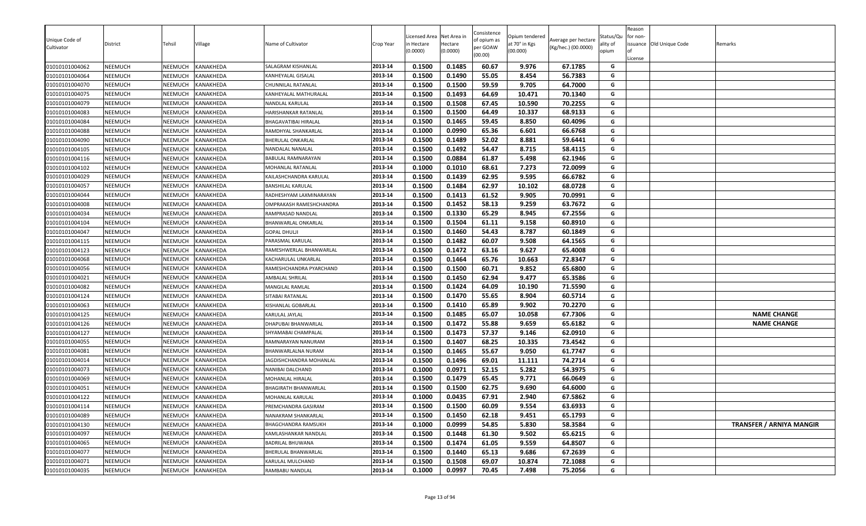| Unique Code of<br>Cultivator<br>01010101004062 | District<br>NEEMUCH | Tehsil<br>NEEMUCH  | Village<br>KANAKHEDA   | Name of Cultivator<br>SALAGRAM KISHANLAL     | Crop Year<br>2013-14 | Licensed Area<br>า Hectare<br>(0.0000)<br>0.1500 | Net Area in<br>Hectare<br>(0.0000)<br>0.1485 | Consistence<br>of opium as<br>per GOAW<br>(00.00)<br>60.67 | Opium tendered<br>at 70° in Kgs<br>(00.000)<br>9.976 | Average per hectare<br>(Kg/hec.) (00.0000)<br>67.1785 | Status/Qu<br>ality of<br>opium<br>G | Reason<br>for non-<br>License | issuance Old Unique Code | Remarks                         |
|------------------------------------------------|---------------------|--------------------|------------------------|----------------------------------------------|----------------------|--------------------------------------------------|----------------------------------------------|------------------------------------------------------------|------------------------------------------------------|-------------------------------------------------------|-------------------------------------|-------------------------------|--------------------------|---------------------------------|
|                                                | NEEMUCH             |                    | KANAKHEDA              |                                              | 2013-14              | 0.1500                                           | 0.1490                                       | 55.05                                                      | 8.454                                                | 56.7383                                               | G                                   |                               |                          |                                 |
| 01010101004064<br>01010101004070               | NEEMUCH             | NEEMUCH<br>NEEMUCH | KANAKHEDA              | KANHEYALAL GISALAL<br>CHUNNILAL RATANLAL     | 2013-14              | 0.1500                                           | 0.1500                                       | 59.59                                                      | 9.705                                                | 64.7000                                               | G                                   |                               |                          |                                 |
|                                                |                     |                    |                        |                                              |                      |                                                  |                                              |                                                            |                                                      |                                                       | G                                   |                               |                          |                                 |
| 01010101004075                                 | NEEMUCH             | NEEMUCH            | KANAKHEDA              | KANHEYALAL MATHURALAL                        | 2013-14              | 0.1500<br>0.1500                                 | 0.1493<br>0.1508                             | 64.69                                                      | 10.471                                               | 70.1340<br>70.2255                                    | G                                   |                               |                          |                                 |
| 01010101004079                                 | NEEMUCH             | NEEMUCH            | KANAKHEDA              | NANDLAL KARULAL                              | 2013-14              |                                                  |                                              | 67.45                                                      | 10.590                                               |                                                       | G                                   |                               |                          |                                 |
| 01010101004083                                 | NEEMUCH<br>NEEMUCH  | NEEMUCH            | KANAKHEDA              | HARISHANKAR RATANLAL                         | 2013-14              | 0.1500<br>0.1500                                 | 0.1500<br>0.1465                             | 64.49<br>59.45                                             | 10.337<br>8.850                                      | 68.9133<br>60.4096                                    | G                                   |                               |                          |                                 |
| 01010101004084<br>01010101004088               |                     | NEEMUCH            | KANAKHEDA              | BHAGAVATIBAI HIRALAL<br>RAMDHYAL SHANKARLAL  | 2013-14<br>2013-14   | 0.1000                                           | 0.0990                                       | 65.36                                                      | 6.601                                                | 66.6768                                               | G                                   |                               |                          |                                 |
| 01010101004090                                 | NEEMUCH<br>NEEMUCH  | NEEMUCH<br>NEEMUCH | KANAKHEDA<br>KANAKHEDA | BHERULAL ONKARLAL                            | 2013-14              | 0.1500                                           | 0.1489                                       | 52.02                                                      | 8.881                                                | 59.6441                                               | G                                   |                               |                          |                                 |
|                                                |                     |                    |                        | NANDALAL NANALAL                             |                      | 0.1500                                           | 0.1492                                       | 54.47                                                      | 8.715                                                | 58.4115                                               | G                                   |                               |                          |                                 |
| 01010101004105                                 | NEEMUCH             | NEEMUCH            | KANAKHEDA              |                                              | 2013-14              |                                                  |                                              |                                                            |                                                      |                                                       |                                     |                               |                          |                                 |
| 01010101004116                                 | NEEMUCH             | NEEMUCH            | KANAKHEDA              | BABULAL RAMNARAYAN                           | 2013-14              | 0.1500                                           | 0.0884                                       | 61.87                                                      | 5.498                                                | 62.1946                                               | G<br>G                              |                               |                          |                                 |
| 01010101004102                                 | <b>NEEMUCH</b>      | NEEMUCH            | KANAKHEDA              | MOHANLAL RATANLAL                            | 2013-14              | 0.1000                                           | 0.1010                                       | 68.61                                                      | 7.273                                                | 72.0099                                               |                                     |                               |                          |                                 |
| 01010101004029                                 | NEEMUCH             | NEEMUCH            | KANAKHEDA              | KAILASHCHANDRA KARULAL                       | 2013-14              | 0.1500                                           | 0.1439<br>0.1484                             | 62.95<br>62.97                                             | 9.595                                                | 66.6782<br>68.0728                                    | G<br>G                              |                               |                          |                                 |
| 01010101004057                                 | NEEMUCH             | NEEMUCH            | KANAKHEDA              | BANSHILAL KARULAL                            | 2013-14              | 0.1500                                           |                                              |                                                            | 10.102                                               |                                                       |                                     |                               |                          |                                 |
| 01010101004044                                 | NEEMUCH             | NEEMUCH            | KANAKHEDA              | RADHESHYAM LAXMINARAYAN                      | 2013-14              | 0.1500                                           | 0.1413<br>0.1452                             | 61.52<br>58.13                                             | 9.905                                                | 70.0991<br>63.7672                                    | G<br>G                              |                               |                          |                                 |
| 01010101004008                                 | NEEMUCH<br>NEEMUCH  | NEEMUCH<br>NEEMUCH | KANAKHEDA<br>KANAKHEDA | OMPRAKASH RAMESHCHANDRA<br>RAMPRASAD NANDLAL | 2013-14<br>2013-14   | 0.1500                                           |                                              |                                                            | 9.259                                                |                                                       |                                     |                               |                          |                                 |
| 01010101004034                                 |                     | NEEMUCH            |                        | BHANWARLAL ONKARLAL                          | 2013-14              | 0.1500<br>0.1500                                 | 0.1330<br>0.1504                             | 65.29<br>61.11                                             | 8.945<br>9.158                                       | 67.2556<br>60.8910                                    | G<br>G                              |                               |                          |                                 |
| 01010101004104<br>01010101004047               | NEEMUCH<br>NEEMUCH  | NEEMUCH            | KANAKHEDA<br>KANAKHEDA | <b>GOPAL DHULJI</b>                          | 2013-14              | 0.1500                                           | 0.1460                                       | 54.43                                                      | 8.787                                                | 60.1849                                               | G                                   |                               |                          |                                 |
|                                                |                     | NEEMUCH            | KANAKHEDA              | PARASMAL KARULAL                             | 2013-14              | 0.1500                                           | 0.1482                                       | 60.07                                                      | 9.508                                                | 64.1565                                               | G                                   |                               |                          |                                 |
| 01010101004115<br>01010101004123               | NEEMUCH<br>NEEMUCH  | NEEMUCH            | KANAKHEDA              | RAMESHWERLAL BHANWARLAL                      | 2013-14              | 0.1500                                           | 0.1472                                       | 63.16                                                      | 9.627                                                | 65.4008                                               | G                                   |                               |                          |                                 |
| 01010101004068                                 | NEEMUCH             | NEEMUCH            | KANAKHEDA              | KACHARULAL UNKARLAL                          | 2013-14              | 0.1500                                           | 0.1464                                       | 65.76                                                      | 10.663                                               | 72.8347                                               | G                                   |                               |                          |                                 |
| 01010101004056                                 | NEEMUCH             | NEEMUCH            | KANAKHEDA              | RAMESHCHANDRA PYARCHAND                      | 2013-14              | 0.1500                                           | 0.1500                                       | 60.71                                                      | 9.852                                                | 65.6800                                               | G                                   |                               |                          |                                 |
| 01010101004021                                 | NEEMUCH             | NEEMUCH            | KANAKHEDA              | AMBALAL SHRILAL                              | 2013-14              | 0.1500                                           | 0.1450                                       | 62.94                                                      | 9.477                                                | 65.3586                                               | G                                   |                               |                          |                                 |
| 01010101004082                                 | NEEMUCH             | NEEMUCH            | KANAKHEDA              | MANGILAL RAMLAL                              | 2013-14              | 0.1500                                           | 0.1424                                       | 64.09                                                      | 10.190                                               | 71.5590                                               | G                                   |                               |                          |                                 |
| 01010101004124                                 | NEEMUCH             | NEEMUCH            | KANAKHEDA              | SITABAI RATANLAL                             | 2013-14              | 0.1500                                           | 0.1470                                       | 55.65                                                      | 8.904                                                | 60.5714                                               | G                                   |                               |                          |                                 |
| 01010101004063                                 | NEEMUCH             | NEEMUCH            | KANAKHEDA              | KISHANLAL GOBARLAL                           | 2013-14              | 0.1500                                           | 0.1410                                       | 65.89                                                      | 9.902                                                | 70.2270                                               | G                                   |                               |                          |                                 |
| 01010101004125                                 | NEEMUCH             | NEEMUCH            | KANAKHEDA              | KARULAL JAYLAL                               | 2013-14              | 0.1500                                           | 0.1485                                       | 65.07                                                      | 10.058                                               | 67.7306                                               | G                                   |                               |                          | <b>NAME CHANGE</b>              |
| 01010101004126                                 | NEEMUCH             | NEEMUCH            | KANAKHEDA              | DHAPUBAI BHANWARLAL                          | 2013-14              | 0.1500                                           | 0.1472                                       | 55.88                                                      | 9.659                                                | 65.6182                                               | G                                   |                               |                          | <b>NAME CHANGE</b>              |
| 01010101004127                                 | NEEMUCH             | NEEMUCH            | KANAKHEDA              | SHYAMABAI CHAMPALAL                          | 2013-14              | 0.1500                                           | 0.1473                                       | 57.37                                                      | 9.146                                                | 62.0910                                               | G                                   |                               |                          |                                 |
| 01010101004055                                 | NEEMUCH             | NEEMUCH            | KANAKHEDA              | RAMNARAYAN NANURAM                           | 2013-14              | 0.1500                                           | 0.1407                                       | 68.25                                                      | 10.335                                               | 73.4542                                               | G                                   |                               |                          |                                 |
| 01010101004081                                 | NEEMUCH             | NEEMUCH            | KANAKHEDA              | BHANWARLALNA NURAM                           | 2013-14              | 0.1500                                           | 0.1465                                       | 55.67                                                      | 9.050                                                | 61.7747                                               | G                                   |                               |                          |                                 |
| 01010101004014                                 | NEEMUCH             | NEEMUCH            | KANAKHEDA              | JAGDISHCHANDRA MOHANLAL                      | 2013-14              | 0.1500                                           | 0.1496                                       | 69.01                                                      | 11.111                                               | 74.2714                                               | G                                   |                               |                          |                                 |
| 01010101004073                                 | NEEMUCH             | NEEMUCH            | KANAKHEDA              | NANIBAI DALCHAND                             | 2013-14              | 0.1000                                           | 0.0971                                       | 52.15                                                      | 5.282                                                | 54.3975                                               | G                                   |                               |                          |                                 |
| 01010101004069                                 | NEEMUCH             | NEEMUCH            | KANAKHEDA              | MOHANLAL HIRALAL                             | 2013-14              | 0.1500                                           | 0.1479                                       | 65.45                                                      | 9.771                                                | 66.0649                                               | G                                   |                               |                          |                                 |
| 01010101004051                                 | NEEMUCH             | NEEMUCH            | KANAKHEDA              | BHAGIRATH BHANWARLAL                         | 2013-14              | 0.1500                                           | 0.1500                                       | 62.75                                                      | 9.690                                                | 64.6000                                               | G                                   |                               |                          |                                 |
| 01010101004122                                 | NEEMUCH             | <b>NEEMUCH</b>     | KANAKHEDA              | <b>MOHANLAL KARULAL</b>                      | 2013-14              | 0.1000                                           | 0.0435                                       | 67.91                                                      | 2.940                                                | 67.5862                                               | G                                   |                               |                          |                                 |
| 01010101004114                                 | NEEMUCH             | NEEMUCH            | KANAKHEDA              | PREMCHANDRA GASIRAM                          | 2013-14              | 0.1500                                           | 0.1500                                       | 60.09                                                      | 9.554                                                | 63.6933                                               | G                                   |                               |                          |                                 |
| 01010101004089                                 | NEEMUCH             | NEEMUCH            | KANAKHEDA              | NANAKRAM SHANKARLAL                          | 2013-14              | 0.1500                                           | 0.1450                                       | 62.18                                                      | 9.451                                                | 65.1793                                               | G                                   |                               |                          |                                 |
| 01010101004130                                 | NEEMUCH             | NEEMUCH            | KANAKHEDA              | BHAGCHANDRA RAMSUKH                          | 2013-14              | 0.1000                                           | 0.0999                                       | 54.85                                                      | 5.830                                                | 58.3584                                               | G                                   |                               |                          | <b>TRANSFER / ARNIYA MANGIR</b> |
| 01010101004097                                 | NEEMUCH             | NEEMUCH            | KANAKHEDA              | KAMLASHANKAR NANDLAL                         | 2013-14              | 0.1500                                           | 0.1448                                       | 61.30                                                      | 9.502                                                | 65.6215                                               | G                                   |                               |                          |                                 |
| 01010101004065                                 | NEEMUCH             | NEEMUCH            | KANAKHEDA              | BADRILAL BHUWANA                             | 2013-14              | 0.1500                                           | 0.1474                                       | 61.05                                                      | 9.559                                                | 64.8507                                               | G                                   |                               |                          |                                 |
| 01010101004077                                 | NEEMUCH             | NEEMUCH            | KANAKHEDA              | BHERULAL BHANWARLAL                          | 2013-14              | 0.1500                                           | 0.1440                                       | 65.13                                                      | 9.686                                                | 67.2639                                               | G                                   |                               |                          |                                 |
| 01010101004071                                 | NEEMUCH             | NEEMUCH            | KANAKHEDA              | KARULAL MULCHAND                             | 2013-14              | 0.1500                                           | 0.1508                                       | 69.07                                                      | 10.874                                               | 72.1088                                               | G                                   |                               |                          |                                 |
| 01010101004035                                 | NEEMUCH             | NEEMUCH            | KANAKHEDA              | RAMBABU NANDLAL                              | 2013-14              | 0.1000                                           | 0.0997                                       | 70.45                                                      | 7.498                                                | 75.2056                                               | G                                   |                               |                          |                                 |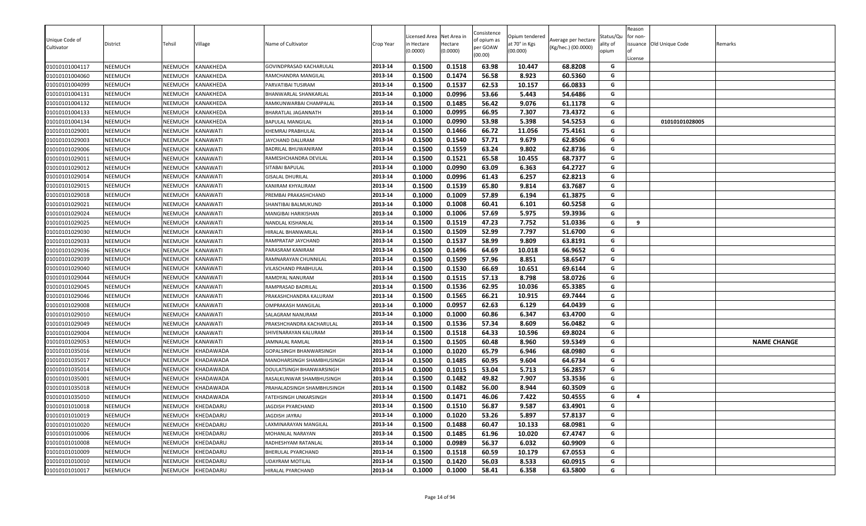| Unique Code of<br>Cultivator     | District<br>NEEMUCH | Tehsil<br>NEEMUCH  | Village<br>KANAKHEDA        | Name of Cultivator                     | Crop Year<br>2013-14 | Licensed Area<br>n Hectare<br>(0.0000)<br>0.1500 | Net Area in<br>Hectare<br>(0.0000)<br>0.1518 | Consistence<br>of opium as<br>per GOAW<br>(00.00)<br>63.98 | Opium tendered<br>at 70° in Kgs<br>(00.000) | Average per hectare<br>(Kg/hec.) (00.0000)<br>68.8208 | Status/Qu<br>ality of<br>opium | Reason<br>for non-<br>License | issuance Old Unique Code | Remarks            |
|----------------------------------|---------------------|--------------------|-----------------------------|----------------------------------------|----------------------|--------------------------------------------------|----------------------------------------------|------------------------------------------------------------|---------------------------------------------|-------------------------------------------------------|--------------------------------|-------------------------------|--------------------------|--------------------|
| 01010101004117                   |                     |                    |                             | GOVINDPRASAD KACHARULAL                |                      |                                                  |                                              |                                                            | 10.447                                      |                                                       | G<br>G                         |                               |                          |                    |
| 01010101004060<br>01010101004099 | NEEMUCH<br>NEEMUCH  | NEEMUCH<br>NEEMUCH | KANAKHEDA<br>KANAKHEDA      | RAMCHANDRA MANGILAL                    | 2013-14<br>2013-14   | 0.1500<br>0.1500                                 | 0.1474                                       | 56.58<br>62.53                                             | 8.923<br>10.157                             | 60.5360<br>66.0833                                    | G                              |                               |                          |                    |
|                                  |                     |                    |                             | PARVATIBAI TUSIRAM                     |                      |                                                  | 0.1537                                       |                                                            |                                             |                                                       | G                              |                               |                          |                    |
| 01010101004131                   | NEEMUCH             | NEEMUCH            | KANAKHEDA                   | BHANWARLAL SHANKARLAL                  | 2013-14              | 0.1000<br>0.1500                                 | 0.0996                                       | 53.66<br>56.42                                             | 5.443                                       | 54.6486                                               | G                              |                               |                          |                    |
| 01010101004132                   | NEEMUCH             | NEEMUCH            | KANAKHEDA                   | RAMKUNWARBAI CHAMPALAL                 | 2013-14<br>2013-14   |                                                  | 0.1485<br>0.0995                             |                                                            | 9.076                                       | 61.1178                                               | G                              |                               |                          |                    |
| 01010101004133                   | NEEMUCH<br>NEEMUCH  | NEEMUCH<br>NEEMUCH | KANAKHEDA<br>KANAKHEDA      | BHARATLAL JAGANNATH                    | 2013-14              | 0.1000<br>0.1000                                 | 0.0990                                       | 66.95<br>53.98                                             | 7.307<br>5.398                              | 73.4372<br>54.5253                                    | G                              |                               | 01010101028005           |                    |
| 01010101004134<br>01010101029001 | NEEMUCH             | NEEMUCH            |                             | BAPULAL MANGILAL                       | 2013-14              | 0.1500                                           | 0.1466                                       | 66.72                                                      | 11.056                                      | 75.4161                                               | G                              |                               |                          |                    |
| 01010101029003                   | NEEMUCH             | NEEMUCH            | KANAWATI<br><b>KANAWATI</b> | KHEMRAJ PRABHULAL<br>JAYCHAND DALURAM  | 2013-14              | 0.1500                                           | 0.1540                                       | 57.71                                                      | 9.679                                       | 62.8506                                               | G                              |                               |                          |                    |
|                                  |                     |                    |                             |                                        | 2013-14              | 0.1500                                           | 0.1559                                       | 63.24                                                      | 9.802                                       | 62.8736                                               | G                              |                               |                          |                    |
| 01010101029006                   | NEEMUCH             | NEEMUCH            | KANAWATI                    | BADRILAL BHUWANIRAM                    |                      |                                                  |                                              |                                                            |                                             |                                                       |                                |                               |                          |                    |
| 01010101029011                   | NEEMUCH             | NEEMUCH            | KANAWATI                    | RAMESHCHANDRA DEVILAL                  | 2013-14              | 0.1500                                           | 0.1521                                       | 65.58                                                      | 10.455                                      | 68.7377<br>64.2727                                    | G<br>G                         |                               |                          |                    |
| 01010101029012                   | NEEMUCH             | NEEMUCH            | KANAWATI                    | SITABAI BAPULAL                        | 2013-14              | 0.1000                                           | 0.0990                                       | 63.09                                                      | 6.363                                       |                                                       |                                |                               |                          |                    |
| 01010101029014                   | NEEMUCH             | NEEMUCH            | KANAWATI                    | GISALAL DHURILAL                       | 2013-14              | 0.1000                                           | 0.0996<br>0.1539                             | 61.43<br>65.80                                             | 6.257                                       | 62.8213<br>63.7687                                    | G<br>G                         |                               |                          |                    |
| 01010101029015                   | NEEMUCH             | NEEMUCH            | KANAWATI                    | KANIRAM KHYALIRAM                      | 2013-14              | 0.1500                                           |                                              |                                                            | 9.814                                       |                                                       |                                |                               |                          |                    |
| 01010101029018                   | NEEMUCH             | NEEMUCH            | KANAWATI                    | PREMBAI PRAKASHCHAND                   | 2013-14              | 0.1000                                           | 0.1009                                       | 57.89                                                      | 6.194                                       | 61.3875<br>60.5258                                    | G<br>G                         |                               |                          |                    |
| 01010101029021                   | NEEMUCH<br>NEEMUCH  | NEEMUCH<br>NEEMUCH | KANAWATI                    | SHANTIBAI BALMUKUND                    | 2013-14<br>2013-14   | 0.1000                                           | 0.1008                                       | 60.41                                                      | 6.101                                       |                                                       |                                |                               |                          |                    |
| 01010101029024                   |                     |                    | <b>KANAWATI</b>             | MANGIBAI HARIKISHAN                    | 2013-14              | 0.1000<br>0.1500                                 | 0.1006<br>0.1519                             | 57.69<br>47.23                                             | 5.975<br>7.752                              | 59.3936<br>51.0336                                    | G<br>G                         | 9                             |                          |                    |
| 01010101029025<br>01010101029030 | NEEMUCH<br>NEEMUCH  | NEEMUCH<br>NEEMUCH | KANAWATI<br>KANAWATI        | NANDLAL KISHANLAL                      | 2013-14              | 0.1500                                           | 0.1509                                       | 52.99                                                      | 7.797                                       | 51.6700                                               | G                              |                               |                          |                    |
|                                  |                     | NEEMUCH            | KANAWATI                    | HIRALAL BHANWARLAL                     | 2013-14              | 0.1500                                           | 0.1537                                       | 58.99                                                      | 9.809                                       | 63.8191                                               | G                              |                               |                          |                    |
| 01010101029033<br>01010101029036 | NEEMUCH<br>NEEMUCH  | NEEMUCH            | KANAWATI                    | RAMPRATAP JAYCHAND<br>PARASRAM KANIRAM | 2013-14              | 0.1500                                           | 0.1496                                       | 64.69                                                      | 10.018                                      | 66.9652                                               | G                              |                               |                          |                    |
| 01010101029039                   | NEEMUCH             | <b>NEEMUCH</b>     | KANAWATI                    | RAMNARAYAN CHUNNILAL                   | 2013-14              | 0.1500                                           | 0.1509                                       | 57.96                                                      | 8.851                                       | 58.6547                                               | G                              |                               |                          |                    |
| 01010101029040                   | NEEMUCH             | NEEMUCH            | KANAWATI                    | VILASCHAND PRABHULAL                   | 2013-14              | 0.1500                                           | 0.1530                                       | 66.69                                                      | 10.651                                      | 69.6144                                               | G                              |                               |                          |                    |
| 01010101029044                   | NEEMUCH             | NEEMUCH            | KANAWATI                    | RAMDYAL NANURAM                        | 2013-14              | 0.1500                                           | 0.1515                                       | 57.13                                                      | 8.798                                       | 58.0726                                               | G                              |                               |                          |                    |
| 01010101029045                   | NEEMUCH             | NEEMUCH            | KANAWATI                    | RAMPRASAD BADRILAL                     | 2013-14              | 0.1500                                           | 0.1536                                       | 62.95                                                      | 10.036                                      | 65.3385                                               | G                              |                               |                          |                    |
| 01010101029046                   | NEEMUCH             | NEEMUCH            | <b>KANAWATI</b>             | PRAKASHCHANDRA KALURAM                 | 2013-14              | 0.1500                                           | 0.1565                                       | 66.21                                                      | 10.915                                      | 69.7444                                               | G                              |                               |                          |                    |
| 01010101029008                   | NEEMUCH             | NEEMUCH            | KANAWATI                    | <b>OMPRAKASH MANGILAL</b>              | 2013-14              | 0.1000                                           | 0.0957                                       | 62.63                                                      | 6.129                                       | 64.0439                                               | G                              |                               |                          |                    |
| 01010101029010                   | NEEMUCH             | NEEMUCH            | KANAWATI                    | SALAGRAM NANURAM                       | 2013-14              | 0.1000                                           | 0.1000                                       | 60.86                                                      | 6.347                                       | 63.4700                                               | G                              |                               |                          |                    |
| 01010101029049                   | NEEMUCH             | NEEMUCH            | KANAWATI                    | PRAKSHCHANDRA KACHARULAL               | 2013-14              | 0.1500                                           | 0.1536                                       | 57.34                                                      | 8.609                                       | 56.0482                                               | G                              |                               |                          |                    |
| 01010101029004                   | NEEMUCH             | NEEMUCH            | KANAWATI                    | SHIVENARAYAN KALURAM                   | 2013-14              | 0.1500                                           | 0.1518                                       | 64.33                                                      | 10.596                                      | 69.8024                                               | G                              |                               |                          |                    |
| 01010101029053                   | NEEMUCH             | NEEMUCH            | KANAWATI                    | JAMNALAL RAMLAL                        | 2013-14              | 0.1500                                           | 0.1505                                       | 60.48                                                      | 8.960                                       | 59.5349                                               | G                              |                               |                          | <b>NAME CHANGE</b> |
| 01010101035016                   | NEEMUCH             | NEEMUCH            | KHADAWADA                   | GOPALSINGH BHANWARSINGH                | 2013-14              | 0.1000                                           | 0.1020                                       | 65.79                                                      | 6.946                                       | 68.0980                                               | G                              |                               |                          |                    |
| 01010101035017                   | NEEMUCH             | NEEMUCH            | KHADAWADA                   | MANOHARSINGH SHAMBHUSINGH              | 2013-14              | 0.1500                                           | 0.1485                                       | 60.95                                                      | 9.604                                       | 64.6734                                               | G                              |                               |                          |                    |
| 01010101035014                   | NEEMUCH             | NEEMUCH            | KHADAWADA                   | DOULATSINGH BHANWARSINGH               | 2013-14              | 0.1000                                           | 0.1015                                       | 53.04                                                      | 5.713                                       | 56.2857                                               | G                              |                               |                          |                    |
| 01010101035001                   | NEEMUCH             | NEEMUCH            | KHADAWADA                   | RASALKUNWAR SHAMBHUSINGH               | 2013-14              | 0.1500                                           | 0.1482                                       | 49.82                                                      | 7.907                                       | 53.3536                                               | G                              |                               |                          |                    |
| 01010101035018                   | NEEMUCH             | NEEMUCH            | KHADAWADA                   | PRAHALADSINGH SHAMBHUSINGH             | 2013-14              | 0.1500                                           | 0.1482                                       | 56.00                                                      | 8.944                                       | 60.3509                                               | G                              |                               |                          |                    |
| 01010101035010                   | NEEMUCH             | NEEMUCH            | KHADAWADA                   | FATEHSINGH UNKARSINGH                  | 2013-14              | 0.1500                                           | 0.1471                                       | 46.06                                                      | 7.422                                       | 50.4555                                               | G                              | $\overline{a}$                |                          |                    |
| 01010101010018                   | NEEMUCH             | NEEMUCH            | KHEDADARU                   | JAGDISH PYARCHAND                      | 2013-14              | 0.1500                                           | 0.1510                                       | 56.87                                                      | 9.587                                       | 63.4901                                               | G                              |                               |                          |                    |
| 01010101010019                   | NEEMUCH             | NEEMUCH            | KHEDADARU                   | JAGDISH JAYRAJ                         | 2013-14              | 0.1000                                           | 0.1020                                       | 53.26                                                      | 5.897                                       | 57.8137                                               | G                              |                               |                          |                    |
| 01010101010020                   | NEEMUCH             | NEEMUCH            | KHEDADARU                   | LAXMINARAYAN MANGILAL                  | 2013-14              | 0.1500                                           | 0.1488                                       | 60.47                                                      | 10.133                                      | 68.0981                                               | G                              |                               |                          |                    |
| 01010101010006                   | NEEMUCH             | NEEMUCH            | KHEDADARU                   | MOHANLAL NARAYAN                       | 2013-14              | 0.1500                                           | 0.1485                                       | 61.96                                                      | 10.020                                      | 67.4747                                               | G                              |                               |                          |                    |
| 01010101010008                   | NEEMUCH             | NEEMUCH            | KHEDADARU                   | RADHESHYAM RATANLAL                    | 2013-14              | 0.1000                                           | 0.0989                                       | 56.37                                                      | 6.032                                       | 60.9909                                               | G                              |                               |                          |                    |
| 01010101010009                   | NEEMUCH             | NEEMUCH            | KHEDADARU                   | BHERULAL PYARCHAND                     | 2013-14              | 0.1500                                           | 0.1518                                       | 60.59                                                      | 10.179                                      | 67.0553                                               | G                              |                               |                          |                    |
| 01010101010010                   | NEEMUCH             | NEEMUCH            | KHEDADARU                   | <b>UDAYRAM MOTILAL</b>                 | 2013-14              | 0.1500                                           | 0.1420                                       | 56.03                                                      | 8.533                                       | 60.0915                                               | G                              |                               |                          |                    |
| 01010101010017                   | NEEMUCH             | NEEMUCH            | KHEDADARU                   | HIRALAL PYARCHAND                      | 2013-14              | 0.1000                                           | 0.1000                                       | 58.41                                                      | 6.358                                       | 63.5800                                               | G                              |                               |                          |                    |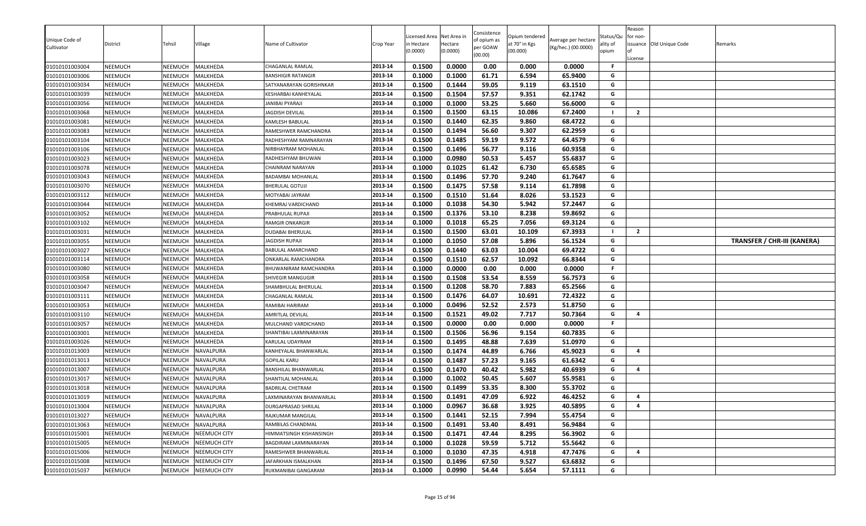| Unique Code of<br>Cultivator     | District<br>NEEMUCH | Tehsil<br>NEEMUCH  | Village<br>MALKHEDA  | Name of Cultivator                            | Crop Year<br>2013-14 | Licensed Area<br>า Hectare<br>(0.0000)<br>0.1500 | Net Area in<br>Hectare<br>(0.0000)<br>0.0000 | Consistence<br>of opium as<br>per GOAW<br>(00.00)<br>0.00 | Opium tendered<br>at 70° in Kgs<br>(00.000) | Average per hectare<br>(Kg/hec.) (00.0000)<br>0.0000 | Status/Qu<br>ality of<br>opium<br>-F | Reason<br>for non-<br>License | issuance Old Unique Code | Remarks                            |
|----------------------------------|---------------------|--------------------|----------------------|-----------------------------------------------|----------------------|--------------------------------------------------|----------------------------------------------|-----------------------------------------------------------|---------------------------------------------|------------------------------------------------------|--------------------------------------|-------------------------------|--------------------------|------------------------------------|
| 01010101003004                   |                     |                    |                      | CHAGANLAL RAMLAL                              | 2013-14              |                                                  |                                              |                                                           | 0.000                                       |                                                      | G                                    |                               |                          |                                    |
| 01010101003006<br>01010101003034 | NEEMUCH<br>NEEMUCH  | NEEMUCH<br>NEEMUCH | MALKHEDA<br>MALKHEDA | BANSHIGIR RATANGIR<br>SATYANARAYAN GORISHNKAR | 2013-14              | 0.1000<br>0.1500                                 | 0.1000<br>0.1444                             | 61.71<br>59.05                                            | 6.594<br>9.119                              | 65.9400<br>63.1510                                   | G                                    |                               |                          |                                    |
|                                  | NEEMUCH             | NEEMUCH            | MALKHEDA             | KESHARBAI KANHEYALAL                          | 2013-14              | 0.1500                                           | 0.1504                                       | 57.57                                                     | 9.351                                       | 62.1742                                              | G                                    |                               |                          |                                    |
| 01010101003039<br>01010101003056 | NEEMUCH             | NEEMUCH            | MALKHEDA             | ANIBAI PYARAJI                                | 2013-14              | 0.1000                                           | 0.1000                                       | 53.25                                                     | 5.660                                       | 56.6000                                              | G                                    |                               |                          |                                    |
| 01010101003068                   | NEEMUCH             | NEEMUCH            | MALKHEDA             | JAGDISH DEVILAL                               | 2013-14              | 0.1500                                           | 0.1500                                       | 63.15                                                     | 10.086                                      | 67.2400                                              |                                      | $\overline{2}$                |                          |                                    |
| 01010101003081                   | NEEMUCH             | NEEMUCH            | MALKHEDA             | KAMLESH BABULAL                               | 2013-14              | 0.1500                                           | 0.1440                                       | 62.35                                                     | 9.860                                       | 68.4722                                              | G                                    |                               |                          |                                    |
| 01010101003083                   | NEEMUCH             | NEEMUCH            | MALKHEDA             | RAMESHWER RAMCHANDRA                          | 2013-14              | 0.1500                                           | 0.1494                                       | 56.60                                                     | 9.307                                       | 62.2959                                              | G                                    |                               |                          |                                    |
| 01010101003104                   | NEEMUCH             | NEEMUCH            | MALKHEDA             | RADHESHYAM RAMNARAYAN                         | 2013-14              | 0.1500                                           | 0.1485                                       | 59.19                                                     | 9.572                                       | 64.4579                                              | G                                    |                               |                          |                                    |
| 01010101003106                   | NEEMUCH             | NEEMUCH            | MALKHEDA             | NIRBHAYRAM MOHANLAL                           | 2013-14              | 0.1500                                           | 0.1496                                       | 56.77                                                     | 9.116                                       | 60.9358                                              | G                                    |                               |                          |                                    |
| 01010101003023                   | NEEMUCH             | NEEMUCH            | MALKHEDA             | RADHESHYAM BHUWAN                             | 2013-14              | 0.1000                                           | 0.0980                                       | 50.53                                                     | 5.457                                       | 55.6837                                              | G                                    |                               |                          |                                    |
| 01010101003078                   | <b>NEEMUCH</b>      | NEEMUCH            | MALKHEDA             | CHAINRAM NARAYAN                              | 2013-14              | 0.1000                                           | 0.1025                                       | 61.42                                                     | 6.730                                       | 65.6585                                              | G                                    |                               |                          |                                    |
| 01010101003043                   | NEEMUCH             | NEEMUCH            | MALKHEDA             | BADAMBAI MOHANLAL                             | 2013-14              | 0.1500                                           | 0.1496                                       | 57.70                                                     | 9.240                                       | 61.7647                                              | G                                    |                               |                          |                                    |
| 01010101003070                   | NEEMUCH             | NEEMUCH            | MALKHEDA             | BHERULAL GOTUJI                               | 2013-14              | 0.1500                                           | 0.1475                                       | 57.58                                                     | 9.114                                       | 61.7898                                              | G                                    |                               |                          |                                    |
| 01010101003112                   | NEEMUCH             | NEEMUCH            | MALKHEDA             | MOTYABAI JAYRAM                               | 2013-14              | 0.1500                                           | 0.1510                                       | 51.64                                                     | 8.026                                       | 53.1523                                              | G                                    |                               |                          |                                    |
| 01010101003044                   | NEEMUCH             | NEEMUCH            | MALKHEDA             | KHEMRAJ VARDICHAND                            | 2013-14              | 0.1000                                           | 0.1038                                       | 54.30                                                     | 5.942                                       | 57.2447                                              | G                                    |                               |                          |                                    |
| 01010101003052                   | NEEMUCH             | NEEMUCH            | MALKHEDA             | PRABHULAL RUPAJI                              | 2013-14              | 0.1500                                           | 0.1376                                       | 53.10                                                     | 8.238                                       | 59.8692                                              | G                                    |                               |                          |                                    |
| 01010101003102                   | NEEMUCH             | NEEMUCH            | MALKHEDA             | RAMGIR ONKARGIR                               | 2013-14              | 0.1000                                           | 0.1018                                       | 65.25                                                     | 7.056                                       | 69.3124                                              | G                                    |                               |                          |                                    |
| 01010101003031                   | NEEMUCH             | NEEMUCH            | MALKHEDA             | DUDABAI BHERULAL                              | 2013-14              | 0.1500                                           | 0.1500                                       | 63.01                                                     | 10.109                                      | 67.3933                                              |                                      | $\overline{2}$                |                          |                                    |
| 01010101003055                   | NEEMUCH             | NEEMUCH            | MALKHEDA             | JAGDISH RUPAJI                                | 2013-14              | 0.1000                                           | 0.1050                                       | 57.08                                                     | 5.896                                       | 56.1524                                              | G                                    |                               |                          | <b>TRANSFER / CHR-III (KANERA)</b> |
| 01010101003027                   | NEEMUCH             | NEEMUCH            | MALKHEDA             | BABULAL AMARCHAND                             | 2013-14              | 0.1500                                           | 0.1440                                       | 63.03                                                     | 10.004                                      | 69.4722                                              | G                                    |                               |                          |                                    |
| 01010101003114                   | NEEMUCH             | NEEMUCH            | MALKHEDA             | ONKARLAL RAMCHANDRA                           | 2013-14              | 0.1500                                           | 0.1510                                       | 62.57                                                     | 10.092                                      | 66.8344                                              | G                                    |                               |                          |                                    |
| 01010101003080                   | NEEMUCH             | NEEMUCH            | MALKHEDA             | BHUWANIRAM RAMCHANDRA                         | 2013-14              | 0.1000                                           | 0.0000                                       | 0.00                                                      | 0.000                                       | 0.0000                                               | F                                    |                               |                          |                                    |
| 01010101003058                   | NEEMUCH             | NEEMUCH            | MALKHEDA             | SHIVEGIR MANGUGIR                             | 2013-14              | 0.1500                                           | 0.1508                                       | 53.54                                                     | 8.559                                       | 56.7573                                              | G                                    |                               |                          |                                    |
| 01010101003047                   | <b>NEEMUCH</b>      | NEEMUCH            | MALKHEDA             | SHAMBHULAL BHERULAL                           | 2013-14              | 0.1500                                           | 0.1208                                       | 58.70                                                     | 7.883                                       | 65.2566                                              | G                                    |                               |                          |                                    |
| 01010101003111                   | NEEMUCH             | NEEMUCH            | MALKHEDA             | CHAGANLAL RAMLAL                              | 2013-14              | 0.1500                                           | 0.1476                                       | 64.07                                                     | 10.691                                      | 72.4322                                              | G                                    |                               |                          |                                    |
| 01010101003053                   | NEEMUCH             | NEEMUCH            | MALKHEDA             | RAMIBAI HARIRAM                               | 2013-14              | 0.1000                                           | 0.0496                                       | 52.52                                                     | 2.573                                       | 51.8750                                              | G                                    |                               |                          |                                    |
| 01010101003110                   | NEEMUCH             | NEEMUCH            | MALKHEDA             | AMRITLAL DEVILAL                              | 2013-14              | 0.1500                                           | 0.1521                                       | 49.02                                                     | 7.717                                       | 50.7364                                              | G                                    | $\overline{a}$                |                          |                                    |
| 01010101003057                   | <b>NEEMUCH</b>      | NEEMUCH            | MALKHEDA             | MULCHAND VARDICHAND                           | 2013-14              | 0.1500                                           | 0.0000                                       | 0.00                                                      | 0.000                                       | 0.0000                                               | F.                                   |                               |                          |                                    |
| 01010101003001                   | NEEMUCH             | NEEMUCH            | MALKHEDA             | SHANTIBAI LAXMINARAYAN                        | 2013-14              | 0.1500                                           | 0.1506                                       | 56.96                                                     | 9.154                                       | 60.7835                                              | G                                    |                               |                          |                                    |
| 01010101003026                   | NEEMUCH             | NEEMUCH            | MALKHEDA             | KARULAL UDAYRAM                               | 2013-14              | 0.1500                                           | 0.1495                                       | 48.88                                                     | 7.639                                       | 51.0970                                              | G                                    |                               |                          |                                    |
| 01010101013003                   | NEEMUCH             | NEEMUCH            | NAVALPURA            | KANHEYALAL BHANWARLAL                         | 2013-14              | 0.1500                                           | 0.1474                                       | 44.89                                                     | 6.766                                       | 45.9023                                              | G                                    | 4                             |                          |                                    |
| 01010101013013                   | NEEMUCH             | NEEMUCH            | NAVALPURA            | <b>GOPILAL KARU</b>                           | 2013-14              | 0.1500                                           | 0.1487                                       | 57.23                                                     | 9.165                                       | 61.6342                                              | G                                    |                               |                          |                                    |
| 01010101013007                   | NEEMUCH             | NEEMUCH            | NAVALPURA            | BANSHILAL BHANWARLAL                          | 2013-14              | 0.1500                                           | 0.1470                                       | 40.42                                                     | 5.982                                       | 40.6939                                              | G                                    | $\overline{a}$                |                          |                                    |
| 01010101013017                   | NEEMUCH             | NEEMUCH            | NAVALPURA            | SHANTILAL MOHANLAL                            | 2013-14              | 0.1000                                           | 0.1002                                       | 50.45                                                     | 5.607                                       | 55.9581                                              | G                                    |                               |                          |                                    |
| 01010101013018                   | NEEMUCH             | NEEMUCH            | NAVALPURA            | BADRILAL CHETRAM                              | 2013-14              | 0.1500                                           | 0.1499                                       | 53.35                                                     | 8.300                                       | 55.3702                                              | G                                    |                               |                          |                                    |
| 01010101013019                   | NEEMUCH             | <b>NEEMUCH</b>     | NAVALPURA            | <b>AXMINARAYAN BHANWARLAL</b>                 | 2013-14              | 0.1500                                           | 0.1491                                       | 47.09                                                     | 6.922                                       | 46.4252                                              | G                                    | $\overline{4}$                |                          |                                    |
| 01010101013004                   | NEEMUCH             | NEEMUCH            | <b>NAVALPURA</b>     | <b>DURGAPRASAD SHRILAL</b>                    | 2013-14              | 0.1000                                           | 0.0967                                       | 36.68                                                     | 3.925                                       | 40.5895                                              | G                                    | $\overline{\mathbf{a}}$       |                          |                                    |
| 01010101013027                   | NEEMUCH             | NEEMUCH            | NAVALPURA            | RAJKUMAR MANGILAL                             | 2013-14              | 0.1500                                           | 0.1441                                       | 52.15                                                     | 7.994                                       | 55.4754                                              | G                                    |                               |                          |                                    |
| 01010101013063                   | NEEMUCH             | NEEMUCH            | NAVALPURA            | RAMBILAS CHANDMAL                             | 2013-14              | 0.1500                                           | 0.1491                                       | 53.40                                                     | 8.491                                       | 56.9484                                              | G                                    |                               |                          |                                    |
| 01010101015001                   | NEEMUCH             | NEEMUCH            | <b>NEEMUCH CITY</b>  | HIMMATSINGH KISHANSINGH                       | 2013-14              | 0.1500                                           | 0.1471                                       | 47.44                                                     | 8.295                                       | 56.3902                                              | G                                    |                               |                          |                                    |
| 01010101015005                   | NEEMUCH             | NEEMUCH            | <b>NEEMUCH CITY</b>  | BAGDIRAM LAXMINARAYAN                         | 2013-14              | 0.1000                                           | 0.1028                                       | 59.59                                                     | 5.712                                       | 55.5642                                              | G                                    |                               |                          |                                    |
| 01010101015006                   | NEEMUCH             | NEEMUCH            | <b>NEEMUCH CITY</b>  | RAMESHWER BHANWARLAL                          | 2013-14              | 0.1000                                           | 0.1030                                       | 47.35                                                     | 4.918                                       | 47.7476                                              | G                                    | 4                             |                          |                                    |
| 01010101015008                   | NEEMUCH             | NEEMUCH            | <b>NEEMUCH CITY</b>  | JAFARKHAN ISMALKHAN                           | 2013-14              | 0.1500                                           | 0.1496                                       | 67.50                                                     | 9.527                                       | 63.6832                                              | G                                    |                               |                          |                                    |
| 01010101015037                   | NEEMUCH             | NEEMUCH            | <b>NEEMUCH CITY</b>  | RUKMANIBAI GANGARAM                           | 2013-14              | 0.1000                                           | 0.0990                                       | 54.44                                                     | 5.654                                       | 57.1111                                              | G                                    |                               |                          |                                    |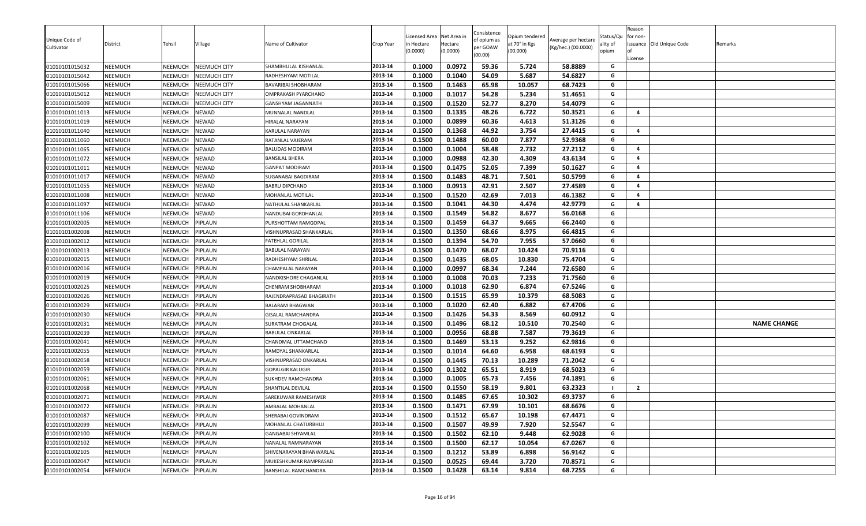| Unique Code of<br>Cultivator | District       | Tehsil         | Village             | Name of Cultivator       | Crop Year | Licensed Area<br>in Hectare<br>(0.0000) | Net Area in<br>Hectare<br>(0.0000) | Consistence<br>of opium as<br>per GOAW<br>(00.00) | Opium tendered<br>at 70° in Kgs<br>(00.000) | Average per hectare<br>(Kg/hec.) (00.0000) | Status/Qu<br>ality of<br>opium | Reason<br>for non-<br>License | ssuance Old Unique Code | Remarks            |
|------------------------------|----------------|----------------|---------------------|--------------------------|-----------|-----------------------------------------|------------------------------------|---------------------------------------------------|---------------------------------------------|--------------------------------------------|--------------------------------|-------------------------------|-------------------------|--------------------|
| 01010101015032               | NEEMUCH        | NEEMUCH        | <b>NEEMUCH CITY</b> | SHAMBHULAL KISHANLAL     | 2013-14   | 0.1000                                  | 0.0972                             | 59.36                                             | 5.724                                       | 58.8889                                    | G                              |                               |                         |                    |
| 01010101015042               | NEEMUCH        | NEEMUCH        | <b>NEEMUCH CITY</b> | RADHESHYAM MOTILAL       | 2013-14   | 0.1000                                  | 0.1040                             | 54.09                                             | 5.687                                       | 54.6827                                    | G                              |                               |                         |                    |
| 01010101015066               | NEEMUCH        | NEEMUCH        | NEEMUCH CITY        | BAVARIBAI SHOBHARAM      | 2013-14   | 0.1500                                  | 0.1463                             | 65.98                                             | 10.057                                      | 68.7423                                    | G                              |                               |                         |                    |
| 01010101015012               | NEEMUCH        | NEEMUCH        | NEEMUCH CITY        | OMPRAKASH PYARCHAND      | 2013-14   | 0.1000                                  | 0.1017                             | 54.28                                             | 5.234                                       | 51.4651                                    | G                              |                               |                         |                    |
| 01010101015009               | NEEMUCH        | <b>NEEMUCH</b> | <b>NEEMUCH CITY</b> | GANSHYAM JAGANNATH       | 2013-14   | 0.1500                                  | 0.1520                             | 52.77                                             | 8.270                                       | 54.4079                                    | G                              |                               |                         |                    |
| 01010101011013               | NEEMUCH        | NEEMUCH        | NEWAD               | MUNNALAL NANDLAL         | 2013-14   | 0.1500                                  | 0.1335                             | 48.26                                             | 6.722                                       | 50.3521                                    | G                              | $\overline{a}$                |                         |                    |
| 01010101011019               | NEEMUCH        | NEEMUCH        | NEWAD               | HIRALAL NARAYAN          | 2013-14   | 0.1000                                  | 0.0899                             | 60.36                                             | 4.613                                       | 51.3126                                    | G                              |                               |                         |                    |
| 01010101011040               | NEEMUCH        | NEEMUCH        | NEWAD               | KARULAL NARAYAN          | 2013-14   | 0.1500                                  | 0.1368                             | 44.92                                             | 3.754                                       | 27.4415                                    | G                              | $\overline{a}$                |                         |                    |
| 01010101011060               | NEEMUCH        | NEEMUCH        | NEWAD               | RATANLAL VAJERAM         | 2013-14   | 0.1500                                  | 0.1488                             | 60.00                                             | 7.877                                       | 52.9368                                    | G                              |                               |                         |                    |
| 01010101011065               | NEEMUCH        | NEEMUCH        | NEWAD               | BALUDAS MODIRAM          | 2013-14   | 0.1000                                  | 0.1004                             | 58.48                                             | 2.732                                       | 27.2112                                    | G                              | $\overline{a}$                |                         |                    |
| 01010101011072               | NEEMUCH        | <b>NEEMUCH</b> | NEWAD               | <b>BANSILAL BHERA</b>    | 2013-14   | 0.1000                                  | 0.0988                             | 42.30                                             | 4.309                                       | 43.6134                                    | G                              | $\overline{\mathbf{4}}$       |                         |                    |
| 01010101011011               | NEEMUCH        | NEEMUCH        | NEWAD               | GANPAT MODIRAM           | 2013-14   | 0.1500                                  | 0.1475                             | 52.05                                             | 7.399                                       | 50.1627                                    | G                              | $\overline{a}$                |                         |                    |
| 01010101011017               | NEEMUCH        | <b>NEEMUCH</b> | NEWAD               | SUGANABAI BAGDIRAM       | 2013-14   | 0.1500                                  | 0.1483                             | 48.71                                             | 7.501                                       | 50.5799                                    | G                              | $\overline{a}$                |                         |                    |
| 01010101011055               | NEEMUCH        | NEEMUCH        | NEWAD               | BABRU DIPCHAND           | 2013-14   | 0.1000                                  | 0.0913                             | 42.91                                             | 2.507                                       | 27.4589                                    | G                              | $\overline{a}$                |                         |                    |
| 01010101011008               | NEEMUCH        | NEEMUCH        | NEWAD               | MOHANLAL MOTILAL         | 2013-14   | 0.1500                                  | 0.1520                             | 42.69                                             | 7.013                                       | 46.1382                                    | G                              | 4                             |                         |                    |
| 01010101011097               | NEEMUCH        | NEEMUCH        | NEWAD               | NATHULAL SHANKARLAL      | 2013-14   | 0.1500                                  | 0.1041                             | 44.30                                             | 4.474                                       | 42.9779                                    | G                              | $\overline{a}$                |                         |                    |
| 01010101011106               | NEEMUCH        | NEEMUCH        | NEWAD               | NANDUBAI GORDHANLAL      | 2013-14   | 0.1500                                  | 0.1549                             | 54.82                                             | 8.677                                       | 56.0168                                    | G                              |                               |                         |                    |
| 01010101002005               | NEEMUCH        | <b>NEEMUCH</b> | PIPLAUN             | PURSHOTTAM RAMGOPAL      | 2013-14   | 0.1500                                  | 0.1459                             | 64.37                                             | 9.665                                       | 66.2440                                    | G                              |                               |                         |                    |
| 01010101002008               | NEEMUCH        | <b>NEEMUCH</b> | PIPLAUN             | VISHNUPRASAD SHANKARLAL  | 2013-14   | 0.1500                                  | 0.1350                             | 68.66                                             | 8.975                                       | 66.4815                                    | G                              |                               |                         |                    |
| 01010101002012               | NEEMUCH        | NEEMUCH        | PIPLAUN             | FATEHLAL GORILAL         | 2013-14   | 0.1500                                  | 0.1394                             | 54.70                                             | 7.955                                       | 57.0660                                    | G                              |                               |                         |                    |
| 01010101002013               | NEEMUCH        | NEEMUCH        | PIPLAUN             | BABULAL NARAYAN          | 2013-14   | 0.1500                                  | 0.1470                             | 68.07                                             | 10.424                                      | 70.9116                                    | G                              |                               |                         |                    |
| 01010101002015               | NEEMUCH        | NEEMUCH        | PIPLAUN             | RADHESHYAM SHRILAL       | 2013-14   | 0.1500                                  | 0.1435                             | 68.05                                             | 10.830                                      | 75.4704                                    | G                              |                               |                         |                    |
| 01010101002016               | NEEMUCH        | NEEMUCH        | PIPLAUN             | CHAMPALAL NARAYAN        | 2013-14   | 0.1000                                  | 0.0997                             | 68.34                                             | 7.244                                       | 72.6580                                    | G                              |                               |                         |                    |
| 01010101002019               | NEEMUCH        | NEEMUCH        | PIPLAUN             | NANDKISHORE CHAGANLAL    | 2013-14   | 0.1000                                  | 0.1008                             | 70.03                                             | 7.233                                       | 71.7560                                    | G                              |                               |                         |                    |
| 01010101002025               | NEEMUCH        | NEEMUCH        | PIPLAUN             | CHENRAM SHOBHARAM        | 2013-14   | 0.1000                                  | 0.1018                             | 62.90                                             | 6.874                                       | 67.5246                                    | G                              |                               |                         |                    |
| 01010101002026               | NEEMUCH        | NEEMUCH        | PIPLAUN             | RAJENDRAPRASAD BHAGIRATH | 2013-14   | 0.1500                                  | 0.1515                             | 65.99                                             | 10.379                                      | 68.5083                                    | G                              |                               |                         |                    |
| 01010101002029               | NEEMUCH        | NEEMUCH        | PIPLAUN             | BALARAM BHAGWAN          | 2013-14   | 0.1000                                  | 0.1020                             | 62.40                                             | 6.882                                       | 67.4706                                    | G                              |                               |                         |                    |
| 01010101002030               | NEEMUCH        | <b>NEEMUCH</b> | <b>IPLAUN</b>       | GISALAL RAMCHANDRA       | 2013-14   | 0.1500                                  | 0.1426                             | 54.33                                             | 8.569                                       | 60.0912                                    | G                              |                               |                         |                    |
| 01010101002031               | NEEMUCH        | NEEMUCH        | PIPLAUN             | SURATRAM CHOGALAL        | 2013-14   | 0.1500                                  | 0.1496                             | 68.12                                             | 10.510                                      | 70.2540                                    | G                              |                               |                         | <b>NAME CHANGE</b> |
| 01010101002039               | NEEMUCH        | NEEMUCH        | PIPLAUN             | BABULAL ONKARLAL         | 2013-14   | 0.1000                                  | 0.0956                             | 68.88                                             | 7.587                                       | 79.3619                                    | G                              |                               |                         |                    |
| 01010101002041               | NEEMUCH        | <b>NEEMUCH</b> | PIPLAUN             | CHANDMAL UTTAMCHAND      | 2013-14   | 0.1500                                  | 0.1469                             | 53.13                                             | 9.252                                       | 62.9816                                    | G                              |                               |                         |                    |
| 01010101002055               | NEEMUCH        | NEEMUCH        | PIPLAUN             | RAMDYAL SHANKARLAL       | 2013-14   | 0.1500                                  | 0.1014                             | 64.60                                             | 6.958                                       | 68.6193                                    | G                              |                               |                         |                    |
| 01010101002058               | <b>NEEMUCH</b> | NEEMUCH        | PIPLAUN             | VISHNUPRASAD ONKARLAL    | 2013-14   | 0.1500                                  | 0.1445                             | 70.13                                             | 10.289                                      | 71.2042                                    | G                              |                               |                         |                    |
| 01010101002059               | NEEMUCH        | NEEMUCH        | PIPLAUN             | <b>GOPALGIR KALUGIR</b>  | 2013-14   | 0.1500                                  | 0.1302                             | 65.51                                             | 8.919                                       | 68.5023                                    | G                              |                               |                         |                    |
| 01010101002061               | NEEMUCH        | NEEMUCH        | PIPLAUN             | SUKHDEV RAMCHANDRA       | 2013-14   | 0.1000                                  | 0.1005                             | 65.73                                             | 7.456                                       | 74.1891                                    | G                              |                               |                         |                    |
| 01010101002068               | NEEMUCH        | NEEMUCH        | PIPLAUN             | SHANTILAL DEVILAL        | 2013-14   | 0.1500                                  | 0.1550                             | 58.19                                             | 9.801                                       | 63.2323                                    | - 1                            | $\overline{2}$                |                         |                    |
| 01010101002071               | NEEMUCH        | <b>NEEMUCH</b> | <b>PIPLAUN</b>      | SAREKUWAR RAMESHWER      | 2013-14   | 0.1500                                  | 0.1485                             | 67.65                                             | 10.302                                      | 69.3737                                    | G                              |                               |                         |                    |
| 01010101002072               | NEEMUCH        | NEEMUCH        | PIPLAUN             | AMBALAL MOHANLAL         | 2013-14   | 0.1500                                  | 0.1471                             | 67.99                                             | 10.101                                      | 68.6676                                    | G                              |                               |                         |                    |
| 01010101002087               | <b>NEEMUCH</b> | NEEMUCH        | PIPLAUN             | SHERABAI GOVINDRAM       | 2013-14   | 0.1500                                  | 0.1512                             | 65.67                                             | 10.198                                      | 67.4471                                    | G                              |                               |                         |                    |
| 01010101002099               | <b>NEEMUCH</b> | NEEMUCH        | PIPLAUN             | MOHANLAL CHATURBHUJ      | 2013-14   | 0.1500                                  | 0.1507                             | 49.99                                             | 7.920                                       | 52.5547                                    | G                              |                               |                         |                    |
| 01010101002100               | <b>NEEMUCH</b> | NEEMUCH        | PIPLAUN             | <b>GANGABAI SHYAMLAL</b> | 2013-14   | 0.1500                                  | 0.1502                             | 62.10                                             | 9.448                                       | 62.9028                                    | G                              |                               |                         |                    |
| 01010101002102               | <b>NEEMUCH</b> | NEEMUCH        | PIPLAUN             | NANALAL RAMNARAYAN       | 2013-14   | 0.1500                                  | 0.1500                             | 62.17                                             | 10.054                                      | 67.0267                                    | G                              |                               |                         |                    |
| 01010101002105               | NEEMUCH        | NEEMUCH        | PIPLAUN             | SHIVENARAYAN BHANWARLAL  | 2013-14   | 0.1500                                  | 0.1212                             | 53.89                                             | 6.898                                       | 56.9142                                    | G                              |                               |                         |                    |
| 01010101002047               | <b>NEEMUCH</b> | NEEMUCH        | PIPLAUN             | MUKESHKUMAR RAMPRASAD    | 2013-14   | 0.1500                                  | 0.0525                             | 69.44                                             | 3.720                                       | 70.8571                                    | G                              |                               |                         |                    |
| 01010101002054               | <b>NEEMUCH</b> | NEEMUCH        | PIPLAUN             | BANSHILAL RAMCHANDRA     | 2013-14   | 0.1500                                  | 0.1428                             | 63.14                                             | 9.814                                       | 68.7255                                    | G                              |                               |                         |                    |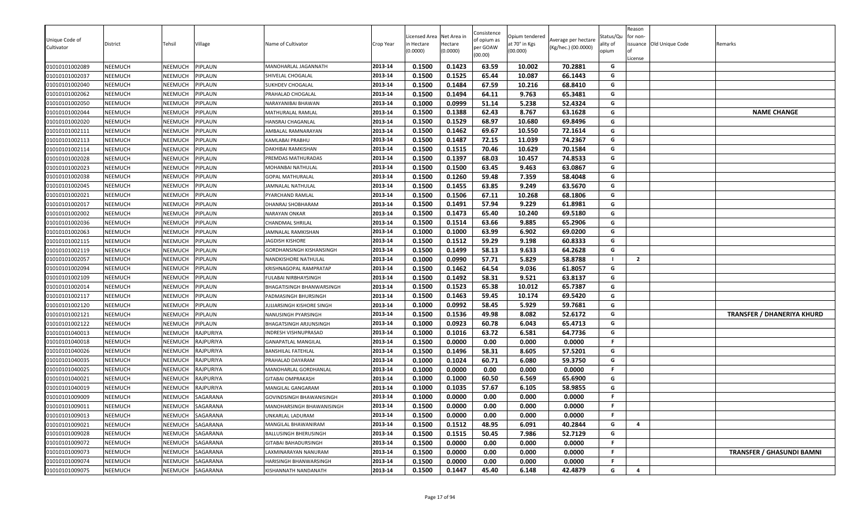| Unique Code of<br>Cultivator<br>01010101002089 | District<br>NEEMUCH | Tehsil<br>NEEMUCH  | Village<br>PIPLAUN | Name of Cultivator<br>MANOHARLAL JAGANNATH | Crop Year<br>2013-14 | Licensed Area<br>า Hectare<br>(0.0000)<br>0.1500 | Net Area in<br>Hectare<br>(0.0000)<br>0.1423 | Consistence<br>of opium as<br>per GOAW<br>(00.00)<br>63.59 | Opium tendered<br>at 70° in Kgs<br>(00.000)<br>10.002 | Average per hectare<br>(Kg/hec.) (00.0000)<br>70.2881 | Status/Qu<br>ality of<br>opium<br>G | Reason<br>for non-<br>License | issuance Old Unique Code | Remarks                           |
|------------------------------------------------|---------------------|--------------------|--------------------|--------------------------------------------|----------------------|--------------------------------------------------|----------------------------------------------|------------------------------------------------------------|-------------------------------------------------------|-------------------------------------------------------|-------------------------------------|-------------------------------|--------------------------|-----------------------------------|
|                                                |                     |                    |                    |                                            | 2013-14              | 0.1500                                           | 0.1525                                       | 65.44                                                      | 10.087                                                | 66.1443                                               | G                                   |                               |                          |                                   |
| 01010101002037<br>01010101002040               | NEEMUCH<br>NEEMUCH  | NEEMUCH<br>NEEMUCH | PIPLAUN<br>PIPLAUN | SHIVELAL CHOGALAL<br>SUKHDEV CHOGALAL      | 2013-14              | 0.1500                                           | 0.1484                                       | 67.59                                                      | 10.216                                                | 68.8410                                               | G                                   |                               |                          |                                   |
| 01010101002062                                 | NEEMUCH             | NEEMUCH            | PIPLAUN            | PRAHALAD CHOGALAL                          | 2013-14              | 0.1500                                           | 0.1494                                       | 64.11                                                      | 9.763                                                 | 65.3481                                               | G                                   |                               |                          |                                   |
| 01010101002050                                 | NEEMUCH             | NEEMUCH            | PIPLAUN            | NARAYANIBAI BHAWAN                         | 2013-14              | 0.1000                                           | 0.0999                                       | 51.14                                                      | 5.238                                                 | 52.4324                                               | G                                   |                               |                          |                                   |
| 01010101002044                                 | NEEMUCH             | NEEMUCH            | PIPLAUN            | MATHURALAL RAMLAL                          | 2013-14              | 0.1500                                           | 0.1388                                       | 62.43                                                      | 8.767                                                 | 63.1628                                               | G                                   |                               |                          | <b>NAME CHANGE</b>                |
| 01010101002020                                 | NEEMUCH             | NEEMUCH            | PIPLAUN            | HANSRAJ CHAGANLAL                          | 2013-14              | 0.1500                                           | 0.1529                                       | 68.97                                                      | 10.680                                                | 69.8496                                               | G                                   |                               |                          |                                   |
| 01010101002111                                 | NEEMUCH             | NEEMUCH            | PIPLAUN            | AMBALAL RAMNARAYAN                         | 2013-14              | 0.1500                                           | 0.1462                                       | 69.67                                                      | 10.550                                                | 72.1614                                               | G                                   |                               |                          |                                   |
| 01010101002113                                 | NEEMUCH             | NEEMUCH            | PIPLAUN            | KAMLABAI PRABHU                            | 2013-14              | 0.1500                                           | 0.1487                                       | 72.15                                                      | 11.039                                                | 74.2367                                               | G                                   |                               |                          |                                   |
| 01010101002114                                 | NEEMUCH             | NEEMUCH            | PIPLAUN            | DAKHIBAI RAMKISHAN                         | 2013-14              | 0.1500                                           | 0.1515                                       | 70.46                                                      | 10.629                                                | 70.1584                                               | G                                   |                               |                          |                                   |
| 01010101002028                                 | NEEMUCH             | NEEMUCH            | PIPLAUN            | PREMDAS MATHURADAS                         | 2013-14              | 0.1500                                           | 0.1397                                       | 68.03                                                      | 10.457                                                | 74.8533                                               | G                                   |                               |                          |                                   |
| 01010101002023                                 | <b>NEEMUCH</b>      | NEEMUCH            | PIPLAUN            | MOHANBAI NATHULAL                          | 2013-14              | 0.1500                                           | 0.1500                                       | 63.45                                                      | 9.463                                                 | 63.0867                                               | G                                   |                               |                          |                                   |
| 01010101002038                                 | NEEMUCH             | NEEMUCH            | PIPLAUN            | GOPAL MATHURALAL                           | 2013-14              | 0.1500                                           | 0.1260                                       | 59.48                                                      | 7.359                                                 | 58.4048                                               | G                                   |                               |                          |                                   |
| 01010101002045                                 | NEEMUCH             | NEEMUCH            | PIPLAUN            | AMNALAL NATHULAL                           | 2013-14              | 0.1500                                           | 0.1455                                       | 63.85                                                      | 9.249                                                 | 63.5670                                               | G                                   |                               |                          |                                   |
| 01010101002021                                 | NEEMUCH             | NEEMUCH            | PIPLAUN            | PYARCHAND RAMLAL                           | 2013-14              | 0.1500                                           | 0.1506                                       | 67.11                                                      | 10.268                                                | 68.1806                                               | G                                   |                               |                          |                                   |
| 01010101002017                                 | NEEMUCH             | NEEMUCH            | PIPLAUN            | DHANRAJ SHOBHARAM                          | 2013-14              | 0.1500                                           | 0.1491                                       | 57.94                                                      | 9.229                                                 | 61.8981                                               | G                                   |                               |                          |                                   |
| 01010101002002                                 | NEEMUCH             | NEEMUCH            | PIPLAUN            | NARAYAN ONKAR                              | 2013-14              | 0.1500                                           | 0.1473                                       | 65.40                                                      | 10.240                                                | 69.5180                                               | G                                   |                               |                          |                                   |
| 01010101002036                                 | NEEMUCH             | NEEMUCH            | PIPLAUN            | CHANDMAL SHRILAL                           | 2013-14              | 0.1500                                           | 0.1514                                       | 63.66                                                      | 9.885                                                 | 65.2906                                               | G                                   |                               |                          |                                   |
| 01010101002063                                 | NEEMUCH             | NEEMUCH            | PIPLAUN            | AMNALAL RAMKISHAN                          | 2013-14              | 0.1000                                           | 0.1000                                       | 63.99                                                      | 6.902                                                 | 69.0200                                               | G                                   |                               |                          |                                   |
| 01010101002115                                 | NEEMUCH             | NEEMUCH            | PIPLAUN            | JAGDISH KISHORE                            | 2013-14              | 0.1500                                           | 0.1512                                       | 59.29                                                      | 9.198                                                 | 60.8333                                               | G                                   |                               |                          |                                   |
| 01010101002119                                 | NEEMUCH             | NEEMUCH            | PIPLAUN            | GORDHANSINGH KISHANSINGH                   | 2013-14              | 0.1500                                           | 0.1499                                       | 58.13                                                      | 9.633                                                 | 64.2628                                               | G                                   |                               |                          |                                   |
| 01010101002057                                 | NEEMUCH             | NEEMUCH            | PIPLAUN            | NANDKISHORE NATHULAL                       | 2013-14              | 0.1000                                           | 0.0990                                       | 57.71                                                      | 5.829                                                 | 58.8788                                               | - 1                                 | $\overline{2}$                |                          |                                   |
| 01010101002094                                 | NEEMUCH             | NEEMUCH            | PIPLAUN            | KRISHNAGOPAL RAMPRATAP                     | 2013-14              | 0.1500                                           | 0.1462                                       | 64.54                                                      | 9.036                                                 | 61.8057                                               | G                                   |                               |                          |                                   |
| 01010101002109                                 | NEEMUCH             | NEEMUCH            | PIPLAUN            | FULABAI NIRBHAYSINGH                       | 2013-14              | 0.1500                                           | 0.1492                                       | 58.31                                                      | 9.521                                                 | 63.8137                                               | G                                   |                               |                          |                                   |
| 01010101002014                                 | <b>NEEMUCH</b>      | NEEMUCH            | PIPLAUN            | BHAGATISINGH BHANWARSINGH                  | 2013-14              | 0.1500                                           | 0.1523                                       | 65.38                                                      | 10.012                                                | 65.7387                                               | G                                   |                               |                          |                                   |
| 01010101002117                                 | NEEMUCH             | NEEMUCH            | PIPLAUN            | PADMASINGH BHURSINGH                       | 2013-14              | 0.1500                                           | 0.1463                                       | 59.45                                                      | 10.174                                                | 69.5420                                               | G                                   |                               |                          |                                   |
| 01010101002120                                 | NEEMUCH             | NEEMUCH            | PIPLAUN            | JUJJARSINGH KISHORE SINGH                  | 2013-14              | 0.1000                                           | 0.0992                                       | 58.45                                                      | 5.929                                                 | 59.7681                                               | G                                   |                               |                          |                                   |
| 01010101002121                                 | NEEMUCH             | NEEMUCH            | PIPLAUN            | NANUSINGH PYARSINGH                        | 2013-14              | 0.1500                                           | 0.1536                                       | 49.98                                                      | 8.082                                                 | 52.6172                                               | G                                   |                               |                          | <b>TRANSFER / DHANERIYA KHURD</b> |
| 01010101002122                                 | NEEMUCH             | NEEMUCH            | PIPLAUN            | BHAGATSINGH ARJUNSINGH                     | 2013-14              | 0.1000                                           | 0.0923                                       | 60.78                                                      | 6.043                                                 | 65.4713                                               | G                                   |                               |                          |                                   |
| 01010101040013                                 | NEEMUCH             | NEEMUCH            | RAJPURIYA          | NDRESH VISHNUPRASAD                        | 2013-14              | 0.1000                                           | 0.1016                                       | 63.72                                                      | 6.581                                                 | 64.7736                                               | G                                   |                               |                          |                                   |
| 01010101040018                                 | NEEMUCH             | NEEMUCH            | RAJPURIYA          | GANAPATLAL MANGILAL                        | 2013-14              | 0.1500                                           | 0.0000                                       | 0.00                                                       | 0.000                                                 | 0.0000                                                | F.                                  |                               |                          |                                   |
| 01010101040026                                 | NEEMUCH             | NEEMUCH            | RAJPURIYA          | BANSHILAL FATEHLAL                         | 2013-14              | 0.1500                                           | 0.1496                                       | 58.31                                                      | 8.605                                                 | 57.5201                                               | G                                   |                               |                          |                                   |
| 01010101040035                                 | NEEMUCH             | NEEMUCH            | <b>RAJPURIYA</b>   | PRAHALAD DAYARAM                           | 2013-14              | 0.1000                                           | 0.1024                                       | 60.71                                                      | 6.080                                                 | 59.3750                                               | G                                   |                               |                          |                                   |
| 01010101040025                                 | NEEMUCH             | NEEMUCH            | <b>RAJPURIYA</b>   | MANOHARLAL GORDHANLAL                      | 2013-14              | 0.1000                                           | 0.0000                                       | 0.00                                                       | 0.000                                                 | 0.0000                                                | F.                                  |                               |                          |                                   |
| 01010101040021                                 | NEEMUCH             | NEEMUCH            | RAJPURIYA          | GITABAI OMPRAKASH                          | 2013-14              | 0.1000                                           | 0.1000                                       | 60.50                                                      | 6.569                                                 | 65.6900                                               | G                                   |                               |                          |                                   |
| 01010101040019                                 | NEEMUCH             | NEEMUCH            | <b>RAJPURIYA</b>   | MANGILAL GANGARAM                          | 2013-14              | 0.1000                                           | 0.1035                                       | 57.67                                                      | 6.105                                                 | 58.9855                                               | G                                   |                               |                          |                                   |
| 01010101009009                                 | NEEMUCH             | <b>NEEMUCH</b>     | SAGARANA           | GOVINDSINGH BHAWANISINGH                   | 2013-14              | 0.1000                                           | 0.0000                                       | 0.00                                                       | 0.000                                                 | 0.0000                                                | F.                                  |                               |                          |                                   |
| 01010101009011                                 | NEEMUCH             | NEEMUCH            | SAGARANA           | MANOHARSINGH BHAWANISINGH                  | 2013-14              | 0.1500                                           | 0.0000                                       | 0.00                                                       | 0.000                                                 | 0.0000                                                | F.                                  |                               |                          |                                   |
| 01010101009013                                 | NEEMUCH             | NEEMUCH            | SAGARANA           | UNKARLAL LADURAM                           | 2013-14              | 0.1500                                           | 0.0000                                       | 0.00                                                       | 0.000                                                 | 0.0000                                                | F.                                  |                               |                          |                                   |
| 01010101009021                                 | NEEMUCH             | NEEMUCH            | SAGARANA           | MANGILAL BHAWANIRAM                        | 2013-14              | 0.1500                                           | 0.1512                                       | 48.95                                                      | 6.091                                                 | 40.2844                                               | G                                   | $\overline{4}$                |                          |                                   |
| 01010101009028                                 | NEEMUCH             | NEEMUCH            | SAGARANA           | BALLUSINGH BHERUSINGH                      | 2013-14              | 0.1500                                           | 0.1515                                       | 50.45                                                      | 7.986                                                 | 52.7129                                               | G                                   |                               |                          |                                   |
| 01010101009072                                 | NEEMUCH             | NEEMUCH            | SAGARANA           | GITABAI BAHADURSINGH                       | 2013-14              | 0.1500                                           | 0.0000                                       | 0.00                                                       | 0.000                                                 | 0.0000                                                | F                                   |                               |                          |                                   |
| 01010101009073                                 | NEEMUCH             | NEEMUCH            | SAGARANA           | LAXMINARAYAN NANURAM                       | 2013-14              | 0.1500                                           | 0.0000                                       | 0.00                                                       | 0.000                                                 | 0.0000                                                | F.                                  |                               |                          | <b>TRANSFER / GHASUNDI BAMNI</b>  |
| 01010101009074                                 | NEEMUCH             | NEEMUCH            | SAGARANA           | HARISINGH BHANWARSINGH                     | 2013-14              | 0.1500                                           | 0.0000                                       | 0.00                                                       | 0.000                                                 | 0.0000                                                | F                                   |                               |                          |                                   |
| 01010101009075                                 | NEEMUCH             | NEEMUCH            | SAGARANA           | KISHANNATH NANDANATH                       | 2013-14              | 0.1500                                           | 0.1447                                       | 45.40                                                      | 6.148                                                 | 42.4879                                               | G                                   | $\overline{\mathbf{4}}$       |                          |                                   |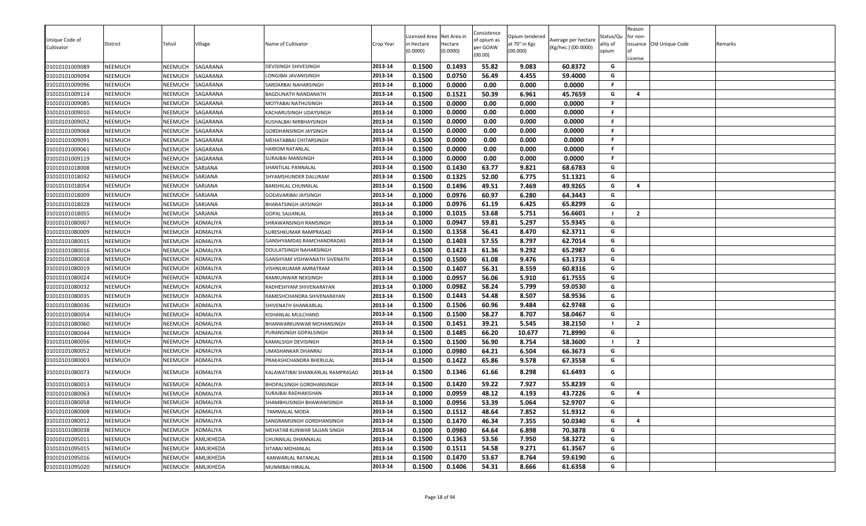|                |                |                |                 |                                  |           | icensed Area | Net Area in | Consistence         | Opium tendered |                     | Status/Qu      | eason<br>for non- |                          |         |
|----------------|----------------|----------------|-----------------|----------------------------------|-----------|--------------|-------------|---------------------|----------------|---------------------|----------------|-------------------|--------------------------|---------|
| Unique Code of | District       | Tehsil         | /illage         | Name of Cultivator               | Crop Year | n Hectare    | Hectare     | of opium as         | at 70° in Kgs  | Average per hectare | ality of       |                   | issuance Old Unique Code | Remarks |
| Cultivator     |                |                |                 |                                  |           | (0.0000)     | (0.0000)    | per GOAW<br>(00.00) | (00.000)       | (Kg/hec.) (00.0000) | opium          |                   |                          |         |
| 01010101009089 | <b>NEEMUCH</b> | NEEMUCH        | SAGARANA        | DEVISINGH SHIVESINGH             | 2013-14   | 0.1500       | 0.1493      | 55.82               | 9.083          | 60.8372             | G              | License           |                          |         |
| 01010101009094 | <b>NEEMUCH</b> | NEEMUCH        | SAGARANA        | LONGIBAI JAVANISINGH             | 2013-14   | 0.1500       | 0.0750      | 56.49               | 4.455          | 59.4000             | G              |                   |                          |         |
| 01010101009096 | <b>NEEMUCH</b> | <b>NEEMUCH</b> | SAGARANA        | SARDARBAI NAHARSINGH             | 2013-14   | 0.1000       | 0.0000      | 0.00                | 0.000          | 0.0000              | F.             |                   |                          |         |
| 01010101009114 | NEEMUCH        | NEEMUCH        | SAGARANA        | BAGDUNATH NANDANATH              | 2013-14   | 0.1500       | 0.1521      | 50.39               | 6.961          | 45.7659             | G              | $\overline{4}$    |                          |         |
| 01010101009085 | <b>NEEMUCH</b> | NEEMUCH        | SAGARANA        | MOTYABAI NATHUSINGH              | 2013-14   | 0.1500       | 0.0000      | 0.00                | 0.000          | 0.0000              | F              |                   |                          |         |
| 01010101009010 | <b>NEEMUCH</b> | NEEMUCH        | SAGARANA        | KACHARUSINGH UDAYSINGH           | 2013-14   | 0.1000       | 0.0000      | 0.00                | 0.000          | 0.0000              | F.             |                   |                          |         |
| 01010101009052 | <b>NEEMUCH</b> | NEEMUCH        | SAGARANA        | KUSHALBAI NIRBHAYSINGH           | 2013-14   | 0.1500       | 0.0000      | 0.00                | 0.000          | 0.0000              | F.             |                   |                          |         |
| 01010101009068 | <b>NEEMUCH</b> | <b>NEEMUCH</b> | SAGARANA        | GORDHANSINGH JAYSINGH            | 2013-14   | 0.1500       | 0.0000      | 0.00                | 0.000          | 0.0000              | F              |                   |                          |         |
| 01010101009091 | <b>NEEMUCH</b> | NEEMUCH        | SAGARANA        | MEHATABBAI CHITARSINGH           | 2013-14   | 0.1500       | 0.0000      | 0.00                | 0.000          | 0.0000              | F.             |                   |                          |         |
| 01010101009061 | <b>NEEMUCH</b> | <b>NEEMUCH</b> | SAGARANA        | <b>HARIOM RATANLAL</b>           | 2013-14   | 0.1500       | 0.0000      | 0.00                | 0.000          | 0.0000              | F              |                   |                          |         |
| 01010101009119 | <b>NEEMUCH</b> | <b>NEEMUCH</b> | SAGARANA        | SURAJBAI MANSINGH                | 2013-14   | 0.1000       | 0.0000      | 0.00                | 0.000          | 0.0000              | F.             |                   |                          |         |
| 01010101018008 | NEEMUCH        | NEEMUCH        | SARJANA         | SHANTILAL PANNALAL               | 2013-14   | 0.1500       | 0.1430      | 63.77               | 9.821          | 68.6783             | G              |                   |                          |         |
| 01010101018032 | <b>NEEMUCH</b> | NEEMUCH        | SARJANA         | SHYAMSHUNDER DALURAM             | 2013-14   | 0.1500       | 0.1325      | 52.00               | 6.775          | 51.1321             | G              |                   |                          |         |
| 01010101018054 | NEEMUCH        | NEEMUCH        | SARJANA         | BANSHILAL CHUNNILAL              | 2013-14   | 0.1500       | 0.1496      | 49.51               | 7.469          | 49.9265             | G              | $\overline{a}$    |                          |         |
| 01010101018009 | <b>NEEMUCH</b> | NEEMUCH        | SARJANA         | GODAVARIBAI JAYSINGH             | 2013-14   | 0.1000       | 0.0976      | 60.97               | 6.280          | 64.3443             | G              |                   |                          |         |
| 01010101018028 | <b>NEEMUCH</b> | NEEMUCH        | SARJANA         | BHARATSINGH JAYSINGH             | 2013-14   | 0.1000       | 0.0976      | 61.19               | 6.425          | 65.8299             | G              |                   |                          |         |
| 01010101018055 | <b>NEEMUCH</b> | NEEMUCH        | SARJANA         | <b>GOPAL SAJJANLAL</b>           | 2013-14   | 0.1000       | 0.1015      | 53.68               | 5.751          | 56.6601             | $\blacksquare$ | $\overline{2}$    |                          |         |
| 01010101080007 | <b>NEEMUCH</b> | NEEMUCH        | ADMALIYA        | SHRAWANSINGH RAMSINGH            | 2013-14   | 0.1000       | 0.0947      | 59.81               | 5.297          | 55.9345             | G              |                   |                          |         |
| 01010101080009 | <b>NEEMUCH</b> | <b>NEEMUCH</b> | <b>ADMALIYA</b> | SURESHKUMAR RAMPRASAD            | 2013-14   | 0.1500       | 0.1358      | 56.41               | 8.470          | 62.3711             | G              |                   |                          |         |
| 01010101080015 | NEEMUCH        | NEEMUCH        | ADMALIYA        | GANSHYAMDAS RAMCHANDRADAS        | 2013-14   | 0.1500       | 0.1403      | 57.55               | 8.797          | 62.7014             | G              |                   |                          |         |
| 01010101080016 | <b>NEEMUCH</b> | NEEMUCH        | <b>ADMALIYA</b> | DOULATSINGH NAHARSINGH           | 2013-14   | 0.1500       | 0.1423      | 61.36               | 9.292          | 65.2987             | G              |                   |                          |         |
| 01010101080018 | NEEMUCH        | NEEMUCH        | ADMALIYA        | GANSHYAM VISHWANATH SIVENATH     | 2013-14   | 0.1500       | 0.1500      | 61.08               | 9.476          | 63.1733             | G              |                   |                          |         |
| 01010101080019 | <b>NEEMUCH</b> | NEEMUCH        | <b>ADMALIYA</b> | VISHNUKUMAR AMRATRAM             | 2013-14   | 0.1500       | 0.1407      | 56.31               | 8.559          | 60.8316             | G              |                   |                          |         |
| 01010101080024 | <b>NEEMUCH</b> | <b>NEEMUCH</b> | ADMALIYA        | RAMKUNWAR NEKSINGH               | 2013-14   | 0.1000       | 0.0957      | 56.06               | 5.910          | 61.7555             | G              |                   |                          |         |
| 01010101080032 | <b>NEEMUCH</b> | NEEMUCH        | ADMALIYA        | RADHESHYAM SHIVENARAYAN          | 2013-14   | 0.1000       | 0.0982      | 58.24               | 5.799          | 59.0530             | G              |                   |                          |         |
| 01010101080035 | NEEMUCH        | <b>NEEMUCH</b> | ADMALIYA        | RAMESHCHANDRA SHIVENARAYAN       | 2013-14   | 0.1500       | 0.1443      | 54.48               | 8.507          | 58.9536             | G              |                   |                          |         |
| 01010101080036 | <b>NEEMUCH</b> | <b>NEEMUCH</b> | ADMALIYA        | SHIVENATH SHANKARLAL             | 2013-14   | 0.1500       | 0.1506      | 60.96               | 9.484          | 62.9748             | G              |                   |                          |         |
| 01010101080054 | NEEMUCH        | <b>NEEMUCH</b> | ADMALIYA        | KISHANLAL MULCHAND               | 2013-14   | 0.1500       | 0.1500      | 58.27               | 8.707          | 58.0467             | G              |                   |                          |         |
| 01010101080060 | NEEMUCH        | NEEMUCH        | ADMALIYA        | BHANWARKUNWAR MOHANSINGH         | 2013-14   | 0.1500       | 0.1451      | 39.21               | 5.545          | 38.2150             |                | $\overline{2}$    |                          |         |
| 01010101080044 | NEEMUCH        | NEEMUCH        | ADMALIYA        | PURANSINGH GOPALSINGH            | 2013-14   | 0.1500       | 0.1485      | 66.20               | 10.677         | 71.8990             | G              |                   |                          |         |
| 01010101080056 | <b>NEEMUCH</b> | NEEMUCH        | <b>ADMALIYA</b> | KAMALSIGH DEVISINGH              | 2013-14   | 0.1500       | 0.1500      | 56.90               | 8.754          | 58.3600             | - 1            | $\overline{2}$    |                          |         |
| 01010101080052 | <b>NEEMUCH</b> | NEEMUCH        | ADMALIYA        | UMASHANKAR DHANRAJ               | 2013-14   | 0.1000       | 0.0980      | 64.21               | 6.504          | 66.3673             | G              |                   |                          |         |
| 01010101080003 | <b>NEEMUCH</b> | NEEMUCH        | ADMALIYA        | PRAKASHCHANDRA BHERULAL          | 2013-14   | 0.1500       | 0.1422      | 65.86               | 9.578          | 67.3558             | G              |                   |                          |         |
| 01010101080073 | NEEMUCH        | NEEMUCH        | ADMALIYA        | KALAWATIBAI SHANKARLAL RAMPRASAD | 2013-14   | 0.1500       | 0.1346      | 61.66               | 8.298          | 61.6493             | G              |                   |                          |         |
| 01010101080013 | NEEMUCH        | NEEMUCH        | ADMALIYA        | BHOPALSINGH GORDHANSINGH         | 2013-14   | 0.1500       | 0.1420      | 59.22               | 7.927          | 55.8239             | G              |                   |                          |         |
| 01010101080063 | <b>NEEMUCH</b> | NEEMUCH        | ADMALIYA        | SURAJBAI RADHAKISHAN             | 2013-14   | 0.1000       | 0.0959      | 48.12               | 4.193          | 43.7226             | G              | 4                 |                          |         |
| 01010101080058 | <b>NEEMUCH</b> | NEEMUCH        | ADMALIYA        | SHAMBHUSINGH BHAWANISINGH        | 2013-14   | 0.1000       | 0.0956      | 53.39               | 5.064          | 52.9707             | G              |                   |                          |         |
| 01010101080008 | <b>NEEMUCH</b> | NEEMUCH        | ADMALIYA        | <b>TAMMALAL MODA</b>             | 2013-14   | 0.1500       | 0.1512      | 48.64               | 7.852          | 51.9312             | G              |                   |                          |         |
| 01010101080012 | <b>NEEMUCH</b> | NEEMUCH        | ADMALIYA        | SANGRAMSINGH GORDHANSINGH        | 2013-14   | 0.1500       | 0.1470      | 46.34               | 7.355          | 50.0340             | G              | $\overline{a}$    |                          |         |
| 01010101080038 | <b>NEEMUCH</b> | NEEMUCH        | ADMALIYA        | MEHATAB KUNWAR SAJJAN SINGH      | 2013-14   | 0.1000       | 0.0980      | 64.64               | 6.898          | 70.3878             | G              |                   |                          |         |
| 01010101095011 | <b>NEEMUCH</b> | NEEMUCH        | AMLIKHEDA       | CHUNNILAL DHANNALAL              | 2013-14   | 0.1500       | 0.1363      | 53.56               | 7.950          | 58.3272             | G              |                   |                          |         |
| 01010101095015 | <b>NEEMUCH</b> | NEEMUCH        | AMLIKHEDA       | SITABAI MOHANLAL                 | 2013-14   | 0.1500       | 0.1511      | 54.58               | 9.271          | 61.3567             | G              |                   |                          |         |
| 01010101095016 | <b>NEEMUCH</b> | NEEMUCH        | AMLIKHEDA       | KANWARLAL RATANLAI               | 2013-14   | 0.1500       | 0.1470      | 53.67               | 8.764          | 59.6190             | G              |                   |                          |         |
| 01010101095020 | <b>NEEMUCH</b> | NEEMUCH        | AMLIKHEDA       | MUNNIBAI HIRALAL                 | 2013-14   | 0.1500       | 0.1406      | 54.31               | 8.666          | 61.6358             | G              |                   |                          |         |
|                |                |                |                 |                                  |           |              |             |                     |                |                     |                |                   |                          |         |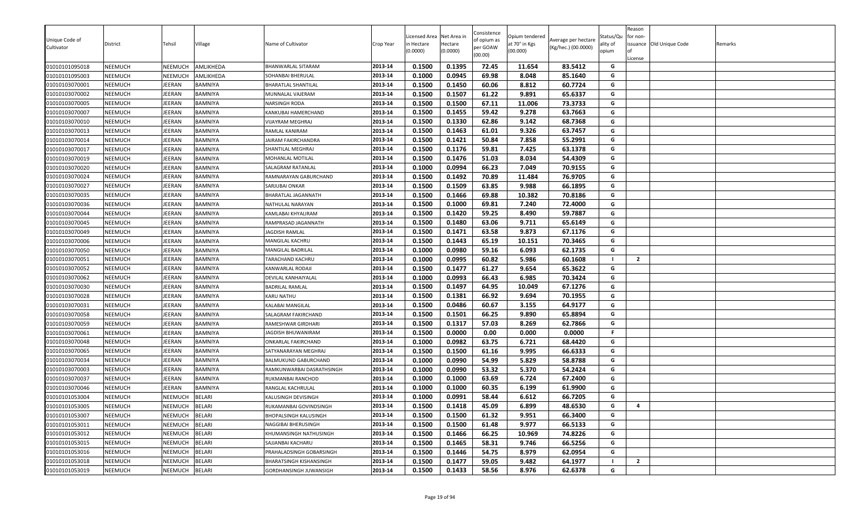| Unique Code of |                |               |                |                            |           | icensed Area | Net Area in | Consistence<br>of opium as | Opium tendered | Average per hectare | Status/Qu | Reason<br>for non- |                          |         |
|----------------|----------------|---------------|----------------|----------------------------|-----------|--------------|-------------|----------------------------|----------------|---------------------|-----------|--------------------|--------------------------|---------|
| Cultivator     | District       | Tehsil        | <b>Village</b> | Name of Cultivator         | Crop Year | n Hectare    | Hectare     | per GOAW                   | at 70° in Kgs  | (Kg/hec.) (00.0000) | ality of  |                    | issuance Old Unique Code | Remarks |
|                |                |               |                |                            |           | (0.0000)     | (0.0000)    | (00.00)                    | (00.000)       |                     | opium     | License            |                          |         |
| 01010101095018 | <b>NEEMUCH</b> | NEEMUCH       | AMLIKHEDA      | BHANWARLAL SITARAM         | 2013-14   | 0.1500       | 0.1395      | 72.45                      | 11.654         | 83.5412             | G         |                    |                          |         |
| 01010101095003 | <b>NEEMUCH</b> | NEEMUCH       | AMLIKHEDA      | SOHANBAI BHERULAL          | 2013-14   | 0.1000       | 0.0945      | 69.98                      | 8.048          | 85.1640             | G         |                    |                          |         |
| 01010103070001 | <b>NEEMUCH</b> | JEERAN        | <b>BAMNIYA</b> | <b>BHARATLAL SHANTILAL</b> | 2013-14   | 0.1500       | 0.1450      | 60.06                      | 8.812          | 60.7724             | G         |                    |                          |         |
| 01010103070002 | <b>NEEMUCH</b> | JEERAN        | <b>BAMNIYA</b> | MUNNALAL VAJERAM           | 2013-14   | 0.1500       | 0.1507      | 61.22                      | 9.891          | 65.6337             | G         |                    |                          |         |
| 01010103070005 | NEEMUCH        | JEERAN        | <b>BAMNIYA</b> | NARSINGH RODA              | 2013-14   | 0.1500       | 0.1500      | 67.11                      | 11.006         | 73.3733             | G         |                    |                          |         |
| 01010103070007 | <b>NEEMUCH</b> | <b>JEERAN</b> | <b>BAMNIYA</b> | KANKUBAI HAMERCHAND        | 2013-14   | 0.1500       | 0.1455      | 59.42                      | 9.278          | 63.7663             | G         |                    |                          |         |
| 01010103070010 | <b>NEEMUCH</b> | JEERAN        | <b>BAMNIYA</b> | VIJAYRAM MEGHRAJ           | 2013-14   | 0.1500       | 0.1330      | 62.86                      | 9.142          | 68.7368             | G         |                    |                          |         |
| 01010103070013 | <b>NEEMUCH</b> | JEERAN        | <b>BAMNIYA</b> | RAMLAL KANIRAM             | 2013-14   | 0.1500       | 0.1463      | 61.01                      | 9.326          | 63.7457             | G         |                    |                          |         |
| 01010103070014 | <b>NEEMUCH</b> | JEERAN        | BAMNIYA        | JAIRAM FAKIRCHANDRA        | 2013-14   | 0.1500       | 0.1421      | 50.84                      | 7.858          | 55.2991             | G         |                    |                          |         |
| 01010103070017 | <b>NEEMUCH</b> | JEERAN        | <b>BAMNIYA</b> | SHANTILAL MEGHRAJ          | 2013-14   | 0.1500       | 0.1176      | 59.81                      | 7.425          | 63.1378             | G         |                    |                          |         |
| 01010103070019 | <b>NEEMUCH</b> | JEERAN        | <b>BAMNIYA</b> | MOHANLAL MOTILAL           | 2013-14   | 0.1500       | 0.1476      | 51.03                      | 8.034          | 54.4309             | G         |                    |                          |         |
| 01010103070020 | <b>NEEMUCH</b> | JEERAN        | BAMNIYA        | SALAGRAM RATANLAL          | 2013-14   | 0.1000       | 0.0994      | 66.23                      | 7.049          | 70.9155             | G         |                    |                          |         |
| 01010103070024 | NEEMUCH        | <b>JEERAN</b> | BAMNIYA        | RAMNARAYAN GABURCHAND      | 2013-14   | 0.1500       | 0.1492      | 70.89                      | 11.484         | 76.9705             | G         |                    |                          |         |
| 01010103070027 | <b>NEEMUCH</b> | JEERAN        | <b>BAMNIYA</b> | SARJUBAI ONKAR             | 2013-14   | 0.1500       | 0.1509      | 63.85                      | 9.988          | 66.1895             | G         |                    |                          |         |
| 01010103070035 | <b>NEEMUCH</b> | <b>JEERAN</b> | <b>BAMNIYA</b> | BHARATLAL JAGANNATH        | 2013-14   | 0.1500       | 0.1466      | 69.88                      | 10.382         | 70.8186             | G         |                    |                          |         |
| 01010103070036 | <b>NEEMUCH</b> | JEERAN        | BAMNIYA        | NATHULAL NARAYAN           | 2013-14   | 0.1500       | 0.1000      | 69.81                      | 7.240          | 72.4000             | G         |                    |                          |         |
| 01010103070044 | <b>NEEMUCH</b> | JEERAN        | <b>BAMNIYA</b> | KAMLABAI KHYALIRAM         | 2013-14   | 0.1500       | 0.1420      | 59.25                      | 8.490          | 59.7887             | G         |                    |                          |         |
| 01010103070045 | <b>NEEMUCH</b> | <b>JEERAN</b> | <b>BAMNIYA</b> | RAMPRASAD JAGANNATH        | 2013-14   | 0.1500       | 0.1480      | 63.06                      | 9.711          | 65.6149             | G         |                    |                          |         |
| 01010103070049 | <b>NEEMUCH</b> | JEERAN        | <b>BAMNIYA</b> | JAGDISH RAMLAL             | 2013-14   | 0.1500       | 0.1471      | 63.58                      | 9.873          | 67.1176             | G         |                    |                          |         |
| 01010103070006 | NEEMUCH        | JEERAN        | <b>BAMNIYA</b> | MANGILAL KACHRU            | 2013-14   | 0.1500       | 0.1443      | 65.19                      | 10.151         | 70.3465             | G         |                    |                          |         |
| 01010103070050 | <b>NEEMUCH</b> | JEERAN        | BAMNIYA        | MANGILAL BADRILAL          | 2013-14   | 0.1000       | 0.0980      | 59.16                      | 6.093          | 62.1735             | G         |                    |                          |         |
| 01010103070051 | <b>NEEMUCH</b> | JEERAN        | <b>BAMNIYA</b> | TARACHAND KACHRU           | 2013-14   | 0.1000       | 0.0995      | 60.82                      | 5.986          | 60.1608             | - 1       | $\overline{2}$     |                          |         |
| 01010103070052 | NEEMUCH        | JEERAN        | <b>BAMNIYA</b> | KANWARLAL RODAJI           | 2013-14   | 0.1500       | 0.1477      | 61.27                      | 9.654          | 65.3622             | G         |                    |                          |         |
| 01010103070062 | <b>NEEMUCH</b> | JEERAN        | <b>BAMNIYA</b> | DEVILAL KANHAIYALAL        | 2013-14   | 0.1000       | 0.0993      | 66.43                      | 6.985          | 70.3424             | G         |                    |                          |         |
| 01010103070030 | <b>NEEMUCH</b> | JEERAN        | BAMNIYA        | <b>BADRILAL RAMLAL</b>     | 2013-14   | 0.1500       | 0.1497      | 64.95                      | 10.049         | 67.1276             | G         |                    |                          |         |
| 01010103070028 | <b>NEEMUCH</b> | JEERAN        | <b>BAMNIYA</b> | KARU NATHU                 | 2013-14   | 0.1500       | 0.1381      | 66.92                      | 9.694          | 70.1955             | G         |                    |                          |         |
| 01010103070031 | <b>NEEMUCH</b> | JEERAN        | <b>BAMNIYA</b> | KALABAI MANGILAL           | 2013-14   | 0.1500       | 0.0486      | 60.67                      | 3.155          | 64.9177             | G         |                    |                          |         |
| 01010103070058 | NEEMUCH        | JEERAN        | <b>BAMNIYA</b> | SALAGRAM FAKIRCHAND        | 2013-14   | 0.1500       | 0.1501      | 66.25                      | 9.890          | 65.8894             | G         |                    |                          |         |
| 01010103070059 | NEEMUCH        | JEERAN        | <b>BAMNIYA</b> | RAMESHWAR GIRDHARI         | 2013-14   | 0.1500       | 0.1317      | 57.03                      | 8.269          | 62.7866             | G         |                    |                          |         |
| 01010103070061 | <b>NEEMUCH</b> | JEERAN        | BAMNIYA        | JAGDISH BHUWANIRAM         | 2013-14   | 0.1500       | 0.0000      | 0.00                       | 0.000          | 0.0000              | .F        |                    |                          |         |
| 01010103070048 | <b>NEEMUCH</b> | JEERAN        | <b>BAMNIYA</b> | ONKARLAL FAKIRCHAND        | 2013-14   | 0.1000       | 0.0982      | 63.75                      | 6.721          | 68.4420             | G         |                    |                          |         |
| 01010103070065 | <b>NEEMUCH</b> | JEERAN        | <b>BAMNIYA</b> | SATYANARAYAN MEGHRAJ       | 2013-14   | 0.1500       | 0.1500      | 61.16                      | 9.995          | 66.6333             | G         |                    |                          |         |
| 01010103070034 | <b>NEEMUCH</b> | JEERAN        | <b>BAMNIYA</b> | BALMUKUND GABURCHAND       | 2013-14   | 0.1000       | 0.0990      | 54.99                      | 5.829          | 58.8788             | G         |                    |                          |         |
| 01010103070003 | <b>NEEMUCH</b> | JEERAN        | <b>BAMNIYA</b> | RAMKUNWARBAI DASRATHSINGH  | 2013-14   | 0.1000       | 0.0990      | 53.32                      | 5.370          | 54.2424             | G         |                    |                          |         |
| 01010103070037 | <b>NEEMUCH</b> | JEERAN        | <b>BAMNIYA</b> | RUKMANBAI RANCHOD          | 2013-14   | 0.1000       | 0.1000      | 63.69                      | 6.724          | 67.2400             | G         |                    |                          |         |
| 01010103070046 | NEEMUCH        | JEERAN        | <b>BAMNIYA</b> | RANGLAL KACHRULAL          | 2013-14   | 0.1000       | 0.1000      | 60.35                      | 6.199          | 61.9900             | G         |                    |                          |         |
| 01010101053004 | NEEMUCH        | NEEMUCH       | <b>BELARI</b>  | KALUSINGH DEVISINGH        | 2013-14   | 0.1000       | 0.0991      | 58.44                      | 6.612          | 66.7205             | G         |                    |                          |         |
| 01010101053005 | <b>NEEMUCH</b> | NEEMUCH       | <b>BELARI</b>  | RUKAMANBAI GOVINDSINGH     | 2013-14   | 0.1500       | 0.1418      | 45.09                      | 6.899          | 48.6530             | G         | $\overline{a}$     |                          |         |
| 01010101053007 | <b>NEEMUCH</b> | NEEMUCH       | <b>BELARI</b>  | BHOPALSINGH KALUSINGH      | 2013-14   | 0.1500       | 0.1500      | 61.32                      | 9.951          | 66.3400             | G         |                    |                          |         |
| 01010101053011 | <b>NEEMUCH</b> | NEEMUCH       | <b>BELARI</b>  | NAGGIBAI BHERUSINGH        | 2013-14   | 0.1500       | 0.1500      | 61.48                      | 9.977          | 66.5133             | G         |                    |                          |         |
| 01010101053012 | <b>NEEMUCH</b> | NEEMUCH       | <b>BELARI</b>  | KHUMANSINGH NATHUSINGH     | 2013-14   | 0.1500       | 0.1466      | 66.25                      | 10.969         | 74.8226             | G         |                    |                          |         |
| 01010101053015 | <b>NEEMUCH</b> | NEEMUCH       | <b>BELARI</b>  | SAJJANBAI KACHARU          | 2013-14   | 0.1500       | 0.1465      | 58.31                      | 9.746          | 66.5256             | G         |                    |                          |         |
| 01010101053016 | <b>NEEMUCH</b> | NEEMUCH       | <b>BELARI</b>  | PRAHALADSINGH GOBARSINGH   | 2013-14   | 0.1500       | 0.1446      | 54.75                      | 8.979          | 62.0954             | G         |                    |                          |         |
| 01010101053018 | <b>NEEMUCH</b> | NEEMUCH       | <b>BELARI</b>  | BHARATSINGH KISHANSINGH    | 2013-14   | 0.1500       | 0.1477      | 59.05                      | 9.482          | 64.1977             |           | $\overline{2}$     |                          |         |
| 01010101053019 | <b>NEEMUCH</b> | NEEMUCH       | <b>BELARI</b>  | GORDHANSINGH JUWANSIGH     | 2013-14   | 0.1500       | 0.1433      | 58.56                      | 8.976          | 62.6378             | G         |                    |                          |         |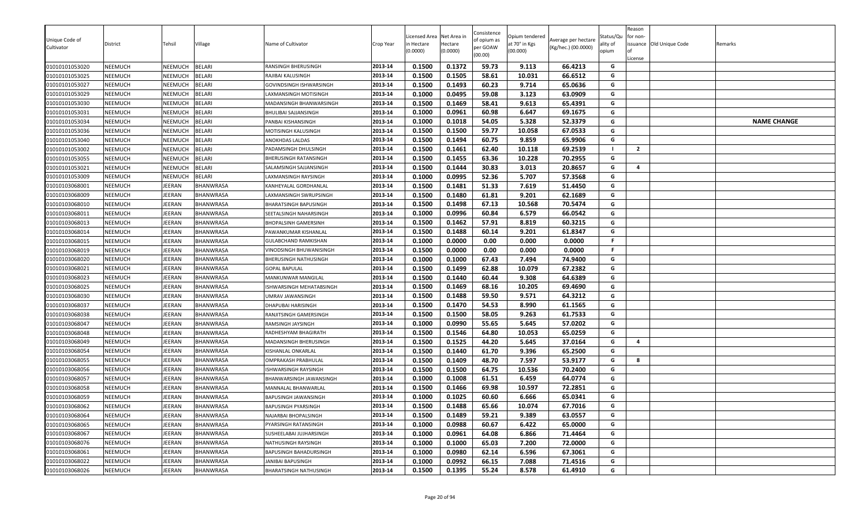| Unique Code of<br>Cultivator<br>01010101053020 | District<br>NEEMUCH | Tehsil<br>NEEMUCH  | Village<br><b>BELARI</b> | Name of Cultivator                           | Crop Year<br>2013-14 | Licensed Area<br>ነ Hectare<br>(0.0000)<br>0.1500 | Net Area in<br>Hectare<br>(0.0000)<br>0.1372 | Consistence<br>of opium as<br>per GOAW<br>(00.00)<br>59.73 | Opium tendered<br>at 70° in Kgs<br>(00.000)<br>9.113 | Average per hectare<br>(Kg/hec.) (00.0000)<br>66.4213 | Status/Qu<br>ality of<br>opium<br>G | Reason<br>for non-<br>License | issuance Old Unique Code | Remarks            |
|------------------------------------------------|---------------------|--------------------|--------------------------|----------------------------------------------|----------------------|--------------------------------------------------|----------------------------------------------|------------------------------------------------------------|------------------------------------------------------|-------------------------------------------------------|-------------------------------------|-------------------------------|--------------------------|--------------------|
|                                                |                     |                    | <b>BELARI</b>            | RANSINGH BHERUSINGH                          | 2013-14              | 0.1500                                           | 0.1505                                       | 58.61                                                      | 10.031                                               | 66.6512                                               | G                                   |                               |                          |                    |
| 01010101053025<br>01010101053027               | NEEMUCH<br>NEEMUCH  | NEEMUCH<br>NEEMUCH | <b>BELARI</b>            | RAJIBAI KALUSINGH<br>GOVINDSINGH ISHWARSINGH | 2013-14              | 0.1500                                           | 0.1493                                       | 60.23                                                      | 9.714                                                | 65.0636                                               | G                                   |                               |                          |                    |
| 01010101053029                                 | NEEMUCH             | NEEMUCH            | <b>BELARI</b>            | LAXMANSINGH MOTISINGH                        | 2013-14              | 0.1000                                           | 0.0495                                       | 59.08                                                      | 3.123                                                | 63.0909                                               | G                                   |                               |                          |                    |
| 01010101053030                                 | NEEMUCH             | NEEMUCH            | <b>BELARI</b>            | MADANSINGH BHANWARSINGH                      | 2013-14              | 0.1500                                           | 0.1469                                       | 58.41                                                      | 9.613                                                | 65.4391                                               | G                                   |                               |                          |                    |
| 01010101053031                                 | NEEMUCH             | NEEMUCH            | <b>BELARI</b>            | BHULIBAI SAJJANSINGH                         | 2013-14              | 0.1000                                           | 0.0961                                       | 60.98                                                      | 6.647                                                | 69.1675                                               | G                                   |                               |                          |                    |
| 01010101053034                                 | NEEMUCH             | NEEMUCH            | <b>BELARI</b>            | PANBAI KISHANSINGH                           | 2013-14              | 0.1000                                           | 0.1018                                       | 54.05                                                      | 5.328                                                | 52.3379                                               | G                                   |                               |                          | <b>NAME CHANGE</b> |
| 01010101053036                                 | NEEMUCH             | NEEMUCH            | <b>BELARI</b>            | MOTISINGH KALUSINGH                          | 2013-14              | 0.1500                                           | 0.1500                                       | 59.77                                                      | 10.058                                               | 67.0533                                               | G                                   |                               |                          |                    |
| 01010101053040                                 | NEEMUCH             | NEEMUCH            | <b>BELARI</b>            | ANOKHDAS LALDAS                              | 2013-14              | 0.1500                                           | 0.1494                                       | 60.75                                                      | 9.859                                                | 65.9906                                               | G                                   |                               |                          |                    |
| 01010101053002                                 | NEEMUCH             | NEEMUCH            | <b>BELARI</b>            | PADAMSINGH DHULSINGH                         | 2013-14              | 0.1500                                           | 0.1461                                       | 62.40                                                      | 10.118                                               | 69.2539                                               | - 1                                 | $\overline{2}$                |                          |                    |
| 01010101053055                                 | NEEMUCH             | NEEMUCH            | <b>BELARI</b>            | BHERUSINGH RATANSINGH                        | 2013-14              | 0.1500                                           | 0.1455                                       | 63.36                                                      | 10.228                                               | 70.2955                                               | G                                   |                               |                          |                    |
| 01010101053021                                 | NEEMUCH             | NEEMUCH            | <b>BELARI</b>            | SALAMSINGH SAJJANSINGH                       | 2013-14              | 0.1500                                           | 0.1444                                       | 30.83                                                      | 3.013                                                | 20.8657                                               | G                                   | $\overline{a}$                |                          |                    |
| 01010101053009                                 | NEEMUCH             | NEEMUCH            | BELARI                   | LAXMANSINGH RAYSINGH                         | 2013-14              | 0.1000                                           | 0.0995                                       | 52.36                                                      | 5.707                                                | 57.3568                                               | G                                   |                               |                          |                    |
| 01010103068001                                 | NEEMUCH             | IEERAN             | BHANWRASA                | KANHEYALAL GORDHANLAL                        | 2013-14              | 0.1500                                           | 0.1481                                       | 51.33                                                      | 7.619                                                | 51.4450                                               | G                                   |                               |                          |                    |
| 01010103068009                                 | NEEMUCH             | IEERAN             | BHANWRASA                | LAXMANSINGH SWRUPSINGH                       | 2013-14              | 0.1500                                           | 0.1480                                       | 61.81                                                      | 9.201                                                | 62.1689                                               | G                                   |                               |                          |                    |
| 01010103068010                                 | NEEMUCH             | EERAN              | BHANWRASA                | BHARATSINGH BAPUSINGH                        | 2013-14              | 0.1500                                           | 0.1498                                       | 67.13                                                      | 10.568                                               | 70.5474                                               | G                                   |                               |                          |                    |
| 01010103068011                                 | NEEMUCH             | JEERAN             | BHANWRASA                | SEETALSINGH NAHARSINGH                       | 2013-14              | 0.1000                                           | 0.0996                                       | 60.84                                                      | 6.579                                                | 66.0542                                               | G                                   |                               |                          |                    |
| 01010103068013                                 | NEEMUCH             | JEERAN             | BHANWRASA                | <b>BHOPALSINH GAMERSINH</b>                  | 2013-14              | 0.1500                                           | 0.1462                                       | 57.91                                                      | 8.819                                                | 60.3215                                               | G                                   |                               |                          |                    |
| 01010103068014                                 | NEEMUCH             | <b>IEERAN</b>      | <b>BHANWRASA</b>         | PAWANKUMAR KISHANLAL                         | 2013-14              | 0.1500                                           | 0.1488                                       | 60.14                                                      | 9.201                                                | 61.8347                                               | G                                   |                               |                          |                    |
| 01010103068015                                 | NEEMUCH             | IEERAN             | BHANWRASA                | GULABCHAND RAMKISHAN                         | 2013-14              | 0.1000                                           | 0.0000                                       | 0.00                                                       | 0.000                                                | 0.0000                                                | F.                                  |                               |                          |                    |
| 01010103068019                                 | NEEMUCH             | JEERAN             | BHANWRASA                | VINODSINGH BHUWANISINGH                      | 2013-14              | 0.1500                                           | 0.0000                                       | 0.00                                                       | 0.000                                                | 0.0000                                                | F.                                  |                               |                          |                    |
| 01010103068020                                 | NEEMUCH             | JEERAN             | BHANWRASA                | BHERUSINGH NATHUSINGH                        | 2013-14              | 0.1000                                           | 0.1000                                       | 67.43                                                      | 7.494                                                | 74.9400                                               | G                                   |                               |                          |                    |
| 01010103068021                                 | NEEMUCH             | JEERAN             | BHANWRASA                | GOPAL BAPULAL                                | 2013-14              | 0.1500                                           | 0.1499                                       | 62.88                                                      | 10.079                                               | 67.2382                                               | G                                   |                               |                          |                    |
| 01010103068023                                 | NEEMUCH             | <b>IEERAN</b>      | BHANWRASA                | MANKUNWAR MANGILAL                           | 2013-14              | 0.1500                                           | 0.1440                                       | 60.44                                                      | 9.308                                                | 64.6389                                               | G                                   |                               |                          |                    |
| 01010103068025                                 | NEEMUCH             | IEERAN             | BHANWRASA                | ISHWARSINGH MEHATABSINGH                     | 2013-14              | 0.1500                                           | 0.1469                                       | 68.16                                                      | 10.205                                               | 69.4690                                               | G                                   |                               |                          |                    |
| 01010103068030                                 | NEEMUCH             | JEERAN             | BHANWRASA                | UMRAV JAWANSINGH                             | 2013-14              | 0.1500                                           | 0.1488                                       | 59.50                                                      | 9.571                                                | 64.3212                                               | G                                   |                               |                          |                    |
| 01010103068037                                 | NEEMUCH             | IEERAN             | BHANWRASA                | DHAPUBAI HARISINGH                           | 2013-14              | 0.1500                                           | 0.1470                                       | 54.53                                                      | 8.990                                                | 61.1565                                               | G                                   |                               |                          |                    |
| 01010103068038                                 | NEEMUCH             | JEERAN             | BHANWRASA                | RANJITSINGH GAMERSINGH                       | 2013-14              | 0.1500                                           | 0.1500                                       | 58.05                                                      | 9.263                                                | 61.7533                                               | G                                   |                               |                          |                    |
| 01010103068047                                 | NEEMUCH             | IEERAN             | BHANWRASA                | RAMSINGH JAYSINGH                            | 2013-14              | 0.1000                                           | 0.0990                                       | 55.65                                                      | 5.645                                                | 57.0202                                               | G                                   |                               |                          |                    |
| 01010103068048                                 | NEEMUCH             | <b>IEERAN</b>      | BHANWRASA                | RADHESHYAM BHAGIRATH                         | 2013-14              | 0.1500                                           | 0.1546                                       | 64.80                                                      | 10.053                                               | 65.0259                                               | G                                   |                               |                          |                    |
| 01010103068049                                 | NEEMUCH             | JEERAN             | BHANWRASA                | MADANSINGH BHERUSINGH                        | 2013-14              | 0.1500                                           | 0.1525                                       | 44.20                                                      | 5.645                                                | 37.0164                                               | G                                   | $\overline{4}$                |                          |                    |
| 01010103068054                                 | NEEMUCH             | IEERAN             | BHANWRASA                | KISHANLAL ONKARLAL                           | 2013-14              | 0.1500                                           | 0.1440                                       | 61.70                                                      | 9.396                                                | 65.2500                                               | G                                   |                               |                          |                    |
| 01010103068055                                 | NEEMUCH             | <b>IEERAN</b>      | <b>BHANWRASA</b>         | OMPRAKASH PRABHULAL                          | 2013-14              | 0.1500                                           | 0.1409                                       | 48.70                                                      | 7.597                                                | 53.9177                                               | G                                   | 8                             |                          |                    |
| 01010103068056                                 | NEEMUCH             | IEERAN             | BHANWRASA                | ISHWARSINGH RAYSINGH                         | 2013-14              | 0.1500                                           | 0.1500                                       | 64.75                                                      | 10.536                                               | 70.2400                                               | G                                   |                               |                          |                    |
| 01010103068057                                 | NEEMUCH             | JEERAN             | BHANWRASA                | BHANWARSINGH JAWANSINGH                      | 2013-14              | 0.1000                                           | 0.1008                                       | 61.51                                                      | 6.459                                                | 64.0774                                               | G                                   |                               |                          |                    |
| 01010103068058                                 | NEEMUCH             | <b>IEERAN</b>      | BHANWRASA                | MANNALAL BHANWARLAL                          | 2013-14              | 0.1500                                           | 0.1466                                       | 69.98                                                      | 10.597                                               | 72.2851                                               | G                                   |                               |                          |                    |
| 01010103068059                                 | NEEMUCH             | <b>IEERAN</b>      | BHANWRASA                | <b>BAPUSINGH JAWANSINGH</b>                  | 2013-14              | 0.1000                                           | 0.1025                                       | 60.60                                                      | 6.666                                                | 65.0341                                               | G                                   |                               |                          |                    |
| 01010103068062                                 | NEEMUCH             | JEERAN             | <b>BHANWRASA</b>         | <b>BAPUSINGH PYARSINGH</b>                   | 2013-14              | 0.1500                                           | 0.1488                                       | 65.66                                                      | 10.074                                               | 67.7016                                               | G                                   |                               |                          |                    |
| 01010103068064                                 | NEEMUCH             | JEERAN             | <b>BHANWRASA</b>         | NAJARBAI BHOPALSINGH                         | 2013-14              | 0.1500                                           | 0.1489                                       | 59.21                                                      | 9.389                                                | 63.0557                                               | G                                   |                               |                          |                    |
| 01010103068065                                 | NEEMUCH             | JEERAN             | BHANWRASA                | PYARSINGH RATANSINGH                         | 2013-14              | 0.1000                                           | 0.0988                                       | 60.67                                                      | 6.422                                                | 65.0000                                               | G                                   |                               |                          |                    |
| 01010103068067                                 | NEEMUCH             | JEERAN             | BHANWRASA                | SUSHEELABAI JUJHARSINGH                      | 2013-14              | 0.1000                                           | 0.0961                                       | 64.08                                                      | 6.866                                                | 71.4464                                               | G                                   |                               |                          |                    |
| 01010103068076                                 | NEEMUCH             | <b>IEERAN</b>      | BHANWRASA                | NATHUSINGH RAYSINGH                          | 2013-14              | 0.1000                                           | 0.1000                                       | 65.03                                                      | 7.200                                                | 72.0000                                               | G                                   |                               |                          |                    |
| 01010103068061                                 | NEEMUCH             | IEERAN             | BHANWRASA                | BAPUSINGH BAHADURSINGH                       | 2013-14              | 0.1000                                           | 0.0980                                       | 62.14                                                      | 6.596                                                | 67.3061                                               | G                                   |                               |                          |                    |
| 01010103068022                                 | NEEMUCH             | JEERAN             | BHANWRASA                | JANIBAI BAPUSINGH                            | 2013-14              | 0.1000                                           | 0.0992                                       | 66.15                                                      | 7.088                                                | 71.4516                                               | G                                   |                               |                          |                    |
| 01010103068026                                 | NEEMUCH             | JEERAN             | BHANWRASA                | BHARATSINGH NATHUSINGH                       | 2013-14              | 0.1500                                           | 0.1395                                       | 55.24                                                      | 8.578                                                | 61.4910                                               | G                                   |                               |                          |                    |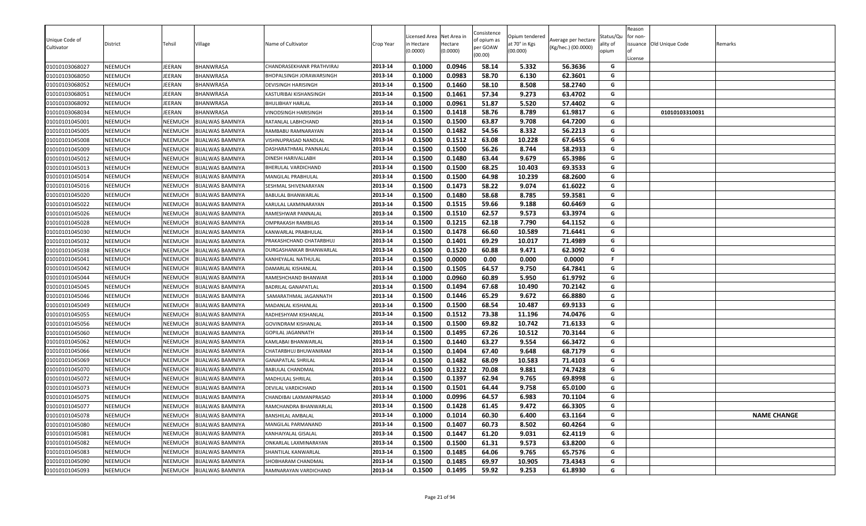| Unique Code of<br>Cultivator | District       | Tehsil  | Village                 | Name of Cultivator         | Crop Year | icensed Area<br>n Hectare<br>0.0000) | Net Area in<br>Hectare<br>(0.0000) | Consistence<br>of opium as<br>per GOAW<br>(00.00) | Opium tendered<br>at 70° in Kgs<br>(00.000) | Average per hectare<br>(Kg/hec.) (00.0000) | Status/Qu<br>ality of<br>opium | Reason<br>for non-<br>License | issuance Old Unique Code | Remarks            |
|------------------------------|----------------|---------|-------------------------|----------------------------|-----------|--------------------------------------|------------------------------------|---------------------------------------------------|---------------------------------------------|--------------------------------------------|--------------------------------|-------------------------------|--------------------------|--------------------|
| 01010103068027               | NEEMUCH        | EERAN   | BHANWRASA               | CHANDRASEKHANR PRATHVIRAJ  | 2013-14   | 0.1000                               | 0.0946                             | 58.14                                             | 5.332                                       | 56.3636                                    | G                              |                               |                          |                    |
| 01010103068050               | <b>NEEMUCH</b> | EERAN   | <b>BHANWRASA</b>        | BHOPALSINGH JORAWARSINGH   | 2013-14   | 0.1000                               | 0.0983                             | 58.70                                             | 6.130                                       | 62.3601                                    | G                              |                               |                          |                    |
| 01010103068052               | NEEMUCH        | IEERAN  | BHANWRASA               | <b>DEVISINGH HARISINGH</b> | 2013-14   | 0.1500                               | 0.1460                             | 58.10                                             | 8.508                                       | 58.2740                                    | G                              |                               |                          |                    |
| 01010103068051               | NEEMUCH        | IEERAN  | BHANWRASA               | KASTURIBAI KISHANSINGH     | 2013-14   | 0.1500                               | 0.1461                             | 57.34                                             | 9.273                                       | 63.4702                                    | G                              |                               |                          |                    |
| 01010103068092               | NEEMUCH        | EERAN   | BHANWRASA               | BHULIBHAY HARLAL           | 2013-14   | 0.1000                               | 0.0961                             | 51.87                                             | 5.520                                       | 57.4402                                    | G                              |                               |                          |                    |
| 01010103068034               | NEEMUCH        | EERAN   | <b>BHANWRASA</b>        | VINODSINGH HARISINGH       | 2013-14   | 0.1500                               | 0.1418                             | 58.76                                             | 8.789                                       | 61.9817                                    | G                              |                               | 01010103310031           |                    |
| 01010101045001               | NEEMUCH        | NEEMUCH | <b>BIJALWAS BAMNIYA</b> | RATANLAL LABHCHAND         | 2013-14   | 0.1500                               | 0.1500                             | 63.87                                             | 9.708                                       | 64.7200                                    | G                              |                               |                          |                    |
| 01010101045005               | NEEMUCH        | NEEMUCH | <b>BIJALWAS BAMNIYA</b> | RAMBABU RAMNARAYAN         | 2013-14   | 0.1500                               | 0.1482                             | 54.56                                             | 8.332                                       | 56.2213                                    | G                              |                               |                          |                    |
| 01010101045008               | <b>NEEMUCH</b> | NEEMUCH | <b>BIJALWAS BAMNIYA</b> | VISHNUPRASAD NANDLAL       | 2013-14   | 0.1500                               | 0.1512                             | 63.08                                             | 10.228                                      | 67.6455                                    | G                              |                               |                          |                    |
| 01010101045009               | <b>NEEMUCH</b> | NEEMUCH | <b>BIJALWAS BAMNIYA</b> | DASHARATHMAL PANNALAL      | 2013-14   | 0.1500                               | 0.1500                             | 56.26                                             | 8.744                                       | 58.2933                                    | G                              |                               |                          |                    |
| 01010101045012               | <b>NEEMUCH</b> | NEEMUCH | <b>BIJALWAS BAMNIYA</b> | DINESH HARIVALLABH         | 2013-14   | 0.1500                               | 0.1480                             | 63.44                                             | 9.679                                       | 65.3986                                    | G                              |                               |                          |                    |
| 01010101045013               | NEEMUCH        | NEEMUCH | <b>BIJALWAS BAMNIYA</b> | BHERULAL VARDICHAND        | 2013-14   | 0.1500                               | 0.1500                             | 68.25                                             | 10.403                                      | 69.3533                                    | G                              |                               |                          |                    |
| 01010101045014               | NEEMUCH        | NEEMUCH | <b>BIJALWAS BAMNIYA</b> | MANGILAL PRABHULAL         | 2013-14   | 0.1500                               | 0.1500                             | 64.98                                             | 10.239                                      | 68.2600                                    | G                              |                               |                          |                    |
| 01010101045016               | <b>NEEMUCH</b> | NEEMUCH | <b>BIJALWAS BAMNIYA</b> | SESHMAL SHIVENARAYAN       | 2013-14   | 0.1500                               | 0.1473                             | 58.22                                             | 9.074                                       | 61.6022                                    | G                              |                               |                          |                    |
| 01010101045020               | NEEMUCH        | NEEMUCH | <b>BIJALWAS BAMNIYA</b> | BABULAL BHANWARLAL         | 2013-14   | 0.1500                               | 0.1480                             | 58.68                                             | 8.785                                       | 59.3581                                    | G                              |                               |                          |                    |
| 01010101045022               | <b>NEEMUCH</b> | NEEMUCH | <b>BIJALWAS BAMNIYA</b> | KARULAL LAXMINARAYAN       | 2013-14   | 0.1500                               | 0.1515                             | 59.66                                             | 9.188                                       | 60.6469                                    | G                              |                               |                          |                    |
| 01010101045026               | NEEMUCH        | NEEMUCH | <b>BIJALWAS BAMNIYA</b> | RAMESHWAR PANNALAL         | 2013-14   | 0.1500                               | 0.1510                             | 62.57                                             | 9.573                                       | 63.3974                                    | G                              |                               |                          |                    |
| 01010101045028               | <b>NEEMUCH</b> | NEEMUCH | <b>BIJALWAS BAMNIYA</b> | OMPRAKASH RAMBILAS         | 2013-14   | 0.1500                               | 0.1215                             | 62.18                                             | 7.790                                       | 64.1152                                    | G                              |                               |                          |                    |
| 01010101045030               | NEEMUCH        | NEEMUCH | <b>BIJALWAS BAMNIYA</b> | KANWARLAL PRABHULAL        | 2013-14   | 0.1500                               | 0.1478                             | 66.60                                             | 10.589                                      | 71.6441                                    | G                              |                               |                          |                    |
| 01010101045032               | NEEMUCH        | NEEMUCH | <b>BIJALWAS BAMNIYA</b> | PRAKASHCHAND CHATARBHUJ    | 2013-14   | 0.1500                               | 0.1401                             | 69.29                                             | 10.017                                      | 71.4989                                    | G                              |                               |                          |                    |
| 01010101045038               | <b>NEEMUCH</b> | NEEMUCH | <b>BIJALWAS BAMNIYA</b> | DURGASHANKAR BHANWARLAL    | 2013-14   | 0.1500                               | 0.1520                             | 60.88                                             | 9.471                                       | 62.3092                                    | G                              |                               |                          |                    |
| 01010101045041               | NEEMUCH        | NEEMUCH | <b>BIJALWAS BAMNIYA</b> | KANHEYALAL NATHULAL        | 2013-14   | 0.1500                               | 0.0000                             | 0.00                                              | 0.000                                       | 0.0000                                     | F.                             |                               |                          |                    |
| 01010101045042               | <b>NEEMUCH</b> | NEEMUCH | <b>BIJALWAS BAMNIYA</b> | DAMARLAL KISHANLAL         | 2013-14   | 0.1500                               | 0.1505                             | 64.57                                             | 9.750                                       | 64.7841                                    | G                              |                               |                          |                    |
| 01010101045044               | <b>NEEMUCH</b> | NEEMUCH | <b>BIJALWAS BAMNIYA</b> | RAMESHCHAND BHANWAR        | 2013-14   | 0.1000                               | 0.0960                             | 60.89                                             | 5.950                                       | 61.9792                                    | G                              |                               |                          |                    |
| 01010101045045               | <b>NEEMUCH</b> | NEEMUCH | <b>BIJALWAS BAMNIYA</b> | BADRILAL GANAPATLAL        | 2013-14   | 0.1500                               | 0.1494                             | 67.68                                             | 10.490                                      | 70.2142                                    | G                              |                               |                          |                    |
| 01010101045046               | NEEMUCH        | NEEMUCH | <b>BIJALWAS BAMNIYA</b> | SAMARATHMAL JAGANNATH      | 2013-14   | 0.1500                               | 0.1446                             | 65.29                                             | 9.672                                       | 66.8880                                    | G                              |                               |                          |                    |
| 01010101045049               | <b>NEEMUCH</b> | NEEMUCH | <b>BIJALWAS BAMNIYA</b> | MADANLAL KISHANLAL         | 2013-14   | 0.1500                               | 0.1500                             | 68.54                                             | 10.487                                      | 69.9133                                    | G                              |                               |                          |                    |
| 01010101045055               | <b>NEEMUCH</b> | NEEMUCH | <b>BIJALWAS BAMNIYA</b> | RADHESHYAM KISHANLAL       | 2013-14   | 0.1500                               | 0.1512                             | 73.38                                             | 11.196                                      | 74.0476                                    | G                              |                               |                          |                    |
| 01010101045056               | NEEMUCH        | NEEMUCH | <b>BIJALWAS BAMNIYA</b> | <b>GOVINDRAM KISHANLAL</b> | 2013-14   | 0.1500                               | 0.1500                             | 69.82                                             | 10.742                                      | 71.6133                                    | G                              |                               |                          |                    |
| 01010101045060               | NEEMUCH        | NEEMUCH | <b>BIJALWAS BAMNIYA</b> | GOPILAL JAGANNATH          | 2013-14   | 0.1500                               | 0.1495                             | 67.26                                             | 10.512                                      | 70.3144                                    | G                              |                               |                          |                    |
| 01010101045062               | NEEMUCH        | NEEMUCH | <b>BIJALWAS BAMNIYA</b> | KAMLABAI BHANWARLAL        | 2013-14   | 0.1500                               | 0.1440                             | 63.27                                             | 9.554                                       | 66.3472                                    | G                              |                               |                          |                    |
| 01010101045066               | <b>NEEMUCH</b> | NEEMUCH | <b>BIJALWAS BAMNIYA</b> | CHATARBHUJ BHUWANIRAM      | 2013-14   | 0.1500                               | 0.1404                             | 67.40                                             | 9.648                                       | 68.7179                                    | G                              |                               |                          |                    |
| 01010101045069               | NEEMUCH        | NEEMUCH | <b>BIJALWAS BAMNIYA</b> | <b>GANAPATLAL SHRILAL</b>  | 2013-14   | 0.1500                               | 0.1482                             | 68.09                                             | 10.583                                      | 71.4103                                    | G                              |                               |                          |                    |
| 01010101045070               | NEEMUCH        | NEEMUCH | <b>BIJALWAS BAMNIYA</b> | BABULAL CHANDMAL           | 2013-14   | 0.1500                               | 0.1322                             | 70.08                                             | 9.881                                       | 74.7428                                    | G                              |                               |                          |                    |
| 01010101045072               | <b>NEEMUCH</b> | NEEMUCH | <b>BIJALWAS BAMNIYA</b> | MADHULAL SHRILAL           | 2013-14   | 0.1500                               | 0.1397                             | 62.94                                             | 9.765                                       | 69.8998                                    | G                              |                               |                          |                    |
| 01010101045073               | <b>NEEMUCH</b> | NEEMUCH | <b>BIJALWAS BAMNIYA</b> | DEVILAL VARDICHAND         | 2013-14   | 0.1500                               | 0.1501                             | 64.44                                             | 9.758                                       | 65.0100                                    | G                              |                               |                          |                    |
| 01010101045075               | <b>NEEMUCH</b> | NEEMUCH | <b>BIJALWAS BAMNIYA</b> | CHANDIBAI LAXMANPRASAD     | 2013-14   | 0.1000                               | 0.0996                             | 64.57                                             | 6.983                                       | 70.1104                                    | G                              |                               |                          |                    |
| 01010101045077               | NEEMUCH        | NEEMUCH | <b>BIJALWAS BAMNIYA</b> | RAMCHANDRA BHANWARLAL      | 2013-14   | 0.1500                               | 0.1428                             | 61.45                                             | 9.472                                       | 66.3305                                    | G                              |                               |                          |                    |
| 01010101045078               | <b>NEEMUCH</b> | NEEMUCH | <b>BIJALWAS BAMNIYA</b> | <b>BANSHILAL AMBALAL</b>   | 2013-14   | 0.1000                               | 0.1014                             | 60.30                                             | 6.400                                       | 63.1164                                    | G                              |                               |                          | <b>NAME CHANGE</b> |
| 01010101045080               | <b>NEEMUCH</b> | NEEMUCH | <b>BIJALWAS BAMNIYA</b> | MANGILAL PARMANAND         | 2013-14   | 0.1500                               | 0.1407                             | 60.73                                             | 8.502                                       | 60.4264                                    | G                              |                               |                          |                    |
| 01010101045081               | <b>NEEMUCH</b> | NEEMUCH | <b>BIJALWAS BAMNIYA</b> | KANHAIYALAL GISALAL        | 2013-14   | 0.1500                               | 0.1447                             | 61.20                                             | 9.031                                       | 62.4119                                    | G                              |                               |                          |                    |
| 01010101045082               | NEEMUCH        | NEEMUCH | <b>BIJALWAS BAMNIYA</b> | ONKARLAL LAXMINARAYAN      | 2013-14   | 0.1500                               | 0.1500                             | 61.31                                             | 9.573                                       | 63.8200                                    | G                              |                               |                          |                    |
| 01010101045083               | NEEMUCH        | NEEMUCH | <b>BIJALWAS BAMNIYA</b> | SHANTILAL KANWARLAL        | 2013-14   | 0.1500                               | 0.1485                             | 64.06                                             | 9.765                                       | 65.7576                                    | G                              |                               |                          |                    |
| 01010101045090               | <b>NEEMUCH</b> | NEEMUCH | <b>BIJALWAS BAMNIYA</b> | SHOBHARAM CHANDMAL         | 2013-14   | 0.1500                               | 0.1485                             | 69.97                                             | 10.905                                      | 73.4343                                    | G                              |                               |                          |                    |
| 01010101045093               | <b>NEEMUCH</b> | NEEMUCH | <b>BIJALWAS BAMNIYA</b> | RAMNARAYAN VARDICHAND      | 2013-14   | 0.1500                               | 0.1495                             | 59.92                                             | 9.253                                       | 61.8930                                    | G                              |                               |                          |                    |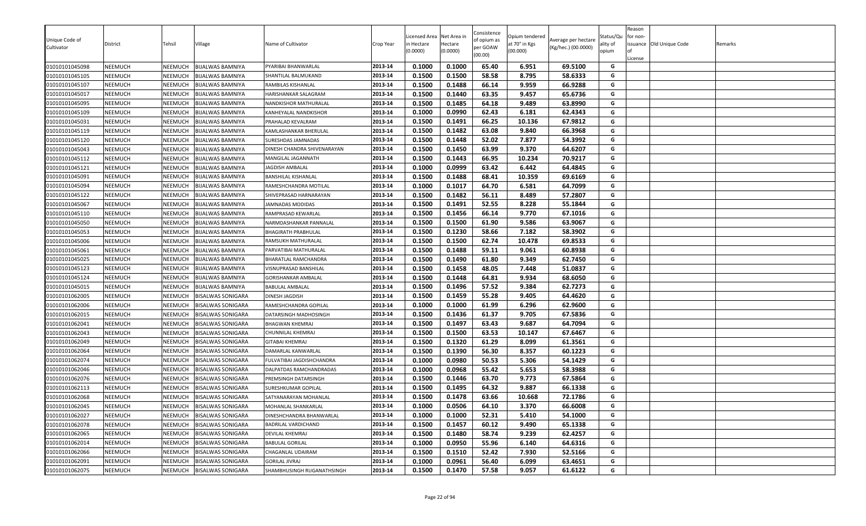| Reason<br>Consistence<br>Net Area in<br>icensed Area<br>Opium tendered<br>Status/Qu<br>for non-<br>Unique Code of<br>of opium as<br>Average per hectare<br>Village<br>Name of Cultivator<br>at 70° in Kgs<br>issuance Old Unique Code<br>District<br>Tehsil<br>Crop Year<br>in Hectare<br>Hectare<br>ality of<br>Remarks<br>per GOAW<br>(Kg/hec.) (00.0000)<br>Cultivator<br>(0.0000)<br>(0.0000)<br>(00.000)<br>opium<br>(00.00)<br>License<br>0.1000<br>01010101045098<br><b>NEEMUCH</b><br>NEEMUCH<br><b>BIJALWAS BAMNIYA</b><br>2013-14<br>0.1000<br>65.40<br>6.951<br>69.5100<br>PYARIBAI BHANWARLAL<br>G<br>2013-14<br>0.1500<br>0.1500<br>58.58<br>8.795<br>58.6333<br>G<br>01010101045105<br><b>NEEMUCH</b><br>NEEMUCH<br><b>BIJALWAS BAMNIYA</b><br>SHANTILAL BALMUKAND<br>01010101045107<br><b>NEEMUCH</b><br><b>BIJALWAS BAMNIYA</b><br>2013-14<br>0.1500<br>0.1488<br>66.14<br>9.959<br>66.9288<br>NEEMUCH<br>G<br>RAMBILAS KISHANLAL<br>2013-14<br>0.1500<br>0.1440<br>63.35<br>9.457<br>65.6736<br>G<br>01010101045017<br><b>NEEMUCH</b><br>NEEMUCH<br><b>BIJALWAS BAMNIYA</b><br>HARISHANKAR SALAGRAM<br>NEEMUCH<br>2013-14<br>0.1500<br>0.1485<br>64.18<br>9.489<br>63.8990<br>G<br>01010101045095<br>NEEMUCH<br><b>BIJALWAS BAMNIYA</b><br>NANDKISHOR MATHURALAL<br>G<br>2013-14<br>0.0990<br>62.43<br>62.4343<br>01010101045109<br><b>NEEMUCH</b><br>NEEMUCH<br><b>BIJALWAS BAMNIYA</b><br>0.1000<br>6.181<br>KANHEYALAL NANDKISHOR<br>0.1500<br>0.1491<br>66.25<br>10.136<br>67.9812<br>G<br>01010101045031<br><b>NEEMUCH</b><br>NEEMUCH<br><b>BIJALWAS BAMNIYA</b><br>2013-14<br>PRAHALAD KEVALRAM<br>0.1482<br>63.08<br>9.840<br>66.3968<br>G<br>2013-14<br>0.1500<br>01010101045119<br><b>NEEMUCH</b><br>NEEMUCH<br><b>BIJALWAS BAMNIYA</b><br>KAMLASHANKAR BHERULAL<br>0.1500<br>0.1448<br>52.02<br>7.877<br>54.3992<br>G<br>01010101045120<br><b>NEEMUCH</b><br>NEEMUCH<br><b>BIJALWAS BAMNIYA</b><br>2013-14<br>SURESHDAS JAMNADAS<br>2013-14<br>0.1500<br>0.1450<br>63.99<br>9.370<br>64.6207<br>01010101045043<br><b>BIJALWAS BAMNIYA</b><br>G<br><b>NEEMUCH</b><br>NEEMUCH<br>DINESH CHANDRA SHIVENARAYAN<br>0.1500<br>0.1443<br>66.95<br>10.234<br>70.9217<br>01010101045112<br><b>NEEMUCH</b><br>NEEMUCH<br><b>BIJALWAS BAMNIYA</b><br>2013-14<br>G<br>MANGILAL JAGANNATH<br>0.0999<br>2013-14<br>0.1000<br>63.42<br>6.442<br>64.4845<br>G<br>01010101045121<br><b>NEEMUCH</b><br>NEEMUCH<br><b>BIJALWAS BAMNIYA</b><br>JAGDISH AMBALAL<br>0.1500<br>0.1488<br>68.41<br>10.359<br>69.6169<br>G<br>01010101045091<br>NEEMUCH<br>NEEMUCH<br><b>BIJALWAS BAMNIYA</b><br>2013-14<br>BANSHILAL KISHANLAL<br>64.70<br>0.1000<br>0.1017<br>6.581<br>64.7099<br>2013-14<br>G<br>01010101045094<br>NEEMUCH<br>NEEMUCH<br><b>BIJALWAS BAMNIYA</b><br>RAMESHCHANDRA MOTILAL<br>0.1500<br>0.1482<br>56.11<br>8.489<br>57.2807<br>01010101045122<br><b>NEEMUCH</b><br>NEEMUCH<br><b>BIJALWAS BAMNIYA</b><br>2013-14<br>G<br>SHIVEPRASAD HARNARAYAN<br>0.1491<br>0.1500<br>52.55<br>8.228<br>55.1844<br>G<br><b>NEEMUCH</b><br>2013-14<br>01010101045067<br>NEEMUCH<br><b>BIJALWAS BAMNIYA</b><br>JAMNADAS MODIDAS<br>2013-14<br>0.1500<br>0.1456<br>66.14<br>9.770<br>67.1016<br>01010101045110<br><b>NEEMUCH</b><br>NEEMUCH<br><b>BIJALWAS BAMNIYA</b><br>G<br>RAMPRASAD KEWARLAL<br>0.1500<br>0.1500<br>61.90<br>9.586<br>63.9067<br>2013-14<br>G<br>01010101045050<br><b>NEEMUCH</b><br>NEEMUCH<br><b>BIJALWAS BAMNIYA</b><br>NARMDASHANKAR PANNALAL<br>0.1230<br>01010101045053<br>NEEMUCH<br><b>BIJALWAS BAMNIYA</b><br>2013-14<br>0.1500<br>58.66<br>7.182<br>58.3902<br><b>NEEMUCH</b><br>G<br><b>BHAGIRATH PRABHULAL</b><br>0.1500<br>0.1500<br>62.74<br>10.478<br>69.8533<br>G<br>2013-14<br>01010101045006<br>NEEMUCH<br>NEEMUCH<br>RAMSUKH MATHURALAL<br><b>BIJALWAS BAMNIYA</b><br>0.1488<br>59.11<br>60.8938<br>01010101045061<br><b>NEEMUCH</b><br>NEEMUCH<br><b>BIJALWAS BAMNIYA</b><br>2013-14<br>0.1500<br>9.061<br>G<br>PARVATIBAI MATHURALAL<br>61.80<br>0.1500<br>0.1490<br>9.349<br>62.7450<br>2013-14<br>G<br>01010101045025<br><b>NEEMUCH</b><br>NEEMUCH<br><b>BIJALWAS BAMNIYA</b><br><b>BHARATLAL RAMCHANDRA</b><br>2013-14<br>0.1458<br>G<br>0.1500<br>48.05<br>7.448<br>51.0837<br>01010101045123<br><b>NEEMUCH</b><br>NEEMUCH<br><b>BIJALWAS BAMNIYA</b><br>VISNUPRASAD BANSHILAL<br>0.1448<br>64.81<br>68.6050<br>2013-14<br>0.1500<br>9.934<br>G<br>01010101045124<br><b>NEEMUCH</b><br>NEEMUCH<br><b>BIJALWAS BAMNIYA</b><br>GORISHANKAR AMBALAL<br>57.52<br>0.1500<br>0.1496<br>9.384<br>62.7273<br>G<br>01010101045015<br><b>NEEMUCH</b><br>NEEMUCH<br><b>BIJALWAS BAMNIYA</b><br>2013-14<br><b>BABULAL AMBALAL</b><br>2013-14<br>0.1500<br>0.1459<br>55.28<br>9.405<br>64.4620<br>01010101062005<br><b>NEEMUCH</b><br>G<br>NEEMUCH<br><b>BISALWAS SONIGARA</b><br>DINESH JAGDISH<br>2013-14<br>0.1000<br>0.1000<br>61.99<br>6.296<br>62.9600<br>G<br>01010101062006<br><b>NEEMUCH</b><br>NEEMUCH<br><b>BISALWAS SONIGARA</b><br>RAMESHCHANDRA GOPILAL<br>2013-14<br>0.1500<br>0.1436<br>61.37<br>9.705<br>67.5836<br>G<br>01010101062015<br>NEEMUCH<br><b>BISALWAS SONIGARA</b><br>NEEMUCH<br>DATARSINGH MADHOSINGH<br>0.1497<br>2013-14<br>0.1500<br>63.43<br>9.687<br>64.7094<br>G<br>01010101062041<br>NEEMUCH<br>NEEMUCH<br><b>BISALWAS SONIGARA</b><br>BHAGWAN KHEMRAJ<br>0.1500<br>63.53<br>10.147<br>67.6467<br>2013-14<br>0.1500<br>01010101062043<br>G<br><b>NEEMUCH</b><br>NEEMUCH<br><b>BISALWAS SONIGARA</b><br>CHUNNILAL KHEMRAJ<br>2013-14<br>0.1500<br>0.1320<br>61.29<br>G<br>01010101062049<br><b>NEEMUCH</b><br>NEEMUCH<br><b>BISALWAS SONIGARA</b><br>8.099<br>61.3561<br><b>GITABAI KHEMRAJ</b><br>0.1390<br>56.30<br>0.1500<br>8.357<br>60.1223<br>01010101062064<br>NEEMUCH<br>2013-14<br>G<br><b>NEEMUCH</b><br><b>BISALWAS SONIGARA</b><br>DAMARLAL KANWARLAL<br>G<br>2013-14<br>0.1000<br>0.0980<br>50.53<br>5.306<br>54.1429<br>01010101062074<br><b>NEEMUCH</b><br>NEEMUCH<br><b>BISALWAS SONIGARA</b><br>FULVATIBAI JAGDISHCHANDRA<br>0.0968<br>55.42<br>5.653<br>58.3988<br>01010101062046<br><b>NEEMUCH</b><br>NEEMUCH<br><b>BISALWAS SONIGARA</b><br>2013-14<br>0.1000<br>G<br>DALPATDAS RAMCHANDRADAS<br>2013-14<br>9.773<br>67.5864<br>01010101062076<br><b>NEEMUCH</b><br>0.1500<br>0.1446<br>63.70<br>G<br>NEEMUCH<br><b>BISALWAS SONIGARA</b><br>PREMSINGH DATARSINGH<br>01010101062113<br>0.1495<br>64.32<br>9.887<br>66.1338<br>NEEMUCH<br>NEEMUCH<br><b>BISALWAS SONIGARA</b><br>2013-14<br>0.1500<br>G<br>SURESHKUMAR GOPILAL<br>0.1478<br>63.66<br>72.1786<br>G<br>01010101062068<br>NEEMUCH<br><b>BISALWAS SONIGARA</b><br>2013-14<br>0.1500<br>10.668<br>NEEMUCH<br>SATYANARAYAN MOHANLAL<br>0.0506<br>01010101062045<br><b>NEEMUCH</b><br>NEEMUCH<br><b>BISALWAS SONIGARA</b><br>2013-14<br>0.1000<br>64.10<br>3.370<br>66.6008<br>G<br><b>MOHANLAL SHANKARLAL</b><br>2013-14<br>01010101062027<br><b>NEEMUCH</b><br>NEEMUCH<br><b>BISALWAS SONIGARA</b><br>0.1000<br>52.31<br>5.410<br>G<br>DINESHCHANDRA BHANWARLAL<br>0.1000<br>54.1000<br>0.1457<br>60.12<br>G<br>01010101062078<br><b>NEEMUCH</b><br><b>BISALWAS SONIGARA</b><br>2013-14<br>0.1500<br>9.490<br>65.1338<br>NEEMUCH<br><b>BADRILAL VARDICHAND</b><br>2013-14<br>0.1480<br>58.74<br>9.239<br>G<br>01010101062065<br><b>NEEMUCH</b><br>NEEMUCH<br><b>BISALWAS SONIGARA</b><br>0.1500<br>62.4257<br><b>DEVILAL KHEMRAJ</b><br>55.96<br>01010101062014<br><b>NEEMUCH</b><br><b>BISALWAS SONIGARA</b><br>2013-14<br>0.1000<br>0.0950<br>6.140<br>64.6316<br>G<br>NEEMUCH<br><b>BABULAL GORILAL</b><br>2013-14<br>0.1500<br>0.1510<br>52.42<br>7.930<br>52.5166<br>G<br>01010101062066<br><b>NEEMUCH</b><br><b>BISALWAS SONIGARA</b><br>NEEMUCH<br>CHAGANLAL UDAIRAM<br>0.0961<br>56.40<br>01010101062091<br><b>NEEMUCH</b><br>NEEMUCH<br><b>BISALWAS SONIGARA</b><br>2013-14<br>0.1000<br>6.099<br>63.4651<br>G<br><b>GORILAL JIVRAJ</b><br>0.1470<br>57.58<br>G<br>2013-14<br>0.1500<br>9.057<br>61.6122<br>01010101062075<br>NEEMUCH<br><b>BISALWAS SONIGARA</b><br>SHAMBHUSINGH RUGANATHSINGH<br><b>NEEMUCH</b> |  |  |  |  |  |  |  |  |
|---------------------------------------------------------------------------------------------------------------------------------------------------------------------------------------------------------------------------------------------------------------------------------------------------------------------------------------------------------------------------------------------------------------------------------------------------------------------------------------------------------------------------------------------------------------------------------------------------------------------------------------------------------------------------------------------------------------------------------------------------------------------------------------------------------------------------------------------------------------------------------------------------------------------------------------------------------------------------------------------------------------------------------------------------------------------------------------------------------------------------------------------------------------------------------------------------------------------------------------------------------------------------------------------------------------------------------------------------------------------------------------------------------------------------------------------------------------------------------------------------------------------------------------------------------------------------------------------------------------------------------------------------------------------------------------------------------------------------------------------------------------------------------------------------------------------------------------------------------------------------------------------------------------------------------------------------------------------------------------------------------------------------------------------------------------------------------------------------------------------------------------------------------------------------------------------------------------------------------------------------------------------------------------------------------------------------------------------------------------------------------------------------------------------------------------------------------------------------------------------------------------------------------------------------------------------------------------------------------------------------------------------------------------------------------------------------------------------------------------------------------------------------------------------------------------------------------------------------------------------------------------------------------------------------------------------------------------------------------------------------------------------------------------------------------------------------------------------------------------------------------------------------------------------------------------------------------------------------------------------------------------------------------------------------------------------------------------------------------------------------------------------------------------------------------------------------------------------------------------------------------------------------------------------------------------------------------------------------------------------------------------------------------------------------------------------------------------------------------------------------------------------------------------------------------------------------------------------------------------------------------------------------------------------------------------------------------------------------------------------------------------------------------------------------------------------------------------------------------------------------------------------------------------------------------------------------------------------------------------------------------------------------------------------------------------------------------------------------------------------------------------------------------------------------------------------------------------------------------------------------------------------------------------------------------------------------------------------------------------------------------------------------------------------------------------------------------------------------------------------------------------------------------------------------------------------------------------------------------------------------------------------------------------------------------------------------------------------------------------------------------------------------------------------------------------------------------------------------------------------------------------------------------------------------------------------------------------------------------------------------------------------------------------------------------------------------------------------------------------------------------------------------------------------------------------------------------------------------------------------------------------------------------------------------------------------------------------------------------------------------------------------------------------------------------------------------------------------------------------------------------------------------------------------------------------------------------------------------------------------------------------------------------------------------------------------------------------------------------------------------------------------------------------------------------------------------------------------------------------------------------------------------------------------------------------------------------------------------------------------------------------------------------------------------------------------------------------------------------------------------------------------------------------------------------------------------------------------------------------------------------------------------------------------------------------------------------------------------------------------------------------------------------------------------------------------------------------------------------------------------------------------------------------------------------------------------------------------------------------------------------------------------------------------------------------------------------------------------------------------------------------------------------------------------------------------------------------------------------------------------------------------------------------------------------------------------------------------------------------------------------------------------------------------------------------------------------------------------------------------------------------------------------------------------------------------------------------------------------------------------------------------------------------------------------------------------------------------------------------------------------------------------------------------------------------------------------------------------------------------------------------------------------------------------------------------------------------------------------------------------------------------------------------------------------------------------------------------------------------------------------------------------------------------------------------------------------|--|--|--|--|--|--|--|--|
|                                                                                                                                                                                                                                                                                                                                                                                                                                                                                                                                                                                                                                                                                                                                                                                                                                                                                                                                                                                                                                                                                                                                                                                                                                                                                                                                                                                                                                                                                                                                                                                                                                                                                                                                                                                                                                                                                                                                                                                                                                                                                                                                                                                                                                                                                                                                                                                                                                                                                                                                                                                                                                                                                                                                                                                                                                                                                                                                                                                                                                                                                                                                                                                                                                                                                                                                                                                                                                                                                                                                                                                                                                                                                                                                                                                                                                                                                                                                                                                                                                                                                                                                                                                                                                                                                                                                                                                                                                                                                                                                                                                                                                                                                                                                                                                                                                                                                                                                                                                                                                                                                                                                                                                                                                                                                                                                                                                                                                                                                                                                                                                                                                                                                                                                                                                                                                                                                                                                                                                                                                                                                                                                                                                                                                                                                                                                                                                                                                                                                                                                                                                                                                                                                                                                                                                                                                                                                                                                                                                                                                                                                                                                                                                                                                                                                                                                                                                                                                                                                                                                                                                                                                                                                                                                                                                                                                                                                                                                                                                                                                                                                 |  |  |  |  |  |  |  |  |
|                                                                                                                                                                                                                                                                                                                                                                                                                                                                                                                                                                                                                                                                                                                                                                                                                                                                                                                                                                                                                                                                                                                                                                                                                                                                                                                                                                                                                                                                                                                                                                                                                                                                                                                                                                                                                                                                                                                                                                                                                                                                                                                                                                                                                                                                                                                                                                                                                                                                                                                                                                                                                                                                                                                                                                                                                                                                                                                                                                                                                                                                                                                                                                                                                                                                                                                                                                                                                                                                                                                                                                                                                                                                                                                                                                                                                                                                                                                                                                                                                                                                                                                                                                                                                                                                                                                                                                                                                                                                                                                                                                                                                                                                                                                                                                                                                                                                                                                                                                                                                                                                                                                                                                                                                                                                                                                                                                                                                                                                                                                                                                                                                                                                                                                                                                                                                                                                                                                                                                                                                                                                                                                                                                                                                                                                                                                                                                                                                                                                                                                                                                                                                                                                                                                                                                                                                                                                                                                                                                                                                                                                                                                                                                                                                                                                                                                                                                                                                                                                                                                                                                                                                                                                                                                                                                                                                                                                                                                                                                                                                                                                                 |  |  |  |  |  |  |  |  |
|                                                                                                                                                                                                                                                                                                                                                                                                                                                                                                                                                                                                                                                                                                                                                                                                                                                                                                                                                                                                                                                                                                                                                                                                                                                                                                                                                                                                                                                                                                                                                                                                                                                                                                                                                                                                                                                                                                                                                                                                                                                                                                                                                                                                                                                                                                                                                                                                                                                                                                                                                                                                                                                                                                                                                                                                                                                                                                                                                                                                                                                                                                                                                                                                                                                                                                                                                                                                                                                                                                                                                                                                                                                                                                                                                                                                                                                                                                                                                                                                                                                                                                                                                                                                                                                                                                                                                                                                                                                                                                                                                                                                                                                                                                                                                                                                                                                                                                                                                                                                                                                                                                                                                                                                                                                                                                                                                                                                                                                                                                                                                                                                                                                                                                                                                                                                                                                                                                                                                                                                                                                                                                                                                                                                                                                                                                                                                                                                                                                                                                                                                                                                                                                                                                                                                                                                                                                                                                                                                                                                                                                                                                                                                                                                                                                                                                                                                                                                                                                                                                                                                                                                                                                                                                                                                                                                                                                                                                                                                                                                                                                                                 |  |  |  |  |  |  |  |  |
|                                                                                                                                                                                                                                                                                                                                                                                                                                                                                                                                                                                                                                                                                                                                                                                                                                                                                                                                                                                                                                                                                                                                                                                                                                                                                                                                                                                                                                                                                                                                                                                                                                                                                                                                                                                                                                                                                                                                                                                                                                                                                                                                                                                                                                                                                                                                                                                                                                                                                                                                                                                                                                                                                                                                                                                                                                                                                                                                                                                                                                                                                                                                                                                                                                                                                                                                                                                                                                                                                                                                                                                                                                                                                                                                                                                                                                                                                                                                                                                                                                                                                                                                                                                                                                                                                                                                                                                                                                                                                                                                                                                                                                                                                                                                                                                                                                                                                                                                                                                                                                                                                                                                                                                                                                                                                                                                                                                                                                                                                                                                                                                                                                                                                                                                                                                                                                                                                                                                                                                                                                                                                                                                                                                                                                                                                                                                                                                                                                                                                                                                                                                                                                                                                                                                                                                                                                                                                                                                                                                                                                                                                                                                                                                                                                                                                                                                                                                                                                                                                                                                                                                                                                                                                                                                                                                                                                                                                                                                                                                                                                                                                 |  |  |  |  |  |  |  |  |
|                                                                                                                                                                                                                                                                                                                                                                                                                                                                                                                                                                                                                                                                                                                                                                                                                                                                                                                                                                                                                                                                                                                                                                                                                                                                                                                                                                                                                                                                                                                                                                                                                                                                                                                                                                                                                                                                                                                                                                                                                                                                                                                                                                                                                                                                                                                                                                                                                                                                                                                                                                                                                                                                                                                                                                                                                                                                                                                                                                                                                                                                                                                                                                                                                                                                                                                                                                                                                                                                                                                                                                                                                                                                                                                                                                                                                                                                                                                                                                                                                                                                                                                                                                                                                                                                                                                                                                                                                                                                                                                                                                                                                                                                                                                                                                                                                                                                                                                                                                                                                                                                                                                                                                                                                                                                                                                                                                                                                                                                                                                                                                                                                                                                                                                                                                                                                                                                                                                                                                                                                                                                                                                                                                                                                                                                                                                                                                                                                                                                                                                                                                                                                                                                                                                                                                                                                                                                                                                                                                                                                                                                                                                                                                                                                                                                                                                                                                                                                                                                                                                                                                                                                                                                                                                                                                                                                                                                                                                                                                                                                                                                                 |  |  |  |  |  |  |  |  |
|                                                                                                                                                                                                                                                                                                                                                                                                                                                                                                                                                                                                                                                                                                                                                                                                                                                                                                                                                                                                                                                                                                                                                                                                                                                                                                                                                                                                                                                                                                                                                                                                                                                                                                                                                                                                                                                                                                                                                                                                                                                                                                                                                                                                                                                                                                                                                                                                                                                                                                                                                                                                                                                                                                                                                                                                                                                                                                                                                                                                                                                                                                                                                                                                                                                                                                                                                                                                                                                                                                                                                                                                                                                                                                                                                                                                                                                                                                                                                                                                                                                                                                                                                                                                                                                                                                                                                                                                                                                                                                                                                                                                                                                                                                                                                                                                                                                                                                                                                                                                                                                                                                                                                                                                                                                                                                                                                                                                                                                                                                                                                                                                                                                                                                                                                                                                                                                                                                                                                                                                                                                                                                                                                                                                                                                                                                                                                                                                                                                                                                                                                                                                                                                                                                                                                                                                                                                                                                                                                                                                                                                                                                                                                                                                                                                                                                                                                                                                                                                                                                                                                                                                                                                                                                                                                                                                                                                                                                                                                                                                                                                                                 |  |  |  |  |  |  |  |  |
|                                                                                                                                                                                                                                                                                                                                                                                                                                                                                                                                                                                                                                                                                                                                                                                                                                                                                                                                                                                                                                                                                                                                                                                                                                                                                                                                                                                                                                                                                                                                                                                                                                                                                                                                                                                                                                                                                                                                                                                                                                                                                                                                                                                                                                                                                                                                                                                                                                                                                                                                                                                                                                                                                                                                                                                                                                                                                                                                                                                                                                                                                                                                                                                                                                                                                                                                                                                                                                                                                                                                                                                                                                                                                                                                                                                                                                                                                                                                                                                                                                                                                                                                                                                                                                                                                                                                                                                                                                                                                                                                                                                                                                                                                                                                                                                                                                                                                                                                                                                                                                                                                                                                                                                                                                                                                                                                                                                                                                                                                                                                                                                                                                                                                                                                                                                                                                                                                                                                                                                                                                                                                                                                                                                                                                                                                                                                                                                                                                                                                                                                                                                                                                                                                                                                                                                                                                                                                                                                                                                                                                                                                                                                                                                                                                                                                                                                                                                                                                                                                                                                                                                                                                                                                                                                                                                                                                                                                                                                                                                                                                                                                 |  |  |  |  |  |  |  |  |
|                                                                                                                                                                                                                                                                                                                                                                                                                                                                                                                                                                                                                                                                                                                                                                                                                                                                                                                                                                                                                                                                                                                                                                                                                                                                                                                                                                                                                                                                                                                                                                                                                                                                                                                                                                                                                                                                                                                                                                                                                                                                                                                                                                                                                                                                                                                                                                                                                                                                                                                                                                                                                                                                                                                                                                                                                                                                                                                                                                                                                                                                                                                                                                                                                                                                                                                                                                                                                                                                                                                                                                                                                                                                                                                                                                                                                                                                                                                                                                                                                                                                                                                                                                                                                                                                                                                                                                                                                                                                                                                                                                                                                                                                                                                                                                                                                                                                                                                                                                                                                                                                                                                                                                                                                                                                                                                                                                                                                                                                                                                                                                                                                                                                                                                                                                                                                                                                                                                                                                                                                                                                                                                                                                                                                                                                                                                                                                                                                                                                                                                                                                                                                                                                                                                                                                                                                                                                                                                                                                                                                                                                                                                                                                                                                                                                                                                                                                                                                                                                                                                                                                                                                                                                                                                                                                                                                                                                                                                                                                                                                                                                                 |  |  |  |  |  |  |  |  |
|                                                                                                                                                                                                                                                                                                                                                                                                                                                                                                                                                                                                                                                                                                                                                                                                                                                                                                                                                                                                                                                                                                                                                                                                                                                                                                                                                                                                                                                                                                                                                                                                                                                                                                                                                                                                                                                                                                                                                                                                                                                                                                                                                                                                                                                                                                                                                                                                                                                                                                                                                                                                                                                                                                                                                                                                                                                                                                                                                                                                                                                                                                                                                                                                                                                                                                                                                                                                                                                                                                                                                                                                                                                                                                                                                                                                                                                                                                                                                                                                                                                                                                                                                                                                                                                                                                                                                                                                                                                                                                                                                                                                                                                                                                                                                                                                                                                                                                                                                                                                                                                                                                                                                                                                                                                                                                                                                                                                                                                                                                                                                                                                                                                                                                                                                                                                                                                                                                                                                                                                                                                                                                                                                                                                                                                                                                                                                                                                                                                                                                                                                                                                                                                                                                                                                                                                                                                                                                                                                                                                                                                                                                                                                                                                                                                                                                                                                                                                                                                                                                                                                                                                                                                                                                                                                                                                                                                                                                                                                                                                                                                                                 |  |  |  |  |  |  |  |  |
|                                                                                                                                                                                                                                                                                                                                                                                                                                                                                                                                                                                                                                                                                                                                                                                                                                                                                                                                                                                                                                                                                                                                                                                                                                                                                                                                                                                                                                                                                                                                                                                                                                                                                                                                                                                                                                                                                                                                                                                                                                                                                                                                                                                                                                                                                                                                                                                                                                                                                                                                                                                                                                                                                                                                                                                                                                                                                                                                                                                                                                                                                                                                                                                                                                                                                                                                                                                                                                                                                                                                                                                                                                                                                                                                                                                                                                                                                                                                                                                                                                                                                                                                                                                                                                                                                                                                                                                                                                                                                                                                                                                                                                                                                                                                                                                                                                                                                                                                                                                                                                                                                                                                                                                                                                                                                                                                                                                                                                                                                                                                                                                                                                                                                                                                                                                                                                                                                                                                                                                                                                                                                                                                                                                                                                                                                                                                                                                                                                                                                                                                                                                                                                                                                                                                                                                                                                                                                                                                                                                                                                                                                                                                                                                                                                                                                                                                                                                                                                                                                                                                                                                                                                                                                                                                                                                                                                                                                                                                                                                                                                                                                 |  |  |  |  |  |  |  |  |
|                                                                                                                                                                                                                                                                                                                                                                                                                                                                                                                                                                                                                                                                                                                                                                                                                                                                                                                                                                                                                                                                                                                                                                                                                                                                                                                                                                                                                                                                                                                                                                                                                                                                                                                                                                                                                                                                                                                                                                                                                                                                                                                                                                                                                                                                                                                                                                                                                                                                                                                                                                                                                                                                                                                                                                                                                                                                                                                                                                                                                                                                                                                                                                                                                                                                                                                                                                                                                                                                                                                                                                                                                                                                                                                                                                                                                                                                                                                                                                                                                                                                                                                                                                                                                                                                                                                                                                                                                                                                                                                                                                                                                                                                                                                                                                                                                                                                                                                                                                                                                                                                                                                                                                                                                                                                                                                                                                                                                                                                                                                                                                                                                                                                                                                                                                                                                                                                                                                                                                                                                                                                                                                                                                                                                                                                                                                                                                                                                                                                                                                                                                                                                                                                                                                                                                                                                                                                                                                                                                                                                                                                                                                                                                                                                                                                                                                                                                                                                                                                                                                                                                                                                                                                                                                                                                                                                                                                                                                                                                                                                                                                                 |  |  |  |  |  |  |  |  |
|                                                                                                                                                                                                                                                                                                                                                                                                                                                                                                                                                                                                                                                                                                                                                                                                                                                                                                                                                                                                                                                                                                                                                                                                                                                                                                                                                                                                                                                                                                                                                                                                                                                                                                                                                                                                                                                                                                                                                                                                                                                                                                                                                                                                                                                                                                                                                                                                                                                                                                                                                                                                                                                                                                                                                                                                                                                                                                                                                                                                                                                                                                                                                                                                                                                                                                                                                                                                                                                                                                                                                                                                                                                                                                                                                                                                                                                                                                                                                                                                                                                                                                                                                                                                                                                                                                                                                                                                                                                                                                                                                                                                                                                                                                                                                                                                                                                                                                                                                                                                                                                                                                                                                                                                                                                                                                                                                                                                                                                                                                                                                                                                                                                                                                                                                                                                                                                                                                                                                                                                                                                                                                                                                                                                                                                                                                                                                                                                                                                                                                                                                                                                                                                                                                                                                                                                                                                                                                                                                                                                                                                                                                                                                                                                                                                                                                                                                                                                                                                                                                                                                                                                                                                                                                                                                                                                                                                                                                                                                                                                                                                                                 |  |  |  |  |  |  |  |  |
|                                                                                                                                                                                                                                                                                                                                                                                                                                                                                                                                                                                                                                                                                                                                                                                                                                                                                                                                                                                                                                                                                                                                                                                                                                                                                                                                                                                                                                                                                                                                                                                                                                                                                                                                                                                                                                                                                                                                                                                                                                                                                                                                                                                                                                                                                                                                                                                                                                                                                                                                                                                                                                                                                                                                                                                                                                                                                                                                                                                                                                                                                                                                                                                                                                                                                                                                                                                                                                                                                                                                                                                                                                                                                                                                                                                                                                                                                                                                                                                                                                                                                                                                                                                                                                                                                                                                                                                                                                                                                                                                                                                                                                                                                                                                                                                                                                                                                                                                                                                                                                                                                                                                                                                                                                                                                                                                                                                                                                                                                                                                                                                                                                                                                                                                                                                                                                                                                                                                                                                                                                                                                                                                                                                                                                                                                                                                                                                                                                                                                                                                                                                                                                                                                                                                                                                                                                                                                                                                                                                                                                                                                                                                                                                                                                                                                                                                                                                                                                                                                                                                                                                                                                                                                                                                                                                                                                                                                                                                                                                                                                                                                 |  |  |  |  |  |  |  |  |
|                                                                                                                                                                                                                                                                                                                                                                                                                                                                                                                                                                                                                                                                                                                                                                                                                                                                                                                                                                                                                                                                                                                                                                                                                                                                                                                                                                                                                                                                                                                                                                                                                                                                                                                                                                                                                                                                                                                                                                                                                                                                                                                                                                                                                                                                                                                                                                                                                                                                                                                                                                                                                                                                                                                                                                                                                                                                                                                                                                                                                                                                                                                                                                                                                                                                                                                                                                                                                                                                                                                                                                                                                                                                                                                                                                                                                                                                                                                                                                                                                                                                                                                                                                                                                                                                                                                                                                                                                                                                                                                                                                                                                                                                                                                                                                                                                                                                                                                                                                                                                                                                                                                                                                                                                                                                                                                                                                                                                                                                                                                                                                                                                                                                                                                                                                                                                                                                                                                                                                                                                                                                                                                                                                                                                                                                                                                                                                                                                                                                                                                                                                                                                                                                                                                                                                                                                                                                                                                                                                                                                                                                                                                                                                                                                                                                                                                                                                                                                                                                                                                                                                                                                                                                                                                                                                                                                                                                                                                                                                                                                                                                                 |  |  |  |  |  |  |  |  |
|                                                                                                                                                                                                                                                                                                                                                                                                                                                                                                                                                                                                                                                                                                                                                                                                                                                                                                                                                                                                                                                                                                                                                                                                                                                                                                                                                                                                                                                                                                                                                                                                                                                                                                                                                                                                                                                                                                                                                                                                                                                                                                                                                                                                                                                                                                                                                                                                                                                                                                                                                                                                                                                                                                                                                                                                                                                                                                                                                                                                                                                                                                                                                                                                                                                                                                                                                                                                                                                                                                                                                                                                                                                                                                                                                                                                                                                                                                                                                                                                                                                                                                                                                                                                                                                                                                                                                                                                                                                                                                                                                                                                                                                                                                                                                                                                                                                                                                                                                                                                                                                                                                                                                                                                                                                                                                                                                                                                                                                                                                                                                                                                                                                                                                                                                                                                                                                                                                                                                                                                                                                                                                                                                                                                                                                                                                                                                                                                                                                                                                                                                                                                                                                                                                                                                                                                                                                                                                                                                                                                                                                                                                                                                                                                                                                                                                                                                                                                                                                                                                                                                                                                                                                                                                                                                                                                                                                                                                                                                                                                                                                                                 |  |  |  |  |  |  |  |  |
|                                                                                                                                                                                                                                                                                                                                                                                                                                                                                                                                                                                                                                                                                                                                                                                                                                                                                                                                                                                                                                                                                                                                                                                                                                                                                                                                                                                                                                                                                                                                                                                                                                                                                                                                                                                                                                                                                                                                                                                                                                                                                                                                                                                                                                                                                                                                                                                                                                                                                                                                                                                                                                                                                                                                                                                                                                                                                                                                                                                                                                                                                                                                                                                                                                                                                                                                                                                                                                                                                                                                                                                                                                                                                                                                                                                                                                                                                                                                                                                                                                                                                                                                                                                                                                                                                                                                                                                                                                                                                                                                                                                                                                                                                                                                                                                                                                                                                                                                                                                                                                                                                                                                                                                                                                                                                                                                                                                                                                                                                                                                                                                                                                                                                                                                                                                                                                                                                                                                                                                                                                                                                                                                                                                                                                                                                                                                                                                                                                                                                                                                                                                                                                                                                                                                                                                                                                                                                                                                                                                                                                                                                                                                                                                                                                                                                                                                                                                                                                                                                                                                                                                                                                                                                                                                                                                                                                                                                                                                                                                                                                                                                 |  |  |  |  |  |  |  |  |
|                                                                                                                                                                                                                                                                                                                                                                                                                                                                                                                                                                                                                                                                                                                                                                                                                                                                                                                                                                                                                                                                                                                                                                                                                                                                                                                                                                                                                                                                                                                                                                                                                                                                                                                                                                                                                                                                                                                                                                                                                                                                                                                                                                                                                                                                                                                                                                                                                                                                                                                                                                                                                                                                                                                                                                                                                                                                                                                                                                                                                                                                                                                                                                                                                                                                                                                                                                                                                                                                                                                                                                                                                                                                                                                                                                                                                                                                                                                                                                                                                                                                                                                                                                                                                                                                                                                                                                                                                                                                                                                                                                                                                                                                                                                                                                                                                                                                                                                                                                                                                                                                                                                                                                                                                                                                                                                                                                                                                                                                                                                                                                                                                                                                                                                                                                                                                                                                                                                                                                                                                                                                                                                                                                                                                                                                                                                                                                                                                                                                                                                                                                                                                                                                                                                                                                                                                                                                                                                                                                                                                                                                                                                                                                                                                                                                                                                                                                                                                                                                                                                                                                                                                                                                                                                                                                                                                                                                                                                                                                                                                                                                                 |  |  |  |  |  |  |  |  |
|                                                                                                                                                                                                                                                                                                                                                                                                                                                                                                                                                                                                                                                                                                                                                                                                                                                                                                                                                                                                                                                                                                                                                                                                                                                                                                                                                                                                                                                                                                                                                                                                                                                                                                                                                                                                                                                                                                                                                                                                                                                                                                                                                                                                                                                                                                                                                                                                                                                                                                                                                                                                                                                                                                                                                                                                                                                                                                                                                                                                                                                                                                                                                                                                                                                                                                                                                                                                                                                                                                                                                                                                                                                                                                                                                                                                                                                                                                                                                                                                                                                                                                                                                                                                                                                                                                                                                                                                                                                                                                                                                                                                                                                                                                                                                                                                                                                                                                                                                                                                                                                                                                                                                                                                                                                                                                                                                                                                                                                                                                                                                                                                                                                                                                                                                                                                                                                                                                                                                                                                                                                                                                                                                                                                                                                                                                                                                                                                                                                                                                                                                                                                                                                                                                                                                                                                                                                                                                                                                                                                                                                                                                                                                                                                                                                                                                                                                                                                                                                                                                                                                                                                                                                                                                                                                                                                                                                                                                                                                                                                                                                                                 |  |  |  |  |  |  |  |  |
|                                                                                                                                                                                                                                                                                                                                                                                                                                                                                                                                                                                                                                                                                                                                                                                                                                                                                                                                                                                                                                                                                                                                                                                                                                                                                                                                                                                                                                                                                                                                                                                                                                                                                                                                                                                                                                                                                                                                                                                                                                                                                                                                                                                                                                                                                                                                                                                                                                                                                                                                                                                                                                                                                                                                                                                                                                                                                                                                                                                                                                                                                                                                                                                                                                                                                                                                                                                                                                                                                                                                                                                                                                                                                                                                                                                                                                                                                                                                                                                                                                                                                                                                                                                                                                                                                                                                                                                                                                                                                                                                                                                                                                                                                                                                                                                                                                                                                                                                                                                                                                                                                                                                                                                                                                                                                                                                                                                                                                                                                                                                                                                                                                                                                                                                                                                                                                                                                                                                                                                                                                                                                                                                                                                                                                                                                                                                                                                                                                                                                                                                                                                                                                                                                                                                                                                                                                                                                                                                                                                                                                                                                                                                                                                                                                                                                                                                                                                                                                                                                                                                                                                                                                                                                                                                                                                                                                                                                                                                                                                                                                                                                 |  |  |  |  |  |  |  |  |
|                                                                                                                                                                                                                                                                                                                                                                                                                                                                                                                                                                                                                                                                                                                                                                                                                                                                                                                                                                                                                                                                                                                                                                                                                                                                                                                                                                                                                                                                                                                                                                                                                                                                                                                                                                                                                                                                                                                                                                                                                                                                                                                                                                                                                                                                                                                                                                                                                                                                                                                                                                                                                                                                                                                                                                                                                                                                                                                                                                                                                                                                                                                                                                                                                                                                                                                                                                                                                                                                                                                                                                                                                                                                                                                                                                                                                                                                                                                                                                                                                                                                                                                                                                                                                                                                                                                                                                                                                                                                                                                                                                                                                                                                                                                                                                                                                                                                                                                                                                                                                                                                                                                                                                                                                                                                                                                                                                                                                                                                                                                                                                                                                                                                                                                                                                                                                                                                                                                                                                                                                                                                                                                                                                                                                                                                                                                                                                                                                                                                                                                                                                                                                                                                                                                                                                                                                                                                                                                                                                                                                                                                                                                                                                                                                                                                                                                                                                                                                                                                                                                                                                                                                                                                                                                                                                                                                                                                                                                                                                                                                                                                                 |  |  |  |  |  |  |  |  |
|                                                                                                                                                                                                                                                                                                                                                                                                                                                                                                                                                                                                                                                                                                                                                                                                                                                                                                                                                                                                                                                                                                                                                                                                                                                                                                                                                                                                                                                                                                                                                                                                                                                                                                                                                                                                                                                                                                                                                                                                                                                                                                                                                                                                                                                                                                                                                                                                                                                                                                                                                                                                                                                                                                                                                                                                                                                                                                                                                                                                                                                                                                                                                                                                                                                                                                                                                                                                                                                                                                                                                                                                                                                                                                                                                                                                                                                                                                                                                                                                                                                                                                                                                                                                                                                                                                                                                                                                                                                                                                                                                                                                                                                                                                                                                                                                                                                                                                                                                                                                                                                                                                                                                                                                                                                                                                                                                                                                                                                                                                                                                                                                                                                                                                                                                                                                                                                                                                                                                                                                                                                                                                                                                                                                                                                                                                                                                                                                                                                                                                                                                                                                                                                                                                                                                                                                                                                                                                                                                                                                                                                                                                                                                                                                                                                                                                                                                                                                                                                                                                                                                                                                                                                                                                                                                                                                                                                                                                                                                                                                                                                                                 |  |  |  |  |  |  |  |  |
|                                                                                                                                                                                                                                                                                                                                                                                                                                                                                                                                                                                                                                                                                                                                                                                                                                                                                                                                                                                                                                                                                                                                                                                                                                                                                                                                                                                                                                                                                                                                                                                                                                                                                                                                                                                                                                                                                                                                                                                                                                                                                                                                                                                                                                                                                                                                                                                                                                                                                                                                                                                                                                                                                                                                                                                                                                                                                                                                                                                                                                                                                                                                                                                                                                                                                                                                                                                                                                                                                                                                                                                                                                                                                                                                                                                                                                                                                                                                                                                                                                                                                                                                                                                                                                                                                                                                                                                                                                                                                                                                                                                                                                                                                                                                                                                                                                                                                                                                                                                                                                                                                                                                                                                                                                                                                                                                                                                                                                                                                                                                                                                                                                                                                                                                                                                                                                                                                                                                                                                                                                                                                                                                                                                                                                                                                                                                                                                                                                                                                                                                                                                                                                                                                                                                                                                                                                                                                                                                                                                                                                                                                                                                                                                                                                                                                                                                                                                                                                                                                                                                                                                                                                                                                                                                                                                                                                                                                                                                                                                                                                                                                 |  |  |  |  |  |  |  |  |
|                                                                                                                                                                                                                                                                                                                                                                                                                                                                                                                                                                                                                                                                                                                                                                                                                                                                                                                                                                                                                                                                                                                                                                                                                                                                                                                                                                                                                                                                                                                                                                                                                                                                                                                                                                                                                                                                                                                                                                                                                                                                                                                                                                                                                                                                                                                                                                                                                                                                                                                                                                                                                                                                                                                                                                                                                                                                                                                                                                                                                                                                                                                                                                                                                                                                                                                                                                                                                                                                                                                                                                                                                                                                                                                                                                                                                                                                                                                                                                                                                                                                                                                                                                                                                                                                                                                                                                                                                                                                                                                                                                                                                                                                                                                                                                                                                                                                                                                                                                                                                                                                                                                                                                                                                                                                                                                                                                                                                                                                                                                                                                                                                                                                                                                                                                                                                                                                                                                                                                                                                                                                                                                                                                                                                                                                                                                                                                                                                                                                                                                                                                                                                                                                                                                                                                                                                                                                                                                                                                                                                                                                                                                                                                                                                                                                                                                                                                                                                                                                                                                                                                                                                                                                                                                                                                                                                                                                                                                                                                                                                                                                                 |  |  |  |  |  |  |  |  |
|                                                                                                                                                                                                                                                                                                                                                                                                                                                                                                                                                                                                                                                                                                                                                                                                                                                                                                                                                                                                                                                                                                                                                                                                                                                                                                                                                                                                                                                                                                                                                                                                                                                                                                                                                                                                                                                                                                                                                                                                                                                                                                                                                                                                                                                                                                                                                                                                                                                                                                                                                                                                                                                                                                                                                                                                                                                                                                                                                                                                                                                                                                                                                                                                                                                                                                                                                                                                                                                                                                                                                                                                                                                                                                                                                                                                                                                                                                                                                                                                                                                                                                                                                                                                                                                                                                                                                                                                                                                                                                                                                                                                                                                                                                                                                                                                                                                                                                                                                                                                                                                                                                                                                                                                                                                                                                                                                                                                                                                                                                                                                                                                                                                                                                                                                                                                                                                                                                                                                                                                                                                                                                                                                                                                                                                                                                                                                                                                                                                                                                                                                                                                                                                                                                                                                                                                                                                                                                                                                                                                                                                                                                                                                                                                                                                                                                                                                                                                                                                                                                                                                                                                                                                                                                                                                                                                                                                                                                                                                                                                                                                                                 |  |  |  |  |  |  |  |  |
|                                                                                                                                                                                                                                                                                                                                                                                                                                                                                                                                                                                                                                                                                                                                                                                                                                                                                                                                                                                                                                                                                                                                                                                                                                                                                                                                                                                                                                                                                                                                                                                                                                                                                                                                                                                                                                                                                                                                                                                                                                                                                                                                                                                                                                                                                                                                                                                                                                                                                                                                                                                                                                                                                                                                                                                                                                                                                                                                                                                                                                                                                                                                                                                                                                                                                                                                                                                                                                                                                                                                                                                                                                                                                                                                                                                                                                                                                                                                                                                                                                                                                                                                                                                                                                                                                                                                                                                                                                                                                                                                                                                                                                                                                                                                                                                                                                                                                                                                                                                                                                                                                                                                                                                                                                                                                                                                                                                                                                                                                                                                                                                                                                                                                                                                                                                                                                                                                                                                                                                                                                                                                                                                                                                                                                                                                                                                                                                                                                                                                                                                                                                                                                                                                                                                                                                                                                                                                                                                                                                                                                                                                                                                                                                                                                                                                                                                                                                                                                                                                                                                                                                                                                                                                                                                                                                                                                                                                                                                                                                                                                                                                 |  |  |  |  |  |  |  |  |
|                                                                                                                                                                                                                                                                                                                                                                                                                                                                                                                                                                                                                                                                                                                                                                                                                                                                                                                                                                                                                                                                                                                                                                                                                                                                                                                                                                                                                                                                                                                                                                                                                                                                                                                                                                                                                                                                                                                                                                                                                                                                                                                                                                                                                                                                                                                                                                                                                                                                                                                                                                                                                                                                                                                                                                                                                                                                                                                                                                                                                                                                                                                                                                                                                                                                                                                                                                                                                                                                                                                                                                                                                                                                                                                                                                                                                                                                                                                                                                                                                                                                                                                                                                                                                                                                                                                                                                                                                                                                                                                                                                                                                                                                                                                                                                                                                                                                                                                                                                                                                                                                                                                                                                                                                                                                                                                                                                                                                                                                                                                                                                                                                                                                                                                                                                                                                                                                                                                                                                                                                                                                                                                                                                                                                                                                                                                                                                                                                                                                                                                                                                                                                                                                                                                                                                                                                                                                                                                                                                                                                                                                                                                                                                                                                                                                                                                                                                                                                                                                                                                                                                                                                                                                                                                                                                                                                                                                                                                                                                                                                                                                                 |  |  |  |  |  |  |  |  |
|                                                                                                                                                                                                                                                                                                                                                                                                                                                                                                                                                                                                                                                                                                                                                                                                                                                                                                                                                                                                                                                                                                                                                                                                                                                                                                                                                                                                                                                                                                                                                                                                                                                                                                                                                                                                                                                                                                                                                                                                                                                                                                                                                                                                                                                                                                                                                                                                                                                                                                                                                                                                                                                                                                                                                                                                                                                                                                                                                                                                                                                                                                                                                                                                                                                                                                                                                                                                                                                                                                                                                                                                                                                                                                                                                                                                                                                                                                                                                                                                                                                                                                                                                                                                                                                                                                                                                                                                                                                                                                                                                                                                                                                                                                                                                                                                                                                                                                                                                                                                                                                                                                                                                                                                                                                                                                                                                                                                                                                                                                                                                                                                                                                                                                                                                                                                                                                                                                                                                                                                                                                                                                                                                                                                                                                                                                                                                                                                                                                                                                                                                                                                                                                                                                                                                                                                                                                                                                                                                                                                                                                                                                                                                                                                                                                                                                                                                                                                                                                                                                                                                                                                                                                                                                                                                                                                                                                                                                                                                                                                                                                                                 |  |  |  |  |  |  |  |  |
|                                                                                                                                                                                                                                                                                                                                                                                                                                                                                                                                                                                                                                                                                                                                                                                                                                                                                                                                                                                                                                                                                                                                                                                                                                                                                                                                                                                                                                                                                                                                                                                                                                                                                                                                                                                                                                                                                                                                                                                                                                                                                                                                                                                                                                                                                                                                                                                                                                                                                                                                                                                                                                                                                                                                                                                                                                                                                                                                                                                                                                                                                                                                                                                                                                                                                                                                                                                                                                                                                                                                                                                                                                                                                                                                                                                                                                                                                                                                                                                                                                                                                                                                                                                                                                                                                                                                                                                                                                                                                                                                                                                                                                                                                                                                                                                                                                                                                                                                                                                                                                                                                                                                                                                                                                                                                                                                                                                                                                                                                                                                                                                                                                                                                                                                                                                                                                                                                                                                                                                                                                                                                                                                                                                                                                                                                                                                                                                                                                                                                                                                                                                                                                                                                                                                                                                                                                                                                                                                                                                                                                                                                                                                                                                                                                                                                                                                                                                                                                                                                                                                                                                                                                                                                                                                                                                                                                                                                                                                                                                                                                                                                 |  |  |  |  |  |  |  |  |
|                                                                                                                                                                                                                                                                                                                                                                                                                                                                                                                                                                                                                                                                                                                                                                                                                                                                                                                                                                                                                                                                                                                                                                                                                                                                                                                                                                                                                                                                                                                                                                                                                                                                                                                                                                                                                                                                                                                                                                                                                                                                                                                                                                                                                                                                                                                                                                                                                                                                                                                                                                                                                                                                                                                                                                                                                                                                                                                                                                                                                                                                                                                                                                                                                                                                                                                                                                                                                                                                                                                                                                                                                                                                                                                                                                                                                                                                                                                                                                                                                                                                                                                                                                                                                                                                                                                                                                                                                                                                                                                                                                                                                                                                                                                                                                                                                                                                                                                                                                                                                                                                                                                                                                                                                                                                                                                                                                                                                                                                                                                                                                                                                                                                                                                                                                                                                                                                                                                                                                                                                                                                                                                                                                                                                                                                                                                                                                                                                                                                                                                                                                                                                                                                                                                                                                                                                                                                                                                                                                                                                                                                                                                                                                                                                                                                                                                                                                                                                                                                                                                                                                                                                                                                                                                                                                                                                                                                                                                                                                                                                                                                                 |  |  |  |  |  |  |  |  |
|                                                                                                                                                                                                                                                                                                                                                                                                                                                                                                                                                                                                                                                                                                                                                                                                                                                                                                                                                                                                                                                                                                                                                                                                                                                                                                                                                                                                                                                                                                                                                                                                                                                                                                                                                                                                                                                                                                                                                                                                                                                                                                                                                                                                                                                                                                                                                                                                                                                                                                                                                                                                                                                                                                                                                                                                                                                                                                                                                                                                                                                                                                                                                                                                                                                                                                                                                                                                                                                                                                                                                                                                                                                                                                                                                                                                                                                                                                                                                                                                                                                                                                                                                                                                                                                                                                                                                                                                                                                                                                                                                                                                                                                                                                                                                                                                                                                                                                                                                                                                                                                                                                                                                                                                                                                                                                                                                                                                                                                                                                                                                                                                                                                                                                                                                                                                                                                                                                                                                                                                                                                                                                                                                                                                                                                                                                                                                                                                                                                                                                                                                                                                                                                                                                                                                                                                                                                                                                                                                                                                                                                                                                                                                                                                                                                                                                                                                                                                                                                                                                                                                                                                                                                                                                                                                                                                                                                                                                                                                                                                                                                                                 |  |  |  |  |  |  |  |  |
|                                                                                                                                                                                                                                                                                                                                                                                                                                                                                                                                                                                                                                                                                                                                                                                                                                                                                                                                                                                                                                                                                                                                                                                                                                                                                                                                                                                                                                                                                                                                                                                                                                                                                                                                                                                                                                                                                                                                                                                                                                                                                                                                                                                                                                                                                                                                                                                                                                                                                                                                                                                                                                                                                                                                                                                                                                                                                                                                                                                                                                                                                                                                                                                                                                                                                                                                                                                                                                                                                                                                                                                                                                                                                                                                                                                                                                                                                                                                                                                                                                                                                                                                                                                                                                                                                                                                                                                                                                                                                                                                                                                                                                                                                                                                                                                                                                                                                                                                                                                                                                                                                                                                                                                                                                                                                                                                                                                                                                                                                                                                                                                                                                                                                                                                                                                                                                                                                                                                                                                                                                                                                                                                                                                                                                                                                                                                                                                                                                                                                                                                                                                                                                                                                                                                                                                                                                                                                                                                                                                                                                                                                                                                                                                                                                                                                                                                                                                                                                                                                                                                                                                                                                                                                                                                                                                                                                                                                                                                                                                                                                                                                 |  |  |  |  |  |  |  |  |
|                                                                                                                                                                                                                                                                                                                                                                                                                                                                                                                                                                                                                                                                                                                                                                                                                                                                                                                                                                                                                                                                                                                                                                                                                                                                                                                                                                                                                                                                                                                                                                                                                                                                                                                                                                                                                                                                                                                                                                                                                                                                                                                                                                                                                                                                                                                                                                                                                                                                                                                                                                                                                                                                                                                                                                                                                                                                                                                                                                                                                                                                                                                                                                                                                                                                                                                                                                                                                                                                                                                                                                                                                                                                                                                                                                                                                                                                                                                                                                                                                                                                                                                                                                                                                                                                                                                                                                                                                                                                                                                                                                                                                                                                                                                                                                                                                                                                                                                                                                                                                                                                                                                                                                                                                                                                                                                                                                                                                                                                                                                                                                                                                                                                                                                                                                                                                                                                                                                                                                                                                                                                                                                                                                                                                                                                                                                                                                                                                                                                                                                                                                                                                                                                                                                                                                                                                                                                                                                                                                                                                                                                                                                                                                                                                                                                                                                                                                                                                                                                                                                                                                                                                                                                                                                                                                                                                                                                                                                                                                                                                                                                                 |  |  |  |  |  |  |  |  |
|                                                                                                                                                                                                                                                                                                                                                                                                                                                                                                                                                                                                                                                                                                                                                                                                                                                                                                                                                                                                                                                                                                                                                                                                                                                                                                                                                                                                                                                                                                                                                                                                                                                                                                                                                                                                                                                                                                                                                                                                                                                                                                                                                                                                                                                                                                                                                                                                                                                                                                                                                                                                                                                                                                                                                                                                                                                                                                                                                                                                                                                                                                                                                                                                                                                                                                                                                                                                                                                                                                                                                                                                                                                                                                                                                                                                                                                                                                                                                                                                                                                                                                                                                                                                                                                                                                                                                                                                                                                                                                                                                                                                                                                                                                                                                                                                                                                                                                                                                                                                                                                                                                                                                                                                                                                                                                                                                                                                                                                                                                                                                                                                                                                                                                                                                                                                                                                                                                                                                                                                                                                                                                                                                                                                                                                                                                                                                                                                                                                                                                                                                                                                                                                                                                                                                                                                                                                                                                                                                                                                                                                                                                                                                                                                                                                                                                                                                                                                                                                                                                                                                                                                                                                                                                                                                                                                                                                                                                                                                                                                                                                                                 |  |  |  |  |  |  |  |  |
|                                                                                                                                                                                                                                                                                                                                                                                                                                                                                                                                                                                                                                                                                                                                                                                                                                                                                                                                                                                                                                                                                                                                                                                                                                                                                                                                                                                                                                                                                                                                                                                                                                                                                                                                                                                                                                                                                                                                                                                                                                                                                                                                                                                                                                                                                                                                                                                                                                                                                                                                                                                                                                                                                                                                                                                                                                                                                                                                                                                                                                                                                                                                                                                                                                                                                                                                                                                                                                                                                                                                                                                                                                                                                                                                                                                                                                                                                                                                                                                                                                                                                                                                                                                                                                                                                                                                                                                                                                                                                                                                                                                                                                                                                                                                                                                                                                                                                                                                                                                                                                                                                                                                                                                                                                                                                                                                                                                                                                                                                                                                                                                                                                                                                                                                                                                                                                                                                                                                                                                                                                                                                                                                                                                                                                                                                                                                                                                                                                                                                                                                                                                                                                                                                                                                                                                                                                                                                                                                                                                                                                                                                                                                                                                                                                                                                                                                                                                                                                                                                                                                                                                                                                                                                                                                                                                                                                                                                                                                                                                                                                                                                 |  |  |  |  |  |  |  |  |
|                                                                                                                                                                                                                                                                                                                                                                                                                                                                                                                                                                                                                                                                                                                                                                                                                                                                                                                                                                                                                                                                                                                                                                                                                                                                                                                                                                                                                                                                                                                                                                                                                                                                                                                                                                                                                                                                                                                                                                                                                                                                                                                                                                                                                                                                                                                                                                                                                                                                                                                                                                                                                                                                                                                                                                                                                                                                                                                                                                                                                                                                                                                                                                                                                                                                                                                                                                                                                                                                                                                                                                                                                                                                                                                                                                                                                                                                                                                                                                                                                                                                                                                                                                                                                                                                                                                                                                                                                                                                                                                                                                                                                                                                                                                                                                                                                                                                                                                                                                                                                                                                                                                                                                                                                                                                                                                                                                                                                                                                                                                                                                                                                                                                                                                                                                                                                                                                                                                                                                                                                                                                                                                                                                                                                                                                                                                                                                                                                                                                                                                                                                                                                                                                                                                                                                                                                                                                                                                                                                                                                                                                                                                                                                                                                                                                                                                                                                                                                                                                                                                                                                                                                                                                                                                                                                                                                                                                                                                                                                                                                                                                                 |  |  |  |  |  |  |  |  |
|                                                                                                                                                                                                                                                                                                                                                                                                                                                                                                                                                                                                                                                                                                                                                                                                                                                                                                                                                                                                                                                                                                                                                                                                                                                                                                                                                                                                                                                                                                                                                                                                                                                                                                                                                                                                                                                                                                                                                                                                                                                                                                                                                                                                                                                                                                                                                                                                                                                                                                                                                                                                                                                                                                                                                                                                                                                                                                                                                                                                                                                                                                                                                                                                                                                                                                                                                                                                                                                                                                                                                                                                                                                                                                                                                                                                                                                                                                                                                                                                                                                                                                                                                                                                                                                                                                                                                                                                                                                                                                                                                                                                                                                                                                                                                                                                                                                                                                                                                                                                                                                                                                                                                                                                                                                                                                                                                                                                                                                                                                                                                                                                                                                                                                                                                                                                                                                                                                                                                                                                                                                                                                                                                                                                                                                                                                                                                                                                                                                                                                                                                                                                                                                                                                                                                                                                                                                                                                                                                                                                                                                                                                                                                                                                                                                                                                                                                                                                                                                                                                                                                                                                                                                                                                                                                                                                                                                                                                                                                                                                                                                                                 |  |  |  |  |  |  |  |  |
|                                                                                                                                                                                                                                                                                                                                                                                                                                                                                                                                                                                                                                                                                                                                                                                                                                                                                                                                                                                                                                                                                                                                                                                                                                                                                                                                                                                                                                                                                                                                                                                                                                                                                                                                                                                                                                                                                                                                                                                                                                                                                                                                                                                                                                                                                                                                                                                                                                                                                                                                                                                                                                                                                                                                                                                                                                                                                                                                                                                                                                                                                                                                                                                                                                                                                                                                                                                                                                                                                                                                                                                                                                                                                                                                                                                                                                                                                                                                                                                                                                                                                                                                                                                                                                                                                                                                                                                                                                                                                                                                                                                                                                                                                                                                                                                                                                                                                                                                                                                                                                                                                                                                                                                                                                                                                                                                                                                                                                                                                                                                                                                                                                                                                                                                                                                                                                                                                                                                                                                                                                                                                                                                                                                                                                                                                                                                                                                                                                                                                                                                                                                                                                                                                                                                                                                                                                                                                                                                                                                                                                                                                                                                                                                                                                                                                                                                                                                                                                                                                                                                                                                                                                                                                                                                                                                                                                                                                                                                                                                                                                                                                 |  |  |  |  |  |  |  |  |
|                                                                                                                                                                                                                                                                                                                                                                                                                                                                                                                                                                                                                                                                                                                                                                                                                                                                                                                                                                                                                                                                                                                                                                                                                                                                                                                                                                                                                                                                                                                                                                                                                                                                                                                                                                                                                                                                                                                                                                                                                                                                                                                                                                                                                                                                                                                                                                                                                                                                                                                                                                                                                                                                                                                                                                                                                                                                                                                                                                                                                                                                                                                                                                                                                                                                                                                                                                                                                                                                                                                                                                                                                                                                                                                                                                                                                                                                                                                                                                                                                                                                                                                                                                                                                                                                                                                                                                                                                                                                                                                                                                                                                                                                                                                                                                                                                                                                                                                                                                                                                                                                                                                                                                                                                                                                                                                                                                                                                                                                                                                                                                                                                                                                                                                                                                                                                                                                                                                                                                                                                                                                                                                                                                                                                                                                                                                                                                                                                                                                                                                                                                                                                                                                                                                                                                                                                                                                                                                                                                                                                                                                                                                                                                                                                                                                                                                                                                                                                                                                                                                                                                                                                                                                                                                                                                                                                                                                                                                                                                                                                                                                                 |  |  |  |  |  |  |  |  |
|                                                                                                                                                                                                                                                                                                                                                                                                                                                                                                                                                                                                                                                                                                                                                                                                                                                                                                                                                                                                                                                                                                                                                                                                                                                                                                                                                                                                                                                                                                                                                                                                                                                                                                                                                                                                                                                                                                                                                                                                                                                                                                                                                                                                                                                                                                                                                                                                                                                                                                                                                                                                                                                                                                                                                                                                                                                                                                                                                                                                                                                                                                                                                                                                                                                                                                                                                                                                                                                                                                                                                                                                                                                                                                                                                                                                                                                                                                                                                                                                                                                                                                                                                                                                                                                                                                                                                                                                                                                                                                                                                                                                                                                                                                                                                                                                                                                                                                                                                                                                                                                                                                                                                                                                                                                                                                                                                                                                                                                                                                                                                                                                                                                                                                                                                                                                                                                                                                                                                                                                                                                                                                                                                                                                                                                                                                                                                                                                                                                                                                                                                                                                                                                                                                                                                                                                                                                                                                                                                                                                                                                                                                                                                                                                                                                                                                                                                                                                                                                                                                                                                                                                                                                                                                                                                                                                                                                                                                                                                                                                                                                                                 |  |  |  |  |  |  |  |  |
|                                                                                                                                                                                                                                                                                                                                                                                                                                                                                                                                                                                                                                                                                                                                                                                                                                                                                                                                                                                                                                                                                                                                                                                                                                                                                                                                                                                                                                                                                                                                                                                                                                                                                                                                                                                                                                                                                                                                                                                                                                                                                                                                                                                                                                                                                                                                                                                                                                                                                                                                                                                                                                                                                                                                                                                                                                                                                                                                                                                                                                                                                                                                                                                                                                                                                                                                                                                                                                                                                                                                                                                                                                                                                                                                                                                                                                                                                                                                                                                                                                                                                                                                                                                                                                                                                                                                                                                                                                                                                                                                                                                                                                                                                                                                                                                                                                                                                                                                                                                                                                                                                                                                                                                                                                                                                                                                                                                                                                                                                                                                                                                                                                                                                                                                                                                                                                                                                                                                                                                                                                                                                                                                                                                                                                                                                                                                                                                                                                                                                                                                                                                                                                                                                                                                                                                                                                                                                                                                                                                                                                                                                                                                                                                                                                                                                                                                                                                                                                                                                                                                                                                                                                                                                                                                                                                                                                                                                                                                                                                                                                                                                 |  |  |  |  |  |  |  |  |
|                                                                                                                                                                                                                                                                                                                                                                                                                                                                                                                                                                                                                                                                                                                                                                                                                                                                                                                                                                                                                                                                                                                                                                                                                                                                                                                                                                                                                                                                                                                                                                                                                                                                                                                                                                                                                                                                                                                                                                                                                                                                                                                                                                                                                                                                                                                                                                                                                                                                                                                                                                                                                                                                                                                                                                                                                                                                                                                                                                                                                                                                                                                                                                                                                                                                                                                                                                                                                                                                                                                                                                                                                                                                                                                                                                                                                                                                                                                                                                                                                                                                                                                                                                                                                                                                                                                                                                                                                                                                                                                                                                                                                                                                                                                                                                                                                                                                                                                                                                                                                                                                                                                                                                                                                                                                                                                                                                                                                                                                                                                                                                                                                                                                                                                                                                                                                                                                                                                                                                                                                                                                                                                                                                                                                                                                                                                                                                                                                                                                                                                                                                                                                                                                                                                                                                                                                                                                                                                                                                                                                                                                                                                                                                                                                                                                                                                                                                                                                                                                                                                                                                                                                                                                                                                                                                                                                                                                                                                                                                                                                                                                                 |  |  |  |  |  |  |  |  |
|                                                                                                                                                                                                                                                                                                                                                                                                                                                                                                                                                                                                                                                                                                                                                                                                                                                                                                                                                                                                                                                                                                                                                                                                                                                                                                                                                                                                                                                                                                                                                                                                                                                                                                                                                                                                                                                                                                                                                                                                                                                                                                                                                                                                                                                                                                                                                                                                                                                                                                                                                                                                                                                                                                                                                                                                                                                                                                                                                                                                                                                                                                                                                                                                                                                                                                                                                                                                                                                                                                                                                                                                                                                                                                                                                                                                                                                                                                                                                                                                                                                                                                                                                                                                                                                                                                                                                                                                                                                                                                                                                                                                                                                                                                                                                                                                                                                                                                                                                                                                                                                                                                                                                                                                                                                                                                                                                                                                                                                                                                                                                                                                                                                                                                                                                                                                                                                                                                                                                                                                                                                                                                                                                                                                                                                                                                                                                                                                                                                                                                                                                                                                                                                                                                                                                                                                                                                                                                                                                                                                                                                                                                                                                                                                                                                                                                                                                                                                                                                                                                                                                                                                                                                                                                                                                                                                                                                                                                                                                                                                                                                                                 |  |  |  |  |  |  |  |  |
|                                                                                                                                                                                                                                                                                                                                                                                                                                                                                                                                                                                                                                                                                                                                                                                                                                                                                                                                                                                                                                                                                                                                                                                                                                                                                                                                                                                                                                                                                                                                                                                                                                                                                                                                                                                                                                                                                                                                                                                                                                                                                                                                                                                                                                                                                                                                                                                                                                                                                                                                                                                                                                                                                                                                                                                                                                                                                                                                                                                                                                                                                                                                                                                                                                                                                                                                                                                                                                                                                                                                                                                                                                                                                                                                                                                                                                                                                                                                                                                                                                                                                                                                                                                                                                                                                                                                                                                                                                                                                                                                                                                                                                                                                                                                                                                                                                                                                                                                                                                                                                                                                                                                                                                                                                                                                                                                                                                                                                                                                                                                                                                                                                                                                                                                                                                                                                                                                                                                                                                                                                                                                                                                                                                                                                                                                                                                                                                                                                                                                                                                                                                                                                                                                                                                                                                                                                                                                                                                                                                                                                                                                                                                                                                                                                                                                                                                                                                                                                                                                                                                                                                                                                                                                                                                                                                                                                                                                                                                                                                                                                                                                 |  |  |  |  |  |  |  |  |
|                                                                                                                                                                                                                                                                                                                                                                                                                                                                                                                                                                                                                                                                                                                                                                                                                                                                                                                                                                                                                                                                                                                                                                                                                                                                                                                                                                                                                                                                                                                                                                                                                                                                                                                                                                                                                                                                                                                                                                                                                                                                                                                                                                                                                                                                                                                                                                                                                                                                                                                                                                                                                                                                                                                                                                                                                                                                                                                                                                                                                                                                                                                                                                                                                                                                                                                                                                                                                                                                                                                                                                                                                                                                                                                                                                                                                                                                                                                                                                                                                                                                                                                                                                                                                                                                                                                                                                                                                                                                                                                                                                                                                                                                                                                                                                                                                                                                                                                                                                                                                                                                                                                                                                                                                                                                                                                                                                                                                                                                                                                                                                                                                                                                                                                                                                                                                                                                                                                                                                                                                                                                                                                                                                                                                                                                                                                                                                                                                                                                                                                                                                                                                                                                                                                                                                                                                                                                                                                                                                                                                                                                                                                                                                                                                                                                                                                                                                                                                                                                                                                                                                                                                                                                                                                                                                                                                                                                                                                                                                                                                                                                                 |  |  |  |  |  |  |  |  |
|                                                                                                                                                                                                                                                                                                                                                                                                                                                                                                                                                                                                                                                                                                                                                                                                                                                                                                                                                                                                                                                                                                                                                                                                                                                                                                                                                                                                                                                                                                                                                                                                                                                                                                                                                                                                                                                                                                                                                                                                                                                                                                                                                                                                                                                                                                                                                                                                                                                                                                                                                                                                                                                                                                                                                                                                                                                                                                                                                                                                                                                                                                                                                                                                                                                                                                                                                                                                                                                                                                                                                                                                                                                                                                                                                                                                                                                                                                                                                                                                                                                                                                                                                                                                                                                                                                                                                                                                                                                                                                                                                                                                                                                                                                                                                                                                                                                                                                                                                                                                                                                                                                                                                                                                                                                                                                                                                                                                                                                                                                                                                                                                                                                                                                                                                                                                                                                                                                                                                                                                                                                                                                                                                                                                                                                                                                                                                                                                                                                                                                                                                                                                                                                                                                                                                                                                                                                                                                                                                                                                                                                                                                                                                                                                                                                                                                                                                                                                                                                                                                                                                                                                                                                                                                                                                                                                                                                                                                                                                                                                                                                                                 |  |  |  |  |  |  |  |  |
|                                                                                                                                                                                                                                                                                                                                                                                                                                                                                                                                                                                                                                                                                                                                                                                                                                                                                                                                                                                                                                                                                                                                                                                                                                                                                                                                                                                                                                                                                                                                                                                                                                                                                                                                                                                                                                                                                                                                                                                                                                                                                                                                                                                                                                                                                                                                                                                                                                                                                                                                                                                                                                                                                                                                                                                                                                                                                                                                                                                                                                                                                                                                                                                                                                                                                                                                                                                                                                                                                                                                                                                                                                                                                                                                                                                                                                                                                                                                                                                                                                                                                                                                                                                                                                                                                                                                                                                                                                                                                                                                                                                                                                                                                                                                                                                                                                                                                                                                                                                                                                                                                                                                                                                                                                                                                                                                                                                                                                                                                                                                                                                                                                                                                                                                                                                                                                                                                                                                                                                                                                                                                                                                                                                                                                                                                                                                                                                                                                                                                                                                                                                                                                                                                                                                                                                                                                                                                                                                                                                                                                                                                                                                                                                                                                                                                                                                                                                                                                                                                                                                                                                                                                                                                                                                                                                                                                                                                                                                                                                                                                                                                 |  |  |  |  |  |  |  |  |
|                                                                                                                                                                                                                                                                                                                                                                                                                                                                                                                                                                                                                                                                                                                                                                                                                                                                                                                                                                                                                                                                                                                                                                                                                                                                                                                                                                                                                                                                                                                                                                                                                                                                                                                                                                                                                                                                                                                                                                                                                                                                                                                                                                                                                                                                                                                                                                                                                                                                                                                                                                                                                                                                                                                                                                                                                                                                                                                                                                                                                                                                                                                                                                                                                                                                                                                                                                                                                                                                                                                                                                                                                                                                                                                                                                                                                                                                                                                                                                                                                                                                                                                                                                                                                                                                                                                                                                                                                                                                                                                                                                                                                                                                                                                                                                                                                                                                                                                                                                                                                                                                                                                                                                                                                                                                                                                                                                                                                                                                                                                                                                                                                                                                                                                                                                                                                                                                                                                                                                                                                                                                                                                                                                                                                                                                                                                                                                                                                                                                                                                                                                                                                                                                                                                                                                                                                                                                                                                                                                                                                                                                                                                                                                                                                                                                                                                                                                                                                                                                                                                                                                                                                                                                                                                                                                                                                                                                                                                                                                                                                                                                                 |  |  |  |  |  |  |  |  |
|                                                                                                                                                                                                                                                                                                                                                                                                                                                                                                                                                                                                                                                                                                                                                                                                                                                                                                                                                                                                                                                                                                                                                                                                                                                                                                                                                                                                                                                                                                                                                                                                                                                                                                                                                                                                                                                                                                                                                                                                                                                                                                                                                                                                                                                                                                                                                                                                                                                                                                                                                                                                                                                                                                                                                                                                                                                                                                                                                                                                                                                                                                                                                                                                                                                                                                                                                                                                                                                                                                                                                                                                                                                                                                                                                                                                                                                                                                                                                                                                                                                                                                                                                                                                                                                                                                                                                                                                                                                                                                                                                                                                                                                                                                                                                                                                                                                                                                                                                                                                                                                                                                                                                                                                                                                                                                                                                                                                                                                                                                                                                                                                                                                                                                                                                                                                                                                                                                                                                                                                                                                                                                                                                                                                                                                                                                                                                                                                                                                                                                                                                                                                                                                                                                                                                                                                                                                                                                                                                                                                                                                                                                                                                                                                                                                                                                                                                                                                                                                                                                                                                                                                                                                                                                                                                                                                                                                                                                                                                                                                                                                                                 |  |  |  |  |  |  |  |  |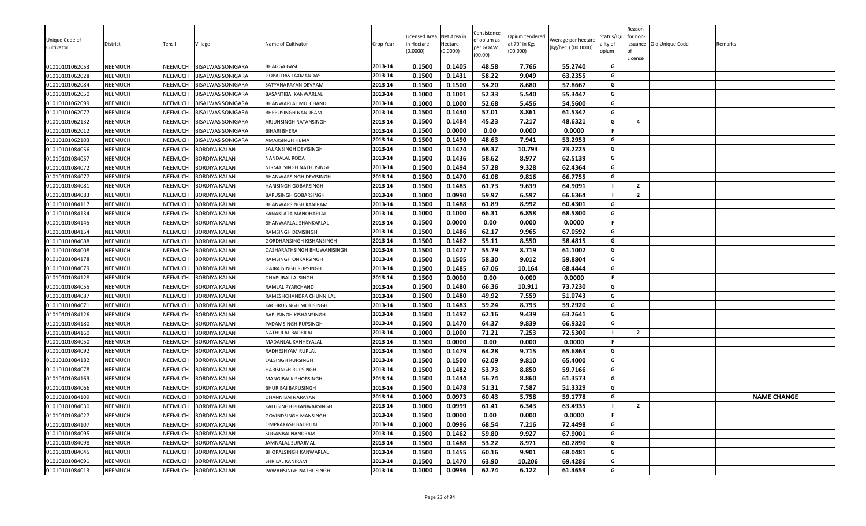| at 70° in Kgs<br>ality of<br>per GOAW<br>(Kg/hec.) (00.0000)<br>Cultivator<br>(00.000)<br>(0.0000)<br>(0.0000)<br>opium<br>(00.00)<br>0.1405<br>48.58<br>55.2740<br>01010101062053<br>NEEMUCH<br>NEEMUCH<br><b>BISALWAS SONIGARA</b><br>2013-14<br>0.1500<br>7.766<br>G | License        | issuance Old Unique Code | Remarks            |
|-------------------------------------------------------------------------------------------------------------------------------------------------------------------------------------------------------------------------------------------------------------------------|----------------|--------------------------|--------------------|
| BHAGGA GASI<br>58.22<br>G<br>2013-14<br>0.1500<br>0.1431<br>9.049<br>63.2355<br>01010101062028<br>NEEMUCH<br>NEEMUCH                                                                                                                                                    |                |                          |                    |
| <b>BISALWAS SONIGARA</b><br>GOPALDAS LAXMANDAS<br>01010101062084<br>NEEMUCH<br>2013-14<br>0.1500<br>0.1500<br>54.20<br>8.680<br>57.8667<br>NEEMUCH<br><b>BISALWAS SONIGARA</b><br>SATYANARAYAN DEVRAM<br>G                                                              |                |                          |                    |
| 52.33<br>2013-14<br>0.1000<br>0.1001<br>5.540<br>55.3447<br>G<br>01010101062050<br>NEEMUCH<br>NEEMUCH<br><b>BISALWAS SONIGARA</b><br>BASANTIBAI KANWARLAL                                                                                                               |                |                          |                    |
| 01010101062099<br>NEEMUCH<br>NEEMUCH<br><b>BISALWAS SONIGARA</b><br>2013-14<br>0.1000<br>0.1000<br>52.68<br>5.456<br>54.5600<br>G<br>BHANWARLAL MULCHAND                                                                                                                |                |                          |                    |
| 2013-14<br>0.1500<br>0.1440<br>57.01<br>8.861<br>61.5347<br>G<br>01010101062077<br>NEEMUCH<br>NEEMUCH<br><b>BISALWAS SONIGARA</b><br>BHERUSINGH NANURAM                                                                                                                 |                |                          |                    |
| 0.1484<br>45.23<br>48.6321<br>01010101062132<br>NEEMUCH<br>NEEMUCH<br><b>BISALWAS SONIGARA</b><br>2013-14<br>0.1500<br>7.217<br>G<br>ARJUNSINGH RATANSINGH                                                                                                              | $\overline{a}$ |                          |                    |
| 0.0000<br>0.1500<br>0.00<br>0.000<br>0.0000<br>F.<br>2013-14<br>01010101062012<br>NEEMUCH<br>NEEMUCH<br><b>BISALWAS SONIGARA</b><br><b>BIHARI BHERA</b>                                                                                                                 |                |                          |                    |
| 48.63<br>53.2953<br>0.1500<br>0.1490<br>7.941<br>01010101062103<br>NEEMUCH<br>NEEMUCH<br><b>BISALWAS SONIGARA</b><br>2013-14<br>G<br>AMARSINGH HEMA                                                                                                                     |                |                          |                    |
| 0.1474<br>68.37<br>10.793<br>73.2225<br>2013-14<br>0.1500<br>G<br>01010101084056<br>NEEMUCH<br>NEEMUCH<br><b>BORDIYA KALAN</b><br>SAJJANSINGH DEVISINGH                                                                                                                 |                |                          |                    |
| NEEMUCH<br>0.1500<br>0.1436<br>58.62<br>8.977<br>62.5139<br>G<br>01010101084057<br>NEEMUCH<br><b>BORDIYA KALAN</b><br>2013-14<br>NANDALAL RODA                                                                                                                          |                |                          |                    |
| 2013-14<br>0.1500<br>0.1494<br>57.28<br>9.328<br>62.4364<br>01010101084072<br>NEEMUCH<br>NEEMUCH<br><b>BORDIYA KALAN</b><br>G<br>NIRMALSINGH NATHUSINGH                                                                                                                 |                |                          |                    |
| 01010101084077<br>0.1500<br>0.1470<br>61.08<br>9.816<br>66.7755<br>NEEMUCH<br>NEEMUCH<br><b>BORDIYA KALAN</b><br>2013-14<br>G<br>BHANWARSINGH DEVISINGH                                                                                                                 |                |                          |                    |
| 9.639<br>2013-14<br>0.1500<br>0.1485<br>61.73<br>64.9091<br>01010101084081<br>NEEMUCH<br>NEEMUCH<br><b>BORDIYA KALAN</b><br>HARISINGH GOBARSINGH<br>- 1                                                                                                                 | $\overline{2}$ |                          |                    |
| 0.0990<br>59.97<br>0.1000<br>6.597<br>66.6364<br><b>NEEMUCH</b><br>NEEMUCH<br>2013-14<br>01010101084083<br><b>BORDIYA KALAN</b><br>BAPUSINGH GOBARSINGH                                                                                                                 | $\overline{2}$ |                          |                    |
| 0.1488<br>8.992<br>0.1500<br>61.89<br>60.4301<br>G<br>2013-14<br>01010101084117<br>NEEMUCH<br>NEEMUCH<br><b>BORDIYA KALAN</b><br>BHANWARSINGH KANIRAM                                                                                                                   |                |                          |                    |
| 0.1000<br>0.1000<br>66.31<br>6.858<br>G<br>01010101084134<br>NEEMUCH<br>NEEMUCH<br><b>BORDIYA KALAN</b><br>KANAKLATA MANOHARLAL<br>2013-14<br>68.5800                                                                                                                   |                |                          |                    |
| 0.1500<br>0.0000<br>0.00<br>F<br>01010101084145<br>2013-14<br>0.000<br>0.0000<br>NEEMUCH<br>NEEMUCH<br><b>BORDIYA KALAN</b><br>BHANWARLAL SHANKARLAL                                                                                                                    |                |                          |                    |
| 01010101084154<br>0.1500<br>0.1486<br>62.17<br>9.965<br>67.0592<br>NEEMUCH<br>NEEMUCH<br><b>BORDIYA KALAN</b><br>2013-14<br>G<br>RAMSINGH DEVISINGH                                                                                                                     |                |                          |                    |
| 0.1500<br>0.1462<br>55.11<br>8.550<br>58.4815<br>2013-14<br>G<br>01010101084088<br>NEEMUCH<br>NEEMUCH<br><b>BORDIYA KALAN</b><br>GORDHANSINGH KISHANSINGH                                                                                                               |                |                          |                    |
| 01010101084008<br>NEEMUCH<br>NEEMUCH<br>2013-14<br>0.1500<br>0.1427<br>55.79<br>8.719<br>61.1002<br>G<br><b>BORDIYA KALAN</b><br>DASHARATHSINGH BHUWANISINGH                                                                                                            |                |                          |                    |
| 58.30<br>0.1500<br>0.1505<br>9.012<br>59.8804<br>G<br>2013-14<br>01010101084178<br>NEEMUCH<br><b>NEEMUCH</b><br><b>BORDIYA KALAN</b><br>RAMSINGH ONKARSINGH                                                                                                             |                |                          |                    |
| 2013-14<br>0.1500<br>0.1485<br>67.06<br>G<br>NEEMUCH<br>NEEMUCH<br>10.164<br>68.4444<br>01010101084079<br><b>BORDIYA KALAN</b><br>GAJRAJSINGH RUPSINGH                                                                                                                  |                |                          |                    |
| 0.0000<br>0.1500<br>0.00<br>0.000<br>0.0000<br>F.<br>2013-14<br>01010101084128<br>NEEMUCH<br>NEEMUCH<br><b>BORDIYA KALAN</b><br>DHAPUBAI LALSINGH                                                                                                                       |                |                          |                    |
| 66.36<br>NEEMUCH<br>0.1500<br>0.1480<br>10.911<br>73.7230<br>G<br>01010101084055<br>NEEMUCH<br><b>BORDIYA KALAN</b><br>2013-14<br>RAMLAL PYARCHAND                                                                                                                      |                |                          |                    |
| 0.1500<br>0.1480<br>49.92<br>51.0743<br>G<br>NEEMUCH<br>2013-14<br>7.559<br>01010101084087<br>NEEMUCH<br><b>BORDIYA KALAN</b><br>RAMESHCHANDRA CHUNNILAL                                                                                                                |                |                          |                    |
| G<br>01010101084071<br>NEEMUCH<br>NEEMUCH<br>2013-14<br>0.1500<br>0.1483<br>59.24<br>8.793<br>59.2920<br><b>BORDIYA KALAN</b><br>KACHRUSINGH MOTISINGH                                                                                                                  |                |                          |                    |
| 0.1500<br>0.1492<br>62.16<br>9.439<br>63.2641<br>01010101084126<br>NEEMUCH<br>NEEMUCH<br><b>BORDIYA KALAN</b><br>2013-14<br>G<br><b>BAPUSINGH KISHANSINGH</b>                                                                                                           |                |                          |                    |
| 2013-14<br>0.1500<br>0.1470<br>64.37<br>9.839<br>66.9320<br>G<br>01010101084180<br>NEEMUCH<br>NEEMUCH<br><b>BORDIYA KALAN</b><br>PADAMSINGH RUPSINGH                                                                                                                    |                |                          |                    |
| 2013-14<br>0.1000<br>0.1000<br>71.21<br>7.253<br>72.5300<br>NEEMUCH<br>NEEMUCH<br>01010101084160<br><b>BORDIYA KALAN</b><br>NATHULAL BADRILAL<br>- 1                                                                                                                    | $\overline{2}$ |                          |                    |
| F.<br>2013-14<br>0.1500<br>0.0000<br>0.00<br>0.000<br>0.0000<br>01010101084050<br>NEEMUCH<br>NEEMUCH<br><b>BORDIYA KALAN</b><br>MADANLAL KANHEYALAL                                                                                                                     |                |                          |                    |
| 0.1479<br>64.28<br>65.6863<br>0.1500<br>9.715<br>G<br>2013-14<br>01010101084092<br>NEEMUCH<br>NEEMUCH<br><b>BORDIYA KALAN</b><br>RADHESHYAM RUPLAL                                                                                                                      |                |                          |                    |
| G<br>2013-14<br>0.1500<br>0.1500<br>62.09<br>9.810<br>01010101084182<br>NEEMUCH<br>NEEMUCH<br><b>BORDIYA KALAN</b><br>65.4000<br>LALSINGH RUPSINGH                                                                                                                      |                |                          |                    |
| NEEMUCH<br>0.1482<br>53.73<br>8.850<br>59.7166<br>G<br>01010101084078<br>NEEMUCH<br><b>BORDIYA KALAN</b><br>2013-14<br>0.1500<br>HARISINGH RUPSINGH                                                                                                                     |                |                          |                    |
| NEEMUCH<br>NEEMUCH<br>2013-14<br>0.1500<br>0.1444<br>56.74<br>8.860<br>61.3573<br>G<br>01010101084169<br><b>BORDIYA KALAN</b><br>MANGIBAI KISHORSINGH                                                                                                                   |                |                          |                    |
| 01010101084066<br>0.1500<br>0.1478<br>51.31<br>7.587<br>51.3329<br>NEEMUCH<br>NEEMUCH<br><b>BORDIYA KALAN</b><br>BHURIBAI BAPUSINGH<br>2013-14<br>G                                                                                                                     |                |                          |                    |
| 01010101084109<br>2013-14<br>0.1000<br>0.0973<br>60.43<br>5.758<br>59.1778<br>G<br>NEEMUCH<br>NEEMUCH<br><b>BORDIYA KALAN</b><br>DHANNIBAI NARAYAN<br>0.0999<br>61.41<br>6.343<br>63.4935                                                                               | $\overline{2}$ |                          | <b>NAME CHANGE</b> |
| 0.1000<br>01010101084030<br>NEEMUCH<br>NEEMUCH<br><b>BORDIYA KALAN</b><br>2013-14<br>KALUSINGH BHANWARSINGH<br>2013-14<br>0.0000<br>F.<br>01010101084027<br>NEEMUCH<br>0.00<br>0.000<br>0.0000                                                                          |                |                          |                    |
| NEEMUCH BORDIYA KALAN<br>0.1500<br>GOVINDSINGH MANSINGH<br>01010101084107<br>0.0996<br>68.54<br>G<br>NEEMUCH<br>NEEMUCH<br><b>BORDIYA KALAN</b><br>2013-14<br>0.1000<br>7.216<br>72.4498<br><b>OMPRAKASH BADRILAL</b>                                                   |                |                          |                    |
| 2013-14<br>0.1462<br>59.80<br>9.927<br>G<br>01010101084095<br>NEEMUCH<br>NEEMUCH<br><b>BORDIYA KALAN</b><br>0.1500<br>67.9001<br>SUGANBAI NANDRAM                                                                                                                       |                |                          |                    |
| 2013-14<br>0.1488<br>53.22<br>8.971<br>60.2890<br>G<br>01010101084098<br>NEEMUCH<br>NEEMUCH<br><b>BORDIYA KALAN</b><br>JAMNALAL SURAJMAL<br>0.1500                                                                                                                      |                |                          |                    |
| 0.1455<br>60.16<br>0.1500<br>9.901<br>68.0481<br>G<br>01010101084045<br>NEEMUCH<br>2013-14<br>NEEMUCH<br><b>BORDIYA KALAN</b><br><b>BHOPALSINGH KANWARLAL</b>                                                                                                           |                |                          |                    |
| 63.90<br>01010101084091<br>NEEMUCH<br>NEEMUCH<br><b>BORDIYA KALAN</b><br>2013-14<br>0.1500<br>0.1470<br>10.206<br>69.4286<br>G<br>SHRILAL KANIRAM                                                                                                                       |                |                          |                    |
| 0.0996<br>62.74<br>2013-14<br>0.1000<br>6.122<br>61.4659<br>G<br>01010101084013<br>NEEMUCH<br>NEEMUCH<br><b>BORDIYA KALAN</b><br>PAWANSINGH NATHUSINGH                                                                                                                  |                |                          |                    |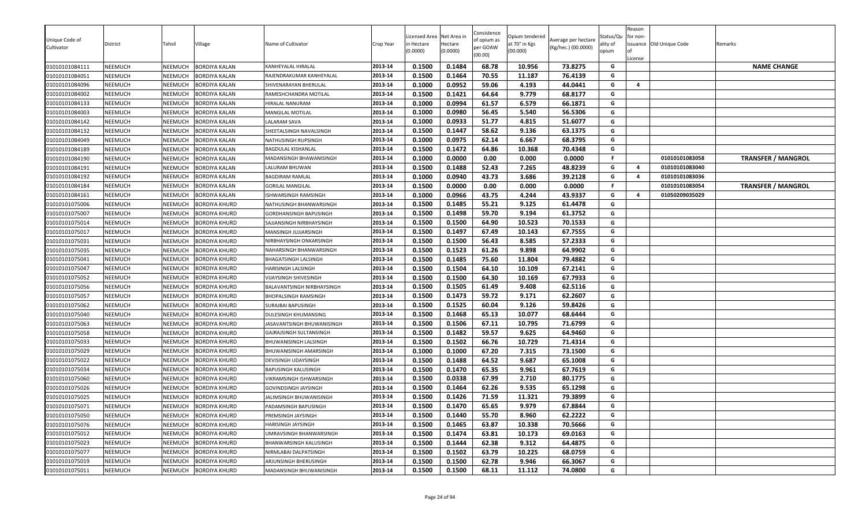| Unique Code of<br>Cultivator | District       | Tehsil         | Village              | Name of Cultivator                | Crop Year | icensed Area<br>າ Hectare<br>0.0000 | Net Area in<br>Hectare<br>(0.0000) | Consistence<br>of opium as<br>per GOAW | Opium tendered<br>at 70° in Kgs<br>(00.000) | Average per hectare<br>(Kg/hec.) (00.0000) | Status/Qu<br>ality of<br>opium | Reason<br>for non-<br>nf | issuance Old Unique Code | Remarks                   |
|------------------------------|----------------|----------------|----------------------|-----------------------------------|-----------|-------------------------------------|------------------------------------|----------------------------------------|---------------------------------------------|--------------------------------------------|--------------------------------|--------------------------|--------------------------|---------------------------|
|                              |                |                |                      |                                   |           |                                     |                                    | (00.00)                                |                                             |                                            |                                | License                  |                          |                           |
| 01010101084111               | NEEMUCH        | NEEMUCH        | <b>BORDIYA KALAN</b> | <b>KANHEYALAL HIRALAL</b>         | 2013-14   | 0.1500                              | 0.1484                             | 68.78                                  | 10.956                                      | 73.8275                                    | G                              |                          |                          | <b>NAME CHANGE</b>        |
| 01010101084051               | NEEMUCH        | NEEMUCH        | BORDIYA KALAN        | RAJENDRAKUMAR KANHEYALAL          | 2013-14   | 0.1500                              | 0.1464                             | 70.55                                  | 11.187                                      | 76.4139                                    | G                              |                          |                          |                           |
| 01010101084096               | NEEMUCH        | NEEMUCH        | <b>BORDIYA KALAN</b> | SHIVENARAYAN BHERULAL             | 2013-14   | 0.1000                              | 0.0952                             | 59.06                                  | 4.193                                       | 44.0441                                    | G                              | $\overline{a}$           |                          |                           |
| 01010101084002               | NEEMUCH        | NEEMUCH        | BORDIYA KALAN        | RAMESHCHANDRA MOTILAL             | 2013-14   | 0.1500                              | 0.1421                             | 64.64                                  | 9.779                                       | 68.8177                                    | G                              |                          |                          |                           |
| 01010101084133               | NEEMUCH        | NEEMUCH        | BORDIYA KALAN        | <b>HIRALAL NANURAM</b>            | 2013-14   | 0.1000                              | 0.0994                             | 61.57                                  | 6.579                                       | 66.1871                                    | G                              |                          |                          |                           |
| 01010101084003               | NEEMUCH        | NEEMUCH        | <b>BORDIYA KALAN</b> | <b>MANGILAL MOTILAL</b>           | 2013-14   | 0.1000                              | 0.0980                             | 56.45                                  | 5.540                                       | 56.5306                                    | G                              |                          |                          |                           |
| 01010101084142               | NEEMUCH        | NEEMUCH        | BORDIYA KALAN        | <b>LALARAM SAVA</b>               | 2013-14   | 0.1000                              | 0.0933                             | 51.77                                  | 4.815                                       | 51.6077                                    | G                              |                          |                          |                           |
| 01010101084132               | <b>NEEMUCH</b> | NEEMUCH        | BORDIYA KALAN        | SHEETALSINGH NAVALSINGH           | 2013-14   | 0.1500                              | 0.1447                             | 58.62                                  | 9.136                                       | 63.1375                                    | G                              |                          |                          |                           |
| 01010101084049               | <b>NEEMUCH</b> | NEEMUCH        | <b>BORDIYA KALAN</b> | NATHUSINGH RUPSINGH               | 2013-14   | 0.1000                              | 0.0975                             | 62.14                                  | 6.667                                       | 68.3795                                    | G                              |                          |                          |                           |
| 01010101084189               | NEEMUCH        | NEEMUCH        | <b>BORDIYA KALAN</b> | <b>BAGDULAL KISHANLAL</b>         | 2013-14   | 0.1500                              | 0.1472                             | 64.86                                  | 10.368                                      | 70.4348                                    | G                              |                          |                          |                           |
| 01010101084190               | NEEMUCH        | NEEMUCH        | BORDIYA KALAN        | MADANSINGH BHAWANISINGH           | 2013-14   | 0.1000                              | 0.0000                             | 0.00                                   | 0.000                                       | 0.0000                                     | F.                             |                          | 01010101083058           | <b>TRANSFER / MANGROL</b> |
| 01010101084191               | NEEMUCH        | NEEMUCH        | BORDIYA KALAN        | LALURAM BHUWAN                    | 2013-14   | 0.1500                              | 0.1488                             | 52.43                                  | 7.265                                       | 48.8239                                    | G                              | $\overline{a}$           | 01010101083040           |                           |
| 01010101084192               | NEEMUCH        | NEEMUCH        | BORDIYA KALAN        | <b>BAGDIRAM RAMLAL</b>            | 2013-14   | 0.1000                              | 0.0940                             | 43.73                                  | 3.686                                       | 39.2128                                    | G                              | $\overline{a}$           | 01010101083036           |                           |
| 01010101084184               | NEEMUCH        | NEEMUCH        | BORDIYA KALAN        | <b>GORILAL MANGILAL</b>           | 2013-14   | 0.1500                              | 0.0000                             | 0.00                                   | 0.000                                       | 0.0000                                     | F                              |                          | 01010101083054           | <b>TRANSFER / MANGROL</b> |
| 01010101084161               | NEEMUCH        | NEEMUCH        | <b>BORDIYA KALAN</b> | ISHWARSINGH RAMSINGH              | 2013-14   | 0.1000                              | 0.0966                             | 43.75                                  | 4.244                                       | 43.9337                                    | G                              | 4                        | 01050209035029           |                           |
| 01010101075006               | <b>NEEMUCH</b> | NEEMUCH        | BORDIYA KHURD        | NATHUSINGH BHANWARSINGH           | 2013-14   | 0.1500                              | 0.1485                             | 55.21                                  | 9.125                                       | 61.4478                                    | G                              |                          |                          |                           |
| 01010101075007               | <b>NEEMUCH</b> | NEEMUCH        | <b>BORDIYA KHURD</b> | <b>GORDHANSINGH BAPUSINGH</b>     | 2013-14   | 0.1500                              | 0.1498                             | 59.70                                  | 9.194                                       | 61.3752                                    | G                              |                          |                          |                           |
| 01010101075014               | NEEMUCH        | NEEMUCH        | BORDIYA KHURD        | SAJJANSINGH NIRBHAYSINGH          | 2013-14   | 0.1500                              | 0.1500                             | 64.90                                  | 10.523                                      | 70.1533                                    | G                              |                          |                          |                           |
| 01010101075017               | NEEMUCH        | NEEMUCH        | BORDIYA KHURD        | MANSINGH JUJJARSINGH              | 2013-14   | 0.1500                              | 0.1497                             | 67.49                                  | 10.143                                      | 67.7555                                    | G                              |                          |                          |                           |
| 01010101075031               | NEEMUCH        | NEEMUCH        | BORDIYA KHURD        | NIRBHAYSINGH ONKARSINGH           | 2013-14   | 0.1500                              | 0.1500                             | 56.43                                  | 8.585                                       | 57.2333                                    | G                              |                          |                          |                           |
| 01010101075035               | <b>NEEMUCH</b> | NEEMUCH        | <b>BORDIYA KHURD</b> | NAHARSINGH BHANWARSINGH           | 2013-14   | 0.1500                              | 0.1523                             | 61.26                                  | 9.898                                       | 64.9902                                    | G                              |                          |                          |                           |
| 01010101075041               | <b>NEEMUCH</b> | NEEMUCH        | BORDIYA KHURD        | <b>BHAGATSINGH LALSINGH</b>       | 2013-14   | 0.1500                              | 0.1485                             | 75.60                                  | 11.804                                      | 79.4882                                    | G                              |                          |                          |                           |
| 01010101075047               | NEEMUCH        | NEEMUCH        | BORDIYA KHURD        | <b>HARISINGH LALSINGH</b>         | 2013-14   | 0.1500                              | 0.1504                             | 64.10                                  | 10.109                                      | 67.2141                                    | G                              |                          |                          |                           |
| 01010101075052               | <b>NEEMUCH</b> | NEEMUCH        | BORDIYA KHURD        | <b>VIJAYSINGH SHIVESINGH</b>      | 2013-14   | 0.1500                              | 0.1500                             | 64.30                                  | 10.169                                      | 67.7933                                    | G                              |                          |                          |                           |
| 01010101075056               | <b>NEEMUCH</b> | NEEMUCH        | <b>BORDIYA KHURD</b> | <b>BALAVANTSINGH NIRBHAYSINGH</b> | 2013-14   | 0.1500                              | 0.1505                             | 61.49                                  | 9.408                                       | 62.5116                                    | G                              |                          |                          |                           |
| 01010101075057               | <b>NEEMUCH</b> | NEEMUCH        | BORDIYA KHURD        | <b>BHOPALSINGH RAMSINGH</b>       | 2013-14   | 0.1500                              | 0.1473                             | 59.72                                  | 9.171                                       | 62.2607                                    | G                              |                          |                          |                           |
| 01010101075062               | NEEMUCH        | NEEMUCH        | BORDIYA KHURD        | <b>SURAJBAI BAPUSINGH</b>         | 2013-14   | 0.1500                              | 0.1525                             | 60.04                                  | 9.126                                       | 59.8426                                    | G                              |                          |                          |                           |
| 01010101075040               | NEEMUCH        | <b>NEEMUCH</b> | 3ORDIYA KHURD        | DULESINGH KHUMANSING              | 2013-14   | 0.1500                              | 0.1468                             | 65.13                                  | 10.077                                      | 68.6444                                    | G                              |                          |                          |                           |
| 01010101075063               | NEEMUCH        | NEEMUCH        | BORDIYA KHURD        | JASAVANTSINGH BHUWANISINGH        | 2013-14   | 0.1500                              | 0.1506                             | 67.11                                  | 10.795                                      | 71.6799                                    | G                              |                          |                          |                           |
| 01010101075058               | NEEMUCH        | NEEMUCH        | BORDIYA KHURD        | GAJRAJSINGH SULTANSINGH           | 2013-14   | 0.1500                              | 0.1482                             | 59.57                                  | 9.625                                       | 64.9460                                    | G                              |                          |                          |                           |
| 01010101075033               | <b>NEEMUCH</b> | NEEMUCH        | BORDIYA KHURD        | <b>BHUWANISINGH LALSINGH</b>      | 2013-14   | 0.1500                              | 0.1502                             | 66.76                                  | 10.729                                      | 71.4314                                    | G                              |                          |                          |                           |
| 01010101075029               | <b>NEEMUCH</b> | NEEMUCH        | BORDIYA KHURD        | <b>BHUWANISINGH AMARSINGH</b>     | 2013-14   | 0.1000                              | 0.1000                             | 67.20                                  | 7.315                                       | 73.1500                                    | G                              |                          |                          |                           |
| 01010101075022               | <b>NEEMUCH</b> | NEEMUCH        | <b>BORDIYA KHURD</b> | <b>DEVISINGH UDAYSINGH</b>        | 2013-14   | 0.1500                              | 0.1488                             | 64.52                                  | 9.687                                       | 65.1008                                    | G                              |                          |                          |                           |
| 01010101075034               | <b>NEEMUCH</b> | NEEMUCH        | <b>BORDIYA KHURD</b> | <b>BAPUSINGH KALUSINGH</b>        | 2013-14   | 0.1500                              | 0.1470                             | 65.35                                  | 9.961                                       | 67.7619                                    | G                              |                          |                          |                           |
| 01010101075060               | NEEMUCH        | NEEMUCH        | <b>BORDIYA KHURD</b> | <b>VIKRAMSINGH ISHWARSINGH</b>    | 2013-14   | 0.1500                              | 0.0338                             | 67.99                                  | 2.710                                       | 80.1775                                    | G                              |                          |                          |                           |
| 01010101075026               | NEEMUCH        | NEEMUCH        | BORDIYA KHURD        | <b>GOVINDSINGH JAYSINGH</b>       | 2013-14   | 0.1500                              | 0.1464                             | 62.26                                  | 9.535                                       | 65.1298                                    | G                              |                          |                          |                           |
| 01010101075025               | NEEMUCH        | <b>NEEMUCH</b> | 3ORDIYA KHURD        | JALIMSINGH BHUWANISINGH           | 2013-14   | 0.1500                              | 0.1426                             | 71.59                                  | 11.321                                      | 79.3899                                    | G                              |                          |                          |                           |
| 01010101075071               | NEEMUCH        | NEEMUCH        | <b>BORDIYA KHURD</b> | <b>PADAMSINGH BAPUSINGH</b>       | 2013-14   | 0.1500                              | 0.1470                             | 65.65                                  | 9.979                                       | 67.8844                                    | G                              |                          |                          |                           |
| 01010101075050               | <b>NEEMUCH</b> | NEEMUCH        | <b>BORDIYA KHURD</b> | PREMSINGH JAYSINGH                | 2013-14   | 0.1500                              | 0.1440                             | 55.70                                  | 8.960                                       | 62.2222                                    | G                              |                          |                          |                           |
| 01010101075076               | NEEMUCH        | NEEMUCH        | <b>BORDIYA KHURD</b> | HARISINGH JAYSINGH                | 2013-14   | 0.1500                              | 0.1465                             | 63.87                                  | 10.338                                      | 70.5666                                    | G                              |                          |                          |                           |
| 01010101075012               | <b>NEEMUCH</b> | NEEMUCH        | <b>BORDIYA KHURD</b> | UMRAVSINGH BHANWARSINGH           | 2013-14   | 0.1500                              | 0.1474                             | 63.81                                  | 10.173                                      | 69.0163                                    | G                              |                          |                          |                           |
| 01010101075023               | NEEMUCH        | NEEMUCH        | <b>BORDIYA KHURD</b> | <b>BHANWARSINGH KALUSINGH</b>     | 2013-14   | 0.1500                              | 0.1444                             | 62.38                                  | 9.312                                       | 64.4875                                    | G                              |                          |                          |                           |
| 01010101075077               | <b>NEEMUCH</b> | NEEMUCH        | BORDIYA KHURD        | NIRMLABAI DALPATSINGH             | 2013-14   | 0.1500                              | 0.1502                             | 63.79                                  | 10.225                                      | 68.0759                                    | G                              |                          |                          |                           |
| 01010101075019               | NEEMUCH        | NEEMUCH        | <b>BORDIYA KHURD</b> | ARJUNSINGH BHERUSINGH             | 2013-14   | 0.1500                              | 0.1500                             | 62.78                                  | 9.946                                       | 66.3067                                    | G                              |                          |                          |                           |
| 01010101075011               | NEEMUCH        | NEEMUCH        | <b>BORDIYA KHURD</b> | MADANSINGH BHUWANISINGH           | 2013-14   | 0.1500                              | 0.1500                             | 68.11                                  | 11.112                                      | 74.0800                                    | G                              |                          |                          |                           |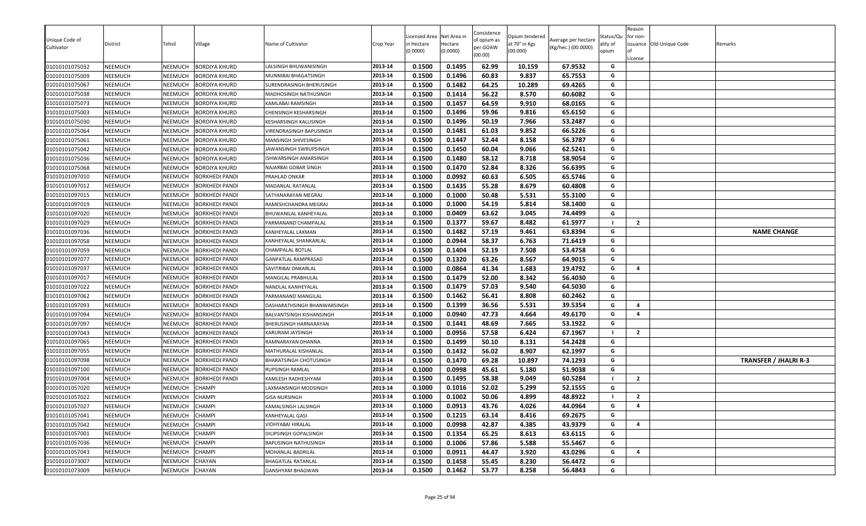| Unique Code of<br>Cultivator     | District           | Tehsil             | Village                                      | Name of Cultivator                               | Crop Year          | Licensed Area<br>า Hectare<br>(0.0000) | Net Area in<br>Hectare<br>(0.0000) | Consistence<br>of opium as<br>per GOAW<br>(00.00) | Opium tendered<br>at 70° in Kgs<br>(00.000) | Average per hectare<br>(Kg/hec.) (00.0000) | Status/Qu<br>ality of<br>opium | Reason<br>for non-<br>License | issuance Old Unique Code | Remarks                      |
|----------------------------------|--------------------|--------------------|----------------------------------------------|--------------------------------------------------|--------------------|----------------------------------------|------------------------------------|---------------------------------------------------|---------------------------------------------|--------------------------------------------|--------------------------------|-------------------------------|--------------------------|------------------------------|
| 01010101075032                   | NEEMUCH            | NEEMUCH            | <b>BORDIYA KHURD</b>                         | ALSINGH BHUWANISINGH                             | 2013-14<br>2013-14 | 0.1500                                 | 0.1495                             | 62.99                                             | 10.159                                      | 67.9532                                    | G<br>G                         |                               |                          |                              |
| 01010101075009<br>01010101075067 | NEEMUCH<br>NEEMUCH | NEEMUCH<br>NEEMUCH | <b>BORDIYA KHURD</b><br><b>BORDIYA KHURD</b> | MUNNIBAI BHAGATSINGH<br>SURENDRASINGH BHERUSINGH | 2013-14            | 0.1500<br>0.1500                       | 0.1496<br>0.1482                   | 60.83<br>64.25                                    | 9.837<br>10.289                             | 65.7553<br>69.4265                         | G                              |                               |                          |                              |
|                                  | NEEMUCH            | <b>NEEMUCH</b>     | <b>BORDIYA KHURD</b>                         | MADHOSINGH NATHUSINGH                            | 2013-14            | 0.1500                                 | 0.1414                             | 56.22                                             | 8.570                                       | 60.6082                                    | G                              |                               |                          |                              |
| 01010101075038<br>01010101075073 | NEEMUCH            | NEEMUCH            | <b>BORDIYA KHURD</b>                         | KAMLABAI RAMSINGH                                | 2013-14            | 0.1500                                 | 0.1457                             | 64.59                                             | 9.910                                       | 68.0165                                    | G                              |                               |                          |                              |
| 01010101075003                   | NEEMUCH            | NEEMUCH            | <b>BORDIYA KHURD</b>                         | CHENSINGH KESHARSINGH                            | 2013-14            | 0.1500                                 | 0.1496                             | 59.96                                             | 9.816                                       | 65.6150                                    | G                              |                               |                          |                              |
| 01010101075030                   | NEEMUCH            | NEEMUCH            | <b>BORDIYA KHURD</b>                         | KESHARSINGH KALUSINGH                            | 2013-14            | 0.1500                                 | 0.1496                             | 50.19                                             | 7.966                                       | 53.2487                                    | G                              |                               |                          |                              |
| 01010101075064                   | NEEMUCH            | NEEMUCH            | <b>BORDIYA KHURD</b>                         | VIRENDRASINGH BAPUSINGH                          | 2013-14            | 0.1500                                 | 0.1481                             | 61.03                                             | 9.852                                       | 66.5226                                    | G                              |                               |                          |                              |
| 01010101075061                   | NEEMUCH            | NEEMUCH            | <b>BORDIYA KHURD</b>                         | MANSINGH SHIVESINGH                              | 2013-14            | 0.1500                                 | 0.1447                             | 52.44                                             | 8.158                                       | 56.3787                                    | G                              |                               |                          |                              |
| 01010101075042                   | NEEMUCH            | NEEMUCH            | <b>BORDIYA KHURD</b>                         | JAWANSINGH SWRUPSINGH                            | 2013-14            | 0.1500                                 | 0.1450                             | 60.04                                             | 9.066                                       | 62.5241                                    | G                              |                               |                          |                              |
| 01010101075036                   | NEEMUCH            | NEEMUCH            | <b>BORDIYA KHURD</b>                         | ISHWARSINGH AMARSINGH                            | 2013-14            | 0.1500                                 | 0.1480                             | 58.12                                             | 8.718                                       | 58.9054                                    | G                              |                               |                          |                              |
| 01010101075068                   | <b>NEEMUCH</b>     | NEEMUCH            | <b>BORDIYA KHURD</b>                         | NAJARBAI GOBAR SINGH                             | 2013-14            | 0.1500                                 | 0.1470                             | 52.84                                             | 8.326                                       | 56.6395                                    | G                              |                               |                          |                              |
| 01010101097010                   | NEEMUCH            | NEEMUCH            | <b>BORKHEDI PANDI</b>                        | PRAHLAD ONKAR                                    | 2013-14            | 0.1000                                 | 0.0992                             | 60.63                                             | 6.505                                       | 65.5746                                    | G                              |                               |                          |                              |
| 01010101097012                   | NEEMUCH            | NEEMUCH            | <b>BORKHEDI PANDI</b>                        | MADANLAL RATANLAL                                | 2013-14            | 0.1500                                 | 0.1435                             | 55.28                                             | 8.679                                       | 60.4808                                    | G                              |                               |                          |                              |
| 01010101097015                   | NEEMUCH            | NEEMUCH            | <b>BORKHEDI PANDI</b>                        | SATYANARAYAN MEGRAJ                              | 2013-14            | 0.1000                                 | 0.1000                             | 50.48                                             | 5.531                                       | 55.3100                                    | G                              |                               |                          |                              |
| 01010101097019                   | NEEMUCH            | NEEMUCH            | <b>BORKHEDI PANDI</b>                        | RAMESHCHANDRA MEGRAJ                             | 2013-14            | 0.1000                                 | 0.1000                             | 54.19                                             | 5.814                                       | 58.1400                                    | G                              |                               |                          |                              |
| 01010101097020                   | NEEMUCH            | NEEMUCH            | <b>BORKHEDI PANDI</b>                        | BHUWANILAL KANHEYALAL                            | 2013-14            | 0.1000                                 | 0.0409                             | 63.62                                             | 3.045                                       | 74.4499                                    | G                              |                               |                          |                              |
| 01010101097029                   | NEEMUCH            | NEEMUCH            | <b>BORKHEDI PANDI</b>                        | PARMANAND CHAMPALAL                              | 2013-14            | 0.1500                                 | 0.1377                             | 59.67                                             | 8.482                                       | 61.5977                                    | - 1                            | $\overline{2}$                |                          |                              |
| 01010101097036                   | NEEMUCH            | NEEMUCH            | <b>BORKHEDI PANDI</b>                        | KANHEYALAL LAXMAN                                | 2013-14            | 0.1500                                 | 0.1482                             | 57.19                                             | 9.461                                       | 63.8394                                    | G                              |                               |                          | <b>NAME CHANGE</b>           |
| 01010101097058                   | NEEMUCH            | NEEMUCH            | <b>BORKHEDI PANDI</b>                        | KANHEYALAL SHANKARLAL                            | 2013-14            | 0.1000                                 | 0.0944                             | 58.37                                             | 6.763                                       | 71.6419                                    | G                              |                               |                          |                              |
| 01010101097059                   | NEEMUCH            | NEEMUCH            | <b>BORKHEDI PANDI</b>                        | CHAMPALAL BOTLAL                                 | 2013-14            | 0.1500                                 | 0.1404                             | 52.19                                             | 7.508                                       | 53.4758                                    | G                              |                               |                          |                              |
| 01010101097077                   | NEEMUCH            | NEEMUCH            | <b>BORKHEDI PANDI</b>                        | GANPATLAL RAMPRASAD                              | 2013-14            | 0.1500                                 | 0.1320                             | 63.26                                             | 8.567                                       | 64.9015                                    | G                              |                               |                          |                              |
| 01010101097037                   | NEEMUCH            | NEEMUCH            | <b>BORKHEDI PANDI</b>                        | SAVITRIBAI ONKARLAL                              | 2013-14            | 0.1000                                 | 0.0864                             | 41.34                                             | 1.683                                       | 19.4792                                    | G                              | 4                             |                          |                              |
| 01010101097017                   | NEEMUCH            | NEEMUCH            | <b>BORKHEDI PANDI</b>                        | MANGILAL PRABHULAL                               | 2013-14            | 0.1500                                 | 0.1479                             | 52.00                                             | 8.342                                       | 56.4030                                    | G                              |                               |                          |                              |
| 01010101097022                   | NEEMUCH            | NEEMUCH            | <b>BORKHEDI PANDI</b>                        | NANDLAL KANHEYALAL                               | 2013-14            | 0.1500                                 | 0.1479                             | 57.03                                             | 9.540                                       | 64.5030                                    | G                              |                               |                          |                              |
| 01010101097062                   | NEEMUCH            | NEEMUCH            | <b>BORKHEDI PANDI</b>                        | PARMANAND MANGILAL                               | 2013-14            | 0.1500                                 | 0.1462                             | 56.41                                             | 8.808                                       | 60.2462                                    | G                              |                               |                          |                              |
| 01010101097093                   | NEEMUCH            | NEEMUCH            | <b>BORKHEDI PANDI</b>                        | DASHARATHSINGH BHANWARSINGH                      | 2013-14            | 0.1500                                 | 0.1399                             | 36.56                                             | 5.531                                       | 39.5354                                    | G                              | $\overline{4}$                |                          |                              |
| 01010101097094                   | NEEMUCH            | NEEMUCH            | <b>BORKHEDI PANDI</b>                        | BALVANTSINGH KISHANSINGH                         | 2013-14            | 0.1000                                 | 0.0940                             | 47.73                                             | 4.664                                       | 49.6170                                    | G                              | $\overline{a}$                |                          |                              |
| 01010101097097                   | NEEMUCH            | NEEMUCH            | <b>BORKHEDI PANDI</b>                        | BHERUSINGH HARNARAYAN                            | 2013-14            | 0.1500                                 | 0.1441                             | 48.69                                             | 7.665                                       | 53.1922                                    | G                              |                               |                          |                              |
| 01010101097043                   | NEEMUCH            | NEEMUCH            | <b>BORKHEDI PANDI</b>                        | KARURAM JAYSINGH                                 | 2013-14            | 0.1000                                 | 0.0956                             | 57.58                                             | 6.424                                       | 67.1967                                    |                                | $\overline{2}$                |                          |                              |
| 01010101097065                   | NEEMUCH            | NEEMUCH            | <b>BORKHEDI PANDI</b>                        | RAMNARAYAN DHANNA                                | 2013-14            | 0.1500                                 | 0.1499                             | 50.10                                             | 8.131                                       | 54.2428                                    | G                              |                               |                          |                              |
| 01010101097055                   | NEEMUCH            | NEEMUCH            | <b>BORKHEDI PANDI</b>                        | MATHURALAL KISHANLAL                             | 2013-14            | 0.1500                                 | 0.1432                             | 56.02                                             | 8.907                                       | 62.1997                                    | G                              |                               |                          |                              |
| 01010101097098                   | NEEMUCH            | NEEMUCH            | <b>BORKHEDI PANDI</b>                        | <b>BHARATSINGH CHOTUSINGH</b>                    | 2013-14            | 0.1500                                 | 0.1470                             | 69.28                                             | 10.897                                      | 74.1293                                    | G                              |                               |                          | <b>TRANSFER / JHALRI R-3</b> |
| 01010101097100                   | NEEMUCH            | NEEMUCH            | <b>BORKHEDI PANDI</b>                        | RUPSINGH RAMLAL                                  | 2013-14            | 0.1000                                 | 0.0998                             | 45.61                                             | 5.180                                       | 51.9038                                    | G                              |                               |                          |                              |
| 01010101097004                   | NEEMUCH            | NEEMUCH            | <b>BORKHEDI PANDI</b>                        | KAMLESH RADHESHYAM                               | 2013-14            | 0.1500                                 | 0.1495                             | 58.38                                             | 9.049                                       | 60.5284                                    | - 1                            | $\overline{2}$                |                          |                              |
| 01010101057020                   | NEEMUCH            | NEEMUCH            | <b>CHAMPI</b>                                | LAXMANSINGH MODSINGH                             | 2013-14            | 0.1000                                 | 0.1016                             | 52.02                                             | 5.299                                       | 52.1555                                    | G                              |                               |                          |                              |
| 01010101057022                   | NEEMUCH            | <b>NEEMUCH</b>     | <b>CHAMPI</b>                                | <b>GISA NURSINGH</b>                             | 2013-14            | 0.1000                                 | 0.1002                             | 50.06                                             | 4.899                                       | 48.8922                                    |                                | $\overline{2}$                |                          |                              |
| 01010101057027                   | NEEMUCH            | NEEMUCH            | <b>CHAMPI</b>                                | KAMALSINGH LALSINGH                              | 2013-14            | 0.1000                                 | 0.0913                             | 43.76                                             | 4.026                                       | 44.0964                                    | G                              | $\overline{a}$                |                          |                              |
| 01010101057041                   | NEEMUCH            | NEEMUCH            | <b>CHAMPI</b>                                | KANHEYALAL GASI                                  | 2013-14            | 0.1500                                 | 0.1215                             | 63.14                                             | 8.416                                       | 69.2675                                    | G                              |                               |                          |                              |
| 01010101057042                   | NEEMUCH            | NEEMUCH            | <b>CHAMPI</b>                                | VIDHYABAI HIRALAL                                | 2013-14            | 0.1000                                 | 0.0998                             | 42.87                                             | 4.385                                       | 43.9379                                    | G                              | $\overline{4}$                |                          |                              |
| 01010101057001                   | NEEMUCH            | NEEMUCH            | <b>CHAMPI</b>                                | DILIPSINGH GOPALSINGH                            | 2013-14            | 0.1500                                 | 0.1354                             | 65.25                                             | 8.613                                       | 63.6115                                    | G                              |                               |                          |                              |
| 01010101057036                   | NEEMUCH            | NEEMUCH            | <b>CHAMPI</b>                                | <b>BAPUSINGH NATHUSINGH</b>                      | 2013-14            | 0.1000                                 | 0.1006                             | 57.86                                             | 5.588                                       | 55.5467                                    | G                              |                               |                          |                              |
| 01010101057043                   | NEEMUCH            | NEEMUCH            | <b>CHAMPI</b>                                | MOHANLAL BADRILAL                                | 2013-14            | 0.1000                                 | 0.0911                             | 44.47                                             | 3.920                                       | 43.0296                                    | G                              | 4                             |                          |                              |
| 01010101073007                   | NEEMUCH            | NEEMUCH            | CHAYAN                                       | BHAGATLAL RATANLAL                               | 2013-14            | 0.1500                                 | 0.1458                             | 55.45                                             | 8.230                                       | 56.4472                                    | G                              |                               |                          |                              |
| 01010101073009                   | NEEMUCH            | NEEMUCH            | CHAYAN                                       | GANSHYAM BHAGWAN                                 | 2013-14            | 0.1500                                 | 0.1462                             | 53.77                                             | 8.258                                       | 56.4843                                    | G                              |                               |                          |                              |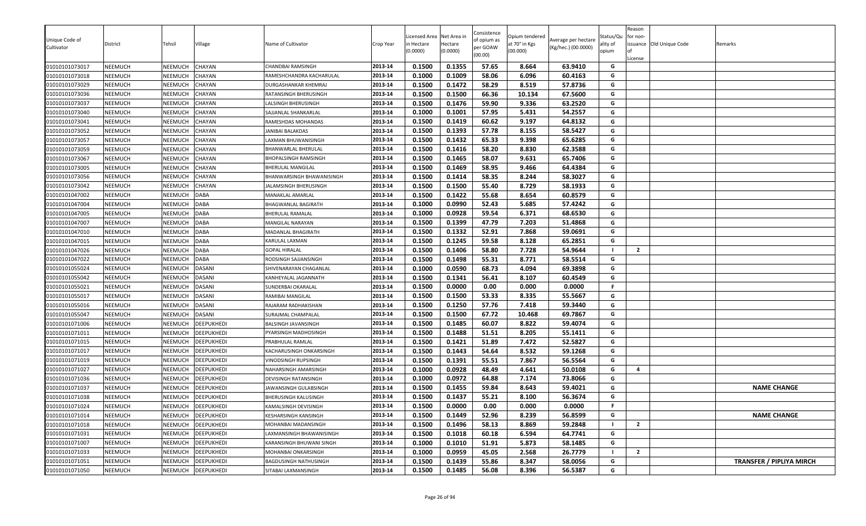| Unique Code of<br>Cultivator<br>01010101073017 | District<br>NEEMUCH | Tehsil<br>NEEMUCH | Village<br>CHAYAN | Name of Cultivator<br>CHANDBAI RAMSINGH | Crop Year<br>2013-14 | Licensed Area<br>า Hectare<br>(0.0000)<br>0.1500 | Net Area in<br>Hectare<br>(0.0000)<br>0.1355 | Consistence<br>of opium as<br>per GOAW<br>(00.00)<br>57.65 | Opium tendered<br>at 70° in Kgs<br>(00.000)<br>8.664 | Average per hectare<br>(Kg/hec.) (00.0000)<br>63.9410 | Status/Qu<br>ality of<br>opium<br>G | Reason<br>for non-<br>License | issuance Old Unique Code | Remarks                         |
|------------------------------------------------|---------------------|-------------------|-------------------|-----------------------------------------|----------------------|--------------------------------------------------|----------------------------------------------|------------------------------------------------------------|------------------------------------------------------|-------------------------------------------------------|-------------------------------------|-------------------------------|--------------------------|---------------------------------|
| 01010101073018                                 | NEEMUCH             | NEEMUCH           | CHAYAN            | RAMESHCHANDRA KACHARULAL                | 2013-14              | 0.1000                                           | 0.1009                                       | 58.06                                                      | 6.096                                                | 60.4163                                               | G                                   |                               |                          |                                 |
| 01010101073029                                 | NEEMUCH             | NEEMUCH           | CHAYAN            | DURGASHANKAR KHEMRAJ                    | 2013-14              | 0.1500                                           | 0.1472                                       | 58.29                                                      | 8.519                                                | 57.8736                                               | G                                   |                               |                          |                                 |
| 01010101073036                                 | NEEMUCH             | NEEMUCH           | CHAYAN            | RATANSINGH BHERUSINGH                   | 2013-14              | 0.1500                                           | 0.1500                                       | 66.36                                                      | 10.134                                               | 67.5600                                               | G                                   |                               |                          |                                 |
| 01010101073037                                 | NEEMUCH             | NEEMUCH           | CHAYAN            | <b>ALSINGH BHERUSINGH</b>               | 2013-14              | 0.1500                                           | 0.1476                                       | 59.90                                                      | 9.336                                                | 63.2520                                               | G                                   |                               |                          |                                 |
| 01010101073040                                 | NEEMUCH             | NEEMUCH           | CHAYAN            | SAJJANLAL SHANKARLAL                    | 2013-14              | 0.1000                                           | 0.1001                                       | 57.95                                                      | 5.431                                                | 54.2557                                               | G                                   |                               |                          |                                 |
| 01010101073041                                 | NEEMUCH             | NEEMUCH           | CHAYAN            | RAMESHDAS MOHANDAS                      | 2013-14              | 0.1500                                           | 0.1419                                       | 60.62                                                      | 9.197                                                | 64.8132                                               | G                                   |                               |                          |                                 |
| 01010101073052                                 | NEEMUCH             | NEEMUCH           | CHAYAN            | JANIBAI BALAKDAS                        | 2013-14              | 0.1500                                           | 0.1393                                       | 57.78                                                      | 8.155                                                | 58.5427                                               | G                                   |                               |                          |                                 |
| 01010101073057                                 | NEEMUCH             | NEEMUCH           | CHAYAN            | LAXMAN BHUWANISINGH                     | 2013-14              | 0.1500                                           | 0.1432                                       | 65.33                                                      | 9.398                                                | 65.6285                                               | G                                   |                               |                          |                                 |
| 01010101073059                                 | NEEMUCH             | NEEMUCH           | CHAYAN            | BHANWARLAL BHERULAL                     | 2013-14              | 0.1500                                           | 0.1416                                       | 58.20                                                      | 8.830                                                | 62.3588                                               | G                                   |                               |                          |                                 |
| 01010101073067                                 | NEEMUCH             | NEEMUCH           | CHAYAN            | BHOPALSINGH RAMSINGH                    | 2013-14              | 0.1500                                           | 0.1465                                       | 58.07                                                      | 9.631                                                | 65.7406                                               | G                                   |                               |                          |                                 |
| 01010101073005                                 | NEEMUCH             | NEEMUCH           | CHAYAN            | BHERULAL MANGILAL                       | 2013-14              | 0.1500                                           | 0.1469                                       | 58.95                                                      | 9.466                                                | 64.4384                                               | G                                   |                               |                          |                                 |
| 01010101073056                                 | NEEMUCH             | NEEMUCH           | CHAYAN            | BHANWARSINGH BHAWANISINGH               | 2013-14              | 0.1500                                           | 0.1414                                       | 58.35                                                      | 8.244                                                | 58.3027                                               | G                                   |                               |                          |                                 |
| 01010101073042                                 | NEEMUCH             | NEEMUCH           | CHAYAN            | JALAMSINGH BHERUSINGH                   | 2013-14              | 0.1500                                           | 0.1500                                       | 55.40                                                      | 8.729                                                | 58.1933                                               | G                                   |                               |                          |                                 |
| 01010101047002                                 | NEEMUCH             | NEEMUCH           | <b>DABA</b>       | MANAKLAL AMARLAL                        | 2013-14              | 0.1500                                           | 0.1422                                       | 55.68                                                      | 8.654                                                | 60.8579                                               | G                                   |                               |                          |                                 |
| 01010101047004                                 | NEEMUCH             | NEEMUCH           | <b>DABA</b>       | <b>BHAGWANLAL BAGIRATH</b>              | 2013-14              | 0.1000                                           | 0.0990                                       | 52.43                                                      | 5.685                                                | 57.4242                                               | G                                   |                               |                          |                                 |
| 01010101047005                                 | NEEMUCH             | NEEMUCH           | <b>DABA</b>       | BHERULAL RAMALAL                        | 2013-14              | 0.1000                                           | 0.0928                                       | 59.54                                                      | 6.371                                                | 68.6530                                               | G                                   |                               |                          |                                 |
| 01010101047007                                 | NEEMUCH             | NEEMUCH           | <b>DABA</b>       | MANGILAL NARAYAN                        | 2013-14              | 0.1500                                           | 0.1399                                       | 47.79                                                      | 7.203                                                | 51.4868                                               | G                                   |                               |                          |                                 |
| 01010101047010                                 | NEEMUCH             | NEEMUCH           | <b>DABA</b>       | MADANLAL BHAGIRATH                      | 2013-14              | 0.1500                                           | 0.1332                                       | 52.91                                                      | 7.868                                                | 59.0691                                               | G                                   |                               |                          |                                 |
| 01010101047015                                 | NEEMUCH             | NEEMUCH           | <b>DABA</b>       | KARULAL LAXMAN                          | 2013-14              | 0.1500                                           | 0.1245                                       | 59.58                                                      | 8.128                                                | 65.2851                                               | G                                   |                               |                          |                                 |
| 01010101047026                                 | NEEMUCH             | NEEMUCH           | <b>DABA</b>       | <b>GOPAL HIRALAL</b>                    | 2013-14              | 0.1500                                           | 0.1406                                       | 58.80                                                      | 7.728                                                | 54.9644                                               | <b>I</b>                            | $\overline{2}$                |                          |                                 |
| 01010101047022                                 | NEEMUCH             | <b>NEEMUCH</b>    | <b>DABA</b>       | RODSINGH SAJJANSINGH                    | 2013-14              | 0.1500                                           | 0.1498                                       | 55.31                                                      | 8.771                                                | 58.5514                                               | G                                   |                               |                          |                                 |
| 01010101055024                                 | NEEMUCH             | NEEMUCH           | <b>DASANI</b>     | SHIVENARAYAN CHAGANLAL                  | 2013-14              | 0.1000                                           | 0.0590                                       | 68.73                                                      | 4.094                                                | 69.3898                                               | G                                   |                               |                          |                                 |
| 01010101055042                                 | NEEMUCH             | NEEMUCH           | DASANI            | KANHEYALAL JAGANNATH                    | 2013-14              | 0.1500                                           | 0.1341                                       | 56.41                                                      | 8.107                                                | 60.4549                                               | G                                   |                               |                          |                                 |
| 01010101055021                                 | NEEMUCH             | NEEMUCH           | <b>DASANI</b>     | SUNDERBAI OKARALAL                      | 2013-14              | 0.1500                                           | 0.0000                                       | 0.00                                                       | 0.000                                                | 0.0000                                                | F                                   |                               |                          |                                 |
| 01010101055017                                 | NEEMUCH             | NEEMUCH           | <b>DASANI</b>     | RAMIBAI MANGILAL                        | 2013-14              | 0.1500                                           | 0.1500                                       | 53.33                                                      | 8.335                                                | 55.5667                                               | G                                   |                               |                          |                                 |
| 01010101055016                                 | NEEMUCH             | NEEMUCH           | <b>DASANI</b>     | RAJARAM RADHAKISHAN                     | 2013-14              | 0.1500                                           | 0.1250                                       | 57.76                                                      | 7.418                                                | 59.3440                                               | G                                   |                               |                          |                                 |
| 01010101055047                                 | NEEMUCH             | NEEMUCH           | <b>DASANI</b>     | SURAJMAL CHAMPALAL                      | 2013-14              | 0.1500                                           | 0.1500                                       | 67.72                                                      | 10.468                                               | 69.7867                                               | G                                   |                               |                          |                                 |
| 01010101071006                                 | <b>NEEMUCH</b>      | NEEMUCH           | <b>DEEPUKHEDI</b> | BALSINGH JAVANSINGH                     | 2013-14              | 0.1500                                           | 0.1485                                       | 60.07                                                      | 8.822                                                | 59.4074                                               | G                                   |                               |                          |                                 |
| 01010101071011                                 | NEEMUCH             | NEEMUCH           | <b>DEEPUKHEDI</b> | PYARSINGH MADHOSINGH                    | 2013-14              | 0.1500                                           | 0.1488                                       | 51.51                                                      | 8.205                                                | 55.1411                                               | G                                   |                               |                          |                                 |
| 01010101071015                                 | NEEMUCH             | NEEMUCH           | <b>DEEPUKHEDI</b> | PRABHULAL RAMLAL                        | 2013-14              | 0.1500                                           | 0.1421                                       | 51.89                                                      | 7.472                                                | 52.5827                                               | G                                   |                               |                          |                                 |
| 01010101071017                                 | NEEMUCH             | NEEMUCH           | <b>DEEPUKHEDI</b> | KACHARUSINGH ONKARSINGH                 | 2013-14              | 0.1500                                           | 0.1443                                       | 54.64                                                      | 8.532                                                | 59.1268                                               | G                                   |                               |                          |                                 |
| 01010101071019                                 | NEEMUCH             | NEEMUCH           | <b>DEEPUKHEDI</b> | VINODSINGH RUPSINGH                     | 2013-14              | 0.1500                                           | 0.1391                                       | 55.51                                                      | 7.867                                                | 56.5564                                               | G                                   |                               |                          |                                 |
| 01010101071027                                 | NEEMUCH             | NEEMUCH           | <b>DEEPUKHEDI</b> | NAHARSINGH AMARSINGH                    | 2013-14              | 0.1000                                           | 0.0928                                       | 48.49                                                      | 4.641                                                | 50.0108                                               | G                                   | $\overline{a}$                |                          |                                 |
| 01010101071036                                 | NEEMUCH             | NEEMUCH           | <b>DEEPUKHEDI</b> | DEVISINGH RATANSINGH                    | 2013-14              | 0.1000                                           | 0.0972                                       | 64.88                                                      | 7.174                                                | 73.8066                                               | G                                   |                               |                          |                                 |
| 01010101071037                                 | NEEMUCH             | NEEMUCH           | <b>DEEPUKHEDI</b> | JAWANSINGH GULABSINGH                   | 2013-14              | 0.1500                                           | 0.1455                                       | 59.84                                                      | 8.643                                                | 59.4021                                               | G                                   |                               |                          | <b>NAME CHANGE</b>              |
| 01010101071038                                 | NEEMUCH             | NEEMUCH           | <b>DEEPUKHEDI</b> | BHERUSINGH KALUSINGH                    | 2013-14              | 0.1500                                           | 0.1437                                       | 55.21                                                      | 8.100                                                | 56.3674                                               | G                                   |                               |                          |                                 |
| 01010101071024                                 | NEEMUCH             | NEEMUCH           | <b>DEEPUKHEDI</b> | KAMALSINGH DEVISINGH                    | 2013-14              | 0.1500                                           | 0.0000                                       | 0.00                                                       | 0.000                                                | 0.0000                                                | F.                                  |                               |                          |                                 |
| 01010101071014                                 | NEEMUCH             | NEEMUCH           | <b>DEEPUKHEDI</b> | KESHARSINGH KANSINGH                    | 2013-14              | 0.1500                                           | 0.1449                                       | 52.96                                                      | 8.239                                                | 56.8599                                               | G                                   |                               |                          | <b>NAME CHANGE</b>              |
| 01010101071018                                 | NEEMUCH             | NEEMUCH           | <b>DEEPUKHEDI</b> | MOHANBAI MADANSINGH                     | 2013-14              | 0.1500                                           | 0.1496                                       | 58.13                                                      | 8.869                                                | 59.2848                                               |                                     | $\overline{2}$                |                          |                                 |
| 01010101071031                                 | NEEMUCH             | NEEMUCH           | <b>DEEPUKHEDI</b> | LAXMANSINGH BHAWANISINGH                | 2013-14              | 0.1500                                           | 0.1018                                       | 60.18                                                      | 6.594                                                | 64.7741                                               | G                                   |                               |                          |                                 |
| 01010101071007                                 | NEEMUCH             | NEEMUCH           | <b>DEEPUKHEDI</b> | KARANSINGH BHUWANI SINGH                | 2013-14              | 0.1000                                           | 0.1010                                       | 51.91                                                      | 5.873                                                | 58.1485                                               | G                                   |                               |                          |                                 |
| 01010101071033                                 | NEEMUCH             | NEEMUCH           | <b>DEEPUKHEDI</b> | MOHANBAI ONKARSINGH                     | 2013-14              | 0.1000                                           | 0.0959                                       | 45.05                                                      | 2.568                                                | 26.7779                                               |                                     | $\overline{2}$                |                          |                                 |
| 01010101071051                                 | NEEMUCH             | NEEMUCH           | <b>DEEPUKHEDI</b> | BAGDUSINGH NATHUSINGH                   | 2013-14              | 0.1500                                           | 0.1439                                       | 55.86                                                      | 8.347                                                | 58.0056                                               | G                                   |                               |                          | <b>TRANSFER / PIPLIYA MIRCH</b> |
| 01010101071050                                 | NEEMUCH             | NEEMUCH           | <b>DEEPUKHEDI</b> | SITABAI LAXMANSINGH                     | 2013-14              | 0.1500                                           | 0.1485                                       | 56.08                                                      | 8.396                                                | 56.5387                                               | G                                   |                               |                          |                                 |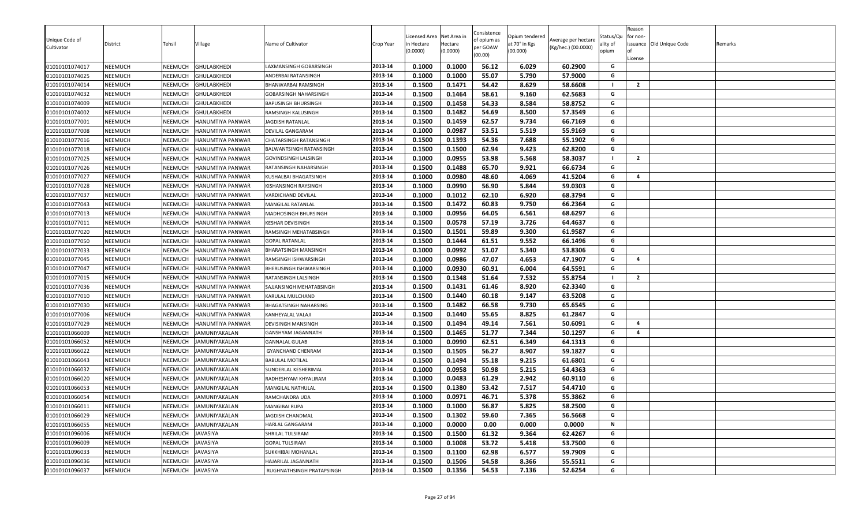| Unique Code of |                |                |                         |                                |           | icensed Area | Net Area in | Consistence             | Opium tendered |                                            | Status/Qu | Reason<br>for non- |                          |         |
|----------------|----------------|----------------|-------------------------|--------------------------------|-----------|--------------|-------------|-------------------------|----------------|--------------------------------------------|-----------|--------------------|--------------------------|---------|
| Cultivator     | District       | Tehsil         | Village                 | Name of Cultivator             | Crop Year | in Hectare   | Hectare     | of opium as<br>per GOAW | at 70° in Kgs  | Average per hectare<br>(Kg/hec.) (00.0000) | ality of  |                    | issuance Old Unique Code | Remarks |
|                |                |                |                         |                                |           | (0.0000)     | (0.0000)    | (00.00)                 | (00.000)       |                                            | opium     | License            |                          |         |
| 01010101074017 | <b>NEEMUCH</b> | NEEMUCH        | <b>GHULABKHEDI</b>      | LAXMANSINGH GOBARSINGH         | 2013-14   | 0.1000       | 0.1000      | 56.12                   | 6.029          | 60.2900                                    | G         |                    |                          |         |
| 01010101074025 | <b>NEEMUCH</b> | NEEMUCH        | <b>GHULABKHEDI</b>      | ANDERBAI RATANSINGH            | 2013-14   | 0.1000       | 0.1000      | 55.07                   | 5.790          | 57.9000                                    | G         |                    |                          |         |
| 01010101074014 | <b>NEEMUCH</b> | <b>NEEMUCH</b> | <b>GHULABKHEDI</b>      | BHANWARBAI RAMSINGH            | 2013-14   | 0.1500       | 0.1471      | 54.42                   | 8.629          | 58.6608                                    | - 1       | $\overline{2}$     |                          |         |
| 01010101074032 | <b>NEEMUCH</b> | NEEMUCH        | <b>GHULABKHEDI</b>      | GOBARSINGH NAHARSINGH          | 2013-14   | 0.1500       | 0.1464      | 58.61                   | 9.160          | 62.5683                                    | G         |                    |                          |         |
| 01010101074009 | NEEMUCH        | NEEMUCH        | <b>GHULABKHEDI</b>      | <b>BAPUSINGH BHURSINGH</b>     | 2013-14   | 0.1500       | 0.1458      | 54.33                   | 8.584          | 58.8752                                    | G         |                    |                          |         |
| 01010101074002 | <b>NEEMUCH</b> | NEEMUCH        | <b>GHULABKHEDI</b>      | RAMSINGH KALUSINGH             | 2013-14   | 0.1500       | 0.1482      | 54.69                   | 8.500          | 57.3549                                    | G         |                    |                          |         |
| 01010101077001 | <b>NEEMUCH</b> | NEEMUCH        | <b>HANUMTIYA PANWAR</b> | JAGDISH RATANLAL               | 2013-14   | 0.1500       | 0.1459      | 62.57                   | 9.734          | 66.7169                                    | G         |                    |                          |         |
| 01010101077008 | <b>NEEMUCH</b> | NEEMUCH        | <b>HANUMTIYA PANWAR</b> | DEVILAL GANGARAM               | 2013-14   | 0.1000       | 0.0987      | 53.51                   | 5.519          | 55.9169                                    | G         |                    |                          |         |
| 01010101077016 | <b>NEEMUCH</b> | NEEMUCH        | HANUMTIYA PANWAR        | CHATARSINGH RATANSINGH         | 2013-14   | 0.1500       | 0.1393      | 54.36                   | 7.688          | 55.1902                                    | G         |                    |                          |         |
| 01010101077018 | <b>NEEMUCH</b> | NEEMUCH        | HANUMTIYA PANWAR        | <b>BALWANTSINGH RATANSINGH</b> | 2013-14   | 0.1500       | 0.1500      | 62.94                   | 9.423          | 62.8200                                    | G         |                    |                          |         |
| 01010101077025 | <b>NEEMUCH</b> | NEEMUCH        | HANUMTIYA PANWAR        | <b>GOVINDSINGH LALSINGH</b>    | 2013-14   | 0.1000       | 0.0955      | 53.98                   | 5.568          | 58.3037                                    |           | $\overline{2}$     |                          |         |
| 01010101077026 | <b>NEEMUCH</b> | NEEMUCH        | <b>HANUMTIYA PANWAR</b> | RATANSINGH NAHARSINGH          | 2013-14   | 0.1500       | 0.1488      | 65.70                   | 9.921          | 66.6734                                    | G         |                    |                          |         |
| 01010101077027 | <b>NEEMUCH</b> | NEEMUCH        | HANUMTIYA PANWAR        | KUSHALBAI BHAGATSINGH          | 2013-14   | 0.1000       | 0.0980      | 48.60                   | 4.069          | 41.5204                                    | G         | 4                  |                          |         |
| 01010101077028 | <b>NEEMUCH</b> | NEEMUCH        | HANUMTIYA PANWAR        | KISHANSINGH RAYSINGH           | 2013-14   | 0.1000       | 0.0990      | 56.90                   | 5.844          | 59.0303                                    | G         |                    |                          |         |
| 01010101077037 | <b>NEEMUCH</b> | NEEMUCH        | <b>HANUMTIYA PANWAR</b> | VARDICHAND DEVILAL             | 2013-14   | 0.1000       | 0.1012      | 62.10                   | 6.920          | 68.3794                                    | G         |                    |                          |         |
| 01010101077043 | <b>NEEMUCH</b> | NEEMUCH        | HANUMTIYA PANWAR        | MANGILAL RATANLAL              | 2013-14   | 0.1500       | 0.1472      | 60.83                   | 9.750          | 66.2364                                    | G         |                    |                          |         |
| 01010101077013 | <b>NEEMUCH</b> | NEEMUCH        | <b>HANUMTIYA PANWAR</b> | MADHOSINGH BHURSINGH           | 2013-14   | 0.1000       | 0.0956      | 64.05                   | 6.561          | 68.6297                                    | G         |                    |                          |         |
| 01010101077011 | <b>NEEMUCH</b> | NEEMUCH        | HANUMTIYA PANWAR        | <b>KESHAR DEVISINGH</b>        | 2013-14   | 0.1500       | 0.0578      | 57.19                   | 3.726          | 64.4637                                    | G         |                    |                          |         |
| 01010101077020 | <b>NEEMUCH</b> | NEEMUCH        | HANUMTIYA PANWAR        | RAMSINGH MEHATABSINGH          | 2013-14   | 0.1500       | 0.1501      | 59.89                   | 9.300          | 61.9587                                    | G         |                    |                          |         |
| 01010101077050 | <b>NEEMUCH</b> | NEEMUCH        | HANUMTIYA PANWAR        | <b>GOPAL RATANLAL</b>          | 2013-14   | 0.1500       | 0.1444      | 61.51                   | 9.552          | 66.1496                                    | G         |                    |                          |         |
| 01010101077033 | <b>NEEMUCH</b> | NEEMUCH        | HANUMTIYA PANWAR        | BHARATSINGH MANSINGH           | 2013-14   | 0.1000       | 0.0992      | 51.07                   | 5.340          | 53.8306                                    | G         |                    |                          |         |
| 01010101077045 | <b>NEEMUCH</b> | NEEMUCH        | <b>HANUMTIYA PANWAR</b> | RAMSINGH ISHWARSINGH           | 2013-14   | 0.1000       | 0.0986      | 47.07                   | 4.653          | 47.1907                                    | G         | 4                  |                          |         |
| 01010101077047 | <b>NEEMUCH</b> | NEEMUCH        | HANUMTIYA PANWAR        | BHERUSINGH ISHWARSINGH         | 2013-14   | 0.1000       | 0.0930      | 60.91                   | 6.004          | 64.5591                                    | G         |                    |                          |         |
| 01010101077015 | <b>NEEMUCH</b> | NEEMUCH        | HANUMTIYA PANWAR        | RATANSINGH LALSINGH            | 2013-14   | 0.1500       | 0.1348      | 51.64                   | 7.532          | 55.8754                                    |           | $\overline{2}$     |                          |         |
| 01010101077036 | <b>NEEMUCH</b> | NEEMUCH        | HANUMTIYA PANWAR        | SAJJANSINGH MEHATABSINGH       | 2013-14   | 0.1500       | 0.1431      | 61.46                   | 8.920          | 62.3340                                    | G         |                    |                          |         |
| 01010101077010 | <b>NEEMUCH</b> | <b>NEEMUCH</b> | HANUMTIYA PANWAR        | KARULAL MULCHAND               | 2013-14   | 0.1500       | 0.1440      | 60.18                   | 9.147          | 63.5208                                    | G         |                    |                          |         |
| 01010101077030 | <b>NEEMUCH</b> | NEEMUCH        | HANUMTIYA PANWAR        | BHAGATSINGH NAHARSING          | 2013-14   | 0.1500       | 0.1482      | 66.58                   | 9.730          | 65.6545                                    | G         |                    |                          |         |
| 01010101077006 | NEEMUCH        | NEEMUCH        | HANUMTIYA PANWAR        | KANHEYALAL VALAJI              | 2013-14   | 0.1500       | 0.1440      | 55.65                   | 8.825          | 61.2847                                    | G         |                    |                          |         |
| 01010101077029 | <b>NEEMUCH</b> | NEEMUCH        | HANUMTIYA PANWAR        | DEVISINGH MANSINGH             | 2013-14   | 0.1500       | 0.1494      | 49.14                   | 7.561          | 50.6091                                    | G         | 4                  |                          |         |
| 01010101066009 | <b>NEEMUCH</b> | NEEMUCH        | JAMUNIYAKALAN           | GANSHYAM JAGANNATH             | 2013-14   | 0.1500       | 0.1465      | 51.77                   | 7.344          | 50.1297                                    | G         | 4                  |                          |         |
| 01010101066052 | <b>NEEMUCH</b> | NEEMUCH        | JAMUNIYAKALAN           | <b>GANNALAL GULAB</b>          | 2013-14   | 0.1000       | 0.0990      | 62.51                   | 6.349          | 64.1313                                    | G         |                    |                          |         |
| 01010101066022 | <b>NEEMUCH</b> | NEEMUCH        | JAMUNIYAKALAN           | <b>GYANCHAND CHENRAM</b>       | 2013-14   | 0.1500       | 0.1505      | 56.27                   | 8.907          | 59.1827                                    | G         |                    |                          |         |
| 01010101066043 | <b>NEEMUCH</b> | NEEMUCH        | <b>JAMUNIYAKALAN</b>    | <b>BABULAL MOTILAL</b>         | 2013-14   | 0.1500       | 0.1494      | 55.18                   | 9.215          | 61.6801                                    | G         |                    |                          |         |
| 01010101066032 | <b>NEEMUCH</b> | NEEMUCH        | JAMUNIYAKALAN           | SUNDERLAL KESHERIMAL           | 2013-14   | 0.1000       | 0.0958      | 50.98                   | 5.215          | 54.4363                                    | G         |                    |                          |         |
| 01010101066020 | <b>NEEMUCH</b> | <b>NEEMUCH</b> | JAMUNIYAKALAN           | RADHESHYAM KHYALIRAM           | 2013-14   | 0.1000       | 0.0483      | 61.29                   | 2.942          | 60.9110                                    | G         |                    |                          |         |
| 01010101066053 | NEEMUCH        | NEEMUCH        | JAMUNIYAKALAN           | MANGILAL NATHULAL              | 2013-14   | 0.1500       | 0.1380      | 53.42                   | 7.517          | 54.4710                                    | G         |                    |                          |         |
| 01010101066054 | NEEMUCH        | NEEMUCH        | <b>JAMUNIYAKALAN</b>    | RAMCHANDRA UDA                 | 2013-14   | 0.1000       | 0.0971      | 46.71                   | 5.378          | 55.3862                                    | G         |                    |                          |         |
| 01010101066011 | <b>NEEMUCH</b> | NEEMUCH        | JAMUNIYAKALAN           | <b>MANGIBAI RUPA</b>           | 2013-14   | 0.1000       | 0.1000      | 56.87                   | 5.825          | 58.2500                                    | G         |                    |                          |         |
| 01010101066029 | <b>NEEMUCH</b> | NEEMUCH        | JAMUNIYAKALAN           | JAGDISH CHANDMAL               | 2013-14   | 0.1500       | 0.1302      | 59.60                   | 7.365          | 56.5668                                    | G         |                    |                          |         |
| 01010101066055 | <b>NEEMUCH</b> | <b>NEEMUCH</b> | <b>JAMUNIYAKALAN</b>    | <b>HARLAL GANGARAM</b>         | 2013-14   | 0.1000       | 0.0000      | 0.00                    | 0.000          | 0.0000                                     | N         |                    |                          |         |
| 01010101096006 | <b>NEEMUCH</b> | NEEMUCH        | <b>JAVASIYA</b>         | SHRILAL TULSIRAM               | 2013-14   | 0.1500       | 0.1500      | 61.32                   | 9.364          | 62.4267                                    | G         |                    |                          |         |
| 01010101096009 | <b>NEEMUCH</b> | NEEMUCH        | <b>JAVASIYA</b>         | <b>GOPAL TULSIRAM</b>          | 2013-14   | 0.1000       | 0.1008      | 53.72                   | 5.418          | 53.7500                                    | G         |                    |                          |         |
| 01010101096033 | <b>NEEMUCH</b> | NEEMUCH        | JAVASIYA                | SUKKHIBAI MOHANLAL             | 2013-14   | 0.1500       | 0.1100      | 62.98                   | 6.577          | 59.7909                                    | G         |                    |                          |         |
| 01010101096036 | <b>NEEMUCH</b> | NEEMUCH        | <b>JAVASIYA</b>         | HAJARILAL JAGANNATH            | 2013-14   | 0.1500       | 0.1506      | 54.58                   | 8.366          | 55.5511                                    | G         |                    |                          |         |
| 01010101096037 | <b>NEEMUCH</b> | NEEMUCH        | <b>JAVASIYA</b>         | RUGHNATHSINGH PRATAPSINGH      | 2013-14   | 0.1500       | 0.1356      | 54.53                   | 7.136          | 52.6254                                    | G         |                    |                          |         |
|                |                |                |                         |                                |           |              |             |                         |                |                                            |           |                    |                          |         |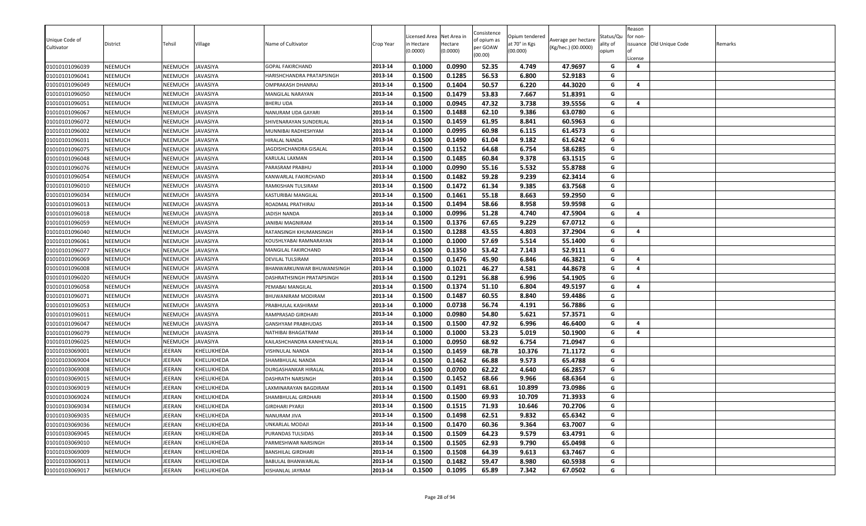|                                  |                                  |                    |                                    |                                                         |           | icensed Area | Net Area in | Consistence             | Opium tendered |                     | Status/Qu | Reason<br>for non- |                          |         |
|----------------------------------|----------------------------------|--------------------|------------------------------------|---------------------------------------------------------|-----------|--------------|-------------|-------------------------|----------------|---------------------|-----------|--------------------|--------------------------|---------|
| Unique Code of                   | District                         | Tehsil             | Village                            | Name of Cultivator                                      | Crop Year | n Hectare    | Hectare     | of opium as<br>per GOAW | at 70° in Kgs  | Average per hectare | ality of  |                    | issuance Old Unique Code | Remarks |
| Cultivator                       |                                  |                    |                                    |                                                         |           | (0.0000)     | (0.0000)    | (00.00)                 | (00.000)       | (Kg/hec.) (00.0000) | opium     |                    |                          |         |
| 01010101096039                   | <b>NEEMUCH</b>                   | NEEMUCH            | <b>JAVASIYA</b>                    | <b>GOPAL FAKIRCHAND</b>                                 | 2013-14   | 0.1000       | 0.0990      | 52.35                   | 4.749          | 47.9697             | G         | License<br>4       |                          |         |
| 01010101096041                   | <b>NEEMUCH</b>                   | NEEMUCH            | JAVASIYA                           | HARISHCHANDRA PRATAPSINGH                               | 2013-14   | 0.1500       | 0.1285      | 56.53                   | 6.800          | 52.9183             | G         |                    |                          |         |
| 01010101096049                   | <b>NEEMUCH</b>                   | <b>NEEMUCH</b>     | <b>JAVASIYA</b>                    | OMPRAKASH DHANRAJ                                       | 2013-14   | 0.1500       | 0.1404      | 50.57                   | 6.220          | 44.3020             | G         | 4                  |                          |         |
| 01010101096050                   | <b>NEEMUCH</b>                   | NEEMUCH            | JAVASIYA                           | MANGILAL NARAYAN                                        | 2013-14   | 0.1500       | 0.1479      | 53.83                   | 7.667          | 51.8391             | G         |                    |                          |         |
| 01010101096051                   | <b>NEEMUCH</b>                   | NEEMUCH            | JAVASIYA                           | <b>BHERU UDA</b>                                        | 2013-14   | 0.1000       | 0.0945      | 47.32                   | 3.738          | 39.5556             | G         | 4                  |                          |         |
| 01010101096067                   | <b>NEEMUCH</b>                   | NEEMUCH            | <b>JAVASIYA</b>                    | NANURAM UDA GAYARI                                      | 2013-14   | 0.1500       | 0.1488      | 62.10                   | 9.386          | 63.0780             | G         |                    |                          |         |
| 01010101096072                   | <b>NEEMUCH</b>                   | NEEMUCH            | <b>JAVASIYA</b>                    | SHIVENARAYAN SUNDERLAL                                  | 2013-14   | 0.1500       | 0.1459      | 61.95                   | 8.841          | 60.5963             | G         |                    |                          |         |
| 01010101096002                   | <b>NEEMUCH</b>                   | NEEMUCH            | <b>JAVASIYA</b>                    | MUNNIBAI RADHESHYAM                                     | 2013-14   | 0.1000       | 0.0995      | 60.98                   | 6.115          | 61.4573             | G         |                    |                          |         |
| 01010101096031                   | <b>NEEMUCH</b>                   | NEEMUCH            | JAVASIYA                           | HIRALAL NANDA                                           | 2013-14   | 0.1500       | 0.1490      | 61.04                   | 9.182          | 61.6242             | G         |                    |                          |         |
| 01010101096075                   | <b>NEEMUCH</b>                   | NEEMUCH            | JAVASIYA                           | JAGDISHCHANDRA GISALAL                                  | 2013-14   | 0.1500       | 0.1152      | 64.68                   | 6.754          | 58.6285             | G         |                    |                          |         |
| 01010101096048                   | <b>NEEMUCH</b>                   | NEEMUCH            | JAVASIYA                           | KARULAL LAXMAN                                          | 2013-14   | 0.1500       | 0.1485      | 60.84                   | 9.378          | 63.1515             | G         |                    |                          |         |
| 01010101096076                   | <b>NEEMUCH</b>                   | NEEMUCH            | <b>JAVASIYA</b>                    | PARASRAM PRABHU                                         | 2013-14   | 0.1000       | 0.0990      | 55.16                   | 5.532          | 55.8788             | G         |                    |                          |         |
|                                  | NEEMUCH                          | NEEMUCH            | <b>JAVASIYA</b>                    | KANWARLAL FAKIRCHAND                                    | 2013-14   | 0.1500       | 0.1482      | 59.28                   | 9.239          | 62.3414             | G         |                    |                          |         |
| 01010101096054                   |                                  | NEEMUCH            |                                    | RAMKISHAN TULSIRAM                                      | 2013-14   | 0.1500       | 0.1472      | 61.34                   | 9.385          | 63.7568             | G         |                    |                          |         |
| 01010101096010<br>01010101096034 | <b>NEEMUCH</b><br><b>NEEMUCH</b> | NEEMUCH            | <b>JAVASIYA</b><br><b>JAVASIYA</b> | KASTURIBAI MANGILAL                                     | 2013-14   | 0.1500       | 0.1461      | 55.18                   | 8.663          | 59.2950             | G         |                    |                          |         |
|                                  |                                  |                    |                                    |                                                         | 2013-14   | 0.1500       | 0.1494      | 58.66                   | 8.958          | 59.9598             | G         |                    |                          |         |
| 01010101096013                   | <b>NEEMUCH</b>                   | NEEMUCH            | JAVASIYA<br><b>JAVASIYA</b>        | ROADMAL PRATHIRAJ<br>JADISH NANDA                       | 2013-14   | 0.1000       | 0.0996      | 51.28                   | 4.740          | 47.5904             | G         | 4                  |                          |         |
| 01010101096018                   | <b>NEEMUCH</b>                   | NEEMUCH            | JAVASIYA                           | JANIBAI MAGNIRAM                                        | 2013-14   | 0.1500       | 0.1376      | 67.65                   | 9.229          | 67.0712             | G         |                    |                          |         |
| 01010101096059<br>01010101096040 | <b>NEEMUCH</b><br><b>NEEMUCH</b> | NEEMUCH<br>NEEMUCH | <b>JAVASIYA</b>                    | RATANSINGH KHUMANSINGH                                  | 2013-14   | 0.1500       | 0.1288      | 43.55                   | 4.803          | 37.2904             | G         | 4                  |                          |         |
|                                  |                                  | NEEMUCH            |                                    | KOUSHLYABAI RAMNARAYAN                                  | 2013-14   | 0.1000       | 0.1000      | 57.69                   | 5.514          | 55.1400             | G         |                    |                          |         |
| 01010101096061<br>01010101096077 | NEEMUCH<br><b>NEEMUCH</b>        | NEEMUCH            | JAVASIYA<br><b>JAVASIYA</b>        | MANGILAL FAKIRCHAND                                     | 2013-14   | 0.1500       | 0.1350      | 53.42                   | 7.143          | 52.9111             | G         |                    |                          |         |
|                                  |                                  |                    | <b>JAVASIYA</b>                    | DEVILAL TULSIRAM                                        | 2013-14   | 0.1500       | 0.1476      | 45.90                   | 6.846          | 46.3821             | G         | 4                  |                          |         |
| 01010101096069<br>01010101096008 | <b>NEEMUCH</b><br><b>NEEMUCH</b> | NEEMUCH<br>NEEMUCH | <b>JAVASIYA</b>                    |                                                         | 2013-14   | 0.1000       | 0.1021      | 46.27                   | 4.581          | 44.8678             | G         | 4                  |                          |         |
|                                  |                                  | NEEMUCH            | <b>JAVASIYA</b>                    | BHANWARKUNWAR BHUWANISINGH<br>DASHRATHSINGH PRATAPSINGH | 2013-14   | 0.1500       | 0.1291      | 56.88                   | 6.996          | 54.1905             | G         |                    |                          |         |
| 01010101096020<br>01010101096058 | <b>NEEMUCH</b><br><b>NEEMUCH</b> | NEEMUCH            | JAVASIYA                           |                                                         | 2013-14   | 0.1500       | 0.1374      | 51.10                   | 6.804          | 49.5197             | G         | 4                  |                          |         |
| 01010101096071                   | <b>NEEMUCH</b>                   | <b>NEEMUCH</b>     | <b>JAVASIYA</b>                    | PEMABAI MANGILAL<br>BHUWANIRAM MODIRAM                  | 2013-14   | 0.1500       | 0.1487      | 60.55                   | 8.840          | 59.4486             | G         |                    |                          |         |
|                                  | <b>NEEMUCH</b>                   | NEEMUCH            | JAVASIYA                           |                                                         | 2013-14   | 0.1000       | 0.0738      | 56.74                   | 4.191          | 56.7886             | G         |                    |                          |         |
| 01010101096053<br>01010101096011 | NEEMUCH                          | NEEMUCH            | JAVASIYA                           | PRABHULAL KASHIRAM<br>RAMPRASAD GIRDHARI                | 2013-14   | 0.1000       | 0.0980      | 54.80                   | 5.621          | 57.3571             | G         |                    |                          |         |
| 01010101096047                   | NEEMUCH                          | NEEMUCH            | JAVASIYA                           | GANSHYAM PRABHUDAS                                      | 2013-14   | 0.1500       | 0.1500      | 47.92                   | 6.996          | 46.6400             | G         | 4                  |                          |         |
| 01010101096079                   | <b>NEEMUCH</b>                   | NEEMUCH            | <b>JAVASIYA</b>                    | NATHIBAI BHAGATRAM                                      | 2013-14   | 0.1000       | 0.1000      | 53.23                   | 5.019          | 50.1900             | G         | 4                  |                          |         |
| 01010101096025                   | <b>NEEMUCH</b>                   | NEEMUCH            | <b>JAVASIYA</b>                    | KAILASHCHANDRA KANHEYALAL                               | 2013-14   | 0.1000       | 0.0950      | 68.92                   | 6.754          | 71.0947             | G         |                    |                          |         |
| 01010103069001                   | <b>NEEMUCH</b>                   | JEERAN             | KHELUKHEDA                         | VISHNULAL NANDA                                         | 2013-14   | 0.1500       | 0.1459      | 68.78                   | 10.376         | 71.1172             | G         |                    |                          |         |
| 01010103069004                   | <b>NEEMUCH</b>                   | JEERAN             | KHELUKHEDA                         | SHAMBHULAL NANDA                                        | 2013-14   | 0.1500       | 0.1462      | 66.88                   | 9.573          | 65.4788             | G         |                    |                          |         |
| 01010103069008                   | <b>NEEMUCH</b>                   | JEERAN             | KHELUKHEDA                         | DURGASHANKAR HIRALAL                                    | 2013-14   | 0.1500       | 0.0700      | 62.22                   | 4.640          | 66.2857             | G         |                    |                          |         |
| 01010103069015                   | <b>NEEMUCH</b>                   | JEERAN             | KHELUKHEDA                         | DASHRATH NARSINGH                                       | 2013-14   | 0.1500       | 0.1452      | 68.66                   | 9.966          | 68.6364             | G         |                    |                          |         |
| 01010103069019                   | NEEMUCH                          | JEERAN             | KHELUKHEDA                         | LAXMINARAYAN BAGDIRAM                                   | 2013-14   | 0.1500       | 0.1491      | 68.61                   | 10.899         | 73.0986             | G         |                    |                          |         |
| 01010103069024                   | NEEMUCH                          | JEERAN             | KHELUKHEDA                         | SHAMBHULAL GIRDHARI                                     | 2013-14   | 0.1500       | 0.1500      | 69.93                   | 10.709         | 71.3933             | G         |                    |                          |         |
| 01010103069034                   | <b>NEEMUCH</b>                   | JEERAN             | KHELUKHEDA                         | <b>GIRDHARI PYARJI</b>                                  | 2013-14   | 0.1500       | 0.1515      | 71.93                   | 10.646         | 70.2706             | G         |                    |                          |         |
| 01010103069035                   | <b>NEEMUCH</b>                   | JEERAN             | KHELUKHEDA                         | NANURAM JIVA                                            | 2013-14   | 0.1500       | 0.1498      | 62.51                   | 9.832          | 65.6342             | G         |                    |                          |         |
| 01010103069036                   | <b>NEEMUCH</b>                   | JEERAN             | KHELUKHEDA                         | UNKARLAL MODAJI                                         | 2013-14   | 0.1500       | 0.1470      | 60.36                   | 9.364          | 63.7007             | G         |                    |                          |         |
| 01010103069045                   | <b>NEEMUCH</b>                   | JEERAN             | KHELUKHEDA                         | PURANDAS TULSIDAS                                       | 2013-14   | 0.1500       | 0.1509      | 64.23                   | 9.579          | 63.4791             | G         |                    |                          |         |
| 01010103069010                   | <b>NEEMUCH</b>                   | JEERAN             | KHELUKHEDA                         | PARMESHWAR NARSINGH                                     | 2013-14   | 0.1500       | 0.1505      | 62.93                   | 9.790          | 65.0498             | G         |                    |                          |         |
| 01010103069009                   | <b>NEEMUCH</b>                   | <b>JEERAN</b>      | KHELUKHEDA                         | <b>BANSHILAL GIRDHARI</b>                               | 2013-14   | 0.1500       | 0.1508      | 64.39                   | 9.613          | 63.7467             | G         |                    |                          |         |
| 01010103069013                   | <b>NEEMUCH</b>                   | JEERAN             | KHELUKHEDA                         | BABULAL BHANWARLAL                                      | 2013-14   | 0.1500       | 0.1482      | 59.47                   | 8.980          | 60.5938             | G         |                    |                          |         |
| 01010103069017                   | <b>NEEMUCH</b>                   | JEERAN             | KHELUKHEDA                         | KISHANLAL JAYRAM                                        | 2013-14   | 0.1500       | 0.1095      | 65.89                   | 7.342          | 67.0502             | G         |                    |                          |         |
|                                  |                                  |                    |                                    |                                                         |           |              |             |                         |                |                     |           |                    |                          |         |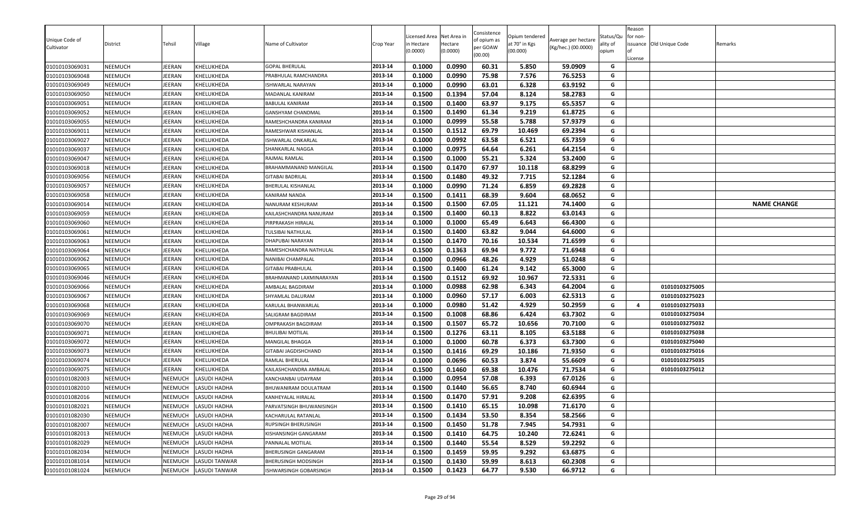| Unique Code of<br>Cultivator | District       | Tehsil         | ∕illage              | Name of Cultivator        | Crop Year | icensed Area<br>n Hectare<br>(0.0000) | Net Area in<br>Hectare<br>(0.0000) | Consistence<br>of opium as<br>per GOAW | Opium tendered<br>at 70° in Kgs<br>(00.000) | Average per hectare<br>(Kg/hec.) (00.0000) | Status/Qu<br>ality of<br>opium | Reason<br>for non- | issuance Old Unique Code | Remarks            |
|------------------------------|----------------|----------------|----------------------|---------------------------|-----------|---------------------------------------|------------------------------------|----------------------------------------|---------------------------------------------|--------------------------------------------|--------------------------------|--------------------|--------------------------|--------------------|
|                              |                |                |                      |                           |           |                                       |                                    | (00.00)                                |                                             |                                            |                                | License            |                          |                    |
| 01010103069031               | <b>NEEMUCH</b> | JEERAN         | KHELUKHEDA           | GOPAL BHERULAL            | 2013-14   | 0.1000                                | 0.0990                             | 60.31                                  | 5.850                                       | 59.0909                                    | G                              |                    |                          |                    |
| 01010103069048               | <b>NEEMUCH</b> | JEERAN         | KHELUKHEDA           | PRABHULAL RAMCHANDRA      | 2013-14   | 0.1000                                | 0.0990                             | 75.98                                  | 7.576                                       | 76.5253                                    | G                              |                    |                          |                    |
| 01010103069049               | <b>NEEMUCH</b> | JEERAN         | KHELUKHEDA           | ISHWARLAL NARAYAN         | 2013-14   | 0.1000                                | 0.0990                             | 63.01                                  | 6.328                                       | 63.9192                                    | G                              |                    |                          |                    |
| 01010103069050               | <b>NEEMUCH</b> | JEERAN         | KHELUKHEDA           | MADANLAL KANIRAM          | 2013-14   | 0.1500                                | 0.1394                             | 57.04                                  | 8.124                                       | 58.2783                                    | G                              |                    |                          |                    |
| 01010103069051               | <b>NEEMUCH</b> | JEERAN         | KHELUKHEDA           | BABULAL KANIRAM           | 2013-14   | 0.1500                                | 0.1400                             | 63.97                                  | 9.175                                       | 65.5357                                    | G                              |                    |                          |                    |
| 01010103069052               | <b>NEEMUCH</b> | JEERAN         | KHELUKHEDA           | <b>GANSHYAM CHANDMAL</b>  | 2013-14   | 0.1500                                | 0.1490                             | 61.34                                  | 9.219                                       | 61.8725                                    | G                              |                    |                          |                    |
| 01010103069055               | <b>NEEMUCH</b> | JEERAN         | KHELUKHEDA           | RAMESHCHANDRA KANIRAM     | 2013-14   | 0.1000                                | 0.0999                             | 55.58                                  | 5.788                                       | 57.9379                                    | G                              |                    |                          |                    |
| 01010103069011               | NEEMUCH        | JEERAN         | KHELUKHEDA           | RAMESHWAR KISHANLAL       | 2013-14   | 0.1500                                | 0.1512                             | 69.79                                  | 10.469                                      | 69.2394                                    | G                              |                    |                          |                    |
| 01010103069027               | <b>NEEMUCH</b> | JEERAN         | KHELUKHEDA           | <b>ISHWARLAL ONKARLAL</b> | 2013-14   | 0.1000                                | 0.0992                             | 63.58                                  | 6.521                                       | 65.7359                                    | G                              |                    |                          |                    |
| 01010103069037               | <b>NEEMUCH</b> | JEERAN         | KHELUKHEDA           | SHANKARLAL NAGGA          | 2013-14   | 0.1000                                | 0.0975                             | 64.64                                  | 6.261                                       | 64.2154                                    | G                              |                    |                          |                    |
| 01010103069047               | <b>NEEMUCH</b> | JEERAN         | KHELUKHEDA           | RAJMAL RAMLAL             | 2013-14   | 0.1500                                | 0.1000                             | 55.21                                  | 5.324                                       | 53.2400                                    | G                              |                    |                          |                    |
| 01010103069018               | <b>NEEMUCH</b> | JEERAN         | KHELUKHEDA           | BRAHAMMANAND MANGILAL     | 2013-14   | 0.1500                                | 0.1470                             | 67.97                                  | 10.118                                      | 68.8299                                    | G                              |                    |                          |                    |
| 01010103069056               | <b>NEEMUCH</b> | JEERAN         | KHELUKHEDA           | GITABAI BADRILAL          | 2013-14   | 0.1500                                | 0.1480                             | 49.32                                  | 7.715                                       | 52.1284                                    | G                              |                    |                          |                    |
| 01010103069057               | <b>NEEMUCH</b> | JEERAN         | KHELUKHEDA           | BHERULAL KISHANLAL        | 2013-14   | 0.1000                                | 0.0990                             | 71.24                                  | 6.859                                       | 69.2828                                    | G                              |                    |                          |                    |
| 01010103069058               | <b>NEEMUCH</b> | JEERAN         | KHELUKHEDA           | KANIRAM NANDA             | 2013-14   | 0.1500                                | 0.1411                             | 68.39                                  | 9.604                                       | 68.0652                                    | G                              |                    |                          |                    |
| 01010103069014               | <b>NEEMUCH</b> | JEERAN         | KHELUKHEDA           | NANURAM KESHURAM          | 2013-14   | 0.1500                                | 0.1500                             | 67.05                                  | 11.121                                      | 74.1400                                    | G                              |                    |                          | <b>NAME CHANGE</b> |
| 01010103069059               | <b>NEEMUCH</b> | JEERAN         | KHELUKHEDA           | KAILASHCHANDRA NANURAM    | 2013-14   | 0.1500                                | 0.1400                             | 60.13                                  | 8.822                                       | 63.0143                                    | G                              |                    |                          |                    |
| 01010103069060               | <b>NEEMUCH</b> | JEERAN         | KHELUKHEDA           | PIRPRAKASH HIRALAL        | 2013-14   | 0.1000                                | 0.1000                             | 65.49                                  | 6.643                                       | 66.4300                                    | G                              |                    |                          |                    |
| 01010103069061               | <b>NEEMUCH</b> | JEERAN         | KHELUKHEDA           | TULSIBAI NATHULAL         | 2013-14   | 0.1500                                | 0.1400                             | 63.82                                  | 9.044                                       | 64.6000                                    | G                              |                    |                          |                    |
| 01010103069063               | <b>NEEMUCH</b> | JEERAN         | KHELUKHEDA           | DHAPUBAI NARAYAN          | 2013-14   | 0.1500                                | 0.1470                             | 70.16                                  | 10.534                                      | 71.6599                                    | G                              |                    |                          |                    |
| 01010103069064               | <b>NEEMUCH</b> | JEERAN         | KHELUKHEDA           | RAMESHCHANDRA NATHULAL    | 2013-14   | 0.1500                                | 0.1363                             | 69.94                                  | 9.772                                       | 71.6948                                    | G                              |                    |                          |                    |
| 01010103069062               | <b>NEEMUCH</b> | JEERAN         | KHELUKHEDA           | NANIBAI CHAMPALAL         | 2013-14   | 0.1000                                | 0.0966                             | 48.26                                  | 4.929                                       | 51.0248                                    | G                              |                    |                          |                    |
| 01010103069065               | <b>NEEMUCH</b> | JEERAN         | KHELUKHEDA           | GITABAI PRABHULAL         | 2013-14   | 0.1500                                | 0.1400                             | 61.24                                  | 9.142                                       | 65.3000                                    | G                              |                    |                          |                    |
| 01010103069046               | <b>NEEMUCH</b> | JEERAN         | KHELUKHEDA           | BRAHMANAND LAXMINARAYAN   | 2013-14   | 0.1500                                | 0.1512                             | 69.92                                  | 10.967                                      | 72.5331                                    | G                              |                    |                          |                    |
| 01010103069066               | <b>NEEMUCH</b> | JEERAN         | KHELUKHEDA           | AMBALAL BAGDIRAM          | 2013-14   | 0.1000                                | 0.0988                             | 62.98                                  | 6.343                                       | 64.2004                                    | G                              |                    | 01010103275005           |                    |
| 01010103069067               | <b>NEEMUCH</b> | JEERAN         | KHELUKHEDA           | SHYAMLAL DALURAM          | 2013-14   | 0.1000                                | 0.0960                             | 57.17                                  | 6.003                                       | 62.5313                                    | G                              |                    | 01010103275023           |                    |
| 01010103069068               | <b>NEEMUCH</b> | JEERAN         | KHELUKHEDA           | KARULAL BHANWARLAL        | 2013-14   | 0.1000                                | 0.0980                             | 51.42                                  | 4.929                                       | 50.2959                                    | G                              | 4                  | 01010103275033           |                    |
| 01010103069069               | NEEMUCH        | JEERAN         | KHELUKHEDA           | SALIGRAM BAGDIRAM         | 2013-14   | 0.1500                                | 0.1008                             | 68.86                                  | 6.424                                       | 63.7302                                    | G                              |                    | 01010103275034           |                    |
| 01010103069070               | <b>NEEMUCH</b> | JEERAN         | KHELUKHEDA           | OMPRAKASH BAGDIRAM        | 2013-14   | 0.1500                                | 0.1507                             | 65.72                                  | 10.656                                      | 70.7100                                    | G                              |                    | 01010103275032           |                    |
| 01010103069071               | <b>NEEMUCH</b> | JEERAN         | KHELUKHEDA           | BHULIBAI MOTILAL          | 2013-14   | 0.1500                                | 0.1276                             | 63.11                                  | 8.105                                       | 63.5188                                    | G                              |                    | 01010103275038           |                    |
| 01010103069072               | <b>NEEMUCH</b> | JEERAN         | KHELUKHEDA           | MANGILAL BHAGGA           | 2013-14   | 0.1000                                | 0.1000                             | 60.78                                  | 6.373                                       | 63.7300                                    | G                              |                    | 01010103275040           |                    |
| 01010103069073               | <b>NEEMUCH</b> | JEERAN         | KHELUKHEDA           | GITABAI JAGDISHCHAND      | 2013-14   | 0.1500                                | 0.1416                             | 69.29                                  | 10.186                                      | 71.9350                                    | G                              |                    | 01010103275016           |                    |
| 01010103069074               | <b>NEEMUCH</b> | JEERAN         | KHELUKHEDA           | RAMLAL BHERULAL           | 2013-14   | 0.1000                                | 0.0696                             | 60.53                                  | 3.874                                       | 55.6609                                    | G                              |                    | 01010103275035           |                    |
| 01010103069075               | <b>NEEMUCH</b> | JEERAN         | KHELUKHEDA           | KAILASHCHANDRA AMBALAL    | 2013-14   | 0.1500                                | 0.1460                             | 69.38                                  | 10.476                                      | 71.7534                                    | G                              |                    | 01010103275012           |                    |
| 01010101082003               | <b>NEEMUCH</b> | NEEMUCH        | <b>LASUDI HADHA</b>  | KANCHANBAI UDAYRAM        | 2013-14   | 0.1000                                | 0.0954                             | 57.08                                  | 6.393                                       | 67.0126                                    | G                              |                    |                          |                    |
| 01010101082010               | NEEMUCH        | NEEMUCH        | LASUDI HADHA         | BHUWANIRAM DOULATRAM      | 2013-14   | 0.1500                                | 0.1440                             | 56.65                                  | 8.740                                       | 60.6944                                    | G                              |                    |                          |                    |
| 01010101082016               | NEEMUCH        | NEEMUCH        | <b>LASUDI HADHA</b>  | KANHEYALAL HIRALAL        | 2013-14   | 0.1500                                | 0.1470                             | 57.91                                  | 9.208                                       | 62.6395                                    | G                              |                    |                          |                    |
| 01010101082021               | <b>NEEMUCH</b> | NEEMUCH        | <b>LASUDI HADHA</b>  | PARVATSINGH BHUWANISINGH  | 2013-14   | 0.1500                                | 0.1410                             | 65.15                                  | 10.098                                      | 71.6170                                    | G                              |                    |                          |                    |
| 01010101082030               | <b>NEEMUCH</b> | NEEMUCH        | <b>LASUDI HADHA</b>  | KACHARULAL RATANLAL       | 2013-14   | 0.1500                                | 0.1434                             | 53.50                                  | 8.354                                       | 58.2566                                    | G                              |                    |                          |                    |
| 01010101082007               | <b>NEEMUCH</b> | NEEMUCH        | <b>LASUDI HADHA</b>  | RUPSINGH BHERUSINGH       | 2013-14   | 0.1500                                | 0.1450                             | 51.78                                  | 7.945                                       | 54.7931                                    | G                              |                    |                          |                    |
| 01010101082013               | NEEMUCH        | NEEMUCH        | <b>LASUDI HADHA</b>  | KISHANSINGH GANGARAM      | 2013-14   | 0.1500                                | 0.1410                             | 64.75                                  | 10.240                                      | 72.6241                                    | G                              |                    |                          |                    |
| 01010101082029               | <b>NEEMUCH</b> | NEEMUCH        | <b>LASUDI HADHA</b>  | PANNALAL MOTILAL          | 2013-14   | 0.1500                                | 0.1440                             | 55.54                                  | 8.529                                       | 59.2292                                    | G                              |                    |                          |                    |
| 01010101082034               | NEEMUCH        | NEEMUCH        | <b>LASUDI HADHA</b>  | BHERUSINGH GANGARAM       | 2013-14   | 0.1500                                | 0.1459                             | 59.95                                  | 9.292                                       | 63.6875                                    | G                              |                    |                          |                    |
| 01010101081014               | NEEMUCH        | <b>NEEMUCH</b> | <b>LASUDI TANWAR</b> | BHERUSINGH MODSINGH       | 2013-14   | 0.1500                                | 0.1430                             | 59.99                                  | 8.613                                       | 60.2308                                    | G                              |                    |                          |                    |
| 01010101081024               | NEEMUCH        | NEEMUCH        | <b>LASUDI TANWAR</b> | ISHWARSINGH GOBARSINGH    | 2013-14   | 0.1500                                | 0.1423                             | 64.77                                  | 9.530                                       | 66.9712                                    | G                              |                    |                          |                    |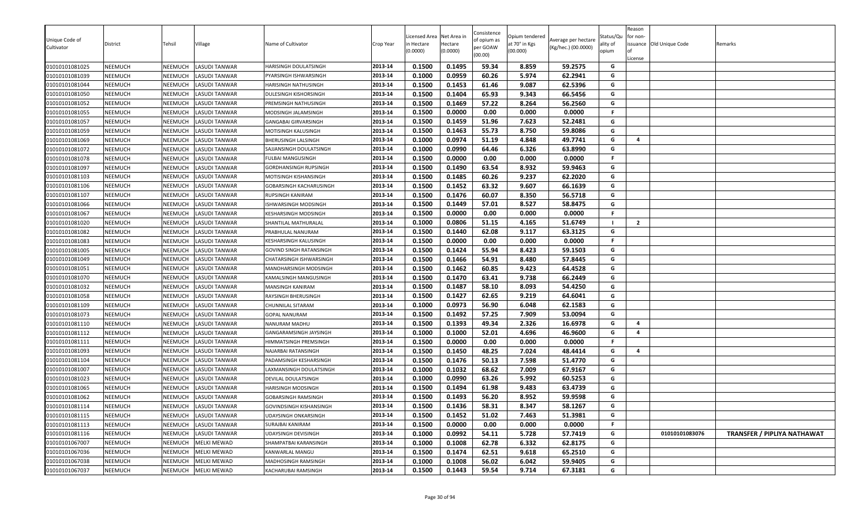| Unique Code of<br>Cultivator | District       | Tehsil  | Village              | Name of Cultivator             | Crop Year | icensed Area.<br>n Hectare<br>0.0000 | Net Area in<br>Hectare<br>(0.0000) | Consistence<br>of opium as<br>per GOAW<br>(00.00) | Opium tendered<br>at 70° in Kgs<br>(00.000) | Average per hectare<br>(Kg/hec.) (00.0000) | Status/Qu<br>ality of<br>opium | Reason<br>for non-<br>l of<br>License | issuance Old Unique Code | Remarks                            |
|------------------------------|----------------|---------|----------------------|--------------------------------|-----------|--------------------------------------|------------------------------------|---------------------------------------------------|---------------------------------------------|--------------------------------------------|--------------------------------|---------------------------------------|--------------------------|------------------------------------|
| 01010101081025               | NEEMUCH        | NEEMUCH | <b>LASUDI TANWAR</b> | HARISINGH DOULATSINGH          | 2013-14   | 0.1500                               | 0.1495                             | 59.34                                             | 8.859                                       | 59.2575                                    | G                              |                                       |                          |                                    |
| 01010101081039               | <b>NEEMUCH</b> | NEEMUCH | <b>LASUDI TANWAR</b> | PYARSINGH ISHWARSINGH          | 2013-14   | 0.1000                               | 0.0959                             | 60.26                                             | 5.974                                       | 62.2941                                    | G                              |                                       |                          |                                    |
| 01010101081044               | NEEMUCH        | NEEMUCH | <b>LASUDI TANWAR</b> | HARISINGH NATHUSINGH           | 2013-14   | 0.1500                               | 0.1453                             | 61.46                                             | 9.087                                       | 62.5396                                    | G                              |                                       |                          |                                    |
| 01010101081050               | NEEMUCH        | NEEMUCH | <b>LASUDI TANWAR</b> | DULESINGH KISHORSINGH          | 2013-14   | 0.1500                               | 0.1404                             | 65.93                                             | 9.343                                       | 66.5456                                    | G                              |                                       |                          |                                    |
| 01010101081052               | NEEMUCH        | NEEMUCH | <b>LASUDI TANWAR</b> | PREMSINGH NATHUSINGH           | 2013-14   | 0.1500                               | 0.1469                             | 57.22                                             | 8.264                                       | 56.2560                                    | G                              |                                       |                          |                                    |
| 01010101081055               | NEEMUCH        | NEEMUCH | <b>LASUDI TANWAR</b> | MODSINGH JALAMSINGH            | 2013-14   | 0.1500                               | 0.0000                             | 0.00                                              | 0.000                                       | 0.0000                                     | F.                             |                                       |                          |                                    |
| 01010101081057               | NEEMUCH        | NEEMUCH | <b>LASUDI TANWAR</b> | GANGABAI GIRVARSINGH           | 2013-14   | 0.1500                               | 0.1459                             | 51.96                                             | 7.623                                       | 52.2481                                    | G                              |                                       |                          |                                    |
| 01010101081059               | NEEMUCH        | NEEMUCH | <b>LASUDI TANWAR</b> | MOTISINGH KALUSINGH            | 2013-14   | 0.1500                               | 0.1463                             | 55.73                                             | 8.750                                       | 59.8086                                    | G                              |                                       |                          |                                    |
| 01010101081069               | <b>NEEMUCH</b> | NEEMUCH | <b>LASUDI TANWAR</b> | BHERUSINGH LALSINGH            | 2013-14   | 0.1000                               | 0.0974                             | 51.19                                             | 4.848                                       | 49.7741                                    | G                              | $\overline{a}$                        |                          |                                    |
| 01010101081072               | <b>NEEMUCH</b> | NEEMUCH | <b>LASUDI TANWAR</b> | SAJJANSINGH DOULATSINGH        | 2013-14   | 0.1000                               | 0.0990                             | 64.46                                             | 6.326                                       | 63.8990                                    | G                              |                                       |                          |                                    |
| 01010101081078               | <b>NEEMUCH</b> | NEEMUCH | <b>LASUDI TANWAR</b> | FULBAI MANGUSINGH              | 2013-14   | 0.1500                               | 0.0000                             | 0.00                                              | 0.000                                       | 0.0000                                     | F.                             |                                       |                          |                                    |
| 01010101081097               | NEEMUCH        | NEEMUCH | <b>LASUDI TANWAR</b> | GORDHANSINGH RUPSINGH          | 2013-14   | 0.1500                               | 0.1490                             | 63.54                                             | 8.932                                       | 59.9463                                    | G                              |                                       |                          |                                    |
| 01010101081103               | NEEMUCH        | NEEMUCH | <b>LASUDI TANWAR</b> | MOTISINGH KISHANSINGH          | 2013-14   | 0.1500                               | 0.1485                             | 60.26                                             | 9.237                                       | 62.2020                                    | G                              |                                       |                          |                                    |
| 01010101081106               | <b>NEEMUCH</b> | NEEMUCH | <b>LASUDI TANWAR</b> | GOBARSINGH KACHARUSINGH        | 2013-14   | 0.1500                               | 0.1452                             | 63.32                                             | 9.607                                       | 66.1639                                    | G                              |                                       |                          |                                    |
| 01010101081107               | NEEMUCH        | NEEMUCH | <b>LASUDI TANWAR</b> | RUPSINGH KANIRAM               | 2013-14   | 0.1500                               | 0.1476                             | 60.07                                             | 8.350                                       | 56.5718                                    | G                              |                                       |                          |                                    |
| 01010101081066               | <b>NEEMUCH</b> | NEEMUCH | <b>LASUDI TANWAR</b> | ISHWARSINGH MODSINGH           | 2013-14   | 0.1500                               | 0.1449                             | 57.01                                             | 8.527                                       | 58.8475                                    | G                              |                                       |                          |                                    |
| 01010101081067               | NEEMUCH        | NEEMUCH | <b>LASUDI TANWAR</b> | KESHARSINGH MODSINGH           | 2013-14   | 0.1500                               | 0.0000                             | 0.00                                              | 0.000                                       | 0.0000                                     | F.                             |                                       |                          |                                    |
| 01010101081020               | <b>NEEMUCH</b> | NEEMUCH | <b>LASUDI TANWAR</b> | SHANTILAL MATHURALAL           | 2013-14   | 0.1000                               | 0.0806                             | 51.15                                             | 4.165                                       | 51.6749                                    |                                | $\overline{2}$                        |                          |                                    |
| 01010101081082               | NEEMUCH        | NEEMUCH | <b>LASUDI TANWAR</b> | PRABHULAL NANURAM              | 2013-14   | 0.1500                               | 0.1440                             | 62.08                                             | 9.117                                       | 63.3125                                    | G                              |                                       |                          |                                    |
| 01010101081083               | NEEMUCH        | NEEMUCH | <b>LASUDI TANWAR</b> | KESHARSINGH KALUSINGH          | 2013-14   | 0.1500                               | 0.0000                             | 0.00                                              | 0.000                                       | 0.0000                                     | F.                             |                                       |                          |                                    |
| 01010101081005               | NEEMUCH        | NEEMUCH | <b>LASUDI TANWAR</b> | GOVIND SINGH RATANSINGH        | 2013-14   | 0.1500                               | 0.1424                             | 55.94                                             | 8.423                                       | 59.1503                                    | G                              |                                       |                          |                                    |
| 01010101081049               | NEEMUCH        | NEEMUCH | <b>LASUDI TANWAR</b> | CHATARSINGH ISHWARSINGH        | 2013-14   | 0.1500                               | 0.1466                             | 54.91                                             | 8.480                                       | 57.8445                                    | G                              |                                       |                          |                                    |
| 01010101081051               | <b>NEEMUCH</b> | NEEMUCH | <b>LASUDI TANWAR</b> | MANOHARSINGH MODSINGH          | 2013-14   | 0.1500                               | 0.1462                             | 60.85                                             | 9.423                                       | 64.4528                                    | G                              |                                       |                          |                                    |
| 01010101081070               | <b>NEEMUCH</b> | NEEMUCH | <b>LASUDI TANWAR</b> | KAMALSINGH MANGUSINGH          | 2013-14   | 0.1500                               | 0.1470                             | 63.41                                             | 9.738                                       | 66.2449                                    | G                              |                                       |                          |                                    |
| 01010101081032               | <b>NEEMUCH</b> | NEEMUCH | <b>LASUDI TANWAR</b> | MANSINGH KANIRAM               | 2013-14   | 0.1500                               | 0.1487                             | 58.10                                             | 8.093                                       | 54.4250                                    | G                              |                                       |                          |                                    |
| 01010101081058               | NEEMUCH        | NEEMUCH | <b>LASUDI TANWAR</b> | RAYSINGH BHERUSINGH            | 2013-14   | 0.1500                               | 0.1427                             | 62.65                                             | 9.219                                       | 64.6041                                    | G                              |                                       |                          |                                    |
| 01010101081109               | <b>NEEMUCH</b> | NEEMUCH | <b>LASUDI TANWAR</b> | CHUNNILAL SITARAM              | 2013-14   | 0.1000                               | 0.0973                             | 56.90                                             | 6.048                                       | 62.1583                                    | G                              |                                       |                          |                                    |
| 01010101081073               | <b>NEEMUCH</b> | NEEMUCH | <b>LASUDI TANWAR</b> | GOPAL NANURAM                  | 2013-14   | 0.1500                               | 0.1492                             | 57.25                                             | 7.909                                       | 53.0094                                    | G                              |                                       |                          |                                    |
| 01010101081110               | NEEMUCH        | NEEMUCH | <b>LASUDI TANWAR</b> | NANURAM MADHU                  | 2013-14   | 0.1500                               | 0.1393                             | 49.34                                             | 2.326                                       | 16.6978                                    | G                              | $\overline{4}$                        |                          |                                    |
| 01010101081112               | NEEMUCH        | NEEMUCH | <b>LASUDI TANWAR</b> | GANGARAMSINGH JAYSINGH         | 2013-14   | 0.1000                               | 0.1000                             | 52.01                                             | 4.696                                       | 46.9600                                    | G                              | $\overline{a}$                        |                          |                                    |
| 01010101081111               | NEEMUCH        | NEEMUCH | <b>LASUDI TANWAR</b> | HIMMATSINGH PREMSINGH          | 2013-14   | 0.1500                               | 0.0000                             | 0.00                                              | 0.000                                       | 0.0000                                     | F.                             |                                       |                          |                                    |
| 01010101081093               | <b>NEEMUCH</b> | NEEMUCH | <b>LASUDI TANWAR</b> | NAJARBAI RATANSINGH            | 2013-14   | 0.1500                               | 0.1450                             | 48.25                                             | 7.024                                       | 48.4414                                    | G                              | 4                                     |                          |                                    |
| 01010101081104               | NEEMUCH        | NEEMUCH | <b>LASUDI TANWAR</b> | PADAMSINGH KESHARSINGH         | 2013-14   | 0.1500                               | 0.1476                             | 50.13                                             | 7.598                                       | 51.4770                                    | G                              |                                       |                          |                                    |
| 01010101081007               | NEEMUCH        | NEEMUCH | <b>LASUDI TANWAR</b> | LAXMANSINGH DOULATSINGH        | 2013-14   | 0.1000                               | 0.1032                             | 68.62                                             | 7.009                                       | 67.9167                                    | G                              |                                       |                          |                                    |
| 01010101081023               | <b>NEEMUCH</b> | NEEMUCH | <b>LASUDI TANWAR</b> | DEVILAL DOULATSINGH            | 2013-14   | 0.1000                               | 0.0990                             | 63.26                                             | 5.992                                       | 60.5253                                    | G                              |                                       |                          |                                    |
| 01010101081065               | <b>NEEMUCH</b> | NEEMUCH | <b>LASUDI TANWAR</b> | HARISINGH MODSINGH             | 2013-14   | 0.1500                               | 0.1494                             | 61.98                                             | 9.483                                       | 63.4739                                    | G                              |                                       |                          |                                    |
| 01010101081062               | <b>NEEMUCH</b> | NEEMUCH | <b>LASUDI TANWAR</b> | GOBARSINGH RAMSINGH            | 2013-14   | 0.1500                               | 0.1493                             | 56.20                                             | 8.952                                       | 59.9598                                    | G                              |                                       |                          |                                    |
| 01010101081114               | NEEMUCH        | NEEMUCH | <b>LASUDI TANWAR</b> | <b>GOVINDSINGH KISHANSINGH</b> | 2013-14   | 0.1500                               | 0.1436                             | 58.31                                             | 8.347                                       | 58.1267                                    | G                              |                                       |                          |                                    |
| 01010101081115               | <b>NEEMUCH</b> | NEEMUCH | <b>LASUDI TANWAR</b> | <b>UDAYSINGH ONKARSINGH</b>    | 2013-14   | 0.1500                               | 0.1452                             | 51.02                                             | 7.463                                       | 51.3981                                    | G                              |                                       |                          |                                    |
| 01010101081113               | NEEMUCH        | NEEMUCH | <b>LASUDI TANWAR</b> | SURAJBAI KANIRAM               | 2013-14   | 0.1500                               | 0.0000                             | 0.00                                              | 0.000                                       | 0.0000                                     | F.                             |                                       |                          |                                    |
| 01010101081116               | <b>NEEMUCH</b> | NEEMUCH | <b>LASUDI TANWAR</b> | <b>UDAYSINGH DEVISINGH</b>     | 2013-14   | 0.1000                               | 0.0992                             | 54.11                                             | 5.728                                       | 57.7419                                    | G                              |                                       | 01010101083076           | <b>TRANSFER / PIPLIYA NATHAWAT</b> |
| 01010101067007               | NEEMUCH        | NEEMUCH | <b>MELKI MEWAD</b>   | SHAMPATBAI KARANSINGH          | 2013-14   | 0.1000                               | 0.1008                             | 62.78                                             | 6.332                                       | 62.8175                                    | G                              |                                       |                          |                                    |
| 01010101067036               | NEEMUCH        | NEEMUCH | <b>MELKI MEWAD</b>   | KANWARLAL MANGU                | 2013-14   | 0.1500                               | 0.1474                             | 62.51                                             | 9.618                                       | 65.2510                                    | G                              |                                       |                          |                                    |
| 01010101067038               | <b>NEEMUCH</b> | NEEMUCH | <b>MELKI MEWAD</b>   | MADHOSINGH RAMSINGH            | 2013-14   | 0.1000                               | 0.1008                             | 56.02                                             | 6.042                                       | 59.9405                                    | G                              |                                       |                          |                                    |
| 01010101067037               | <b>NEEMUCH</b> | NEEMUCH | <b>MELKI MEWAD</b>   | KACHARUBAI RAMSINGH            | 2013-14   | 0.1500                               | 0.1443                             | 59.54                                             | 9.714                                       | 67.3181                                    | G                              |                                       |                          |                                    |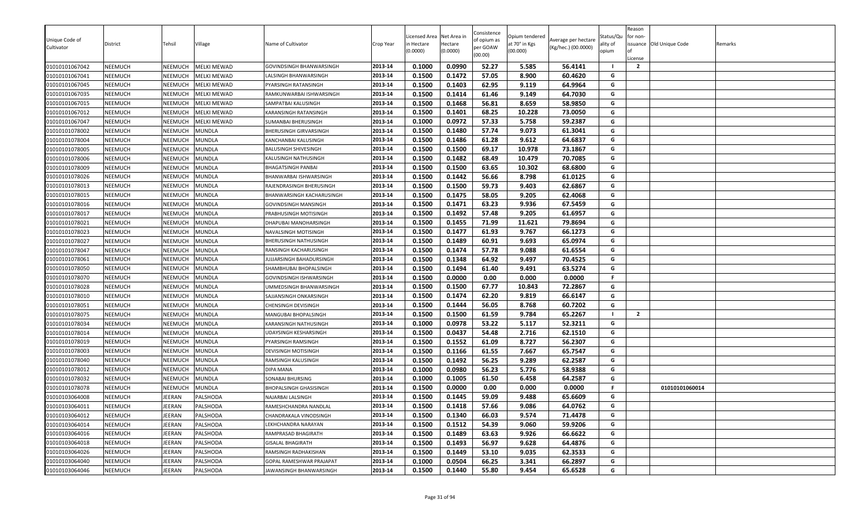| Unique Code of |                |                |                    | Name of Cultivator        |           | icensed Area          | Net Area in         | Consistence<br>of opium as | Opium tendered            | Average per hectare | Status/Qu         | Reason<br>for non- |                          |         |
|----------------|----------------|----------------|--------------------|---------------------------|-----------|-----------------------|---------------------|----------------------------|---------------------------|---------------------|-------------------|--------------------|--------------------------|---------|
| Cultivator     | District       | Tehsil         | √illage            |                           | Crop Year | n Hectare<br>(0.0000) | Hectare<br>(0.0000) | per GOAW<br>(00.00)        | at 70° in Kgs<br>(00.000) | (Kg/hec.) (00.0000) | ality of<br>opium | License            | issuance Old Unique Code | Remarks |
| 01010101067042 | <b>NEEMUCH</b> | NEEMUCH        | <b>MELKI MEWAD</b> | GOVINDSINGH BHANWARSINGH  | 2013-14   | 0.1000                | 0.0990              | 52.27                      | 5.585                     | 56.4141             |                   | $\overline{2}$     |                          |         |
| 01010101067041 | <b>NEEMUCH</b> | NEEMUCH        | <b>MELKI MEWAD</b> | LALSINGH BHANWARSINGH     | 2013-14   | 0.1500                | 0.1472              | 57.05                      | 8.900                     | 60.4620             | G                 |                    |                          |         |
| 01010101067045 | <b>NEEMUCH</b> | NEEMUCH        | <b>MELKI MEWAD</b> | PYARSINGH RATANSINGH      | 2013-14   | 0.1500                | 0.1403              | 62.95                      | 9.119                     | 64.9964             | G                 |                    |                          |         |
| 01010101067035 | <b>NEEMUCH</b> | NEEMUCH        | <b>MELKI MEWAD</b> | RAMKUNWARBAI ISHWARSINGH  | 2013-14   | 0.1500                | 0.1414              | 61.46                      | 9.149                     | 64.7030             | G                 |                    |                          |         |
| 01010101067015 | <b>NEEMUCH</b> | <b>NEEMUCH</b> | <b>MELKI MEWAD</b> | SAMPATBAI KALUSINGH       | 2013-14   | 0.1500                | 0.1468              | 56.81                      | 8.659                     | 58.9850             | G                 |                    |                          |         |
| 01010101067012 | <b>NEEMUCH</b> | NEEMUCH        | <b>MELKI MEWAD</b> | KARANSINGH RATANSINGH     | 2013-14   | 0.1500                | 0.1401              | 68.25                      | 10.228                    | 73.0050             | G                 |                    |                          |         |
| 01010101067047 | <b>NEEMUCH</b> | NEEMUCH        | <b>MELKI MEWAD</b> | SUMANBAI BHERUSINGH       | 2013-14   | 0.1000                | 0.0972              | 57.33                      | 5.758                     | 59.2387             | G                 |                    |                          |         |
| 01010101078002 | <b>NEEMUCH</b> | NEEMUCH        | <b>MUNDLA</b>      | BHERUSINGH GIRVARSINGH    | 2013-14   | 0.1500                | 0.1480              | 57.74                      | 9.073                     | 61.3041             | G                 |                    |                          |         |
| 01010101078004 | <b>NEEMUCH</b> | NEEMUCH        | <b>MUNDLA</b>      | KANCHANBAI KALUSINGH      | 2013-14   | 0.1500                | 0.1486              | 61.28                      | 9.612                     | 64.6837             | G                 |                    |                          |         |
| 01010101078005 | <b>NEEMUCH</b> | <b>NEEMUCH</b> | <b>MUNDLA</b>      | BALUSINGH SHIVESINGH      | 2013-14   | 0.1500                | 0.1500              | 69.17                      | 10.978                    | 73.1867             | G                 |                    |                          |         |
| 01010101078006 | <b>NEEMUCH</b> | NEEMUCH        | <b>MUNDLA</b>      | KALUSINGH NATHUSINGH      | 2013-14   | 0.1500                | 0.1482              | 68.49                      | 10.479                    | 70.7085             | G                 |                    |                          |         |
| 01010101078009 | <b>NEEMUCH</b> | NEEMUCH        | <b>MUNDLA</b>      | BHAGATSINGH PANBAI        | 2013-14   | 0.1500                | 0.1500              | 63.65                      | 10.302                    | 68.6800             | G                 |                    |                          |         |
| 01010101078026 | <b>NEEMUCH</b> | NEEMUCH        | <b>MUNDLA</b>      | BHANWARBAI ISHWARSINGH    | 2013-14   | 0.1500                | 0.1442              | 56.66                      | 8.798                     | 61.0125             | G                 |                    |                          |         |
| 01010101078013 | <b>NEEMUCH</b> | <b>NEEMUCH</b> | <b>MUNDLA</b>      | RAJENDRASINGH BHERUSINGH  | 2013-14   | 0.1500                | 0.1500              | 59.73                      | 9.403                     | 62.6867             | G                 |                    |                          |         |
| 01010101078015 | <b>NEEMUCH</b> | <b>NEEMUCH</b> | <b>MUNDLA</b>      | BHANWARSINGH KACHARUSINGH | 2013-14   | 0.1500                | 0.1475              | 58.05                      | 9.205                     | 62.4068             | G                 |                    |                          |         |
| 01010101078016 | <b>NEEMUCH</b> | NEEMUCH        | <b>MUNDLA</b>      | GOVINDSINGH MANSINGH      | 2013-14   | 0.1500                | 0.1471              | 63.23                      | 9.936                     | 67.5459             | G                 |                    |                          |         |
| 01010101078017 | <b>NEEMUCH</b> | NEEMUCH        | <b>MUNDLA</b>      | PRABHUSINGH MOTISINGH     | 2013-14   | 0.1500                | 0.1492              | 57.48                      | 9.205                     | 61.6957             | G                 |                    |                          |         |
| 01010101078021 | <b>NEEMUCH</b> | NEEMUCH        | <b>MUNDLA</b>      | DHAPUBAI MANOHARSINGH     | 2013-14   | 0.1500                | 0.1455              | 71.99                      | 11.621                    | 79.8694             | G                 |                    |                          |         |
| 01010101078023 | <b>NEEMUCH</b> | <b>NEEMUCH</b> | <b>MUNDLA</b>      | NAVALSINGH MOTISINGH      | 2013-14   | 0.1500                | 0.1477              | 61.93                      | 9.767                     | 66.1273             | G                 |                    |                          |         |
| 01010101078027 | <b>NEEMUCH</b> | NEEMUCH        | <b>MUNDLA</b>      | BHERUSINGH NATHUSINGH     | 2013-14   | 0.1500                | 0.1489              | 60.91                      | 9.693                     | 65.0974             | G                 |                    |                          |         |
| 01010101078047 | <b>NEEMUCH</b> | NEEMUCH        | <b>MUNDLA</b>      | RANSINGH KACHARUSINGH     | 2013-14   | 0.1500                | 0.1474              | 57.78                      | 9.088                     | 61.6554             | G                 |                    |                          |         |
| 01010101078061 | <b>NEEMUCH</b> | NEEMUCH        | <b>MUNDLA</b>      | JUJJARSINGH BAHADURSINGH  | 2013-14   | 0.1500                | 0.1348              | 64.92                      | 9.497                     | 70.4525             | G                 |                    |                          |         |
| 01010101078050 | <b>NEEMUCH</b> | <b>NEEMUCH</b> | <b>MUNDLA</b>      | SHAMBHUBAI BHOPALSINGH    | 2013-14   | 0.1500                | 0.1494              | 61.40                      | 9.491                     | 63.5274             | G                 |                    |                          |         |
| 01010101078070 | <b>NEEMUCH</b> | <b>NEEMUCH</b> | <b>MUNDLA</b>      | GOVINDSINGH ISHWARSINGH   | 2013-14   | 0.1500                | 0.0000              | 0.00                       | 0.000                     | 0.0000              | F.                |                    |                          |         |
| 01010101078028 | <b>NEEMUCH</b> | NEEMUCH        | <b>MUNDLA</b>      | UMMEDSINGH BHANWARSINGH   | 2013-14   | 0.1500                | 0.1500              | 67.77                      | 10.843                    | 72.2867             | G                 |                    |                          |         |
| 01010101078010 | <b>NEEMUCH</b> | <b>NEEMUCH</b> | <b>MUNDLA</b>      | SAJJANSINGH ONKARSINGH    | 2013-14   | 0.1500                | 0.1474              | 62.20                      | 9.819                     | 66.6147             | G                 |                    |                          |         |
| 01010101078051 | <b>NEEMUCH</b> | NEEMUCH        | <b>MUNDLA</b>      | CHENSINGH DEVISINGH       | 2013-14   | 0.1500                | 0.1444              | 56.05                      | 8.768                     | 60.7202             | G                 |                    |                          |         |
| 01010101078075 | NEEMUCH        | <b>NEEMUCH</b> | <b>MUNDLA</b>      | MANGUBAI BHOPALSINGH      | 2013-14   | 0.1500                | 0.1500              | 61.59                      | 9.784                     | 65.2267             |                   | $\overline{2}$     |                          |         |
| 01010101078034 | <b>NEEMUCH</b> | NEEMUCH        | <b>MUNDLA</b>      | KARANSINGH NATHUSINGH     | 2013-14   | 0.1000                | 0.0978              | 53.22                      | 5.117                     | 52.3211             | G                 |                    |                          |         |
| 01010101078014 | <b>NEEMUCH</b> | NEEMUCH        | <b>MUNDLA</b>      | UDAYSINGH KESHARSINGH     | 2013-14   | 0.1500                | 0.0437              | 54.48                      | 2.716                     | 62.1510             | G                 |                    |                          |         |
| 01010101078019 | <b>NEEMUCH</b> | <b>NEEMUCH</b> | <b>MUNDLA</b>      | PYARSINGH RAMSINGH        | 2013-14   | 0.1500                | 0.1552              | 61.09                      | 8.727                     | 56.2307             | G                 |                    |                          |         |
| 01010101078003 | <b>NEEMUCH</b> | <b>NEEMUCH</b> | <b>MUNDLA</b>      | DEVISINGH MOTISINGH       | 2013-14   | 0.1500                | 0.1166              | 61.55                      | 7.667                     | 65.7547             | G                 |                    |                          |         |
| 01010101078040 | <b>NEEMUCH</b> | <b>NEEMUCH</b> | <b>MUNDLA</b>      | RAMSINGH KALUSINGH        | 2013-14   | 0.1500                | 0.1492              | 56.25                      | 9.289                     | 62.2587             | G                 |                    |                          |         |
| 01010101078012 | <b>NEEMUCH</b> | NEEMUCH        | <b>MUNDLA</b>      | DIPA MANA                 | 2013-14   | 0.1000                | 0.0980              | 56.23                      | 5.776                     | 58.9388             | G                 |                    |                          |         |
| 01010101078032 | <b>NEEMUCH</b> | NEEMUCH        | <b>MUNDLA</b>      | SONABAI BHURSING          | 2013-14   | 0.1000                | 0.1005              | 61.50                      | 6.458                     | 64.2587             | G                 |                    |                          |         |
| 01010101078078 | <b>NEEMUCH</b> | NEEMUCH        | <b>MUNDLA</b>      | BHOPALSINGH GHASISINGH    | 2013-14   | 0.1500                | 0.0000              | 0.00                       | 0.000                     | 0.0000              | F.                |                    | 01010101060014           |         |
| 01010103064008 | NEEMUCH        | JEERAN         | PALSHODA           | NAJARBAI LALSINGH         | 2013-14   | 0.1500                | 0.1445              | 59.09                      | 9.488                     | 65.6609             | G                 |                    |                          |         |
| 01010103064011 | <b>NEEMUCH</b> | JEERAN         | PALSHODA           | RAMESHCHANDRA NANDLAL     | 2013-14   | 0.1500                | 0.1418              | 57.66                      | 9.086                     | 64.0762             | G                 |                    |                          |         |
| 01010103064012 | <b>NEEMUCH</b> | JEERAN         | PALSHODA           | CHANDRAKALA VINODSINGH    | 2013-14   | 0.1500                | 0.1340              | 66.03                      | 9.574                     | 71.4478             | G                 |                    |                          |         |
| 01010103064014 | NEEMUCH        | JEERAN         | PALSHODA           | LEKHCHANDRA NARAYAN       | 2013-14   | 0.1500                | 0.1512              | 54.39                      | 9.060                     | 59.9206             | G                 |                    |                          |         |
| 01010103064016 | NEEMUCH        | JEERAN         | PALSHODA           | RAMPRASAD BHAGIRATH       | 2013-14   | 0.1500                | 0.1489              | 63.63                      | 9.926                     | 66.6622             | G                 |                    |                          |         |
| 01010103064018 | <b>NEEMUCH</b> | JEERAN         | PALSHODA           | <b>GISALAL BHAGIRATH</b>  | 2013-14   | 0.1500                | 0.1493              | 56.97                      | 9.628                     | 64.4876             | G                 |                    |                          |         |
| 01010103064026 | NEEMUCH        | JEERAN         | PALSHODA           | RAMSINGH RADHAKISHAN      | 2013-14   | 0.1500                | 0.1449              | 53.10                      | 9.035                     | 62.3533             | G                 |                    |                          |         |
| 01010103064040 | NEEMUCH        | JEERAN         | PALSHODA           | GOPAL RAMESHWAR PRAJAPAT  | 2013-14   | 0.1000                | 0.0504              | 66.25                      | 3.341                     | 66.2897             | G                 |                    |                          |         |
| 01010103064046 | NEEMUCH        | JEERAN         | PALSHODA           | JAWANSINGH BHANWARSINGH   | 2013-14   | 0.1500                | 0.1440              | 55.80                      | 9.454                     | 65.6528             | G                 |                    |                          |         |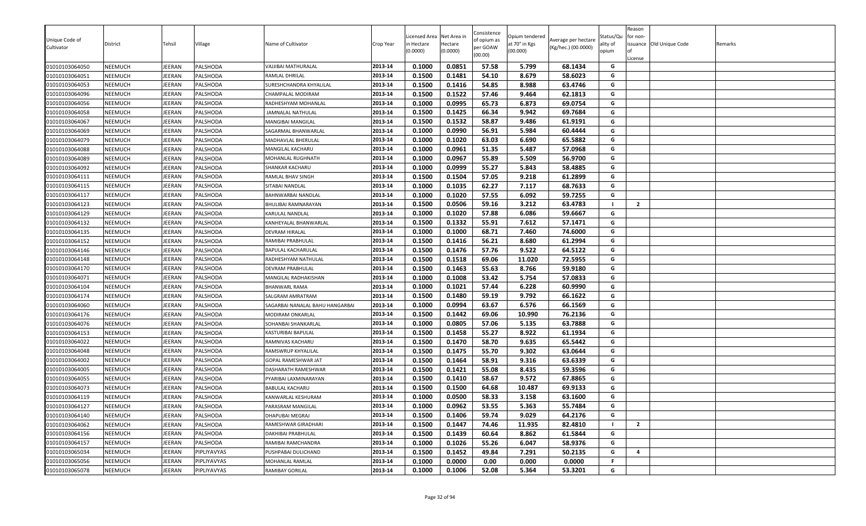| Unique Code of |                |               |             |                                 |           | icensed Area | Net Area in | Consistence<br>of opium as | Opium tendered | Average per hectare | Status/Qu | Reason<br>for non- |                          |         |
|----------------|----------------|---------------|-------------|---------------------------------|-----------|--------------|-------------|----------------------------|----------------|---------------------|-----------|--------------------|--------------------------|---------|
| Cultivator     | District       | Tehsil        | ∕illage     | Name of Cultivator              | Crop Year | n Hectare    | Hectare     | per GOAW                   | at 70° in Kgs  | (Kg/hec.) (00.0000) | ality of  |                    | issuance Old Unique Code | Remarks |
|                |                |               |             |                                 |           | (0.0000)     | (0.0000)    | (00.00)                    | (00.000)       |                     | opium     | License            |                          |         |
| 01010103064050 | <b>NEEMUCH</b> | JEERAN        | PALSHODA    | VAJJIBAI MATHURALAL             | 2013-14   | 0.1000       | 0.0851      | 57.58                      | 5.799          | 68.1434             | G         |                    |                          |         |
| 01010103064051 | <b>NEEMUCH</b> | JEERAN        | PALSHODA    | RAMLAL DHRILAL                  | 2013-14   | 0.1500       | 0.1481      | 54.10                      | 8.679          | 58.6023             | G         |                    |                          |         |
| 01010103064053 | <b>NEEMUCH</b> | JEERAN        | PALSHODA    | SURESHCHANDRA KHYALILAL         | 2013-14   | 0.1500       | 0.1416      | 54.85                      | 8.988          | 63.4746             | G         |                    |                          |         |
| 01010103064096 | <b>NEEMUCH</b> | JEERAN        | PALSHODA    | CHAMPALAL MODIRAM               | 2013-14   | 0.1500       | 0.1522      | 57.46                      | 9.464          | 62.1813             | G         |                    |                          |         |
| 01010103064056 | <b>NEEMUCH</b> | JEERAN        | PALSHODA    | RADHESHYAM MOHANLAL             | 2013-14   | 0.1000       | 0.0995      | 65.73                      | 6.873          | 69.0754             | G         |                    |                          |         |
| 01010103064058 | <b>NEEMUCH</b> | JEERAN        | PALSHODA    | JAMNALAL NATHULAL               | 2013-14   | 0.1500       | 0.1425      | 66.34                      | 9.942          | 69.7684             | G         |                    |                          |         |
| 01010103064067 | <b>NEEMUCH</b> | JEERAN        | PALSHODA    | MANGIBAI MANGILAL               | 2013-14   | 0.1500       | 0.1532      | 58.87                      | 9.486          | 61.9191             | G         |                    |                          |         |
| 01010103064069 | <b>NEEMUCH</b> | JEERAN        | PALSHODA    | SAGARMAL BHANWARLAL             | 2013-14   | 0.1000       | 0.0990      | 56.91                      | 5.984          | 60.4444             | G         |                    |                          |         |
| 01010103064079 | <b>NEEMUCH</b> | JEERAN        | PALSHODA    | MADHAVLAL BHERULAL              | 2013-14   | 0.1000       | 0.1020      | 63.03                      | 6.690          | 65.5882             | G         |                    |                          |         |
| 01010103064088 | <b>NEEMUCH</b> | JEERAN        | PALSHODA    | MANGILAL KACHARU                | 2013-14   | 0.1000       | 0.0961      | 51.35                      | 5.487          | 57.0968             | G         |                    |                          |         |
| 01010103064089 | <b>NEEMUCH</b> | JEERAN        | PALSHODA    | MOHANLAL RUGHNATH               | 2013-14   | 0.1000       | 0.0967      | 55.89                      | 5.509          | 56.9700             | G         |                    |                          |         |
| 01010103064092 | <b>NEEMUCH</b> | <b>JEERAN</b> | PALSHODA    | SHANKAR KACHARU                 | 2013-14   | 0.1000       | 0.0999      | 55.27                      | 5.843          | 58.4885             | G         |                    |                          |         |
| 01010103064111 | <b>NEEMUCH</b> | JEERAN        | PALSHODA    | RAMLAL BHAV SINGH               | 2013-14   | 0.1500       | 0.1504      | 57.05                      | 9.218          | 61.2899             | G         |                    |                          |         |
| 01010103064115 | <b>NEEMUCH</b> | JEERAN        | PALSHODA    | SITABAI NANDLAL                 | 2013-14   | 0.1000       | 0.1035      | 62.27                      | 7.117          | 68.7633             | G         |                    |                          |         |
| 01010103064117 | <b>NEEMUCH</b> | JEERAN        | PALSHODA    | BAHNWARBAI NANDLAL              | 2013-14   | 0.1000       | 0.1020      | 57.55                      | 6.092          | 59.7255             | G         |                    |                          |         |
| 01010103064123 | <b>NEEMUCH</b> | JEERAN        | PALSHODA    | BHULIBAI RAMNARAYAN             | 2013-14   | 0.1500       | 0.0506      | 59.16                      | 3.212          | 63.4783             | - 1       | $\overline{2}$     |                          |         |
| 01010103064129 | <b>NEEMUCH</b> | JEERAN        | PALSHODA    | KARULAL NANDLAL                 | 2013-14   | 0.1000       | 0.1020      | 57.88                      | 6.086          | 59.6667             | G         |                    |                          |         |
| 01010103064132 | <b>NEEMUCH</b> | JEERAN        | PALSHODA    | KANHEYALAL BHANWARLAL           | 2013-14   | 0.1500       | 0.1332      | 55.91                      | 7.612          | 57.1471             | G         |                    |                          |         |
| 01010103064135 | <b>NEEMUCH</b> | JEERAN        | PALSHODA    | DEVRAM HIRALAL                  | 2013-14   | 0.1000       | 0.1000      | 68.71                      | 7.460          | 74.6000             | G         |                    |                          |         |
| 01010103064152 | <b>NEEMUCH</b> | JEERAN        | PALSHODA    | RAMIBAI PRABHULAL               | 2013-14   | 0.1500       | 0.1416      | 56.21                      | 8.680          | 61.2994             | G         |                    |                          |         |
| 01010103064146 | <b>NEEMUCH</b> | JEERAN        | PALSHODA    | BAPULAL KACHARULAL              | 2013-14   | 0.1500       | 0.1476      | 57.76                      | 9.522          | 64.5122             | G         |                    |                          |         |
| 01010103064148 | <b>NEEMUCH</b> | JEERAN        | PALSHODA    | RADHESHYAM NATHULAL             | 2013-14   | 0.1500       | 0.1518      | 69.06                      | 11.020         | 72.5955             | G         |                    |                          |         |
| 01010103064170 | <b>NEEMUCH</b> | JEERAN        | PALSHODA    | DEVRAM PRABHULAL                | 2013-14   | 0.1500       | 0.1463      | 55.63                      | 8.766          | 59.9180             | G         |                    |                          |         |
| 01010103064071 | <b>NEEMUCH</b> | JEERAN        | PALSHODA    | MANGILAL RADHAKISHAN            | 2013-14   | 0.1000       | 0.1008      | 53.42                      | 5.754          | 57.0833             | G         |                    |                          |         |
| 01010103064104 | <b>NEEMUCH</b> | JEERAN        | PALSHODA    | BHANWARL RAMA                   | 2013-14   | 0.1000       | 0.1021      | 57.44                      | 6.228          | 60.9990             | G         |                    |                          |         |
| 01010103064174 | <b>NEEMUCH</b> | JEERAN        | PALSHODA    | SALGRAM AMRATRAM                | 2013-14   | 0.1500       | 0.1480      | 59.19                      | 9.792          | 66.1622             | G         |                    |                          |         |
| 01010103064060 | <b>NEEMUCH</b> | JEERAN        | PALSHODA    | SAGARBAI NANALAL BAHU HANGARBAI | 2013-14   | 0.1000       | 0.0994      | 63.67                      | 6.576          | 66.1569             | G         |                    |                          |         |
| 01010103064176 | NEEMUCH        | JEERAN        | PALSHODA    | MODIRAM ONKARLAL                | 2013-14   | 0.1500       | 0.1442      | 69.06                      | 10.990         | 76.2136             | G         |                    |                          |         |
| 01010103064076 | <b>NEEMUCH</b> | JEERAN        | PALSHODA    | SOHANBAI SHANKARLAL             | 2013-14   | 0.1000       | 0.0805      | 57.06                      | 5.135          | 63.7888             | G         |                    |                          |         |
| 01010103064153 | <b>NEEMUCH</b> | JEERAN        | PALSHODA    | KASTURIBAI BAPULAL              | 2013-14   | 0.1500       | 0.1458      | 55.27                      | 8.922          | 61.1934             | G         |                    |                          |         |
| 01010103064022 | <b>NEEMUCH</b> | JEERAN        | PALSHODA    | RAMNIVAS KACHARU                | 2013-14   | 0.1500       | 0.1470      | 58.70                      | 9.635          | 65.5442             | G         |                    |                          |         |
| 01010103064048 | <b>NEEMUCH</b> | JEERAN        | PALSHODA    | RAMSWRUP KHYALILAL              | 2013-14   | 0.1500       | 0.1475      | 55.70                      | 9.302          | 63.0644             | G         |                    |                          |         |
| 01010103064002 | <b>NEEMUCH</b> | JEERAN        | PALSHODA    | GOPAL RAMESHWAR JAT             | 2013-14   | 0.1500       | 0.1464      | 58.91                      | 9.316          | 63.6339             | G         |                    |                          |         |
| 01010103064005 | <b>NEEMUCH</b> | JEERAN        | PALSHODA    | DASHARATH RAMESHWAR             | 2013-14   | 0.1500       | 0.1421      | 55.08                      | 8.435          | 59.3596             | G         |                    |                          |         |
| 01010103064055 | <b>NEEMUCH</b> | JEERAN        | PALSHODA    | PYARIBAI LAXMINARAYAN           | 2013-14   | 0.1500       | 0.1410      | 58.67                      | 9.572          | 67.8865             | G         |                    |                          |         |
| 01010103064073 | <b>NEEMUCH</b> | JEERAN        | PALSHODA    | BABULAL KACHARU                 | 2013-14   | 0.1500       | 0.1500      | 64.68                      | 10.487         | 69.9133             | G         |                    |                          |         |
| 01010103064119 | <b>NEEMUCH</b> | JEERAN        | PALSHODA    | KANWARLAL KESHURAM              | 2013-14   | 0.1000       | 0.0500      | 58.33                      | 3.158          | 63.1600             | G         |                    |                          |         |
| 01010103064127 | <b>NEEMUCH</b> | JEERAN        | PALSHODA    | PARASRAM MANGILAL               | 2013-14   | 0.1000       | 0.0962      | 53.55                      | 5.363          | 55.7484             | G         |                    |                          |         |
| 01010103064140 | <b>NEEMUCH</b> | JEERAN        | PALSHODA    | DHAPUBAI MEGRAJ                 | 2013-14   | 0.1500       | 0.1406      | 59.74                      | 9.029          | 64.2176             | G         |                    |                          |         |
| 01010103064062 | <b>NEEMUCH</b> | JEERAN        | PALSHODA    | RAMESHWAR GIRADHARI             | 2013-14   | 0.1500       | 0.1447      | 74.46                      | 11.935         | 82.4810             | - 1       | $\overline{2}$     |                          |         |
| 01010103064156 | NEEMUCH        | JEERAN        | PALSHODA    | DAKHIBAI PRABHULAL              | 2013-14   | 0.1500       | 0.1439      | 60.64                      | 8.862          | 61.5844             | G         |                    |                          |         |
| 01010103064157 | <b>NEEMUCH</b> | JEERAN        | PALSHODA    | RAMIBAI RAMCHANDRA              | 2013-14   | 0.1000       | 0.1026      | 55.26                      | 6.047          | 58.9376             | G         |                    |                          |         |
| 01010103065034 | NEEMUCH        | JEERAN        | PIPLIYAVYAS | PUSHPABAI DULICHAND             | 2013-14   | 0.1500       | 0.1452      | 49.84                      | 7.291          | 50.2135             | G         | 4                  |                          |         |
| 01010103065056 | NEEMUCH        | JEERAN        | PIPLIYAVYAS | MOHANLAL RAMLAL                 | 2013-14   | 0.1000       | 0.0000      | 0.00                       | 0.000          | 0.0000              | .F        |                    |                          |         |
| 01010103065078 | NEEMUCH        | JEERAN        | PIPLIYAVYAS | RAMIBAY GORILAL                 | 2013-14   | 0.1000       | 0.1006      | 52.08                      | 5.364          | 53.3201             | G         |                    |                          |         |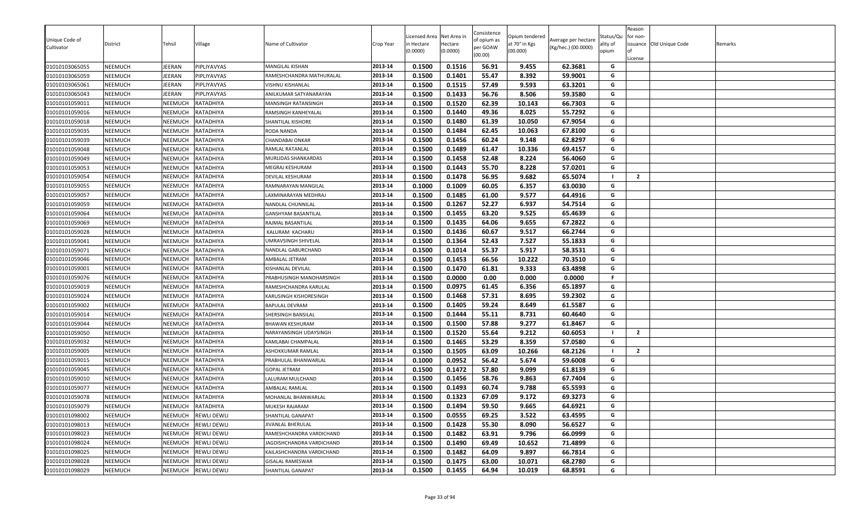| Unique Code of<br>Cultivator | District       | Tehsil         | Village            | Name of Cultivator        | Crop Year | icensed Area<br>n Hectare<br>0.0000 | Net Area in<br>Hectare<br>(0.0000) | Consistence<br>of opium as<br>per GOAW<br>(00.00) | Opium tendered<br>at 70° in Kgs<br>(00.000) | Average per hectare<br>(Kg/hec.) (00.0000) | Status/Qu<br>ality of<br>opium | Reason<br>for non-<br>lof<br>License | issuance Old Unique Code | Remarks |
|------------------------------|----------------|----------------|--------------------|---------------------------|-----------|-------------------------------------|------------------------------------|---------------------------------------------------|---------------------------------------------|--------------------------------------------|--------------------------------|--------------------------------------|--------------------------|---------|
| 01010103065055               | <b>NEEMUCH</b> | JEERAN         | PIPLIYAVYAS        | MANGILAL KISHAN           | 2013-14   | 0.1500                              | 0.1516                             | 56.91                                             | 9.455                                       | 62.3681                                    | G                              |                                      |                          |         |
| 01010103065059               | NEEMUCH        | JEERAN         | PIPLIYAVYAS        | RAMESHCHANDRA MATHURALAL  | 2013-14   | 0.1500                              | 0.1401                             | 55.47                                             | 8.392                                       | 59.9001                                    | G                              |                                      |                          |         |
| 01010103065061               | NEEMUCH        | JEERAN         | PIPLIYAVYAS        | VISHNU KISHANLAL          | 2013-14   | 0.1500                              | 0.1515                             | 57.49                                             | 9.593                                       | 63.3201                                    | G                              |                                      |                          |         |
| 01010103065043               | NEEMUCH        | JEERAN         | PIPLIYAVYAS        | ANILKUMAR SATYANARAYAN    | 2013-14   | 0.1500                              | 0.1433                             | 56.76                                             | 8.506                                       | 59.3580                                    | G                              |                                      |                          |         |
| 01010101059011               | NEEMUCH        | NEEMUCH        | RATADHIYA          | MANSINGH RATANSINGH       | 2013-14   | 0.1500                              | 0.1520                             | 62.39                                             | 10.143                                      | 66.7303                                    | G                              |                                      |                          |         |
| 01010101059016               | NEEMUCH        | NEEMUCH        | RATADHIYA          | RAMSINGH KANHEYALAL       | 2013-14   | 0.1500                              | 0.1440                             | 49.36                                             | 8.025                                       | 55.7292                                    | G                              |                                      |                          |         |
| 01010101059018               | NEEMUCH        | NEEMUCH        | RATADHIYA          | SHANTILAL KISHORE         | 2013-14   | 0.1500                              | 0.1480                             | 61.39                                             | 10.050                                      | 67.9054                                    | G                              |                                      |                          |         |
| 01010101059035               | NEEMUCH        | NEEMUCH        | RATADHIYA          | RODA NANDA                | 2013-14   | 0.1500                              | 0.1484                             | 62.45                                             | 10.063                                      | 67.8100                                    | G                              |                                      |                          |         |
| 01010101059039               | NEEMUCH        | NEEMUCH        | RATADHIYA          | <b>CHANDABAI ONKAR</b>    | 2013-14   | 0.1500                              | 0.1456                             | 60.24                                             | 9.148                                       | 62.8297                                    | G                              |                                      |                          |         |
| 01010101059048               | NEEMUCH        | <b>NEEMUCH</b> | RATADHIYA          | RAMLAL RATANLAL           | 2013-14   | 0.1500                              | 0.1489                             | 61.47                                             | 10.336                                      | 69.4157                                    | G                              |                                      |                          |         |
| 01010101059049               | NEEMUCH        | <b>NEEMUCH</b> | RATADHIYA          | MURLIDAS SHANKARDAS       | 2013-14   | 0.1500                              | 0.1458                             | 52.48                                             | 8.224                                       | 56.4060                                    | G                              |                                      |                          |         |
| 01010101059053               | NEEMUCH        | <b>NEEMUCH</b> | RATADHIYA          | MEGRAJ KESHURAM           | 2013-14   | 0.1500                              | 0.1443                             | 55.70                                             | 8.228                                       | 57.0201                                    | G                              |                                      |                          |         |
| 01010101059054               | NEEMUCH        | NEEMUCH        | RATADHIYA          | DEVILAL KESHURAM          | 2013-14   | 0.1500                              | 0.1478                             | 56.95                                             | 9.682                                       | 65.5074                                    | - 1                            | $\overline{2}$                       |                          |         |
| 01010101059055               | NEEMUCH        | NEEMUCH        | RATADHIYA          | RAMNARAYAN MANGILAL       | 2013-14   | 0.1000                              | 0.1009                             | 60.05                                             | 6.357                                       | 63.0030                                    | G                              |                                      |                          |         |
| 01010101059057               | NEEMUCH        | NEEMUCH        | RATADHIYA          | LAXMINARAYAN MEDHRAJ      | 2013-14   | 0.1500                              | 0.1485                             | 61.00                                             | 9.577                                       | 64.4916                                    | G                              |                                      |                          |         |
| 01010101059059               | NEEMUCH        | NEEMUCH        | RATADHIYA          | NANDLAL CHUNNILAL         | 2013-14   | 0.1500                              | 0.1267                             | 52.27                                             | 6.937                                       | 54.7514                                    | G                              |                                      |                          |         |
| 01010101059064               | NEEMUCH        | NEEMUCH        | RATADHIYA          | GANSHYAM BASANTILAL       | 2013-14   | 0.1500                              | 0.1455                             | 63.20                                             | 9.525                                       | 65.4639                                    | G                              |                                      |                          |         |
| 01010101059069               | NEEMUCH        | <b>NEEMUCH</b> | RATADHIYA          | RAJMAL BASANTILAL         | 2013-14   | 0.1500                              | 0.1435                             | 64.06                                             | 9.655                                       | 67.2822                                    | G                              |                                      |                          |         |
| 01010101059028               | NEEMUCH        | NEEMUCH        | RATADHIYA          | KALURAM KACHARU           | 2013-14   | 0.1500                              | 0.1436                             | 60.67                                             | 9.517                                       | 66.2744                                    | G                              |                                      |                          |         |
| 01010101059041               | NEEMUCH        | NEEMUCH        | RATADHIYA          | UMRAVSINGH SHIVELAL       | 2013-14   | 0.1500                              | 0.1364                             | 52.43                                             | 7.527                                       | 55.1833                                    | G                              |                                      |                          |         |
| 01010101059071               | NEEMUCH        | <b>NEEMUCH</b> | RATADHIYA          | NANDLAL GABURCHAND        | 2013-14   | 0.1500                              | 0.1014                             | 55.37                                             | 5.917                                       | 58.3531                                    | G                              |                                      |                          |         |
| 01010101059046               | NEEMUCH        | NEEMUCH        | RATADHIYA          | AMBALAL JETRAM            | 2013-14   | 0.1500                              | 0.1453                             | 66.56                                             | 10.222                                      | 70.3510                                    | G                              |                                      |                          |         |
| 01010101059001               | NEEMUCH        | NEEMUCH        | RATADHIYA          | KISHANLAL DEVILAL         | 2013-14   | 0.1500                              | 0.1470                             | 61.81                                             | 9.333                                       | 63.4898                                    | G                              |                                      |                          |         |
| 01010101059076               | NEEMUCH        | NEEMUCH        | RATADHIYA          | PRABHUSINGH MANOHARSINGH  | 2013-14   | 0.1500                              | 0.0000                             | 0.00                                              | 0.000                                       | 0.0000                                     | F                              |                                      |                          |         |
| 01010101059019               | NEEMUCH        | NEEMUCH        | RATADHIYA          | RAMESHCHANDRA KARULAL     | 2013-14   | 0.1500                              | 0.0975                             | 61.45                                             | 6.356                                       | 65.1897                                    | G                              |                                      |                          |         |
| 01010101059024               | NEEMUCH        | NEEMUCH        | RATADHIYA          | KARUSINGH KISHORESINGH    | 2013-14   | 0.1500                              | 0.1468                             | 57.31                                             | 8.695                                       | 59.2302                                    | G                              |                                      |                          |         |
| 01010101059002               | NEEMUCH        | NEEMUCH        | RATADHIYA          | <b>BAPULAL DEVRAM</b>     | 2013-14   | 0.1500                              | 0.1405                             | 59.24                                             | 8.649                                       | 61.5587                                    | G                              |                                      |                          |         |
| 01010101059014               | NEEMUCH        | <b>NEEMUCH</b> | RATADHIYA          | SHERSINGH BANSILAL        | 2013-14   | 0.1500                              | 0.1444                             | 55.11                                             | 8.731                                       | 60.4640                                    | G                              |                                      |                          |         |
| 01010101059044               | NEEMUCH        | <b>NEEMUCH</b> | RATADHIYA          | <b>BHAWAN KESHURAM</b>    | 2013-14   | 0.1500                              | 0.1500                             | 57.88                                             | 9.277                                       | 61.8467                                    | G                              |                                      |                          |         |
| 01010101059050               | NEEMUCH        | NEEMUCH        | RATADHIYA          | NARAYANSINGH UDAYSINGH    | 2013-14   | 0.1500                              | 0.1520                             | 55.64                                             | 9.212                                       | 60.6053                                    |                                | $\overline{2}$                       |                          |         |
| 01010101059032               | NEEMUCH        | NEEMUCH        | RATADHIYA          | KAMLABAI CHAMPALAL        | 2013-14   | 0.1500                              | 0.1465                             | 53.29                                             | 8.359                                       | 57.0580                                    | G                              |                                      |                          |         |
| 01010101059005               | NEEMUCH        | NEEMUCH        | RATADHIYA          | ASHOKKUMAR RAMLAL         | 2013-14   | 0.1500                              | 0.1505                             | 63.09                                             | 10.266                                      | 68.2126                                    |                                | $\overline{2}$                       |                          |         |
| 01010101059015               | <b>NEEMUCH</b> | NEEMUCH        | RATADHIYA          | PRABHULAL BHANWARLAL      | 2013-14   | 0.1000                              | 0.0952                             | 56.42                                             | 5.674                                       | 59.6008                                    | G                              |                                      |                          |         |
| 01010101059045               | NEEMUCH        | NEEMUCH        | RATADHIYA          | <b>GOPAL JETRAM</b>       | 2013-14   | 0.1500                              | 0.1472                             | 57.80                                             | 9.099                                       | 61.8139                                    | G                              |                                      |                          |         |
| 01010101059010               | NEEMUCH        | NEEMUCH        | RATADHIYA          | LALURAM MULCHAND          | 2013-14   | 0.1500                              | 0.1456                             | 58.76                                             | 9.863                                       | 67.7404                                    | G                              |                                      |                          |         |
| 01010101059077               | NEEMUCH        | NEEMUCH        | RATADHIYA          | AMBALAL RAMLAL            | 2013-14   | 0.1500                              | 0.1493                             | 60.74                                             | 9.788                                       | 65.5593                                    | G                              |                                      |                          |         |
| 01010101059078               | NEEMUCH        | <b>NEEMUCH</b> | RATADHIYA          | MOHANLAL BHANWARLAI       | 2013-14   | 0.1500                              | 0.1323                             | 67.09                                             | 9.172                                       | 69.3273                                    | G                              |                                      |                          |         |
| 01010101059079               | NEEMUCH        | NEEMUCH        | RATADHIYA          | MUKESH RAJARAM            | 2013-14   | 0.1500                              | 0.1494                             | 59.50                                             | 9.665                                       | 64.6921                                    | G                              |                                      |                          |         |
| 01010101098002               | <b>NEEMUCH</b> | NEEMUCH        | <b>REWLI DEWLI</b> | SHANTILAL GANAPAT         | 2013-14   | 0.1500                              | 0.0555                             | 69.25                                             | 3.522                                       | 63.4595                                    | G                              |                                      |                          |         |
| 01010101098013               | <b>NEEMUCH</b> | NEEMUCH        | <b>REWLI DEWLI</b> | <b>JIVANLAL BHERULAL</b>  | 2013-14   | 0.1500                              | 0.1428                             | 55.30                                             | 8.090                                       | 56.6527                                    | G                              |                                      |                          |         |
| 01010101098023               | <b>NEEMUCH</b> | NEEMUCH        | <b>REWLI DEWLI</b> | RAMESHCHANDRA VARDICHAND  | 2013-14   | 0.1500                              | 0.1482                             | 63.91                                             | 9.796                                       | 66.0999                                    | G                              |                                      |                          |         |
| 01010101098024               | <b>NEEMUCH</b> | NEEMUCH        | <b>REWLI DEWLI</b> | JAGDISHCHANDRA VARDICHAND | 2013-14   | 0.1500                              | 0.1490                             | 69.49                                             | 10.652                                      | 71.4899                                    | G                              |                                      |                          |         |
| 01010101098025               | NEEMUCH        | NEEMUCH        | <b>REWLI DEWLI</b> | KAILASHCHANDRA VARDICHAND | 2013-14   | 0.1500                              | 0.1482                             | 64.09                                             | 9.897                                       | 66.7814                                    | G                              |                                      |                          |         |
| 01010101098028               | <b>NEEMUCH</b> | NEEMUCH        | <b>REWLI DEWLI</b> | <b>GISALAL RAMESWAR</b>   | 2013-14   | 0.1500                              | 0.1475                             | 63.00                                             | 10.071                                      | 68.2780                                    | G                              |                                      |                          |         |
| 01010101098029               | <b>NEEMUCH</b> | NEEMUCH        | <b>REWLI DEWLI</b> | SHANTILAL GANAPAT         | 2013-14   | 0.1500                              | 0.1455                             | 64.94                                             | 10.019                                      | 68.8591                                    | G                              |                                      |                          |         |
|                              |                |                |                    |                           |           |                                     |                                    |                                                   |                                             |                                            |                                |                                      |                          |         |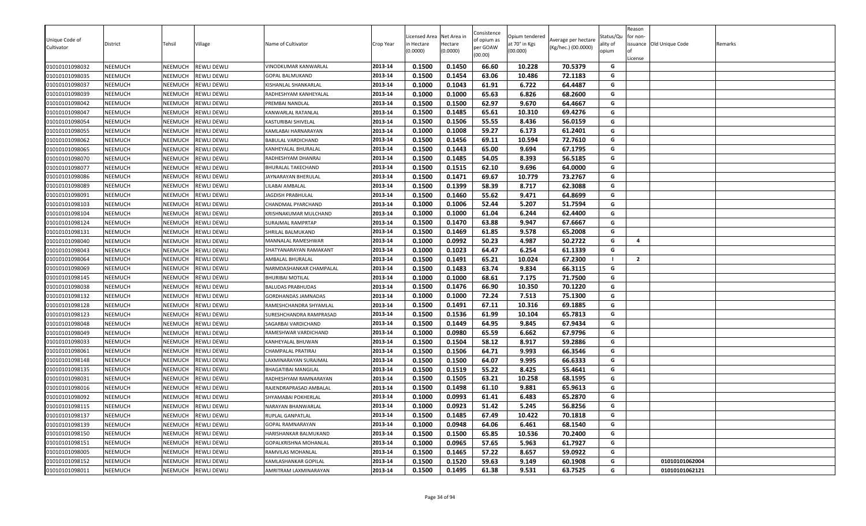| Unique Code of | District       | Tehsil         | √illage             | Name of Cultivator       | Crop Year | icensed Area<br>n Hectare | Net Area in<br>Hectare | Consistence<br>of opium as | Opium tendered<br>at 70° in Kgs | Average per hectare | Status/Qu<br>ality of | Reason<br>for non- | issuance Old Unique Code | Remarks |
|----------------|----------------|----------------|---------------------|--------------------------|-----------|---------------------------|------------------------|----------------------------|---------------------------------|---------------------|-----------------------|--------------------|--------------------------|---------|
| Cultivator     |                |                |                     |                          |           | (0.0000)                  | (0.0000)               | per GOAW<br>(00.00)        | (00.000)                        | (Kg/hec.) (00.0000) | opium                 | License            |                          |         |
| 01010101098032 | <b>NEEMUCH</b> | <b>NEEMUCH</b> | <b>REWLI DEWLI</b>  | VINODKUMAR KANWARLAL     | 2013-14   | 0.1500                    | 0.1450                 | 66.60                      | 10.228                          | 70.5379             | G                     |                    |                          |         |
| 01010101098035 | <b>NEEMUCH</b> | NEEMUCH        | <b>REWLI DEWLI</b>  | GOPAL BALMUKAND          | 2013-14   | 0.1500                    | 0.1454                 | 63.06                      | 10.486                          | 72.1183             | G                     |                    |                          |         |
| 01010101098037 | <b>NEEMUCH</b> | <b>NEEMUCH</b> | <b>REWLI DEWLI</b>  | KISHANLAL SHANKARLAL     | 2013-14   | 0.1000                    | 0.1043                 | 61.91                      | 6.722                           | 64.4487             | G                     |                    |                          |         |
| 01010101098039 | <b>NEEMUCH</b> | NEEMUCH        | <b>REWLI DEWLI</b>  | RADHESHYAM KANHEYALAL    | 2013-14   | 0.1000                    | 0.1000                 | 65.63                      | 6.826                           | 68.2600             | G                     |                    |                          |         |
| 01010101098042 | <b>NEEMUCH</b> | <b>NEEMUCH</b> | <b>REWLI DEWLI</b>  | PREMBAI NANDLAL          | 2013-14   | 0.1500                    | 0.1500                 | 62.97                      | 9.670                           | 64.4667             | G                     |                    |                          |         |
| 01010101098047 | <b>NEEMUCH</b> | <b>NEEMUCH</b> | <b>REWLI DEWLI</b>  | KANWARLAL RATANLAL       | 2013-14   | 0.1500                    | 0.1485                 | 65.61                      | 10.310                          | 69.4276             | G                     |                    |                          |         |
| 01010101098054 | <b>NEEMUCH</b> | NEEMUCH        | <b>REWLI DEWLI</b>  | KASTURIBAI SHIVELAL      | 2013-14   | 0.1500                    | 0.1506                 | 55.55                      | 8.436                           | 56.0159             | G                     |                    |                          |         |
| 01010101098055 | <b>NEEMUCH</b> | NEEMUCH        | <b>REWLI DEWLI</b>  | KAMLABAI HARNARAYAN      | 2013-14   | 0.1000                    | 0.1008                 | 59.27                      | 6.173                           | 61.2401             | G                     |                    |                          |         |
| 01010101098062 | <b>NEEMUCH</b> | NEEMUCH        | <b>REWLI DEWLI</b>  | BABULAL VARDICHAND       | 2013-14   | 0.1500                    | 0.1456                 | 69.11                      | 10.594                          | 72.7610             | G                     |                    |                          |         |
| 01010101098065 | <b>NEEMUCH</b> | <b>NEEMUCH</b> | <b>REWLI DEWLI</b>  | KANHEYALAL BHURALAL      | 2013-14   | 0.1500                    | 0.1443                 | 65.00                      | 9.694                           | 67.1795             | G                     |                    |                          |         |
| 01010101098070 | <b>NEEMUCH</b> | NEEMUCH        | <b>REWLI DEWLI</b>  | RADHESHYAM DHANRAJ       | 2013-14   | 0.1500                    | 0.1485                 | 54.05                      | 8.393                           | 56.5185             | G                     |                    |                          |         |
| 01010101098077 | <b>NEEMUCH</b> | NEEMUCH        | <b>REWLI DEWLI</b>  | BHURALAL TAKECHAND       | 2013-14   | 0.1500                    | 0.1515                 | 62.10                      | 9.696                           | 64.0000             | G                     |                    |                          |         |
| 01010101098086 | <b>NEEMUCH</b> | NEEMUCH        | <b>REWLI DEWLI</b>  | JAYNARAYAN BHERULAL      | 2013-14   | 0.1500                    | 0.1471                 | 69.67                      | 10.779                          | 73.2767             | G                     |                    |                          |         |
| 01010101098089 | <b>NEEMUCH</b> | NEEMUCH        | <b>REWLI DEWLI</b>  | LILABAI AMBALAL          | 2013-14   | 0.1500                    | 0.1399                 | 58.39                      | 8.717                           | 62.3088             | G                     |                    |                          |         |
| 01010101098091 | <b>NEEMUCH</b> | <b>NEEMUCH</b> | <b>REWLI DEWLI</b>  | JAGDISH PRABHULAL        | 2013-14   | 0.1500                    | 0.1460                 | 55.62                      | 9.471                           | 64.8699             | G                     |                    |                          |         |
| 01010101098103 | <b>NEEMUCH</b> | NEEMUCH        | <b>REWLI DEWLI</b>  | CHANDMAL PYARCHAND       | 2013-14   | 0.1000                    | 0.1006                 | 52.44                      | 5.207                           | 51.7594             | G                     |                    |                          |         |
| 01010101098104 | <b>NEEMUCH</b> | NEEMUCH        | <b>REWLI DEWLI</b>  | KRISHNAKUMAR MULCHAND    | 2013-14   | 0.1000                    | 0.1000                 | 61.04                      | 6.244                           | 62.4400             | G                     |                    |                          |         |
| 01010101098124 | <b>NEEMUCH</b> | NEEMUCH        | <b>REWLI DEWLI</b>  | SURAJMAL RAMPRTAP        | 2013-14   | 0.1500                    | 0.1470                 | 63.88                      | 9.947                           | 67.6667             | G                     |                    |                          |         |
| 01010101098131 | <b>NEEMUCH</b> | <b>NEEMUCH</b> | <b>REWLI DEWLI</b>  | SHRILAL BALMUKAND        | 2013-14   | 0.1500                    | 0.1469                 | 61.85                      | 9.578                           | 65.2008             | G                     |                    |                          |         |
| 01010101098040 | <b>NEEMUCH</b> | NEEMUCH        | <b>REWLI DEWLI</b>  | MANNALAL RAMESHWAR       | 2013-14   | 0.1000                    | 0.0992                 | 50.23                      | 4.987                           | 50.2722             | G                     | 4                  |                          |         |
| 01010101098043 | <b>NEEMUCH</b> | NEEMUCH        | <b>REWLI DEWLI</b>  | SHATYANARAYAN RAMAKANT   | 2013-14   | 0.1000                    | 0.1023                 | 64.47                      | 6.254                           | 61.1339             | G                     |                    |                          |         |
| 01010101098064 | <b>NEEMUCH</b> | NEEMUCH        | <b>REWLI DEWLI</b>  | AMBALAL BHURALAL         | 2013-14   | 0.1500                    | 0.1491                 | 65.21                      | 10.024                          | 67.2300             | - 1                   | $\overline{2}$     |                          |         |
| 01010101098069 | <b>NEEMUCH</b> | <b>NEEMUCH</b> | <b>REWLI DEWLI</b>  | NARMDASHANKAR CHAMPALAL  | 2013-14   | 0.1500                    | 0.1483                 | 63.74                      | 9.834                           | 66.3115             | G                     |                    |                          |         |
| 01010101098145 | <b>NEEMUCH</b> | <b>NEEMUCH</b> | <b>REWLI DEWLI</b>  | BHURIBAI MOTILAL         | 2013-14   | 0.1000                    | 0.1000                 | 68.61                      | 7.175                           | 71.7500             | G                     |                    |                          |         |
| 01010101098038 | <b>NEEMUCH</b> | NEEMUCH        | <b>REWLI DEWLI</b>  | <b>BALUDAS PRABHUDAS</b> | 2013-14   | 0.1500                    | 0.1476                 | 66.90                      | 10.350                          | 70.1220             | G                     |                    |                          |         |
| 01010101098132 | <b>NEEMUCH</b> | <b>NEEMUCH</b> | <b>REWLI DEWLI</b>  | GORDHANDAS JAMNADAS      | 2013-14   | 0.1000                    | 0.1000                 | 72.24                      | 7.513                           | 75.1300             | G                     |                    |                          |         |
| 01010101098128 | <b>NEEMUCH</b> | NEEMUCH        | <b>REWLI DEWLI</b>  | RAMESHCHANDRA SHYAMLAI   | 2013-14   | 0.1500                    | 0.1491                 | 67.11                      | 10.316                          | 69.1885             | G                     |                    |                          |         |
| 01010101098123 | <b>NEEMUCH</b> | <b>NEEMUCH</b> | <b>REWLI DEWLI</b>  | SURESHCHANDRA RAMPRASAD  | 2013-14   | 0.1500                    | 0.1536                 | 61.99                      | 10.104                          | 65.7813             | G                     |                    |                          |         |
| 01010101098048 | <b>NEEMUCH</b> | NEEMUCH        | <b>REWLI DEWLI</b>  | SAGARBAI VARDICHAND      | 2013-14   | 0.1500                    | 0.1449                 | 64.95                      | 9.845                           | 67.9434             | G                     |                    |                          |         |
| 01010101098049 | <b>NEEMUCH</b> | NEEMUCH        | <b>REWLI DEWLI</b>  | RAMESHWAR VARDICHAND     | 2013-14   | 0.1000                    | 0.0980                 | 65.59                      | 6.662                           | 67.9796             | G                     |                    |                          |         |
| 01010101098033 | <b>NEEMUCH</b> | NEEMUCH        | <b>REWLI DEWLI</b>  | KANHEYALAL BHUWAN        | 2013-14   | 0.1500                    | 0.1504                 | 58.12                      | 8.917                           | 59.2886             | G                     |                    |                          |         |
| 01010101098061 | <b>NEEMUCH</b> | NEEMUCH        | <b>REWLI DEWLI</b>  | CHAMPALAL PRATIRAJ       | 2013-14   | 0.1500                    | 0.1506                 | 64.71                      | 9.993                           | 66.3546             | G                     |                    |                          |         |
| 01010101098148 | <b>NEEMUCH</b> | NEEMUCH        | <b>REWLI DEWLI</b>  | LAXMINARAYAN SURAJMAL    | 2013-14   | 0.1500                    | 0.1500                 | 64.07                      | 9.995                           | 66.6333             | G                     |                    |                          |         |
| 01010101098135 | <b>NEEMUCH</b> | NEEMUCH        | <b>REWLI DEWLI</b>  | BHAGATIBAI MANGILAL      | 2013-14   | 0.1500                    | 0.1519                 | 55.22                      | 8.425                           | 55.4641             | G                     |                    |                          |         |
| 01010101098031 | <b>NEEMUCH</b> | NEEMUCH        | <b>REWLI DEWLI</b>  | RADHESHYAM RAMNARAYAN    | 2013-14   | 0.1500                    | 0.1505                 | 63.21                      | 10.258                          | 68.1595             | G                     |                    |                          |         |
| 01010101098016 | <b>NEEMUCH</b> | NEEMUCH        | <b>REWLI DEWLI</b>  | RAJENDRAPRASAD AMBALAL   | 2013-14   | 0.1500                    | 0.1498                 | 61.10                      | 9.881                           | 65.9613             | G                     |                    |                          |         |
| 01010101098092 | NEEMUCH        | NEEMUCH        | <b>REWLI DEWLI</b>  | SHYAMABAI POKHERLAI      | 2013-14   | 0.1000                    | 0.0993                 | 61.41                      | 6.483                           | 65.2870             | G                     |                    |                          |         |
| 01010101098115 | <b>NEEMUCH</b> | NEEMUCH        | <b>REWLI DEWLI</b>  | NARAYAN BHANWARLAL       | 2013-14   | 0.1000                    | 0.0923                 | 51.42                      | 5.245                           | 56.8256             | G                     |                    |                          |         |
| 01010101098137 | <b>NEEMUCH</b> |                | NEEMUCH REWLI DEWLI | RUPLAL GANPATLAL         | 2013-14   | 0.1500                    | 0.1485                 | 67.49                      | 10.422                          | 70.1818             | G                     |                    |                          |         |
| 01010101098139 | <b>NEEMUCH</b> | NEEMUCH        | <b>REWLI DEWLI</b>  | GOPAL RAMNARAYAN         | 2013-14   | 0.1000                    | 0.0948                 | 64.06                      | 6.461                           | 68.1540             | G                     |                    |                          |         |
| 01010101098150 | NEEMUCH        | NEEMUCH        | <b>REWLI DEWLI</b>  | HARISHANKAR BALMUKAND    | 2013-14   | 0.1500                    | 0.1500                 | 65.85                      | 10.536                          | 70.2400             | G                     |                    |                          |         |
| 01010101098151 | <b>NEEMUCH</b> | NEEMUCH        | <b>REWLI DEWLI</b>  | GOPALKRISHNA MOHANLAL    | 2013-14   | 0.1000                    | 0.0965                 | 57.65                      | 5.963                           | 61.7927             | G                     |                    |                          |         |
| 01010101098005 | NEEMUCH        | NEEMUCH        | <b>REWLI DEWLI</b>  | RAMVILAS MOHANLAL        | 2013-14   | 0.1500                    | 0.1465                 | 57.22                      | 8.657                           | 59.0922             | G                     |                    |                          |         |
| 01010101098152 | NEEMUCH        | NEEMUCH        | <b>REWLI DEWLI</b>  | KAMLASHANKAR GOPILAL     | 2013-14   | 0.1500                    | 0.1520                 | 59.63                      | 9.149                           | 60.1908             | G                     |                    | 01010101062004           |         |
| 01010101098011 | NEEMUCH        | NEEMUCH        | <b>REWLI DEWLI</b>  | AMRITRAM LAXMINARAYAN    | 2013-14   | 0.1500                    | 0.1495                 | 61.38                      | 9.531                           | 63.7525             | G                     |                    | 01010101062121           |         |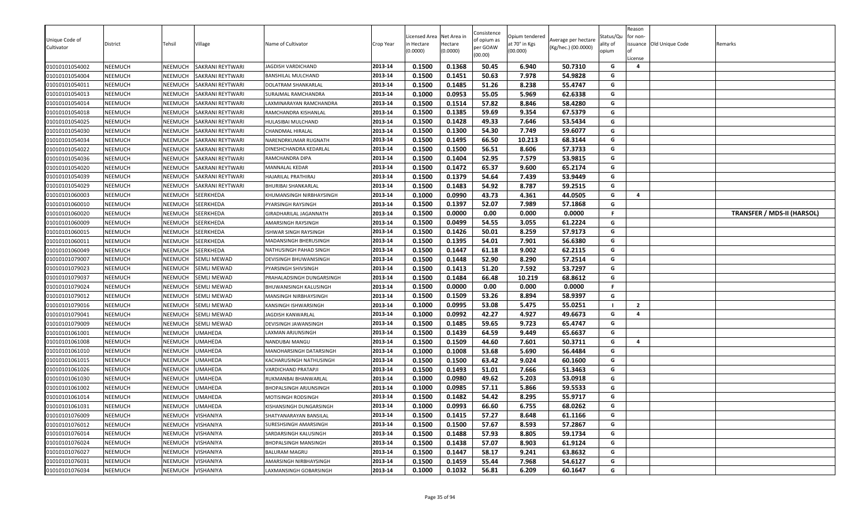| Unique Code of<br>Cultivator     | District           | Tehsil             | Village                          | Name of Cultivator                             | Crop Year          | icensed Area<br>n Hectare<br>0.0000) | Net Area in<br>Hectare<br>(0.0000) | Consistence<br>of opium as<br>per GOAW<br>(00.00) | Opium tendered<br>at 70° in Kgs<br>(00.000) | Average per hectare<br>(Kg/hec.) (00.0000) | Status/Qu<br>ality of<br>opium | Reason<br>for non-<br>License | ssuance Old Unique Code | Remarks                           |
|----------------------------------|--------------------|--------------------|----------------------------------|------------------------------------------------|--------------------|--------------------------------------|------------------------------------|---------------------------------------------------|---------------------------------------------|--------------------------------------------|--------------------------------|-------------------------------|-------------------------|-----------------------------------|
| 01010101054002                   | <b>NEEMUCH</b>     | NEEMUCH            | <b>SAKRANI REYTWARI</b>          | JAGDISH VARDICHAND                             | 2013-14            | 0.1500                               | 0.1368                             | 50.45                                             | 6.940                                       | 50.7310                                    | G                              | $\overline{a}$                |                         |                                   |
| 01010101054004                   | <b>NEEMUCH</b>     | NEEMUCH            | <b>SAKRANI REYTWARI</b>          | BANSHILAL MULCHAND                             | 2013-14            | 0.1500                               | 0.1451                             | 50.63                                             | 7.978                                       | 54.9828                                    | G                              |                               |                         |                                   |
| 01010101054011                   | <b>NEEMUCH</b>     | NEEMUCH            | <b>SAKRANI REYTWARI</b>          | DOLATRAM SHANKARLAL                            | 2013-14            | 0.1500                               | 0.1485                             | 51.26                                             | 8.238                                       | 55.4747                                    | G                              |                               |                         |                                   |
| 01010101054013                   | <b>NEEMUCH</b>     | NEEMUCH            | SAKRANI REYTWARI                 | SURAJMAL RAMCHANDRA                            | 2013-14            | 0.1000                               | 0.0953                             | 55.05                                             | 5.969                                       | 62.6338                                    | G                              |                               |                         |                                   |
| 01010101054014                   | <b>NEEMUCH</b>     | NEEMUCH            | <b>SAKRANI REYTWARI</b>          | LAXMINARAYAN RAMCHANDRA                        | 2013-14            | 0.1500                               | 0.1514                             | 57.82                                             | 8.846                                       | 58.4280                                    | G                              |                               |                         |                                   |
| 01010101054018                   | <b>NEEMUCH</b>     | NEEMUCH            | SAKRANI REYTWARI                 | RAMCHANDRA KISHANLAL                           | 2013-14            | 0.1500                               | 0.1385                             | 59.69                                             | 9.354                                       | 67.5379                                    | G                              |                               |                         |                                   |
| 01010101054025                   | <b>NEEMUCH</b>     | NEEMUCH            | <b>SAKRANI REYTWARI</b>          | HULASIBAI MULCHAND                             | 2013-14            | 0.1500                               | 0.1428                             | 49.33                                             | 7.646                                       | 53.5434                                    | G                              |                               |                         |                                   |
| 01010101054030                   | NEEMUCH            | NEEMUCH            | SAKRANI REYTWARI                 | CHANDMAL HIRALAL                               | 2013-14            | 0.1500                               | 0.1300                             | 54.30                                             | 7.749                                       | 59.6077                                    | G                              |                               |                         |                                   |
| 01010101054034                   | <b>NEEMUCH</b>     | NEEMUCH            | <b>SAKRANI REYTWARI</b>          | NARENDRKUMAR RUGNATH                           | 2013-14            | 0.1500                               | 0.1495                             | 66.50                                             | 10.213                                      | 68.3144                                    | G                              |                               |                         |                                   |
| 01010101054022                   | <b>NEEMUCH</b>     | NEEMUCH            | SAKRANI REYTWARI                 | DINESHCHANDRA KEDARLAL                         | 2013-14            | 0.1500                               | 0.1500                             | 56.51                                             | 8.606                                       | 57.3733                                    | G                              |                               |                         |                                   |
| 01010101054036                   | <b>NEEMUCH</b>     | NEEMUCH            | SAKRANI REYTWARI                 | RAMCHANDRA DIPA                                | 2013-14            | 0.1500                               | 0.1404                             | 52.95                                             | 7.579                                       | 53.9815                                    | G                              |                               |                         |                                   |
| 01010101054020                   | NEEMUCH            | NEEMUCH            | <b>SAKRANI REYTWARI</b>          | MANNALAL KEDAR                                 | 2013-14            | 0.1500                               | 0.1472                             | 65.37                                             | 9.600                                       | 65.2174                                    | G                              |                               |                         |                                   |
| 01010101054039                   | <b>NEEMUCH</b>     | NEEMUCH            | SAKRANI REYTWARI                 | HAJARILAL PRATHIRAJ                            | 2013-14            | 0.1500                               | 0.1379                             | 54.64                                             | 7.439                                       | 53.9449                                    | G                              |                               |                         |                                   |
| 01010101054029                   | <b>NEEMUCH</b>     | NEEMUCH            | SAKRANI REYTWARI                 | BHURIBAI SHANKARLAL                            | 2013-14            | 0.1500                               | 0.1483                             | 54.92                                             | 8.787                                       | 59.2515                                    | G                              |                               |                         |                                   |
| 01010101060003                   | <b>NEEMUCH</b>     | NEEMUCH            | SEERKHEDA                        | KHUMANSINGH NIRBHAYSINGH                       | 2013-14            | 0.1000                               | 0.0990                             | 43.73                                             | 4.361                                       | 44.0505                                    | G                              | $\overline{a}$                |                         |                                   |
| 01010101060010                   | <b>NEEMUCH</b>     | NEEMUCH            | SEERKHEDA                        | PYARSINGH RAYSINGH                             | 2013-14            | 0.1500                               | 0.1397                             | 52.07                                             | 7.989                                       | 57.1868                                    | G                              |                               |                         |                                   |
| 01010101060020                   | NEEMUCH            | NEEMUCH            | SEERKHEDA                        | <b>GIRADHARILAL JAGANNATH</b>                  | 2013-14            | 0.1500                               | 0.0000                             | 0.00                                              | 0.000                                       | 0.0000                                     | F.                             |                               |                         | <b>TRANSFER / MDS-II (HARSOL)</b> |
| 01010101060009                   | <b>NEEMUCH</b>     | NEEMUCH            | SEERKHEDA                        | AMARSINGH RAYSINGH                             | 2013-14            | 0.1500                               | 0.0499                             | 54.55                                             | 3.055                                       | 61.2224                                    | G                              |                               |                         |                                   |
| 01010101060015                   | <b>NEEMUCH</b>     | NEEMUCH            | SEERKHEDA                        | ISHWAR SINGH RAYSINGH                          | 2013-14            | 0.1500                               | 0.1426                             | 50.01                                             | 8.259                                       | 57.9173                                    | G                              |                               |                         |                                   |
| 01010101060011                   | <b>NEEMUCH</b>     | NEEMUCH            | <b>SEERKHEDA</b>                 | MADANSINGH BHERUSINGH                          | 2013-14            | 0.1500                               | 0.1395                             | 54.01                                             | 7.901                                       | 56.6380                                    | G                              |                               |                         |                                   |
| 01010101060049                   | NEEMUCH            | NEEMUCH            | SEERKHEDA                        | NATHUSINGH PAHAD SINGH                         | 2013-14            | 0.1500                               | 0.1447                             | 61.18                                             | 9.002                                       | 62.2115                                    | G                              |                               |                         |                                   |
| 01010101079007                   | <b>NEEMUCH</b>     | NEEMUCH            | <b>SEMLI MEWAD</b>               | DEVISINGH BHUWANISINGH                         | 2013-14            | 0.1500                               | 0.1448                             | 52.90                                             | 8.290                                       | 57.2514                                    | G                              |                               |                         |                                   |
| 01010101079023                   | <b>NEEMUCH</b>     | NEEMUCH            | <b>SEMLI MEWAD</b>               | PYARSINGH SHIVSINGH                            | 2013-14            | 0.1500                               | 0.1413                             | 51.20                                             | 7.592                                       | 53.7297                                    | G                              |                               |                         |                                   |
| 01010101079037                   | NEEMUCH            | NEEMUCH            | <b>SEMLI MEWAD</b>               | PRAHALADSINGH DUNGARSINGH                      | 2013-14            | 0.1500                               | 0.1484                             | 66.48                                             | 10.219                                      | 68.8612                                    | G                              |                               |                         |                                   |
| 01010101079024                   | NEEMUCH            | NEEMUCH            | <b>SEMLI MEWAD</b>               | BHUWANISINGH KALUSINGH                         | 2013-14            | 0.1500                               | 0.0000                             | 0.00                                              | 0.000                                       | 0.0000                                     | F.                             |                               |                         |                                   |
| 01010101079012                   | NEEMUCH            | NEEMUCH            | <b>SEMLI MEWAD</b>               | MANSINGH NIRBHAYSINGH                          | 2013-14            | 0.1500                               | 0.1509                             | 53.26                                             | 8.894                                       | 58.9397                                    | G                              |                               |                         |                                   |
| 01010101079016                   | NEEMUCH            | NEEMUCH            | <b>SEMLI MEWAD</b>               | KANSINGH ISHWARSINGH                           | 2013-14            | 0.1000                               | 0.0995                             | 53.08                                             | 5.475                                       | 55.0251                                    |                                | $\overline{2}$                |                         |                                   |
| 01010101079041                   | <b>NEEMUCH</b>     | NEEMUCH            | <b>SEMLI MEWAD</b>               | JAGDISH KANWARLAL                              | 2013-14            | 0.1000                               | 0.0992                             | 42.27                                             | 4.927                                       | 49.6673                                    | G                              | 4                             |                         |                                   |
| 01010101079009                   | <b>NEEMUCH</b>     | NEEMUCH            | <b>SEMLI MEWAD</b>               | DEVISINGH JAWANSINGH                           | 2013-14            | 0.1500                               | 0.1485                             | 59.65                                             | 9.723                                       | 65.4747                                    | G                              |                               |                         |                                   |
| 01010101061001                   | <b>NEEMUCH</b>     | NEEMUCH            | <b>UMAHEDA</b>                   | LAXMAN ARJUNSINGH                              | 2013-14            | 0.1500                               | 0.1439                             | 64.59                                             | 9.449                                       | 65.6637                                    | G                              | $\overline{a}$                |                         |                                   |
| 01010101061008                   | NEEMUCH            | NEEMUCH            | <b>UMAHEDA</b>                   | NANDUBAI MANGU                                 | 2013-14            | 0.1500                               | 0.1509                             | 44.60                                             | 7.601                                       | 50.3711                                    | G<br>G                         |                               |                         |                                   |
| 01010101061010                   | <b>NEEMUCH</b>     | NEEMUCH            | <b>UMAHEDA</b>                   | MANOHARSINGH DATARSINGH                        | 2013-14            | 0.1000                               | 0.1008                             | 53.68                                             | 5.690                                       | 56.4484                                    | G                              |                               |                         |                                   |
| 01010101061015<br>01010101061026 | NEEMUCH<br>NEEMUCH | NEEMUCH            | <b>UMAHEDA</b>                   | KACHARUSINGH NATHUSINGH                        | 2013-14            | 0.1500<br>0.1500                     | 0.1500<br>0.1493                   | 63.42<br>51.01                                    | 9.024<br>7.666                              | 60.1600<br>51.3463                         | G                              |                               |                         |                                   |
|                                  | NEEMUCH            | NEEMUCH<br>NEEMUCH | <b>UMAHEDA</b><br><b>UMAHEDA</b> | VARDICHAND PRATAPJI                            | 2013-14<br>2013-14 | 0.1000                               | 0.0980                             | 49.62                                             | 5.203                                       | 53.0918                                    | G                              |                               |                         |                                   |
| 01010101061030<br>01010101061002 | <b>NEEMUCH</b>     | NEEMUCH            | <b>UMAHEDA</b>                   | RUKMANBAI BHANWARLAL<br>BHOPALSINGH ARJUNSINGH | 2013-14            | 0.1000                               | 0.0985                             | 57.11                                             | 5.866                                       | 59.5533                                    | G                              |                               |                         |                                   |
| 01010101061014                   | <b>NEEMUCH</b>     | NEEMUCH            | <b>UMAHEDA</b>                   | MOTISINGH RODSINGH                             | 2013-14            | 0.1500                               | 0.1482                             | 54.42                                             | 8.295                                       | 55.9717                                    | G                              |                               |                         |                                   |
| 01010101061031                   | <b>NEEMUCH</b>     | NEEMUCH            | <b>UMAHEDA</b>                   | KISHANSINGH DUNGARSINGH                        | 2013-14            | 0.1000                               | 0.0993                             | 66.60                                             | 6.755                                       | 68.0262                                    | G                              |                               |                         |                                   |
| 01010101076009                   | <b>NEEMUCH</b>     | NEEMUCH            | VISHANIYA                        | SHATYANARAYAN BANSILAL                         | 2013-14            | 0.1500                               | 0.1415                             | 57.27                                             | 8.648                                       | 61.1166                                    | G                              |                               |                         |                                   |
| 01010101076012                   | NEEMUCH            | NEEMUCH            | <b>VISHANIYA</b>                 | SURESHSINGH AMARSINGH                          | 2013-14            | 0.1500                               | 0.1500                             | 57.67                                             | 8.593                                       | 57.2867                                    | G                              |                               |                         |                                   |
| 01010101076014                   | <b>NEEMUCH</b>     | NEEMUCH            | VISHANIYA                        | SARDARSINGH KALUSINGH                          | 2013-14            | 0.1500                               | 0.1488                             | 57.93                                             | 8.805                                       | 59.1734                                    | G                              |                               |                         |                                   |
| 01010101076024                   | <b>NEEMUCH</b>     | NEEMUCH            | VISHANIYA                        | BHOPALSINGH MANSINGH                           | 2013-14            | 0.1500                               | 0.1438                             | 57.07                                             | 8.903                                       | 61.9124                                    | G                              |                               |                         |                                   |
| 01010101076027                   | <b>NEEMUCH</b>     | NEEMUCH            | <b>VISHANIYA</b>                 | BALURAM MAGRU                                  | 2013-14            | 0.1500                               | 0.1447                             | 58.17                                             | 9.241                                       | 63.8632                                    | G                              |                               |                         |                                   |
| 01010101076031                   | <b>NEEMUCH</b>     | NEEMUCH            | VISHANIYA                        | AMARSINGH NIRBHAYSINGH                         | 2013-14            | 0.1500                               | 0.1459                             | 55.44                                             | 7.968                                       | 54.6127                                    | G                              |                               |                         |                                   |
| 01010101076034                   | <b>NEEMUCH</b>     | NEEMUCH            | VISHANIYA                        | LAXMANSINGH GOBARSINGH                         | 2013-14            | 0.1000                               | 0.1032                             | 56.81                                             | 6.209                                       | 60.1647                                    | G                              |                               |                         |                                   |
|                                  |                    |                    |                                  |                                                |                    |                                      |                                    |                                                   |                                             |                                            |                                |                               |                         |                                   |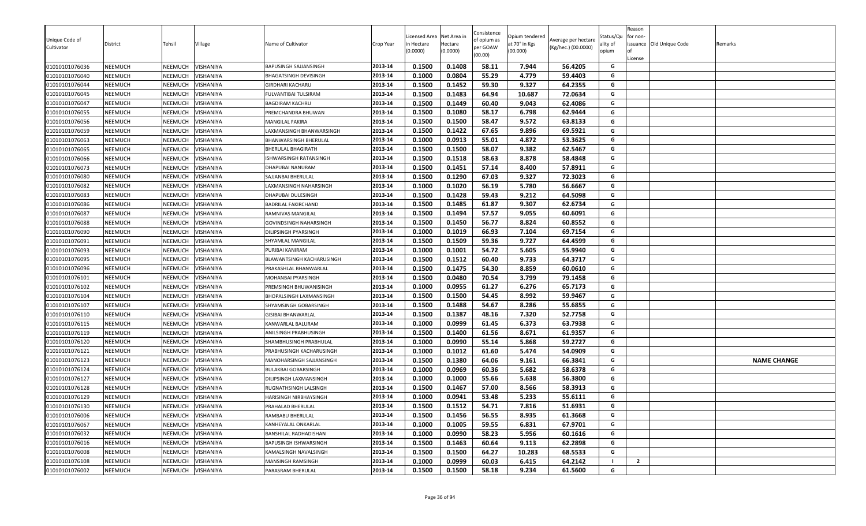| Unique Code of<br>Cultivator     | District                  | Tehsil             | ∕illage                | Name of Cultivator                         | Crop Year          | icensed Area<br>n Hectare | Net Area in<br>Hectare | Consistence<br>of opium as<br>per GOAW | Opium tendered<br>at 70° in Kgs | Average per hectare<br>(Kg/hec.) (00.0000) | Status/Qu<br>ality of | Reason<br>for non- | issuance Old Unique Code | Remarks            |
|----------------------------------|---------------------------|--------------------|------------------------|--------------------------------------------|--------------------|---------------------------|------------------------|----------------------------------------|---------------------------------|--------------------------------------------|-----------------------|--------------------|--------------------------|--------------------|
|                                  |                           |                    |                        |                                            |                    | (0.0000)                  | (0.0000)               | (00.00)                                | (00.000)                        |                                            | opium                 | License            |                          |                    |
| 01010101076036                   | <b>NEEMUCH</b>            | NEEMUCH            | VISHANIYA              | BAPUSINGH SAJJANSINGH                      | 2013-14            | 0.1500                    | 0.1408                 | 58.11                                  | 7.944                           | 56.4205                                    | G                     |                    |                          |                    |
| 01010101076040                   | <b>NEEMUCH</b>            | NEEMUCH            | VISHANIYA              | BHAGATSINGH DEVISINGH                      | 2013-14            | 0.1000                    | 0.0804                 | 55.29                                  | 4.779                           | 59.4403                                    | G                     |                    |                          |                    |
| 01010101076044                   | <b>NEEMUCH</b>            | NEEMUCH            | VISHANIYA              | GIRDHARI KACHARU                           | 2013-14            | 0.1500                    | 0.1452                 | 59.30                                  | 9.327                           | 64.2355                                    | G                     |                    |                          |                    |
| 01010101076045                   | <b>NEEMUCH</b>            | NEEMUCH            | VISHANIYA              | FULVANTIBAI TULSIRAM                       | 2013-14            | 0.1500                    | 0.1483                 | 64.94                                  | 10.687                          | 72.0634                                    | G                     |                    |                          |                    |
| 01010101076047                   | <b>NEEMUCH</b>            | <b>NEEMUCH</b>     | VISHANIYA              | BAGDIRAM KACHRU                            | 2013-14            | 0.1500                    | 0.1449                 | 60.40                                  | 9.043                           | 62.4086                                    | G                     |                    |                          |                    |
| 01010101076055                   | <b>NEEMUCH</b>            | NEEMUCH            | VISHANIYA              | PREMCHANDRA BHUWAN                         | 2013-14            | 0.1500                    | 0.1080                 | 58.17                                  | 6.798                           | 62.9444                                    | G                     |                    |                          |                    |
| 01010101076056                   | <b>NEEMUCH</b>            | NEEMUCH            | VISHANIYA              | MANGILAL FAKIRA                            | 2013-14            | 0.1500                    | 0.1500                 | 58.47                                  | 9.572                           | 63.8133                                    | G                     |                    |                          |                    |
| 01010101076059                   | <b>NEEMUCH</b>            | NEEMUCH            | VISHANIYA              | LAXMANSINGH BHANWARSINGH                   | 2013-14            | 0.1500                    | 0.1422                 | 67.65                                  | 9.896                           | 69.5921                                    | G                     |                    |                          |                    |
| 01010101076063                   | <b>NEEMUCH</b>            | NEEMUCH            | VISHANIYA              | BHANWARSINGH BHERULAL                      | 2013-14            | 0.1000                    | 0.0913                 | 55.01                                  | 4.872                           | 53.3625                                    | G                     |                    |                          |                    |
| 01010101076065                   | <b>NEEMUCH</b>            | NEEMUCH            | VISHANIYA              | BHERULAL BHAGIRATH                         | 2013-14            | 0.1500                    | 0.1500                 | 58.07                                  | 9.382                           | 62.5467                                    | G                     |                    |                          |                    |
| 01010101076066                   | <b>NEEMUCH</b>            | NEEMUCH            | VISHANIYA              | ISHWARSINGH RATANSINGH                     | 2013-14            | 0.1500                    | 0.1518                 | 58.63                                  | 8.878                           | 58.4848                                    | G                     |                    |                          |                    |
| 01010101076073                   | <b>NEEMUCH</b>            | NEEMUCH            | VISHANIYA              | DHAPUBAI NANURAM                           | 2013-14            | 0.1500                    | 0.1451                 | 57.14                                  | 8.400                           | 57.8911                                    | G                     |                    |                          |                    |
| 01010101076080                   | <b>NEEMUCH</b>            | NEEMUCH            | VISHANIYA              | SAJJANBAI BHERULAL                         | 2013-14            | 0.1500                    | 0.1290                 | 67.03                                  | 9.327                           | 72.3023                                    | G                     |                    |                          |                    |
| 01010101076082                   | <b>NEEMUCH</b>            | <b>NEEMUCH</b>     | VISHANIYA              | LAXMANSINGH NAHARSINGH                     | 2013-14            | 0.1000                    | 0.1020                 | 56.19                                  | 5.780                           | 56.6667                                    | G                     |                    |                          |                    |
| 01010101076083                   | <b>NEEMUCH</b>            | NEEMUCH            | VISHANIYA              | DHAPUBAI DULESINGH                         | 2013-14            | 0.1500                    | 0.1428                 | 59.43                                  | 9.212                           | 64.5098                                    | G                     |                    |                          |                    |
| 01010101076086                   | <b>NEEMUCH</b>            | NEEMUCH            | VISHANIYA              | BADRILAL FAKIRCHAND                        | 2013-14            | 0.1500                    | 0.1485                 | 61.87                                  | 9.307                           | 62.6734                                    | G                     |                    |                          |                    |
| 01010101076087                   | <b>NEEMUCH</b>            | NEEMUCH            | VISHANIYA              | RAMNIVAS MANGILAL                          | 2013-14            | 0.1500                    | 0.1494                 | 57.57                                  | 9.055                           | 60.6091                                    | G                     |                    |                          |                    |
| 01010101076088                   | <b>NEEMUCH</b>            | NEEMUCH            | <b>VISHANIYA</b>       | GOVINDSINGH NAHARSINGH                     | 2013-14            | 0.1500                    | 0.1450                 | 56.77                                  | 8.824                           | 60.8552                                    | G                     |                    |                          |                    |
| 01010101076090                   | <b>NEEMUCH</b>            | NEEMUCH            | VISHANIYA              | DILIPSINGH PYARSINGH                       | 2013-14            | 0.1000                    | 0.1019                 | 66.93                                  | 7.104                           | 69.7154                                    | G                     |                    |                          |                    |
| 01010101076091                   | <b>NEEMUCH</b>            | NEEMUCH            | VISHANIYA              | SHYAMLAL MANGILAL                          | 2013-14            | 0.1500                    | 0.1509                 | 59.36                                  | 9.727                           | 64.4599                                    | G                     |                    |                          |                    |
| 01010101076093                   | <b>NEEMUCH</b>            | NEEMUCH            | VISHANIYA              | PURIBAI KANIRAM                            | 2013-14            | 0.1000                    | 0.1001                 | 54.72                                  | 5.605                           | 55.9940                                    | G                     |                    |                          |                    |
| 01010101076095                   | <b>NEEMUCH</b>            | NEEMUCH            | VISHANIYA              | BLAWANTSINGH KACHARUSINGH                  | 2013-14            | 0.1500                    | 0.1512                 | 60.40                                  | 9.733                           | 64.3717                                    | G                     |                    |                          |                    |
| 01010101076096                   | <b>NEEMUCH</b>            | <b>NEEMUCH</b>     | VISHANIYA              | PRAKASHLAL BHANWARLAL                      | 2013-14            | 0.1500                    | 0.1475                 | 54.30                                  | 8.859                           | 60.0610                                    | G                     |                    |                          |                    |
| 01010101076101                   | <b>NEEMUCH</b>            | NEEMUCH            | VISHANIYA              | MOHANBAI PYARSINGH                         | 2013-14            | 0.1500                    | 0.0480                 | 70.54                                  | 3.799                           | 79.1458                                    | G                     |                    |                          |                    |
| 01010101076102                   | <b>NEEMUCH</b>            | NEEMUCH            | VISHANIYA              | PREMSINGH BHUWANISINGH                     | 2013-14            | 0.1000                    | 0.0955                 | 61.27                                  | 6.276                           | 65.7173                                    | G                     |                    |                          |                    |
| 01010101076104                   | <b>NEEMUCH</b>            | NEEMUCH            | VISHANIYA              | BHOPALSINGH LAXMANSINGH                    | 2013-14            | 0.1500                    | 0.1500                 | 54.45                                  | 8.992                           | 59.9467                                    | G                     |                    |                          |                    |
| 01010101076107                   | <b>NEEMUCH</b>            | NEEMUCH            | VISHANIYA              | SHYAMSINGH GOBARSINGH                      | 2013-14            | 0.1500                    | 0.1488                 | 54.67                                  | 8.286                           | 55.6855                                    | G                     |                    |                          |                    |
| 01010101076110                   | NEEMUCH                   | NEEMUCH            | VISHANIYA              | GISIBAI BHANWARLAL                         | 2013-14            | 0.1500                    | 0.1387                 | 48.16                                  | 7.320                           | 52.7758                                    | G                     |                    |                          |                    |
| 01010101076115                   | <b>NEEMUCH</b>            | NEEMUCH            | VISHANIYA              | KANWARLAL BALURAM                          | 2013-14            | 0.1000                    | 0.0999                 | 61.45                                  | 6.373                           | 63.7938                                    | G                     |                    |                          |                    |
| 01010101076119                   | <b>NEEMUCH</b>            | NEEMUCH            | VISHANIYA              | ANILSINGH PRABHUSINGH                      | 2013-14            | 0.1500                    | 0.1400                 | 61.56                                  | 8.671                           | 61.9357                                    | G                     |                    |                          |                    |
| 01010101076120                   | <b>NEEMUCH</b>            | NEEMUCH            | VISHANIYA              | SHAMBHUSINGH PRABHULAL                     | 2013-14            | 0.1000                    | 0.0990                 | 55.14                                  | 5.868                           | 59.2727                                    | G                     |                    |                          |                    |
| 01010101076121                   | NEEMUCH                   | NEEMUCH            | VISHANIYA              | PRABHUSINGH KACHARUSINGH                   | 2013-14            | 0.1000                    | 0.1012                 | 61.60                                  | 5.474                           | 54.0909                                    | G                     |                    |                          |                    |
| 01010101076123                   | <b>NEEMUCH</b>            | NEEMUCH            | VISHANIYA              | MANOHARSINGH SAJJANSINGH                   | 2013-14            | 0.1500                    | 0.1380                 | 64.06                                  | 9.161                           | 66.3841                                    | G                     |                    |                          | <b>NAME CHANGE</b> |
| 01010101076124                   | <b>NEEMUCH</b>            | NEEMUCH            | VISHANIYA              | BULAKBAI GOBARSINGH                        | 2013-14            | 0.1000                    | 0.0969                 | 60.36                                  | 5.682                           | 58.6378                                    | G                     |                    |                          |                    |
| 01010101076127                   | <b>NEEMUCH</b>            | NEEMUCH            | VISHANIYA              | DILIPSINGH LAXMANSINGH                     | 2013-14            | 0.1000                    | 0.1000                 | 55.66                                  | 5.638                           | 56.3800                                    | G                     |                    |                          |                    |
| 01010101076128                   | <b>NEEMUCH</b>            | NEEMUCH            | <b>VISHANIYA</b>       | RUGNATHSINGH LALSINGH                      | 2013-14            | 0.1500                    | 0.1467                 | 57.00                                  | 8.566                           | 58.3913                                    | G<br>G                |                    |                          |                    |
| 01010101076129                   | NEEMUCH                   | NEEMUCH            | VISHANIYA              | HARISINGH NIRBHAYSINGH                     | 2013-14            | 0.1000                    | 0.0941                 | 53.48                                  | 5.233                           | 55.6111                                    |                       |                    |                          |                    |
| 01010101076130                   | <b>NEEMUCH</b>            | NEEMUCH            | <b>VISHANIYA</b>       | PRAHALAD BHERULAL                          | 2013-14            | 0.1500                    | 0.1512                 | 54.71                                  | 7.816                           | 51.6931                                    | G                     |                    |                          |                    |
| 01010101076006                   | <b>NEEMUCH</b>            | NEEMUCH<br>NEEMUCH | VISHANIYA              | RAMBABU BHERULAL                           | 2013-14            | 0.1500                    | 0.1456<br>0.1005       | 56.55<br>59.55                         | 8.935<br>6.831                  | 61.3668                                    | G<br>G                |                    |                          |                    |
| 01010101076067                   | NEEMUCH                   |                    | VISHANIYA              | KANHEYALAL ONKARLAL                        | 2013-14            | 0.1000                    |                        |                                        |                                 | 67.9701                                    |                       |                    |                          |                    |
| 01010101076032<br>01010101076016 | NEEMUCH                   | NEEMUCH<br>NEEMUCH | VISHANIYA<br>VISHANIYA | BANSHILAL RADHADISHAN                      | 2013-14<br>2013-14 | 0.1000<br>0.1500          | 0.0990<br>0.1463       | 58.23<br>60.64                         | 5.956<br>9.113                  | 60.1616<br>62.2898                         | G<br>G                |                    |                          |                    |
| 01010101076008                   | <b>NEEMUCH</b><br>NEEMUCH | NEEMUCH            | VISHANIYA              | BAPUSINGH ISHWARSINGH                      | 2013-14            | 0.1500                    | 0.1500                 | 64.27                                  | 10.283                          | 68.5533                                    | G                     |                    |                          |                    |
| 01010101076108                   | NEEMUCH                   | NEEMUCH            | VISHANIYA              | KAMALSINGH NAVALSINGH<br>MANSINGH RAMSINGH | 2013-14            | 0.1000                    | 0.0999                 | 60.03                                  | 6.415                           | 64.2142                                    |                       | $\overline{2}$     |                          |                    |
| 01010101076002                   |                           | NEEMUCH            |                        | PARASRAM BHERULAL                          | 2013-14            | 0.1500                    | 0.1500                 | 58.18                                  | 9.234                           | 61.5600                                    | G                     |                    |                          |                    |
|                                  | NEEMUCH                   |                    | VISHANIYA              |                                            |                    |                           |                        |                                        |                                 |                                            |                       |                    |                          |                    |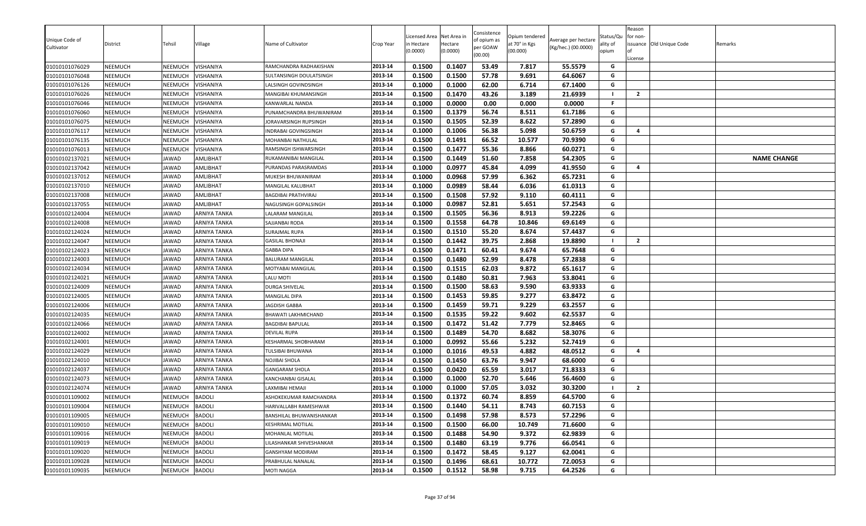| Unique Code of<br>Cultivator     | District<br>NEEMUCH | Tehsil<br>NEEMUCH  | Village<br>VISHANIYA   | Name of Cultivator                             | Crop Year<br>2013-14 | Licensed Area<br>n Hectare<br>(0.0000)<br>0.1500 | Net Area in<br>Hectare<br>(0.0000)<br>0.1407 | Consistence<br>of opium as<br>per GOAW<br>(00.00)<br>53.49 | Opium tendered<br>at 70° in Kgs<br>(00.000) | Average per hectare<br>(Kg/hec.) (00.0000)<br>55.5579 | Status/Qu<br>ality of<br>opium<br>G | Reason<br>for non-<br>License | issuance Old Unique Code | Remarks            |
|----------------------------------|---------------------|--------------------|------------------------|------------------------------------------------|----------------------|--------------------------------------------------|----------------------------------------------|------------------------------------------------------------|---------------------------------------------|-------------------------------------------------------|-------------------------------------|-------------------------------|--------------------------|--------------------|
| 01010101076029                   |                     |                    |                        | RAMCHANDRA RADHAKISHAN                         |                      |                                                  |                                              |                                                            | 7.817                                       |                                                       | G                                   |                               |                          |                    |
| 01010101076048<br>01010101076126 | NEEMUCH<br>NEEMUCH  | NEEMUCH<br>NEEMUCH | VISHANIYA<br>VISHANIYA | SULTANSINGH DOULATSINGH<br>ALSINGH GOVINDSINGH | 2013-14<br>2013-14   | 0.1500<br>0.1000                                 | 0.1500<br>0.1000                             | 57.78<br>62.00                                             | 9.691<br>6.714                              | 64.6067<br>67.1400                                    | G                                   |                               |                          |                    |
|                                  | NEEMUCH             | NEEMUCH            | VISHANIYA              | MANGIBAI KHUMANSINGH                           | 2013-14              | 0.1500                                           | 0.1470                                       | 43.26                                                      | 3.189                                       | 21.6939                                               | - 1                                 | $\overline{2}$                |                          |                    |
| 01010101076026<br>01010101076046 | NEEMUCH             | NEEMUCH            | VISHANIYA              | KANWARLAL NANDA                                | 2013-14              | 0.1000                                           | 0.0000                                       | 0.00                                                       | 0.000                                       | 0.0000                                                | F.                                  |                               |                          |                    |
| 01010101076060                   | NEEMUCH             | NEEMUCH            | VISHANIYA              | PUNAMCHANDRA BHUWANIRAM                        | 2013-14              | 0.1500                                           | 0.1379                                       | 56.74                                                      | 8.511                                       | 61.7186                                               | G                                   |                               |                          |                    |
| 01010101076075                   | NEEMUCH             | NEEMUCH            | VISHANIYA              | ORAVARSINGH RUPSINGH                           | 2013-14              | 0.1500                                           | 0.1505                                       | 52.39                                                      | 8.622                                       | 57.2890                                               | G                                   |                               |                          |                    |
| 01010101076117                   | NEEMUCH             | NEEMUCH            | VISHANIYA              | INDRABAI GOVINGSINGH                           | 2013-14              | 0.1000                                           | 0.1006                                       | 56.38                                                      | 5.098                                       | 50.6759                                               | G                                   | $\overline{a}$                |                          |                    |
| 01010101076135                   | NEEMUCH             | NEEMUCH            | VISHANIYA              | MOHANBAI NATHULAL                              | 2013-14              | 0.1500                                           | 0.1491                                       | 66.52                                                      | 10.577                                      | 70.9390                                               | G                                   |                               |                          |                    |
| 01010101076013                   | NEEMUCH             | NEEMUCH            | VISHANIYA              | RAMSINGH ISHWARSINGH                           | 2013-14              | 0.1500                                           | 0.1477                                       | 55.36                                                      | 8.866                                       | 60.0271                                               | G                                   |                               |                          |                    |
| 01010102137021                   | NEEMUCH             | JAWAD              | AMLIBHAT               | RUKAMANIBAI MANGILAL                           | 2013-14              | 0.1500                                           | 0.1449                                       | 51.60                                                      | 7.858                                       | 54.2305                                               | G                                   |                               |                          | <b>NAME CHANGE</b> |
| 01010102137042                   | NEEMUCH             | JAWAD              | AMLIBHAT               | PURANDAS PARASRAMDAS                           | 2013-14              | 0.1000                                           | 0.0977                                       | 45.84                                                      | 4.099                                       | 41.9550                                               | G                                   | $\overline{a}$                |                          |                    |
| 01010102137012                   | NEEMUCH             | JAWAD              | AMLIBHAT               | MUKESH BHUWANIRAM                              | 2013-14              | 0.1000                                           | 0.0968                                       | 57.99                                                      | 6.362                                       | 65.7231                                               | G                                   |                               |                          |                    |
| 01010102137010                   | NEEMUCH             | JAWAD              | AMLIBHAT               | MANGILAL KALUBHAT                              | 2013-14              | 0.1000                                           | 0.0989                                       | 58.44                                                      | 6.036                                       | 61.0313                                               | G                                   |                               |                          |                    |
| 01010102137008                   | NEEMUCH             | JAWAD              | AMLIBHAT               | BAGDIBAI PRATHVIRAJ                            | 2013-14              | 0.1500                                           | 0.1508                                       | 57.92                                                      | 9.110                                       | 60.4111                                               | G                                   |                               |                          |                    |
| 01010102137055                   | NEEMUCH             | JAWAD              | AMLIBHAT               | NAGUSINGH GOPALSINGH                           | 2013-14              | 0.1000                                           | 0.0987                                       | 52.81                                                      | 5.651                                       | 57.2543                                               | G                                   |                               |                          |                    |
| 01010102124004                   | NEEMUCH             | JAWAD              | <b>ARNIYA TANKA</b>    | LALARAM MANGILAL                               | 2013-14              | 0.1500                                           | 0.1505                                       | 56.36                                                      | 8.913                                       | 59.2226                                               | G                                   |                               |                          |                    |
| 01010102124008                   | NEEMUCH             | JAWAD              | ARNIYA TANKA           | SAJJANBAI RODA                                 | 2013-14              | 0.1500                                           | 0.1558                                       | 64.78                                                      | 10.846                                      | 69.6149                                               | G                                   |                               |                          |                    |
| 01010102124024                   | NEEMUCH             | JAWAD              | ARNIYA TANKA           | SURAJMAL RUPA                                  | 2013-14              | 0.1500                                           | 0.1510                                       | 55.20                                                      | 8.674                                       | 57.4437                                               | G                                   |                               |                          |                    |
| 01010102124047                   | NEEMUCH             | JAWAD              | ARNIYA TANKA           | GASILAL BHONAJI                                | 2013-14              | 0.1500                                           | 0.1442                                       | 39.75                                                      | 2.868                                       | 19.8890                                               |                                     | $\overline{2}$                |                          |                    |
| 01010102124023                   | NEEMUCH             | JAWAD              | <b>ARNIYA TANKA</b>    | GABBA DIPA                                     | 2013-14              | 0.1500                                           | 0.1471                                       | 60.41                                                      | 9.674                                       | 65.7648                                               | G                                   |                               |                          |                    |
| 01010102124003                   | NEEMUCH             | JAWAD              | ARNIYA TANKA           | BALURAM MANGILAL                               | 2013-14              | 0.1500                                           | 0.1480                                       | 52.99                                                      | 8.478                                       | 57.2838                                               | G                                   |                               |                          |                    |
| 01010102124034                   | NEEMUCH             | JAWAD              | ARNIYA TANKA           | MOTYABAI MANGILAL                              | 2013-14              | 0.1500                                           | 0.1515                                       | 62.03                                                      | 9.872                                       | 65.1617                                               | G                                   |                               |                          |                    |
| 01010102124021                   | NEEMUCH             | JAWAD              | ARNIYA TANKA           | LALU MOTI                                      | 2013-14              | 0.1500                                           | 0.1480                                       | 50.81                                                      | 7.963                                       | 53.8041                                               | G                                   |                               |                          |                    |
| 01010102124009                   | NEEMUCH             | JAWAD              | ARNIYA TANKA           | DURGA SHIVELAL                                 | 2013-14              | 0.1500                                           | 0.1500                                       | 58.63                                                      | 9.590                                       | 63.9333                                               | G                                   |                               |                          |                    |
| 01010102124005                   | NEEMUCH             | JAWAD              | <b>ARNIYA TANKA</b>    | MANGILAL DIPA                                  | 2013-14              | 0.1500                                           | 0.1453                                       | 59.85                                                      | 9.277                                       | 63.8472                                               | G                                   |                               |                          |                    |
| 01010102124006                   | NEEMUCH             | JAWAD              | ARNIYA TANKA           | JAGDISH GABBA                                  | 2013-14              | 0.1500                                           | 0.1459                                       | 59.71                                                      | 9.229                                       | 63.2557                                               | G                                   |                               |                          |                    |
| 01010102124035                   | NEEMUCH             | JAWAD              | ARNIYA TANKA           | BHAWATI LAKHMICHAND                            | 2013-14              | 0.1500                                           | 0.1535                                       | 59.22                                                      | 9.602                                       | 62.5537                                               | G                                   |                               |                          |                    |
| 01010102124066                   | NEEMUCH             | JAWAD              | ARNIYA TANKA           | BAGDIBAI BAPULAL                               | 2013-14              | 0.1500                                           | 0.1472                                       | 51.42                                                      | 7.779                                       | 52.8465                                               | G                                   |                               |                          |                    |
| 01010102124002                   | NEEMUCH             | IAWAD              | ARNIYA TANKA           | DEVILAL RUPA                                   | 2013-14              | 0.1500                                           | 0.1489                                       | 54.70                                                      | 8.682                                       | 58.3076                                               | G                                   |                               |                          |                    |
| 01010102124001                   | NEEMUCH             | JAWAD              | ARNIYA TANKA           | KESHARMAL SHOBHARAM                            | 2013-14              | 0.1000                                           | 0.0992                                       | 55.66                                                      | 5.232                                       | 52.7419                                               | G                                   |                               |                          |                    |
| 01010102124029                   | NEEMUCH             | JAWAD              | ARNIYA TANKA           | <b><i>TULSIBAI BHUWANA</i></b>                 | 2013-14              | 0.1000                                           | 0.1016                                       | 49.53                                                      | 4.882                                       | 48.0512                                               | G                                   | 4                             |                          |                    |
| 01010102124010                   | NEEMUCH             | JAWAD              | <b>ARNIYA TANKA</b>    | NOJIBAI SHOLA                                  | 2013-14              | 0.1500                                           | 0.1450                                       | 63.76                                                      | 9.947                                       | 68.6000                                               | G                                   |                               |                          |                    |
| 01010102124037                   | NEEMUCH             | JAWAD              | ARNIYA TANKA           | GANGARAM SHOLA                                 | 2013-14              | 0.1500                                           | 0.0420                                       | 65.59                                                      | 3.017                                       | 71.8333                                               | G                                   |                               |                          |                    |
| 01010102124073                   | NEEMUCH             | JAWAD              | ARNIYA TANKA           | KANCHANBAI GISALAL                             | 2013-14              | 0.1000                                           | 0.1000                                       | 52.70                                                      | 5.646                                       | 56.4600                                               | G                                   |                               |                          |                    |
| 01010102124074                   | NEEMUCH             | JAWAD              | ARNIYA TANKA           | LAXMIBAI HEMAJI                                | 2013-14              | 0.1000                                           | 0.1000                                       | 57.05                                                      | 3.032                                       | 30.3200                                               | - 1                                 | $\overline{2}$                |                          |                    |
| 01010101109002                   | NEEMUCH             | NEEMUCH            | <b>BADOL</b>           | ASHOKEKUMAR RAMCHANDRA                         | 2013-14              | 0.1500                                           | 0.1372                                       | 60.74                                                      | 8.859                                       | 64.5700                                               | G                                   |                               |                          |                    |
| 01010101109004                   | NEEMUCH             | NEEMUCH            | <b>BADOLI</b>          | HARIVALLABH RAMESHWAR                          | 2013-14              | 0.1500                                           | 0.1440                                       | 54.11                                                      | 8.743                                       | 60.7153                                               | G                                   |                               |                          |                    |
| 01010101109005                   | NEEMUCH             | NEEMUCH            | <b>BADOLI</b>          | BANSHILAL BHUWANISHANKAR                       | 2013-14              | 0.1500                                           | 0.1498                                       | 57.98                                                      | 8.573                                       | 57.2296                                               | G                                   |                               |                          |                    |
| 01010101109010                   | NEEMUCH             | NEEMUCH            | <b>BADOLI</b>          | KESHRIMAL MOTILAL                              | 2013-14              | 0.1500                                           | 0.1500                                       | 66.00                                                      | 10.749                                      | 71.6600                                               | G                                   |                               |                          |                    |
| 01010101109016                   | NEEMUCH             | NEEMUCH            | <b>BADOLI</b>          | MOHANLAL MOTILAL                               | 2013-14              | 0.1500                                           | 0.1488                                       | 54.90                                                      | 9.372                                       | 62.9839                                               | G                                   |                               |                          |                    |
| 01010101109019                   | NEEMUCH             | NEEMUCH            | <b>BADOLI</b>          | LILASHANKAR SHIVESHANKAR                       | 2013-14              | 0.1500                                           | 0.1480                                       | 63.19                                                      | 9.776                                       | 66.0541                                               | G                                   |                               |                          |                    |
| 01010101109020                   | NEEMUCH             | NEEMUCH            | <b>BADOLI</b>          | GANSHYAM MODIRAM                               | 2013-14              | 0.1500                                           | 0.1472                                       | 58.45                                                      | 9.127                                       | 62.0041                                               | G                                   |                               |                          |                    |
| 01010101109028                   | NEEMUCH             | NEEMUCH            | <b>BADOLI</b>          | PRABHULAL NANALAL                              | 2013-14              | 0.1500                                           | 0.1496                                       | 68.61                                                      | 10.772                                      | 72.0053                                               | G                                   |                               |                          |                    |
| 01010101109035                   | NEEMUCH             | NEEMUCH            | <b>BADOLI</b>          | MOTI NAGGA                                     | 2013-14              | 0.1500                                           | 0.1512                                       | 58.98                                                      | 9.715                                       | 64.2526                                               | G                                   |                               |                          |                    |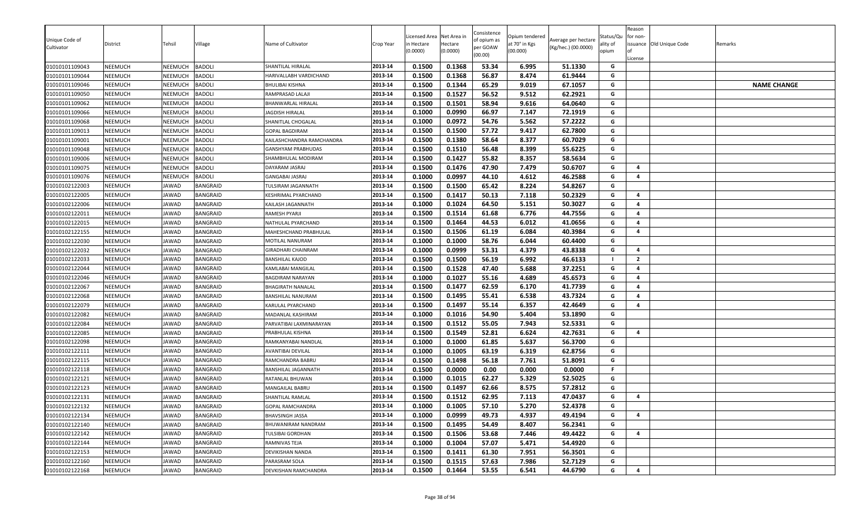| Unique Code of<br>Cultivator | District       | Tehsil       | <b>Village</b>  | Name of Cultivator        | Crop Year | icensed Area<br>n Hectare<br>(0.0000) | Net Area in<br>Hectare<br>(0.0000) | Consistence<br>of opium as<br>per GOAW | Opium tendered<br>at 70° in Kgs<br>(00.000) | Average per hectare<br>(Kg/hec.) (00.0000) | Status/Qu<br>ality of<br>opium | Reason<br>for non- | issuance Old Unique Code | Remarks            |
|------------------------------|----------------|--------------|-----------------|---------------------------|-----------|---------------------------------------|------------------------------------|----------------------------------------|---------------------------------------------|--------------------------------------------|--------------------------------|--------------------|--------------------------|--------------------|
|                              |                |              |                 |                           |           |                                       |                                    | (00.00)                                |                                             |                                            |                                | License            |                          |                    |
| 01010101109043               | <b>NEEMUCH</b> | NEEMUCH      | <b>BADOLI</b>   | SHANTILAL HIRALAL         | 2013-14   | 0.1500                                | 0.1368                             | 53.34                                  | 6.995                                       | 51.1330                                    | G                              |                    |                          |                    |
| 01010101109044               | <b>NEEMUCH</b> | NEEMUCH      | <b>BADOLI</b>   | HARIVALLABH VARDICHAND    | 2013-14   | 0.1500                                | 0.1368                             | 56.87                                  | 8.474                                       | 61.9444                                    | G                              |                    |                          |                    |
| 01010101109046               | <b>NEEMUCH</b> | NEEMUCH      | <b>BADOLI</b>   | <b>BHULIBAI KISHNA</b>    | 2013-14   | 0.1500                                | 0.1344                             | 65.29                                  | 9.019                                       | 67.1057                                    | G                              |                    |                          | <b>NAME CHANGE</b> |
| 01010101109050               | <b>NEEMUCH</b> | NEEMUCH      | <b>BADOLI</b>   | RAMPRASAD LALAJI          | 2013-14   | 0.1500                                | 0.1527                             | 56.52                                  | 9.512                                       | 62.2921                                    | G                              |                    |                          |                    |
| 01010101109062               | <b>NEEMUCH</b> | NEEMUCH      | <b>BADOLI</b>   | BHANWARLAL HIRALAL        | 2013-14   | 0.1500                                | 0.1501                             | 58.94                                  | 9.616                                       | 64.0640                                    | G                              |                    |                          |                    |
| 01010101109066               | <b>NEEMUCH</b> | NEEMUCH      | <b>BADOLI</b>   | JAGDISH HIRALAL           | 2013-14   | 0.1000                                | 0.0990                             | 66.97                                  | 7.147                                       | 72.1919                                    | G                              |                    |                          |                    |
| 01010101109068               | <b>NEEMUCH</b> | NEEMUCH      | <b>BADOLI</b>   | SHANITLAL CHOGALAL        | 2013-14   | 0.1000                                | 0.0972                             | 54.76                                  | 5.562                                       | 57.2222                                    | G                              |                    |                          |                    |
| 01010101109013               | <b>NEEMUCH</b> | NEEMUCH      | <b>BADOLI</b>   | <b>GOPAL BAGDIRAM</b>     | 2013-14   | 0.1500                                | 0.1500                             | 57.72                                  | 9.417                                       | 62.7800                                    | G                              |                    |                          |                    |
| 01010101109001               | <b>NEEMUCH</b> | NEEMUCH      | <b>BADOLI</b>   | KAILASHCHANDRA RAMCHANDRA | 2013-14   | 0.1500                                | 0.1380                             | 58.64                                  | 8.377                                       | 60.7029                                    | G                              |                    |                          |                    |
| 01010101109048               | NEEMUCH        | NEEMUCH      | <b>BADOLI</b>   | GANSHYAM PRABHUDAS        | 2013-14   | 0.1500                                | 0.1510                             | 56.48                                  | 8.399                                       | 55.6225                                    | G                              |                    |                          |                    |
| 01010101109006               | <b>NEEMUCH</b> | NEEMUCH      | <b>BADOLI</b>   | SHAMBHULAL MODIRAM        | 2013-14   | 0.1500                                | 0.1427                             | 55.82                                  | 8.357                                       | 58.5634                                    | G                              |                    |                          |                    |
| 01010101109075               | <b>NEEMUCH</b> | NEEMUCH      | <b>BADOLI</b>   | DAYARAM JASRAJ            | 2013-14   | 0.1500                                | 0.1476                             | 47.90                                  | 7.479                                       | 50.6707                                    | G                              | $\overline{a}$     |                          |                    |
| 01010101109076               | NEEMUCH        | NEEMUCH      | <b>BADOLI</b>   | GANGABAI JASRAJ           | 2013-14   | 0.1000                                | 0.0997                             | 44.10                                  | 4.612                                       | 46.2588                                    | G                              | $\overline{4}$     |                          |                    |
| 01010102122003               | NEEMUCH        | JAWAD        | <b>BANGRAID</b> | TULSIRAM JAGANNATH        | 2013-14   | 0.1500                                | 0.1500                             | 65.42                                  | 8.224                                       | 54.8267                                    | G                              |                    |                          |                    |
| 01010102122005               | <b>NEEMUCH</b> | JAWAD        | <b>BANGRAID</b> | KESHRIMAL PYARCHAND       | 2013-14   | 0.1500                                | 0.1417                             | 50.13                                  | 7.118                                       | 50.2329                                    | G                              | 4                  |                          |                    |
| 01010102122006               | <b>NEEMUCH</b> | JAWAD        | <b>BANGRAID</b> | KAILASH JAGANNATH         | 2013-14   | 0.1000                                | 0.1024                             | 64.50                                  | 5.151                                       | 50.3027                                    | G                              | $\overline{4}$     |                          |                    |
| 01010102122011               | <b>NEEMUCH</b> | JAWAD        | <b>BANGRAID</b> | RAMESH PYARJI             | 2013-14   | 0.1500                                | 0.1514                             | 61.68                                  | 6.776                                       | 44.7556                                    | G                              | 4                  |                          |                    |
| 01010102122015               | <b>NEEMUCH</b> | JAWAD        | <b>BANGRAID</b> | NATHULAL PYARCHAND        | 2013-14   | 0.1500                                | 0.1464                             | 44.53                                  | 6.012                                       | 41.0656                                    | G                              | 4                  |                          |                    |
| 01010102122155               | <b>NEEMUCH</b> | <b>JAWAD</b> | <b>BANGRAID</b> | MAHESHCHAND PRABHULAL     | 2013-14   | 0.1500                                | 0.1506                             | 61.19                                  | 6.084                                       | 40.3984                                    | G                              | 4                  |                          |                    |
| 01010102122030               | NEEMUCH        | JAWAD        | <b>BANGRAID</b> | MOTILAL NANURAM           | 2013-14   | 0.1000                                | 0.1000                             | 58.76                                  | 6.044                                       | 60.4400                                    | G                              |                    |                          |                    |
| 01010102122032               | <b>NEEMUCH</b> | JAWAD        | <b>BANGRAID</b> | GIRADHARI CHAINRAM        | 2013-14   | 0.1000                                | 0.0999                             | 53.31                                  | 4.379                                       | 43.8338                                    | G                              | 4                  |                          |                    |
| 01010102122033               | <b>NEEMUCH</b> | JAWAD        | <b>BANGRAID</b> | <b>BANSHILAL KAJOD</b>    | 2013-14   | 0.1500                                | 0.1500                             | 56.19                                  | 6.992                                       | 46.6133                                    |                                | $\overline{2}$     |                          |                    |
| 01010102122044               | <b>NEEMUCH</b> | JAWAD        | <b>BANGRAID</b> | KAMLABAI MANGILAL         | 2013-14   | 0.1500                                | 0.1528                             | 47.40                                  | 5.688                                       | 37.2251                                    | G                              | 4                  |                          |                    |
| 01010102122046               | <b>NEEMUCH</b> | JAWAD        | <b>BANGRAID</b> | BAGDIRAM NARAYAN          | 2013-14   | 0.1000                                | 0.1027                             | 55.16                                  | 4.689                                       | 45.6573                                    | G                              | 4                  |                          |                    |
| 01010102122067               | <b>NEEMUCH</b> | JAWAD        | <b>BANGRAID</b> | <b>BHAGIRATH NANALAL</b>  | 2013-14   | 0.1500                                | 0.1477                             | 62.59                                  | 6.170                                       | 41.7739                                    | G                              | $\overline{4}$     |                          |                    |
| 01010102122068               | <b>NEEMUCH</b> | JAWAD        | <b>BANGRAID</b> | BANSHILAL NANURAM         | 2013-14   | 0.1500                                | 0.1495                             | 55.41                                  | 6.538                                       | 43.7324                                    | G                              | 4                  |                          |                    |
| 01010102122079               | <b>NEEMUCH</b> | JAWAD        | <b>BANGRAID</b> | KARULAL PYARCHAND         | 2013-14   | 0.1500                                | 0.1497                             | 55.14                                  | 6.357                                       | 42.4649                                    | G                              | 4                  |                          |                    |
| 01010102122082               | NEEMUCH        | <b>JAWAD</b> | <b>BANGRAID</b> | MADANLAL KASHIRAM         | 2013-14   | 0.1000                                | 0.1016                             | 54.90                                  | 5.404                                       | 53.1890                                    | G                              |                    |                          |                    |
| 01010102122084               | NEEMUCH        | JAWAD        | <b>BANGRAID</b> | PARVATIBAI LAXMINARAYAN   | 2013-14   | 0.1500                                | 0.1512                             | 55.05                                  | 7.943                                       | 52.5331                                    | G                              |                    |                          |                    |
| 01010102122085               | <b>NEEMUCH</b> | JAWAD        | <b>BANGRAID</b> | PRABHULAL KISHNA          | 2013-14   | 0.1500                                | 0.1549                             | 52.81                                  | 6.624                                       | 42.7631                                    | G                              | 4                  |                          |                    |
| 01010102122098               | <b>NEEMUCH</b> | JAWAD        | <b>BANGRAID</b> | RAMKANYABAI NANDLAL       | 2013-14   | 0.1000                                | 0.1000                             | 61.85                                  | 5.637                                       | 56.3700                                    | G                              |                    |                          |                    |
| 01010102122111               | NEEMUCH        | JAWAD        | <b>BANGRAID</b> | AVANTIBAI DEVILAL         | 2013-14   | 0.1000                                | 0.1005                             | 63.19                                  | 6.319                                       | 62.8756                                    | G                              |                    |                          |                    |
| 01010102122115               | <b>NEEMUCH</b> | JAWAD        | <b>BANGRAID</b> | RAMCHANDRA BABRU          | 2013-14   | 0.1500                                | 0.1498                             | 56.18                                  | 7.761                                       | 51.8091                                    | G                              |                    |                          |                    |
| 01010102122118               | <b>NEEMUCH</b> | JAWAD        | <b>BANGRAID</b> | BANSHILAL JAGANNATH       | 2013-14   | 0.1500                                | 0.0000                             | 0.00                                   | 0.000                                       | 0.0000                                     | F.                             |                    |                          |                    |
| 01010102122121               | <b>NEEMUCH</b> | JAWAD        | <b>BANGRAID</b> | RATANLAL BHUWAN           | 2013-14   | 0.1000                                | 0.1015                             | 62.27                                  | 5.329                                       | 52.5025                                    | G                              |                    |                          |                    |
| 01010102122123               | NEEMUCH        | <b>JAWAD</b> | <b>BANGRAID</b> | <b>MANGAILAL BABRU</b>    | 2013-14   | 0.1500                                | 0.1497                             | 62.66                                  | 8.575                                       | 57.2812                                    | G                              |                    |                          |                    |
| 01010102122131               | NEEMUCH        | JAWAD        | <b>BANGRAID</b> | SHANTILAL RAMLAL          | 2013-14   | 0.1500                                | 0.1512                             | 62.95                                  | 7.113                                       | 47.0437                                    | G                              | 4                  |                          |                    |
| 01010102122132               | <b>NEEMUCH</b> | JAWAD        | <b>BANGRAID</b> | GOPAL RAMCHANDRA          | 2013-14   | 0.1000                                | 0.1005                             | 57.10                                  | 5.270                                       | 52.4378                                    | G                              |                    |                          |                    |
| 01010102122134               | <b>NEEMUCH</b> | JAWAD        | BANGRAID        | <b>BHAVSINGH JASSA</b>    | 2013-14   | 0.1000                                | 0.0999                             | 49.73                                  | 4.937                                       | 49.4194                                    | G                              | 4                  |                          |                    |
| 01010102122140               | <b>NEEMUCH</b> | JAWAD        | <b>BANGRAID</b> | BHUWANIRAM NANDRAM        | 2013-14   | 0.1500                                | 0.1495                             | 54.49                                  | 8.407                                       | 56.2341                                    | G                              |                    |                          |                    |
| 01010102122142               | <b>NEEMUCH</b> | JAWAD        | <b>BANGRAID</b> | TULSIBAI GORDHAN          | 2013-14   | 0.1500                                | 0.1506                             | 53.68                                  | 7.446                                       | 49.4422                                    | G                              | 4                  |                          |                    |
| 01010102122144               | <b>NEEMUCH</b> | JAWAD        | <b>BANGRAID</b> | RAMNIVAS TEJA             | 2013-14   | 0.1000                                | 0.1004                             | 57.07                                  | 5.471                                       | 54.4920                                    | G                              |                    |                          |                    |
| 01010102122153               | <b>NEEMUCH</b> | JAWAD        | <b>BANGRAID</b> | DEVIKISHAN NANDA          | 2013-14   | 0.1500                                | 0.1411                             | 61.30                                  | 7.951                                       | 56.3501                                    | G                              |                    |                          |                    |
| 01010102122160               | <b>NEEMUCH</b> | JAWAD        | <b>BANGRAID</b> | PARASRAM SOLA             | 2013-14   | 0.1500                                | 0.1515                             | 57.63                                  | 7.986                                       | 52.7129                                    | G                              |                    |                          |                    |
| 01010102122168               | <b>NEEMUCH</b> | JAWAD        | <b>BANGRAID</b> | DEVKISHAN RAMCHANDRA      | 2013-14   | 0.1500                                | 0.1464                             | 53.55                                  | 6.541                                       | 44.6790                                    | G                              | 4                  |                          |                    |
|                              |                |              |                 |                           |           |                                       |                                    |                                        |                                             |                                            |                                |                    |                          |                    |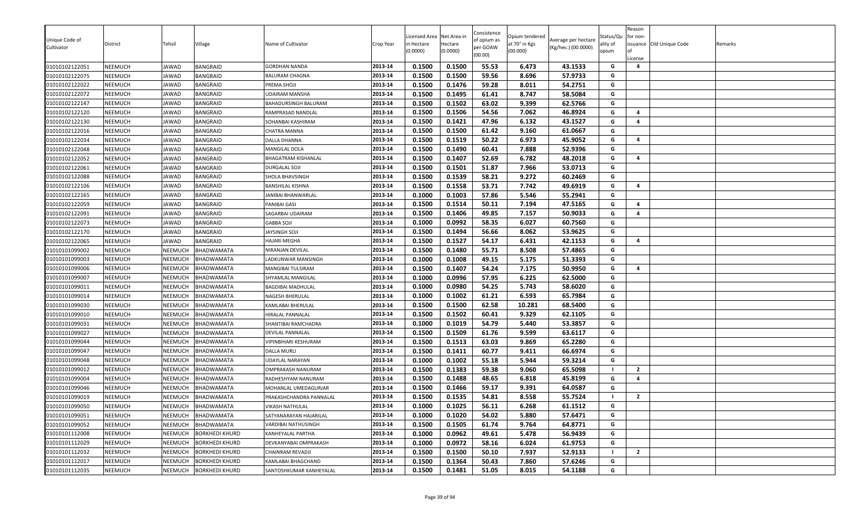| Unique Code of<br>Cultivator | District       | Tehsil       | Village               | Name of Cultivator      | Crop Year | icensed Area<br>n Hectare<br>0.0000 | Net Area in<br>Hectare<br>(0.0000) | Consistence<br>of opium as<br>per GOAW<br>(00.00) | Opium tendered<br>at 70° in Kgs<br>(00.000) | Average per hectare<br>(Kg/hec.) (00.0000) | Status/Qu<br>ality of<br>opium | Reason<br>for non-<br>Ωf<br>License | issuance Old Unique Code | Remarks |
|------------------------------|----------------|--------------|-----------------------|-------------------------|-----------|-------------------------------------|------------------------------------|---------------------------------------------------|---------------------------------------------|--------------------------------------------|--------------------------------|-------------------------------------|--------------------------|---------|
| 01010102122051               | NEEMUCH        | JAWAD        | <b>BANGRAID</b>       | GORDHAN NANDA           | 2013-14   | 0.1500                              | 0.1500                             | 55.53                                             | 6.473                                       | 43.1533                                    | G                              | 4                                   |                          |         |
| 01010102122075               | <b>NEEMUCH</b> | IAWAD        | <b>BANGRAID</b>       | BALURAM CHAGNA          | 2013-14   | 0.1500                              | 0.1500                             | 59.56                                             | 8.696                                       | 57.9733                                    | G                              |                                     |                          |         |
| 01010102122022               | NEEMUCH        | JAWAD        | <b>BANGRAID</b>       | PREMA SHOJI             | 2013-14   | 0.1500                              | 0.1476                             | 59.28                                             | 8.011                                       | 54.2751                                    | G                              |                                     |                          |         |
| 01010102122072               | NEEMUCH        | JAWAD        | <b>BANGRAID</b>       | UDAIRAM MANSHA          | 2013-14   | 0.1500                              | 0.1495                             | 61.41                                             | 8.747                                       | 58.5084                                    | G                              |                                     |                          |         |
| 01010102122147               | NEEMUCH        | JAWAD        | <b>BANGRAID</b>       | BAHADURSINGH BALURAM    | 2013-14   | 0.1500                              | 0.1502                             | 63.02                                             | 9.399                                       | 62.5766                                    | G                              |                                     |                          |         |
| 01010102122120               | NEEMUCH        | JAWAD        | <b>BANGRAID</b>       | RAMPRASAD NANDLAL       | 2013-14   | 0.1500                              | 0.1506                             | 54.56                                             | 7.062                                       | 46.8924                                    | G                              | $\overline{4}$                      |                          |         |
| 01010102122130               | NEEMUCH        | JAWAD        | <b>BANGRAID</b>       | SOHANBAI KASHIRAM       | 2013-14   | 0.1500                              | 0.1421                             | 47.96                                             | 6.132                                       | 43.1527                                    | G                              | $\overline{a}$                      |                          |         |
| 01010102122016               | <b>NEEMUCH</b> | JAWAD        | BANGRAID              | CHATRA MANNA            | 2013-14   | 0.1500                              | 0.1500                             | 61.42                                             | 9.160                                       | 61.0667                                    | G                              |                                     |                          |         |
| 01010102122034               | <b>NEEMUCH</b> | JAWAD        | <b>BANGRAID</b>       | DALLA DHANNA            | 2013-14   | 0.1500                              | 0.1519                             | 50.22                                             | 6.973                                       | 45.9052                                    | G                              | $\overline{a}$                      |                          |         |
| 01010102122048               | <b>NEEMUCH</b> | <b>IAWAD</b> | <b>BANGRAID</b>       | <b>MANGILAL DOLA</b>    | 2013-14   | 0.1500                              | 0.1490                             | 60.41                                             | 7.888                                       | 52.9396                                    | G                              |                                     |                          |         |
| 01010102122052               | <b>NEEMUCH</b> | <b>IAWAD</b> | <b>BANGRAID</b>       | BHAGATRAM KISHANLAL     | 2013-14   | 0.1500                              | 0.1407                             | 52.69                                             | 6.782                                       | 48.2018                                    | G                              | 4                                   |                          |         |
| 01010102122061               | <b>NEEMUCH</b> | JAWAD        | <b>BANGRAID</b>       | DURGALAL SOJI           | 2013-14   | 0.1500                              | 0.1501                             | 51.87                                             | 7.966                                       | 53.0713                                    | G                              |                                     |                          |         |
| 01010102122088               | <b>NEEMUCH</b> | JAWAD        | <b>BANGRAID</b>       | SHOLA BHAVSINGH         | 2013-14   | 0.1500                              | 0.1539                             | 58.21                                             | 9.272                                       | 60.2469                                    | G                              |                                     |                          |         |
| 01010102122106               | <b>NEEMUCH</b> | JAWAD        | BANGRAID              | BANSHILAL KISHNA        | 2013-14   | 0.1500                              | 0.1558                             | 53.71                                             | 7.742                                       | 49.6919                                    | G                              | 4                                   |                          |         |
| 01010102122165               | NEEMUCH        | JAWAD        | <b>BANGRAID</b>       | JANIBAI BHANWARLAL      | 2013-14   | 0.1000                              | 0.1003                             | 57.86                                             | 5.546                                       | 55.2941                                    | G                              |                                     |                          |         |
| 01010102122059               | <b>NEEMUCH</b> | JAWAD        | <b>BANGRAID</b>       | PANIBAI GASI            | 2013-14   | 0.1500                              | 0.1514                             | 50.11                                             | 7.194                                       | 47.5165                                    | G                              | $\overline{4}$                      |                          |         |
| 01010102122091               | NEEMUCH        | JAWAD        | BANGRAID              | SAGARBAI UDAIRAM        | 2013-14   | 0.1500                              | 0.1406                             | 49.85                                             | 7.157                                       | 50.9033                                    | G                              | 4                                   |                          |         |
| 01010102122073               | <b>NEEMUCH</b> | JAWAD        | <b>BANGRAID</b>       | <b>GABBA SOJI</b>       | 2013-14   | 0.1000                              | 0.0992                             | 58.35                                             | 6.027                                       | 60.7560                                    | G                              |                                     |                          |         |
| 01010102122170               | NEEMUCH        | JAWAD        | <b>BANGRAID</b>       | AYSINGH SOJI            | 2013-14   | 0.1500                              | 0.1494                             | 56.66                                             | 8.062                                       | 53.9625                                    | G                              |                                     |                          |         |
| 01010102122065               | NEEMUCH        | JAWAD        | <b>BANGRAID</b>       | HAJARI MEGHA            | 2013-14   | 0.1500                              | 0.1527                             | 54.17                                             | 6.431                                       | 42.1153                                    | G                              | $\overline{a}$                      |                          |         |
| 01010101099002               | NEEMUCH        | NEEMUCH      | <b>BHADWAMATA</b>     | NIRANJAN DEVILAL        | 2013-14   | 0.1500                              | 0.1480                             | 55.71                                             | 8.508                                       | 57.4865                                    | G                              |                                     |                          |         |
| 01010101099003               | NEEMUCH        | NEEMUCH      | <b>BHADWAMATA</b>     | ADKUNWAR MANSINGH       | 2013-14   | 0.1000                              | 0.1008                             | 49.15                                             | 5.175                                       | 51.3393                                    | G                              |                                     |                          |         |
| 01010101099006               | <b>NEEMUCH</b> | NEEMUCH      | <b>BHADWAMATA</b>     | MANGIBAI TULSIRAM       | 2013-14   | 0.1500                              | 0.1407                             | 54.24                                             | 7.175                                       | 50.9950                                    | G                              | 4                                   |                          |         |
| 01010101099007               | <b>NEEMUCH</b> | NEEMUCH      | <b>BHADWAMATA</b>     | SHYAMLAL MANGILAL       | 2013-14   | 0.1000                              | 0.0996                             | 57.95                                             | 6.225                                       | 62.5000                                    | G                              |                                     |                          |         |
| 01010101099011               | <b>NEEMUCH</b> | NEEMUCH      | <b>BHADWAMATA</b>     | BAGDIBAI MADHULAL       | 2013-14   | 0.1000                              | 0.0980                             | 54.25                                             | 5.743                                       | 58.6020                                    | G                              |                                     |                          |         |
| 01010101099014               | NEEMUCH        | NEEMUCH      | <b>BHADWAMATA</b>     | NAGESH BHERULAL         | 2013-14   | 0.1000                              | 0.1002                             | 61.21                                             | 6.593                                       | 65.7984                                    | G                              |                                     |                          |         |
| 01010101099030               | <b>NEEMUCH</b> | NEEMUCH      | <b>BHADWAMATA</b>     | KAMLABAI BHERULAL       | 2013-14   | 0.1500                              | 0.1500                             | 62.58                                             | 10.281                                      | 68.5400                                    | G                              |                                     |                          |         |
| 01010101099010               | <b>NEEMUCH</b> | NEEMUCH      | BHADWAMATA            | HIRALAL PANNALAL        | 2013-14   | 0.1500                              | 0.1502                             | 60.41                                             | 9.329                                       | 62.1105                                    | G                              |                                     |                          |         |
| 01010101099031               | NEEMUCH        | NEEMUCH      | <b>BHADWAMATA</b>     | SHANTIBAI RAMCHADRA     | 2013-14   | 0.1000                              | 0.1019                             | 54.79                                             | 5.440                                       | 53.3857                                    | G                              |                                     |                          |         |
| 01010101099027               | NEEMUCH        | NEEMUCH      | BHADWAMATA            | DEVILAL PANNALAL        | 2013-14   | 0.1500                              | 0.1509                             | 61.76                                             | 9.599                                       | 63.6117                                    | G                              |                                     |                          |         |
| 01010101099044               | NEEMUCH        | NEEMUCH      | <b>BHADWAMATA</b>     | VIPINBIHARI KESHURAM    | 2013-14   | 0.1500                              | 0.1513                             | 63.03                                             | 9.869                                       | 65.2280                                    | G                              |                                     |                          |         |
| 01010101099047               | <b>NEEMUCH</b> | NEEMUCH      | <b>BHADWAMATA</b>     | <b>DALLA MURLI</b>      | 2013-14   | 0.1500                              | 0.1411                             | 60.77                                             | 9.411                                       | 66.6974                                    | G                              |                                     |                          |         |
| 01010101099048               | NEEMUCH        | NEEMUCH      | <b>BHADWAMATA</b>     | UDAYLAL NARAYAN         | 2013-14   | 0.1000                              | 0.1002                             | 55.18                                             | 5.944                                       | 59.3214                                    | G                              |                                     |                          |         |
| 01010101099012               | <b>NEEMUCH</b> | NEEMUCH      | BHADWAMATA            | OMPRAKASH NANURAM       | 2013-14   | 0.1500                              | 0.1383                             | 59.38                                             | 9.060                                       | 65.5098                                    |                                | $\overline{2}$                      |                          |         |
| 01010101099004               | NEEMUCH        | NEEMUCH      | <b>BHADWAMATA</b>     | RADHESHYAM NANURAM      | 2013-14   | 0.1500                              | 0.1488                             | 48.65                                             | 6.818                                       | 45.8199                                    | G                              | 4                                   |                          |         |
| 01010101099046               | <b>NEEMUCH</b> | NEEMUCH      | <b>BHADWAMATA</b>     | MOHANLAL UMEDAGURJAR    | 2013-14   | 0.1500                              | 0.1466                             | 59.17                                             | 9.391                                       | 64.0587                                    | G                              |                                     |                          |         |
| 01010101099019               | <b>NEEMUCH</b> | NEEMUCH      | <b>BHADWAMATA</b>     | PRAKASHCHANDRA PANNALAL | 2013-14   | 0.1500                              | 0.1535                             | 54.81                                             | 8.558                                       | 55.7524                                    |                                | $\overline{2}$                      |                          |         |
| 01010101099050               | NEEMUCH        | NEEMUCH      | <b>BHADWAMATA</b>     | VIKASH NATHULAL         | 2013-14   | 0.1000                              | 0.1025                             | 56.11                                             | 6.268                                       | 61.1512                                    | G                              |                                     |                          |         |
| 01010101099051               | <b>NEEMUCH</b> |              | NEEMUCH BHADWAMATA    | SATYANARAYAN HAJARILAL  | 2013-14   | 0.1000                              | 0.1020                             | 54.02                                             | 5.880                                       | 57.6471                                    | G                              |                                     |                          |         |
| 01010101099052               | <b>NEEMUCH</b> | NEEMUCH      | BHADWAMATA            | VARDIBAI NATHUSINGH     | 2013-14   | 0.1500                              | 0.1505                             | 61.74                                             | 9.764                                       | 64.8771                                    | G                              |                                     |                          |         |
| 01010101112008               | <b>NEEMUCH</b> | NEEMUCH      | <b>BORKHEDI KHURD</b> | KANHEYALAL PARTHA       | 2013-14   | 0.1000                              | 0.0962                             | 49.61                                             | 5.478                                       | 56.9439                                    | G                              |                                     |                          |         |
| 01010101112029               | <b>NEEMUCH</b> | NEEMUCH      | <b>BORKHEDI KHURD</b> | DEVKANYABAI OMPRAKASH   | 2013-14   | 0.1000                              | 0.0972                             | 58.16                                             | 6.024                                       | 61.9753                                    | G                              |                                     |                          |         |
| 01010101112032               | NEEMUCH        | NEEMUCH      | <b>BORKHEDI KHURD</b> | CHAINRAM REVADJI        | 2013-14   | 0.1500                              | 0.1500                             | 50.10                                             | 7.937                                       | 52.9133                                    |                                | $\overline{2}$                      |                          |         |
| 01010101112017               | NEEMUCH        | NEEMUCH      | <b>BORKHEDI KHURD</b> | KAMLABAI BHAGCHAND      | 2013-14   | 0.1500                              | 0.1364                             | 50.43                                             | 7.860                                       | 57.6246                                    | G                              |                                     |                          |         |
| 01010101112035               | <b>NEEMUCH</b> | NEEMUCH      | <b>BORKHEDI KHURD</b> | SANTOSHKUMAR KANHEYALAL | 2013-14   | 0.1500                              | 0.1481                             | 51.05                                             | 8.015                                       | 54.1188                                    | G                              |                                     |                          |         |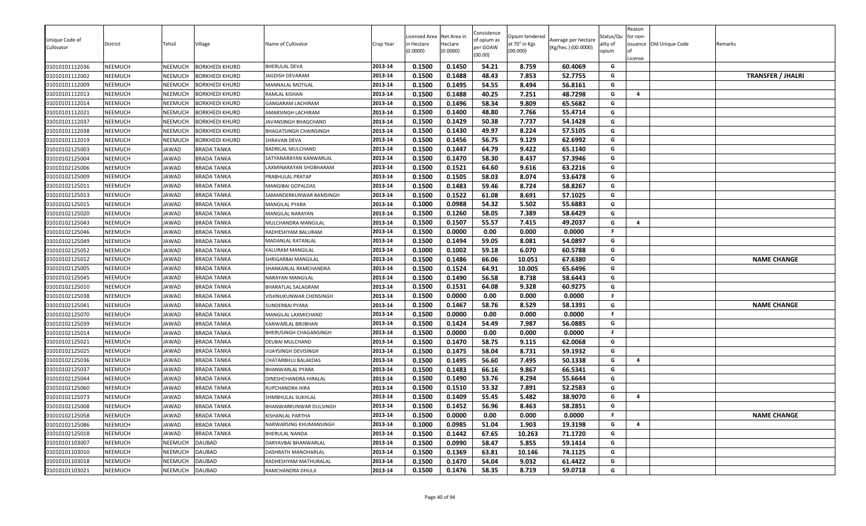| Unique Code of<br>Cultivator     | District           | Tehsil             | Village                                        | Name of Cultivator                           | Crop Year          | Licensed Area<br>า Hectare<br>(0.0000) | Net Area in<br>Hectare<br>(0.0000) | Consistence<br>of opium as<br>per GOAW<br>(00.00) | Opium tendered<br>at 70° in Kgs<br>(00.000) | Average per hectare<br>(Kg/hec.) (00.0000) | Status/Qu<br>ality of<br>opium | Reason<br>for non-<br>License | issuance Old Unique Code | Remarks                  |
|----------------------------------|--------------------|--------------------|------------------------------------------------|----------------------------------------------|--------------------|----------------------------------------|------------------------------------|---------------------------------------------------|---------------------------------------------|--------------------------------------------|--------------------------------|-------------------------------|--------------------------|--------------------------|
| 01010101112036                   | NEEMUCH            | NEEMUCH            | <b>BORKHEDI KHURD</b>                          | BHERULAL DEVA                                | 2013-14            | 0.1500                                 | 0.1450                             | 54.21                                             | 8.759                                       | 60.4069                                    | G                              |                               |                          |                          |
| 01010101112002<br>01010101112009 | NEEMUCH<br>NEEMUCH | NEEMUCH<br>NEEMUCH | <b>BORKHEDI KHURD</b><br><b>BORKHEDI KHURD</b> | JAGDISH DEVARAM<br><b>MANNALAL MOTILAL</b>   | 2013-14<br>2013-14 | 0.1500<br>0.1500                       | 0.1488<br>0.1495                   | 48.43<br>54.55                                    | 7.853<br>8.494                              | 52.7755<br>56.8161                         | G<br>G                         |                               |                          | <b>TRANSFER / JHALRI</b> |
| 01010101112013                   | NEEMUCH            | NEEMUCH            | <b>BORKHEDI KHURD</b>                          | RAMLAL KISHAN                                | 2013-14            | 0.1500                                 | 0.1488                             | 40.25                                             | 7.251                                       | 48.7298                                    | G                              | $\overline{4}$                |                          |                          |
| 01010101112014                   | <b>NEEMUCH</b>     | NEEMUCH            | <b>BORKHEDI KHURD</b>                          | GANGARAM LACHIRAM                            | 2013-14            | 0.1500                                 | 0.1496                             | 58.34                                             | 9.809                                       | 65.5682                                    | G                              |                               |                          |                          |
| 01010101112021                   | NEEMUCH            | NEEMUCH            | <b>BORKHEDI KHURD</b>                          | AMARSINGH LACHIRAM                           | 2013-14            | 0.1500                                 | 0.1400                             | 48.80                                             | 7.766                                       | 55.4714                                    | G                              |                               |                          |                          |
| 01010101112037                   | NEEMUCH            | NEEMUCH            | <b>BORKHEDI KHURD</b>                          | JAVANSINGH BHAGCHAND                         | 2013-14            | 0.1500                                 | 0.1429                             | 50.38                                             | 7.737                                       | 54.1428                                    | G                              |                               |                          |                          |
| 01010101112038                   | NEEMUCH            | NEEMUCH            | <b>BORKHEDI KHURD</b>                          | BHAGATSINGH CHAINSINGH                       | 2013-14            | 0.1500                                 | 0.1430                             | 49.97                                             | 8.224                                       | 57.5105                                    | G                              |                               |                          |                          |
| 01010101112019                   | NEEMUCH            | NEEMUCH            | <b>BORKHEDI KHURD</b>                          | SHRAVAN DEVA                                 | 2013-14            | 0.1500                                 | 0.1456                             | 56.75                                             | 9.129                                       | 62.6992                                    | G                              |                               |                          |                          |
| 01010102125003                   | NEEMUCH            | <b>AWAD</b>        | <b>BRADA TANKA</b>                             | BADRILAL MULCHAND                            | 2013-14            | 0.1500                                 | 0.1447                             | 64.79                                             | 9.422                                       | 65.1140                                    | G                              |                               |                          |                          |
| 01010102125004                   | NEEMUCH            | JAWAD              | <b>BRADA TANKA</b>                             | SATYANARAYAN KANWARLAL                       | 2013-14            | 0.1500                                 | 0.1470                             | 58.30                                             | 8.437                                       | 57.3946                                    | G                              |                               |                          |                          |
| 01010102125006                   | <b>NEEMUCH</b>     | JAWAD              | <b>BRADA TANKA</b>                             | AXMINARAYAN SHOBHARAM                        | 2013-14            | 0.1500                                 | 0.1521                             | 64.60                                             | 9.616                                       | 63.2216                                    | G                              |                               |                          |                          |
| 01010102125009                   | NEEMUCH            | JAWAD              | <b>BRADA TANKA</b>                             | PRABHULAL PRATAP                             | 2013-14            | 0.1500                                 | 0.1505                             | 58.03                                             | 8.074                                       | 53.6478                                    | G                              |                               |                          |                          |
| 01010102125011                   | NEEMUCH            | JAWAD              | <b>BRADA TANKA</b>                             | MANGIBAI GOPALDAS                            | 2013-14            | 0.1500                                 | 0.1483                             | 59.46                                             | 8.724                                       | 58.8267                                    | G                              |                               |                          |                          |
| 01010102125013                   | NEEMUCH            | JAWAD              | <b>BRADA TANKA</b>                             | SAMANDERKUNWAR RAMSINGH                      | 2013-14            | 0.1500                                 | 0.1522                             | 61.08                                             | 8.691                                       | 57.1025                                    | G                              |                               |                          |                          |
| 01010102125015                   | NEEMUCH            | JAWAD              | <b>BRADA TANKA</b>                             | MANGILAL PYARA                               | 2013-14            | 0.1000                                 | 0.0988                             | 54.32                                             | 5.502                                       | 55.6883                                    | G                              |                               |                          |                          |
| 01010102125020                   | NEEMUCH            | JAWAD              | <b>BRADA TANKA</b>                             | MANGILAL NARAYAN                             | 2013-14            | 0.1500                                 | 0.1260                             | 58.05                                             | 7.389                                       | 58.6429                                    | G                              |                               |                          |                          |
| 01010102125043                   | NEEMUCH            | JAWAD              | <b>BRADA TANKA</b>                             | MULCHANDRA MANGILAL                          | 2013-14            | 0.1500                                 | 0.1507                             | 55.57                                             | 7.415                                       | 49.2037                                    | G                              | $\overline{a}$                |                          |                          |
| 01010102125046                   | NEEMUCH            | JAWAD              | <b>BRADA TANKA</b>                             | RADHESHYAM BALURAM                           | 2013-14            | 0.1500                                 | 0.0000                             | 0.00                                              | 0.000                                       | 0.0000                                     | F                              |                               |                          |                          |
| 01010102125049                   | NEEMUCH            | JAWAD              | <b>BRADA TANKA</b>                             | MADANLAL RATANLAL                            | 2013-14            | 0.1500                                 | 0.1494                             | 59.05                                             | 8.081                                       | 54.0897                                    | G                              |                               |                          |                          |
| 01010102125052                   | NEEMUCH            | JAWAD              | <b>BRADA TANKA</b>                             | KALURAM MANGILAL                             | 2013-14            | 0.1000                                 | 0.1002                             | 59.18                                             | 6.070                                       | 60.5788                                    | G                              |                               |                          |                          |
| 01010102125012                   | NEEMUCH            | JAWAD              | <b>BRADA TANKA</b>                             | SHRIGARBAI MANGILAL                          | 2013-14            | 0.1500                                 | 0.1486                             | 66.06                                             | 10.051                                      | 67.6380                                    | G                              |                               |                          | <b>NAME CHANGE</b>       |
| 01010102125005                   | NEEMUCH            | JAWAD              | <b>BRADA TANKA</b>                             | SHANKARLAL RAMCHANDRA                        | 2013-14            | 0.1500                                 | 0.1524                             | 64.91                                             | 10.005                                      | 65.6496                                    | G                              |                               |                          |                          |
| 01010102125045                   | NEEMUCH            | JAWAD              | <b>BRADA TANKA</b>                             | NARAYAN MANGILAL                             | 2013-14            | 0.1500                                 | 0.1490                             | 56.58                                             | 8.738                                       | 58.6443                                    | G                              |                               |                          |                          |
| 01010102125010                   | NEEMUCH            | JAWAD              | <b>BRADA TANKA</b>                             | BHARATLAL SALAGRAM                           | 2013-14            | 0.1500                                 | 0.1531                             | 64.08                                             | 9.328                                       | 60.9275                                    | G                              |                               |                          |                          |
| 01010102125038                   | NEEMUCH            | JAWAD              | <b>BRADA TANKA</b>                             | VISHNUKUNWAR CHENSINGH                       | 2013-14            | 0.1500                                 | 0.0000                             | 0.00                                              | 0.000                                       | 0.0000                                     | F.                             |                               |                          |                          |
| 01010102125041                   | NEEMUCH            | JAWAD              | <b>BRADA TANKA</b>                             | SUNDERBAI PYARA                              | 2013-14            | 0.1500                                 | 0.1467                             | 58.76                                             | 8.529                                       | 58.1391                                    | G                              |                               |                          | <b>NAME CHANGE</b>       |
| 01010102125070                   | NEEMUCH            | JAWAD              | <b>BRADA TANKA</b>                             | MANGILAL LAXMICHAND                          | 2013-14            | 0.1500                                 | 0.0000                             | 0.00                                              | 0.000                                       | 0.0000                                     | F                              |                               |                          |                          |
| 01010102125039                   | NEEMUCH            | JAWAD              | <b>BRADA TANKA</b>                             | KANWARLAL BRIJBHAN                           | 2013-14            | 0.1500                                 | 0.1424                             | 54.49                                             | 7.987                                       | 56.0885                                    | G                              |                               |                          |                          |
| 01010102125014                   | NEEMUCH            | IAWAD              | <b>BRADA TANKA</b>                             | BHERUSINGH CHAGANSINGH                       | 2013-14            | 0.1500                                 | 0.0000                             | 0.00                                              | 0.000                                       | 0.0000                                     | F.                             |                               |                          |                          |
| 01010102125021                   | NEEMUCH            | JAWAD              | <b>BRADA TANKA</b>                             | DEUBAI MULCHAND                              | 2013-14            | 0.1500                                 | 0.1470                             | 58.75                                             | 9.115                                       | 62.0068                                    | G                              |                               |                          |                          |
| 01010102125025                   | NEEMUCH            | JAWAD              | <b>BRADA TANKA</b>                             | VIJAYSINGH DEVISINGH                         | 2013-14            | 0.1500                                 | 0.1475                             | 58.04                                             | 8.731                                       | 59.1932                                    | G                              |                               |                          |                          |
| 01010102125036                   | NEEMUCH            | JAWAD              | <b>BRADA TANKA</b>                             | CHATARBHUJ BALAKDAS                          | 2013-14            | 0.1500                                 | 0.1495                             | 56.60                                             | 7.495                                       | 50.1338                                    | G                              | $\overline{a}$                |                          |                          |
| 01010102125037                   | NEEMUCH            | JAWAD              | <b>BRADA TANKA</b>                             | BHANWARLAL PYARA                             | 2013-14            | 0.1500                                 | 0.1483                             | 66.16                                             | 9.867                                       | 66.5341                                    | G                              |                               |                          |                          |
| 01010102125044                   | NEEMUCH            | JAWAD              | <b>BRADA TANKA</b>                             | DINESHCHANDRA HIRALAL                        | 2013-14            | 0.1500                                 | 0.1490                             | 53.76                                             | 8.294                                       | 55.6644                                    | G                              |                               |                          |                          |
| 01010102125060                   | NEEMUCH            | JAWAD              | <b>BRADA TANKA</b>                             | RUPCHANDRA HIRA                              | 2013-14            | 0.1500                                 | 0.1510                             | 53.32                                             | 7.891                                       | 52.2583                                    | G                              |                               |                          |                          |
| 01010102125073                   | NEEMUCH            | <b>AWAD</b>        | <b>BRADA TANKA</b>                             | SHMBHULAL SUKHLAL                            | 2013-14            | 0.1500                                 | 0.1409                             | 55.45                                             | 5.482                                       | 38.9070                                    | G                              | 4                             |                          |                          |
| 01010102125008                   | NEEMUCH            | JAWAD              | <b>BRADA TANKA</b>                             | BHANWARKUNWAR DULSINGH                       | 2013-14            | 0.1500                                 | 0.1452                             | 56.96                                             | 8.463                                       | 58.2851                                    | G                              |                               |                          |                          |
| 01010102125058                   | NEEMUCH            | JAWAD              | <b>BRADA TANKA</b>                             | KISHANLAL PARTHA                             | 2013-14            | 0.1500                                 | 0.0000                             | 0.00                                              | 0.000                                       | 0.0000                                     | F.                             |                               |                          | <b>NAME CHANGE</b>       |
| 01010102125086                   | NEEMUCH            | JAWAD              | <b>BRADA TANKA</b>                             | NARWARSING KHUMANSINGH                       | 2013-14            | 0.1000                                 | 0.0985                             | 51.04                                             | 1.903                                       | 19.3198                                    | G                              | $\overline{a}$                |                          |                          |
| 01010102125018                   | NEEMUCH            | JAWAD              | <b>BRADA TANKA</b>                             | <b>BHERULAL NANDA</b>                        | 2013-14            | 0.1500                                 | 0.1442                             | 67.65                                             | 10.263                                      | 71.1720                                    | G                              |                               |                          |                          |
| 01010101103007                   | NEEMUCH            | NEEMUCH            | <b>DAUBAD</b>                                  | DARYAVBAI BHANWARLAL                         | 2013-14<br>2013-14 | 0.1500<br>0.1500                       | 0.0990                             | 58.47                                             | 5.855                                       | 59.1414                                    | G<br>G                         |                               |                          |                          |
| 01010101103010<br>01010101103018 | NEEMUCH<br>NEEMUCH | NEEMUCH<br>NEEMUCH | DAUBAD<br><b>DAUBAD</b>                        | DASHRATH MANOHARLAL<br>RADHESHYAM MATHURALAL | 2013-14            |                                        | 0.1369                             | 63.81<br>54.04                                    | 10.146<br>9.032                             | 74.1125<br>61.4422                         | G                              |                               |                          |                          |
|                                  |                    |                    |                                                | RAMCHANDRA DHULJI                            |                    | 0.1500                                 | 0.1470<br>0.1476                   | 58.35                                             |                                             |                                            | G                              |                               |                          |                          |
| 01010101103021                   | NEEMUCH            | NEEMUCH            | <b>DAUBAD</b>                                  |                                              | 2013-14            | 0.1500                                 |                                    |                                                   | 8.719                                       | 59.0718                                    |                                |                               |                          |                          |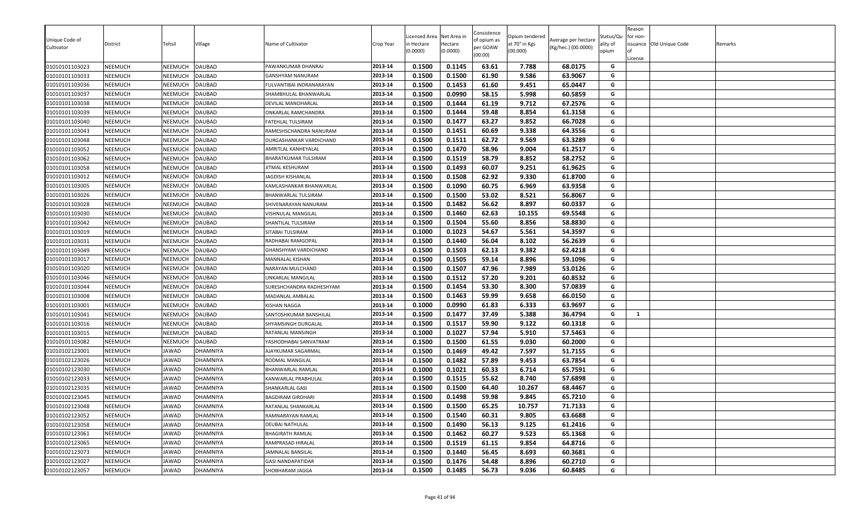| Unique Code of<br>Cultivator | District       | Tehsil         | Village  | Name of Cultivator       | Crop Year | Licensed Area<br>in Hectare<br>(0.0000) | Net Area in<br>Hectare<br>(0.0000) | Consistence<br>of opium as<br>per GOAW<br>(00.00) | Opium tendered<br>at 70° in Kgs<br>(00.000) | Average per hectare<br>(Kg/hec.) (00.0000) | Status/Qu<br>ality of<br>opium | Reason<br>for non-<br>License | issuance Old Unique Code | Remarks |
|------------------------------|----------------|----------------|----------|--------------------------|-----------|-----------------------------------------|------------------------------------|---------------------------------------------------|---------------------------------------------|--------------------------------------------|--------------------------------|-------------------------------|--------------------------|---------|
| 01010101103023               | NEEMUCH        | NEEMUCH        | DAUBAD   | PAWANKUMAR DHANRAJ       | 2013-14   | 0.1500                                  | 0.1145                             | 63.61                                             | 7.788                                       | 68.0175                                    | G                              |                               |                          |         |
| 01010101103033               | NEEMUCH        | NEEMUCH        | DAUBAD   | GANSHYAM NANURAM         | 2013-14   | 0.1500                                  | 0.1500                             | 61.90                                             | 9.586                                       | 63.9067                                    | G                              |                               |                          |         |
| 01010101103036               | NEEMUCH        | NEEMUCH        | DAUBAD   | FULVANTIBAI INDRANARAYAN | 2013-14   | 0.1500                                  | 0.1453                             | 61.60                                             | 9.451                                       | 65.0447                                    | G                              |                               |                          |         |
| 01010101103037               | NEEMUCH        | NEEMUCH        | DAUBAD   | SHAMBHULAL BHANWARLAL    | 2013-14   | 0.1500                                  | 0.0990                             | 58.15                                             | 5.998                                       | 60.5859                                    | G                              |                               |                          |         |
| 01010101103038               | NEEMUCH        | NEEMUCH        | DAUBAD   | DEVILAL MANOHARLAL       | 2013-14   | 0.1500                                  | 0.1444                             | 61.19                                             | 9.712                                       | 67.2576                                    | G                              |                               |                          |         |
| 01010101103039               | NEEMUCH        | NEEMUCH        | DAUBAD   | ONKARLAL RAMCHANDRA      | 2013-14   | 0.1500                                  | 0.1444                             | 59.48                                             | 8.854                                       | 61.3158                                    | G                              |                               |                          |         |
| 01010101103040               | NEEMUCH        | NEEMUCH        | DAUBAD   | FATEHLAL TULSIRAM        | 2013-14   | 0.1500                                  | 0.1477                             | 63.27                                             | 9.852                                       | 66.7028                                    | G                              |                               |                          |         |
| 01010101103043               | NEEMUCH        | NEEMUCH        | DAUBAD   | RAMESHSCHANDRA NANURAM   | 2013-14   | 0.1500                                  | 0.1451                             | 60.69                                             | 9.338                                       | 64.3556                                    | G                              |                               |                          |         |
| 01010101103048               | NEEMUCH        | NEEMUCH        | DAUBAD   | DURGASHANKAR VARDICHAND  | 2013-14   | 0.1500                                  | 0.1511                             | 62.72                                             | 9.569                                       | 63.3289                                    | G                              |                               |                          |         |
| 01010101103052               | NEEMUCH        | <b>NEEMUCH</b> | DAUBAD   | AMRITLAL KANHEYALAL      | 2013-14   | 0.1500                                  | 0.1470                             | 58.96                                             | 9.004                                       | 61.2517                                    | G                              |                               |                          |         |
| 01010101103062               | NEEMUCH        | NEEMUCH        | DAUBAD   | BHARATKUMAR TULSIRAM     | 2013-14   | 0.1500                                  | 0.1519                             | 58.79                                             | 8.852                                       | 58.2752                                    | G                              |                               |                          |         |
| 01010101103058               | NEEMUCH        | NEEMUCH        | DAUBAD   | JITMAL KESHURAM          | 2013-14   | 0.1500                                  | 0.1493                             | 60.07                                             | 9.251                                       | 61.9625                                    | G                              |                               |                          |         |
| 01010101103012               | NEEMUCH        | NEEMUCH        | DAUBAD   | JAGDISH KISHANLAL        | 2013-14   | 0.1500                                  | 0.1508                             | 62.92                                             | 9.330                                       | 61.8700                                    | G                              |                               |                          |         |
| 01010101103005               | NEEMUCH        | NEEMUCH        | DAUBAD   | KAMLASHANKAR BHANWARLAL  | 2013-14   | 0.1500                                  | 0.1090                             | 60.75                                             | 6.969                                       | 63.9358                                    | G                              |                               |                          |         |
| 01010101103026               | NEEMUCH        | NEEMUCH        | DAUBAD   | BHANWARLAL TULSIRAM      | 2013-14   | 0.1500                                  | 0.1500                             | 53.02                                             | 8.521                                       | 56.8067                                    | G                              |                               |                          |         |
| 01010101103028               | NEEMUCH        | NEEMUCH        | DAUBAD   | SHIVENARAYAN NANURAM     | 2013-14   | 0.1500                                  | 0.1482                             | 56.62                                             | 8.897                                       | 60.0337                                    | G                              |                               |                          |         |
| 01010101103030               | NEEMUCH        | NEEMUCH        | DAUBAD   | VISHNULAL MANGILAL       | 2013-14   | 0.1500                                  | 0.1460                             | 62.63                                             | 10.155                                      | 69.5548                                    | G                              |                               |                          |         |
| 01010101103042               | NEEMUCH        | NEEMUCH        | DAUBAD   | SHANTILAL TULSIRAM       | 2013-14   | 0.1500                                  | 0.1504                             | 55.60                                             | 8.856                                       | 58.8830                                    | G                              |                               |                          |         |
| 01010101103019               | NEEMUCH        | NEEMUCH        | DAUBAD   | SITABAI TULSIRAM         | 2013-14   | 0.1000                                  | 0.1023                             | 54.67                                             | 5.561                                       | 54.3597                                    | G                              |                               |                          |         |
| 01010101103031               | NEEMUCH        | NEEMUCH        | DAUBAD   | RADHABAI RAMGOPAL        | 2013-14   | 0.1500                                  | 0.1440                             | 56.04                                             | 8.102                                       | 56.2639                                    | G                              |                               |                          |         |
| 01010101103049               | NEEMUCH        | NEEMUCH        | DAUBAD   | GHANSHYAM VARDICHAND     | 2013-14   | 0.1500                                  | 0.1503                             | 62.13                                             | 9.382                                       | 62.4218                                    | G                              |                               |                          |         |
| 01010101103017               | NEEMUCH        | NEEMUCH        | DAUBAD   | MANNALAL KISHAN          | 2013-14   | 0.1500                                  | 0.1505                             | 59.14                                             | 8.896                                       | 59.1096                                    | G                              |                               |                          |         |
| 01010101103020               | NEEMUCH        | NEEMUCH        | DAUBAD   | NARAYAN MULCHAND         | 2013-14   | 0.1500                                  | 0.1507                             | 47.96                                             | 7.989                                       | 53.0126                                    | G                              |                               |                          |         |
| 01010101103046               | NEEMUCH        | NEEMUCH        | DAUBAD   | JNKARLAL MANGILAL        | 2013-14   | 0.1500                                  | 0.1512                             | 57.20                                             | 9.201                                       | 60.8532                                    | G                              |                               |                          |         |
| 01010101103044               | NEEMUCH        | <b>NEEMUCH</b> | DAUBAD   | SURESHCHANDRA RADHESHYAM | 2013-14   | 0.1500                                  | 0.1454                             | 53.30                                             | 8.300                                       | 57.0839                                    | G                              |                               |                          |         |
| 01010101103008               | NEEMUCH        | NEEMUCH        | DAUBAD   | MADANLAL AMBALAL         | 2013-14   | 0.1500                                  | 0.1463                             | 59.99                                             | 9.658                                       | 66.0150                                    | G                              |                               |                          |         |
| 01010101103001               | NEEMUCH        | NEEMUCH        | DAUBAD   | KISHAN NAGGA             | 2013-14   | 0.1000                                  | 0.0990                             | 61.83                                             | 6.333                                       | 63.9697                                    | G                              |                               |                          |         |
| 01010101103041               | NEEMUCH        | NEEMUCH        | DAUBAD   | SANTOSHKUMAR BANSHILAL   | 2013-14   | 0.1500                                  | 0.1477                             | 37.49                                             | 5.388                                       | 36.4794                                    | G                              | $\mathbf{1}$                  |                          |         |
| 01010101103016               | NEEMUCH        | NEEMUCH        | DAUBAD   | SHYAMSINGH DURGALAL      | 2013-14   | 0.1500                                  | 0.1517                             | 59.90                                             | 9.122                                       | 60.1318                                    | G                              |                               |                          |         |
| 01010101103015               | NEEMUCH        | NEEMUCH        | DAUBAD   | RATANLAL MANSINGH        | 2013-14   | 0.1000                                  | 0.1027                             | 57.94                                             | 5.910                                       | 57.5463                                    | G                              |                               |                          |         |
| 01010101103082               | NEEMUCH        | NEEMUCH        | DAUBAD   | YASHODHABAI SANVATRAM    | 2013-14   | 0.1500                                  | 0.1500                             | 61.55                                             | 9.030                                       | 60.2000                                    | G                              |                               |                          |         |
| 01010102123001               | NEEMUCH        | <b>JAWAD</b>   | DHAMNIYA | AJAYKUMAR SAGARMAL       | 2013-14   | 0.1500                                  | 0.1469                             | 49.42                                             | 7.597                                       | 51.7155                                    | G                              |                               |                          |         |
| 01010102123026               | NEEMUCH        | JAWAD          | DHAMNIYA | RODMAL MANGILAL          | 2013-14   | 0.1500                                  | 0.1482                             | 57.89                                             | 9.453                                       | 63.7854                                    | G                              |                               |                          |         |
| 01010102123030               | NEEMUCH        | <b>JAWAD</b>   | DHAMNIYA | BHANWARLAL RAMLAL        | 2013-14   | 0.1000                                  | 0.1021                             | 60.33                                             | 6.714                                       | 65.7591                                    | G                              |                               |                          |         |
| 01010102123033               | NEEMUCH        | <b>JAWAD</b>   | DHAMNIYA | KANWARLAL PRABHULAL      | 2013-14   | 0.1500                                  | 0.1515                             | 55.62                                             | 8.740                                       | 57.6898                                    | G                              |                               |                          |         |
| 01010102123035               | NEEMUCH        | JAWAD          | DHAMNIYA | SHANKARLAL GASI          | 2013-14   | 0.1500                                  | 0.1500                             | 64.40                                             | 10.267                                      | 68.4467                                    | G                              |                               |                          |         |
| 01010102123045               | NEEMUCH        | JAWAD          | DHAMNIYA | <b>BAGDIRAM GIRDHARI</b> | 2013-14   | 0.1500                                  | 0.1498                             | 59.98                                             | 9.845                                       | 65.7210                                    | G                              |                               |                          |         |
| 01010102123048               | NEEMUCH        | <b>JAWAD</b>   | DHAMNIYA | RATANLAL SHANKARLAL      | 2013-14   | 0.1500                                  | 0.1500                             | 65.25                                             | 10.757                                      | 71.7133                                    | G                              |                               |                          |         |
| 01010102123052               | NEEMUCH        | JAWAD          | DHAMNIYA | RAMNARAYAN RAMLAL        | 2013-14   | 0.1500                                  | 0.1540                             | 60.31                                             | 9.805                                       | 63.6688                                    | G                              |                               |                          |         |
| 01010102123058               | <b>NEEMUCH</b> | <b>JAWAD</b>   | DHAMNIYA | DEUBAI NATHULAL          | 2013-14   | 0.1500                                  | 0.1490                             | 56.13                                             | 9.125                                       | 61.2416                                    | G                              |                               |                          |         |
| 01010102123061               | <b>NEEMUCH</b> | <b>JAWAD</b>   | DHAMNIYA | BHAGIRATH RAMLAL         | 2013-14   | 0.1500                                  | 0.1462                             | 60.27                                             | 9.523                                       | 65.1368                                    | G                              |                               |                          |         |
| 01010102123065               | <b>NEEMUCH</b> | <b>JAWAD</b>   | DHAMNIYA | RAMPRASAD HIRALAL        | 2013-14   | 0.1500                                  | 0.1519                             | 61.15                                             | 9.854                                       | 64.8716                                    | G                              |                               |                          |         |
| 01010102123073               | NEEMUCH        | <b>JAWAD</b>   | DHAMNIYA | JAMNALAL BANSILAL        | 2013-14   | 0.1500                                  | 0.1440                             | 56.45                                             | 8.693                                       | 60.3681                                    | G                              |                               |                          |         |
| 01010102123027               | <b>NEEMUCH</b> | <b>JAWAD</b>   | DHAMNIYA | GASI NANDAPATIDAR        | 2013-14   | 0.1500                                  | 0.1476                             | 54.48                                             | 8.896                                       | 60.2710                                    | G                              |                               |                          |         |
| 01010102123057               | <b>NEEMUCH</b> | JAWAD          | DHAMNIYA | SHOBHARAM JAGGA          | 2013-14   | 0.1500                                  | 0.1485                             | 56.73                                             | 9.036                                       | 60.8485                                    | G                              |                               |                          |         |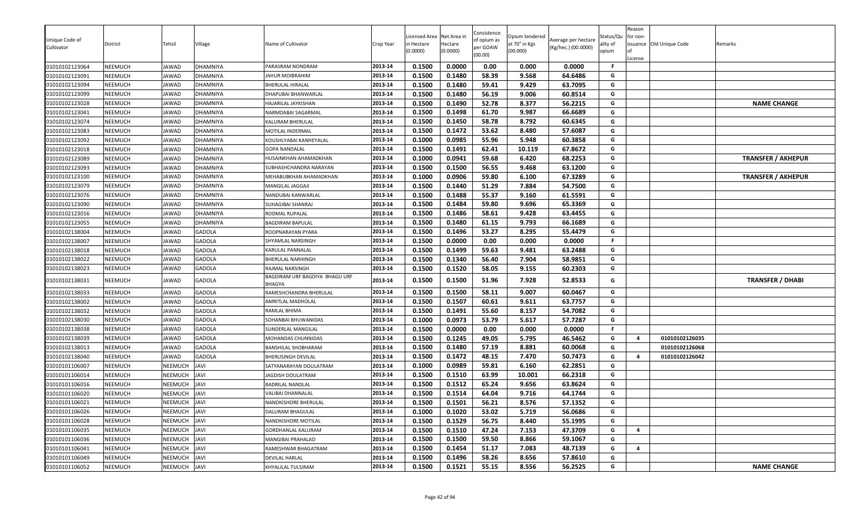| Unique Code of<br>Cultivator | District       | <b>Tehsil</b>  | Village       | Name of Cultivator                       | Crop Year | icensed Area<br>n Hectare<br>(0.0000) | Net Area in<br>Hectare<br>(0.0000) | Consistence<br>of opium as<br>per GOAW<br>(00.00) | Opium tendered<br>at 70° in Kgs<br>(00.000) | Average per hectare<br>(Kg/hec.) (00.0000) | Status/Qu<br>ality of<br>opium | Reason<br>for non-<br>License | issuance Old Unique Code | Remarks                   |
|------------------------------|----------------|----------------|---------------|------------------------------------------|-----------|---------------------------------------|------------------------------------|---------------------------------------------------|---------------------------------------------|--------------------------------------------|--------------------------------|-------------------------------|--------------------------|---------------------------|
| 01010102123064               | NEEMUCH        | <b>JAWAD</b>   | DHAMNIYA      | PARASRAM NONDRAM                         | 2013-14   | 0.1500                                | 0.0000                             | 0.00                                              | 0.000                                       | 0.0000                                     | F                              |                               |                          |                           |
| 01010102123091               | NEEMUCH        | JAWAD          | DHAMNIYA      | JAHUR MOIBRAHIM                          | 2013-14   | 0.1500                                | 0.1480                             | 58.39                                             | 9.568                                       | 64.6486                                    | G                              |                               |                          |                           |
| 01010102123094               | NEEMUCH        | JAWAD          | DHAMNIYA      | BHERULAL HIRALAL                         | 2013-14   | 0.1500                                | 0.1480                             | 59.41                                             | 9.429                                       | 63.7095                                    | G                              |                               |                          |                           |
| 01010102123099               | <b>NEEMUCH</b> | JAWAD          | DHAMNIYA      | DHAPUBAI BHANWARLAL                      | 2013-14   | 0.1500                                | 0.1480                             | 56.19                                             | 9.006                                       | 60.8514                                    | G                              |                               |                          |                           |
| 01010102123028               | NEEMUCH        | JAWAD          | DHAMNIYA      | HAJARILAL JAYKISHAN                      | 2013-14   | 0.1500                                | 0.1490                             | 52.78                                             | 8.377                                       | 56.2215                                    | G                              |                               |                          | <b>NAME CHANGE</b>        |
| 01010102123041               | NEEMUCH        | <b>AWAD</b>    | DHAMNIYA      | NARMDABAI SAGARMAL                       | 2013-14   | 0.1500                                | 0.1498                             | 61.70                                             | 9.987                                       | 66.6689                                    | G                              |                               |                          |                           |
| 01010102123074               | <b>NEEMUCH</b> | JAWAD          | DHAMNIYA      | KALURAM BHERULAL                         | 2013-14   | 0.1500                                | 0.1450                             | 58.78                                             | 8.792                                       | 60.6345                                    | G                              |                               |                          |                           |
| 01010102123083               | <b>NEEMUCH</b> | JAWAD          | DHAMNIYA      | MOTILAL INDERMAL                         | 2013-14   | 0.1500                                | 0.1472                             | 53.62                                             | 8.480                                       | 57.6087                                    | G                              |                               |                          |                           |
| 01010102123092               | <b>NEEMUCH</b> | <b>AWAD</b>    | DHAMNIYA      | KOUSHLYABAI KANHEYALAL                   | 2013-14   | 0.1000                                | 0.0985                             | 55.96                                             | 5.948                                       | 60.3858                                    | G                              |                               |                          |                           |
| 01010102123018               | <b>NEEMUCH</b> | <b>AWAD</b>    | DHAMNIYA      | <b>GOPA NANDALAL</b>                     | 2013-14   | 0.1500                                | 0.1491                             | 62.41                                             | 10.119                                      | 67.8672                                    | G                              |                               |                          |                           |
| 01010102123089               | <b>NEEMUCH</b> | JAWAD          | DHAMNIYA      | <b>IUSAINKHAN AHAMADKHAN</b>             | 2013-14   | 0.1000                                | 0.0941                             | 59.68                                             | 6.420                                       | 68.2253                                    | G                              |                               |                          | <b>TRANSFER / AKHEPUR</b> |
| 01010102123093               | NEEMUCH        | <b>AWAD</b>    | DHAMNIYA      | SUBHASHCHANDRA NARAYAN                   | 2013-14   | 0.1500                                | 0.1500                             | 56.55                                             | 9.468                                       | 63.1200                                    | G                              |                               |                          |                           |
| 01010102123100               | NEEMUCH        | JAWAD          | DHAMNIYA      | MEHABUBKHAN AHAMADKHAN                   | 2013-14   | 0.1000                                | 0.0906                             | 59.80                                             | 6.100                                       | 67.3289                                    | G                              |                               |                          | <b>TRANSFER / AKHEPUR</b> |
| 01010102123079               | <b>NEEMUCH</b> | <b>AWAD</b>    | DHAMNIYA      | <b>MANGILAL JAGGAJI</b>                  | 2013-14   | 0.1500                                | 0.1440                             | 51.29                                             | 7.884                                       | 54.7500                                    | G                              |                               |                          |                           |
| 01010102123076               | NEEMUCH        | JAWAD          | DHAMNIYA      | NANDUBAI KANWARLAL                       | 2013-14   | 0.1500                                | 0.1488                             | 55.37                                             | 9.160                                       | 61.5591                                    | G                              |                               |                          |                           |
| 01010102123090               | NEEMUCH        | JAWAD          | DHAMNIYA      | SUHAGIBAI SHANRAJ                        | 2013-14   | 0.1500                                | 0.1484                             | 59.80                                             | 9.696                                       | 65.3369                                    | G                              |                               |                          |                           |
| 01010102123016               | NEEMUCH        | JAWAD          | DHAMNIYA      | RODMAL RUPALAL                           | 2013-14   | 0.1500                                | 0.1486                             | 58.61                                             | 9.428                                       | 63.4455                                    | G                              |                               |                          |                           |
| 01010102123055               | NEEMUCH        | JAWAD          | DHAMNIYA      | BAGDIRAM BAPULAL                         | 2013-14   | 0.1500                                | 0.1480                             | 61.15                                             | 9.793                                       | 66.1689                                    | G                              |                               |                          |                           |
| 01010102138004               | NEEMUCH        | JAWAD          | <b>GADOLA</b> | ROOPNARAYAN PYARA                        | 2013-14   | 0.1500                                | 0.1496                             | 53.27                                             | 8.295                                       | 55.4479                                    | G                              |                               |                          |                           |
| 01010102138007               | NEEMUCH        | JAWAD          | <b>GADOLA</b> | SHYAMLAL NARSINGH                        | 2013-14   | 0.1500                                | 0.0000                             | 0.00                                              | 0.000                                       | 0.0000                                     | F.                             |                               |                          |                           |
| 01010102138018               | NEEMUCH        | JAWAD          | <b>GADOLA</b> | KARULAL PANNALAL                         | 2013-14   | 0.1500                                | 0.1499                             | 59.63                                             | 9.481                                       | 63.2488                                    | G                              |                               |                          |                           |
| 01010102138022               | NEEMUCH        | JAWAD          | <b>GADOLA</b> | BHERULAL NARHINGH                        | 2013-14   | 0.1500                                | 0.1340                             | 56.40                                             | 7.904                                       | 58.9851                                    | G                              |                               |                          |                           |
| 01010102138023               | NEEMUCH        | JAWAD          | <b>GADOLA</b> | RAJMAL NARSINGH                          | 2013-14   | 0.1500                                | 0.1520                             | 58.05                                             | 9.155                                       | 60.2303                                    | G                              |                               |                          |                           |
| 01010102138031               | NEEMUCH        | JAWAD          | <b>GADOLA</b> | BAGDIRAM URF BAGDIYA BHAGU URF<br>BHAGYA | 2013-14   | 0.1500                                | 0.1500                             | 51.96                                             | 7.928                                       | 52.8533                                    | G                              |                               |                          | <b>TRANSFER / DHABI</b>   |
| 01010102138033               | NEEMUCH        | JAWAD          | <b>GADOLA</b> | RAMESHCHANDRA BHERULAL                   | 2013-14   | 0.1500                                | 0.1500                             | 58.11                                             | 9.007                                       | 60.0467                                    | G                              |                               |                          |                           |
| 01010102138002               | <b>NEEMUCH</b> | <b>JAWAD</b>   | <b>GADOLA</b> | AMRITLAL MADHOLAL                        | 2013-14   | 0.1500                                | 0.1507                             | 60.61                                             | 9.611                                       | 63.7757                                    | G                              |                               |                          |                           |
| 01010102138032               | <b>NEEMUCH</b> | <b>AWAD</b>    | <b>GADOLA</b> | RAMLAL BHIMA                             | 2013-14   | 0.1500                                | 0.1491                             | 55.60                                             | 8.157                                       | 54.7082                                    | G                              |                               |                          |                           |
| 01010102138030               | <b>NEEMUCH</b> | JAWAD          | <b>GADOLA</b> | SOHANBAI BHUWANIDAS                      | 2013-14   | 0.1000                                | 0.0973                             | 53.79                                             | 5.617                                       | 57.7287                                    | G                              |                               |                          |                           |
| 01010102138038               | <b>NEEMUCH</b> | JAWAD          | <b>GADOLA</b> | <b>SUNDERLAL MANGILAL</b>                | 2013-14   | 0.1500                                | 0.0000                             | 0.00                                              | 0.000                                       | 0.0000                                     | F                              |                               |                          |                           |
| 01010102138039               | NEEMUCH        | JAWAD          | <b>GADOLA</b> | <b>MOHANDAS CHUNNIDAS</b>                | 2013-14   | 0.1500                                | 0.1245                             | 49.05                                             | 5.795                                       | 46.5462                                    | G                              | $\overline{a}$                | 01010102126035           |                           |
| 01010102138013               | NEEMUCH        | <b>AWAD</b>    | <b>GADOLA</b> | <b>BANSHILAL SHOBHARAM</b>               | 2013-14   | 0.1500                                | 0.1480                             | 57.19                                             | 8.881                                       | 60.0068                                    | G                              |                               | 01010102126068           |                           |
| 01010102138040               | NEEMUCH        | <b>AWAD</b>    | <b>GADOLA</b> | BHERUSINGH DEVILAL                       | 2013-14   | 0.1500                                | 0.1472                             | 48.15                                             | 7.470                                       | 50.7473                                    | G                              | $\overline{a}$                | 01010102126042           |                           |
| 01010101106007               | NEEMUCH        | <b>NEEMUCH</b> | JAVI          | SATYANARAYAN DOULATRAM                   | 2013-14   | 0.1000                                | 0.0989                             | 59.81                                             | 6.160                                       | 62.2851                                    | G                              |                               |                          |                           |
| 01010101106014               | NEEMUCH        | NEEMUCH        | <b>JAVI</b>   | <b>JAGDISH DOULATRAM</b>                 | 2013-14   | 0.1500                                | 0.1510                             | 63.99                                             | 10.001                                      | 66.2318                                    | G                              |                               |                          |                           |
| 01010101106016               | NEEMUCH        | NEEMUCH        | <b>JAVI</b>   | BADRILAL NANDLAL                         | 2013-14   | 0.1500                                | 0.1512                             | 65.24                                             | 9.656                                       | 63.8624                                    | G                              |                               |                          |                           |
| 01010101106020               | NEEMUCH        | NEEMUCH        | <b>JAVI</b>   | VALIBAI DHANNALAL                        | 2013-14   | 0.1500                                | 0.1514                             | 64.04                                             | 9.716                                       | 64.1744                                    | G                              |                               |                          |                           |
| 01010101106021               | NEEMUCH        | NEEMUCH        | <b>JAVI</b>   | NANDKISHORE BHERULAL                     | 2013-14   | 0.1500                                | 0.1501                             | 56.21                                             | 8.576                                       | 57.1352                                    | G                              |                               |                          |                           |
| 01010101106026               | <b>NEEMUCH</b> | NEEMUCH        | <b>JAVI</b>   | DALURAM BHAGULAL                         | 2013-14   | 0.1000                                | 0.1020                             | 53.02                                             | 5.719                                       | 56.0686                                    | G                              |                               |                          |                           |
| 01010101106028               | NEEMUCH        | NEEMUCH        | <b>JAVI</b>   | NANDKISHORE MOTILAL                      | 2013-14   | 0.1500                                | 0.1529                             | 56.75                                             | 8.440                                       | 55.1995                                    | G                              |                               |                          |                           |
| 01010101106035               | NEEMUCH        | NEEMUCH        | <b>JAVI</b>   | GORDHANLAL KALURAM                       | 2013-14   | 0.1500                                | 0.1510                             | 47.24                                             | 7.153                                       | 47.3709                                    | G                              | $\overline{a}$                |                          |                           |
| 01010101106036               | <b>NEEMUCH</b> | NEEMUCH        | JAVI          | MANGIBAI PRAHALAD                        | 2013-14   | 0.1500                                | 0.1500                             | 59.50                                             | 8.866                                       | 59.1067                                    | G                              |                               |                          |                           |
| 01010101106041               | <b>NEEMUCH</b> | NEEMUCH        | <b>JAVI</b>   | RAMESHWAR BHAGATRAM                      | 2013-14   | 0.1500                                | 0.1454                             | 51.17                                             | 7.083                                       | 48.7139                                    | G                              | 4                             |                          |                           |
| 01010101106049               | NEEMUCH        | NEEMUCH        | <b>JAVI</b>   | DEVILAL HARLAL                           | 2013-14   | 0.1500                                | 0.1496                             | 58.26                                             | 8.656                                       | 57.8610                                    | G                              |                               |                          |                           |
| 01010101106052               | <b>NEEMUCH</b> | NEEMUCH        | <b>JAVI</b>   | KHYALILAL TULSIRAM                       | 2013-14   | 0.1500                                | 0.1521                             | 55.15                                             | 8.556                                       | 56.2525                                    | G                              |                               |                          | <b>NAME CHANGE</b>        |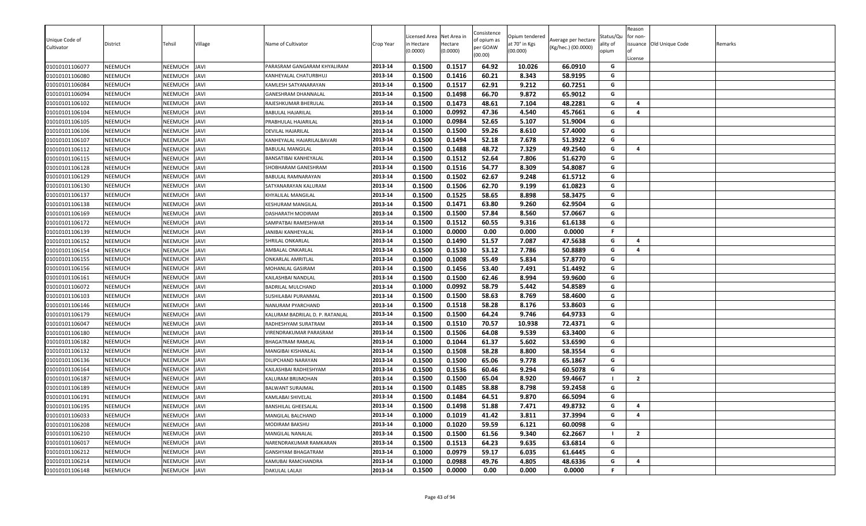| Unique Code of |                |              |             |                                 |           | icensed Area | Net Area in | Consistence<br>of opium as | Opium tendered | Average per hectare | Status/Qu      | Reason<br>for non-  |                          |         |
|----------------|----------------|--------------|-------------|---------------------------------|-----------|--------------|-------------|----------------------------|----------------|---------------------|----------------|---------------------|--------------------------|---------|
| Cultivator     | District       | Tehsil       | ∕illage     | Name of Cultivator              | Crop Year | n Hectare    | Hectare     | per GOAW                   | at 70° in Kgs  | (Kg/hec.) (00.0000) | ality of       |                     | issuance Old Unique Code | Remarks |
|                |                |              |             |                                 |           | (0.0000)     | (0.0000)    | (00.00)                    | (00.000)       |                     | opium          | License             |                          |         |
| 01010101106077 | <b>NEEMUCH</b> | NEEMUCH      | <b>JAVI</b> | PARASRAM GANGARAM KHYALIRAM     | 2013-14   | 0.1500       | 0.1517      | 64.92                      | 10.026         | 66.0910             | G              |                     |                          |         |
| 01010101106080 | <b>NEEMUCH</b> | NEEMUCH      | <b>JAVI</b> | KANHEYALAL CHATURBHUJ           | 2013-14   | 0.1500       | 0.1416      | 60.21                      | 8.343          | 58.9195             | G              |                     |                          |         |
| 01010101106084 | <b>NEEMUCH</b> | NEEMUCH      | <b>JAVI</b> | KAMLESH SATYANARAYAN            | 2013-14   | 0.1500       | 0.1517      | 62.91                      | 9.212          | 60.7251             | G              |                     |                          |         |
| 01010101106094 | <b>NEEMUCH</b> | NEEMUCH      | <b>JAVI</b> | GANESHRAM DHANNALAL             | 2013-14   | 0.1500       | 0.1498      | 66.70                      | 9.872          | 65.9012             | G              |                     |                          |         |
| 01010101106102 | <b>NEEMUCH</b> | NEEMUCH      | <b>JAVI</b> | RAJESHKUMAR BHERULAL            | 2013-14   | 0.1500       | 0.1473      | 48.61                      | 7.104          | 48.2281             | G              | $\overline{a}$      |                          |         |
| 01010101106104 | <b>NEEMUCH</b> | NEEMUCH      | <b>JAVI</b> | BABULAL HAJARILAL               | 2013-14   | 0.1000       | 0.0992      | 47.36                      | 4.540          | 45.7661             | G              | 4                   |                          |         |
| 01010101106105 | <b>NEEMUCH</b> | NEEMUCH      | <b>JAVI</b> | PRABHULAL HAJARILAL             | 2013-14   | 0.1000       | 0.0984      | 52.65                      | 5.107          | 51.9004             | G              |                     |                          |         |
| 01010101106106 | <b>NEEMUCH</b> | NEEMUCH      | <b>JAVI</b> | DEVILAL HAJARILAL               | 2013-14   | 0.1500       | 0.1500      | 59.26                      | 8.610          | 57.4000             | G              |                     |                          |         |
| 01010101106107 | <b>NEEMUCH</b> | NEEMUCH      | <b>JAVI</b> | KANHEYALAL HAJARILALBAVARI      | 2013-14   | 0.1500       | 0.1494      | 52.18                      | 7.678          | 51.3922             | G              |                     |                          |         |
| 01010101106112 | <b>NEEMUCH</b> | NEEMUCH      | <b>JAVI</b> | BABULAL MANGILAL                | 2013-14   | 0.1500       | 0.1488      | 48.72                      | 7.329          | 49.2540             | G              | $\overline{a}$      |                          |         |
| 01010101106115 | <b>NEEMUCH</b> | NEEMUCH      | <b>JAVI</b> | BANSATIBAI KANHEYALAL           | 2013-14   | 0.1500       | 0.1512      | 52.64                      | 7.806          | 51.6270             | G              |                     |                          |         |
| 01010101106128 | <b>NEEMUCH</b> | NEEMUCH      | <b>JAVI</b> | SHOBHARAM GANESHRAM             | 2013-14   | 0.1500       | 0.1516      | 54.77                      | 8.309          | 54.8087             | G              |                     |                          |         |
| 01010101106129 | <b>NEEMUCH</b> | NEEMUCH      | <b>JAVI</b> | BABULAL RAMNARAYAN              | 2013-14   | 0.1500       | 0.1502      | 62.67                      | 9.248          | 61.5712             | G              |                     |                          |         |
| 01010101106130 | <b>NEEMUCH</b> | NEEMUCH      | <b>JAVI</b> | SATYANARAYAN KALURAM            | 2013-14   | 0.1500       | 0.1506      | 62.70                      | 9.199          | 61.0823             | G              |                     |                          |         |
| 01010101106137 | <b>NEEMUCH</b> | NEEMUCH      | <b>JAVI</b> | KHYALILAL MANGILAL              | 2013-14   | 0.1500       | 0.1525      | 58.65                      | 8.898          | 58.3475             | G              |                     |                          |         |
| 01010101106138 | NEEMUCH        | NEEMUCH      | <b>JAVI</b> | KESHURAM MANGILAL               | 2013-14   | 0.1500       | 0.1471      | 63.80                      | 9.260          | 62.9504             | G              |                     |                          |         |
| 01010101106169 | <b>NEEMUCH</b> | NEEMUCH      | <b>JAVI</b> | DASHARATH MODIRAM               | 2013-14   | 0.1500       | 0.1500      | 57.84                      | 8.560          | 57.0667             | G              |                     |                          |         |
| 01010101106172 | <b>NEEMUCH</b> | NEEMUCH      | <b>JAVI</b> | SAMPATBAI RAMESHWAR             | 2013-14   | 0.1500       | 0.1512      | 60.55                      | 9.316          | 61.6138             | G              |                     |                          |         |
| 01010101106139 | <b>NEEMUCH</b> | NEEMUCH      | <b>JAVI</b> | JANIBAI KANHEYALAL              | 2013-14   | 0.1000       | 0.0000      | 0.00                       | 0.000          | 0.0000              | .F             |                     |                          |         |
| 01010101106152 | <b>NEEMUCH</b> | NEEMUCH      | <b>JAVI</b> | SHRILAL ONKARLAL                | 2013-14   | 0.1500       | 0.1490      | 51.57                      | 7.087          | 47.5638             | G              | 4                   |                          |         |
| 01010101106154 | <b>NEEMUCH</b> | NEEMUCH      | <b>JAVI</b> | AMBALAL ONKARLAL                | 2013-14   | 0.1500       | 0.1530      | 53.12                      | 7.786          | 50.8889             | G              | $\overline{a}$      |                          |         |
| 01010101106155 | <b>NEEMUCH</b> | NEEMUCH      | <b>JAVI</b> | ONKARLAL AMRITLAL               | 2013-14   | 0.1000       | 0.1008      | 55.49                      | 5.834          | 57.8770             | G              |                     |                          |         |
| 01010101106156 | <b>NEEMUCH</b> | NEEMUCH      | <b>JAVI</b> | MOHANLAL GASIRAM                | 2013-14   | 0.1500       | 0.1456      | 53.40                      | 7.491          | 51.4492             | G              |                     |                          |         |
| 01010101106161 | <b>NEEMUCH</b> | NEEMUCH      | <b>JAVI</b> | KAILASHBAI NANDLAL              | 2013-14   | 0.1500       | 0.1500      | 62.46                      | 8.994          | 59.9600             | G              |                     |                          |         |
| 01010101106072 | <b>NEEMUCH</b> | NEEMUCH      | <b>JAVI</b> | BADRILAL MULCHAND               | 2013-14   | 0.1000       | 0.0992      | 58.79                      | 5.442          | 54.8589             | G              |                     |                          |         |
| 01010101106103 | <b>NEEMUCH</b> | NEEMUCH      | <b>JAVI</b> | SUSHILABAI PURANMAL             | 2013-14   | 0.1500       | 0.1500      | 58.63                      | 8.769          | 58.4600             | G              |                     |                          |         |
| 01010101106146 | <b>NEEMUCH</b> | NEEMUCH      | <b>JAVI</b> | NANURAM PYARCHAND               | 2013-14   | 0.1500       | 0.1518      | 58.28                      | 8.176          | 53.8603             | G              |                     |                          |         |
| 01010101106179 | <b>NEEMUCH</b> | NEEMUCH      | <b>JAVI</b> | KALURAM BADRILAL D. P. RATANLAL | 2013-14   | 0.1500       | 0.1500      | 64.24                      | 9.746          | 64.9733             | G              |                     |                          |         |
| 01010101106047 | <b>NEEMUCH</b> | NEEMUCH      | <b>JAVI</b> | RADHESHYAM SURATRAM             | 2013-14   | 0.1500       | 0.1510      | 70.57                      | 10.938         | 72.4371             | G              |                     |                          |         |
| 01010101106180 | <b>NEEMUCH</b> | NEEMUCH      | <b>JAVI</b> | VIRENDRAKUMAR PARASRAM          | 2013-14   | 0.1500       | 0.1506      | 64.08                      | 9.539          | 63.3400             | G              |                     |                          |         |
| 01010101106182 | <b>NEEMUCH</b> | NEEMUCH      | <b>JAVI</b> | <b>BHAGATRAM RAMLAL</b>         | 2013-14   | 0.1000       | 0.1044      | 61.37                      | 5.602          | 53.6590             | G              |                     |                          |         |
| 01010101106132 | NEEMUCH        | NEEMUCH      | <b>JAVI</b> | MANGIBAI KISHANLAL              | 2013-14   | 0.1500       | 0.1508      | 58.28                      | 8.800          | 58.3554             | G              |                     |                          |         |
| 01010101106136 | <b>NEEMUCH</b> | NEEMUCH      | <b>JAVI</b> | DILIPCHAND NARAYAN              | 2013-14   | 0.1500       | 0.1500      | 65.06                      | 9.778          | 65.1867             | G              |                     |                          |         |
| 01010101106164 | <b>NEEMUCH</b> | NEEMUCH      | <b>JAVI</b> | KAILASHBAI RADHESHYAM           | 2013-14   | 0.1500       | 0.1536      | 60.46                      | 9.294          | 60.5078             | G              |                     |                          |         |
| 01010101106187 | <b>NEEMUCH</b> | NEEMUCH      | <b>JAVI</b> | KALURAM BRIJMOHAN               | 2013-14   | 0.1500       | 0.1500      | 65.04                      | 8.920          | 59.4667             | $\blacksquare$ | $\overline{2}$      |                          |         |
| 01010101106189 | <b>NEEMUCH</b> | NEEMUCH      | <b>JAVI</b> | BALWANT SURAJMAL                | 2013-14   | 0.1500       | 0.1485      | 58.88                      | 8.798          | 59.2458             | G              |                     |                          |         |
| 01010101106191 | <b>NEEMUCH</b> | NEEMUCH      | <b>JAVI</b> | KAMLABAI SHIVELAL               | 2013-14   | 0.1500       | 0.1484      | 64.51                      | 9.870          | 66.5094             | G              |                     |                          |         |
| 01010101106195 | <b>NEEMUCH</b> | NEEMUCH      | <b>JAVI</b> | <b>BANSHILAL GHEESALAL</b>      | 2013-14   | 0.1500       | 0.1498      | 51.88                      | 7.471          | 49.8732             | G              | $\overline{\bf{a}}$ |                          |         |
| 01010101106033 | <b>NEEMUCH</b> | NEEMUCH JAVI |             | MANGILAL BALCHAND               | 2013-14   | 0.1000       | 0.1019      | 41.42                      | 3.811          | 37.3994             | G              | 4                   |                          |         |
| 01010101106208 | <b>NEEMUCH</b> | NEEMUCH JAVI |             | MODIRAM BAKSHU                  | 2013-14   | 0.1000       | 0.1020      | 59.59                      | 6.121          | 60.0098             | G              |                     |                          |         |
| 01010101106210 | NEEMUCH        | NEEMUCH      | <b>JAVI</b> | MANGILAL NANALAL                | 2013-14   | 0.1500       | 0.1500      | 61.56                      | 9.340          | 62.2667             |                | $\overline{2}$      |                          |         |
| 01010101106017 | <b>NEEMUCH</b> | NEEMUCH      | <b>JAVI</b> | NARENDRAKUMAR RAMKARAN          | 2013-14   | 0.1500       | 0.1513      | 64.23                      | 9.635          | 63.6814             | G              |                     |                          |         |
| 01010101106212 | NEEMUCH        | NEEMUCH      | <b>JAVI</b> | GANSHYAM BHAGATRAM              | 2013-14   | 0.1000       | 0.0979      | 59.17                      | 6.035          | 61.6445             | G              |                     |                          |         |
| 01010101106214 | NEEMUCH        | NEEMUCH      | <b>JAVI</b> | KAMUBAI RAMCHANDRA              | 2013-14   | 0.1000       | 0.0988      | 49.76                      | 4.805          | 48.6336             | G              | $\overline{a}$      |                          |         |
| 01010101106148 | NEEMUCH        | NEEMUCH JAVI |             | DAKULAL LALAJI                  | 2013-14   | 0.1500       | 0.0000      | 0.00                       | 0.000          | 0.0000              | F.             |                     |                          |         |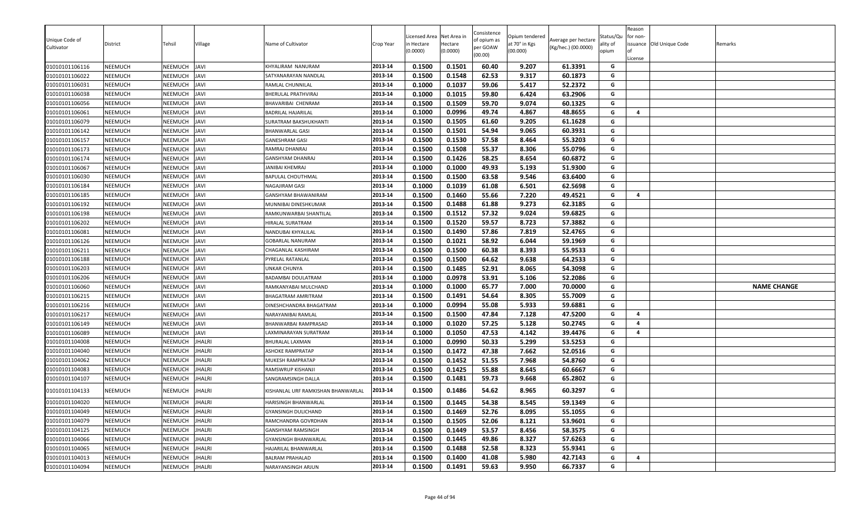|                                  |                                  |                    |                            |                                             |                    | icensed Area     | Net Area in      | Consistence         | Opium tendered |                     | Status/Qu | eason<br>for non- |                 |                    |
|----------------------------------|----------------------------------|--------------------|----------------------------|---------------------------------------------|--------------------|------------------|------------------|---------------------|----------------|---------------------|-----------|-------------------|-----------------|--------------------|
| Unique Code of                   | District                         | Tehsil             | √illage                    | Name of Cultivator                          | Crop Year          | n Hectare        | Hectare          | of opium as         | at 70° in Kgs  | Average per hectare | ality of  | issuance          | Old Unique Code | Remarks            |
| Cultivator                       |                                  |                    |                            |                                             |                    | (0.0000)         | (0.0000)         | per GOAW<br>(00.00) | (00.000)       | (Kg/hec.) (00.0000) | opium     |                   |                 |                    |
|                                  |                                  |                    |                            |                                             |                    |                  |                  |                     |                |                     |           | License           |                 |                    |
| 01010101106116                   | <b>NEEMUCH</b>                   | NEEMUCH            | <b>JAVI</b>                | KHYALIRAM NANURAM                           | 2013-14<br>2013-14 | 0.1500           | 0.1501           | 60.40               | 9.207          | 61.3391             | G<br>G    |                   |                 |                    |
| 01010101106022<br>01010101106031 | NEEMUCH<br><b>NEEMUCH</b>        | NEEMUCH            | JAVI<br><b>JAVI</b>        | SATYANARAYAN NANDLAL                        | 2013-14            | 0.1500           | 0.1548<br>0.1037 | 62.53               | 9.317<br>5.417 | 60.1873<br>52.2372  | G         |                   |                 |                    |
|                                  |                                  | NEEMUCH            |                            | RAMLAL CHUNNILAL                            | 2013-14            | 0.1000           |                  | 59.06               |                |                     | G         |                   |                 |                    |
| 01010101106038                   | NEEMUCH                          | NEEMUCH            | <b>JAVI</b><br><b>JAVI</b> | BHERULAL PRATHVIRAJ                         | 2013-14            | 0.1000           | 0.1015           | 59.80               | 6.424          | 63.2906             | G         |                   |                 |                    |
| 01010101106056                   | <b>NEEMUCH</b>                   | NEEMUCH            |                            | BHAVARIBAI CHENRAM                          | 2013-14            | 0.1500           | 0.1509<br>0.0996 | 59.70               | 9.074<br>4.867 | 60.1325             | G         | $\overline{a}$    |                 |                    |
| 01010101106061                   | <b>NEEMUCH</b><br><b>NEEMUCH</b> | NEEMUCH<br>NEEMUCH | <b>JAVI</b><br><b>JAVI</b> | BADRILAL HAJARILAL<br>SURATRAM BAKSHUKHANTI | 2013-14            | 0.1000<br>0.1500 | 0.1505           | 49.74<br>61.60      | 9.205          | 48.8655             | G         |                   |                 |                    |
| 01010101106079                   |                                  |                    |                            |                                             | 2013-14            | 0.1500           | 0.1501           | 54.94               | 9.065          | 61.1628<br>60.3931  | G         |                   |                 |                    |
| 01010101106142<br>01010101106157 | <b>NEEMUCH</b><br><b>NEEMUCH</b> | NEEMUCH<br>NEEMUCH | <b>JAVI</b><br><b>JAVI</b> | BHANWARLAL GASI                             | 2013-14            | 0.1500           | 0.1530           | 57.58               | 8.464          | 55.3203             | G         |                   |                 |                    |
|                                  |                                  |                    |                            | <b>GANESHRAM GASI</b>                       | 2013-14            | 0.1500           |                  |                     | 8.306          | 55.0796             | G         |                   |                 |                    |
| 01010101106173                   | <b>NEEMUCH</b>                   | NEEMUCH            | <b>JAVI</b>                | RAMRAJ DHANRAJ                              |                    |                  | 0.1508           | 55.37               |                |                     |           |                   |                 |                    |
| 01010101106174                   | <b>NEEMUCH</b>                   | <b>NEEMUCH</b>     | <b>IVAL</b>                | GANSHYAM DHANRAJ                            | 2013-14            | 0.1500           | 0.1426           | 58.25               | 8.654          | 60.6872             | G         |                   |                 |                    |
| 01010101106067                   | NEEMUCH                          | NEEMUCH            | <b>IVAL</b>                | <b>JANIBAI KHEMRAJ</b>                      | 2013-14            | 0.1000           | 0.1000           | 49.93               | 5.193          | 51.9300             | G         |                   |                 |                    |
| 01010101106030                   | <b>NEEMUCH</b>                   | NEEMUCH            | JAVI                       | <b>BAPULAL CHOUTHMAL</b>                    | 2013-14            | 0.1500           | 0.1500           | 63.58               | 9.546          | 63.6400             | G         |                   |                 |                    |
| 01010101106184                   | <b>NEEMUCH</b>                   | NEEMUCH            | JAVI                       | NAGAJIRAM GASI                              | 2013-14            | 0.1000           | 0.1039           | 61.08               | 6.501          | 62.5698             | G         |                   |                 |                    |
| 01010101106185                   | <b>NEEMUCH</b>                   | NEEMUCH            | <b>JAVI</b>                | GANSHYAM BHAWANIRAM                         | 2013-14            | 0.1500           | 0.1460           | 55.66               | 7.220          | 49.4521             | G         | $\overline{a}$    |                 |                    |
| 01010101106192                   | NEEMUCH                          | NEEMUCH            | <b>JAVI</b>                | MUNNIBAI DINESHKUMAR                        | 2013-14            | 0.1500           | 0.1488           | 61.88               | 9.273          | 62.3185             | G         |                   |                 |                    |
| 01010101106198                   | <b>NEEMUCH</b>                   | NEEMUCH            | <b>JAVI</b>                | RAMKUNWARBAI SHANTILAL                      | 2013-14            | 0.1500           | 0.1512           | 57.32               | 9.024          | 59.6825             | G         |                   |                 |                    |
| 01010101106202                   | NEEMUCH                          | NEEMUCH            | <b>JAVI</b>                | HIRALAL SURATRAM                            | 2013-14            | 0.1500           | 0.1520           | 59.57               | 8.723          | 57.3882             | G         |                   |                 |                    |
| 01010101106081                   | <b>NEEMUCH</b>                   | NEEMUCH            | <b>JAVI</b>                | NANDUBAI KHYALILAL                          | 2013-14            | 0.1500           | 0.1490           | 57.86               | 7.819          | 52.4765             | G         |                   |                 |                    |
| 01010101106126                   | NEEMUCH                          | NEEMUCH            | JAVI                       | <b>GOBARLAL NANURAM</b>                     | 2013-14            | 0.1500           | 0.1021           | 58.92               | 6.044          | 59.1969             | G         |                   |                 |                    |
| 01010101106211                   | <b>NEEMUCH</b>                   | NEEMUCH            | JAVI                       | CHAGANLAL KASHIRAM                          | 2013-14            | 0.1500           | 0.1500           | 60.38               | 8.393          | 55.9533             | G         |                   |                 |                    |
| 01010101106188                   | <b>NEEMUCH</b>                   | NEEMUCH            | JAVI                       | PYRELAL RATANLAL                            | 2013-14            | 0.1500           | 0.1500           | 64.62               | 9.638          | 64.2533             | G         |                   |                 |                    |
| 01010101106203                   | <b>NEEMUCH</b>                   | NEEMUCH            | <b>JAVI</b>                | UNKAR CHUNYA                                | 2013-14            | 0.1500           | 0.1485           | 52.91               | 8.065          | 54.3098             | G         |                   |                 |                    |
| 01010101106206                   | <b>NEEMUCH</b>                   | NEEMUCH            | <b>JAVI</b>                | <b>BADAMBAI DOULATRAM</b>                   | 2013-14            | 0.1000           | 0.0978           | 53.91               | 5.106          | 52.2086             | G         |                   |                 |                    |
| 01010101106060                   | <b>NEEMUCH</b>                   | NEEMUCH            | <b>JAVI</b>                | RAMKANYABAI MULCHAND                        | 2013-14            | 0.1000           | 0.1000           | 65.77               | 7.000          | 70.0000             | G         |                   |                 | <b>NAME CHANGE</b> |
| 01010101106215                   | <b>NEEMUCH</b>                   | NEEMUCH            | <b>JAVI</b>                | <b>BHAGATRAM AMRITRAM</b>                   | 2013-14            | 0.1500           | 0.1491           | 54.64               | 8.305          | 55.7009             | G         |                   |                 |                    |
| 01010101106216                   | <b>NEEMUCH</b>                   | NEEMUCH            | <b>IVAL</b>                | DINESHCHANDRA BHAGATRAM                     | 2013-14            | 0.1000           | 0.0994           | 55.08               | 5.933          | 59.6881             | G         |                   |                 |                    |
| 01010101106217                   | NEEMUCH                          | NEEMUCH            | <b>IVAL</b>                | NARAYANIBAI RAMLAL                          | 2013-14            | 0.1500           | 0.1500           | 47.84               | 7.128          | 47.5200             | G         | $\overline{a}$    |                 |                    |
| 01010101106149                   | NEEMUCH                          | NEEMUCH            | JAVI                       | BHANWARBAI RAMPRASAD                        | 2013-14            | 0.1000           | 0.1020           | 57.25               | 5.128          | 50.2745             | G         | $\overline{a}$    |                 |                    |
| 01010101106089                   | NEEMUCH                          | NEEMUCH            | <b>JAVI</b>                | LAXMINARAYAN SURATRAM                       | 2013-14            | 0.1000           | 0.1050           | 47.53               | 4.142          | 39.4476             | G         | $\overline{a}$    |                 |                    |
| 01010101104008                   | <b>NEEMUCH</b>                   | NEEMUCH            | <b>JHALRI</b>              | BHURALAL LAXMAN                             | 2013-14            | 0.1000           | 0.0990           | 50.33               | 5.299          | 53.5253             | G         |                   |                 |                    |
| 01010101104040                   | NEEMUCH                          | NEEMUCH            | <b>HALRI</b>               | ASHOKE RAMPRATAP                            | 2013-14            | 0.1500           | 0.1472           | 47.38               | 7.662          | 52.0516             | G         |                   |                 |                    |
| 01010101104062                   | <b>NEEMUCH</b>                   | NEEMUCH            | <b>JHALRI</b>              | MUKESH RAMPRATAP                            | 2013-14            | 0.1500           | 0.1452           | 51.55               | 7.968          | 54.8760             | G         |                   |                 |                    |
| 01010101104083                   | <b>NEEMUCH</b>                   | NEEMUCH            | <b>HALRI</b>               | RAMSWRUP KISHANJI                           | 2013-14            | 0.1500           | 0.1425           | 55.88               | 8.645          | 60.6667             | G         |                   |                 |                    |
| 01010101104107                   | <b>NEEMUCH</b>                   | NEEMUCH            | <b>JHALRI</b>              | SANGRAMSINGH DALLA                          | 2013-14            | 0.1500           | 0.1481           | 59.73               | 9.668          | 65.2802             | G         |                   |                 |                    |
| 01010101104133                   | NEEMUCH                          | NEEMUCH            | <b>HALRI</b>               | KISHANLAL URF RAMKISHAN BHANWARLAL          | 2013-14            | 0.1500           | 0.1486           | 54.62               | 8.965          | 60.3297             | G         |                   |                 |                    |
| 01010101104020                   | <b>NEEMUCH</b>                   | NEEMUCH            | <b>JHALRI</b>              | HARISINGH BHANWARLAL                        | 2013-14            | 0.1500           | 0.1445           | 54.38               | 8.545          | 59.1349             | G         |                   |                 |                    |
| 01010101104049                   | <b>NEEMUCH</b>                   | NEEMUCH            | <b>JHALRI</b>              | GYANSINGH DULICHAND                         | 2013-14            | 0.1500           | 0.1469           | 52.76               | 8.095          | 55.1055             | G         |                   |                 |                    |
| 01010101104079                   | <b>NEEMUCH</b>                   | NEEMUCH            | <b>JHALRI</b>              | RAMCHANDRA GOVRDHAN                         | 2013-14            | 0.1500           | 0.1505           | 52.06               | 8.121          | 53.9601             | G         |                   |                 |                    |
| 01010101104125                   | <b>NEEMUCH</b>                   | NEEMUCH            | <b>HALRI</b>               | GANSHYAM RAMSINGH                           | 2013-14            | 0.1500           | 0.1449           | 53.57               | 8.456          | 58.3575             | G         |                   |                 |                    |
| 01010101104066                   | <b>NEEMUCH</b>                   | <b>NEEMUCH</b>     | <b>IHALRI</b>              | GYANSINGH BHANWARLAL                        | 2013-14            | 0.1500           | 0.1445           | 49.86               | 8.327          | 57.6263             | G         |                   |                 |                    |
| 01010101104065                   | <b>NEEMUCH</b>                   | NEEMUCH            | <b>HALRI</b>               | HAJARILAL BHANWARLAL                        | 2013-14            | 0.1500           | 0.1488           | 52.58               | 8.323          | 55.9341             | G         |                   |                 |                    |
| 01010101104013                   | <b>NEEMUCH</b>                   | NEEMUCH            | <b>HALRI</b>               | BALRAM PRAHALAD                             | 2013-14            | 0.1500           | 0.1400           | 41.08               | 5.980          | 42.7143             | G         | 4                 |                 |                    |
| 01010101104094                   | <b>NEEMUCH</b>                   | NEEMUCH            | <b>JHALRI</b>              | NARAYANSINGH ARJUN                          | 2013-14            | 0.1500           | 0.1491           | 59.63               | 9.950          | 66.7337             | G         |                   |                 |                    |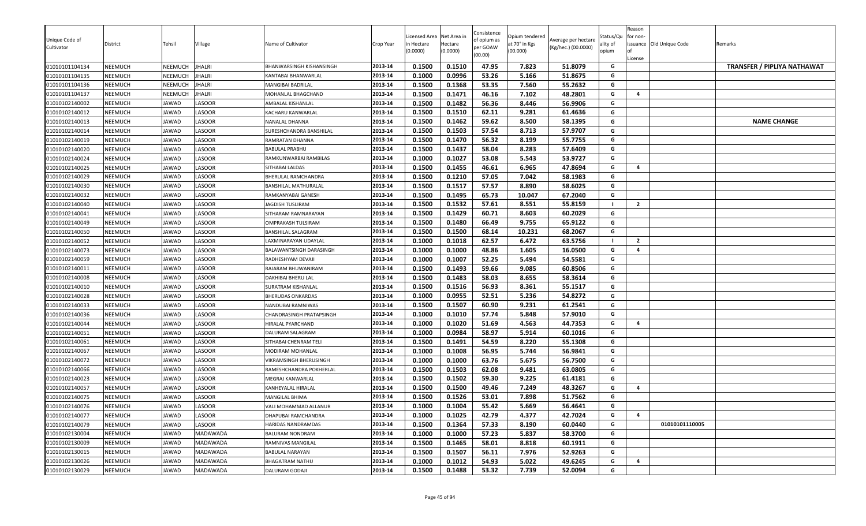| Unique Code of<br>Cultivator     | District           | Tehsil         | Village          | Name of Cultivator                        | Crop Year          | Licensed Area<br>า Hectare<br>(0.0000) | Net Area in<br>Hectare<br>(0.0000) | Consistence<br>of opium as<br>per GOAW<br>(00.00) | Opium tendered<br>at 70° in Kgs<br>(00.000) | Average per hectare<br>(Kg/hec.) (00.0000) | Status/Qu<br>ality of<br>opium | Reason<br>for non-<br>License | issuance Old Unique Code | Remarks                            |
|----------------------------------|--------------------|----------------|------------------|-------------------------------------------|--------------------|----------------------------------------|------------------------------------|---------------------------------------------------|---------------------------------------------|--------------------------------------------|--------------------------------|-------------------------------|--------------------------|------------------------------------|
| 01010101104134                   | NEEMUCH            | <b>NEEMUCH</b> | <b>JHALRI</b>    | BHANWARSINGH KISHANSINGH                  | 2013-14            | 0.1500                                 | 0.1510                             | 47.95                                             | 7.823                                       | 51.8079                                    | G                              |                               |                          | <b>TRANSFER / PIPLIYA NATHAWAT</b> |
| 01010101104135                   | NEEMUCH            | NEEMUCH        | <b>JHALRI</b>    | KANTABAI BHANWARLAL                       | 2013-14            | 0.1000                                 | 0.0996                             | 53.26                                             | 5.166                                       | 51.8675                                    | G                              |                               |                          |                                    |
| 01010101104136                   | NEEMUCH            | NEEMUCH        | <b>JHALRI</b>    | MANGIBAI BADRILAL                         | 2013-14            | 0.1500                                 | 0.1368                             | 53.35                                             | 7.560                                       | 55.2632                                    | G                              |                               |                          |                                    |
| 01010101104137                   | NEEMUCH            | <b>NEEMUCH</b> | <b>JHALRI</b>    | MOHANLAL BHAGCHAND                        | 2013-14            | 0.1500                                 | 0.1471                             | 46.16                                             | 7.102                                       | 48.2801                                    | G                              | $\overline{4}$                |                          |                                    |
| 01010102140002                   | NEEMUCH            | JAWAD          | LASOOR           | AMBALAL KISHANLAL                         | 2013-14            | 0.1500                                 | 0.1482                             | 56.36                                             | 8.446                                       | 56.9906                                    | G<br>G                         |                               |                          |                                    |
| 01010102140012                   | NEEMUCH<br>NEEMUCH | JAWAD          | LASOOR<br>LASOOR | KACHARU KANWARLAL                         | 2013-14            | 0.1500<br>0.1500                       | 0.1510<br>0.1462                   | 62.11<br>59.62                                    | 9.281<br>8.500                              | 61.4636<br>58.1395                         | G                              |                               |                          | <b>NAME CHANGE</b>                 |
| 01010102140013<br>01010102140014 | NEEMUCH            | JAWAD<br>JAWAD | LASOOR           | NANALAL DHANNA<br>SURESHCHANDRA BANSHILAL | 2013-14<br>2013-14 | 0.1500                                 | 0.1503                             | 57.54                                             | 8.713                                       | 57.9707                                    | G                              |                               |                          |                                    |
| 01010102140019                   | NEEMUCH            | JAWAD          | LASOOR           | RAMRATAN DHANNA                           | 2013-14            | 0.1500                                 | 0.1470                             | 56.32                                             | 8.199                                       | 55.7755                                    | G                              |                               |                          |                                    |
| 01010102140020                   | NEEMUCH            | JAWAD          | LASOOR           | BABULAL PRABHU                            | 2013-14            | 0.1500                                 | 0.1437                             | 58.04                                             | 8.283                                       | 57.6409                                    | G                              |                               |                          |                                    |
| 01010102140024                   | NEEMUCH            | JAWAD          | LASOOR           | RAMKUNWARBAI RAMBILAS                     | 2013-14            | 0.1000                                 | 0.1027                             | 53.08                                             | 5.543                                       | 53.9727                                    | G                              |                               |                          |                                    |
| 01010102140025                   | <b>NEEMUCH</b>     | JAWAD          | LASOOR           | SITHABAI LALDAS                           | 2013-14            | 0.1500                                 | 0.1455                             | 46.61                                             | 6.965                                       | 47.8694                                    | G                              | $\overline{4}$                |                          |                                    |
| 01010102140029                   | NEEMUCH            | JAWAD          | LASOOR           | BHERULAL RAMCHANDRA                       | 2013-14            | 0.1500                                 | 0.1210                             | 57.05                                             | 7.042                                       | 58.1983                                    | G                              |                               |                          |                                    |
| 01010102140030                   | NEEMUCH            | JAWAD          | LASOOR           | BANSHILAL MATHURALAL                      | 2013-14            | 0.1500                                 | 0.1517                             | 57.57                                             | 8.890                                       | 58.6025                                    | G                              |                               |                          |                                    |
| 01010102140032                   | NEEMUCH            | JAWAD          | LASOOR           | RAMKANYABAI GANESH                        | 2013-14            | 0.1500                                 | 0.1495                             | 65.73                                             | 10.047                                      | 67.2040                                    | G                              |                               |                          |                                    |
| 01010102140040                   | NEEMUCH            | JAWAD          | LASOOR           | JAGDISH TUSLIRAM                          | 2013-14            | 0.1500                                 | 0.1532                             | 57.61                                             | 8.551                                       | 55.8159                                    |                                | $\overline{2}$                |                          |                                    |
| 01010102140041                   | NEEMUCH            | JAWAD          | LASOOR           | SITHARAM RAMNARAYAN                       | 2013-14            | 0.1500                                 | 0.1429                             | 60.71                                             | 8.603                                       | 60.2029                                    | G                              |                               |                          |                                    |
| 01010102140049                   | NEEMUCH            | JAWAD          | LASOOR           | OMPRAKASH TULSIRAM                        | 2013-14            | 0.1500                                 | 0.1480                             | 66.49                                             | 9.755                                       | 65.9122                                    | G                              |                               |                          |                                    |
| 01010102140050                   | NEEMUCH            | JAWAD          | LASOOR           | BANSHILAL SALAGRAM                        | 2013-14            | 0.1500                                 | 0.1500                             | 68.14                                             | 10.231                                      | 68.2067                                    | G                              |                               |                          |                                    |
| 01010102140052                   | NEEMUCH            | JAWAD          | LASOOR           | LAXMINARAYAN UDAYLAL                      | 2013-14            | 0.1000                                 | 0.1018                             | 62.57                                             | 6.472                                       | 63.5756                                    |                                | $\overline{2}$                |                          |                                    |
| 01010102140073                   | NEEMUCH            | JAWAD          | LASOOR           | BALAWANTSINGH DARASINGH                   | 2013-14            | 0.1000                                 | 0.1000                             | 48.86                                             | 1.605                                       | 16.0500                                    | G                              | $\overline{a}$                |                          |                                    |
| 01010102140059                   | NEEMUCH            | JAWAD          | LASOOR           | RADHESHYAM DEVAJI                         | 2013-14            | 0.1000                                 | 0.1007                             | 52.25                                             | 5.494                                       | 54.5581                                    | G                              |                               |                          |                                    |
| 01010102140011                   | NEEMUCH            | JAWAD          | LASOOR           | RAJARAM BHUWANIRAM                        | 2013-14            | 0.1500                                 | 0.1493                             | 59.66                                             | 9.085                                       | 60.8506                                    | G                              |                               |                          |                                    |
| 01010102140008                   | NEEMUCH            | JAWAD          | LASOOR           | DAKHIBAI BHERU LAL                        | 2013-14            | 0.1500                                 | 0.1483                             | 58.03                                             | 8.655                                       | 58.3614                                    | G                              |                               |                          |                                    |
| 01010102140010                   | NEEMUCH            | JAWAD          | LASOOR           | SURATRAM KISHANLAL                        | 2013-14            | 0.1500                                 | 0.1516                             | 56.93                                             | 8.361                                       | 55.1517                                    | G                              |                               |                          |                                    |
| 01010102140028                   | NEEMUCH            | JAWAD          | LASOOR           | <b>BHERUDAS ONKARDAS</b>                  | 2013-14            | 0.1000                                 | 0.0955                             | 52.51                                             | 5.236                                       | 54.8272                                    | G                              |                               |                          |                                    |
| 01010102140033                   | NEEMUCH            | JAWAD          | LASOOR           | NANDUBAI RAMNIWAS                         | 2013-14            | 0.1500                                 | 0.1507                             | 60.90                                             | 9.231                                       | 61.2541                                    | G                              |                               |                          |                                    |
| 01010102140036                   | NEEMUCH            | JAWAD          | LASOOR           | CHANDRASINGH PRATAPSINGH                  | 2013-14            | 0.1000                                 | 0.1010                             | 57.74                                             | 5.848                                       | 57.9010                                    | G                              |                               |                          |                                    |
| 01010102140044                   | NEEMUCH            | JAWAD          | LASOOR           | HIRALAL PYARCHAND                         | 2013-14            | 0.1000                                 | 0.1020                             | 51.69                                             | 4.563                                       | 44.7353                                    | G                              | $\overline{a}$                |                          |                                    |
| 01010102140051                   | NEEMUCH            | IAWAD          | LASOOR           | DALURAM SALAGRAM                          | 2013-14            | 0.1000                                 | 0.0984                             | 58.97                                             | 5.914                                       | 60.1016                                    | G                              |                               |                          |                                    |
| 01010102140061                   | NEEMUCH            | JAWAD          | LASOOR           | SITHABAI CHENRAM TELI                     | 2013-14            | 0.1500                                 | 0.1491                             | 54.59                                             | 8.220                                       | 55.1308                                    | G                              |                               |                          |                                    |
| 01010102140067                   | NEEMUCH            | JAWAD          | LASOOR           | MODIRAM MOHANLAL                          | 2013-14            | 0.1000                                 | 0.1008                             | 56.95                                             | 5.744                                       | 56.9841                                    | G                              |                               |                          |                                    |
| 01010102140072                   | NEEMUCH            | JAWAD          | LASOOR           | VIKRAMSINGH BHERUSINGH                    | 2013-14            | 0.1000                                 | 0.1000                             | 63.76                                             | 5.675                                       | 56.7500                                    | G                              |                               |                          |                                    |
| 01010102140066                   | NEEMUCH            | JAWAD          | LASOOR           | RAMESHCHANDRA POKHERLAL                   | 2013-14            | 0.1500                                 | 0.1503                             | 62.08                                             | 9.481                                       | 63.0805                                    | G                              |                               |                          |                                    |
| 01010102140023                   | NEEMUCH            | JAWAD          | LASOOR           | MEGRAJ KANWARLAL                          | 2013-14            | 0.1500                                 | 0.1502                             | 59.30                                             | 9.225                                       | 61.4181                                    | G                              |                               |                          |                                    |
| 01010102140057                   | NEEMUCH            | JAWAD          | LASOOR           | KANHEYALAL HIRALAL                        | 2013-14            | 0.1500                                 | 0.1500                             | 49.46                                             | 7.249                                       | 48.3267                                    | G                              | 4                             |                          |                                    |
| 01010102140075                   | NEEMUCH            | IAWAD          | LASOOR           | <b>MANGILAL BHIMA</b>                     | 2013-14            | 0.1500                                 | 0.1526                             | 53.01                                             | 7.898                                       | 51.7562                                    | G                              |                               |                          |                                    |
| 01010102140076                   | NEEMUCH            | JAWAD          | LASOOR           | VALI MOHAMMAD ALLANUR                     | 2013-14            | 0.1000                                 | 0.1004                             | 55.42                                             | 5.669                                       | 56.4641                                    | G                              |                               |                          |                                    |
| 01010102140077                   | NEEMUCH            | JAWAD          | LASOOR           | DHAPUBAI RAMCHANDRA                       | 2013-14            | 0.1000                                 | 0.1025                             | 42.79                                             | 4.377                                       | 42.7024                                    | G                              | 4                             |                          |                                    |
| 01010102140079                   | NEEMUCH            | JAWAD          | LASOOR           | HARIDAS NANDRAMDAS                        | 2013-14            | 0.1500                                 | 0.1364                             | 57.33                                             | 8.190                                       | 60.0440                                    | G                              |                               | 01010101110005           |                                    |
| 01010102130004                   | NEEMUCH            | JAWAD          | <b>MADAWADA</b>  | BALURAM NONDRAM                           | 2013-14            | 0.1000                                 | 0.1000                             | 57.23                                             | 5.837                                       | 58.3700                                    | G                              |                               |                          |                                    |
| 01010102130009                   | NEEMUCH            | JAWAD          | MADAWADA         | RAMNIVAS MANGILAL                         | 2013-14            | 0.1500                                 | 0.1465                             | 58.01                                             | 8.818                                       | 60.1911                                    | G                              |                               |                          |                                    |
| 01010102130015                   | NEEMUCH            | JAWAD          | MADAWADA         | BABULAL NARAYAN                           | 2013-14            | 0.1500                                 | 0.1507                             | 56.11                                             | 7.976                                       | 52.9263                                    | G                              |                               |                          |                                    |
| 01010102130026                   | NEEMUCH            | JAWAD          | MADAWADA         | BHAGATRAM NATHU                           | 2013-14            | 0.1000                                 | 0.1012                             | 54.93                                             | 5.022                                       | 49.6245                                    | G                              | 4                             |                          |                                    |
| 01010102130029                   | NEEMUCH            | JAWAD          | MADAWADA         | DALURAM GODAJI                            | 2013-14            | 0.1500                                 | 0.1488                             | 53.32                                             | 7.739                                       | 52.0094                                    | G                              |                               |                          |                                    |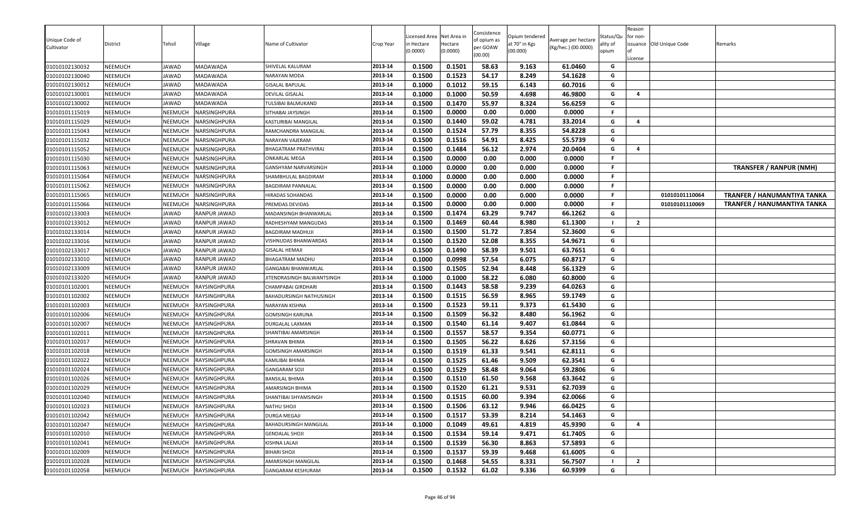| Unique Code of<br>Cultivator     | District           | Tehsil         | Village                      | Name of Cultivator                            | Crop Year          | Licensed Area<br>า Hectare<br>(0.0000) | Net Area in<br>Hectare<br>(0.0000) | Consistence<br>of opium as<br>per GOAW<br>(00.00) | Opium tendered<br>at 70° in Kgs<br>(00.000) | Average per hectare<br>(Kg/hec.) (00.0000) | Status/Qu<br>ality of<br>opium | Reason<br>for non-<br>License | issuance Old Unique Code         | Remarks                            |
|----------------------------------|--------------------|----------------|------------------------------|-----------------------------------------------|--------------------|----------------------------------------|------------------------------------|---------------------------------------------------|---------------------------------------------|--------------------------------------------|--------------------------------|-------------------------------|----------------------------------|------------------------------------|
| 01010102130032                   | NEEMUCH            | JAWAD          | MADAWADA                     | SHIVELAL KALURAM                              | 2013-14            | 0.1500                                 | 0.1501                             | 58.63                                             | 9.163                                       | 61.0460                                    | G                              |                               |                                  |                                    |
| 01010102130040                   | <b>NEEMUCH</b>     | JAWAD          | MADAWADA                     | NARAYAN MODA                                  | 2013-14            | 0.1500                                 | 0.1523                             | 54.17                                             | 8.249                                       | 54.1628                                    | G                              |                               |                                  |                                    |
| 01010102130012                   | NEEMUCH            | JAWAD          | MADAWADA                     | <b>GISALAL BAPULAL</b>                        | 2013-14            | 0.1000                                 | 0.1012                             | 59.15                                             | 6.143                                       | 60.7016                                    | G                              |                               |                                  |                                    |
| 01010102130001                   | NEEMUCH            | JAWAD          | MADAWADA                     | DEVILAL GISALAL                               | 2013-14            | 0.1000                                 | 0.1000                             | 50.59                                             | 4.698                                       | 46.9800                                    | G                              | $\overline{4}$                |                                  |                                    |
| 01010102130002                   | NEEMUCH            | JAWAD          | <b>MADAWADA</b>              | <b>TULSIBAI BALMUKAND</b>                     | 2013-14            | 0.1500                                 | 0.1470                             | 55.97                                             | 8.324                                       | 56.6259                                    | G                              |                               |                                  |                                    |
| 01010101115019                   | NEEMUCH            | NEEMUCH        | NARSINGHPURA                 | SITHABAI JAYSINGH                             | 2013-14            | 0.1500                                 | 0.0000                             | 0.00                                              | 0.000                                       | 0.0000                                     | F.                             |                               |                                  |                                    |
| 01010101115029                   | <b>NEEMUCH</b>     | NEEMUCH        | NARSINGHPURA                 | KASTURIBAI MANGILAL                           | 2013-14            | 0.1500                                 | 0.1440                             | 59.02                                             | 4.781                                       | 33.2014                                    | G                              | $\overline{4}$                |                                  |                                    |
| 01010101115043                   | NEEMUCH            | <b>NEEMUCH</b> | NARSINGHPURA                 | RAMCHANDRA MANGILAL                           | 2013-14            | 0.1500                                 | 0.1524                             | 57.79                                             | 8.355                                       | 54.8228                                    | G                              |                               |                                  |                                    |
| 01010101115032                   | NEEMUCH            | NEEMUCH        | NARSINGHPURA                 | NARAYAN VAJERAM                               | 2013-14            | 0.1500                                 | 0.1516                             | 54.91                                             | 8.425                                       | 55.5739                                    | G                              |                               |                                  |                                    |
| 01010101115052                   | NEEMUCH            | NEEMUCH        | NARSINGHPURA                 | BHAGATRAM PRATHVIRAJ                          | 2013-14            | 0.1500                                 | 0.1484                             | 56.12                                             | 2.974                                       | 20.0404                                    | G                              | 4                             |                                  |                                    |
| 01010101115030                   | <b>NEEMUCH</b>     | NEEMUCH        | NARSINGHPURA                 | <b>ONKARLAL MEGA</b>                          | 2013-14            | 0.1500                                 | 0.0000                             | 0.00                                              | 0.000                                       | 0.0000                                     | F                              |                               |                                  |                                    |
| 01010101115063                   | NEEMUCH            | NEEMUCH        | NARSINGHPURA                 | GANSHYAM NARVARSINGH                          | 2013-14            | 0.1000                                 | 0.0000                             | 0.00                                              | 0.000                                       | 0.0000                                     | F.                             |                               |                                  | <b>TRANSFER / RANPUR (NMH)</b>     |
| 01010101115064                   | NEEMUCH            | NEEMUCH        | NARSINGHPURA                 | SHAMBHULAL BAGDIRAM                           | 2013-14            | 0.1000                                 | 0.0000                             | 0.00                                              | 0.000                                       | 0.0000                                     | F.                             |                               |                                  |                                    |
| 01010101115062                   | <b>NEEMUCH</b>     | NEEMUCH        | NARSINGHPURA                 | BAGDIRAM PANNALAL                             | 2013-14            | 0.1500                                 | 0.0000                             | 0.00                                              | 0.000                                       | 0.0000                                     | F.                             |                               |                                  |                                    |
| 01010101115065                   | NEEMUCH            | NEEMUCH        | NARSINGHPURA                 | HIRADAS SOHANDAS                              | 2013-14            | 0.1500                                 | 0.0000                             | 0.00                                              | 0.000                                       | 0.0000                                     | F<br>F                         |                               | 01010101110064<br>01010101110069 | TRANFER / HANUMANTIYA TANKA        |
| 01010101115066                   | NEEMUCH            | NEEMUCH        | NARSINGHPURA                 | PREMDAS DEVIDAS                               | 2013-14            | 0.1500                                 | 0.0000                             | 0.00                                              | 0.000                                       | 0.0000                                     |                                |                               |                                  | <b>TRANFER / HANUMANTIYA TANKA</b> |
| 01010102133003                   | NEEMUCH            | JAWAD          | RANPUR JAWAD                 | MADANSINGH BHANWARLAL                         | 2013-14            | 0.1500<br>0.1500                       | 0.1474<br>0.1469                   | 63.29<br>60.44                                    | 9.747                                       | 66.1262                                    | G                              | $\overline{2}$                |                                  |                                    |
| 01010102133012                   | NEEMUCH            | JAWAD          | RANPUR JAWAD                 | RADHESHYAM MANGUDAS                           | 2013-14            |                                        |                                    |                                                   | 8.980                                       | 61.1300                                    | G                              |                               |                                  |                                    |
| 01010102133014                   | NEEMUCH            | JAWAD          | RANPUR JAWAD                 | BAGDIRAM MADHUJI                              | 2013-14<br>2013-14 | 0.1500<br>0.1500                       | 0.1500<br>0.1520                   | 51.72<br>52.08                                    | 7.854<br>8.355                              | 52.3600<br>54.9671                         | G                              |                               |                                  |                                    |
| 01010102133016<br>01010102133017 | NEEMUCH<br>NEEMUCH | JAWAD<br>JAWAD | RANPUR JAWAD<br>RANPUR JAWAD | VISHNUDAS BHANWARDAS<br><b>GISALAL HEMAJI</b> | 2013-14            | 0.1500                                 | 0.1490                             | 58.39                                             | 9.501                                       | 63.7651                                    | G                              |                               |                                  |                                    |
| 01010102133010                   | NEEMUCH            | JAWAD          | RANPUR JAWAD                 | BHAGATRAM MADHU                               | 2013-14            | 0.1000                                 | 0.0998                             | 57.54                                             | 6.075                                       | 60.8717                                    | G                              |                               |                                  |                                    |
| 01010102133009                   | NEEMUCH            | JAWAD          | RANPUR JAWAD                 | GANGABAI BHANWARLAL                           | 2013-14            | 0.1500                                 | 0.1505                             | 52.94                                             | 8.448                                       | 56.1329                                    | G                              |                               |                                  |                                    |
| 01010102133020                   | NEEMUCH            | JAWAD          | RANPUR JAWAD                 | JITENDRASINGH BALWANTSINGH                    | 2013-14            | 0.1000                                 | 0.1000                             | 58.22                                             | 6.080                                       | 60.8000                                    | G                              |                               |                                  |                                    |
| 01010101102001                   | NEEMUCH            | NEEMUCH        | RAYSINGHPURA                 | CHAMPABAI GIRDHARI                            | 2013-14            | 0.1500                                 | 0.1443                             | 58.58                                             | 9.239                                       | 64.0263                                    | G                              |                               |                                  |                                    |
| 01010101102002                   | NEEMUCH            | NEEMUCH        | RAYSINGHPURA                 | <b>BAHADURSINGH NATHUSINGH</b>                | 2013-14            | 0.1500                                 | 0.1515                             | 56.59                                             | 8.965                                       | 59.1749                                    | G                              |                               |                                  |                                    |
| 01010101102003                   | <b>NEEMUCH</b>     | NEEMUCH        | RAYSINGHPURA                 | NARAYAN KISHNA                                | 2013-14            | 0.1500                                 | 0.1523                             | 59.11                                             | 9.373                                       | 61.5430                                    | G                              |                               |                                  |                                    |
| 01010101102006                   | NEEMUCH            | NEEMUCH        | RAYSINGHPURA                 | GOMSINGH KARUNA                               | 2013-14            | 0.1500                                 | 0.1509                             | 56.32                                             | 8.480                                       | 56.1962                                    | G                              |                               |                                  |                                    |
| 01010101102007                   | NEEMUCH            | NEEMUCH        | RAYSINGHPURA                 | DURGALAL LAXMAN                               | 2013-14            | 0.1500                                 | 0.1540                             | 61.14                                             | 9.407                                       | 61.0844                                    | G                              |                               |                                  |                                    |
| 01010101102011                   | <b>NEEMUCH</b>     | NEEMUCH        | RAYSINGHPURA                 | SHANTIBAI AMARSINGH                           | 2013-14            | 0.1500                                 | 0.1557                             | 58.57                                             | 9.354                                       | 60.0771                                    | G                              |                               |                                  |                                    |
| 01010101102017                   | NEEMUCH            | NEEMUCH        | RAYSINGHPURA                 | SHRAVAN BHIMA                                 | 2013-14            | 0.1500                                 | 0.1505                             | 56.22                                             | 8.626                                       | 57.3156                                    | G                              |                               |                                  |                                    |
| 01010101102018                   | NEEMUCH            | NEEMUCH        | RAYSINGHPURA                 | GOMSINGH AMARSINGH                            | 2013-14            | 0.1500                                 | 0.1519                             | 61.33                                             | 9.541                                       | 62.8111                                    | G                              |                               |                                  |                                    |
| 01010101102022                   | NEEMUCH            | NEEMUCH        | RAYSINGHPURA                 | KAMLIBAI BHIMA                                | 2013-14            | 0.1500                                 | 0.1525                             | 61.46                                             | 9.509                                       | 62.3541                                    | G                              |                               |                                  |                                    |
| 01010101102024                   | NEEMUCH            | NEEMUCH        | RAYSINGHPURA                 | <b>GANGARAM SOJI</b>                          | 2013-14            | 0.1500                                 | 0.1529                             | 58.48                                             | 9.064                                       | 59.2806                                    | G                              |                               |                                  |                                    |
| 01010101102026                   | NEEMUCH            | NEEMUCH        | RAYSINGHPURA                 | <b>BANSILAL BHIMA</b>                         | 2013-14            | 0.1500                                 | 0.1510                             | 61.50                                             | 9.568                                       | 63.3642                                    | G                              |                               |                                  |                                    |
| 01010101102029                   | NEEMUCH            | NEEMUCH        | RAYSINGHPURA                 | AMARSINGH BHIMA                               | 2013-14            | 0.1500                                 | 0.1520                             | 61.21                                             | 9.531                                       | 62.7039                                    | G                              |                               |                                  |                                    |
| 01010101102040                   | NEEMUCH            | NEEMUCH        | RAYSINGHPURA                 | SHANTIBAI SHYAMSINGH                          | 2013-14            | 0.1500                                 | 0.1515                             | 60.00                                             | 9.394                                       | 62.0066                                    | G                              |                               |                                  |                                    |
| 01010101102023                   | NEEMUCH            | NEEMUCH        | <b>RAYSINGHPURA</b>          | <b>NATHU SHOJI</b>                            | 2013-14            | 0.1500                                 | 0.1506                             | 63.12                                             | 9.946                                       | 66.0425                                    | G                              |                               |                                  |                                    |
| 01010101102042                   | NEEMUCH            |                | NEEMUCH RAYSINGHPURA         | DURGA MEGAJI                                  | 2013-14            | 0.1500                                 | 0.1517                             | 53.39                                             | 8.214                                       | 54.1463                                    | G                              |                               |                                  |                                    |
| 01010101102047                   | NEEMUCH            | NEEMUCH        | RAYSINGHPURA                 | <b>BAHADURSINGH MANGILAL</b>                  | 2013-14            | 0.1000                                 | 0.1049                             | 49.61                                             | 4.819                                       | 45.9390                                    | G                              | $\overline{4}$                |                                  |                                    |
| 01010101102010                   | NEEMUCH            | NEEMUCH        | RAYSINGHPURA                 | <b>GENDALAL SHOJI</b>                         | 2013-14            | 0.1500                                 | 0.1534                             | 59.14                                             | 9.471                                       | 61.7405                                    | G                              |                               |                                  |                                    |
| 01010101102041                   | NEEMUCH            | NEEMUCH        | RAYSINGHPURA                 | KISHNA LALAJI                                 | 2013-14            | 0.1500                                 | 0.1539                             | 56.30                                             | 8.863                                       | 57.5893                                    | G                              |                               |                                  |                                    |
| 01010101102009                   | NEEMUCH            | NEEMUCH        | RAYSINGHPURA                 | BIHARI SHOJI                                  | 2013-14            | 0.1500                                 | 0.1537                             | 59.39                                             | 9.468                                       | 61.6005                                    | G                              |                               |                                  |                                    |
| 01010101102028                   | NEEMUCH            | NEEMUCH        | RAYSINGHPURA                 | AMARSINGH MANGILAL                            | 2013-14            | 0.1500                                 | 0.1468                             | 54.55                                             | 8.331                                       | 56.7507                                    | - 1                            | $\overline{2}$                |                                  |                                    |
| 01010101102058                   | NEEMUCH            | NEEMUCH        | RAYSINGHPURA                 | GANGARAM KESHURAM                             | 2013-14            | 0.1500                                 | 0.1532                             | 61.02                                             | 9.336                                       | 60.9399                                    | G                              |                               |                                  |                                    |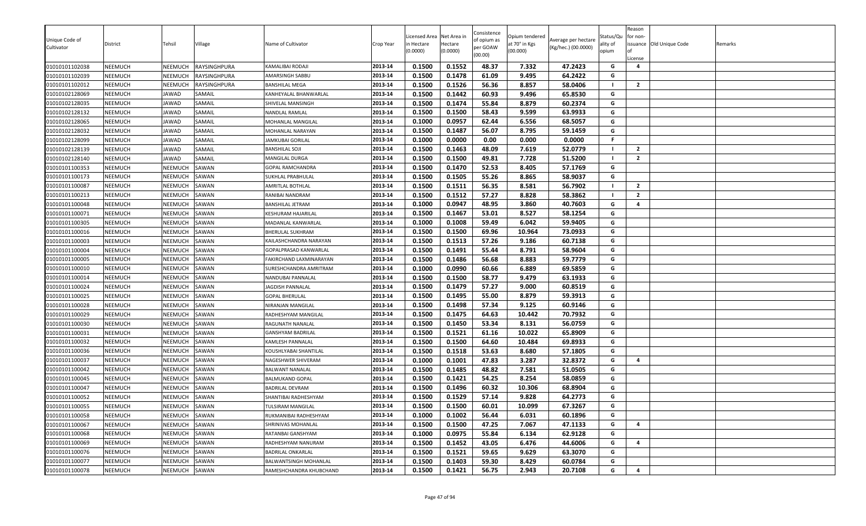|                |                |                |              |                          |           | icensed Area | Net Area in | Consistence             | Opium tendered |                     | Status/Qu | Reason<br>for non- |                          |         |
|----------------|----------------|----------------|--------------|--------------------------|-----------|--------------|-------------|-------------------------|----------------|---------------------|-----------|--------------------|--------------------------|---------|
| Unique Code of | District       | Tehsil         | Village      | Name of Cultivator       | Crop Year | n Hectare    | Hectare     | of opium as<br>per GOAW | at 70° in Kgs  | Average per hectare | ality of  |                    | issuance Old Unique Code | Remarks |
| Cultivator     |                |                |              |                          |           | (0.0000)     | (0.0000)    | (00.00)                 | (00.000)       | (Kg/hec.) (00.0000) | opium     |                    |                          |         |
| 01010101102038 | <b>NEEMUCH</b> | NEEMUCH        | RAYSINGHPURA | KAMALIBAI RODAJI         | 2013-14   | 0.1500       | 0.1552      | 48.37                   | 7.332          | 47.2423             | G         | License<br>4       |                          |         |
| 01010101102039 | <b>NEEMUCH</b> | NEEMUCH        | RAYSINGHPURA | AMARSINGH SABBU          | 2013-14   | 0.1500       | 0.1478      | 61.09                   | 9.495          | 64.2422             | G         |                    |                          |         |
| 01010101102012 | <b>NEEMUCH</b> | <b>NEEMUCH</b> | RAYSINGHPURA | <b>BANSHILAL MEGA</b>    | 2013-14   | 0.1500       | 0.1526      | 56.36                   | 8.857          | 58.0406             |           | $\overline{2}$     |                          |         |
| 01010102128069 | NEEMUCH        | JAWAD          | SAMAIL       | KANHEYALAL BHANWARLAL    | 2013-14   | 0.1500       | 0.1442      | 60.93                   | 9.496          | 65.8530             | G         |                    |                          |         |
| 01010102128035 | <b>NEEMUCH</b> | JAWAD          | SAMAIL       | SHIVELAL MANSINGH        | 2013-14   | 0.1500       | 0.1474      | 55.84                   | 8.879          | 60.2374             | G         |                    |                          |         |
| 01010102128132 | <b>NEEMUCH</b> | JAWAD          | SAMAIL       | NANDLAL RAMLAL           | 2013-14   | 0.1500       | 0.1500      | 58.43                   | 9.599          | 63.9933             | G         |                    |                          |         |
| 01010102128065 | <b>NEEMUCH</b> | JAWAD          | SAMAIL       | MOHANLAL MANGILAL        | 2013-14   | 0.1000       | 0.0957      | 62.44                   | 6.556          | 68.5057             | G         |                    |                          |         |
| 01010102128032 | <b>NEEMUCH</b> | JAWAD          | SAMAIL       | MOHANLAL NARAYAN         | 2013-14   | 0.1500       | 0.1487      | 56.07                   | 8.795          | 59.1459             | G         |                    |                          |         |
| 01010102128099 | <b>NEEMUCH</b> | JAWAD          | SAMAIL       | JAMKUBAI GORILAL         | 2013-14   | 0.1000       | 0.0000      | 0.00                    | 0.000          | 0.0000              | .F        |                    |                          |         |
| 01010102128139 | <b>NEEMUCH</b> | <b>JAWAD</b>   | SAMAIL       | <b>BANSHILAL SOJI</b>    | 2013-14   | 0.1500       | 0.1463      | 48.09                   | 7.619          | 52.0779             |           | $\overline{2}$     |                          |         |
| 01010102128140 | <b>NEEMUCH</b> | JAWAD          | SAMAIL       | MANGILAL DURGA           | 2013-14   | 0.1500       | 0.1500      | 49.81                   | 7.728          | 51.5200             |           | $\overline{2}$     |                          |         |
| 01010101100353 | <b>NEEMUCH</b> | NEEMUCH        | SAWAN        | GOPAL RAMCHANDRA         | 2013-14   | 0.1500       | 0.1470      | 52.53                   | 8.405          | 57.1769             | G         |                    |                          |         |
| 01010101100173 | NEEMUCH        | NEEMUCH        | SAWAN        | SUKHLAL PRABHULAL        | 2013-14   | 0.1500       | 0.1505      | 55.26                   | 8.865          | 58.9037             | G         |                    |                          |         |
| 01010101100087 | NEEMUCH        | NEEMUCH        | SAWAN        | AMRITLAL BOTHLAL         | 2013-14   | 0.1500       | 0.1511      | 56.35                   | 8.581          | 56.7902             |           | $\overline{2}$     |                          |         |
| 01010101100213 | <b>NEEMUCH</b> | NEEMUCH        | SAWAN        | RANIBAI NANDRAM          | 2013-14   | 0.1500       | 0.1512      | 57.27                   | 8.828          | 58.3862             |           | $\overline{2}$     |                          |         |
| 01010101100048 | <b>NEEMUCH</b> | NEEMUCH        | SAWAN        | BANSHILAL JETRAM         | 2013-14   | 0.1000       | 0.0947      | 48.95                   | 3.860          | 40.7603             | G         | 4                  |                          |         |
| 01010101100071 | <b>NEEMUCH</b> | NEEMUCH        | SAWAN        | KESHURAM HAJARILAL       | 2013-14   | 0.1500       | 0.1467      | 53.01                   | 8.527          | 58.1254             | G         |                    |                          |         |
| 01010101100305 | <b>NEEMUCH</b> | NEEMUCH        | SAWAN        | MADANLAL KANWARLAL       | 2013-14   | 0.1000       | 0.1008      | 59.49                   | 6.042          | 59.9405             | G         |                    |                          |         |
| 01010101100016 | <b>NEEMUCH</b> | NEEMUCH        | SAWAN        | BHERULAL SUKHRAM         | 2013-14   | 0.1500       | 0.1500      | 69.96                   | 10.964         | 73.0933             | G         |                    |                          |         |
| 01010101100003 | NEEMUCH        | NEEMUCH        | SAWAN        | KAILASHCHANDRA NARAYAN   | 2013-14   | 0.1500       | 0.1513      | 57.26                   | 9.186          | 60.7138             | G         |                    |                          |         |
| 01010101100004 | <b>NEEMUCH</b> | NEEMUCH        | SAWAN        | GOPALPRASAD KANWARLAL    | 2013-14   | 0.1500       | 0.1491      | 55.44                   | 8.791          | 58.9604             | G         |                    |                          |         |
| 01010101100005 | <b>NEEMUCH</b> | NEEMUCH        | SAWAN        | FAKIRCHAND LAXMINARAYAN  | 2013-14   | 0.1500       | 0.1486      | 56.68                   | 8.883          | 59.7779             | G         |                    |                          |         |
| 01010101100010 | NEEMUCH        | NEEMUCH        | SAWAN        | SURESHCHANDRA AMRITRAM   | 2013-14   | 0.1000       | 0.0990      | 60.66                   | 6.889          | 69.5859             | G         |                    |                          |         |
| 01010101100014 | <b>NEEMUCH</b> | NEEMUCH        | SAWAN        | NANDUBAI PANNALAL        | 2013-14   | 0.1500       | 0.1500      | 58.77                   | 9.479          | 63.1933             | G         |                    |                          |         |
| 01010101100024 | <b>NEEMUCH</b> | NEEMUCH        | SAWAN        | JAGDISH PANNALAL         | 2013-14   | 0.1500       | 0.1479      | 57.27                   | 9.000          | 60.8519             | G         |                    |                          |         |
| 01010101100025 | <b>NEEMUCH</b> | NEEMUCH        | SAWAN        | <b>GOPAL BHERULAL</b>    | 2013-14   | 0.1500       | 0.1495      | 55.00                   | 8.879          | 59.3913             | G         |                    |                          |         |
| 01010101100028 | <b>NEEMUCH</b> | NEEMUCH        | SAWAN        | NIRANJAN MANGILAL        | 2013-14   | 0.1500       | 0.1498      | 57.34                   | 9.125          | 60.9146             | G         |                    |                          |         |
| 01010101100029 | NEEMUCH        | NEEMUCH        | SAWAN        | RADHESHYAM MANGILAL      | 2013-14   | 0.1500       | 0.1475      | 64.63                   | 10.442         | 70.7932             | G         |                    |                          |         |
| 01010101100030 | NEEMUCH        | NEEMUCH        | SAWAN        | RAGUNATH NANALAL         | 2013-14   | 0.1500       | 0.1450      | 53.34                   | 8.131          | 56.0759             | G         |                    |                          |         |
| 01010101100031 | <b>NEEMUCH</b> | NEEMUCH        | SAWAN        | <b>GANSHYAM BADRILAL</b> | 2013-14   | 0.1500       | 0.1521      | 61.16                   | 10.022         | 65.8909             | G         |                    |                          |         |
| 01010101100032 | <b>NEEMUCH</b> | NEEMUCH        | SAWAN        | KAMLESH PANNALAL         | 2013-14   | 0.1500       | 0.1500      | 64.60                   | 10.484         | 69.8933             | G         |                    |                          |         |
| 01010101100036 | <b>NEEMUCH</b> | NEEMUCH        | SAWAN        | KOUSHLYABAI SHANTILAL    | 2013-14   | 0.1500       | 0.1518      | 53.63                   | 8.680          | 57.1805             | G         |                    |                          |         |
| 01010101100037 | <b>NEEMUCH</b> | NEEMUCH        | SAWAN        | NAGESHWER SHIVERAM       | 2013-14   | 0.1000       | 0.1001      | 47.83                   | 3.287          | 32.8372             | G         | 4                  |                          |         |
| 01010101100042 | <b>NEEMUCH</b> | NEEMUCH        | SAWAN        | BALWANT NANALAL          | 2013-14   | 0.1500       | 0.1485      | 48.82                   | 7.581          | 51.0505             | G         |                    |                          |         |
| 01010101100045 | <b>NEEMUCH</b> | <b>NEEMUCH</b> | SAWAN        | <b>BALMUKAND GOPAL</b>   | 2013-14   | 0.1500       | 0.1421      | 54.25                   | 8.254          | 58.0859             | G         |                    |                          |         |
| 01010101100047 | NEEMUCH        | NEEMUCH        | SAWAN        | <b>BADRILAL DEVRAM</b>   | 2013-14   | 0.1500       | 0.1496      | 60.32                   | 10.306         | 68.8904             | G         |                    |                          |         |
| 01010101100052 | NEEMUCH        | NEEMUCH        | SAWAN        | SHANTIBAI RADHESHYAM     | 2013-14   | 0.1500       | 0.1529      | 57.14                   | 9.828          | 64.2773             | G         |                    |                          |         |
| 01010101100055 | <b>NEEMUCH</b> | NEEMUCH        | SAWAN        | <b>TULSIRAM MANGILAL</b> | 2013-14   | 0.1500       | 0.1500      | 60.01                   | 10.099         | 67.3267             | G         |                    |                          |         |
| 01010101100058 | <b>NEEMUCH</b> | NEEMUCH        | SAWAN        | RUKMANIBAI RADHESHYAM    | 2013-14   | 0.1000       | 0.1002      | 56.44                   | 6.031          | 60.1896             | G         |                    |                          |         |
| 01010101100067 | <b>NEEMUCH</b> | NEEMUCH        | SAWAN        | SHRINIVAS MOHANLAL       | 2013-14   | 0.1500       | 0.1500      | 47.25                   | 7.067          | 47.1133             | G         | 4                  |                          |         |
| 01010101100068 | <b>NEEMUCH</b> | NEEMUCH        | SAWAN        | RATANBAI GANSHYAM        | 2013-14   | 0.1000       | 0.0975      | 55.84                   | 6.134          | 62.9128             | G         |                    |                          |         |
| 01010101100069 | <b>NEEMUCH</b> | NEEMUCH        | SAWAN        | RADHESHYAM NANURAM       | 2013-14   | 0.1500       | 0.1452      | 43.05                   | 6.476          | 44.6006             | G         | 4                  |                          |         |
| 01010101100076 | <b>NEEMUCH</b> | NEEMUCH        | SAWAN        | BADRILAL ONKARLAL        | 2013-14   | 0.1500       | 0.1521      | 59.65                   | 9.629          | 63.3070             | G         |                    |                          |         |
| 01010101100077 | <b>NEEMUCH</b> | NEEMUCH        | SAWAN        | BALWANTSINGH MOHANLAL    | 2013-14   | 0.1500       | 0.1403      | 59.30                   | 8.429          | 60.0784             | G         |                    |                          |         |
| 01010101100078 | <b>NEEMUCH</b> | NEEMUCH        | SAWAN        | RAMESHCHANDRA KHUBCHAND  | 2013-14   | 0.1500       | 0.1421      | 56.75                   | 2.943          | 20.7108             | G         | 4                  |                          |         |
|                |                |                |              |                          |           |              |             |                         |                |                     |           |                    |                          |         |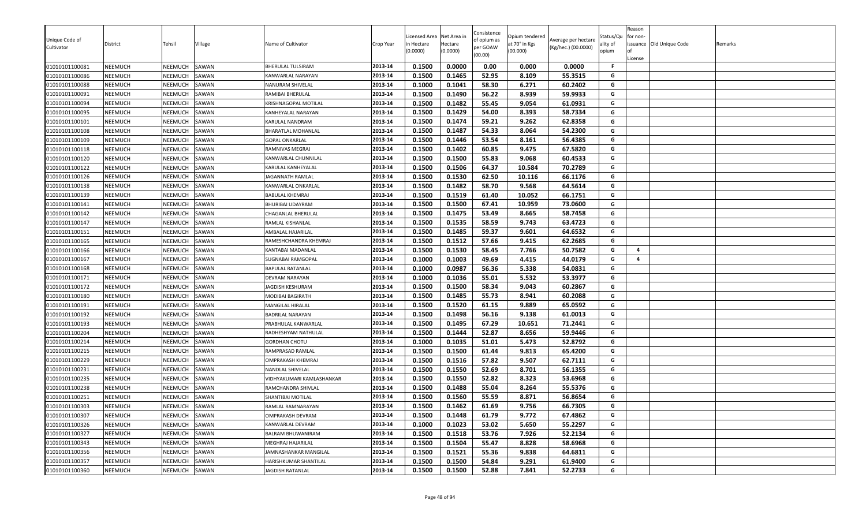|                              |                |                |         |                           |           | icensed Area | Net Area in | Consistence             | Opium tendered |                                            | Status/Qu | Reason<br>for non-      |                          |         |
|------------------------------|----------------|----------------|---------|---------------------------|-----------|--------------|-------------|-------------------------|----------------|--------------------------------------------|-----------|-------------------------|--------------------------|---------|
| Unique Code of<br>Cultivator | District       | Tehsil         | Village | Name of Cultivator        | Crop Year | n Hectare    | Hectare     | of opium as<br>per GOAW | at 70° in Kgs  | Average per hectare<br>(Kg/hec.) (00.0000) | ality of  |                         | issuance Old Unique Code | Remarks |
|                              |                |                |         |                           |           | (0.0000)     | (0.0000)    | (00.00)                 | (00.000)       |                                            | opium     |                         |                          |         |
| 01010101100081               | <b>NEEMUCH</b> | NEEMUCH        | SAWAN   | BHERULAL TULSIRAM         | 2013-14   | 0.1500       | 0.0000      | 0.00                    | 0.000          | 0.0000                                     | .F        | License                 |                          |         |
| 01010101100086               | <b>NEEMUCH</b> | NEEMUCH        | SAWAN   | KANWARLAL NARAYAN         | 2013-14   | 0.1500       | 0.1465      | 52.95                   | 8.109          | 55.3515                                    | G         |                         |                          |         |
| 01010101100088               | <b>NEEMUCH</b> | NEEMUCH        | SAWAN   | NANURAM SHIVELAL          | 2013-14   | 0.1000       | 0.1041      | 58.30                   | 6.271          | 60.2402                                    | G         |                         |                          |         |
| 01010101100091               | NEEMUCH        | NEEMUCH        | SAWAN   | RAMIBAI BHERULAL          | 2013-14   | 0.1500       | 0.1490      | 56.22                   | 8.939          | 59.9933                                    | G         |                         |                          |         |
| 01010101100094               | <b>NEEMUCH</b> | NEEMUCH        | SAWAN   | KRISHNAGOPAL MOTILAL      | 2013-14   | 0.1500       | 0.1482      | 55.45                   | 9.054          | 61.0931                                    | G         |                         |                          |         |
| 01010101100095               | <b>NEEMUCH</b> | NEEMUCH        | SAWAN   | KANHEYALAL NARAYAN        | 2013-14   | 0.1500       | 0.1429      | 54.00                   | 8.393          | 58.7334                                    | G         |                         |                          |         |
| 01010101100101               | <b>NEEMUCH</b> | NEEMUCH        | SAWAN   | KARULAL NANDRAM           | 2013-14   | 0.1500       | 0.1474      | 59.21                   | 9.262          | 62.8358                                    | G         |                         |                          |         |
| 01010101100108               | <b>NEEMUCH</b> | NEEMUCH        | SAWAN   | BHARATLAL MOHANLAL        | 2013-14   | 0.1500       | 0.1487      | 54.33                   | 8.064          | 54.2300                                    | G         |                         |                          |         |
| 01010101100109               | <b>NEEMUCH</b> | NEEMUCH        | SAWAN   | <b>GOPAL ONKARLAL</b>     | 2013-14   | 0.1500       | 0.1446      | 53.54                   | 8.161          | 56.4385                                    | G         |                         |                          |         |
| 01010101100118               | NEEMUCH        | NEEMUCH        | SAWAN   | RAMNIVAS MEGRAJ           | 2013-14   | 0.1500       | 0.1402      | 60.85                   | 9.475          | 67.5820                                    | G         |                         |                          |         |
| 01010101100120               | <b>NEEMUCH</b> | NEEMUCH        | SAWAN   | KANWARLAL CHUNNILAL       | 2013-14   | 0.1500       | 0.1500      | 55.83                   | 9.068          | 60.4533                                    | G         |                         |                          |         |
| 01010101100122               | <b>NEEMUCH</b> | NEEMUCH        | SAWAN   | KARULAL KANHEYALAL        | 2013-14   | 0.1500       | 0.1506      | 64.37                   | 10.584         | 70.2789                                    | G         |                         |                          |         |
| 01010101100126               | NEEMUCH        | NEEMUCH        | SAWAN   | JAGANNATH RAMLAL          | 2013-14   | 0.1500       | 0.1530      | 62.50                   | 10.116         | 66.1176                                    | G         |                         |                          |         |
| 01010101100138               | NEEMUCH        | NEEMUCH        | SAWAN   | KANWARLAL ONKARLAL        | 2013-14   | 0.1500       | 0.1482      | 58.70                   | 9.568          | 64.5614                                    | G         |                         |                          |         |
| 01010101100139               | <b>NEEMUCH</b> | NEEMUCH        | SAWAN   | <b>BABULAL KHEMRAJ</b>    | 2013-14   | 0.1500       | 0.1519      | 61.40                   | 10.052         | 66.1751                                    | G         |                         |                          |         |
| 01010101100141               | <b>NEEMUCH</b> | NEEMUCH        | SAWAN   | BHURIBAI UDAYRAM          | 2013-14   | 0.1500       | 0.1500      | 67.41                   | 10.959         | 73.0600                                    | G         |                         |                          |         |
| 01010101100142               | <b>NEEMUCH</b> | NEEMUCH        | SAWAN   | CHAGANLAL BHERULAL        | 2013-14   | 0.1500       | 0.1475      | 53.49                   | 8.665          | 58.7458                                    | G         |                         |                          |         |
| 01010101100147               | NEEMUCH        | NEEMUCH        | SAWAN   | RAMLAL KISHANLAL          | 2013-14   | 0.1500       | 0.1535      | 58.59                   | 9.743          | 63.4723                                    | G         |                         |                          |         |
| 01010101100151               | NEEMUCH        | NEEMUCH        | SAWAN   | AMBALAL HAJARILAL         | 2013-14   | 0.1500       | 0.1485      | 59.37                   | 9.601          | 64.6532                                    | G         |                         |                          |         |
| 01010101100165               | NEEMUCH        | NEEMUCH        | SAWAN   | RAMESHCHANDRA KHEMRAJ     | 2013-14   | 0.1500       | 0.1512      | 57.66                   | 9.415          | 62.2685                                    | G         |                         |                          |         |
| 01010101100166               | <b>NEEMUCH</b> | NEEMUCH        | SAWAN   | KANTABAI MADANLAL         | 2013-14   | 0.1500       | 0.1530      | 58.45                   | 7.766          | 50.7582                                    | G         | $\overline{\mathbf{a}}$ |                          |         |
| 01010101100167               | <b>NEEMUCH</b> | NEEMUCH        | SAWAN   | SUGNABAI RAMGOPAL         | 2013-14   | 0.1000       | 0.1003      | 49.69                   | 4.415          | 44.0179                                    | G         | 4                       |                          |         |
| 01010101100168               | NEEMUCH        | NEEMUCH        | SAWAN   | <b>BAPULAL RATANLAL</b>   | 2013-14   | 0.1000       | 0.0987      | 56.36                   | 5.338          | 54.0831                                    | G         |                         |                          |         |
| 01010101100171               | <b>NEEMUCH</b> | NEEMUCH        | SAWAN   | DEVRAM NARAYAN            | 2013-14   | 0.1000       | 0.1036      | 55.01                   | 5.532          | 53.3977                                    | G         |                         |                          |         |
| 01010101100172               | <b>NEEMUCH</b> | NEEMUCH        | SAWAN   | JAGDISH KESHURAM          | 2013-14   | 0.1500       | 0.1500      | 58.34                   | 9.043          | 60.2867                                    | G         |                         |                          |         |
| 01010101100180               | <b>NEEMUCH</b> | NEEMUCH        | SAWAN   | MODIBAI BAGIRATH          | 2013-14   | 0.1500       | 0.1485      | 55.73                   | 8.941          | 60.2088                                    | G         |                         |                          |         |
| 01010101100191               | NEEMUCH        | NEEMUCH        | SAWAN   | MANGILAL HIRALAL          | 2013-14   | 0.1500       | 0.1520      | 61.15                   | 9.889          | 65.0592                                    | G         |                         |                          |         |
| 01010101100192               | NEEMUCH        | NEEMUCH        | SAWAN   | <b>BADRILAL NARAYAN</b>   | 2013-14   | 0.1500       | 0.1498      | 56.16                   | 9.138          | 61.0013                                    | G         |                         |                          |         |
| 01010101100193               | NEEMUCH        | NEEMUCH        | SAWAN   | PRABHULAL KANWARLAL       | 2013-14   | 0.1500       | 0.1495      | 67.29                   | 10.651         | 71.2441                                    | G         |                         |                          |         |
| 01010101100204               | <b>NEEMUCH</b> | NEEMUCH        | SAWAN   | RADHESHYAM NATHULAL       | 2013-14   | 0.1500       | 0.1444      | 52.87                   | 8.656          | 59.9446                                    | G         |                         |                          |         |
| 01010101100214               | <b>NEEMUCH</b> | NEEMUCH        | SAWAN   | <b>GORDHAN CHOTU</b>      | 2013-14   | 0.1000       | 0.1035      | 51.01                   | 5.473          | 52.8792                                    | G         |                         |                          |         |
| 01010101100215               | <b>NEEMUCH</b> | NEEMUCH        | SAWAN   | RAMPRASAD RAMLAL          | 2013-14   | 0.1500       | 0.1500      | 61.44                   | 9.813          | 65.4200                                    | G         |                         |                          |         |
| 01010101100229               | <b>NEEMUCH</b> | NEEMUCH        | SAWAN   | OMPRAKASH KHEMRAJ         | 2013-14   | 0.1500       | 0.1516      | 57.82                   | 9.507          | 62.7111                                    | G         |                         |                          |         |
| 01010101100231               | <b>NEEMUCH</b> | NEEMUCH        | SAWAN   | NANDLAL SHIVELAL          | 2013-14   | 0.1500       | 0.1550      | 52.69                   | 8.701          | 56.1355                                    | G         |                         |                          |         |
| 01010101100235               | <b>NEEMUCH</b> | <b>NEEMUCH</b> | SAWAN   | VIDHYAKUMARI KAMLASHANKAR | 2013-14   | 0.1500       | 0.1550      | 52.82                   | 8.323          | 53.6968                                    | G         |                         |                          |         |
| 01010101100238               | NEEMUCH        | NEEMUCH        | SAWAN   | RAMCHANDRA SHIVLAL        | 2013-14   | 0.1500       | 0.1488      | 55.04                   | 8.264          | 55.5376                                    | G         |                         |                          |         |
| 01010101100251               | NEEMUCH        | NEEMUCH        | SAWAN   | SHANTIBAI MOTILAL         | 2013-14   | 0.1500       | 0.1560      | 55.59                   | 8.871          | 56.8654                                    | G         |                         |                          |         |
| 01010101100303               | <b>NEEMUCH</b> | NEEMUCH        | SAWAN   | RAMLAL RAMNARAYAN         | 2013-14   | 0.1500       | 0.1462      | 61.69                   | 9.756          | 66.7305                                    | G         |                         |                          |         |
| 01010101100307               | <b>NEEMUCH</b> | NEEMUCH        | SAWAN   | OMPRAKASH DEVRAM          | 2013-14   | 0.1500       | 0.1448      | 61.79                   | 9.772          | 67.4862                                    | G         |                         |                          |         |
| 01010101100326               | <b>NEEMUCH</b> | NEEMUCH        | SAWAN   | KANWARLAL DEVRAM          | 2013-14   | 0.1000       | 0.1023      | 53.02                   | 5.650          | 55.2297                                    | G         |                         |                          |         |
| 01010101100327               | <b>NEEMUCH</b> | NEEMUCH        | SAWAN   | BALRAM BHUWANIRAM         | 2013-14   | 0.1500       | 0.1518      | 53.76                   | 7.926          | 52.2134                                    | G         |                         |                          |         |
| 01010101100343               | <b>NEEMUCH</b> | NEEMUCH        | SAWAN   | MEGHRAJ HAJARILAL         | 2013-14   | 0.1500       | 0.1504      | 55.47                   | 8.828          | 58.6968                                    | G         |                         |                          |         |
| 01010101100356               | <b>NEEMUCH</b> | NEEMUCH        | SAWAN   | JAMNASHANKAR MANGILAL     | 2013-14   | 0.1500       | 0.1521      | 55.36                   | 9.838          | 64.6811                                    | G         |                         |                          |         |
| 01010101100357               | <b>NEEMUCH</b> | NEEMUCH        | SAWAN   | HARISHKUMAR SHANTILAL     | 2013-14   | 0.1500       | 0.1500      | 54.84                   | 9.291          | 61.9400                                    | G         |                         |                          |         |
| 01010101100360               | <b>NEEMUCH</b> | NEEMUCH        | SAWAN   | JAGDISH RATANLAL          | 2013-14   | 0.1500       | 0.1500      | 52.88                   | 7.841          | 52.2733                                    | G         |                         |                          |         |
|                              |                |                |         |                           |           |              |             |                         |                |                                            |           |                         |                          |         |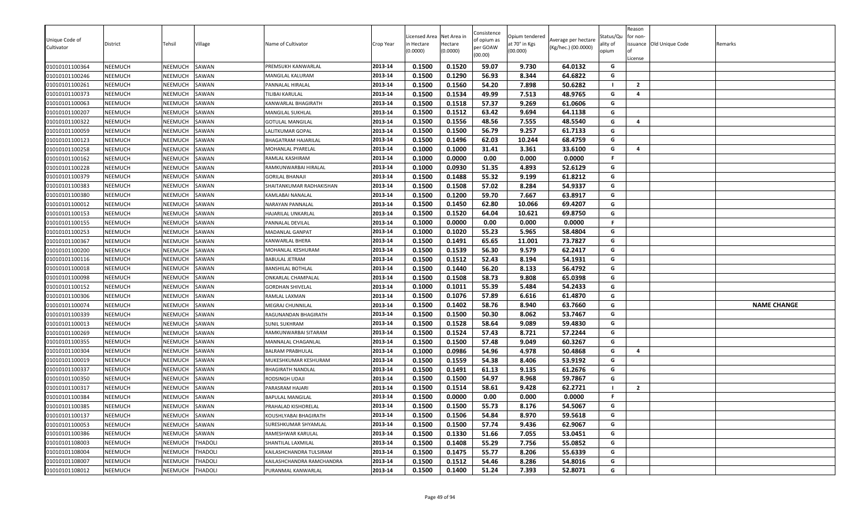| 0.1500<br>0.1520<br>59.07<br>64.0132<br>01010101100364<br>NEEMUCH<br>NEEMUCH<br>SAWAN<br>2013-14<br>9.730<br>G<br>PREMSUKH KANWARLAL<br>2013-14<br>0.1500<br>0.1290<br>56.93<br>8.344<br>64.6822<br>G<br>01010101100246<br>NEEMUCH<br>NEEMUCH<br>SAWAN<br>MANGILAL KALURAM<br>0.1560<br>7.898<br>50.6282<br>01010101100261<br>NEEMUCH<br>SAWAN<br>2013-14<br>0.1500<br>54.20<br>NEEMUCH<br>$\overline{2}$<br>PANNALAL HIRALAL<br>- 1<br>0.1534<br>49.99<br>G<br>NEEMUCH<br>SAWAN<br>2013-14<br>0.1500<br>7.513<br>48.9765<br>$\overline{4}$<br>01010101100373<br>NEEMUCH<br>TILIBAI KARULAL<br>0.1500<br>0.1518<br>57.37<br>9.269<br>01010101100063<br>NEEMUCH<br>NEEMUCH<br>SAWAN<br>61.0606<br>G<br>2013-14<br>KANWARLAL BHAGIRATH<br>0.1512<br>G<br>2013-14<br>0.1500<br>63.42<br>9.694<br>64.1138<br>01010101100207<br>NEEMUCH<br>NEEMUCH<br>SAWAN<br><b>MANGILAL SUKHLAL</b><br>0.1556<br>48.56<br>48.5540<br>NEEMUCH<br>0.1500<br>7.555<br>G<br>01010101100322<br>NEEMUCH<br>SAWAN<br>2013-14<br>$\overline{4}$<br>GOTULAL MANGILAL<br>56.79<br>0.1500<br>0.1500<br>9.257<br>61.7133<br>G<br>NEEMUCH<br>NEEMUCH<br>SAWAN<br>2013-14<br>01010101100059<br>LALITKUMAR GOPAL<br>62.03<br>01010101100123<br>NEEMUCH<br>NEEMUCH<br>SAWAN<br>0.1500<br>0.1496<br>10.244<br>68.4759<br>BHAGATRAM HAJARILAL<br>2013-14<br>G<br>0.1000<br>0.1000<br>31.41<br>3.361<br>33.6100<br>01010101100258<br>NEEMUCH<br>NEEMUCH<br>SAWAN<br>MOHANLAL PYARELAL<br>2013-14<br>G<br>$\overline{a}$<br>0.1000<br>0.0000<br>0.00<br>0.000<br>0.0000<br>01010101100162<br>NEEMUCH<br>NEEMUCH<br>SAWAN<br>2013-14<br>F.<br>RAMLAL KASHIRAM |                    |
|------------------------------------------------------------------------------------------------------------------------------------------------------------------------------------------------------------------------------------------------------------------------------------------------------------------------------------------------------------------------------------------------------------------------------------------------------------------------------------------------------------------------------------------------------------------------------------------------------------------------------------------------------------------------------------------------------------------------------------------------------------------------------------------------------------------------------------------------------------------------------------------------------------------------------------------------------------------------------------------------------------------------------------------------------------------------------------------------------------------------------------------------------------------------------------------------------------------------------------------------------------------------------------------------------------------------------------------------------------------------------------------------------------------------------------------------------------------------------------------------------------------------------------------------------------------------------------------------------------------------|--------------------|
|                                                                                                                                                                                                                                                                                                                                                                                                                                                                                                                                                                                                                                                                                                                                                                                                                                                                                                                                                                                                                                                                                                                                                                                                                                                                                                                                                                                                                                                                                                                                                                                                                        |                    |
|                                                                                                                                                                                                                                                                                                                                                                                                                                                                                                                                                                                                                                                                                                                                                                                                                                                                                                                                                                                                                                                                                                                                                                                                                                                                                                                                                                                                                                                                                                                                                                                                                        |                    |
|                                                                                                                                                                                                                                                                                                                                                                                                                                                                                                                                                                                                                                                                                                                                                                                                                                                                                                                                                                                                                                                                                                                                                                                                                                                                                                                                                                                                                                                                                                                                                                                                                        |                    |
|                                                                                                                                                                                                                                                                                                                                                                                                                                                                                                                                                                                                                                                                                                                                                                                                                                                                                                                                                                                                                                                                                                                                                                                                                                                                                                                                                                                                                                                                                                                                                                                                                        |                    |
|                                                                                                                                                                                                                                                                                                                                                                                                                                                                                                                                                                                                                                                                                                                                                                                                                                                                                                                                                                                                                                                                                                                                                                                                                                                                                                                                                                                                                                                                                                                                                                                                                        |                    |
|                                                                                                                                                                                                                                                                                                                                                                                                                                                                                                                                                                                                                                                                                                                                                                                                                                                                                                                                                                                                                                                                                                                                                                                                                                                                                                                                                                                                                                                                                                                                                                                                                        |                    |
|                                                                                                                                                                                                                                                                                                                                                                                                                                                                                                                                                                                                                                                                                                                                                                                                                                                                                                                                                                                                                                                                                                                                                                                                                                                                                                                                                                                                                                                                                                                                                                                                                        |                    |
|                                                                                                                                                                                                                                                                                                                                                                                                                                                                                                                                                                                                                                                                                                                                                                                                                                                                                                                                                                                                                                                                                                                                                                                                                                                                                                                                                                                                                                                                                                                                                                                                                        |                    |
|                                                                                                                                                                                                                                                                                                                                                                                                                                                                                                                                                                                                                                                                                                                                                                                                                                                                                                                                                                                                                                                                                                                                                                                                                                                                                                                                                                                                                                                                                                                                                                                                                        |                    |
|                                                                                                                                                                                                                                                                                                                                                                                                                                                                                                                                                                                                                                                                                                                                                                                                                                                                                                                                                                                                                                                                                                                                                                                                                                                                                                                                                                                                                                                                                                                                                                                                                        |                    |
|                                                                                                                                                                                                                                                                                                                                                                                                                                                                                                                                                                                                                                                                                                                                                                                                                                                                                                                                                                                                                                                                                                                                                                                                                                                                                                                                                                                                                                                                                                                                                                                                                        |                    |
| 2013-14<br>0.1000<br>0.0930<br>51.35<br>4.893<br>52.6129<br>G<br>01010101100228<br><b>NEEMUCH</b><br>NEEMUCH<br>SAWAN<br>RAMKUNWARBAI HIRALAL                                                                                                                                                                                                                                                                                                                                                                                                                                                                                                                                                                                                                                                                                                                                                                                                                                                                                                                                                                                                                                                                                                                                                                                                                                                                                                                                                                                                                                                                          |                    |
| 0.1488<br>55.32<br>9.199<br>NEEMUCH<br>SAWAN<br>0.1500<br>61.8212<br>G<br>01010101100379<br>NEEMUCH<br>2013-14<br>GORILAL BHANAJI                                                                                                                                                                                                                                                                                                                                                                                                                                                                                                                                                                                                                                                                                                                                                                                                                                                                                                                                                                                                                                                                                                                                                                                                                                                                                                                                                                                                                                                                                      |                    |
| 0.1508<br>57.02<br>54.9337<br>0.1500<br>8.284<br>G<br>2013-14<br>01010101100383<br>NEEMUCH<br>NEEMUCH<br>SAWAN<br>SHAITANKUMAR RADHAKISHAN                                                                                                                                                                                                                                                                                                                                                                                                                                                                                                                                                                                                                                                                                                                                                                                                                                                                                                                                                                                                                                                                                                                                                                                                                                                                                                                                                                                                                                                                             |                    |
| 0.1500<br>0.1200<br>59.70<br>G<br>01010101100380<br>NEEMUCH<br>NEEMUCH<br>SAWAN<br>2013-14<br>7.667<br>63.8917<br>KAMLABAI NANALAL                                                                                                                                                                                                                                                                                                                                                                                                                                                                                                                                                                                                                                                                                                                                                                                                                                                                                                                                                                                                                                                                                                                                                                                                                                                                                                                                                                                                                                                                                     |                    |
| 0.1450<br>62.80<br>0.1500<br>10.066<br>69.4207<br>G<br>NEEMUCH<br>2013-14<br>01010101100012<br>NEEMUCH<br>SAWAN<br>NARAYAN PANNALAL                                                                                                                                                                                                                                                                                                                                                                                                                                                                                                                                                                                                                                                                                                                                                                                                                                                                                                                                                                                                                                                                                                                                                                                                                                                                                                                                                                                                                                                                                    |                    |
| 01010101100153<br>NEEMUCH<br>NEEMUCH<br>SAWAN<br>2013-14<br>0.1500<br>0.1520<br>64.04<br>10.621<br>69.8750<br>HAJARILAL UNKARLAL<br>G                                                                                                                                                                                                                                                                                                                                                                                                                                                                                                                                                                                                                                                                                                                                                                                                                                                                                                                                                                                                                                                                                                                                                                                                                                                                                                                                                                                                                                                                                  |                    |
| 0.1000<br>0.0000<br>0.00<br>0.000<br>0.0000<br>01010101100155<br>NEEMUCH<br>SAWAN<br>2013-14<br>F.<br>NEEMUCH<br>PANNALAL DEVILAL                                                                                                                                                                                                                                                                                                                                                                                                                                                                                                                                                                                                                                                                                                                                                                                                                                                                                                                                                                                                                                                                                                                                                                                                                                                                                                                                                                                                                                                                                      |                    |
| 55.23<br>5.965<br>01010101100253<br>NEEMUCH<br>NEEMUCH<br>SAWAN<br>2013-14<br>0.1000<br>0.1020<br>58.4804<br>G<br>MADANLAL GANPAT<br>65.65<br>G                                                                                                                                                                                                                                                                                                                                                                                                                                                                                                                                                                                                                                                                                                                                                                                                                                                                                                                                                                                                                                                                                                                                                                                                                                                                                                                                                                                                                                                                        |                    |
| 0.1500<br>0.1491<br>11.001<br>73.7827<br>2013-14<br>01010101100367<br>NEEMUCH<br>NEEMUCH<br>SAWAN<br>KANWARLAL BHERA<br>G                                                                                                                                                                                                                                                                                                                                                                                                                                                                                                                                                                                                                                                                                                                                                                                                                                                                                                                                                                                                                                                                                                                                                                                                                                                                                                                                                                                                                                                                                              |                    |
| NEEMUCH<br>0.1500<br>0.1539<br>56.30<br>9.579<br>62.2417<br>01010101100200<br>NEEMUCH<br>SAWAN<br>2013-14<br>VIOHANLAL KESHURAM<br>0.1512<br>52.43<br>8.194<br>G                                                                                                                                                                                                                                                                                                                                                                                                                                                                                                                                                                                                                                                                                                                                                                                                                                                                                                                                                                                                                                                                                                                                                                                                                                                                                                                                                                                                                                                       |                    |
| 0.1500<br>54.1931<br>2013-14<br>01010101100116<br>NEEMUCH<br>NEEMUCH<br>SAWAN<br>BABULAL JETRAM<br>56.20<br>2013-14<br>G                                                                                                                                                                                                                                                                                                                                                                                                                                                                                                                                                                                                                                                                                                                                                                                                                                                                                                                                                                                                                                                                                                                                                                                                                                                                                                                                                                                                                                                                                               |                    |
| NEEMUCH<br>NEEMUCH<br>SAWAN<br>0.1500<br>0.1440<br>8.133<br>56.4792<br>01010101100018<br>BANSHILAL BOTHLAL<br>0.1500<br>0.1508<br>58.73<br>9.808<br>65.0398<br>2013-14<br>G                                                                                                                                                                                                                                                                                                                                                                                                                                                                                                                                                                                                                                                                                                                                                                                                                                                                                                                                                                                                                                                                                                                                                                                                                                                                                                                                                                                                                                            |                    |
| NEEMUCH<br>SAWAN<br>01010101100098<br>NEEMUCH<br>ONKARLAL CHAMPALAL<br>NEEMUCH                                                                                                                                                                                                                                                                                                                                                                                                                                                                                                                                                                                                                                                                                                                                                                                                                                                                                                                                                                                                                                                                                                                                                                                                                                                                                                                                                                                                                                                                                                                                         |                    |
| SAWAN<br>0.1000<br>0.1011<br>55.39<br>5.484<br>54.2433<br>01010101100152<br>NEEMUCH<br>2013-14<br>G<br>GORDHAN SHIVELAL<br>2013-14<br>0.1500<br>0.1076<br>57.89<br>6.616<br>61.4870<br>NEEMUCH<br>NEEMUCH<br>SAWAN<br>RAMLAL LAXMAN<br>G                                                                                                                                                                                                                                                                                                                                                                                                                                                                                                                                                                                                                                                                                                                                                                                                                                                                                                                                                                                                                                                                                                                                                                                                                                                                                                                                                                               |                    |
| 01010101100306<br>2013-14<br>58.76<br>0.1500<br>0.1402<br>8.940<br>63.7660<br>G<br>01010101100074<br>NEEMUCH<br>NEEMUCH<br>SAWAN<br>MEGRAJ CHUNNILAL                                                                                                                                                                                                                                                                                                                                                                                                                                                                                                                                                                                                                                                                                                                                                                                                                                                                                                                                                                                                                                                                                                                                                                                                                                                                                                                                                                                                                                                                   | <b>NAME CHANGE</b> |
| 2013-14<br>0.1500<br>0.1500<br>50.30<br>8.062<br>53.7467<br>G<br>01010101100339<br>NEEMUCH<br>NEEMUCH<br>SAWAN<br>RAGUNANDAN BHAGIRATH                                                                                                                                                                                                                                                                                                                                                                                                                                                                                                                                                                                                                                                                                                                                                                                                                                                                                                                                                                                                                                                                                                                                                                                                                                                                                                                                                                                                                                                                                 |                    |
| 0.1528<br>58.64<br>G<br>2013-14<br>0.1500<br>9.089<br>59.4830<br><b>NEEMUCH</b><br>NEEMUCH<br>SAWAN<br><b>SUNIL SUKHRAM</b>                                                                                                                                                                                                                                                                                                                                                                                                                                                                                                                                                                                                                                                                                                                                                                                                                                                                                                                                                                                                                                                                                                                                                                                                                                                                                                                                                                                                                                                                                            |                    |
| 01010101100013<br>0.1524<br>57.43<br>8.721<br>57.2244<br>2013-14<br>0.1500<br>G<br>01010101100269<br>NEEMUCH<br>NEEMUCH<br>SAWAN<br>RAMKUNWARBAI SITARAM                                                                                                                                                                                                                                                                                                                                                                                                                                                                                                                                                                                                                                                                                                                                                                                                                                                                                                                                                                                                                                                                                                                                                                                                                                                                                                                                                                                                                                                               |                    |
| NEEMUCH<br>SAWAN<br>2013-14<br>0.1500<br>0.1500<br>57.48<br>9.049<br>60.3267<br>G<br>01010101100355<br>NEEMUCH<br>MANNALAL CHAGANLAL                                                                                                                                                                                                                                                                                                                                                                                                                                                                                                                                                                                                                                                                                                                                                                                                                                                                                                                                                                                                                                                                                                                                                                                                                                                                                                                                                                                                                                                                                   |                    |
| 54.96<br>0.1000<br>0.0986<br>4.978<br>50.4868<br>01010101100304<br>NEEMUCH<br>NEEMUCH<br>SAWAN<br><b>BALRAM PRABHULAL</b><br>2013-14<br>G<br>4                                                                                                                                                                                                                                                                                                                                                                                                                                                                                                                                                                                                                                                                                                                                                                                                                                                                                                                                                                                                                                                                                                                                                                                                                                                                                                                                                                                                                                                                         |                    |
| NEEMUCH<br>SAWAN<br>2013-14<br>0.1500<br>0.1559<br>54.38<br>8.406<br>53.9192<br>G<br>01010101100019<br>NEEMUCH<br>MUKESHKUMAR KESHURAM                                                                                                                                                                                                                                                                                                                                                                                                                                                                                                                                                                                                                                                                                                                                                                                                                                                                                                                                                                                                                                                                                                                                                                                                                                                                                                                                                                                                                                                                                 |                    |
| 0.1500<br>0.1491<br>61.13<br>9.135<br>61.2676<br>01010101100337<br>NEEMUCH<br>NEEMUCH<br>SAWAN<br>2013-14<br>G<br>BHAGIRATH NANDLAL                                                                                                                                                                                                                                                                                                                                                                                                                                                                                                                                                                                                                                                                                                                                                                                                                                                                                                                                                                                                                                                                                                                                                                                                                                                                                                                                                                                                                                                                                    |                    |
| 2013-14<br>54.97<br>01010101100350<br>NEEMUCH<br>NEEMUCH<br>SAWAN<br>0.1500<br>0.1500<br>8.968<br>59.7867<br>G<br>RODSINGH UDAJI                                                                                                                                                                                                                                                                                                                                                                                                                                                                                                                                                                                                                                                                                                                                                                                                                                                                                                                                                                                                                                                                                                                                                                                                                                                                                                                                                                                                                                                                                       |                    |
| 01010101100317<br>NEEMUCH<br>0.1500<br>0.1514<br>58.61<br>9.428<br>62.2721<br>NEEMUCH<br>SAWAN<br>2013-14<br>$\overline{2}$<br>PARASRAM HAJARI<br>- 1                                                                                                                                                                                                                                                                                                                                                                                                                                                                                                                                                                                                                                                                                                                                                                                                                                                                                                                                                                                                                                                                                                                                                                                                                                                                                                                                                                                                                                                                  |                    |
| 2013-14<br>0.1500<br>0.0000<br>01010101100384<br>NEEMUCH<br><b>NEEMUCH</b><br>SAWAN<br>0.0000<br>0.00<br>0.000<br>F.<br><b>BAPULAL MANGILAL</b>                                                                                                                                                                                                                                                                                                                                                                                                                                                                                                                                                                                                                                                                                                                                                                                                                                                                                                                                                                                                                                                                                                                                                                                                                                                                                                                                                                                                                                                                        |                    |
| 0.1500<br>55.73<br>NEEMUCH<br>NEEMUCH<br>SAWAN<br>0.1500<br>8.176<br>54.5067<br>G<br>01010101100385<br>2013-14<br>PRAHALAD KISHORELAL                                                                                                                                                                                                                                                                                                                                                                                                                                                                                                                                                                                                                                                                                                                                                                                                                                                                                                                                                                                                                                                                                                                                                                                                                                                                                                                                                                                                                                                                                  |                    |
| G<br>NEEMUCH<br>NEEMUCH<br>SAWAN<br>2013-14<br>0.1506<br>54.84<br>59.5618<br>01010101100137<br>KOUSHLYABAI BHAGIRATH<br>0.1500<br>8.970                                                                                                                                                                                                                                                                                                                                                                                                                                                                                                                                                                                                                                                                                                                                                                                                                                                                                                                                                                                                                                                                                                                                                                                                                                                                                                                                                                                                                                                                                |                    |
| 0.1500<br>57.74<br>01010101100053<br>NEEMUCH<br>SAWAN<br>2013-14<br>0.1500<br>9.436<br>62.9067<br>G<br>NEEMUCH<br>SURESHKUMAR SHYAMLAL                                                                                                                                                                                                                                                                                                                                                                                                                                                                                                                                                                                                                                                                                                                                                                                                                                                                                                                                                                                                                                                                                                                                                                                                                                                                                                                                                                                                                                                                                 |                    |
| 0.1330<br>51.66<br>G<br>01010101100386<br>NEEMUCH<br>NEEMUCH<br>SAWAN<br>2013-14<br>0.1500<br>7.055<br>53.0451<br>RAMESHWAR KARULAL                                                                                                                                                                                                                                                                                                                                                                                                                                                                                                                                                                                                                                                                                                                                                                                                                                                                                                                                                                                                                                                                                                                                                                                                                                                                                                                                                                                                                                                                                    |                    |
| 01010101108003<br>NEEMUCH<br><b>THADOLI</b><br>0.1500<br>0.1408<br>55.29<br>7.756<br>55.0852<br>NEEMUCH<br>SHANTILAL LAXMILAL<br>2013-14<br>G                                                                                                                                                                                                                                                                                                                                                                                                                                                                                                                                                                                                                                                                                                                                                                                                                                                                                                                                                                                                                                                                                                                                                                                                                                                                                                                                                                                                                                                                          |                    |
| 2013-14<br>0.1500<br>0.1475<br>55.77<br>8.206<br>55.6339<br><b>THADOLI</b><br>G<br>01010101108004<br>NEEMUCH<br>NEEMUCH<br>KAILASHCHANDRA TULSIRAM                                                                                                                                                                                                                                                                                                                                                                                                                                                                                                                                                                                                                                                                                                                                                                                                                                                                                                                                                                                                                                                                                                                                                                                                                                                                                                                                                                                                                                                                     |                    |
| 01010101108007<br>NEEMUCH<br>NEEMUCH<br><b>THADOLI</b><br>2013-14<br>0.1500<br>0.1512<br>54.46<br>8.286<br>54.8016<br>G<br>KAILASHCHANDRA RAMCHANDRA                                                                                                                                                                                                                                                                                                                                                                                                                                                                                                                                                                                                                                                                                                                                                                                                                                                                                                                                                                                                                                                                                                                                                                                                                                                                                                                                                                                                                                                                   |                    |
| 0.1400<br>51.24<br>2013-14<br>0.1500<br>7.393<br>52.8071<br>G<br>01010101108012<br>NEEMUCH<br><b>THADOLI</b><br>PURANMAL KANWARLAL<br>NEEMUCH                                                                                                                                                                                                                                                                                                                                                                                                                                                                                                                                                                                                                                                                                                                                                                                                                                                                                                                                                                                                                                                                                                                                                                                                                                                                                                                                                                                                                                                                          |                    |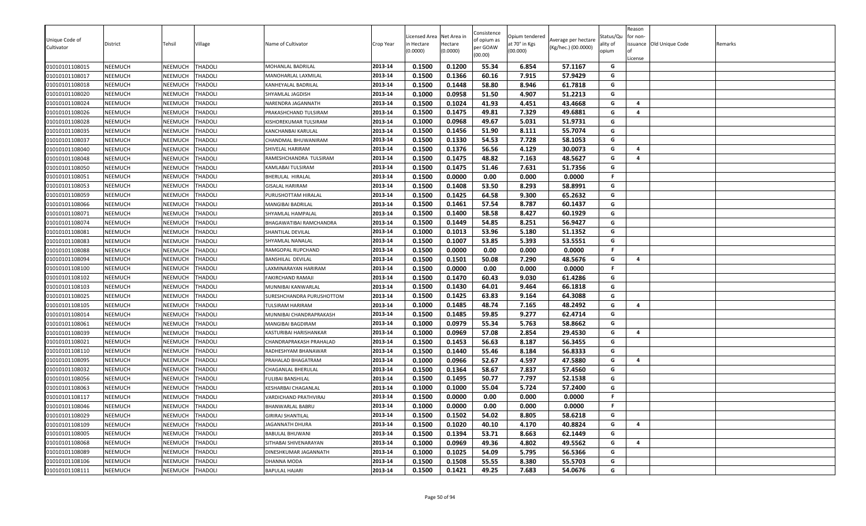|                              |                |                |                |                           |           | icensed Area | Net Area in | Consistence             | Opium tendered |                                            | Status/Qu | Reason<br>for non- |                          |         |
|------------------------------|----------------|----------------|----------------|---------------------------|-----------|--------------|-------------|-------------------------|----------------|--------------------------------------------|-----------|--------------------|--------------------------|---------|
| Unique Code of<br>Cultivator | District       | Tehsil         | <b>Village</b> | Name of Cultivator        | Crop Year | n Hectare    | Hectare     | of opium as<br>per GOAW | at 70° in Kgs  | Average per hectare<br>(Kg/hec.) (00.0000) | ality of  |                    | issuance Old Unique Code | Remarks |
|                              |                |                |                |                           |           | (0.0000)     | (0.0000)    | (00.00)                 | (00.000)       |                                            | opium     |                    |                          |         |
| 01010101108015               | <b>NEEMUCH</b> | NEEMUCH        | <b>THADOLI</b> | MOHANLAL BADRILAL         | 2013-14   | 0.1500       | 0.1200      | 55.34                   | 6.854          | 57.1167                                    | G         | License            |                          |         |
| 01010101108017               | NEEMUCH        | NEEMUCH        | THADOLI        | MANOHARLAL LAXMILAL       | 2013-14   | 0.1500       | 0.1366      | 60.16                   | 7.915          | 57.9429                                    | G         |                    |                          |         |
| 01010101108018               | <b>NEEMUCH</b> | <b>NEEMUCH</b> | <b>THADOLI</b> | KANHEYALAL BADRILAL       | 2013-14   | 0.1500       | 0.1448      | 58.80                   | 8.946          | 61.7818                                    | G         |                    |                          |         |
| 01010101108020               | <b>NEEMUCH</b> | <b>NEEMUCH</b> | <b>THADOLI</b> | SHYAMLAL JAGDISH          | 2013-14   | 0.1000       | 0.0958      | 51.50                   | 4.907          | 51.2213                                    | G         |                    |                          |         |
| 01010101108024               | <b>NEEMUCH</b> | NEEMUCH        | THADOLI        | NARENDRA JAGANNATH        | 2013-14   | 0.1500       | 0.1024      | 41.93                   | 4.451          | 43.4668                                    | G         | $\overline{a}$     |                          |         |
| 01010101108026               | <b>NEEMUCH</b> | NEEMUCH        | THADOLI        | PRAKASHCHAND TULSIRAM     | 2013-14   | 0.1500       | 0.1475      | 49.81                   | 7.329          | 49.6881                                    | G         | 4                  |                          |         |
| 01010101108028               | <b>NEEMUCH</b> | NEEMUCH        | THADOLI        | KISHOREKUMAR TULSIRAM     | 2013-14   | 0.1000       | 0.0968      | 49.67                   | 5.031          | 51.9731                                    | G         |                    |                          |         |
| 01010101108035               | <b>NEEMUCH</b> | NEEMUCH        | <b>THADOLI</b> | KANCHANBAI KARULAL        | 2013-14   | 0.1500       | 0.1456      | 51.90                   | 8.111          | 55.7074                                    | G         |                    |                          |         |
| 01010101108037               | <b>NEEMUCH</b> | NEEMUCH        | THADOLI        | CHANDMAL BHUWANIRAM       | 2013-14   | 0.1500       | 0.1330      | 54.53                   | 7.728          | 58.1053                                    | G         |                    |                          |         |
| 01010101108040               | NEEMUCH        | NEEMUCH        | THADOLI        | SHIVELAL HARIRAM          | 2013-14   | 0.1500       | 0.1376      | 56.56                   | 4.129          | 30.0073                                    | G         | 4                  |                          |         |
| 01010101108048               | <b>NEEMUCH</b> | NEEMUCH        | THADOLI        | RAMESHCHANDRA TULSIRAM    | 2013-14   | 0.1500       | 0.1475      | 48.82                   | 7.163          | 48.5627                                    | G         | 4                  |                          |         |
|                              | <b>NEEMUCH</b> | NEEMUCH        | <b>THADOLI</b> | KAMLABAI TULSIRAM         | 2013-14   | 0.1500       | 0.1475      | 51.46                   | 7.631          | 51.7356                                    | G         |                    |                          |         |
| 01010101108050               |                |                |                |                           |           |              | 0.0000      |                         |                |                                            | F.        |                    |                          |         |
| 01010101108051               | NEEMUCH        | NEEMUCH        | <b>THADOLI</b> | BHERULAL HIRALAL          | 2013-14   | 0.1500       | 0.1408      | 0.00<br>53.50           | 0.000          | 0.0000<br>58.8991                          |           |                    |                          |         |
| 01010101108053               | NEEMUCH        | NEEMUCH        | THADOLI        | <b>GISALAL HARIRAM</b>    | 2013-14   | 0.1500       |             |                         | 8.293          |                                            | G         |                    |                          |         |
| 01010101108059               | <b>NEEMUCH</b> | NEEMUCH        | THADOLI        | PURUSHOTTAM HIRALAL       | 2013-14   | 0.1500       | 0.1425      | 64.58                   | 9.300          | 65.2632                                    | G         |                    |                          |         |
| 01010101108066               | <b>NEEMUCH</b> | NEEMUCH        | THADOLI        | MANGIBAI BADRILAL         | 2013-14   | 0.1500       | 0.1461      | 57.54                   | 8.787          | 60.1437                                    | G         |                    |                          |         |
| 01010101108071               | <b>NEEMUCH</b> | NEEMUCH        | <b>THADOLI</b> | SHYAMLAL HAMPALAL         | 2013-14   | 0.1500       | 0.1400      | 58.58                   | 8.427          | 60.1929                                    | G         |                    |                          |         |
| 01010101108074               | <b>NEEMUCH</b> | NEEMUCH        | <b>THADOLI</b> | BHAGAWATIBAI RAMCHANDRA   | 2013-14   | 0.1500       | 0.1449      | 54.85                   | 8.251          | 56.9427                                    | G         |                    |                          |         |
| 01010101108081               | <b>NEEMUCH</b> | NEEMUCH        | THADOLI        | SHANTILAL DEVILAL         | 2013-14   | 0.1000       | 0.1013      | 53.96                   | 5.180          | 51.1352                                    | G         |                    |                          |         |
| 01010101108083               | NEEMUCH        | NEEMUCH        | THADOLI        | SHYAMLAL NANALAL          | 2013-14   | 0.1500       | 0.1007      | 53.85                   | 5.393          | 53.5551                                    | G         |                    |                          |         |
| 01010101108088               | <b>NEEMUCH</b> | NEEMUCH        | THADOLI        | RAMGOPAL RUPCHAND         | 2013-14   | 0.1500       | 0.0000      | 0.00                    | 0.000          | 0.0000                                     | F.        |                    |                          |         |
| 01010101108094               | <b>NEEMUCH</b> | NEEMUCH        | THADOLI        | <b>BANSHILAL DEVILAL</b>  | 2013-14   | 0.1500       | 0.1501      | 50.08                   | 7.290          | 48.5676                                    | G         | 4                  |                          |         |
| 01010101108100               | <b>NEEMUCH</b> | NEEMUCH        | THADOLI        | LAXMINARAYAN HARIRAM      | 2013-14   | 0.1500       | 0.0000      | 0.00                    | 0.000          | 0.0000                                     | .F        |                    |                          |         |
| 01010101108102               | <b>NEEMUCH</b> | NEEMUCH        | THADOLI        | FAKIRCHAND RAMAJI         | 2013-14   | 0.1500       | 0.1470      | 60.43                   | 9.030          | 61.4286                                    | G         |                    |                          |         |
| 01010101108103               | <b>NEEMUCH</b> | NEEMUCH        | THADOLI        | MUNNIBAI KANWARLAL        | 2013-14   | 0.1500       | 0.1430      | 64.01                   | 9.464          | 66.1818                                    | G         |                    |                          |         |
| 01010101108025               | <b>NEEMUCH</b> | NEEMUCH        | <b>THADOLI</b> | SURESHCHANDRA PURUSHOTTOM | 2013-14   | 0.1500       | 0.1425      | 63.83                   | 9.164          | 64.3088                                    | G         |                    |                          |         |
| 01010101108105               | <b>NEEMUCH</b> | NEEMUCH        | THADOLI        | TULSIRAM HARIRAM          | 2013-14   | 0.1000       | 0.1485      | 48.74                   | 7.165          | 48.2492                                    | G         | $\overline{a}$     |                          |         |
| 01010101108014               | NEEMUCH        | NEEMUCH        | THADOLI        | MUNNIBAI CHANDRAPRAKASH   | 2013-14   | 0.1500       | 0.1485      | 59.85                   | 9.277          | 62.4714                                    | G         |                    |                          |         |
| 01010101108061               | NEEMUCH        | NEEMUCH        | THADOLI        | MANGIBAI BAGDIRAM         | 2013-14   | 0.1000       | 0.0979      | 55.34                   | 5.763          | 58.8662                                    | G         |                    |                          |         |
| 01010101108039               | <b>NEEMUCH</b> | NEEMUCH        | THADOLI        | KASTURIBAI HARISHANKAR    | 2013-14   | 0.1000       | 0.0969      | 57.08                   | 2.854          | 29.4530                                    | G         | 4                  |                          |         |
| 01010101108021               | <b>NEEMUCH</b> | NEEMUCH        | THADOLI        | CHANDRAPRAKASH PRAHALAD   | 2013-14   | 0.1500       | 0.1453      | 56.63                   | 8.187          | 56.3455                                    | G         |                    |                          |         |
| 01010101108110               | <b>NEEMUCH</b> | NEEMUCH        | THADOLI        | RADHESHYAM BHANAWAR       | 2013-14   | 0.1500       | 0.1440      | 55.46                   | 8.184          | 56.8333                                    | G         |                    |                          |         |
| 01010101108095               | <b>NEEMUCH</b> | NEEMUCH        | <b>THADOLI</b> | PRAHALAD BHAGATRAM        | 2013-14   | 0.1000       | 0.0966      | 52.67                   | 4.597          | 47.5880                                    | G         | 4                  |                          |         |
| 01010101108032               | <b>NEEMUCH</b> | NEEMUCH        | THADOLI        | CHAGANLAL BHERULAL        | 2013-14   | 0.1500       | 0.1364      | 58.67                   | 7.837          | 57.4560                                    | G         |                    |                          |         |
| 01010101108056               | <b>NEEMUCH</b> | <b>NEEMUCH</b> | <b>THADOLI</b> | <b>FULIBAI BANSHILAL</b>  | 2013-14   | 0.1500       | 0.1495      | 50.77                   | 7.797          | 52.1538                                    | G         |                    |                          |         |
| 01010101108063               | NEEMUCH        | NEEMUCH        | THADOLI        | KESHARBAI CHAGANLAL       | 2013-14   | 0.1000       | 0.1000      | 55.04                   | 5.724          | 57.2400                                    | G         |                    |                          |         |
| 01010101108117               | NEEMUCH        | NEEMUCH        | <b>THADOLI</b> | VARDICHAND PRATHVIRAJ     | 2013-14   | 0.1500       | 0.0000      | 0.00                    | 0.000          | 0.0000                                     | F.        |                    |                          |         |
| 01010101108046               | <b>NEEMUCH</b> | NEEMUCH        | <b>THADOLI</b> | <b>BHANWARLAL BABRU</b>   | 2013-14   | 0.1000       | 0.0000      | 0.00                    | 0.000          | 0.0000                                     | F.        |                    |                          |         |
| 01010101108029               | <b>NEEMUCH</b> | NEEMUCH        | <b>THADOLI</b> | GIRIRAJ SHANTILAL         | 2013-14   | 0.1500       | 0.1502      | 54.02                   | 8.805          | 58.6218                                    | G         |                    |                          |         |
| 01010101108109               | <b>NEEMUCH</b> | NEEMUCH        | <b>THADOLI</b> | <b>JAGANNATH DHURA</b>    | 2013-14   | 0.1500       | 0.1020      | 40.10                   | 4.170          | 40.8824                                    | G         | 4                  |                          |         |
| 01010101108005               | <b>NEEMUCH</b> | NEEMUCH        | <b>THADOLI</b> | <b>BABULAL BHUWANI</b>    | 2013-14   | 0.1500       | 0.1394      | 53.71                   | 8.663          | 62.1449                                    | G         |                    |                          |         |
| 01010101108068               | <b>NEEMUCH</b> | NEEMUCH        | <b>THADOLI</b> | SITHABAI SHIVENARAYAN     | 2013-14   | 0.1000       | 0.0969      | 49.36                   | 4.802          | 49.5562                                    | G         | 4                  |                          |         |
| 01010101108089               | <b>NEEMUCH</b> | NEEMUCH        | THADOLI        | DINESHKUMAR JAGANNATH     | 2013-14   | 0.1000       | 0.1025      | 54.09                   | 5.795          | 56.5366                                    | G         |                    |                          |         |
| 01010101108106               | <b>NEEMUCH</b> | NEEMUCH        | <b>THADOLI</b> | DHANNA MODA               | 2013-14   | 0.1500       | 0.1508      | 55.55                   | 8.380          | 55.5703                                    | G         |                    |                          |         |
| 01010101108111               | <b>NEEMUCH</b> | NEEMUCH        | <b>THADOLI</b> | <b>BAPULAL HAJARI</b>     | 2013-14   | 0.1500       | 0.1421      | 49.25                   | 7.683          | 54.0676                                    | G         |                    |                          |         |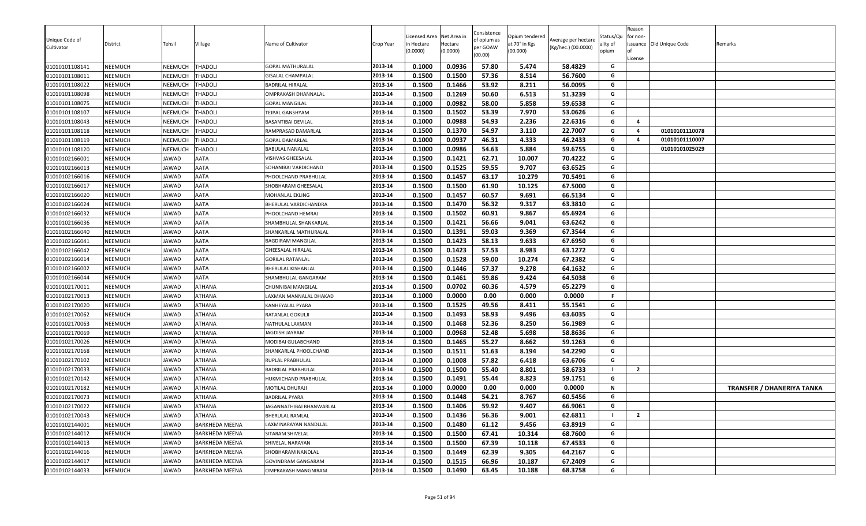| Unique Code of<br>Cultivator | District       | Tehsil       | Village               | Name of Cultivator       | Crop Year | icensed Area<br>n Hectare<br>0.0000) | Net Area in<br>Hectare<br>(0.0000) | Consistence<br>of opium as<br>per GOAW<br>(00.00) | Opium tendered<br>at 70° in Kgs<br>(00.000) | Average per hectare<br>(Kg/hec.) (00.0000) | Status/Qu<br>ality of<br>opium | Reason<br>for non-<br>License | issuance Old Unique Code | Remarks                           |
|------------------------------|----------------|--------------|-----------------------|--------------------------|-----------|--------------------------------------|------------------------------------|---------------------------------------------------|---------------------------------------------|--------------------------------------------|--------------------------------|-------------------------------|--------------------------|-----------------------------------|
| 01010101108141               | <b>NEEMUCH</b> | NEEMUCH      | <b>THADOLI</b>        | <b>GOPAL MATHURALAL</b>  | 2013-14   | 0.1000                               | 0.0936                             | 57.80                                             | 5.474                                       | 58.4829                                    | G                              |                               |                          |                                   |
| 01010101108011               | <b>NEEMUCH</b> | NEEMUCH      | <b>THADOLI</b>        | GISALAL CHAMPALAL        | 2013-14   | 0.1500                               | 0.1500                             | 57.36                                             | 8.514                                       | 56.7600                                    | G                              |                               |                          |                                   |
| 01010101108022               | NEEMUCH        | NEEMUCH      | <b>THADOLI</b>        | <b>BADRILAL HIRALAL</b>  | 2013-14   | 0.1500                               | 0.1466                             | 53.92                                             | 8.211                                       | 56.0095                                    | G                              |                               |                          |                                   |
| 01010101108098               | <b>NEEMUCH</b> | NEEMUCH      | <b>THADOLI</b>        | OMPRAKASH DHANNALAL      | 2013-14   | 0.1500                               | 0.1269                             | 50.60                                             | 6.513                                       | 51.3239                                    | G                              |                               |                          |                                   |
| 01010101108075               | <b>NEEMUCH</b> | NEEMUCH      | <b>THADOLI</b>        | <b>GOPAL MANGILAL</b>    | 2013-14   | 0.1000                               | 0.0982                             | 58.00                                             | 5.858                                       | 59.6538                                    | G                              |                               |                          |                                   |
| 01010101108107               | <b>NEEMUCH</b> | NEEMUCH      | <b>THADOLI</b>        | TEJPAL GANSHYAM          | 2013-14   | 0.1500                               | 0.1502                             | 53.39                                             | 7.970                                       | 53.0626                                    | G                              |                               |                          |                                   |
| 01010101108043               | <b>NEEMUCH</b> | NEEMUCH      | <b>THADOLI</b>        | BASANTIBAI DEVILAL       | 2013-14   | 0.1000                               | 0.0988                             | 54.93                                             | 2.236                                       | 22.6316                                    | G                              | $\overline{4}$                |                          |                                   |
| 01010101108118               | <b>NEEMUCH</b> | NEEMUCH      | <b>THADOLI</b>        | RAMPRASAD DAMARLAL       | 2013-14   | 0.1500                               | 0.1370                             | 54.97                                             | 3.110                                       | 22.7007                                    | G                              | $\overline{4}$                | 01010101110078           |                                   |
| 01010101108119               | <b>NEEMUCH</b> | NEEMUCH      | <b>THADOLI</b>        | GOPAL DAMARLAL           | 2013-14   | 0.1000                               | 0.0937                             | 46.31                                             | 4.333                                       | 46.2433                                    | G                              | $\overline{a}$                | 01010101110007           |                                   |
| 01010101108120               | <b>NEEMUCH</b> | NEEMUCH      | <b>THADOLI</b>        | BABULAL NANALAL          | 2013-14   | 0.1000                               | 0.0986                             | 54.63                                             | 5.884                                       | 59.6755                                    | G                              |                               | 01010101025029           |                                   |
| 01010102166001               | <b>NEEMUCH</b> | <b>IAWAD</b> | <b>AATA</b>           | VISHVAS GHEESALAL        | 2013-14   | 0.1500                               | 0.1421                             | 62.71                                             | 10.007                                      | 70.4222                                    | G                              |                               |                          |                                   |
| 01010102166013               | NEEMUCH        | JAWAD        | <b>AATA</b>           | SOHANIBAI VARDICHAND     | 2013-14   | 0.1500                               | 0.1525                             | 59.55                                             | 9.707                                       | 63.6525                                    | G                              |                               |                          |                                   |
| 01010102166016               | <b>NEEMUCH</b> | JAWAD        | <b>AATA</b>           | PHOOLCHAND PRABHULAL     | 2013-14   | 0.1500                               | 0.1457                             | 63.17                                             | 10.279                                      | 70.5491                                    | G                              |                               |                          |                                   |
| 01010102166017               | <b>NEEMUCH</b> | JAWAD        | <b>AATA</b>           | SHOBHARAM GHEESALAL      | 2013-14   | 0.1500                               | 0.1500                             | 61.90                                             | 10.125                                      | 67.5000                                    | G                              |                               |                          |                                   |
| 01010102166020               | <b>NEEMUCH</b> | JAWAD        | <b>AATA</b>           | MOHANLAL EKLING          | 2013-14   | 0.1500                               | 0.1457                             | 60.57                                             | 9.691                                       | 66.5134                                    | G                              |                               |                          |                                   |
| 01010102166024               | <b>NEEMUCH</b> | JAWAD        | <b>AATA</b>           | BHERULAL VARDICHANDRA    | 2013-14   | 0.1500                               | 0.1470                             | 56.32                                             | 9.317                                       | 63.3810                                    | G                              |                               |                          |                                   |
| 01010102166032               | <b>NEEMUCH</b> | JAWAD        | <b>AATA</b>           | PHOOLCHAND HEMRAJ        | 2013-14   | 0.1500                               | 0.1502                             | 60.91                                             | 9.867                                       | 65.6924                                    | G                              |                               |                          |                                   |
| 01010102166036               | <b>NEEMUCH</b> | JAWAD        | <b>AATA</b>           | SHAMBHULAL SHANKARLAL    | 2013-14   | 0.1500                               | 0.1421                             | 56.66                                             | 9.041                                       | 63.6242                                    | G                              |                               |                          |                                   |
| 01010102166040               | <b>NEEMUCH</b> | <b>JAWAD</b> | <b>AATA</b>           | SHANKARLAL MATHURALAL    | 2013-14   | 0.1500                               | 0.1391                             | 59.03                                             | 9.369                                       | 67.3544                                    | G                              |                               |                          |                                   |
| 01010102166041               | <b>NEEMUCH</b> | <b>IAWAD</b> | <b>AATA</b>           | <b>BAGDIRAM MANGILAL</b> | 2013-14   | 0.1500                               | 0.1423                             | 58.13                                             | 9.633                                       | 67.6950                                    | G                              |                               |                          |                                   |
| 01010102166042               | <b>NEEMUCH</b> | JAWAD        | <b>AATA</b>           | <b>GHEESALAL HIRALAL</b> | 2013-14   | 0.1500                               | 0.1423                             | 57.53                                             | 8.983                                       | 63.1272                                    | G                              |                               |                          |                                   |
| 01010102166014               | <b>NEEMUCH</b> | JAWAD        | <b>AATA</b>           | <b>GORILAL RATANLAL</b>  | 2013-14   | 0.1500                               | 0.1528                             | 59.00                                             | 10.274                                      | 67.2382                                    | G                              |                               |                          |                                   |
| 01010102166002               | <b>NEEMUCH</b> | JAWAD        | <b>AATA</b>           | BHERULAL KISHANLAL       | 2013-14   | 0.1500                               | 0.1446                             | 57.37                                             | 9.278                                       | 64.1632                                    | G                              |                               |                          |                                   |
| 01010102166044               | <b>NEEMUCH</b> | JAWAD        | <b>AATA</b>           | SHAMBHULAL GANGARAM      | 2013-14   | 0.1500                               | 0.1461                             | 59.86                                             | 9.424                                       | 64.5038                                    | G                              |                               |                          |                                   |
| 01010102170011               | <b>NEEMUCH</b> | JAWAD        | <b>ATHANA</b>         | CHUNNIBAI MANGILAL       | 2013-14   | 0.1500                               | 0.0702                             | 60.36                                             | 4.579                                       | 65.2279                                    | G                              |                               |                          |                                   |
| 01010102170013               | NEEMUCH        | JAWAD        | <b>ATHANA</b>         | LAXMAN MANNALAL DHAKAD   | 2013-14   | 0.1000                               | 0.0000                             | 0.00                                              | 0.000                                       | 0.0000                                     | F.                             |                               |                          |                                   |
| 01010102170020               | <b>NEEMUCH</b> | JAWAD        | <b>ATHANA</b>         | KANHEYALAL PYARA         | 2013-14   | 0.1500                               | 0.1525                             | 49.56                                             | 8.411                                       | 55.1541                                    | G                              |                               |                          |                                   |
| 01010102170062               | <b>NEEMUCH</b> | JAWAD        | <b>ATHANA</b>         | RATANLAL GOKULJI         | 2013-14   | 0.1500                               | 0.1493                             | 58.93                                             | 9.496                                       | 63.6035                                    | G                              |                               |                          |                                   |
| 01010102170063               | NEEMUCH        | JAWAD        | ATHANA                | NATHULAL LAXMAN          | 2013-14   | 0.1500                               | 0.1468                             | 52.36                                             | 8.250                                       | 56.1989                                    | G                              |                               |                          |                                   |
| 01010102170069               | <b>NEEMUCH</b> | JAWAD        | <b>ATHANA</b>         | JAGDISH JAYRAM           | 2013-14   | 0.1000                               | 0.0968                             | 52.48                                             | 5.698                                       | 58.8636                                    | G                              |                               |                          |                                   |
| 01010102170026               | <b>NEEMUCH</b> | JAWAD        | <b>ATHANA</b>         | MODIBAI GULABCHAND       | 2013-14   | 0.1500                               | 0.1465                             | 55.27                                             | 8.662                                       | 59.1263                                    | G                              |                               |                          |                                   |
| 01010102170168               | <b>NEEMUCH</b> | JAWAD        | <b>ATHANA</b>         | SHANKARLAL PHOOLCHAND    | 2013-14   | 0.1500                               | 0.1511                             | 51.63                                             | 8.194                                       | 54.2290                                    | G                              |                               |                          |                                   |
| 01010102170102               | <b>NEEMUCH</b> | JAWAD        | <b>ATHANA</b>         | RUPLAL PRABHULAL         | 2013-14   | 0.1000                               | 0.1008                             | 57.82                                             | 6.418                                       | 63.6706                                    | G                              |                               |                          |                                   |
| 01010102170033               | <b>NEEMUCH</b> | JAWAD        | <b>ATHANA</b>         | BADRILAL PRABHULAL       | 2013-14   | 0.1500                               | 0.1500                             | 55.40                                             | 8.801                                       | 58.6733                                    |                                | $\overline{2}$                |                          |                                   |
| 01010102170142               | <b>NEEMUCH</b> | JAWAD        | <b>ATHANA</b>         | HUKMICHAND PRABHULAL     | 2013-14   | 0.1500                               | 0.1491                             | 55.44                                             | 8.823                                       | 59.1751                                    | G                              |                               |                          |                                   |
| 01010102170182               | <b>NEEMUCH</b> | JAWAD        | <b>ATHANA</b>         | MOTILAL DHURAJI          | 2013-14   | 0.1000                               | 0.0000                             | 0.00                                              | 0.000                                       | 0.0000                                     | N                              |                               |                          | <b>TRANSFER / DHANERIYA TANKA</b> |
| 01010102170073               | <b>NEEMUCH</b> | <b>AWAD</b>  | <b>ATHANA</b>         | <b>BADRILAL PYARA</b>    | 2013-14   | 0.1500                               | 0.1448                             | 54.21                                             | 8.767                                       | 60.5456                                    | G                              |                               |                          |                                   |
| 01010102170022               | NEEMUCH        | JAWAD        | <b>ATHANA</b>         | JAGANNATHIBAI BHANWARLAL | 2013-14   | 0.1500                               | 0.1406                             | 59.92                                             | 9.407                                       | 66.9061                                    | G                              |                               |                          |                                   |
| 01010102170043               | <b>NEEMUCH</b> | JAWAD        | <b>ATHANA</b>         | <b>BHERULAL RAMLAL</b>   | 2013-14   | 0.1500                               | 0.1436                             | 56.36                                             | 9.001                                       | 62.6811                                    |                                | $\overline{2}$                |                          |                                   |
| 01010102144001               | NEEMUCH        | JAWAD        | <b>BARKHEDA MEENA</b> | LAXMINARAYAN NANDLLAL    | 2013-14   | 0.1500                               | 0.1480                             | 61.12                                             | 9.456                                       | 63.8919                                    | G                              |                               |                          |                                   |
| 01010102144012               | <b>NEEMUCH</b> | JAWAD        | <b>BARKHEDA MEENA</b> | SITARAM SHIVELAL         | 2013-14   | 0.1500                               | 0.1500                             | 67.41                                             | 10.314                                      | 68.7600                                    | G                              |                               |                          |                                   |
| 01010102144013               | NEEMUCH        | JAWAD        | <b>BARKHEDA MEENA</b> | SHIVELAL NARAYAN         | 2013-14   | 0.1500                               | 0.1500                             | 67.39                                             | 10.118                                      | 67.4533                                    | G                              |                               |                          |                                   |
| 01010102144016               | NEEMUCH        | JAWAD        | <b>BARKHEDA MEENA</b> | SHOBHARAM NANDLAL        | 2013-14   | 0.1500                               | 0.1449                             | 62.39                                             | 9.305                                       | 64.2167                                    | G                              |                               |                          |                                   |
| 01010102144017               | NEEMUCH        | JAWAD        | <b>BARKHEDA MEENA</b> | GOVINDRAM GANGARAM       | 2013-14   | 0.1500                               | 0.1515                             | 66.96                                             | 10.187                                      | 67.2409                                    | G                              |                               |                          |                                   |
| 01010102144033               | NEEMUCH        | JAWAD        | <b>BARKHEDA MEENA</b> | OMPRAKASH MANGNIRAM      | 2013-14   | 0.1500                               | 0.1490                             | 63.45                                             | 10.188                                      | 68.3758                                    | G                              |                               |                          |                                   |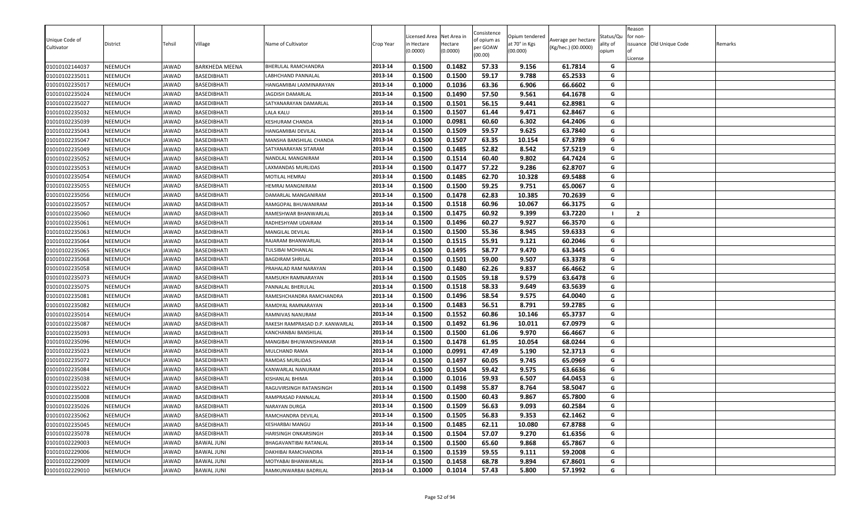|                              |                |        |                       |                                 |           | icensed Area | Net Area in | Consistence             | Opium tendered |                                            | Status/Qu | Reason<br>for non- |                          |         |
|------------------------------|----------------|--------|-----------------------|---------------------------------|-----------|--------------|-------------|-------------------------|----------------|--------------------------------------------|-----------|--------------------|--------------------------|---------|
| Unique Code of<br>Cultivator | District       | Tehsil | Village               | Name of Cultivator              | Crop Year | n Hectare    | Hectare     | of opium as<br>per GOAW | at 70° in Kgs  | Average per hectare<br>(Kg/hec.) (00.0000) | ality of  |                    | issuance Old Unique Code | Remarks |
|                              |                |        |                       |                                 |           | (0.0000)     | (0.0000)    | (00.00)                 | (00.000)       |                                            | opium     |                    |                          |         |
| 01010102144037               | <b>NEEMUCH</b> | JAWAD  | <b>BARKHEDA MEENA</b> | BHERULAL RAMCHANDRA             | 2013-14   | 0.1500       | 0.1482      | 57.33                   | 9.156          | 61.7814                                    | G         | License            |                          |         |
| 01010102235011               | <b>NEEMUCH</b> | JAWAD  | <b>BASEDIBHATI</b>    | LABHCHAND PANNALAL              | 2013-14   | 0.1500       | 0.1500      | 59.17                   | 9.788          | 65.2533                                    | G         |                    |                          |         |
| 01010102235017               | <b>NEEMUCH</b> | JAWAD  | <b>BASEDIBHATI</b>    | HANGAMIBAI LAXMINARAYAN         | 2013-14   | 0.1000       | 0.1036      | 63.36                   | 6.906          | 66.6602                                    | G         |                    |                          |         |
| 01010102235024               | NEEMUCH        | JAWAD  | <b>BASEDIBHATI</b>    | JAGDISH DAMARLAL                | 2013-14   | 0.1500       | 0.1490      | 57.50                   | 9.561          | 64.1678                                    | G         |                    |                          |         |
| 01010102235027               | <b>NEEMUCH</b> | JAWAD  | BASEDIBHATI           | SATYANARAYAN DAMARLAI           | 2013-14   | 0.1500       | 0.1501      | 56.15                   | 9.441          | 62.8981                                    | G         |                    |                          |         |
| 01010102235032               | <b>NEEMUCH</b> | JAWAD  | BASEDIBHATI           | LALA KALU                       | 2013-14   | 0.1500       | 0.1507      | 61.44                   | 9.471          | 62.8467                                    | G         |                    |                          |         |
| 01010102235039               | <b>NEEMUCH</b> | JAWAD  | BASEDIBHATI           | KESHURAM CHANDA                 | 2013-14   | 0.1000       | 0.0981      | 60.60                   | 6.302          | 64.2406                                    | G         |                    |                          |         |
| 01010102235043               | <b>NEEMUCH</b> | JAWAD  | BASEDIBHATI           | HANGAMIBAI DEVILAL              | 2013-14   | 0.1500       | 0.1509      | 59.57                   | 9.625          | 63.7840                                    | G         |                    |                          |         |
| 01010102235047               | <b>NEEMUCH</b> | JAWAD  | <b>BASEDIBHATI</b>    | MANSHA BANSHILAL CHANDA         | 2013-14   | 0.1500       | 0.1507      | 63.35                   | 10.154         | 67.3789                                    | G         |                    |                          |         |
| 01010102235049               | <b>NEEMUCH</b> | JAWAD  | <b>BASEDIBHATI</b>    | SATYANARAYAN SITARAM            | 2013-14   | 0.1500       | 0.1485      | 52.82                   | 8.542          | 57.5219                                    | G         |                    |                          |         |
| 01010102235052               | <b>NEEMUCH</b> | JAWAD  | <b>BASEDIBHATI</b>    | NANDLAL MANGNIRAM               | 2013-14   | 0.1500       | 0.1514      | 60.40                   | 9.802          | 64.7424                                    | G         |                    |                          |         |
| 01010102235053               | <b>NEEMUCH</b> | JAWAD  | <b>BASEDIBHATI</b>    | LAXMANDAS MURLIDAS              | 2013-14   | 0.1500       | 0.1477      | 57.22                   | 9.286          | 62.8707                                    | G         |                    |                          |         |
| 01010102235054               | NEEMUCH        | JAWAD  | BASEDIBHATI           | MOTILAL HEMRAJ                  | 2013-14   | 0.1500       | 0.1485      | 62.70                   | 10.328         | 69.5488                                    | G         |                    |                          |         |
| 01010102235055               | NEEMUCH        | JAWAD  | BASEDIBHATI           | <b>HEMRAJ MANGNIRAM</b>         | 2013-14   | 0.1500       | 0.1500      | 59.25                   | 9.751          | 65.0067                                    | G         |                    |                          |         |
| 01010102235056               | <b>NEEMUCH</b> | JAWAD  | <b>BASEDIBHATI</b>    | DAMARLAL MANGANIRAM             | 2013-14   | 0.1500       | 0.1478      | 62.83                   | 10.385         | 70.2639                                    | G         |                    |                          |         |
| 01010102235057               | <b>NEEMUCH</b> | JAWAD  | <b>BASEDIBHATI</b>    | RAMGOPAL BHUWANIRAM             | 2013-14   | 0.1500       | 0.1518      | 60.96                   | 10.067         | 66.3175                                    | G         |                    |                          |         |
| 01010102235060               | <b>NEEMUCH</b> | JAWAD  | <b>BASEDIBHATI</b>    | RAMESHWAR BHANWARLAL            | 2013-14   | 0.1500       | 0.1475      | 60.92                   | 9.399          | 63.7220                                    |           | $\overline{2}$     |                          |         |
| 01010102235061               | <b>NEEMUCH</b> | JAWAD  | <b>BASEDIBHATI</b>    | RADHESHYAM UDAIRAM              | 2013-14   | 0.1500       | 0.1496      | 60.27                   | 9.927          | 66.3570                                    | G         |                    |                          |         |
| 01010102235063               | <b>NEEMUCH</b> | JAWAD  | <b>BASEDIBHATI</b>    | MANGILAL DEVILAL                | 2013-14   | 0.1500       | 0.1500      | 55.36                   | 8.945          | 59.6333                                    | G         |                    |                          |         |
| 01010102235064               | NEEMUCH        | JAWAD  | BASEDIBHATI           | RAJARAM BHANWARLAL              | 2013-14   | 0.1500       | 0.1515      | 55.91                   | 9.121          | 60.2046                                    | G         |                    |                          |         |
| 01010102235065               | <b>NEEMUCH</b> | JAWAD  | BASEDIBHATI           | TULSIBAI MOHANLAL               | 2013-14   | 0.1500       | 0.1495      | 58.77                   | 9.470          | 63.3445                                    | G         |                    |                          |         |
| 01010102235068               | <b>NEEMUCH</b> | JAWAD  | BASEDIBHATI           | <b>BAGDIRAM SHRILAL</b>         | 2013-14   | 0.1500       | 0.1501      | 59.00                   | 9.507          | 63.3378                                    | G         |                    |                          |         |
| 01010102235058               | <b>NEEMUCH</b> | JAWAD  | BASEDIBHATI           | PRAHALAD RAM NARAYAN            | 2013-14   | 0.1500       | 0.1480      | 62.26                   | 9.837          | 66.4662                                    | G         |                    |                          |         |
| 01010102235073               | <b>NEEMUCH</b> | JAWAD  | <b>BASEDIBHATI</b>    | RAMSUKH RAMNARAYAN              | 2013-14   | 0.1500       | 0.1505      | 59.18                   | 9.579          | 63.6478                                    | G         |                    |                          |         |
| 01010102235075               | <b>NEEMUCH</b> | JAWAD  | BASEDIBHATI           | PANNALAL BHERULAL               | 2013-14   | 0.1500       | 0.1518      | 58.33                   | 9.649          | 63.5639                                    | G         |                    |                          |         |
| 01010102235081               | <b>NEEMUCH</b> | JAWAD  | <b>BASEDIBHATI</b>    | RAMESHCHANDRA RAMCHANDRA        | 2013-14   | 0.1500       | 0.1496      | 58.54                   | 9.575          | 64.0040                                    | G         |                    |                          |         |
| 01010102235082               | <b>NEEMUCH</b> | JAWAD  | BASEDIBHATI           | RAMDYAL RAMNARAYAN              | 2013-14   | 0.1500       | 0.1483      | 56.51                   | 8.791          | 59.2785                                    | G         |                    |                          |         |
| 01010102235014               | NEEMUCH        | JAWAD  | BASEDIBHATI           | RAMNIVAS NANURAM                | 2013-14   | 0.1500       | 0.1552      | 60.86                   | 10.146         | 65.3737                                    | G         |                    |                          |         |
| 01010102235087               | <b>NEEMUCH</b> | JAWAD  | BASEDIBHATI           | RAKESH RAMPRASAD D.P. KANWARLAL | 2013-14   | 0.1500       | 0.1492      | 61.96                   | 10.011         | 67.0979                                    | G         |                    |                          |         |
| 01010102235093               | <b>NEEMUCH</b> | JAWAD  | BASEDIBHATI           | KANCHANBAI BANSHILAL            | 2013-14   | 0.1500       | 0.1500      | 61.06                   | 9.970          | 66.4667                                    | G         |                    |                          |         |
| 01010102235096               | <b>NEEMUCH</b> | JAWAD  | BASEDIBHATI           | MANGIBAI BHUWANISHANKAR         | 2013-14   | 0.1500       | 0.1478      | 61.95                   | 10.054         | 68.0244                                    | G         |                    |                          |         |
| 01010102235023               | <b>NEEMUCH</b> | JAWAD  | <b>BASEDIBHATI</b>    | MULCHAND RAMA                   | 2013-14   | 0.1000       | 0.0991      | 47.49                   | 5.190          | 52.3713                                    | G         |                    |                          |         |
| 01010102235072               | <b>NEEMUCH</b> | JAWAD  | BASEDIBHATI           | <b>RAMDAS MURLIDAS</b>          | 2013-14   | 0.1500       | 0.1497      | 60.05                   | 9.745          | 65.0969                                    | G         |                    |                          |         |
| 01010102235084               | <b>NEEMUCH</b> | JAWAD  | BASEDIBHATI           | KANWARLAL NANURAM               | 2013-14   | 0.1500       | 0.1504      | 59.42                   | 9.575          | 63.6636                                    | G         |                    |                          |         |
| 01010102235038               | <b>NEEMUCH</b> | JAWAD  | <b>BASEDIBHATI</b>    | KISHANLAL BHIMA                 | 2013-14   | 0.1000       | 0.1016      | 59.93                   | 6.507          | 64.0453                                    | G         |                    |                          |         |
| 01010102235022               | NEEMUCH        | JAWAD  | BASEDIBHATI           | RAGUVIRSINGH RATANSINGH         | 2013-14   | 0.1500       | 0.1498      | 55.87                   | 8.764          | 58.5047                                    | G         |                    |                          |         |
| 01010102235008               | NEEMUCH        | JAWAD  | BASEDIBHATI           | RAMPRASAD PANNALAL              | 2013-14   | 0.1500       | 0.1500      | 60.43                   | 9.867          | 65.7800                                    | G         |                    |                          |         |
| 01010102235026               | <b>NEEMUCH</b> | JAWAD  | <b>BASEDIBHATI</b>    | <b>NARAYAN DURGA</b>            | 2013-14   | 0.1500       | 0.1509      | 56.63                   | 9.093          | 60.2584                                    | G         |                    |                          |         |
| 01010102235062               | <b>NEEMUCH</b> | JAWAD  | BASEDIBHATI           | RAMCHANDRA DEVILAL              | 2013-14   | 0.1500       | 0.1505      | 56.83                   | 9.353          | 62.1462                                    | G         |                    |                          |         |
| 01010102235045               | <b>NEEMUCH</b> | JAWAD  | BASEDIBHATI           | <b>KESHARBAI MANGU</b>          | 2013-14   | 0.1500       | 0.1485      | 62.11                   | 10.080         | 67.8788                                    | G         |                    |                          |         |
| 01010102235078               | <b>NEEMUCH</b> | JAWAD  | BASEDIBHATI           | HARISINGH ONKARSINGH            | 2013-14   | 0.1500       | 0.1504      | 57.07                   | 9.270          | 61.6356                                    | G         |                    |                          |         |
| 01010102229003               | <b>NEEMUCH</b> | JAWAD  | <b>BAWAL JUNI</b>     | BHAGAVANTIBAI RATANLAL          | 2013-14   | 0.1500       | 0.1500      | 65.60                   | 9.868          | 65.7867                                    | G         |                    |                          |         |
| 01010102229006               | <b>NEEMUCH</b> | JAWAD  | <b>BAWAL JUNI</b>     | DAKHIBAI RAMCHANDRA             | 2013-14   | 0.1500       | 0.1539      | 59.55                   | 9.111          | 59.2008                                    | G         |                    |                          |         |
| 01010102229009               | <b>NEEMUCH</b> | JAWAD  | <b>BAWAL JUNI</b>     | MOTYABAI BHANWARLAL             | 2013-14   | 0.1500       | 0.1458      | 68.78                   | 9.894          | 67.8601                                    | G         |                    |                          |         |
| 01010102229010               | <b>NEEMUCH</b> | JAWAD  | <b>BAWAL JUNI</b>     | RAMKUNWARBAI BADRILAL           | 2013-14   | 0.1000       | 0.1014      | 57.43                   | 5.800          | 57.1992                                    | G         |                    |                          |         |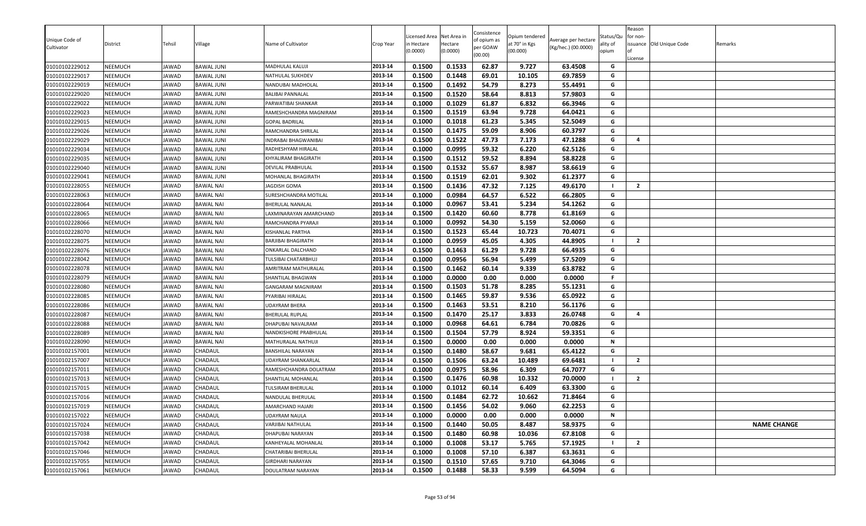| 2013-14<br>0.1500<br>0.1448<br>69.01<br>69.7859<br>G<br>01010102229017<br>NEEMUCH<br><b>IAWAD</b><br>10.105<br>BAWAL JUNI<br>NATHULAL SUKHDEV<br>01010102229019<br>NEEMUCH<br>2013-14<br>0.1500<br>0.1492<br>54.79<br>8.273<br>55.4491<br>JAWAD<br><b>BAWAL JUNI</b><br>G<br>NANDUBAI MADHOLAL<br>58.64<br>2013-14<br>0.1500<br>0.1520<br>8.813<br>57.9803<br>G<br>01010102229020<br>NEEMUCH<br>JAWAD<br><b>BAWAL JUNI</b><br>BALIBAI PANNALAL<br>0.1029<br>61.87<br>01010102229022<br>NEEMUCH<br>0.1000<br>6.832<br>66.3946<br>G<br>JAWAD<br><b>BAWAL JUNI</b><br>2013-14<br>PARWATIBAI SHANKAR<br>G<br>2013-14<br>0.1500<br>0.1519<br>63.94<br>9.728<br>01010102229023<br>NEEMUCH<br>JAWAD<br><b>BAWAL JUNI</b><br>64.0421<br>RAMESHCHANDRA MAGNIRAM<br>61.23<br>01010102229015<br>NEEMUCH<br>0.1000<br>0.1018<br>5.345<br>52.5049<br>G<br>JAWAD<br><b>BAWAL JUNI</b><br>2013-14<br>GOPAL BADRILAL<br>0.1500<br>0.1475<br>59.09<br>8.906<br>60.3797<br>G<br>01010102229026<br>NEEMUCH<br>2013-14<br>JAWAD<br><b>BAWAL JUNI</b><br>RAMCHANDRA SHRILAI<br>01010102229029<br>NEEMUCH<br>0.1500<br>0.1522<br>47.73<br>7.173<br>47.1288<br>JAWAD<br><b>BAWAL JUNI</b><br>2013-14<br>G<br>$\overline{a}$<br>INDRABAI BHAGWANIBAI<br>0.1000<br>0.0995<br>59.32<br>6.220<br>62.5126<br>01010102229034<br>NEEMUCH<br>JAWAD<br><b>BAWAL JUNI</b><br>2013-14<br>G<br>RADHESHYAM HIRALAL<br>59.52<br>58.8228<br>0.1500<br>0.1512<br>8.894<br>01010102229035<br>NEEMUCH<br>JAWAD<br>2013-14<br>G<br>BAWAL JUNI<br>KHYALIRAM BHAGIRATH<br>0.1532<br>55.67<br>2013-14<br>0.1500<br>8.987<br>58.6619<br>G<br>01010102229040<br>NEEMUCH<br>JAWAD<br><b>BAWAL JUNI</b><br>DEVILAL PRABHULAL<br>0.1519<br>62.01<br>0.1500<br>9.302<br>61.2377<br>G<br>01010102229041<br>NEEMUCH<br>JAWAD<br><b>BAWAL JUNI</b><br>2013-14<br>MOHANLAL BHAGIRATH<br>0.1436<br>47.32<br>0.1500<br>7.125<br>49.6170<br>$\overline{2}$<br>2013-14<br>01010102228055<br>NEEMUCH<br>JAWAD<br><b>BAWAL NAI</b><br>JAGDISH GOMA<br>0.1000<br>0.0984<br>64.57<br>6.522<br>G<br>01010102228063<br>NEEMUCH<br>JAWAD<br><b>BAWAL NAI</b><br>2013-14<br>66.2805<br>SURESHCHANDRA MOTILAL<br>0.0967<br>5.234<br>53.41<br>54.1262<br>G<br>2013-14<br>0.1000<br>01010102228064<br>NEEMUCH<br>JAWAD<br><b>BAWAL NAI</b><br>BHERULAL NANALAL<br>01010102228065<br>NEEMUCH<br>0.1500<br>0.1420<br>60.60<br>8.778<br>61.8169<br>JAWAD<br><b>BAWAL NAI</b><br>LAXMINARAYAN AMARCHAND<br>2013-14<br>G<br>0.1000<br>0.0992<br>54.30<br>5.159<br>52.0060<br>01010102228066<br>2013-14<br>G<br>NEEMUCH<br>JAWAD<br><b>BAWAL NAI</b><br>RAMCHANDRA PYARAJI<br>0.1523<br>01010102228070<br>2013-14<br>0.1500<br>65.44<br>10.723<br>70.4071<br>NEEMUCH<br>JAWAD<br><b>BAWAL NAI</b><br>G<br>KISHANLAL PARTHA<br>0.1000<br>0.0959<br>45.05<br>4.305<br>44.8905<br>2013-14<br>$\overline{2}$<br>01010102228075<br>NEEMUCH<br>JAWAD<br>BARJIBAI BHAGIRATH<br>BAWAL NAI<br>0.1500<br>0.1463<br>61.29<br>9.728<br>66.4935<br>01010102228076<br>NEEMUCH<br>2013-14<br>G<br>JAWAD<br><b>BAWAL NAI</b><br>ONKARLAL DALCHAND<br>0.0956<br>56.94<br>57.5209<br>0.1000<br>5.499<br>G<br>2013-14<br>01010102228042<br>NEEMUCH<br>JAWAD<br><b>BAWAL NAI</b><br>TULSIBAI CHATARBHUJ<br>01010102228078<br>NEEMUCH<br>2013-14<br>0.1500<br>0.1462<br>60.14<br>9.339<br>63.8782<br>G<br>JAWAD<br><b>BAWAL NAI</b><br>AMRITRAM MATHURALAL<br>0.1000<br>0.0000<br>0.00<br>0.000<br>0.0000<br>2013-14<br>F.<br>01010102228079<br>NEEMUCH<br>JAWAD<br><b>BAWAL NAI</b><br>SHANTILAL BHAGWAN<br>NEEMUCH<br>0.1500<br>0.1503<br>51.78<br>8.285<br>55.1231<br>01010102228080<br>JAWAD<br><b>BAWAL NAI</b><br>2013-14<br>G<br>GANGARAM MAGNIRAM<br>59.87<br>0.1500<br>0.1465<br>9.536<br>65.0922<br>01010102228085<br>NEEMUCH<br>JAWAD<br><b>BAWAL NAI</b><br>PYARIBAI HIRALAL<br>2013-14<br>G<br>2013-14<br>53.51<br>0.1500<br>0.1463<br>8.210<br>56.1176<br>G<br>01010102228086<br>NEEMUCH<br>JAWAD<br><b>BAWAL NAI</b><br>UDAYRAM BHERA<br>2013-14<br>0.1500<br>0.1470<br>25.17<br>3.833<br>26.0748<br>G<br>01010102228087<br>NEEMUCH<br>JAWAD<br>$\overline{a}$<br><b>BAWAL NAI</b><br>BHERULAL RUPLAL<br>0.0968<br>64.61<br>G<br>2013-14<br>0.1000<br>6.784<br>70.0826<br>NEEMUCH<br>JAWAD<br>01010102228088<br>BAWAL NAI<br>DHAPUBAI NAVALRAM<br>0.1504<br>57.79<br>8.924<br>59.3351<br>2013-14<br>0.1500<br>G<br>01010102228089<br>NEEMUCH<br>IAWAD<br><b>BAWAL NAI</b><br>NANDKISHORE PRABHULAL<br>0.1500<br>0.0000<br>0.00<br>N<br>01010102228090<br>NEEMUCH<br>JAWAD<br><b>BAWAL NAI</b><br>2013-14<br>0.000<br>0.0000<br>MATHURALAL NATHUJI<br>58.67<br>0.1500<br>0.1480<br>9.681<br>65.4122<br>01010102157001<br>CHADAUL<br>2013-14<br>G<br>NEEMUCH<br>JAWAD<br>BANSHILAL NARAYAN<br>2013-14<br>0.1500<br>0.1506<br>63.24<br>10.489<br>69.6481<br>$\overline{2}$<br>01010102157007<br>NEEMUCH<br>JAWAD<br>CHADAUL<br>UDAYRAM SHANKARLAL<br>0.1000<br>0.0975<br>58.96<br>6.309<br>64.7077<br>01010102157011<br>NEEMUCH<br>JAWAD<br>CHADAUL<br>2013-14<br>G<br>RAMESHCHANDRA DOLATRAM<br>2013-14<br>10.332<br>01010102157013<br>NEEMUCH<br>CHADAUL<br>0.1500<br>0.1476<br>60.98<br>70.0000<br>$\overline{2}$<br>JAWAD<br>SHANTILAL MOHANLAL<br>- 1<br>01010102157015<br>0.1012<br>60.14<br>NEEMUCH<br>JAWAD<br>CHADAUL<br>2013-14<br>0.1000<br>6.409<br>63.3300<br>G<br>TULSIRAM BHERULAL<br>62.72<br>G<br>01010102157016<br>NEEMUCH<br>2013-14<br>0.1500<br>0.1484<br>10.662<br>71.8464<br>IAWAD<br>CHADAUL<br>NANDULAL BHERULAL<br>0.1456<br>54.02<br>01010102157019<br>NEEMUCH<br>0.1500<br>9.060<br>62.2253<br>G<br>JAWAD<br>CHADAUL<br>2013-14<br>AMARCHAND HAJARI<br>2013-14<br>01010102157022<br>NEEMUCH<br>CHADAUL<br>0.0000<br>N<br>JAWAD<br>UDAYRAM NAULA<br>0.1000<br>0.00<br>0.000<br>0.0000<br>50.05<br>01010102157024<br>NEEMUCH<br>CHADAUL<br>2013-14<br>0.1500<br>0.1440<br>8.487<br>58.9375<br>G<br><b>NAME CHANGE</b><br>JAWAD<br>VARJIBAI NATHULAL<br>01010102157038<br>2013-14<br>0.1480<br>60.98<br>G<br>NEEMUCH<br>JAWAD<br>CHADAUL<br>0.1500<br>10.036<br>67.8108<br>DHAPUBAI NARAYAN<br>53.17<br>01010102157042<br>JAWAD<br>CHADAUL<br>0.1000<br>0.1008<br>5.765<br>57.1925<br>$\overline{2}$<br>NEEMUCH<br>KANHEYALAL MOHANLAL<br>2013-14<br>2013-14<br>0.1000<br>0.1008<br>57.10<br>6.387<br>63.3631<br>01010102157046<br>G<br>NEEMUCH<br>JAWAD<br>CHADAUL<br>CHATARIBAI BHERULAL<br>2013-14<br>57.65<br>01010102157055<br>NEEMUCH<br>JAWAD<br>CHADAUL<br>0.1500<br>0.1510<br>9.710<br>64.3046<br>G<br>GIRDHARI NARAYAN<br>0.1500<br>0.1488<br>58.33<br>9.599<br>01010102157061<br>2013-14<br>64.5094<br>G<br>NEEMUCH<br>JAWAD<br>CHADAUL<br>DOULATRAM NARAYAN | Unique Code of<br>Cultivator<br>01010102229012 | District<br>NEEMUCH | Tehsil<br>JAWAD | Village<br><b>BAWAL JUNI</b> | Name of Cultivator<br>MADHULAL KALUJI | Crop Year<br>2013-14 | Licensed Area<br>n Hectare<br>(0.0000)<br>0.1500 | Net Area in<br>Hectare<br>(0.0000)<br>0.1533 | Consistence<br>of opium as<br>per GOAW<br>(00.00)<br>62.87 | Opium tendered<br>at 70° in Kgs<br>(00.000)<br>9.727 | Average per hectare<br>(Kg/hec.) (00.0000)<br>63.4508 | Status/Qu<br>ality of<br>opium<br>G | Reason<br>for non-<br>License | issuance Old Unique Code | Remarks |
|-------------------------------------------------------------------------------------------------------------------------------------------------------------------------------------------------------------------------------------------------------------------------------------------------------------------------------------------------------------------------------------------------------------------------------------------------------------------------------------------------------------------------------------------------------------------------------------------------------------------------------------------------------------------------------------------------------------------------------------------------------------------------------------------------------------------------------------------------------------------------------------------------------------------------------------------------------------------------------------------------------------------------------------------------------------------------------------------------------------------------------------------------------------------------------------------------------------------------------------------------------------------------------------------------------------------------------------------------------------------------------------------------------------------------------------------------------------------------------------------------------------------------------------------------------------------------------------------------------------------------------------------------------------------------------------------------------------------------------------------------------------------------------------------------------------------------------------------------------------------------------------------------------------------------------------------------------------------------------------------------------------------------------------------------------------------------------------------------------------------------------------------------------------------------------------------------------------------------------------------------------------------------------------------------------------------------------------------------------------------------------------------------------------------------------------------------------------------------------------------------------------------------------------------------------------------------------------------------------------------------------------------------------------------------------------------------------------------------------------------------------------------------------------------------------------------------------------------------------------------------------------------------------------------------------------------------------------------------------------------------------------------------------------------------------------------------------------------------------------------------------------------------------------------------------------------------------------------------------------------------------------------------------------------------------------------------------------------------------------------------------------------------------------------------------------------------------------------------------------------------------------------------------------------------------------------------------------------------------------------------------------------------------------------------------------------------------------------------------------------------------------------------------------------------------------------------------------------------------------------------------------------------------------------------------------------------------------------------------------------------------------------------------------------------------------------------------------------------------------------------------------------------------------------------------------------------------------------------------------------------------------------------------------------------------------------------------------------------------------------------------------------------------------------------------------------------------------------------------------------------------------------------------------------------------------------------------------------------------------------------------------------------------------------------------------------------------------------------------------------------------------------------------------------------------------------------------------------------------------------------------------------------------------------------------------------------------------------------------------------------------------------------------------------------------------------------------------------------------------------------------------------------------------------------------------------------------------------------------------------------------------------------------------------------------------------------------------------------------------------------------------------------------------------------------------------------------------------------------------------------------------------------------------------------------------------------------------------------------------------------------------------------------------------------------------------------------------------------------------------------------------------------------------------------------------------------------------------------------------------------------------------------------------------------------------------------------------------------------------------------------------------------------------------------------------------------------------------------------------------------------------------------------------------------------------------------------------------------------------------------------------------------------------------------------------------------------------------------------------------------------------------------------------------------------------------------------------------------------------------------------------------------------------------------------------------------------------------------------------|------------------------------------------------|---------------------|-----------------|------------------------------|---------------------------------------|----------------------|--------------------------------------------------|----------------------------------------------|------------------------------------------------------------|------------------------------------------------------|-------------------------------------------------------|-------------------------------------|-------------------------------|--------------------------|---------|
|                                                                                                                                                                                                                                                                                                                                                                                                                                                                                                                                                                                                                                                                                                                                                                                                                                                                                                                                                                                                                                                                                                                                                                                                                                                                                                                                                                                                                                                                                                                                                                                                                                                                                                                                                                                                                                                                                                                                                                                                                                                                                                                                                                                                                                                                                                                                                                                                                                                                                                                                                                                                                                                                                                                                                                                                                                                                                                                                                                                                                                                                                                                                                                                                                                                                                                                                                                                                                                                                                                                                                                                                                                                                                                                                                                                                                                                                                                                                                                                                                                                                                                                                                                                                                                                                                                                                                                                                                                                                                                                                                                                                                                                                                                                                                                                                                                                                                                                                                                                                                                                                                                                                                                                                                                                                                                                                                                                                                                                                                                                                                                                                                                                                                                                                                                                                                                                                                                                                                                                                                                                                                                                                                                                                                                                                                                                                                                                                                                                                                                                                                                                                             |                                                |                     |                 |                              |                                       |                      |                                                  |                                              |                                                            |                                                      |                                                       |                                     |                               |                          |         |
|                                                                                                                                                                                                                                                                                                                                                                                                                                                                                                                                                                                                                                                                                                                                                                                                                                                                                                                                                                                                                                                                                                                                                                                                                                                                                                                                                                                                                                                                                                                                                                                                                                                                                                                                                                                                                                                                                                                                                                                                                                                                                                                                                                                                                                                                                                                                                                                                                                                                                                                                                                                                                                                                                                                                                                                                                                                                                                                                                                                                                                                                                                                                                                                                                                                                                                                                                                                                                                                                                                                                                                                                                                                                                                                                                                                                                                                                                                                                                                                                                                                                                                                                                                                                                                                                                                                                                                                                                                                                                                                                                                                                                                                                                                                                                                                                                                                                                                                                                                                                                                                                                                                                                                                                                                                                                                                                                                                                                                                                                                                                                                                                                                                                                                                                                                                                                                                                                                                                                                                                                                                                                                                                                                                                                                                                                                                                                                                                                                                                                                                                                                                                             |                                                |                     |                 |                              |                                       |                      |                                                  |                                              |                                                            |                                                      |                                                       |                                     |                               |                          |         |
|                                                                                                                                                                                                                                                                                                                                                                                                                                                                                                                                                                                                                                                                                                                                                                                                                                                                                                                                                                                                                                                                                                                                                                                                                                                                                                                                                                                                                                                                                                                                                                                                                                                                                                                                                                                                                                                                                                                                                                                                                                                                                                                                                                                                                                                                                                                                                                                                                                                                                                                                                                                                                                                                                                                                                                                                                                                                                                                                                                                                                                                                                                                                                                                                                                                                                                                                                                                                                                                                                                                                                                                                                                                                                                                                                                                                                                                                                                                                                                                                                                                                                                                                                                                                                                                                                                                                                                                                                                                                                                                                                                                                                                                                                                                                                                                                                                                                                                                                                                                                                                                                                                                                                                                                                                                                                                                                                                                                                                                                                                                                                                                                                                                                                                                                                                                                                                                                                                                                                                                                                                                                                                                                                                                                                                                                                                                                                                                                                                                                                                                                                                                                             |                                                |                     |                 |                              |                                       |                      |                                                  |                                              |                                                            |                                                      |                                                       |                                     |                               |                          |         |
|                                                                                                                                                                                                                                                                                                                                                                                                                                                                                                                                                                                                                                                                                                                                                                                                                                                                                                                                                                                                                                                                                                                                                                                                                                                                                                                                                                                                                                                                                                                                                                                                                                                                                                                                                                                                                                                                                                                                                                                                                                                                                                                                                                                                                                                                                                                                                                                                                                                                                                                                                                                                                                                                                                                                                                                                                                                                                                                                                                                                                                                                                                                                                                                                                                                                                                                                                                                                                                                                                                                                                                                                                                                                                                                                                                                                                                                                                                                                                                                                                                                                                                                                                                                                                                                                                                                                                                                                                                                                                                                                                                                                                                                                                                                                                                                                                                                                                                                                                                                                                                                                                                                                                                                                                                                                                                                                                                                                                                                                                                                                                                                                                                                                                                                                                                                                                                                                                                                                                                                                                                                                                                                                                                                                                                                                                                                                                                                                                                                                                                                                                                                                             |                                                |                     |                 |                              |                                       |                      |                                                  |                                              |                                                            |                                                      |                                                       |                                     |                               |                          |         |
|                                                                                                                                                                                                                                                                                                                                                                                                                                                                                                                                                                                                                                                                                                                                                                                                                                                                                                                                                                                                                                                                                                                                                                                                                                                                                                                                                                                                                                                                                                                                                                                                                                                                                                                                                                                                                                                                                                                                                                                                                                                                                                                                                                                                                                                                                                                                                                                                                                                                                                                                                                                                                                                                                                                                                                                                                                                                                                                                                                                                                                                                                                                                                                                                                                                                                                                                                                                                                                                                                                                                                                                                                                                                                                                                                                                                                                                                                                                                                                                                                                                                                                                                                                                                                                                                                                                                                                                                                                                                                                                                                                                                                                                                                                                                                                                                                                                                                                                                                                                                                                                                                                                                                                                                                                                                                                                                                                                                                                                                                                                                                                                                                                                                                                                                                                                                                                                                                                                                                                                                                                                                                                                                                                                                                                                                                                                                                                                                                                                                                                                                                                                                             |                                                |                     |                 |                              |                                       |                      |                                                  |                                              |                                                            |                                                      |                                                       |                                     |                               |                          |         |
|                                                                                                                                                                                                                                                                                                                                                                                                                                                                                                                                                                                                                                                                                                                                                                                                                                                                                                                                                                                                                                                                                                                                                                                                                                                                                                                                                                                                                                                                                                                                                                                                                                                                                                                                                                                                                                                                                                                                                                                                                                                                                                                                                                                                                                                                                                                                                                                                                                                                                                                                                                                                                                                                                                                                                                                                                                                                                                                                                                                                                                                                                                                                                                                                                                                                                                                                                                                                                                                                                                                                                                                                                                                                                                                                                                                                                                                                                                                                                                                                                                                                                                                                                                                                                                                                                                                                                                                                                                                                                                                                                                                                                                                                                                                                                                                                                                                                                                                                                                                                                                                                                                                                                                                                                                                                                                                                                                                                                                                                                                                                                                                                                                                                                                                                                                                                                                                                                                                                                                                                                                                                                                                                                                                                                                                                                                                                                                                                                                                                                                                                                                                                             |                                                |                     |                 |                              |                                       |                      |                                                  |                                              |                                                            |                                                      |                                                       |                                     |                               |                          |         |
|                                                                                                                                                                                                                                                                                                                                                                                                                                                                                                                                                                                                                                                                                                                                                                                                                                                                                                                                                                                                                                                                                                                                                                                                                                                                                                                                                                                                                                                                                                                                                                                                                                                                                                                                                                                                                                                                                                                                                                                                                                                                                                                                                                                                                                                                                                                                                                                                                                                                                                                                                                                                                                                                                                                                                                                                                                                                                                                                                                                                                                                                                                                                                                                                                                                                                                                                                                                                                                                                                                                                                                                                                                                                                                                                                                                                                                                                                                                                                                                                                                                                                                                                                                                                                                                                                                                                                                                                                                                                                                                                                                                                                                                                                                                                                                                                                                                                                                                                                                                                                                                                                                                                                                                                                                                                                                                                                                                                                                                                                                                                                                                                                                                                                                                                                                                                                                                                                                                                                                                                                                                                                                                                                                                                                                                                                                                                                                                                                                                                                                                                                                                                             |                                                |                     |                 |                              |                                       |                      |                                                  |                                              |                                                            |                                                      |                                                       |                                     |                               |                          |         |
|                                                                                                                                                                                                                                                                                                                                                                                                                                                                                                                                                                                                                                                                                                                                                                                                                                                                                                                                                                                                                                                                                                                                                                                                                                                                                                                                                                                                                                                                                                                                                                                                                                                                                                                                                                                                                                                                                                                                                                                                                                                                                                                                                                                                                                                                                                                                                                                                                                                                                                                                                                                                                                                                                                                                                                                                                                                                                                                                                                                                                                                                                                                                                                                                                                                                                                                                                                                                                                                                                                                                                                                                                                                                                                                                                                                                                                                                                                                                                                                                                                                                                                                                                                                                                                                                                                                                                                                                                                                                                                                                                                                                                                                                                                                                                                                                                                                                                                                                                                                                                                                                                                                                                                                                                                                                                                                                                                                                                                                                                                                                                                                                                                                                                                                                                                                                                                                                                                                                                                                                                                                                                                                                                                                                                                                                                                                                                                                                                                                                                                                                                                                                             |                                                |                     |                 |                              |                                       |                      |                                                  |                                              |                                                            |                                                      |                                                       |                                     |                               |                          |         |
|                                                                                                                                                                                                                                                                                                                                                                                                                                                                                                                                                                                                                                                                                                                                                                                                                                                                                                                                                                                                                                                                                                                                                                                                                                                                                                                                                                                                                                                                                                                                                                                                                                                                                                                                                                                                                                                                                                                                                                                                                                                                                                                                                                                                                                                                                                                                                                                                                                                                                                                                                                                                                                                                                                                                                                                                                                                                                                                                                                                                                                                                                                                                                                                                                                                                                                                                                                                                                                                                                                                                                                                                                                                                                                                                                                                                                                                                                                                                                                                                                                                                                                                                                                                                                                                                                                                                                                                                                                                                                                                                                                                                                                                                                                                                                                                                                                                                                                                                                                                                                                                                                                                                                                                                                                                                                                                                                                                                                                                                                                                                                                                                                                                                                                                                                                                                                                                                                                                                                                                                                                                                                                                                                                                                                                                                                                                                                                                                                                                                                                                                                                                                             |                                                |                     |                 |                              |                                       |                      |                                                  |                                              |                                                            |                                                      |                                                       |                                     |                               |                          |         |
|                                                                                                                                                                                                                                                                                                                                                                                                                                                                                                                                                                                                                                                                                                                                                                                                                                                                                                                                                                                                                                                                                                                                                                                                                                                                                                                                                                                                                                                                                                                                                                                                                                                                                                                                                                                                                                                                                                                                                                                                                                                                                                                                                                                                                                                                                                                                                                                                                                                                                                                                                                                                                                                                                                                                                                                                                                                                                                                                                                                                                                                                                                                                                                                                                                                                                                                                                                                                                                                                                                                                                                                                                                                                                                                                                                                                                                                                                                                                                                                                                                                                                                                                                                                                                                                                                                                                                                                                                                                                                                                                                                                                                                                                                                                                                                                                                                                                                                                                                                                                                                                                                                                                                                                                                                                                                                                                                                                                                                                                                                                                                                                                                                                                                                                                                                                                                                                                                                                                                                                                                                                                                                                                                                                                                                                                                                                                                                                                                                                                                                                                                                                                             |                                                |                     |                 |                              |                                       |                      |                                                  |                                              |                                                            |                                                      |                                                       |                                     |                               |                          |         |
|                                                                                                                                                                                                                                                                                                                                                                                                                                                                                                                                                                                                                                                                                                                                                                                                                                                                                                                                                                                                                                                                                                                                                                                                                                                                                                                                                                                                                                                                                                                                                                                                                                                                                                                                                                                                                                                                                                                                                                                                                                                                                                                                                                                                                                                                                                                                                                                                                                                                                                                                                                                                                                                                                                                                                                                                                                                                                                                                                                                                                                                                                                                                                                                                                                                                                                                                                                                                                                                                                                                                                                                                                                                                                                                                                                                                                                                                                                                                                                                                                                                                                                                                                                                                                                                                                                                                                                                                                                                                                                                                                                                                                                                                                                                                                                                                                                                                                                                                                                                                                                                                                                                                                                                                                                                                                                                                                                                                                                                                                                                                                                                                                                                                                                                                                                                                                                                                                                                                                                                                                                                                                                                                                                                                                                                                                                                                                                                                                                                                                                                                                                                                             |                                                |                     |                 |                              |                                       |                      |                                                  |                                              |                                                            |                                                      |                                                       |                                     |                               |                          |         |
|                                                                                                                                                                                                                                                                                                                                                                                                                                                                                                                                                                                                                                                                                                                                                                                                                                                                                                                                                                                                                                                                                                                                                                                                                                                                                                                                                                                                                                                                                                                                                                                                                                                                                                                                                                                                                                                                                                                                                                                                                                                                                                                                                                                                                                                                                                                                                                                                                                                                                                                                                                                                                                                                                                                                                                                                                                                                                                                                                                                                                                                                                                                                                                                                                                                                                                                                                                                                                                                                                                                                                                                                                                                                                                                                                                                                                                                                                                                                                                                                                                                                                                                                                                                                                                                                                                                                                                                                                                                                                                                                                                                                                                                                                                                                                                                                                                                                                                                                                                                                                                                                                                                                                                                                                                                                                                                                                                                                                                                                                                                                                                                                                                                                                                                                                                                                                                                                                                                                                                                                                                                                                                                                                                                                                                                                                                                                                                                                                                                                                                                                                                                                             |                                                |                     |                 |                              |                                       |                      |                                                  |                                              |                                                            |                                                      |                                                       |                                     |                               |                          |         |
|                                                                                                                                                                                                                                                                                                                                                                                                                                                                                                                                                                                                                                                                                                                                                                                                                                                                                                                                                                                                                                                                                                                                                                                                                                                                                                                                                                                                                                                                                                                                                                                                                                                                                                                                                                                                                                                                                                                                                                                                                                                                                                                                                                                                                                                                                                                                                                                                                                                                                                                                                                                                                                                                                                                                                                                                                                                                                                                                                                                                                                                                                                                                                                                                                                                                                                                                                                                                                                                                                                                                                                                                                                                                                                                                                                                                                                                                                                                                                                                                                                                                                                                                                                                                                                                                                                                                                                                                                                                                                                                                                                                                                                                                                                                                                                                                                                                                                                                                                                                                                                                                                                                                                                                                                                                                                                                                                                                                                                                                                                                                                                                                                                                                                                                                                                                                                                                                                                                                                                                                                                                                                                                                                                                                                                                                                                                                                                                                                                                                                                                                                                                                             |                                                |                     |                 |                              |                                       |                      |                                                  |                                              |                                                            |                                                      |                                                       |                                     |                               |                          |         |
|                                                                                                                                                                                                                                                                                                                                                                                                                                                                                                                                                                                                                                                                                                                                                                                                                                                                                                                                                                                                                                                                                                                                                                                                                                                                                                                                                                                                                                                                                                                                                                                                                                                                                                                                                                                                                                                                                                                                                                                                                                                                                                                                                                                                                                                                                                                                                                                                                                                                                                                                                                                                                                                                                                                                                                                                                                                                                                                                                                                                                                                                                                                                                                                                                                                                                                                                                                                                                                                                                                                                                                                                                                                                                                                                                                                                                                                                                                                                                                                                                                                                                                                                                                                                                                                                                                                                                                                                                                                                                                                                                                                                                                                                                                                                                                                                                                                                                                                                                                                                                                                                                                                                                                                                                                                                                                                                                                                                                                                                                                                                                                                                                                                                                                                                                                                                                                                                                                                                                                                                                                                                                                                                                                                                                                                                                                                                                                                                                                                                                                                                                                                                             |                                                |                     |                 |                              |                                       |                      |                                                  |                                              |                                                            |                                                      |                                                       |                                     |                               |                          |         |
|                                                                                                                                                                                                                                                                                                                                                                                                                                                                                                                                                                                                                                                                                                                                                                                                                                                                                                                                                                                                                                                                                                                                                                                                                                                                                                                                                                                                                                                                                                                                                                                                                                                                                                                                                                                                                                                                                                                                                                                                                                                                                                                                                                                                                                                                                                                                                                                                                                                                                                                                                                                                                                                                                                                                                                                                                                                                                                                                                                                                                                                                                                                                                                                                                                                                                                                                                                                                                                                                                                                                                                                                                                                                                                                                                                                                                                                                                                                                                                                                                                                                                                                                                                                                                                                                                                                                                                                                                                                                                                                                                                                                                                                                                                                                                                                                                                                                                                                                                                                                                                                                                                                                                                                                                                                                                                                                                                                                                                                                                                                                                                                                                                                                                                                                                                                                                                                                                                                                                                                                                                                                                                                                                                                                                                                                                                                                                                                                                                                                                                                                                                                                             |                                                |                     |                 |                              |                                       |                      |                                                  |                                              |                                                            |                                                      |                                                       |                                     |                               |                          |         |
|                                                                                                                                                                                                                                                                                                                                                                                                                                                                                                                                                                                                                                                                                                                                                                                                                                                                                                                                                                                                                                                                                                                                                                                                                                                                                                                                                                                                                                                                                                                                                                                                                                                                                                                                                                                                                                                                                                                                                                                                                                                                                                                                                                                                                                                                                                                                                                                                                                                                                                                                                                                                                                                                                                                                                                                                                                                                                                                                                                                                                                                                                                                                                                                                                                                                                                                                                                                                                                                                                                                                                                                                                                                                                                                                                                                                                                                                                                                                                                                                                                                                                                                                                                                                                                                                                                                                                                                                                                                                                                                                                                                                                                                                                                                                                                                                                                                                                                                                                                                                                                                                                                                                                                                                                                                                                                                                                                                                                                                                                                                                                                                                                                                                                                                                                                                                                                                                                                                                                                                                                                                                                                                                                                                                                                                                                                                                                                                                                                                                                                                                                                                                             |                                                |                     |                 |                              |                                       |                      |                                                  |                                              |                                                            |                                                      |                                                       |                                     |                               |                          |         |
|                                                                                                                                                                                                                                                                                                                                                                                                                                                                                                                                                                                                                                                                                                                                                                                                                                                                                                                                                                                                                                                                                                                                                                                                                                                                                                                                                                                                                                                                                                                                                                                                                                                                                                                                                                                                                                                                                                                                                                                                                                                                                                                                                                                                                                                                                                                                                                                                                                                                                                                                                                                                                                                                                                                                                                                                                                                                                                                                                                                                                                                                                                                                                                                                                                                                                                                                                                                                                                                                                                                                                                                                                                                                                                                                                                                                                                                                                                                                                                                                                                                                                                                                                                                                                                                                                                                                                                                                                                                                                                                                                                                                                                                                                                                                                                                                                                                                                                                                                                                                                                                                                                                                                                                                                                                                                                                                                                                                                                                                                                                                                                                                                                                                                                                                                                                                                                                                                                                                                                                                                                                                                                                                                                                                                                                                                                                                                                                                                                                                                                                                                                                                             |                                                |                     |                 |                              |                                       |                      |                                                  |                                              |                                                            |                                                      |                                                       |                                     |                               |                          |         |
|                                                                                                                                                                                                                                                                                                                                                                                                                                                                                                                                                                                                                                                                                                                                                                                                                                                                                                                                                                                                                                                                                                                                                                                                                                                                                                                                                                                                                                                                                                                                                                                                                                                                                                                                                                                                                                                                                                                                                                                                                                                                                                                                                                                                                                                                                                                                                                                                                                                                                                                                                                                                                                                                                                                                                                                                                                                                                                                                                                                                                                                                                                                                                                                                                                                                                                                                                                                                                                                                                                                                                                                                                                                                                                                                                                                                                                                                                                                                                                                                                                                                                                                                                                                                                                                                                                                                                                                                                                                                                                                                                                                                                                                                                                                                                                                                                                                                                                                                                                                                                                                                                                                                                                                                                                                                                                                                                                                                                                                                                                                                                                                                                                                                                                                                                                                                                                                                                                                                                                                                                                                                                                                                                                                                                                                                                                                                                                                                                                                                                                                                                                                                             |                                                |                     |                 |                              |                                       |                      |                                                  |                                              |                                                            |                                                      |                                                       |                                     |                               |                          |         |
|                                                                                                                                                                                                                                                                                                                                                                                                                                                                                                                                                                                                                                                                                                                                                                                                                                                                                                                                                                                                                                                                                                                                                                                                                                                                                                                                                                                                                                                                                                                                                                                                                                                                                                                                                                                                                                                                                                                                                                                                                                                                                                                                                                                                                                                                                                                                                                                                                                                                                                                                                                                                                                                                                                                                                                                                                                                                                                                                                                                                                                                                                                                                                                                                                                                                                                                                                                                                                                                                                                                                                                                                                                                                                                                                                                                                                                                                                                                                                                                                                                                                                                                                                                                                                                                                                                                                                                                                                                                                                                                                                                                                                                                                                                                                                                                                                                                                                                                                                                                                                                                                                                                                                                                                                                                                                                                                                                                                                                                                                                                                                                                                                                                                                                                                                                                                                                                                                                                                                                                                                                                                                                                                                                                                                                                                                                                                                                                                                                                                                                                                                                                                             |                                                |                     |                 |                              |                                       |                      |                                                  |                                              |                                                            |                                                      |                                                       |                                     |                               |                          |         |
|                                                                                                                                                                                                                                                                                                                                                                                                                                                                                                                                                                                                                                                                                                                                                                                                                                                                                                                                                                                                                                                                                                                                                                                                                                                                                                                                                                                                                                                                                                                                                                                                                                                                                                                                                                                                                                                                                                                                                                                                                                                                                                                                                                                                                                                                                                                                                                                                                                                                                                                                                                                                                                                                                                                                                                                                                                                                                                                                                                                                                                                                                                                                                                                                                                                                                                                                                                                                                                                                                                                                                                                                                                                                                                                                                                                                                                                                                                                                                                                                                                                                                                                                                                                                                                                                                                                                                                                                                                                                                                                                                                                                                                                                                                                                                                                                                                                                                                                                                                                                                                                                                                                                                                                                                                                                                                                                                                                                                                                                                                                                                                                                                                                                                                                                                                                                                                                                                                                                                                                                                                                                                                                                                                                                                                                                                                                                                                                                                                                                                                                                                                                                             |                                                |                     |                 |                              |                                       |                      |                                                  |                                              |                                                            |                                                      |                                                       |                                     |                               |                          |         |
|                                                                                                                                                                                                                                                                                                                                                                                                                                                                                                                                                                                                                                                                                                                                                                                                                                                                                                                                                                                                                                                                                                                                                                                                                                                                                                                                                                                                                                                                                                                                                                                                                                                                                                                                                                                                                                                                                                                                                                                                                                                                                                                                                                                                                                                                                                                                                                                                                                                                                                                                                                                                                                                                                                                                                                                                                                                                                                                                                                                                                                                                                                                                                                                                                                                                                                                                                                                                                                                                                                                                                                                                                                                                                                                                                                                                                                                                                                                                                                                                                                                                                                                                                                                                                                                                                                                                                                                                                                                                                                                                                                                                                                                                                                                                                                                                                                                                                                                                                                                                                                                                                                                                                                                                                                                                                                                                                                                                                                                                                                                                                                                                                                                                                                                                                                                                                                                                                                                                                                                                                                                                                                                                                                                                                                                                                                                                                                                                                                                                                                                                                                                                             |                                                |                     |                 |                              |                                       |                      |                                                  |                                              |                                                            |                                                      |                                                       |                                     |                               |                          |         |
|                                                                                                                                                                                                                                                                                                                                                                                                                                                                                                                                                                                                                                                                                                                                                                                                                                                                                                                                                                                                                                                                                                                                                                                                                                                                                                                                                                                                                                                                                                                                                                                                                                                                                                                                                                                                                                                                                                                                                                                                                                                                                                                                                                                                                                                                                                                                                                                                                                                                                                                                                                                                                                                                                                                                                                                                                                                                                                                                                                                                                                                                                                                                                                                                                                                                                                                                                                                                                                                                                                                                                                                                                                                                                                                                                                                                                                                                                                                                                                                                                                                                                                                                                                                                                                                                                                                                                                                                                                                                                                                                                                                                                                                                                                                                                                                                                                                                                                                                                                                                                                                                                                                                                                                                                                                                                                                                                                                                                                                                                                                                                                                                                                                                                                                                                                                                                                                                                                                                                                                                                                                                                                                                                                                                                                                                                                                                                                                                                                                                                                                                                                                                             |                                                |                     |                 |                              |                                       |                      |                                                  |                                              |                                                            |                                                      |                                                       |                                     |                               |                          |         |
|                                                                                                                                                                                                                                                                                                                                                                                                                                                                                                                                                                                                                                                                                                                                                                                                                                                                                                                                                                                                                                                                                                                                                                                                                                                                                                                                                                                                                                                                                                                                                                                                                                                                                                                                                                                                                                                                                                                                                                                                                                                                                                                                                                                                                                                                                                                                                                                                                                                                                                                                                                                                                                                                                                                                                                                                                                                                                                                                                                                                                                                                                                                                                                                                                                                                                                                                                                                                                                                                                                                                                                                                                                                                                                                                                                                                                                                                                                                                                                                                                                                                                                                                                                                                                                                                                                                                                                                                                                                                                                                                                                                                                                                                                                                                                                                                                                                                                                                                                                                                                                                                                                                                                                                                                                                                                                                                                                                                                                                                                                                                                                                                                                                                                                                                                                                                                                                                                                                                                                                                                                                                                                                                                                                                                                                                                                                                                                                                                                                                                                                                                                                                             |                                                |                     |                 |                              |                                       |                      |                                                  |                                              |                                                            |                                                      |                                                       |                                     |                               |                          |         |
|                                                                                                                                                                                                                                                                                                                                                                                                                                                                                                                                                                                                                                                                                                                                                                                                                                                                                                                                                                                                                                                                                                                                                                                                                                                                                                                                                                                                                                                                                                                                                                                                                                                                                                                                                                                                                                                                                                                                                                                                                                                                                                                                                                                                                                                                                                                                                                                                                                                                                                                                                                                                                                                                                                                                                                                                                                                                                                                                                                                                                                                                                                                                                                                                                                                                                                                                                                                                                                                                                                                                                                                                                                                                                                                                                                                                                                                                                                                                                                                                                                                                                                                                                                                                                                                                                                                                                                                                                                                                                                                                                                                                                                                                                                                                                                                                                                                                                                                                                                                                                                                                                                                                                                                                                                                                                                                                                                                                                                                                                                                                                                                                                                                                                                                                                                                                                                                                                                                                                                                                                                                                                                                                                                                                                                                                                                                                                                                                                                                                                                                                                                                                             |                                                |                     |                 |                              |                                       |                      |                                                  |                                              |                                                            |                                                      |                                                       |                                     |                               |                          |         |
|                                                                                                                                                                                                                                                                                                                                                                                                                                                                                                                                                                                                                                                                                                                                                                                                                                                                                                                                                                                                                                                                                                                                                                                                                                                                                                                                                                                                                                                                                                                                                                                                                                                                                                                                                                                                                                                                                                                                                                                                                                                                                                                                                                                                                                                                                                                                                                                                                                                                                                                                                                                                                                                                                                                                                                                                                                                                                                                                                                                                                                                                                                                                                                                                                                                                                                                                                                                                                                                                                                                                                                                                                                                                                                                                                                                                                                                                                                                                                                                                                                                                                                                                                                                                                                                                                                                                                                                                                                                                                                                                                                                                                                                                                                                                                                                                                                                                                                                                                                                                                                                                                                                                                                                                                                                                                                                                                                                                                                                                                                                                                                                                                                                                                                                                                                                                                                                                                                                                                                                                                                                                                                                                                                                                                                                                                                                                                                                                                                                                                                                                                                                                             |                                                |                     |                 |                              |                                       |                      |                                                  |                                              |                                                            |                                                      |                                                       |                                     |                               |                          |         |
|                                                                                                                                                                                                                                                                                                                                                                                                                                                                                                                                                                                                                                                                                                                                                                                                                                                                                                                                                                                                                                                                                                                                                                                                                                                                                                                                                                                                                                                                                                                                                                                                                                                                                                                                                                                                                                                                                                                                                                                                                                                                                                                                                                                                                                                                                                                                                                                                                                                                                                                                                                                                                                                                                                                                                                                                                                                                                                                                                                                                                                                                                                                                                                                                                                                                                                                                                                                                                                                                                                                                                                                                                                                                                                                                                                                                                                                                                                                                                                                                                                                                                                                                                                                                                                                                                                                                                                                                                                                                                                                                                                                                                                                                                                                                                                                                                                                                                                                                                                                                                                                                                                                                                                                                                                                                                                                                                                                                                                                                                                                                                                                                                                                                                                                                                                                                                                                                                                                                                                                                                                                                                                                                                                                                                                                                                                                                                                                                                                                                                                                                                                                                             |                                                |                     |                 |                              |                                       |                      |                                                  |                                              |                                                            |                                                      |                                                       |                                     |                               |                          |         |
|                                                                                                                                                                                                                                                                                                                                                                                                                                                                                                                                                                                                                                                                                                                                                                                                                                                                                                                                                                                                                                                                                                                                                                                                                                                                                                                                                                                                                                                                                                                                                                                                                                                                                                                                                                                                                                                                                                                                                                                                                                                                                                                                                                                                                                                                                                                                                                                                                                                                                                                                                                                                                                                                                                                                                                                                                                                                                                                                                                                                                                                                                                                                                                                                                                                                                                                                                                                                                                                                                                                                                                                                                                                                                                                                                                                                                                                                                                                                                                                                                                                                                                                                                                                                                                                                                                                                                                                                                                                                                                                                                                                                                                                                                                                                                                                                                                                                                                                                                                                                                                                                                                                                                                                                                                                                                                                                                                                                                                                                                                                                                                                                                                                                                                                                                                                                                                                                                                                                                                                                                                                                                                                                                                                                                                                                                                                                                                                                                                                                                                                                                                                                             |                                                |                     |                 |                              |                                       |                      |                                                  |                                              |                                                            |                                                      |                                                       |                                     |                               |                          |         |
|                                                                                                                                                                                                                                                                                                                                                                                                                                                                                                                                                                                                                                                                                                                                                                                                                                                                                                                                                                                                                                                                                                                                                                                                                                                                                                                                                                                                                                                                                                                                                                                                                                                                                                                                                                                                                                                                                                                                                                                                                                                                                                                                                                                                                                                                                                                                                                                                                                                                                                                                                                                                                                                                                                                                                                                                                                                                                                                                                                                                                                                                                                                                                                                                                                                                                                                                                                                                                                                                                                                                                                                                                                                                                                                                                                                                                                                                                                                                                                                                                                                                                                                                                                                                                                                                                                                                                                                                                                                                                                                                                                                                                                                                                                                                                                                                                                                                                                                                                                                                                                                                                                                                                                                                                                                                                                                                                                                                                                                                                                                                                                                                                                                                                                                                                                                                                                                                                                                                                                                                                                                                                                                                                                                                                                                                                                                                                                                                                                                                                                                                                                                                             |                                                |                     |                 |                              |                                       |                      |                                                  |                                              |                                                            |                                                      |                                                       |                                     |                               |                          |         |
|                                                                                                                                                                                                                                                                                                                                                                                                                                                                                                                                                                                                                                                                                                                                                                                                                                                                                                                                                                                                                                                                                                                                                                                                                                                                                                                                                                                                                                                                                                                                                                                                                                                                                                                                                                                                                                                                                                                                                                                                                                                                                                                                                                                                                                                                                                                                                                                                                                                                                                                                                                                                                                                                                                                                                                                                                                                                                                                                                                                                                                                                                                                                                                                                                                                                                                                                                                                                                                                                                                                                                                                                                                                                                                                                                                                                                                                                                                                                                                                                                                                                                                                                                                                                                                                                                                                                                                                                                                                                                                                                                                                                                                                                                                                                                                                                                                                                                                                                                                                                                                                                                                                                                                                                                                                                                                                                                                                                                                                                                                                                                                                                                                                                                                                                                                                                                                                                                                                                                                                                                                                                                                                                                                                                                                                                                                                                                                                                                                                                                                                                                                                                             |                                                |                     |                 |                              |                                       |                      |                                                  |                                              |                                                            |                                                      |                                                       |                                     |                               |                          |         |
|                                                                                                                                                                                                                                                                                                                                                                                                                                                                                                                                                                                                                                                                                                                                                                                                                                                                                                                                                                                                                                                                                                                                                                                                                                                                                                                                                                                                                                                                                                                                                                                                                                                                                                                                                                                                                                                                                                                                                                                                                                                                                                                                                                                                                                                                                                                                                                                                                                                                                                                                                                                                                                                                                                                                                                                                                                                                                                                                                                                                                                                                                                                                                                                                                                                                                                                                                                                                                                                                                                                                                                                                                                                                                                                                                                                                                                                                                                                                                                                                                                                                                                                                                                                                                                                                                                                                                                                                                                                                                                                                                                                                                                                                                                                                                                                                                                                                                                                                                                                                                                                                                                                                                                                                                                                                                                                                                                                                                                                                                                                                                                                                                                                                                                                                                                                                                                                                                                                                                                                                                                                                                                                                                                                                                                                                                                                                                                                                                                                                                                                                                                                                             |                                                |                     |                 |                              |                                       |                      |                                                  |                                              |                                                            |                                                      |                                                       |                                     |                               |                          |         |
|                                                                                                                                                                                                                                                                                                                                                                                                                                                                                                                                                                                                                                                                                                                                                                                                                                                                                                                                                                                                                                                                                                                                                                                                                                                                                                                                                                                                                                                                                                                                                                                                                                                                                                                                                                                                                                                                                                                                                                                                                                                                                                                                                                                                                                                                                                                                                                                                                                                                                                                                                                                                                                                                                                                                                                                                                                                                                                                                                                                                                                                                                                                                                                                                                                                                                                                                                                                                                                                                                                                                                                                                                                                                                                                                                                                                                                                                                                                                                                                                                                                                                                                                                                                                                                                                                                                                                                                                                                                                                                                                                                                                                                                                                                                                                                                                                                                                                                                                                                                                                                                                                                                                                                                                                                                                                                                                                                                                                                                                                                                                                                                                                                                                                                                                                                                                                                                                                                                                                                                                                                                                                                                                                                                                                                                                                                                                                                                                                                                                                                                                                                                                             |                                                |                     |                 |                              |                                       |                      |                                                  |                                              |                                                            |                                                      |                                                       |                                     |                               |                          |         |
|                                                                                                                                                                                                                                                                                                                                                                                                                                                                                                                                                                                                                                                                                                                                                                                                                                                                                                                                                                                                                                                                                                                                                                                                                                                                                                                                                                                                                                                                                                                                                                                                                                                                                                                                                                                                                                                                                                                                                                                                                                                                                                                                                                                                                                                                                                                                                                                                                                                                                                                                                                                                                                                                                                                                                                                                                                                                                                                                                                                                                                                                                                                                                                                                                                                                                                                                                                                                                                                                                                                                                                                                                                                                                                                                                                                                                                                                                                                                                                                                                                                                                                                                                                                                                                                                                                                                                                                                                                                                                                                                                                                                                                                                                                                                                                                                                                                                                                                                                                                                                                                                                                                                                                                                                                                                                                                                                                                                                                                                                                                                                                                                                                                                                                                                                                                                                                                                                                                                                                                                                                                                                                                                                                                                                                                                                                                                                                                                                                                                                                                                                                                                             |                                                |                     |                 |                              |                                       |                      |                                                  |                                              |                                                            |                                                      |                                                       |                                     |                               |                          |         |
|                                                                                                                                                                                                                                                                                                                                                                                                                                                                                                                                                                                                                                                                                                                                                                                                                                                                                                                                                                                                                                                                                                                                                                                                                                                                                                                                                                                                                                                                                                                                                                                                                                                                                                                                                                                                                                                                                                                                                                                                                                                                                                                                                                                                                                                                                                                                                                                                                                                                                                                                                                                                                                                                                                                                                                                                                                                                                                                                                                                                                                                                                                                                                                                                                                                                                                                                                                                                                                                                                                                                                                                                                                                                                                                                                                                                                                                                                                                                                                                                                                                                                                                                                                                                                                                                                                                                                                                                                                                                                                                                                                                                                                                                                                                                                                                                                                                                                                                                                                                                                                                                                                                                                                                                                                                                                                                                                                                                                                                                                                                                                                                                                                                                                                                                                                                                                                                                                                                                                                                                                                                                                                                                                                                                                                                                                                                                                                                                                                                                                                                                                                                                             |                                                |                     |                 |                              |                                       |                      |                                                  |                                              |                                                            |                                                      |                                                       |                                     |                               |                          |         |
|                                                                                                                                                                                                                                                                                                                                                                                                                                                                                                                                                                                                                                                                                                                                                                                                                                                                                                                                                                                                                                                                                                                                                                                                                                                                                                                                                                                                                                                                                                                                                                                                                                                                                                                                                                                                                                                                                                                                                                                                                                                                                                                                                                                                                                                                                                                                                                                                                                                                                                                                                                                                                                                                                                                                                                                                                                                                                                                                                                                                                                                                                                                                                                                                                                                                                                                                                                                                                                                                                                                                                                                                                                                                                                                                                                                                                                                                                                                                                                                                                                                                                                                                                                                                                                                                                                                                                                                                                                                                                                                                                                                                                                                                                                                                                                                                                                                                                                                                                                                                                                                                                                                                                                                                                                                                                                                                                                                                                                                                                                                                                                                                                                                                                                                                                                                                                                                                                                                                                                                                                                                                                                                                                                                                                                                                                                                                                                                                                                                                                                                                                                                                             |                                                |                     |                 |                              |                                       |                      |                                                  |                                              |                                                            |                                                      |                                                       |                                     |                               |                          |         |
|                                                                                                                                                                                                                                                                                                                                                                                                                                                                                                                                                                                                                                                                                                                                                                                                                                                                                                                                                                                                                                                                                                                                                                                                                                                                                                                                                                                                                                                                                                                                                                                                                                                                                                                                                                                                                                                                                                                                                                                                                                                                                                                                                                                                                                                                                                                                                                                                                                                                                                                                                                                                                                                                                                                                                                                                                                                                                                                                                                                                                                                                                                                                                                                                                                                                                                                                                                                                                                                                                                                                                                                                                                                                                                                                                                                                                                                                                                                                                                                                                                                                                                                                                                                                                                                                                                                                                                                                                                                                                                                                                                                                                                                                                                                                                                                                                                                                                                                                                                                                                                                                                                                                                                                                                                                                                                                                                                                                                                                                                                                                                                                                                                                                                                                                                                                                                                                                                                                                                                                                                                                                                                                                                                                                                                                                                                                                                                                                                                                                                                                                                                                                             |                                                |                     |                 |                              |                                       |                      |                                                  |                                              |                                                            |                                                      |                                                       |                                     |                               |                          |         |
|                                                                                                                                                                                                                                                                                                                                                                                                                                                                                                                                                                                                                                                                                                                                                                                                                                                                                                                                                                                                                                                                                                                                                                                                                                                                                                                                                                                                                                                                                                                                                                                                                                                                                                                                                                                                                                                                                                                                                                                                                                                                                                                                                                                                                                                                                                                                                                                                                                                                                                                                                                                                                                                                                                                                                                                                                                                                                                                                                                                                                                                                                                                                                                                                                                                                                                                                                                                                                                                                                                                                                                                                                                                                                                                                                                                                                                                                                                                                                                                                                                                                                                                                                                                                                                                                                                                                                                                                                                                                                                                                                                                                                                                                                                                                                                                                                                                                                                                                                                                                                                                                                                                                                                                                                                                                                                                                                                                                                                                                                                                                                                                                                                                                                                                                                                                                                                                                                                                                                                                                                                                                                                                                                                                                                                                                                                                                                                                                                                                                                                                                                                                                             |                                                |                     |                 |                              |                                       |                      |                                                  |                                              |                                                            |                                                      |                                                       |                                     |                               |                          |         |
|                                                                                                                                                                                                                                                                                                                                                                                                                                                                                                                                                                                                                                                                                                                                                                                                                                                                                                                                                                                                                                                                                                                                                                                                                                                                                                                                                                                                                                                                                                                                                                                                                                                                                                                                                                                                                                                                                                                                                                                                                                                                                                                                                                                                                                                                                                                                                                                                                                                                                                                                                                                                                                                                                                                                                                                                                                                                                                                                                                                                                                                                                                                                                                                                                                                                                                                                                                                                                                                                                                                                                                                                                                                                                                                                                                                                                                                                                                                                                                                                                                                                                                                                                                                                                                                                                                                                                                                                                                                                                                                                                                                                                                                                                                                                                                                                                                                                                                                                                                                                                                                                                                                                                                                                                                                                                                                                                                                                                                                                                                                                                                                                                                                                                                                                                                                                                                                                                                                                                                                                                                                                                                                                                                                                                                                                                                                                                                                                                                                                                                                                                                                                             |                                                |                     |                 |                              |                                       |                      |                                                  |                                              |                                                            |                                                      |                                                       |                                     |                               |                          |         |
|                                                                                                                                                                                                                                                                                                                                                                                                                                                                                                                                                                                                                                                                                                                                                                                                                                                                                                                                                                                                                                                                                                                                                                                                                                                                                                                                                                                                                                                                                                                                                                                                                                                                                                                                                                                                                                                                                                                                                                                                                                                                                                                                                                                                                                                                                                                                                                                                                                                                                                                                                                                                                                                                                                                                                                                                                                                                                                                                                                                                                                                                                                                                                                                                                                                                                                                                                                                                                                                                                                                                                                                                                                                                                                                                                                                                                                                                                                                                                                                                                                                                                                                                                                                                                                                                                                                                                                                                                                                                                                                                                                                                                                                                                                                                                                                                                                                                                                                                                                                                                                                                                                                                                                                                                                                                                                                                                                                                                                                                                                                                                                                                                                                                                                                                                                                                                                                                                                                                                                                                                                                                                                                                                                                                                                                                                                                                                                                                                                                                                                                                                                                                             |                                                |                     |                 |                              |                                       |                      |                                                  |                                              |                                                            |                                                      |                                                       |                                     |                               |                          |         |
|                                                                                                                                                                                                                                                                                                                                                                                                                                                                                                                                                                                                                                                                                                                                                                                                                                                                                                                                                                                                                                                                                                                                                                                                                                                                                                                                                                                                                                                                                                                                                                                                                                                                                                                                                                                                                                                                                                                                                                                                                                                                                                                                                                                                                                                                                                                                                                                                                                                                                                                                                                                                                                                                                                                                                                                                                                                                                                                                                                                                                                                                                                                                                                                                                                                                                                                                                                                                                                                                                                                                                                                                                                                                                                                                                                                                                                                                                                                                                                                                                                                                                                                                                                                                                                                                                                                                                                                                                                                                                                                                                                                                                                                                                                                                                                                                                                                                                                                                                                                                                                                                                                                                                                                                                                                                                                                                                                                                                                                                                                                                                                                                                                                                                                                                                                                                                                                                                                                                                                                                                                                                                                                                                                                                                                                                                                                                                                                                                                                                                                                                                                                                             |                                                |                     |                 |                              |                                       |                      |                                                  |                                              |                                                            |                                                      |                                                       |                                     |                               |                          |         |
|                                                                                                                                                                                                                                                                                                                                                                                                                                                                                                                                                                                                                                                                                                                                                                                                                                                                                                                                                                                                                                                                                                                                                                                                                                                                                                                                                                                                                                                                                                                                                                                                                                                                                                                                                                                                                                                                                                                                                                                                                                                                                                                                                                                                                                                                                                                                                                                                                                                                                                                                                                                                                                                                                                                                                                                                                                                                                                                                                                                                                                                                                                                                                                                                                                                                                                                                                                                                                                                                                                                                                                                                                                                                                                                                                                                                                                                                                                                                                                                                                                                                                                                                                                                                                                                                                                                                                                                                                                                                                                                                                                                                                                                                                                                                                                                                                                                                                                                                                                                                                                                                                                                                                                                                                                                                                                                                                                                                                                                                                                                                                                                                                                                                                                                                                                                                                                                                                                                                                                                                                                                                                                                                                                                                                                                                                                                                                                                                                                                                                                                                                                                                             |                                                |                     |                 |                              |                                       |                      |                                                  |                                              |                                                            |                                                      |                                                       |                                     |                               |                          |         |
|                                                                                                                                                                                                                                                                                                                                                                                                                                                                                                                                                                                                                                                                                                                                                                                                                                                                                                                                                                                                                                                                                                                                                                                                                                                                                                                                                                                                                                                                                                                                                                                                                                                                                                                                                                                                                                                                                                                                                                                                                                                                                                                                                                                                                                                                                                                                                                                                                                                                                                                                                                                                                                                                                                                                                                                                                                                                                                                                                                                                                                                                                                                                                                                                                                                                                                                                                                                                                                                                                                                                                                                                                                                                                                                                                                                                                                                                                                                                                                                                                                                                                                                                                                                                                                                                                                                                                                                                                                                                                                                                                                                                                                                                                                                                                                                                                                                                                                                                                                                                                                                                                                                                                                                                                                                                                                                                                                                                                                                                                                                                                                                                                                                                                                                                                                                                                                                                                                                                                                                                                                                                                                                                                                                                                                                                                                                                                                                                                                                                                                                                                                                                             |                                                |                     |                 |                              |                                       |                      |                                                  |                                              |                                                            |                                                      |                                                       |                                     |                               |                          |         |
|                                                                                                                                                                                                                                                                                                                                                                                                                                                                                                                                                                                                                                                                                                                                                                                                                                                                                                                                                                                                                                                                                                                                                                                                                                                                                                                                                                                                                                                                                                                                                                                                                                                                                                                                                                                                                                                                                                                                                                                                                                                                                                                                                                                                                                                                                                                                                                                                                                                                                                                                                                                                                                                                                                                                                                                                                                                                                                                                                                                                                                                                                                                                                                                                                                                                                                                                                                                                                                                                                                                                                                                                                                                                                                                                                                                                                                                                                                                                                                                                                                                                                                                                                                                                                                                                                                                                                                                                                                                                                                                                                                                                                                                                                                                                                                                                                                                                                                                                                                                                                                                                                                                                                                                                                                                                                                                                                                                                                                                                                                                                                                                                                                                                                                                                                                                                                                                                                                                                                                                                                                                                                                                                                                                                                                                                                                                                                                                                                                                                                                                                                                                                             |                                                |                     |                 |                              |                                       |                      |                                                  |                                              |                                                            |                                                      |                                                       |                                     |                               |                          |         |
|                                                                                                                                                                                                                                                                                                                                                                                                                                                                                                                                                                                                                                                                                                                                                                                                                                                                                                                                                                                                                                                                                                                                                                                                                                                                                                                                                                                                                                                                                                                                                                                                                                                                                                                                                                                                                                                                                                                                                                                                                                                                                                                                                                                                                                                                                                                                                                                                                                                                                                                                                                                                                                                                                                                                                                                                                                                                                                                                                                                                                                                                                                                                                                                                                                                                                                                                                                                                                                                                                                                                                                                                                                                                                                                                                                                                                                                                                                                                                                                                                                                                                                                                                                                                                                                                                                                                                                                                                                                                                                                                                                                                                                                                                                                                                                                                                                                                                                                                                                                                                                                                                                                                                                                                                                                                                                                                                                                                                                                                                                                                                                                                                                                                                                                                                                                                                                                                                                                                                                                                                                                                                                                                                                                                                                                                                                                                                                                                                                                                                                                                                                                                             |                                                |                     |                 |                              |                                       |                      |                                                  |                                              |                                                            |                                                      |                                                       |                                     |                               |                          |         |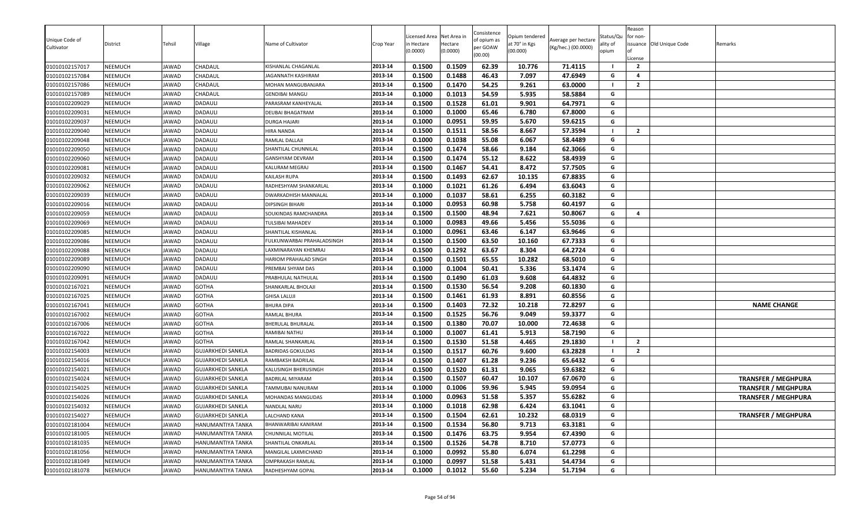| Unique Code of<br>Cultivator     | District           | Tehsil                | Village                  | Name of Cultivator                           | Crop Year          | Licensed Area<br>า Hectare<br>(0.0000) | Net Area in<br>Hectare<br>(0.0000) | Consistence<br>of opium as<br>per GOAW<br>(00.00) | Opium tendered<br>at 70° in Kgs<br>(00.000) | Average per hectare<br>(Kg/hec.) (00.0000) | Status/Qu<br>ality of<br>opium | Reason<br>for non-<br>.icense    | issuance Old Unique Code | Remarks                    |
|----------------------------------|--------------------|-----------------------|--------------------------|----------------------------------------------|--------------------|----------------------------------------|------------------------------------|---------------------------------------------------|---------------------------------------------|--------------------------------------------|--------------------------------|----------------------------------|--------------------------|----------------------------|
| 01010102157017                   | NEEMUCH            | JAWAD                 | CHADAUL                  | KISHANLAL CHAGANLAL                          | 2013-14            | 0.1500                                 | 0.1509                             | 62.39                                             | 10.776                                      | 71.4115                                    |                                | $\overline{2}$                   |                          |                            |
| 01010102157084                   | NEEMUCH            | <b>IAWAD</b>          | CHADAUL                  | JAGANNATH KASHIRAM                           | 2013-14            | 0.1500                                 | 0.1488                             | 46.43                                             | 7.097                                       | 47.6949                                    | G                              | $\overline{a}$<br>$\overline{2}$ |                          |                            |
| 01010102157086                   | NEEMUCH            | JAWAD                 | CHADAUL                  | MOHAN MANGUBANJARA                           | 2013-14            | 0.1500                                 | 0.1470                             | 54.25                                             | 9.261                                       | 63.0000                                    | - 1<br>G                       |                                  |                          |                            |
| 01010102157089<br>01010102209029 | NEEMUCH<br>NEEMUCH | <b>JAWAD</b><br>JAWAD | CHADAUL<br>DADAULI       | <b>GENDIBAI MANGU</b><br>PARASRAM KANHEYALAL | 2013-14<br>2013-14 | 0.1000<br>0.1500                       | 0.1013<br>0.1528                   | 54.59<br>61.01                                    | 5.935<br>9.901                              | 58.5884<br>64.7971                         | G                              |                                  |                          |                            |
| 01010102209031                   | NEEMUCH            | JAWAD                 | DADAULI                  | DEUBAI BHAGATRAM                             | 2013-14            | 0.1000                                 | 0.1000                             | 65.46                                             | 6.780                                       | 67.8000                                    | G                              |                                  |                          |                            |
| 01010102209037                   | NEEMUCH            | JAWAD                 | DADAULI                  | DURGA HAJARI                                 | 2013-14            | 0.1000                                 | 0.0951                             | 59.95                                             | 5.670                                       | 59.6215                                    | G                              |                                  |                          |                            |
| 01010102209040                   | NEEMUCH            | JAWAD                 | DADAULI                  | HIRA NANDA                                   | 2013-14            | 0.1500                                 | 0.1511                             | 58.56                                             | 8.667                                       | 57.3594                                    | - 1                            | $\overline{2}$                   |                          |                            |
| 01010102209048                   | NEEMUCH            | JAWAD                 | DADAULI                  | RAMLAL DALLAJI                               | 2013-14            | 0.1000                                 | 0.1038                             | 55.08                                             | 6.067                                       | 58.4489                                    | G                              |                                  |                          |                            |
| 01010102209050                   | NEEMUCH            | JAWAD                 | DADAULI                  | SHANTILAL CHUNNILAL                          | 2013-14            | 0.1500                                 | 0.1474                             | 58.66                                             | 9.184                                       | 62.3066                                    | G                              |                                  |                          |                            |
| 01010102209060                   | NEEMUCH            | JAWAD                 | DADAULI                  | GANSHYAM DEVRAM                              | 2013-14            | 0.1500                                 | 0.1474                             | 55.12                                             | 8.622                                       | 58.4939                                    | G                              |                                  |                          |                            |
| 01010102209081                   | NEEMUCH            | JAWAD                 | DADAULI                  | KALURAM MEGRAJ                               | 2013-14            | 0.1500                                 | 0.1467                             | 54.41                                             | 8.472                                       | 57.7505                                    | G                              |                                  |                          |                            |
| 01010102209032                   | NEEMUCH            | JAWAD                 | DADAULI                  | KAILASH RUPA                                 | 2013-14            | 0.1500                                 | 0.1493                             | 62.67                                             | 10.135                                      | 67.8835                                    | G                              |                                  |                          |                            |
| 01010102209062                   | NEEMUCH            | JAWAD                 | DADAULI                  | RADHESHYAM SHANKARLAL                        | 2013-14            | 0.1000                                 | 0.1021                             | 61.26                                             | 6.494                                       | 63.6043                                    | G                              |                                  |                          |                            |
| 01010102209039                   | NEEMUCH            | JAWAD                 | DADAULI                  | <b>DWARKADHISH MANNALAL</b>                  | 2013-14            | 0.1000                                 | 0.1037                             | 58.61                                             | 6.255                                       | 60.3182                                    | G                              |                                  |                          |                            |
| 01010102209016                   | NEEMUCH            | JAWAD                 | DADAULI                  | DIPSINGH BIHARI                              | 2013-14            | 0.1000                                 | 0.0953                             | 60.98                                             | 5.758                                       | 60.4197                                    | G                              |                                  |                          |                            |
| 01010102209059                   | NEEMUCH            | JAWAD                 | DADAULI                  | SOUKINDAS RAMCHANDRA                         | 2013-14            | 0.1500                                 | 0.1500                             | 48.94                                             | 7.621                                       | 50.8067                                    | G                              | $\overline{a}$                   |                          |                            |
| 01010102209069                   | NEEMUCH            | JAWAD                 | DADAULI                  | <b>TULSIBAI MAHADEV</b>                      | 2013-14            | 0.1000                                 | 0.0983                             | 49.66                                             | 5.456                                       | 55.5036                                    | G                              |                                  |                          |                            |
| 01010102209085                   | NEEMUCH            | JAWAD                 | DADAULI                  | SHANTILAL KISHANLAL                          | 2013-14            | 0.1000                                 | 0.0961                             | 63.46                                             | 6.147                                       | 63.9646                                    | G                              |                                  |                          |                            |
| 01010102209086                   | NEEMUCH            | JAWAD                 | DADAULI                  | FULKUNWARBAI PRAHALADSINGH                   | 2013-14            | 0.1500                                 | 0.1500                             | 63.50                                             | 10.160                                      | 67.7333                                    | G                              |                                  |                          |                            |
| 01010102209088                   | NEEMUCH            | JAWAD                 | DADAULI                  | AXMINARAYAN KHEMRAJ                          | 2013-14            | 0.1500                                 | 0.1292                             | 63.67                                             | 8.304                                       | 64.2724                                    | G                              |                                  |                          |                            |
| 01010102209089                   | NEEMUCH            | JAWAD                 | DADAULI                  | HARIOM PRAHALAD SINGH                        | 2013-14            | 0.1500                                 | 0.1501                             | 65.55                                             | 10.282                                      | 68.5010                                    | G                              |                                  |                          |                            |
| 01010102209090                   | NEEMUCH            | JAWAD                 | DADAULI                  | PREMBAI SHYAM DAS                            | 2013-14            | 0.1000                                 | 0.1004                             | 50.41                                             | 5.336                                       | 53.1474                                    | G                              |                                  |                          |                            |
| 01010102209091                   | NEEMUCH            | JAWAD                 | DADAULI                  | PRABHULAL NATHULAI                           | 2013-14            | 0.1500                                 | 0.1490                             | 61.03                                             | 9.608                                       | 64.4832                                    | G                              |                                  |                          |                            |
| 01010102167021                   | NEEMUCH            | JAWAD                 | <b>GOTHA</b>             | SHANKARLAL BHOLAJI                           | 2013-14            | 0.1500                                 | 0.1530                             | 56.54                                             | 9.208                                       | 60.1830                                    | G                              |                                  |                          |                            |
| 01010102167025                   | NEEMUCH            | JAWAD                 | <b>GOTHA</b>             | <b>GHISA LALUJI</b>                          | 2013-14            | 0.1500                                 | 0.1461                             | 61.93                                             | 8.891                                       | 60.8556                                    | G                              |                                  |                          |                            |
| 01010102167041                   | NEEMUCH            | JAWAD                 | <b>GOTHA</b>             | BHURA DIPA                                   | 2013-14            | 0.1500                                 | 0.1403                             | 72.32                                             | 10.218                                      | 72.8297                                    | G                              |                                  |                          | <b>NAME CHANGE</b>         |
| 01010102167002                   | NEEMUCH            | JAWAD                 | <b>GOTHA</b>             | RAMLAL BHURA                                 | 2013-14            | 0.1500                                 | 0.1525                             | 56.76                                             | 9.049                                       | 59.3377                                    | G                              |                                  |                          |                            |
| 01010102167006                   | NEEMUCH            | JAWAD                 | <b>GOTHA</b>             | BHERULAL BHURALAL                            | 2013-14            | 0.1500                                 | 0.1380                             | 70.07                                             | 10.000                                      | 72.4638                                    | G                              |                                  |                          |                            |
| 01010102167022                   | NEEMUCH            | IAWAD                 | <b>GOTHA</b>             | RAMIBAI NATHU                                | 2013-14            | 0.1000                                 | 0.1007                             | 61.41                                             | 5.913                                       | 58.7190                                    | G                              |                                  |                          |                            |
| 01010102167042                   | NEEMUCH            | JAWAD                 | <b>GOTHA</b>             | RAMLAL SHANKARLAL                            | 2013-14            | 0.1500                                 | 0.1530                             | 51.58                                             | 4.465                                       | 29.1830                                    | - 1                            | $\overline{2}$                   |                          |                            |
| 01010102154003                   | NEEMUCH            | JAWAD                 | <b>GUJARKHEDI SANKLA</b> | <b>BADRIDAS GOKULDAS</b>                     | 2013-14            | 0.1500                                 | 0.1517                             | 60.76                                             | 9.600                                       | 63.2828                                    |                                | $\overline{2}$                   |                          |                            |
| 01010102154016                   | NEEMUCH            | JAWAD                 | <b>GUJARKHEDI SANKLA</b> | RAMBAKSH BADRILAL                            | 2013-14            | 0.1500                                 | 0.1407                             | 61.28                                             | 9.236                                       | 65.6432                                    | G                              |                                  |                          |                            |
| 01010102154021                   | NEEMUCH            | JAWAD                 | <b>GUJARKHEDI SANKLA</b> | KALUSINGH BHERUSINGH                         | 2013-14            | 0.1500                                 | 0.1520                             | 61.31                                             | 9.065                                       | 59.6382                                    | G                              |                                  |                          |                            |
| 01010102154024                   | NEEMUCH            | JAWAD                 | <b>GUJARKHEDI SANKLA</b> | <b>BADRILAL MIYARAM</b>                      | 2013-14            | 0.1500                                 | 0.1507                             | 60.47                                             | 10.107                                      | 67.0670                                    | G                              |                                  |                          | <b>TRANSFER / MEGHPURA</b> |
| 01010102154025                   | NEEMUCH            | JAWAD                 | <b>GUJARKHEDI SANKLA</b> | <b>TAMMUBAI NANURAM</b>                      | 2013-14            | 0.1000                                 | 0.1006                             | 59.96                                             | 5.945                                       | 59.0954                                    | G                              |                                  |                          | <b>TRANSFER / MEGHPURA</b> |
| 01010102154026                   | NEEMUCH            | <b>JAWAD</b>          | <b>GUJARKHEDI SANKLA</b> | <b>MOHANDAS MANGUDAS</b>                     | 2013-14            | 0.1000                                 | 0.0963                             | 51.58                                             | 5.357                                       | 55.6282                                    | G                              |                                  |                          | <b>TRANSFER / MEGHPURA</b> |
| 01010102154032                   | NEEMUCH            | JAWAD                 | <b>GUJARKHEDI SANKLA</b> | NANDLAL NARU                                 | 2013-14            | 0.1000                                 | 0.1018                             | 62.98                                             | 6.424                                       | 63.1041                                    | G                              |                                  |                          |                            |
| 01010102154027                   | NEEMUCH            | JAWAD                 | <b>GUJARKHEDI SANKLA</b> | LALCHAND KANA                                | 2013-14            | 0.1500                                 | 0.1504                             | 62.61                                             | 10.232                                      | 68.0319                                    | G                              |                                  |                          | <b>TRANSFER / MEGHPURA</b> |
| 01010102181004                   | NEEMUCH            | JAWAD                 | HANUMANTIYA TANKA        | BHANWARIBAI KANIRAM                          | 2013-14            | 0.1500                                 | 0.1534                             | 56.80                                             | 9.713                                       | 63.3181                                    | G                              |                                  |                          |                            |
| 01010102181005                   | NEEMUCH            | JAWAD                 | HANUMANTIYA TANKA        | CHUNNILAL MOTILAL                            | 2013-14            | 0.1500                                 | 0.1476                             | 63.75                                             | 9.954                                       | 67.4390                                    | G                              |                                  |                          |                            |
| 01010102181035                   | NEEMUCH            | JAWAD                 | HANUMANTIYA TANKA        | SHANTILAL ONKARLAL                           | 2013-14            | 0.1500                                 | 0.1526                             | 54.78                                             | 8.710                                       | 57.0773                                    | G                              |                                  |                          |                            |
| 01010102181056                   | NEEMUCH            | JAWAD                 | HANUMANTIYA TANKA        | MANGILAL LAXMICHAND                          | 2013-14            | 0.1000                                 | 0.0992                             | 55.80                                             | 6.074                                       | 61.2298                                    | G                              |                                  |                          |                            |
| 01010102181049                   | NEEMUCH            | JAWAD                 | HANUMANTIYA TANKA        | OMPRAKASH RAMLAL                             | 2013-14            | 0.1000                                 | 0.0997                             | 51.58                                             | 5.431                                       | 54.4734                                    | G                              |                                  |                          |                            |
| 01010102181078                   | NEEMUCH            | JAWAD                 | HANUMANTIYA TANKA        | RADHESHYAM GOPAL                             | 2013-14            | 0.1000                                 | 0.1012                             | 55.60                                             | 5.234                                       | 51.7194                                    | G                              |                                  |                          |                            |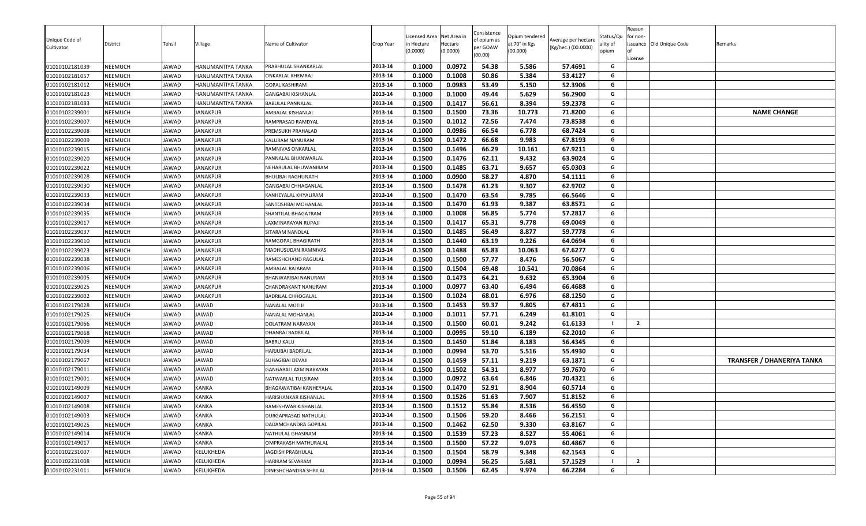| Unique Code of<br>Cultivator     | District           | Tehsil         | Village                                | Name of Cultivator                            | Crop Year          | Licensed Area<br>า Hectare<br>(0.0000) | Net Area in<br>Hectare<br>(0.0000) | Consistence<br>of opium as<br>per GOAW<br>(00.00) | Opium tendered<br>at 70° in Kgs<br>(00.000) | Average per hectare<br>(Kg/hec.) (00.0000) | Status/Qu<br>ality of<br>opium | Reason<br>for non-<br>License | issuance Old Unique Code | Remarks                           |
|----------------------------------|--------------------|----------------|----------------------------------------|-----------------------------------------------|--------------------|----------------------------------------|------------------------------------|---------------------------------------------------|---------------------------------------------|--------------------------------------------|--------------------------------|-------------------------------|--------------------------|-----------------------------------|
| 01010102181039                   | NEEMUCH            | JAWAD          | HANUMANTIYA TANKA                      | PRABHULAL SHANKARLAL                          | 2013-14            | 0.1000                                 | 0.0972                             | 54.38                                             | 5.586                                       | 57.4691                                    | G<br>G                         |                               |                          |                                   |
| 01010102181057<br>01010102181012 | NEEMUCH<br>NEEMUCH | JAWAD<br>JAWAD | HANUMANTIYA TANKA<br>HANUMANTIYA TANKA | ONKARLAL KHEMRAJ<br><b>GOPAL KASHIRAM</b>     | 2013-14<br>2013-14 | 0.1000<br>0.1000                       | 0.1008<br>0.0983                   | 50.86<br>53.49                                    | 5.384<br>5.150                              | 53.4127<br>52.3906                         | G                              |                               |                          |                                   |
| 01010102181023                   | NEEMUCH            | JAWAD          | HANUMANTIYA TANKA                      |                                               | 2013-14            | 0.1000                                 | 0.1000                             | 49.44                                             | 5.629                                       | 56.2900                                    | G                              |                               |                          |                                   |
| 01010102181083                   | NEEMUCH            | JAWAD          | HANUMANTIYA TANKA                      | GANGABAI KISHANLAL<br><b>BABULAL PANNALAL</b> | 2013-14            | 0.1500                                 | 0.1417                             | 56.61                                             | 8.394                                       | 59.2378                                    | G                              |                               |                          |                                   |
| 01010102239001                   | NEEMUCH            | JAWAD          | <b>JANAKPUR</b>                        | AMBALAL KISHANLAL                             | 2013-14            | 0.1500                                 | 0.1500                             | 73.36                                             | 10.773                                      | 71.8200                                    | G                              |                               |                          | <b>NAME CHANGE</b>                |
| 01010102239007                   | NEEMUCH            | JAWAD          | <b>JANAKPUR</b>                        | RAMPRASAD RAMDYAL                             | 2013-14            | 0.1500                                 | 0.1012                             | 72.56                                             | 7.474                                       | 73.8538                                    | G                              |                               |                          |                                   |
| 01010102239008                   | NEEMUCH            | JAWAD          | <b>JANAKPUR</b>                        | PREMSUKH PRAHALAD                             | 2013-14            | 0.1000                                 | 0.0986                             | 66.54                                             | 6.778                                       | 68.7424                                    | G                              |                               |                          |                                   |
| 01010102239009                   | NEEMUCH            | JAWAD          | <b>JANAKPUR</b>                        | KALURAM NANURAM                               | 2013-14            | 0.1500                                 | 0.1472                             | 66.68                                             | 9.983                                       | 67.8193                                    | G                              |                               |                          |                                   |
| 01010102239015                   | NEEMUCH            | JAWAD          | <b>JANAKPUR</b>                        | RAMNIVAS ONKARLAL                             | 2013-14            | 0.1500                                 | 0.1496                             | 66.29                                             | 10.161                                      | 67.9211                                    | G                              |                               |                          |                                   |
| 01010102239020                   | NEEMUCH            | JAWAD          | <b>JANAKPUR</b>                        | PANNALAL BHANWARLAL                           | 2013-14            | 0.1500                                 | 0.1476                             | 62.11                                             | 9.432                                       | 63.9024                                    | G                              |                               |                          |                                   |
| 01010102239022                   | NEEMUCH            | JAWAD          | <b>JANAKPUR</b>                        | NEHARULAL BHUWANIRAM                          | 2013-14            | 0.1500                                 | 0.1485                             | 63.71                                             | 9.657                                       | 65.0303                                    | G                              |                               |                          |                                   |
| 01010102239028                   | NEEMUCH            | JAWAD          | <b>JANAKPUR</b>                        | <b>BHULIBAI RAGHUNATH</b>                     | 2013-14            | 0.1000                                 | 0.0900                             | 58.27                                             | 4.870                                       | 54.1111                                    | G                              |                               |                          |                                   |
| 01010102239030                   | <b>NEEMUCH</b>     | JAWAD          | <b>JANAKPUR</b>                        | GANGABAI CHHAGANLAL                           | 2013-14            | 0.1500                                 | 0.1478                             | 61.23                                             | 9.307                                       | 62.9702                                    | G                              |                               |                          |                                   |
| 01010102239033                   | NEEMUCH            | JAWAD          | JANAKPUR                               | KANHEYALAL KHYALIRAM                          | 2013-14            | 0.1500                                 | 0.1470                             | 63.54                                             | 9.785                                       | 66.5646                                    | G                              |                               |                          |                                   |
| 01010102239034                   | NEEMUCH            | JAWAD          | <b>JANAKPUR</b>                        | SANTOSHBAI MOHANLAL                           | 2013-14            | 0.1500                                 | 0.1470                             | 61.93                                             | 9.387                                       | 63.8571                                    | G                              |                               |                          |                                   |
| 01010102239035                   | NEEMUCH            | JAWAD          | <b>JANAKPUR</b>                        | SHANTILAL BHAGATRAM                           | 2013-14            | 0.1000                                 | 0.1008                             | 56.85                                             | 5.774                                       | 57.2817                                    | G                              |                               |                          |                                   |
| 01010102239017                   | NEEMUCH            | JAWAD          | <b>JANAKPUR</b>                        | LAXMINARAYAN RUPAJI                           | 2013-14            | 0.1500                                 | 0.1417                             | 65.31                                             | 9.778                                       | 69.0049                                    | G                              |                               |                          |                                   |
| 01010102239037                   | NEEMUCH            | JAWAD          | <b>JANAKPUR</b>                        | SITARAM NANDLAL                               | 2013-14            | 0.1500                                 | 0.1485                             | 56.49                                             | 8.877                                       | 59.7778                                    | G                              |                               |                          |                                   |
| 01010102239010                   | NEEMUCH            | JAWAD          | <b>JANAKPUR</b>                        | RAMGOPAL BHAGIRATH                            | 2013-14            | 0.1500                                 | 0.1440                             | 63.19                                             | 9.226                                       | 64.0694                                    | G                              |                               |                          |                                   |
| 01010102239023                   | NEEMUCH            | JAWAD          | <b>JANAKPUR</b>                        | MADHUSUDAN RAMNIVAS                           | 2013-14            | 0.1500                                 | 0.1488                             | 65.83                                             | 10.063                                      | 67.6277                                    | G                              |                               |                          |                                   |
| 01010102239038                   | NEEMUCH            | JAWAD          | <b>JANAKPUR</b>                        | RAMESHCHAND RAGULAL                           | 2013-14            | 0.1500                                 | 0.1500                             | 57.77                                             | 8.476                                       | 56.5067                                    | G                              |                               |                          |                                   |
| 01010102239006                   | NEEMUCH            | JAWAD          | <b>JANAKPUR</b>                        | AMBALAL RAJARAM                               | 2013-14            | 0.1500                                 | 0.1504                             | 69.48                                             | 10.541                                      | 70.0864                                    | G                              |                               |                          |                                   |
| 01010102239005                   | NEEMUCH            | JAWAD          | <b>JANAKPUR</b>                        | BHANWARIBAI NANURAM                           | 2013-14            | 0.1500                                 | 0.1473                             | 64.21                                             | 9.632                                       | 65.3904                                    | G                              |                               |                          |                                   |
| 01010102239025                   | NEEMUCH            | JAWAD          | <b>JANAKPUR</b>                        | CHANDRAKANT NANURAM                           | 2013-14            | 0.1000                                 | 0.0977                             | 63.40                                             | 6.494                                       | 66.4688                                    | G                              |                               |                          |                                   |
| 01010102239002                   | NEEMUCH            | JAWAD          | <b>JANAKPUR</b>                        | BADRILAL CHHOGALAL                            | 2013-14            | 0.1500                                 | 0.1024                             | 68.01                                             | 6.976                                       | 68.1250                                    | G                              |                               |                          |                                   |
| 01010102179028                   | NEEMUCH            | JAWAD          | JAWAD                                  | NANALAL MOTIJI                                | 2013-14            | 0.1500                                 | 0.1453                             | 59.37                                             | 9.805                                       | 67.4811                                    | G                              |                               |                          |                                   |
| 01010102179025                   | NEEMUCH            | JAWAD          | JAWAD                                  | NANALAL MOHANLAL                              | 2013-14            | 0.1000                                 | 0.1011                             | 57.71                                             | 6.249                                       | 61.8101                                    | G                              |                               |                          |                                   |
| 01010102179066                   | NEEMUCH            | JAWAD          | JAWAD                                  | DOLATRAM NARAYAN                              | 2013-14            | 0.1500                                 | 0.1500                             | 60.01                                             | 9.242                                       | 61.6133                                    |                                | $\overline{2}$                |                          |                                   |
| 01010102179068                   | <b>NEEMUCH</b>     | JAWAD          | JAWAD                                  | DHANRAJ BADRILAL                              | 2013-14            | 0.1000                                 | 0.0995                             | 59.10                                             | 6.189                                       | 62.2010                                    | G                              |                               |                          |                                   |
| 01010102179009                   | NEEMUCH            | JAWAD          | JAWAD                                  | <b>BABRU KALU</b>                             | 2013-14            | 0.1500                                 | 0.1450                             | 51.84                                             | 8.183                                       | 56.4345                                    | G                              |                               |                          |                                   |
| 01010102179034                   | NEEMUCH            | JAWAD          | JAWAD                                  | HARJUBAI BADRILAL                             | 2013-14            | 0.1000                                 | 0.0994                             | 53.70                                             | 5.516                                       | 55.4930                                    | G                              |                               |                          |                                   |
| 01010102179067                   | NEEMUCH            | JAWAD          | JAWAD                                  | SUHAGIBAI DEVAJI                              | 2013-14            | 0.1500                                 | 0.1459                             | 57.11                                             | 9.219                                       | 63.1871                                    | G                              |                               |                          | <b>TRANSFER / DHANERIYA TANKA</b> |
| 01010102179011                   | NEEMUCH            | JAWAD          | JAWAD                                  | GANGABAI LAXMINARAYAN                         | 2013-14            | 0.1500                                 | 0.1502                             | 54.31                                             | 8.977                                       | 59.7670                                    | G                              |                               |                          |                                   |
| 01010102179001                   | NEEMUCH            | JAWAD          | JAWAD                                  | NATWARLAL TULSIRAM                            | 2013-14            | 0.1000                                 | 0.0972                             | 63.64                                             | 6.846                                       | 70.4321                                    | G                              |                               |                          |                                   |
| 01010102149009                   | NEEMUCH            | JAWAD          | <b>KANKA</b>                           | BHAGAWATIBAI KANHEYALAL                       | 2013-14            | 0.1500                                 | 0.1470                             | 52.91                                             | 8.904                                       | 60.5714                                    | G                              |                               |                          |                                   |
| 01010102149007                   | NEEMUCH            | <b>AWAD</b>    | <b>KANKA</b>                           | HARISHANKAR KISHANLAL                         | 2013-14            | 0.1500                                 | 0.1526                             | 51.63                                             | 7.907                                       | 51.8152                                    | G                              |                               |                          |                                   |
| 01010102149008                   | NEEMUCH            | JAWAD          | KANKA                                  | RAMESHWAR KISHANLAL                           | 2013-14            | 0.1500                                 | 0.1512                             | 55.84                                             | 8.536                                       | 56.4550                                    | G                              |                               |                          |                                   |
| 01010102149003                   | NEEMUCH            | JAWAD          | <b>KANKA</b>                           | DURGAPRASAD NATHULAL                          | 2013-14            | 0.1500                                 | 0.1506                             | 59.20                                             | 8.466                                       | 56.2151                                    | G                              |                               |                          |                                   |
| 01010102149025                   | NEEMUCH            | JAWAD          | <b>KANKA</b>                           | DADAMCHANDRA GOPILAL                          | 2013-14            | 0.1500                                 | 0.1462                             | 62.50                                             | 9.330                                       | 63.8167                                    | G                              |                               |                          |                                   |
| 01010102149014                   | NEEMUCH            | JAWAD          | KANKA                                  | NATHULAL GHASIRAM                             | 2013-14            | 0.1500                                 | 0.1539                             | 57.23                                             | 8.527                                       | 55.4061                                    | G                              |                               |                          |                                   |
| 01010102149017                   | NEEMUCH            | JAWAD          | KANKA                                  | OMPRAKASH MATHURALAL                          | 2013-14            | 0.1500                                 | 0.1500                             | 57.22                                             | 9.073                                       | 60.4867                                    | G                              |                               |                          |                                   |
| 01010102231007                   | NEEMUCH            | JAWAD          | KELUKHEDA                              | JAGDISH PRABHULAL                             | 2013-14            | 0.1500                                 | 0.1504                             | 58.79                                             | 9.348                                       | 62.1543                                    | G                              |                               |                          |                                   |
| 01010102231008                   | NEEMUCH            | JAWAD          | KELUKHEDA                              | HARIRAM SEVARAM                               | 2013-14            | 0.1000                                 | 0.0994                             | 56.25                                             | 5.681                                       | 57.1529                                    | - 1                            | $\overline{2}$                |                          |                                   |
| 01010102231011                   | NEEMUCH            | JAWAD          | KELUKHEDA                              | DINESHCHANDRA SHRILAL                         | 2013-14            | 0.1500                                 | 0.1506                             | 62.45                                             | 9.974                                       | 66.2284                                    | G                              |                               |                          |                                   |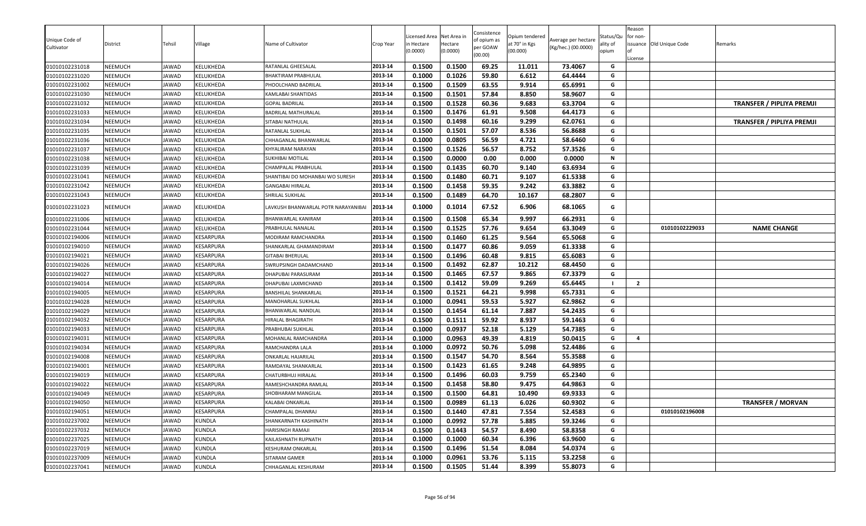| Unique Code of<br>Cultivator     | District           | Fehsil         | √illage                | Name of Cultivator                                | Crop Year          | icensed Area<br>า Hectare<br>(0.0000) | Net Area in<br>Hectare<br>(0.0000) | Consistence<br>of opium as<br>per GOAW<br>(00.00) | Opium tendered<br>at 70° in Kgs<br>(00.000) | Average per hectare<br>(Kg/hec.) (00.0000) | Status/Qu<br>ality of<br>opium<br>G | Reason<br>for non-<br>License | issuance Old Unique Code | Remarks                          |
|----------------------------------|--------------------|----------------|------------------------|---------------------------------------------------|--------------------|---------------------------------------|------------------------------------|---------------------------------------------------|---------------------------------------------|--------------------------------------------|-------------------------------------|-------------------------------|--------------------------|----------------------------------|
| 01010102231018                   | NEEMUCH            | <b>JAWAD</b>   | KELUKHEDA              | RATANLAL GHEESALAL                                | 2013-14<br>2013-14 | 0.1500                                | 0.1500<br>0.1026                   | 69.25<br>59.80                                    | 11.011                                      | 73.4067                                    | G                                   |                               |                          |                                  |
| 01010102231020<br>01010102231002 | NEEMUCH<br>NEEMUCH | JAWAD<br>JAWAD | KELUKHEDA<br>KELUKHEDA | <b>BHAKTIRAM PRABHULAL</b><br>PHOOLCHAND BADRILAL | 2013-14            | 0.1000<br>0.1500                      | 0.1509                             | 63.55                                             | 6.612<br>9.914                              | 64.4444<br>65.6991                         | G                                   |                               |                          |                                  |
| 01010102231030                   | NEEMUCH            | <b>AWAD</b>    | KELUKHEDA              | KAMLABAI SHANTIDAS                                | 2013-14            | 0.1500                                | 0.1501                             | 57.84                                             | 8.850                                       | 58.9607                                    | G                                   |                               |                          |                                  |
| 01010102231032                   | NEEMUCH            | <b>AWAD</b>    | KELUKHEDA              | GOPAL BADRILAL                                    | 2013-14            | 0.1500                                | 0.1528                             | 60.36                                             | 9.683                                       | 63.3704                                    | G                                   |                               |                          | <b>TRANSFER / PIPLIYA PREMJI</b> |
| 01010102231033                   | NEEMUCH            | JAWAD          | KELUKHEDA              | BADRILAL MATHURALAL                               | 2013-14            | 0.1500                                | 0.1476                             | 61.91                                             | 9.508                                       | 64.4173                                    | G                                   |                               |                          |                                  |
| 01010102231034                   | <b>NEEMUCH</b>     | <b>AWAD</b>    | KELUKHEDA              | SITABAI NATHULAI                                  | 2013-14            | 0.1500                                | 0.1498                             | 60.16                                             | 9.299                                       | 62.0761                                    | G                                   |                               |                          | <b>TRANSFER / PIPLIYA PREMJI</b> |
| 01010102231035                   | NEEMUCH            | <b>AWAD</b>    | KELUKHEDA              | RATANLAL SUKHLAL                                  | 2013-14            | 0.1500                                | 0.1501                             | 57.07                                             | 8.536                                       | 56.8688                                    | G                                   |                               |                          |                                  |
| 01010102231036                   | <b>NEEMUCH</b>     | JAWAD          | KELUKHEDA              | CHHAGANLAL BHANWARLAL                             | 2013-14            | 0.1000                                | 0.0805                             | 56.59                                             | 4.721                                       | 58.6460                                    | G                                   |                               |                          |                                  |
| 01010102231037                   | NEEMUCH            | <b>AWAD</b>    | KELUKHEDA              | KHYALIRAM NARAYAN                                 | 2013-14            | 0.1500                                | 0.1526                             | 56.57                                             | 8.752                                       | 57.3526                                    | G                                   |                               |                          |                                  |
| 01010102231038                   | NEEMUCH            | <b>JAWAD</b>   | KELUKHEDA              | SUKHIBAI MOTILAL                                  | 2013-14            | 0.1500                                | 0.0000                             | 0.00                                              | 0.000                                       | 0.0000                                     | N                                   |                               |                          |                                  |
| 01010102231039                   | NEEMUCH            | AWAD           | KELUKHEDA              | CHAMPALAL PRABHULAL                               | 2013-14            | 0.1500                                | 0.1435                             | 60.70                                             | 9.140                                       | 63.6934                                    | G                                   |                               |                          |                                  |
| 01010102231041                   | NEEMUCH            | <b>AWAD</b>    | KELUKHEDA              | SHANTIBAI DO MOHANBAI WO SURESH                   | 2013-14            | 0.1500                                | 0.1480                             | 60.71                                             | 9.107                                       | 61.5338                                    | G                                   |                               |                          |                                  |
| 01010102231042                   | NEEMUCH            | JAWAD          | KELUKHEDA              | GANGABAI HIRALAL                                  | 2013-14            | 0.1500                                | 0.1458                             | 59.35                                             | 9.242                                       | 63.3882                                    | G                                   |                               |                          |                                  |
| 01010102231043                   | NEEMUCH            | JAWAD          | KELUKHEDA              | SHRILAL SUKHLAL                                   | 2013-14            | 0.1500                                | 0.1489                             | 64.70                                             | 10.167                                      | 68.2807                                    | G                                   |                               |                          |                                  |
| 01010102231023                   | NEEMUCH            | JAWAD          | KELUKHEDA              | LAVKUSH BHANWARLAL POTR NARAYANIBAI               | 2013-14            | 0.1000                                | 0.1014                             | 67.52                                             | 6.906                                       | 68.1065                                    | G                                   |                               |                          |                                  |
| 01010102231006                   | NEEMUCH            | JAWAD          | KELUKHEDA              | BHANWARLAL KANIRAM                                | 2013-14            | 0.1500                                | 0.1508                             | 65.34                                             | 9.997                                       | 66.2931                                    | G                                   |                               |                          |                                  |
| 01010102231044                   | NEEMUCH            | <b>AWAD</b>    | KELUKHEDA              | PRABHULAL NANALAL                                 | 2013-14            | 0.1500                                | 0.1525                             | 57.76                                             | 9.654                                       | 63.3049                                    | G                                   |                               | 01010102229033           | <b>NAME CHANGE</b>               |
| 01010102194006                   | NEEMUCH            | JAWAD          | KESARPURA              | MODIRAM RAMCHANDRA                                | 2013-14            | 0.1500                                | 0.1460                             | 61.25                                             | 9.564                                       | 65.5068                                    | G                                   |                               |                          |                                  |
| 01010102194010                   | NEEMUCH            | JAWAD          | KESARPURA              | <b>SHANKARLAL GHAMANDIRAM</b>                     | 2013-14            | 0.1500                                | 0.1477                             | 60.86                                             | 9.059                                       | 61.3338                                    | G                                   |                               |                          |                                  |
| 01010102194021                   | NEEMUCH            | <b>JAWAD</b>   | KESARPURA              | <b>GITABAI BHERULAL</b>                           | 2013-14            | 0.1500                                | 0.1496                             | 60.48                                             | 9.815                                       | 65.6083                                    | G                                   |                               |                          |                                  |
| 01010102194026                   | NEEMUCH            | JAWAD          | KESARPURA              | SWRUPSINGH DADAMCHAND                             | 2013-14            | 0.1500                                | 0.1492                             | 62.87                                             | 10.212                                      | 68.4450                                    | G                                   |                               |                          |                                  |
| 01010102194027                   | NEEMUCH            | <b>AWAD</b>    | KESARPURA              | DHAPUBAI PARASURAM                                | 2013-14            | 0.1500                                | 0.1465                             | 67.57                                             | 9.865                                       | 67.3379                                    | G                                   |                               |                          |                                  |
| 01010102194014                   | NEEMUCH            | JAWAD          | KESARPURA              | DHAPUBAI LAXMICHAND                               | 2013-14            | 0.1500                                | 0.1412                             | 59.09                                             | 9.269                                       | 65.6445                                    | - 1                                 | $\overline{2}$                |                          |                                  |
| 01010102194005                   | NEEMUCH            | <b>AWAD</b>    | KESARPURA              | BANSHILAL SHANKARLAI                              | 2013-14            | 0.1500                                | 0.1521                             | 64.21                                             | 9.998                                       | 65.7331                                    | G                                   |                               |                          |                                  |
| 01010102194028                   | <b>NEEMUCH</b>     | JAWAD          | KESARPURA              | MANOHARLAL SUKHLAL                                | 2013-14            | 0.1000                                | 0.0941                             | 59.53                                             | 5.927                                       | 62.9862                                    | G                                   |                               |                          |                                  |
| 01010102194029                   | <b>NEEMUCH</b>     | JAWAD          | KESARPURA              | BHANWARLAL NANDLAI                                | 2013-14            | 0.1500                                | 0.1454                             | 61.14                                             | 7.887                                       | 54.2435                                    | G                                   |                               |                          |                                  |
| 01010102194032                   | <b>NEEMUCH</b>     | JAWAD          | KESARPURA              | HIRALAL BHAGIRATH                                 | 2013-14            | 0.1500                                | 0.1511                             | 59.92                                             | 8.937                                       | 59.1463                                    | G                                   |                               |                          |                                  |
| 01010102194033                   | <b>NEEMUCH</b>     | JAWAD          | KESARPURA              | PRABHUBAI SUKHLAL                                 | 2013-14            | 0.1000                                | 0.0937                             | 52.18                                             | 5.129                                       | 54.7385                                    | G                                   |                               |                          |                                  |
| 01010102194031                   | NEEMUCH            | <b>AWAD</b>    | KESARPURA              | <b>MOHANLAL RAMCHANDRA</b>                        | 2013-14            | 0.1000                                | 0.0963                             | 49.39                                             | 4.819                                       | 50.0415                                    | G                                   | 4                             |                          |                                  |
| 01010102194034                   | NEEMUCH            | AWAD           | KESARPURA              | RAMCHANDRA LALA                                   | 2013-14            | 0.1000                                | 0.0972                             | 50.76                                             | 5.098                                       | 52.4486                                    | G                                   |                               |                          |                                  |
| 01010102194008                   | NEEMUCH            | JAWAD          | KESARPURA              | ONKARLAL HAJARILAL                                | 2013-14            | 0.1500                                | 0.1547                             | 54.70                                             | 8.564                                       | 55.3588                                    | G                                   |                               |                          |                                  |
| 01010102194001                   | NEEMUCH            | <b>AWAD</b>    | KESARPURA              | RAMDAYAL SHANKARLAL                               | 2013-14            | 0.1500                                | 0.1423                             | 61.65                                             | 9.248                                       | 64.9895                                    | G                                   |                               |                          |                                  |
| 01010102194019                   | NEEMUCH            | JAWAD          | KESARPURA              | CHATURBHUJ HIRALAL                                | 2013-14            | 0.1500                                | 0.1496                             | 60.03                                             | 9.759                                       | 65.2340                                    | G                                   |                               |                          |                                  |
| 01010102194022                   | NEEMUCH            | JAWAD          | KESARPURA              | RAMESHCHANDRA RAMLAL                              | 2013-14            | 0.1500                                | 0.1458                             | 58.80                                             | 9.475                                       | 64.9863                                    | G                                   |                               |                          |                                  |
| 01010102194049                   | NEEMUCH            | JAWAD          | KESARPURA              | SHOBHARAM MANGILAL                                | 2013-14            | 0.1500                                | 0.1500                             | 64.81                                             | 10.490                                      | 69.9333                                    | G                                   |                               |                          |                                  |
| 01010102194050                   | NEEMUCH            | <b>JAWAD</b>   | KESARPURA              | KALABAI ONKARLAL                                  | 2013-14            | 0.1500                                | 0.0989                             | 61.13                                             | 6.026                                       | 60.9302                                    | G                                   |                               |                          | <b>TRANSFER / MORVAN</b>         |
| 01010102194051                   | NEEMUCH            | JAWAD          | <b>KESARPURA</b>       | CHAMPALAL DHANRAJ                                 | 2013-14            | 0.1500                                | 0.1440                             | 47.81                                             | 7.554                                       | 52.4583                                    | G                                   |                               | 01010102196008           |                                  |
| 01010102237002                   | NEEMUCH            | JAWAD          | <b>KUNDLA</b>          | SHANKARNATH KASHINATH                             | 2013-14            | 0.1000                                | 0.0992                             | 57.78                                             | 5.885                                       | 59.3246                                    | G                                   |                               |                          |                                  |
| 01010102237032                   | NEEMUCH            | JAWAD          | <b>KUNDLA</b>          | <b>HARISINGH RAMAJI</b>                           | 2013-14            | 0.1500                                | 0.1443                             | 54.57                                             | 8.490                                       | 58.8358                                    | G                                   |                               |                          |                                  |
| 01010102237025                   | NEEMUCH            | JAWAD          | <b>KUNDLA</b>          | KAILASHNATH RUPNATH                               | 2013-14            | 0.1000                                | 0.1000                             | 60.34                                             | 6.396                                       | 63.9600                                    | G                                   |                               |                          |                                  |
| 01010102237019                   | <b>NEEMUCH</b>     | <b>AWAD</b>    | <b>KUNDLA</b>          | KESHURAM ONKARLAL                                 | 2013-14            | 0.1500                                | 0.1496                             | 51.54                                             | 8.084                                       | 54.0374                                    | G                                   |                               |                          |                                  |
| 01010102237009                   | NEEMUCH            | <b>AWAD</b>    | <b>KUNDLA</b>          | SITARAM GAMER                                     | 2013-14            | 0.1000                                | 0.0961                             | 53.76                                             | 5.115                                       | 53.2258                                    | G                                   |                               |                          |                                  |
| 01010102237041                   | NEEMUCH            | JAWAD          | <b>KUNDLA</b>          | CHHAGANLAL KESHURAM                               | 2013-14            | 0.1500                                | 0.1505                             | 51.44                                             | 8.399                                       | 55.8073                                    | G                                   |                               |                          |                                  |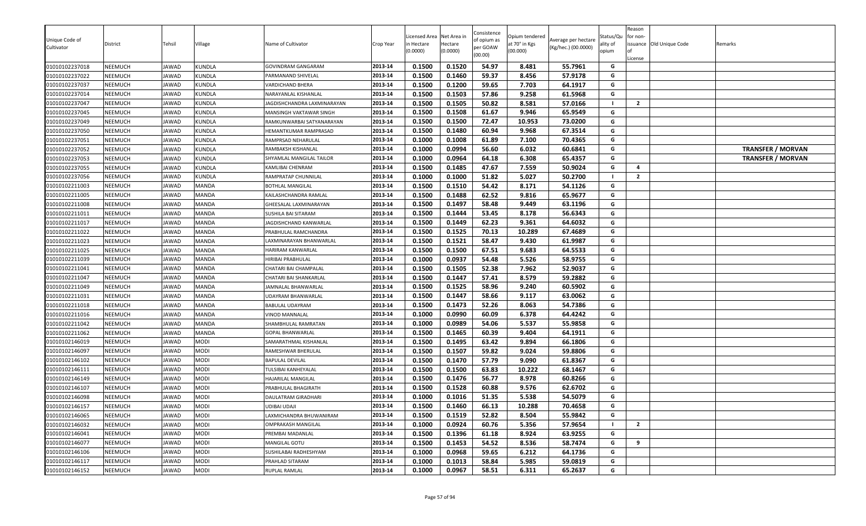| <b>KUNDLA</b><br>2013-14<br>0.1500<br>0.1460<br>59.37<br>8.456<br>57.9178<br>G<br>01010102237022<br>NEEMUCH<br><b>IAWAD</b><br>PARMANAND SHIVELAL<br>59.65<br>01010102237037<br>NEEMUCH<br>JAWAD<br><b>KUNDLA</b><br>2013-14<br>0.1500<br>0.1200<br>7.703<br>64.1917<br>VARDICHAND BHERA<br>G<br>57.86<br>G<br><b>KUNDLA</b><br>2013-14<br>0.1500<br>0.1503<br>9.258<br>61.5968<br>01010102237014<br>NEEMUCH<br>JAWAD<br>NARAYANLAL KISHANLAL<br>0.1500<br>0.1505<br>50.82<br>01010102237047<br>NEEMUCH<br>JAWAD<br><b>KUNDLA</b><br>8.581<br>57.0166<br>$\overline{2}$<br>2013-14<br>JAGDISHCHANDRA LAXMINARAYAN<br>0.1508<br>G<br>2013-14<br>0.1500<br>61.67<br>9.946<br>65.9549<br>01010102237045<br>NEEMUCH<br>JAWAD<br><b>KUNDLA</b><br>MANSINGH VAKTAWAR SINGH<br>0.1500<br>72.47<br>NEEMUCH<br><b>KUNDLA</b><br>0.1500<br>10.953<br>73.0200<br>G<br>01010102237049<br>JAWAD<br>2013-14<br>RAMKUNWARBAI SATYANARAYAN<br>0.1500<br>0.1480<br>60.94<br>9.968<br>G<br>01010102237050<br>NEEMUCH<br>JAWAD<br><b>KUNDLA</b><br>2013-14<br>67.3514<br>HEMANTKUMAR RAMPRASAD<br>01010102237051<br>NEEMUCH<br>JAWAD<br><b>KUNDLA</b><br>0.1000<br>0.1008<br>61.89<br>7.100<br>70.4365<br>RAMPRSAD NEHARULAL<br>2013-14<br>G<br>0.1000<br>0.0994<br>56.60<br>6.032<br>60.6841<br>01010102237052<br>NEEMUCH<br>JAWAD<br><b>KUNDLA</b><br>RAMBAKSH KISHANLAL<br>2013-14<br>G<br><b>TRANSFER / MORVAN</b><br>0.1000<br>0.0964<br>64.18<br>6.308<br>65.4357<br>01010102237053<br>NEEMUCH<br>JAWAD<br><b>KUNDLA</b><br>2013-14<br>G<br>SHYAMLAL MANGILAL TAILOR<br><b>TRANSFER / MORVAN</b><br>47.67<br>2013-14<br>0.1500<br>0.1485<br>7.559<br>50.9024<br>G<br>01010102237055<br><b>NEEMUCH</b><br>JAWAD<br><b>KUNDLA</b><br>$\overline{4}$<br>KAMLIBAI CHENRAM<br>0.1000<br>51.82<br><b>KUNDLA</b><br>0.1000<br>5.027<br>50.2700<br>$\overline{2}$<br>01010102237056<br>NEEMUCH<br>JAWAD<br>2013-14<br>RAMPRATAP CHUNNILAL<br>- 1<br>0.1510<br>54.42<br>2013-14<br>0.1500<br>8.171<br>54.1126<br>G<br>MANDA<br>01010102211003<br>NEEMUCH<br>JAWAD<br>BOTHLAL MANGILAL<br>0.1500<br>0.1488<br>62.52<br>9.816<br>65.9677<br>G<br>01010102211005<br>NEEMUCH<br>JAWAD<br>MANDA<br>2013-14<br>KAILASHCHANDRA RAMLAL<br>58.48<br>0.1500<br>0.1497<br>9.449<br>63.1196<br>G<br>NEEMUCH<br>MANDA<br>2013-14<br>01010102211008<br>JAWAD<br>GHEESALAL LAXMINARAYAN<br>01010102211011<br>NEEMUCH<br>JAWAD<br>MANDA<br>2013-14<br>0.1500<br>0.1444<br>53.45<br>8.178<br>56.6343<br>SUSHILA BAI SITARAM<br>G<br>62.23<br>0.1500<br>0.1449<br>9.361<br>64.6032<br>01010102211017<br>MANDA<br>2013-14<br>G<br>NEEMUCH<br>JAWAD<br>JAGDISHCHAND KANWARLAL<br>0.1500<br>0.1525<br>67.4689<br>01010102211022<br>NEEMUCH<br>JAWAD<br>MANDA<br>2013-14<br>70.13<br>10.289<br>G<br>PRABHULAL RAMCHANDRA<br>0.1500<br>0.1521<br>58.47<br>9.430<br>61.9987<br>G<br>2013-14<br>NEEMUCH<br>JAWAD<br>MANDA<br>LAXMINARAYAN BHANWARLAL<br>01010102211023<br>NEEMUCH<br>MANDA<br>0.1500<br>0.1500<br>67.51<br>9.683<br>64.5533<br>G<br>01010102211025<br>JAWAD<br>2013-14<br>HARIRAM KANWARLAL<br>0.0937<br>54.48<br>2013-14<br>0.1000<br>5.526<br>58.9755<br>G<br>HIRIBAI PRABHULAL<br>01010102211039<br>NEEMUCH<br>JAWAD<br>MANDA<br>52.38<br>01010102211041<br>NEEMUCH<br>MANDA<br>2013-14<br>0.1500<br>0.1505<br>7.962<br>52.9037<br>G<br>JAWAD<br>CHATARI BAI CHAMPALAL<br>0.1500<br>0.1447<br>57.41<br>8.579<br>59.2882<br>MANDA<br>2013-14<br>G<br>01010102211047<br>NEEMUCH<br>JAWAD<br>CHATARI BAI SHANKARLAL<br>NEEMUCH<br>MANDA<br>0.1500<br>0.1525<br>58.96<br>9.240<br>60.5902<br>01010102211049<br>JAWAD<br>2013-14<br>G<br>JAMNALAL BHANWARLAL<br>2013-14<br>0.1500<br>0.1447<br>58.66<br>9.117<br>63.0062<br>01010102211031<br>NEEMUCH<br>JAWAD<br>MANDA<br>UDAYRAM BHANWARLAL<br>G<br>2013-14<br>0.1473<br>52.26<br>MANDA<br>0.1500<br>8.063<br>54.7386<br>G<br>01010102211018<br>NEEMUCH<br>JAWAD<br>BABULAL UDAYRAM<br>2013-14<br>0.1000<br>0.0990<br>60.09<br>6.378<br>64.4242<br>G<br>01010102211016<br>NEEMUCH<br>JAWAD<br>MANDA<br>VINOD MANNALAL<br>0.0989<br>54.06<br>G<br>2013-14<br>0.1000<br>5.537<br>55.9858<br>NEEMUCH<br>JAWAD<br>MANDA<br>01010102211042<br>SHAMBHULAL RAMRATAN<br>0.1465<br>60.39<br>2013-14<br>0.1500<br>9.404<br>64.1911<br>G<br>01010102211062<br>NEEMUCH<br>IAWAD<br><b>MANDA</b><br>GOPAL BHANWARLAL<br>G<br>MODI<br>2013-14<br>0.1500<br>0.1495<br>63.42<br>9.894<br>01010102146019<br>NEEMUCH<br>JAWAD<br>SAMARATHMAL KISHANLAL<br>66.1806<br>0.1507<br>59.82<br>0.1500<br>9.024<br>59.8806<br>G<br>01010102146097<br>NEEMUCH<br>JAWAD<br>MODI<br>2013-14<br>RAMESHWAR BHERULAL<br><b>MODI</b><br>2013-14<br>0.1500<br>0.1470<br>57.79<br>9.090<br>61.8367<br>G<br>01010102146102<br>NEEMUCH<br>JAWAD<br><b>BAPULAL DEVILAL</b><br>63.83<br>0.1500<br>0.1500<br>10.222<br>68.1467<br>01010102146111<br>NEEMUCH<br>JAWAD<br>MODI<br>2013-14<br>G<br>TULSIBAI KANHEYALAL<br>2013-14<br>0.1476<br>56.77<br>01010102146149<br>NEEMUCH<br>MODI<br>0.1500<br>8.978<br>60.8266<br>G<br>JAWAD<br>HAJARILAL MANGILAL<br>01010102146107<br>MODI<br>0.1500<br>0.1528<br>60.88<br>9.576<br>62.6702<br>NEEMUCH<br>JAWAD<br>2013-14<br>G<br>PRABHULAL BHAGIRATH<br>0.1016<br>51.35<br>5.538<br>54.5079<br>G<br>01010102146098<br>NEEMUCH<br>MODI<br>2013-14<br>0.1000<br>IAWAD<br>DAULATRAM GIRADHARI<br>0.1460<br>66.13<br>01010102146157<br>MODI<br>0.1500<br>10.288<br>70.4658<br>G<br>NEEMUCH<br>JAWAD<br>2013-14<br>UDIBAI UDAJI<br>0.1519<br>01010102146065<br>NEEMUCH<br>JAWAD<br><b>MODI</b><br>2013-14<br>52.82<br>8.504<br>55.9842<br>G<br>LAXMICHANDRA BHUWANIRAM<br>0.1500<br>0.0924<br>60.76<br>01010102146032<br>JAWAD<br><b>MODI</b><br>2013-14<br>0.1000<br>5.356<br>57.9654<br>$\overline{2}$<br>NEEMUCH<br><b>OMPRAKASH MANGILAL</b><br>01010102146041<br>2013-14<br>0.1396<br>61.18<br>8.924<br>G<br>NEEMUCH<br>JAWAD<br>MODI<br>0.1500<br>63.9255<br>PREMBAI MADANLAL<br>54.52<br>01010102146077<br>JAWAD<br><b>MODI</b><br>2013-14<br>0.1500<br>0.1453<br>8.536<br>58.7474<br>9<br>NEEMUCH<br>G<br>MANGILAL GOTU<br>2013-14<br>0.1000<br>0.0968<br>59.65<br>6.212<br>64.1736<br>G<br>01010102146106<br>NEEMUCH<br>JAWAD<br><b>MODI</b><br>SUSHILABAI RADHESHYAM<br>2013-14<br>58.84<br>01010102146117<br>NEEMUCH<br>JAWAD<br><b>MODI</b><br>0.1000<br>0.1013<br>5.985<br>59.0819<br>G<br>PRAHLAD SITARAM<br>0.0967<br>58.51<br>MODI<br>2013-14<br>0.1000<br>6.311<br>65.2637<br>G<br>01010102146152<br>JAWAD<br>RUPLAL RAMLAL<br>NEEMUCH | Unique Code of<br>Cultivator | District | Tehsil | Village       | Name of Cultivator | Crop Year | Licensed Area<br>า Hectare<br>(0.0000) | Net Area in<br>Hectare<br>(0.0000) | Consistence<br>of opium as<br>per GOAW<br>(00.00) | Opium tendered<br>at 70° in Kgs<br>(00.000) | Average per hectare<br>(Kg/hec.) (00.0000) | Status/Qu<br>ality of<br>opium | Reason<br>for non-<br>License | issuance Old Unique Code | Remarks |
|-----------------------------------------------------------------------------------------------------------------------------------------------------------------------------------------------------------------------------------------------------------------------------------------------------------------------------------------------------------------------------------------------------------------------------------------------------------------------------------------------------------------------------------------------------------------------------------------------------------------------------------------------------------------------------------------------------------------------------------------------------------------------------------------------------------------------------------------------------------------------------------------------------------------------------------------------------------------------------------------------------------------------------------------------------------------------------------------------------------------------------------------------------------------------------------------------------------------------------------------------------------------------------------------------------------------------------------------------------------------------------------------------------------------------------------------------------------------------------------------------------------------------------------------------------------------------------------------------------------------------------------------------------------------------------------------------------------------------------------------------------------------------------------------------------------------------------------------------------------------------------------------------------------------------------------------------------------------------------------------------------------------------------------------------------------------------------------------------------------------------------------------------------------------------------------------------------------------------------------------------------------------------------------------------------------------------------------------------------------------------------------------------------------------------------------------------------------------------------------------------------------------------------------------------------------------------------------------------------------------------------------------------------------------------------------------------------------------------------------------------------------------------------------------------------------------------------------------------------------------------------------------------------------------------------------------------------------------------------------------------------------------------------------------------------------------------------------------------------------------------------------------------------------------------------------------------------------------------------------------------------------------------------------------------------------------------------------------------------------------------------------------------------------------------------------------------------------------------------------------------------------------------------------------------------------------------------------------------------------------------------------------------------------------------------------------------------------------------------------------------------------------------------------------------------------------------------------------------------------------------------------------------------------------------------------------------------------------------------------------------------------------------------------------------------------------------------------------------------------------------------------------------------------------------------------------------------------------------------------------------------------------------------------------------------------------------------------------------------------------------------------------------------------------------------------------------------------------------------------------------------------------------------------------------------------------------------------------------------------------------------------------------------------------------------------------------------------------------------------------------------------------------------------------------------------------------------------------------------------------------------------------------------------------------------------------------------------------------------------------------------------------------------------------------------------------------------------------------------------------------------------------------------------------------------------------------------------------------------------------------------------------------------------------------------------------------------------------------------------------------------------------------------------------------------------------------------------------------------------------------------------------------------------------------------------------------------------------------------------------------------------------------------------------------------------------------------------------------------------------------------------------------------------------------------------------------------------------------------------------------------------------------------------------------------------------------------------------------------------------------------------------------------------------------------------------------------------------------------------------------------------------------------------------------------------------------------------------------------------------------------------------------------------------------------------------------------------------------------------------------------------------------------------------------------------------------------------------------|------------------------------|----------|--------|---------------|--------------------|-----------|----------------------------------------|------------------------------------|---------------------------------------------------|---------------------------------------------|--------------------------------------------|--------------------------------|-------------------------------|--------------------------|---------|
|                                                                                                                                                                                                                                                                                                                                                                                                                                                                                                                                                                                                                                                                                                                                                                                                                                                                                                                                                                                                                                                                                                                                                                                                                                                                                                                                                                                                                                                                                                                                                                                                                                                                                                                                                                                                                                                                                                                                                                                                                                                                                                                                                                                                                                                                                                                                                                                                                                                                                                                                                                                                                                                                                                                                                                                                                                                                                                                                                                                                                                                                                                                                                                                                                                                                                                                                                                                                                                                                                                                                                                                                                                                                                                                                                                                                                                                                                                                                                                                                                                                                                                                                                                                                                                                                                                                                                                                                                                                                                                                                                                                                                                                                                                                                                                                                                                                                                                                                                                                                                                                                                                                                                                                                                                                                                                                                                                                                                                                                                                                                                                                                                                                                                                                                                                                                                                                                                                                                                                                                                                                                                                                                                                                                                                                                                                                                                                                                                                                                       | 01010102237018               | NEEMUCH  | JAWAD  | <b>KUNDLA</b> | GOVINDRAM GANGARAM | 2013-14   | 0.1500                                 | 0.1520                             | 54.97                                             | 8.481                                       | 55.7961                                    | G                              |                               |                          |         |
|                                                                                                                                                                                                                                                                                                                                                                                                                                                                                                                                                                                                                                                                                                                                                                                                                                                                                                                                                                                                                                                                                                                                                                                                                                                                                                                                                                                                                                                                                                                                                                                                                                                                                                                                                                                                                                                                                                                                                                                                                                                                                                                                                                                                                                                                                                                                                                                                                                                                                                                                                                                                                                                                                                                                                                                                                                                                                                                                                                                                                                                                                                                                                                                                                                                                                                                                                                                                                                                                                                                                                                                                                                                                                                                                                                                                                                                                                                                                                                                                                                                                                                                                                                                                                                                                                                                                                                                                                                                                                                                                                                                                                                                                                                                                                                                                                                                                                                                                                                                                                                                                                                                                                                                                                                                                                                                                                                                                                                                                                                                                                                                                                                                                                                                                                                                                                                                                                                                                                                                                                                                                                                                                                                                                                                                                                                                                                                                                                                                                       |                              |          |        |               |                    |           |                                        |                                    |                                                   |                                             |                                            |                                |                               |                          |         |
|                                                                                                                                                                                                                                                                                                                                                                                                                                                                                                                                                                                                                                                                                                                                                                                                                                                                                                                                                                                                                                                                                                                                                                                                                                                                                                                                                                                                                                                                                                                                                                                                                                                                                                                                                                                                                                                                                                                                                                                                                                                                                                                                                                                                                                                                                                                                                                                                                                                                                                                                                                                                                                                                                                                                                                                                                                                                                                                                                                                                                                                                                                                                                                                                                                                                                                                                                                                                                                                                                                                                                                                                                                                                                                                                                                                                                                                                                                                                                                                                                                                                                                                                                                                                                                                                                                                                                                                                                                                                                                                                                                                                                                                                                                                                                                                                                                                                                                                                                                                                                                                                                                                                                                                                                                                                                                                                                                                                                                                                                                                                                                                                                                                                                                                                                                                                                                                                                                                                                                                                                                                                                                                                                                                                                                                                                                                                                                                                                                                                       |                              |          |        |               |                    |           |                                        |                                    |                                                   |                                             |                                            |                                |                               |                          |         |
|                                                                                                                                                                                                                                                                                                                                                                                                                                                                                                                                                                                                                                                                                                                                                                                                                                                                                                                                                                                                                                                                                                                                                                                                                                                                                                                                                                                                                                                                                                                                                                                                                                                                                                                                                                                                                                                                                                                                                                                                                                                                                                                                                                                                                                                                                                                                                                                                                                                                                                                                                                                                                                                                                                                                                                                                                                                                                                                                                                                                                                                                                                                                                                                                                                                                                                                                                                                                                                                                                                                                                                                                                                                                                                                                                                                                                                                                                                                                                                                                                                                                                                                                                                                                                                                                                                                                                                                                                                                                                                                                                                                                                                                                                                                                                                                                                                                                                                                                                                                                                                                                                                                                                                                                                                                                                                                                                                                                                                                                                                                                                                                                                                                                                                                                                                                                                                                                                                                                                                                                                                                                                                                                                                                                                                                                                                                                                                                                                                                                       |                              |          |        |               |                    |           |                                        |                                    |                                                   |                                             |                                            |                                |                               |                          |         |
|                                                                                                                                                                                                                                                                                                                                                                                                                                                                                                                                                                                                                                                                                                                                                                                                                                                                                                                                                                                                                                                                                                                                                                                                                                                                                                                                                                                                                                                                                                                                                                                                                                                                                                                                                                                                                                                                                                                                                                                                                                                                                                                                                                                                                                                                                                                                                                                                                                                                                                                                                                                                                                                                                                                                                                                                                                                                                                                                                                                                                                                                                                                                                                                                                                                                                                                                                                                                                                                                                                                                                                                                                                                                                                                                                                                                                                                                                                                                                                                                                                                                                                                                                                                                                                                                                                                                                                                                                                                                                                                                                                                                                                                                                                                                                                                                                                                                                                                                                                                                                                                                                                                                                                                                                                                                                                                                                                                                                                                                                                                                                                                                                                                                                                                                                                                                                                                                                                                                                                                                                                                                                                                                                                                                                                                                                                                                                                                                                                                                       |                              |          |        |               |                    |           |                                        |                                    |                                                   |                                             |                                            |                                |                               |                          |         |
|                                                                                                                                                                                                                                                                                                                                                                                                                                                                                                                                                                                                                                                                                                                                                                                                                                                                                                                                                                                                                                                                                                                                                                                                                                                                                                                                                                                                                                                                                                                                                                                                                                                                                                                                                                                                                                                                                                                                                                                                                                                                                                                                                                                                                                                                                                                                                                                                                                                                                                                                                                                                                                                                                                                                                                                                                                                                                                                                                                                                                                                                                                                                                                                                                                                                                                                                                                                                                                                                                                                                                                                                                                                                                                                                                                                                                                                                                                                                                                                                                                                                                                                                                                                                                                                                                                                                                                                                                                                                                                                                                                                                                                                                                                                                                                                                                                                                                                                                                                                                                                                                                                                                                                                                                                                                                                                                                                                                                                                                                                                                                                                                                                                                                                                                                                                                                                                                                                                                                                                                                                                                                                                                                                                                                                                                                                                                                                                                                                                                       |                              |          |        |               |                    |           |                                        |                                    |                                                   |                                             |                                            |                                |                               |                          |         |
|                                                                                                                                                                                                                                                                                                                                                                                                                                                                                                                                                                                                                                                                                                                                                                                                                                                                                                                                                                                                                                                                                                                                                                                                                                                                                                                                                                                                                                                                                                                                                                                                                                                                                                                                                                                                                                                                                                                                                                                                                                                                                                                                                                                                                                                                                                                                                                                                                                                                                                                                                                                                                                                                                                                                                                                                                                                                                                                                                                                                                                                                                                                                                                                                                                                                                                                                                                                                                                                                                                                                                                                                                                                                                                                                                                                                                                                                                                                                                                                                                                                                                                                                                                                                                                                                                                                                                                                                                                                                                                                                                                                                                                                                                                                                                                                                                                                                                                                                                                                                                                                                                                                                                                                                                                                                                                                                                                                                                                                                                                                                                                                                                                                                                                                                                                                                                                                                                                                                                                                                                                                                                                                                                                                                                                                                                                                                                                                                                                                                       |                              |          |        |               |                    |           |                                        |                                    |                                                   |                                             |                                            |                                |                               |                          |         |
|                                                                                                                                                                                                                                                                                                                                                                                                                                                                                                                                                                                                                                                                                                                                                                                                                                                                                                                                                                                                                                                                                                                                                                                                                                                                                                                                                                                                                                                                                                                                                                                                                                                                                                                                                                                                                                                                                                                                                                                                                                                                                                                                                                                                                                                                                                                                                                                                                                                                                                                                                                                                                                                                                                                                                                                                                                                                                                                                                                                                                                                                                                                                                                                                                                                                                                                                                                                                                                                                                                                                                                                                                                                                                                                                                                                                                                                                                                                                                                                                                                                                                                                                                                                                                                                                                                                                                                                                                                                                                                                                                                                                                                                                                                                                                                                                                                                                                                                                                                                                                                                                                                                                                                                                                                                                                                                                                                                                                                                                                                                                                                                                                                                                                                                                                                                                                                                                                                                                                                                                                                                                                                                                                                                                                                                                                                                                                                                                                                                                       |                              |          |        |               |                    |           |                                        |                                    |                                                   |                                             |                                            |                                |                               |                          |         |
|                                                                                                                                                                                                                                                                                                                                                                                                                                                                                                                                                                                                                                                                                                                                                                                                                                                                                                                                                                                                                                                                                                                                                                                                                                                                                                                                                                                                                                                                                                                                                                                                                                                                                                                                                                                                                                                                                                                                                                                                                                                                                                                                                                                                                                                                                                                                                                                                                                                                                                                                                                                                                                                                                                                                                                                                                                                                                                                                                                                                                                                                                                                                                                                                                                                                                                                                                                                                                                                                                                                                                                                                                                                                                                                                                                                                                                                                                                                                                                                                                                                                                                                                                                                                                                                                                                                                                                                                                                                                                                                                                                                                                                                                                                                                                                                                                                                                                                                                                                                                                                                                                                                                                                                                                                                                                                                                                                                                                                                                                                                                                                                                                                                                                                                                                                                                                                                                                                                                                                                                                                                                                                                                                                                                                                                                                                                                                                                                                                                                       |                              |          |        |               |                    |           |                                        |                                    |                                                   |                                             |                                            |                                |                               |                          |         |
|                                                                                                                                                                                                                                                                                                                                                                                                                                                                                                                                                                                                                                                                                                                                                                                                                                                                                                                                                                                                                                                                                                                                                                                                                                                                                                                                                                                                                                                                                                                                                                                                                                                                                                                                                                                                                                                                                                                                                                                                                                                                                                                                                                                                                                                                                                                                                                                                                                                                                                                                                                                                                                                                                                                                                                                                                                                                                                                                                                                                                                                                                                                                                                                                                                                                                                                                                                                                                                                                                                                                                                                                                                                                                                                                                                                                                                                                                                                                                                                                                                                                                                                                                                                                                                                                                                                                                                                                                                                                                                                                                                                                                                                                                                                                                                                                                                                                                                                                                                                                                                                                                                                                                                                                                                                                                                                                                                                                                                                                                                                                                                                                                                                                                                                                                                                                                                                                                                                                                                                                                                                                                                                                                                                                                                                                                                                                                                                                                                                                       |                              |          |        |               |                    |           |                                        |                                    |                                                   |                                             |                                            |                                |                               |                          |         |
|                                                                                                                                                                                                                                                                                                                                                                                                                                                                                                                                                                                                                                                                                                                                                                                                                                                                                                                                                                                                                                                                                                                                                                                                                                                                                                                                                                                                                                                                                                                                                                                                                                                                                                                                                                                                                                                                                                                                                                                                                                                                                                                                                                                                                                                                                                                                                                                                                                                                                                                                                                                                                                                                                                                                                                                                                                                                                                                                                                                                                                                                                                                                                                                                                                                                                                                                                                                                                                                                                                                                                                                                                                                                                                                                                                                                                                                                                                                                                                                                                                                                                                                                                                                                                                                                                                                                                                                                                                                                                                                                                                                                                                                                                                                                                                                                                                                                                                                                                                                                                                                                                                                                                                                                                                                                                                                                                                                                                                                                                                                                                                                                                                                                                                                                                                                                                                                                                                                                                                                                                                                                                                                                                                                                                                                                                                                                                                                                                                                                       |                              |          |        |               |                    |           |                                        |                                    |                                                   |                                             |                                            |                                |                               |                          |         |
|                                                                                                                                                                                                                                                                                                                                                                                                                                                                                                                                                                                                                                                                                                                                                                                                                                                                                                                                                                                                                                                                                                                                                                                                                                                                                                                                                                                                                                                                                                                                                                                                                                                                                                                                                                                                                                                                                                                                                                                                                                                                                                                                                                                                                                                                                                                                                                                                                                                                                                                                                                                                                                                                                                                                                                                                                                                                                                                                                                                                                                                                                                                                                                                                                                                                                                                                                                                                                                                                                                                                                                                                                                                                                                                                                                                                                                                                                                                                                                                                                                                                                                                                                                                                                                                                                                                                                                                                                                                                                                                                                                                                                                                                                                                                                                                                                                                                                                                                                                                                                                                                                                                                                                                                                                                                                                                                                                                                                                                                                                                                                                                                                                                                                                                                                                                                                                                                                                                                                                                                                                                                                                                                                                                                                                                                                                                                                                                                                                                                       |                              |          |        |               |                    |           |                                        |                                    |                                                   |                                             |                                            |                                |                               |                          |         |
|                                                                                                                                                                                                                                                                                                                                                                                                                                                                                                                                                                                                                                                                                                                                                                                                                                                                                                                                                                                                                                                                                                                                                                                                                                                                                                                                                                                                                                                                                                                                                                                                                                                                                                                                                                                                                                                                                                                                                                                                                                                                                                                                                                                                                                                                                                                                                                                                                                                                                                                                                                                                                                                                                                                                                                                                                                                                                                                                                                                                                                                                                                                                                                                                                                                                                                                                                                                                                                                                                                                                                                                                                                                                                                                                                                                                                                                                                                                                                                                                                                                                                                                                                                                                                                                                                                                                                                                                                                                                                                                                                                                                                                                                                                                                                                                                                                                                                                                                                                                                                                                                                                                                                                                                                                                                                                                                                                                                                                                                                                                                                                                                                                                                                                                                                                                                                                                                                                                                                                                                                                                                                                                                                                                                                                                                                                                                                                                                                                                                       |                              |          |        |               |                    |           |                                        |                                    |                                                   |                                             |                                            |                                |                               |                          |         |
|                                                                                                                                                                                                                                                                                                                                                                                                                                                                                                                                                                                                                                                                                                                                                                                                                                                                                                                                                                                                                                                                                                                                                                                                                                                                                                                                                                                                                                                                                                                                                                                                                                                                                                                                                                                                                                                                                                                                                                                                                                                                                                                                                                                                                                                                                                                                                                                                                                                                                                                                                                                                                                                                                                                                                                                                                                                                                                                                                                                                                                                                                                                                                                                                                                                                                                                                                                                                                                                                                                                                                                                                                                                                                                                                                                                                                                                                                                                                                                                                                                                                                                                                                                                                                                                                                                                                                                                                                                                                                                                                                                                                                                                                                                                                                                                                                                                                                                                                                                                                                                                                                                                                                                                                                                                                                                                                                                                                                                                                                                                                                                                                                                                                                                                                                                                                                                                                                                                                                                                                                                                                                                                                                                                                                                                                                                                                                                                                                                                                       |                              |          |        |               |                    |           |                                        |                                    |                                                   |                                             |                                            |                                |                               |                          |         |
|                                                                                                                                                                                                                                                                                                                                                                                                                                                                                                                                                                                                                                                                                                                                                                                                                                                                                                                                                                                                                                                                                                                                                                                                                                                                                                                                                                                                                                                                                                                                                                                                                                                                                                                                                                                                                                                                                                                                                                                                                                                                                                                                                                                                                                                                                                                                                                                                                                                                                                                                                                                                                                                                                                                                                                                                                                                                                                                                                                                                                                                                                                                                                                                                                                                                                                                                                                                                                                                                                                                                                                                                                                                                                                                                                                                                                                                                                                                                                                                                                                                                                                                                                                                                                                                                                                                                                                                                                                                                                                                                                                                                                                                                                                                                                                                                                                                                                                                                                                                                                                                                                                                                                                                                                                                                                                                                                                                                                                                                                                                                                                                                                                                                                                                                                                                                                                                                                                                                                                                                                                                                                                                                                                                                                                                                                                                                                                                                                                                                       |                              |          |        |               |                    |           |                                        |                                    |                                                   |                                             |                                            |                                |                               |                          |         |
|                                                                                                                                                                                                                                                                                                                                                                                                                                                                                                                                                                                                                                                                                                                                                                                                                                                                                                                                                                                                                                                                                                                                                                                                                                                                                                                                                                                                                                                                                                                                                                                                                                                                                                                                                                                                                                                                                                                                                                                                                                                                                                                                                                                                                                                                                                                                                                                                                                                                                                                                                                                                                                                                                                                                                                                                                                                                                                                                                                                                                                                                                                                                                                                                                                                                                                                                                                                                                                                                                                                                                                                                                                                                                                                                                                                                                                                                                                                                                                                                                                                                                                                                                                                                                                                                                                                                                                                                                                                                                                                                                                                                                                                                                                                                                                                                                                                                                                                                                                                                                                                                                                                                                                                                                                                                                                                                                                                                                                                                                                                                                                                                                                                                                                                                                                                                                                                                                                                                                                                                                                                                                                                                                                                                                                                                                                                                                                                                                                                                       |                              |          |        |               |                    |           |                                        |                                    |                                                   |                                             |                                            |                                |                               |                          |         |
|                                                                                                                                                                                                                                                                                                                                                                                                                                                                                                                                                                                                                                                                                                                                                                                                                                                                                                                                                                                                                                                                                                                                                                                                                                                                                                                                                                                                                                                                                                                                                                                                                                                                                                                                                                                                                                                                                                                                                                                                                                                                                                                                                                                                                                                                                                                                                                                                                                                                                                                                                                                                                                                                                                                                                                                                                                                                                                                                                                                                                                                                                                                                                                                                                                                                                                                                                                                                                                                                                                                                                                                                                                                                                                                                                                                                                                                                                                                                                                                                                                                                                                                                                                                                                                                                                                                                                                                                                                                                                                                                                                                                                                                                                                                                                                                                                                                                                                                                                                                                                                                                                                                                                                                                                                                                                                                                                                                                                                                                                                                                                                                                                                                                                                                                                                                                                                                                                                                                                                                                                                                                                                                                                                                                                                                                                                                                                                                                                                                                       |                              |          |        |               |                    |           |                                        |                                    |                                                   |                                             |                                            |                                |                               |                          |         |
|                                                                                                                                                                                                                                                                                                                                                                                                                                                                                                                                                                                                                                                                                                                                                                                                                                                                                                                                                                                                                                                                                                                                                                                                                                                                                                                                                                                                                                                                                                                                                                                                                                                                                                                                                                                                                                                                                                                                                                                                                                                                                                                                                                                                                                                                                                                                                                                                                                                                                                                                                                                                                                                                                                                                                                                                                                                                                                                                                                                                                                                                                                                                                                                                                                                                                                                                                                                                                                                                                                                                                                                                                                                                                                                                                                                                                                                                                                                                                                                                                                                                                                                                                                                                                                                                                                                                                                                                                                                                                                                                                                                                                                                                                                                                                                                                                                                                                                                                                                                                                                                                                                                                                                                                                                                                                                                                                                                                                                                                                                                                                                                                                                                                                                                                                                                                                                                                                                                                                                                                                                                                                                                                                                                                                                                                                                                                                                                                                                                                       |                              |          |        |               |                    |           |                                        |                                    |                                                   |                                             |                                            |                                |                               |                          |         |
|                                                                                                                                                                                                                                                                                                                                                                                                                                                                                                                                                                                                                                                                                                                                                                                                                                                                                                                                                                                                                                                                                                                                                                                                                                                                                                                                                                                                                                                                                                                                                                                                                                                                                                                                                                                                                                                                                                                                                                                                                                                                                                                                                                                                                                                                                                                                                                                                                                                                                                                                                                                                                                                                                                                                                                                                                                                                                                                                                                                                                                                                                                                                                                                                                                                                                                                                                                                                                                                                                                                                                                                                                                                                                                                                                                                                                                                                                                                                                                                                                                                                                                                                                                                                                                                                                                                                                                                                                                                                                                                                                                                                                                                                                                                                                                                                                                                                                                                                                                                                                                                                                                                                                                                                                                                                                                                                                                                                                                                                                                                                                                                                                                                                                                                                                                                                                                                                                                                                                                                                                                                                                                                                                                                                                                                                                                                                                                                                                                                                       |                              |          |        |               |                    |           |                                        |                                    |                                                   |                                             |                                            |                                |                               |                          |         |
|                                                                                                                                                                                                                                                                                                                                                                                                                                                                                                                                                                                                                                                                                                                                                                                                                                                                                                                                                                                                                                                                                                                                                                                                                                                                                                                                                                                                                                                                                                                                                                                                                                                                                                                                                                                                                                                                                                                                                                                                                                                                                                                                                                                                                                                                                                                                                                                                                                                                                                                                                                                                                                                                                                                                                                                                                                                                                                                                                                                                                                                                                                                                                                                                                                                                                                                                                                                                                                                                                                                                                                                                                                                                                                                                                                                                                                                                                                                                                                                                                                                                                                                                                                                                                                                                                                                                                                                                                                                                                                                                                                                                                                                                                                                                                                                                                                                                                                                                                                                                                                                                                                                                                                                                                                                                                                                                                                                                                                                                                                                                                                                                                                                                                                                                                                                                                                                                                                                                                                                                                                                                                                                                                                                                                                                                                                                                                                                                                                                                       |                              |          |        |               |                    |           |                                        |                                    |                                                   |                                             |                                            |                                |                               |                          |         |
|                                                                                                                                                                                                                                                                                                                                                                                                                                                                                                                                                                                                                                                                                                                                                                                                                                                                                                                                                                                                                                                                                                                                                                                                                                                                                                                                                                                                                                                                                                                                                                                                                                                                                                                                                                                                                                                                                                                                                                                                                                                                                                                                                                                                                                                                                                                                                                                                                                                                                                                                                                                                                                                                                                                                                                                                                                                                                                                                                                                                                                                                                                                                                                                                                                                                                                                                                                                                                                                                                                                                                                                                                                                                                                                                                                                                                                                                                                                                                                                                                                                                                                                                                                                                                                                                                                                                                                                                                                                                                                                                                                                                                                                                                                                                                                                                                                                                                                                                                                                                                                                                                                                                                                                                                                                                                                                                                                                                                                                                                                                                                                                                                                                                                                                                                                                                                                                                                                                                                                                                                                                                                                                                                                                                                                                                                                                                                                                                                                                                       |                              |          |        |               |                    |           |                                        |                                    |                                                   |                                             |                                            |                                |                               |                          |         |
|                                                                                                                                                                                                                                                                                                                                                                                                                                                                                                                                                                                                                                                                                                                                                                                                                                                                                                                                                                                                                                                                                                                                                                                                                                                                                                                                                                                                                                                                                                                                                                                                                                                                                                                                                                                                                                                                                                                                                                                                                                                                                                                                                                                                                                                                                                                                                                                                                                                                                                                                                                                                                                                                                                                                                                                                                                                                                                                                                                                                                                                                                                                                                                                                                                                                                                                                                                                                                                                                                                                                                                                                                                                                                                                                                                                                                                                                                                                                                                                                                                                                                                                                                                                                                                                                                                                                                                                                                                                                                                                                                                                                                                                                                                                                                                                                                                                                                                                                                                                                                                                                                                                                                                                                                                                                                                                                                                                                                                                                                                                                                                                                                                                                                                                                                                                                                                                                                                                                                                                                                                                                                                                                                                                                                                                                                                                                                                                                                                                                       |                              |          |        |               |                    |           |                                        |                                    |                                                   |                                             |                                            |                                |                               |                          |         |
|                                                                                                                                                                                                                                                                                                                                                                                                                                                                                                                                                                                                                                                                                                                                                                                                                                                                                                                                                                                                                                                                                                                                                                                                                                                                                                                                                                                                                                                                                                                                                                                                                                                                                                                                                                                                                                                                                                                                                                                                                                                                                                                                                                                                                                                                                                                                                                                                                                                                                                                                                                                                                                                                                                                                                                                                                                                                                                                                                                                                                                                                                                                                                                                                                                                                                                                                                                                                                                                                                                                                                                                                                                                                                                                                                                                                                                                                                                                                                                                                                                                                                                                                                                                                                                                                                                                                                                                                                                                                                                                                                                                                                                                                                                                                                                                                                                                                                                                                                                                                                                                                                                                                                                                                                                                                                                                                                                                                                                                                                                                                                                                                                                                                                                                                                                                                                                                                                                                                                                                                                                                                                                                                                                                                                                                                                                                                                                                                                                                                       |                              |          |        |               |                    |           |                                        |                                    |                                                   |                                             |                                            |                                |                               |                          |         |
|                                                                                                                                                                                                                                                                                                                                                                                                                                                                                                                                                                                                                                                                                                                                                                                                                                                                                                                                                                                                                                                                                                                                                                                                                                                                                                                                                                                                                                                                                                                                                                                                                                                                                                                                                                                                                                                                                                                                                                                                                                                                                                                                                                                                                                                                                                                                                                                                                                                                                                                                                                                                                                                                                                                                                                                                                                                                                                                                                                                                                                                                                                                                                                                                                                                                                                                                                                                                                                                                                                                                                                                                                                                                                                                                                                                                                                                                                                                                                                                                                                                                                                                                                                                                                                                                                                                                                                                                                                                                                                                                                                                                                                                                                                                                                                                                                                                                                                                                                                                                                                                                                                                                                                                                                                                                                                                                                                                                                                                                                                                                                                                                                                                                                                                                                                                                                                                                                                                                                                                                                                                                                                                                                                                                                                                                                                                                                                                                                                                                       |                              |          |        |               |                    |           |                                        |                                    |                                                   |                                             |                                            |                                |                               |                          |         |
|                                                                                                                                                                                                                                                                                                                                                                                                                                                                                                                                                                                                                                                                                                                                                                                                                                                                                                                                                                                                                                                                                                                                                                                                                                                                                                                                                                                                                                                                                                                                                                                                                                                                                                                                                                                                                                                                                                                                                                                                                                                                                                                                                                                                                                                                                                                                                                                                                                                                                                                                                                                                                                                                                                                                                                                                                                                                                                                                                                                                                                                                                                                                                                                                                                                                                                                                                                                                                                                                                                                                                                                                                                                                                                                                                                                                                                                                                                                                                                                                                                                                                                                                                                                                                                                                                                                                                                                                                                                                                                                                                                                                                                                                                                                                                                                                                                                                                                                                                                                                                                                                                                                                                                                                                                                                                                                                                                                                                                                                                                                                                                                                                                                                                                                                                                                                                                                                                                                                                                                                                                                                                                                                                                                                                                                                                                                                                                                                                                                                       |                              |          |        |               |                    |           |                                        |                                    |                                                   |                                             |                                            |                                |                               |                          |         |
|                                                                                                                                                                                                                                                                                                                                                                                                                                                                                                                                                                                                                                                                                                                                                                                                                                                                                                                                                                                                                                                                                                                                                                                                                                                                                                                                                                                                                                                                                                                                                                                                                                                                                                                                                                                                                                                                                                                                                                                                                                                                                                                                                                                                                                                                                                                                                                                                                                                                                                                                                                                                                                                                                                                                                                                                                                                                                                                                                                                                                                                                                                                                                                                                                                                                                                                                                                                                                                                                                                                                                                                                                                                                                                                                                                                                                                                                                                                                                                                                                                                                                                                                                                                                                                                                                                                                                                                                                                                                                                                                                                                                                                                                                                                                                                                                                                                                                                                                                                                                                                                                                                                                                                                                                                                                                                                                                                                                                                                                                                                                                                                                                                                                                                                                                                                                                                                                                                                                                                                                                                                                                                                                                                                                                                                                                                                                                                                                                                                                       |                              |          |        |               |                    |           |                                        |                                    |                                                   |                                             |                                            |                                |                               |                          |         |
|                                                                                                                                                                                                                                                                                                                                                                                                                                                                                                                                                                                                                                                                                                                                                                                                                                                                                                                                                                                                                                                                                                                                                                                                                                                                                                                                                                                                                                                                                                                                                                                                                                                                                                                                                                                                                                                                                                                                                                                                                                                                                                                                                                                                                                                                                                                                                                                                                                                                                                                                                                                                                                                                                                                                                                                                                                                                                                                                                                                                                                                                                                                                                                                                                                                                                                                                                                                                                                                                                                                                                                                                                                                                                                                                                                                                                                                                                                                                                                                                                                                                                                                                                                                                                                                                                                                                                                                                                                                                                                                                                                                                                                                                                                                                                                                                                                                                                                                                                                                                                                                                                                                                                                                                                                                                                                                                                                                                                                                                                                                                                                                                                                                                                                                                                                                                                                                                                                                                                                                                                                                                                                                                                                                                                                                                                                                                                                                                                                                                       |                              |          |        |               |                    |           |                                        |                                    |                                                   |                                             |                                            |                                |                               |                          |         |
|                                                                                                                                                                                                                                                                                                                                                                                                                                                                                                                                                                                                                                                                                                                                                                                                                                                                                                                                                                                                                                                                                                                                                                                                                                                                                                                                                                                                                                                                                                                                                                                                                                                                                                                                                                                                                                                                                                                                                                                                                                                                                                                                                                                                                                                                                                                                                                                                                                                                                                                                                                                                                                                                                                                                                                                                                                                                                                                                                                                                                                                                                                                                                                                                                                                                                                                                                                                                                                                                                                                                                                                                                                                                                                                                                                                                                                                                                                                                                                                                                                                                                                                                                                                                                                                                                                                                                                                                                                                                                                                                                                                                                                                                                                                                                                                                                                                                                                                                                                                                                                                                                                                                                                                                                                                                                                                                                                                                                                                                                                                                                                                                                                                                                                                                                                                                                                                                                                                                                                                                                                                                                                                                                                                                                                                                                                                                                                                                                                                                       |                              |          |        |               |                    |           |                                        |                                    |                                                   |                                             |                                            |                                |                               |                          |         |
|                                                                                                                                                                                                                                                                                                                                                                                                                                                                                                                                                                                                                                                                                                                                                                                                                                                                                                                                                                                                                                                                                                                                                                                                                                                                                                                                                                                                                                                                                                                                                                                                                                                                                                                                                                                                                                                                                                                                                                                                                                                                                                                                                                                                                                                                                                                                                                                                                                                                                                                                                                                                                                                                                                                                                                                                                                                                                                                                                                                                                                                                                                                                                                                                                                                                                                                                                                                                                                                                                                                                                                                                                                                                                                                                                                                                                                                                                                                                                                                                                                                                                                                                                                                                                                                                                                                                                                                                                                                                                                                                                                                                                                                                                                                                                                                                                                                                                                                                                                                                                                                                                                                                                                                                                                                                                                                                                                                                                                                                                                                                                                                                                                                                                                                                                                                                                                                                                                                                                                                                                                                                                                                                                                                                                                                                                                                                                                                                                                                                       |                              |          |        |               |                    |           |                                        |                                    |                                                   |                                             |                                            |                                |                               |                          |         |
|                                                                                                                                                                                                                                                                                                                                                                                                                                                                                                                                                                                                                                                                                                                                                                                                                                                                                                                                                                                                                                                                                                                                                                                                                                                                                                                                                                                                                                                                                                                                                                                                                                                                                                                                                                                                                                                                                                                                                                                                                                                                                                                                                                                                                                                                                                                                                                                                                                                                                                                                                                                                                                                                                                                                                                                                                                                                                                                                                                                                                                                                                                                                                                                                                                                                                                                                                                                                                                                                                                                                                                                                                                                                                                                                                                                                                                                                                                                                                                                                                                                                                                                                                                                                                                                                                                                                                                                                                                                                                                                                                                                                                                                                                                                                                                                                                                                                                                                                                                                                                                                                                                                                                                                                                                                                                                                                                                                                                                                                                                                                                                                                                                                                                                                                                                                                                                                                                                                                                                                                                                                                                                                                                                                                                                                                                                                                                                                                                                                                       |                              |          |        |               |                    |           |                                        |                                    |                                                   |                                             |                                            |                                |                               |                          |         |
|                                                                                                                                                                                                                                                                                                                                                                                                                                                                                                                                                                                                                                                                                                                                                                                                                                                                                                                                                                                                                                                                                                                                                                                                                                                                                                                                                                                                                                                                                                                                                                                                                                                                                                                                                                                                                                                                                                                                                                                                                                                                                                                                                                                                                                                                                                                                                                                                                                                                                                                                                                                                                                                                                                                                                                                                                                                                                                                                                                                                                                                                                                                                                                                                                                                                                                                                                                                                                                                                                                                                                                                                                                                                                                                                                                                                                                                                                                                                                                                                                                                                                                                                                                                                                                                                                                                                                                                                                                                                                                                                                                                                                                                                                                                                                                                                                                                                                                                                                                                                                                                                                                                                                                                                                                                                                                                                                                                                                                                                                                                                                                                                                                                                                                                                                                                                                                                                                                                                                                                                                                                                                                                                                                                                                                                                                                                                                                                                                                                                       |                              |          |        |               |                    |           |                                        |                                    |                                                   |                                             |                                            |                                |                               |                          |         |
|                                                                                                                                                                                                                                                                                                                                                                                                                                                                                                                                                                                                                                                                                                                                                                                                                                                                                                                                                                                                                                                                                                                                                                                                                                                                                                                                                                                                                                                                                                                                                                                                                                                                                                                                                                                                                                                                                                                                                                                                                                                                                                                                                                                                                                                                                                                                                                                                                                                                                                                                                                                                                                                                                                                                                                                                                                                                                                                                                                                                                                                                                                                                                                                                                                                                                                                                                                                                                                                                                                                                                                                                                                                                                                                                                                                                                                                                                                                                                                                                                                                                                                                                                                                                                                                                                                                                                                                                                                                                                                                                                                                                                                                                                                                                                                                                                                                                                                                                                                                                                                                                                                                                                                                                                                                                                                                                                                                                                                                                                                                                                                                                                                                                                                                                                                                                                                                                                                                                                                                                                                                                                                                                                                                                                                                                                                                                                                                                                                                                       |                              |          |        |               |                    |           |                                        |                                    |                                                   |                                             |                                            |                                |                               |                          |         |
|                                                                                                                                                                                                                                                                                                                                                                                                                                                                                                                                                                                                                                                                                                                                                                                                                                                                                                                                                                                                                                                                                                                                                                                                                                                                                                                                                                                                                                                                                                                                                                                                                                                                                                                                                                                                                                                                                                                                                                                                                                                                                                                                                                                                                                                                                                                                                                                                                                                                                                                                                                                                                                                                                                                                                                                                                                                                                                                                                                                                                                                                                                                                                                                                                                                                                                                                                                                                                                                                                                                                                                                                                                                                                                                                                                                                                                                                                                                                                                                                                                                                                                                                                                                                                                                                                                                                                                                                                                                                                                                                                                                                                                                                                                                                                                                                                                                                                                                                                                                                                                                                                                                                                                                                                                                                                                                                                                                                                                                                                                                                                                                                                                                                                                                                                                                                                                                                                                                                                                                                                                                                                                                                                                                                                                                                                                                                                                                                                                                                       |                              |          |        |               |                    |           |                                        |                                    |                                                   |                                             |                                            |                                |                               |                          |         |
|                                                                                                                                                                                                                                                                                                                                                                                                                                                                                                                                                                                                                                                                                                                                                                                                                                                                                                                                                                                                                                                                                                                                                                                                                                                                                                                                                                                                                                                                                                                                                                                                                                                                                                                                                                                                                                                                                                                                                                                                                                                                                                                                                                                                                                                                                                                                                                                                                                                                                                                                                                                                                                                                                                                                                                                                                                                                                                                                                                                                                                                                                                                                                                                                                                                                                                                                                                                                                                                                                                                                                                                                                                                                                                                                                                                                                                                                                                                                                                                                                                                                                                                                                                                                                                                                                                                                                                                                                                                                                                                                                                                                                                                                                                                                                                                                                                                                                                                                                                                                                                                                                                                                                                                                                                                                                                                                                                                                                                                                                                                                                                                                                                                                                                                                                                                                                                                                                                                                                                                                                                                                                                                                                                                                                                                                                                                                                                                                                                                                       |                              |          |        |               |                    |           |                                        |                                    |                                                   |                                             |                                            |                                |                               |                          |         |
|                                                                                                                                                                                                                                                                                                                                                                                                                                                                                                                                                                                                                                                                                                                                                                                                                                                                                                                                                                                                                                                                                                                                                                                                                                                                                                                                                                                                                                                                                                                                                                                                                                                                                                                                                                                                                                                                                                                                                                                                                                                                                                                                                                                                                                                                                                                                                                                                                                                                                                                                                                                                                                                                                                                                                                                                                                                                                                                                                                                                                                                                                                                                                                                                                                                                                                                                                                                                                                                                                                                                                                                                                                                                                                                                                                                                                                                                                                                                                                                                                                                                                                                                                                                                                                                                                                                                                                                                                                                                                                                                                                                                                                                                                                                                                                                                                                                                                                                                                                                                                                                                                                                                                                                                                                                                                                                                                                                                                                                                                                                                                                                                                                                                                                                                                                                                                                                                                                                                                                                                                                                                                                                                                                                                                                                                                                                                                                                                                                                                       |                              |          |        |               |                    |           |                                        |                                    |                                                   |                                             |                                            |                                |                               |                          |         |
|                                                                                                                                                                                                                                                                                                                                                                                                                                                                                                                                                                                                                                                                                                                                                                                                                                                                                                                                                                                                                                                                                                                                                                                                                                                                                                                                                                                                                                                                                                                                                                                                                                                                                                                                                                                                                                                                                                                                                                                                                                                                                                                                                                                                                                                                                                                                                                                                                                                                                                                                                                                                                                                                                                                                                                                                                                                                                                                                                                                                                                                                                                                                                                                                                                                                                                                                                                                                                                                                                                                                                                                                                                                                                                                                                                                                                                                                                                                                                                                                                                                                                                                                                                                                                                                                                                                                                                                                                                                                                                                                                                                                                                                                                                                                                                                                                                                                                                                                                                                                                                                                                                                                                                                                                                                                                                                                                                                                                                                                                                                                                                                                                                                                                                                                                                                                                                                                                                                                                                                                                                                                                                                                                                                                                                                                                                                                                                                                                                                                       |                              |          |        |               |                    |           |                                        |                                    |                                                   |                                             |                                            |                                |                               |                          |         |
|                                                                                                                                                                                                                                                                                                                                                                                                                                                                                                                                                                                                                                                                                                                                                                                                                                                                                                                                                                                                                                                                                                                                                                                                                                                                                                                                                                                                                                                                                                                                                                                                                                                                                                                                                                                                                                                                                                                                                                                                                                                                                                                                                                                                                                                                                                                                                                                                                                                                                                                                                                                                                                                                                                                                                                                                                                                                                                                                                                                                                                                                                                                                                                                                                                                                                                                                                                                                                                                                                                                                                                                                                                                                                                                                                                                                                                                                                                                                                                                                                                                                                                                                                                                                                                                                                                                                                                                                                                                                                                                                                                                                                                                                                                                                                                                                                                                                                                                                                                                                                                                                                                                                                                                                                                                                                                                                                                                                                                                                                                                                                                                                                                                                                                                                                                                                                                                                                                                                                                                                                                                                                                                                                                                                                                                                                                                                                                                                                                                                       |                              |          |        |               |                    |           |                                        |                                    |                                                   |                                             |                                            |                                |                               |                          |         |
|                                                                                                                                                                                                                                                                                                                                                                                                                                                                                                                                                                                                                                                                                                                                                                                                                                                                                                                                                                                                                                                                                                                                                                                                                                                                                                                                                                                                                                                                                                                                                                                                                                                                                                                                                                                                                                                                                                                                                                                                                                                                                                                                                                                                                                                                                                                                                                                                                                                                                                                                                                                                                                                                                                                                                                                                                                                                                                                                                                                                                                                                                                                                                                                                                                                                                                                                                                                                                                                                                                                                                                                                                                                                                                                                                                                                                                                                                                                                                                                                                                                                                                                                                                                                                                                                                                                                                                                                                                                                                                                                                                                                                                                                                                                                                                                                                                                                                                                                                                                                                                                                                                                                                                                                                                                                                                                                                                                                                                                                                                                                                                                                                                                                                                                                                                                                                                                                                                                                                                                                                                                                                                                                                                                                                                                                                                                                                                                                                                                                       |                              |          |        |               |                    |           |                                        |                                    |                                                   |                                             |                                            |                                |                               |                          |         |
|                                                                                                                                                                                                                                                                                                                                                                                                                                                                                                                                                                                                                                                                                                                                                                                                                                                                                                                                                                                                                                                                                                                                                                                                                                                                                                                                                                                                                                                                                                                                                                                                                                                                                                                                                                                                                                                                                                                                                                                                                                                                                                                                                                                                                                                                                                                                                                                                                                                                                                                                                                                                                                                                                                                                                                                                                                                                                                                                                                                                                                                                                                                                                                                                                                                                                                                                                                                                                                                                                                                                                                                                                                                                                                                                                                                                                                                                                                                                                                                                                                                                                                                                                                                                                                                                                                                                                                                                                                                                                                                                                                                                                                                                                                                                                                                                                                                                                                                                                                                                                                                                                                                                                                                                                                                                                                                                                                                                                                                                                                                                                                                                                                                                                                                                                                                                                                                                                                                                                                                                                                                                                                                                                                                                                                                                                                                                                                                                                                                                       |                              |          |        |               |                    |           |                                        |                                    |                                                   |                                             |                                            |                                |                               |                          |         |
|                                                                                                                                                                                                                                                                                                                                                                                                                                                                                                                                                                                                                                                                                                                                                                                                                                                                                                                                                                                                                                                                                                                                                                                                                                                                                                                                                                                                                                                                                                                                                                                                                                                                                                                                                                                                                                                                                                                                                                                                                                                                                                                                                                                                                                                                                                                                                                                                                                                                                                                                                                                                                                                                                                                                                                                                                                                                                                                                                                                                                                                                                                                                                                                                                                                                                                                                                                                                                                                                                                                                                                                                                                                                                                                                                                                                                                                                                                                                                                                                                                                                                                                                                                                                                                                                                                                                                                                                                                                                                                                                                                                                                                                                                                                                                                                                                                                                                                                                                                                                                                                                                                                                                                                                                                                                                                                                                                                                                                                                                                                                                                                                                                                                                                                                                                                                                                                                                                                                                                                                                                                                                                                                                                                                                                                                                                                                                                                                                                                                       |                              |          |        |               |                    |           |                                        |                                    |                                                   |                                             |                                            |                                |                               |                          |         |
|                                                                                                                                                                                                                                                                                                                                                                                                                                                                                                                                                                                                                                                                                                                                                                                                                                                                                                                                                                                                                                                                                                                                                                                                                                                                                                                                                                                                                                                                                                                                                                                                                                                                                                                                                                                                                                                                                                                                                                                                                                                                                                                                                                                                                                                                                                                                                                                                                                                                                                                                                                                                                                                                                                                                                                                                                                                                                                                                                                                                                                                                                                                                                                                                                                                                                                                                                                                                                                                                                                                                                                                                                                                                                                                                                                                                                                                                                                                                                                                                                                                                                                                                                                                                                                                                                                                                                                                                                                                                                                                                                                                                                                                                                                                                                                                                                                                                                                                                                                                                                                                                                                                                                                                                                                                                                                                                                                                                                                                                                                                                                                                                                                                                                                                                                                                                                                                                                                                                                                                                                                                                                                                                                                                                                                                                                                                                                                                                                                                                       |                              |          |        |               |                    |           |                                        |                                    |                                                   |                                             |                                            |                                |                               |                          |         |
|                                                                                                                                                                                                                                                                                                                                                                                                                                                                                                                                                                                                                                                                                                                                                                                                                                                                                                                                                                                                                                                                                                                                                                                                                                                                                                                                                                                                                                                                                                                                                                                                                                                                                                                                                                                                                                                                                                                                                                                                                                                                                                                                                                                                                                                                                                                                                                                                                                                                                                                                                                                                                                                                                                                                                                                                                                                                                                                                                                                                                                                                                                                                                                                                                                                                                                                                                                                                                                                                                                                                                                                                                                                                                                                                                                                                                                                                                                                                                                                                                                                                                                                                                                                                                                                                                                                                                                                                                                                                                                                                                                                                                                                                                                                                                                                                                                                                                                                                                                                                                                                                                                                                                                                                                                                                                                                                                                                                                                                                                                                                                                                                                                                                                                                                                                                                                                                                                                                                                                                                                                                                                                                                                                                                                                                                                                                                                                                                                                                                       |                              |          |        |               |                    |           |                                        |                                    |                                                   |                                             |                                            |                                |                               |                          |         |
|                                                                                                                                                                                                                                                                                                                                                                                                                                                                                                                                                                                                                                                                                                                                                                                                                                                                                                                                                                                                                                                                                                                                                                                                                                                                                                                                                                                                                                                                                                                                                                                                                                                                                                                                                                                                                                                                                                                                                                                                                                                                                                                                                                                                                                                                                                                                                                                                                                                                                                                                                                                                                                                                                                                                                                                                                                                                                                                                                                                                                                                                                                                                                                                                                                                                                                                                                                                                                                                                                                                                                                                                                                                                                                                                                                                                                                                                                                                                                                                                                                                                                                                                                                                                                                                                                                                                                                                                                                                                                                                                                                                                                                                                                                                                                                                                                                                                                                                                                                                                                                                                                                                                                                                                                                                                                                                                                                                                                                                                                                                                                                                                                                                                                                                                                                                                                                                                                                                                                                                                                                                                                                                                                                                                                                                                                                                                                                                                                                                                       |                              |          |        |               |                    |           |                                        |                                    |                                                   |                                             |                                            |                                |                               |                          |         |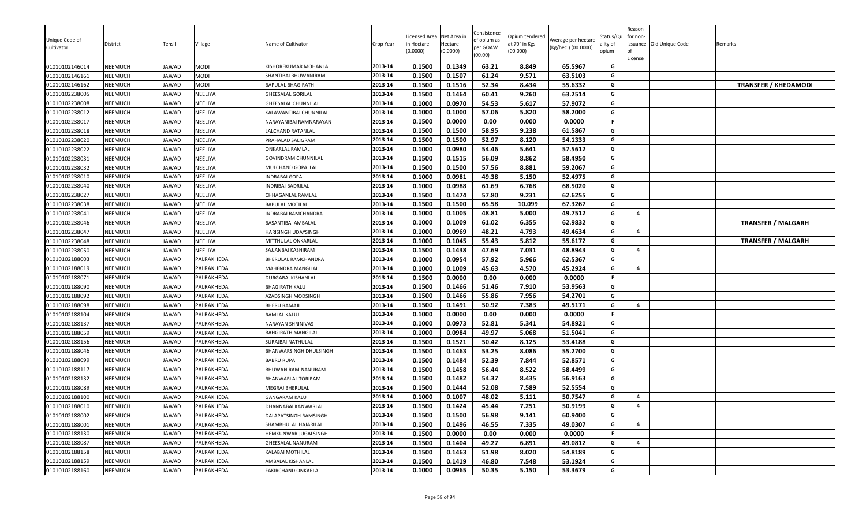| Unique Code of<br>Cultivator     | District<br>NEEMUCH | Tehsil                | Village             | Name of Cultivator                               | Crop Year<br>2013-14 | Licensed Area<br>ነ Hectare<br>(0.0000) | Net Area in<br>Hectare<br>(0.0000) | Consistence<br>of opium as<br>per GOAW<br>(00.00) | Opium tendered<br>at 70° in Kgs<br>(00.000) | Average per hectare<br>(Kg/hec.) (00.0000) | Status/Qu<br>ality of<br>opium | Reason<br>for non-<br>License | issuance Old Unique Code | Remarks                     |
|----------------------------------|---------------------|-----------------------|---------------------|--------------------------------------------------|----------------------|----------------------------------------|------------------------------------|---------------------------------------------------|---------------------------------------------|--------------------------------------------|--------------------------------|-------------------------------|--------------------------|-----------------------------|
| 01010102146014                   |                     | JAWAD                 | <b>MODI</b><br>MODI | KISHOREKUMAR MOHANLAL                            | 2013-14              | 0.1500                                 | 0.1349                             | 63.21                                             | 8.849                                       | 65.5967                                    | G<br>G                         |                               |                          |                             |
| 01010102146161<br>01010102146162 | NEEMUCH<br>NEEMUCH  | <b>IAWAD</b><br>JAWAD | MODI                | SHANTIBAI BHUWANIRAM<br><b>BAPULAL BHAGIRATH</b> | 2013-14              | 0.1500<br>0.1500                       | 0.1507<br>0.1516                   | 61.24<br>52.34                                    | 9.571<br>8.434                              | 63.5103<br>55.6332                         | G                              |                               |                          | <b>TRANSFER / KHEDAMODI</b> |
| 01010102238005                   | NEEMUCH             | JAWAD                 | NEELIYA             | GHEESALAL GORILAL                                | 2013-14              | 0.1500                                 | 0.1464                             | 60.41                                             | 9.260                                       | 63.2514                                    | G                              |                               |                          |                             |
| 01010102238008                   | NEEMUCH             | JAWAD                 | NEELIYA             | GHEESALAL CHUNNILAL                              | 2013-14              | 0.1000                                 | 0.0970                             | 54.53                                             | 5.617                                       | 57.9072                                    | G                              |                               |                          |                             |
| 01010102238012                   | NEEMUCH             | JAWAD                 | NEELIYA             | KALAWANTIBAI CHUNNILAL                           | 2013-14              | 0.1000                                 | 0.1000                             | 57.06                                             | 5.820                                       | 58.2000                                    | G                              |                               |                          |                             |
| 01010102238017                   | NEEMUCH             | JAWAD                 | NEELIYA             | NARAYANIBAI RAMNARAYAN                           | 2013-14              | 0.1500                                 | 0.0000                             | 0.00                                              | 0.000                                       | 0.0000                                     | F                              |                               |                          |                             |
| 01010102238018                   | NEEMUCH             | JAWAD                 | NEELIYA             | LALCHAND RATANLAL                                | 2013-14              | 0.1500                                 | 0.1500                             | 58.95                                             | 9.238                                       | 61.5867                                    | G                              |                               |                          |                             |
| 01010102238020                   | NEEMUCH             | JAWAD                 | NEELIYA             | PRAHALAD SALIGRAM                                | 2013-14              | 0.1500                                 | 0.1500                             | 52.97                                             | 8.120                                       | 54.1333                                    | G                              |                               |                          |                             |
| 01010102238022                   | NEEMUCH             | JAWAD                 | NEELIYA             | ONKARLAL RAMLAL                                  | 2013-14              | 0.1000                                 | 0.0980                             | 54.46                                             | 5.641                                       | 57.5612                                    | G                              |                               |                          |                             |
| 01010102238031                   | NEEMUCH             | JAWAD                 | NEELIYA             | GOVINDRAM CHUNNILAL                              | 2013-14              | 0.1500                                 | 0.1515                             | 56.09                                             | 8.862                                       | 58.4950                                    | G                              |                               |                          |                             |
| 01010102238032                   | <b>NEEMUCH</b>      | JAWAD                 | NEELIYA             | MULCHAND GOPALLAL                                | 2013-14              | 0.1500                                 | 0.1500                             | 57.56                                             | 8.881                                       | 59.2067                                    | G                              |                               |                          |                             |
| 01010102238010                   | NEEMUCH             | JAWAD                 | NEELIYA             | <b>INDRABAI GOPAL</b>                            | 2013-14              | 0.1000                                 | 0.0981                             | 49.38                                             | 5.150                                       | 52.4975                                    | G                              |                               |                          |                             |
| 01010102238040                   | NEEMUCH             | JAWAD                 | NEELIYA             | NDRIBAI BADRILAL                                 | 2013-14              | 0.1000                                 | 0.0988                             | 61.69                                             | 6.768                                       | 68.5020                                    | G                              |                               |                          |                             |
| 01010102238027                   | NEEMUCH             | JAWAD                 | NEELIYA             | CHHAGANLAL RAMLAL                                | 2013-14              | 0.1500                                 | 0.1474                             | 57.80                                             | 9.231                                       | 62.6255                                    | G                              |                               |                          |                             |
| 01010102238038                   | NEEMUCH             | JAWAD                 | NEELIYA             | <b>BABULAL MOTILAL</b>                           | 2013-14              | 0.1500                                 | 0.1500                             | 65.58                                             | 10.099                                      | 67.3267                                    | G                              |                               |                          |                             |
| 01010102238041                   | NEEMUCH             | <b>JAWAD</b>          | NEELIYA             | INDRABAI RAMCHANDRA                              | 2013-14              | 0.1000                                 | 0.1005                             | 48.81                                             | 5.000                                       | 49.7512                                    | G                              | $\overline{a}$                |                          |                             |
| 01010102238046                   | NEEMUCH             | JAWAD                 | NEELIYA             | BASANTIBAI AMBALAL                               | 2013-14              | 0.1000                                 | 0.1009                             | 61.02                                             | 6.355                                       | 62.9832                                    | G                              |                               |                          | <b>TRANSFER / MALGARH</b>   |
| 01010102238047                   | NEEMUCH             | JAWAD                 | NEELIYA             | HARISINGH UDAYSINGH                              | 2013-14              | 0.1000                                 | 0.0969                             | 48.21                                             | 4.793                                       | 49.4634                                    | G                              | 4                             |                          |                             |
| 01010102238048                   | NEEMUCH             | JAWAD                 | NEELIYA             | MITTHULAL ONKARLAL                               | 2013-14              | 0.1000                                 | 0.1045                             | 55.43                                             | 5.812                                       | 55.6172                                    | G                              |                               |                          | <b>TRANSFER / MALGARH</b>   |
| 01010102238050                   | NEEMUCH             | JAWAD                 | NEELIYA             | SAJJANBAI KASHIRAM                               | 2013-14              | 0.1500                                 | 0.1438                             | 47.69                                             | 7.031                                       | 48.8943                                    | G                              | $\overline{a}$                |                          |                             |
| 01010102188003                   | NEEMUCH             | JAWAD                 | PALRAKHEDA          | BHERULAL RAMCHANDRA                              | 2013-14              | 0.1000                                 | 0.0954                             | 57.92                                             | 5.966                                       | 62.5367                                    | G                              |                               |                          |                             |
| 01010102188019                   | NEEMUCH             | JAWAD                 | PALRAKHEDA          | MAHENDRA MANGILAL                                | 2013-14              | 0.1000                                 | 0.1009                             | 45.63                                             | 4.570                                       | 45.2924                                    | G                              | 4                             |                          |                             |
| 01010102188071                   | NEEMUCH             | JAWAD                 | PALRAKHEDA          | DURGABAI KISHANLAL                               | 2013-14              | 0.1500                                 | 0.0000                             | 0.00                                              | 0.000                                       | 0.0000                                     | F                              |                               |                          |                             |
| 01010102188090                   | <b>NEEMUCH</b>      | JAWAD                 | PALRAKHEDA          | BHAGIRATH KALU                                   | 2013-14              | 0.1500                                 | 0.1466                             | 51.46                                             | 7.910                                       | 53.9563                                    | G                              |                               |                          |                             |
| 01010102188092                   | NEEMUCH             | JAWAD                 | PALRAKHEDA          | AZADSINGH MODSINGH                               | 2013-14              | 0.1500                                 | 0.1466                             | 55.86                                             | 7.956                                       | 54.2701                                    | G                              |                               |                          |                             |
| 01010102188098                   | NEEMUCH             | JAWAD                 | PALRAKHEDA          | BHERU RAMAJI                                     | 2013-14              | 0.1500                                 | 0.1491                             | 50.92                                             | 7.383                                       | 49.5171                                    | G                              | $\overline{4}$                |                          |                             |
| 01010102188104                   | NEEMUCH             | JAWAD                 | PALRAKHEDA          | RAMLAL KALUJI                                    | 2013-14              | 0.1000                                 | 0.0000                             | 0.00                                              | 0.000                                       | 0.0000                                     | F                              |                               |                          |                             |
| 01010102188137                   | <b>NEEMUCH</b>      | JAWAD                 | PALRAKHEDA          | NARAYAN SHRINIVAS                                | 2013-14              | 0.1000                                 | 0.0973                             | 52.81                                             | 5.341                                       | 54.8921                                    | G                              |                               |                          |                             |
| 01010102188059                   | NEEMUCH             | IAWAD                 | PALRAKHEDA          | BAHGIRATH MANGILAL                               | 2013-14              | 0.1000                                 | 0.0984                             | 49.97                                             | 5.068                                       | 51.5041                                    | G                              |                               |                          |                             |
| 01010102188156                   | NEEMUCH             | JAWAD                 | PALRAKHEDA          | SURAJBAI NATHULAL                                | 2013-14              | 0.1500                                 | 0.1521                             | 50.42                                             | 8.125                                       | 53.4188                                    | G                              |                               |                          |                             |
| 01010102188046                   | <b>NEEMUCH</b>      | JAWAD                 | PALRAKHEDA          | BHANWARSINGH DHULSINGH                           | 2013-14              | 0.1500                                 | 0.1463                             | 53.25                                             | 8.086                                       | 55.2700                                    | G                              |                               |                          |                             |
| 01010102188099                   | NEEMUCH             | JAWAD                 | PALRAKHEDA          | <b>BABRU RUPA</b>                                | 2013-14              | 0.1500                                 | 0.1484                             | 52.39                                             | 7.844                                       | 52.8571                                    | G                              |                               |                          |                             |
| 01010102188117                   | NEEMUCH             | JAWAD                 | PALRAKHEDA          | BHUWANIRAM NANURAM                               | 2013-14              | 0.1500                                 | 0.1458                             | 56.44                                             | 8.522                                       | 58.4499                                    | G                              |                               |                          |                             |
| 01010102188132                   | NEEMUCH             | JAWAD                 | PALRAKHEDA          | BHANWARLAL TORIRAM                               | 2013-14              | 0.1500                                 | 0.1482                             | 54.37                                             | 8.435                                       | 56.9163                                    | G                              |                               |                          |                             |
| 01010102188089                   | NEEMUCH             | JAWAD                 | PALRAKHEDA          | MEGRAJ BHERULAL                                  | 2013-14              | 0.1500                                 | 0.1444                             | 52.08                                             | 7.589                                       | 52.5554                                    | G                              |                               |                          |                             |
| 01010102188100                   | NEEMUCH             | <b>AWAD</b>           | PALRAKHEDA          | <b>GANGARAM KALU</b>                             | 2013-14              | 0.1000                                 | 0.1007                             | 48.02                                             | 5.111                                       | 50.7547                                    | G                              | $\overline{4}$                |                          |                             |
| 01010102188010                   | <b>NEEMUCH</b>      | JAWAD                 | PALRAKHEDA          | DHANNABAI KANWARLAL                              | 2013-14              | 0.1500                                 | 0.1424                             | 45.44                                             | 7.251                                       | 50.9199                                    | G                              | $\overline{\mathbf{a}}$       |                          |                             |
| 01010102188002                   | <b>NEEMUCH</b>      | JAWAD                 | PALRAKHEDA          | DALAPATSINGH RAMSINGH                            | 2013-14              | 0.1500                                 | 0.1500                             | 56.98                                             | 9.141                                       | 60.9400                                    | G                              |                               |                          |                             |
| 01010102188001                   | NEEMUCH             | JAWAD                 | PALRAKHEDA          | SHAMBHULAL HAJARILAL                             | 2013-14              | 0.1500                                 | 0.1496                             | 46.55                                             | 7.335                                       | 49.0307                                    | G                              | 4                             |                          |                             |
| 01010102188130                   | NEEMUCH             | JAWAD                 | PALRAKHEDA          | HEMKUNWAR JUGALSINGH                             | 2013-14              | 0.1500                                 | 0.0000                             | 0.00                                              | 0.000                                       | 0.0000                                     | F                              |                               |                          |                             |
| 01010102188087                   | NEEMUCH             | JAWAD                 | PALRAKHEDA          | GHEESALAL NANURAM                                | 2013-14              | 0.1500                                 | 0.1404                             | 49.27                                             | 6.891                                       | 49.0812                                    | G                              | $\overline{a}$                |                          |                             |
| 01010102188158                   | NEEMUCH             | JAWAD                 | PALRAKHEDA          | KALABAI MOTHILAL                                 | 2013-14              | 0.1500                                 | 0.1463                             | 51.98                                             | 8.020                                       | 54.8189                                    | G                              |                               |                          |                             |
| 01010102188159                   | NEEMUCH             | JAWAD                 | PALRAKHEDA          | AMBALAL KISHANLAL                                | 2013-14              | 0.1500                                 | 0.1419                             | 46.80                                             | 7.548                                       | 53.1924                                    | G                              |                               |                          |                             |
| 01010102188160                   | NEEMUCH             | JAWAD                 | PALRAKHEDA          | FAKIRCHAND ONKARLAL                              | 2013-14              | 0.1000                                 | 0.0965                             | 50.35                                             | 5.150                                       | 53.3679                                    | G                              |                               |                          |                             |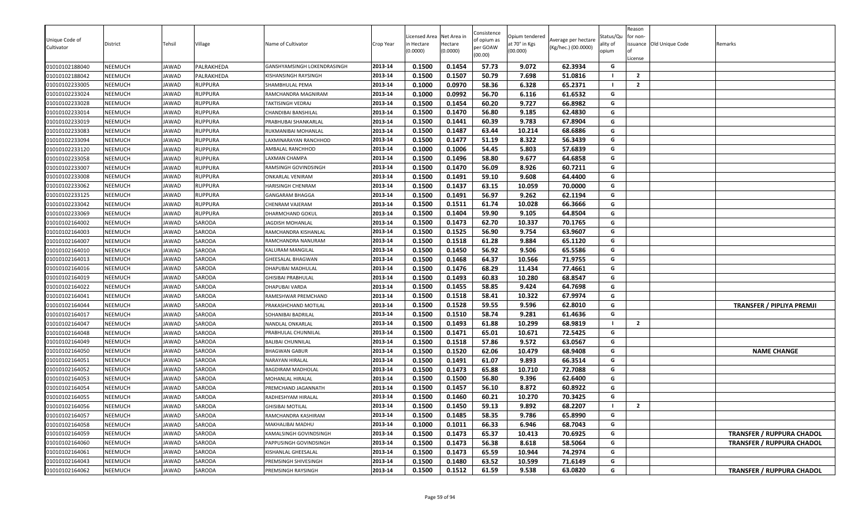| Unique Code of<br>Cultivator     | District           | Tehsil               | Village          | Name of Cultivator                            | Crop Year          | Licensed Area<br>า Hectare<br>(0.0000) | Net Area in<br>Hectare<br>(0.0000) | Consistence<br>of opium as<br>per GOAW<br>(00.00) | Opium tendered<br>at 70° in Kgs<br>(00.000) | Average per hectare<br>(Kg/hec.) (00.0000) | Status/Qu<br>ality of<br>opium | Reason<br>for non-<br>License | issuance Old Unique Code | Remarks                          |
|----------------------------------|--------------------|----------------------|------------------|-----------------------------------------------|--------------------|----------------------------------------|------------------------------------|---------------------------------------------------|---------------------------------------------|--------------------------------------------|--------------------------------|-------------------------------|--------------------------|----------------------------------|
| 01010102188040                   | NEEMUCH            | JAWAD                | PALRAKHEDA       | GANSHYAMSINGH LOKENDRASINGH                   | 2013-14            | 0.1500                                 | 0.1454                             | 57.73                                             | 9.072                                       | 62.3934                                    | G                              |                               |                          |                                  |
| 01010102188042                   | NEEMUCH            | <b>IAWAD</b>         | PALRAKHEDA       | KISHANSINGH RAYSINGH                          | 2013-14            | 0.1500                                 | 0.1507                             | 50.79                                             | 7.698                                       | 51.0816                                    | a l                            | $\overline{2}$                |                          |                                  |
| 01010102233005                   | NEEMUCH            | JAWAD                | <b>RUPPURA</b>   | SHAMBHULAL PEMA                               | 2013-14            | 0.1000                                 | 0.0970                             | 58.36                                             | 6.328                                       | 65.2371                                    | - 1                            | $\overline{2}$                |                          |                                  |
| 01010102233024                   | NEEMUCH            | <b>JAWAD</b>         | <b>RUPPURA</b>   | RAMCHANDRA MAGNIRAM                           | 2013-14            | 0.1000                                 | 0.0992                             | 56.70                                             | 6.116                                       | 61.6532                                    | G                              |                               |                          |                                  |
| 01010102233028                   | <b>NEEMUCH</b>     | JAWAD                | <b>RUPPURA</b>   | TAKTISINGH VEDRAJ                             | 2013-14            | 0.1500                                 | 0.1454                             | 60.20                                             | 9.727                                       | 66.8982                                    | G                              |                               |                          |                                  |
| 01010102233014                   | NEEMUCH            | JAWAD                | <b>RUPPURA</b>   | CHANDIBAI BANSHILAL                           | 2013-14            | 0.1500                                 | 0.1470                             | 56.80                                             | 9.185                                       | 62.4830                                    | G                              |                               |                          |                                  |
| 01010102233019                   | NEEMUCH            | IAWAD                | <b>RUPPURA</b>   | PRABHUBAI SHANKARLAL                          | 2013-14            | 0.1500                                 | 0.1441                             | 60.39                                             | 9.783                                       | 67.8904                                    | G                              |                               |                          |                                  |
| 01010102233083                   | NEEMUCH            | JAWAD                | <b>RUPPURA</b>   | RUKMANIBAI MOHANLAL                           | 2013-14            | 0.1500                                 | 0.1487                             | 63.44                                             | 10.214                                      | 68.6886                                    | G                              |                               |                          |                                  |
| 01010102233094                   | NEEMUCH            | JAWAD                | <b>RUPPURA</b>   | LAXMINARAYAN RANCHHOD                         | 2013-14            | 0.1500                                 | 0.1477                             | 51.19                                             | 8.322                                       | 56.3439                                    | G                              |                               |                          |                                  |
| 01010102233120                   | NEEMUCH            | JAWAD                | <b>RUPPURA</b>   | AMBALAL RANCHHOD                              | 2013-14            | 0.1000                                 | 0.1006                             | 54.45                                             | 5.803                                       | 57.6839                                    | G                              |                               |                          |                                  |
| 01010102233058                   | NEEMUCH            | JAWAD                | <b>RUPPURA</b>   | LAXMAN CHAMPA                                 | 2013-14            | 0.1500                                 | 0.1496                             | 58.80                                             | 9.677                                       | 64.6858                                    | G                              |                               |                          |                                  |
| 01010102233007                   | NEEMUCH            | JAWAD                | <b>RUPPURA</b>   | RAMSINGH GOVINDSINGH                          | 2013-14            | 0.1500                                 | 0.1470                             | 56.09                                             | 8.926                                       | 60.7211                                    | G                              |                               |                          |                                  |
| 01010102233008                   | NEEMUCH            | JAWAD                | <b>RUPPURA</b>   | ONKARLAL VENIRAM                              | 2013-14            | 0.1500                                 | 0.1491                             | 59.10                                             | 9.608                                       | 64.4400                                    | G                              |                               |                          |                                  |
| 01010102233062                   | NEEMUCH            | JAWAD                | <b>RUPPURA</b>   | HARISINGH CHENRAM                             | 2013-14            | 0.1500                                 | 0.1437                             | 63.15                                             | 10.059                                      | 70.0000                                    | G                              |                               |                          |                                  |
| 01010102233125                   | NEEMUCH            | JAWAD                | <b>RUPPURA</b>   | GANGARAM BHAGGA                               | 2013-14            | 0.1500                                 | 0.1491                             | 56.97                                             | 9.262                                       | 62.1194                                    | G                              |                               |                          |                                  |
| 01010102233042                   | NEEMUCH            | JAWAD                | <b>RUPPURA</b>   | CHENRAM VAJERAM                               | 2013-14            | 0.1500                                 | 0.1511                             | 61.74                                             | 10.028                                      | 66.3666                                    | G                              |                               |                          |                                  |
| 01010102233069                   | NEEMUCH            | JAWAD                | <b>RUPPURA</b>   | DHARMCHAND GOKUL                              | 2013-14            | 0.1500                                 | 0.1404                             | 59.90                                             | 9.105                                       | 64.8504                                    | G                              |                               |                          |                                  |
| 01010102164002                   | NEEMUCH            | JAWAD                | SARODA           | JAGDISH MOHANLAL                              | 2013-14            | 0.1500                                 | 0.1473                             | 62.70                                             | 10.337                                      | 70.1765                                    | G                              |                               |                          |                                  |
| 01010102164003                   | NEEMUCH            | JAWAD                | SARODA           | RAMCHANDRA KISHANLAL                          | 2013-14            | 0.1500                                 | 0.1525                             | 56.90                                             | 9.754                                       | 63.9607                                    | G                              |                               |                          |                                  |
| 01010102164007                   | NEEMUCH            | JAWAD                | SARODA           | RAMCHANDRA NANURAM                            | 2013-14            | 0.1500                                 | 0.1518                             | 61.28                                             | 9.884                                       | 65.1120                                    | G                              |                               |                          |                                  |
| 01010102164010                   | NEEMUCH            | JAWAD                | SARODA           | KALURAM MANGILAL                              | 2013-14            | 0.1500                                 | 0.1450                             | 56.92                                             | 9.506                                       | 65.5586                                    | G                              |                               |                          |                                  |
| 01010102164013                   | NEEMUCH            | JAWAD                | SARODA           | GHEESALAL BHAGWAN                             | 2013-14            | 0.1500                                 | 0.1468                             | 64.37                                             | 10.566                                      | 71.9755                                    | G                              |                               |                          |                                  |
| 01010102164016                   | NEEMUCH            | JAWAD                | SARODA           | DHAPUBAI MADHULAL                             | 2013-14            | 0.1500                                 | 0.1476                             | 68.29                                             | 11.434                                      | 77.4661                                    | G                              |                               |                          |                                  |
| 01010102164019                   | NEEMUCH            | JAWAD                | SARODA           | GHISIBAI PRABHULAL                            | 2013-14            | 0.1500                                 | 0.1493                             | 60.83                                             | 10.280                                      | 68.8547                                    | G                              |                               |                          |                                  |
| 01010102164022                   | NEEMUCH            | JAWAD                | SARODA           | DHAPUBAI VARDA                                | 2013-14            | 0.1500                                 | 0.1455                             | 58.85                                             | 9.424                                       | 64.7698                                    | G                              |                               |                          |                                  |
| 01010102164041                   | NEEMUCH            | JAWAD                | SARODA           | RAMESHWAR PREMCHAND                           | 2013-14            | 0.1500                                 | 0.1518                             | 58.41                                             | 10.322                                      | 67.9974                                    | G                              |                               |                          |                                  |
| 01010102164044                   | NEEMUCH            | JAWAD                | SARODA           | PRAKASHCHAND MOTILAL                          | 2013-14            | 0.1500                                 | 0.1528                             | 59.55                                             | 9.596                                       | 62.8010                                    | G                              |                               |                          | <b>TRANSFER / PIPLIYA PREMJI</b> |
| 01010102164017                   | NEEMUCH            | JAWAD                | SARODA           | SOHANIBAI BADRILAL                            | 2013-14            | 0.1500                                 | 0.1510                             | 58.74                                             | 9.281                                       | 61.4636                                    | G                              |                               |                          |                                  |
| 01010102164047                   | NEEMUCH            | JAWAD                | SARODA           | NANDLAL ONKARLAL                              | 2013-14            | 0.1500                                 | 0.1493                             | 61.88                                             | 10.299                                      | 68.9819                                    |                                | $\overline{2}$                |                          |                                  |
| 01010102164048                   | NEEMUCH            | IAWAD                | SARODA           | PRABHULAL CHUNNILAL                           | 2013-14            | 0.1500                                 | 0.1471                             | 65.01                                             | 10.671                                      | 72.5425                                    | G                              |                               |                          |                                  |
| 01010102164049                   | NEEMUCH            | JAWAD                | SARODA           | BALIBAI CHUNNILAL                             | 2013-14            | 0.1500                                 | 0.1518                             | 57.86                                             | 9.572                                       | 63.0567                                    | G                              |                               |                          |                                  |
| 01010102164050                   | NEEMUCH            | JAWAD                | SARODA           | <b>BHAGWAN GABUR</b>                          | 2013-14            | 0.1500                                 | 0.1520                             | 62.06                                             | 10.479                                      | 68.9408                                    | G                              |                               |                          | <b>NAME CHANGE</b>               |
| 01010102164051                   | NEEMUCH            | JAWAD                | SARODA           | NARAYAN HIRALAL                               | 2013-14            | 0.1500                                 | 0.1491                             | 61.07                                             | 9.893                                       | 66.3514                                    | G                              |                               |                          |                                  |
| 01010102164052                   | NEEMUCH            | JAWAD                | SARODA           | BAGDIRAM MADHOLAL                             | 2013-14            | 0.1500                                 | 0.1473                             | 65.88                                             | 10.710                                      | 72.7088                                    | G                              |                               |                          |                                  |
| 01010102164053<br>01010102164054 | NEEMUCH            | JAWAD                | SARODA           | MOHANLAL HIRALAL                              | 2013-14            | 0.1500                                 | 0.1500                             | 56.80                                             | 9.396                                       | 62.6400                                    | G<br>G                         |                               |                          |                                  |
|                                  | NEEMUCH            | JAWAD                | SARODA           | PREMCHAND JAGANNATH                           | 2013-14<br>2013-14 | 0.1500<br>0.1500                       | 0.1457<br>0.1460                   | 56.10<br>60.21                                    | 8.872<br>10.270                             | 60.8922<br>70.3425                         | G                              |                               |                          |                                  |
| 01010102164055<br>01010102164056 | NEEMUCH<br>NEEMUCH | <b>AWAD</b><br>JAWAD | SARODA<br>SARODA | RADHESHYAM HIRALAL<br><b>GHISIBAI MOTILAL</b> | 2013-14            | 0.1500                                 | 0.1450                             | 59.13                                             | 9.892                                       | 68.2207                                    |                                | $\overline{2}$                |                          |                                  |
|                                  |                    |                      | SARODA           |                                               | 2013-14            |                                        | 0.1485                             |                                                   |                                             |                                            | G                              |                               |                          |                                  |
| 01010102164057                   | NEEMUCH            | JAWAD                | SARODA           | RAMCHANDRA KASHIRAM<br>MAKHALIBAI MADHU       |                    | 0.1500<br>0.1000                       | 0.1011                             | 58.35<br>66.33                                    | 9.786<br>6.946                              | 65.8990                                    | G                              |                               |                          |                                  |
| 01010102164058                   | NEEMUCH            | JAWAD                |                  |                                               | 2013-14            |                                        |                                    |                                                   |                                             | 68.7043                                    | G                              |                               |                          |                                  |
| 01010102164059                   | NEEMUCH            | JAWAD                | SARODA           | KAMALSINGH GOVINDSINGH                        | 2013-14            | 0.1500                                 | 0.1473<br>0.1473                   | 65.37<br>56.38                                    | 10.413                                      | 70.6925                                    | G                              |                               |                          | <b>TRANSFER / RUPPURA CHADOL</b> |
| 01010102164060                   | NEEMUCH            | JAWAD                | SARODA           | PAPPUSINGH GOVINDSINGH                        | 2013-14<br>2013-14 | 0.1500                                 | 0.1473                             | 65.59                                             | 8.618                                       | 58.5064                                    | G                              |                               |                          | <b>TRANSFER / RUPPURA CHADOL</b> |
| 01010102164061<br>01010102164043 | NEEMUCH<br>NEEMUCH | IAWAD<br>JAWAD       | SARODA<br>SARODA | KISHANLAL GHEESALAL                           | 2013-14            | 0.1500                                 |                                    | 63.52                                             | 10.944<br>10.599                            | 74.2974                                    | G                              |                               |                          |                                  |
|                                  |                    |                      |                  | PREMSINGH SHIVESINGH                          | 2013-14            | 0.1500<br>0.1500                       | 0.1480<br>0.1512                   | 61.59                                             | 9.538                                       | 71.6149                                    | G                              |                               |                          |                                  |
| 01010102164062                   | NEEMUCH            | JAWAD                | SARODA           | PREMSINGH RAYSINGH                            |                    |                                        |                                    |                                                   |                                             | 63.0820                                    |                                |                               |                          | <b>TRANSFER / RUPPURA CHADOL</b> |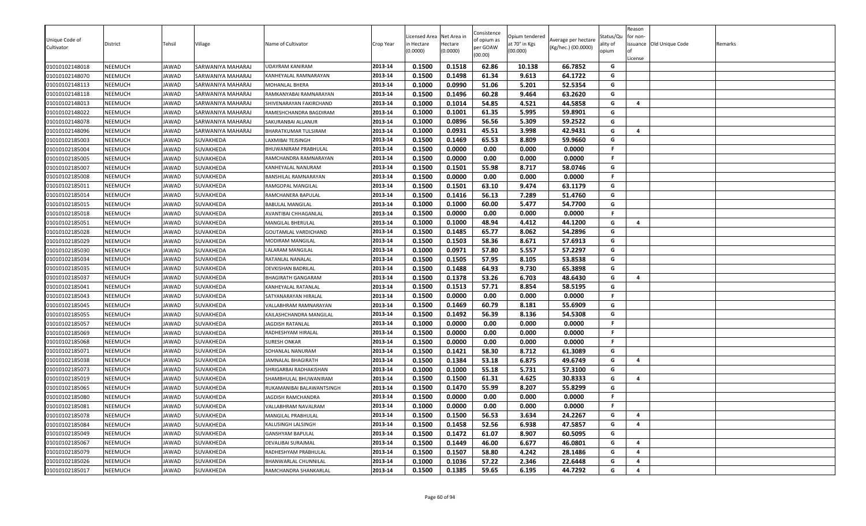| Unique Code of |                |              |                   |                             |           | icensed Area | Net Area in | Consistence<br>of opium as | Opium tendered | Average per hectare | Status/Qu | Reason<br>for non- |                          |         |
|----------------|----------------|--------------|-------------------|-----------------------------|-----------|--------------|-------------|----------------------------|----------------|---------------------|-----------|--------------------|--------------------------|---------|
| Cultivator     | District       | Tehsil       | √illage           | Name of Cultivator          | Crop Year | n Hectare    | Hectare     | per GOAW                   | at 70° in Kgs  | (Kg/hec.) (00.0000) | ality of  |                    | issuance Old Unique Code | Remarks |
|                |                |              |                   |                             |           | (0.0000)     | (0.0000)    | (00.00)                    | (00.000)       |                     | opium     |                    |                          |         |
| 01010102148018 | <b>NEEMUCH</b> | JAWAD        | SARWANIYA MAHARAJ | UDAYRAM KANIRAM             | 2013-14   | 0.1500       | 0.1518      | 62.86                      | 10.138         | 66.7852             | G         | License            |                          |         |
| 01010102148070 | <b>NEEMUCH</b> | JAWAD        | SARWANIYA MAHARAJ | KANHEYALAL RAMNARAYAN       | 2013-14   | 0.1500       | 0.1498      | 61.34                      | 9.613          | 64.1722             | G         |                    |                          |         |
| 01010102148113 | <b>NEEMUCH</b> | JAWAD        | SARWANIYA MAHARAJ | MOHANLAL BHERA              | 2013-14   | 0.1000       | 0.0990      | 51.06                      | 5.201          | 52.5354             | G         |                    |                          |         |
| 01010102148118 | <b>NEEMUCH</b> | JAWAD        | SARWANIYA MAHARAJ | RAMKANYABAI RAMNARAYAN      | 2013-14   | 0.1500       | 0.1496      | 60.28                      | 9.464          | 63.2620             | G         |                    |                          |         |
| 01010102148013 | <b>NEEMUCH</b> | <b>JAWAD</b> | SARWANIYA MAHARAJ | SHIVENARAYAN FAKIRCHAND     | 2013-14   | 0.1000       | 0.1014      | 54.85                      | 4.521          | 44.5858             | G         | $\overline{a}$     |                          |         |
| 01010102148022 | <b>NEEMUCH</b> | JAWAD        | SARWANIYA MAHARAJ | RAMESHCHANDRA BAGDIRAM      | 2013-14   | 0.1000       | 0.1001      | 61.35                      | 5.995          | 59.8901             | G         |                    |                          |         |
| 01010102148078 | <b>NEEMUCH</b> | JAWAD        | SARWANIYA MAHARAJ | SAKURANBAI ALLANUR          | 2013-14   | 0.1000       | 0.0896      | 56.56                      | 5.309          | 59.2522             | G         |                    |                          |         |
| 01010102148096 | <b>NEEMUCH</b> | JAWAD        | SARWANIYA MAHARAJ | BHARATKUMAR TULSIRAM        | 2013-14   | 0.1000       | 0.0931      | 45.51                      | 3.998          | 42.9431             | G         | $\overline{a}$     |                          |         |
| 01010102185003 | <b>NEEMUCH</b> | JAWAD        | SUVAKHEDA         | LAXMIBAI TEJSINGH           | 2013-14   | 0.1500       | 0.1469      | 65.53                      | 8.809          | 59.9660             | G         |                    |                          |         |
| 01010102185004 | <b>NEEMUCH</b> | JAWAD        | SUVAKHEDA         | BHUWANIRAM PRABHULAL        | 2013-14   | 0.1500       | 0.0000      | 0.00                       | 0.000          | 0.0000              | F.        |                    |                          |         |
| 01010102185005 | <b>NEEMUCH</b> | JAWAD        | SUVAKHEDA         | RAMCHANDRA RAMNARAYAN       | 2013-14   | 0.1500       | 0.0000      | 0.00                       | 0.000          | 0.0000              | F.        |                    |                          |         |
| 01010102185007 | <b>NEEMUCH</b> | JAWAD        | SUVAKHEDA         | KANHEYALAL NANURAM          | 2013-14   | 0.1500       | 0.1501      | 55.98                      | 8.717          | 58.0746             | G         |                    |                          |         |
| 01010102185008 | <b>NEEMUCH</b> | JAWAD        | SUVAKHEDA         | BANSHILAL RAMNARAYAN        | 2013-14   | 0.1500       | 0.0000      | 0.00                       | 0.000          | 0.0000              | F.        |                    |                          |         |
| 01010102185011 | <b>NEEMUCH</b> | <b>JAWAD</b> | SUVAKHEDA         | RAMGOPAL MANGILAL           | 2013-14   | 0.1500       | 0.1501      | 63.10                      | 9.474          | 63.1179             | G         |                    |                          |         |
| 01010102185014 | <b>NEEMUCH</b> | JAWAD        | SUVAKHEDA         | RAMCHANERA BAPULAL          | 2013-14   | 0.1500       | 0.1416      | 56.13                      | 7.289          | 51.4760             | G         |                    |                          |         |
| 01010102185015 | <b>NEEMUCH</b> | JAWAD        | SUVAKHEDA         | <b>BABULAL MANGILAL</b>     | 2013-14   | 0.1000       | 0.1000      | 60.00                      | 5.477          | 54.7700             | G         |                    |                          |         |
| 01010102185018 | <b>NEEMUCH</b> | JAWAD        | SUVAKHEDA         | AVANTIBAI CHHAGANLAL        | 2013-14   | 0.1500       | 0.0000      | 0.00                       | 0.000          | 0.0000              | F.        |                    |                          |         |
| 01010102185051 | <b>NEEMUCH</b> | JAWAD        | SUVAKHEDA         | MANGILAL BHERULAL           | 2013-14   | 0.1000       | 0.1000      | 48.94                      | 4.412          | 44.1200             | G         | 4                  |                          |         |
| 01010102185028 | <b>NEEMUCH</b> | JAWAD        | SUVAKHEDA         | <b>GOUTAMLAL VARDICHAND</b> | 2013-14   | 0.1500       | 0.1485      | 65.77                      | 8.062          | 54.2896             | G         |                    |                          |         |
| 01010102185029 | <b>NEEMUCH</b> | JAWAD        | SUVAKHEDA         | MODIRAM MANGILAL            | 2013-14   | 0.1500       | 0.1503      | 58.36                      | 8.671          | 57.6913             | G         |                    |                          |         |
| 01010102185030 | <b>NEEMUCH</b> | JAWAD        | SUVAKHEDA         | LALARAM MANGILAL            | 2013-14   | 0.1000       | 0.0971      | 57.80                      | 5.557          | 57.2297             | G         |                    |                          |         |
| 01010102185034 | <b>NEEMUCH</b> | JAWAD        | SUVAKHEDA         | RATANLAL NANALAL            | 2013-14   | 0.1500       | 0.1505      | 57.95                      | 8.105          | 53.8538             | G         |                    |                          |         |
| 01010102185035 | <b>NEEMUCH</b> | JAWAD        | SUVAKHEDA         | DEVKISHAN BADRILAL          | 2013-14   | 0.1500       | 0.1488      | 64.93                      | 9.730          | 65.3898             | G         |                    |                          |         |
| 01010102185037 | <b>NEEMUCH</b> | JAWAD        | SUVAKHEDA         | BHAGIRATH GANGARAM          | 2013-14   | 0.1500       | 0.1378      | 53.26                      | 6.703          | 48.6430             | G         | $\overline{a}$     |                          |         |
| 01010102185041 | <b>NEEMUCH</b> | JAWAD        | SUVAKHEDA         | KANHEYALAL RATANLAL         | 2013-14   | 0.1500       | 0.1513      | 57.71                      | 8.854          | 58.5195             | G         |                    |                          |         |
| 01010102185043 | <b>NEEMUCH</b> | JAWAD        | SUVAKHEDA         | SATYANARAYAN HIRALAL        | 2013-14   | 0.1500       | 0.0000      | 0.00                       | 0.000          | 0.0000              | F.        |                    |                          |         |
| 01010102185045 | <b>NEEMUCH</b> | JAWAD        | SUVAKHEDA         | VALLABHRAM RAMNARAYAN       | 2013-14   | 0.1500       | 0.1469      | 60.79                      | 8.181          | 55.6909             | G         |                    |                          |         |
| 01010102185055 | <b>NEEMUCH</b> | JAWAD        | SUVAKHEDA         | KAILASHCHANDRA MANGILAL     | 2013-14   | 0.1500       | 0.1492      | 56.39                      | 8.136          | 54.5308             | G         |                    |                          |         |
| 01010102185057 | <b>NEEMUCH</b> | JAWAD        | SUVAKHEDA         | JAGDISH RATANLAL            | 2013-14   | 0.1000       | 0.0000      | 0.00                       | 0.000          | 0.0000              | F.        |                    |                          |         |
| 01010102185069 | <b>NEEMUCH</b> | JAWAD        | SUVAKHEDA         | RADHESHYAM HIRALAL          | 2013-14   | 0.1500       | 0.0000      | 0.00                       | 0.000          | 0.0000              | .F        |                    |                          |         |
| 01010102185068 | <b>NEEMUCH</b> | JAWAD        | SUVAKHEDA         | SURESH ONKAR                | 2013-14   | 0.1500       | 0.0000      | 0.00                       | 0.000          | 0.0000              | F.        |                    |                          |         |
| 01010102185071 | <b>NEEMUCH</b> | JAWAD        | SUVAKHEDA         | SOHANLAL NANURAM            | 2013-14   | 0.1500       | 0.1421      | 58.30                      | 8.712          | 61.3089             | G         |                    |                          |         |
| 01010102185038 | <b>NEEMUCH</b> | JAWAD        | SUVAKHEDA         | JAMNALAL BHAGIRATH          | 2013-14   | 0.1500       | 0.1384      | 53.18                      | 6.875          | 49.6749             | G         | 4                  |                          |         |
| 01010102185073 | <b>NEEMUCH</b> | JAWAD        | SUVAKHEDA         | SHRIGARBAI RADHAKISHAN      | 2013-14   | 0.1000       | 0.1000      | 55.18                      | 5.731          | 57.3100             | G         |                    |                          |         |
| 01010102185019 | NEEMUCH        | JAWAD        | SUVAKHEDA         | SHAMBHULAL BHUWANIRAM       | 2013-14   | 0.1500       | 0.1500      | 61.31                      | 4.625          | 30.8333             | G         | 4                  |                          |         |
| 01010102185065 | <b>NEEMUCH</b> | JAWAD        | SUVAKHEDA         | RUKAMANIBAI BALAWANTSINGH   | 2013-14   | 0.1500       | 0.1470      | 55.99                      | 8.207          | 55.8299             | G         |                    |                          |         |
| 01010102185080 | <b>NEEMUCH</b> | JAWAD        | SUVAKHEDA         | JAGDISH RAMCHANDRA          | 2013-14   | 0.1500       | 0.0000      | 0.00                       | 0.000          | 0.0000              | F.        |                    |                          |         |
| 01010102185081 | <b>NEEMUCH</b> | JAWAD        | SUVAKHEDA         | VALLABHRAM NAVALRAM         | 2013-14   | 0.1000       | 0.0000      | 0.00                       | 0.000          | 0.0000              | F.        |                    |                          |         |
| 01010102185078 | <b>NEEMUCH</b> | JAWAD        | SUVAKHEDA         | MANGILAL PRABHULAL          | 2013-14   | 0.1500       | 0.1500      | 56.53                      | 3.634          | 24.2267             | G         | 4                  |                          |         |
| 01010102185084 | <b>NEEMUCH</b> | JAWAD        | SUVAKHEDA         | KALUSINGH LALSINGH          | 2013-14   | 0.1500       | 0.1458      | 52.56                      | 6.938          | 47.5857             | G         | 4                  |                          |         |
| 01010102185049 | NEEMUCH        | JAWAD        | SUVAKHEDA         | GANSHYAM BAPULAL            | 2013-14   | 0.1500       | 0.1472      | 61.07                      | 8.907          | 60.5095             | G         |                    |                          |         |
| 01010102185067 | <b>NEEMUCH</b> | JAWAD        | SUVAKHEDA         | DEVALIBAI SURAJMAL          | 2013-14   | 0.1500       | 0.1449      | 46.00                      | 6.677          | 46.0801             | G         | 4                  |                          |         |
| 01010102185079 | NEEMUCH        | JAWAD        | SUVAKHEDA         | RADHESHYAM PRABHULAL        | 2013-14   | 0.1500       | 0.1507      | 58.80                      | 4.242          | 28.1486             | G         | 4                  |                          |         |
| 01010102185026 | <b>NEEMUCH</b> | JAWAD        | SUVAKHEDA         | BHANWARLAL CHUNNILAL        | 2013-14   | 0.1000       | 0.1036      | 57.22                      | 2.346          | 22.6448             | G         | 4                  |                          |         |
| 01010102185017 | <b>NEEMUCH</b> | JAWAD        | SUVAKHEDA         | RAMCHANDRA SHANKARLAL       | 2013-14   | 0.1500       | 0.1385      | 59.65                      | 6.195          | 44.7292             | G         | 4                  |                          |         |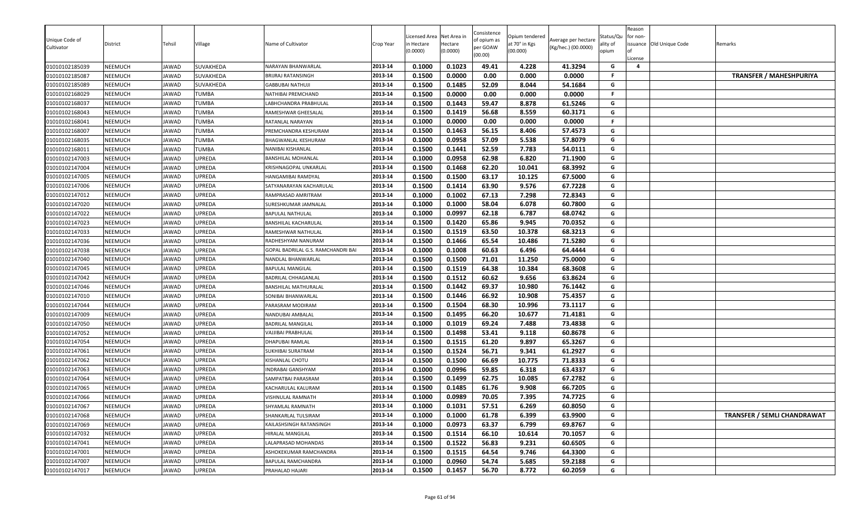| Unique Code of<br>Cultivator | District       | Tehsil       | Village          | Name of Cultivator                 | Crop Year | icensed Area<br>n Hectare<br>0.0000) | Net Area in<br>Hectare<br>(0.0000) | Consistence<br>of opium as<br>per GOAW<br>(00.00) | Opium tendered<br>at 70° in Kgs<br>(00.000) | Average per hectare<br>(Kg/hec.) (00.0000) | Status/Qu<br>ality of<br>opium | Reason<br>for non-<br>License | issuance Old Unique Code | Remarks                            |
|------------------------------|----------------|--------------|------------------|------------------------------------|-----------|--------------------------------------|------------------------------------|---------------------------------------------------|---------------------------------------------|--------------------------------------------|--------------------------------|-------------------------------|--------------------------|------------------------------------|
| 01010102185039               | <b>NEEMUCH</b> | JAWAD        | SUVAKHEDA        | NARAYAN BHANWARLAL                 | 2013-14   | 0.1000                               | 0.1023                             | 49.41                                             | 4.228                                       | 41.3294                                    | G                              | $\overline{a}$                |                          |                                    |
| 01010102185087               | NEEMUCH        | JAWAD        | <b>SUVAKHEDA</b> | BRIJRAJ RATANSINGH                 | 2013-14   | 0.1500                               | 0.0000                             | 0.00                                              | 0.000                                       | 0.0000                                     | .F                             |                               |                          | <b>TRANSFER / MAHESHPURIYA</b>     |
| 01010102185089               | NEEMUCH        | JAWAD        | SUVAKHEDA        | <b>GABBUBAI NATHUJI</b>            | 2013-14   | 0.1500                               | 0.1485                             | 52.09                                             | 8.044                                       | 54.1684                                    | G                              |                               |                          |                                    |
| 01010102168029               | <b>NEEMUCH</b> | JAWAD        | <b>TUMBA</b>     | NATHIBAI PREMCHAND                 | 2013-14   | 0.1500                               | 0.0000                             | 0.00                                              | 0.000                                       | 0.0000                                     | F.                             |                               |                          |                                    |
| 01010102168037               | NEEMUCH        | <b>JAWAD</b> | <b>TUMBA</b>     | ABHCHANDRA PRABHULAL               | 2013-14   | 0.1500                               | 0.1443                             | 59.47                                             | 8.878                                       | 61.5246                                    | G                              |                               |                          |                                    |
| 01010102168043               | <b>NEEMUCH</b> | JAWAD        | <b>TUMBA</b>     | RAMESHWAR GHEESALAI                | 2013-14   | 0.1500                               | 0.1419                             | 56.68                                             | 8.559                                       | 60.3171                                    | G                              |                               |                          |                                    |
| 01010102168041               | NEEMUCH        | JAWAD        | <b>TUMBA</b>     | RATANLAL NARAYAN                   | 2013-14   | 0.1000                               | 0.0000                             | 0.00                                              | 0.000                                       | 0.0000                                     | F.                             |                               |                          |                                    |
| 01010102168007               | <b>NEEMUCH</b> | JAWAD        | <b>TUMBA</b>     | PREMCHANDRA KESHURAM               | 2013-14   | 0.1500                               | 0.1463                             | 56.15                                             | 8.406                                       | 57.4573                                    | G                              |                               |                          |                                    |
| 01010102168035               | NEEMUCH        | JAWAD        | <b>TUMBA</b>     | BHAGWANLAL KESHURAM                | 2013-14   | 0.1000                               | 0.0958                             | 57.09                                             | 5.538                                       | 57.8079                                    | G                              |                               |                          |                                    |
| 01010102168011               | <b>NEEMUCH</b> | JAWAD        | <b>TUMBA</b>     | NANIBAI KISHANLAL                  | 2013-14   | 0.1500                               | 0.1441                             | 52.59                                             | 7.783                                       | 54.0111                                    | G                              |                               |                          |                                    |
| 01010102147003               | NEEMUCH        | JAWAD        | UPREDA           | BANSHILAL MOHANLAL                 | 2013-14   | 0.1000                               | 0.0958                             | 62.98                                             | 6.820                                       | 71.1900                                    | G                              |                               |                          |                                    |
| 01010102147004               | NEEMUCH        | JAWAD        | UPREDA           | KRISHNAGOPAL UNKARLAL              | 2013-14   | 0.1500                               | 0.1468                             | 62.20                                             | 10.041                                      | 68.3992                                    | G                              |                               |                          |                                    |
| 01010102147005               | <b>NEEMUCH</b> | JAWAD        | UPREDA           | HANGAMIBAI RAMDYAL                 | 2013-14   | 0.1500                               | 0.1500                             | 63.17                                             | 10.125                                      | 67.5000                                    | G                              |                               |                          |                                    |
| 01010102147006               | <b>NEEMUCH</b> | JAWAD        | UPREDA           | SATYANARAYAN KACHARULAL            | 2013-14   | 0.1500                               | 0.1414                             | 63.90                                             | 9.576                                       | 67.7228                                    | G                              |                               |                          |                                    |
| 01010102147012               | <b>NEEMUCH</b> | JAWAD        | UPREDA           | RAMPRASAD AMRITRAM                 | 2013-14   | 0.1000                               | 0.1002                             | 67.13                                             | 7.298                                       | 72.8343                                    | G                              |                               |                          |                                    |
| 01010102147020               | <b>NEEMUCH</b> | JAWAD        | UPREDA           | SURESHKUMAR JAMNALAL               | 2013-14   | 0.1000                               | 0.1000                             | 58.04                                             | 6.078                                       | 60.7800                                    | G                              |                               |                          |                                    |
| 01010102147022               | <b>NEEMUCH</b> | JAWAD        | UPREDA           | <b>BAPULAL NATHULAL</b>            | 2013-14   | 0.1000                               | 0.0997                             | 62.18                                             | 6.787                                       | 68.0742                                    | G                              |                               |                          |                                    |
| 01010102147023               | NEEMUCH        | JAWAD        | UPREDA           | BANSHILAL KACHARULAL               | 2013-14   | 0.1500                               | 0.1420                             | 65.86                                             | 9.945                                       | 70.0352                                    | G                              |                               |                          |                                    |
| 01010102147033               | <b>NEEMUCH</b> | JAWAD        | UPREDA           | RAMESHWAR NATHULAL                 | 2013-14   | 0.1500                               | 0.1519                             | 63.50                                             | 10.378                                      | 68.3213                                    | G                              |                               |                          |                                    |
| 01010102147036               | NEEMUCH        | JAWAD        | UPREDA           | RADHESHYAM NANURAM                 | 2013-14   | 0.1500                               | 0.1466                             | 65.54                                             | 10.486                                      | 71.5280                                    | G                              |                               |                          |                                    |
| 01010102147038               | NEEMUCH        | <b>IAWAD</b> | UPREDA           | GOPAL BADRILAL G.S. RAMCHANDRI BAI | 2013-14   | 0.1000                               | 0.1008                             | 60.63                                             | 6.496                                       | 64.4444                                    | G                              |                               |                          |                                    |
| 01010102147040               | <b>NEEMUCH</b> | JAWAD        | UPREDA           | NANDLAL BHANWARLAL                 | 2013-14   | 0.1500                               | 0.1500                             | 71.01                                             | 11.250                                      | 75.0000                                    | G                              |                               |                          |                                    |
| 01010102147045               | <b>NEEMUCH</b> | JAWAD        | UPREDA           | BAPULAL MANGILAL                   | 2013-14   | 0.1500                               | 0.1519                             | 64.38                                             | 10.384                                      | 68.3608                                    | G                              |                               |                          |                                    |
| 01010102147042               | NEEMUCH        | JAWAD        | UPREDA           | BADRILAL CHHAGANLAL                | 2013-14   | 0.1500                               | 0.1512                             | 60.62                                             | 9.656                                       | 63.8624                                    | G                              |                               |                          |                                    |
| 01010102147046               | <b>NEEMUCH</b> | JAWAD        | UPREDA           | BANSHILAL MATHURALAL               | 2013-14   | 0.1500                               | 0.1442                             | 69.37                                             | 10.980                                      | 76.1442                                    | G                              |                               |                          |                                    |
| 01010102147010               | <b>NEEMUCH</b> | JAWAD        | UPREDA           | SONIBAI BHANWARLAL                 | 2013-14   | 0.1500                               | 0.1446                             | 66.92                                             | 10.908                                      | 75.4357                                    | G                              |                               |                          |                                    |
| 01010102147044               | NEEMUCH        | JAWAD        | UPREDA           | PARASRAM MODIRAM                   | 2013-14   | 0.1500                               | 0.1504                             | 68.30                                             | 10.996                                      | 73.1117                                    | G                              |                               |                          |                                    |
| 01010102147009               | NEEMUCH        | <b>JAWAD</b> | UPREDA           | NANDUBAI AMBALAL                   | 2013-14   | 0.1500                               | 0.1495                             | 66.20                                             | 10.677                                      | 71.4181                                    | G                              |                               |                          |                                    |
| 01010102147050               | <b>NEEMUCH</b> | <b>IAWAD</b> | UPREDA           | BADRILAL MANGILAL                  | 2013-14   | 0.1000                               | 0.1019                             | 69.24                                             | 7.488                                       | 73.4838                                    | G                              |                               |                          |                                    |
| 01010102147052               | <b>NEEMUCH</b> | JAWAD        | UPREDA           | VAJJIBAI PRABHULAL                 | 2013-14   | 0.1500                               | 0.1498                             | 53.41                                             | 9.118                                       | 60.8678                                    | G                              |                               |                          |                                    |
| 01010102147054               | <b>NEEMUCH</b> | JAWAD        | UPREDA           | DHAPUBAI RAMLAL                    | 2013-14   | 0.1500                               | 0.1515                             | 61.20                                             | 9.897                                       | 65.3267                                    | G                              |                               |                          |                                    |
| 01010102147061               | <b>NEEMUCH</b> | JAWAD        | UPREDA           | SUKHIBAI SURATRAM                  | 2013-14   | 0.1500                               | 0.1524                             | 56.71                                             | 9.341                                       | 61.2927                                    | G                              |                               |                          |                                    |
| 01010102147062               | NEEMUCH        | JAWAD        | UPREDA           | KISHANLAL CHOTU                    | 2013-14   | 0.1500                               | 0.1500                             | 66.69                                             | 10.775                                      | 71.8333                                    | G                              |                               |                          |                                    |
| 01010102147063               | <b>NEEMUCH</b> | JAWAD        | UPREDA           | NDRABAI GANSHYAM                   | 2013-14   | 0.1000                               | 0.0996                             | 59.85                                             | 6.318                                       | 63.4337                                    | G                              |                               |                          |                                    |
| 01010102147064               | <b>NEEMUCH</b> | JAWAD        | UPREDA           | SAMPATBAI PARASRAM                 | 2013-14   | 0.1500                               | 0.1499                             | 62.75                                             | 10.085                                      | 67.2782                                    | G                              |                               |                          |                                    |
| 01010102147065               | <b>NEEMUCH</b> | JAWAD        | UPREDA           | KACHARULAL KALURAM                 | 2013-14   | 0.1500                               | 0.1485                             | 61.76                                             | 9.908                                       | 66.7205                                    | G                              |                               |                          |                                    |
| 01010102147066               | NEEMUCH        | <b>AWAD</b>  | UPREDA           | VISHNULAL RAMNATH                  | 2013-14   | 0.1000                               | 0.0989                             | 70.05                                             | 7.395                                       | 74.7725                                    | G                              |                               |                          |                                    |
| 01010102147067               | <b>NEEMUCH</b> | JAWAD        | <b>UPREDA</b>    | SHYAMLAL RAMNATH                   | 2013-14   | 0.1000                               | 0.1031                             | 57.51                                             | 6.269                                       | 60.8050                                    | G                              |                               |                          |                                    |
| 01010102147068               | <b>NEEMUCH</b> | JAWAD        | <b>UPREDA</b>    | SHANKARLAL TULSIRAM                | 2013-14   | 0.1000                               | 0.1000                             | 61.78                                             | 6.399                                       | 63.9900                                    | G                              |                               |                          | <b>TRANSFER / SEMLI CHANDRAWAT</b> |
| 01010102147069               | NEEMUCH        | JAWAD        | <b>UPREDA</b>    | KAILASHSINGH RATANSINGH            | 2013-14   | 0.1000                               | 0.0973                             | 63.37                                             | 6.799                                       | 69.8767                                    | G                              |                               |                          |                                    |
| 01010102147032               | <b>NEEMUCH</b> | JAWAD        | UPREDA           | HIRALAL MANGILAL                   | 2013-14   | 0.1500                               | 0.1514                             | 66.10                                             | 10.614                                      | 70.1057                                    | G                              |                               |                          |                                    |
| 01010102147041               | <b>NEEMUCH</b> | JAWAD        | UPREDA           | LALAPRASAD MOHANDAS                | 2013-14   | 0.1500                               | 0.1522                             | 56.83                                             | 9.231                                       | 60.6505                                    | G                              |                               |                          |                                    |
| 01010102147001               | <b>NEEMUCH</b> | JAWAD        | UPREDA           | ASHOKEKUMAR RAMCHANDRA             | 2013-14   | 0.1500                               | 0.1515                             | 64.54                                             | 9.746                                       | 64.3300                                    | G                              |                               |                          |                                    |
| 01010102147007               | <b>NEEMUCH</b> | JAWAD        | UPREDA           | BAPULAL RAMCHANDRA                 | 2013-14   | 0.1000                               | 0.0960                             | 54.74                                             | 5.685                                       | 59.2188                                    | G                              |                               |                          |                                    |
| 01010102147017               | <b>NEEMUCH</b> | JAWAD        | <b>UPREDA</b>    | PRAHALAD HAJARI                    | 2013-14   | 0.1500                               | 0.1457                             | 56.70                                             | 8.772                                       | 60.2059                                    | G                              |                               |                          |                                    |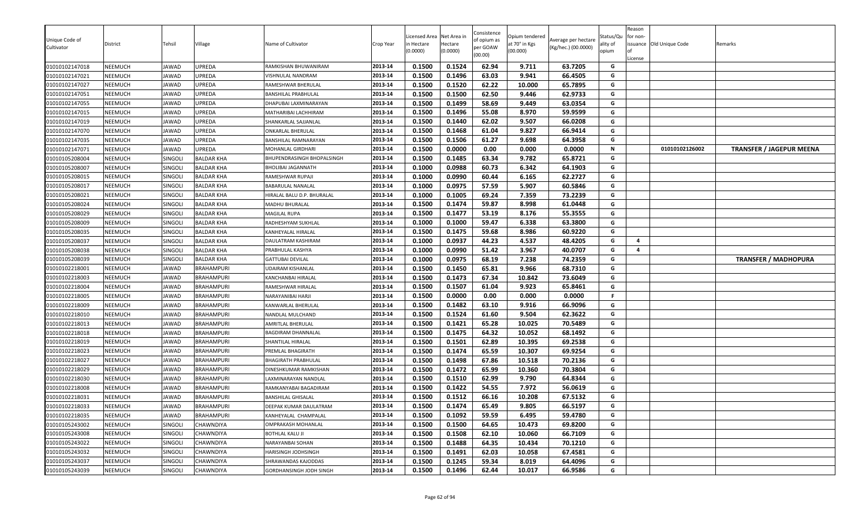| Unique Code of<br>Cultivator     | District           | Tehsil         | Village                                | Name of Cultivator                          | Crop Year          | Licensed Area<br>ነ Hectare<br>(0.0000) | Net Area in<br>Hectare<br>(0.0000) | Consistence<br>of opium as<br>per GOAW<br>(00.00) | Opium tendered<br>at 70° in Kgs<br>(00.000) | Average per hectare<br>(Kg/hec.) (00.0000) | Status/Qu<br>ality of<br>opium | Reason<br>for non-<br>License | issuance Old Unique Code | Remarks                         |
|----------------------------------|--------------------|----------------|----------------------------------------|---------------------------------------------|--------------------|----------------------------------------|------------------------------------|---------------------------------------------------|---------------------------------------------|--------------------------------------------|--------------------------------|-------------------------------|--------------------------|---------------------------------|
| 01010102147018                   | NEEMUCH            | JAWAD          | UPREDA                                 | RAMKISHAN BHUWANIRAM                        | 2013-14            | 0.1500                                 | 0.1524                             | 62.94                                             | 9.711                                       | 63.7205                                    | G                              |                               |                          |                                 |
| 01010102147021                   | NEEMUCH            | <b>IAWAD</b>   | UPREDA                                 | VISHNULAL NANDRAM                           | 2013-14            | 0.1500                                 | 0.1496                             | 63.03                                             | 9.941                                       | 66.4505                                    | G                              |                               |                          |                                 |
| 01010102147027                   | NEEMUCH            | JAWAD          | UPREDA                                 | RAMESHWAR BHERULAL                          | 2013-14            | 0.1500                                 | 0.1520                             | 62.22                                             | 10.000                                      | 65.7895                                    | G                              |                               |                          |                                 |
| 01010102147051                   | NEEMUCH            | <b>JAWAD</b>   | UPREDA                                 | BANSHILAL PRABHULAL                         | 2013-14            | 0.1500                                 | 0.1500                             | 62.50                                             | 9.446                                       | 62.9733                                    | G                              |                               |                          |                                 |
| 01010102147055                   | NEEMUCH            | JAWAD          | UPREDA                                 | DHAPUBAI LAXMINARAYAN                       | 2013-14            | 0.1500                                 | 0.1499                             | 58.69                                             | 9.449                                       | 63.0354                                    | G                              |                               |                          |                                 |
| 01010102147015                   | NEEMUCH            | JAWAD          | UPREDA                                 | MATHARIBAI LACHHIRAM                        | 2013-14            | 0.1500                                 | 0.1496                             | 55.08                                             | 8.970                                       | 59.9599                                    | G                              |                               |                          |                                 |
| 01010102147019                   | NEEMUCH            | IAWAD          | UPREDA                                 | SHANKARLAL SAJJANLAL                        | 2013-14            | 0.1500                                 | 0.1440                             | 62.02                                             | 9.507                                       | 66.0208                                    | G<br>G                         |                               |                          |                                 |
| 01010102147070                   | NEEMUCH            | JAWAD          | UPREDA                                 | ONKARLAL BHERULAL                           | 2013-14            | 0.1500                                 | 0.1468                             | 61.04                                             | 9.827                                       | 66.9414                                    |                                |                               |                          |                                 |
| 01010102147035                   | NEEMUCH            | JAWAD          | UPREDA                                 | BANSHILAL RAMNARAYAN                        | 2013-14            | 0.1500                                 | 0.1506                             | 61.27                                             | 9.698                                       | 64.3958                                    | G                              |                               |                          |                                 |
| 01010102147071                   | NEEMUCH            | JAWAD          | UPREDA                                 | <b>MOHANLAL GIRDHARI</b>                    | 2013-14            | 0.1500                                 | 0.0000                             | 0.00                                              | 0.000                                       | 0.0000                                     | N                              |                               | 01010102126002           | <b>TRANSFER / JAGEPUR MEENA</b> |
| 01010105208004                   | NEEMUCH            | SINGOLI        | BALDAR KHA                             | BHUPENDRASINGH BHOPALSINGH                  | 2013-14            | 0.1500                                 | 0.1485                             | 63.34                                             | 9.782                                       | 65.8721                                    | G                              |                               |                          |                                 |
| 01010105208007                   | <b>NEEMUCH</b>     | SINGOLI        | <b>BALDAR KHA</b>                      | BHOLIBAI JAGANNATH                          | 2013-14            | 0.1000                                 | 0.0988                             | 60.73                                             | 6.342                                       | 64.1903                                    | G                              |                               |                          |                                 |
| 01010105208015                   | NEEMUCH            | SINGOLI        | <b>BALDAR KHA</b>                      | RAMESHWAR RUPAJI                            | 2013-14            | 0.1000                                 | 0.0990                             | 60.44                                             | 6.165                                       | 62.2727                                    | G                              |                               |                          |                                 |
| 01010105208017                   | NEEMUCH            | SINGOLI        | <b>BALDAR KHA</b>                      | BABARULAL NANALAL                           | 2013-14            | 0.1000                                 | 0.0975                             | 57.59                                             | 5.907                                       | 60.5846                                    | G                              |                               |                          |                                 |
| 01010105208021                   | NEEMUCH            | Singoli        | <b>BALDAR KHA</b>                      | HIRALAL BALU D.P. BHURALAL                  | 2013-14            | 0.1000                                 | 0.1005                             | 69.24                                             | 7.359                                       | 73.2239                                    | G                              |                               |                          |                                 |
| 01010105208024                   | NEEMUCH            | Singoli        | <b>BALDAR KHA</b>                      | MADHU BHURALAL                              | 2013-14            | 0.1500                                 | 0.1474                             | 59.87                                             | 8.998                                       | 61.0448                                    | G                              |                               |                          |                                 |
| 01010105208029                   | NEEMUCH            | SINGOLI        | <b>BALDAR KHA</b>                      | MAGILAL RUPA                                | 2013-14            | 0.1500                                 | 0.1477                             | 53.19                                             | 8.176                                       | 55.3555                                    | G                              |                               |                          |                                 |
| 01010105208009                   | NEEMUCH            | SINGOLI        | <b>BALDAR KHA</b>                      | RADHESHYAM SUKHLAL                          | 2013-14            | 0.1000                                 | 0.1000                             | 59.47                                             | 6.338                                       | 63.3800                                    | G                              |                               |                          |                                 |
| 01010105208035                   | NEEMUCH            | SINGOLI        | <b>BALDAR KHA</b>                      | KANHEYALAL HIRALAL                          | 2013-14            | 0.1500                                 | 0.1475                             | 59.68                                             | 8.986                                       | 60.9220                                    | G<br>G                         | $\overline{4}$                |                          |                                 |
| 01010105208037                   | NEEMUCH            | Singoli        | BALDAR KHA                             | DAULATRAM KASHIRAM                          | 2013-14            | 0.1000                                 | 0.0937                             | 44.23                                             | 4.537                                       | 48.4205                                    | G                              | $\overline{a}$                |                          |                                 |
| 01010105208038                   | NEEMUCH            | SINGOLI        | <b>BALDAR KHA</b>                      | PRABHULAL KASHYA<br><b>GATTUBAI DEVILAL</b> | 2013-14<br>2013-14 | 0.1000                                 | 0.0990<br>0.0975                   | 51.42<br>68.19                                    | 3.967                                       | 40.0707                                    | G                              |                               |                          |                                 |
| 01010105208039                   | NEEMUCH            | SINGOLI        | <b>BALDAR KHA</b><br><b>BRAHAMPURI</b> |                                             | 2013-14            | 0.1000                                 | 0.1450                             | 65.81                                             | 7.238                                       | 74.2359                                    | G                              |                               |                          | <b>TRANSFER / MADHOPURA</b>     |
| 01010102218001                   | NEEMUCH            | JAWAD          |                                        | UDAIRAM KISHANLAL                           |                    | 0.1500<br>0.1500                       |                                    | 67.34                                             | 9.966                                       | 68.7310<br>73.6049                         | G                              |                               |                          |                                 |
| 01010102218003                   | NEEMUCH<br>NEEMUCH | JAWAD          | <b>BRAHAMPURI</b>                      | KANCHANBAI HIRALAL                          | 2013-14            |                                        | 0.1473                             |                                                   | 10.842                                      |                                            |                                |                               |                          |                                 |
| 01010102218004                   | NEEMUCH            | JAWAD<br>JAWAD | <b>BRAHAMPURI</b><br><b>BRAHAMPURI</b> | RAMESHWAR HIRALAL<br>NARAYANIBAI HARJI      | 2013-14<br>2013-14 | 0.1500<br>0.1500                       | 0.1507<br>0.0000                   | 61.04<br>0.00                                     | 9.923<br>0.000                              | 65.8461<br>0.0000                          | G<br>F.                        |                               |                          |                                 |
| 01010102218005<br>01010102218009 | NEEMUCH            | JAWAD          | <b>BRAHAMPURI</b>                      |                                             | 2013-14            | 0.1500                                 | 0.1482                             | 63.10                                             | 9.916                                       | 66.9096                                    | G                              |                               |                          |                                 |
| 01010102218010                   | NEEMUCH            | JAWAD          | <b>BRAHAMPURI</b>                      | KANWARLAL BHERULAL<br>NANDLAL MULCHAND      | 2013-14            | 0.1500                                 | 0.1524                             | 61.60                                             | 9.504                                       | 62.3622                                    | G                              |                               |                          |                                 |
| 01010102218013                   | NEEMUCH            | JAWAD          | <b>BRAHAMPURI</b>                      | AMRITLAL BHERULAL                           | 2013-14            | 0.1500                                 | 0.1421                             | 65.28                                             | 10.025                                      | 70.5489                                    | G                              |                               |                          |                                 |
| 01010102218018                   | NEEMUCH            | IAWAD          | <b>BRAHAMPURI</b>                      | BAGDIRAM DHANNALAL                          | 2013-14            | 0.1500                                 | 0.1475                             | 64.32                                             | 10.052                                      | 68.1492                                    | G                              |                               |                          |                                 |
| 01010102218019                   | NEEMUCH            | JAWAD          | <b>BRAHAMPURI</b>                      | SHANTILAL HIRALAL                           | 2013-14            | 0.1500                                 | 0.1501                             | 62.89                                             | 10.395                                      | 69.2538                                    | G                              |                               |                          |                                 |
| 01010102218023                   | NEEMUCH            | JAWAD          | <b>BRAHAMPURI</b>                      | PREMLAL BHAGIRATH                           | 2013-14            | 0.1500                                 | 0.1474                             | 65.59                                             | 10.307                                      | 69.9254                                    | G                              |                               |                          |                                 |
| 01010102218027                   | NEEMUCH            | JAWAD          | <b>BRAHAMPURI</b>                      | BHAGIRATH PRABHULAL                         | 2013-14            | 0.1500                                 | 0.1498                             | 67.86                                             | 10.518                                      | 70.2136                                    | G                              |                               |                          |                                 |
| 01010102218029                   | NEEMUCH            | JAWAD          | <b>BRAHAMPURI</b>                      | DINESHKUMAR RAMKISHAN                       | 2013-14            | 0.1500                                 | 0.1472                             | 65.99                                             | 10.360                                      | 70.3804                                    | G                              |                               |                          |                                 |
| 01010102218030                   | NEEMUCH            | JAWAD          | <b>BRAHAMPURI</b>                      | LAXMINARAYAN NANDLAL                        | 2013-14            | 0.1500                                 | 0.1510                             | 62.99                                             | 9.790                                       | 64.8344                                    | G                              |                               |                          |                                 |
| 01010102218008                   | NEEMUCH            | JAWAD          | <b>BRAHAMPURI</b>                      | RAMKANYABAI BAGADIRAM                       | 2013-14            | 0.1500                                 | 0.1422                             | 54.55                                             | 7.972                                       | 56.0619                                    | G                              |                               |                          |                                 |
| 01010102218031                   | NEEMUCH            | <b>AWAD</b>    | <b>BRAHAMPURI</b>                      | <b>BANSHILAL GHISALAL</b>                   | 2013-14            | 0.1500                                 | 0.1512                             | 66.16                                             | 10.208                                      | 67.5132                                    | G                              |                               |                          |                                 |
| 01010102218033                   | NEEMUCH            | JAWAD          | <b>BRAHAMPURI</b>                      | DEEPAK KUMAR DAULATRAM                      | 2013-14            | 0.1500                                 | 0.1474                             | 65.49                                             | 9.805                                       | 66.5197                                    | G                              |                               |                          |                                 |
| 01010102218035                   | NEEMUCH            | JAWAD          | <b>BRAHAMPURI</b>                      | KANHEYALAL CHAMPALAL                        | 2013-14            | 0.1500                                 | 0.1092                             | 59.59                                             | 6.495                                       | 59.4780                                    | G                              |                               |                          |                                 |
| 01010105243002                   | NEEMUCH            | SINGOLI        | CHAWNDIYA                              | OMPRAKASH MOHANLAL                          | 2013-14            | 0.1500                                 | 0.1500                             | 64.65                                             | 10.473                                      | 69.8200                                    | G                              |                               |                          |                                 |
| 01010105243008                   | NEEMUCH            | SINGOLI        | CHAWNDIYA                              | <b>BOTHLAL KALU JI</b>                      | 2013-14            | 0.1500                                 | 0.1508                             | 62.10                                             | 10.060                                      | 66.7109                                    | G                              |                               |                          |                                 |
| 01010105243022                   | NEEMUCH            | SINGOLI        | CHAWNDIYA                              | NARAYANBAI SOHAN                            | 2013-14            | 0.1500                                 | 0.1488                             | 64.35                                             | 10.434                                      | 70.1210                                    | G                              |                               |                          |                                 |
| 01010105243032                   | NEEMUCH            | SINGOLI        | CHAWNDIYA                              | HARISINGH JODHSINGH                         | 2013-14            | 0.1500                                 | 0.1491                             | 62.03                                             | 10.058                                      | 67.4581                                    | G                              |                               |                          |                                 |
| 01010105243037                   | NEEMUCH            | SINGOLI        | CHAWNDIYA                              | SHRAWANDAS KAJODDAS                         | 2013-14            | 0.1500                                 | 0.1245                             | 59.34                                             | 8.019                                       | 64.4096                                    | G                              |                               |                          |                                 |
| 01010105243039                   | NEEMUCH            | SINGOLI        | CHAWNDIYA                              | GORDHANSINGH JODH SINGH                     | 2013-14            | 0.1500                                 | 0.1496                             | 62.44                                             | 10.017                                      | 66.9586                                    | G                              |                               |                          |                                 |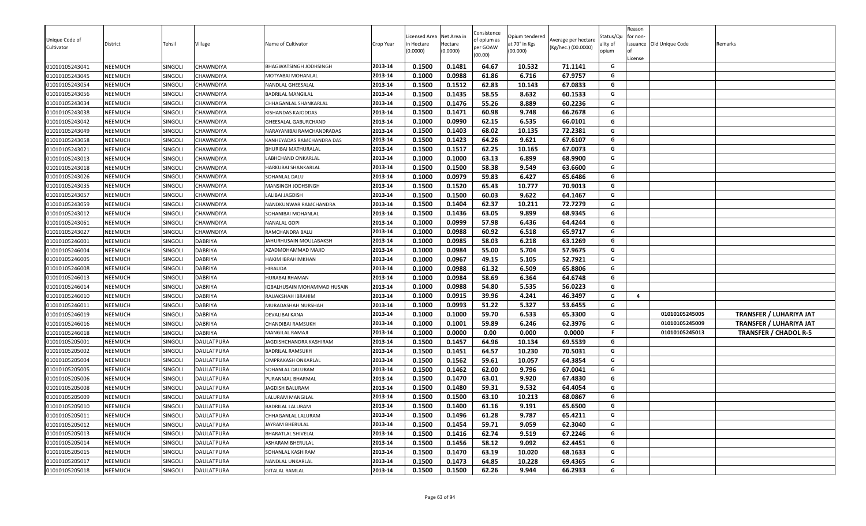| 2013-14<br>0.1000<br>0.0988<br>61.86<br>6.716<br>67.9757<br>G<br>01010105243045<br>NEEMUCH<br>SINGOLI<br>CHAWNDIYA<br>MOTYABAI MOHANLAL<br>0.1512<br>62.83<br>67.0833<br>01010105243054<br>NEEMUCH<br>SINGOLI<br>CHAWNDIYA<br>2013-14<br>0.1500<br>10.143<br>G<br>NANDLAL GHEESALAL<br>0.1435<br>58.55<br>G<br>2013-14<br>0.1500<br>8.632<br>60.1533<br>01010105243056<br><b>NEEMUCH</b><br>SINGOLI<br>CHAWNDIYA<br>BADRILAL MANGILAL<br>0.1500<br>0.1476<br>55.26<br>60.2236<br>01010105243034<br>NEEMUCH<br>SINGOLI<br>8.889<br>G<br>CHAWNDIYA<br>2013-14<br>CHHAGANLAL SHANKARLAL<br>0.1471<br>9.748<br>G<br>2013-14<br>0.1500<br>60.98<br>66.2678<br>01010105243038<br>NEEMUCH<br><b>SINGOLI</b><br>CHAWNDIYA<br>KISHANDAS KAJODDAS<br>0.0990<br>62.15<br>NEEMUCH<br>0.1000<br>6.535<br>66.0101<br>G<br>01010105243042<br>SINGOLI<br>CHAWNDIYA<br>2013-14<br>GHEESALAL GABURCHAND<br>68.02<br>0.1500<br>0.1403<br>10.135<br>72.2381<br>G<br>01010105243049<br>NEEMUCH<br>SINGOLI<br>2013-14<br>CHAWNDIYA<br>NARAYANIBAI RAMCHANDRADAS<br>0.1423<br>64.26<br>01010105243058<br>NEEMUCH<br>SINGOLI<br>CHAWNDIYA<br>0.1500<br>9.621<br>67.6107<br>KANHEYADAS RAMCHANDRA DAS<br>2013-14<br>G<br>2013-14<br>0.1500<br>0.1517<br>62.25<br>10.165<br>67.0073<br>01010105243021<br>NEEMUCH<br>SINGOLI<br>CHAWNDIYA<br>BHURIBAI MATHURALAL<br>G<br>0.1000<br>63.13<br>0.1000<br>6.899<br>68.9900<br>01010105243013<br>NEEMUCH<br>SINGOLI<br>CHAWNDIYA<br>2013-14<br>G<br>LABHCHAND ONKARLAL<br>58.38<br>2013-14<br>0.1500<br>0.1500<br>9.549<br>63.6600<br>G<br>01010105243018<br><b>NEEMUCH</b><br>SINGOLI<br>CHAWNDIYA<br>HARKUBAI SHANKARLAL<br>0.1000<br>0.0979<br>59.83<br>NEEMUCH<br>6.427<br>65.6486<br>G<br>01010105243026<br>SINGOLI<br>CHAWNDIYA<br>2013-14<br>SOHANLAL DALU<br>0.1500<br>0.1520<br>65.43<br>10.777<br>2013-14<br>70.9013<br>G<br>NEEMUCH<br>01010105243035<br><b>SINGOLI</b><br>CHAWNDIYA<br>MANSINGH JODHSINGH<br>0.1500<br>0.1500<br>60.03<br>9.622<br>64.1467<br>G<br>01010105243057<br>NEEMUCH<br>Singoli<br>CHAWNDIYA<br>2013-14<br>LALIBAI JAGDISH<br>62.37<br>72.7279<br>0.1500<br>0.1404<br>10.211<br>G<br>NEEMUCH<br>2013-14<br>01010105243059<br>Singoli<br>CHAWNDIYA<br>NANDKUNWAR RAMCHANDRA<br>01010105243012<br>NEEMUCH<br>SINGOLI<br>CHAWNDIYA<br>2013-14<br>0.1500<br>0.1436<br>63.05<br>9.899<br>68.9345<br>SOHANIBAI MOHANLAL<br>G<br>57.98<br>0.1000<br>0.0999<br>6.436<br>64.4244<br>01010105243061<br>SINGOLI<br>NANALAL GOPI<br>2013-14<br>G<br>NEEMUCH<br>CHAWNDIYA<br>0.0988<br>60.92<br>65.9717<br>01010105243027<br>NEEMUCH<br>SINGOLI<br>2013-14<br>0.1000<br>6.518<br>CHAWNDIYA<br>G<br>RAMCHANDRA BALU<br>0.1000<br>0.0985<br>58.03<br>6.218<br>63.1269<br>G<br>2013-14<br>NEEMUCH<br>Singoli<br><b>DABRIYA</b><br>JAHURHUSAIN MOULABAKSH<br>01010105246001<br>NEEMUCH<br><b>DABRIYA</b><br>0.1000<br>0.0984<br>55.00<br>5.704<br>57.9675<br>G<br>01010105246004<br>SINGOLI<br>2013-14<br>AZADMOHAMMAD MAJID<br>0.0967<br>49.15<br>52.7921<br>2013-14<br>0.1000<br>5.105<br>G<br><b>DABRIYA</b><br>01010105246005<br>NEEMUCH<br>SINGOLI<br>HAKIM IBRAHIMKHAN<br>61.32<br>G<br>01010105246008<br>NEEMUCH<br>SINGOLI<br><b>DABRIYA</b><br>2013-14<br>0.1000<br>0.0988<br>6.509<br>65.8806<br>HIRAUDA<br>0.0984<br>0.1000<br>58.69<br>6.364<br>64.6748<br>SINGOLI<br><b>DABRIYA</b><br>HURABAI RHAMAN<br>2013-14<br>G<br>01010105246013<br>NEEMUCH<br>54.80<br>NEEMUCH<br><b>DABRIYA</b><br>0.1000<br>0.0988<br>5.535<br>56.0223<br>01010105246014<br><b>SINGOLI</b><br>2013-14<br>G<br>IQBALHUSAIN MOHAMMAD HUSAIN<br>2013-14<br>0.1000<br>0.0915<br>39.96<br>4.241<br>46.3497<br>01010105246010<br>NEEMUCH<br>SINGOLI<br><b>DABRIYA</b><br>RAJJAKSHAH IBRAHIM<br>G<br>$\overline{4}$<br>2013-14<br>0.0993<br>51.22<br>5.327<br><b>DABRIYA</b><br>0.1000<br>53.6455<br>G<br>01010105246011<br>NEEMUCH<br>SINGOLI<br>MURADASHAH NURSHAH<br>65.3300<br>2013-14<br>0.1000<br>0.1000<br>59.70<br>6.533<br>G<br>01010105245005<br><b>TRANSFER / LUHARIYA JAT</b><br>01010105246019<br>NEEMUCH<br>SINGOLI<br>DEVALIBAI KANA<br><b>DABRIYA</b><br>59.89<br>62.3976<br>G<br>2013-14<br>0.1000<br>0.1001<br>6.246<br>01010105245009<br>TRANSFER / LUHARIYA JAT<br>NEEMUCH<br>Singoli<br>DABRIYA<br>01010105246016<br>CHANDIBAI RAMSUKH<br>0.0000<br>2013-14<br>0.1000<br>0.00<br>0.000<br>0.0000<br>F.<br>01010105245013<br><b>DABRIYA</b><br><b>TRANSFER / CHADOL R-5</b><br>01010105246018<br>NEEMUCH<br>Singoli<br>MANGILAL RAMAJI<br>G<br>2013-14<br>0.1500<br>0.1457<br>64.96<br>10.134<br>69.5539<br>01010105205001<br>NEEMUCH<br>SINGOLI<br>DAULATPURA<br>JAGDISHCHANDRA KASHIRAM<br>64.57<br>0.1500<br>0.1451<br>10.230<br>70.5031<br>G<br>01010105205002<br>NEEMUCH<br>SINGOLI<br>DAULATPURA<br>2013-14<br>BADRILAL RAMSUKH<br>SINGOLI<br><b>DAULATPURA</b><br>2013-14<br>0.1500<br>0.1562<br>59.61<br>10.057<br>64.3854<br>G<br>01010105205004<br>NEEMUCH<br>OMPRAKASH ONKARLAL<br>62.00<br>0.1500<br>0.1462<br>9.796<br>67.0041<br>01010105205005<br>NEEMUCH<br>SINGOLI<br>DAULATPURA<br>2013-14<br>G<br>SOHANLAL DALURAM<br>2013-14<br>63.01<br>9.920<br>67.4830<br>01010105205006<br>NEEMUCH<br>SINGOLI<br>DAULATPURA<br>0.1500<br>0.1470<br>G<br>PURANMAL BHARMAL<br>0.1500<br>0.1480<br>59.31<br>9.532<br>64.4054<br>G<br>01010105205008<br>NEEMUCH<br>SINGOLI<br>DAULATPURA<br>2013-14<br>JAGDISH BALURAM<br>2013-14<br>0.1500<br>0.1500<br>63.10<br>10.213<br>68.0867<br>G<br>01010105205009<br>NEEMUCH<br>SINGOLI<br>DAULATPURA<br>ALURAM MANGILAL<br>0.1400<br>61.16<br>NEEMUCH<br>SINGOLI<br>0.1500<br>9.191<br>65.6500<br>G<br>01010105205010<br>DAULATPURA<br>2013-14<br>BADRILAL LALURAM<br>2013-14<br>G<br>01010105205011<br>NEEMUCH<br>SINGOLI<br>0.1496<br>61.28<br>65.4211<br><b>DAULATPURA</b><br>CHHAGANLAL LALURAM<br>0.1500<br>9.787<br>0.1454<br>59.71<br>01010105205012<br>NEEMUCH<br>DAULATPURA<br>2013-14<br>0.1500<br>9.059<br>62.3040<br>G<br>SINGOLI<br>JAYRAM BHERULAL<br>2013-14<br>0.1416<br>62.74<br>9.519<br>G<br>01010105205013<br>NEEMUCH<br>SINGOLI<br>DAULATPURA<br>0.1500<br>67.2246<br><b>BHARATLAL SHIVELAL</b><br>58.12<br>01010105205014<br>SINGOLI<br><b>DAULATPURA</b><br>2013-14<br>0.1500<br>0.1456<br>9.092<br>62.4451<br>NEEMUCH<br>ASHARAM BHERULAL<br>G<br>2013-14<br>0.1500<br>0.1470<br>63.19<br>10.020<br>68.1633<br>G<br>01010105205015<br>NEEMUCH<br>SINGOLI<br>DAULATPURA<br>SOHANLAL KASHIRAM<br>2013-14<br>64.85<br>01010105205017<br>NEEMUCH<br>SINGOLI<br>DAULATPURA<br>0.1500<br>0.1473<br>10.228<br>69.4365<br>G<br>NANDLAL UNKARLAL<br>0.1500<br>2013-14<br>G<br><b>GITALAL RAMLAL</b> | Unique Code of<br>Cultivator<br>01010105243041 | District<br>NEEMUCH | Tehsil<br><b>SINGOLI</b> | Village<br>CHAWNDIYA | Name of Cultivator     | Crop Year<br>2013-14 | Licensed Area<br>า Hectare<br>(0.0000)<br>0.1500 | Net Area in<br>Hectare<br>(0.0000)<br>0.1481 | Consistence<br>of opium as<br>per GOAW<br>(00.00)<br>64.67 | Opium tendered<br>at 70° in Kgs<br>(00.000)<br>10.532 | Average per hectare<br>(Kg/hec.) (00.0000)<br>71.1141 | Status/Qu<br>ality of<br>opium<br>G | Reason<br>for non-<br>License | issuance Old Unique Code | Remarks |
|---------------------------------------------------------------------------------------------------------------------------------------------------------------------------------------------------------------------------------------------------------------------------------------------------------------------------------------------------------------------------------------------------------------------------------------------------------------------------------------------------------------------------------------------------------------------------------------------------------------------------------------------------------------------------------------------------------------------------------------------------------------------------------------------------------------------------------------------------------------------------------------------------------------------------------------------------------------------------------------------------------------------------------------------------------------------------------------------------------------------------------------------------------------------------------------------------------------------------------------------------------------------------------------------------------------------------------------------------------------------------------------------------------------------------------------------------------------------------------------------------------------------------------------------------------------------------------------------------------------------------------------------------------------------------------------------------------------------------------------------------------------------------------------------------------------------------------------------------------------------------------------------------------------------------------------------------------------------------------------------------------------------------------------------------------------------------------------------------------------------------------------------------------------------------------------------------------------------------------------------------------------------------------------------------------------------------------------------------------------------------------------------------------------------------------------------------------------------------------------------------------------------------------------------------------------------------------------------------------------------------------------------------------------------------------------------------------------------------------------------------------------------------------------------------------------------------------------------------------------------------------------------------------------------------------------------------------------------------------------------------------------------------------------------------------------------------------------------------------------------------------------------------------------------------------------------------------------------------------------------------------------------------------------------------------------------------------------------------------------------------------------------------------------------------------------------------------------------------------------------------------------------------------------------------------------------------------------------------------------------------------------------------------------------------------------------------------------------------------------------------------------------------------------------------------------------------------------------------------------------------------------------------------------------------------------------------------------------------------------------------------------------------------------------------------------------------------------------------------------------------------------------------------------------------------------------------------------------------------------------------------------------------------------------------------------------------------------------------------------------------------------------------------------------------------------------------------------------------------------------------------------------------------------------------------------------------------------------------------------------------------------------------------------------------------------------------------------------------------------------------------------------------------------------------------------------------------------------------------------------------------------------------------------------------------------------------------------------------------------------------------------------------------------------------------------------------------------------------------------------------------------------------------------------------------------------------------------------------------------------------------------------------------------------------------------------------------------------------------------------------------------------------------------------------------------------------------------------------------------------------------------------------------------------------------------------------------------------------------------------------------------------------------------------------------------------------------------------------------------------------------------------------------------------------------------------------------------------------------------------------------------------------------------------------------------------------------------------------------------------------------------------------------------------------------------------------------------------------------------------------------------------------------------------------------------------------------------------------------------------------------------------------------------------------------------------------------------------------------------------------------------------------------------------------------------------------------------------------------------------------------------------------------------------------------------------------------------------------------|------------------------------------------------|---------------------|--------------------------|----------------------|------------------------|----------------------|--------------------------------------------------|----------------------------------------------|------------------------------------------------------------|-------------------------------------------------------|-------------------------------------------------------|-------------------------------------|-------------------------------|--------------------------|---------|
|                                                                                                                                                                                                                                                                                                                                                                                                                                                                                                                                                                                                                                                                                                                                                                                                                                                                                                                                                                                                                                                                                                                                                                                                                                                                                                                                                                                                                                                                                                                                                                                                                                                                                                                                                                                                                                                                                                                                                                                                                                                                                                                                                                                                                                                                                                                                                                                                                                                                                                                                                                                                                                                                                                                                                                                                                                                                                                                                                                                                                                                                                                                                                                                                                                                                                                                                                                                                                                                                                                                                                                                                                                                                                                                                                                                                                                                                                                                                                                                                                                                                                                                                                                                                                                                                                                                                                                                                                                                                                                                                                                                                                                                                                                                                                                                                                                                                                                                                                                                                                                                                                                                                                                                                                                                                                                                                                                                                                                                                                                                                                                                                                                                                                                                                                                                                                                                                                                                                                                                                                                                                                                                                                                                                                                                                                                                                                                                                                                                                                                                                                                                                         |                                                |                     |                          |                      | BHAGWATSINGH JODHSINGH |                      |                                                  |                                              |                                                            |                                                       |                                                       |                                     |                               |                          |         |
|                                                                                                                                                                                                                                                                                                                                                                                                                                                                                                                                                                                                                                                                                                                                                                                                                                                                                                                                                                                                                                                                                                                                                                                                                                                                                                                                                                                                                                                                                                                                                                                                                                                                                                                                                                                                                                                                                                                                                                                                                                                                                                                                                                                                                                                                                                                                                                                                                                                                                                                                                                                                                                                                                                                                                                                                                                                                                                                                                                                                                                                                                                                                                                                                                                                                                                                                                                                                                                                                                                                                                                                                                                                                                                                                                                                                                                                                                                                                                                                                                                                                                                                                                                                                                                                                                                                                                                                                                                                                                                                                                                                                                                                                                                                                                                                                                                                                                                                                                                                                                                                                                                                                                                                                                                                                                                                                                                                                                                                                                                                                                                                                                                                                                                                                                                                                                                                                                                                                                                                                                                                                                                                                                                                                                                                                                                                                                                                                                                                                                                                                                                                                         |                                                |                     |                          |                      |                        |                      |                                                  |                                              |                                                            |                                                       |                                                       |                                     |                               |                          |         |
|                                                                                                                                                                                                                                                                                                                                                                                                                                                                                                                                                                                                                                                                                                                                                                                                                                                                                                                                                                                                                                                                                                                                                                                                                                                                                                                                                                                                                                                                                                                                                                                                                                                                                                                                                                                                                                                                                                                                                                                                                                                                                                                                                                                                                                                                                                                                                                                                                                                                                                                                                                                                                                                                                                                                                                                                                                                                                                                                                                                                                                                                                                                                                                                                                                                                                                                                                                                                                                                                                                                                                                                                                                                                                                                                                                                                                                                                                                                                                                                                                                                                                                                                                                                                                                                                                                                                                                                                                                                                                                                                                                                                                                                                                                                                                                                                                                                                                                                                                                                                                                                                                                                                                                                                                                                                                                                                                                                                                                                                                                                                                                                                                                                                                                                                                                                                                                                                                                                                                                                                                                                                                                                                                                                                                                                                                                                                                                                                                                                                                                                                                                                                         |                                                |                     |                          |                      |                        |                      |                                                  |                                              |                                                            |                                                       |                                                       |                                     |                               |                          |         |
|                                                                                                                                                                                                                                                                                                                                                                                                                                                                                                                                                                                                                                                                                                                                                                                                                                                                                                                                                                                                                                                                                                                                                                                                                                                                                                                                                                                                                                                                                                                                                                                                                                                                                                                                                                                                                                                                                                                                                                                                                                                                                                                                                                                                                                                                                                                                                                                                                                                                                                                                                                                                                                                                                                                                                                                                                                                                                                                                                                                                                                                                                                                                                                                                                                                                                                                                                                                                                                                                                                                                                                                                                                                                                                                                                                                                                                                                                                                                                                                                                                                                                                                                                                                                                                                                                                                                                                                                                                                                                                                                                                                                                                                                                                                                                                                                                                                                                                                                                                                                                                                                                                                                                                                                                                                                                                                                                                                                                                                                                                                                                                                                                                                                                                                                                                                                                                                                                                                                                                                                                                                                                                                                                                                                                                                                                                                                                                                                                                                                                                                                                                                                         |                                                |                     |                          |                      |                        |                      |                                                  |                                              |                                                            |                                                       |                                                       |                                     |                               |                          |         |
|                                                                                                                                                                                                                                                                                                                                                                                                                                                                                                                                                                                                                                                                                                                                                                                                                                                                                                                                                                                                                                                                                                                                                                                                                                                                                                                                                                                                                                                                                                                                                                                                                                                                                                                                                                                                                                                                                                                                                                                                                                                                                                                                                                                                                                                                                                                                                                                                                                                                                                                                                                                                                                                                                                                                                                                                                                                                                                                                                                                                                                                                                                                                                                                                                                                                                                                                                                                                                                                                                                                                                                                                                                                                                                                                                                                                                                                                                                                                                                                                                                                                                                                                                                                                                                                                                                                                                                                                                                                                                                                                                                                                                                                                                                                                                                                                                                                                                                                                                                                                                                                                                                                                                                                                                                                                                                                                                                                                                                                                                                                                                                                                                                                                                                                                                                                                                                                                                                                                                                                                                                                                                                                                                                                                                                                                                                                                                                                                                                                                                                                                                                                                         |                                                |                     |                          |                      |                        |                      |                                                  |                                              |                                                            |                                                       |                                                       |                                     |                               |                          |         |
|                                                                                                                                                                                                                                                                                                                                                                                                                                                                                                                                                                                                                                                                                                                                                                                                                                                                                                                                                                                                                                                                                                                                                                                                                                                                                                                                                                                                                                                                                                                                                                                                                                                                                                                                                                                                                                                                                                                                                                                                                                                                                                                                                                                                                                                                                                                                                                                                                                                                                                                                                                                                                                                                                                                                                                                                                                                                                                                                                                                                                                                                                                                                                                                                                                                                                                                                                                                                                                                                                                                                                                                                                                                                                                                                                                                                                                                                                                                                                                                                                                                                                                                                                                                                                                                                                                                                                                                                                                                                                                                                                                                                                                                                                                                                                                                                                                                                                                                                                                                                                                                                                                                                                                                                                                                                                                                                                                                                                                                                                                                                                                                                                                                                                                                                                                                                                                                                                                                                                                                                                                                                                                                                                                                                                                                                                                                                                                                                                                                                                                                                                                                                         |                                                |                     |                          |                      |                        |                      |                                                  |                                              |                                                            |                                                       |                                                       |                                     |                               |                          |         |
|                                                                                                                                                                                                                                                                                                                                                                                                                                                                                                                                                                                                                                                                                                                                                                                                                                                                                                                                                                                                                                                                                                                                                                                                                                                                                                                                                                                                                                                                                                                                                                                                                                                                                                                                                                                                                                                                                                                                                                                                                                                                                                                                                                                                                                                                                                                                                                                                                                                                                                                                                                                                                                                                                                                                                                                                                                                                                                                                                                                                                                                                                                                                                                                                                                                                                                                                                                                                                                                                                                                                                                                                                                                                                                                                                                                                                                                                                                                                                                                                                                                                                                                                                                                                                                                                                                                                                                                                                                                                                                                                                                                                                                                                                                                                                                                                                                                                                                                                                                                                                                                                                                                                                                                                                                                                                                                                                                                                                                                                                                                                                                                                                                                                                                                                                                                                                                                                                                                                                                                                                                                                                                                                                                                                                                                                                                                                                                                                                                                                                                                                                                                                         |                                                |                     |                          |                      |                        |                      |                                                  |                                              |                                                            |                                                       |                                                       |                                     |                               |                          |         |
|                                                                                                                                                                                                                                                                                                                                                                                                                                                                                                                                                                                                                                                                                                                                                                                                                                                                                                                                                                                                                                                                                                                                                                                                                                                                                                                                                                                                                                                                                                                                                                                                                                                                                                                                                                                                                                                                                                                                                                                                                                                                                                                                                                                                                                                                                                                                                                                                                                                                                                                                                                                                                                                                                                                                                                                                                                                                                                                                                                                                                                                                                                                                                                                                                                                                                                                                                                                                                                                                                                                                                                                                                                                                                                                                                                                                                                                                                                                                                                                                                                                                                                                                                                                                                                                                                                                                                                                                                                                                                                                                                                                                                                                                                                                                                                                                                                                                                                                                                                                                                                                                                                                                                                                                                                                                                                                                                                                                                                                                                                                                                                                                                                                                                                                                                                                                                                                                                                                                                                                                                                                                                                                                                                                                                                                                                                                                                                                                                                                                                                                                                                                                         |                                                |                     |                          |                      |                        |                      |                                                  |                                              |                                                            |                                                       |                                                       |                                     |                               |                          |         |
|                                                                                                                                                                                                                                                                                                                                                                                                                                                                                                                                                                                                                                                                                                                                                                                                                                                                                                                                                                                                                                                                                                                                                                                                                                                                                                                                                                                                                                                                                                                                                                                                                                                                                                                                                                                                                                                                                                                                                                                                                                                                                                                                                                                                                                                                                                                                                                                                                                                                                                                                                                                                                                                                                                                                                                                                                                                                                                                                                                                                                                                                                                                                                                                                                                                                                                                                                                                                                                                                                                                                                                                                                                                                                                                                                                                                                                                                                                                                                                                                                                                                                                                                                                                                                                                                                                                                                                                                                                                                                                                                                                                                                                                                                                                                                                                                                                                                                                                                                                                                                                                                                                                                                                                                                                                                                                                                                                                                                                                                                                                                                                                                                                                                                                                                                                                                                                                                                                                                                                                                                                                                                                                                                                                                                                                                                                                                                                                                                                                                                                                                                                                                         |                                                |                     |                          |                      |                        |                      |                                                  |                                              |                                                            |                                                       |                                                       |                                     |                               |                          |         |
|                                                                                                                                                                                                                                                                                                                                                                                                                                                                                                                                                                                                                                                                                                                                                                                                                                                                                                                                                                                                                                                                                                                                                                                                                                                                                                                                                                                                                                                                                                                                                                                                                                                                                                                                                                                                                                                                                                                                                                                                                                                                                                                                                                                                                                                                                                                                                                                                                                                                                                                                                                                                                                                                                                                                                                                                                                                                                                                                                                                                                                                                                                                                                                                                                                                                                                                                                                                                                                                                                                                                                                                                                                                                                                                                                                                                                                                                                                                                                                                                                                                                                                                                                                                                                                                                                                                                                                                                                                                                                                                                                                                                                                                                                                                                                                                                                                                                                                                                                                                                                                                                                                                                                                                                                                                                                                                                                                                                                                                                                                                                                                                                                                                                                                                                                                                                                                                                                                                                                                                                                                                                                                                                                                                                                                                                                                                                                                                                                                                                                                                                                                                                         |                                                |                     |                          |                      |                        |                      |                                                  |                                              |                                                            |                                                       |                                                       |                                     |                               |                          |         |
|                                                                                                                                                                                                                                                                                                                                                                                                                                                                                                                                                                                                                                                                                                                                                                                                                                                                                                                                                                                                                                                                                                                                                                                                                                                                                                                                                                                                                                                                                                                                                                                                                                                                                                                                                                                                                                                                                                                                                                                                                                                                                                                                                                                                                                                                                                                                                                                                                                                                                                                                                                                                                                                                                                                                                                                                                                                                                                                                                                                                                                                                                                                                                                                                                                                                                                                                                                                                                                                                                                                                                                                                                                                                                                                                                                                                                                                                                                                                                                                                                                                                                                                                                                                                                                                                                                                                                                                                                                                                                                                                                                                                                                                                                                                                                                                                                                                                                                                                                                                                                                                                                                                                                                                                                                                                                                                                                                                                                                                                                                                                                                                                                                                                                                                                                                                                                                                                                                                                                                                                                                                                                                                                                                                                                                                                                                                                                                                                                                                                                                                                                                                                         |                                                |                     |                          |                      |                        |                      |                                                  |                                              |                                                            |                                                       |                                                       |                                     |                               |                          |         |
|                                                                                                                                                                                                                                                                                                                                                                                                                                                                                                                                                                                                                                                                                                                                                                                                                                                                                                                                                                                                                                                                                                                                                                                                                                                                                                                                                                                                                                                                                                                                                                                                                                                                                                                                                                                                                                                                                                                                                                                                                                                                                                                                                                                                                                                                                                                                                                                                                                                                                                                                                                                                                                                                                                                                                                                                                                                                                                                                                                                                                                                                                                                                                                                                                                                                                                                                                                                                                                                                                                                                                                                                                                                                                                                                                                                                                                                                                                                                                                                                                                                                                                                                                                                                                                                                                                                                                                                                                                                                                                                                                                                                                                                                                                                                                                                                                                                                                                                                                                                                                                                                                                                                                                                                                                                                                                                                                                                                                                                                                                                                                                                                                                                                                                                                                                                                                                                                                                                                                                                                                                                                                                                                                                                                                                                                                                                                                                                                                                                                                                                                                                                                         |                                                |                     |                          |                      |                        |                      |                                                  |                                              |                                                            |                                                       |                                                       |                                     |                               |                          |         |
|                                                                                                                                                                                                                                                                                                                                                                                                                                                                                                                                                                                                                                                                                                                                                                                                                                                                                                                                                                                                                                                                                                                                                                                                                                                                                                                                                                                                                                                                                                                                                                                                                                                                                                                                                                                                                                                                                                                                                                                                                                                                                                                                                                                                                                                                                                                                                                                                                                                                                                                                                                                                                                                                                                                                                                                                                                                                                                                                                                                                                                                                                                                                                                                                                                                                                                                                                                                                                                                                                                                                                                                                                                                                                                                                                                                                                                                                                                                                                                                                                                                                                                                                                                                                                                                                                                                                                                                                                                                                                                                                                                                                                                                                                                                                                                                                                                                                                                                                                                                                                                                                                                                                                                                                                                                                                                                                                                                                                                                                                                                                                                                                                                                                                                                                                                                                                                                                                                                                                                                                                                                                                                                                                                                                                                                                                                                                                                                                                                                                                                                                                                                                         |                                                |                     |                          |                      |                        |                      |                                                  |                                              |                                                            |                                                       |                                                       |                                     |                               |                          |         |
|                                                                                                                                                                                                                                                                                                                                                                                                                                                                                                                                                                                                                                                                                                                                                                                                                                                                                                                                                                                                                                                                                                                                                                                                                                                                                                                                                                                                                                                                                                                                                                                                                                                                                                                                                                                                                                                                                                                                                                                                                                                                                                                                                                                                                                                                                                                                                                                                                                                                                                                                                                                                                                                                                                                                                                                                                                                                                                                                                                                                                                                                                                                                                                                                                                                                                                                                                                                                                                                                                                                                                                                                                                                                                                                                                                                                                                                                                                                                                                                                                                                                                                                                                                                                                                                                                                                                                                                                                                                                                                                                                                                                                                                                                                                                                                                                                                                                                                                                                                                                                                                                                                                                                                                                                                                                                                                                                                                                                                                                                                                                                                                                                                                                                                                                                                                                                                                                                                                                                                                                                                                                                                                                                                                                                                                                                                                                                                                                                                                                                                                                                                                                         |                                                |                     |                          |                      |                        |                      |                                                  |                                              |                                                            |                                                       |                                                       |                                     |                               |                          |         |
|                                                                                                                                                                                                                                                                                                                                                                                                                                                                                                                                                                                                                                                                                                                                                                                                                                                                                                                                                                                                                                                                                                                                                                                                                                                                                                                                                                                                                                                                                                                                                                                                                                                                                                                                                                                                                                                                                                                                                                                                                                                                                                                                                                                                                                                                                                                                                                                                                                                                                                                                                                                                                                                                                                                                                                                                                                                                                                                                                                                                                                                                                                                                                                                                                                                                                                                                                                                                                                                                                                                                                                                                                                                                                                                                                                                                                                                                                                                                                                                                                                                                                                                                                                                                                                                                                                                                                                                                                                                                                                                                                                                                                                                                                                                                                                                                                                                                                                                                                                                                                                                                                                                                                                                                                                                                                                                                                                                                                                                                                                                                                                                                                                                                                                                                                                                                                                                                                                                                                                                                                                                                                                                                                                                                                                                                                                                                                                                                                                                                                                                                                                                                         |                                                |                     |                          |                      |                        |                      |                                                  |                                              |                                                            |                                                       |                                                       |                                     |                               |                          |         |
|                                                                                                                                                                                                                                                                                                                                                                                                                                                                                                                                                                                                                                                                                                                                                                                                                                                                                                                                                                                                                                                                                                                                                                                                                                                                                                                                                                                                                                                                                                                                                                                                                                                                                                                                                                                                                                                                                                                                                                                                                                                                                                                                                                                                                                                                                                                                                                                                                                                                                                                                                                                                                                                                                                                                                                                                                                                                                                                                                                                                                                                                                                                                                                                                                                                                                                                                                                                                                                                                                                                                                                                                                                                                                                                                                                                                                                                                                                                                                                                                                                                                                                                                                                                                                                                                                                                                                                                                                                                                                                                                                                                                                                                                                                                                                                                                                                                                                                                                                                                                                                                                                                                                                                                                                                                                                                                                                                                                                                                                                                                                                                                                                                                                                                                                                                                                                                                                                                                                                                                                                                                                                                                                                                                                                                                                                                                                                                                                                                                                                                                                                                                                         |                                                |                     |                          |                      |                        |                      |                                                  |                                              |                                                            |                                                       |                                                       |                                     |                               |                          |         |
|                                                                                                                                                                                                                                                                                                                                                                                                                                                                                                                                                                                                                                                                                                                                                                                                                                                                                                                                                                                                                                                                                                                                                                                                                                                                                                                                                                                                                                                                                                                                                                                                                                                                                                                                                                                                                                                                                                                                                                                                                                                                                                                                                                                                                                                                                                                                                                                                                                                                                                                                                                                                                                                                                                                                                                                                                                                                                                                                                                                                                                                                                                                                                                                                                                                                                                                                                                                                                                                                                                                                                                                                                                                                                                                                                                                                                                                                                                                                                                                                                                                                                                                                                                                                                                                                                                                                                                                                                                                                                                                                                                                                                                                                                                                                                                                                                                                                                                                                                                                                                                                                                                                                                                                                                                                                                                                                                                                                                                                                                                                                                                                                                                                                                                                                                                                                                                                                                                                                                                                                                                                                                                                                                                                                                                                                                                                                                                                                                                                                                                                                                                                                         |                                                |                     |                          |                      |                        |                      |                                                  |                                              |                                                            |                                                       |                                                       |                                     |                               |                          |         |
|                                                                                                                                                                                                                                                                                                                                                                                                                                                                                                                                                                                                                                                                                                                                                                                                                                                                                                                                                                                                                                                                                                                                                                                                                                                                                                                                                                                                                                                                                                                                                                                                                                                                                                                                                                                                                                                                                                                                                                                                                                                                                                                                                                                                                                                                                                                                                                                                                                                                                                                                                                                                                                                                                                                                                                                                                                                                                                                                                                                                                                                                                                                                                                                                                                                                                                                                                                                                                                                                                                                                                                                                                                                                                                                                                                                                                                                                                                                                                                                                                                                                                                                                                                                                                                                                                                                                                                                                                                                                                                                                                                                                                                                                                                                                                                                                                                                                                                                                                                                                                                                                                                                                                                                                                                                                                                                                                                                                                                                                                                                                                                                                                                                                                                                                                                                                                                                                                                                                                                                                                                                                                                                                                                                                                                                                                                                                                                                                                                                                                                                                                                                                         |                                                |                     |                          |                      |                        |                      |                                                  |                                              |                                                            |                                                       |                                                       |                                     |                               |                          |         |
|                                                                                                                                                                                                                                                                                                                                                                                                                                                                                                                                                                                                                                                                                                                                                                                                                                                                                                                                                                                                                                                                                                                                                                                                                                                                                                                                                                                                                                                                                                                                                                                                                                                                                                                                                                                                                                                                                                                                                                                                                                                                                                                                                                                                                                                                                                                                                                                                                                                                                                                                                                                                                                                                                                                                                                                                                                                                                                                                                                                                                                                                                                                                                                                                                                                                                                                                                                                                                                                                                                                                                                                                                                                                                                                                                                                                                                                                                                                                                                                                                                                                                                                                                                                                                                                                                                                                                                                                                                                                                                                                                                                                                                                                                                                                                                                                                                                                                                                                                                                                                                                                                                                                                                                                                                                                                                                                                                                                                                                                                                                                                                                                                                                                                                                                                                                                                                                                                                                                                                                                                                                                                                                                                                                                                                                                                                                                                                                                                                                                                                                                                                                                         |                                                |                     |                          |                      |                        |                      |                                                  |                                              |                                                            |                                                       |                                                       |                                     |                               |                          |         |
|                                                                                                                                                                                                                                                                                                                                                                                                                                                                                                                                                                                                                                                                                                                                                                                                                                                                                                                                                                                                                                                                                                                                                                                                                                                                                                                                                                                                                                                                                                                                                                                                                                                                                                                                                                                                                                                                                                                                                                                                                                                                                                                                                                                                                                                                                                                                                                                                                                                                                                                                                                                                                                                                                                                                                                                                                                                                                                                                                                                                                                                                                                                                                                                                                                                                                                                                                                                                                                                                                                                                                                                                                                                                                                                                                                                                                                                                                                                                                                                                                                                                                                                                                                                                                                                                                                                                                                                                                                                                                                                                                                                                                                                                                                                                                                                                                                                                                                                                                                                                                                                                                                                                                                                                                                                                                                                                                                                                                                                                                                                                                                                                                                                                                                                                                                                                                                                                                                                                                                                                                                                                                                                                                                                                                                                                                                                                                                                                                                                                                                                                                                                                         |                                                |                     |                          |                      |                        |                      |                                                  |                                              |                                                            |                                                       |                                                       |                                     |                               |                          |         |
|                                                                                                                                                                                                                                                                                                                                                                                                                                                                                                                                                                                                                                                                                                                                                                                                                                                                                                                                                                                                                                                                                                                                                                                                                                                                                                                                                                                                                                                                                                                                                                                                                                                                                                                                                                                                                                                                                                                                                                                                                                                                                                                                                                                                                                                                                                                                                                                                                                                                                                                                                                                                                                                                                                                                                                                                                                                                                                                                                                                                                                                                                                                                                                                                                                                                                                                                                                                                                                                                                                                                                                                                                                                                                                                                                                                                                                                                                                                                                                                                                                                                                                                                                                                                                                                                                                                                                                                                                                                                                                                                                                                                                                                                                                                                                                                                                                                                                                                                                                                                                                                                                                                                                                                                                                                                                                                                                                                                                                                                                                                                                                                                                                                                                                                                                                                                                                                                                                                                                                                                                                                                                                                                                                                                                                                                                                                                                                                                                                                                                                                                                                                                         |                                                |                     |                          |                      |                        |                      |                                                  |                                              |                                                            |                                                       |                                                       |                                     |                               |                          |         |
|                                                                                                                                                                                                                                                                                                                                                                                                                                                                                                                                                                                                                                                                                                                                                                                                                                                                                                                                                                                                                                                                                                                                                                                                                                                                                                                                                                                                                                                                                                                                                                                                                                                                                                                                                                                                                                                                                                                                                                                                                                                                                                                                                                                                                                                                                                                                                                                                                                                                                                                                                                                                                                                                                                                                                                                                                                                                                                                                                                                                                                                                                                                                                                                                                                                                                                                                                                                                                                                                                                                                                                                                                                                                                                                                                                                                                                                                                                                                                                                                                                                                                                                                                                                                                                                                                                                                                                                                                                                                                                                                                                                                                                                                                                                                                                                                                                                                                                                                                                                                                                                                                                                                                                                                                                                                                                                                                                                                                                                                                                                                                                                                                                                                                                                                                                                                                                                                                                                                                                                                                                                                                                                                                                                                                                                                                                                                                                                                                                                                                                                                                                                                         |                                                |                     |                          |                      |                        |                      |                                                  |                                              |                                                            |                                                       |                                                       |                                     |                               |                          |         |
|                                                                                                                                                                                                                                                                                                                                                                                                                                                                                                                                                                                                                                                                                                                                                                                                                                                                                                                                                                                                                                                                                                                                                                                                                                                                                                                                                                                                                                                                                                                                                                                                                                                                                                                                                                                                                                                                                                                                                                                                                                                                                                                                                                                                                                                                                                                                                                                                                                                                                                                                                                                                                                                                                                                                                                                                                                                                                                                                                                                                                                                                                                                                                                                                                                                                                                                                                                                                                                                                                                                                                                                                                                                                                                                                                                                                                                                                                                                                                                                                                                                                                                                                                                                                                                                                                                                                                                                                                                                                                                                                                                                                                                                                                                                                                                                                                                                                                                                                                                                                                                                                                                                                                                                                                                                                                                                                                                                                                                                                                                                                                                                                                                                                                                                                                                                                                                                                                                                                                                                                                                                                                                                                                                                                                                                                                                                                                                                                                                                                                                                                                                                                         |                                                |                     |                          |                      |                        |                      |                                                  |                                              |                                                            |                                                       |                                                       |                                     |                               |                          |         |
|                                                                                                                                                                                                                                                                                                                                                                                                                                                                                                                                                                                                                                                                                                                                                                                                                                                                                                                                                                                                                                                                                                                                                                                                                                                                                                                                                                                                                                                                                                                                                                                                                                                                                                                                                                                                                                                                                                                                                                                                                                                                                                                                                                                                                                                                                                                                                                                                                                                                                                                                                                                                                                                                                                                                                                                                                                                                                                                                                                                                                                                                                                                                                                                                                                                                                                                                                                                                                                                                                                                                                                                                                                                                                                                                                                                                                                                                                                                                                                                                                                                                                                                                                                                                                                                                                                                                                                                                                                                                                                                                                                                                                                                                                                                                                                                                                                                                                                                                                                                                                                                                                                                                                                                                                                                                                                                                                                                                                                                                                                                                                                                                                                                                                                                                                                                                                                                                                                                                                                                                                                                                                                                                                                                                                                                                                                                                                                                                                                                                                                                                                                                                         |                                                |                     |                          |                      |                        |                      |                                                  |                                              |                                                            |                                                       |                                                       |                                     |                               |                          |         |
|                                                                                                                                                                                                                                                                                                                                                                                                                                                                                                                                                                                                                                                                                                                                                                                                                                                                                                                                                                                                                                                                                                                                                                                                                                                                                                                                                                                                                                                                                                                                                                                                                                                                                                                                                                                                                                                                                                                                                                                                                                                                                                                                                                                                                                                                                                                                                                                                                                                                                                                                                                                                                                                                                                                                                                                                                                                                                                                                                                                                                                                                                                                                                                                                                                                                                                                                                                                                                                                                                                                                                                                                                                                                                                                                                                                                                                                                                                                                                                                                                                                                                                                                                                                                                                                                                                                                                                                                                                                                                                                                                                                                                                                                                                                                                                                                                                                                                                                                                                                                                                                                                                                                                                                                                                                                                                                                                                                                                                                                                                                                                                                                                                                                                                                                                                                                                                                                                                                                                                                                                                                                                                                                                                                                                                                                                                                                                                                                                                                                                                                                                                                                         |                                                |                     |                          |                      |                        |                      |                                                  |                                              |                                                            |                                                       |                                                       |                                     |                               |                          |         |
|                                                                                                                                                                                                                                                                                                                                                                                                                                                                                                                                                                                                                                                                                                                                                                                                                                                                                                                                                                                                                                                                                                                                                                                                                                                                                                                                                                                                                                                                                                                                                                                                                                                                                                                                                                                                                                                                                                                                                                                                                                                                                                                                                                                                                                                                                                                                                                                                                                                                                                                                                                                                                                                                                                                                                                                                                                                                                                                                                                                                                                                                                                                                                                                                                                                                                                                                                                                                                                                                                                                                                                                                                                                                                                                                                                                                                                                                                                                                                                                                                                                                                                                                                                                                                                                                                                                                                                                                                                                                                                                                                                                                                                                                                                                                                                                                                                                                                                                                                                                                                                                                                                                                                                                                                                                                                                                                                                                                                                                                                                                                                                                                                                                                                                                                                                                                                                                                                                                                                                                                                                                                                                                                                                                                                                                                                                                                                                                                                                                                                                                                                                                                         |                                                |                     |                          |                      |                        |                      |                                                  |                                              |                                                            |                                                       |                                                       |                                     |                               |                          |         |
|                                                                                                                                                                                                                                                                                                                                                                                                                                                                                                                                                                                                                                                                                                                                                                                                                                                                                                                                                                                                                                                                                                                                                                                                                                                                                                                                                                                                                                                                                                                                                                                                                                                                                                                                                                                                                                                                                                                                                                                                                                                                                                                                                                                                                                                                                                                                                                                                                                                                                                                                                                                                                                                                                                                                                                                                                                                                                                                                                                                                                                                                                                                                                                                                                                                                                                                                                                                                                                                                                                                                                                                                                                                                                                                                                                                                                                                                                                                                                                                                                                                                                                                                                                                                                                                                                                                                                                                                                                                                                                                                                                                                                                                                                                                                                                                                                                                                                                                                                                                                                                                                                                                                                                                                                                                                                                                                                                                                                                                                                                                                                                                                                                                                                                                                                                                                                                                                                                                                                                                                                                                                                                                                                                                                                                                                                                                                                                                                                                                                                                                                                                                                         |                                                |                     |                          |                      |                        |                      |                                                  |                                              |                                                            |                                                       |                                                       |                                     |                               |                          |         |
|                                                                                                                                                                                                                                                                                                                                                                                                                                                                                                                                                                                                                                                                                                                                                                                                                                                                                                                                                                                                                                                                                                                                                                                                                                                                                                                                                                                                                                                                                                                                                                                                                                                                                                                                                                                                                                                                                                                                                                                                                                                                                                                                                                                                                                                                                                                                                                                                                                                                                                                                                                                                                                                                                                                                                                                                                                                                                                                                                                                                                                                                                                                                                                                                                                                                                                                                                                                                                                                                                                                                                                                                                                                                                                                                                                                                                                                                                                                                                                                                                                                                                                                                                                                                                                                                                                                                                                                                                                                                                                                                                                                                                                                                                                                                                                                                                                                                                                                                                                                                                                                                                                                                                                                                                                                                                                                                                                                                                                                                                                                                                                                                                                                                                                                                                                                                                                                                                                                                                                                                                                                                                                                                                                                                                                                                                                                                                                                                                                                                                                                                                                                                         |                                                |                     |                          |                      |                        |                      |                                                  |                                              |                                                            |                                                       |                                                       |                                     |                               |                          |         |
|                                                                                                                                                                                                                                                                                                                                                                                                                                                                                                                                                                                                                                                                                                                                                                                                                                                                                                                                                                                                                                                                                                                                                                                                                                                                                                                                                                                                                                                                                                                                                                                                                                                                                                                                                                                                                                                                                                                                                                                                                                                                                                                                                                                                                                                                                                                                                                                                                                                                                                                                                                                                                                                                                                                                                                                                                                                                                                                                                                                                                                                                                                                                                                                                                                                                                                                                                                                                                                                                                                                                                                                                                                                                                                                                                                                                                                                                                                                                                                                                                                                                                                                                                                                                                                                                                                                                                                                                                                                                                                                                                                                                                                                                                                                                                                                                                                                                                                                                                                                                                                                                                                                                                                                                                                                                                                                                                                                                                                                                                                                                                                                                                                                                                                                                                                                                                                                                                                                                                                                                                                                                                                                                                                                                                                                                                                                                                                                                                                                                                                                                                                                                         |                                                |                     |                          |                      |                        |                      |                                                  |                                              |                                                            |                                                       |                                                       |                                     |                               |                          |         |
|                                                                                                                                                                                                                                                                                                                                                                                                                                                                                                                                                                                                                                                                                                                                                                                                                                                                                                                                                                                                                                                                                                                                                                                                                                                                                                                                                                                                                                                                                                                                                                                                                                                                                                                                                                                                                                                                                                                                                                                                                                                                                                                                                                                                                                                                                                                                                                                                                                                                                                                                                                                                                                                                                                                                                                                                                                                                                                                                                                                                                                                                                                                                                                                                                                                                                                                                                                                                                                                                                                                                                                                                                                                                                                                                                                                                                                                                                                                                                                                                                                                                                                                                                                                                                                                                                                                                                                                                                                                                                                                                                                                                                                                                                                                                                                                                                                                                                                                                                                                                                                                                                                                                                                                                                                                                                                                                                                                                                                                                                                                                                                                                                                                                                                                                                                                                                                                                                                                                                                                                                                                                                                                                                                                                                                                                                                                                                                                                                                                                                                                                                                                                         |                                                |                     |                          |                      |                        |                      |                                                  |                                              |                                                            |                                                       |                                                       |                                     |                               |                          |         |
|                                                                                                                                                                                                                                                                                                                                                                                                                                                                                                                                                                                                                                                                                                                                                                                                                                                                                                                                                                                                                                                                                                                                                                                                                                                                                                                                                                                                                                                                                                                                                                                                                                                                                                                                                                                                                                                                                                                                                                                                                                                                                                                                                                                                                                                                                                                                                                                                                                                                                                                                                                                                                                                                                                                                                                                                                                                                                                                                                                                                                                                                                                                                                                                                                                                                                                                                                                                                                                                                                                                                                                                                                                                                                                                                                                                                                                                                                                                                                                                                                                                                                                                                                                                                                                                                                                                                                                                                                                                                                                                                                                                                                                                                                                                                                                                                                                                                                                                                                                                                                                                                                                                                                                                                                                                                                                                                                                                                                                                                                                                                                                                                                                                                                                                                                                                                                                                                                                                                                                                                                                                                                                                                                                                                                                                                                                                                                                                                                                                                                                                                                                                                         |                                                |                     |                          |                      |                        |                      |                                                  |                                              |                                                            |                                                       |                                                       |                                     |                               |                          |         |
|                                                                                                                                                                                                                                                                                                                                                                                                                                                                                                                                                                                                                                                                                                                                                                                                                                                                                                                                                                                                                                                                                                                                                                                                                                                                                                                                                                                                                                                                                                                                                                                                                                                                                                                                                                                                                                                                                                                                                                                                                                                                                                                                                                                                                                                                                                                                                                                                                                                                                                                                                                                                                                                                                                                                                                                                                                                                                                                                                                                                                                                                                                                                                                                                                                                                                                                                                                                                                                                                                                                                                                                                                                                                                                                                                                                                                                                                                                                                                                                                                                                                                                                                                                                                                                                                                                                                                                                                                                                                                                                                                                                                                                                                                                                                                                                                                                                                                                                                                                                                                                                                                                                                                                                                                                                                                                                                                                                                                                                                                                                                                                                                                                                                                                                                                                                                                                                                                                                                                                                                                                                                                                                                                                                                                                                                                                                                                                                                                                                                                                                                                                                                         |                                                |                     |                          |                      |                        |                      |                                                  |                                              |                                                            |                                                       |                                                       |                                     |                               |                          |         |
|                                                                                                                                                                                                                                                                                                                                                                                                                                                                                                                                                                                                                                                                                                                                                                                                                                                                                                                                                                                                                                                                                                                                                                                                                                                                                                                                                                                                                                                                                                                                                                                                                                                                                                                                                                                                                                                                                                                                                                                                                                                                                                                                                                                                                                                                                                                                                                                                                                                                                                                                                                                                                                                                                                                                                                                                                                                                                                                                                                                                                                                                                                                                                                                                                                                                                                                                                                                                                                                                                                                                                                                                                                                                                                                                                                                                                                                                                                                                                                                                                                                                                                                                                                                                                                                                                                                                                                                                                                                                                                                                                                                                                                                                                                                                                                                                                                                                                                                                                                                                                                                                                                                                                                                                                                                                                                                                                                                                                                                                                                                                                                                                                                                                                                                                                                                                                                                                                                                                                                                                                                                                                                                                                                                                                                                                                                                                                                                                                                                                                                                                                                                                         |                                                |                     |                          |                      |                        |                      |                                                  |                                              |                                                            |                                                       |                                                       |                                     |                               |                          |         |
|                                                                                                                                                                                                                                                                                                                                                                                                                                                                                                                                                                                                                                                                                                                                                                                                                                                                                                                                                                                                                                                                                                                                                                                                                                                                                                                                                                                                                                                                                                                                                                                                                                                                                                                                                                                                                                                                                                                                                                                                                                                                                                                                                                                                                                                                                                                                                                                                                                                                                                                                                                                                                                                                                                                                                                                                                                                                                                                                                                                                                                                                                                                                                                                                                                                                                                                                                                                                                                                                                                                                                                                                                                                                                                                                                                                                                                                                                                                                                                                                                                                                                                                                                                                                                                                                                                                                                                                                                                                                                                                                                                                                                                                                                                                                                                                                                                                                                                                                                                                                                                                                                                                                                                                                                                                                                                                                                                                                                                                                                                                                                                                                                                                                                                                                                                                                                                                                                                                                                                                                                                                                                                                                                                                                                                                                                                                                                                                                                                                                                                                                                                                                         |                                                |                     |                          |                      |                        |                      |                                                  |                                              |                                                            |                                                       |                                                       |                                     |                               |                          |         |
|                                                                                                                                                                                                                                                                                                                                                                                                                                                                                                                                                                                                                                                                                                                                                                                                                                                                                                                                                                                                                                                                                                                                                                                                                                                                                                                                                                                                                                                                                                                                                                                                                                                                                                                                                                                                                                                                                                                                                                                                                                                                                                                                                                                                                                                                                                                                                                                                                                                                                                                                                                                                                                                                                                                                                                                                                                                                                                                                                                                                                                                                                                                                                                                                                                                                                                                                                                                                                                                                                                                                                                                                                                                                                                                                                                                                                                                                                                                                                                                                                                                                                                                                                                                                                                                                                                                                                                                                                                                                                                                                                                                                                                                                                                                                                                                                                                                                                                                                                                                                                                                                                                                                                                                                                                                                                                                                                                                                                                                                                                                                                                                                                                                                                                                                                                                                                                                                                                                                                                                                                                                                                                                                                                                                                                                                                                                                                                                                                                                                                                                                                                                                         |                                                |                     |                          |                      |                        |                      |                                                  |                                              |                                                            |                                                       |                                                       |                                     |                               |                          |         |
|                                                                                                                                                                                                                                                                                                                                                                                                                                                                                                                                                                                                                                                                                                                                                                                                                                                                                                                                                                                                                                                                                                                                                                                                                                                                                                                                                                                                                                                                                                                                                                                                                                                                                                                                                                                                                                                                                                                                                                                                                                                                                                                                                                                                                                                                                                                                                                                                                                                                                                                                                                                                                                                                                                                                                                                                                                                                                                                                                                                                                                                                                                                                                                                                                                                                                                                                                                                                                                                                                                                                                                                                                                                                                                                                                                                                                                                                                                                                                                                                                                                                                                                                                                                                                                                                                                                                                                                                                                                                                                                                                                                                                                                                                                                                                                                                                                                                                                                                                                                                                                                                                                                                                                                                                                                                                                                                                                                                                                                                                                                                                                                                                                                                                                                                                                                                                                                                                                                                                                                                                                                                                                                                                                                                                                                                                                                                                                                                                                                                                                                                                                                                         |                                                |                     |                          |                      |                        |                      |                                                  |                                              |                                                            |                                                       |                                                       |                                     |                               |                          |         |
|                                                                                                                                                                                                                                                                                                                                                                                                                                                                                                                                                                                                                                                                                                                                                                                                                                                                                                                                                                                                                                                                                                                                                                                                                                                                                                                                                                                                                                                                                                                                                                                                                                                                                                                                                                                                                                                                                                                                                                                                                                                                                                                                                                                                                                                                                                                                                                                                                                                                                                                                                                                                                                                                                                                                                                                                                                                                                                                                                                                                                                                                                                                                                                                                                                                                                                                                                                                                                                                                                                                                                                                                                                                                                                                                                                                                                                                                                                                                                                                                                                                                                                                                                                                                                                                                                                                                                                                                                                                                                                                                                                                                                                                                                                                                                                                                                                                                                                                                                                                                                                                                                                                                                                                                                                                                                                                                                                                                                                                                                                                                                                                                                                                                                                                                                                                                                                                                                                                                                                                                                                                                                                                                                                                                                                                                                                                                                                                                                                                                                                                                                                                                         |                                                |                     |                          |                      |                        |                      |                                                  |                                              |                                                            |                                                       |                                                       |                                     |                               |                          |         |
|                                                                                                                                                                                                                                                                                                                                                                                                                                                                                                                                                                                                                                                                                                                                                                                                                                                                                                                                                                                                                                                                                                                                                                                                                                                                                                                                                                                                                                                                                                                                                                                                                                                                                                                                                                                                                                                                                                                                                                                                                                                                                                                                                                                                                                                                                                                                                                                                                                                                                                                                                                                                                                                                                                                                                                                                                                                                                                                                                                                                                                                                                                                                                                                                                                                                                                                                                                                                                                                                                                                                                                                                                                                                                                                                                                                                                                                                                                                                                                                                                                                                                                                                                                                                                                                                                                                                                                                                                                                                                                                                                                                                                                                                                                                                                                                                                                                                                                                                                                                                                                                                                                                                                                                                                                                                                                                                                                                                                                                                                                                                                                                                                                                                                                                                                                                                                                                                                                                                                                                                                                                                                                                                                                                                                                                                                                                                                                                                                                                                                                                                                                                                         |                                                |                     |                          |                      |                        |                      |                                                  |                                              |                                                            |                                                       |                                                       |                                     |                               |                          |         |
|                                                                                                                                                                                                                                                                                                                                                                                                                                                                                                                                                                                                                                                                                                                                                                                                                                                                                                                                                                                                                                                                                                                                                                                                                                                                                                                                                                                                                                                                                                                                                                                                                                                                                                                                                                                                                                                                                                                                                                                                                                                                                                                                                                                                                                                                                                                                                                                                                                                                                                                                                                                                                                                                                                                                                                                                                                                                                                                                                                                                                                                                                                                                                                                                                                                                                                                                                                                                                                                                                                                                                                                                                                                                                                                                                                                                                                                                                                                                                                                                                                                                                                                                                                                                                                                                                                                                                                                                                                                                                                                                                                                                                                                                                                                                                                                                                                                                                                                                                                                                                                                                                                                                                                                                                                                                                                                                                                                                                                                                                                                                                                                                                                                                                                                                                                                                                                                                                                                                                                                                                                                                                                                                                                                                                                                                                                                                                                                                                                                                                                                                                                                                         |                                                |                     |                          |                      |                        |                      |                                                  |                                              |                                                            |                                                       |                                                       |                                     |                               |                          |         |
|                                                                                                                                                                                                                                                                                                                                                                                                                                                                                                                                                                                                                                                                                                                                                                                                                                                                                                                                                                                                                                                                                                                                                                                                                                                                                                                                                                                                                                                                                                                                                                                                                                                                                                                                                                                                                                                                                                                                                                                                                                                                                                                                                                                                                                                                                                                                                                                                                                                                                                                                                                                                                                                                                                                                                                                                                                                                                                                                                                                                                                                                                                                                                                                                                                                                                                                                                                                                                                                                                                                                                                                                                                                                                                                                                                                                                                                                                                                                                                                                                                                                                                                                                                                                                                                                                                                                                                                                                                                                                                                                                                                                                                                                                                                                                                                                                                                                                                                                                                                                                                                                                                                                                                                                                                                                                                                                                                                                                                                                                                                                                                                                                                                                                                                                                                                                                                                                                                                                                                                                                                                                                                                                                                                                                                                                                                                                                                                                                                                                                                                                                                                                         |                                                |                     |                          |                      |                        |                      |                                                  |                                              |                                                            |                                                       |                                                       |                                     |                               |                          |         |
|                                                                                                                                                                                                                                                                                                                                                                                                                                                                                                                                                                                                                                                                                                                                                                                                                                                                                                                                                                                                                                                                                                                                                                                                                                                                                                                                                                                                                                                                                                                                                                                                                                                                                                                                                                                                                                                                                                                                                                                                                                                                                                                                                                                                                                                                                                                                                                                                                                                                                                                                                                                                                                                                                                                                                                                                                                                                                                                                                                                                                                                                                                                                                                                                                                                                                                                                                                                                                                                                                                                                                                                                                                                                                                                                                                                                                                                                                                                                                                                                                                                                                                                                                                                                                                                                                                                                                                                                                                                                                                                                                                                                                                                                                                                                                                                                                                                                                                                                                                                                                                                                                                                                                                                                                                                                                                                                                                                                                                                                                                                                                                                                                                                                                                                                                                                                                                                                                                                                                                                                                                                                                                                                                                                                                                                                                                                                                                                                                                                                                                                                                                                                         |                                                |                     |                          |                      |                        |                      |                                                  |                                              |                                                            |                                                       |                                                       |                                     |                               |                          |         |
|                                                                                                                                                                                                                                                                                                                                                                                                                                                                                                                                                                                                                                                                                                                                                                                                                                                                                                                                                                                                                                                                                                                                                                                                                                                                                                                                                                                                                                                                                                                                                                                                                                                                                                                                                                                                                                                                                                                                                                                                                                                                                                                                                                                                                                                                                                                                                                                                                                                                                                                                                                                                                                                                                                                                                                                                                                                                                                                                                                                                                                                                                                                                                                                                                                                                                                                                                                                                                                                                                                                                                                                                                                                                                                                                                                                                                                                                                                                                                                                                                                                                                                                                                                                                                                                                                                                                                                                                                                                                                                                                                                                                                                                                                                                                                                                                                                                                                                                                                                                                                                                                                                                                                                                                                                                                                                                                                                                                                                                                                                                                                                                                                                                                                                                                                                                                                                                                                                                                                                                                                                                                                                                                                                                                                                                                                                                                                                                                                                                                                                                                                                                                         |                                                |                     |                          |                      |                        |                      |                                                  |                                              |                                                            |                                                       |                                                       |                                     |                               |                          |         |
|                                                                                                                                                                                                                                                                                                                                                                                                                                                                                                                                                                                                                                                                                                                                                                                                                                                                                                                                                                                                                                                                                                                                                                                                                                                                                                                                                                                                                                                                                                                                                                                                                                                                                                                                                                                                                                                                                                                                                                                                                                                                                                                                                                                                                                                                                                                                                                                                                                                                                                                                                                                                                                                                                                                                                                                                                                                                                                                                                                                                                                                                                                                                                                                                                                                                                                                                                                                                                                                                                                                                                                                                                                                                                                                                                                                                                                                                                                                                                                                                                                                                                                                                                                                                                                                                                                                                                                                                                                                                                                                                                                                                                                                                                                                                                                                                                                                                                                                                                                                                                                                                                                                                                                                                                                                                                                                                                                                                                                                                                                                                                                                                                                                                                                                                                                                                                                                                                                                                                                                                                                                                                                                                                                                                                                                                                                                                                                                                                                                                                                                                                                                                         | 01010105205018                                 | NEEMUCH             | SINGOLI                  | DAULATPURA           |                        |                      |                                                  | 0.1500                                       | 62.26                                                      | 9.944                                                 | 66.2933                                               |                                     |                               |                          |         |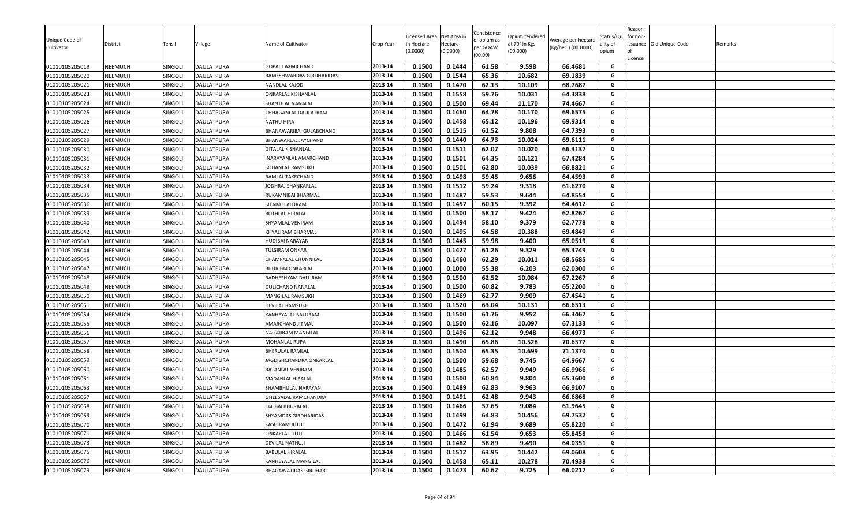|                |                |         |                   |                                |           | icensed Area | Net Area in | Consistence         | Opium tendered |                     | Status/Qu | Reason<br>for non- |                          |         |
|----------------|----------------|---------|-------------------|--------------------------------|-----------|--------------|-------------|---------------------|----------------|---------------------|-----------|--------------------|--------------------------|---------|
| Unique Code of | District       | Tehsil  | √illage           | Name of Cultivator             | Crop Year | n Hectare    | Hectare     | of opium as         | at 70° in Kgs  | Average per hectare | ality of  |                    | issuance Old Unique Code | Remarks |
| Cultivator     |                |         |                   |                                |           | (0.0000)     | (0.0000)    | per GOAW<br>(00.00) | (00.000)       | (Kg/hec.) (00.0000) | opium     |                    |                          |         |
| 01010105205019 | <b>NEEMUCH</b> | SINGOLI | <b>DAULATPURA</b> | GOPAL LAXMICHAND               | 2013-14   | 0.1500       | 0.1444      | 61.58               | 9.598          | 66.4681             | G         | License            |                          |         |
| 01010105205020 | <b>NEEMUCH</b> | SINGOLI | DAULATPURA        | RAMESHWARDAS GIRDHARIDAS       | 2013-14   | 0.1500       | 0.1544      | 65.36               | 10.682         | 69.1839             | G         |                    |                          |         |
| 01010105205021 | <b>NEEMUCH</b> | SINGOLI | <b>DAULATPURA</b> | NANDLAL KAJOD                  | 2013-14   | 0.1500       | 0.1470      | 62.13               | 10.109         | 68.7687             | G         |                    |                          |         |
| 01010105205023 | <b>NEEMUCH</b> | SINGOLI | DAULATPURA        | ONKARLAL KISHANLAL             | 2013-14   | 0.1500       | 0.1558      | 59.76               | 10.031         | 64.3838             | G         |                    |                          |         |
| 01010105205024 | <b>NEEMUCH</b> | SINGOLI | DAULATPURA        | SHANTILAL NANALAL              | 2013-14   | 0.1500       | 0.1500      | 69.44               | 11.170         | 74.4667             | G         |                    |                          |         |
| 01010105205025 | <b>NEEMUCH</b> | SINGOLI | <b>DAULATPURA</b> | CHHAGANLAL DAULATRAM           | 2013-14   | 0.1500       | 0.1460      | 64.78               | 10.170         | 69.6575             | G         |                    |                          |         |
| 01010105205026 | <b>NEEMUCH</b> | SINGOLI | DAULATPURA        | NATHU HIRA                     | 2013-14   | 0.1500       | 0.1458      | 65.12               | 10.196         | 69.9314             | G         |                    |                          |         |
| 01010105205027 | <b>NEEMUCH</b> | SINGOLI | <b>DAULATPURA</b> | BHANAWARIBAI GULABCHAND        | 2013-14   | 0.1500       | 0.1515      | 61.52               | 9.808          | 64.7393             | G         |                    |                          |         |
| 01010105205029 | <b>NEEMUCH</b> | SINGOLI | DAULATPURA        | BHANWARLAL JAYCHAND            | 2013-14   | 0.1500       | 0.1440      | 64.73               | 10.024         | 69.6111             | G         |                    |                          |         |
| 01010105205030 | NEEMUCH        | SINGOLI | <b>DAULATPURA</b> | GITALAL KISHANLAL              | 2013-14   | 0.1500       | 0.1511      | 62.07               | 10.020         | 66.3137             | G         |                    |                          |         |
| 01010105205031 | <b>NEEMUCH</b> | SINGOLI | DAULATPURA        | NARAYANLAL AMARCHAND           | 2013-14   | 0.1500       | 0.1501      | 64.35               | 10.121         | 67.4284             | G         |                    |                          |         |
| 01010105205032 | <b>NEEMUCH</b> | SINGOLI | <b>DAULATPURA</b> | SOHANLAL RAMSUKH               | 2013-14   | 0.1500       | 0.1501      | 62.80               | 10.039         | 66.8821             | G         |                    |                          |         |
| 01010105205033 | <b>NEEMUCH</b> | SINGOLI | DAULATPURA        | RAMLAL TAKECHAND               | 2013-14   | 0.1500       | 0.1498      | 59.45               | 9.656          | 64.4593             | G         |                    |                          |         |
| 01010105205034 | <b>NEEMUCH</b> | SINGOLI | DAULATPURA        | JODHRAJ SHANKARLAL             | 2013-14   | 0.1500       | 0.1512      | 59.24               | 9.318          | 61.6270             | G         |                    |                          |         |
| 01010105205035 | <b>NEEMUCH</b> | SINGOLI | <b>DAULATPURA</b> | RUKAMNIBAI BHARMAL             | 2013-14   | 0.1500       | 0.1487      | 59.53               | 9.644          | 64.8554             | G         |                    |                          |         |
| 01010105205036 | <b>NEEMUCH</b> | SINGOLI | DAULATPURA        | SITABAI LALURAM                | 2013-14   | 0.1500       | 0.1457      | 60.15               | 9.392          | 64.4612             | G         |                    |                          |         |
| 01010105205039 | <b>NEEMUCH</b> | SINGOLI | <b>DAULATPURA</b> | BOTHLAL HIRALAL                | 2013-14   | 0.1500       | 0.1500      | 58.17               | 9.424          | 62.8267             | G         |                    |                          |         |
| 01010105205040 | <b>NEEMUCH</b> | SINGOLI | DAULATPURA        | SHYAMLAL VENIRAM               | 2013-14   | 0.1500       | 0.1494      | 58.10               | 9.379          | 62.7778             | G         |                    |                          |         |
| 01010105205042 | <b>NEEMUCH</b> | SINGOLI | <b>DAULATPURA</b> | KHYALIRAM BHARMAL              | 2013-14   | 0.1500       | 0.1495      | 64.58               | 10.388         | 69.4849             | G         |                    |                          |         |
| 01010105205043 | <b>NEEMUCH</b> | SINGOLI | DAULATPURA        | HUDIBAI NARAYAN                | 2013-14   | 0.1500       | 0.1445      | 59.98               | 9.400          | 65.0519             | G         |                    |                          |         |
| 01010105205044 | <b>NEEMUCH</b> | SINGOLI | <b>DAULATPURA</b> | TULSIRAM ONKAR                 | 2013-14   | 0.1500       | 0.1427      | 61.26               | 9.329          | 65.3749             | G         |                    |                          |         |
| 01010105205045 | <b>NEEMUCH</b> | SINGOLI | <b>DAULATPURA</b> | CHAMPALAL CHUNNILAL            | 2013-14   | 0.1500       | 0.1460      | 62.29               | 10.011         | 68.5685             | G         |                    |                          |         |
| 01010105205047 | <b>NEEMUCH</b> | SINGOLI | DAULATPURA        | <b>BHURIBAI ONKARLAL</b>       | 2013-14   | 0.1000       | 0.1000      | 55.38               | 6.203          | 62.0300             | G         |                    |                          |         |
| 01010105205048 | <b>NEEMUCH</b> | SINGOLI | <b>DAULATPURA</b> | RADHESHYAM DALURAM             | 2013-14   | 0.1500       | 0.1500      | 62.52               | 10.084         | 67.2267             | G         |                    |                          |         |
| 01010105205049 | <b>NEEMUCH</b> | SINGOLI | DAULATPURA        | DULICHAND NANALAL              | 2013-14   | 0.1500       | 0.1500      | 60.82               | 9.783          | 65.2200             | G         |                    |                          |         |
| 01010105205050 | <b>NEEMUCH</b> | SINGOLI | <b>DAULATPURA</b> | MANGILAL RAMSUKH               | 2013-14   | 0.1500       | 0.1469      | 62.77               | 9.909          | 67.4541             | G         |                    |                          |         |
| 01010105205051 | <b>NEEMUCH</b> | SINGOLI | DAULATPURA        | DEVILAL RAMSUKH                | 2013-14   | 0.1500       | 0.1520      | 63.04               | 10.131         | 66.6513             | G         |                    |                          |         |
| 01010105205054 | <b>NEEMUCH</b> | SINGOLI | DAULATPURA        | KANHEYALAL BALURAM             | 2013-14   | 0.1500       | 0.1500      | 61.76               | 9.952          | 66.3467             | G         |                    |                          |         |
| 01010105205055 | <b>NEEMUCH</b> | SINGOLI | DAULATPURA        | AMARCHAND JITMAL               | 2013-14   | 0.1500       | 0.1500      | 62.16               | 10.097         | 67.3133             | G         |                    |                          |         |
| 01010105205056 | <b>NEEMUCH</b> | SINGOLI | DAULATPURA        | NAGAJIRAM MANGILAL             | 2013-14   | 0.1500       | 0.1496      | 62.12               | 9.948          | 66.4973             | G         |                    |                          |         |
| 01010105205057 | <b>NEEMUCH</b> | SINGOLI | <b>DAULATPURA</b> | MOHANLAL RUPA                  | 2013-14   | 0.1500       | 0.1490      | 65.86               | 10.528         | 70.6577             | G         |                    |                          |         |
| 01010105205058 | <b>NEEMUCH</b> | SINGOLI | DAULATPURA        | BHERULAL RAMLAL                | 2013-14   | 0.1500       | 0.1504      | 65.35               | 10.699         | 71.1370             | G         |                    |                          |         |
| 01010105205059 | <b>NEEMUCH</b> | SINGOLI | <b>DAULATPURA</b> | <b>IAGDISHCHANDRA ONKARLAL</b> | 2013-14   | 0.1500       | 0.1500      | 59.68               | 9.745          | 64.9667             | G         |                    |                          |         |
| 01010105205060 | <b>NEEMUCH</b> | SINGOLI | DAULATPURA        | RATANLAL VENIRAM               | 2013-14   | 0.1500       | 0.1485      | 62.57               | 9.949          | 66.9966             | G         |                    |                          |         |
| 01010105205061 | <b>NEEMUCH</b> | SINGOLI | <b>DAULATPURA</b> | MADANLAL HIRALAL               | 2013-14   | 0.1500       | 0.1500      | 60.84               | 9.804          | 65.3600             | G         |                    |                          |         |
| 01010105205063 | <b>NEEMUCH</b> | SINGOLI | DAULATPURA        | SHAMBHULAL NARAYAN             | 2013-14   | 0.1500       | 0.1489      | 62.83               | 9.963          | 66.9107             | G         |                    |                          |         |
| 01010105205067 | <b>NEEMUCH</b> | SINGOLI | DAULATPURA        | GHEESALAL RAMCHANDRA           | 2013-14   | 0.1500       | 0.1491      | 62.48               | 9.943          | 66.6868             | G         |                    |                          |         |
| 01010105205068 | <b>NEEMUCH</b> | SINGOLI | DAULATPURA        | LALIBAI BHURALAL               | 2013-14   | 0.1500       | 0.1466      | 57.65               | 9.084          | 61.9645             | G         |                    |                          |         |
| 01010105205069 | <b>NEEMUCH</b> | SINGOLI | <b>DAULATPURA</b> | SHYAMDAS GIRDHARIDAS           | 2013-14   | 0.1500       | 0.1499      | 64.83               | 10.456         | 69.7532             | G         |                    |                          |         |
| 01010105205070 | <b>NEEMUCH</b> | SINGOLI | DAULATPURA        | <b>KASHIRAM JITUJI</b>         | 2013-14   | 0.1500       | 0.1472      | 61.94               | 9.689          | 65.8220             | G         |                    |                          |         |
| 01010105205071 | NEEMUCH        | SINGOLI | DAULATPURA        | <b>ONKARLAL JITUJI</b>         | 2013-14   | 0.1500       | 0.1466      | 61.54               | 9.653          | 65.8458             | G         |                    |                          |         |
| 01010105205073 | <b>NEEMUCH</b> | SINGOLI | <b>DAULATPURA</b> | DEVILAL NATHUJI                | 2013-14   | 0.1500       | 0.1482      | 58.89               | 9.490          | 64.0351             | G         |                    |                          |         |
| 01010105205075 | NEEMUCH        | SINGOLI | DAULATPURA        | BABULAL HIRALAL                | 2013-14   | 0.1500       | 0.1512      | 63.95               | 10.442         | 69.0608             | G         |                    |                          |         |
| 01010105205076 | NEEMUCH        | SINGOLI | <b>DAULATPURA</b> | KANHEYALAL MANGILAL            | 2013-14   | 0.1500       | 0.1458      | 65.11               | 10.278         | 70.4938             | G         |                    |                          |         |
| 01010105205079 | NEEMUCH        | SINGOLI | DAULATPURA        | BHAGAWATIDAS GIRDHARI          | 2013-14   | 0.1500       | 0.1473      | 60.62               | 9.725          | 66.0217             | G         |                    |                          |         |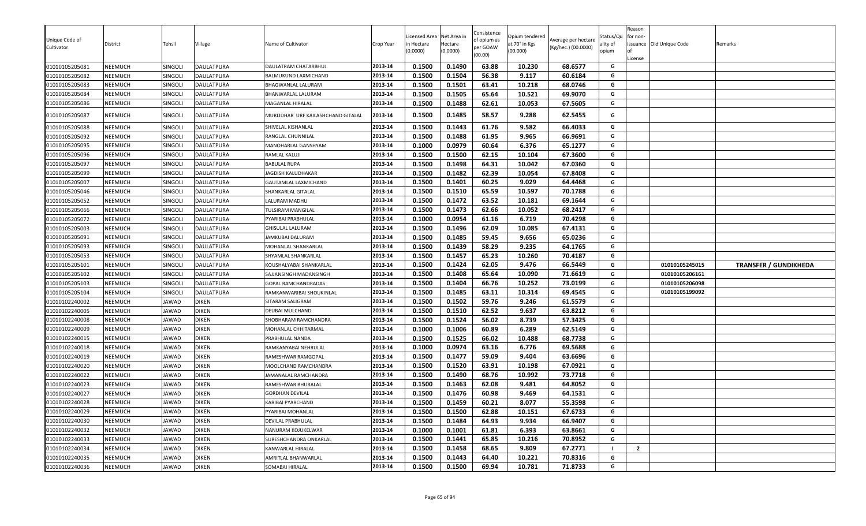| Unique Code of |                |                |                   |                                    |           | icensed Area | Net Area in         | Consistence<br>of opium as | Opium tendered            | Average per hectare | Status/Qu | eason<br>for non- |                 |                              |
|----------------|----------------|----------------|-------------------|------------------------------------|-----------|--------------|---------------------|----------------------------|---------------------------|---------------------|-----------|-------------------|-----------------|------------------------------|
| Cultivator     | District       | Tehsil         | Village           | Name of Cultivator                 | Crop Year | n Hectare    | Hectare<br>(0.0000) | per GOAW                   | at 70° in Kgs<br>(00.000) | (Kg/hec.) (00.0000) | ality of  | ssuance           | Old Unique Code | Remarks                      |
|                |                |                |                   |                                    |           | (0.0000)     |                     | (00.00)                    |                           |                     | opium     | License           |                 |                              |
| 01010105205081 | <b>NEEMUCH</b> | SINGOL         | <b>DAULATPURA</b> | DAULATRAM CHATARBHUJ               | 2013-14   | 0.1500       | 0.1490              | 63.88                      | 10.230                    | 68.6577             | G         |                   |                 |                              |
| 01010105205082 | <b>NEEMUCH</b> | SINGOLI        | <b>DAULATPURA</b> | BALMUKUND LAXMICHAND               | 2013-14   | 0.1500       | 0.1504              | 56.38                      | 9.117                     | 60.6184             | G         |                   |                 |                              |
| 01010105205083 | <b>NEEMUCH</b> | <b>SINGOLI</b> | <b>DAULATPURA</b> | <b>BHAGWANLAL LALURAM</b>          | 2013-14   | 0.1500       | 0.1501              | 63.41                      | 10.218                    | 68.0746             | G         |                   |                 |                              |
| 01010105205084 | <b>NEEMUCH</b> | SINGOLI        | <b>DAULATPURA</b> | <b>BHANWARLAL LALURAM</b>          | 2013-14   | 0.1500       | 0.1505              | 65.64                      | 10.521                    | 69.9070             | G         |                   |                 |                              |
| 01010105205086 | <b>NEEMUCH</b> | SINGOLI        | <b>DAULATPURA</b> | <b>MAGANLAL HIRALAL</b>            | 2013-14   | 0.1500       | 0.1488              | 62.61                      | 10.053                    | 67.5605             | G         |                   |                 |                              |
| 01010105205087 | NEEMUCH        | <b>SINGOLI</b> | DAULATPURA        | MURLIDHAR URF KAILASHCHAND GITALAL | 2013-14   | 0.1500       | 0.1485              | 58.57                      | 9.288                     | 62.5455             | G         |                   |                 |                              |
| 01010105205088 | NEEMUCH        | SINGOLI        | <b>DAULATPURA</b> | SHIVELAL KISHANLAL                 | 2013-14   | 0.1500       | 0.1443              | 61.76                      | 9.582                     | 66.4033             | G         |                   |                 |                              |
| 01010105205092 | <b>NEEMUCH</b> | SINGOLI        | DAULATPURA        | RANGLAL CHUNNILAL                  | 2013-14   | 0.1500       | 0.1488              | 61.95                      | 9.965                     | 66.9691             | G         |                   |                 |                              |
| 01010105205095 | <b>NEEMUCH</b> | SINGOLI        | <b>DAULATPURA</b> | MANOHARLAL GANSHYAM                | 2013-14   | 0.1000       | 0.0979              | 60.64                      | 6.376                     | 65.1277             | G         |                   |                 |                              |
| 01010105205096 | <b>NEEMUCH</b> | SINGOLI        | DAULATPURA        | RAMLAL KALUJI                      | 2013-14   | 0.1500       | 0.1500              | 62.15                      | 10.104                    | 67.3600             | G         |                   |                 |                              |
| 01010105205097 | NEEMUCH        | SINGOLI        | <b>DAULATPURA</b> | <b>BABULAL RUPA</b>                | 2013-14   | 0.1500       | 0.1498              | 64.31                      | 10.042                    | 67.0360             | G         |                   |                 |                              |
| 01010105205099 | <b>NEEMUCH</b> | SINGOLI        | <b>DAULATPURA</b> | JAGDISH KALUDHAKAR                 | 2013-14   | 0.1500       | 0.1482              | 62.39                      | 10.054                    | 67.8408             | G         |                   |                 |                              |
| 01010105205007 | NEEMUCH        | SINGOLI        | <b>DAULATPURA</b> | GAUTAMLAL LAXMICHAND               | 2013-14   | 0.1500       | 0.1401              | 60.25                      | 9.029                     | 64.4468             | G         |                   |                 |                              |
| 01010105205046 | NEEMUCH        | <b>SINGOLI</b> | DAULATPURA        | SHANKARLAL GITALAL                 | 2013-14   | 0.1500       | 0.1510              | 65.59                      | 10.597                    | 70.1788             | G         |                   |                 |                              |
| 01010105205052 | NEEMUCH        | SINGOLI        | DAULATPURA        | LALURAM MADHU                      | 2013-14   | 0.1500       | 0.1472              | 63.52                      | 10.181                    | 69.1644             | G         |                   |                 |                              |
| 01010105205066 | NEEMUCH        | SINGOLI        | DAULATPURA        | TULSIRAM MANGILAL                  | 2013-14   | 0.1500       | 0.1473              | 62.66                      | 10.052                    | 68.2417             | G         |                   |                 |                              |
| 01010105205072 | <b>NEEMUCH</b> | SINGOLI        | <b>DAULATPURA</b> | PYARIBAI PRABHULAL                 | 2013-14   | 0.1000       | 0.0954              | 61.16                      | 6.719                     | 70.4298             | G         |                   |                 |                              |
| 01010105205003 | <b>NEEMUCH</b> | SINGOLI        | DAULATPURA        | <b>GHISULAL LALURAM</b>            | 2013-14   | 0.1500       | 0.1496              | 62.09                      | 10.085                    | 67.4131             | G         |                   |                 |                              |
| 01010105205091 | <b>NEEMUCH</b> | SINGOLI        | <b>DAULATPURA</b> | JAMKUBAI DALURAM                   | 2013-14   | 0.1500       | 0.1485              | 59.45                      | 9.656                     | 65.0236             | G         |                   |                 |                              |
| 01010105205093 | <b>NEEMUCH</b> | SINGOLI        | DAULATPURA        | MOHANLAL SHANKARLAL                | 2013-14   | 0.1500       | 0.1439              | 58.29                      | 9.235                     | 64.1765             | G         |                   |                 |                              |
| 01010105205053 | <b>NEEMUCH</b> | SINGOLI        | <b>DAULATPURA</b> | SHYAMLAL SHANKARLAL                | 2013-14   | 0.1500       | 0.1457              | 65.23                      | 10.260                    | 70.4187             | G         |                   |                 |                              |
| 01010105205101 | <b>NEEMUCH</b> | SINGOLI        | DAULATPURA        | KOUSHALYABAI SHANKARLAL            | 2013-14   | 0.1500       | 0.1424              | 62.05                      | 9.476                     | 66.5449             | G         |                   | 01010105245015  | <b>TRANSFER / GUNDIKHEDA</b> |
| 01010105205102 | <b>NEEMUCH</b> | SINGOLI        | DAULATPURA        | SAJJANSINGH MADANSINGH             | 2013-14   | 0.1500       | 0.1408              | 65.64                      | 10.090                    | 71.6619             | G         |                   | 01010105206161  |                              |
| 01010105205103 | <b>NEEMUCH</b> | SINGOLI        | DAULATPURA        | <b>GOPAL RAMCHANDRADAS</b>         | 2013-14   | 0.1500       | 0.1404              | 66.76                      | 10.252                    | 73.0199             | G         |                   | 01010105206098  |                              |
| 01010105205104 | <b>NEEMUCH</b> | SINGOLI        | DAULATPURA        | RAMKANWARIBAI SHOUKINLAL           | 2013-14   | 0.1500       | 0.1485              | 63.11                      | 10.314                    | 69.4545             | G         |                   | 01010105199092  |                              |
| 01010102240002 | <b>NEEMUCH</b> | JAWAD          | <b>DIKEN</b>      | SITARAM SALIGRAM                   | 2013-14   | 0.1500       | 0.1502              | 59.76                      | 9.246                     | 61.5579             | G         |                   |                 |                              |
| 01010102240005 | <b>NEEMUCH</b> | JAWAD          | <b>DIKEN</b>      | DEUBAI MULCHAND                    | 2013-14   | 0.1500       | 0.1510              | 62.52                      | 9.637                     | 63.8212             | G         |                   |                 |                              |
| 01010102240008 | NEEMUCH        | JAWAD          | <b>DIKEN</b>      | SHOBHARAM RAMCHANDRA               | 2013-14   | 0.1500       | 0.1524              | 56.02                      | 8.739                     | 57.3425             | G         |                   |                 |                              |
| 01010102240009 | <b>NEEMUCH</b> | JAWAD          | <b>DIKEN</b>      | MOHANLAL CHHITARMAL                | 2013-14   | 0.1000       | 0.1006              | 60.89                      | 6.289                     | 62.5149             | G         |                   |                 |                              |
| 01010102240015 | NEEMUCH        | JAWAD          | <b>DIKEN</b>      | PRABHULAL NANDA                    | 2013-14   | 0.1500       | 0.1525              | 66.02                      | 10.488                    | 68.7738             | G         |                   |                 |                              |
| 01010102240018 | NEEMUCH        | JAWAD          | <b>DIKEN</b>      | RAMKANYABAI NEHRULAL               | 2013-14   | 0.1000       | 0.0974              | 63.16                      | 6.776                     | 69.5688             | G         |                   |                 |                              |
| 01010102240019 | NEEMUCH        | JAWAD          | <b>DIKEN</b>      | RAMESHWAR RAMGOPAL                 | 2013-14   | 0.1500       | 0.1477              | 59.09                      | 9.404                     | 63.6696             | G         |                   |                 |                              |
| 01010102240020 | NEEMUCH        | JAWAD          | <b>DIKEN</b>      | MOOLCHAND RAMCHANDRA               | 2013-14   | 0.1500       | 0.1520              | 63.91                      | 10.198                    | 67.0921             | G         |                   |                 |                              |
| 01010102240022 | <b>NEEMUCH</b> | JAWAD          | <b>DIKEN</b>      | JAMANALAL RAMCHANDRA               | 2013-14   | 0.1500       | 0.1490              | 68.76                      | 10.992                    | 73.7718             | G         |                   |                 |                              |
| 01010102240023 | <b>NEEMUCH</b> | JAWAD          | <b>DIKEN</b>      | RAMESHWAR BHURALAL                 | 2013-14   | 0.1500       | 0.1463              | 62.08                      | 9.481                     | 64.8052             | G         |                   |                 |                              |
| 01010102240027 | <b>NEEMUCH</b> | JAWAD          | <b>DIKEN</b>      | <b>GORDHAN DEVILAL</b>             | 2013-14   | 0.1500       | 0.1476              | 60.98                      | 9.469                     | 64.1531             | G         |                   |                 |                              |
| 01010102240028 | <b>NEEMUCH</b> | JAWAD          | <b>DIKEN</b>      | KARIBAI PYARCHAND                  | 2013-14   | 0.1500       | 0.1459              | 60.21                      | 8.077                     | 55.3598             | G         |                   |                 |                              |
| 01010102240029 | <b>NEEMUCH</b> | JAWAD          | <b>DIKEN</b>      | PYARIBAI MOHANLAL                  | 2013-14   | 0.1500       | 0.1500              | 62.88                      | 10.151                    | 67.6733             | G         |                   |                 |                              |
| 01010102240030 | <b>NEEMUCH</b> | JAWAD          | <b>DIKEN</b>      | DEVILAL PRABHULAL                  | 2013-14   | 0.1500       | 0.1484              | 64.93                      | 9.934                     | 66.9407             | G         |                   |                 |                              |
| 01010102240032 | <b>NEEMUCH</b> | JAWAD          | <b>DIKEN</b>      | NANURAM KOJUKELWAR                 | 2013-14   | 0.1000       | 0.1001              | 61.81                      | 6.393                     | 63.8661             | G         |                   |                 |                              |
| 01010102240033 | <b>NEEMUCH</b> | JAWAD          | <b>DIKEN</b>      | SURESHCHANDRA ONKARLAL             | 2013-14   | 0.1500       | 0.1441              | 65.85                      | 10.216                    | 70.8952             | G         |                   |                 |                              |
| 01010102240034 | <b>NEEMUCH</b> | JAWAD          | <b>DIKEN</b>      | KANWARLAL HIRALAL                  | 2013-14   | 0.1500       | 0.1458              | 68.65                      | 9.809                     | 67.2771             | - 1       | $\overline{2}$    |                 |                              |
| 01010102240035 | NEEMUCH        | <b>JAWAD</b>   | <b>DIKEN</b>      | AMRITLAL BHANWARLAL                | 2013-14   | 0.1500       | 0.1443              | 64.40                      | 10.221                    | 70.8316             | G         |                   |                 |                              |
| 01010102240036 | <b>NEEMUCH</b> | JAWAD          | <b>DIKEN</b>      | SOMABAI HIRALAL                    | 2013-14   | 0.1500       | 0.1500              | 69.94                      | 10.781                    | 71.8733             | G         |                   |                 |                              |
|                |                |                |                   |                                    |           |              |                     |                            |                           |                     |           |                   |                 |                              |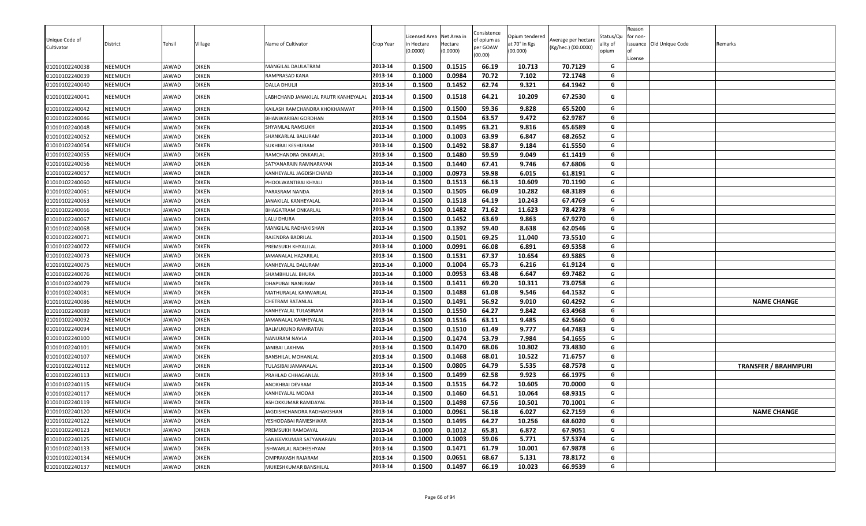| 01010102240038<br>NEEMUCH<br><b>JAWAD</b><br><b>DIKEN</b><br>0.1500<br>0.1515<br>66.19<br>10.713<br>70.7129<br>G<br>MANGILAL DAULATRAM<br>2013-14<br>0.0984<br>G<br>01010102240039<br>NEEMUCH<br><b>DIKEN</b><br>2013-14<br>0.1000<br>70.72<br>7.102<br>72.1748<br><b>JAWAD</b><br>RAMPRASAD KANA<br>01010102240040<br><b>DIKEN</b><br>0.1500<br>0.1452<br>62.74<br>9.321<br>64.1942<br>G<br>NEEMUCH<br><b>JAWAD</b><br><b>DALLA DHULJI</b><br>2013-14<br>0.1500<br>0.1518<br>64.21<br>10.209<br>67.2530<br>01010102240041<br>NEEMUCH<br><b>AWAD</b><br><b>DIKEN</b><br>ABHCHAND JANAKILAL PAUTR KANHEYALAL<br>2013-14<br>G<br>0.1500<br>59.36<br>9.828<br>65.5200<br>0.1500<br>G<br>01010102240042<br>NEEMUCH<br>JAWAD<br><b>DIKEN</b><br>KAILASH RAMCHANDRA KHOKHANWAT<br>2013-14<br>0.1500<br>0.1504<br>63.57<br>9.472<br>62.9787<br>01010102240046<br>NEEMUCH<br>JAWAD<br><b>DIKEN</b><br>2013-14<br>G<br>BHANWARIBAI GORDHAN<br>0.1495<br><b>DIKEN</b><br>2013-14<br>0.1500<br>63.21<br>9.816<br>65.6589<br>G<br>01010102240048<br><b>NEEMUCH</b><br><b>AWAD</b><br>SHYAMLAL RAMSUKH<br>2013-14<br>0.1000<br>0.1003<br>63.99<br>6.847<br>68.2652<br>01010102240052<br><b>NEEMUCH</b><br><b>AWAD</b><br><b>DIKEN</b><br>G<br>SHANKARLAL BALURAM<br>0.1500<br>0.1492<br>58.87<br>9.184<br>61.5550<br><b>NEEMUCH</b><br><b>DIKEN</b><br>2013-14<br>G<br>01010102240054<br><b>AWAD</b><br>SUKHIBAI KESHURAM<br><b>NEEMUCH</b><br><b>DIKEN</b><br>2013-14<br>0.1500<br>0.1480<br>59.59<br>9.049<br>61.1419<br>01010102240055<br><b>AWAD</b><br>G<br>RAMCHANDRA ONKARLAL<br>0.1500<br>0.1440<br>67.41<br>9.746<br>67.6806<br>2013-14<br>G<br>01010102240056<br><b>NEEMUCH</b><br>JAWAD<br><b>DIKEN</b><br>SATYANARAIN RAMNARAYAN<br><b>NEEMUCH</b><br><b>DIKEN</b><br>2013-14<br>0.1000<br>0.0973<br>59.98<br>6.015<br>61.8191<br>G<br>01010102240057<br><b>AWAD</b><br>KANHEYALAL JAGDISHCHAND<br>0.1500<br>0.1513<br>66.13<br>10.609<br>70.1190<br><b>DIKEN</b><br>2013-14<br>G<br>01010102240060<br><b>NEEMUCH</b><br><b>AWAD</b><br>PHOOLWANTIBAI KHYALI<br><b>DIKEN</b><br>2013-14<br>0.1500<br>0.1505<br>66.09<br>10.282<br>68.3189<br>G<br>01010102240061<br><b>NEEMUCH</b><br><b>AWAD</b><br>PARASRAM NANDA<br>0.1518<br>64.19<br>10.243<br>67.4769<br>NEEMUCH<br><b>DIKEN</b><br>2013-14<br>0.1500<br>G<br>01010102240063<br><b>AWAD</b><br>JANAKILAL KANHEYALAL<br>2013-14<br>0.1500<br>0.1482<br>71.62<br>11.623<br>78.4278<br>G<br>01010102240066<br><b>NEEMUCH</b><br><b>AWAD</b><br><b>DIKEN</b><br>BHAGATRAM ONKARLAL<br>2013-14<br>0.1500<br>0.1452<br>63.69<br>9.863<br>67.9270<br>NEEMUCH<br><b>DIKEN</b><br>LALU DHURA<br>G<br>01010102240067<br>JAWAD<br><b>DIKEN</b><br>2013-14<br>0.1500<br>0.1392<br>59.40<br>8.638<br>62.0546<br>G<br>01010102240068<br>NEEMUCH<br><b>AWAD</b><br>MANGILAL RADHAKISHAN<br><b>DIKEN</b><br>2013-14<br>0.1500<br>0.1501<br>69.25<br>11.040<br>73.5510<br>G<br>01010102240071<br>NEEMUCH<br>JAWAD<br>RAJENDRA BADRILAL<br>2013-14<br>0.0991<br>66.08<br>6.891<br>69.5358<br>G<br>01010102240072<br>NEEMUCH<br>JAWAD<br><b>DIKEN</b><br>0.1000<br>PREMSUKH KHYALILAL<br><b>DIKEN</b><br>0.1531<br>67.37<br>10.654<br>69.5885<br>01010102240073<br>NEEMUCH<br>JAWAD<br>2013-14<br>0.1500<br>G<br>JAMANALAL HAZARILAI<br>2013-14<br>0.1004<br>G<br>01010102240075<br>NEEMUCH<br>JAWAD<br><b>DIKEN</b><br>0.1000<br>65.73<br>6.216<br>61.9124<br>KANHEYALAL DALURAM<br>0.0953<br>63.48<br>6.647<br>01010102240076<br>NEEMUCH<br>JAWAD<br><b>DIKEN</b><br>SHAMBHULAL BHURA<br>2013-14<br>0.1000<br>69.7482<br>G<br>2013-14<br>0.1500<br>0.1411<br>69.20<br>73.0758<br>01010102240079<br><b>NEEMUCH</b><br>JAWAD<br><b>DIKEN</b><br>10.311<br>G<br>DHAPUBAI NANURAM<br>0.1500<br>0.1488<br>61.08<br>9.546<br>64.1532<br>01010102240081<br><b>NEEMUCH</b><br><b>AWAD</b><br><b>DIKEN</b><br>MATHURALAL KANWARLAL<br>2013-14<br>G<br>NEEMUCH<br><b>DIKEN</b><br>2013-14<br>0.1500<br>0.1491<br>56.92<br>9.010<br>60.4292<br>G<br><b>NAME CHANGE</b><br>01010102240086<br>JAWAD<br><b>CHETRAM RATANLAL</b><br>NEEMUCH<br><b>DIKEN</b><br>2013-14<br>0.1500<br>0.1550<br>64.27<br>9.842<br>63.4968<br>01010102240089<br>JAWAD<br>G<br>KANHEYALAL TULASIRAM<br><b>DIKEN</b><br>2013-14<br>0.1500<br>0.1516<br>63.11<br>9.485<br>62.5660<br>G<br>01010102240092<br><b>NEEMUCH</b><br>JAWAD<br><b>AMANALAL KANHEYALAL</b><br><b>DIKEN</b><br>0.1500<br>0.1510<br>61.49<br>9.777<br>64.7483<br>G<br>01010102240094<br><b>NEEMUCH</b><br><b>AWAD</b><br>2013-14<br><b>BALMUKUND RAMRATAN</b><br>0.1474<br>53.79<br>54.1655<br>0.1500<br>7.984<br><b>DIKEN</b><br>2013-14<br>G<br>01010102240100<br><b>NEEMUCH</b><br><b>AWAD</b><br>NANURAM NAVLA<br>2013-14<br>0.1500<br>0.1470<br>68.06<br>10.802<br>73.4830<br>01010102240101<br>NEEMUCH<br><b>AWAD</b><br><b>DIKEN</b><br>G<br>JANIBAI LAKHMA<br>0.1468<br>68.01<br>10.522<br>2013-14<br>0.1500<br>71.6757<br>01010102240107<br><b>NEEMUCH</b><br>JAWAD<br><b>DIKEN</b><br>BANSHILAL MOHANLAL<br>G<br>0.1500<br>0.0805<br>64.79<br>5.535<br>68.7578<br>01010102240112<br><b>NEEMUCH</b><br><b>AWAD</b><br><b>DIKEN</b><br>2013-14<br>G<br>TULASIBAI JAMANALAL<br><b>TRANSFER / BRAHMPURI</b><br>2013-14<br>0.1500<br>0.1499<br>62.58<br>9.923<br>66.1975<br><b>DIKEN</b><br>G<br>01010102240113<br>NEEMUCH<br>JAWAD<br>PRAHLAD CHHAGANLAL<br><b>DIKEN</b><br>0.1500<br>0.1515<br>64.72<br>10.605<br>70.0000<br>01010102240115<br><b>NEEMUCH</b><br>JAWAD<br>2013-14<br>G<br>ANOKHBAI DEVRAM<br>2013-14<br>0.1500<br>0.1460<br>64.51<br>10.064<br>68.9315<br>G<br><b>DIKEN</b><br>01010102240117<br>NEEMUCH<br>JAWAD<br>KANHEYALAL MODAJI<br>0.1498<br>67.56<br>G<br>01010102240119<br>NEEMUCH<br>JAWAD<br><b>DIKEN</b><br>2013-14<br>0.1500<br>10.501<br>70.1001<br>ASHOKKUMAR RAMDAYAL<br>0.1000<br>0.0961<br>56.18<br>6.027<br>62.7159<br><b>DIKEN</b><br>2013-14<br>G<br><b>NAME CHANGE</b><br>01010102240120<br>NEEMUCH<br>JAWAD<br>JAGDISHCHANDRA RADHAKISHAN<br>0.1495<br>64.27<br>01010102240122<br>NEEMUCH<br>JAWAD<br><b>DIKEN</b><br>2013-14<br>0.1500<br>10.256<br>68.6020<br>G<br>YESHODABAI RAMESHWAR<br>65.81<br>2013-14<br>0.1000<br>0.1012<br>6.872<br>67.9051<br>G<br>01010102240123<br><b>NEEMUCH</b><br><b>AWAD</b><br><b>DIKEN</b><br>PREMSUKH RAMDAYAL<br>0.1003<br>59.06<br>5.771<br>57.5374<br>01010102240125<br><b>NEEMUCH</b><br><b>AWAD</b><br><b>DIKEN</b><br>2013-14<br>0.1000<br>G<br>SANJEEVKUMAR SATYANARAIN<br>0.1500<br>0.1471<br>61.79<br>10.001<br>67.9878<br><b>NEEMUCH</b><br><b>DIKEN</b><br>2013-14<br>G<br>01010102240133<br><b>AWAD</b><br><b>ISHWARLAL RADHESHYAM</b><br><b>DIKEN</b><br>2013-14<br>0.1500<br>0.0651<br>68.67<br>5.131<br>78.8172<br>G<br>01010102240134<br><b>NEEMUCH</b><br><b>AWAD</b><br>OMPRAKASH RAJARAN | Unique Code of<br>Cultivator | District | Fehsil | Village      | Name of Cultivator | Crop Year | icensed Area<br>ectare ו<br>0.0000) | Net Area in<br>Hectare<br>(0.0000) | Consistence<br>of opium as<br>per GOAW<br>(00.00) | Opium tendered<br>at 70° in Kgs<br>(00.000) | Average per hectare<br>(Kg/hec.) (00.0000) | Status/Qu<br>ality of<br>opium | Reason<br>for non-<br>License | issuance Old Unique Code | Remarks |
|-------------------------------------------------------------------------------------------------------------------------------------------------------------------------------------------------------------------------------------------------------------------------------------------------------------------------------------------------------------------------------------------------------------------------------------------------------------------------------------------------------------------------------------------------------------------------------------------------------------------------------------------------------------------------------------------------------------------------------------------------------------------------------------------------------------------------------------------------------------------------------------------------------------------------------------------------------------------------------------------------------------------------------------------------------------------------------------------------------------------------------------------------------------------------------------------------------------------------------------------------------------------------------------------------------------------------------------------------------------------------------------------------------------------------------------------------------------------------------------------------------------------------------------------------------------------------------------------------------------------------------------------------------------------------------------------------------------------------------------------------------------------------------------------------------------------------------------------------------------------------------------------------------------------------------------------------------------------------------------------------------------------------------------------------------------------------------------------------------------------------------------------------------------------------------------------------------------------------------------------------------------------------------------------------------------------------------------------------------------------------------------------------------------------------------------------------------------------------------------------------------------------------------------------------------------------------------------------------------------------------------------------------------------------------------------------------------------------------------------------------------------------------------------------------------------------------------------------------------------------------------------------------------------------------------------------------------------------------------------------------------------------------------------------------------------------------------------------------------------------------------------------------------------------------------------------------------------------------------------------------------------------------------------------------------------------------------------------------------------------------------------------------------------------------------------------------------------------------------------------------------------------------------------------------------------------------------------------------------------------------------------------------------------------------------------------------------------------------------------------------------------------------------------------------------------------------------------------------------------------------------------------------------------------------------------------------------------------------------------------------------------------------------------------------------------------------------------------------------------------------------------------------------------------------------------------------------------------------------------------------------------------------------------------------------------------------------------------------------------------------------------------------------------------------------------------------------------------------------------------------------------------------------------------------------------------------------------------------------------------------------------------------------------------------------------------------------------------------------------------------------------------------------------------------------------------------------------------------------------------------------------------------------------------------------------------------------------------------------------------------------------------------------------------------------------------------------------------------------------------------------------------------------------------------------------------------------------------------------------------------------------------------------------------------------------------------------------------------------------------------------------------------------------------------------------------------------------------------------------------------------------------------------------------------------------------------------------------------------------------------------------------------------------------------------------------------------------------------------------------------------------------------------------------------------------------------------------------------------------------------------------------------------------------------------------------------------------------------------------------------------------------------------------------------------------------------------------------------------------------------------------------------------------------------------------------------------------------------------------------------------------------------------------------------------------------------------------------------------------------------------------------------------------------------------------------------------------------------------------------------------------------------------------------------------------------------------------------------------------------------------------------------------------------------------------------------------------------------------------------------------------------|------------------------------|----------|--------|--------------|--------------------|-----------|-------------------------------------|------------------------------------|---------------------------------------------------|---------------------------------------------|--------------------------------------------|--------------------------------|-------------------------------|--------------------------|---------|
|                                                                                                                                                                                                                                                                                                                                                                                                                                                                                                                                                                                                                                                                                                                                                                                                                                                                                                                                                                                                                                                                                                                                                                                                                                                                                                                                                                                                                                                                                                                                                                                                                                                                                                                                                                                                                                                                                                                                                                                                                                                                                                                                                                                                                                                                                                                                                                                                                                                                                                                                                                                                                                                                                                                                                                                                                                                                                                                                                                                                                                                                                                                                                                                                                                                                                                                                                                                                                                                                                                                                                                                                                                                                                                                                                                                                                                                                                                                                                                                                                                                                                                                                                                                                                                                                                                                                                                                                                                                                                                                                                                                                                                                                                                                                                                                                                                                                                                                                                                                                                                                                                                                                                                                                                                                                                                                                                                                                                                                                                                                                                                                                                                                                                                                                                                                                                                                                                                                                                                                                                                                                                                                                                                                                                                                                                                                                                                                                                                                                                                                                                                                                                                                                                                                                                                   |                              |          |        |              |                    |           |                                     |                                    |                                                   |                                             |                                            |                                |                               |                          |         |
|                                                                                                                                                                                                                                                                                                                                                                                                                                                                                                                                                                                                                                                                                                                                                                                                                                                                                                                                                                                                                                                                                                                                                                                                                                                                                                                                                                                                                                                                                                                                                                                                                                                                                                                                                                                                                                                                                                                                                                                                                                                                                                                                                                                                                                                                                                                                                                                                                                                                                                                                                                                                                                                                                                                                                                                                                                                                                                                                                                                                                                                                                                                                                                                                                                                                                                                                                                                                                                                                                                                                                                                                                                                                                                                                                                                                                                                                                                                                                                                                                                                                                                                                                                                                                                                                                                                                                                                                                                                                                                                                                                                                                                                                                                                                                                                                                                                                                                                                                                                                                                                                                                                                                                                                                                                                                                                                                                                                                                                                                                                                                                                                                                                                                                                                                                                                                                                                                                                                                                                                                                                                                                                                                                                                                                                                                                                                                                                                                                                                                                                                                                                                                                                                                                                                                                   |                              |          |        |              |                    |           |                                     |                                    |                                                   |                                             |                                            |                                |                               |                          |         |
|                                                                                                                                                                                                                                                                                                                                                                                                                                                                                                                                                                                                                                                                                                                                                                                                                                                                                                                                                                                                                                                                                                                                                                                                                                                                                                                                                                                                                                                                                                                                                                                                                                                                                                                                                                                                                                                                                                                                                                                                                                                                                                                                                                                                                                                                                                                                                                                                                                                                                                                                                                                                                                                                                                                                                                                                                                                                                                                                                                                                                                                                                                                                                                                                                                                                                                                                                                                                                                                                                                                                                                                                                                                                                                                                                                                                                                                                                                                                                                                                                                                                                                                                                                                                                                                                                                                                                                                                                                                                                                                                                                                                                                                                                                                                                                                                                                                                                                                                                                                                                                                                                                                                                                                                                                                                                                                                                                                                                                                                                                                                                                                                                                                                                                                                                                                                                                                                                                                                                                                                                                                                                                                                                                                                                                                                                                                                                                                                                                                                                                                                                                                                                                                                                                                                                                   |                              |          |        |              |                    |           |                                     |                                    |                                                   |                                             |                                            |                                |                               |                          |         |
|                                                                                                                                                                                                                                                                                                                                                                                                                                                                                                                                                                                                                                                                                                                                                                                                                                                                                                                                                                                                                                                                                                                                                                                                                                                                                                                                                                                                                                                                                                                                                                                                                                                                                                                                                                                                                                                                                                                                                                                                                                                                                                                                                                                                                                                                                                                                                                                                                                                                                                                                                                                                                                                                                                                                                                                                                                                                                                                                                                                                                                                                                                                                                                                                                                                                                                                                                                                                                                                                                                                                                                                                                                                                                                                                                                                                                                                                                                                                                                                                                                                                                                                                                                                                                                                                                                                                                                                                                                                                                                                                                                                                                                                                                                                                                                                                                                                                                                                                                                                                                                                                                                                                                                                                                                                                                                                                                                                                                                                                                                                                                                                                                                                                                                                                                                                                                                                                                                                                                                                                                                                                                                                                                                                                                                                                                                                                                                                                                                                                                                                                                                                                                                                                                                                                                                   |                              |          |        |              |                    |           |                                     |                                    |                                                   |                                             |                                            |                                |                               |                          |         |
|                                                                                                                                                                                                                                                                                                                                                                                                                                                                                                                                                                                                                                                                                                                                                                                                                                                                                                                                                                                                                                                                                                                                                                                                                                                                                                                                                                                                                                                                                                                                                                                                                                                                                                                                                                                                                                                                                                                                                                                                                                                                                                                                                                                                                                                                                                                                                                                                                                                                                                                                                                                                                                                                                                                                                                                                                                                                                                                                                                                                                                                                                                                                                                                                                                                                                                                                                                                                                                                                                                                                                                                                                                                                                                                                                                                                                                                                                                                                                                                                                                                                                                                                                                                                                                                                                                                                                                                                                                                                                                                                                                                                                                                                                                                                                                                                                                                                                                                                                                                                                                                                                                                                                                                                                                                                                                                                                                                                                                                                                                                                                                                                                                                                                                                                                                                                                                                                                                                                                                                                                                                                                                                                                                                                                                                                                                                                                                                                                                                                                                                                                                                                                                                                                                                                                                   |                              |          |        |              |                    |           |                                     |                                    |                                                   |                                             |                                            |                                |                               |                          |         |
|                                                                                                                                                                                                                                                                                                                                                                                                                                                                                                                                                                                                                                                                                                                                                                                                                                                                                                                                                                                                                                                                                                                                                                                                                                                                                                                                                                                                                                                                                                                                                                                                                                                                                                                                                                                                                                                                                                                                                                                                                                                                                                                                                                                                                                                                                                                                                                                                                                                                                                                                                                                                                                                                                                                                                                                                                                                                                                                                                                                                                                                                                                                                                                                                                                                                                                                                                                                                                                                                                                                                                                                                                                                                                                                                                                                                                                                                                                                                                                                                                                                                                                                                                                                                                                                                                                                                                                                                                                                                                                                                                                                                                                                                                                                                                                                                                                                                                                                                                                                                                                                                                                                                                                                                                                                                                                                                                                                                                                                                                                                                                                                                                                                                                                                                                                                                                                                                                                                                                                                                                                                                                                                                                                                                                                                                                                                                                                                                                                                                                                                                                                                                                                                                                                                                                                   |                              |          |        |              |                    |           |                                     |                                    |                                                   |                                             |                                            |                                |                               |                          |         |
|                                                                                                                                                                                                                                                                                                                                                                                                                                                                                                                                                                                                                                                                                                                                                                                                                                                                                                                                                                                                                                                                                                                                                                                                                                                                                                                                                                                                                                                                                                                                                                                                                                                                                                                                                                                                                                                                                                                                                                                                                                                                                                                                                                                                                                                                                                                                                                                                                                                                                                                                                                                                                                                                                                                                                                                                                                                                                                                                                                                                                                                                                                                                                                                                                                                                                                                                                                                                                                                                                                                                                                                                                                                                                                                                                                                                                                                                                                                                                                                                                                                                                                                                                                                                                                                                                                                                                                                                                                                                                                                                                                                                                                                                                                                                                                                                                                                                                                                                                                                                                                                                                                                                                                                                                                                                                                                                                                                                                                                                                                                                                                                                                                                                                                                                                                                                                                                                                                                                                                                                                                                                                                                                                                                                                                                                                                                                                                                                                                                                                                                                                                                                                                                                                                                                                                   |                              |          |        |              |                    |           |                                     |                                    |                                                   |                                             |                                            |                                |                               |                          |         |
|                                                                                                                                                                                                                                                                                                                                                                                                                                                                                                                                                                                                                                                                                                                                                                                                                                                                                                                                                                                                                                                                                                                                                                                                                                                                                                                                                                                                                                                                                                                                                                                                                                                                                                                                                                                                                                                                                                                                                                                                                                                                                                                                                                                                                                                                                                                                                                                                                                                                                                                                                                                                                                                                                                                                                                                                                                                                                                                                                                                                                                                                                                                                                                                                                                                                                                                                                                                                                                                                                                                                                                                                                                                                                                                                                                                                                                                                                                                                                                                                                                                                                                                                                                                                                                                                                                                                                                                                                                                                                                                                                                                                                                                                                                                                                                                                                                                                                                                                                                                                                                                                                                                                                                                                                                                                                                                                                                                                                                                                                                                                                                                                                                                                                                                                                                                                                                                                                                                                                                                                                                                                                                                                                                                                                                                                                                                                                                                                                                                                                                                                                                                                                                                                                                                                                                   |                              |          |        |              |                    |           |                                     |                                    |                                                   |                                             |                                            |                                |                               |                          |         |
|                                                                                                                                                                                                                                                                                                                                                                                                                                                                                                                                                                                                                                                                                                                                                                                                                                                                                                                                                                                                                                                                                                                                                                                                                                                                                                                                                                                                                                                                                                                                                                                                                                                                                                                                                                                                                                                                                                                                                                                                                                                                                                                                                                                                                                                                                                                                                                                                                                                                                                                                                                                                                                                                                                                                                                                                                                                                                                                                                                                                                                                                                                                                                                                                                                                                                                                                                                                                                                                                                                                                                                                                                                                                                                                                                                                                                                                                                                                                                                                                                                                                                                                                                                                                                                                                                                                                                                                                                                                                                                                                                                                                                                                                                                                                                                                                                                                                                                                                                                                                                                                                                                                                                                                                                                                                                                                                                                                                                                                                                                                                                                                                                                                                                                                                                                                                                                                                                                                                                                                                                                                                                                                                                                                                                                                                                                                                                                                                                                                                                                                                                                                                                                                                                                                                                                   |                              |          |        |              |                    |           |                                     |                                    |                                                   |                                             |                                            |                                |                               |                          |         |
|                                                                                                                                                                                                                                                                                                                                                                                                                                                                                                                                                                                                                                                                                                                                                                                                                                                                                                                                                                                                                                                                                                                                                                                                                                                                                                                                                                                                                                                                                                                                                                                                                                                                                                                                                                                                                                                                                                                                                                                                                                                                                                                                                                                                                                                                                                                                                                                                                                                                                                                                                                                                                                                                                                                                                                                                                                                                                                                                                                                                                                                                                                                                                                                                                                                                                                                                                                                                                                                                                                                                                                                                                                                                                                                                                                                                                                                                                                                                                                                                                                                                                                                                                                                                                                                                                                                                                                                                                                                                                                                                                                                                                                                                                                                                                                                                                                                                                                                                                                                                                                                                                                                                                                                                                                                                                                                                                                                                                                                                                                                                                                                                                                                                                                                                                                                                                                                                                                                                                                                                                                                                                                                                                                                                                                                                                                                                                                                                                                                                                                                                                                                                                                                                                                                                                                   |                              |          |        |              |                    |           |                                     |                                    |                                                   |                                             |                                            |                                |                               |                          |         |
|                                                                                                                                                                                                                                                                                                                                                                                                                                                                                                                                                                                                                                                                                                                                                                                                                                                                                                                                                                                                                                                                                                                                                                                                                                                                                                                                                                                                                                                                                                                                                                                                                                                                                                                                                                                                                                                                                                                                                                                                                                                                                                                                                                                                                                                                                                                                                                                                                                                                                                                                                                                                                                                                                                                                                                                                                                                                                                                                                                                                                                                                                                                                                                                                                                                                                                                                                                                                                                                                                                                                                                                                                                                                                                                                                                                                                                                                                                                                                                                                                                                                                                                                                                                                                                                                                                                                                                                                                                                                                                                                                                                                                                                                                                                                                                                                                                                                                                                                                                                                                                                                                                                                                                                                                                                                                                                                                                                                                                                                                                                                                                                                                                                                                                                                                                                                                                                                                                                                                                                                                                                                                                                                                                                                                                                                                                                                                                                                                                                                                                                                                                                                                                                                                                                                                                   |                              |          |        |              |                    |           |                                     |                                    |                                                   |                                             |                                            |                                |                               |                          |         |
|                                                                                                                                                                                                                                                                                                                                                                                                                                                                                                                                                                                                                                                                                                                                                                                                                                                                                                                                                                                                                                                                                                                                                                                                                                                                                                                                                                                                                                                                                                                                                                                                                                                                                                                                                                                                                                                                                                                                                                                                                                                                                                                                                                                                                                                                                                                                                                                                                                                                                                                                                                                                                                                                                                                                                                                                                                                                                                                                                                                                                                                                                                                                                                                                                                                                                                                                                                                                                                                                                                                                                                                                                                                                                                                                                                                                                                                                                                                                                                                                                                                                                                                                                                                                                                                                                                                                                                                                                                                                                                                                                                                                                                                                                                                                                                                                                                                                                                                                                                                                                                                                                                                                                                                                                                                                                                                                                                                                                                                                                                                                                                                                                                                                                                                                                                                                                                                                                                                                                                                                                                                                                                                                                                                                                                                                                                                                                                                                                                                                                                                                                                                                                                                                                                                                                                   |                              |          |        |              |                    |           |                                     |                                    |                                                   |                                             |                                            |                                |                               |                          |         |
|                                                                                                                                                                                                                                                                                                                                                                                                                                                                                                                                                                                                                                                                                                                                                                                                                                                                                                                                                                                                                                                                                                                                                                                                                                                                                                                                                                                                                                                                                                                                                                                                                                                                                                                                                                                                                                                                                                                                                                                                                                                                                                                                                                                                                                                                                                                                                                                                                                                                                                                                                                                                                                                                                                                                                                                                                                                                                                                                                                                                                                                                                                                                                                                                                                                                                                                                                                                                                                                                                                                                                                                                                                                                                                                                                                                                                                                                                                                                                                                                                                                                                                                                                                                                                                                                                                                                                                                                                                                                                                                                                                                                                                                                                                                                                                                                                                                                                                                                                                                                                                                                                                                                                                                                                                                                                                                                                                                                                                                                                                                                                                                                                                                                                                                                                                                                                                                                                                                                                                                                                                                                                                                                                                                                                                                                                                                                                                                                                                                                                                                                                                                                                                                                                                                                                                   |                              |          |        |              |                    |           |                                     |                                    |                                                   |                                             |                                            |                                |                               |                          |         |
|                                                                                                                                                                                                                                                                                                                                                                                                                                                                                                                                                                                                                                                                                                                                                                                                                                                                                                                                                                                                                                                                                                                                                                                                                                                                                                                                                                                                                                                                                                                                                                                                                                                                                                                                                                                                                                                                                                                                                                                                                                                                                                                                                                                                                                                                                                                                                                                                                                                                                                                                                                                                                                                                                                                                                                                                                                                                                                                                                                                                                                                                                                                                                                                                                                                                                                                                                                                                                                                                                                                                                                                                                                                                                                                                                                                                                                                                                                                                                                                                                                                                                                                                                                                                                                                                                                                                                                                                                                                                                                                                                                                                                                                                                                                                                                                                                                                                                                                                                                                                                                                                                                                                                                                                                                                                                                                                                                                                                                                                                                                                                                                                                                                                                                                                                                                                                                                                                                                                                                                                                                                                                                                                                                                                                                                                                                                                                                                                                                                                                                                                                                                                                                                                                                                                                                   |                              |          |        |              |                    |           |                                     |                                    |                                                   |                                             |                                            |                                |                               |                          |         |
|                                                                                                                                                                                                                                                                                                                                                                                                                                                                                                                                                                                                                                                                                                                                                                                                                                                                                                                                                                                                                                                                                                                                                                                                                                                                                                                                                                                                                                                                                                                                                                                                                                                                                                                                                                                                                                                                                                                                                                                                                                                                                                                                                                                                                                                                                                                                                                                                                                                                                                                                                                                                                                                                                                                                                                                                                                                                                                                                                                                                                                                                                                                                                                                                                                                                                                                                                                                                                                                                                                                                                                                                                                                                                                                                                                                                                                                                                                                                                                                                                                                                                                                                                                                                                                                                                                                                                                                                                                                                                                                                                                                                                                                                                                                                                                                                                                                                                                                                                                                                                                                                                                                                                                                                                                                                                                                                                                                                                                                                                                                                                                                                                                                                                                                                                                                                                                                                                                                                                                                                                                                                                                                                                                                                                                                                                                                                                                                                                                                                                                                                                                                                                                                                                                                                                                   |                              |          |        |              |                    |           |                                     |                                    |                                                   |                                             |                                            |                                |                               |                          |         |
|                                                                                                                                                                                                                                                                                                                                                                                                                                                                                                                                                                                                                                                                                                                                                                                                                                                                                                                                                                                                                                                                                                                                                                                                                                                                                                                                                                                                                                                                                                                                                                                                                                                                                                                                                                                                                                                                                                                                                                                                                                                                                                                                                                                                                                                                                                                                                                                                                                                                                                                                                                                                                                                                                                                                                                                                                                                                                                                                                                                                                                                                                                                                                                                                                                                                                                                                                                                                                                                                                                                                                                                                                                                                                                                                                                                                                                                                                                                                                                                                                                                                                                                                                                                                                                                                                                                                                                                                                                                                                                                                                                                                                                                                                                                                                                                                                                                                                                                                                                                                                                                                                                                                                                                                                                                                                                                                                                                                                                                                                                                                                                                                                                                                                                                                                                                                                                                                                                                                                                                                                                                                                                                                                                                                                                                                                                                                                                                                                                                                                                                                                                                                                                                                                                                                                                   |                              |          |        |              |                    |           |                                     |                                    |                                                   |                                             |                                            |                                |                               |                          |         |
|                                                                                                                                                                                                                                                                                                                                                                                                                                                                                                                                                                                                                                                                                                                                                                                                                                                                                                                                                                                                                                                                                                                                                                                                                                                                                                                                                                                                                                                                                                                                                                                                                                                                                                                                                                                                                                                                                                                                                                                                                                                                                                                                                                                                                                                                                                                                                                                                                                                                                                                                                                                                                                                                                                                                                                                                                                                                                                                                                                                                                                                                                                                                                                                                                                                                                                                                                                                                                                                                                                                                                                                                                                                                                                                                                                                                                                                                                                                                                                                                                                                                                                                                                                                                                                                                                                                                                                                                                                                                                                                                                                                                                                                                                                                                                                                                                                                                                                                                                                                                                                                                                                                                                                                                                                                                                                                                                                                                                                                                                                                                                                                                                                                                                                                                                                                                                                                                                                                                                                                                                                                                                                                                                                                                                                                                                                                                                                                                                                                                                                                                                                                                                                                                                                                                                                   |                              |          |        |              |                    |           |                                     |                                    |                                                   |                                             |                                            |                                |                               |                          |         |
|                                                                                                                                                                                                                                                                                                                                                                                                                                                                                                                                                                                                                                                                                                                                                                                                                                                                                                                                                                                                                                                                                                                                                                                                                                                                                                                                                                                                                                                                                                                                                                                                                                                                                                                                                                                                                                                                                                                                                                                                                                                                                                                                                                                                                                                                                                                                                                                                                                                                                                                                                                                                                                                                                                                                                                                                                                                                                                                                                                                                                                                                                                                                                                                                                                                                                                                                                                                                                                                                                                                                                                                                                                                                                                                                                                                                                                                                                                                                                                                                                                                                                                                                                                                                                                                                                                                                                                                                                                                                                                                                                                                                                                                                                                                                                                                                                                                                                                                                                                                                                                                                                                                                                                                                                                                                                                                                                                                                                                                                                                                                                                                                                                                                                                                                                                                                                                                                                                                                                                                                                                                                                                                                                                                                                                                                                                                                                                                                                                                                                                                                                                                                                                                                                                                                                                   |                              |          |        |              |                    |           |                                     |                                    |                                                   |                                             |                                            |                                |                               |                          |         |
|                                                                                                                                                                                                                                                                                                                                                                                                                                                                                                                                                                                                                                                                                                                                                                                                                                                                                                                                                                                                                                                                                                                                                                                                                                                                                                                                                                                                                                                                                                                                                                                                                                                                                                                                                                                                                                                                                                                                                                                                                                                                                                                                                                                                                                                                                                                                                                                                                                                                                                                                                                                                                                                                                                                                                                                                                                                                                                                                                                                                                                                                                                                                                                                                                                                                                                                                                                                                                                                                                                                                                                                                                                                                                                                                                                                                                                                                                                                                                                                                                                                                                                                                                                                                                                                                                                                                                                                                                                                                                                                                                                                                                                                                                                                                                                                                                                                                                                                                                                                                                                                                                                                                                                                                                                                                                                                                                                                                                                                                                                                                                                                                                                                                                                                                                                                                                                                                                                                                                                                                                                                                                                                                                                                                                                                                                                                                                                                                                                                                                                                                                                                                                                                                                                                                                                   |                              |          |        |              |                    |           |                                     |                                    |                                                   |                                             |                                            |                                |                               |                          |         |
|                                                                                                                                                                                                                                                                                                                                                                                                                                                                                                                                                                                                                                                                                                                                                                                                                                                                                                                                                                                                                                                                                                                                                                                                                                                                                                                                                                                                                                                                                                                                                                                                                                                                                                                                                                                                                                                                                                                                                                                                                                                                                                                                                                                                                                                                                                                                                                                                                                                                                                                                                                                                                                                                                                                                                                                                                                                                                                                                                                                                                                                                                                                                                                                                                                                                                                                                                                                                                                                                                                                                                                                                                                                                                                                                                                                                                                                                                                                                                                                                                                                                                                                                                                                                                                                                                                                                                                                                                                                                                                                                                                                                                                                                                                                                                                                                                                                                                                                                                                                                                                                                                                                                                                                                                                                                                                                                                                                                                                                                                                                                                                                                                                                                                                                                                                                                                                                                                                                                                                                                                                                                                                                                                                                                                                                                                                                                                                                                                                                                                                                                                                                                                                                                                                                                                                   |                              |          |        |              |                    |           |                                     |                                    |                                                   |                                             |                                            |                                |                               |                          |         |
|                                                                                                                                                                                                                                                                                                                                                                                                                                                                                                                                                                                                                                                                                                                                                                                                                                                                                                                                                                                                                                                                                                                                                                                                                                                                                                                                                                                                                                                                                                                                                                                                                                                                                                                                                                                                                                                                                                                                                                                                                                                                                                                                                                                                                                                                                                                                                                                                                                                                                                                                                                                                                                                                                                                                                                                                                                                                                                                                                                                                                                                                                                                                                                                                                                                                                                                                                                                                                                                                                                                                                                                                                                                                                                                                                                                                                                                                                                                                                                                                                                                                                                                                                                                                                                                                                                                                                                                                                                                                                                                                                                                                                                                                                                                                                                                                                                                                                                                                                                                                                                                                                                                                                                                                                                                                                                                                                                                                                                                                                                                                                                                                                                                                                                                                                                                                                                                                                                                                                                                                                                                                                                                                                                                                                                                                                                                                                                                                                                                                                                                                                                                                                                                                                                                                                                   |                              |          |        |              |                    |           |                                     |                                    |                                                   |                                             |                                            |                                |                               |                          |         |
|                                                                                                                                                                                                                                                                                                                                                                                                                                                                                                                                                                                                                                                                                                                                                                                                                                                                                                                                                                                                                                                                                                                                                                                                                                                                                                                                                                                                                                                                                                                                                                                                                                                                                                                                                                                                                                                                                                                                                                                                                                                                                                                                                                                                                                                                                                                                                                                                                                                                                                                                                                                                                                                                                                                                                                                                                                                                                                                                                                                                                                                                                                                                                                                                                                                                                                                                                                                                                                                                                                                                                                                                                                                                                                                                                                                                                                                                                                                                                                                                                                                                                                                                                                                                                                                                                                                                                                                                                                                                                                                                                                                                                                                                                                                                                                                                                                                                                                                                                                                                                                                                                                                                                                                                                                                                                                                                                                                                                                                                                                                                                                                                                                                                                                                                                                                                                                                                                                                                                                                                                                                                                                                                                                                                                                                                                                                                                                                                                                                                                                                                                                                                                                                                                                                                                                   |                              |          |        |              |                    |           |                                     |                                    |                                                   |                                             |                                            |                                |                               |                          |         |
|                                                                                                                                                                                                                                                                                                                                                                                                                                                                                                                                                                                                                                                                                                                                                                                                                                                                                                                                                                                                                                                                                                                                                                                                                                                                                                                                                                                                                                                                                                                                                                                                                                                                                                                                                                                                                                                                                                                                                                                                                                                                                                                                                                                                                                                                                                                                                                                                                                                                                                                                                                                                                                                                                                                                                                                                                                                                                                                                                                                                                                                                                                                                                                                                                                                                                                                                                                                                                                                                                                                                                                                                                                                                                                                                                                                                                                                                                                                                                                                                                                                                                                                                                                                                                                                                                                                                                                                                                                                                                                                                                                                                                                                                                                                                                                                                                                                                                                                                                                                                                                                                                                                                                                                                                                                                                                                                                                                                                                                                                                                                                                                                                                                                                                                                                                                                                                                                                                                                                                                                                                                                                                                                                                                                                                                                                                                                                                                                                                                                                                                                                                                                                                                                                                                                                                   |                              |          |        |              |                    |           |                                     |                                    |                                                   |                                             |                                            |                                |                               |                          |         |
|                                                                                                                                                                                                                                                                                                                                                                                                                                                                                                                                                                                                                                                                                                                                                                                                                                                                                                                                                                                                                                                                                                                                                                                                                                                                                                                                                                                                                                                                                                                                                                                                                                                                                                                                                                                                                                                                                                                                                                                                                                                                                                                                                                                                                                                                                                                                                                                                                                                                                                                                                                                                                                                                                                                                                                                                                                                                                                                                                                                                                                                                                                                                                                                                                                                                                                                                                                                                                                                                                                                                                                                                                                                                                                                                                                                                                                                                                                                                                                                                                                                                                                                                                                                                                                                                                                                                                                                                                                                                                                                                                                                                                                                                                                                                                                                                                                                                                                                                                                                                                                                                                                                                                                                                                                                                                                                                                                                                                                                                                                                                                                                                                                                                                                                                                                                                                                                                                                                                                                                                                                                                                                                                                                                                                                                                                                                                                                                                                                                                                                                                                                                                                                                                                                                                                                   |                              |          |        |              |                    |           |                                     |                                    |                                                   |                                             |                                            |                                |                               |                          |         |
|                                                                                                                                                                                                                                                                                                                                                                                                                                                                                                                                                                                                                                                                                                                                                                                                                                                                                                                                                                                                                                                                                                                                                                                                                                                                                                                                                                                                                                                                                                                                                                                                                                                                                                                                                                                                                                                                                                                                                                                                                                                                                                                                                                                                                                                                                                                                                                                                                                                                                                                                                                                                                                                                                                                                                                                                                                                                                                                                                                                                                                                                                                                                                                                                                                                                                                                                                                                                                                                                                                                                                                                                                                                                                                                                                                                                                                                                                                                                                                                                                                                                                                                                                                                                                                                                                                                                                                                                                                                                                                                                                                                                                                                                                                                                                                                                                                                                                                                                                                                                                                                                                                                                                                                                                                                                                                                                                                                                                                                                                                                                                                                                                                                                                                                                                                                                                                                                                                                                                                                                                                                                                                                                                                                                                                                                                                                                                                                                                                                                                                                                                                                                                                                                                                                                                                   |                              |          |        |              |                    |           |                                     |                                    |                                                   |                                             |                                            |                                |                               |                          |         |
|                                                                                                                                                                                                                                                                                                                                                                                                                                                                                                                                                                                                                                                                                                                                                                                                                                                                                                                                                                                                                                                                                                                                                                                                                                                                                                                                                                                                                                                                                                                                                                                                                                                                                                                                                                                                                                                                                                                                                                                                                                                                                                                                                                                                                                                                                                                                                                                                                                                                                                                                                                                                                                                                                                                                                                                                                                                                                                                                                                                                                                                                                                                                                                                                                                                                                                                                                                                                                                                                                                                                                                                                                                                                                                                                                                                                                                                                                                                                                                                                                                                                                                                                                                                                                                                                                                                                                                                                                                                                                                                                                                                                                                                                                                                                                                                                                                                                                                                                                                                                                                                                                                                                                                                                                                                                                                                                                                                                                                                                                                                                                                                                                                                                                                                                                                                                                                                                                                                                                                                                                                                                                                                                                                                                                                                                                                                                                                                                                                                                                                                                                                                                                                                                                                                                                                   |                              |          |        |              |                    |           |                                     |                                    |                                                   |                                             |                                            |                                |                               |                          |         |
|                                                                                                                                                                                                                                                                                                                                                                                                                                                                                                                                                                                                                                                                                                                                                                                                                                                                                                                                                                                                                                                                                                                                                                                                                                                                                                                                                                                                                                                                                                                                                                                                                                                                                                                                                                                                                                                                                                                                                                                                                                                                                                                                                                                                                                                                                                                                                                                                                                                                                                                                                                                                                                                                                                                                                                                                                                                                                                                                                                                                                                                                                                                                                                                                                                                                                                                                                                                                                                                                                                                                                                                                                                                                                                                                                                                                                                                                                                                                                                                                                                                                                                                                                                                                                                                                                                                                                                                                                                                                                                                                                                                                                                                                                                                                                                                                                                                                                                                                                                                                                                                                                                                                                                                                                                                                                                                                                                                                                                                                                                                                                                                                                                                                                                                                                                                                                                                                                                                                                                                                                                                                                                                                                                                                                                                                                                                                                                                                                                                                                                                                                                                                                                                                                                                                                                   |                              |          |        |              |                    |           |                                     |                                    |                                                   |                                             |                                            |                                |                               |                          |         |
|                                                                                                                                                                                                                                                                                                                                                                                                                                                                                                                                                                                                                                                                                                                                                                                                                                                                                                                                                                                                                                                                                                                                                                                                                                                                                                                                                                                                                                                                                                                                                                                                                                                                                                                                                                                                                                                                                                                                                                                                                                                                                                                                                                                                                                                                                                                                                                                                                                                                                                                                                                                                                                                                                                                                                                                                                                                                                                                                                                                                                                                                                                                                                                                                                                                                                                                                                                                                                                                                                                                                                                                                                                                                                                                                                                                                                                                                                                                                                                                                                                                                                                                                                                                                                                                                                                                                                                                                                                                                                                                                                                                                                                                                                                                                                                                                                                                                                                                                                                                                                                                                                                                                                                                                                                                                                                                                                                                                                                                                                                                                                                                                                                                                                                                                                                                                                                                                                                                                                                                                                                                                                                                                                                                                                                                                                                                                                                                                                                                                                                                                                                                                                                                                                                                                                                   |                              |          |        |              |                    |           |                                     |                                    |                                                   |                                             |                                            |                                |                               |                          |         |
|                                                                                                                                                                                                                                                                                                                                                                                                                                                                                                                                                                                                                                                                                                                                                                                                                                                                                                                                                                                                                                                                                                                                                                                                                                                                                                                                                                                                                                                                                                                                                                                                                                                                                                                                                                                                                                                                                                                                                                                                                                                                                                                                                                                                                                                                                                                                                                                                                                                                                                                                                                                                                                                                                                                                                                                                                                                                                                                                                                                                                                                                                                                                                                                                                                                                                                                                                                                                                                                                                                                                                                                                                                                                                                                                                                                                                                                                                                                                                                                                                                                                                                                                                                                                                                                                                                                                                                                                                                                                                                                                                                                                                                                                                                                                                                                                                                                                                                                                                                                                                                                                                                                                                                                                                                                                                                                                                                                                                                                                                                                                                                                                                                                                                                                                                                                                                                                                                                                                                                                                                                                                                                                                                                                                                                                                                                                                                                                                                                                                                                                                                                                                                                                                                                                                                                   |                              |          |        |              |                    |           |                                     |                                    |                                                   |                                             |                                            |                                |                               |                          |         |
|                                                                                                                                                                                                                                                                                                                                                                                                                                                                                                                                                                                                                                                                                                                                                                                                                                                                                                                                                                                                                                                                                                                                                                                                                                                                                                                                                                                                                                                                                                                                                                                                                                                                                                                                                                                                                                                                                                                                                                                                                                                                                                                                                                                                                                                                                                                                                                                                                                                                                                                                                                                                                                                                                                                                                                                                                                                                                                                                                                                                                                                                                                                                                                                                                                                                                                                                                                                                                                                                                                                                                                                                                                                                                                                                                                                                                                                                                                                                                                                                                                                                                                                                                                                                                                                                                                                                                                                                                                                                                                                                                                                                                                                                                                                                                                                                                                                                                                                                                                                                                                                                                                                                                                                                                                                                                                                                                                                                                                                                                                                                                                                                                                                                                                                                                                                                                                                                                                                                                                                                                                                                                                                                                                                                                                                                                                                                                                                                                                                                                                                                                                                                                                                                                                                                                                   |                              |          |        |              |                    |           |                                     |                                    |                                                   |                                             |                                            |                                |                               |                          |         |
|                                                                                                                                                                                                                                                                                                                                                                                                                                                                                                                                                                                                                                                                                                                                                                                                                                                                                                                                                                                                                                                                                                                                                                                                                                                                                                                                                                                                                                                                                                                                                                                                                                                                                                                                                                                                                                                                                                                                                                                                                                                                                                                                                                                                                                                                                                                                                                                                                                                                                                                                                                                                                                                                                                                                                                                                                                                                                                                                                                                                                                                                                                                                                                                                                                                                                                                                                                                                                                                                                                                                                                                                                                                                                                                                                                                                                                                                                                                                                                                                                                                                                                                                                                                                                                                                                                                                                                                                                                                                                                                                                                                                                                                                                                                                                                                                                                                                                                                                                                                                                                                                                                                                                                                                                                                                                                                                                                                                                                                                                                                                                                                                                                                                                                                                                                                                                                                                                                                                                                                                                                                                                                                                                                                                                                                                                                                                                                                                                                                                                                                                                                                                                                                                                                                                                                   |                              |          |        |              |                    |           |                                     |                                    |                                                   |                                             |                                            |                                |                               |                          |         |
|                                                                                                                                                                                                                                                                                                                                                                                                                                                                                                                                                                                                                                                                                                                                                                                                                                                                                                                                                                                                                                                                                                                                                                                                                                                                                                                                                                                                                                                                                                                                                                                                                                                                                                                                                                                                                                                                                                                                                                                                                                                                                                                                                                                                                                                                                                                                                                                                                                                                                                                                                                                                                                                                                                                                                                                                                                                                                                                                                                                                                                                                                                                                                                                                                                                                                                                                                                                                                                                                                                                                                                                                                                                                                                                                                                                                                                                                                                                                                                                                                                                                                                                                                                                                                                                                                                                                                                                                                                                                                                                                                                                                                                                                                                                                                                                                                                                                                                                                                                                                                                                                                                                                                                                                                                                                                                                                                                                                                                                                                                                                                                                                                                                                                                                                                                                                                                                                                                                                                                                                                                                                                                                                                                                                                                                                                                                                                                                                                                                                                                                                                                                                                                                                                                                                                                   |                              |          |        |              |                    |           |                                     |                                    |                                                   |                                             |                                            |                                |                               |                          |         |
|                                                                                                                                                                                                                                                                                                                                                                                                                                                                                                                                                                                                                                                                                                                                                                                                                                                                                                                                                                                                                                                                                                                                                                                                                                                                                                                                                                                                                                                                                                                                                                                                                                                                                                                                                                                                                                                                                                                                                                                                                                                                                                                                                                                                                                                                                                                                                                                                                                                                                                                                                                                                                                                                                                                                                                                                                                                                                                                                                                                                                                                                                                                                                                                                                                                                                                                                                                                                                                                                                                                                                                                                                                                                                                                                                                                                                                                                                                                                                                                                                                                                                                                                                                                                                                                                                                                                                                                                                                                                                                                                                                                                                                                                                                                                                                                                                                                                                                                                                                                                                                                                                                                                                                                                                                                                                                                                                                                                                                                                                                                                                                                                                                                                                                                                                                                                                                                                                                                                                                                                                                                                                                                                                                                                                                                                                                                                                                                                                                                                                                                                                                                                                                                                                                                                                                   |                              |          |        |              |                    |           |                                     |                                    |                                                   |                                             |                                            |                                |                               |                          |         |
|                                                                                                                                                                                                                                                                                                                                                                                                                                                                                                                                                                                                                                                                                                                                                                                                                                                                                                                                                                                                                                                                                                                                                                                                                                                                                                                                                                                                                                                                                                                                                                                                                                                                                                                                                                                                                                                                                                                                                                                                                                                                                                                                                                                                                                                                                                                                                                                                                                                                                                                                                                                                                                                                                                                                                                                                                                                                                                                                                                                                                                                                                                                                                                                                                                                                                                                                                                                                                                                                                                                                                                                                                                                                                                                                                                                                                                                                                                                                                                                                                                                                                                                                                                                                                                                                                                                                                                                                                                                                                                                                                                                                                                                                                                                                                                                                                                                                                                                                                                                                                                                                                                                                                                                                                                                                                                                                                                                                                                                                                                                                                                                                                                                                                                                                                                                                                                                                                                                                                                                                                                                                                                                                                                                                                                                                                                                                                                                                                                                                                                                                                                                                                                                                                                                                                                   |                              |          |        |              |                    |           |                                     |                                    |                                                   |                                             |                                            |                                |                               |                          |         |
|                                                                                                                                                                                                                                                                                                                                                                                                                                                                                                                                                                                                                                                                                                                                                                                                                                                                                                                                                                                                                                                                                                                                                                                                                                                                                                                                                                                                                                                                                                                                                                                                                                                                                                                                                                                                                                                                                                                                                                                                                                                                                                                                                                                                                                                                                                                                                                                                                                                                                                                                                                                                                                                                                                                                                                                                                                                                                                                                                                                                                                                                                                                                                                                                                                                                                                                                                                                                                                                                                                                                                                                                                                                                                                                                                                                                                                                                                                                                                                                                                                                                                                                                                                                                                                                                                                                                                                                                                                                                                                                                                                                                                                                                                                                                                                                                                                                                                                                                                                                                                                                                                                                                                                                                                                                                                                                                                                                                                                                                                                                                                                                                                                                                                                                                                                                                                                                                                                                                                                                                                                                                                                                                                                                                                                                                                                                                                                                                                                                                                                                                                                                                                                                                                                                                                                   |                              |          |        |              |                    |           |                                     |                                    |                                                   |                                             |                                            |                                |                               |                          |         |
|                                                                                                                                                                                                                                                                                                                                                                                                                                                                                                                                                                                                                                                                                                                                                                                                                                                                                                                                                                                                                                                                                                                                                                                                                                                                                                                                                                                                                                                                                                                                                                                                                                                                                                                                                                                                                                                                                                                                                                                                                                                                                                                                                                                                                                                                                                                                                                                                                                                                                                                                                                                                                                                                                                                                                                                                                                                                                                                                                                                                                                                                                                                                                                                                                                                                                                                                                                                                                                                                                                                                                                                                                                                                                                                                                                                                                                                                                                                                                                                                                                                                                                                                                                                                                                                                                                                                                                                                                                                                                                                                                                                                                                                                                                                                                                                                                                                                                                                                                                                                                                                                                                                                                                                                                                                                                                                                                                                                                                                                                                                                                                                                                                                                                                                                                                                                                                                                                                                                                                                                                                                                                                                                                                                                                                                                                                                                                                                                                                                                                                                                                                                                                                                                                                                                                                   |                              |          |        |              |                    |           |                                     |                                    |                                                   |                                             |                                            |                                |                               |                          |         |
|                                                                                                                                                                                                                                                                                                                                                                                                                                                                                                                                                                                                                                                                                                                                                                                                                                                                                                                                                                                                                                                                                                                                                                                                                                                                                                                                                                                                                                                                                                                                                                                                                                                                                                                                                                                                                                                                                                                                                                                                                                                                                                                                                                                                                                                                                                                                                                                                                                                                                                                                                                                                                                                                                                                                                                                                                                                                                                                                                                                                                                                                                                                                                                                                                                                                                                                                                                                                                                                                                                                                                                                                                                                                                                                                                                                                                                                                                                                                                                                                                                                                                                                                                                                                                                                                                                                                                                                                                                                                                                                                                                                                                                                                                                                                                                                                                                                                                                                                                                                                                                                                                                                                                                                                                                                                                                                                                                                                                                                                                                                                                                                                                                                                                                                                                                                                                                                                                                                                                                                                                                                                                                                                                                                                                                                                                                                                                                                                                                                                                                                                                                                                                                                                                                                                                                   |                              |          |        |              |                    |           |                                     |                                    |                                                   |                                             |                                            |                                |                               |                          |         |
|                                                                                                                                                                                                                                                                                                                                                                                                                                                                                                                                                                                                                                                                                                                                                                                                                                                                                                                                                                                                                                                                                                                                                                                                                                                                                                                                                                                                                                                                                                                                                                                                                                                                                                                                                                                                                                                                                                                                                                                                                                                                                                                                                                                                                                                                                                                                                                                                                                                                                                                                                                                                                                                                                                                                                                                                                                                                                                                                                                                                                                                                                                                                                                                                                                                                                                                                                                                                                                                                                                                                                                                                                                                                                                                                                                                                                                                                                                                                                                                                                                                                                                                                                                                                                                                                                                                                                                                                                                                                                                                                                                                                                                                                                                                                                                                                                                                                                                                                                                                                                                                                                                                                                                                                                                                                                                                                                                                                                                                                                                                                                                                                                                                                                                                                                                                                                                                                                                                                                                                                                                                                                                                                                                                                                                                                                                                                                                                                                                                                                                                                                                                                                                                                                                                                                                   |                              |          |        |              |                    |           |                                     |                                    |                                                   |                                             |                                            |                                |                               |                          |         |
|                                                                                                                                                                                                                                                                                                                                                                                                                                                                                                                                                                                                                                                                                                                                                                                                                                                                                                                                                                                                                                                                                                                                                                                                                                                                                                                                                                                                                                                                                                                                                                                                                                                                                                                                                                                                                                                                                                                                                                                                                                                                                                                                                                                                                                                                                                                                                                                                                                                                                                                                                                                                                                                                                                                                                                                                                                                                                                                                                                                                                                                                                                                                                                                                                                                                                                                                                                                                                                                                                                                                                                                                                                                                                                                                                                                                                                                                                                                                                                                                                                                                                                                                                                                                                                                                                                                                                                                                                                                                                                                                                                                                                                                                                                                                                                                                                                                                                                                                                                                                                                                                                                                                                                                                                                                                                                                                                                                                                                                                                                                                                                                                                                                                                                                                                                                                                                                                                                                                                                                                                                                                                                                                                                                                                                                                                                                                                                                                                                                                                                                                                                                                                                                                                                                                                                   |                              |          |        |              |                    |           |                                     |                                    |                                                   |                                             |                                            |                                |                               |                          |         |
|                                                                                                                                                                                                                                                                                                                                                                                                                                                                                                                                                                                                                                                                                                                                                                                                                                                                                                                                                                                                                                                                                                                                                                                                                                                                                                                                                                                                                                                                                                                                                                                                                                                                                                                                                                                                                                                                                                                                                                                                                                                                                                                                                                                                                                                                                                                                                                                                                                                                                                                                                                                                                                                                                                                                                                                                                                                                                                                                                                                                                                                                                                                                                                                                                                                                                                                                                                                                                                                                                                                                                                                                                                                                                                                                                                                                                                                                                                                                                                                                                                                                                                                                                                                                                                                                                                                                                                                                                                                                                                                                                                                                                                                                                                                                                                                                                                                                                                                                                                                                                                                                                                                                                                                                                                                                                                                                                                                                                                                                                                                                                                                                                                                                                                                                                                                                                                                                                                                                                                                                                                                                                                                                                                                                                                                                                                                                                                                                                                                                                                                                                                                                                                                                                                                                                                   |                              |          |        |              |                    |           |                                     |                                    |                                                   |                                             |                                            |                                |                               |                          |         |
|                                                                                                                                                                                                                                                                                                                                                                                                                                                                                                                                                                                                                                                                                                                                                                                                                                                                                                                                                                                                                                                                                                                                                                                                                                                                                                                                                                                                                                                                                                                                                                                                                                                                                                                                                                                                                                                                                                                                                                                                                                                                                                                                                                                                                                                                                                                                                                                                                                                                                                                                                                                                                                                                                                                                                                                                                                                                                                                                                                                                                                                                                                                                                                                                                                                                                                                                                                                                                                                                                                                                                                                                                                                                                                                                                                                                                                                                                                                                                                                                                                                                                                                                                                                                                                                                                                                                                                                                                                                                                                                                                                                                                                                                                                                                                                                                                                                                                                                                                                                                                                                                                                                                                                                                                                                                                                                                                                                                                                                                                                                                                                                                                                                                                                                                                                                                                                                                                                                                                                                                                                                                                                                                                                                                                                                                                                                                                                                                                                                                                                                                                                                                                                                                                                                                                                   |                              |          |        |              |                    |           |                                     |                                    |                                                   |                                             |                                            |                                |                               |                          |         |
|                                                                                                                                                                                                                                                                                                                                                                                                                                                                                                                                                                                                                                                                                                                                                                                                                                                                                                                                                                                                                                                                                                                                                                                                                                                                                                                                                                                                                                                                                                                                                                                                                                                                                                                                                                                                                                                                                                                                                                                                                                                                                                                                                                                                                                                                                                                                                                                                                                                                                                                                                                                                                                                                                                                                                                                                                                                                                                                                                                                                                                                                                                                                                                                                                                                                                                                                                                                                                                                                                                                                                                                                                                                                                                                                                                                                                                                                                                                                                                                                                                                                                                                                                                                                                                                                                                                                                                                                                                                                                                                                                                                                                                                                                                                                                                                                                                                                                                                                                                                                                                                                                                                                                                                                                                                                                                                                                                                                                                                                                                                                                                                                                                                                                                                                                                                                                                                                                                                                                                                                                                                                                                                                                                                                                                                                                                                                                                                                                                                                                                                                                                                                                                                                                                                                                                   |                              |          |        |              |                    |           |                                     |                                    |                                                   |                                             |                                            |                                |                               |                          |         |
|                                                                                                                                                                                                                                                                                                                                                                                                                                                                                                                                                                                                                                                                                                                                                                                                                                                                                                                                                                                                                                                                                                                                                                                                                                                                                                                                                                                                                                                                                                                                                                                                                                                                                                                                                                                                                                                                                                                                                                                                                                                                                                                                                                                                                                                                                                                                                                                                                                                                                                                                                                                                                                                                                                                                                                                                                                                                                                                                                                                                                                                                                                                                                                                                                                                                                                                                                                                                                                                                                                                                                                                                                                                                                                                                                                                                                                                                                                                                                                                                                                                                                                                                                                                                                                                                                                                                                                                                                                                                                                                                                                                                                                                                                                                                                                                                                                                                                                                                                                                                                                                                                                                                                                                                                                                                                                                                                                                                                                                                                                                                                                                                                                                                                                                                                                                                                                                                                                                                                                                                                                                                                                                                                                                                                                                                                                                                                                                                                                                                                                                                                                                                                                                                                                                                                                   |                              |          |        |              |                    |           |                                     |                                    |                                                   |                                             |                                            |                                |                               |                          |         |
| 01010102240137<br>NEEMUCH<br>JAWAD<br>MUKESHKUMAR BANSHILAL                                                                                                                                                                                                                                                                                                                                                                                                                                                                                                                                                                                                                                                                                                                                                                                                                                                                                                                                                                                                                                                                                                                                                                                                                                                                                                                                                                                                                                                                                                                                                                                                                                                                                                                                                                                                                                                                                                                                                                                                                                                                                                                                                                                                                                                                                                                                                                                                                                                                                                                                                                                                                                                                                                                                                                                                                                                                                                                                                                                                                                                                                                                                                                                                                                                                                                                                                                                                                                                                                                                                                                                                                                                                                                                                                                                                                                                                                                                                                                                                                                                                                                                                                                                                                                                                                                                                                                                                                                                                                                                                                                                                                                                                                                                                                                                                                                                                                                                                                                                                                                                                                                                                                                                                                                                                                                                                                                                                                                                                                                                                                                                                                                                                                                                                                                                                                                                                                                                                                                                                                                                                                                                                                                                                                                                                                                                                                                                                                                                                                                                                                                                                                                                                                                       |                              |          |        | <b>DIKEN</b> |                    | 2013-14   | 0.1500                              | 0.1497                             | 66.19                                             | 10.023                                      | 66.9539                                    | G                              |                               |                          |         |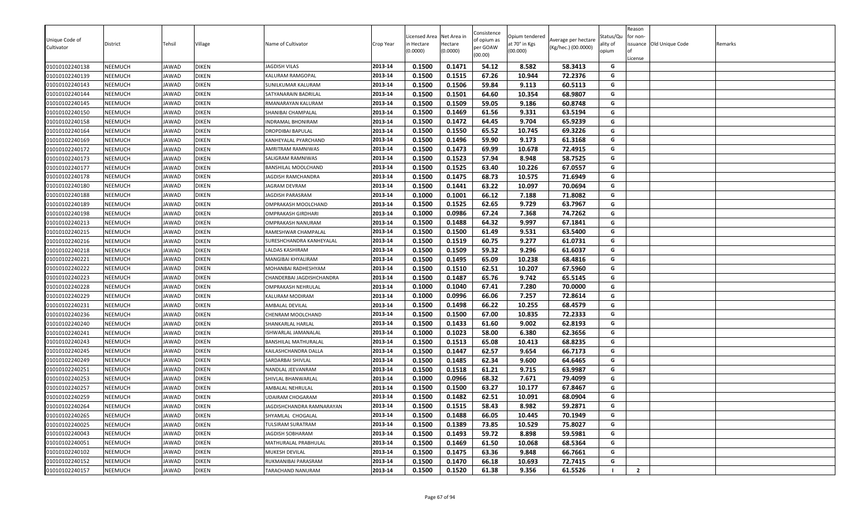|                              |                |              |              |                             |           | icensed Area | Net Area in | Consistence             | Opium tendered |                                            | Status/Qu | Reason<br>for non- |                          |         |
|------------------------------|----------------|--------------|--------------|-----------------------------|-----------|--------------|-------------|-------------------------|----------------|--------------------------------------------|-----------|--------------------|--------------------------|---------|
| Unique Code of<br>Cultivator | District       | Tehsil       | Village      | Name of Cultivator          | Crop Year | n Hectare    | Hectare     | of opium as<br>per GOAW | at 70° in Kgs  | Average per hectare<br>(Kg/hec.) (00.0000) | ality of  |                    | issuance Old Unique Code | Remarks |
|                              |                |              |              |                             |           | (0.0000)     | (0.0000)    | (00.00)                 | (00.000)       |                                            | opium     |                    |                          |         |
| 01010102240138               | <b>NEEMUCH</b> | JAWAD        | <b>DIKEN</b> | JAGDISH VILAS               | 2013-14   | 0.1500       | 0.1471      | 54.12                   | 8.582          | 58.3413                                    | G         | License            |                          |         |
| 01010102240139               | <b>NEEMUCH</b> | JAWAD        | <b>DIKEN</b> | KALURAM RAMGOPAL            | 2013-14   | 0.1500       | 0.1515      | 67.26                   | 10.944         | 72.2376                                    | G         |                    |                          |         |
| 01010102240143               | <b>NEEMUCH</b> | JAWAD        | <b>DIKEN</b> | SUNILKUMAR KALURAM          | 2013-14   | 0.1500       | 0.1506      | 59.84                   | 9.113          | 60.5113                                    | G         |                    |                          |         |
| 01010102240144               | NEEMUCH        | JAWAD        | <b>DIKEN</b> | SATYANARAIN BADRILAL        | 2013-14   | 0.1500       | 0.1501      | 64.60                   | 10.354         | 68.9807                                    | G         |                    |                          |         |
| 01010102240145               | <b>NEEMUCH</b> | JAWAD        | <b>DIKEN</b> | RMANARAYAN KALURAM          | 2013-14   | 0.1500       | 0.1509      | 59.05                   | 9.186          | 60.8748                                    | G         |                    |                          |         |
| 01010102240150               | <b>NEEMUCH</b> | JAWAD        | <b>DIKEN</b> | SHANIBAI CHAMPALAL          | 2013-14   | 0.1500       | 0.1469      | 61.56                   | 9.331          | 63.5194                                    | G         |                    |                          |         |
| 01010102240158               | <b>NEEMUCH</b> | JAWAD        | <b>DIKEN</b> | INDRAMAL BHONIRAM           | 2013-14   | 0.1500       | 0.1472      | 64.45                   | 9.704          | 65.9239                                    | G         |                    |                          |         |
| 01010102240164               | <b>NEEMUCH</b> | JAWAD        | <b>DIKEN</b> | DROPDIBAI BAPULAL           | 2013-14   | 0.1500       | 0.1550      | 65.52                   | 10.745         | 69.3226                                    | G         |                    |                          |         |
| 01010102240169               | <b>NEEMUCH</b> | JAWAD        | <b>DIKEN</b> | KANHEYALAL PYARCHAND        | 2013-14   | 0.1500       | 0.1496      | 59.90                   | 9.173          | 61.3168                                    | G         |                    |                          |         |
| 01010102240172               | <b>NEEMUCH</b> | <b>JAWAD</b> | <b>DIKEN</b> | AMRITRAM RAMNIWAS           | 2013-14   | 0.1500       | 0.1473      | 69.99                   | 10.678         | 72.4915                                    | G         |                    |                          |         |
| 01010102240173               | <b>NEEMUCH</b> | JAWAD        | <b>DIKEN</b> | SALIGRAM RAMNIWAS           | 2013-14   | 0.1500       | 0.1523      | 57.94                   | 8.948          | 58.7525                                    | G         |                    |                          |         |
| 01010102240177               | <b>NEEMUCH</b> | JAWAD        | <b>DIKEN</b> | BANSHILAL MOOLCHAND         | 2013-14   | 0.1500       | 0.1525      | 63.40                   | 10.226         | 67.0557                                    | G         |                    |                          |         |
| 01010102240178               | NEEMUCH        | JAWAD        | <b>DIKEN</b> | JAGDISH RAMCHANDRA          | 2013-14   | 0.1500       | 0.1475      | 68.73                   | 10.575         | 71.6949                                    | G         |                    |                          |         |
| 01010102240180               | NEEMUCH        | JAWAD        | <b>DIKEN</b> | JAGRAM DEVRAM               | 2013-14   | 0.1500       | 0.1441      | 63.22                   | 10.097         | 70.0694                                    | G         |                    |                          |         |
| 01010102240188               | <b>NEEMUCH</b> | JAWAD        | <b>DIKEN</b> | JAGDISH PARASRAM            | 2013-14   | 0.1000       | 0.1001      | 66.12                   | 7.188          | 71.8082                                    | G         |                    |                          |         |
| 01010102240189               | <b>NEEMUCH</b> | JAWAD        | <b>DIKEN</b> | OMPRAKASH MOOLCHAND         | 2013-14   | 0.1500       | 0.1525      | 62.65                   | 9.729          | 63.7967                                    | G         |                    |                          |         |
| 01010102240198               | <b>NEEMUCH</b> | JAWAD        | <b>DIKEN</b> | OMPRAKASH GIRDHARI          | 2013-14   | 0.1000       | 0.0986      | 67.24                   | 7.368          | 74.7262                                    | G         |                    |                          |         |
| 01010102240213               | <b>NEEMUCH</b> | JAWAD        | <b>DIKEN</b> | OMPRAKASH NANURAM           | 2013-14   | 0.1500       | 0.1488      | 64.32                   | 9.997          | 67.1841                                    | G         |                    |                          |         |
| 01010102240215               | <b>NEEMUCH</b> | <b>JAWAD</b> | <b>DIKEN</b> | RAMESHWAR CHAMPALAL         | 2013-14   | 0.1500       | 0.1500      | 61.49                   | 9.531          | 63.5400                                    | G         |                    |                          |         |
| 01010102240216               | NEEMUCH        | JAWAD        | <b>DIKEN</b> | SURESHCHANDRA KANHEYALAL    | 2013-14   | 0.1500       | 0.1519      | 60.75                   | 9.277          | 61.0731                                    | G         |                    |                          |         |
| 01010102240218               | <b>NEEMUCH</b> | JAWAD        | <b>DIKEN</b> | LALDAS KASHIRAM             | 2013-14   | 0.1500       | 0.1509      | 59.32                   | 9.296          | 61.6037                                    | G         |                    |                          |         |
| 01010102240221               | <b>NEEMUCH</b> | JAWAD        | <b>DIKEN</b> | MANGIBAI KHYALIRAM          | 2013-14   | 0.1500       | 0.1495      | 65.09                   | 10.238         | 68.4816                                    | G         |                    |                          |         |
| 01010102240222               | NEEMUCH        | JAWAD        | <b>DIKEN</b> | MOHANBAI RADHESHYAM         | 2013-14   | 0.1500       | 0.1510      | 62.51                   | 10.207         | 67.5960                                    | G         |                    |                          |         |
| 01010102240223               | <b>NEEMUCH</b> | JAWAD        | <b>DIKEN</b> | CHANDERBAI JAGDISHCHANDRA   | 2013-14   | 0.1500       | 0.1487      | 65.76                   | 9.742          | 65.5145                                    | G         |                    |                          |         |
| 01010102240228               | <b>NEEMUCH</b> | JAWAD        | <b>DIKEN</b> | OMPRAKASH NEHRULAL          | 2013-14   | 0.1000       | 0.1040      | 67.41                   | 7.280          | 70.0000                                    | G         |                    |                          |         |
| 01010102240229               | <b>NEEMUCH</b> | JAWAD        | <b>DIKEN</b> | KALURAM MODIRAM             | 2013-14   | 0.1000       | 0.0996      | 66.06                   | 7.257          | 72.8614                                    | G         |                    |                          |         |
| 01010102240231               | NEEMUCH        | JAWAD        | <b>DIKEN</b> | AMBALAL DEVILAL             | 2013-14   | 0.1500       | 0.1498      | 66.22                   | 10.255         | 68.4579                                    | G         |                    |                          |         |
| 01010102240236               | NEEMUCH        | JAWAD        | <b>DIKEN</b> | CHENRAM MOOLCHAND           | 2013-14   | 0.1500       | 0.1500      | 67.00                   | 10.835         | 72.2333                                    | G         |                    |                          |         |
| 01010102240240               | NEEMUCH        | JAWAD        | <b>DIKEN</b> | SHANKARLAL HARLAL           | 2013-14   | 0.1500       | 0.1433      | 61.60                   | 9.002          | 62.8193                                    | G         |                    |                          |         |
| 01010102240241               | <b>NEEMUCH</b> | JAWAD        | <b>DIKEN</b> | ISHWARLAL JAMANALAL         | 2013-14   | 0.1000       | 0.1023      | 58.00                   | 6.380          | 62.3656                                    | G         |                    |                          |         |
| 01010102240243               | <b>NEEMUCH</b> | JAWAD        | <b>DIKEN</b> | <b>BANSHILAL MATHURALAL</b> | 2013-14   | 0.1500       | 0.1513      | 65.08                   | 10.413         | 68.8235                                    | G         |                    |                          |         |
| 01010102240245               | <b>NEEMUCH</b> | JAWAD        | <b>DIKEN</b> | KAILASHCHANDRA DALLA        | 2013-14   | 0.1500       | 0.1447      | 62.57                   | 9.654          | 66.7173                                    | G         |                    |                          |         |
| 01010102240249               | <b>NEEMUCH</b> | JAWAD        | <b>DIKEN</b> | SARDARBAI SHIVLAL           | 2013-14   | 0.1500       | 0.1485      | 62.34                   | 9.600          | 64.6465                                    | G         |                    |                          |         |
| 01010102240251               | <b>NEEMUCH</b> | JAWAD        | <b>DIKEN</b> | NANDLAL JEEVANRAM           | 2013-14   | 0.1500       | 0.1518      | 61.21                   | 9.715          | 63.9987                                    | G         |                    |                          |         |
| 01010102240253               | <b>NEEMUCH</b> | JAWAD        | <b>DIKEN</b> | SHIVLAL BHANWARLAI          | 2013-14   | 0.1000       | 0.0966      | 68.32                   | 7.671          | 79.4099                                    | G         |                    |                          |         |
| 01010102240257               | NEEMUCH        | <b>JAWAD</b> | <b>DIKEN</b> | AMBALAL NEHRULAL            | 2013-14   | 0.1500       | 0.1500      | 63.27                   | 10.177         | 67.8467                                    | G         |                    |                          |         |
| 01010102240259               | NEEMUCH        | JAWAD        | <b>DIKEN</b> | JDAIRAM CHOGARAM            | 2013-14   | 0.1500       | 0.1482      | 62.51                   | 10.091         | 68.0904                                    | G         |                    |                          |         |
| 01010102240264               | <b>NEEMUCH</b> | JAWAD        | <b>DIKEN</b> | JAGDISHCHANDRA RAMNARAYAN   | 2013-14   | 0.1500       | 0.1515      | 58.43                   | 8.982          | 59.2871                                    | G         |                    |                          |         |
| 01010102240265               | <b>NEEMUCH</b> | JAWAD        | <b>DIKEN</b> | SHYAMLAL CHOGALAL           | 2013-14   | 0.1500       | 0.1488      | 66.05                   | 10.445         | 70.1949                                    | G         |                    |                          |         |
| 01010102240025               | <b>NEEMUCH</b> | JAWAD        | <b>DIKEN</b> | TULSIRAM SURATRAM           | 2013-14   | 0.1500       | 0.1389      | 73.85                   | 10.529         | 75.8027                                    | G         |                    |                          |         |
| 01010102240043               | <b>NEEMUCH</b> | JAWAD        | <b>DIKEN</b> | JAGDISH SOBHARAM            | 2013-14   | 0.1500       | 0.1493      | 59.72                   | 8.898          | 59.5981                                    | G         |                    |                          |         |
| 01010102240051               | <b>NEEMUCH</b> | JAWAD        | <b>DIKEN</b> | MATHURALAL PRABHULAL        | 2013-14   | 0.1500       | 0.1469      | 61.50                   | 10.068         | 68.5364                                    | G         |                    |                          |         |
| 01010102240102               | <b>NEEMUCH</b> | JAWAD        | <b>DIKEN</b> | MUKESH DEVILAL              | 2013-14   | 0.1500       | 0.1475      | 63.36                   | 9.848          | 66.7661                                    | G         |                    |                          |         |
| 01010102240152               | <b>NEEMUCH</b> | JAWAD        | <b>DIKEN</b> | RUKMANIBAI PARASRAM         | 2013-14   | 0.1500       | 0.1470      | 66.18                   | 10.693         | 72.7415                                    | G         |                    |                          |         |
| 01010102240157               | <b>NEEMUCH</b> | JAWAD        | <b>DIKEN</b> | TARACHAND NANURAM           | 2013-14   | 0.1500       | 0.1520      | 61.38                   | 9.356          | 61.5526                                    |           | $\overline{2}$     |                          |         |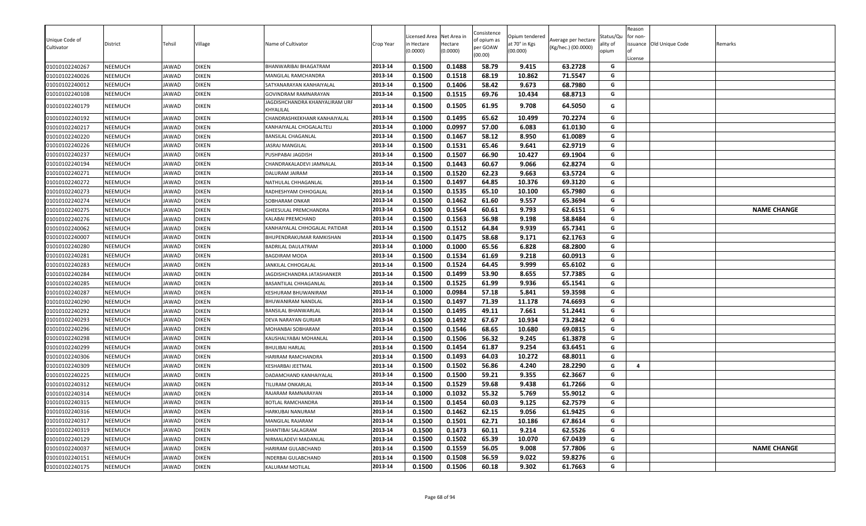| Unique Code of<br>Cultivator<br>01010102240267 | District<br>NEEMUCH       | Fehsil<br><b>JAWAD</b>       | ∕illage<br><b>DIKEN</b>      | Name of Cultivator                               | Crop Year          | icensed Area<br>ነ Hectare<br>(0.0000) | Net Area in<br>Hectare<br>(0.0000)<br>0.1488 | Consistence<br>of opium as<br>per GOAW<br>(00.00)<br>58.79 | Opium tendered<br>at 70° in Kgs<br>(00.000)<br>9.415 | Average per hectare<br>(Kg/hec.) (00.0000)<br>63.2728 | Status/Qu<br>ality of<br>opium<br>G | Reason<br>for non-<br>License | issuance Old Unique Code | Remarks            |
|------------------------------------------------|---------------------------|------------------------------|------------------------------|--------------------------------------------------|--------------------|---------------------------------------|----------------------------------------------|------------------------------------------------------------|------------------------------------------------------|-------------------------------------------------------|-------------------------------------|-------------------------------|--------------------------|--------------------|
|                                                |                           |                              |                              | BHANWARIBAI BHAGATRAM                            | 2013-14            | 0.1500                                |                                              |                                                            |                                                      |                                                       | G                                   |                               |                          |                    |
| 01010102240026<br>01010102240012               | NEEMUCH<br><b>NEEMUCH</b> | <b>JAWAD</b><br><b>JAWAD</b> | <b>DIKEN</b><br><b>DIKEN</b> | MANGILAL RAMCHANDRA                              | 2013-14<br>2013-14 | 0.1500<br>0.1500                      | 0.1518<br>0.1406                             | 68.19<br>58.42                                             | 10.862<br>9.673                                      | 71.5547<br>68.7980                                    | G                                   |                               |                          |                    |
|                                                | NEEMUCH                   | JAWAD                        | <b>DIKEN</b>                 | SATYANARAYAN KANHAIYALAL<br>GOVINDRAM RAMNARAYAN | 2013-14            | 0.1500                                | 0.1515                                       | 69.76                                                      | 10.434                                               | 68.8713                                               | G                                   |                               |                          |                    |
| 01010102240108<br>01010102240179               | NEEMUCH                   | JAWAD                        | <b>DIKEN</b>                 | JAGDISHCHANDRA KHANYALIRAM URF<br>KHYALILAL      | 2013-14            | 0.1500                                | 0.1505                                       | 61.95                                                      | 9.708                                                | 64.5050                                               | G                                   |                               |                          |                    |
| 01010102240192                                 | NEEMUCH                   | JAWAD                        | <b>DIKEN</b>                 | CHANDRASHKEKHANR KANHAIYALAL                     | 2013-14            | 0.1500                                | 0.1495                                       | 65.62                                                      | 10.499                                               | 70.2274                                               | G                                   |                               |                          |                    |
| 01010102240217                                 | NEEMUCH                   | JAWAD                        | <b>DIKEN</b>                 | KANHAIYALAL CHOGALALTELI                         | 2013-14            | 0.1000                                | 0.0997                                       | 57.00                                                      | 6.083                                                | 61.0130                                               | G                                   |                               |                          |                    |
| 01010102240220                                 | NEEMUCH                   | JAWAD                        | <b>DIKEN</b>                 | BANSILAL CHAGANLAL                               | 2013-14            | 0.1500                                | 0.1467                                       | 58.12                                                      | 8.950                                                | 61.0089                                               | G                                   |                               |                          |                    |
| 01010102240226                                 | NEEMUCH                   | JAWAD                        | <b>DIKEN</b>                 | JASRAJ MANGILAL                                  | 2013-14            | 0.1500                                | 0.1531                                       | 65.46                                                      | 9.641                                                | 62.9719                                               | G                                   |                               |                          |                    |
| 01010102240237                                 | <b>NEEMUCH</b>            | JAWAD                        | <b>DIKEN</b>                 | PUSHPABAI JAGDISH                                | 2013-14            | 0.1500                                | 0.1507                                       | 66.90                                                      | 10.427                                               | 69.1904                                               | G                                   |                               |                          |                    |
| 01010102240194                                 | <b>NEEMUCH</b>            | JAWAD                        | <b>DIKEN</b>                 | CHANDRAKALADEVI JAMNALAL                         | 2013-14            | 0.1500                                | 0.1443                                       | 60.67                                                      | 9.066                                                | 62.8274                                               | G                                   |                               |                          |                    |
| 01010102240271                                 | <b>NEEMUCH</b>            | JAWAD                        | <b>DIKEN</b>                 | DALURAM JAIRAM                                   | 2013-14            | 0.1500                                | 0.1520                                       | 62.23                                                      | 9.663                                                | 63.5724                                               | G                                   |                               |                          |                    |
| 01010102240272                                 | NEEMUCH                   | <b>AWAD</b>                  | <b>DIKEN</b>                 | NATHULAL CHHAGANLAL                              | 2013-14            | 0.1500                                | 0.1497                                       | 64.85                                                      | 10.376                                               | 69.3120                                               | G                                   |                               |                          |                    |
| 01010102240273                                 | NEEMUCH                   | AWAD                         | <b>DIKEN</b>                 | RADHESHYAM CHHOGALAL                             | 2013-14            | 0.1500                                | 0.1535                                       | 65.10                                                      | 10.100                                               | 65.7980                                               | G                                   |                               |                          |                    |
| 01010102240274                                 | NEEMUCH                   | JAWAD                        | <b>DIKEN</b>                 | SOBHARAM ONKAR                                   | 2013-14            | 0.1500                                | 0.1462                                       | 61.60                                                      | 9.557                                                | 65.3694                                               | G                                   |                               |                          |                    |
| 01010102240275                                 | NEEMUCH                   | JAWAD                        | <b>DIKEN</b>                 | GHEESULAL PREMCHANDRA                            | 2013-14            | 0.1500                                | 0.1564                                       | 60.61                                                      | 9.793                                                | 62.6151                                               | G                                   |                               |                          | <b>NAME CHANGE</b> |
| 01010102240276                                 | NEEMUCH                   | JAWAD                        | <b>DIKEN</b>                 | KALABAI PREMCHAND                                | 2013-14            | 0.1500                                | 0.1563                                       | 56.98                                                      | 9.198                                                | 58.8484                                               | G                                   |                               |                          |                    |
| 01010102240062                                 | NEEMUCH                   | JAWAD                        | <b>DIKEN</b>                 | KANHAIYALAL CHHOGALAL PATIDAR                    | 2013-14            | 0.1500                                | 0.1512                                       | 64.84                                                      | 9.939                                                | 65.7341                                               | G                                   |                               |                          |                    |
| 01010102240007                                 | NEEMUCH                   | JAWAD                        | <b>DIKEN</b>                 | BHUPENDRAKUMAR RAMKISHAN                         | 2013-14            | 0.1500                                | 0.1475                                       | 58.68                                                      | 9.171                                                | 62.1763                                               | G                                   |                               |                          |                    |
| 01010102240280                                 | NEEMUCH                   | <b>JAWAD</b>                 | <b>DIKEN</b>                 | BADRILAL DAULATRAM                               | 2013-14            | 0.1000                                | 0.1000                                       | 65.56                                                      | 6.828                                                | 68.2800                                               | G                                   |                               |                          |                    |
| 01010102240281                                 | <b>NEEMUCH</b>            | <b>JAWAD</b>                 | <b>DIKEN</b>                 | <b>BAGDIRAM MODA</b>                             | 2013-14            | 0.1500                                | 0.1534                                       | 61.69                                                      | 9.218                                                | 60.0913                                               | G                                   |                               |                          |                    |
| 01010102240283                                 | NEEMUCH                   | <b>AWAD</b>                  | <b>DIKEN</b>                 | JANKILAL CHHOGALAL                               | 2013-14            | 0.1500                                | 0.1524                                       | 64.45                                                      | 9.999                                                | 65.6102                                               | G                                   |                               |                          |                    |
| 01010102240284                                 | NEEMUCH                   | <b>AWAD</b>                  | <b>DIKEN</b>                 | JAGDISHCHANDRA JATASHANKER                       | 2013-14            | 0.1500                                | 0.1499                                       | 53.90                                                      | 8.655                                                | 57.7385                                               | G                                   |                               |                          |                    |
| 01010102240285                                 | <b>NEEMUCH</b>            | <b>JAWAD</b>                 | <b>DIKEN</b>                 | BASANTILAL CHHAGANLAI                            | 2013-14            | 0.1500                                | 0.1525                                       | 61.99                                                      | 9.936                                                | 65.1541                                               | G                                   |                               |                          |                    |
| 01010102240287                                 | <b>NEEMUCH</b>            | JAWAD                        | <b>DIKEN</b>                 | KESHURAM BHUWANIRAM                              | 2013-14            | 0.1000                                | 0.0984                                       | 57.18                                                      | 5.841                                                | 59.3598                                               | G                                   |                               |                          |                    |
| 01010102240290                                 | <b>NEEMUCH</b>            | JAWAD                        | <b>DIKEN</b>                 | BHUWANIRAM NANDLAL                               | 2013-14            | 0.1500                                | 0.1497                                       | 71.39                                                      | 11.178                                               | 74.6693                                               | G                                   |                               |                          |                    |
| 01010102240292                                 | NEEMUCH                   | JAWAD                        | <b>DIKEN</b>                 | BANSILAL BHANWARLAL                              | 2013-14            | 0.1500                                | 0.1495                                       | 49.11                                                      | 7.661                                                | 51.2441                                               | G                                   |                               |                          |                    |
| 01010102240293                                 | NEEMUCH                   | <b>JAWAD</b>                 | <b>DIKEN</b>                 | DEVA NARAYAN GURJAR                              | 2013-14            | 0.1500                                | 0.1492                                       | 67.67                                                      | 10.934                                               | 73.2842                                               | G                                   |                               |                          |                    |
| 01010102240296                                 | NEEMUCH                   | <b>AWAD</b>                  | <b>DIKEN</b>                 | <b>MOHANBAI SOBHARAM</b>                         | 2013-14            | 0.1500                                | 0.1546                                       | 68.65                                                      | 10.680                                               | 69.0815                                               | G                                   |                               |                          |                    |
| 01010102240298                                 | NEEMUCH                   | <b>AWAD</b>                  | <b>DIKEN</b>                 | KAUSHALYABAI MOHANLAL                            | 2013-14            | 0.1500                                | 0.1506                                       | 56.32                                                      | 9.245                                                | 61.3878                                               | G                                   |                               |                          |                    |
| 01010102240299                                 | NEEMUCH                   | <b>AWAD</b>                  | <b>DIKEN</b>                 | BHULIBAI HARLAL                                  | 2013-14            | 0.1500                                | 0.1454                                       | 61.87                                                      | 9.254                                                | 63.6451                                               | G                                   |                               |                          |                    |
| 01010102240306                                 | NEEMUCH                   | JAWAD                        | <b>DIKEN</b>                 | HARIRAM RAMCHANDRA                               | 2013-14            | 0.1500                                | 0.1493                                       | 64.03                                                      | 10.272                                               | 68.8011                                               | G                                   |                               |                          |                    |
| 01010102240309                                 | NEEMUCH                   | JAWAD                        | <b>DIKEN</b>                 | KESHARBAI JEETMAL                                | 2013-14            | 0.1500                                | 0.1502                                       | 56.86                                                      | 4.240                                                | 28.2290                                               | G                                   | $\overline{a}$                |                          |                    |
| 01010102240225                                 | NEEMUCH                   | JAWAD                        | <b>DIKEN</b>                 | DADAMCHAND KANHAIYALAL                           | 2013-14            | 0.1500                                | 0.1500                                       | 59.21                                                      | 9.355                                                | 62.3667                                               | G                                   |                               |                          |                    |
| 01010102240312                                 | NEEMUCH                   | <b>JAWAD</b>                 | <b>DIKEN</b>                 | TILURAM ONKARLAL                                 | 2013-14            | 0.1500                                | 0.1529                                       | 59.68                                                      | 9.438                                                | 61.7266                                               | G                                   |                               |                          |                    |
| 01010102240314                                 | NEEMUCH                   | <b>JAWAD</b>                 | <b>DIKEN</b>                 | RAJARAM RAMNARAYAN                               | 2013-14            | 0.1000                                | 0.1032                                       | 55.32                                                      | 5.769                                                | 55.9012                                               | G                                   |                               |                          |                    |
| 01010102240315                                 | NEEMUCH                   | JAWAD                        | <b>DIKEN</b>                 | BOTLAL RAMCHANDRA                                | 2013-14            | 0.1500                                | 0.1454                                       | 60.03                                                      | 9.125                                                | 62.7579                                               | G                                   |                               |                          |                    |
| 01010102240316                                 | NEEMUCH                   | JAWAD                        | <b>DIKEN</b>                 | HARKUBAI NANURAM                                 | 2013-14            | 0.1500                                | 0.1462                                       | 62.15                                                      | 9.056                                                | 61.9425                                               | G                                   |                               |                          |                    |
| 01010102240317                                 | NEEMUCH                   | <b>AWAD</b>                  | <b>DIKEN</b>                 | MANGILAL RAJARAM                                 | 2013-14            | 0.1500                                | 0.1501                                       | 62.71                                                      | 10.186                                               | 67.8614                                               | G                                   |                               |                          |                    |
| 01010102240319                                 | <b>NEEMUCH</b>            | JAWAD                        | <b>DIKEN</b>                 | SHANTIBAI SALAGRAM                               | 2013-14            | 0.1500                                | 0.1473                                       | 60.11                                                      | 9.214                                                | 62.5526                                               | G                                   |                               |                          |                    |
| 01010102240129                                 | NEEMUCH                   | <b>JAWAD</b>                 | <b>DIKEN</b>                 | NIRMALADEVI MADANLAL                             | 2013-14            | 0.1500                                | 0.1502                                       | 65.39                                                      | 10.070                                               | 67.0439                                               | G                                   |                               |                          |                    |
| 01010102240037                                 | NEEMUCH                   | <b>IAWAD</b>                 | <b>DIKEN</b>                 | HARIRAM GULABCHAND                               | 2013-14            | 0.1500                                | 0.1559                                       | 56.05                                                      | 9.008                                                | 57.7806                                               | G                                   |                               |                          | <b>NAME CHANGE</b> |
| 01010102240151                                 | NEEMUCH                   | JAWAD                        | <b>DIKEN</b>                 | <b>NDERBAI GULABCHAND</b>                        | 2013-14            | 0.1500                                | 0.1508                                       | 56.59                                                      | 9.022                                                | 59.8276                                               | G                                   |                               |                          |                    |
| 01010102240175                                 | NEEMUCH                   | JAWAD                        | <b>DIKEN</b>                 | KALURAM MOTILAL                                  | 2013-14            | 0.1500                                | 0.1506                                       | 60.18                                                      | 9.302                                                | 61.7663                                               | G                                   |                               |                          |                    |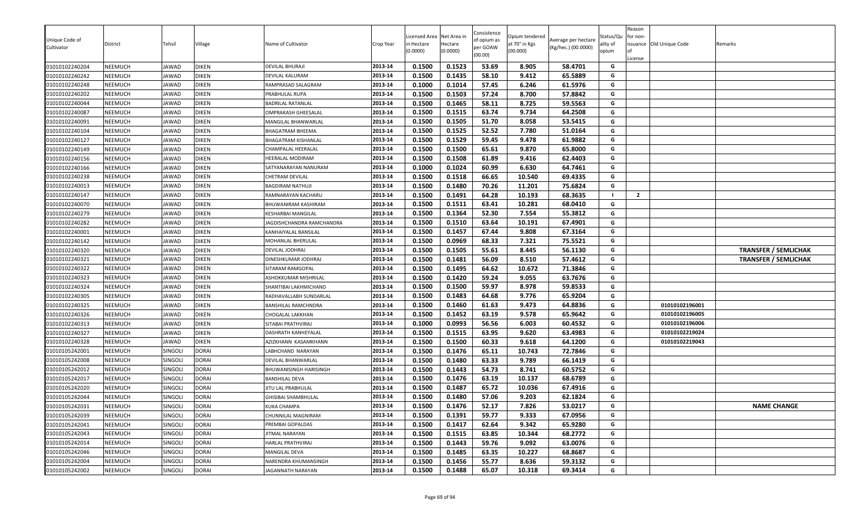| Unique Code of<br>Cultivator     | District                         | Tehsil                    | Village                      | Name of Cultivator                                 | Crop Year          | icensed Area<br>n Hectare<br>0.0000) | Net Area in<br>Hectare<br>(0.0000) | Consistence<br>of opium as<br>per GOAW<br>(00.00) | Opium tendered<br>at 70° in Kgs<br>(00.000) | Average per hectare<br>(Kg/hec.) (00.0000) | Status/Qu<br>ality of<br>opium | Reason<br>for non-<br>issuance Old Unique Code<br>License | Remarks                     |
|----------------------------------|----------------------------------|---------------------------|------------------------------|----------------------------------------------------|--------------------|--------------------------------------|------------------------------------|---------------------------------------------------|---------------------------------------------|--------------------------------------------|--------------------------------|-----------------------------------------------------------|-----------------------------|
| 01010102240204                   | <b>NEEMUCH</b>                   | JAWAD                     | <b>DIKEN</b>                 | DEVILAL BHURAJI                                    | 2013-14            | 0.1500                               | 0.1523                             | 53.69                                             | 8.905                                       | 58.4701                                    | G                              |                                                           |                             |
| 01010102240242                   | <b>NEEMUCH</b>                   | <b>JAWAD</b>              | DIKEN                        | DEVILAL KALURAM                                    | 2013-14            | 0.1500                               | 0.1435                             | 58.10                                             | 9.412                                       | 65.5889                                    | G                              |                                                           |                             |
| 01010102240248                   | <b>NEEMUCH</b>                   | JAWAD                     | <b>DIKEN</b>                 | RAMPRASAD SALAGRAM                                 | 2013-14            | 0.1000                               | 0.1014                             | 57.45                                             | 6.246                                       | 61.5976                                    | G                              |                                                           |                             |
| 01010102240202                   | <b>NEEMUCH</b>                   | JAWAD                     | DIKEN                        | PRABHULAL RUPA                                     | 2013-14            | 0.1500                               | 0.1503                             | 57.24                                             | 8.700                                       | 57.8842                                    | G                              |                                                           |                             |
| 01010102240044                   | <b>NEEMUCH</b>                   | <b>JAWAD</b>              | <b>DIKEN</b>                 | <b>BADRILAL RATANLAL</b>                           | 2013-14            | 0.1500                               | 0.1465                             | 58.11                                             | 8.725                                       | 59.5563                                    | G                              |                                                           |                             |
| 01010102240087                   | <b>NEEMUCH</b>                   | JAWAD                     | <b>DIKEN</b>                 | OMPRAKASH GHEESALAL                                | 2013-14            | 0.1500                               | 0.1515                             | 63.74                                             | 9.734                                       | 64.2508                                    | G                              |                                                           |                             |
| 01010102240091                   | <b>NEEMUCH</b>                   | JAWAD                     | <b>DIKEN</b>                 | MANGILAL BHANWARLAL                                | 2013-14            | 0.1500                               | 0.1505                             | 51.70                                             | 8.058                                       | 53.5415                                    | G                              |                                                           |                             |
| 01010102240104                   | <b>NEEMUCH</b>                   | JAWAD                     | <b>DIKEN</b>                 | BHAGATRAM BHEEMA                                   | 2013-14            | 0.1500                               | 0.1525                             | 52.52                                             | 7.780                                       | 51.0164                                    | G                              |                                                           |                             |
| 01010102240127                   | NEEMUCH                          | JAWAD                     | <b>DIKEN</b>                 | BHAGATRAM KISHANLAL                                | 2013-14            | 0.1500                               | 0.1529                             | 59.45                                             | 9.478                                       | 61.9882                                    | G                              |                                                           |                             |
| 01010102240149                   | <b>NEEMUCH</b>                   | JAWAD                     | <b>DIKEN</b>                 | CHAMPALAL HEERALAI                                 | 2013-14            | 0.1500                               | 0.1500                             | 65.61                                             | 9.870                                       | 65.8000                                    | G                              |                                                           |                             |
| 01010102240156                   | <b>NEEMUCH</b>                   | JAWAD                     | <b>DIKEN</b>                 | HEERALAL MODIRAM                                   | 2013-14            | 0.1500                               | 0.1508                             | 61.89                                             | 9.416                                       | 62.4403                                    | G                              |                                                           |                             |
| 01010102240166                   | <b>NEEMUCH</b>                   | JAWAD                     | DIKEN                        | SATYANARAYAN NANURAM                               | 2013-14            | 0.1000                               | 0.1024                             | 60.99                                             | 6.630                                       | 64.7461                                    | G                              |                                                           |                             |
| 01010102240238                   | <b>NEEMUCH</b>                   | JAWAD                     | DIKEN                        | CHETRAM DEVILAL                                    | 2013-14            | 0.1500                               | 0.1518                             | 66.65                                             | 10.540                                      | 69.4335                                    | G                              |                                                           |                             |
| 01010102240013                   | <b>NEEMUCH</b>                   | <b>JAWAD</b>              | DIKEN                        | <b>BAGDIRAM NATHUJI</b>                            | 2013-14            | 0.1500                               | 0.1480                             | 70.26                                             | 11.201                                      | 75.6824                                    | G                              |                                                           |                             |
| 01010102240147                   | <b>NEEMUCH</b>                   | JAWAD                     | <b>DIKEN</b>                 | RAMNARAYAN KACHARU                                 | 2013-14            | 0.1500                               | 0.1491                             | 64.28                                             | 10.193                                      | 68.3635                                    | - 1                            | $\overline{2}$                                            |                             |
| 01010102240070                   | <b>NEEMUCH</b>                   | JAWAD                     | <b>DIKEN</b>                 | BHUWANIRAM KASHIRAM                                | 2013-14            | 0.1500                               | 0.1511                             | 63.41                                             | 10.281                                      | 68.0410                                    | G                              |                                                           |                             |
| 01010102240279                   | <b>NEEMUCH</b>                   | JAWAD                     | <b>DIKEN</b>                 | KESHARBAI MANGILAL                                 | 2013-14            | 0.1500                               | 0.1364                             | 52.30                                             | 7.554                                       | 55.3812                                    | G                              |                                                           |                             |
| 01010102240282                   | NEEMUCH                          | JAWAD                     | <b>DIKEN</b>                 | JAGDISHCHANDRA RAMCHANDRA                          | 2013-14            | 0.1500                               | 0.1510                             | 63.64                                             | 10.191                                      | 67.4901                                    | G                              |                                                           |                             |
| 01010102240001                   | <b>NEEMUCH</b>                   | JAWAD                     | <b>DIKEN</b>                 | KANHAIYALAL BANSILAL                               | 2013-14            | 0.1500                               | 0.1457                             | 67.44                                             | 9.808                                       | 67.3164                                    | G                              |                                                           |                             |
| 01010102240142                   | <b>NEEMUCH</b>                   | JAWAD                     | DIKEN                        | MOHANLAL BHERULAL                                  | 2013-14            | 0.1500                               | 0.0969                             | 68.33                                             | 7.321                                       | 75.5521                                    | G                              |                                                           |                             |
| 01010102240320                   | <b>NEEMUCH</b>                   | <b>JAWAD</b>              | DIKEN                        | DEVILAL JODHRAJ                                    | 2013-14            | 0.1500                               | 0.1505                             | 55.61                                             | 8.445                                       | 56.1130                                    | G                              |                                                           | <b>TRANSFER / SEMLICHAK</b> |
| 01010102240321                   | NEEMUCH                          | JAWAD                     | DIKEN                        | DINESHKUMAR JODHRAJ                                | 2013-14            | 0.1500                               | 0.1481                             | 56.09                                             | 8.510                                       | 57.4612                                    | G                              |                                                           | <b>TRANSFER / SEMLICHAK</b> |
| 01010102240322                   | <b>NEEMUCH</b>                   | <b>JAWAD</b>              | <b>DIKEN</b>                 | SITARAM RAMGOPAL                                   | 2013-14            | 0.1500                               | 0.1495                             | 64.62                                             | 10.672                                      | 71.3846                                    | G                              |                                                           |                             |
| 01010102240323                   | <b>NEEMUCH</b>                   | JAWAD                     | <b>DIKEN</b>                 | ASHOKKUMAR MISHRILAL                               | 2013-14            | 0.1500                               | 0.1420                             | 59.24                                             | 9.055                                       | 63.7676                                    | G                              |                                                           |                             |
| 01010102240324                   | <b>NEEMUCH</b>                   | JAWAD                     | <b>DIKEN</b>                 | SHANTIBAI LAKHMICHAND                              | 2013-14            | 0.1500                               | 0.1500                             | 59.97                                             | 8.978                                       | 59.8533                                    | G                              |                                                           |                             |
| 01010102240305                   | <b>NEEMUCH</b>                   | JAWAD                     | <b>DIKEN</b>                 | RADHAVALLABH SUNDARLAL                             | 2013-14            | 0.1500                               | 0.1483                             | 64.68                                             | 9.776                                       | 65.9204                                    | G                              |                                                           |                             |
| 01010102240325                   | <b>NEEMUCH</b>                   | JAWAD                     | <b>DIKEN</b>                 | <b>BANSHILAL RAMCHNDRA</b>                         | 2013-14            | 0.1500                               | 0.1460                             | 61.63                                             | 9.473                                       | 64.8836                                    | G                              | 01010102196001                                            |                             |
| 01010102240326                   | <b>NEEMUCH</b>                   | <b>JAWAD</b>              | DIKEN                        | CHOGALAL LAKKHAN                                   | 2013-14            | 0.1500                               | 0.1452                             | 63.19                                             | 9.578                                       | 65.9642                                    | G                              | 01010102196005                                            |                             |
| 01010102240313                   | <b>NEEMUCH</b>                   | JAWAD                     | DIKEN                        | SITABAI PRATHVIRAJ                                 | 2013-14            | 0.1000                               | 0.0993                             | 56.56                                             | 6.003                                       | 60.4532                                    | G                              | 01010102196006                                            |                             |
| 01010102240327                   | <b>NEEMUCH</b>                   | JAWAD                     | <b>DIKEN</b>                 | DASHRATH KANHEYALAL                                | 2013-14            | 0.1500                               | 0.1515                             | 63.95                                             | 9.620                                       | 63.4983                                    | G                              | 01010102219024                                            |                             |
| 01010102240328                   | <b>NEEMUCH</b>                   | JAWAD                     | <b>DIKEN</b>                 | AZIZKHANN KASAMKHANN                               | 2013-14            | 0.1500                               | 0.1500                             | 60.33                                             | 9.618                                       | 64.1200                                    | G                              | 01010102219043                                            |                             |
| 01010105242001                   | <b>NEEMUCH</b>                   | SINGOLI                   | <b>DORAI</b>                 | LABHCHAND NARAYAN                                  | 2013-14            | 0.1500                               | 0.1476                             | 65.11                                             | 10.743                                      | 72.7846                                    | G<br>G                         |                                                           |                             |
| 01010105242008                   | <b>NEEMUCH</b>                   | <b>SINGOLI</b>            | <b>DORAI</b>                 | DEVILAL BHANWARLAL                                 | 2013-14            | 0.1500                               | 0.1480                             | 63.33                                             | 9.789                                       | 66.1419                                    | G                              |                                                           |                             |
| 01010105242012                   | <b>NEEMUCH</b>                   | SINGOLI                   | <b>DORAI</b>                 | BHUWANISINGH HARISINGH                             | 2013-14            | 0.1500                               | 0.1443                             | 54.73                                             | 8.741                                       | 60.5752                                    | G                              |                                                           |                             |
| 01010105242017<br>01010105242020 | <b>NEEMUCH</b>                   | SINGOLI                   | <b>DORAI</b><br><b>DORAI</b> | <b>BANSHILAL DEVA</b><br><b>JITU LAL PRABHULAL</b> | 2013-14<br>2013-14 | 0.1500<br>0.1500                     | 0.1476<br>0.1487                   | 63.19<br>65.72                                    | 10.137<br>10.036                            | 68.6789<br>67.4916                         | G                              |                                                           |                             |
|                                  | <b>NEEMUCH</b>                   | <b>SINGOLI</b><br>SINGOLI | <b>DORAI</b>                 |                                                    | 2013-14            |                                      |                                    |                                                   |                                             |                                            | G                              |                                                           |                             |
| 01010105242044                   | <b>NEEMUCH</b><br><b>NEEMUCH</b> | SINGOLI                   | <b>DORAI</b>                 | GHISIBAI SHAMBHULAI<br>KUKA CHAMPA                 | 2013-14            | 0.1500<br>0.1500                     | 0.1480<br>0.1476                   | 57.06<br>52.17                                    | 9.203<br>7.826                              | 62.1824<br>53.0217                         | G                              |                                                           | <b>NAME CHANGE</b>          |
| 01010105242031                   |                                  |                           |                              |                                                    | 2013-14            |                                      | 0.1391                             |                                                   |                                             |                                            | G                              |                                                           |                             |
| 01010105242039                   | <b>NEEMUCH</b>                   | SINGOLI                   | <b>DORAI</b>                 | CHUNNILAL MAGNIRAM                                 |                    | 0.1500                               |                                    | 59.77                                             | 9.333                                       | 67.0956                                    |                                |                                                           |                             |
| 01010105242041                   | <b>NEEMUCH</b>                   | SINGOLI                   | <b>DORAI</b>                 | PREMBAI GOPALDAS                                   | 2013-14<br>2013-14 | 0.1500                               | 0.1417                             | 62.64                                             | 9.342                                       | 65.9280                                    | G<br>G                         |                                                           |                             |
| 01010105242043<br>01010105242014 | <b>NEEMUCH</b>                   | SINGOLI                   | <b>DORAI</b>                 | <b>JITMAL NARAYAN</b>                              |                    | 0.1500                               | 0.1515                             | 63.85                                             | 10.344                                      | 68.2772                                    |                                |                                                           |                             |
|                                  | <b>NEEMUCH</b>                   | SINGOLI                   | <b>DORAI</b>                 | HARLAL PRATHVIRAJ                                  | 2013-14            | 0.1500<br>0.1500                     | 0.1443<br>0.1485                   | 59.76<br>63.35                                    | 9.092<br>10.227                             | 63.0076<br>68.8687                         | G<br>G                         |                                                           |                             |
| 01010105242046<br>01010105242004 | <b>NEEMUCH</b>                   | SINGOLI<br>SINGOLI        | <b>DORAI</b><br><b>DORAI</b> | MANGILAL DEVA                                      | 2013-14<br>2013-14 | 0.1500                               | 0.1456                             | 55.77                                             | 8.636                                       | 59.3132                                    | G                              |                                                           |                             |
|                                  | <b>NEEMUCH</b>                   |                           |                              | NARENDRA KHUMANSINGH                               |                    |                                      |                                    | 65.07                                             |                                             |                                            | G                              |                                                           |                             |
| 01010105242002                   | <b>NEEMUCH</b>                   | SINGOLI                   | <b>DORAI</b>                 | JAGANNATH NARAYAN                                  | 2013-14            | 0.1500                               | 0.1488                             |                                                   | 10.318                                      | 69.3414                                    |                                |                                                           |                             |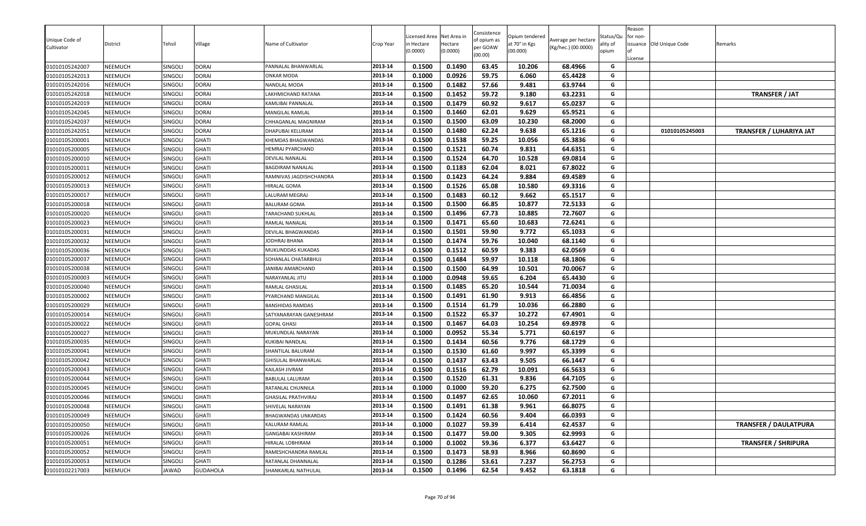| Unique Code of<br>Cultivator | District       | Tehsil         | Village         | Name of Cultivator      | Crop Year | icensed Area<br>n Hectare<br>0.0000) | Net Area in<br>Hectare<br>(0.0000) | Consistence<br>of opium as<br>per GOAW<br>(00.00) | Opium tendered<br>at 70° in Kgs<br>(00.000) | Average per hectare<br>(Kg/hec.) (00.0000) | Status/Qu<br>ality of<br>opium | Reason<br>for non-<br>issuance Old Unique Code<br>License | Remarks                        |
|------------------------------|----------------|----------------|-----------------|-------------------------|-----------|--------------------------------------|------------------------------------|---------------------------------------------------|---------------------------------------------|--------------------------------------------|--------------------------------|-----------------------------------------------------------|--------------------------------|
| 01010105242007               | <b>NEEMUCH</b> | <b>SINGOLI</b> | <b>DORAI</b>    | PANNALAL BHANWARLAL     | 2013-14   | 0.1500                               | 0.1490                             | 63.45                                             | 10.206                                      | 68.4966                                    | G                              |                                                           |                                |
| 01010105242013               | <b>NEEMUCH</b> | <b>SINGOLI</b> | <b>DORAI</b>    | ONKAR MODA              | 2013-14   | 0.1000                               | 0.0926                             | 59.75                                             | 6.060                                       | 65.4428                                    | G                              |                                                           |                                |
| 01010105242016               | <b>NEEMUCH</b> | SINGOLI        | <b>DORAI</b>    | NANDLAL MODA            | 2013-14   | 0.1500                               | 0.1482                             | 57.66                                             | 9.481                                       | 63.9744                                    | G                              |                                                           |                                |
| 01010105242018               | <b>NEEMUCH</b> | SINGOLI        | <b>DORAI</b>    | LAKHMICHAND RATANA      | 2013-14   | 0.1500                               | 0.1452                             | 59.72                                             | 9.180                                       | 63.2231                                    | G                              |                                                           | <b>TRANSFER / JAT</b>          |
| 01010105242019               | <b>NEEMUCH</b> | SINGOLI        | <b>DORAI</b>    | KAMLIBAI PANNALAL       | 2013-14   | 0.1500                               | 0.1479                             | 60.92                                             | 9.617                                       | 65.0237                                    | G                              |                                                           |                                |
| 01010105242045               | <b>NEEMUCH</b> | <b>SINGOLI</b> | <b>DORAI</b>    | MANGILAL RAMLAL         | 2013-14   | 0.1500                               | 0.1460                             | 62.01                                             | 9.629                                       | 65.9521                                    | G                              |                                                           |                                |
| 01010105242037               | <b>NEEMUCH</b> | SINGOLI        | <b>DORAI</b>    | CHHAGANLAL MAGNIRAM     | 2013-14   | 0.1500                               | 0.1500                             | 63.09                                             | 10.230                                      | 68.2000                                    | G                              |                                                           |                                |
| 01010105242051               | <b>NEEMUCH</b> | SINGOLI        | <b>DORAI</b>    | DHAPUBAI KELURAM        | 2013-14   | 0.1500                               | 0.1480                             | 62.24                                             | 9.638                                       | 65.1216                                    | G                              | 01010105245003                                            | <b>TRANSFER / LUHARIYA JAT</b> |
| 01010105200001               | <b>NEEMUCH</b> | SINGOLI        | <b>GHATI</b>    | KHEMDAS BHAGWANDAS      | 2013-14   | 0.1500                               | 0.1538                             | 59.25                                             | 10.056                                      | 65.3836                                    | G                              |                                                           |                                |
| 01010105200005               | <b>NEEMUCH</b> | SINGOLI        | <b>GHATI</b>    | HEMRAJ PYARCHAND        | 2013-14   | 0.1500                               | 0.1521                             | 60.74                                             | 9.831                                       | 64.6351                                    | G                              |                                                           |                                |
| 01010105200010               | <b>NEEMUCH</b> | SINGOLI        | GHATI           | DEVILAL NANALAL         | 2013-14   | 0.1500                               | 0.1524                             | 64.70                                             | 10.528                                      | 69.0814                                    | G                              |                                                           |                                |
| 01010105200011               | <b>NEEMUCH</b> | SINGOLI        | <b>GHATI</b>    | BAGDIRAM NANALAL        | 2013-14   | 0.1500                               | 0.1183                             | 62.04                                             | 8.021                                       | 67.8022                                    | G                              |                                                           |                                |
| 01010105200012               | <b>NEEMUCH</b> | <b>SINGOLI</b> | <b>GHATI</b>    | RAMNIVAS JAGDISHCHANDRA | 2013-14   | 0.1500                               | 0.1423                             | 64.24                                             | 9.884                                       | 69.4589                                    | G                              |                                                           |                                |
| 01010105200013               | <b>NEEMUCH</b> | SINGOLI        | <b>GHATI</b>    | HIRALAL GOMA            | 2013-14   | 0.1500                               | 0.1526                             | 65.08                                             | 10.580                                      | 69.3316                                    | G                              |                                                           |                                |
| 01010105200017               | <b>NEEMUCH</b> | <b>SINGOLI</b> | <b>GHATI</b>    | LALURAM MEGRAJ          | 2013-14   | 0.1500                               | 0.1483                             | 60.12                                             | 9.662                                       | 65.1517                                    | G                              |                                                           |                                |
| 01010105200018               | <b>NEEMUCH</b> | <b>SINGOLI</b> | <b>GHATI</b>    | <b>BALURAM GOMA</b>     | 2013-14   | 0.1500                               | 0.1500                             | 66.85                                             | 10.877                                      | 72.5133                                    | G                              |                                                           |                                |
| 01010105200020               | <b>NEEMUCH</b> | SINGOLI        | <b>GHATI</b>    | TARACHAND SUKHLAL       | 2013-14   | 0.1500                               | 0.1496                             | 67.73                                             | 10.885                                      | 72.7607                                    | G                              |                                                           |                                |
| 01010105200023               | <b>NEEMUCH</b> | SINGOLI        | <b>GHATI</b>    | RAMLAL NANALAL          | 2013-14   | 0.1500                               | 0.1471                             | 65.60                                             | 10.683                                      | 72.6241                                    | G                              |                                                           |                                |
| 01010105200031               | <b>NEEMUCH</b> | SINGOLI        | <b>GHATI</b>    | DEVILAL BHAGWANDAS      | 2013-14   | 0.1500                               | 0.1501                             | 59.90                                             | 9.772                                       | 65.1033                                    | G                              |                                                           |                                |
| 01010105200032               | <b>NEEMUCH</b> | <b>SINGOLI</b> | <b>GHATI</b>    | JODHRAJ BHANA           | 2013-14   | 0.1500                               | 0.1474                             | 59.76                                             | 10.040                                      | 68.1140                                    | G                              |                                                           |                                |
| 01010105200036               | <b>NEEMUCH</b> | SINGOLI        | <b>GHATI</b>    | MUKUNDDAS KUKADAS       | 2013-14   | 0.1500                               | 0.1512                             | 60.59                                             | 9.383                                       | 62.0569                                    | G                              |                                                           |                                |
| 01010105200037               | <b>NEEMUCH</b> | SINGOLI        | <b>GHATI</b>    | SOHANLAL CHATARBHUJ     | 2013-14   | 0.1500                               | 0.1484                             | 59.97                                             | 10.118                                      | 68.1806                                    | G                              |                                                           |                                |
| 01010105200038               | <b>NEEMUCH</b> | SINGOLI        | <b>GHATI</b>    | JANIBAI AMARCHAND       | 2013-14   | 0.1500                               | 0.1500                             | 64.99                                             | 10.501                                      | 70.0067                                    | G                              |                                                           |                                |
| 01010105200003               | <b>NEEMUCH</b> | <b>SINGOLI</b> | <b>GHATI</b>    | NARAYANLAL JITU         | 2013-14   | 0.1000                               | 0.0948                             | 59.65                                             | 6.204                                       | 65.4430                                    | G                              |                                                           |                                |
| 01010105200040               | <b>NEEMUCH</b> | SINGOLI        | <b>GHATI</b>    | RAMLAL GHASILAL         | 2013-14   | 0.1500                               | 0.1485                             | 65.20                                             | 10.544                                      | 71.0034                                    | G                              |                                                           |                                |
| 01010105200002               | <b>NEEMUCH</b> | SINGOLI        | <b>GHATI</b>    | PYARCHAND MANGILAL      | 2013-14   | 0.1500                               | 0.1491                             | 61.90                                             | 9.913                                       | 66.4856                                    | G                              |                                                           |                                |
| 01010105200029               | <b>NEEMUCH</b> | SINGOLI        | <b>GHATI</b>    | BANSHIDAS RAMDAS        | 2013-14   | 0.1500                               | 0.1514                             | 61.79                                             | 10.036                                      | 66.2880                                    | G                              |                                                           |                                |
| 01010105200014               | <b>NEEMUCH</b> | SINGOLI        | <b>GHATI</b>    | SATYANARAYAN GANESHRAM  | 2013-14   | 0.1500                               | 0.1522                             | 65.37                                             | 10.272                                      | 67.4901                                    | G                              |                                                           |                                |
| 01010105200022               | <b>NEEMUCH</b> | <b>SINGOLI</b> | <b>GHATI</b>    | <b>GOPAL GHASI</b>      | 2013-14   | 0.1500                               | 0.1467                             | 64.03                                             | 10.254                                      | 69.8978                                    | G                              |                                                           |                                |
| 01010105200027               | <b>NEEMUCH</b> | <b>SINGOLI</b> | <b>GHATI</b>    | MUKUNDLAL NARAYAN       | 2013-14   | 0.1000                               | 0.0952                             | 55.34                                             | 5.771                                       | 60.6197                                    | G                              |                                                           |                                |
| 01010105200035               | <b>NEEMUCH</b> | SINGOLI        | <b>GHATI</b>    | KUKIBAI NANDLAL         | 2013-14   | 0.1500                               | 0.1434                             | 60.56                                             | 9.776                                       | 68.1729                                    | G                              |                                                           |                                |
| 01010105200041               | <b>NEEMUCH</b> | SINGOLI        | <b>GHATI</b>    | SHANTILAL BALURAM       | 2013-14   | 0.1500                               | 0.1530                             | 61.60                                             | 9.997                                       | 65.3399                                    | G                              |                                                           |                                |
| 01010105200042               | <b>NEEMUCH</b> | SINGOLI        | <b>GHATI</b>    | GHISULAL BHANWARLAL     | 2013-14   | 0.1500                               | 0.1437                             | 63.43                                             | 9.505                                       | 66.1447                                    | G                              |                                                           |                                |
| 01010105200043               | <b>NEEMUCH</b> | SINGOLI        | <b>GHATI</b>    | KAILASH JIVRAM          | 2013-14   | 0.1500                               | 0.1516                             | 62.79                                             | 10.091                                      | 66.5633                                    | G                              |                                                           |                                |
| 01010105200044               | <b>NEEMUCH</b> | SINGOLI        | <b>GHATI</b>    | <b>BABULAL LALURAM</b>  | 2013-14   | 0.1500                               | 0.1520                             | 61.31                                             | 9.836                                       | 64.7105                                    | G                              |                                                           |                                |
| 01010105200045               | <b>NEEMUCH</b> | <b>SINGOLI</b> | GHATI           | RATANLAL CHUNNILA       | 2013-14   | 0.1000                               | 0.1000                             | 59.20                                             | 6.275                                       | 62.7500                                    | G                              |                                                           |                                |
| 01010105200046               | <b>NEEMUCH</b> | SINGOL         | GHATI           | GHASILAL PRATHVIRAJ     | 2013-14   | 0.1500                               | 0.1497                             | 62.65                                             | 10.060                                      | 67.2011                                    | G                              |                                                           |                                |
| 01010105200048               | <b>NEEMUCH</b> | SINGOLI        | <b>GHATI</b>    | SHIVELAL NARAYAN        | 2013-14   | 0.1500                               | 0.1491                             | 61.38                                             | 9.961                                       | 66.8075                                    | G                              |                                                           |                                |
| 01010105200049               | <b>NEEMUCH</b> | SINGOLI        | <b>GHATI</b>    | BHAGWANDAS UNKARDAS     | 2013-14   | 0.1500                               | 0.1424                             | 60.56                                             | 9.404                                       | 66.0393                                    | G                              |                                                           |                                |
| 01010105200050               | <b>NEEMUCH</b> | SINGOLI        | <b>GHATI</b>    | KALURAM RAMLAL          | 2013-14   | 0.1000                               | 0.1027                             | 59.39                                             | 6.414                                       | 62.4537                                    | G                              |                                                           | <b>TRANSFER / DAULATPURA</b>   |
| 01010105200026               | <b>NEEMUCH</b> | SINGOLI        | <b>GHATI</b>    | GANGABAI KASHIRAM       | 2013-14   | 0.1500                               | 0.1477                             | 59.00                                             | 9.305                                       | 62.9993                                    | G                              |                                                           |                                |
| 01010105200051               | <b>NEEMUCH</b> | SINGOLI        | <b>GHATI</b>    | HIRALAL LOBHIRAM        | 2013-14   | 0.1000                               | 0.1002                             | 59.36                                             | 6.377                                       | 63.6427                                    | G                              |                                                           | <b>TRANSFER / SHRIPURA</b>     |
| 01010105200052               | <b>NEEMUCH</b> | <b>SINGOLI</b> | <b>GHATI</b>    | RAMESHCHANDRA RAMLAL    | 2013-14   | 0.1500                               | 0.1473                             | 58.93                                             | 8.966                                       | 60.8690                                    | G                              |                                                           |                                |
| 01010105200053               | <b>NEEMUCH</b> | SINGOLI        | <b>GHATI</b>    | RATANLAL DHANNALAL      | 2013-14   | 0.1500                               | 0.1286                             | 53.61                                             | 7.237                                       | 56.2753                                    | G                              |                                                           |                                |
| 01010102217003               | <b>NEEMUCH</b> | <b>JAWAD</b>   | <b>GUDAHOLA</b> | SHANKARLAL NATHULAL     | 2013-14   | 0.1500                               | 0.1496                             | 62.54                                             | 9.452                                       | 63.1818                                    | G                              |                                                           |                                |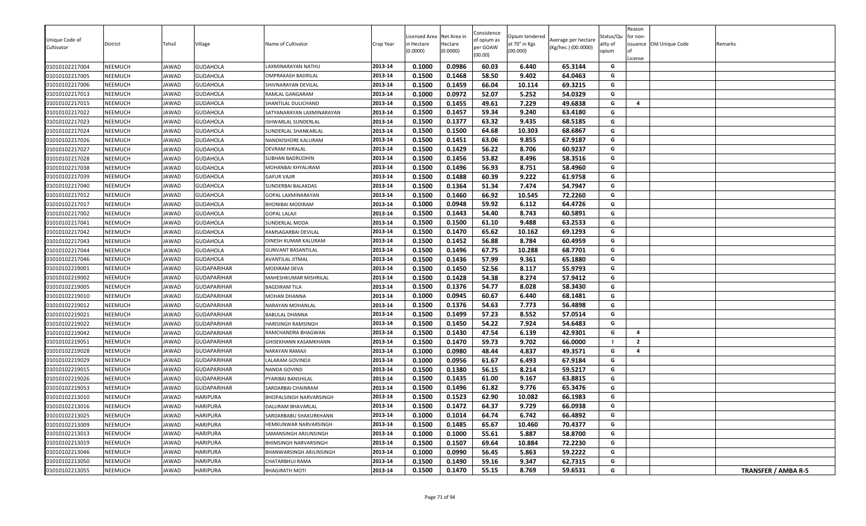| Unique Code of<br>Cultivator | District       | Tehsil       | Village            | Name of Cultivator           | Crop Year | icensed Area<br>n Hectare<br>0.0000 | Net Area in<br>Hectare<br>(0.0000) | Consistence<br>of opium as<br>per GOAW<br>(00.00) | Opium tendered<br>at 70° in Kgs<br>(00.000) | Average per hectare<br>(Kg/hec.) (00.0000) | Status/Qu<br>ality of<br>opium | Reason<br>for non-<br>οf<br>License | issuance Old Unique Code | Remarks             |
|------------------------------|----------------|--------------|--------------------|------------------------------|-----------|-------------------------------------|------------------------------------|---------------------------------------------------|---------------------------------------------|--------------------------------------------|--------------------------------|-------------------------------------|--------------------------|---------------------|
| 01010102217004               | NEEMUCH        | JAWAD        | <b>GUDAHOLA</b>    | LAXMINARAYAN NATHU           | 2013-14   | 0.1000                              | 0.0986                             | 60.03                                             | 6.440                                       | 65.3144                                    | G                              |                                     |                          |                     |
| 01010102217005               | <b>NEEMUCH</b> | IAWAD        | <b>GUDAHOLA</b>    | OMPRAKASH BADRILAL           | 2013-14   | 0.1500                              | 0.1468                             | 58.50                                             | 9.402                                       | 64.0463                                    | G                              |                                     |                          |                     |
| 01010102217006               | NEEMUCH        | JAWAD        | <b>GUDAHOLA</b>    | SHIVNARAYAN DEVILAL          | 2013-14   | 0.1500                              | 0.1459                             | 66.04                                             | 10.114                                      | 69.3215                                    | G                              |                                     |                          |                     |
| 01010102217013               | NEEMUCH        | JAWAD        | <b>GUDAHOLA</b>    | RAMLAL GANGARAM              | 2013-14   | 0.1000                              | 0.0972                             | 52.07                                             | 5.252                                       | 54.0329                                    | G                              |                                     |                          |                     |
| 01010102217015               | NEEMUCH        | JAWAD        | <b>GUDAHOLA</b>    | SHANTILAL DULICHAND          | 2013-14   | 0.1500                              | 0.1455                             | 49.61                                             | 7.229                                       | 49.6838                                    | G                              | 4                                   |                          |                     |
| 01010102217022               | NEEMUCH        | JAWAD        | <b>GUDAHOLA</b>    | SATYANARAYAN LAXMINARAYAN    | 2013-14   | 0.1500                              | 0.1457                             | 59.34                                             | 9.240                                       | 63.4180                                    | G                              |                                     |                          |                     |
| 01010102217023               | NEEMUCH        | JAWAD        | <b>GUDAHOLA</b>    | ISHWARLAL SUNDERLAL          | 2013-14   | 0.1500                              | 0.1377                             | 63.32                                             | 9.435                                       | 68.5185                                    | G                              |                                     |                          |                     |
| 01010102217024               | NEEMUCH        | JAWAD        | <b>GUDAHOLA</b>    | SUNDERLAL SHANKARLAL         | 2013-14   | 0.1500                              | 0.1500                             | 64.68                                             | 10.303                                      | 68.6867                                    | G                              |                                     |                          |                     |
| 01010102217026               | <b>NEEMUCH</b> | JAWAD        | <b>GUDAHOLA</b>    | NANDKISHORE KALURAM          | 2013-14   | 0.1500                              | 0.1451                             | 63.06                                             | 9.855                                       | 67.9187                                    | G                              |                                     |                          |                     |
| 01010102217027               | <b>NEEMUCH</b> | <b>IAWAD</b> | <b>GUDAHOLA</b>    | <b>DEVRAM HIRALAL</b>        | 2013-14   | 0.1500                              | 0.1429                             | 56.22                                             | 8.706                                       | 60.9237                                    | G                              |                                     |                          |                     |
| 01010102217028               | <b>NEEMUCH</b> | <b>IAWAD</b> | <b>GUDAHOLA</b>    | SUBHAN BADRUDHIN             | 2013-14   | 0.1500                              | 0.1456                             | 53.82                                             | 8.496                                       | 58.3516                                    | G                              |                                     |                          |                     |
| 01010102217038               | NEEMUCH        | JAWAD        | <b>GUDAHOLA</b>    | MOHANBAI KHYALIRAM           | 2013-14   | 0.1500                              | 0.1496                             | 56.93                                             | 8.751                                       | 58.4960                                    | G                              |                                     |                          |                     |
| 01010102217039               | NEEMUCH        | JAWAD        | <b>GUDAHOLA</b>    | GAFUR VAJIR                  | 2013-14   | 0.1500                              | 0.1488                             | 60.39                                             | 9.222                                       | 61.9758                                    | G                              |                                     |                          |                     |
| 01010102217040               | <b>NEEMUCH</b> | JAWAD        | <b>GUDAHOLA</b>    | SUNDERBAI BALAKDAS           | 2013-14   | 0.1500                              | 0.1364                             | 51.34                                             | 7.474                                       | 54.7947                                    | G                              |                                     |                          |                     |
| 01010102217012               | NEEMUCH        | JAWAD        | <b>GUDAHOLA</b>    | GOPAL LAXMINARAYAN           | 2013-14   | 0.1500                              | 0.1460                             | 66.92                                             | 10.545                                      | 72.2260                                    | G                              |                                     |                          |                     |
| 01010102217017               | NEEMUCH        | JAWAD        | <b>GUDAHOLA</b>    | BHONIBAI MODIRAM             | 2013-14   | 0.1000                              | 0.0948                             | 59.92                                             | 6.112                                       | 64.4726                                    | G                              |                                     |                          |                     |
| 01010102217002               | NEEMUCH        | JAWAD        | <b>GUDAHOLA</b>    | <b>GOPAL LALAJI</b>          | 2013-14   | 0.1500                              | 0.1443                             | 54.40                                             | 8.743                                       | 60.5891                                    | G                              |                                     |                          |                     |
| 01010102217041               | <b>NEEMUCH</b> | JAWAD        | <b>GUDAHOLA</b>    | SUNDERLAL MODA               | 2013-14   | 0.1500                              | 0.1500                             | 61.10                                             | 9.488                                       | 63.2533                                    | G                              |                                     |                          |                     |
| 01010102217042               | NEEMUCH        | JAWAD        | <b>GUDAHOLA</b>    | RAMSAGARBAI DEVILAL          | 2013-14   | 0.1500                              | 0.1470                             | 65.62                                             | 10.162                                      | 69.1293                                    | G                              |                                     |                          |                     |
| 01010102217043               | NEEMUCH        | JAWAD        | <b>GUDAHOLA</b>    | DINESH KUMAR KALURAM         | 2013-14   | 0.1500                              | 0.1452                             | 56.88                                             | 8.784                                       | 60.4959                                    | G                              |                                     |                          |                     |
| 01010102217044               | <b>NEEMUCH</b> | JAWAD        | <b>GUDAHOLA</b>    | GUNVANT BASANTILAL           | 2013-14   | 0.1500                              | 0.1496                             | 67.75                                             | 10.288                                      | 68.7701                                    | G                              |                                     |                          |                     |
| 01010102217046               | NEEMUCH        | JAWAD        | <b>GUDAHOLA</b>    | <b>AVANTILAL JITMAL</b>      | 2013-14   | 0.1500                              | 0.1436                             | 57.99                                             | 9.361                                       | 65.1880                                    | G                              |                                     |                          |                     |
| 01010102219001               | <b>NEEMUCH</b> | JAWAD        | <b>GUDAPARIHAR</b> | MODIRAM DEVA                 | 2013-14   | 0.1500                              | 0.1450                             | 52.56                                             | 8.117                                       | 55.9793                                    | G                              |                                     |                          |                     |
| 01010102219002               | <b>NEEMUCH</b> | JAWAD        | <b>GUDAPARIHAR</b> | <b>MAHESHKUMAR MISHRILAL</b> | 2013-14   | 0.1500                              | 0.1428                             | 54.38                                             | 8.274                                       | 57.9412                                    | G                              |                                     |                          |                     |
| 01010102219005               | <b>NEEMUCH</b> | JAWAD        | <b>GUDAPARIHAR</b> | BAGDIRAM TILA                | 2013-14   | 0.1500                              | 0.1376                             | 54.77                                             | 8.028                                       | 58.3430                                    | G                              |                                     |                          |                     |
| 01010102219010               | NEEMUCH        | JAWAD        | <b>GUDAPARIHAR</b> | MOHAN DHANNA                 | 2013-14   | 0.1000                              | 0.0945                             | 60.67                                             | 6.440                                       | 68.1481                                    | G                              |                                     |                          |                     |
| 01010102219012               | <b>NEEMUCH</b> | JAWAD        | <b>GUDAPARIHAR</b> | NARAYAN MOHANLAL             | 2013-14   | 0.1500                              | 0.1376                             | 54.63                                             | 7.773                                       | 56.4898                                    | G                              |                                     |                          |                     |
| 01010102219021               | <b>NEEMUCH</b> | JAWAD        | <b>GUDAPARIHAR</b> | BABULAL DHANNA               | 2013-14   | 0.1500                              | 0.1499                             | 57.23                                             | 8.552                                       | 57.0514                                    | G                              |                                     |                          |                     |
| 01010102219022               | NEEMUCH        | JAWAD        | <b>GUDAPARIHAR</b> | HARISINGH RAMSINGH           | 2013-14   | 0.1500                              | 0.1450                             | 54.22                                             | 7.924                                       | 54.6483                                    | G                              |                                     |                          |                     |
| 01010102219042               | <b>NEEMUCH</b> | JAWAD        | <b>GUDAPARIHAR</b> | RAMCHANDRA BHAGWAN           | 2013-14   | 0.1500                              | 0.1430                             | 47.54                                             | 6.139                                       | 42.9301                                    | G                              | $\overline{4}$                      |                          |                     |
| 01010102219051               | NEEMUCH        | JAWAD        | <b>GUDAPARIHAR</b> | GHISEKHANN KASAMKHANN        | 2013-14   | 0.1500                              | 0.1470                             | 59.73                                             | 9.702                                       | 66.0000                                    |                                | $\overline{2}$                      |                          |                     |
| 01010102219028               | <b>NEEMUCH</b> | JAWAD        | <b>GUDAPARIHAR</b> | NARAYAN RAMAJI               | 2013-14   | 0.1000                              | 0.0980                             | 48.44                                             | 4.837                                       | 49.3571                                    | G                              | 4                                   |                          |                     |
| 01010102219029               | <b>NEEMUCH</b> | JAWAD        | <b>GUDAPARIHAR</b> | LALARAM GOVINDJI             | 2013-14   | 0.1000                              | 0.0956                             | 61.67                                             | 6.493                                       | 67.9184                                    | G                              |                                     |                          |                     |
| 01010102219015               | NEEMUCH        | JAWAD        | <b>GUDAPARIHAR</b> | NANDA GOVIND                 | 2013-14   | 0.1500                              | 0.1380                             | 56.15                                             | 8.214                                       | 59.5217                                    | G                              |                                     |                          |                     |
| 01010102219026               | NEEMUCH        | JAWAD        | <b>GUDAPARIHAR</b> | PYARIBAI BANSHILAL           | 2013-14   | 0.1500                              | 0.1435                             | 61.00                                             | 9.167                                       | 63.8815                                    | G                              |                                     |                          |                     |
| 01010102219053               | <b>NEEMUCH</b> | JAWAD        | <b>GUDAPARIHAR</b> | SARDARBAI CHAINRAM           | 2013-14   | 0.1500                              | 0.1496                             | 61.82                                             | 9.776                                       | 65.3476                                    | G                              |                                     |                          |                     |
| 01010102213010               | <b>NEEMUCH</b> | <b>IAWAD</b> | <b>HARIPURA</b>    | BHOPALSINGH NARVARSINGH      | 2013-14   | 0.1500                              | 0.1523                             | 62.90                                             | 10.082                                      | 66.1983                                    | G                              |                                     |                          |                     |
| 01010102213016               | NEEMUCH        | JAWAD        | <b>HARIPURA</b>    | DALURAM BHAVARLAL            | 2013-14   | 0.1500                              | 0.1472                             | 64.37                                             | 9.729                                       | 66.0938                                    | G                              |                                     |                          |                     |
| 01010102213025               | <b>NEEMUCH</b> | JAWAD        | <b>HARIPURA</b>    | SARDARBABU SHAKURKHANN       | 2013-14   | 0.1000                              | 0.1014                             | 64.74                                             | 6.742                                       | 66.4892                                    | G                              |                                     |                          |                     |
| 01010102213009               | NEEMUCH        | JAWAD        | <b>HARIPURA</b>    | HEMKUNWAR NARVARSINGH        | 2013-14   | 0.1500                              | 0.1485                             | 65.67                                             | 10.460                                      | 70.4377                                    | G                              |                                     |                          |                     |
| 01010102213013               | <b>NEEMUCH</b> | JAWAD        | <b>HARIPURA</b>    | SAMANSINGH ARJUNSINGH        | 2013-14   | 0.1000                              | 0.1000                             | 55.61                                             | 5.887                                       | 58.8700                                    | G                              |                                     |                          |                     |
| 01010102213019               | <b>NEEMUCH</b> | JAWAD        | <b>HARIPURA</b>    | BHIMSINGH NARVARSINGH        | 2013-14   | 0.1500                              | 0.1507                             | 69.64                                             | 10.884                                      | 72.2230                                    | G                              |                                     |                          |                     |
| 01010102213046               | NEEMUCH        | JAWAD        | <b>HARIPURA</b>    | BHANWARSINGH ARJUNSINGH      | 2013-14   | 0.1000                              | 0.0990                             | 56.45                                             | 5.863                                       | 59.2222                                    | G                              |                                     |                          |                     |
| 01010102213050               | <b>NEEMUCH</b> | JAWAD        | <b>HARIPURA</b>    | CHATARBHUJ RAMA              | 2013-14   | 0.1500                              | 0.1490                             | 59.16                                             | 9.347                                       | 62.7315                                    | G                              |                                     |                          |                     |
| 01010102213055               | <b>NEEMUCH</b> | JAWAD        | <b>HARIPURA</b>    | <b>BHAGIRATH MOTI</b>        | 2013-14   | 0.1500                              | 0.1470                             | 55.15                                             | 8.769                                       | 59.6531                                    | G                              |                                     |                          | TRANSFER / AMBA R-5 |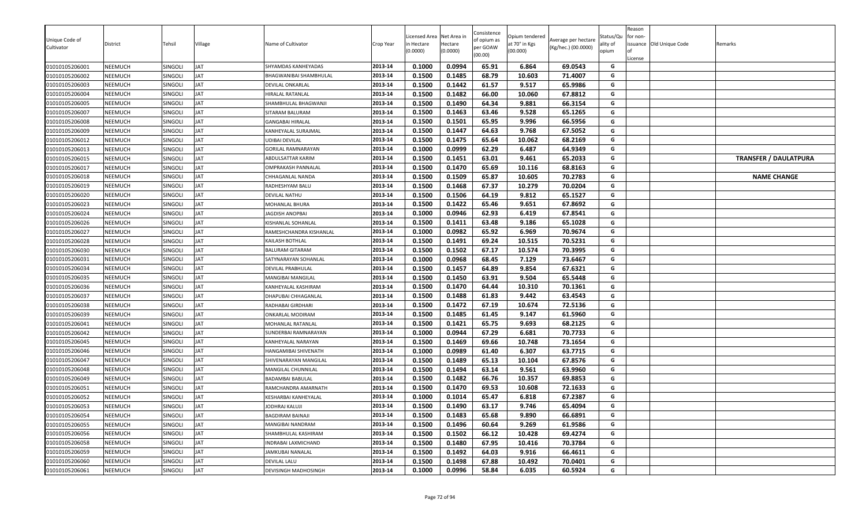| Unique Code of<br>Cultivator     | District                  | Tehsil             | Village                  | Name of Cultivator                       | Crop Year          | Licensed Area<br>า Hectare<br>0.0000) | Net Area in<br>Hectare<br>(0.0000) | Consistence<br>of opium as<br>per GOAW<br>(00.00) | Opium tendered<br>at 70° in Kgs<br>(00.000) | Average per hectare<br>(Kg/hec.) (00.0000) | Status/Qu<br>ality of<br>opium | Reason<br>for non-<br>License | issuance Old Unique Code | Remarks                      |
|----------------------------------|---------------------------|--------------------|--------------------------|------------------------------------------|--------------------|---------------------------------------|------------------------------------|---------------------------------------------------|---------------------------------------------|--------------------------------------------|--------------------------------|-------------------------------|--------------------------|------------------------------|
| 01010105206001                   | NEEMUCH                   | SINGOLI            | JAT                      | SHYAMDAS KANHEYADAS                      | 2013-14            | 0.1000                                | 0.0994                             | 65.91                                             | 6.864                                       | 69.0543                                    | G<br>G                         |                               |                          |                              |
| 01010105206002<br>01010105206003 | NEEMUCH<br><b>NEEMUCH</b> | SINGOLI<br>SINGOLI | <b>JAT</b><br><b>JAT</b> | 3HAGWANIBAI SHAMBHULAL                   | 2013-14<br>2013-14 | 0.1500<br>0.1500                      | 0.1485<br>0.1442                   | 68.79<br>61.57                                    | 10.603<br>9.517                             | 71.4007<br>65.9986                         | G                              |                               |                          |                              |
|                                  | NEEMUCH                   | SINGOLI            | <b>JAT</b>               | DEVILAL ONKARLAL                         | 2013-14            | 0.1500                                | 0.1482                             | 66.00                                             | 10.060                                      | 67.8812                                    | G                              |                               |                          |                              |
| 01010105206004<br>01010105206005 | NEEMUCH                   | SINGOLI            | <b>JAT</b>               | HIRALAL RATANLAL<br>SHAMBHULAL BHAGWANJI | 2013-14            | 0.1500                                | 0.1490                             | 64.34                                             | 9.881                                       | 66.3154                                    | G                              |                               |                          |                              |
| 01010105206007                   | NEEMUCH                   | SINGOLI            | <b>JAT</b>               | SITARAM BALURAM                          | 2013-14            | 0.1500                                | 0.1463                             | 63.46                                             | 9.528                                       | 65.1265                                    | G                              |                               |                          |                              |
| 01010105206008                   | NEEMUCH                   | SINGOLI            | <b>JAT</b>               | <b>GANGABAI HIRALAL</b>                  | 2013-14            | 0.1500                                | 0.1501                             | 65.95                                             | 9.996                                       | 66.5956                                    | G                              |                               |                          |                              |
| 01010105206009                   | NEEMUCH                   | SINGOLI            | <b>JAT</b>               | KANHEYALAL SURAJMAL                      | 2013-14            | 0.1500                                | 0.1447                             | 64.63                                             | 9.768                                       | 67.5052                                    | G                              |                               |                          |                              |
| 01010105206012                   | NEEMUCH                   | SINGOLI            | <b>JAT</b>               | UDIBAI DEVILAL                           | 2013-14            | 0.1500                                | 0.1475                             | 65.64                                             | 10.062                                      | 68.2169                                    | G                              |                               |                          |                              |
| 01010105206013                   | NEEMUCH                   | SINGOLI            | <b>JAT</b>               | <b>GORILAL RAMNARAYAN</b>                | 2013-14            | 0.1000                                | 0.0999                             | 62.29                                             | 6.487                                       | 64.9349                                    | G                              |                               |                          |                              |
| 01010105206015                   | NEEMUCH                   | SINGOLI            | <b>JAT</b>               | ABDULSATTAR KARIM                        | 2013-14            | 0.1500                                | 0.1451                             | 63.01                                             | 9.461                                       | 65.2033                                    | G                              |                               |                          | <b>TRANSFER / DAULATPURA</b> |
| 01010105206017                   | NEEMUCH                   | SINGOLI            | <b>JAT</b>               | OMPRAKASH PANNALAL                       | 2013-14            | 0.1500                                | 0.1470                             | 65.69                                             | 10.116                                      | 68.8163                                    | G                              |                               |                          |                              |
| 01010105206018                   | NEEMUCH                   | SINGOLI            | <b>JAT</b>               | CHHAGANLAL NANDA                         | 2013-14            | 0.1500                                | 0.1509                             | 65.87                                             | 10.605                                      | 70.2783                                    | G                              |                               |                          | <b>NAME CHANGE</b>           |
| 01010105206019                   | <b>NEEMUCH</b>            | SINGOLI            | <b>JAT</b>               | RADHESHYAM BALU                          | 2013-14            | 0.1500                                | 0.1468                             | 67.37                                             | 10.279                                      | 70.0204                                    | G                              |                               |                          |                              |
| 01010105206020                   | NEEMUCH                   | SINGOLI            | <b>JAT</b>               | DEVILAL NATHU                            | 2013-14            | 0.1500                                | 0.1506                             | 64.19                                             | 9.812                                       | 65.1527                                    | G                              |                               |                          |                              |
| 01010105206023                   | <b>NEEMUCH</b>            | SINGOLI            | JAT                      | MOHANLAL BHURA                           | 2013-14            | 0.1500                                | 0.1422                             | 65.46                                             | 9.651                                       | 67.8692                                    | G                              |                               |                          |                              |
| 01010105206024                   | NEEMUCH                   | SINGOLI            | <b>JAT</b>               | <b>JAGDISH ANOPBAI</b>                   | 2013-14            | 0.1000                                | 0.0946                             | 62.93                                             | 6.419                                       | 67.8541                                    | G                              |                               |                          |                              |
| 01010105206026                   | NEEMUCH                   | SINGOLI            | <b>JAT</b>               | KISHANLAL SOHANLAL                       | 2013-14            | 0.1500                                | 0.1411                             | 63.48                                             | 9.186                                       | 65.1028                                    | G                              |                               |                          |                              |
| 01010105206027                   | NEEMUCH                   | SINGOLI            | <b>JAT</b>               | RAMESHCHANDRA KISHANLAL                  | 2013-14            | 0.1000                                | 0.0982                             | 65.92                                             | 6.969                                       | 70.9674                                    | G                              |                               |                          |                              |
| 01010105206028                   | NEEMUCH                   | SINGOLI            | <b>JAT</b>               | KAILASH BOTHLAL                          | 2013-14            | 0.1500                                | 0.1491                             | 69.24                                             | 10.515                                      | 70.5231                                    | G                              |                               |                          |                              |
| 01010105206030                   | NEEMUCH                   | SINGOLI            | <b>JAT</b>               | <b>BALURAM GITARAM</b>                   | 2013-14            | 0.1500                                | 0.1502                             | 67.17                                             | 10.574                                      | 70.3995                                    | G                              |                               |                          |                              |
| 01010105206031                   | NEEMUCH                   | SINGOLI            | <b>JAT</b>               | SATYNARAYAN SOHANLAL                     | 2013-14            | 0.1000                                | 0.0968                             | 68.45                                             | 7.129                                       | 73.6467                                    | G                              |                               |                          |                              |
| 01010105206034                   | <b>NEEMUCH</b>            | SINGOLI            | <b>JAT</b>               | DEVILAL PRABHULAL                        | 2013-14            | 0.1500                                | 0.1457                             | 64.89                                             | 9.854                                       | 67.6321                                    | G                              |                               |                          |                              |
| 01010105206035                   | NEEMUCH                   | SINGOLI            | JAT                      | MANGIBAI MANGILAL                        | 2013-14            | 0.1500                                | 0.1450                             | 63.91                                             | 9.504                                       | 65.5448                                    | G                              |                               |                          |                              |
| 01010105206036                   | NEEMUCH                   | SINGOLI            | <b>JAT</b>               | KANHEYALAL KASHIRAM                      | 2013-14            | 0.1500                                | 0.1470                             | 64.44                                             | 10.310                                      | 70.1361                                    | G                              |                               |                          |                              |
| 01010105206037                   | NEEMUCH                   | SINGOLI            | <b>JAT</b>               | DHAPUBAI CHHAGANLAL                      | 2013-14            | 0.1500                                | 0.1488                             | 61.83                                             | 9.442                                       | 63.4543                                    | G                              |                               |                          |                              |
| 01010105206038                   | NEEMUCH                   | SINGOLI            | <b>JAT</b>               | RADHABAI GIRDHARI                        | 2013-14            | 0.1500                                | 0.1472                             | 67.19                                             | 10.674                                      | 72.5136                                    | G                              |                               |                          |                              |
| 01010105206039                   | NEEMUCH                   | SINGOLI            | <b>JAT</b>               | ONKARLAL MODIRAM                         | 2013-14            | 0.1500                                | 0.1485                             | 61.45                                             | 9.147                                       | 61.5960                                    | G                              |                               |                          |                              |
| 01010105206041                   | NEEMUCH                   | SINGOLI            | <b>JAT</b>               | MOHANLAL RATANLAL                        | 2013-14            | 0.1500                                | 0.1421                             | 65.75                                             | 9.693                                       | 68.2125                                    | G                              |                               |                          |                              |
| 01010105206042                   | NEEMUCH                   | SINGOLI            | <b>JAT</b>               | SUNDERBAI RAMNARAYAN                     | 2013-14            | 0.1000                                | 0.0944                             | 67.29                                             | 6.681                                       | 70.7733                                    | G                              |                               |                          |                              |
| 01010105206045                   | NEEMUCH                   | SINGOLI            | <b>JAT</b>               | KANHEYALAL NARAYAN                       | 2013-14            | 0.1500                                | 0.1469                             | 69.66                                             | 10.748                                      | 73.1654                                    | G                              |                               |                          |                              |
| 01010105206046                   | NEEMUCH                   | SINGOLI            | <b>JAT</b>               | HANGAMIBAI SHIVENATH                     | 2013-14            | 0.1000                                | 0.0989                             | 61.40                                             | 6.307                                       | 63.7715                                    | G                              |                               |                          |                              |
| 01010105206047                   | NEEMUCH                   | SINGOLI            | <b>JAT</b>               | SHIVENARAYAN MANGILAL                    | 2013-14            | 0.1500                                | 0.1489                             | 65.13                                             | 10.104                                      | 67.8576                                    | G                              |                               |                          |                              |
| 01010105206048                   | <b>NEEMUCH</b>            | SINGOLI            | <b>JAT</b>               | MANGILAL CHUNNILAL                       | 2013-14            | 0.1500                                | 0.1494                             | 63.14                                             | 9.561                                       | 63.9960                                    | G                              |                               |                          |                              |
| 01010105206049                   | <b>NEEMUCH</b>            | SINGOLI            | <b>JAT</b>               | BADAMBAI BABULAL                         | 2013-14            | 0.1500                                | 0.1482                             | 66.76                                             | 10.357                                      | 69.8853                                    | G                              |                               |                          |                              |
| 01010105206051                   | NEEMUCH                   | SINGOLI            | <b>JAT</b>               | RAMCHANDRA AMARNATH                      | 2013-14            | 0.1500                                | 0.1470                             | 69.53                                             | 10.608                                      | 72.1633                                    | G                              |                               |                          |                              |
| 01010105206052                   | NEEMUCH                   | SINGOLI            | <b>JAT</b>               | KESHARBAI KANHEYALAL                     | 2013-14            | 0.1000                                | 0.1014                             | 65.47                                             | 6.818                                       | 67.2387                                    | G                              |                               |                          |                              |
| 01010105206053                   | NEEMUCH                   | SINGOLI            | <b>JAT</b>               | JODHRAJ KALUJI                           | 2013-14            | 0.1500                                | 0.1490                             | 63.17                                             | 9.746                                       | 65.4094                                    | G                              |                               |                          |                              |
| 01010105206054                   | NEEMUCH                   | SINGOLI            | <b>JAT</b>               | BAGDIRAM BAINAJI                         | 2013-14            | 0.1500                                | 0.1483                             | 65.68                                             | 9.890                                       | 66.6891                                    | G                              |                               |                          |                              |
| 01010105206055                   | NEEMUCH                   | SINGOLI            | <b>JAT</b>               | MANGIBAI NANDRAM                         | 2013-14            | 0.1500                                | 0.1496                             | 60.64                                             | 9.269                                       | 61.9586                                    | G                              |                               |                          |                              |
| 01010105206056                   | NEEMUCH                   | SINGOLI            | <b>JAT</b>               | SHAMBHULAL KASHIRAM                      | 2013-14            | 0.1500                                | 0.1502                             | 66.12                                             | 10.428                                      | 69.4274                                    | G                              |                               |                          |                              |
| 01010105206058                   | NEEMUCH                   | SINGOLI            | <b>JAT</b>               | INDRABAI LAXMICHAND                      | 2013-14            | 0.1500                                | 0.1480                             | 67.95                                             | 10.416                                      | 70.3784                                    | G                              |                               |                          |                              |
| 01010105206059                   | NEEMUCH                   | SINGOLI            | JAT                      | JAMKUBAI NANALAL                         | 2013-14            | 0.1500                                | 0.1492                             | 64.03                                             | 9.916                                       | 66.4611                                    | G                              |                               |                          |                              |
| 01010105206060                   | NEEMUCH                   | SINGOLI            | <b>JAT</b>               | <b>DEVILAL LALU</b>                      | 2013-14            | 0.1500                                | 0.1498                             | 67.88                                             | 10.492                                      | 70.0401                                    | G                              |                               |                          |                              |
| 01010105206061                   | NEEMUCH                   | SINGOLI            | <b>JAT</b>               | DEVISINGH MADHOSINGH                     | 2013-14            | 0.1000                                | 0.0996                             | 58.84                                             | 6.035                                       | 60.5924                                    | G                              |                               |                          |                              |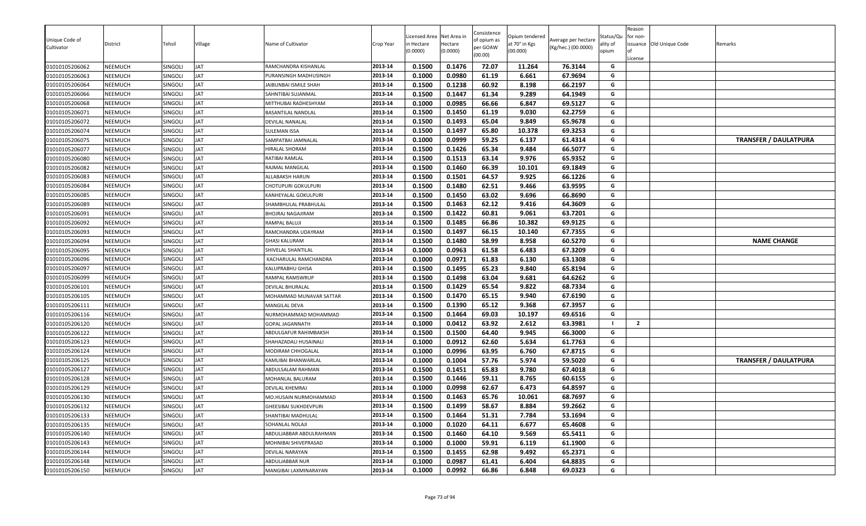| Unique Code of<br>Cultivator     | District                  | Tehsil             | Village<br>JAT           | Name of Cultivator                         | Crop Year          | Licensed Area<br>า Hectare<br>0.0000) | Net Area in<br>Hectare<br>(0.0000) | Consistence<br>of opium as<br>per GOAW<br>(00.00) | Opium tendered<br>at 70° in Kgs<br>(00.000) | Average per hectare<br>(Kg/hec.) (00.0000) | Status/Qu<br>ality of<br>opium | Reason<br>for non-<br>License | issuance Old Unique Code | Remarks                      |
|----------------------------------|---------------------------|--------------------|--------------------------|--------------------------------------------|--------------------|---------------------------------------|------------------------------------|---------------------------------------------------|---------------------------------------------|--------------------------------------------|--------------------------------|-------------------------------|--------------------------|------------------------------|
| 01010105206062                   | NEEMUCH                   | SINGOLI            |                          | RAMCHANDRA KISHANLAL                       | 2013-14<br>2013-14 | 0.1500                                | 0.1476                             | 72.07                                             | 11.264                                      | 76.3144                                    | G<br>G                         |                               |                          |                              |
| 01010105206063<br>01010105206064 | NEEMUCH<br><b>NEEMUCH</b> | Singoli<br>SINGOLI | <b>JAT</b><br><b>JAT</b> | PURANSINGH MADHUSINGH                      | 2013-14            | 0.1000<br>0.1500                      | 0.0980<br>0.1238                   | 61.19<br>60.92                                    | 6.661<br>8.198                              | 67.9694<br>66.2197                         | G                              |                               |                          |                              |
|                                  |                           | SINGOLI            | <b>JAT</b>               | JAIBUNBAI ISMILE SHAH                      | 2013-14            | 0.1500                                | 0.1447                             | 61.34                                             | 9.289                                       | 64.1949                                    | G                              |                               |                          |                              |
| 01010105206066<br>01010105206068 | NEEMUCH<br>NEEMUCH        | SINGOLI            | <b>JAT</b>               | SAHNTIBAI SUJANMAL<br>MITTHUBAI RADHESHYAM | 2013-14            | 0.1000                                | 0.0985                             | 66.66                                             | 6.847                                       | 69.5127                                    | G                              |                               |                          |                              |
| 01010105206071                   | NEEMUCH                   | SINGOLI            | <b>JAT</b>               | BASANTILAL NANDLAL                         | 2013-14            | 0.1500                                | 0.1450                             | 61.19                                             | 9.030                                       | 62.2759                                    | G                              |                               |                          |                              |
| 01010105206072                   | NEEMUCH                   | Singoli            | <b>JAT</b>               | DEVILAL NANALAL                            | 2013-14            | 0.1500                                | 0.1493                             | 65.04                                             | 9.849                                       | 65.9678                                    | G                              |                               |                          |                              |
| 01010105206074                   | NEEMUCH                   | SINGOLI            | <b>JAT</b>               | <b>SULEMAN ISSA</b>                        | 2013-14            | 0.1500                                | 0.1497                             | 65.80                                             | 10.378                                      | 69.3253                                    | G                              |                               |                          |                              |
| 01010105206075                   | NEEMUCH                   | SINGOLI            | <b>JAT</b>               | SAMPATBAI JAMNALAL                         | 2013-14            | 0.1000                                | 0.0999                             | 59.25                                             | 6.137                                       | 61.4314                                    | G                              |                               |                          | <b>TRANSFER / DAULATPURA</b> |
| 01010105206077                   | NEEMUCH                   | SINGOLI            | <b>JAT</b>               | <b>HIRALAL SHORAM</b>                      | 2013-14            | 0.1500                                | 0.1426                             | 65.34                                             | 9.484                                       | 66.5077                                    | G                              |                               |                          |                              |
| 01010105206080                   | <b>NEEMUCH</b>            | SINGOLI            | <b>JAT</b>               | RATIBAI RAMLAL                             | 2013-14            | 0.1500                                | 0.1513                             | 63.14                                             | 9.976                                       | 65.9352                                    | G                              |                               |                          |                              |
| 01010105206082                   | NEEMUCH                   | SINGOLI            | <b>JAT</b>               | RAJMAL MANGILAL                            | 2013-14            | 0.1500                                | 0.1460                             | 66.39                                             | 10.101                                      | 69.1849                                    | G                              |                               |                          |                              |
| 01010105206083                   | NEEMUCH                   | SINGOLI            | <b>JAT</b>               | ALLABAKSH HARUN                            | 2013-14            | 0.1500                                | 0.1501                             | 64.57                                             | 9.925                                       | 66.1226                                    | G                              |                               |                          |                              |
| 01010105206084                   | <b>NEEMUCH</b>            | SINGOLI            | <b>JAT</b>               | CHOTUPURI GOKULPURI                        | 2013-14            | 0.1500                                | 0.1480                             | 62.51                                             | 9.466                                       | 63.9595                                    | G                              |                               |                          |                              |
| 01010105206085                   | NEEMUCH                   | SINGOLI            | <b>JAT</b>               | KANHEYALAL GOKULPURI                       | 2013-14            | 0.1500                                | 0.1450                             | 63.02                                             | 9.696                                       | 66.8690                                    | G                              |                               |                          |                              |
| 01010105206089                   | <b>NEEMUCH</b>            | SINGOLI            | JAT                      | SHAMBHULAL PRABHULAL                       | 2013-14            | 0.1500                                | 0.1463                             | 62.12                                             | 9.416                                       | 64.3609                                    | G                              |                               |                          |                              |
| 01010105206091                   | NEEMUCH                   | SINGOLI            | <b>JAT</b>               | BHOJRAJ NAGAJIRAM                          | 2013-14            | 0.1500                                | 0.1422                             | 60.81                                             | 9.061                                       | 63.7201                                    | G                              |                               |                          |                              |
| 01010105206092                   | NEEMUCH                   | SINGOLI            | <b>JAT</b>               | RAMPAL BALUJI                              | 2013-14            | 0.1500                                | 0.1485                             | 66.86                                             | 10.382                                      | 69.9125                                    | G                              |                               |                          |                              |
| 01010105206093                   | NEEMUCH                   | SINGOLI            | <b>JAT</b>               | RAMCHANDRA UDAYRAM                         | 2013-14            | 0.1500                                | 0.1497                             | 66.15                                             | 10.140                                      | 67.7355                                    | G                              |                               |                          |                              |
| 01010105206094                   | NEEMUCH                   | SINGOLI            | <b>JAT</b>               | <b>GHASI KALURAM</b>                       | 2013-14            | 0.1500                                | 0.1480                             | 58.99                                             | 8.958                                       | 60.5270                                    | G                              |                               |                          | <b>NAME CHANGE</b>           |
| 01010105206095                   | NEEMUCH                   | SINGOLI            | <b>JAT</b>               | SHIVELAL SHANTILAL                         | 2013-14            | 0.1000                                | 0.0963                             | 61.58                                             | 6.483                                       | 67.3209                                    | G                              |                               |                          |                              |
| 01010105206096                   | <b>NEEMUCH</b>            | SINGOLI            | <b>JAT</b>               | KACHARULAL RAMCHANDRA                      | 2013-14            | 0.1000                                | 0.0971                             | 61.83                                             | 6.130                                       | 63.1308                                    | G                              |                               |                          |                              |
| 01010105206097                   | <b>NEEMUCH</b>            | SINGOLI            | <b>JAT</b>               | KALUPRABHU GHISA                           | 2013-14            | 0.1500                                | 0.1495                             | 65.23                                             | 9.840                                       | 65.8194                                    | G                              |                               |                          |                              |
| 01010105206099                   | NEEMUCH                   | SINGOLI            | JAT                      | RAMPAL RAMSWRUP                            | 2013-14            | 0.1500                                | 0.1498                             | 63.04                                             | 9.681                                       | 64.6262                                    | G                              |                               |                          |                              |
| 01010105206101                   | NEEMUCH                   | SINGOLI            | <b>JAT</b>               | DEVILAL BHURALAL                           | 2013-14            | 0.1500                                | 0.1429                             | 65.54                                             | 9.822                                       | 68.7334                                    | G                              |                               |                          |                              |
| 01010105206105                   | NEEMUCH                   | SINGOLI            | <b>JAT</b>               | MOHAMMAD MUNAVAR SATTAR                    | 2013-14            | 0.1500                                | 0.1470                             | 65.15                                             | 9.940                                       | 67.6190                                    | G                              |                               |                          |                              |
| 01010105206111                   | <b>NEEMUCH</b>            | SINGOLI            | <b>JAT</b>               | MANGILAL DEVA                              | 2013-14            | 0.1500                                | 0.1390                             | 65.12                                             | 9.368                                       | 67.3957                                    | G                              |                               |                          |                              |
| 01010105206116                   | NEEMUCH                   | SINGOLI            | <b>JAT</b>               | NURMOHAMMAD MOHAMMAD                       | 2013-14            | 0.1500                                | 0.1464                             | 69.03                                             | 10.197                                      | 69.6516                                    | G                              |                               |                          |                              |
| 01010105206120                   | NEEMUCH                   | SINGOLI            | <b>JAT</b>               | GOPAL JAGANNATH                            | 2013-14            | 0.1000                                | 0.0412                             | 63.92                                             | 2.612                                       | 63.3981                                    |                                | $\overline{2}$                |                          |                              |
| 01010105206122                   | NEEMUCH                   | SINGOLI            | <b>JAT</b>               | ABDULGAFUR RAHIMBAKSH                      | 2013-14            | 0.1500                                | 0.1500                             | 64.40                                             | 9.945                                       | 66.3000                                    | G                              |                               |                          |                              |
| 01010105206123                   | NEEMUCH                   | SINGOLI            | <b>JAT</b>               | SHAHAZADALI HUSAINALI                      | 2013-14            | 0.1000                                | 0.0912                             | 62.60                                             | 5.634                                       | 61.7763                                    | G                              |                               |                          |                              |
| 01010105206124                   | NEEMUCH                   | SINGOLI            | <b>JAT</b>               | MODIRAM CHHOGALAL                          | 2013-14            | 0.1000                                | 0.0996                             | 63.95                                             | 6.760                                       | 67.8715                                    | G                              |                               |                          |                              |
| 01010105206125                   | NEEMUCH                   | SINGOLI            | <b>JAT</b>               | KAMLIBAI BHANWARLAL                        | 2013-14            | 0.1000                                | 0.1004                             | 57.76                                             | 5.974                                       | 59.5020                                    | G                              |                               |                          | <b>TRANSFER / DAULATPURA</b> |
| 01010105206127                   | <b>NEEMUCH</b>            | SINGOLI            | <b>JAT</b>               | ABDULSALAM RAHMAN                          | 2013-14            | 0.1500                                | 0.1451                             | 65.83                                             | 9.780                                       | 67.4018                                    | G                              |                               |                          |                              |
| 01010105206128                   | <b>NEEMUCH</b>            | SINGOLI            | <b>JAT</b>               | MOHANLAL BALURAM                           | 2013-14            | 0.1500                                | 0.1446                             | 59.11                                             | 8.765                                       | 60.6155                                    | G                              |                               |                          |                              |
| 01010105206129                   | NEEMUCH                   | SINGOLI            | <b>JAT</b>               | DEVILAL KHEMRAJ                            | 2013-14            | 0.1000                                | 0.0998                             | 62.67                                             | 6.473                                       | 64.8597                                    | G                              |                               |                          |                              |
| 01010105206130                   | NEEMUCH                   | SINGOLI            | <b>JAT</b>               | VIO.HUSAIN NURMOHAMMAD                     | 2013-14            | 0.1500                                | 0.1463                             | 65.76                                             | 10.061                                      | 68.7697                                    | G                              |                               |                          |                              |
| 01010105206132                   | NEEMUCH                   | SINGOLI            | <b>JAT</b>               | GHEESIBAI SUKHDEVPURI                      | 2013-14            | 0.1500                                | 0.1499                             | 58.67                                             | 8.884                                       | 59.2662                                    | G                              |                               |                          |                              |
| 01010105206133                   | NEEMUCH                   | SINGOLI            | <b>JAT</b>               | SHANTIBAI MADHULAL                         | 2013-14            | 0.1500                                | 0.1464                             | 51.31                                             | 7.784                                       | 53.1694                                    | G                              |                               |                          |                              |
| 01010105206135                   | NEEMUCH                   | SINGOLI            | <b>JAT</b>               | SOHANLAL NOLAJI                            | 2013-14            | 0.1000                                | 0.1020                             | 64.11                                             | 6.677                                       | 65.4608                                    | G                              |                               |                          |                              |
| 01010105206140                   | NEEMUCH                   | SINGOLI            | <b>JAT</b>               | ABDULJABBAR ABDULRAHMAN                    | 2013-14            | 0.1500                                | 0.1460                             | 64.10                                             | 9.569                                       | 65.5411                                    | G                              |                               |                          |                              |
| 01010105206143                   | NEEMUCH                   | SINGOLI            | <b>JAT</b>               | MOHNIBAI SHIVEPRASAD                       | 2013-14            | 0.1000                                | 0.1000                             | 59.91                                             | 6.119                                       | 61.1900                                    | G                              |                               |                          |                              |
| 01010105206144                   | NEEMUCH                   | SINGOLI            | JAT                      | DEVILAL NARAYAN                            | 2013-14            | 0.1500                                | 0.1455                             | 62.98                                             | 9.492                                       | 65.2371                                    | G                              |                               |                          |                              |
| 01010105206148                   | NEEMUCH                   | SINGOLI            | <b>JAT</b>               | ABDULJABBAR NUR                            | 2013-14            | 0.1000                                | 0.0987                             | 61.41                                             | 6.404                                       | 64.8835                                    | G                              |                               |                          |                              |
| 01010105206150                   | NEEMUCH                   | SINGOLI            | <b>JAT</b>               | MANGIBAI LAXMINARAYAN                      | 2013-14            | 0.1000                                | 0.0992                             | 66.86                                             | 6.848                                       | 69.0323                                    | G                              |                               |                          |                              |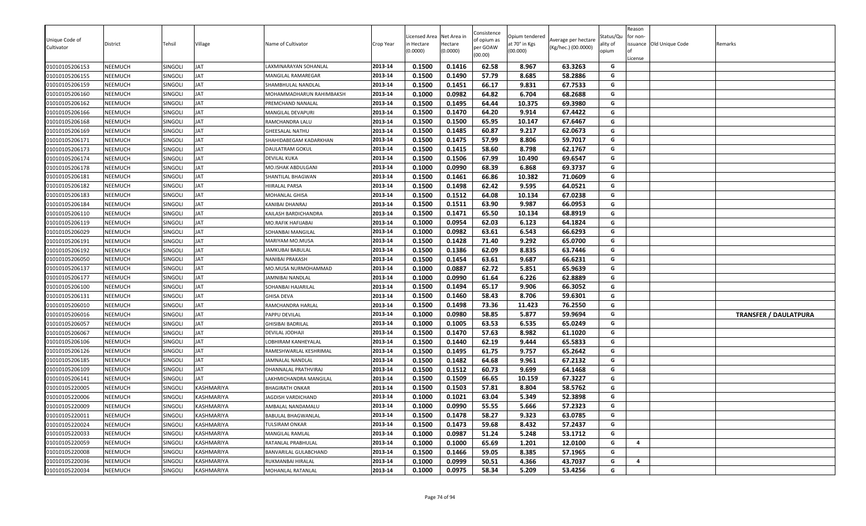| Unique Code of<br>Cultivator<br>01010105206153 | District<br>NEEMUCH | Tehsil<br>SINGOLI  | Village<br>JAT | Name of Cultivator<br>LAXMINARAYAN SOHANLAL | Crop Year<br>2013-14 | Licensed Area<br>า Hectare<br>(0.0000)<br>0.1500 | Net Area in<br>Hectare<br>(0.0000)<br>0.1416 | Consistence<br>of opium as<br>per GOAW<br>(00.00)<br>62.58 | Opium tendered<br>at 70° in Kgs<br>(00.000)<br>8.967 | Average per hectare<br>(Kg/hec.) (00.0000)<br>63.3263 | Status/Qu<br>ality of<br>opium<br>G | Reason<br>for non-<br>License | issuance Old Unique Code | Remarks                      |
|------------------------------------------------|---------------------|--------------------|----------------|---------------------------------------------|----------------------|--------------------------------------------------|----------------------------------------------|------------------------------------------------------------|------------------------------------------------------|-------------------------------------------------------|-------------------------------------|-------------------------------|--------------------------|------------------------------|
|                                                |                     | SINGOLI            | <b>JAT</b>     |                                             | 2013-14              | 0.1500                                           | 0.1490                                       | 57.79                                                      | 8.685                                                | 58.2886                                               | G                                   |                               |                          |                              |
| 01010105206155<br>01010105206159               | NEEMUCH<br>NEEMUCH  | SINGOLI            | <b>JAT</b>     | MANGILAL RAMAREGAR<br>SHAMBHULAL NANDLAL    | 2013-14              | 0.1500                                           | 0.1451                                       | 66.17                                                      | 9.831                                                | 67.7533                                               | G                                   |                               |                          |                              |
|                                                | NEEMUCH             |                    | <b>JAT</b>     | MOHAMMADHARUN RAHIMBAKSH                    | 2013-14              |                                                  | 0.0982                                       | 64.82                                                      |                                                      | 68.2688                                               | G                                   |                               |                          |                              |
| 01010105206160<br>01010105206162               | NEEMUCH             | SINGOLI<br>SINGOLI | <b>JAT</b>     | PREMCHAND NANALAL                           | 2013-14              | 0.1000<br>0.1500                                 | 0.1495                                       | 64.44                                                      | 6.704<br>10.375                                      | 69.3980                                               | G                                   |                               |                          |                              |
| 01010105206166                                 | NEEMUCH             | SINGOLI            | JAT            | MANGILAL DEVAPURI                           | 2013-14              | 0.1500                                           | 0.1470                                       | 64.20                                                      | 9.914                                                | 67.4422                                               | G                                   |                               |                          |                              |
| 01010105206168                                 | NEEMUCH             | SINGOLI            | <b>JAT</b>     | RAMCHANDRA LALU                             | 2013-14              | 0.1500                                           | 0.1500                                       | 65.95                                                      | 10.147                                               | 67.6467                                               | G                                   |                               |                          |                              |
| 01010105206169                                 | NEEMUCH             | SINGOLI            | <b>JAT</b>     | <b>GHEESALAL NATHU</b>                      | 2013-14              | 0.1500                                           | 0.1485                                       | 60.87                                                      | 9.217                                                | 62.0673                                               | G                                   |                               |                          |                              |
| 01010105206171                                 | NEEMUCH             | SINGOLI            | <b>JAT</b>     | SHAHIDABEGAM KADARKHAN                      | 2013-14              | 0.1500                                           | 0.1475                                       | 57.99                                                      | 8.806                                                | 59.7017                                               | G                                   |                               |                          |                              |
| 01010105206173                                 | NEEMUCH             | SINGOLI            | <b>JAT</b>     | DAULATRAM GOKUL                             | 2013-14              | 0.1500                                           | 0.1415                                       | 58.60                                                      | 8.798                                                | 62.1767                                               | G                                   |                               |                          |                              |
| 01010105206174                                 | NEEMUCH             | SINGOLI            | <b>JAT</b>     | DEVILAL KUKA                                | 2013-14              | 0.1500                                           | 0.1506                                       | 67.99                                                      | 10.490                                               | 69.6547                                               | G                                   |                               |                          |                              |
| 01010105206178                                 | <b>NEEMUCH</b>      | SINGOLI            | <b>JAT</b>     | MO.ISHAK ABDULGANI                          | 2013-14              | 0.1000                                           | 0.0990                                       | 68.39                                                      | 6.868                                                | 69.3737                                               | G                                   |                               |                          |                              |
| 01010105206181                                 | NEEMUCH             | SINGOLI            | JAT            | SHANTILAL BHAGWAN                           | 2013-14              | 0.1500                                           | 0.1461                                       | 66.86                                                      | 10.382                                               | 71.0609                                               | G                                   |                               |                          |                              |
| 01010105206182                                 | NEEMUCH             | SINGOLI            | JAT            | HIIRALAL PARSA                              | 2013-14              | 0.1500                                           | 0.1498                                       | 62.42                                                      | 9.595                                                | 64.0521                                               | G                                   |                               |                          |                              |
| 01010105206183                                 | NEEMUCH             | SINGOLI            | JAT            | MOHANLAL GHISA                              | 2013-14              | 0.1500                                           | 0.1512                                       | 64.08                                                      | 10.134                                               | 67.0238                                               | G                                   |                               |                          |                              |
| 01010105206184                                 | NEEMUCH             | SINGOLI            | <b>JAT</b>     | KANIBAI DHANRAJ                             | 2013-14              | 0.1500                                           | 0.1511                                       | 63.90                                                      | 9.987                                                | 66.0953                                               | G                                   |                               |                          |                              |
| 01010105206110                                 | NEEMUCH             | SINGOLI            | <b>JAT</b>     | KAILASH BARDICHANDRA                        | 2013-14              | 0.1500                                           | 0.1471                                       | 65.50                                                      | 10.134                                               | 68.8919                                               | G                                   |                               |                          |                              |
| 01010105206119                                 | NEEMUCH             | SINGOLI            | <b>JAT</b>     | MO.RAFIK HAFIJABAI                          | 2013-14              | 0.1000                                           | 0.0954                                       | 62.03                                                      | 6.123                                                | 64.1824                                               | G                                   |                               |                          |                              |
| 01010105206029                                 | NEEMUCH             | SINGOLI            | <b>JAT</b>     | SOHANBAI MANGILAL                           | 2013-14              | 0.1000                                           | 0.0982                                       | 63.61                                                      | 6.543                                                | 66.6293                                               | G                                   |                               |                          |                              |
| 01010105206191                                 | NEEMUCH             | SINGOLI            | <b>JAT</b>     | MARIYAM MO.MUSA                             | 2013-14              | 0.1500                                           | 0.1428                                       | 71.40                                                      | 9.292                                                | 65.0700                                               | G                                   |                               |                          |                              |
| 01010105206192                                 | NEEMUCH             | Singoli            | <b>JAT</b>     | AMKUBAI BABULAL                             | 2013-14              | 0.1500                                           | 0.1386                                       | 62.09                                                      | 8.835                                                | 63.7446                                               | G                                   |                               |                          |                              |
| 01010105206050                                 | NEEMUCH             | SINGOLI            | JAT            | NANIBAI PRAKASH                             | 2013-14              | 0.1500                                           | 0.1454                                       | 63.61                                                      | 9.687                                                | 66.6231                                               | G                                   |                               |                          |                              |
| 01010105206137                                 | NEEMUCH             | SINGOLI            | <b>JAT</b>     | MO.MUSA NURMOHAMMAD                         | 2013-14              | 0.1000                                           | 0.0887                                       | 62.72                                                      | 5.851                                                | 65.9639                                               | G                                   |                               |                          |                              |
| 01010105206177                                 | NEEMUCH             | SINGOLI            | <b>JAT</b>     | AMNIBAI NANDLAL                             | 2013-14              | 0.1000                                           | 0.0990                                       | 61.64                                                      | 6.226                                                | 62.8889                                               | G                                   |                               |                          |                              |
| 01010105206100                                 | NEEMUCH             | SINGOLI            | <b>JAT</b>     | SOHANBAI HAJARILAL                          | 2013-14              | 0.1500                                           | 0.1494                                       | 65.17                                                      | 9.906                                                | 66.3052                                               | G                                   |                               |                          |                              |
| 01010105206131                                 | NEEMUCH             | SINGOLI            | <b>JAT</b>     | GHISA DEVA                                  | 2013-14              | 0.1500                                           | 0.1460                                       | 58.43                                                      | 8.706                                                | 59.6301                                               | G                                   |                               |                          |                              |
| 01010105206010                                 | NEEMUCH             | SINGOLI            | <b>JAT</b>     | RAMCHANDRA HARLAL                           | 2013-14              | 0.1500                                           | 0.1498                                       | 73.36                                                      | 11.423                                               | 76.2550                                               | G                                   |                               |                          |                              |
| 01010105206016                                 | NEEMUCH             | SINGOLI            | <b>JAT</b>     | PAPPU DEVILAL                               | 2013-14              | 0.1000                                           | 0.0980                                       | 58.85                                                      | 5.877                                                | 59.9694                                               | G                                   |                               |                          | <b>TRANSFER / DAULATPURA</b> |
| 01010105206057                                 | NEEMUCH             | SINGOLI            | <b>JAT</b>     | GHISIBAI BADRILAL                           | 2013-14              | 0.1000                                           | 0.1005                                       | 63.53                                                      | 6.535                                                | 65.0249                                               | G                                   |                               |                          |                              |
| 01010105206067                                 | NEEMUCH             | SINGOLI            | JAT            | DEVILAL JODHAJI                             | 2013-14              | 0.1500                                           | 0.1470                                       | 57.63                                                      | 8.982                                                | 61.1020                                               | G                                   |                               |                          |                              |
| 01010105206106                                 | NEEMUCH             | SINGOLI            | JAT            | LOBHIRAM KANHEYALAL                         | 2013-14              | 0.1500                                           | 0.1440                                       | 62.19                                                      | 9.444                                                | 65.5833                                               | G                                   |                               |                          |                              |
| 01010105206126                                 | NEEMUCH             | SINGOLI            | <b>JAT</b>     | RAMESHWARLAL KESHRIMAL                      | 2013-14              | 0.1500                                           | 0.1495                                       | 61.75                                                      | 9.757                                                | 65.2642                                               | G                                   |                               |                          |                              |
| 01010105206185                                 | NEEMUCH             | SINGOLI            | <b>JAT</b>     | <b>JAMNALAL NANDLAL</b>                     | 2013-14              | 0.1500                                           | 0.1482                                       | 64.68                                                      | 9.961                                                | 67.2132                                               | G                                   |                               |                          |                              |
| 01010105206109                                 | NEEMUCH             | SINGOLI            | <b>JAT</b>     | DHANNALAL PRATHVIRAJ                        | 2013-14              | 0.1500                                           | 0.1512                                       | 60.73                                                      | 9.699                                                | 64.1468                                               | G                                   |                               |                          |                              |
| 01010105206141                                 | NEEMUCH             | SINGOLI            | JAT            | LAKHMICHANDRA MANGILAL                      | 2013-14              | 0.1500                                           | 0.1509                                       | 66.65                                                      | 10.159                                               | 67.3227                                               | G                                   |                               |                          |                              |
| 01010105220005                                 | NEEMUCH             | SINGOLI            | KASHMARIYA     | BHAGIRATH ONKAR                             | 2013-14              | 0.1500                                           | 0.1503                                       | 57.81                                                      | 8.804                                                | 58.5762                                               | G                                   |                               |                          |                              |
| 01010105220006                                 | NEEMUCH             | SINGOLI            | KASHMARIYA     | AGDISH VARDICHAND                           | 2013-14              | 0.1000                                           | 0.1021                                       | 63.04                                                      | 5.349                                                | 52.3898                                               | G                                   |                               |                          |                              |
| 01010105220009                                 | NEEMUCH             | SINGOLI            | KASHMARIYA     | AMBALAL NANDAMALU                           | 2013-14              | 0.1000                                           | 0.0990                                       | 55.55                                                      | 5.666                                                | 57.2323                                               | G                                   |                               |                          |                              |
| 01010105220011                                 | NEEMUCH             | SINGOLI            | KASHMARIYA     | <b>BABULAL BHAGWANLAL</b>                   | 2013-14              | 0.1500                                           | 0.1478                                       | 58.27                                                      | 9.323                                                | 63.0785                                               | G                                   |                               |                          |                              |
| 01010105220024                                 | NEEMUCH             | SINGOLI            | KASHMARIYA     | TULSIRAM ONKAR                              | 2013-14              | 0.1500                                           | 0.1473                                       | 59.68                                                      | 8.432                                                | 57.2437                                               | G                                   |                               |                          |                              |
| 01010105220033                                 | NEEMUCH             | SINGOLI            | KASHMARIYA     | MANGILAL RAMLAL                             | 2013-14              | 0.1000                                           | 0.0987                                       | 51.24                                                      | 5.248                                                | 53.1712                                               | G                                   |                               |                          |                              |
| 01010105220059                                 | NEEMUCH             | SINGOLI            | KASHMARIYA     | RATANLAL PRABHULAL                          | 2013-14              | 0.1000                                           | 0.1000                                       | 65.69                                                      | 1.201                                                | 12.0100                                               | G                                   | $\overline{a}$                |                          |                              |
| 01010105220008                                 | NEEMUCH             | SINGOLI            | KASHMARIYA     | BANVARILAL GULABCHAND                       | 2013-14              | 0.1500                                           | 0.1466                                       | 59.05                                                      | 8.385                                                | 57.1965                                               | G                                   |                               |                          |                              |
| 01010105220036                                 | NEEMUCH             | SINGOLI            | KASHMARIYA     | RUKMANBAI HIRALAL                           | 2013-14              | 0.1000                                           | 0.0999                                       | 50.51                                                      | 4.366                                                | 43.7037                                               | G                                   | $\overline{a}$                |                          |                              |
| 01010105220034                                 | NEEMUCH             | SINGOLI            | KASHMARIYA     | MOHANLAL RATANLAL                           | 2013-14              | 0.1000                                           | 0.0975                                       | 58.34                                                      | 5.209                                                | 53.4256                                               | G                                   |                               |                          |                              |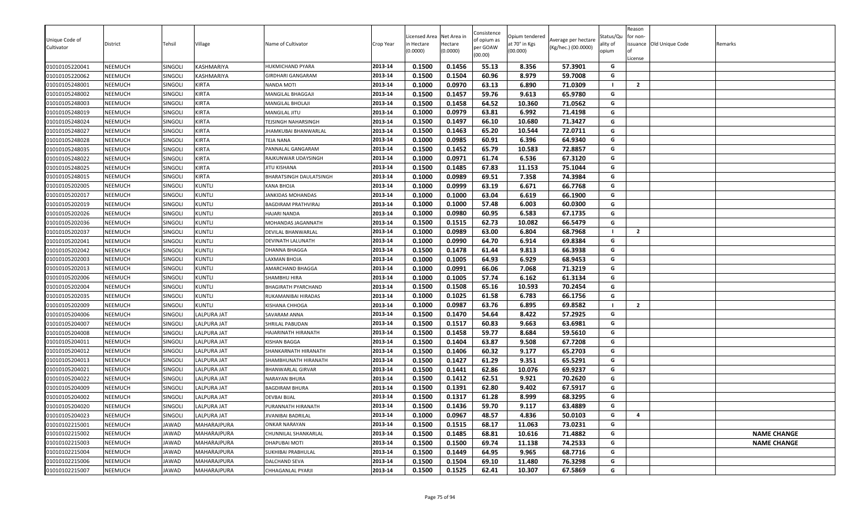| Unique Code of<br>Cultivator<br>01010105220041 | District<br>NEEMUCH | Tehsil<br><b>SINGOLI</b> | Village<br>KASHMARIYA | Name of Cultivator<br>HUKMICHAND PYARA | Crop Year<br>2013-14 | Licensed Area<br>า Hectare<br>(0.0000)<br>0.1500 | Net Area in<br>Hectare<br>(0.0000)<br>0.1456 | Consistence<br>of opium as<br>per GOAW<br>(00.00)<br>55.13 | Opium tendered<br>at 70° in Kgs<br>(00.000)<br>8.356 | Average per hectare<br>(Kg/hec.) (00.0000)<br>57.3901 | Status/Qu<br>ality of<br>opium<br>G | Reason<br>for non-<br>License | issuance Old Unique Code | Remarks            |
|------------------------------------------------|---------------------|--------------------------|-----------------------|----------------------------------------|----------------------|--------------------------------------------------|----------------------------------------------|------------------------------------------------------------|------------------------------------------------------|-------------------------------------------------------|-------------------------------------|-------------------------------|--------------------------|--------------------|
|                                                | NEEMUCH             | SINGOLI                  | KASHMARIYA            |                                        | 2013-14              | 0.1500                                           | 0.1504                                       | 60.96                                                      | 8.979                                                | 59.7008                                               | G                                   |                               |                          |                    |
| 01010105220062<br>01010105248001               | NEEMUCH             | SINGOLI                  | <b>KIRTA</b>          | GIRDHARI GANGARAM<br>NANDA MOTI        | 2013-14              | 0.1000                                           | 0.0970                                       | 63.13                                                      | 6.890                                                | 71.0309                                               | - 1                                 | $\overline{2}$                |                          |                    |
| 01010105248002                                 | NEEMUCH             | SINGOLI                  | KIRTA                 | MANGILAL BHAGGAJI                      | 2013-14              | 0.1500                                           | 0.1457                                       | 59.76                                                      | 9.613                                                | 65.9780                                               | G                                   |                               |                          |                    |
| 01010105248003                                 | NEEMUCH             | SINGOLI                  | KIRTA                 | <b>MANGILAL BHOLAJI</b>                | 2013-14              | 0.1500                                           | 0.1458                                       | 64.52                                                      | 10.360                                               | 71.0562                                               | G                                   |                               |                          |                    |
| 01010105248019                                 | NEEMUCH             | <b>SINGOLI</b>           | <b>KIRTA</b>          | MANGILAL JITU                          | 2013-14              | 0.1000                                           | 0.0979                                       | 63.81                                                      | 6.992                                                | 71.4198                                               | G                                   |                               |                          |                    |
| 01010105248024                                 | NEEMUCH             | SINGOLI                  | <b>KIRTA</b>          | <b><i>TEJSINGH NAHARSINGH</i></b>      | 2013-14              | 0.1500                                           | 0.1497                                       | 66.10                                                      | 10.680                                               | 71.3427                                               | G                                   |                               |                          |                    |
| 01010105248027                                 | NEEMUCH             | SINGOLI                  | <b>KIRTA</b>          | <b>HAMKUBAI BHANWARLAL</b>             | 2013-14              | 0.1500                                           | 0.1463                                       | 65.20                                                      | 10.544                                               | 72.0711                                               | G                                   |                               |                          |                    |
| 01010105248028                                 | NEEMUCH             | SINGOLI                  | <b>KIRTA</b>          | TEJA NANA                              | 2013-14              | 0.1000                                           | 0.0985                                       | 60.91                                                      | 6.396                                                | 64.9340                                               | G                                   |                               |                          |                    |
| 01010105248035                                 | NEEMUCH             | SINGOLI                  | KIRTA                 | PANNALAL GANGARAM                      | 2013-14              | 0.1500                                           | 0.1452                                       | 65.79                                                      | 10.583                                               | 72.8857                                               | G                                   |                               |                          |                    |
| 01010105248022                                 | NEEMUCH             | SINGOLI                  | KIRTA                 | RAJKUNWAR UDAYSINGH                    | 2013-14              | 0.1000                                           | 0.0971                                       | 61.74                                                      | 6.536                                                | 67.3120                                               | G                                   |                               |                          |                    |
| 01010105248025                                 | NEEMUCH             | SINGOLI                  | KIRTA                 | JITU KISHANA                           | 2013-14              | 0.1500                                           | 0.1485                                       | 67.83                                                      | 11.153                                               | 75.1044                                               | G                                   |                               |                          |                    |
| 01010105248015                                 | NEEMUCH             | SINGOLI                  | <b>KIRTA</b>          | BHARATSINGH DAULATSINGH                | 2013-14              | 0.1000                                           | 0.0989                                       | 69.51                                                      | 7.358                                                | 74.3984                                               | G                                   |                               |                          |                    |
| 01010105202005                                 | NEEMUCH             | <b>SINGOLI</b>           | <b>KUNTLI</b>         | KANA BHOJA                             | 2013-14              | 0.1000                                           | 0.0999                                       | 63.19                                                      | 6.671                                                | 66.7768                                               | G                                   |                               |                          |                    |
| 01010105202017                                 | NEEMUCH             | Singoli                  | <b>KUNTLI</b>         | JANKIDAS MOHANDAS                      | 2013-14              | 0.1000                                           | 0.1000                                       | 63.04                                                      | 6.619                                                | 66.1900                                               | G                                   |                               |                          |                    |
| 01010105202019                                 | NEEMUCH             | Singoli                  | <b>KUNTLI</b>         | BAGDIRAM PRATHVIRAJ                    | 2013-14              | 0.1000                                           | 0.1000                                       | 57.48                                                      | 6.003                                                | 60.0300                                               | G                                   |                               |                          |                    |
| 01010105202026                                 | NEEMUCH             | SINGOLI                  | <b>KUNTLI</b>         | HAJARI NANDA                           | 2013-14              | 0.1000                                           | 0.0980                                       | 60.95                                                      | 6.583                                                | 67.1735                                               | G                                   |                               |                          |                    |
| 01010105202036                                 | NEEMUCH             | SINGOLI                  | KUNTLI                | MOHANDAS JAGANNATH                     | 2013-14              | 0.1500                                           | 0.1515                                       | 62.73                                                      | 10.082                                               | 66.5479                                               | G                                   |                               |                          |                    |
| 01010105202037                                 | NEEMUCH             | SINGOLI                  | <b>KUNTLI</b>         | DEVILAL BHANWARLAL                     | 2013-14              | 0.1000                                           | 0.0989                                       | 63.00                                                      | 6.804                                                | 68.7968                                               |                                     | $\overline{2}$                |                          |                    |
| 01010105202041                                 | NEEMUCH             | SINGOLI                  | <b>KUNTLI</b>         | DEVINATH LALUNATH                      | 2013-14              | 0.1000                                           | 0.0990                                       | 64.70                                                      | 6.914                                                | 69.8384                                               | G                                   |                               |                          |                    |
| 01010105202042                                 | NEEMUCH             | SINGOLI                  | <b>KUNTLI</b>         | DHANNA BHAGGA                          | 2013-14              | 0.1500                                           | 0.1478                                       | 61.44                                                      | 9.813                                                | 66.3938                                               | G                                   |                               |                          |                    |
| 01010105202003                                 | NEEMUCH             | SINGOLI                  | <b>KUNTLI</b>         | LAXMAN BHOJA                           | 2013-14              | 0.1000                                           | 0.1005                                       | 64.93                                                      | 6.929                                                | 68.9453                                               | G                                   |                               |                          |                    |
| 01010105202013                                 | NEEMUCH             | SINGOLI                  | <b>KUNTLI</b>         | AMARCHAND BHAGGA                       | 2013-14              | 0.1000                                           | 0.0991                                       | 66.06                                                      | 7.068                                                | 71.3219                                               | G                                   |                               |                          |                    |
| 01010105202006                                 | NEEMUCH             | SINGOLI                  | <b>KUNTLI</b>         | SHAMBHU HIRA                           | 2013-14              | 0.1000                                           | 0.1005                                       | 57.74                                                      | 6.162                                                | 61.3134                                               | G                                   |                               |                          |                    |
| 01010105202004                                 | NEEMUCH             | SINGOLI                  | <b>KUNTLI</b>         | BHAGIRATH PYARCHAND                    | 2013-14              | 0.1500                                           | 0.1508                                       | 65.16                                                      | 10.593                                               | 70.2454                                               | G                                   |                               |                          |                    |
| 01010105202035                                 | NEEMUCH             | SINGOLI                  | <b>KUNTLI</b>         | RUKAMANIBAI HIRADAS                    | 2013-14              | 0.1000                                           | 0.1025                                       | 61.58                                                      | 6.783                                                | 66.1756                                               | G                                   |                               |                          |                    |
| 01010105202009                                 | NEEMUCH             | SINGOLI                  | KUNTLI                | KISHANA CHHOGA                         | 2013-14              | 0.1000                                           | 0.0987                                       | 63.76                                                      | 6.895                                                | 69.8582                                               |                                     | $\overline{2}$                |                          |                    |
| 01010105204006                                 | NEEMUCH             | SINGOLI                  | <b>LALPURA JAT</b>    | SAVARAM ANNA                           | 2013-14              | 0.1500                                           | 0.1470                                       | 54.64                                                      | 8.422                                                | 57.2925                                               | G                                   |                               |                          |                    |
| 01010105204007                                 | NEEMUCH             | Singoli                  | LALPURA JAT           | SHRILAL PABUDAN                        | 2013-14              | 0.1500                                           | 0.1517                                       | 60.83                                                      | 9.663                                                | 63.6981                                               | G                                   |                               |                          |                    |
| 01010105204008                                 | NEEMUCH             | Singoli                  | <b>LALPURA JAT</b>    | HAJARINATH HIRANATH                    | 2013-14              | 0.1500                                           | 0.1458                                       | 59.77                                                      | 8.684                                                | 59.5610                                               | G                                   |                               |                          |                    |
| 01010105204011                                 | NEEMUCH             | SINGOLI                  | <b>LALPURA JAT</b>    | KISHAN BAGGA                           | 2013-14              | 0.1500                                           | 0.1404                                       | 63.87                                                      | 9.508                                                | 67.7208                                               | G                                   |                               |                          |                    |
| 01010105204012                                 | NEEMUCH             | <b>SINGOLI</b>           | <b>LALPURA JAT</b>    | SHANKARNATH HIRANATH                   | 2013-14              | 0.1500                                           | 0.1406                                       | 60.32                                                      | 9.177                                                | 65.2703                                               | G                                   |                               |                          |                    |
| 01010105204013                                 | NEEMUCH             | SINGOLI                  | <b>LALPURA JAT</b>    | SHAMBHUNATH HIRANATH                   | 2013-14              | 0.1500                                           | 0.1427                                       | 61.29                                                      | 9.351                                                | 65.5291                                               | G                                   |                               |                          |                    |
| 01010105204021                                 | NEEMUCH             | SINGOLI                  | <b>LALPURA JAT</b>    | BHANWARLAL GIRVAR                      | 2013-14              | 0.1500                                           | 0.1441                                       | 62.86                                                      | 10.076                                               | 69.9237                                               | G                                   |                               |                          |                    |
| 01010105204022                                 | NEEMUCH             | SINGOLI                  | <b>LALPURA JAT</b>    | NARAYAN BHURA                          | 2013-14              | 0.1500                                           | 0.1412                                       | 62.51                                                      | 9.921                                                | 70.2620                                               | G                                   |                               |                          |                    |
| 01010105204009                                 | NEEMUCH             | SINGOLI                  | <b>LALPURA JAT</b>    | BAGDIRAM BHURA                         | 2013-14              | 0.1500                                           | 0.1391                                       | 62.80                                                      | 9.402                                                | 67.5917                                               | G                                   |                               |                          |                    |
| 01010105204002                                 | NEEMUCH             | SINGOLI                  | LALPURA JAT           | DEVBAI BIJAL                           | 2013-14              | 0.1500                                           | 0.1317                                       | 61.28                                                      | 8.999                                                | 68.3295                                               | G                                   |                               |                          |                    |
| 01010105204020                                 | NEEMUCH             | SINGOLI                  | LALPURA JAT           | PURANNATH HIRANATH                     | 2013-14              | 0.1500                                           | 0.1436                                       | 59.70                                                      | 9.117                                                | 63.4889                                               | G                                   |                               |                          |                    |
| 01010105204023                                 | <b>NEEMUCH</b>      | SINGOLI                  | <b>LALPURA JAT</b>    | JIVANIBAI BADRILAL                     | 2013-14              | 0.1000                                           | 0.0967                                       | 48.57                                                      | 4.836                                                | 50.0103                                               | G                                   | 4                             |                          |                    |
| 01010102215001                                 | NEEMUCH             | JAWAD                    | MAHARAJPURA           | <b>ONKAR NARAYAN</b>                   | 2013-14              | 0.1500                                           | 0.1515                                       | 68.17                                                      | 11.063                                               | 73.0231                                               | G                                   |                               |                          |                    |
| 01010102215002                                 | NEEMUCH             | JAWAD                    | MAHARAJPURA           | CHUNNILAL SHANKARLAL                   | 2013-14              | 0.1500                                           | 0.1485                                       | 68.81                                                      | 10.616                                               | 71.4882                                               | G                                   |                               |                          | <b>NAME CHANGE</b> |
| 01010102215003                                 | NEEMUCH             | JAWAD                    | MAHARAJPURA           | DHAPUBAI MOTI                          | 2013-14              | 0.1500                                           | 0.1500                                       | 69.74                                                      | 11.138                                               | 74.2533                                               | G                                   |                               |                          | <b>NAME CHANGE</b> |
| 01010102215004                                 | NEEMUCH             | JAWAD                    | MAHARAJPURA           | SUKHIBAI PRABHULAL                     | 2013-14              | 0.1500                                           | 0.1449                                       | 64.95                                                      | 9.965                                                | 68.7716                                               | G                                   |                               |                          |                    |
| 01010102215006                                 | NEEMUCH             | JAWAD                    | MAHARAJPURA           | DALCHAND SEVA                          | 2013-14              | 0.1500                                           | 0.1504                                       | 69.10                                                      | 11.480                                               | 76.3298                                               | G                                   |                               |                          |                    |
| 01010102215007                                 | NEEMUCH             | JAWAD                    | MAHARAJPURA           | CHHAGANLAL PYARJI                      | 2013-14              | 0.1500                                           | 0.1525                                       | 62.41                                                      | 10.307                                               | 67.5869                                               | G                                   |                               |                          |                    |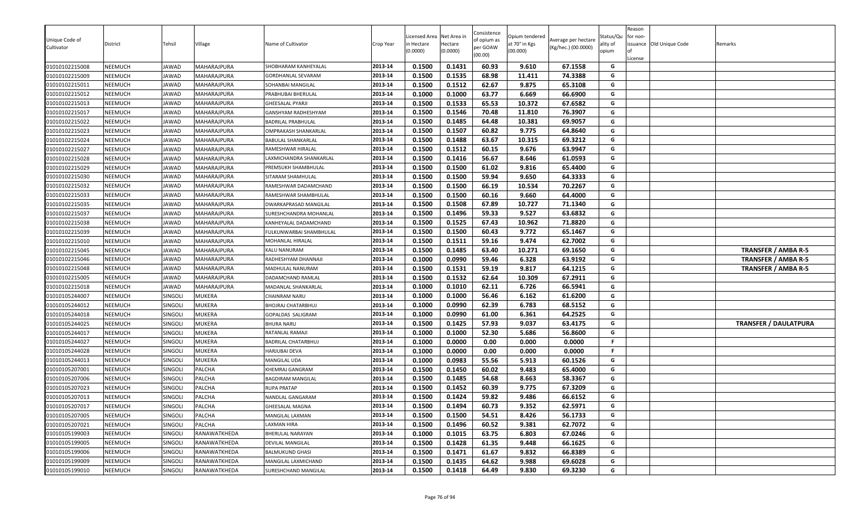| Unique Code of<br>Cultivator     | District           | Tehsil         | Village                    | Name of Cultivator                     | Crop Year          | Licensed Area<br>า Hectare<br>(0.0000) | Net Area in<br>Hectare<br>(0.0000) | Consistence<br>of opium as<br>per GOAW<br>(00.00) | Opium tendered<br>at 70° in Kgs<br>(00.000) | Average per hectare<br>(Kg/hec.) (00.0000) | Status/Qu<br>ality of<br>opium | Reason<br>for non-<br>License | issuance Old Unique Code | Remarks                      |
|----------------------------------|--------------------|----------------|----------------------------|----------------------------------------|--------------------|----------------------------------------|------------------------------------|---------------------------------------------------|---------------------------------------------|--------------------------------------------|--------------------------------|-------------------------------|--------------------------|------------------------------|
| 01010102215008                   | NEEMUCH            | JAWAD          | MAHARAJPURA                | SHOBHARAM KANHEYALAL                   | 2013-14            | 0.1500                                 | 0.1431                             | 60.93                                             | 9.610                                       | 67.1558                                    | G                              |                               |                          |                              |
| 01010102215009                   | NEEMUCH            | <b>IAWAD</b>   | MAHARAJPURA                | GORDHANLAL SEVARAM                     | 2013-14            | 0.1500                                 | 0.1535                             | 68.98                                             | 11.411                                      | 74.3388                                    | G<br>G                         |                               |                          |                              |
| 01010102215011                   | NEEMUCH            | JAWAD          | MAHARAJPURA                | SOHANBAI MANGILAL                      | 2013-14<br>2013-14 | 0.1500                                 | 0.1512<br>0.1000                   | 62.67<br>63.77                                    | 9.875                                       | 65.3108                                    | G                              |                               |                          |                              |
| 01010102215012<br>01010102215013 | NEEMUCH<br>NEEMUCH | JAWAD<br>JAWAD | MAHARAJPURA<br>MAHARAJPURA | PRABHUBAI BHERULAL<br>GHEESALAL PYARJI | 2013-14            | 0.1000<br>0.1500                       | 0.1533                             | 65.53                                             | 6.669<br>10.372                             | 66.6900<br>67.6582                         | G                              |                               |                          |                              |
| 01010102215017                   | NEEMUCH            | JAWAD          | MAHARAJPURA                | GANSHYAM RADHESHYAM                    | 2013-14            | 0.1500                                 | 0.1546                             | 70.48                                             | 11.810                                      | 76.3907                                    | G                              |                               |                          |                              |
| 01010102215022                   | NEEMUCH            | JAWAD          | MAHARAJPURA                | BADRILAL PRABHULAL                     | 2013-14            | 0.1500                                 | 0.1485                             | 64.48                                             | 10.381                                      | 69.9057                                    | G                              |                               |                          |                              |
| 01010102215023                   | NEEMUCH            | JAWAD          | MAHARAJPURA                | OMPRAKASH SHANKARLAL                   | 2013-14            | 0.1500                                 | 0.1507                             | 60.82                                             | 9.775                                       | 64.8640                                    | G                              |                               |                          |                              |
| 01010102215024                   | NEEMUCH            | JAWAD          | MAHARAJPURA                | BABULAL SHANKARLAL                     | 2013-14            | 0.1500                                 | 0.1488                             | 63.67                                             | 10.315                                      | 69.3212                                    | G                              |                               |                          |                              |
| 01010102215027                   | NEEMUCH            | JAWAD          | <b>MAHARAJPURA</b>         | RAMESHWAR HIRALAL                      | 2013-14            | 0.1500                                 | 0.1512                             | 60.15                                             | 9.676                                       | 63.9947                                    | G                              |                               |                          |                              |
| 01010102215028                   | NEEMUCH            | JAWAD          | MAHARAJPURA                | LAXMICHANDRA SHANKARLAL                | 2013-14            | 0.1500                                 | 0.1416                             | 56.67                                             | 8.646                                       | 61.0593                                    | G                              |                               |                          |                              |
| 01010102215029                   | <b>NEEMUCH</b>     | JAWAD          | MAHARAJPURA                | PREMSUKH SHAMBHULAL                    | 2013-14            | 0.1500                                 | 0.1500                             | 61.02                                             | 9.816                                       | 65.4400                                    | G                              |                               |                          |                              |
| 01010102215030                   | NEEMUCH            | JAWAD          | MAHARAJPURA                | SITARAM SHAMHULAL                      | 2013-14            | 0.1500                                 | 0.1500                             | 59.94                                             | 9.650                                       | 64.3333                                    | G                              |                               |                          |                              |
| 01010102215032                   | NEEMUCH            | JAWAD          | MAHARAJPURA                | RAMESHWAR DADAMCHAND                   | 2013-14            | 0.1500                                 | 0.1500                             | 66.19                                             | 10.534                                      | 70.2267                                    | G                              |                               |                          |                              |
| 01010102215033                   | NEEMUCH            | JAWAD          | MAHARAJPURA                | RAMESHWAR SHAMBHULAL                   | 2013-14            | 0.1500                                 | 0.1500                             | 60.16                                             | 9.660                                       | 64.4000                                    | G                              |                               |                          |                              |
| 01010102215035                   | NEEMUCH            | JAWAD          | MAHARAJPURA                | DWARKAPRASAD MANGILAL                  | 2013-14            | 0.1500                                 | 0.1508                             | 67.89                                             | 10.727                                      | 71.1340                                    | G                              |                               |                          |                              |
| 01010102215037                   | NEEMUCH            | JAWAD          | MAHARAJPURA                | SURESHCHANDRA MOHANLAI                 | 2013-14            | 0.1500                                 | 0.1496                             | 59.33                                             | 9.527                                       | 63.6832                                    | G                              |                               |                          |                              |
| 01010102215038                   | NEEMUCH            | JAWAD          | MAHARAJPURA                | KANHEYALAL DADAMCHAND                  | 2013-14            | 0.1500                                 | 0.1525                             | 67.43                                             | 10.962                                      | 71.8820                                    | G                              |                               |                          |                              |
| 01010102215039                   | NEEMUCH            | JAWAD          | MAHARAJPURA                | FULKUNWARBAI SHAMBHULAL                | 2013-14            | 0.1500                                 | 0.1500                             | 60.43                                             | 9.772                                       | 65.1467                                    | G                              |                               |                          |                              |
| 01010102215010                   | NEEMUCH            | JAWAD          | MAHARAJPURA                | MOHANLAL HIRALAL                       | 2013-14            | 0.1500                                 | 0.1511                             | 59.16                                             | 9.474                                       | 62.7002                                    | G                              |                               |                          |                              |
| 01010102215045                   | NEEMUCH            | JAWAD          | MAHARAJPURA                | KALU NANURAM                           | 2013-14            | 0.1500                                 | 0.1485                             | 63.40                                             | 10.271                                      | 69.1650                                    | G                              |                               |                          | TRANSFER / AMBA R-5          |
| 01010102215046                   | NEEMUCH            | JAWAD          | MAHARAJPURA                | RADHESHYAM DHANNAJI                    | 2013-14            | 0.1000                                 | 0.0990                             | 59.46                                             | 6.328                                       | 63.9192                                    | G                              |                               |                          | TRANSFER / AMBA R-5          |
| 01010102215048                   | NEEMUCH            | JAWAD          | MAHARAJPURA                | MADHULAL NANURAM                       | 2013-14            | 0.1500                                 | 0.1531                             | 59.19                                             | 9.817                                       | 64.1215                                    | G                              |                               |                          | <b>TRANSFER / AMBA R-5</b>   |
| 01010102215005                   | NEEMUCH            | JAWAD          | MAHARAJPURA                | DADAMCHAND RAMLAL                      | 2013-14            | 0.1500                                 | 0.1532                             | 62.64                                             | 10.309                                      | 67.2911                                    | G                              |                               |                          |                              |
| 01010102215018                   | <b>NEEMUCH</b>     | JAWAD          | MAHARAJPURA                | MADANLAL SHANKARLAL                    | 2013-14            | 0.1000                                 | 0.1010                             | 62.11                                             | 6.726                                       | 66.5941                                    | G                              |                               |                          |                              |
| 01010105244007                   | NEEMUCH            | SINGOLI        | <b>MUKERA</b>              | CHAINRAM NARU                          | 2013-14            | 0.1000                                 | 0.1000                             | 56.46                                             | 6.162                                       | 61.6200                                    | G                              |                               |                          |                              |
| 01010105244012                   | NEEMUCH            | SINGOLI        | <b>MUKERA</b>              | BHOJRAJ CHATARBHUJ                     | 2013-14            | 0.1000                                 | 0.0990                             | 62.39                                             | 6.783                                       | 68.5152                                    | G                              |                               |                          |                              |
| 01010105244018                   | NEEMUCH            | SINGOLI        | <b>MUKERA</b>              | GOPALDAS SALIGRAM                      | 2013-14            | 0.1000                                 | 0.0990                             | 61.00                                             | 6.361                                       | 64.2525                                    | G                              |                               |                          |                              |
| 01010105244025                   | NEEMUCH            | Singoli        | <b>MUKERA</b>              | BHURA NARU                             | 2013-14            | 0.1500                                 | 0.1425                             | 57.93                                             | 9.037                                       | 63.4175                                    | G                              |                               |                          | <b>TRANSFER / DAULATPURA</b> |
| 01010105244017                   | NEEMUCH            | Singoli        | <b>MUKERA</b>              | RATANLAL RAMAJI                        | 2013-14            | 0.1000                                 | 0.1000                             | 52.30                                             | 5.686                                       | 56.8600                                    | G                              |                               |                          |                              |
| 01010105244027                   | NEEMUCH            | SINGOLI        | <b>MUKERA</b>              | BADRILAL CHATARBHUJ                    | 2013-14            | 0.1000                                 | 0.0000                             | 0.00                                              | 0.000                                       | 0.0000                                     | F.                             |                               |                          |                              |
| 01010105244028                   | NEEMUCH            | SINGOLI        | <b>MUKERA</b>              | HARJUBAI DEVA                          | 2013-14            | 0.1000                                 | 0.0000                             | 0.00                                              | 0.000                                       | 0.0000                                     | F                              |                               |                          |                              |
| 01010105244013                   | NEEMUCH            | SINGOLI        | <b>MUKERA</b>              | MANGILAL UDA                           | 2013-14            | 0.1000                                 | 0.0983                             | 55.56                                             | 5.913                                       | 60.1526                                    | G                              |                               |                          |                              |
| 01010105207001                   | NEEMUCH            | SINGOLI        | PALCHA                     | KHEMRAJ GANGRAM                        | 2013-14            | 0.1500                                 | 0.1450                             | 60.02                                             | 9.483                                       | 65.4000                                    | G                              |                               |                          |                              |
| 01010105207006                   | NEEMUCH            | SINGOLI        | PALCHA                     | <b>BAGDIRAM MANGILAL</b>               | 2013-14            | 0.1500                                 | 0.1485                             | 54.68                                             | 8.663                                       | 58.3367                                    | G                              |                               |                          |                              |
| 01010105207023                   | NEEMUCH            | SINGOLI        | PALCHA                     | RUPA PRATAP                            | 2013-14            | 0.1500                                 | 0.1452                             | 60.39                                             | 9.775                                       | 67.3209                                    | G                              |                               |                          |                              |
| 01010105207013                   | NEEMUCH            | SINGOLI        | PALCHA                     | VANDLAL GANGARAM                       | 2013-14            | 0.1500                                 | 0.1424                             | 59.82                                             | 9.486                                       | 66.6152                                    | G                              |                               |                          |                              |
| 01010105207017                   | NEEMUCH            | SINGOLI        | PALCHA                     | GHEESALAL MAGNA                        | 2013-14            | 0.1500                                 | 0.1494                             | 60.73                                             | 9.352                                       | 62.5971                                    | G                              |                               |                          |                              |
| 01010105207005                   | NEEMUCH            | SINGOLI        | PALCHA                     | MANGILAL LAXMAN                        | 2013-14            | 0.1500                                 | 0.1500                             | 54.51                                             | 8.426                                       | 56.1733                                    | G                              |                               |                          |                              |
| 01010105207021                   | NEEMUCH            | SINGOLI        | PALCHA                     | LAXMAN HIRA                            | 2013-14            | 0.1500                                 | 0.1496                             | 60.52                                             | 9.381                                       | 62.7072                                    | G                              |                               |                          |                              |
| 01010105199003                   | NEEMUCH            | SINGOLI        | RANAWATKHEDA               | BHERULAL NARAYAN                       | 2013-14            | 0.1000                                 | 0.1015                             | 63.75                                             | 6.803                                       | 67.0246                                    | G                              |                               |                          |                              |
| 01010105199005                   | NEEMUCH            | SINGOLI        | RANAWATKHEDA               | DEVILAL MANGILAL                       | 2013-14            | 0.1500                                 | 0.1428                             | 61.35                                             | 9.448                                       | 66.1625                                    | G                              |                               |                          |                              |
| 01010105199006                   | NEEMUCH            | SINGOLI        | RANAWATKHEDA               | <b>BALMUKUND GHASI</b>                 | 2013-14            | 0.1500                                 | 0.1471                             | 61.67                                             | 9.832                                       | 66.8389                                    | G                              |                               |                          |                              |
| 01010105199009                   | NEEMUCH            | SINGOLI        | RANAWATKHEDA               | MANGILAL LAXMICHAND                    | 2013-14            | 0.1500                                 | 0.1435                             | 64.62                                             | 9.988                                       | 69.6028                                    | G                              |                               |                          |                              |
| 01010105199010                   | NEEMUCH            | SINGOLI        | RANAWATKHEDA               | SURESHCHAND MANGILAL                   | 2013-14            | 0.1500                                 | 0.1418                             | 64.49                                             | 9.830                                       | 69.3230                                    | G                              |                               |                          |                              |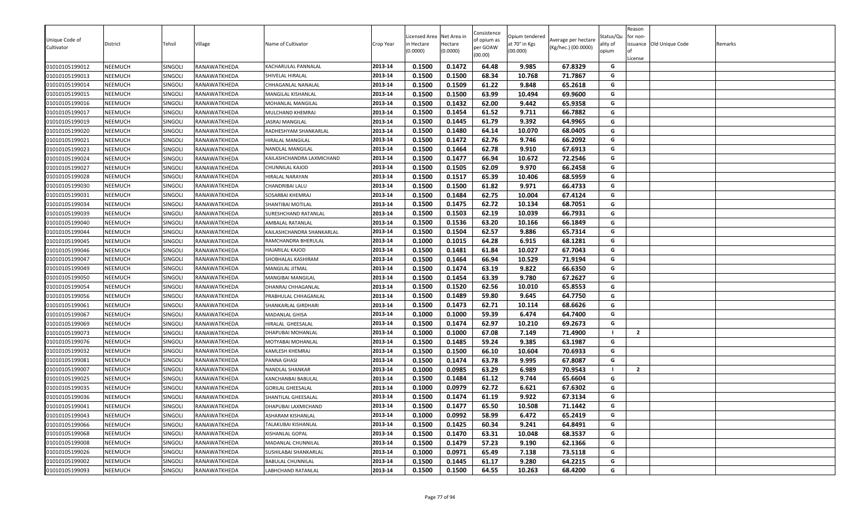| Unique Code of |                |                |              |                           |           | icensed Area          | Net Area in         | Consistence<br>of opium as | Opium tendered            | Average per hectare | Status/Qu         | Reason<br>for non- |                          |         |
|----------------|----------------|----------------|--------------|---------------------------|-----------|-----------------------|---------------------|----------------------------|---------------------------|---------------------|-------------------|--------------------|--------------------------|---------|
| Cultivator     | District       | Tehsil         | √illage      | Name of Cultivator        | Crop Year | n Hectare<br>(0.0000) | Hectare<br>(0.0000) | per GOAW<br>(00.00)        | at 70° in Kgs<br>(00.000) | (Kg/hec.) (00.0000) | ality of<br>opium | License            | issuance Old Unique Code | Remarks |
| 01010105199012 | <b>NEEMUCH</b> | SINGOLI        | RANAWATKHEDA | KACHARULAL PANNALAL       | 2013-14   | 0.1500                | 0.1472              | 64.48                      | 9.985                     | 67.8329             | G                 |                    |                          |         |
| 01010105199013 | <b>NEEMUCH</b> | SINGOLI        | RANAWATKHEDA | SHIVELAL HIRALAL          | 2013-14   | 0.1500                | 0.1500              | 68.34                      | 10.768                    | 71.7867             | G                 |                    |                          |         |
| 01010105199014 | <b>NEEMUCH</b> | SINGOLI        | RANAWATKHEDA | CHHAGANLAL NANALAL        | 2013-14   | 0.1500                | 0.1509              | 61.22                      | 9.848                     | 65.2618             | G                 |                    |                          |         |
| 01010105199015 | NEEMUCH        | SINGOLI        | RANAWATKHEDA | MANGILAL KISHANLAL        | 2013-14   | 0.1500                | 0.1500              | 63.99                      | 10.494                    | 69.9600             | G                 |                    |                          |         |
| 01010105199016 | <b>NEEMUCH</b> | SINGOLI        | RANAWATKHEDA | MOHANLAL MANGILAL         | 2013-14   | 0.1500                | 0.1432              | 62.00                      | 9.442                     | 65.9358             | G                 |                    |                          |         |
| 01010105199017 | <b>NEEMUCH</b> | <b>SINGOLI</b> | RANAWATKHEDA | MULCHAND KHEMRAJ          | 2013-14   | 0.1500                | 0.1454              | 61.52                      | 9.711                     | 66.7882             | G                 |                    |                          |         |
| 01010105199019 | <b>NEEMUCH</b> | SINGOLI        | RANAWATKHEDA | <b>JASRAJ MANGILAL</b>    | 2013-14   | 0.1500                | 0.1445              | 61.79                      | 9.392                     | 64.9965             | G                 |                    |                          |         |
| 01010105199020 | <b>NEEMUCH</b> | SINGOLI        | RANAWATKHEDA | RADHESHYAM SHANKARLAL     | 2013-14   | 0.1500                | 0.1480              | 64.14                      | 10.070                    | 68.0405             | G                 |                    |                          |         |
| 01010105199021 | <b>NEEMUCH</b> | SINGOLI        | RANAWATKHEDA | HIRALAL MANGILAL          | 2013-14   | 0.1500                | 0.1472              | 62.76                      | 9.746                     | 66.2092             | G                 |                    |                          |         |
| 01010105199023 | <b>NEEMUCH</b> | SINGOLI        | RANAWATKHEDA | NANDLAL MANGILAL          | 2013-14   | 0.1500                | 0.1464              | 62.78                      | 9.910                     | 67.6913             | G                 |                    |                          |         |
| 01010105199024 | <b>NEEMUCH</b> | SINGOLI        | RANAWATKHEDA | KAILASHCHANDRA LAXMICHAND | 2013-14   | 0.1500                | 0.1477              | 66.94                      | 10.672                    | 72.2546             | G                 |                    |                          |         |
| 01010105199027 | <b>NEEMUCH</b> | SINGOLI        | RANAWATKHEDA | CHUNNILAL KAJOD           | 2013-14   | 0.1500                | 0.1505              | 62.09                      | 9.970                     | 66.2458             | G                 |                    |                          |         |
| 01010105199028 | <b>NEEMUCH</b> | SINGOLI        | RANAWATKHEDA | HIRALAL NARAYAN           | 2013-14   | 0.1500                | 0.1517              | 65.39                      | 10.406                    | 68.5959             | G                 |                    |                          |         |
| 01010105199030 | <b>NEEMUCH</b> | SINGOLI        | RANAWATKHEDA | CHANDRIBAI LALU           | 2013-14   | 0.1500                | 0.1500              | 61.82                      | 9.971                     | 66.4733             | G                 |                    |                          |         |
| 01010105199031 | <b>NEEMUCH</b> | SINGOLI        | RANAWATKHEDA | SOSARBAI KHEMRAJ          | 2013-14   | 0.1500                | 0.1484              | 62.75                      | 10.004                    | 67.4124             | G                 |                    |                          |         |
| 01010105199034 | <b>NEEMUCH</b> | SINGOLI        | RANAWATKHEDA | SHANTIBAI MOTILAL         | 2013-14   | 0.1500                | 0.1475              | 62.72                      | 10.134                    | 68.7051             | G                 |                    |                          |         |
| 01010105199039 | <b>NEEMUCH</b> | SINGOLI        | RANAWATKHEDA | SURESHCHAND RATANLAL      | 2013-14   | 0.1500                | 0.1503              | 62.19                      | 10.039                    | 66.7931             | G                 |                    |                          |         |
| 01010105199040 | <b>NEEMUCH</b> | SINGOLI        | RANAWATKHEDA | AMBALAL RATANLAL          | 2013-14   | 0.1500                | 0.1536              | 63.20                      | 10.166                    | 66.1849             | G                 |                    |                          |         |
| 01010105199044 | <b>NEEMUCH</b> | SINGOLI        | RANAWATKHEDA | KAILASHCHANDRA SHANKARLAL | 2013-14   | 0.1500                | 0.1504              | 62.57                      | 9.886                     | 65.7314             | G                 |                    |                          |         |
| 01010105199045 | <b>NEEMUCH</b> | SINGOLI        | RANAWATKHEDA | RAMCHANDRA BHERULAL       | 2013-14   | 0.1000                | 0.1015              | 64.28                      | 6.915                     | 68.1281             | G                 |                    |                          |         |
| 01010105199046 | <b>NEEMUCH</b> | SINGOLI        | RANAWATKHEDA | HAJARILAL KAJOD           | 2013-14   | 0.1500                | 0.1481              | 61.84                      | 10.027                    | 67.7043             | G                 |                    |                          |         |
| 01010105199047 | <b>NEEMUCH</b> | SINGOLI        | RANAWATKHEDA | SHOBHALAL KASHIRAM        | 2013-14   | 0.1500                | 0.1464              | 66.94                      | 10.529                    | 71.9194             | G                 |                    |                          |         |
| 01010105199049 | <b>NEEMUCH</b> | SINGOLI        | RANAWATKHEDA | MANGILAL JITMAL           | 2013-14   | 0.1500                | 0.1474              | 63.19                      | 9.822                     | 66.6350             | G                 |                    |                          |         |
| 01010105199050 | NEEMUCH        | SINGOLI        | RANAWATKHEDA | MANGIBAI MANGILAL         | 2013-14   | 0.1500                | 0.1454              | 63.39                      | 9.780                     | 67.2627             | G                 |                    |                          |         |
| 01010105199054 | <b>NEEMUCH</b> | SINGOLI        | RANAWATKHEDA | DHANRAJ CHHAGANLAL        | 2013-14   | 0.1500                | 0.1520              | 62.56                      | 10.010                    | 65.8553             | G                 |                    |                          |         |
| 01010105199056 | <b>NEEMUCH</b> | SINGOLI        | RANAWATKHEDA | PRABHULAL CHHAGANLAL      | 2013-14   | 0.1500                | 0.1489              | 59.80                      | 9.645                     | 64.7750             | G                 |                    |                          |         |
| 01010105199061 | <b>NEEMUCH</b> | SINGOLI        | RANAWATKHEDA | SHANKARLAL GIRDHARI       | 2013-14   | 0.1500                | 0.1473              | 62.71                      | 10.114                    | 68.6626             | G                 |                    |                          |         |
| 01010105199067 | <b>NEEMUCH</b> | SINGOLI        | RANAWATKHEDA | MADANLAL GHISA            | 2013-14   | 0.1000                | 0.1000              | 59.39                      | 6.474                     | 64.7400             | G                 |                    |                          |         |
| 01010105199069 | <b>NEEMUCH</b> | SINGOLI        | RANAWATKHEDA | HIRALAL GHEESALAL         | 2013-14   | 0.1500                | 0.1474              | 62.97                      | 10.210                    | 69.2673             | G                 |                    |                          |         |
| 01010105199073 | <b>NEEMUCH</b> | SINGOLI        | RANAWATKHEDA | DHAPUBAI MOHANLAL         | 2013-14   | 0.1000                | 0.1000              | 67.08                      | 7.149                     | 71.4900             | - 1               | $\overline{2}$     |                          |         |
| 01010105199076 | <b>NEEMUCH</b> | SINGOLI        | RANAWATKHEDA | MOTYABAI MOHANLAL         | 2013-14   | 0.1500                | 0.1485              | 59.24                      | 9.385                     | 63.1987             | G                 |                    |                          |         |
| 01010105199032 | <b>NEEMUCH</b> | SINGOLI        | RANAWATKHEDA | KAMLESH KHEMRAJ           | 2013-14   | 0.1500                | 0.1500              | 66.10                      | 10.604                    | 70.6933             | G                 |                    |                          |         |
| 01010105199081 | <b>NEEMUCH</b> | SINGOLI        | RANAWATKHEDA | PANNA GHASI               | 2013-14   | 0.1500                | 0.1474              | 63.78                      | 9.995                     | 67.8087             | G                 |                    |                          |         |
| 01010105199007 | <b>NEEMUCH</b> | SINGOLI        | RANAWATKHEDA | NANDLAL SHANKAR           | 2013-14   | 0.1000                | 0.0985              | 63.29                      | 6.989                     | 70.9543             | - 1               | $\overline{2}$     |                          |         |
| 01010105199025 | <b>NEEMUCH</b> | SINGOLI        | RANAWATKHEDA | KANCHANBAI BABULAL        | 2013-14   | 0.1500                | 0.1484              | 61.12                      | 9.744                     | 65.6604             | G                 |                    |                          |         |
| 01010105199035 | <b>NEEMUCH</b> | SINGOLI        | RANAWATKHEDA | <b>GORILAL GHEESALAL</b>  | 2013-14   | 0.1000                | 0.0979              | 62.72                      | 6.621                     | 67.6302             | G                 |                    |                          |         |
| 01010105199036 | <b>NEEMUCH</b> | SINGOLI        | RANAWATKHEDA | SHANTILAL GHEESALAL       | 2013-14   | 0.1500                | 0.1474              | 61.19                      | 9.922                     | 67.3134             | G                 |                    |                          |         |
| 01010105199041 | <b>NEEMUCH</b> | SINGOLI        | RANAWATKHEDA | DHAPUBAI LAXMICHAND       | 2013-14   | 0.1500                | 0.1477              | 65.50                      | 10.508                    | 71.1442             | G                 |                    |                          |         |
| 01010105199043 | <b>NEEMUCH</b> | SINGOLI        | RANAWATKHEDA | ASHARAM KISHANLAL         | 2013-14   | 0.1000                | 0.0992              | 58.99                      | 6.472                     | 65.2419             | G                 |                    |                          |         |
| 01010105199066 | <b>NEEMUCH</b> | SINGOLI        | RANAWATKHEDA | TALAKUBAI KISHANLAL       | 2013-14   | 0.1500                | 0.1425              | 60.34                      | 9.241                     | 64.8491             | G                 |                    |                          |         |
| 01010105199068 | NEEMUCH        | SINGOLI        | RANAWATKHEDA | KISHANLAL GOPAL           | 2013-14   | 0.1500                | 0.1470              | 63.31                      | 10.048                    | 68.3537             | G                 |                    |                          |         |
| 01010105199008 | <b>NEEMUCH</b> | SINGOLI        | RANAWATKHEDA | MADANLAL CHUNNILAL        | 2013-14   | 0.1500                | 0.1479              | 57.23                      | 9.190                     | 62.1366             | G                 |                    |                          |         |
| 01010105199026 | NEEMUCH        | SINGOLI        | RANAWATKHEDA | SUSHILABAI SHANKARLAL     | 2013-14   | 0.1000                | 0.0971              | 65.49                      | 7.138                     | 73.5118             | G                 |                    |                          |         |
| 01010105199002 | NEEMUCH        | SINGOLI        | RANAWATKHEDA | <b>BABULAL CHUNNILAL</b>  | 2013-14   | 0.1500                | 0.1445              | 61.17                      | 9.280                     | 64.2215             | G                 |                    |                          |         |
| 01010105199093 | <b>NEEMUCH</b> | SINGOLI        | RANAWATKHEDA | LABHCHAND RATANLAL        | 2013-14   | 0.1500                | 0.1500              | 64.55                      | 10.263                    | 68.4200             | G                 |                    |                          |         |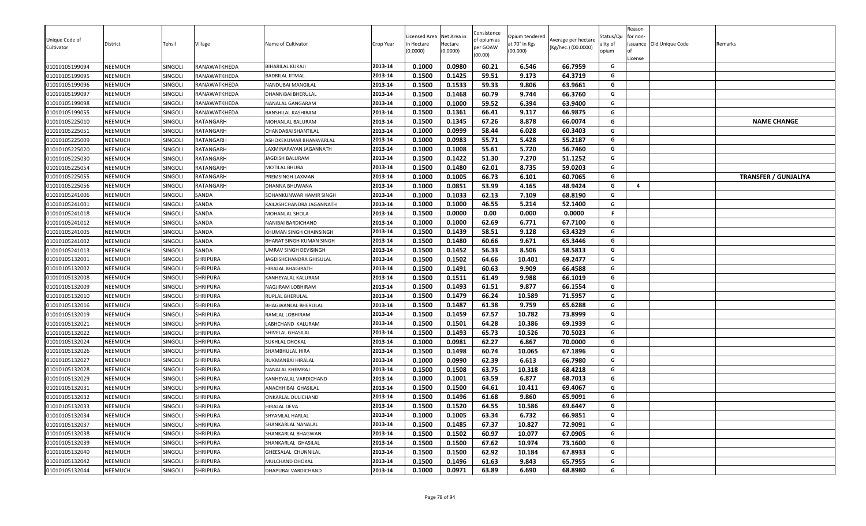| Unique Code of<br>Cultivator     | District<br>NEEMUCH | Tehsil             | Village<br>RANAWATKHEDA | Name of Cultivator<br>BIHARILAL KUKAJI | Crop Year<br>2013-14 | Licensed Area<br>า Hectare<br>(0.0000)<br>0.1000 | Net Area in<br>Hectare<br>(0.0000)<br>0.0980 | Consistence<br>of opium as<br>per GOAW<br>(00.00)<br>60.21 | Opium tendered<br>at 70° in Kgs<br>(00.000) | Average per hectare<br>(Kg/hec.) (00.0000)<br>66.7959 | Status/Qu<br>ality of<br>opium<br>G | Reason<br>for non-<br>License | issuance Old Unique Code | Remarks                     |
|----------------------------------|---------------------|--------------------|-------------------------|----------------------------------------|----------------------|--------------------------------------------------|----------------------------------------------|------------------------------------------------------------|---------------------------------------------|-------------------------------------------------------|-------------------------------------|-------------------------------|--------------------------|-----------------------------|
| 01010105199094                   |                     | <b>SINGOLI</b>     | RANAWATKHEDA            |                                        | 2013-14              |                                                  |                                              |                                                            | 6.546                                       |                                                       | G                                   |                               |                          |                             |
| 01010105199095<br>01010105199096 | NEEMUCH<br>NEEMUCH  | SINGOLI<br>SINGOLI | RANAWATKHEDA            | BADRILAL JITMAL<br>NANDUBAI MANGILAL   | 2013-14              | 0.1500<br>0.1500                                 | 0.1425<br>0.1533                             | 59.51<br>59.33                                             | 9.173<br>9.806                              | 64.3719<br>63.9661                                    | G                                   |                               |                          |                             |
|                                  | NEEMUCH             | SINGOLI            | RANAWATKHEDA            |                                        | 2013-14              | 0.1500                                           | 0.1468                                       | 60.79                                                      | 9.744                                       | 66.3760                                               | G                                   |                               |                          |                             |
| 01010105199097<br>01010105199098 | NEEMUCH             | SINGOLI            | RANAWATKHEDA            | DHANNIBAI BHERULAL<br>NANALAL GANGARAM | 2013-14              | 0.1000                                           | 0.1000                                       | 59.52                                                      | 6.394                                       | 63.9400                                               | G                                   |                               |                          |                             |
| 01010105199055                   | NEEMUCH             | <b>SINGOLI</b>     | RANAWATKHEDA            | BANSHILAL KASHIRAM                     | 2013-14              | 0.1500                                           | 0.1361                                       | 66.41                                                      | 9.117                                       | 66.9875                                               | G                                   |                               |                          |                             |
| 01010105225010                   | NEEMUCH             | SINGOLI            | RATANGARH               | <b>MOHANLAL BALURAM</b>                | 2013-14              | 0.1500                                           | 0.1345                                       | 67.26                                                      | 8.878                                       | 66.0074                                               | G                                   |                               |                          | <b>NAME CHANGE</b>          |
| 01010105225051                   | NEEMUCH             | SINGOLI            | RATANGARH               | CHANDABAI SHANTILAI                    | 2013-14              | 0.1000                                           | 0.0999                                       | 58.44                                                      | 6.028                                       | 60.3403                                               | G                                   |                               |                          |                             |
| 01010105225009                   | NEEMUCH             | SINGOLI            | RATANGARH               | ASHOKEKUMAR BHANWARLAL                 | 2013-14              | 0.1000                                           | 0.0983                                       | 55.71                                                      | 5.428                                       | 55.2187                                               | G                                   |                               |                          |                             |
| 01010105225020                   | NEEMUCH             | SINGOLI            | RATANGARH               | LAXMINARAYAN JAGANNATH                 | 2013-14              | 0.1000                                           | 0.1008                                       | 55.61                                                      | 5.720                                       | 56.7460                                               | G                                   |                               |                          |                             |
| 01010105225030                   | NEEMUCH             | SINGOLI            | RATANGARH               | JAGDISH BALURAM                        | 2013-14              | 0.1500                                           | 0.1422                                       | 51.30                                                      | 7.270                                       | 51.1252                                               | G                                   |                               |                          |                             |
| 01010105225054                   | <b>NEEMUCH</b>      | SINGOLI            | RATANGARH               | MOTILAL BHURA                          | 2013-14              | 0.1500                                           | 0.1480                                       | 62.01                                                      | 8.735                                       | 59.0203                                               | G                                   |                               |                          |                             |
| 01010105225055                   | NEEMUCH             | SINGOLI            | RATANGARH               | PREMSINGH LAXMAN                       | 2013-14              | 0.1000                                           | 0.1005                                       | 66.73                                                      | 6.101                                       | 60.7065                                               | G                                   |                               |                          | <b>TRANSFER / GUNJALIYA</b> |
| 01010105225056                   | NEEMUCH             | <b>SINGOLI</b>     | RATANGARH               | DHANNA BHUWANA                         | 2013-14              | 0.1000                                           | 0.0851                                       | 53.99                                                      | 4.165                                       | 48.9424                                               | G                                   | 4                             |                          |                             |
| 01010105241006                   | NEEMUCH             | SINGOLI            | SANDA                   | SOHANKUNWAR HAMIR SINGH                | 2013-14              | 0.1000                                           | 0.1033                                       | 62.13                                                      | 7.109                                       | 68.8190                                               | G                                   |                               |                          |                             |
| 01010105241001                   | NEEMUCH             | <b>SINGOLI</b>     | SANDA                   | KAILASHCHANDRA JAGANNATH               | 2013-14              | 0.1000                                           | 0.1000                                       | 46.55                                                      | 5.214                                       | 52.1400                                               | G                                   |                               |                          |                             |
| 01010105241018                   | NEEMUCH             | SINGOLI            | SANDA                   | MOHANLAL SHOLA                         | 2013-14              | 0.1500                                           | 0.0000                                       | 0.00                                                       | 0.000                                       | 0.0000                                                | F.                                  |                               |                          |                             |
| 01010105241012                   | NEEMUCH             | SINGOLI            | SANDA                   | NANIBAI BARDICHAND                     | 2013-14              | 0.1000                                           | 0.1000                                       | 62.69                                                      | 6.771                                       | 67.7100                                               | G                                   |                               |                          |                             |
| 01010105241005                   | NEEMUCH             | SINGOLI            | SANDA                   | KHUMAN SINGH CHAINSINGH                | 2013-14              | 0.1500                                           | 0.1439                                       | 58.51                                                      | 9.128                                       | 63.4329                                               | G                                   |                               |                          |                             |
| 01010105241002                   | NEEMUCH             | SINGOLI            | SANDA                   | BHARAT SINGH KUMAN SINGH               | 2013-14              | 0.1500                                           | 0.1480                                       | 60.66                                                      | 9.671                                       | 65.3446                                               | G                                   |                               |                          |                             |
| 01010105241013                   | NEEMUCH             | SINGOLI            | SANDA                   | UMRAV SINGH DEVISINGH                  | 2013-14              | 0.1500                                           | 0.1452                                       | 56.33                                                      | 8.506                                       | 58.5813                                               | G                                   |                               |                          |                             |
| 01010105132001                   | NEEMUCH             | SINGOLI            | SHRIPURA                | JAGDISHCHANDRA GHISULAL                | 2013-14              | 0.1500                                           | 0.1502                                       | 64.66                                                      | 10.401                                      | 69.2477                                               | G                                   |                               |                          |                             |
| 01010105132002                   | NEEMUCH             | SINGOLI            | SHRIPURA                | HIRALAL BHAGIRATH                      | 2013-14              | 0.1500                                           | 0.1491                                       | 60.63                                                      | 9.909                                       | 66.4588                                               | G                                   |                               |                          |                             |
| 01010105132008                   | NEEMUCH             | SINGOLI            | SHRIPURA                | KANHEYALAL KALURAM                     | 2013-14              | 0.1500                                           | 0.1511                                       | 61.49                                                      | 9.988                                       | 66.1019                                               | G                                   |                               |                          |                             |
| 01010105132009                   | NEEMUCH             | <b>SINGOLI</b>     | SHRIPURA                | NAGJIRAM LOBHIRAM                      | 2013-14              | 0.1500                                           | 0.1493                                       | 61.51                                                      | 9.877                                       | 66.1554                                               | G                                   |                               |                          |                             |
| 01010105132010                   | NEEMUCH             | SINGOLI            | SHRIPURA                | RUPLAL BHERULAL                        | 2013-14              | 0.1500                                           | 0.1479                                       | 66.24                                                      | 10.589                                      | 71.5957                                               | G                                   |                               |                          |                             |
| 01010105132016                   | NEEMUCH             | SINGOLI            | <b>SHRIPURA</b>         | BHAGWANLAL BHERULAL                    | 2013-14              | 0.1500                                           | 0.1487                                       | 61.38                                                      | 9.759                                       | 65.6288                                               | G                                   |                               |                          |                             |
| 01010105132019                   | NEEMUCH             | SINGOLI            | SHRIPURA                | RAMLAL LOBHIRAM                        | 2013-14              | 0.1500                                           | 0.1459                                       | 67.57                                                      | 10.782                                      | 73.8999                                               | G                                   |                               |                          |                             |
| 01010105132021                   | NEEMUCH             | SINGOLI            | SHRIPURA                | ABHCHAND KALURAM                       | 2013-14              | 0.1500                                           | 0.1501                                       | 64.28                                                      | 10.386                                      | 69.1939                                               | G                                   |                               |                          |                             |
| 01010105132022                   | NEEMUCH             | SINGOLI            | SHRIPURA                | SHIVELAL GHASILAL                      | 2013-14              | 0.1500                                           | 0.1493                                       | 65.73                                                      | 10.526                                      | 70.5023                                               | G                                   |                               |                          |                             |
| 01010105132024                   | NEEMUCH             | SINGOLI            | SHRIPURA                | SUKHLAL DHOKAL                         | 2013-14              | 0.1000                                           | 0.0981                                       | 62.27                                                      | 6.867                                       | 70.0000                                               | G                                   |                               |                          |                             |
| 01010105132026                   | NEEMUCH             | SINGOLI            | SHRIPURA                | SHAMBHULAL HIRA                        | 2013-14              | 0.1500                                           | 0.1498                                       | 60.74                                                      | 10.065                                      | 67.1896                                               | G                                   |                               |                          |                             |
| 01010105132027                   | NEEMUCH             | SINGOLI            | <b>SHRIPURA</b>         | RUKMANBAI HIRALAL                      | 2013-14              | 0.1000                                           | 0.0990                                       | 62.39                                                      | 6.613                                       | 66.7980                                               | G                                   |                               |                          |                             |
| 01010105132028                   | NEEMUCH             | SINGOLI            | SHRIPURA                | NANALAL KHEMRAJ                        | 2013-14              | 0.1500                                           | 0.1508                                       | 63.75                                                      | 10.318                                      | 68.4218                                               | G                                   |                               |                          |                             |
| 01010105132029                   | NEEMUCH             | SINGOLI            | <b>SHRIPURA</b>         | KANHEYALAL VARDICHAND                  | 2013-14              | 0.1000                                           | 0.1001                                       | 63.59                                                      | 6.877                                       | 68.7013                                               | G                                   |                               |                          |                             |
| 01010105132031                   | NEEMUCH             | SINGOLI            | SHRIPURA                | ANACHHIBAI GHASILAI                    | 2013-14              | 0.1500                                           | 0.1500                                       | 64.61                                                      | 10.411                                      | 69.4067                                               | G                                   |                               |                          |                             |
| 01010105132032                   | NEEMUCH             | SINGOLI            | SHRIPURA                | ONKARLAL DULICHAND                     | 2013-14              | 0.1500                                           | 0.1496                                       | 61.68                                                      | 9.860                                       | 65.9091                                               | G                                   |                               |                          |                             |
| 01010105132033                   | NEEMUCH             | SINGOLI            | <b>SHRIPURA</b>         | HIRALAL DEVA                           | 2013-14              | 0.1500                                           | 0.1520                                       | 64.55                                                      | 10.586                                      | 69.6447                                               | G                                   |                               |                          |                             |
| 01010105132034                   | NEEMUCH             | SINGOLI            | SHRIPURA                | SHYAMLAL HARLAL                        | 2013-14              | 0.1000                                           | 0.1005                                       | 63.34                                                      | 6.732                                       | 66.9851                                               | G                                   |                               |                          |                             |
| 01010105132037                   | NEEMUCH             | SINGOLI            | SHRIPURA                | SHANKARLAL NANALAL                     | 2013-14              | 0.1500                                           | 0.1485                                       | 67.37                                                      | 10.827                                      | 72.9091                                               | G                                   |                               |                          |                             |
| 01010105132038                   | NEEMUCH             | SINGOLI            | SHRIPURA                | SHANKARLAL BHAGWAN                     | 2013-14              | 0.1500                                           | 0.1502                                       | 60.97                                                      | 10.077                                      | 67.0905                                               | G                                   |                               |                          |                             |
| 01010105132039                   | NEEMUCH             | SINGOLI            | SHRIPURA                | SHANKARLAL GHASILAL                    | 2013-14              | 0.1500                                           | 0.1500                                       | 67.62                                                      | 10.974                                      | 73.1600                                               | G                                   |                               |                          |                             |
| 01010105132040                   | NEEMUCH             | SINGOLI            | SHRIPURA                | GHEESALAL CHUNNILAL                    | 2013-14              | 0.1500                                           | 0.1500                                       | 62.92                                                      | 10.184                                      | 67.8933                                               | G                                   |                               |                          |                             |
| 01010105132042                   | NEEMUCH             | SINGOLI            | SHRIPURA                | MULCHAND DHOKAL                        | 2013-14              | 0.1500                                           | 0.1496                                       | 61.63                                                      | 9.843                                       | 65.7955                                               | G                                   |                               |                          |                             |
| 01010105132044                   | NEEMUCH             | SINGOLI            | SHRIPURA                | DHAPUBAI VARDICHAND                    | 2013-14              | 0.1000                                           | 0.0971                                       | 63.89                                                      | 6.690                                       | 68.8980                                               | G                                   |                               |                          |                             |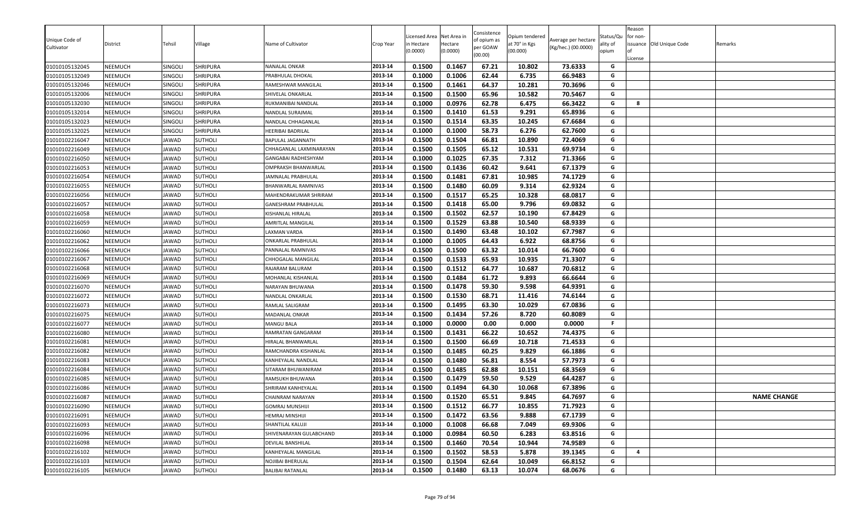| Unique Code of | District       | Tehsil       | Village        | Name of Cultivator      | Crop Year | icensed Area<br>n Hectare | Net Area in<br>Hectare | Consistence<br>of opium as | Opium tendered<br>at 70° in Kgs | Average per hectare | Status/Qu<br>ality of | Reason<br>for non- | issuance Old Unique Code | Remarks            |
|----------------|----------------|--------------|----------------|-------------------------|-----------|---------------------------|------------------------|----------------------------|---------------------------------|---------------------|-----------------------|--------------------|--------------------------|--------------------|
| Cultivator     |                |              |                |                         |           | (0.0000)                  | (0.0000)               | per GOAW<br>(00.00)        | (00.000)                        | (Kg/hec.) (00.0000) | opium                 | License            |                          |                    |
| 01010105132045 | <b>NEEMUCH</b> | SINGOLI      | SHRIPURA       | NANALAL ONKAR           | 2013-14   | 0.1500                    | 0.1467                 | 67.21                      | 10.802                          | 73.6333             | G                     |                    |                          |                    |
| 01010105132049 | <b>NEEMUCH</b> | SINGOLI      | SHRIPURA       | PRABHULAL DHOKAL        | 2013-14   | 0.1000                    | 0.1006                 | 62.44                      | 6.735                           | 66.9483             | G                     |                    |                          |                    |
| 01010105132046 | <b>NEEMUCH</b> | SINGOLI      | SHRIPURA       | RAMESHWAR MANGILAL      | 2013-14   | 0.1500                    | 0.1461                 | 64.37                      | 10.281                          | 70.3696             | G                     |                    |                          |                    |
| 01010105132006 | <b>NEEMUCH</b> | SINGOLI      | SHRIPURA       | SHIVELAL ONKARLAL       | 2013-14   | 0.1500                    | 0.1500                 | 65.96                      | 10.582                          | 70.5467             | G                     |                    |                          |                    |
| 01010105132030 | <b>NEEMUCH</b> | SINGOLI      | SHRIPURA       | RUKMANIBAI NANDLAL      | 2013-14   | 0.1000                    | 0.0976                 | 62.78                      | 6.475                           | 66.3422             | G                     | 8                  |                          |                    |
| 01010105132014 | <b>NEEMUCH</b> | SINGOLI      | SHRIPURA       | NANDLAL SURAJMAL        | 2013-14   | 0.1500                    | 0.1410                 | 61.53                      | 9.291                           | 65.8936             | G                     |                    |                          |                    |
| 01010105132023 | <b>NEEMUCH</b> | SINGOLI      | SHRIPURA       | NANDLAL CHHAGANLAL      | 2013-14   | 0.1500                    | 0.1514                 | 63.35                      | 10.245                          | 67.6684             | G                     |                    |                          |                    |
| 01010105132025 | <b>NEEMUCH</b> | SINGOLI      | SHRIPURA       | HEERIBAI BADRILAL       | 2013-14   | 0.1000                    | 0.1000                 | 58.73                      | 6.276                           | 62.7600             | G                     |                    |                          |                    |
| 01010102216047 | NEEMUCH        | JAWAD        | SUTHOLI        | BAPULAL JAGANNATH       | 2013-14   | 0.1500                    | 0.1504                 | 66.81                      | 10.890                          | 72.4069             | G                     |                    |                          |                    |
| 01010102216049 | <b>NEEMUCH</b> | <b>JAWAD</b> | <b>SUTHOLI</b> | CHHAGANLAL LAXMINARAYAN | 2013-14   | 0.1500                    | 0.1505                 | 65.12                      | 10.531                          | 69.9734             | G                     |                    |                          |                    |
| 01010102216050 | <b>NEEMUCH</b> | JAWAD        | <b>SUTHOLI</b> | GANGABAI RADHESHYAM     | 2013-14   | 0.1000                    | 0.1025                 | 67.35                      | 7.312                           | 71.3366             | G                     |                    |                          |                    |
| 01010102216053 | <b>NEEMUCH</b> | JAWAD        | <b>SUTHOLI</b> | OMPRAKSH BHANWARLAL     | 2013-14   | 0.1500                    | 0.1436                 | 60.42                      | 9.641                           | 67.1379             | G                     |                    |                          |                    |
| 01010102216054 | <b>NEEMUCH</b> | JAWAD        | <b>SUTHOLI</b> | JAMNALAL PRABHULAL      | 2013-14   | 0.1500                    | 0.1481                 | 67.81                      | 10.985                          | 74.1729             | G                     |                    |                          |                    |
| 01010102216055 | <b>NEEMUCH</b> | JAWAD        | <b>SUTHOLI</b> | BHANWARLAL RAMNIVAS     | 2013-14   | 0.1500                    | 0.1480                 | 60.09                      | 9.314                           | 62.9324             | G                     |                    |                          |                    |
| 01010102216056 | <b>NEEMUCH</b> | JAWAD        | <b>SUTHOLI</b> | MAHENDRAKUMAR SHRIRAM   | 2013-14   | 0.1500                    | 0.1517                 | 65.25                      | 10.328                          | 68.0817             | G                     |                    |                          |                    |
| 01010102216057 | <b>NEEMUCH</b> | JAWAD        | <b>SUTHOLI</b> | GANESHRAM PRABHULAL     | 2013-14   | 0.1500                    | 0.1418                 | 65.00                      | 9.796                           | 69.0832             | G                     |                    |                          |                    |
| 01010102216058 | <b>NEEMUCH</b> | JAWAD        | <b>SUTHOLI</b> | KISHANLAL HIRALAL       | 2013-14   | 0.1500                    | 0.1502                 | 62.57                      | 10.190                          | 67.8429             | G                     |                    |                          |                    |
| 01010102216059 | <b>NEEMUCH</b> | <b>JAWAD</b> | <b>SUTHOLI</b> | AMRITLAL MANGILAL       | 2013-14   | 0.1500                    | 0.1529                 | 63.88                      | 10.540                          | 68.9339             | G                     |                    |                          |                    |
| 01010102216060 | <b>NEEMUCH</b> | <b>JAWAD</b> | <b>SUTHOLI</b> | LAXMAN VARDA            | 2013-14   | 0.1500                    | 0.1490                 | 63.48                      | 10.102                          | 67.7987             | G                     |                    |                          |                    |
| 01010102216062 | <b>NEEMUCH</b> | <b>JAWAD</b> | <b>SUTHOLI</b> | ONKARLAL PRABHULAL      | 2013-14   | 0.1000                    | 0.1005                 | 64.43                      | 6.922                           | 68.8756             | G                     |                    |                          |                    |
| 01010102216066 | <b>NEEMUCH</b> | JAWAD        | <b>SUTHOLI</b> | PANNALAL RAMNIVAS       | 2013-14   | 0.1500                    | 0.1500                 | 63.32                      | 10.014                          | 66.7600             | G                     |                    |                          |                    |
| 01010102216067 | <b>NEEMUCH</b> | JAWAD        | <b>SUTHOLI</b> | CHHOGALAL MANGILAL      | 2013-14   | 0.1500                    | 0.1533                 | 65.93                      | 10.935                          | 71.3307             | G                     |                    |                          |                    |
| 01010102216068 | <b>NEEMUCH</b> | <b>JAWAD</b> | <b>SUTHOLI</b> | RAJARAM BALURAM         | 2013-14   | 0.1500                    | 0.1512                 | 64.77                      | 10.687                          | 70.6812             | G                     |                    |                          |                    |
| 01010102216069 | <b>NEEMUCH</b> | JAWAD        | <b>SUTHOLI</b> | MOHANLAL KISHANLAL      | 2013-14   | 0.1500                    | 0.1484                 | 61.72                      | 9.893                           | 66.6644             | G                     |                    |                          |                    |
| 01010102216070 | <b>NEEMUCH</b> | JAWAD        | <b>SUTHOLI</b> | NARAYAN BHUWANA         | 2013-14   | 0.1500                    | 0.1478                 | 59.30                      | 9.598                           | 64.9391             | G                     |                    |                          |                    |
| 01010102216072 | <b>NEEMUCH</b> | JAWAD        | <b>SUTHOLI</b> | NANDLAL ONKARLAL        | 2013-14   | 0.1500                    | 0.1530                 | 68.71                      | 11.416                          | 74.6144             | G                     |                    |                          |                    |
| 01010102216073 | <b>NEEMUCH</b> | <b>JAWAD</b> | <b>SUTHOLI</b> | RAMLAL SALIGRAM         | 2013-14   | 0.1500                    | 0.1495                 | 63.30                      | 10.029                          | 67.0836             | G                     |                    |                          |                    |
| 01010102216075 | <b>NEEMUCH</b> | <b>JAWAD</b> | <b>SUTHOLI</b> | MADANLAL ONKAR          | 2013-14   | 0.1500                    | 0.1434                 | 57.26                      | 8.720                           | 60.8089             | G                     |                    |                          |                    |
| 01010102216077 | <b>NEEMUCH</b> | JAWAD        | SUTHOLI        | MANGU BALA              | 2013-14   | 0.1000                    | 0.0000                 | 0.00                       | 0.000                           | 0.0000              | F.                    |                    |                          |                    |
| 01010102216080 | <b>NEEMUCH</b> | JAWAD        | SUTHOLI        | RAMRATAN GANGARAM       | 2013-14   | 0.1500                    | 0.1431                 | 66.22                      | 10.652                          | 74.4375             | G                     |                    |                          |                    |
| 01010102216081 | <b>NEEMUCH</b> | JAWAD        | <b>SUTHOLI</b> | HIRALAL BHANWARLAL      | 2013-14   | 0.1500                    | 0.1500                 | 66.69                      | 10.718                          | 71.4533             | G                     |                    |                          |                    |
| 01010102216082 | <b>NEEMUCH</b> | JAWAD        | <b>SUTHOLI</b> | RAMCHANDRA KISHANLAL    | 2013-14   | 0.1500                    | 0.1485                 | 60.25                      | 9.829                           | 66.1886             | G                     |                    |                          |                    |
| 01010102216083 | <b>NEEMUCH</b> | JAWAD        | <b>SUTHOLI</b> | KANHEYALAL NANDLAL      | 2013-14   | 0.1500                    | 0.1480                 | 56.81                      | 8.554                           | 57.7973             | G                     |                    |                          |                    |
| 01010102216084 | <b>NEEMUCH</b> | JAWAD        | <b>SUTHOLI</b> | SITARAM BHUWANIRAM      | 2013-14   | 0.1500                    | 0.1485                 | 62.88                      | 10.151                          | 68.3569             | G                     |                    |                          |                    |
| 01010102216085 | <b>NEEMUCH</b> | JAWAD        | <b>SUTHOLI</b> | RAMSUKH BHUWANA         | 2013-14   | 0.1500                    | 0.1479                 | 59.50                      | 9.529                           | 64.4287             | G                     |                    |                          |                    |
| 01010102216086 | <b>NEEMUCH</b> | <b>JAWAD</b> | <b>SUTHOLI</b> | SHRIRAM KANHEYALAL      | 2013-14   | 0.1500                    | 0.1494                 | 64.30                      | 10.068                          | 67.3896             | G                     |                    |                          |                    |
| 01010102216087 | <b>NEEMUCH</b> | <b>JAWAD</b> | Sutholi        | CHAINRAM NARAYAN        | 2013-14   | 0.1500                    | 0.1520                 | 65.51                      | 9.845                           | 64.7697             | G                     |                    |                          | <b>NAME CHANGE</b> |
| 01010102216090 | <b>NEEMUCH</b> | JAWAD        | <b>SUTHOLI</b> | GOMRAJ MUNSHIJI         | 2013-14   | 0.1500                    | 0.1512                 | 66.77                      | 10.855                          | 71.7923             | G                     |                    |                          |                    |
| 01010102216091 | <b>NEEMUCH</b> | JAWAD        | SUTHOLI        | HEMRAJ MINSHIJI         | 2013-14   | 0.1500                    | 0.1472                 | 63.56                      | 9.888                           | 67.1739             | G                     |                    |                          |                    |
| 01010102216093 | NEEMUCH        | JAWAD        | SUTHOLI        | SHANTILAL KALUJI        | 2013-14   | 0.1000                    | 0.1008                 | 66.68                      | 7.049                           | 69.9306             | G                     |                    |                          |                    |
| 01010102216096 | NEEMUCH        | JAWAD        | SUTHOLI        | SHIVENARAYAN GULABCHAND | 2013-14   | 0.1000                    | 0.0984                 | 60.50                      | 6.283                           | 63.8516             | G                     |                    |                          |                    |
| 01010102216098 | <b>NEEMUCH</b> | JAWAD        | <b>SUTHOLI</b> | DEVILAL BANSHILAL       | 2013-14   | 0.1500                    | 0.1460                 | 70.54                      | 10.944                          | 74.9589             | G                     |                    |                          |                    |
| 01010102216102 | NEEMUCH        | JAWAD        | SUTHOLI        | KANHEYALAL MANGILAL     | 2013-14   | 0.1500                    | 0.1502                 | 58.53                      | 5.878                           | 39.1345             | G                     | 4                  |                          |                    |
| 01010102216103 | NEEMUCH        | JAWAD        | <b>SUTHOLI</b> | NOJIBAI BHERULAL        | 2013-14   | 0.1500                    | 0.1504                 | 62.64                      | 10.049                          | 66.8152             | G                     |                    |                          |                    |
| 01010102216105 | NEEMUCH        | JAWAD        | <b>SUTHOLI</b> | <b>BALIBAI RATANLAL</b> | 2013-14   | 0.1500                    | 0.1480                 | 63.13                      | 10.074                          | 68.0676             | G                     |                    |                          |                    |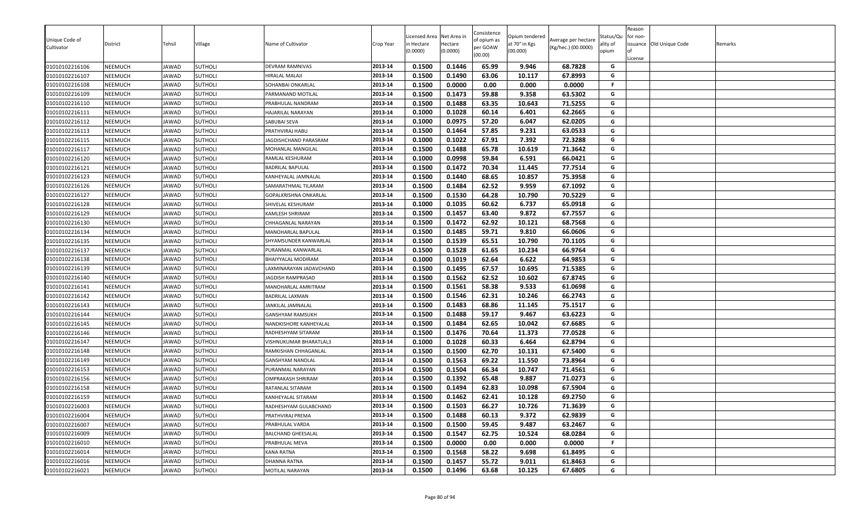|                              |                |              |                |                          |           | icensed Area | Net Area in | Consistence             | Opium tendered |                                            | Status/Qu | Reason<br>for non- |                          |         |
|------------------------------|----------------|--------------|----------------|--------------------------|-----------|--------------|-------------|-------------------------|----------------|--------------------------------------------|-----------|--------------------|--------------------------|---------|
| Unique Code of<br>Cultivator | District       | Tehsil       | Village        | Name of Cultivator       | Crop Year | n Hectare    | Hectare     | of opium as<br>per GOAW | at 70° in Kgs  | Average per hectare<br>(Kg/hec.) (00.0000) | ality of  |                    | issuance Old Unique Code | Remarks |
|                              |                |              |                |                          |           | (0.0000)     | (0.0000)    | (00.00)                 | (00.000)       |                                            | opium     |                    |                          |         |
| 01010102216106               | <b>NEEMUCH</b> | JAWAD        | <b>SUTHOLI</b> | DEVRAM RAMNIVAS          | 2013-14   | 0.1500       | 0.1446      | 65.99                   | 9.946          | 68.7828                                    | G         | License            |                          |         |
| 01010102216107               | <b>NEEMUCH</b> | JAWAD        | <b>SUTHOLI</b> | HIRALAL MALAJI           | 2013-14   | 0.1500       | 0.1490      | 63.06                   | 10.117         | 67.8993                                    | G         |                    |                          |         |
| 01010102216108               | <b>NEEMUCH</b> | JAWAD        | <b>SUTHOLI</b> | SOHANBAI ONKARLAL        | 2013-14   | 0.1500       | 0.0000      | 0.00                    | 0.000          | 0.0000                                     | F.        |                    |                          |         |
| 01010102216109               | NEEMUCH        | JAWAD        | <b>SUTHOLI</b> | PARMANAND MOTILAL        | 2013-14   | 0.1500       | 0.1473      | 59.88                   | 9.358          | 63.5302                                    | G         |                    |                          |         |
| 01010102216110               | <b>NEEMUCH</b> | <b>JAWAD</b> | <b>SUTHOLI</b> | PRABHULAL NANDRAM        | 2013-14   | 0.1500       | 0.1488      | 63.35                   | 10.643         | 71.5255                                    | G         |                    |                          |         |
| 01010102216111               | <b>NEEMUCH</b> | JAWAD        | <b>SUTHOLI</b> | HAJARILAL NARAYAN        | 2013-14   | 0.1000       | 0.1028      | 60.14                   | 6.401          | 62.2665                                    | G         |                    |                          |         |
| 01010102216112               | NEEMUCH        | JAWAD        | SUTHOLI        | SABUBAI SEVA             | 2013-14   | 0.1000       | 0.0975      | 57.20                   | 6.047          | 62.0205                                    | G         |                    |                          |         |
| 01010102216113               | <b>NEEMUCH</b> | JAWAD        | <b>SUTHOLI</b> | PRATHVIRAJ HABU          | 2013-14   | 0.1500       | 0.1464      | 57.85                   | 9.231          | 63.0533                                    | G         |                    |                          |         |
| 01010102216115               | <b>NEEMUCH</b> | JAWAD        | <b>SUTHOLI</b> | JAGDISHCHAND PARASRAM    | 2013-14   | 0.1000       | 0.1022      | 67.91                   | 7.392          | 72.3288                                    | G         |                    |                          |         |
| 01010102216117               | <b>NEEMUCH</b> | <b>JAWAD</b> | SUTHOLI        | MOHANLAL MANGILAI        | 2013-14   | 0.1500       | 0.1488      | 65.78                   | 10.619         | 71.3642                                    | G         |                    |                          |         |
| 01010102216120               | <b>NEEMUCH</b> | JAWAD        | SUTHOLI        | RAMLAL KESHURAM          | 2013-14   | 0.1000       | 0.0998      | 59.84                   | 6.591          | 66.0421                                    | G         |                    |                          |         |
| 01010102216121               | <b>NEEMUCH</b> | JAWAD        | <b>SUTHOLI</b> | <b>BADRILAL BAPULAL</b>  | 2013-14   | 0.1500       | 0.1472      | 70.34                   | 11.445         | 77.7514                                    | G         |                    |                          |         |
| 01010102216123               | NEEMUCH        | JAWAD        | <b>SUTHOLI</b> | KANHEYALAL JAMNALAL      | 2013-14   | 0.1500       | 0.1440      | 68.65                   | 10.857         | 75.3958                                    | G         |                    |                          |         |
| 01010102216126               | NEEMUCH        | JAWAD        | <b>SUTHOLI</b> | SAMARATHMAL TILARAM      | 2013-14   | 0.1500       | 0.1484      | 62.52                   | 9.959          | 67.1092                                    | G         |                    |                          |         |
| 01010102216127               | <b>NEEMUCH</b> | JAWAD        | <b>SUTHOLI</b> | GOPALKRISHNA ONKARLAL    | 2013-14   | 0.1500       | 0.1530      | 64.28                   | 10.790         | 70.5229                                    | G         |                    |                          |         |
| 01010102216128               | <b>NEEMUCH</b> | JAWAD        | <b>SUTHOLI</b> | SHIVELAL KESHURAM        | 2013-14   | 0.1000       | 0.1035      | 60.62                   | 6.737          | 65.0918                                    | G         |                    |                          |         |
| 01010102216129               | <b>NEEMUCH</b> | JAWAD        | <b>SUTHOLI</b> | KAMLESH SHRIRAM          | 2013-14   | 0.1500       | 0.1457      | 63.40                   | 9.872          | 67.7557                                    | G         |                    |                          |         |
| 01010102216130               | <b>NEEMUCH</b> | <b>JAWAD</b> | <b>SUTHOLI</b> | CHHAGANLAL NARAYAN       | 2013-14   | 0.1500       | 0.1472      | 62.92                   | 10.121         | 68.7568                                    | G         |                    |                          |         |
| 01010102216134               | <b>NEEMUCH</b> | <b>JAWAD</b> | SUTHOLI        | MANOHARLAL BAPULAL       | 2013-14   | 0.1500       | 0.1485      | 59.71                   | 9.810          | 66.0606                                    | G         |                    |                          |         |
| 01010102216135               | NEEMUCH        | JAWAD        | <b>SUTHOLI</b> | SHYAMSUNDER KANWARLAL    | 2013-14   | 0.1500       | 0.1539      | 65.51                   | 10.790         | 70.1105                                    | G         |                    |                          |         |
| 01010102216137               | <b>NEEMUCH</b> | JAWAD        | <b>SUTHOLI</b> | PURANMAL KANWARLAL       | 2013-14   | 0.1500       | 0.1528      | 61.65                   | 10.234         | 66.9764                                    | G         |                    |                          |         |
| 01010102216138               | <b>NEEMUCH</b> | JAWAD        | <b>SUTHOLI</b> | BHAIYYALAL MODIRAM       | 2013-14   | 0.1000       | 0.1019      | 62.64                   | 6.622          | 64.9853                                    | G         |                    |                          |         |
| 01010102216139               | <b>NEEMUCH</b> | JAWAD        | <b>SUTHOLI</b> | LAXMINARAYAN JADAVCHAND  | 2013-14   | 0.1500       | 0.1495      | 67.57                   | 10.695         | 71.5385                                    | G         |                    |                          |         |
| 01010102216140               | <b>NEEMUCH</b> | JAWAD        | <b>SUTHOLI</b> | JAGDISH RAMPRASAD        | 2013-14   | 0.1500       | 0.1562      | 62.52                   | 10.602         | 67.8745                                    | G         |                    |                          |         |
| 01010102216141               | <b>NEEMUCH</b> | JAWAD        | SUTHOLI        | MANOHARLAL AMRITRAM      | 2013-14   | 0.1500       | 0.1561      | 58.38                   | 9.533          | 61.0698                                    | G         |                    |                          |         |
| 01010102216142               | <b>NEEMUCH</b> | JAWAD        | <b>SUTHOLI</b> | <b>BADRILAL LAXMAN</b>   | 2013-14   | 0.1500       | 0.1546      | 62.31                   | 10.246         | 66.2743                                    | G         |                    |                          |         |
| 01010102216143               | NEEMUCH        | <b>JAWAD</b> | <b>SUTHOLI</b> | JANKILAL JAMNALAL        | 2013-14   | 0.1500       | 0.1483      | 68.86                   | 11.145         | 75.1517                                    | G         |                    |                          |         |
| 01010102216144               | NEEMUCH        | <b>JAWAD</b> | <b>SUTHOLI</b> | GANSHYAM RAMSUKH         | 2013-14   | 0.1500       | 0.1488      | 59.17                   | 9.467          | 63.6223                                    | G         |                    |                          |         |
| 01010102216145               | NEEMUCH        | JAWAD        | <b>SUTHOLI</b> | NANDKISHORE KANHEYALAL   | 2013-14   | 0.1500       | 0.1484      | 62.65                   | 10.042         | 67.6685                                    | G         |                    |                          |         |
| 01010102216146               | <b>NEEMUCH</b> | JAWAD        | <b>SUTHOLI</b> | RADHESHYAM SITARAM       | 2013-14   | 0.1500       | 0.1476      | 70.64                   | 11.373         | 77.0528                                    | G         |                    |                          |         |
| 01010102216147               | <b>NEEMUCH</b> | JAWAD        | SUTHOLI        | VISHNUKUMAR BHARATLAL3   | 2013-14   | 0.1000       | 0.1028      | 60.33                   | 6.464          | 62.8794                                    | G         |                    |                          |         |
| 01010102216148               | <b>NEEMUCH</b> | JAWAD        | <b>SUTHOLI</b> | RAMKISHAN CHHAGANLAL     | 2013-14   | 0.1500       | 0.1500      | 62.70                   | 10.131         | 67.5400                                    | G         |                    |                          |         |
| 01010102216149               | <b>NEEMUCH</b> | JAWAD        | <b>SUTHOLI</b> | GANSHYAM NANDLAL         | 2013-14   | 0.1500       | 0.1563      | 69.22                   | 11.550         | 73.8964                                    | G         |                    |                          |         |
| 01010102216153               | <b>NEEMUCH</b> | JAWAD        | SUTHOLI        | PURANMAL NARAYAN         | 2013-14   | 0.1500       | 0.1504      | 66.34                   | 10.747         | 71.4561                                    | G         |                    |                          |         |
| 01010102216156               | <b>NEEMUCH</b> | JAWAD        | <b>SUTHOLI</b> | <b>OMPRAKASH SHRIRAM</b> | 2013-14   | 0.1500       | 0.1392      | 65.48                   | 9.887          | 71.0273                                    | G         |                    |                          |         |
| 01010102216158               | NEEMUCH        | <b>JAWAD</b> | <b>SUTHOLI</b> | RATANLAL SITARAM         | 2013-14   | 0.1500       | 0.1494      | 62.83                   | 10.098         | 67.5904                                    | G         |                    |                          |         |
| 01010102216159               | NEEMUCH        | JAWAD        | <b>SUTHOLI</b> | KANHEYALAL SITARAM       | 2013-14   | 0.1500       | 0.1462      | 62.41                   | 10.128         | 69.2750                                    | G         |                    |                          |         |
| 01010102216003               | <b>NEEMUCH</b> | JAWAD        | <b>SUTHOLI</b> | RADHESHYAM GULABCHAND    | 2013-14   | 0.1500       | 0.1503      | 66.27                   | 10.726         | 71.3639                                    | G         |                    |                          |         |
| 01010102216004               | <b>NEEMUCH</b> | JAWAD        | SUTHOLI        | PRATHVIRAJ PREMA         | 2013-14   | 0.1500       | 0.1488      | 60.13                   | 9.372          | 62.9839                                    | G         |                    |                          |         |
| 01010102216007               | <b>NEEMUCH</b> | JAWAD        | SUTHOLI        | PRABHULAL VARDA          | 2013-14   | 0.1500       | 0.1500      | 59.45                   | 9.487          | 63.2467                                    | G         |                    |                          |         |
| 01010102216009               | <b>NEEMUCH</b> | JAWAD        | SUTHOLI        | BALCHAND GHEESALAL       | 2013-14   | 0.1500       | 0.1547      | 62.75                   | 10.524         | 68.0284                                    | G         |                    |                          |         |
| 01010102216010               | <b>NEEMUCH</b> | JAWAD        | SUTHOLI        | PRABHULAL MEVA           | 2013-14   | 0.1500       | 0.0000      | 0.00                    | 0.000          | 0.0000                                     | F.        |                    |                          |         |
| 01010102216014               | <b>NEEMUCH</b> | JAWAD        | SUTHOLI        | <b>KANA RATNA</b>        | 2013-14   | 0.1500       | 0.1568      | 58.22                   | 9.698          | 61.8495                                    | G         |                    |                          |         |
| 01010102216016               | <b>NEEMUCH</b> | JAWAD        | <b>SUTHOLI</b> | <b>DHANNA RATNA</b>      | 2013-14   | 0.1500       | 0.1457      | 55.72                   | 9.011          | 61.8463                                    | G         |                    |                          |         |
| 01010102216021               | <b>NEEMUCH</b> | JAWAD        | SUTHOLI        | MOTILAL NARAYAN          | 2013-14   | 0.1500       | 0.1496      | 63.68                   | 10.125         | 67.6805                                    | G         |                    |                          |         |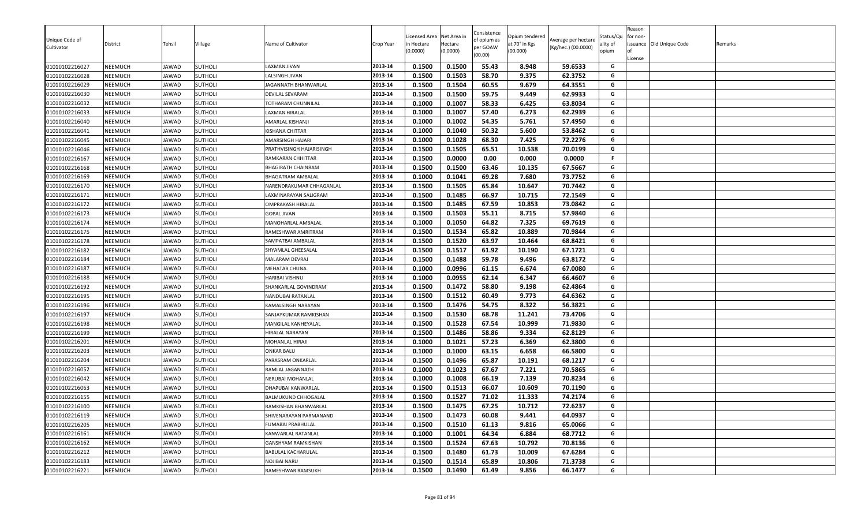|                              |                |              |                |                           |           | icensed Area | Net Area in | Consistence             | Opium tendered |                                            | Status/Qu | Reason<br>for non- |                          |         |
|------------------------------|----------------|--------------|----------------|---------------------------|-----------|--------------|-------------|-------------------------|----------------|--------------------------------------------|-----------|--------------------|--------------------------|---------|
| Unique Code of<br>Cultivator | District       | Tehsil       | Village        | Name of Cultivator        | Crop Year | n Hectare    | Hectare     | of opium as<br>per GOAW | at 70° in Kgs  | Average per hectare<br>(Kg/hec.) (00.0000) | ality of  |                    | issuance Old Unique Code | Remarks |
|                              |                |              |                |                           |           | (0.0000)     | (0.0000)    | (00.00)                 | (00.000)       |                                            | opium     |                    |                          |         |
| 01010102216027               | <b>NEEMUCH</b> | JAWAD        | <b>SUTHOLI</b> | LAXMAN JIVAN              | 2013-14   | 0.1500       | 0.1500      | 55.43                   | 8.948          | 59.6533                                    | G         | License            |                          |         |
| 01010102216028               | NEEMUCH        | JAWAD        | <b>SUTHOLI</b> | LALSINGH JIVAN            | 2013-14   | 0.1500       | 0.1503      | 58.70                   | 9.375          | 62.3752                                    | G         |                    |                          |         |
| 01010102216029               | <b>NEEMUCH</b> | JAWAD        | <b>SUTHOLI</b> | JAGANNATH BHANWARLAL      | 2013-14   | 0.1500       | 0.1504      | 60.55                   | 9.679          | 64.3551                                    | G         |                    |                          |         |
| 01010102216030               | NEEMUCH        | JAWAD        | <b>SUTHOLI</b> | DEVILAL SEVARAM           | 2013-14   | 0.1500       | 0.1500      | 59.75                   | 9.449          | 62.9933                                    | G         |                    |                          |         |
| 01010102216032               | NEEMUCH        | <b>JAWAD</b> | <b>SUTHOLI</b> | TOTHARAM CHUNNILAL        | 2013-14   | 0.1000       | 0.1007      | 58.33                   | 6.425          | 63.8034                                    | G         |                    |                          |         |
| 01010102216033               | <b>NEEMUCH</b> | JAWAD        | <b>SUTHOLI</b> | LAXMAN HIRALAL            | 2013-14   | 0.1000       | 0.1007      | 57.40                   | 6.273          | 62.2939                                    | G         |                    |                          |         |
| 01010102216040               | <b>NEEMUCH</b> | JAWAD        | SUTHOLI        | AMARLAL KISHANJI          | 2013-14   | 0.1000       | 0.1002      | 54.35                   | 5.761          | 57.4950                                    | G         |                    |                          |         |
| 01010102216041               | <b>NEEMUCH</b> | JAWAD        | <b>SUTHOLI</b> | KISHANA CHITTAR           | 2013-14   | 0.1000       | 0.1040      | 50.32                   | 5.600          | 53.8462                                    | G         |                    |                          |         |
| 01010102216045               | <b>NEEMUCH</b> | JAWAD        | <b>SUTHOLI</b> | AMARSINGH HAJARI          | 2013-14   | 0.1000       | 0.1028      | 68.30                   | 7.425          | 72.2276                                    | G         |                    |                          |         |
| 01010102216046               | <b>NEEMUCH</b> | <b>JAWAD</b> | SUTHOLI        | PRATHVISINGH HAJARISINGH  | 2013-14   | 0.1500       | 0.1505      | 65.51                   | 10.538         | 70.0199                                    | G         |                    |                          |         |
| 01010102216167               | <b>NEEMUCH</b> | JAWAD        | SUTHOLI        | RAMKARAN CHHITTAR         | 2013-14   | 0.1500       | 0.0000      | 0.00                    | 0.000          | 0.0000                                     | .F        |                    |                          |         |
| 01010102216168               | <b>NEEMUCH</b> | JAWAD        | <b>SUTHOLI</b> | <b>BHAGIRATH CHAINRAM</b> | 2013-14   | 0.1500       | 0.1500      | 63.46                   | 10.135         | 67.5667                                    | G         |                    |                          |         |
| 01010102216169               | NEEMUCH        | JAWAD        | <b>SUTHOLI</b> | <b>BHAGATRAM AMBALAL</b>  | 2013-14   | 0.1000       | 0.1041      | 69.28                   | 7.680          | 73.7752                                    | G         |                    |                          |         |
| 01010102216170               | NEEMUCH        | JAWAD        | <b>SUTHOLI</b> | NARENDRAKUMAR CHHAGANLAL  | 2013-14   | 0.1500       | 0.1505      | 65.84                   | 10.647         | 70.7442                                    | G         |                    |                          |         |
| 01010102216171               | <b>NEEMUCH</b> | JAWAD        | <b>SUTHOLI</b> | LAXMINARAYAN SALIGRAM     | 2013-14   | 0.1500       | 0.1485      | 66.97                   | 10.715         | 72.1549                                    | G         |                    |                          |         |
| 01010102216172               | <b>NEEMUCH</b> | JAWAD        | <b>SUTHOLI</b> | <b>OMPRAKASH HIRALAL</b>  | 2013-14   | 0.1500       | 0.1485      | 67.59                   | 10.853         | 73.0842                                    | G         |                    |                          |         |
| 01010102216173               | <b>NEEMUCH</b> | JAWAD        | <b>SUTHOLI</b> | <b>GOPAL JIVAN</b>        | 2013-14   | 0.1500       | 0.1503      | 55.11                   | 8.715          | 57.9840                                    | G         |                    |                          |         |
| 01010102216174               | <b>NEEMUCH</b> | <b>JAWAD</b> | <b>SUTHOLI</b> | MANOHARLAL AMBALAL        | 2013-14   | 0.1000       | 0.1050      | 64.82                   | 7.325          | 69.7619                                    | G         |                    |                          |         |
| 01010102216175               | <b>NEEMUCH</b> | <b>JAWAD</b> | <b>SUTHOLI</b> | RAMESHWAR AMRITRAM        | 2013-14   | 0.1500       | 0.1534      | 65.82                   | 10.889         | 70.9844                                    | G         |                    |                          |         |
| 01010102216178               | NEEMUCH        | JAWAD        | <b>SUTHOLI</b> | SAMPATBAI AMBALAL         | 2013-14   | 0.1500       | 0.1520      | 63.97                   | 10.464         | 68.8421                                    | G         |                    |                          |         |
| 01010102216182               | <b>NEEMUCH</b> | JAWAD        | <b>SUTHOLI</b> | SHYAMLAL GHEESALAL        | 2013-14   | 0.1500       | 0.1517      | 61.92                   | 10.190         | 67.1721                                    | G         |                    |                          |         |
| 01010102216184               | <b>NEEMUCH</b> | JAWAD        | <b>SUTHOLI</b> | MALARAM DEVRAJ            | 2013-14   | 0.1500       | 0.1488      | 59.78                   | 9.496          | 63.8172                                    | G         |                    |                          |         |
| 01010102216187               | NEEMUCH        | JAWAD        | <b>SUTHOLI</b> | MEHATAB CHUNA             | 2013-14   | 0.1000       | 0.0996      | 61.15                   | 6.674          | 67.0080                                    | G         |                    |                          |         |
| 01010102216188               | <b>NEEMUCH</b> | JAWAD        | <b>SUTHOLI</b> | HARIBAI VISHNU            | 2013-14   | 0.1000       | 0.0955      | 62.14                   | 6.347          | 66.4607                                    | G         |                    |                          |         |
| 01010102216192               | <b>NEEMUCH</b> | JAWAD        | SUTHOLI        | SHANKARLAL GOVINDRAM      | 2013-14   | 0.1500       | 0.1472      | 58.80                   | 9.198          | 62.4864                                    | G         |                    |                          |         |
| 01010102216195               | <b>NEEMUCH</b> | JAWAD        | <b>SUTHOLI</b> | NANDUBAI RATANLAL         | 2013-14   | 0.1500       | 0.1512      | 60.49                   | 9.773          | 64.6362                                    | G         |                    |                          |         |
| 01010102216196               | <b>NEEMUCH</b> | <b>JAWAD</b> | <b>SUTHOLI</b> | KAMALSINGH NARAYAN        | 2013-14   | 0.1500       | 0.1476      | 54.75                   | 8.322          | 56.3821                                    | G         |                    |                          |         |
| 01010102216197               | NEEMUCH        | <b>JAWAD</b> | <b>SUTHOLI</b> | SANJAYKUMAR RAMKISHAN     | 2013-14   | 0.1500       | 0.1530      | 68.78                   | 11.241         | 73.4706                                    | G         |                    |                          |         |
| 01010102216198               | NEEMUCH        | JAWAD        | <b>SUTHOLI</b> | MANGILAL KANHEYALAL       | 2013-14   | 0.1500       | 0.1528      | 67.54                   | 10.999         | 71.9830                                    | G         |                    |                          |         |
| 01010102216199               | <b>NEEMUCH</b> | JAWAD        | <b>SUTHOLI</b> | HIRALAL NARAYAN           | 2013-14   | 0.1500       | 0.1486      | 58.86                   | 9.334          | 62.8129                                    | G         |                    |                          |         |
| 01010102216201               | <b>NEEMUCH</b> | JAWAD        | SUTHOLI        | MOHANLAL HIRAJI           | 2013-14   | 0.1000       | 0.1021      | 57.23                   | 6.369          | 62.3800                                    | G         |                    |                          |         |
| 01010102216203               | <b>NEEMUCH</b> | JAWAD        | <b>SUTHOLI</b> | <b>ONKAR BALU</b>         | 2013-14   | 0.1000       | 0.1000      | 63.15                   | 6.658          | 66.5800                                    | G         |                    |                          |         |
| 01010102216204               | <b>NEEMUCH</b> | JAWAD        | <b>SUTHOLI</b> | PARASRAM ONKARLAL         | 2013-14   | 0.1500       | 0.1496      | 65.87                   | 10.191         | 68.1217                                    | G         |                    |                          |         |
| 01010102216052               | <b>NEEMUCH</b> | JAWAD        | SUTHOLI        | RAMLAL JAGANNATH          | 2013-14   | 0.1000       | 0.1023      | 67.67                   | 7.221          | 70.5865                                    | G         |                    |                          |         |
| 01010102216042               | <b>NEEMUCH</b> | JAWAD        | <b>SUTHOLI</b> | NERUBAI MOHANLAL          | 2013-14   | 0.1000       | 0.1008      | 66.19                   | 7.139          | 70.8234                                    | G         |                    |                          |         |
| 01010102216063               | NEEMUCH        | <b>JAWAD</b> | <b>SUTHOLI</b> | DHAPUBAI KANWARLAL        | 2013-14   | 0.1500       | 0.1513      | 66.07                   | 10.609         | 70.1190                                    | G         |                    |                          |         |
| 01010102216155               | NEEMUCH        | JAWAD        | <b>SUTHOLI</b> | BALMUKUND CHHOGALAL       | 2013-14   | 0.1500       | 0.1527      | 71.02                   | 11.333         | 74.2174                                    | G         |                    |                          |         |
| 01010102216100               | <b>NEEMUCH</b> | JAWAD        | <b>SUTHOLI</b> | RAMKISHAN BHANWARLAL      | 2013-14   | 0.1500       | 0.1475      | 67.25                   | 10.712         | 72.6237                                    | G         |                    |                          |         |
| 01010102216119               | <b>NEEMUCH</b> | JAWAD        | SUTHOLI        | SHIVENARAYAN PARMANAND    | 2013-14   | 0.1500       | 0.1473      | 60.08                   | 9.441          | 64.0937                                    | G         |                    |                          |         |
| 01010102216205               | <b>NEEMUCH</b> | JAWAD        | SUTHOLI        | FUMABAI PRABHULAL         | 2013-14   | 0.1500       | 0.1510      | 61.13                   | 9.816          | 65.0066                                    | G         |                    |                          |         |
| 01010102216161               | <b>NEEMUCH</b> | JAWAD        | SUTHOLI        | KANWARLAL RATANLAL        | 2013-14   | 0.1000       | 0.1001      | 64.34                   | 6.884          | 68.7712                                    | G         |                    |                          |         |
| 01010102216162               | <b>NEEMUCH</b> | JAWAD        | SUTHOLI        | GANSHYAM RAMKISHAN        | 2013-14   | 0.1500       | 0.1524      | 67.63                   | 10.792         | 70.8136                                    | G         |                    |                          |         |
| 01010102216212               | <b>NEEMUCH</b> | JAWAD        | <b>SUTHOLI</b> | BABULAL KACHARULAL        | 2013-14   | 0.1500       | 0.1480      | 61.73                   | 10.009         | 67.6284                                    | G         |                    |                          |         |
| 01010102216183               | <b>NEEMUCH</b> | JAWAD        | SUTHOLI        | NOJIBAI NARU              | 2013-14   | 0.1500       | 0.1514      | 65.89                   | 10.806         | 71.3738                                    | G         |                    |                          |         |
| 01010102216221               | <b>NEEMUCH</b> | JAWAD        | SUTHOLI        | RAMESHWAR RAMSUKH         | 2013-14   | 0.1500       | 0.1490      | 61.49                   | 9.856          | 66.1477                                    | G         |                    |                          |         |
|                              |                |              |                |                           |           |              |             |                         |                |                                            |           |                    |                          |         |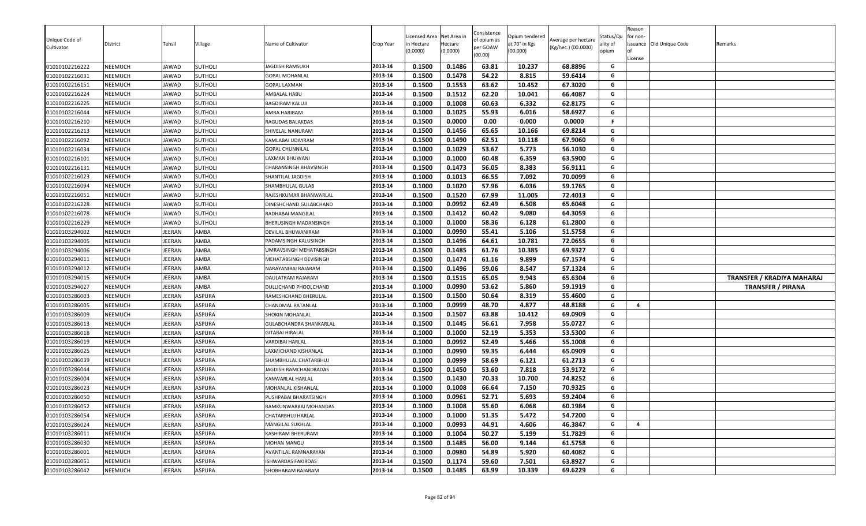| Unique Code of<br>Cultivator | District       | Tehsil       | ∕illage        | Name of Cultivator      | Crop Year | icensed Area<br>n Hectare<br>(0.0000) | Net Area in<br>Hectare<br>(0.0000) | Consistence<br>of opium as<br>per GOAW<br>(00.00) | Opium tendered<br>at 70° in Kgs<br>(00.000) | Average per hectare<br>(Kg/hec.) (00.0000) | Status/Qu<br>ality of<br>opium | Reason<br>for non-<br>License | issuance Old Unique Code | Remarks                    |
|------------------------------|----------------|--------------|----------------|-------------------------|-----------|---------------------------------------|------------------------------------|---------------------------------------------------|---------------------------------------------|--------------------------------------------|--------------------------------|-------------------------------|--------------------------|----------------------------|
| 01010102216222               | <b>NEEMUCH</b> | JAWAD        | <b>SUTHOLI</b> | JAGDISH RAMSUKH         | 2013-14   | 0.1500                                | 0.1486                             | 63.81                                             | 10.237                                      | 68.8896                                    | G                              |                               |                          |                            |
| 01010102216031               | <b>NEEMUCH</b> | <b>JAWAD</b> | SUTHOLI        | <b>GOPAL MOHANLAL</b>   | 2013-14   | 0.1500                                | 0.1478                             | 54.22                                             | 8.815                                       | 59.6414                                    | G                              |                               |                          |                            |
| 01010102216151               | <b>NEEMUCH</b> | <b>JAWAD</b> | <b>SUTHOLI</b> | <b>GOPAL LAXMAN</b>     | 2013-14   | 0.1500                                | 0.1553                             | 63.62                                             | 10.452                                      | 67.3020                                    | G                              |                               |                          |                            |
| 01010102216224               | <b>NEEMUCH</b> | JAWAD        | <b>SUTHOLI</b> | AMBALAL HABU            | 2013-14   | 0.1500                                | 0.1512                             | 62.20                                             | 10.041                                      | 66.4087                                    | G                              |                               |                          |                            |
| 01010102216225               | <b>NEEMUCH</b> | <b>JAWAD</b> | <b>SUTHOLI</b> | <b>BAGDIRAM KALUJ</b>   | 2013-14   | 0.1000                                | 0.1008                             | 60.63                                             | 6.332                                       | 62.8175                                    | G                              |                               |                          |                            |
| 01010102216044               | <b>NEEMUCH</b> | JAWAD        | <b>SUTHOLI</b> | AMRA HARIRAM            | 2013-14   | 0.1000                                | 0.1025                             | 55.93                                             | 6.016                                       | 58.6927                                    | G                              |                               |                          |                            |
| 01010102216210               | <b>NEEMUCH</b> | JAWAD        | SUTHOLI        | RAGUDAS BALAKDAS        | 2013-14   | 0.1500                                | 0.0000                             | 0.00                                              | 0.000                                       | 0.0000                                     | F                              |                               |                          |                            |
| 01010102216213               | <b>NEEMUCH</b> | JAWAD        | <b>SUTHOLI</b> | SHIVELAL NANURAM        | 2013-14   | 0.1500                                | 0.1456                             | 65.65                                             | 10.166                                      | 69.8214                                    | G                              |                               |                          |                            |
| 01010102216092               | <b>NEEMUCH</b> | <b>JAWAD</b> | <b>SUTHOLI</b> | KAMLABAI UDAYRAM        | 2013-14   | 0.1500                                | 0.1490                             | 62.51                                             | 10.118                                      | 67.9060                                    | G                              |                               |                          |                            |
| 01010102216034               | <b>NEEMUCH</b> | <b>JAWAD</b> | <b>SUTHOLI</b> | <b>GOPAL CHUNNILAL</b>  | 2013-14   | 0.1000                                | 0.1029                             | 53.67                                             | 5.773                                       | 56.1030                                    | G                              |                               |                          |                            |
| 01010102216101               | <b>NEEMUCH</b> | <b>JAWAD</b> | <b>SUTHOLI</b> | LAXMAN BHUWANI          | 2013-14   | 0.1000                                | 0.1000                             | 60.48                                             | 6.359                                       | 63.5900                                    | G                              |                               |                          |                            |
| 01010102216131               | <b>NEEMUCH</b> | JAWAD        | <b>SUTHOLI</b> | CHARANSINGH BHAVSINGH   | 2013-14   | 0.1500                                | 0.1473                             | 56.05                                             | 8.383                                       | 56.9111                                    | G                              |                               |                          |                            |
| 01010102216023               | <b>NEEMUCH</b> | JAWAD        | <b>SUTHOLI</b> | SHANTILAL JAGDISH       | 2013-14   | 0.1000                                | 0.1013                             | 66.55                                             | 7.092                                       | 70.0099                                    | G                              |                               |                          |                            |
| 01010102216094               | <b>NEEMUCH</b> | <b>JAWAD</b> | SUTHOLI        | SHAMBHULAL GULAB        | 2013-14   | 0.1000                                | 0.1020                             | 57.96                                             | 6.036                                       | 59.1765                                    | G                              |                               |                          |                            |
| 01010102216051               | <b>NEEMUCH</b> | JAWAD        | <b>SUTHOLI</b> | RAJESHKUMAR BHANWARLAL  | 2013-14   | 0.1500                                | 0.1520                             | 67.99                                             | 11.005                                      | 72.4013                                    | G                              |                               |                          |                            |
| 01010102216228               | <b>NEEMUCH</b> | JAWAD        | <b>SUTHOLI</b> | DINESHCHAND GULABCHAND  | 2013-14   | 0.1000                                | 0.0992                             | 62.49                                             | 6.508                                       | 65.6048                                    | G                              |                               |                          |                            |
| 01010102216078               | <b>NEEMUCH</b> | JAWAD        | <b>SUTHOLI</b> | RADHABAI MANGILAL       | 2013-14   | 0.1500                                | 0.1412                             | 60.42                                             | 9.080                                       | 64.3059                                    | G                              |                               |                          |                            |
| 01010102216229               | NEEMUCH        | <b>JAWAD</b> | <b>SUTHOLI</b> | BHERUSINGH MADANSINGH   | 2013-14   | 0.1000                                | 0.1000                             | 58.36                                             | 6.128                                       | 61.2800                                    | G                              |                               |                          |                            |
| 01010103294002               | <b>NEEMUCH</b> | JEERAN       | AMBA           | DEVILAL BHUWANIRAM      | 2013-14   | 0.1000                                | 0.0990                             | 55.41                                             | 5.106                                       | 51.5758                                    | G                              |                               |                          |                            |
| 01010103294005               | <b>NEEMUCH</b> | JEERAN       | AMBA           | PADAMSINGH KALUSINGH    | 2013-14   | 0.1500                                | 0.1496                             | 64.61                                             | 10.781                                      | 72.0655                                    | G                              |                               |                          |                            |
| 01010103294006               | <b>NEEMUCH</b> | JEERAN       | AMBA           | UMRAVSINGH MEHATABSINGH | 2013-14   | 0.1500                                | 0.1485                             | 61.76                                             | 10.385                                      | 69.9327                                    | G                              |                               |                          |                            |
| 01010103294011               | <b>NEEMUCH</b> | JEERAN       | AMBA           | MEHATABSINGH DEVISINGH  | 2013-14   | 0.1500                                | 0.1474                             | 61.16                                             | 9.899                                       | 67.1574                                    | G                              |                               |                          |                            |
| 01010103294012               | <b>NEEMUCH</b> | JEERAN       | AMBA           | NARAYANIBAI RAJARAM     | 2013-14   | 0.1500                                | 0.1496                             | 59.06                                             | 8.547                                       | 57.1324                                    | G                              |                               |                          |                            |
| 01010103294015               | <b>NEEMUCH</b> | JEERAN       | AMBA           | DAULATRAM RAJARAM       | 2013-14   | 0.1500                                | 0.1515                             | 65.05                                             | 9.943                                       | 65.6304                                    | G                              |                               |                          | TRANSFER / KRADIYA MAHARAJ |
| 01010103294027               | <b>NEEMUCH</b> | JEERAN       | AMBA           | DULLICHAND PHOOLCHAND   | 2013-14   | 0.1000                                | 0.0990                             | 53.62                                             | 5.860                                       | 59.1919                                    | G                              |                               |                          | <b>TRANSFER / PIRANA</b>   |
| 01010103286003               | <b>NEEMUCH</b> | JEERAN       | ASPURA         | RAMESHCHAND BHERULAL    | 2013-14   | 0.1500                                | 0.1500                             | 50.64                                             | 8.319                                       | 55.4600                                    | G                              |                               |                          |                            |
| 01010103286005               | <b>NEEMUCH</b> | JEERAN       | ASPURA         | CHANDMAL RATANLAL       | 2013-14   | 0.1000                                | 0.0999                             | 48.70                                             | 4.877                                       | 48.8188                                    | G                              | $\overline{a}$                |                          |                            |
| 01010103286009               | NEEMUCH        | JEERAN       | ASPURA         | SHOKIN MOHANLAL         | 2013-14   | 0.1500                                | 0.1507                             | 63.88                                             | 10.412                                      | 69.0909                                    | G                              |                               |                          |                            |
| 01010103286013               | <b>NEEMUCH</b> | JEERAN       | ASPURA         | GULABCHANDRA SHANKARLAL | 2013-14   | 0.1500                                | 0.1445                             | 56.61                                             | 7.958                                       | 55.0727                                    | G                              |                               |                          |                            |
| 01010103286018               | <b>NEEMUCH</b> | JEERAN       | ASPURA         | GITABAI HIRALAL         | 2013-14   | 0.1000                                | 0.1000                             | 52.19                                             | 5.353                                       | 53.5300                                    | G                              |                               |                          |                            |
| 01010103286019               | <b>NEEMUCH</b> | JEERAN       | ASPURA         | VARDIBAI HARLAL         | 2013-14   | 0.1000                                | 0.0992                             | 52.49                                             | 5.466                                       | 55.1008                                    | G                              |                               |                          |                            |
| 01010103286025               | <b>NEEMUCH</b> | JEERAN       | ASPURA         | LAXMICHAND KISHANLAL    | 2013-14   | 0.1000                                | 0.0990                             | 59.35                                             | 6.444                                       | 65.0909                                    | G                              |                               |                          |                            |
| 01010103286039               | <b>NEEMUCH</b> | JEERAN       | ASPURA         | SHAMBHULAL CHATARBHUJ   | 2013-14   | 0.1000                                | 0.0999                             | 58.69                                             | 6.121                                       | 61.2713                                    | G                              |                               |                          |                            |
| 01010103286044               | <b>NEEMUCH</b> | JEERAN       | ASPURA         | JAGDISH RAMCHANDRADAS   | 2013-14   | 0.1500                                | 0.1450                             | 53.60                                             | 7.818                                       | 53.9172                                    | G                              |                               |                          |                            |
| 01010103286004               | <b>NEEMUCH</b> | JEERAN       | ASPURA         | KANWARLAL HARLAL        | 2013-14   | 0.1500                                | 0.1430                             | 70.33                                             | 10.700                                      | 74.8252                                    | G                              |                               |                          |                            |
| 01010103286023               | NEEMUCH        | JEERAN       | ASPURA         | MOHANLAL KISHANLAL      | 2013-14   | 0.1000                                | 0.1008                             | 66.64                                             | 7.150                                       | 70.9325                                    | G                              |                               |                          |                            |
| 01010103286050               | NEEMUCH        | JEERAN       | ASPURA         | PUSHPABAI BHARATSINGH   | 2013-14   | 0.1000                                | 0.0961                             | 52.71                                             | 5.693                                       | 59.2404                                    | G                              |                               |                          |                            |
| 01010103286052               | <b>NEEMUCH</b> | JEERAN       | ASPURA         | RAMKUNWARBAI MOHANDAS   | 2013-14   | 0.1000                                | 0.1008                             | 55.60                                             | 6.068                                       | 60.1984                                    | G                              |                               |                          |                            |
| 01010103286054               | <b>NEEMUCH</b> | JEERAN       | <b>ASPURA</b>  | CHATARBHUJ HARLAL       | 2013-14   | 0.1000                                | 0.1000                             | 51.35                                             | 5.472                                       | 54.7200                                    | G                              |                               |                          |                            |
| 01010103286024               | NEEMUCH        | JEERAN       | <b>ASPURA</b>  | MANGILAL SUKHLAL        | 2013-14   | 0.1000                                | 0.0993                             | 44.91                                             | 4.606                                       | 46.3847                                    | G                              | 4                             |                          |                            |
| 01010103286011               | NEEMUCH        | JEERAN       | <b>ASPURA</b>  | KASHIRAM BHERURAM       | 2013-14   | 0.1000                                | 0.1004                             | 50.27                                             | 5.199                                       | 51.7829                                    | G                              |                               |                          |                            |
| 01010103286030               | <b>NEEMUCH</b> | JEERAN       | ASPURA         | MOHAN MANGU             | 2013-14   | 0.1500                                | 0.1485                             | 56.00                                             | 9.144                                       | 61.5758                                    | G                              |                               |                          |                            |
| 01010103286001               | NEEMUCH        | JEERAN       | ASPURA         | AVANTILAL RAMNARAYAN    | 2013-14   | 0.1000                                | 0.0980                             | 54.89                                             | 5.920                                       | 60.4082                                    | G                              |                               |                          |                            |
| 01010103286051               | NEEMUCH        | JEERAN       | <b>ASPURA</b>  | ISHWARDAS FAKIRDAS      | 2013-14   | 0.1500                                | 0.1174                             | 59.60                                             | 7.501                                       | 63.8927                                    | G                              |                               |                          |                            |
| 01010103286042               | NEEMUCH        | JEERAN       | ASPURA         | SHOBHARAM RAJARAM       | 2013-14   | 0.1500                                | 0.1485                             | 63.99                                             | 10.339                                      | 69.6229                                    | G                              |                               |                          |                            |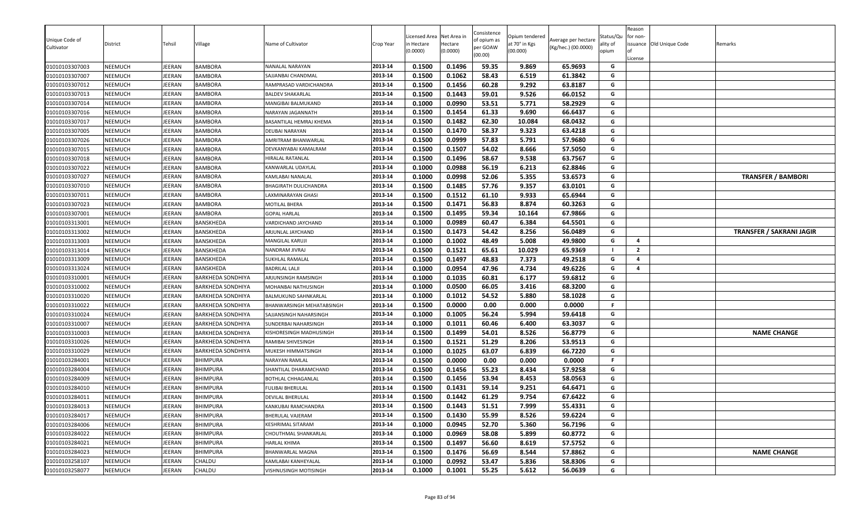| Unique Code of<br>Cultivator     | District                  | Tehsil                 | Village                          | Name of Cultivator                           | Crop Year          | Licensed Area<br>า Hectare<br>0.0000) | Net Area in<br>Hectare<br>(0.0000) | Consistence<br>of opium as<br>per GOAW<br>(00.00) | Opium tendered<br>at 70° in Kgs<br>(00.000) | Average per hectare<br>(Kg/hec.) (00.0000) | Status/Qu<br>ality of<br>opium | Reason<br>for non-<br>License | issuance Old Unique Code | Remarks                         |
|----------------------------------|---------------------------|------------------------|----------------------------------|----------------------------------------------|--------------------|---------------------------------------|------------------------------------|---------------------------------------------------|---------------------------------------------|--------------------------------------------|--------------------------------|-------------------------------|--------------------------|---------------------------------|
| 01010103307003                   | NEEMUCH                   | JEERAN                 | <b>BAMBORA</b>                   | NANALAL NARAYAN                              | 2013-14            | 0.1500                                | 0.1496                             | 59.35                                             | 9.869                                       | 65.9693                                    | G                              |                               |                          |                                 |
| 01010103307007                   | NEEMUCH                   | EERAN                  | <b>BAMBORA</b>                   | SAJJANBAI CHANDMAL                           | 2013-14            | 0.1500                                | 0.1062                             | 58.43                                             | 6.519                                       | 61.3842                                    | G                              |                               |                          |                                 |
| 01010103307012                   | NEEMUCH                   | <b>IEERAN</b>          | <b>BAMBORA</b>                   | RAMPRASAD VARDICHANDRA                       | 2013-14            | 0.1500                                | 0.1456                             | 60.28                                             | 9.292                                       | 63.8187                                    | G                              |                               |                          |                                 |
| 01010103307013                   | NEEMUCH                   | <b>EERAN</b><br>JEERAN | <b>BAMBORA</b><br><b>BAMBORA</b> | BALDEV SHAKARLAL                             | 2013-14<br>2013-14 | 0.1500                                | 0.1443                             | 59.01                                             | 9.526                                       | 66.0152                                    | G<br>G                         |                               |                          |                                 |
| 01010103307014                   | NEEMUCH                   | <b>EERAN</b>           |                                  | MANGIBAI BALMUKAND                           | 2013-14            | 0.1000                                | 0.0990                             | 53.51<br>61.33                                    | 5.771<br>9.690                              | 58.2929                                    | G                              |                               |                          |                                 |
| 01010103307016<br>01010103307017 | NEEMUCH<br><b>NEEMUCH</b> | JEERAN                 | BAMBORA<br><b>BAMBORA</b>        | NARAYAN JAGANNATH<br>BASANTILAL HEMRAJ KHEMA | 2013-14            | 0.1500<br>0.1500                      | 0.1454<br>0.1482                   | 62.30                                             | 10.084                                      | 66.6437<br>68.0432                         | G                              |                               |                          |                                 |
| 01010103307005                   | NEEMUCH                   | JEERAN                 |                                  | DEUBAI NARAYAN                               | 2013-14            | 0.1500                                | 0.1470                             | 58.37                                             | 9.323                                       | 63.4218                                    | G                              |                               |                          |                                 |
| 01010103307026                   | NEEMUCH                   | JEERAN                 | <b>BAMBORA</b><br>BAMBORA        | AMRITRAM BHANWARLAL                          | 2013-14            | 0.1500                                | 0.0999                             | 57.83                                             | 5.791                                       | 57.9680                                    | G                              |                               |                          |                                 |
| 01010103307015                   | NEEMUCH                   | <b>IEERAN</b>          | <b>BAMBORA</b>                   | DEVKANYABAI KAMALRAM                         | 2013-14            | 0.1500                                | 0.1507                             | 54.02                                             | 8.666                                       | 57.5050                                    | G                              |                               |                          |                                 |
| 01010103307018                   | NEEMUCH                   | <b>IEERAN</b>          | <b>BAMBORA</b>                   | HIRALAL RATANLAL                             | 2013-14            | 0.1500                                | 0.1496                             | 58.67                                             | 9.538                                       | 63.7567                                    | G                              |                               |                          |                                 |
| 01010103307022                   | NEEMUCH                   | JEERAN                 | <b>BAMBORA</b>                   | KANWARLAL UDAYLAL                            | 2013-14            | 0.1000                                | 0.0988                             | 56.19                                             | 6.213                                       | 62.8846                                    | G                              |                               |                          |                                 |
| 01010103307027                   | NEEMUCH                   | JEERAN                 | <b>BAMBORA</b>                   | KAMLABAI NANALAL                             | 2013-14            | 0.1000                                | 0.0998                             | 52.06                                             | 5.355                                       | 53.6573                                    | G                              |                               |                          | <b>TRANSFER / BAMBORI</b>       |
| 01010103307010                   | <b>NEEMUCH</b>            | JEERAN                 | <b>BAMBORA</b>                   | BHAGIRATH DULICHANDRA                        | 2013-14            | 0.1500                                | 0.1485                             | 57.76                                             | 9.357                                       | 63.0101                                    | G                              |                               |                          |                                 |
| 01010103307011                   | <b>NEEMUCH</b>            | IEERAN                 | BAMBORA                          | AXMINARAYAN GHASI                            | 2013-14            | 0.1500                                | 0.1512                             | 61.10                                             | 9.933                                       | 65.6944                                    | G                              |                               |                          |                                 |
| 01010103307023                   | <b>NEEMUCH</b>            | <b>IEERAN</b>          | <b>BAMBORA</b>                   | MOTILAL BHERA                                | 2013-14            | 0.1500                                | 0.1471                             | 56.83                                             | 8.874                                       | 60.3263                                    | G                              |                               |                          |                                 |
| 01010103307001                   | NEEMUCH                   | JEERAN                 | BAMBORA                          | <b>GOPAL HARLAL</b>                          | 2013-14            | 0.1500                                | 0.1495                             | 59.34                                             | 10.164                                      | 67.9866                                    | G                              |                               |                          |                                 |
| 01010103313001                   | NEEMUCH                   | <b>IEERAN</b>          | BANSKHEDA                        | <b>/ARDICHAND JAYCHAND</b>                   | 2013-14            | 0.1000                                | 0.0989                             | 60.47                                             | 6.384                                       | 64.5501                                    | G                              |                               |                          |                                 |
| 01010103313002                   | NEEMUCH                   | EERAN                  | BANSKHEDA                        | ARJUNLAL JAYCHAND                            | 2013-14            | 0.1500                                | 0.1473                             | 54.42                                             | 8.256                                       | 56.0489                                    | G                              |                               |                          | <b>TRANSFER / SAKRANI JAGIR</b> |
| 01010103313003                   | NEEMUCH                   | EERAN                  | BANSKHEDA                        | MANGILAL KARUJI                              | 2013-14            | 0.1000                                | 0.1002                             | 48.49                                             | 5.008                                       | 49.9800                                    | G                              | $\overline{a}$                |                          |                                 |
| 01010103313014                   | NEEMUCH                   | JEERAN                 | BANSKHEDA                        | NANDRAM JIVRAJ                               | 2013-14            | 0.1500                                | 0.1521                             | 65.61                                             | 10.029                                      | 65.9369                                    | - 1                            | $\overline{2}$                |                          |                                 |
| 01010103313009                   | NEEMUCH                   | JEERAN                 | BANSKHEDA                        | SUKHLAL RAMALAL                              | 2013-14            | 0.1500                                | 0.1497                             | 48.83                                             | 7.373                                       | 49.2518                                    | G                              | $\overline{4}$                |                          |                                 |
| 01010103313024                   | <b>NEEMUCH</b>            | JEERAN                 | BANSKHEDA                        | <b>BADRILAL LALJI</b>                        | 2013-14            | 0.1000                                | 0.0954                             | 47.96                                             | 4.734                                       | 49.6226                                    | G                              | $\overline{a}$                |                          |                                 |
| 01010103310001                   | NEEMUCH                   | JEERAN                 | BARKHEDA SONDHIYA                | ARJUNSINGH RAMSINGH                          | 2013-14            | 0.1000                                | 0.1035                             | 60.81                                             | 6.177                                       | 59.6812                                    | G                              |                               |                          |                                 |
| 01010103310002                   | NEEMUCH                   | <b>IEERAN</b>          | BARKHEDA SONDHIYA                | MOHANBAI NATHUSINGH                          | 2013-14            | 0.1000                                | 0.0500                             | 66.05                                             | 3.416                                       | 68.3200                                    | G                              |                               |                          |                                 |
| 01010103310020                   | NEEMUCH                   | JEERAN                 | <b>BARKHEDA SONDHIYA</b>         | <b>BALMUKUND SAHNKARLAL</b>                  | 2013-14            | 0.1000                                | 0.1012                             | 54.52                                             | 5.880                                       | 58.1028                                    | G                              |                               |                          |                                 |
| 01010103310022                   | NEEMUCH                   | JEERAN                 | BARKHEDA SONDHIYA                | BHANWARSINGH MEHATABSINGH                    | 2013-14            | 0.1500                                | 0.0000                             | 0.00                                              | 0.000                                       | 0.0000                                     | F                              |                               |                          |                                 |
| 01010103310024                   | NEEMUCH                   | JEERAN                 | BARKHEDA SONDHIYA                | SAJJANSINGH NAHARSINGH                       | 2013-14            | 0.1000                                | 0.1005                             | 56.24                                             | 5.994                                       | 59.6418                                    | G                              |                               |                          |                                 |
| 01010103310007                   | NEEMUCH                   | <b>IEERAN</b>          | BARKHEDA SONDHIYA                | SUNDERBAI NAHARSINGH                         | 2013-14            | 0.1000                                | 0.1011                             | 60.46                                             | 6.400                                       | 63.3037                                    | G                              |                               |                          |                                 |
| 01010103310003                   | <b>NEEMUCH</b>            | JEERAN                 | <b>BARKHEDA SONDHIYA</b>         | KISHORESINGH MADHUSINGH                      | 2013-14            | 0.1500                                | 0.1499                             | 54.01                                             | 8.526                                       | 56.8779                                    | G                              |                               |                          | <b>NAME CHANGE</b>              |
| 01010103310026                   | NEEMUCH                   | JEERAN                 | BARKHEDA SONDHIYA                | RAMIBAI SHIVESINGH                           | 2013-14            | 0.1500                                | 0.1521                             | 51.29                                             | 8.206                                       | 53.9513                                    | G                              |                               |                          |                                 |
| 01010103310029                   | NEEMUCH                   | JEERAN                 | BARKHEDA SONDHIYA                | MUKESH HIMMATSINGH                           | 2013-14            | 0.1000                                | 0.1025                             | 63.07                                             | 6.839                                       | 66.7220                                    | G                              |                               |                          |                                 |
| 01010103284001                   | NEEMUCH                   | IEERAN                 | <b>BHIMPURA</b>                  | NARAYAN RAMLAL                               | 2013-14            | 0.1500                                | 0.0000                             | 0.00                                              | 0.000                                       | 0.0000                                     | F.                             |                               |                          |                                 |
| 01010103284004                   | <b>NEEMUCH</b>            | JEERAN                 | <b>BHIMPURA</b>                  | SHANTILAL DHARAMCHAND                        | 2013-14            | 0.1500                                | 0.1456                             | 55.23                                             | 8.434                                       | 57.9258                                    | G                              |                               |                          |                                 |
| 01010103284009                   | NEEMUCH                   | JEERAN                 | <b>BHIMPURA</b>                  | BOTHLAL CHHAGANLAL                           | 2013-14            | 0.1500                                | 0.1456                             | 53.94                                             | 8.453                                       | 58.0563                                    | G                              |                               |                          |                                 |
| 01010103284010                   | NEEMUCH                   | <b>IEERAN</b>          | <b>BHIMPURA</b>                  | <b>FULIBAI BHERULAL</b>                      | 2013-14            | 0.1500                                | 0.1431                             | 59.14                                             | 9.251                                       | 64.6471                                    | G                              |                               |                          |                                 |
| 01010103284011                   | NEEMUCH                   | <b>IEERAN</b>          | <b>BHIMPURA</b>                  | DEVILAL BHERULAL                             | 2013-14            | 0.1500                                | 0.1442                             | 61.29                                             | 9.754                                       | 67.6422                                    | G                              |                               |                          |                                 |
| 01010103284013                   | NEEMUCH                   | <b>EERAN</b>           | <b>BHIMPURA</b>                  | KANKUBAI RAMCHANDRA                          | 2013-14            | 0.1500                                | 0.1443                             | 51.51                                             | 7.999                                       | 55.4331                                    | G                              |                               |                          |                                 |
| 01010103284017                   | NEEMUCH                   | JEERAN                 | <b>BHIMPURA</b>                  | BHERULAL VAJERAM                             | 2013-14            | 0.1500                                | 0.1430                             | 55.99                                             | 8.526                                       | 59.6224                                    | G                              |                               |                          |                                 |
| 01010103284006                   | NEEMUCH                   | JEERAN                 | <b>BHIMPURA</b>                  | KESHRIMAL SITARAM                            | 2013-14            | 0.1000                                | 0.0945                             | 52.70                                             | 5.360                                       | 56.7196                                    | G                              |                               |                          |                                 |
| 01010103284022                   | NEEMUCH                   | JEERAN                 | <b>BHIMPURA</b>                  | CHOUTHMAL SHANKARLAL                         | 2013-14            | 0.1000                                | 0.0969                             | 58.08                                             | 5.899                                       | 60.8772                                    | G                              |                               |                          |                                 |
| 01010103284021                   | NEEMUCH                   | JEERAN                 | <b>BHIMPURA</b>                  | HARLAL KHIMA                                 | 2013-14            | 0.1500                                | 0.1497                             | 56.60                                             | 8.619                                       | 57.5752                                    | G                              |                               |                          |                                 |
| 01010103284023                   | NEEMUCH                   | <b>IEERAN</b>          | <b>BHIMPURA</b>                  | BHANWARLAL MAGNA                             | 2013-14            | 0.1500                                | 0.1476                             | 56.69                                             | 8.544                                       | 57.8862                                    | G                              |                               |                          | <b>NAME CHANGE</b>              |
| 01010103258107                   | NEEMUCH                   | JEERAN                 | CHALDU                           | KAMLABAI KANHEYALAL                          | 2013-14            | 0.1000                                | 0.0992                             | 53.47                                             | 5.836                                       | 58.8306                                    | G                              |                               |                          |                                 |
| 01010103258077                   | NEEMUCH                   | JEERAN                 | CHALDU                           | VISHNUSINGH MOTISINGH                        | 2013-14            | 0.1000                                | 0.1001                             | 55.25                                             | 5.612                                       | 56.0639                                    | G                              |                               |                          |                                 |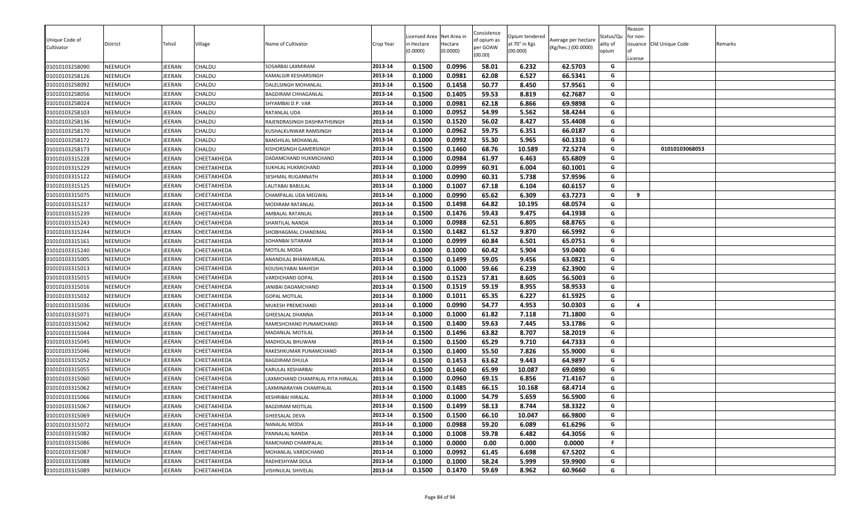| Unique Code of |                |               |               |                                   |           | icensed Area | Net Area in | Consistence<br>of opium as | Opium tendered | Average per hectare | Status/Qu | Reason<br>for non- |                          |         |
|----------------|----------------|---------------|---------------|-----------------------------------|-----------|--------------|-------------|----------------------------|----------------|---------------------|-----------|--------------------|--------------------------|---------|
| Cultivator     | District       | Tehsil        | Village       | Name of Cultivator                | Crop Year | n Hectare    | Hectare     | per GOAW                   | at 70° in Kgs  | (Kg/hec.) (00.0000) | ality of  |                    | issuance Old Unique Code | Remarks |
|                |                |               |               |                                   |           | (0.0000)     | (0.0000)    | (00.00)                    | (00.000)       |                     | opium     | License            |                          |         |
| 01010103258090 | <b>NEEMUCH</b> | <b>JEERAN</b> | CHALDU        | SOSARBAI LAXMIRAM                 | 2013-14   | 0.1500       | 0.0996      | 58.01                      | 6.232          | 62.5703             | G         |                    |                          |         |
| 01010103258126 | <b>NEEMUCH</b> | JEERAN        | CHALDU        | KAMALGIR KESHARSINGH              | 2013-14   | 0.1000       | 0.0981      | 62.08                      | 6.527          | 66.5341             | G         |                    |                          |         |
| 01010103258092 | <b>NEEMUCH</b> | JEERAN        | <b>CHALDU</b> | DALELSINGH MOHANLAL               | 2013-14   | 0.1500       | 0.1458      | 50.77                      | 8.450          | 57.9561             | G         |                    |                          |         |
| 01010103258056 | <b>NEEMUCH</b> | JEERAN        | CHALDU        | BAGDIRAM CHHAGANLAL               | 2013-14   | 0.1500       | 0.1405      | 59.53                      | 8.819          | 62.7687             | G         |                    |                          |         |
| 01010103258024 | NEEMUCH        | JEERAN        | CHALDU        | SHYAMBAI D.P. VAR                 | 2013-14   | 0.1000       | 0.0981      | 62.18                      | 6.866          | 69.9898             | G         |                    |                          |         |
| 01010103258103 | <b>NEEMUCH</b> | <b>JEERAN</b> | CHALDU        | RATANLAL UDA                      | 2013-14   | 0.1000       | 0.0952      | 54.99                      | 5.562          | 58.4244             | G         |                    |                          |         |
| 01010103258136 | <b>NEEMUCH</b> | JEERAN        | CHALDU        | RAJENDRASINGH DASHRATHSINGH       | 2013-14   | 0.1500       | 0.1520      | 56.02                      | 8.427          | 55.4408             | G         |                    |                          |         |
| 01010103258170 | <b>NEEMUCH</b> | JEERAN        | CHALDU        | KUSHALKUNWAR RAMSINGH             | 2013-14   | 0.1000       | 0.0962      | 59.75                      | 6.351          | 66.0187             | G         |                    |                          |         |
| 01010103258172 | <b>NEEMUCH</b> | JEERAN        | CHALDU        | <b>BANSHILAL MOHANLAL</b>         | 2013-14   | 0.1000       | 0.0992      | 55.30                      | 5.965          | 60.1310             | G         |                    |                          |         |
| 01010103258173 | NEEMUCH        | JEERAN        | CHALDU        | KISHORSINGH GAMERSINGH            | 2013-14   | 0.1500       | 0.1460      | 68.76                      | 10.589         | 72.5274             | G         |                    | 01010103068053           |         |
| 01010103315228 | <b>NEEMUCH</b> | JEERAN        | CHEETAKHEDA   | DADAMCHAND HUKMICHAND             | 2013-14   | 0.1000       | 0.0984      | 61.97                      | 6.463          | 65.6809             | G         |                    |                          |         |
| 01010103315229 | <b>NEEMUCH</b> | JEERAN        | CHEETAKHEDA   | SUKHLAL HUKMICHAND                | 2013-14   | 0.1000       | 0.0999      | 60.91                      | 6.004          | 60.1001             | G         |                    |                          |         |
| 01010103315122 | NEEMUCH        | JEERAN        | CHEETAKHEDA   | SESHMAL RUGANNATH                 | 2013-14   | 0.1000       | 0.0990      | 60.31                      | 5.738          | 57.9596             | G         |                    |                          |         |
| 01010103315125 | NEEMUCH        | JEERAN        | CHEETAKHEDA   | LALITABAI BABULAL                 | 2013-14   | 0.1000       | 0.1007      | 67.18                      | 6.104          | 60.6157             | G         |                    |                          |         |
| 01010103315075 | <b>NEEMUCH</b> | <b>JEERAN</b> | CHEETAKHEDA   | CHAMPALAL UDA MEGWAL              | 2013-14   | 0.1000       | 0.0990      | 65.62                      | 6.309          | 63.7273             | G         | 9                  |                          |         |
| 01010103315237 | <b>NEEMUCH</b> | JEERAN        | CHEETAKHEDA   | MODIRAM RATANLAL                  | 2013-14   | 0.1500       | 0.1498      | 64.82                      | 10.195         | 68.0574             | G         |                    |                          |         |
| 01010103315239 | <b>NEEMUCH</b> | JEERAN        | CHEETAKHEDA   | AMBALAL RATANLAL                  | 2013-14   | 0.1500       | 0.1476      | 59.43                      | 9.475          | 64.1938             | G         |                    |                          |         |
| 01010103315243 | <b>NEEMUCH</b> | <b>JEERAN</b> | CHEETAKHEDA   | SHANTILAL NANDA                   | 2013-14   | 0.1000       | 0.0988      | 62.51                      | 6.805          | 68.8765             | G         |                    |                          |         |
| 01010103315244 | <b>NEEMUCH</b> | JEERAN        | CHEETAKHEDA   | SHOBHAGMAL CHANDMAL               | 2013-14   | 0.1500       | 0.1482      | 61.52                      | 9.870          | 66.5992             | G         |                    |                          |         |
| 01010103315161 | NEEMUCH        | JEERAN        | CHEETAKHEDA   | SOHANBAI SITARAM                  | 2013-14   | 0.1000       | 0.0999      | 60.84                      | 6.501          | 65.0751             | G         |                    |                          |         |
| 01010103315240 | <b>NEEMUCH</b> | JEERAN        | CHEETAKHEDA   | <b>MOTILAL MODA</b>               | 2013-14   | 0.1000       | 0.1000      | 60.42                      | 5.904          | 59.0400             | G         |                    |                          |         |
| 01010103315005 | <b>NEEMUCH</b> | JEERAN        | CHEETAKHEDA   | <b>ANANDILAL BHANWARLAL</b>       | 2013-14   | 0.1500       | 0.1499      | 59.05                      | 9.456          | 63.0821             | G         |                    |                          |         |
| 01010103315013 | <b>NEEMUCH</b> | JEERAN        | CHEETAKHEDA   | KOUSHLYABAI MAHESH                | 2013-14   | 0.1000       | 0.1000      | 59.66                      | 6.239          | 62.3900             | G         |                    |                          |         |
| 01010103315015 | <b>NEEMUCH</b> | JEERAN        | CHEETAKHEDA   | VARDICHAND GOPAL                  | 2013-14   | 0.1500       | 0.1523      | 57.81                      | 8.605          | 56.5003             | G         |                    |                          |         |
| 01010103315016 | <b>NEEMUCH</b> | JEERAN        | CHEETAKHEDA   | JANIBAI DADAMCHAND                | 2013-14   | 0.1500       | 0.1519      | 59.19                      | 8.955          | 58.9533             | G         |                    |                          |         |
| 01010103315032 | <b>NEEMUCH</b> | JEERAN        | CHEETAKHEDA   | <b>GOPAL MOTILAL</b>              | 2013-14   | 0.1000       | 0.1011      | 65.35                      | 6.227          | 61.5925             | G         |                    |                          |         |
| 01010103315036 | <b>NEEMUCH</b> | JEERAN        | CHEETAKHEDA   | MUKESH PREMCHAND                  | 2013-14   | 0.1000       | 0.0990      | 54.77                      | 4.953          | 50.0303             | G         | $\overline{a}$     |                          |         |
| 01010103315071 | NEEMUCH        | JEERAN        | CHEETAKHEDA   | GHEESALAL DHANNA                  | 2013-14   | 0.1000       | 0.1000      | 61.82                      | 7.118          | 71.1800             | G         |                    |                          |         |
| 01010103315042 | NEEMUCH        | JEERAN        | CHEETAKHEDA   | RAMESHCHAND PUNAMCHAND            | 2013-14   | 0.1500       | 0.1400      | 59.63                      | 7.445          | 53.1786             | G         |                    |                          |         |
| 01010103315044 | <b>NEEMUCH</b> | JEERAN        | CHEETAKHEDA   | <b>MADANLAL MOTILAL</b>           | 2013-14   | 0.1500       | 0.1496      | 63.82                      | 8.707          | 58.2019             | G         |                    |                          |         |
| 01010103315045 | <b>NEEMUCH</b> | JEERAN        | CHEETAKHEDA   | MADHOLAL BHUWANI                  | 2013-14   | 0.1500       | 0.1500      | 65.29                      | 9.710          | 64.7333             | G         |                    |                          |         |
| 01010103315046 | <b>NEEMUCH</b> | JEERAN        | CHEETAKHEDA   | RAKESHKUMAR PUNAMCHAND            | 2013-14   | 0.1500       | 0.1400      | 55.50                      | 7.826          | 55.9000             | G         |                    |                          |         |
| 01010103315052 | <b>NEEMUCH</b> | JEERAN        | CHEETAKHEDA   | <b>BAGDIRAM DHULA</b>             | 2013-14   | 0.1500       | 0.1453      | 63.62                      | 9.443          | 64.9897             | G         |                    |                          |         |
| 01010103315055 | <b>NEEMUCH</b> | JEERAN        | CHEETAKHEDA   | KARULAL KESHARBAI                 | 2013-14   | 0.1500       | 0.1460      | 65.99                      | 10.087         | 69.0890             | G         |                    |                          |         |
| 01010103315060 | <b>NEEMUCH</b> | JEERAN        | CHEETAKHEDA   | LAXMICHAND CHAMPALAL PITA HIRALAL | 2013-14   | 0.1000       | 0.0960      | 69.15                      | 6.856          | 71.4167             | G         |                    |                          |         |
| 01010103315062 | NEEMUCH        | <b>JEERAN</b> | CHEETAKHEDA   | LAXMINARAYAN CHAMPALAL            | 2013-14   | 0.1500       | 0.1485      | 66.15                      | 10.168         | 68.4714             | G         |                    |                          |         |
| 01010103315066 | NEEMUCH        | JEERAN        | CHEETAKHEDA   | KESHRIBAI HIRALAL                 | 2013-14   | 0.1000       | 0.1000      | 54.79                      | 5.659          | 56.5900             | G         |                    |                          |         |
| 01010103315067 | <b>NEEMUCH</b> | JEERAN        | CHEETAKHEDA   | <b>BAGDIRAM MOTILAL</b>           | 2013-14   | 0.1500       | 0.1499      | 58.13                      | 8.744          | 58.3322             | G         |                    |                          |         |
| 01010103315069 | <b>NEEMUCH</b> | JEERAN        | CHEETAKHEDA   | <b>GHEESALAL DEVA</b>             | 2013-14   | 0.1500       | 0.1500      | 66.10                      | 10.047         | 66.9800             | G         |                    |                          |         |
| 01010103315072 | <b>NEEMUCH</b> | JEERAN        | CHEETAKHEDA   | NANALAL MODA                      | 2013-14   | 0.1000       | 0.0988      | 59.20                      | 6.089          | 61.6296             | G         |                    |                          |         |
| 01010103315082 | <b>NEEMUCH</b> | JEERAN        | CHEETAKHEDA   | PANNALAL NANDA                    | 2013-14   | 0.1000       | 0.1008      | 59.78                      | 6.482          | 64.3056             | G         |                    |                          |         |
| 01010103315086 | <b>NEEMUCH</b> | JEERAN        | CHEETAKHEDA   | RAMCHAND CHAMPALAL                | 2013-14   | 0.1000       | 0.0000      | 0.00                       | 0.000          | 0.0000              | F.        |                    |                          |         |
| 01010103315087 | <b>NEEMUCH</b> | <b>JEERAN</b> | CHEETAKHEDA   | MOHANLAL VARDICHAND               | 2013-14   | 0.1000       | 0.0992      | 61.45                      | 6.698          | 67.5202             | G         |                    |                          |         |
| 01010103315088 | <b>NEEMUCH</b> | JEERAN        | CHEETAKHEDA   | RADHESHYAM DOLA                   | 2013-14   | 0.1000       | 0.1000      | 58.24                      | 5.999          | 59.9900             | G         |                    |                          |         |
| 01010103315089 | <b>NEEMUCH</b> | JEERAN        | CHEETAKHEDA   | VISHNULAL SHIVELAL                | 2013-14   | 0.1500       | 0.1470      | 59.69                      | 8.962          | 60.9660             | G         |                    |                          |         |
|                |                |               |               |                                   |           |              |             |                            |                |                     |           |                    |                          |         |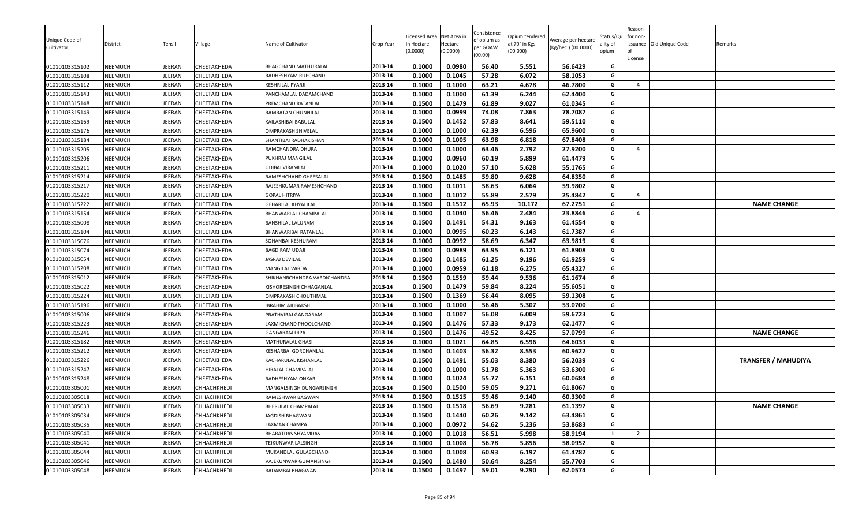| Unique Code of<br>Cultivator | District       | Tehsil        | Village            | Name of Cultivator           | Crop Year | icensed Area<br>n Hectare<br>0.0000) | Net Area in<br>Hectare<br>(0.0000) | Consistence<br>of opium as<br>per GOAW<br>(00.00) | Opium tendered<br>at 70° in Kgs<br>(00.000) | Average per hectare<br>(Kg/hec.) (00.0000) | Status/Qu<br>ality of<br>opium | Reason<br>for non-<br>License | issuance Old Unique Code | Remarks                    |
|------------------------------|----------------|---------------|--------------------|------------------------------|-----------|--------------------------------------|------------------------------------|---------------------------------------------------|---------------------------------------------|--------------------------------------------|--------------------------------|-------------------------------|--------------------------|----------------------------|
| 01010103315102               | <b>NEEMUCH</b> | EERAN         | CHEETAKHEDA        | BHAGCHAND MATHURALAL         | 2013-14   | 0.1000                               | 0.0980                             | 56.40                                             | 5.551                                       | 56.6429                                    | G                              |                               |                          |                            |
| 01010103315108               | <b>NEEMUCH</b> | EERAN         | CHEETAKHEDA        | RADHESHYAM RUPCHAND          | 2013-14   | 0.1000                               | 0.1045                             | 57.28                                             | 6.072                                       | 58.1053                                    | G                              |                               |                          |                            |
| 01010103315112               | NEEMUCH        | <b>IEERAN</b> | CHEETAKHEDA        | KESHRILAL PYARJI             | 2013-14   | 0.1000                               | 0.1000                             | 63.21                                             | 4.678                                       | 46.7800                                    | G                              | 4                             |                          |                            |
| 01010103315143               | <b>NEEMUCH</b> | <b>EERAN</b>  | CHEETAKHEDA        | PANCHAMLAL DADAMCHAND        | 2013-14   | 0.1000                               | 0.1000                             | 61.39                                             | 6.244                                       | 62.4400                                    | G                              |                               |                          |                            |
| 01010103315148               | <b>NEEMUCH</b> | <b>IEERAN</b> | CHEETAKHEDA        | PREMCHAND RATANLAL           | 2013-14   | 0.1500                               | 0.1479                             | 61.89                                             | 9.027                                       | 61.0345                                    | G                              |                               |                          |                            |
| 01010103315149               | NEEMUCH        | EERAN         | CHEETAKHEDA        | RAMRATAN CHUNNILAL           | 2013-14   | 0.1000                               | 0.0999                             | 74.08                                             | 7.863                                       | 78.7087                                    | G                              |                               |                          |                            |
| 01010103315169               | NEEMUCH        | EERAN         | CHEETAKHEDA        | KAILASHIBAI BABULAL          | 2013-14   | 0.1500                               | 0.1452                             | 57.83                                             | 8.641                                       | 59.5110                                    | G                              |                               |                          |                            |
| 01010103315176               | NEEMUCH        | <b>IEERAN</b> | CHEETAKHEDA        | <b>OMPRAKASH SHIVELAL</b>    | 2013-14   | 0.1000                               | 0.1000                             | 62.39                                             | 6.596                                       | 65.9600                                    | G                              |                               |                          |                            |
| 01010103315184               | NEEMUCH        | EERAN         | CHEETAKHEDA        | SHANTIBAI RADHAKISHAN        | 2013-14   | 0.1000                               | 0.1005                             | 63.98                                             | 6.818                                       | 67.8408                                    | G                              |                               |                          |                            |
| 01010103315205               | <b>NEEMUCH</b> | EERAN         | CHEETAKHEDA        | RAMCHANDRA DHURA             | 2013-14   | 0.1000                               | 0.1000                             | 63.46                                             | 2.792                                       | 27.9200                                    | G                              | 4                             |                          |                            |
| 01010103315206               | <b>NEEMUCH</b> | EERAN         | CHEETAKHEDA        | PUKHRAJ MANGILAL             | 2013-14   | 0.1000                               | 0.0960                             | 60.19                                             | 5.899                                       | 61.4479                                    | G                              |                               |                          |                            |
| 01010103315211               | <b>NEEMUCH</b> | <b>IEERAN</b> | CHEETAKHEDA        | UDIBAI VIRAMLAL              | 2013-14   | 0.1000                               | 0.1020                             | 57.10                                             | 5.628                                       | 55.1765                                    | G                              |                               |                          |                            |
| 01010103315214               | <b>NEEMUCH</b> | IEERAN        | CHEETAKHEDA        | RAMESHCHAND GHEESALAL        | 2013-14   | 0.1500                               | 0.1485                             | 59.80                                             | 9.628                                       | 64.8350                                    | G                              |                               |                          |                            |
| 01010103315217               | <b>NEEMUCH</b> | <b>IEERAN</b> | CHEETAKHEDA        | RAJESHKUMAR RAMESHCHAND      | 2013-14   | 0.1000                               | 0.1011                             | 58.63                                             | 6.064                                       | 59.9802                                    | G                              |                               |                          |                            |
| 01010103315220               | <b>NEEMUCH</b> | EERAN         | CHEETAKHEDA        | <b>GOPAL HITRIYA</b>         | 2013-14   | 0.1000                               | 0.1012                             | 55.89                                             | 2.579                                       | 25.4842                                    | G                              | $\overline{a}$                |                          |                            |
| 01010103315222               | <b>NEEMUCH</b> | EERAN         | CHEETAKHEDA        | <b>GEHARILAL KHYALILAL</b>   | 2013-14   | 0.1500                               | 0.1512                             | 65.93                                             | 10.172                                      | 67.2751                                    | G                              |                               |                          | <b>NAME CHANGE</b>         |
| 01010103315154               | <b>NEEMUCH</b> | EERAN         | CHEETAKHEDA        | BHANWARLAL CHAMPALAL         | 2013-14   | 0.1000                               | 0.1040                             | 56.46                                             | 2.484                                       | 23.8846                                    | G                              | 4                             |                          |                            |
| 01010103315008               | <b>NEEMUCH</b> | EERAN         | CHEETAKHEDA        | BANSHILAL LALURAM            | 2013-14   | 0.1500                               | 0.1491                             | 54.31                                             | 9.163                                       | 61.4554                                    | G                              |                               |                          |                            |
| 01010103315104               | <b>NEEMUCH</b> | EERAN         | CHEETAKHEDA        | BHANWARIBAI RATANLAL         | 2013-14   | 0.1000                               | 0.0995                             | 60.23                                             | 6.143                                       | 61.7387                                    | G                              |                               |                          |                            |
| 01010103315076               | <b>NEEMUCH</b> | EERAN         | CHEETAKHEDA        | SOHANBAI KESHURAM            | 2013-14   | 0.1000                               | 0.0992                             | 58.69                                             | 6.347                                       | 63.9819                                    | G                              |                               |                          |                            |
| 01010103315074               | <b>NEEMUCH</b> | <b>IEERAN</b> | CHEETAKHEDA        | BAGDIRAM UDAJI               | 2013-14   | 0.1000                               | 0.0989                             | 63.95                                             | 6.121                                       | 61.8908                                    | G                              |                               |                          |                            |
| 01010103315054               | <b>NEEMUCH</b> | IEERAN        | CHEETAKHEDA        | JASRAJ DEVILAL               | 2013-14   | 0.1500                               | 0.1485                             | 61.25                                             | 9.196                                       | 61.9259                                    | G                              |                               |                          |                            |
| 01010103315208               | <b>NEEMUCH</b> | <b>IEERAN</b> | CHEETAKHEDA        | MANGILAL VARDA               | 2013-14   | 0.1000                               | 0.0959                             | 61.18                                             | 6.275                                       | 65.4327                                    | G                              |                               |                          |                            |
| 01010103315012               | <b>NEEMUCH</b> | EERAN         | CHEETAKHEDA        | SHIKHANRCHANDRA VARDICHANDRA | 2013-14   | 0.1500                               | 0.1559                             | 59.44                                             | 9.536                                       | 61.1674                                    | G                              |                               |                          |                            |
| 01010103315022               | <b>NEEMUCH</b> | EERAN         | CHEETAKHEDA        | KISHORESINGH CHHAGANLAL      | 2013-14   | 0.1500                               | 0.1479                             | 59.84                                             | 8.224                                       | 55.6051                                    | G                              |                               |                          |                            |
| 01010103315224               | NEEMUCH        | IEERAN        | CHEETAKHEDA        | OMPRAKASH CHOUTHMAL          | 2013-14   | 0.1500                               | 0.1369                             | 56.44                                             | 8.095                                       | 59.1308                                    | G                              |                               |                          |                            |
| 01010103315196               | <b>NEEMUCH</b> | EERAN         | CHEETAKHEDA        | IBRAHIM AJIJBAKSH            | 2013-14   | 0.1000                               | 0.1000                             | 56.46                                             | 5.307                                       | 53.0700                                    | G                              |                               |                          |                            |
| 01010103315006               | <b>NEEMUCH</b> | EERAN         | CHEETAKHEDA        | PRATHVIRAJ GANGARAM          | 2013-14   | 0.1000                               | 0.1007                             | 56.08                                             | 6.009                                       | 59.6723                                    | G                              |                               |                          |                            |
| 01010103315223               | <b>NEEMUCH</b> | EERAN         | CHEETAKHEDA        | LAXMICHAND PHOOLCHAND        | 2013-14   | 0.1500                               | 0.1476                             | 57.33                                             | 9.173                                       | 62.1477                                    | G                              |                               |                          |                            |
| 01010103315246               | NEEMUCH        | EERAN         | CHEETAKHEDA        | <b>GANGARAM DIPA</b>         | 2013-14   | 0.1500                               | 0.1476                             | 49.52                                             | 8.425                                       | 57.0799                                    | G                              |                               |                          | <b>NAME CHANGE</b>         |
| 01010103315182               | <b>NEEMUCH</b> | IEERAN        | CHEETAKHEDA        | MATHURALAL GHASI             | 2013-14   | 0.1000                               | 0.1021                             | 64.85                                             | 6.596                                       | 64.6033                                    | G                              |                               |                          |                            |
| 01010103315212               | NEEMUCH        | EERAN         | CHEETAKHEDA        | KESHARBAI GORDHANLAL         | 2013-14   | 0.1500                               | 0.1403                             | 56.32                                             | 8.553                                       | 60.9622                                    | G                              |                               |                          |                            |
| 01010103315226               | <b>NEEMUCH</b> | EERAN         | CHEETAKHEDA        | KACHARULAL KISHANLAL         | 2013-14   | 0.1500                               | 0.1491                             | 55.03                                             | 8.380                                       | 56.2039                                    | G                              |                               |                          | <b>TRANSFER / MAHUDIYA</b> |
| 01010103315247               | <b>NEEMUCH</b> | EERAN         | CHEETAKHEDA        | HIRALAL CHAMPALAL            | 2013-14   | 0.1000                               | 0.1000                             | 51.78                                             | 5.363                                       | 53.6300                                    | G                              |                               |                          |                            |
| 01010103315248               | NEEMUCH        | EERAN         | CHEETAKHEDA        | RADHESHYAM ONKAR             | 2013-14   | 0.1000                               | 0.1024                             | 55.77                                             | 6.151                                       | 60.0684                                    | G                              |                               |                          |                            |
| 01010103305001               | <b>NEEMUCH</b> | EERAN         | CHHACHKHEDI        | MANGALSINGH DUNGARSINGH      | 2013-14   | 0.1500                               | 0.1500                             | 59.05                                             | 9.271                                       | 61.8067                                    | G                              |                               |                          |                            |
| 01010103305018               | <b>NEEMUCH</b> | EERAN         | CHHACHKHEDI        | RAMESHWAR BAGWAN             | 2013-14   | 0.1500                               | 0.1515                             | 59.46                                             | 9.140                                       | 60.3300                                    | G                              |                               |                          |                            |
| 01010103305033               | NEEMUCH        | <b>EERAN</b>  | <b>CHHACHKHEDI</b> | BHERULAL CHAMPALAL           | 2013-14   | 0.1500                               | 0.1518                             | 56.69                                             | 9.281                                       | 61.1397                                    | G                              |                               |                          | <b>NAME CHANGE</b>         |
| 01010103305034               | <b>NEEMUCH</b> | JEERAN        | <b>CHHACHKHEDI</b> | JAGDISH BHAGWAN              | 2013-14   | 0.1500                               | 0.1440                             | 60.26                                             | 9.142                                       | 63.4861                                    | G                              |                               |                          |                            |
| 01010103305035               | <b>NEEMUCH</b> | <b>EERAN</b>  | CHHACHKHEDI        | LAXMAN CHAMPA                | 2013-14   | 0.1000                               | 0.0972                             | 54.62                                             | 5.236                                       | 53.8683                                    | G                              |                               |                          |                            |
| 01010103305040               | <b>NEEMUCH</b> | <b>EERAN</b>  | CHHACHKHEDI        | <b>BHARATDAS SHYAMDAS</b>    | 2013-14   | 0.1000                               | 0.1018                             | 56.51                                             | 5.998                                       | 58.9194                                    |                                | $\overline{2}$                |                          |                            |
| 01010103305041               | NEEMUCH        | EERAN         | CHHACHKHEDI        | TEJKUNWAR LALSINGH           | 2013-14   | 0.1000                               | 0.1008                             | 56.78                                             | 5.856                                       | 58.0952                                    | G                              |                               |                          |                            |
| 01010103305044               | NEEMUCH        | EERAN         | <b>CHHACHKHEDI</b> | MUKANDLAL GULABCHAND         | 2013-14   | 0.1000                               | 0.1008                             | 60.93                                             | 6.197                                       | 61.4782                                    | G                              |                               |                          |                            |
| 01010103305046               | <b>NEEMUCH</b> | <b>IEERAN</b> | CHHACHKHEDI        | VAJEKUNWAR GUMANSINGH        | 2013-14   | 0.1500                               | 0.1480                             | 50.64                                             | 8.254                                       | 55.7703                                    | G                              |                               |                          |                            |
| 01010103305048               | <b>NEEMUCH</b> | JEERAN        | <b>CHHACHKHEDI</b> | <b>BADAMBAI BHAGWAN</b>      | 2013-14   | 0.1500                               | 0.1497                             | 59.01                                             | 9.290                                       | 62.0574                                    | G                              |                               |                          |                            |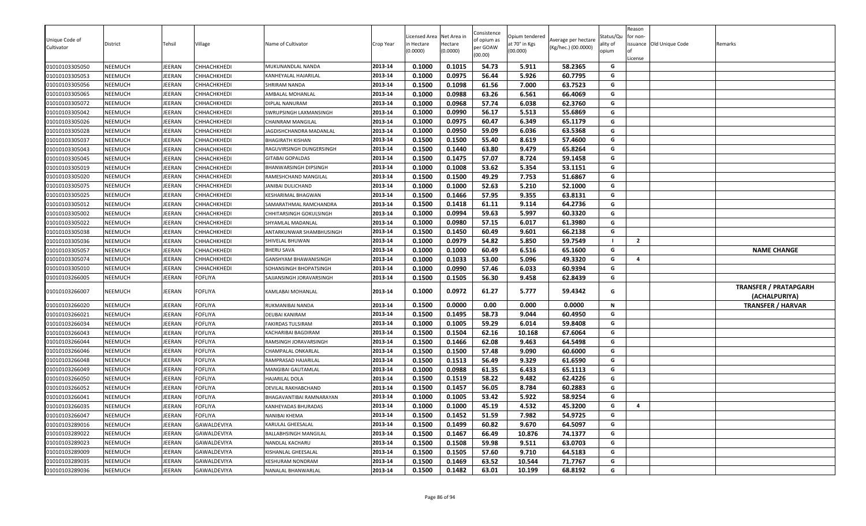| Unique Code of<br>Cultivator     | District<br>NEEMUCH | Tehsil<br><b>IEERAN</b> | Village<br>CHHACHKHEDI     | Name of Cultivator                    | Crop Year<br>2013-14 | Licensed Area<br>ነ Hectare<br>(0.0000)<br>0.1000 | Net Area in<br>Hectare<br>(0.0000)<br>0.1015 | Consistence<br>of opium as<br>per GOAW<br>(00.00)<br>54.73 | Opium tendered<br>at 70° in Kgs<br>(00.000) | Average per hectare<br>(Kg/hec.) (00.0000)<br>58.2365 | Status/Qu<br>ality of<br>opium<br>G | Reason<br>for non-<br>License | issuance Old Unique Code | Remarks                                       |
|----------------------------------|---------------------|-------------------------|----------------------------|---------------------------------------|----------------------|--------------------------------------------------|----------------------------------------------|------------------------------------------------------------|---------------------------------------------|-------------------------------------------------------|-------------------------------------|-------------------------------|--------------------------|-----------------------------------------------|
| 01010103305050                   |                     |                         |                            | MUKUNANDLAL NANDA                     | 2013-14              |                                                  |                                              |                                                            | 5.911                                       |                                                       | G                                   |                               |                          |                                               |
| 01010103305053<br>01010103305056 | NEEMUCH<br>NEEMUCH  | EERAN<br><b>EERAN</b>   | CHHACHKHEDI<br>CHHACHKHEDI | KANHEYALAL HAJARILAL<br>SHRIRAM NANDA | 2013-14              | 0.1000<br>0.1500                                 | 0.0975<br>0.1098                             | 56.44<br>61.56                                             | 5.926<br>7.000                              | 60.7795<br>63.7523                                    | G                                   |                               |                          |                                               |
| 01010103305065                   | <b>NEEMUCH</b>      | JEERAN                  | CHHACHKHEDI                | AMBALAL MOHANLAL                      | 2013-14              | 0.1000                                           | 0.0988                                       | 63.26                                                      | 6.561                                       | 66.4069                                               | G                                   |                               |                          |                                               |
| 01010103305072                   | NEEMUCH             | JEERAN                  | CHHACHKHEDI                | DIPLAL NANURAM                        | 2013-14              | 0.1000                                           | 0.0968                                       | 57.74                                                      | 6.038                                       | 62.3760                                               | G                                   |                               |                          |                                               |
| 01010103305042                   | NEEMUCH             | JEERAN                  | CHHACHKHEDI                | SWRUPSINGH LAXMANSINGH                | 2013-14              | 0.1000                                           | 0.0990                                       | 56.17                                                      | 5.513                                       | 55.6869                                               | G                                   |                               |                          |                                               |
| 01010103305026                   | NEEMUCH             | <b>IEERAN</b>           | CHHACHKHEDI                | CHAINRAM MANGILAL                     | 2013-14              | 0.1000                                           | 0.0975                                       | 60.47                                                      | 6.349                                       | 65.1179                                               | G                                   |                               |                          |                                               |
| 01010103305028                   | NEEMUCH             | JEERAN                  | CHHACHKHEDI                | JAGDISHCHANDRA MADANLAI               | 2013-14              | 0.1000                                           | 0.0950                                       | 59.09                                                      | 6.036                                       | 63.5368                                               | G                                   |                               |                          |                                               |
| 01010103305037                   | NEEMUCH             | JEERAN                  | CHHACHKHEDI                | <b>BHAGIRATH KISHAN</b>               | 2013-14              | 0.1500                                           | 0.1500                                       | 55.40                                                      | 8.619                                       | 57.4600                                               | G                                   |                               |                          |                                               |
| 01010103305043                   | NEEMUCH             | JEERAN                  | CHHACHKHEDI                | RAGUVIRSINGH DUNGERSINGH              | 2013-14              | 0.1500                                           | 0.1440                                       | 63.80                                                      | 9.479                                       | 65.8264                                               | G                                   |                               |                          |                                               |
| 01010103305045                   | NEEMUCH             | <b>IEERAN</b>           | CHHACHKHEDI                | GITABAI GOPALDAS                      | 2013-14              | 0.1500                                           | 0.1475                                       | 57.07                                                      | 8.724                                       | 59.1458                                               | G                                   |                               |                          |                                               |
| 01010103305019                   | <b>NEEMUCH</b>      | JEERAN                  | CHHACHKHEDI                | BHANWARSINGH DIPSINGH                 | 2013-14              | 0.1000                                           | 0.1008                                       | 53.62                                                      | 5.354                                       | 53.1151                                               | G                                   |                               |                          |                                               |
| 01010103305020                   | NEEMUCH             | JEERAN                  | CHHACHKHEDI                | RAMESHCHAND MANGILAL                  | 2013-14              | 0.1500                                           | 0.1500                                       | 49.29                                                      | 7.753                                       | 51.6867                                               | G                                   |                               |                          |                                               |
| 01010103305075                   | NEEMUCH             | JEERAN                  | CHHACHKHEDI                | JANIBAI DULICHAND                     | 2013-14              | 0.1000                                           | 0.1000                                       | 52.63                                                      | 5.210                                       | 52.1000                                               | G                                   |                               |                          |                                               |
| 01010103305025                   | NEEMUCH             | JEERAN                  | CHHACHKHEDI                | KESHARIMAL BHAGWAN                    | 2013-14              | 0.1500                                           | 0.1466                                       | 57.95                                                      | 9.355                                       | 63.8131                                               | G                                   |                               |                          |                                               |
| 01010103305012                   | NEEMUCH             | EERAN                   | CHHACHKHEDI                | SAMARATHMAL RAMCHANDRA                | 2013-14              | 0.1500                                           | 0.1418                                       | 61.11                                                      | 9.114                                       | 64.2736                                               | G                                   |                               |                          |                                               |
| 01010103305002                   | NEEMUCH             | JEERAN                  | CHHACHKHEDI                | CHHITARSINGH GOKULSINGH               | 2013-14              | 0.1000                                           | 0.0994                                       | 59.63                                                      | 5.997                                       | 60.3320                                               | G                                   |                               |                          |                                               |
| 01010103305022                   | NEEMUCH             | JEERAN                  | CHHACHKHEDI                | SHYAMLAL MADANLAL                     | 2013-14              | 0.1000                                           | 0.0980                                       | 57.15                                                      | 6.017                                       | 61.3980                                               | G                                   |                               |                          |                                               |
| 01010103305038                   | NEEMUCH             | JEERAN                  | CHHACHKHEDI                | ANTARKUNWAR SHAMBHUSINGH              | 2013-14              | 0.1500                                           | 0.1450                                       | 60.49                                                      | 9.601                                       | 66.2138                                               | G                                   |                               |                          |                                               |
| 01010103305036                   | NEEMUCH             | JEERAN                  | CHHACHKHEDI                | SHIVELAL BHUWAN                       | 2013-14              | 0.1000                                           | 0.0979                                       | 54.82                                                      | 5.850                                       | 59.7549                                               |                                     | $\overline{2}$                |                          |                                               |
| 01010103305057                   | NEEMUCH             | JEERAN                  | CHHACHKHEDI                | <b>BHERU SAVA</b>                     | 2013-14              | 0.1000                                           | 0.1000                                       | 60.49                                                      | 6.516                                       | 65.1600                                               | G                                   |                               |                          | <b>NAME CHANGE</b>                            |
| 01010103305074                   | NEEMUCH             | JEERAN                  | CHHACHKHEDI                | GANSHYAM BHAWANISINGH                 | 2013-14              | 0.1000                                           | 0.1033                                       | 53.00                                                      | 5.096                                       | 49.3320                                               | G                                   | $\overline{a}$                |                          |                                               |
| 01010103305010                   | NEEMUCH             | JEERAN                  | CHHACHKHEDI                | SOHANSINGH BHOPATSINGH                | 2013-14              | 0.1000                                           | 0.0990                                       | 57.46                                                      | 6.033                                       | 60.9394                                               | G                                   |                               |                          |                                               |
| 01010103266005                   | NEEMUCH             | EERAN                   | <b>FOFLIYA</b>             | SAJJANSINGH JORAVARSINGH              | 2013-14              | 0.1500                                           | 0.1505                                       | 56.30                                                      | 9.458                                       | 62.8439                                               | G                                   |                               |                          |                                               |
| 01010103266007                   | NEEMUCH             | <b>EERAN</b>            | <b>FOFLIYA</b>             | KAMLABAI MOHANLAL                     | 2013-14              | 0.1000                                           | 0.0972                                       | 61.27                                                      | 5.777                                       | 59.4342                                               | G                                   |                               |                          | <b>TRANSFER / PRATAPGARH</b><br>(ACHALPURIYA) |
| 01010103266020                   | NEEMUCH             | <b>IEERAN</b>           | <b>FOFLIYA</b>             | RUKMANIBAI NANDA                      | 2013-14              | 0.1500                                           | 0.0000                                       | 0.00                                                       | 0.000                                       | 0.0000                                                | N                                   |                               |                          | <b>TRANSFER / HARVAR</b>                      |
| 01010103266021                   | NEEMUCH             | JEERAN                  | <b>FOFLIYA</b>             | DEUBAI KANIRAM                        | 2013-14              | 0.1500                                           | 0.1495                                       | 58.73                                                      | 9.044                                       | 60.4950                                               | G                                   |                               |                          |                                               |
| 01010103266034                   | NEEMUCH             | <b>IEERAN</b>           | <b>FOFLIYA</b>             | FAKIRDAS TULSIRAM                     | 2013-14              | 0.1000                                           | 0.1005                                       | 59.29                                                      | 6.014                                       | 59.8408                                               | G                                   |                               |                          |                                               |
| 01010103266043                   | NEEMUCH             | <b>IEERAN</b>           | FOFLIYA                    | KACHARIBAI BAGDIRAM                   | 2013-14              | 0.1500                                           | 0.1504                                       | 62.16                                                      | 10.168                                      | 67.6064                                               | G                                   |                               |                          |                                               |
| 01010103266044                   | NEEMUCH             | JEERAN                  | <b>FOFLIYA</b>             | RAMSINGH JORAVARSINGH                 | 2013-14              | 0.1500                                           | 0.1466                                       | 62.08                                                      | 9.463                                       | 64.5498                                               | G                                   |                               |                          |                                               |
| 01010103266046                   | <b>NEEMUCH</b>      | <b>IEERAN</b>           | <b>FOFLIYA</b>             | CHAMPALAL ONKARLAL                    | 2013-14              | 0.1500                                           | 0.1500                                       | 57.48                                                      | 9.090                                       | 60.6000                                               | G                                   |                               |                          |                                               |
| 01010103266048                   | NEEMUCH             | JEERAN                  | <b>FOFLIYA</b>             | RAMPRASAD HAJARILAL                   | 2013-14              | 0.1500                                           | 0.1513                                       | 56.49                                                      | 9.329                                       | 61.6590                                               | G                                   |                               |                          |                                               |
| 01010103266049                   | NEEMUCH             | <b>IEERAN</b>           | <b>FOFLIYA</b>             | MANGIBAI GAUTAMLAL                    | 2013-14              | 0.1000                                           | 0.0988                                       | 61.35                                                      | 6.433                                       | 65.1113                                               | G                                   |                               |                          |                                               |
| 01010103266050                   | NEEMUCH             | JEERAN                  | <b>FOFLIYA</b>             | HAJARILAL DOLA                        | 2013-14              | 0.1500                                           | 0.1519                                       | 58.22                                                      | 9.482                                       | 62.4226                                               | G                                   |                               |                          |                                               |
| 01010103266052                   | NEEMUCH             | <b>IEERAN</b>           | <b>FOFLIYA</b>             | DEVILAL RAKHABCHAND                   | 2013-14              | 0.1500                                           | 0.1457                                       | 56.05                                                      | 8.784                                       | 60.2883                                               | G                                   |                               |                          |                                               |
| 01010103266041                   | NEEMUCH             | <b>IEERAN</b>           | <b>FOFLIYA</b>             | BHAGAVANTIBAI RAMNARAYAN              | 2013-14              | 0.1000                                           | 0.1005                                       | 53.42                                                      | 5.922                                       | 58.9254                                               | G                                   |                               |                          |                                               |
| 01010103266035                   | NEEMUCH             | JEERAN                  | <b>FOFLIYA</b>             | KANHEYADAS BHURADAS                   | 2013-14              | 0.1000                                           | 0.1000                                       | 45.19                                                      | 4.532                                       | 45.3200                                               | G                                   | $\overline{a}$                |                          |                                               |
| 01010103266047                   | NEEMUCH             | JEERAN                  | <b>FOFLIYA</b>             | NANIBAI KHEMA                         | 2013-14              | 0.1500                                           | 0.1452                                       | 51.59                                                      | 7.982                                       | 54.9725                                               | G                                   |                               |                          |                                               |
| 01010103289016                   | NEEMUCH             | JEERAN                  | GAWALDEVIYA                | KARULAL GHEESALAL                     | 2013-14              | 0.1500                                           | 0.1499                                       | 60.82                                                      | 9.670                                       | 64.5097                                               | G                                   |                               |                          |                                               |
| 01010103289022                   | NEEMUCH             | JEERAN                  | GAWALDEVIYA                | BALLABHSINGH MANGILAL                 | 2013-14              | 0.1500                                           | 0.1467                                       | 66.49                                                      | 10.876                                      | 74.1377                                               | G                                   |                               |                          |                                               |
| 01010103289023                   | NEEMUCH             | JEERAN                  | GAWALDEVIYA                | NANDLAL KACHARU                       | 2013-14              | 0.1500                                           | 0.1508                                       | 59.98                                                      | 9.511                                       | 63.0703                                               | G                                   |                               |                          |                                               |
| 01010103289009                   | NEEMUCH             | IEERAN                  | GAWALDEVIYA                | KISHANLAL GHEESALAL                   | 2013-14              | 0.1500                                           | 0.1505                                       | 57.60                                                      | 9.710                                       | 64.5183                                               | G                                   |                               |                          |                                               |
| 01010103289035                   | NEEMUCH             | JEERAN                  | GAWALDEVIYA                | KESHURAM NONDRAM                      | 2013-14              | 0.1500                                           | 0.1469                                       | 63.52                                                      | 10.544                                      | 71.7767                                               | G                                   |                               |                          |                                               |
| 01010103289036                   | NEEMUCH             | JEERAN                  | GAWALDEVIYA                | NANALAL BHANWARLAL                    | 2013-14              | 0.1500                                           | 0.1482                                       | 63.01                                                      | 10.199                                      | 68.8192                                               | G                                   |                               |                          |                                               |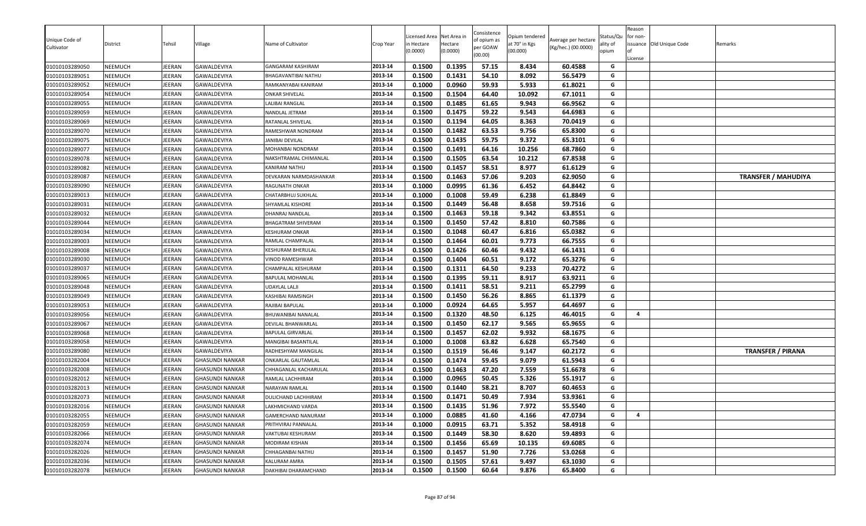| Unique Code of<br>Cultivator<br>01010103289050 | District<br>NEEMUCH | Tehsil<br><b>IEERAN</b> | Village<br>GAWALDEVIYA | Name of Cultivator<br>GANGARAM KASHIRAM | Crop Year<br>2013-14 | Licensed Area<br>า Hectare<br>(0.0000)<br>0.1500 | Net Area in<br>Hectare<br>(0.0000)<br>0.1395 | Consistence<br>of opium as<br>per GOAW<br>(00.00)<br>57.15 | Opium tendered<br>at 70° in Kgs<br>(00.000)<br>8.434 | Average per hectare<br>(Kg/hec.) (00.0000)<br>60.4588 | Status/Qu<br>ality of<br>opium<br>G | Reason<br>for non-<br>License | issuance Old Unique Code | Remarks                    |
|------------------------------------------------|---------------------|-------------------------|------------------------|-----------------------------------------|----------------------|--------------------------------------------------|----------------------------------------------|------------------------------------------------------------|------------------------------------------------------|-------------------------------------------------------|-------------------------------------|-------------------------------|--------------------------|----------------------------|
| 01010103289051                                 | NEEMUCH             | EERAN                   | GAWALDEVIYA            | BHAGAVANTIBAI NATHU                     | 2013-14              | 0.1500                                           | 0.1431                                       | 54.10                                                      | 8.092                                                | 56.5479                                               | G                                   |                               |                          |                            |
| 01010103289052                                 | NEEMUCH             | <b>EERAN</b>            | GAWALDEVIYA            | RAMKANYABAI KANIRAM                     | 2013-14              | 0.1000                                           | 0.0960                                       | 59.93                                                      | 5.933                                                | 61.8021                                               | G                                   |                               |                          |                            |
| 01010103289054                                 | NEEMUCH             | JEERAN                  | GAWALDEVIYA            | <b>ONKAR SHIVELAL</b>                   | 2013-14              | 0.1500                                           | 0.1504                                       | 64.40                                                      | 10.092                                               | 67.1011                                               | G                                   |                               |                          |                            |
| 01010103289055                                 | <b>NEEMUCH</b>      | JEERAN                  | GAWALDEVIYA            | LALIBAI RANGLAL                         | 2013-14              | 0.1500                                           | 0.1485                                       | 61.65                                                      | 9.943                                                | 66.9562                                               | G                                   |                               |                          |                            |
| 01010103289059                                 | NEEMUCH             | JEERAN                  | GAWALDEVIYA            | NANDLAL JETRAM                          | 2013-14              | 0.1500                                           | 0.1475                                       | 59.22                                                      | 9.543                                                | 64.6983                                               | G                                   |                               |                          |                            |
| 01010103289069                                 | NEEMUCH             | <b>IEERAN</b>           | GAWALDEVIYA            | RATANLAL SHIVELAL                       | 2013-14              | 0.1500                                           | 0.1194                                       | 64.05                                                      | 8.363                                                | 70.0419                                               | G                                   |                               |                          |                            |
| 01010103289070                                 | NEEMUCH             | JEERAN                  | GAWALDEVIYA            | RAMESHWAR NONDRAM                       | 2013-14              | 0.1500                                           | 0.1482                                       | 63.53                                                      | 9.756                                                | 65.8300                                               | G                                   |                               |                          |                            |
| 01010103289075                                 | NEEMUCH             | JEERAN                  | GAWALDEVIYA            | JANIBAI DEVILAL                         | 2013-14              | 0.1500                                           | 0.1435                                       | 59.75                                                      | 9.372                                                | 65.3101                                               | G                                   |                               |                          |                            |
| 01010103289077                                 | NEEMUCH             | JEERAN                  | GAWALDEVIYA            | MOHANBAI NONDRAM                        | 2013-14              | 0.1500                                           | 0.1491                                       | 64.16                                                      | 10.256                                               | 68.7860                                               | G                                   |                               |                          |                            |
| 01010103289078                                 | NEEMUCH             | <b>IEERAN</b>           | GAWALDEVIYA            | NAKSHTRAMAL CHIMANLAL                   | 2013-14              | 0.1500                                           | 0.1505                                       | 63.54                                                      | 10.212                                               | 67.8538                                               | G                                   |                               |                          |                            |
| 01010103289082                                 | <b>NEEMUCH</b>      | JEERAN                  | GAWALDEVIYA            | KANIRAM NATHU                           | 2013-14              | 0.1500                                           | 0.1457                                       | 58.51                                                      | 8.977                                                | 61.6129                                               | G                                   |                               |                          |                            |
| 01010103289087                                 | NEEMUCH             | JEERAN                  | GAWALDEVIYA            | DEVKARAN NARMDASHANKAR                  | 2013-14              | 0.1500                                           | 0.1463                                       | 57.06                                                      | 9.203                                                | 62.9050                                               | G                                   |                               |                          | <b>TRANSFER / MAHUDIYA</b> |
| 01010103289090                                 | NEEMUCH             | JEERAN                  | GAWALDEVIYA            | RAGUNATH ONKAR                          | 2013-14              | 0.1000                                           | 0.0995                                       | 61.36                                                      | 6.452                                                | 64.8442                                               | G                                   |                               |                          |                            |
| 01010103289013                                 | NEEMUCH             | IEERAN                  | GAWALDEVIYA            | CHATARBHUJ SUKHLAL                      | 2013-14              | 0.1000                                           | 0.1008                                       | 59.49                                                      | 6.238                                                | 61.8849                                               | G                                   |                               |                          |                            |
| 01010103289031                                 | NEEMUCH             | EERAN                   | GAWALDEVIYA            | SHYAMLAL KISHORE                        | 2013-14              | 0.1500                                           | 0.1449                                       | 56.48                                                      | 8.658                                                | 59.7516                                               | G                                   |                               |                          |                            |
| 01010103289032                                 | NEEMUCH             | JEERAN                  | GAWALDEVIYA            | DHANRAJ NANDLAL                         | 2013-14              | 0.1500                                           | 0.1463                                       | 59.18                                                      | 9.342                                                | 63.8551                                               | G                                   |                               |                          |                            |
| 01010103289044                                 | NEEMUCH             | JEERAN                  | GAWALDEVIYA            | BHAGATRAM SHIVERAM                      | 2013-14              | 0.1500                                           | 0.1450                                       | 57.42                                                      | 8.810                                                | 60.7586                                               | G                                   |                               |                          |                            |
| 01010103289034                                 | NEEMUCH             | JEERAN                  | GAWALDEVIYA            | KESHURAM ONKAR                          | 2013-14              | 0.1500                                           | 0.1048                                       | 60.47                                                      | 6.816                                                | 65.0382                                               | G                                   |                               |                          |                            |
| 01010103289003                                 | NEEMUCH             | IEERAN                  | GAWALDEVIYA            | RAMLAL CHAMPALAL                        | 2013-14              | 0.1500                                           | 0.1464                                       | 60.01                                                      | 9.773                                                | 66.7555                                               | G                                   |                               |                          |                            |
| 01010103289008                                 | NEEMUCH             | JEERAN                  | GAWALDEVIYA            | KESHURAM BHERULAL                       | 2013-14              | 0.1500                                           | 0.1426                                       | 60.46                                                      | 9.432                                                | 66.1431                                               | G                                   |                               |                          |                            |
| 01010103289030                                 | NEEMUCH             | JEERAN                  | GAWALDEVIYA            | VINOD RAMESHWAR                         | 2013-14              | 0.1500                                           | 0.1404                                       | 60.51                                                      | 9.172                                                | 65.3276                                               | G                                   |                               |                          |                            |
| 01010103289037                                 | NEEMUCH             | JEERAN                  | GAWALDEVIYA            | CHAMPALAL KESHURAM                      | 2013-14              | 0.1500                                           | 0.1311                                       | 64.50                                                      | 9.233                                                | 70.4272                                               | G                                   |                               |                          |                            |
| 01010103289065                                 | NEEMUCH             | <b>IEERAN</b>           | GAWALDEVIYA            | BAPULAL MOHANLAL                        | 2013-14              | 0.1500                                           | 0.1395                                       | 59.11                                                      | 8.917                                                | 63.9211                                               | G                                   |                               |                          |                            |
| 01010103289048                                 | <b>NEEMUCH</b>      | <b>IEERAN</b>           | GAWALDEVIYA            | UDAYLAL LALJI                           | 2013-14              | 0.1500                                           | 0.1411                                       | 58.51                                                      | 9.211                                                | 65.2799                                               | G                                   |                               |                          |                            |
| 01010103289049                                 | NEEMUCH             | JEERAN                  | GAWALDEVIYA            | KASHIBAI RAMSINGH                       | 2013-14              | 0.1500                                           | 0.1450                                       | 56.26                                                      | 8.865                                                | 61.1379                                               | G                                   |                               |                          |                            |
| 01010103289053                                 | NEEMUCH             | IEERAN                  | GAWALDEVIYA            | RAJIBAI BAPULAL                         | 2013-14              | 0.1000                                           | 0.0924                                       | 64.65                                                      | 5.957                                                | 64.4697                                               | G                                   |                               |                          |                            |
| 01010103289056                                 | NEEMUCH             | JEERAN                  | GAWALDEVIYA            | BHUWANIBAI NANALAI                      | 2013-14              | 0.1500                                           | 0.1320                                       | 48.50                                                      | 6.125                                                | 46.4015                                               | G                                   | $\overline{a}$                |                          |                            |
| 01010103289067                                 | <b>NEEMUCH</b>      | <b>IEERAN</b>           | GAWALDEVIYA            | DEVILAL BHANWARLAL                      | 2013-14              | 0.1500                                           | 0.1450                                       | 62.17                                                      | 9.565                                                | 65.9655                                               | G                                   |                               |                          |                            |
| 01010103289068                                 | NEEMUCH             | <b>IEERAN</b>           | GAWALDEVIYA            | BAPULAL GIRVARLAL                       | 2013-14              | 0.1500                                           | 0.1457                                       | 62.02                                                      | 9.932                                                | 68.1675                                               | G                                   |                               |                          |                            |
| 01010103289058                                 | NEEMUCH             | JEERAN                  | GAWALDEVIYA            | MANGIBAI BASANTILAL                     | 2013-14              | 0.1000                                           | 0.1008                                       | 63.82                                                      | 6.628                                                | 65.7540                                               | G                                   |                               |                          |                            |
| 01010103289080                                 | <b>NEEMUCH</b>      | <b>IEERAN</b>           | GAWALDEVIYA            | RADHESHYAM MANGILAL                     | 2013-14              | 0.1500                                           | 0.1519                                       | 56.46                                                      | 9.147                                                | 60.2172                                               | G                                   |                               |                          | <b>TRANSFER / PIRANA</b>   |
| 01010103282004                                 | NEEMUCH             | JEERAN                  | <b>GHASUNDI NANKAR</b> | ONKARLAL GAUTAMLAL                      | 2013-14              | 0.1500                                           | 0.1474                                       | 59.45                                                      | 9.079                                                | 61.5943                                               | G                                   |                               |                          |                            |
| 01010103282008                                 | NEEMUCH             | <b>IEERAN</b>           | <b>GHASUNDI NANKAR</b> | CHHAGANLAL KACHARULAL                   | 2013-14              | 0.1500                                           | 0.1463                                       | 47.20                                                      | 7.559                                                | 51.6678                                               | G                                   |                               |                          |                            |
| 01010103282012                                 | NEEMUCH             | JEERAN                  | <b>GHASUNDI NANKAR</b> | RAMLAL LACHHIRAM                        | 2013-14              | 0.1000                                           | 0.0965                                       | 50.45                                                      | 5.326                                                | 55.1917                                               | G                                   |                               |                          |                            |
| 01010103282013                                 | NEEMUCH             | <b>IEERAN</b>           | <b>GHASUNDI NANKAR</b> | NARAYAN RAMLAL                          | 2013-14              | 0.1500                                           | 0.1440                                       | 58.21                                                      | 8.707                                                | 60.4653                                               | G                                   |                               |                          |                            |
| 01010103282073                                 | NEEMUCH             | <b>IEERAN</b>           | <b>GHASUNDI NANKAR</b> | DULICHAND LACHHIRAM                     | 2013-14              | 0.1500                                           | 0.1471                                       | 50.49                                                      | 7.934                                                | 53.9361                                               | G                                   |                               |                          |                            |
| 01010103282016                                 | NEEMUCH             | JEERAN                  | <b>GHASUNDI NANKAR</b> | LAKHMICHAND VARDA                       | 2013-14              | 0.1500                                           | 0.1435                                       | 51.96                                                      | 7.972                                                | 55.5540                                               | G                                   |                               |                          |                            |
| 01010103282055                                 | <b>NEEMUCH</b>      | JEERAN                  | <b>GHASUNDI NANKAR</b> | GAMERCHAND NANURAM                      | 2013-14              | 0.1000                                           | 0.0885                                       | 41.60                                                      | 4.166                                                | 47.0734                                               | G                                   | 4                             |                          |                            |
| 01010103282059                                 | NEEMUCH             | JEERAN                  | <b>GHASUNDI NANKAR</b> | PRITHVIRAJ PANNALAL                     | 2013-14              | 0.1000                                           | 0.0915                                       | 63.71                                                      | 5.352                                                | 58.4918                                               | G                                   |                               |                          |                            |
| 01010103282066<br>01010103282074               | NEEMUCH             | JEERAN                  | <b>GHASUNDI NANKAR</b> | VAKTUBAI KESHURAM                       | 2013-14              | 0.1500                                           | 0.1449                                       | 58.30                                                      | 8.620                                                | 59.4893                                               | G                                   |                               |                          |                            |
|                                                | NEEMUCH             | JEERAN                  | <b>GHASUNDI NANKAR</b> | MODIRAM KISHAN                          | 2013-14<br>2013-14   | 0.1500                                           | 0.1456                                       | 65.69                                                      | 10.135                                               | 69.6085<br>53.0268                                    | G<br>G                              |                               |                          |                            |
| 01010103282026                                 | NEEMUCH             | IEERAN                  | <b>GHASUNDI NANKAR</b> | CHHAGANBAI NATHU                        | 2013-14              | 0.1500                                           | 0.1457                                       | 51.90                                                      | 7.726                                                |                                                       | G                                   |                               |                          |                            |
| 01010103282036                                 | NEEMUCH             | JEERAN                  | <b>GHASUNDI NANKAR</b> | KALURAM AMRA                            |                      | 0.1500                                           | 0.1505<br>0.1500                             | 57.61<br>60.64                                             | 9.497<br>9.876                                       | 63.1030                                               | G                                   |                               |                          |                            |
| 01010103282078                                 | NEEMUCH             | JEERAN                  | <b>GHASUNDI NANKAR</b> | DAKHIBAI DHARAMCHAND                    | 2013-14              | 0.1500                                           |                                              |                                                            |                                                      | 65.8400                                               |                                     |                               |                          |                            |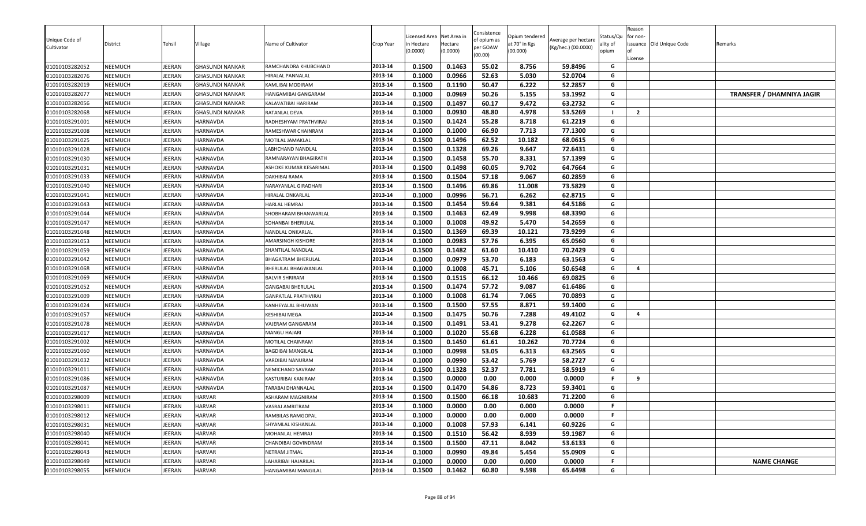| Unique Code of<br>Cultivator     | District           | Tehsil           | Village                | Name of Cultivator                        | Crop Year          | Licensed Area<br>า Hectare<br>0.0000) | Net Area in<br>Hectare<br>(0.0000) | Consistence<br>of opium as<br>per GOAW<br>(00.00) | Opium tendered<br>at 70° in Kgs<br>(00.000) | Average per hectare<br>(Kg/hec.) (00.0000) | Status/Qu<br>ality of<br>opium | Reason<br>for non-<br>License | issuance Old Unique Code | Remarks                          |
|----------------------------------|--------------------|------------------|------------------------|-------------------------------------------|--------------------|---------------------------------------|------------------------------------|---------------------------------------------------|---------------------------------------------|--------------------------------------------|--------------------------------|-------------------------------|--------------------------|----------------------------------|
| 01010103282052                   | NEEMUCH            | JEERAN           | <b>GHASUNDI NANKAR</b> | RAMCHANDRA KHUBCHAND                      | 2013-14            | 0.1500                                | 0.1463                             | 55.02                                             | 8.756                                       | 59.8496                                    | G                              |                               |                          |                                  |
| 01010103282076                   | NEEMUCH            | EERAN            | <b>GHASUNDI NANKAR</b> | HIRALAL PANNALAL                          | 2013-14            | 0.1000                                | 0.0966                             | 52.63                                             | 5.030                                       | 52.0704                                    | G                              |                               |                          |                                  |
| 01010103282019                   | NEEMUCH            | <b>IEERAN</b>    | <b>GHASUNDI NANKAR</b> | KAMLIBAI MODIRAM                          | 2013-14            | 0.1500                                | 0.1190                             | 50.47                                             | 6.222                                       | 52.2857                                    | G                              |                               |                          |                                  |
| 01010103282077                   | NEEMUCH            | IEERAN           | <b>GHASUNDI NANKAR</b> | HANGAMIBAI GANGARAM                       | 2013-14            | 0.1000                                | 0.0969                             | 50.26                                             | 5.155                                       | 53.1992                                    | G                              |                               |                          | <b>TRANSFER / DHAMNIYA JAGIR</b> |
| 01010103282056                   | NEEMUCH            | JEERAN           | <b>GHASUNDI NANKAR</b> | KALAVATIBAI HARIRAM                       | 2013-14            | 0.1500                                | 0.1497                             | 60.17                                             | 9.472                                       | 63.2732                                    | G                              |                               |                          |                                  |
| 01010103282068                   | NEEMUCH            | <b>EERAN</b>     | <b>GHASUNDI NANKAR</b> | RATANLAL DEVA                             | 2013-14            | 0.1000                                | 0.0930                             | 48.80                                             | 4.978                                       | 53.5269                                    |                                | $\overline{2}$                |                          |                                  |
| 01010103291001                   | <b>NEEMUCH</b>     | JEERAN           | <b>HARNAVDA</b>        | RADHESHYAM PRATHVIRAJ                     | 2013-14            | 0.1500                                | 0.1424                             | 55.28                                             | 8.718                                       | 61.2219                                    | G                              |                               |                          |                                  |
| 01010103291008                   | NEEMUCH            | JEERAN           | <b>HARNAVDA</b>        | RAMESHWAR CHAINRAM                        | 2013-14            | 0.1000                                | 0.1000                             | 66.90                                             | 7.713                                       | 77.1300                                    | G                              |                               |                          |                                  |
| 01010103291025                   | NEEMUCH            | <b>IEERAN</b>    | <b>HARNAVDA</b>        | MOTILAL JAMAKLAL                          | 2013-14            | 0.1500                                | 0.1496                             | 62.52                                             | 10.182                                      | 68.0615                                    | G                              |                               |                          |                                  |
| 01010103291028                   | NEEMUCH            | IEERAN           | HARNAVDA               | ABHCHAND NANDLAL                          | 2013-14            | 0.1500                                | 0.1328                             | 69.26                                             | 9.647                                       | 72.6431                                    | G                              |                               |                          |                                  |
| 01010103291030                   | NEEMUCH            | EERAN            | HARNAVDA               | RAMNARAYAN BHAGIRATH                      | 2013-14            | 0.1500                                | 0.1458                             | 55.70                                             | 8.331                                       | 57.1399                                    | G                              |                               |                          |                                  |
| 01010103291031                   | NEEMUCH            | <b>EERAN</b>     | HARNAVDA               | ASHOKE KUMAR KESARIMAL                    | 2013-14            | 0.1500                                | 0.1498                             | 60.05                                             | 9.702                                       | 64.7664                                    | G                              |                               |                          |                                  |
| 01010103291033                   | NEEMUCH            | JEERAN           | HARNAVDA               | DAKHIBAI RAMA                             | 2013-14<br>2013-14 | 0.1500                                | 0.1504                             | 57.18<br>69.86                                    | 9.067                                       | 60.2859<br>73.5829                         | G<br>G                         |                               |                          |                                  |
| 01010103291040                   | <b>NEEMUCH</b>     | JEERAN           | <b>HARNAVDA</b>        | NARAYANLAL GIRADHARI                      |                    | 0.1500                                | 0.1496<br>0.0996                   | 56.71                                             | 11.008                                      |                                            | G                              |                               |                          |                                  |
| 01010103291041                   | <b>NEEMUCH</b>     | IEERAN           | HARNAVDA               | HIRALAL ONKARLAL<br>HARLAL HEMRAJ         | 2013-14<br>2013-14 | 0.1000<br>0.1500                      | 0.1454                             | 59.64                                             | 6.262<br>9.381                              | 62.8715<br>64.5186                         | G                              |                               |                          |                                  |
| 01010103291043                   | NEEMUCH<br>NEEMUCH | IEERAN<br>JEERAN | HARNAVDA<br>HARNAVDA   |                                           | 2013-14            | 0.1500                                | 0.1463                             | 62.49                                             | 9.998                                       | 68.3390                                    | G                              |                               |                          |                                  |
| 01010103291044                   |                    | <b>IEERAN</b>    | HARNAVDA               | SHOBHARAM BHANWARLAL<br>SOHANBAI BHERULAL | 2013-14            | 0.1000                                | 0.1008                             | 49.92                                             | 5.470                                       | 54.2659                                    | G                              |                               |                          |                                  |
| 01010103291047<br>01010103291048 | NEEMUCH<br>NEEMUCH | EERAN            | <b>HARNAVDA</b>        | NANDLAL ONKARLAL                          | 2013-14            | 0.1500                                | 0.1369                             | 69.39                                             | 10.121                                      | 73.9299                                    | G                              |                               |                          |                                  |
| 01010103291053                   | NEEMUCH            | EERAN            | HARNAVDA               | AMARSINGH KISHORE                         | 2013-14            | 0.1000                                | 0.0983                             | 57.76                                             | 6.395                                       | 65.0560                                    | G                              |                               |                          |                                  |
| 01010103291059                   | NEEMUCH            | JEERAN           | <b>HARNAVDA</b>        | SHANTILAL NANDLAL                         | 2013-14            | 0.1500                                | 0.1482                             | 61.60                                             | 10.410                                      | 70.2429                                    | G                              |                               |                          |                                  |
| 01010103291042                   | NEEMUCH            | JEERAN           | HARNAVDA               | BHAGATRAM BHERULAL                        | 2013-14            | 0.1000                                | 0.0979                             | 53.70                                             | 6.183                                       | 63.1563                                    | G                              |                               |                          |                                  |
| 01010103291068                   | NEEMUCH            | JEERAN           | HARNAVDA               | BHERULAL BHAGWANLAL                       | 2013-14            | 0.1000                                | 0.1008                             | 45.71                                             | 5.106                                       | 50.6548                                    | G                              | $\overline{a}$                |                          |                                  |
| 01010103291069                   | NEEMUCH            | IEERAN           | HARNAVDA               | BALVIR SHRIRAM                            | 2013-14            | 0.1500                                | 0.1515                             | 66.12                                             | 10.466                                      | 69.0825                                    | G                              |                               |                          |                                  |
| 01010103291052                   | NEEMUCH            | <b>IEERAN</b>    | HARNAVDA               | GANGABAI BHERULAL                         | 2013-14            | 0.1500                                | 0.1474                             | 57.72                                             | 9.087                                       | 61.6486                                    | G                              |                               |                          |                                  |
| 01010103291009                   | NEEMUCH            | JEERAN           | HARNAVDA               | GANPATLAL PRATHVIRAJ                      | 2013-14            | 0.1000                                | 0.1008                             | 61.74                                             | 7.065                                       | 70.0893                                    | G                              |                               |                          |                                  |
| 01010103291024                   | NEEMUCH            | <b>EERAN</b>     | HARNAVDA               | KANHEYALAL BHUWAN                         | 2013-14            | 0.1500                                | 0.1500                             | 57.55                                             | 8.871                                       | 59.1400                                    | G                              |                               |                          |                                  |
| 01010103291057                   | NEEMUCH            | <b>IEERAN</b>    | HARNAVDA               | KESHIBAI MEGA                             | 2013-14            | 0.1500                                | 0.1475                             | 50.76                                             | 7.288                                       | 49.4102                                    | G                              | $\overline{a}$                |                          |                                  |
| 01010103291078                   | NEEMUCH            | <b>IEERAN</b>    | HARNAVDA               | VAJERAM GANGARAM                          | 2013-14            | 0.1500                                | 0.1491                             | 53.41                                             | 9.278                                       | 62.2267                                    | G                              |                               |                          |                                  |
| 01010103291017                   | NEEMUCH            | JEERAN           | HARNAVDA               | MANGU HAJARI                              | 2013-14            | 0.1000                                | 0.1020                             | 55.68                                             | 6.228                                       | 61.0588                                    | G                              |                               |                          |                                  |
| 01010103291002                   | NEEMUCH            | JEERAN           | HARNAVDA               | MOTILAL CHAINRAM                          | 2013-14            | 0.1500                                | 0.1450                             | 61.61                                             | 10.262                                      | 70.7724                                    | G                              |                               |                          |                                  |
| 01010103291060                   | NEEMUCH            | JEERAN           | <b>HARNAVDA</b>        | BAGDIBAI MANGILAL                         | 2013-14            | 0.1000                                | 0.0998                             | 53.05                                             | 6.313                                       | 63.2565                                    | G                              |                               |                          |                                  |
| 01010103291032                   | NEEMUCH            | IEERAN           | HARNAVDA               | VARDIBAI NANURAM                          | 2013-14            | 0.1000                                | 0.0990                             | 53.42                                             | 5.769                                       | 58.2727                                    | G                              |                               |                          |                                  |
| 01010103291011                   | NEEMUCH            | JEERAN           | HARNAVDA               | NEMICHAND SAVRAM                          | 2013-14            | 0.1500                                | 0.1328                             | 52.37                                             | 7.781                                       | 58.5919                                    | G                              |                               |                          |                                  |
| 01010103291086                   | NEEMUCH            | JEERAN           | <b>HARNAVDA</b>        | KASTURIBAI KANIRAM                        | 2013-14            | 0.1500                                | 0.0000                             | 0.00                                              | 0.000                                       | 0.0000                                     | F                              | 9                             |                          |                                  |
| 01010103291087                   | NEEMUCH            | <b>IEERAN</b>    | <b>HARNAVDA</b>        | TARABAI DHANNALAL                         | 2013-14            | 0.1500                                | 0.1470                             | 54.86                                             | 8.723                                       | 59.3401                                    | G                              |                               |                          |                                  |
| 01010103298009                   | NEEMUCH            | <b>IEERAN</b>    | HARVAR                 | ASHARAM MAGNIRAM                          | 2013-14            | 0.1500                                | 0.1500                             | 66.18                                             | 10.683                                      | 71.2200                                    | G                              |                               |                          |                                  |
| 01010103298011                   | NEEMUCH            | <b>EERAN</b>     | HARVAR                 | VASRAJ AMRITRAM                           | 2013-14            | 0.1000                                | 0.0000                             | 0.00                                              | 0.000                                       | 0.0000                                     | F.                             |                               |                          |                                  |
| 01010103298012                   | NEEMUCH            | JEERAN           | <b>HARVAR</b>          | RAMBILAS RAMGOPAL                         | 2013-14            | 0.1000                                | 0.0000                             | 0.00                                              | 0.000                                       | 0.0000                                     | F.                             |                               |                          |                                  |
| 01010103298031                   | NEEMUCH            | JEERAN           | <b>HARVAR</b>          | SHYAMLAL KISHANLAL                        | 2013-14            | 0.1000                                | 0.1008                             | 57.93                                             | 6.141                                       | 60.9226                                    | G                              |                               |                          |                                  |
| 01010103298040                   | NEEMUCH            | JEERAN           | <b>HARVAR</b>          | MOHANLAL HEMRAJ                           | 2013-14            | 0.1500                                | 0.1510                             | 56.42                                             | 8.939                                       | 59.1987                                    | G                              |                               |                          |                                  |
| 01010103298041                   | NEEMUCH            | JEERAN           | <b>HARVAR</b>          | CHANDIBAI GOVINDRAM                       | 2013-14            | 0.1500                                | 0.1500                             | 47.11                                             | 8.042                                       | 53.6133                                    | G                              |                               |                          |                                  |
| 01010103298043                   | NEEMUCH            | <b>IEERAN</b>    | <b>HARVAR</b>          | NETRAM JITMAL                             | 2013-14            | 0.1000                                | 0.0990                             | 49.84                                             | 5.454                                       | 55.0909                                    | G                              |                               |                          |                                  |
| 01010103298049                   | NEEMUCH            | JEERAN           | <b>HARVAR</b>          | LAHARIBAI HAJARILAL                       | 2013-14            | 0.1000                                | 0.0000                             | 0.00                                              | 0.000                                       | 0.0000                                     | F.                             |                               |                          | <b>NAME CHANGE</b>               |
| 01010103298055                   | NEEMUCH            | JEERAN           | <b>HARVAR</b>          | HANGAMIBAI MANGILAL                       | 2013-14            | 0.1500                                | 0.1462                             | 60.80                                             | 9.598                                       | 65.6498                                    | G                              |                               |                          |                                  |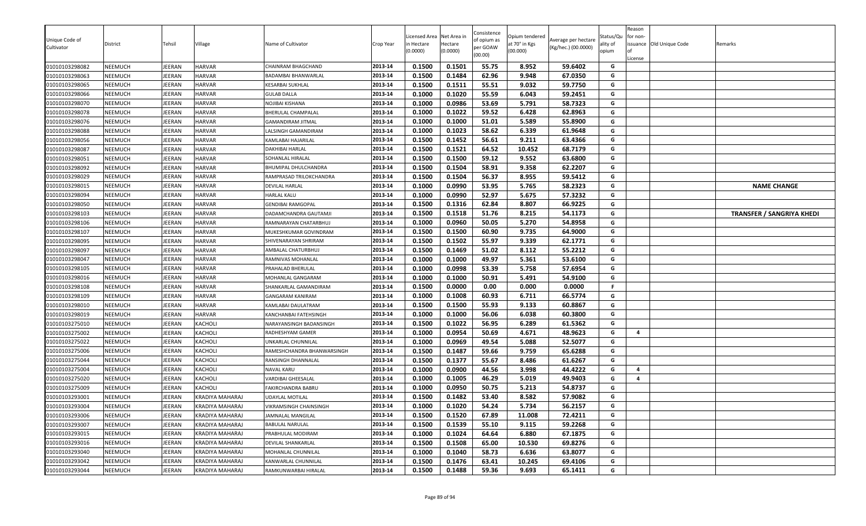| Unique Code of<br>Cultivator<br>01010103298082 | District<br>NEEMUCH | Tehsil<br><b>IEERAN</b> | Village<br><b>HARVAR</b> | Name of Cultivator<br>CHAINRAM BHAGCHAND  | Crop Year<br>2013-14 | Licensed Area<br>า Hectare<br>(0.0000)<br>0.1500 | Net Area in<br>Hectare<br>(0.0000)<br>0.1501 | Consistence<br>of opium as<br>per GOAW<br>(00.00)<br>55.75 | Opium tendered<br>at 70° in Kgs<br>(00.000)<br>8.952 | Average per hectare<br>(Kg/hec.) (00.0000)<br>59.6402 | Status/Qu<br>ality of<br>opium<br>G | Reason<br>for non-<br>License | issuance Old Unique Code | Remarks                          |
|------------------------------------------------|---------------------|-------------------------|--------------------------|-------------------------------------------|----------------------|--------------------------------------------------|----------------------------------------------|------------------------------------------------------------|------------------------------------------------------|-------------------------------------------------------|-------------------------------------|-------------------------------|--------------------------|----------------------------------|
| 01010103298063                                 | NEEMUCH             | EERAN                   | HARVAR                   |                                           | 2013-14              | 0.1500                                           | 0.1484                                       | 62.96                                                      | 9.948                                                | 67.0350                                               | G                                   |                               |                          |                                  |
| 01010103298065                                 | NEEMUCH             | <b>EERAN</b>            | <b>HARVAR</b>            | BADAMBAI BHANWARLAL<br>KESARBAI SUKHLAL   | 2013-14              | 0.1500                                           | 0.1511                                       | 55.51                                                      | 9.032                                                | 59.7750                                               | G                                   |                               |                          |                                  |
| 01010103298066                                 | NEEMUCH             | JEERAN                  | <b>HARVAR</b>            | <b>GULAB DALLA</b>                        | 2013-14              | 0.1000                                           | 0.1020                                       | 55.59                                                      | 6.043                                                | 59.2451                                               | G                                   |                               |                          |                                  |
| 01010103298070                                 | NEEMUCH             | JEERAN                  | <b>HARVAR</b>            | NOJIBAI KISHANA                           | 2013-14              | 0.1000                                           | 0.0986                                       | 53.69                                                      | 5.791                                                | 58.7323                                               | G                                   |                               |                          |                                  |
| 01010103298078                                 | NEEMUCH             | JEERAN                  | <b>HARVAR</b>            | BHERULAL CHAMPALAL                        | 2013-14              | 0.1000                                           | 0.1022                                       | 59.52                                                      | 6.428                                                | 62.8963                                               | G                                   |                               |                          |                                  |
| 01010103298076                                 | NEEMUCH             | <b>IEERAN</b>           | <b>HARVAR</b>            | GAMANDIRAM JITMAL                         | 2013-14              | 0.1000                                           | 0.1000                                       | 51.01                                                      | 5.589                                                | 55.8900                                               | G                                   |                               |                          |                                  |
| 01010103298088                                 | NEEMUCH             | JEERAN                  | <b>HARVAR</b>            | LALSINGH GAMANDIRAM                       | 2013-14              | 0.1000                                           | 0.1023                                       | 58.62                                                      | 6.339                                                | 61.9648                                               | G                                   |                               |                          |                                  |
| 01010103298056                                 | NEEMUCH             | JEERAN                  | <b>HARVAR</b>            | KAMLABAI HAJARILAL                        | 2013-14              | 0.1500                                           | 0.1452                                       | 56.61                                                      | 9.211                                                | 63.4366                                               | G                                   |                               |                          |                                  |
| 01010103298087                                 | NEEMUCH             | JEERAN                  | <b>HARVAR</b>            | DAKHIBAI HARLAL                           | 2013-14              | 0.1500                                           | 0.1521                                       | 64.52                                                      | 10.452                                               | 68.7179                                               | G                                   |                               |                          |                                  |
| 01010103298051                                 | NEEMUCH             | <b>IEERAN</b>           | HARVAR                   | SOHANLAL HIRALAL                          | 2013-14              | 0.1500                                           | 0.1500                                       | 59.12                                                      | 9.552                                                | 63.6800                                               | G                                   |                               |                          |                                  |
| 01010103298092                                 | NEEMUCH             | JEERAN                  | <b>HARVAR</b>            | BHUMIPAL DHULCHANDRA                      | 2013-14              | 0.1500                                           | 0.1504                                       | 58.91                                                      | 9.358                                                | 62.2207                                               | G                                   |                               |                          |                                  |
| 01010103298029                                 | NEEMUCH             | JEERAN                  | <b>HARVAR</b>            | RAMPRASAD TRILOKCHANDRA                   | 2013-14              | 0.1500                                           | 0.1504                                       | 56.37                                                      | 8.955                                                | 59.5412                                               | G                                   |                               |                          |                                  |
| 01010103298015                                 | NEEMUCH             | JEERAN                  | <b>HARVAR</b>            | DEVILAL HARLAL                            | 2013-14              | 0.1000                                           | 0.0990                                       | 53.95                                                      | 5.765                                                | 58.2323                                               | G                                   |                               |                          | <b>NAME CHANGE</b>               |
| 01010103298094                                 | NEEMUCH             | IEERAN                  | <b>HARVAR</b>            | HARLAL KALU                               | 2013-14              | 0.1000                                           | 0.0990                                       | 52.97                                                      | 5.675                                                | 57.3232                                               | G                                   |                               |                          |                                  |
| 01010103298050                                 | NEEMUCH             | EERAN                   | <b>HARVAR</b>            | GENDIBAI RAMGOPAL                         | 2013-14              | 0.1500                                           | 0.1316                                       | 62.84                                                      | 8.807                                                | 66.9225                                               | G                                   |                               |                          |                                  |
| 01010103298103                                 | NEEMUCH             | JEERAN                  | <b>HARVAR</b>            | DADAMCHANDRA GAUTAMJI                     | 2013-14              | 0.1500                                           | 0.1518                                       | 51.76                                                      | 8.215                                                | 54.1173                                               | G                                   |                               |                          | <b>TRANSFER / SANGRIYA KHEDI</b> |
| 01010103298106                                 | NEEMUCH             | JEERAN                  | <b>HARVAR</b>            | RAMNARAYAN CHATARBHUJ                     | 2013-14              | 0.1000                                           | 0.0960                                       | 50.05                                                      | 5.270                                                | 54.8958                                               | G                                   |                               |                          |                                  |
| 01010103298107                                 | NEEMUCH             | JEERAN                  | <b>HARVAR</b>            | MUKESHKUMAR GOVINDRAM                     | 2013-14              | 0.1500                                           | 0.1500                                       | 60.90                                                      | 9.735                                                | 64.9000                                               | G                                   |                               |                          |                                  |
| 01010103298095                                 | NEEMUCH             | <b>IEERAN</b>           | HARVAR                   | SHIVENARAYAN SHRIRAM                      | 2013-14              | 0.1500                                           | 0.1502                                       | 55.97                                                      | 9.339                                                | 62.1771                                               | G                                   |                               |                          |                                  |
| 01010103298097                                 | NEEMUCH             | JEERAN                  | <b>HARVAR</b>            | AMBALAL CHATURBHUJ                        | 2013-14              | 0.1500                                           | 0.1469                                       | 51.02                                                      | 8.112                                                | 55.2212                                               | G                                   |                               |                          |                                  |
| 01010103298047                                 | NEEMUCH             | JEERAN                  | <b>HARVAR</b>            | RAMNIVAS MOHANLAL                         | 2013-14              | 0.1000                                           | 0.1000                                       | 49.97                                                      | 5.361                                                | 53.6100                                               | G                                   |                               |                          |                                  |
| 01010103298105                                 | NEEMUCH             | JEERAN                  | <b>HARVAR</b>            | PRAHALAD BHERULAL                         | 2013-14              | 0.1000                                           | 0.0998                                       | 53.39                                                      | 5.758                                                | 57.6954                                               | G                                   |                               |                          |                                  |
| 01010103298016                                 | NEEMUCH             | <b>IEERAN</b>           | <b>HARVAR</b>            | MOHANLAL GANGARAM                         | 2013-14              | 0.1000                                           | 0.1000                                       | 50.91                                                      | 5.491                                                | 54.9100                                               | G                                   |                               |                          |                                  |
| 01010103298108                                 | NEEMUCH             | <b>EERAN</b>            | <b>HARVAR</b>            | SHANKARLAL GAMANDIRAM                     | 2013-14              | 0.1500                                           | 0.0000                                       | 0.00                                                       | 0.000                                                | 0.0000                                                | F                                   |                               |                          |                                  |
| 01010103298109                                 | NEEMUCH             | JEERAN                  | <b>HARVAR</b>            | <b>GANGARAM KANIRAM</b>                   | 2013-14              | 0.1000                                           | 0.1008                                       | 60.93                                                      | 6.711                                                | 66.5774                                               | G                                   |                               |                          |                                  |
| 01010103298010                                 | NEEMUCH             | JEERAN                  | <b>HARVAR</b>            | KAMLABAI DAULATRAM                        | 2013-14              | 0.1500                                           | 0.1500                                       | 55.93                                                      | 9.133                                                | 60.8867                                               | G                                   |                               |                          |                                  |
| 01010103298019                                 | NEEMUCH             | JEERAN                  | <b>HARVAR</b>            | KANCHANBAI FATEHSINGH                     | 2013-14              | 0.1000                                           | 0.1000                                       | 56.06                                                      | 6.038                                                | 60.3800                                               | G                                   |                               |                          |                                  |
| 01010103275010                                 | NEEMUCH             | <b>IEERAN</b>           | KACHOLI                  | NARAYANSINGH BADANSINGH                   | 2013-14              | 0.1500                                           | 0.1022                                       | 56.95                                                      | 6.289                                                | 61.5362                                               | G                                   |                               |                          |                                  |
| 01010103275002                                 | NEEMUCH             | <b>IEERAN</b>           | KACHOLI                  | RADHESHYAM GAMER                          | 2013-14              | 0.1000                                           | 0.0954                                       | 50.69                                                      | 4.671                                                | 48.9623                                               | G                                   | $\overline{4}$                |                          |                                  |
| 01010103275022                                 | NEEMUCH             | JEERAN                  | KACHOLI                  | UNKARLAL CHUNNILAL                        | 2013-14              | 0.1000                                           | 0.0969                                       | 49.54                                                      | 5.088                                                | 52.5077                                               | G                                   |                               |                          |                                  |
| 01010103275006                                 | NEEMUCH             | <b>IEERAN</b>           | KACHOLI                  | RAMESHCHANDRA BHANWARSINGH                | 2013-14              | 0.1500                                           | 0.1487                                       | 59.66                                                      | 9.759                                                | 65.6288                                               | G                                   |                               |                          |                                  |
| 01010103275044                                 | NEEMUCH             | JEERAN                  | KACHOLI                  | RANSINGH DHANNALAL                        | 2013-14              | 0.1500                                           | 0.1377                                       | 55.67                                                      | 8.486                                                | 61.6267                                               | G                                   |                               |                          |                                  |
| 01010103275004                                 | NEEMUCH             | IEERAN                  | KACHOLI                  | NAVAL KARU                                | 2013-14              | 0.1000                                           | 0.0900                                       | 44.56                                                      | 3.998                                                | 44.4222                                               | G                                   | 4                             |                          |                                  |
| 01010103275020                                 | NEEMUCH             | JEERAN                  | KACHOLI                  | VARDIBAI GHEESALAL                        | 2013-14              | 0.1000                                           | 0.1005                                       | 46.29                                                      | 5.019                                                | 49.9403                                               | G                                   | $\overline{a}$                |                          |                                  |
| 01010103275009                                 | NEEMUCH             | <b>IEERAN</b>           | KACHOLI                  | FAKIRCHANDRA BABRU                        | 2013-14              | 0.1000                                           | 0.0950                                       | 50.75                                                      | 5.213                                                | 54.8737                                               | G                                   |                               |                          |                                  |
| 01010103293001                                 | NEEMUCH             | <b>IEERAN</b>           | <b>KRADIYA MAHARAJ</b>   | JDAYLAL MOTILAL                           | 2013-14              | 0.1500                                           | 0.1482                                       | 53.40                                                      | 8.582                                                | 57.9082                                               | G                                   |                               |                          |                                  |
| 01010103293004                                 | NEEMUCH             | JEERAN                  | KRADIYA MAHARAJ          | VIKRAMSINGH CHAINSINGH                    | 2013-14              | 0.1000                                           | 0.1020                                       | 54.24                                                      | 5.734                                                | 56.2157                                               | G                                   |                               |                          |                                  |
| 01010103293006                                 | <b>NEEMUCH</b>      | JEERAN                  | KRADIYA MAHARAJ          | JAMNALAL MANGILAL                         | 2013-14              | 0.1500                                           | 0.1520                                       | 67.89                                                      | 11.008                                               | 72.4211                                               | G                                   |                               |                          |                                  |
| 01010103293007                                 | NEEMUCH             | JEERAN                  | KRADIYA MAHARAJ          | <b>BABULAL NARULAL</b>                    | 2013-14              | 0.1500                                           | 0.1539                                       | 55.10                                                      | 9.115                                                | 59.2268                                               | G                                   |                               |                          |                                  |
| 01010103293015                                 | NEEMUCH             | JEERAN                  | KRADIYA MAHARAJ          | PRABHULAL MODIRAM                         | 2013-14              | 0.1000                                           | 0.1024                                       | 64.64                                                      | 6.880                                                | 67.1875                                               | G                                   |                               |                          |                                  |
| 01010103293016                                 | NEEMUCH             | JEERAN                  | KRADIYA MAHARAJ          | DEVILAL SHANKARLAL                        | 2013-14<br>2013-14   | 0.1500                                           | 0.1508<br>0.1040                             | 65.00<br>58.73                                             | 10.530                                               | 69.8276                                               | G<br>G                              |                               |                          |                                  |
| 01010103293040                                 | NEEMUCH             | IEERAN                  | KRADIYA MAHARAJ          | MOHANLAL CHUNNILAL<br>KANWARLAL CHUNNILAL |                      | 0.1000                                           |                                              |                                                            | 6.636                                                | 63.8077                                               | G                                   |                               |                          |                                  |
| 01010103293042                                 | NEEMUCH             | JEERAN                  | KRADIYA MAHARAJ          |                                           | 2013-14              | 0.1500                                           | 0.1476<br>0.1488                             | 63.41<br>59.36                                             | 10.245                                               | 69.4106                                               |                                     |                               |                          |                                  |
| 01010103293044                                 | NEEMUCH             | JEERAN                  | KRADIYA MAHARAJ          | RAMKUNWARBAI HIRALAL                      | 2013-14              | 0.1500                                           |                                              |                                                            | 9.693                                                | 65.1411                                               | G                                   |                               |                          |                                  |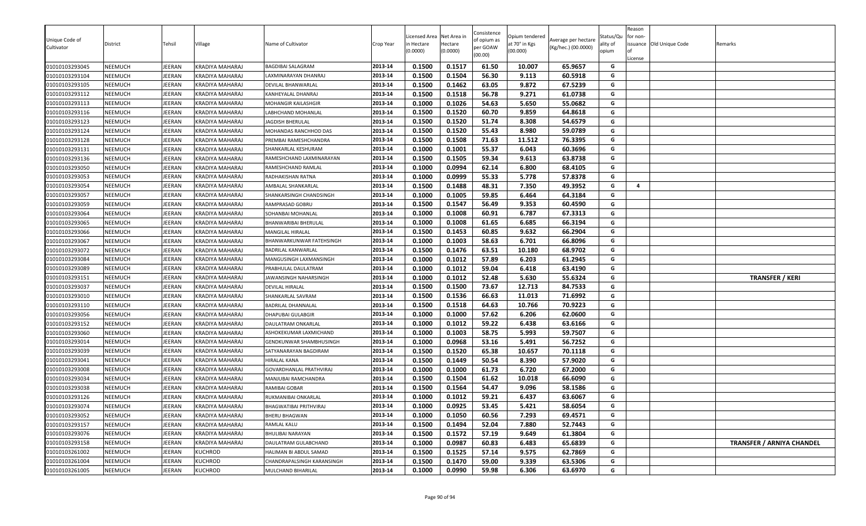| Unique Code of<br>Cultivator     | District<br>NEEMUCH | Tehsil<br><b>IEERAN</b> | Village<br><b>KRADIYA MAHARAJ</b>  | Name of Cultivator                         | Crop Year<br>2013-14 | Licensed Area<br>n Hectare<br>(0.0000)<br>0.1500 | Net Area in<br>Hectare<br>(0.0000) | Consistence<br>of opium as<br>per GOAW<br>(00.00)<br>61.50 | Opium tendered<br>at 70° in Kgs<br>(00.000) | Average per hectare<br>(Kg/hec.) (00.0000)<br>65.9657 | Status/Qu<br>ality of<br>opium<br>G | Reason<br>for non-<br>License | issuance Old Unique Code | Remarks                          |
|----------------------------------|---------------------|-------------------------|------------------------------------|--------------------------------------------|----------------------|--------------------------------------------------|------------------------------------|------------------------------------------------------------|---------------------------------------------|-------------------------------------------------------|-------------------------------------|-------------------------------|--------------------------|----------------------------------|
| 01010103293045                   |                     |                         |                                    | BAGDIBAI SALAGRAM                          | 2013-14              |                                                  | 0.1517                             |                                                            | 10.007                                      |                                                       | G                                   |                               |                          |                                  |
| 01010103293104<br>01010103293105 | NEEMUCH<br>NEEMUCH  | EERAN<br>JEERAN         | KRADIYA MAHARAJ<br>KRADIYA MAHARAJ | AXMINARAYAN DHANRAJ<br>DEVILAL BHANWARLAL  | 2013-14              | 0.1500<br>0.1500                                 | 0.1504<br>0.1462                   | 56.30<br>63.05                                             | 9.113<br>9.872                              | 60.5918<br>67.5239                                    | G                                   |                               |                          |                                  |
| 01010103293112                   | NEEMUCH             | JEERAN                  | KRADIYA MAHARAJ                    |                                            | 2013-14              | 0.1500                                           | 0.1518                             | 56.78                                                      | 9.271                                       | 61.0738                                               | G                                   |                               |                          |                                  |
| 01010103293113                   | NEEMUCH             | JEERAN                  | KRADIYA MAHARAJ                    | KANHEYALAL DHANRAJ<br>VIOHANGIR KAILASHGIR | 2013-14              | 0.1000                                           | 0.1026                             | 54.63                                                      | 5.650                                       | 55.0682                                               | G                                   |                               |                          |                                  |
| 01010103293116                   | NEEMUCH             | JEERAN                  | KRADIYA MAHARAJ                    | LABHCHAND MOHANLAL                         | 2013-14              | 0.1500                                           | 0.1520                             | 60.70                                                      | 9.859                                       | 64.8618                                               | G                                   |                               |                          |                                  |
| 01010103293123                   | NEEMUCH             | <b>IEERAN</b>           | KRADIYA MAHARAJ                    | JAGDISH BHERULAL                           | 2013-14              | 0.1500                                           | 0.1520                             | 51.74                                                      | 8.308                                       | 54.6579                                               | G                                   |                               |                          |                                  |
| 01010103293124                   | NEEMUCH             | JEERAN                  | KRADIYA MAHARAJ                    | MOHANDAS RANCHHOD DAS                      | 2013-14              | 0.1500                                           | 0.1520                             | 55.43                                                      | 8.980                                       | 59.0789                                               | G                                   |                               |                          |                                  |
| 01010103293128                   | NEEMUCH             | JEERAN                  | KRADIYA MAHARAJ                    | PREMBAI RAMESHCHANDRA                      | 2013-14              | 0.1500                                           | 0.1508                             | 71.63                                                      | 11.512                                      | 76.3395                                               | G                                   |                               |                          |                                  |
| 01010103293131                   | NEEMUCH             | JEERAN                  | <b>KRADIYA MAHARAJ</b>             | SHANKARLAL KESHURAM                        | 2013-14              | 0.1000                                           | 0.1001                             | 55.37                                                      | 6.043                                       | 60.3696                                               | G                                   |                               |                          |                                  |
| 01010103293136                   | NEEMUCH             | <b>IEERAN</b>           | KRADIYA MAHARAJ                    | RAMESHCHAND LAXMINARAYAN                   | 2013-14              | 0.1500                                           | 0.1505                             | 59.34                                                      | 9.613                                       | 63.8738                                               | G                                   |                               |                          |                                  |
| 01010103293050                   | NEEMUCH             | JEERAN                  | KRADIYA MAHARAJ                    | RAMESHCHAND RAMLAL                         | 2013-14              | 0.1000                                           | 0.0994                             | 62.14                                                      | 6.800                                       | 68.4105                                               | G                                   |                               |                          |                                  |
| 01010103293053                   | NEEMUCH             | JEERAN                  | KRADIYA MAHARAJ                    | RADHAKISHAN RATNA                          | 2013-14              | 0.1000                                           | 0.0999                             | 55.33                                                      | 5.778                                       | 57.8378                                               | G                                   |                               |                          |                                  |
| 01010103293054                   | NEEMUCH             | JEERAN                  | KRADIYA MAHARAJ                    | AMBALAL SHANKARLAL                         | 2013-14              | 0.1500                                           | 0.1488                             | 48.31                                                      | 7.350                                       | 49.3952                                               | G                                   | 4                             |                          |                                  |
| 01010103293057                   | NEEMUCH             | IEERAN                  | <b>KRADIYA MAHARAJ</b>             | SHANKARSINGH CHANDSINGH                    | 2013-14              | 0.1000                                           | 0.1005                             | 59.85                                                      | 6.464                                       | 64.3184                                               | G                                   |                               |                          |                                  |
| 01010103293059                   | NEEMUCH             | EERAN                   | KRADIYA MAHARAJ                    | RAMPRASAD GOBRU                            | 2013-14              | 0.1500                                           | 0.1547                             | 56.49                                                      | 9.353                                       | 60.4590                                               | G                                   |                               |                          |                                  |
| 01010103293064                   | NEEMUCH             | JEERAN                  | <b>KRADIYA MAHARAJ</b>             | SOHANBAI MOHANLAL                          | 2013-14              | 0.1000                                           | 0.1008                             | 60.91                                                      | 6.787                                       | 67.3313                                               | G                                   |                               |                          |                                  |
| 01010103293065                   | NEEMUCH             | JEERAN                  | KRADIYA MAHARAJ                    | BHANWARIBAI BHERULAL                       | 2013-14              | 0.1000                                           | 0.1008                             | 61.65                                                      | 6.685                                       | 66.3194                                               | G                                   |                               |                          |                                  |
| 01010103293066                   | NEEMUCH             | JEERAN                  | KRADIYA MAHARAJ                    | MANGILAL HIRALAL                           | 2013-14              | 0.1500                                           | 0.1453                             | 60.85                                                      | 9.632                                       | 66.2904                                               | G                                   |                               |                          |                                  |
| 01010103293067                   | NEEMUCH             | JEERAN                  | KRADIYA MAHARAJ                    | BHANWARKUNWAR FATEHSINGH                   | 2013-14              | 0.1000                                           | 0.1003                             | 58.63                                                      | 6.701                                       | 66.8096                                               | G                                   |                               |                          |                                  |
| 01010103293072                   | NEEMUCH             | JEERAN                  | KRADIYA MAHARAJ                    | BADRILAL KANWARLAL                         | 2013-14              | 0.1500                                           | 0.1476                             | 63.51                                                      | 10.180                                      | 68.9702                                               | G                                   |                               |                          |                                  |
| 01010103293084                   | NEEMUCH             | JEERAN                  | <b>KRADIYA MAHARAJ</b>             | MANGUSINGH LAXMANSINGH                     | 2013-14              | 0.1000                                           | 0.1012                             | 57.89                                                      | 6.203                                       | 61.2945                                               | G                                   |                               |                          |                                  |
| 01010103293089                   | NEEMUCH             | JEERAN                  | KRADIYA MAHARAJ                    | PRABHULAL DAULATRAM                        | 2013-14              | 0.1000                                           | 0.1012                             | 59.04                                                      | 6.418                                       | 63.4190                                               | G                                   |                               |                          |                                  |
| 01010103293151                   | NEEMUCH             | <b>IEERAN</b>           | KRADIYA MAHARAJ                    | JAWANSINGH NAHARSINGH                      | 2013-14              | 0.1000                                           | 0.1012                             | 52.48                                                      | 5.630                                       | 55.6324                                               | G                                   |                               |                          | <b>TRANSFER / KERI</b>           |
| 01010103293037                   | NEEMUCH             | <b>IEERAN</b>           | KRADIYA MAHARAJ                    | DEVILAL HIRALAL                            | 2013-14              | 0.1500                                           | 0.1500                             | 73.67                                                      | 12.713                                      | 84.7533                                               | G                                   |                               |                          |                                  |
| 01010103293010                   | NEEMUCH             | JEERAN                  | <b>KRADIYA MAHARAJ</b>             | SHANKARLAL SAVRAM                          | 2013-14              | 0.1500                                           | 0.1536                             | 66.63                                                      | 11.013                                      | 71.6992                                               | G                                   |                               |                          |                                  |
| 01010103293110                   | NEEMUCH             | JEERAN                  | KRADIYA MAHARAJ                    | BADRILAL DHANNALAL                         | 2013-14              | 0.1500                                           | 0.1518                             | 64.63                                                      | 10.766                                      | 70.9223                                               | G                                   |                               |                          |                                  |
| 01010103293056                   | NEEMUCH             | JEERAN                  | KRADIYA MAHARAJ                    | DHAPUBAI GULABGIR                          | 2013-14              | 0.1000                                           | 0.1000                             | 57.62                                                      | 6.206                                       | 62.0600                                               | G                                   |                               |                          |                                  |
| 01010103293152                   | NEEMUCH             | <b>IEERAN</b>           | KRADIYA MAHARAJ                    | DAULATRAM ONKARLAL                         | 2013-14              | 0.1000                                           | 0.1012                             | 59.22                                                      | 6.438                                       | 63.6166                                               | G                                   |                               |                          |                                  |
| 01010103293060                   | NEEMUCH             | <b>IEERAN</b>           | KRADIYA MAHARAJ                    | ASHOKEKUMAR LAXMICHAND                     | 2013-14              | 0.1000                                           | 0.1003                             | 58.75                                                      | 5.993                                       | 59.7507                                               | G                                   |                               |                          |                                  |
| 01010103293014                   | NEEMUCH             | JEERAN                  | KRADIYA MAHARAJ                    | GENDKUNWAR SHAMBHUSINGH                    | 2013-14              | 0.1000                                           | 0.0968                             | 53.16                                                      | 5.491                                       | 56.7252                                               | G                                   |                               |                          |                                  |
| 01010103293039                   | NEEMUCH             | <b>IEERAN</b>           | KRADIYA MAHARAJ                    | SATYANARAYAN BAGDIRAM                      | 2013-14              | 0.1500                                           | 0.1520                             | 65.38                                                      | 10.657                                      | 70.1118                                               | G                                   |                               |                          |                                  |
| 01010103293041                   | NEEMUCH             | JEERAN                  | <b>KRADIYA MAHARAJ</b>             | HIRALAL KANA                               | 2013-14              | 0.1500                                           | 0.1449                             | 50.54                                                      | 8.390                                       | 57.9020                                               | G                                   |                               |                          |                                  |
| 01010103293008                   | NEEMUCH             | IEERAN                  | <b>KRADIYA MAHARAJ</b>             | GOVARDHANLAL PRATHVIRAJ                    | 2013-14              | 0.1000                                           | 0.1000                             | 61.73                                                      | 6.720                                       | 67.2000                                               | G                                   |                               |                          |                                  |
| 01010103293034                   | NEEMUCH             | JEERAN                  | KRADIYA MAHARAJ                    | MANJUBAI RAMCHANDRA                        | 2013-14              | 0.1500                                           | 0.1504                             | 61.62                                                      | 10.018                                      | 66.6090                                               | G                                   |                               |                          |                                  |
| 01010103293038                   | NEEMUCH             | IEERAN                  | KRADIYA MAHARAJ                    | RAMIBAI GOBAR                              | 2013-14              | 0.1500                                           | 0.1564                             | 54.47                                                      | 9.096                                       | 58.1586                                               | G                                   |                               |                          |                                  |
| 01010103293126                   | NEEMUCH             | <b>IEERAN</b>           | KRADIYA MAHARAJ                    | RUKMANIBAI ONKARLAL                        | 2013-14              | 0.1000                                           | 0.1012                             | 59.21                                                      | 6.437                                       | 63.6067                                               | G                                   |                               |                          |                                  |
| 01010103293074                   | NEEMUCH             | JEERAN                  | KRADIYA MAHARAJ                    | BHAGWATIBAI PRITHVIRAJ                     | 2013-14              | 0.1000                                           | 0.0925                             | 53.45                                                      | 5.421                                       | 58.6054                                               | G                                   |                               |                          |                                  |
| 01010103293052                   | NEEMUCH             | JEERAN                  | KRADIYA MAHARAJ                    | <b>BHERU BHAGWAN</b>                       | 2013-14              | 0.1000                                           | 0.1050                             | 60.56                                                      | 7.293                                       | 69.4571                                               | G                                   |                               |                          |                                  |
| 01010103293157                   | NEEMUCH             | JEERAN                  | <b>KRADIYA MAHARAJ</b>             | RAMLAL KALU                                | 2013-14              | 0.1500                                           | 0.1494                             | 52.04                                                      | 7.880                                       | 52.7443                                               | G                                   |                               |                          |                                  |
| 01010103293076                   | NEEMUCH             | JEERAN                  | <b>KRADIYA MAHARAJ</b>             | BHULIBAI NARAYAN                           | 2013-14              | 0.1500                                           | 0.1572                             | 57.19                                                      | 9.649                                       | 61.3804                                               | G                                   |                               |                          |                                  |
| 01010103293158                   | NEEMUCH             | <b>IEERAN</b>           | KRADIYA MAHARAJ                    | DAULATRAM GULABCHAND                       | 2013-14              | 0.1000                                           | 0.0987                             | 60.83                                                      | 6.483                                       | 65.6839                                               | G                                   |                               |                          | <b>TRANSFER / ARNIYA CHANDEL</b> |
| 01010103261002                   | NEEMUCH             | EERAN                   | KUCHROD                            | HALIMAN BI ABDUL SAMAD                     | 2013-14              | 0.1500                                           | 0.1525                             | 57.14                                                      | 9.575                                       | 62.7869                                               | G                                   |                               |                          |                                  |
| 01010103261004                   | NEEMUCH             | JEERAN                  | <b>KUCHROD</b>                     | CHANDRAPALSINGH KARANSINGH                 | 2013-14              | 0.1500                                           | 0.1470                             | 59.00                                                      | 9.339                                       | 63.5306                                               | G                                   |                               |                          |                                  |
| 01010103261005                   | NEEMUCH             | JEERAN                  | <b>KUCHROD</b>                     | MULCHAND BIHARILAL                         | 2013-14              | 0.1000                                           | 0.0990                             | 59.98                                                      | 6.306                                       | 63.6970                                               | G                                   |                               |                          |                                  |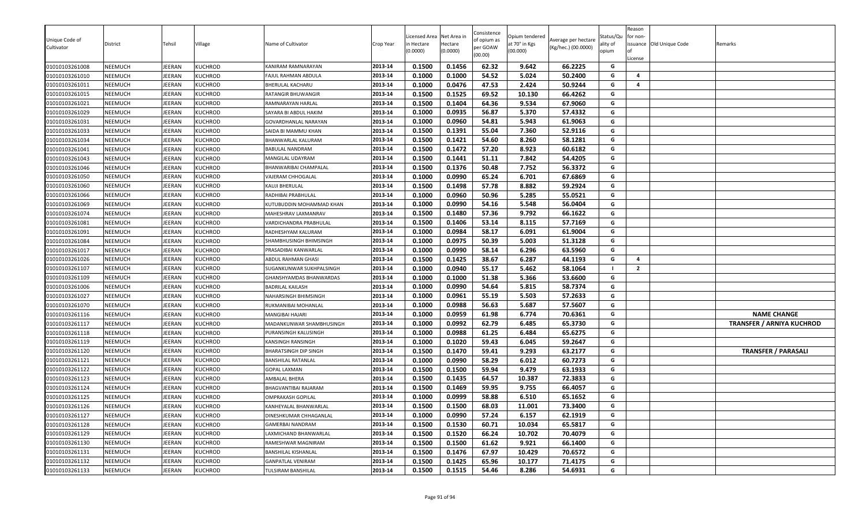| Unique Code of<br>Cultivator     | District<br>NEEMUCH | Tehsil<br><b>EERAN</b> | Village                          | Name of Cultivator                      | Crop Year<br>2013-14 | Licensed Area<br>า Hectare<br>(0.0000)<br>0.1500 | Net Area in<br>Hectare<br>(0.0000)<br>0.1456 | Consistence<br>of opium as<br>per GOAW<br>(00.00)<br>62.32 | Opium tendered<br>at 70° in Kgs<br>(00.000)<br>9.642 | Average per hectare<br>(Kg/hec.) (00.0000)<br>66.2225 | Status/Qu<br>ality of<br>opium<br>G | Reason<br>for non-<br>License | issuance Old Unique Code | Remarks                          |
|----------------------------------|---------------------|------------------------|----------------------------------|-----------------------------------------|----------------------|--------------------------------------------------|----------------------------------------------|------------------------------------------------------------|------------------------------------------------------|-------------------------------------------------------|-------------------------------------|-------------------------------|--------------------------|----------------------------------|
| 01010103261008                   |                     |                        | <b>KUCHROD</b>                   | KANIRAM RAMNARAYAN                      | 2013-14              |                                                  |                                              | 54.52                                                      |                                                      |                                                       | G                                   | $\overline{4}$                |                          |                                  |
| 01010103261010<br>01010103261011 | NEEMUCH<br>NEEMUCH  | EERAN<br><b>EERAN</b>  | <b>KUCHROD</b><br><b>KUCHROD</b> | FAJUL RAHMAN ABDULA<br>BHERULAL KACHARU | 2013-14              | 0.1000<br>0.1000                                 | 0.1000<br>0.0476                             | 47.53                                                      | 5.024<br>2.424                                       | 50.2400<br>50.9244                                    | G                                   | 4                             |                          |                                  |
|                                  | NEEMUCH             | JEERAN                 | <b>KUCHROD</b>                   | RATANGIR BHUWANGIR                      | 2013-14              | 0.1500                                           | 0.1525                                       | 69.52                                                      | 10.130                                               | 66.4262                                               | G                                   |                               |                          |                                  |
| 01010103261015<br>01010103261021 | NEEMUCH             | JEERAN                 | <b>KUCHROD</b>                   | RAMNARAYAN HARLAL                       | 2013-14              | 0.1500                                           | 0.1404                                       | 64.36                                                      | 9.534                                                | 67.9060                                               | G                                   |                               |                          |                                  |
| 01010103261029                   | NEEMUCH             | IEERAN                 | <b>KUCHROD</b>                   | SAYARA BI ABDUL HAKIM                   | 2013-14              | 0.1000                                           | 0.0935                                       | 56.87                                                      | 5.370                                                | 57.4332                                               | G                                   |                               |                          |                                  |
| 01010103261031                   | NEEMUCH             | <b>IEERAN</b>          | <b>KUCHROD</b>                   | GOVARDHANLAL NARAYAN                    | 2013-14              | 0.1000                                           | 0.0960                                       | 54.81                                                      | 5.943                                                | 61.9063                                               | G                                   |                               |                          |                                  |
| 01010103261033                   | NEEMUCH             | <b>IEERAN</b>          | <b>KUCHROD</b>                   | SAIDA BI MAMMU KHAN                     | 2013-14              | 0.1500                                           | 0.1391                                       | 55.04                                                      | 7.360                                                | 52.9116                                               | G                                   |                               |                          |                                  |
| 01010103261034                   | NEEMUCH             | JEERAN                 | <b>KUCHROD</b>                   | BHANWARLAL KALURAM                      | 2013-14              | 0.1500                                           | 0.1421                                       | 54.60                                                      | 8.260                                                | 58.1281                                               | G                                   |                               |                          |                                  |
| 01010103261041                   | NEEMUCH             | <b>IEERAN</b>          | <b>KUCHROD</b>                   | BABULAL NANDRAM                         | 2013-14              | 0.1500                                           | 0.1472                                       | 57.20                                                      | 8.923                                                | 60.6182                                               | G                                   |                               |                          |                                  |
| 01010103261043                   | NEEMUCH             | <b>IEERAN</b>          | <b>KUCHROD</b>                   | MANGILAL UDAYRAM                        | 2013-14              | 0.1500                                           | 0.1441                                       | 51.11                                                      | 7.842                                                | 54.4205                                               | G                                   |                               |                          |                                  |
| 01010103261046                   | <b>NEEMUCH</b>      | JEERAN                 | KUCHROD                          | BHANWARIBAI CHAMPALAL                   | 2013-14              | 0.1500                                           | 0.1376                                       | 50.48                                                      | 7.752                                                | 56.3372                                               | G                                   |                               |                          |                                  |
| 01010103261050                   | NEEMUCH             | JEERAN                 | <b>KUCHROD</b>                   | VAJERAM CHHOGALAL                       | 2013-14              | 0.1000                                           | 0.0990                                       | 65.24                                                      | 6.701                                                | 67.6869                                               | G                                   |                               |                          |                                  |
| 01010103261060                   | NEEMUCH             | JEERAN                 | <b>KUCHROD</b>                   | KAUJI BHERULAL                          | 2013-14              | 0.1500                                           | 0.1498                                       | 57.78                                                      | 8.882                                                | 59.2924                                               | G                                   |                               |                          |                                  |
| 01010103261066                   | NEEMUCH             | IEERAN                 | KUCHROD                          | RADHIBAI PRABHULAL                      | 2013-14              | 0.1000                                           | 0.0960                                       | 50.96                                                      | 5.285                                                | 55.0521                                               | G                                   |                               |                          |                                  |
| 01010103261069                   | NEEMUCH             | EERAN                  | <b>KUCHROD</b>                   | KUTUBUDDIN MOHAMMAD KHAN                | 2013-14              | 0.1000                                           | 0.0990                                       | 54.16                                                      | 5.548                                                | 56.0404                                               | G                                   |                               |                          |                                  |
| 01010103261074                   | NEEMUCH             | JEERAN                 | <b>KUCHROD</b>                   | MAHESHRAV LAXMANRAV                     | 2013-14              | 0.1500                                           | 0.1480                                       | 57.36                                                      | 9.792                                                | 66.1622                                               | G                                   |                               |                          |                                  |
| 01010103261081                   | NEEMUCH             | JEERAN                 | <b>KUCHROD</b>                   | VARDICHANDRA PRABHULAL                  | 2013-14              | 0.1500                                           | 0.1406                                       | 53.14                                                      | 8.115                                                | 57.7169                                               | G                                   |                               |                          |                                  |
| 01010103261091                   | NEEMUCH             | <b>IEERAN</b>          | <b>KUCHROD</b>                   | RADHESHYAM KALURAM                      | 2013-14              | 0.1000                                           | 0.0984                                       | 58.17                                                      | 6.091                                                | 61.9004                                               | G                                   |                               |                          |                                  |
| 01010103261084                   | NEEMUCH             | <b>IEERAN</b>          | <b>KUCHROD</b>                   | SHAMBHUSINGH BHIMSINGH                  | 2013-14              | 0.1000                                           | 0.0975                                       | 50.39                                                      | 5.003                                                | 51.3128                                               | G                                   |                               |                          |                                  |
| 01010103261017                   | NEEMUCH             | JEERAN                 | KUCHROD                          | PRASADIBAI KANWARLAL                    | 2013-14              | 0.1000                                           | 0.0990                                       | 58.14                                                      | 6.296                                                | 63.5960                                               | G                                   |                               |                          |                                  |
| 01010103261026                   | NEEMUCH             | JEERAN                 | KUCHROD                          | ABDUL RAHMAN GHASI                      | 2013-14              | 0.1500                                           | 0.1425                                       | 38.67                                                      | 6.287                                                | 44.1193                                               | G                                   | $\overline{a}$                |                          |                                  |
| 01010103261107                   | NEEMUCH             | JEERAN                 | KUCHROD                          | SUGANKUNWAR SUKHPALSINGH                | 2013-14              | 0.1000                                           | 0.0940                                       | 55.17                                                      | 5.462                                                | 58.1064                                               | - 1                                 | $\overline{2}$                |                          |                                  |
| 01010103261109                   | NEEMUCH             | <b>IEERAN</b>          | <b>KUCHROD</b>                   | GHANSHYAMDAS BHANWARDAS                 | 2013-14              | 0.1000                                           | 0.1000                                       | 51.38                                                      | 5.366                                                | 53.6600                                               | G                                   |                               |                          |                                  |
| 01010103261006                   | <b>NEEMUCH</b>      | <b>IEERAN</b>          | KUCHROD                          | <b>BADRILAL KAILASH</b>                 | 2013-14              | 0.1000                                           | 0.0990                                       | 54.64                                                      | 5.815                                                | 58.7374                                               | G                                   |                               |                          |                                  |
| 01010103261027                   | NEEMUCH             | JEERAN                 | <b>KUCHROD</b>                   | NAHARSINGH BHIMSINGH                    | 2013-14              | 0.1000                                           | 0.0961                                       | 55.19                                                      | 5.503                                                | 57.2633                                               | G                                   |                               |                          |                                  |
| 01010103261070                   | NEEMUCH             | <b>EERAN</b>           | <b>KUCHROD</b>                   | RUKMANIBAI MOHANLAL                     | 2013-14              | 0.1000                                           | 0.0988                                       | 56.63                                                      | 5.687                                                | 57.5607                                               | G                                   |                               |                          |                                  |
| 01010103261116                   | NEEMUCH             | JEERAN                 | KUCHROD                          | MANGIBAI HAJARI                         | 2013-14              | 0.1000                                           | 0.0959                                       | 61.98                                                      | 6.774                                                | 70.6361                                               | G                                   |                               |                          | <b>NAME CHANGE</b>               |
| 01010103261117                   | NEEMUCH             | <b>IEERAN</b>          | KUCHROD                          | MADANKUNWAR SHAMBHUSINGH                | 2013-14              | 0.1000                                           | 0.0992                                       | 62.79                                                      | 6.485                                                | 65.3730                                               | G                                   |                               |                          | <b>TRANSFER / ARNIYA KUCHROD</b> |
| 01010103261118                   | NEEMUCH             | <b>IEERAN</b>          | KUCHROD                          | PURANSINGH KALUSINGH                    | 2013-14              | 0.1000                                           | 0.0988                                       | 61.25                                                      | 6.484                                                | 65.6275                                               | G                                   |                               |                          |                                  |
| 01010103261119                   | NEEMUCH             | JEERAN                 | <b>KUCHROD</b>                   | KANSINGH RANSINGH                       | 2013-14              | 0.1000                                           | 0.1020                                       | 59.43                                                      | 6.045                                                | 59.2647                                               | G                                   |                               |                          |                                  |
| 01010103261120                   | NEEMUCH             | <b>IEERAN</b>          | KUCHROD                          | BHARATSINGH DIP SINGH                   | 2013-14              | 0.1500                                           | 0.1470                                       | 59.41                                                      | 9.293                                                | 63.2177                                               | G                                   |                               |                          | <b>TRANSFER / PARASALI</b>       |
| 01010103261121                   | NEEMUCH             | <b>IEERAN</b>          | <b>KUCHROD</b>                   | BANSHILAL RATANLAL                      | 2013-14              | 0.1000                                           | 0.0990                                       | 58.29                                                      | 6.012                                                | 60.7273                                               | G                                   |                               |                          |                                  |
| 01010103261122                   | NEEMUCH             | <b>IEERAN</b>          | KUCHROD                          | GOPAL LAXMAN                            | 2013-14              | 0.1500                                           | 0.1500                                       | 59.94                                                      | 9.479                                                | 63.1933                                               | G                                   |                               |                          |                                  |
| 01010103261123                   | NEEMUCH             | <b>EERAN</b>           | <b>KUCHROD</b>                   | AMBALAL BHERA                           | 2013-14              | 0.1500                                           | 0.1435                                       | 64.57                                                      | 10.387                                               | 72.3833                                               | G                                   |                               |                          |                                  |
| 01010103261124                   | NEEMUCH             | <b>IEERAN</b>          | KUCHROD                          | BHAGVANTIBAI RAJARAM                    | 2013-14              | 0.1500                                           | 0.1469                                       | 59.95                                                      | 9.755                                                | 66.4057                                               | G                                   |                               |                          |                                  |
| 01010103261125                   | NEEMUCH             | <b>IEERAN</b>          | <b>KUCHROD</b>                   | OMPRAKASH GOPILAL                       | 2013-14              | 0.1000                                           | 0.0999                                       | 58.88                                                      | 6.510                                                | 65.1652                                               | G                                   |                               |                          |                                  |
| 01010103261126                   | NEEMUCH             | JEERAN                 | <b>KUCHROD</b>                   | KANHEYALAL BHANWARLAL                   | 2013-14              | 0.1500                                           | 0.1500                                       | 68.03                                                      | 11.001                                               | 73.3400                                               | G                                   |                               |                          |                                  |
| 01010103261127                   | NEEMUCH             | JEERAN                 | KUCHROD                          | DINESHKUMAR CHHAGANLAL                  | 2013-14              | 0.1000                                           | 0.0990                                       | 57.24                                                      | 6.157                                                | 62.1919                                               | G                                   |                               |                          |                                  |
| 01010103261128                   | NEEMUCH             | JEERAN                 | KUCHROD                          | GAMERBAI NANDRAM                        | 2013-14              | 0.1500                                           | 0.1530                                       | 60.71                                                      | 10.034                                               | 65.5817                                               | G                                   |                               |                          |                                  |
| 01010103261129                   | NEEMUCH             | JEERAN                 | KUCHROD                          | LAXMICHAND BHANWARLAL                   | 2013-14              | 0.1500                                           | 0.1520                                       | 66.24                                                      | 10.702                                               | 70.4079                                               | G                                   |                               |                          |                                  |
| 01010103261130                   | NEEMUCH             | <b>IEERAN</b>          | KUCHROD                          | RAMESHWAR MAGNIRAM                      | 2013-14              | 0.1500                                           | 0.1500                                       | 61.62                                                      | 9.921                                                | 66.1400                                               | G                                   |                               |                          |                                  |
| 01010103261131                   | NEEMUCH             | IEERAN                 | <b>KUCHROD</b>                   | BANSHILAL KISHANLAL                     | 2013-14              | 0.1500                                           | 0.1476                                       | 67.97                                                      | 10.429                                               | 70.6572                                               | G                                   |                               |                          |                                  |
| 01010103261132                   | NEEMUCH             | JEERAN                 | <b>KUCHROD</b>                   | GANPATLAL VENIRAM                       | 2013-14              | 0.1500                                           | 0.1425                                       | 65.96                                                      | 10.177                                               | 71.4175                                               | G                                   |                               |                          |                                  |
| 01010103261133                   | NEEMUCH             | JEERAN                 | <b>KUCHROD</b>                   | TULSIRAM BANSHILAL                      | 2013-14              | 0.1500                                           | 0.1515                                       | 54.46                                                      | 8.286                                                | 54.6931                                               | G                                   |                               |                          |                                  |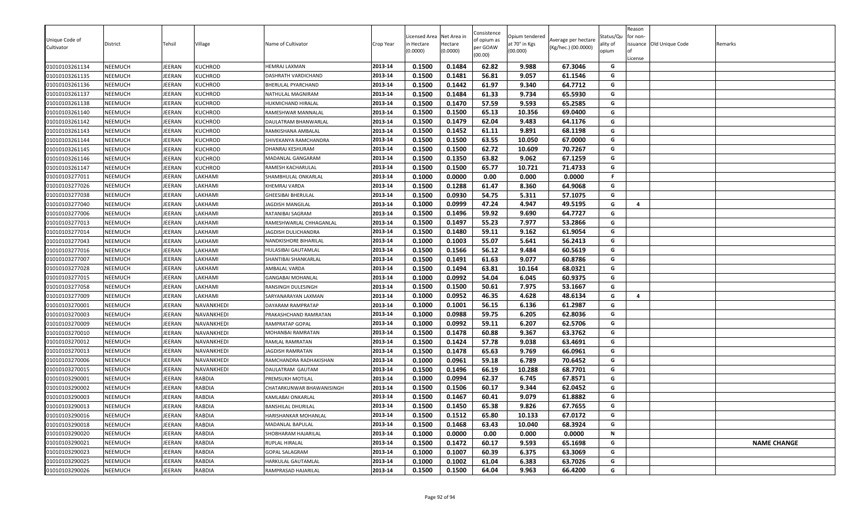| Unique Code of<br>Cultivator | District       | Tehsil        | Village        | Name of Cultivator        | Crop Year | icensed Area<br>n Hectare<br>0.0000 | Net Area in<br>Hectare<br>(0.0000) | Consistence<br>of opium as<br>per GOAW<br>(00.00) | Opium tendered<br>at 70° in Kgs<br>(00.000) | Average per hectare<br>(Kg/hec.) (00.0000) | Status/Qu<br>ality of<br>opium | Reason<br>for non-<br>Ωf<br>License | issuance Old Unique Code | Remarks            |
|------------------------------|----------------|---------------|----------------|---------------------------|-----------|-------------------------------------|------------------------------------|---------------------------------------------------|---------------------------------------------|--------------------------------------------|--------------------------------|-------------------------------------|--------------------------|--------------------|
| 01010103261134               | NEEMUCH        | EERAN         | KUCHROD        | HEMRAJ LAXMAN             | 2013-14   | 0.1500                              | 0.1484                             | 62.82                                             | 9.988                                       | 67.3046                                    | G                              |                                     |                          |                    |
| 01010103261135               | <b>NEEMUCH</b> | EERAN         | <b>KUCHROD</b> | DASHRATH VARDICHAND       | 2013-14   | 0.1500                              | 0.1481                             | 56.81                                             | 9.057                                       | 61.1546                                    | G                              |                                     |                          |                    |
| 01010103261136               | NEEMUCH        | <b>IEERAN</b> | <b>KUCHROD</b> | BHERULAL PYARCHAND        | 2013-14   | 0.1500                              | 0.1442                             | 61.97                                             | 9.340                                       | 64.7712                                    | G                              |                                     |                          |                    |
| 01010103261137               | NEEMUCH        | IEERAN        | KUCHROD        | NATHULAL MAGNIRAM         | 2013-14   | 0.1500                              | 0.1484                             | 61.33                                             | 9.734                                       | 65.5930                                    | G                              |                                     |                          |                    |
| 01010103261138               | NEEMUCH        | <b>IEERAN</b> | KUCHROD        | HUKMICHAND HIRALAL        | 2013-14   | 0.1500                              | 0.1470                             | 57.59                                             | 9.593                                       | 65.2585                                    | G                              |                                     |                          |                    |
| 01010103261140               | NEEMUCH        | EERAN         | KUCHROD        | RAMESHWAR MANNALAL        | 2013-14   | 0.1500                              | 0.1500                             | 65.13                                             | 10.356                                      | 69.0400                                    | G                              |                                     |                          |                    |
| 01010103261142               | NEEMUCH        | EERAN         | KUCHROD        | DAULATRAM BHANWARLAL      | 2013-14   | 0.1500                              | 0.1479                             | 62.04                                             | 9.483                                       | 64.1176                                    | G                              |                                     |                          |                    |
| 01010103261143               | NEEMUCH        | <b>IEERAN</b> | KUCHROD        | RAMKISHANA AMBALAL        | 2013-14   | 0.1500                              | 0.1452                             | 61.11                                             | 9.891                                       | 68.1198                                    | G                              |                                     |                          |                    |
| 01010103261144               | <b>NEEMUCH</b> | EERAN         | KUCHROD        | SHIVEKANYA RAMCHANDRA     | 2013-14   | 0.1500                              | 0.1500                             | 63.55                                             | 10.050                                      | 67.0000                                    | G                              |                                     |                          |                    |
| 01010103261145               | <b>NEEMUCH</b> | EERAN         | KUCHROD        | DHANRAJ KESHURAM          | 2013-14   | 0.1500                              | 0.1500                             | 62.72                                             | 10.609                                      | 70.7267                                    | G                              |                                     |                          |                    |
| 01010103261146               | <b>NEEMUCH</b> | EERAN         | <b>KUCHROD</b> | MADANLAL GANGARAM         | 2013-14   | 0.1500                              | 0.1350                             | 63.82                                             | 9.062                                       | 67.1259                                    | G                              |                                     |                          |                    |
| 01010103261147               | NEEMUCH        | <b>IEERAN</b> | KUCHROD        | RAMESH KACHARULAL         | 2013-14   | 0.1500                              | 0.1500                             | 65.77                                             | 10.721                                      | 71.4733                                    | G                              |                                     |                          |                    |
| 01010103277011               | NEEMUCH        | IEERAN        | LAKHAMI        | SHAMBHULAL ONKARLAL       | 2013-14   | 0.1000                              | 0.0000                             | 0.00                                              | 0.000                                       | 0.0000                                     | F.                             |                                     |                          |                    |
| 01010103277026               | <b>NEEMUCH</b> | EERAN         | LAKHAMI        | KHEMRAJ VARDA             | 2013-14   | 0.1500                              | 0.1288                             | 61.47                                             | 8.360                                       | 64.9068                                    | G                              |                                     |                          |                    |
| 01010103277038               | NEEMUCH        | EERAN         | LAKHAMI        | <b>GHEESIBAI BHERULAL</b> | 2013-14   | 0.1500                              | 0.0930                             | 54.75                                             | 5.311                                       | 57.1075                                    | G                              |                                     |                          |                    |
| 01010103277040               | NEEMUCH        | EERAN         | LAKHAMI        | JAGDISH MANGILAL          | 2013-14   | 0.1000                              | 0.0999                             | 47.24                                             | 4.947                                       | 49.5195                                    | G                              | $\overline{a}$                      |                          |                    |
| 01010103277006               | NEEMUCH        | EERAN         | LAKHAMI        | RATANIBAI SAGRAM          | 2013-14   | 0.1500                              | 0.1496                             | 59.92                                             | 9.690                                       | 64.7727                                    | G                              |                                     |                          |                    |
| 01010103277013               | <b>NEEMUCH</b> | EERAN         | LAKHAMI        | RAMESHWARLAL CHHAGANLAL   | 2013-14   | 0.1500                              | 0.1497                             | 55.23                                             | 7.977                                       | 53.2866                                    | G                              |                                     |                          |                    |
| 01010103277014               | NEEMUCH        | EERAN         | LAKHAMI        | JAGDISH DULICHANDRA       | 2013-14   | 0.1500                              | 0.1480                             | 59.11                                             | 9.162                                       | 61.9054                                    | G                              |                                     |                          |                    |
| 01010103277043               | NEEMUCH        | EERAN         | LAKHAMI        | NANDKISHORE BIHARILAL     | 2013-14   | 0.1000                              | 0.1003                             | 55.07                                             | 5.641                                       | 56.2413                                    | G                              |                                     |                          |                    |
| 01010103277016               | NEEMUCH        | <b>IEERAN</b> | LAKHAMI        | HULASIBAI GAUTAMLAL       | 2013-14   | 0.1500                              | 0.1566                             | 56.12                                             | 9.484                                       | 60.5619                                    | G                              |                                     |                          |                    |
| 01010103277007               | NEEMUCH        | IEERAN        | LAKHAMI        | SHANTIBAI SHANKARLAL      | 2013-14   | 0.1500                              | 0.1491                             | 61.63                                             | 9.077                                       | 60.8786                                    | G                              |                                     |                          |                    |
| 01010103277028               | <b>NEEMUCH</b> | <b>IEERAN</b> | LAKHAMI        | AMBALAL VARDA             | 2013-14   | 0.1500                              | 0.1494                             | 63.81                                             | 10.164                                      | 68.0321                                    | G                              |                                     |                          |                    |
| 01010103277015               | <b>NEEMUCH</b> | EERAN         | LAKHAMI        | <b>GANGABAI MOHANLAL</b>  | 2013-14   | 0.1000                              | 0.0992                             | 54.04                                             | 6.045                                       | 60.9375                                    | G                              |                                     |                          |                    |
| 01010103277058               | <b>NEEMUCH</b> | EERAN         | LAKHAMI        | RANSINGH DULESINGH        | 2013-14   | 0.1500                              | 0.1500                             | 50.61                                             | 7.975                                       | 53.1667                                    | G                              |                                     |                          |                    |
| 01010103277009               | NEEMUCH        | IEERAN        | LAKHAMI        | SARYANARAYAN LAXMAN       | 2013-14   | 0.1000                              | 0.0952                             | 46.35                                             | 4.628                                       | 48.6134                                    | G                              | 4                                   |                          |                    |
| 01010103270001               | <b>NEEMUCH</b> | EERAN         | NAVANKHEDI     | DAYARAM RAMPRATAP         | 2013-14   | 0.1000                              | 0.1001                             | 56.15                                             | 6.136                                       | 61.2987                                    | G                              |                                     |                          |                    |
| 01010103270003               | <b>NEEMUCH</b> | EERAN         | NAVANKHEDI     | PRAKASHCHAND RAMRATAN     | 2013-14   | 0.1000                              | 0.0988                             | 59.75                                             | 6.205                                       | 62.8036                                    | G                              |                                     |                          |                    |
| 01010103270009               | NEEMUCH        | EERAN         | NAVANKHEDI     | RAMPRATAP GOPAL           | 2013-14   | 0.1000                              | 0.0992                             | 59.11                                             | 6.207                                       | 62.5706                                    | G                              |                                     |                          |                    |
| 01010103270010               | NEEMUCH        | EERAN         | NAVANKHEDI     | MOHANBAI RAMRATAN         | 2013-14   | 0.1500                              | 0.1478                             | 60.88                                             | 9.367                                       | 63.3762                                    | G                              |                                     |                          |                    |
| 01010103270012               | NEEMUCH        | IEERAN        | NAVANKHEDI     | RAMLAL RAMRATAN           | 2013-14   | 0.1500                              | 0.1424                             | 57.78                                             | 9.038                                       | 63.4691                                    | G                              |                                     |                          |                    |
| 01010103270013               | <b>NEEMUCH</b> | EERAN         | NAVANKHEDI     | JAGDISH RAMRATAN          | 2013-14   | 0.1500                              | 0.1478                             | 65.63                                             | 9.769                                       | 66.0961                                    | G                              |                                     |                          |                    |
| 01010103270006               | NEEMUCH        | EERAN         | NAVANKHEDI     | RAMCHANDRA RADHAKISHAN    | 2013-14   | 0.1000                              | 0.0961                             | 59.18                                             | 6.789                                       | 70.6452                                    | G                              |                                     |                          |                    |
| 01010103270015               | NEEMUCH        | EERAN         | NAVANKHEDI     | DAULATRAM GAUTAM          | 2013-14   | 0.1500                              | 0.1496                             | 66.19                                             | 10.288                                      | 68.7701                                    | G                              |                                     |                          |                    |
| 01010103290001               | NEEMUCH        | EERAN         | <b>RABDIA</b>  | PREMSUKH MOTILAL          | 2013-14   | 0.1000                              | 0.0994                             | 62.37                                             | 6.745                                       | 67.8571                                    | G                              |                                     |                          |                    |
| 01010103290002               | <b>NEEMUCH</b> | EERAN         | <b>RABDIA</b>  | CHATARKUNWAR BHAWANISINGH | 2013-14   | 0.1500                              | 0.1506                             | 60.17                                             | 9.344                                       | 62.0452                                    | G                              |                                     |                          |                    |
| 01010103290003               | <b>NEEMUCH</b> | EERAN         | <b>RABDIA</b>  | KAMLABAI ONKARLAL         | 2013-14   | 0.1500                              | 0.1467                             | 60.41                                             | 9.079                                       | 61.8882                                    | G                              |                                     |                          |                    |
| 01010103290013               | NEEMUCH        | <b>EERAN</b>  | <b>RABDIA</b>  | <b>BANSHILAL DHURILAL</b> | 2013-14   | 0.1500                              | 0.1450                             | 65.38                                             | 9.826                                       | 67.7655                                    | G                              |                                     |                          |                    |
| 01010103290016               | <b>NEEMUCH</b> | JEERAN        | <b>RABDIA</b>  | HARISHANKAR MOHANLAL      | 2013-14   | 0.1500                              | 0.1512                             | 65.80                                             | 10.133                                      | 67.0172                                    | G                              |                                     |                          |                    |
| 01010103290018               | <b>NEEMUCH</b> | EERAN         | <b>RABDIA</b>  | MADANLAL BAPULAL          | 2013-14   | 0.1500                              | 0.1468                             | 63.43                                             | 10.040                                      | 68.3924                                    | G                              |                                     |                          |                    |
| 01010103290020               | <b>NEEMUCH</b> | <b>IEERAN</b> | <b>RABDIA</b>  | SHOBHARAM HAJARILAL       | 2013-14   | 0.1000                              | 0.0000                             | 0.00                                              | 0.000                                       | 0.0000                                     | Ν                              |                                     |                          |                    |
| 01010103290021               | <b>NEEMUCH</b> | EERAN         | <b>RABDIA</b>  | RUPLAL HIRALAL            | 2013-14   | 0.1500                              | 0.1472                             | 60.17                                             | 9.593                                       | 65.1698                                    | G                              |                                     |                          | <b>NAME CHANGE</b> |
| 01010103290023               | NEEMUCH        | EERAN         | <b>RABDIA</b>  | GOPAL SALAGRAM            | 2013-14   | 0.1000                              | 0.1007                             | 60.39                                             | 6.375                                       | 63.3069                                    | G                              |                                     |                          |                    |
| 01010103290025               | NEEMUCH        | EERAN         | <b>RABDIA</b>  | HARKULAL GAUTAMLAL        | 2013-14   | 0.1000                              | 0.1002                             | 61.04                                             | 6.383                                       | 63.7026                                    | G                              |                                     |                          |                    |
| 01010103290026               | <b>NEEMUCH</b> | JEERAN        | <b>RABDIA</b>  | RAMPRASAD HAJARILAL       | 2013-14   | 0.1500                              | 0.1500                             | 64.04                                             | 9.963                                       | 66.4200                                    | G                              |                                     |                          |                    |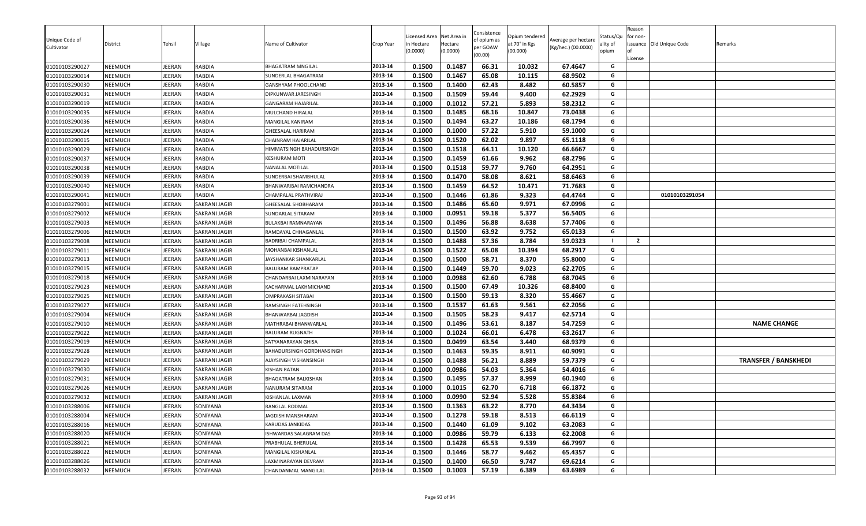| Unique Code of<br>Cultivator     | District                         | Tehsil          | Village                        | Name of Cultivator                          | Crop Year          | icensed Area<br>n Hectare<br>0.0000) | Net Area in<br>Hectare<br>(0.0000) | Consistence<br>of opium as<br>per GOAW<br>(00.00) | Opium tendered<br>at 70° in Kgs<br>(00.000) | Average per hectare<br>(Kg/hec.) (00.0000) | Status/Qu<br>ality of<br>opium | Reason<br>for non-<br>License | ssuance Old Unique Code | Remarks                     |
|----------------------------------|----------------------------------|-----------------|--------------------------------|---------------------------------------------|--------------------|--------------------------------------|------------------------------------|---------------------------------------------------|---------------------------------------------|--------------------------------------------|--------------------------------|-------------------------------|-------------------------|-----------------------------|
| 01010103290027                   | <b>NEEMUCH</b>                   | EERAN           | <b>RABDIA</b>                  | <b>BHAGATRAM MNGILAL</b>                    | 2013-14            | 0.1500                               | 0.1487                             | 66.31                                             | 10.032                                      | 67.4647                                    | G                              |                               |                         |                             |
| 01010103290014                   | <b>NEEMUCH</b>                   | EERAN           | <b>RABDIA</b>                  | SUNDERLAL BHAGATRAM                         | 2013-14            | 0.1500                               | 0.1467                             | 65.08                                             | 10.115                                      | 68.9502                                    | G                              |                               |                         |                             |
| 01010103290030                   | <b>NEEMUCH</b>                   | EERAN           | <b>RABDIA</b>                  | GANSHYAM PHOOLCHAND                         | 2013-14            | 0.1500                               | 0.1400                             | 62.43                                             | 8.482                                       | 60.5857                                    | G                              |                               |                         |                             |
| 01010103290031                   | <b>NEEMUCH</b>                   | EERAN           | <b>RABDIA</b>                  | DIPKUNWAR JARESINGH                         | 2013-14            | 0.1500                               | 0.1509                             | 59.44                                             | 9.400                                       | 62.2929                                    | G                              |                               |                         |                             |
| 01010103290019                   | <b>NEEMUCH</b>                   | EERAN           | <b>RABDIA</b>                  | GANGARAM HAJARILAL                          | 2013-14            | 0.1000                               | 0.1012                             | 57.21                                             | 5.893                                       | 58.2312                                    | G                              |                               |                         |                             |
| 01010103290035                   | <b>NEEMUCH</b>                   | EERAN           | <b>RABDIA</b>                  | MULCHAND HIRALAL                            | 2013-14            | 0.1500                               | 0.1485                             | 68.16                                             | 10.847                                      | 73.0438                                    | G                              |                               |                         |                             |
| 01010103290036                   | <b>NEEMUCH</b>                   | <b>IEERAN</b>   | <b>RABDIA</b>                  | MANGILAL KANIRAM                            | 2013-14            | 0.1500                               | 0.1494                             | 63.27                                             | 10.186                                      | 68.1794                                    | G                              |                               |                         |                             |
| 01010103290024                   | NEEMUCH                          | IEERAN          | <b>RABDIA</b>                  | GHEESALAL HARIRAM                           | 2013-14            | 0.1000                               | 0.1000                             | 57.22                                             | 5.910                                       | 59.1000                                    | G                              |                               |                         |                             |
| 01010103290015                   | <b>NEEMUCH</b>                   | <b>IEERAN</b>   | <b>RABDIA</b>                  | CHAINRAM HAJARILAL                          | 2013-14            | 0.1500                               | 0.1520                             | 62.02                                             | 9.897                                       | 65.1118                                    | G                              |                               |                         |                             |
| 01010103290029                   | <b>NEEMUCH</b>                   | EERAN           | <b>RABDIA</b>                  | HIMMATSINGH BAHADURSINGH                    | 2013-14            | 0.1500                               | 0.1518                             | 64.11                                             | 10.120                                      | 66.6667                                    | G                              |                               |                         |                             |
| 01010103290037                   | <b>NEEMUCH</b>                   | EERAN           | <b>RABDIA</b>                  | KESHURAM MOTI                               | 2013-14            | 0.1500                               | 0.1459                             | 61.66                                             | 9.962                                       | 68.2796                                    | G                              |                               |                         |                             |
| 01010103290038                   | NEEMUCH                          | IEERAN          | <b>RABDIA</b>                  | NANALAL MOTILAL                             | 2013-14            | 0.1500                               | 0.1518                             | 59.77                                             | 9.760                                       | 64.2951                                    | G                              |                               |                         |                             |
| 01010103290039                   | <b>NEEMUCH</b>                   | EERAN           | <b>RABDIA</b>                  | SUNDERBAI SHAMBHULAL                        | 2013-14<br>2013-14 | 0.1500                               | 0.1470<br>0.1459                   | 58.08<br>64.52                                    | 8.621                                       | 58.6463                                    | G<br>G                         |                               |                         |                             |
| 01010103290040                   | <b>NEEMUCH</b>                   | <b>IEERAN</b>   | <b>RABDIA</b><br><b>RABDIA</b> | BHANWARIBAI RAMCHANDRA                      |                    | 0.1500                               |                                    |                                                   | 10.471<br>9.323                             | 71.7683                                    | G                              |                               |                         |                             |
| 01010103290041                   | <b>NEEMUCH</b><br><b>NEEMUCH</b> | EERAN           | <b>SAKRANI JAGIR</b>           | CHAMPALAL PRATHVIRAJ<br>GHEESALAL SHOBHARAM | 2013-14<br>2013-14 | 0.1500<br>0.1500                     | 0.1446<br>0.1486                   | 61.86<br>65.60                                    | 9.971                                       | 64.4744<br>67.0996                         | G                              |                               | 01010103291054          |                             |
| 01010103279001<br>01010103279002 | NEEMUCH                          | EERAN<br>IEERAN | SAKRANI JAGIR                  | SUNDARLAL SITARAM                           | 2013-14            | 0.1000                               | 0.0951                             | 59.18                                             | 5.377                                       | 56.5405                                    | G                              |                               |                         |                             |
| 01010103279003                   | <b>NEEMUCH</b>                   | EERAN           | <b>SAKRANI JAGIR</b>           | BULAKBAI RAMNARAYAN                         | 2013-14            | 0.1500                               | 0.1496                             | 56.88                                             | 8.638                                       | 57.7406                                    | G                              |                               |                         |                             |
| 01010103279006                   | NEEMUCH                          | EERAN           | <b>SAKRANI JAGIR</b>           | RAMDAYAL CHHAGANLAL                         | 2013-14            | 0.1500                               | 0.1500                             | 63.92                                             | 9.752                                       | 65.0133                                    | G                              |                               |                         |                             |
| 01010103279008                   | <b>NEEMUCH</b>                   | EERAN           | <b>SAKRANI JAGIR</b>           | BADRIBAI CHAMPALAL                          | 2013-14            | 0.1500                               | 0.1488                             | 57.36                                             | 8.784                                       | 59.0323                                    |                                | $\overline{2}$                |                         |                             |
| 01010103279011                   | NEEMUCH                          | EERAN           | SAKRANI JAGIR                  | MOHANBAI KISHANLAL                          | 2013-14            | 0.1500                               | 0.1522                             | 65.08                                             | 10.394                                      | 68.2917                                    | G                              |                               |                         |                             |
| 01010103279013                   | <b>NEEMUCH</b>                   | IEERAN          | SAKRANI JAGIR                  | JAYSHANKAR SHANKARLAL                       | 2013-14            | 0.1500                               | 0.1500                             | 58.71                                             | 8.370                                       | 55.8000                                    | G                              |                               |                         |                             |
| 01010103279015                   | NEEMUCH                          | <b>IEERAN</b>   | <b>SAKRANI JAGIR</b>           | BALURAM RAMPRATAP                           | 2013-14            | 0.1500                               | 0.1449                             | 59.70                                             | 9.023                                       | 62.2705                                    | G                              |                               |                         |                             |
| 01010103279018                   | NEEMUCH                          | EERAN           | SAKRANI JAGIR                  | CHANDARBAI LAXMINARAYAN                     | 2013-14            | 0.1000                               | 0.0988                             | 62.60                                             | 6.788                                       | 68.7045                                    | G                              |                               |                         |                             |
| 01010103279023                   | <b>NEEMUCH</b>                   | EERAN           | SAKRANI JAGIR                  | KACHARMAL LAKHMICHAND                       | 2013-14            | 0.1500                               | 0.1500                             | 67.49                                             | 10.326                                      | 68.8400                                    | G                              |                               |                         |                             |
| 01010103279025                   | NEEMUCH                          | EERAN           | <b>SAKRANI JAGIR</b>           | <b>OMPRAKASH SITABAI</b>                    | 2013-14            | 0.1500                               | 0.1500                             | 59.13                                             | 8.320                                       | 55.4667                                    | G                              |                               |                         |                             |
| 01010103279027                   | NEEMUCH                          | <b>IEERAN</b>   | SAKRANI JAGIR                  | RAMSINGH FATEHSINGH                         | 2013-14            | 0.1500                               | 0.1537                             | 61.63                                             | 9.561                                       | 62.2056                                    | G                              |                               |                         |                             |
| 01010103279004                   | <b>NEEMUCH</b>                   | EERAN           | <b>SAKRANI JAGIR</b>           | BHANWARBAI JAGDISH                          | 2013-14            | 0.1500                               | 0.1505                             | 58.23                                             | 9.417                                       | 62.5714                                    | G                              |                               |                         |                             |
| 01010103279010                   | <b>NEEMUCH</b>                   | EERAN           | <b>SAKRANI JAGIR</b>           | MATHRABAI BHANWARLAL                        | 2013-14            | 0.1500                               | 0.1496                             | 53.61                                             | 8.187                                       | 54.7259                                    | G                              |                               |                         | <b>NAME CHANGE</b>          |
| 01010103279022                   | <b>NEEMUCH</b>                   | <b>IEERAN</b>   | <b>SAKRANI JAGIR</b>           | <b>BALURAM RUGNATH</b>                      | 2013-14            | 0.1000                               | 0.1024                             | 66.01                                             | 6.478                                       | 63.2617                                    | G                              |                               |                         |                             |
| 01010103279019                   | NEEMUCH                          | IEERAN          | SAKRANI JAGIR                  | SATYANARAYAN GHISA                          | 2013-14            | 0.1500                               | 0.0499                             | 63.54                                             | 3.440                                       | 68.9379                                    | G                              |                               |                         |                             |
| 01010103279028                   | <b>NEEMUCH</b>                   | EERAN           | SAKRANI JAGIR                  | BAHADURSINGH GORDHANSINGH                   | 2013-14            | 0.1500                               | 0.1463                             | 59.35                                             | 8.911                                       | 60.9091                                    | G                              |                               |                         |                             |
| 01010103279029                   | NEEMUCH                          | EERAN           | SAKRANI JAGIR                  | AJAYSINGH VISHANSINGH                       | 2013-14            | 0.1500                               | 0.1488                             | 56.21                                             | 8.889                                       | 59.7379                                    | G                              |                               |                         | <b>TRANSFER / BANSKHEDI</b> |
| 01010103279030                   | NEEMUCH                          | <b>IEERAN</b>   | <b>SAKRANI JAGIR</b>           | KISHAN RATAN                                | 2013-14            | 0.1000                               | 0.0986                             | 54.03                                             | 5.364                                       | 54.4016                                    | G                              |                               |                         |                             |
| 01010103279031                   | NEEMUCH                          | <b>IEERAN</b>   | <b>SAKRANI JAGIR</b>           | BHAGATRAM BALKISHAN                         | 2013-14            | 0.1500                               | 0.1495                             | 57.37                                             | 8.999                                       | 60.1940                                    | G                              |                               |                         |                             |
| 01010103279026                   | <b>NEEMUCH</b>                   | EERAN           | SAKRANI JAGIR                  | NANURAM SITARAM                             | 2013-14            | 0.1000                               | 0.1015                             | 62.70                                             | 6.718                                       | 66.1872                                    | G                              |                               |                         |                             |
| 01010103279032                   | <b>NEEMUCH</b>                   | EERAN           | <b>SAKRANI JAGIR</b>           | KISHANLAL LAXMAN                            | 2013-14            | 0.1000                               | 0.0990                             | 52.94                                             | 5.528                                       | 55.8384                                    | G                              |                               |                         |                             |
| 01010103288006                   | <b>NEEMUCH</b>                   | EERAN           | SONIYANA                       | RANGLAL RODMAL                              | 2013-14            | 0.1500                               | 0.1363                             | 63.22                                             | 8.770                                       | 64.3434                                    | G                              |                               |                         |                             |
| 01010103288004                   | <b>NEEMUCH</b>                   | JEERAN          | SONIYANA                       | JAGDISH MANSHARAM                           | 2013-14            | 0.1500                               | 0.1278                             | 59.18                                             | 8.513                                       | 66.6119                                    | G                              |                               |                         |                             |
| 01010103288016                   | <b>NEEMUCH</b>                   | <b>IEERAN</b>   | SONIYANA                       | KARUDAS JANKIDAS                            | 2013-14            | 0.1500                               | 0.1440                             | 61.09                                             | 9.102                                       | 63.2083                                    | G                              |                               |                         |                             |
| 01010103288020                   | <b>NEEMUCH</b>                   | EERAN           | SONIYANA                       | <b>ISHWARDAS SALAGRAM DAS</b>               | 2013-14            | 0.1000                               | 0.0986                             | 59.79                                             | 6.133                                       | 62.2008                                    | G                              |                               |                         |                             |
| 01010103288021                   | <b>NEEMUCH</b>                   | EERAN           | SONIYANA                       | PRABHULAL BHERULAL                          | 2013-14            | 0.1500                               | 0.1428                             | 65.53                                             | 9.539                                       | 66.7997                                    | G                              |                               |                         |                             |
| 01010103288022                   | <b>NEEMUCH</b>                   | EERAN           | SONIYANA                       | MANGILAL KISHANLAL                          | 2013-14            | 0.1500                               | 0.1446                             | 58.77                                             | 9.462                                       | 65.4357                                    | G                              |                               |                         |                             |
| 01010103288026                   | <b>NEEMUCH</b>                   | <b>EERAN</b>    | SONIYANA                       | LAXMINARAYAN DEVRAM                         | 2013-14            | 0.1500                               | 0.1400                             | 66.50                                             | 9.747                                       | 69.6214                                    | G                              |                               |                         |                             |
| 01010103288032                   | <b>NEEMUCH</b>                   | JEERAN          | SONIYANA                       | CHANDANMAL MANGILAL                         | 2013-14            | 0.1500                               | 0.1003                             | 57.19                                             | 6.389                                       | 63.6989                                    | G                              |                               |                         |                             |